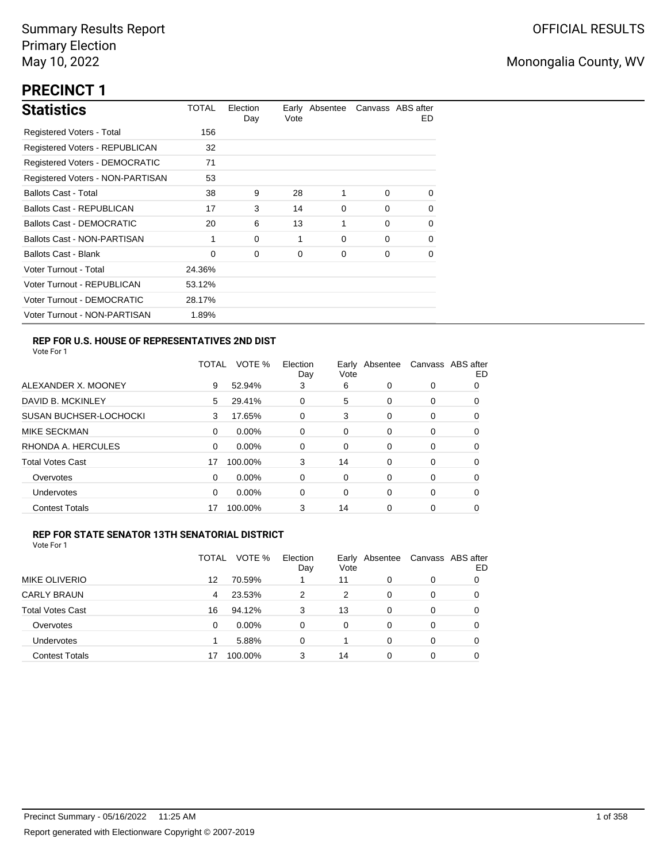# **PRECINCT 1**

| <b>Statistics</b>                | TOTAL  | Election<br>Day | Vote | Early Absentee | Canvass ABS after | ED.      |
|----------------------------------|--------|-----------------|------|----------------|-------------------|----------|
| Registered Voters - Total        | 156    |                 |      |                |                   |          |
| Registered Voters - REPUBLICAN   | 32     |                 |      |                |                   |          |
| Registered Voters - DEMOCRATIC   | 71     |                 |      |                |                   |          |
| Registered Voters - NON-PARTISAN | 53     |                 |      |                |                   |          |
| <b>Ballots Cast - Total</b>      | 38     | 9               | 28   | 1              | $\Omega$          | $\Omega$ |
| <b>Ballots Cast - REPUBLICAN</b> | 17     | 3               | 14   | $\Omega$       | $\Omega$          | 0        |
| Ballots Cast - DEMOCRATIC        | 20     | 6               | 13   | 1              | $\Omega$          | 0        |
| Ballots Cast - NON-PARTISAN      | 1      | $\Omega$        | 1    | $\Omega$       | $\Omega$          | 0        |
| <b>Ballots Cast - Blank</b>      | 0      | 0               | 0    | 0              | 0                 | 0        |
| Voter Turnout - Total            | 24.36% |                 |      |                |                   |          |
| Voter Turnout - REPUBLICAN       | 53.12% |                 |      |                |                   |          |
| Voter Turnout - DEMOCRATIC       | 28.17% |                 |      |                |                   |          |
| Voter Turnout - NON-PARTISAN     | 1.89%  |                 |      |                |                   |          |

### **REP FOR U.S. HOUSE OF REPRESENTATIVES 2ND DIST**

Vote For 1

|                               | TOTAL | VOTE %   | Election<br>Day | Earlv<br>Vote | Absentee |   | Canvass ABS after<br>ED |
|-------------------------------|-------|----------|-----------------|---------------|----------|---|-------------------------|
| ALEXANDER X. MOONEY           | 9     | 52.94%   | 3               | 6             | 0        | 0 | O                       |
| DAVID B. MCKINLEY             | 5     | 29.41%   | 0               | 5             | 0        | 0 | O                       |
| <b>SUSAN BUCHSER-LOCHOCKI</b> | 3     | 17.65%   | 0               | 3             | 0        | 0 | 0                       |
| <b>MIKE SECKMAN</b>           | 0     | $0.00\%$ | 0               | 0             | 0        | 0 | 0                       |
| RHONDA A. HERCULES            | 0     | $0.00\%$ | $\Omega$        | 0             | 0        | 0 | 0                       |
| <b>Total Votes Cast</b>       | 17    | 100.00%  | 3               | 14            | 0        | 0 | 0                       |
| Overvotes                     | 0     | $0.00\%$ | 0               | 0             | 0        | 0 | 0                       |
| <b>Undervotes</b>             | 0     | $0.00\%$ | 0               | 0             | 0        | 0 | 0                       |
| <b>Contest Totals</b>         | 17    | 100.00%  | 3               | 14            | 0        | 0 | 0                       |

#### **REP FOR STATE SENATOR 13TH SENATORIAL DISTRICT**

|                         | TOTAL | VOTE %   | Election<br>Day | Vote | Early Absentee | Canvass ABS after | ED |
|-------------------------|-------|----------|-----------------|------|----------------|-------------------|----|
| <b>MIKE OLIVERIO</b>    | 12    | 70.59%   |                 | 11   | 0              | 0                 |    |
| <b>CARLY BRAUN</b>      | 4     | 23.53%   | 2               | 2    | $\Omega$       | 0                 | O  |
| <b>Total Votes Cast</b> | 16    | 94.12%   | 3               | 13   | $\Omega$       | 0                 |    |
| Overvotes               | 0     | $0.00\%$ | $\Omega$        | 0    | $\Omega$       | 0                 | O  |
| <b>Undervotes</b>       |       | 5.88%    | 0               |      | 0              | 0                 | O  |
| <b>Contest Totals</b>   |       | 100.00%  | 3               | 14   | 0              | 0                 |    |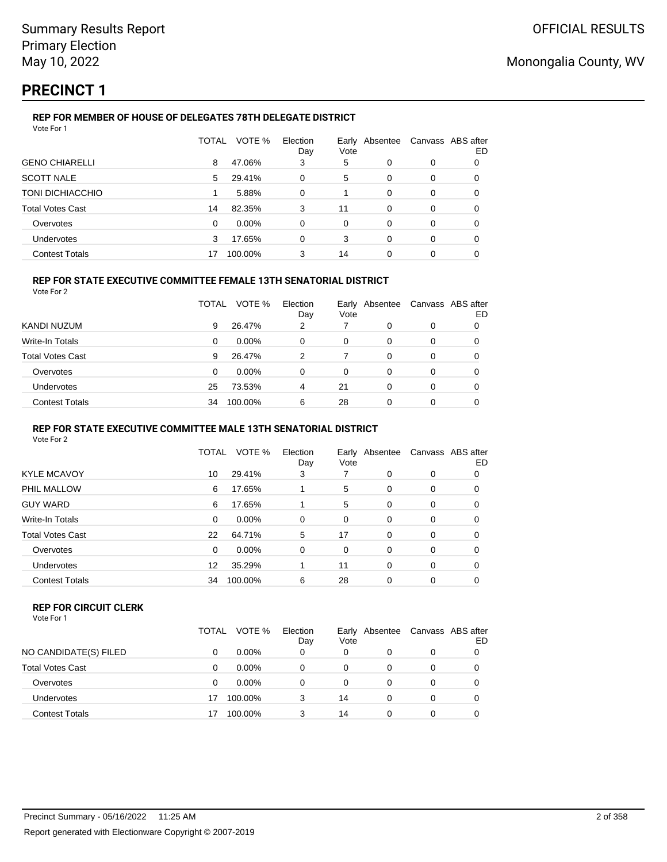# **PRECINCT 1**

### **REP FOR MEMBER OF HOUSE OF DELEGATES 78TH DELEGATE DISTRICT**

| VOTE %<br>Election<br>TOTAL<br>Early Absentee           | Canvass ABS after |    |
|---------------------------------------------------------|-------------------|----|
| Vote<br>Day                                             |                   | ED |
| <b>GENO CHIARELLI</b><br>47.06%<br>8<br>5<br>3<br>0     | 0<br>0            |    |
| <b>SCOTT NALE</b><br>5<br>29.41%<br>0<br>0<br>5         | 0<br>0            |    |
| <b>TONI DICHIACCHIO</b><br>5.88%<br>0<br>0              | 0<br>0            |    |
| <b>Total Votes Cast</b><br>11<br>82.35%<br>3<br>0<br>14 | 0<br>0            |    |
| $0.00\%$<br>Overvotes<br>0<br>0<br>0<br>0               | 0<br>0            |    |
| <b>Undervotes</b><br>17.65%<br>0<br>3<br>3<br>0         | 0<br>0            |    |
| <b>Contest Totals</b><br>3<br>14<br>100.00%<br>0<br>17  | 0<br>0            |    |

### **REP FOR STATE EXECUTIVE COMMITTEE FEMALE 13TH SENATORIAL DISTRICT**

Vote For 2

|                         | TOTAL | VOTE %   | Election<br>Day | Vote | Early Absentee | Canvass ABS after | ED |
|-------------------------|-------|----------|-----------------|------|----------------|-------------------|----|
| KANDI NUZUM             | 9     | 26.47%   | 2               |      | O              | 0                 |    |
| Write-In Totals         | 0     | $0.00\%$ | 0               | 0    | O              | 0                 |    |
| <b>Total Votes Cast</b> | 9     | 26.47%   | 2               |      | 0              | 0                 | Ω  |
| Overvotes               | 0     | $0.00\%$ | 0               | 0    | 0              | 0                 |    |
| Undervotes              | 25    | 73.53%   | 4               | 21   | 0              | 0                 |    |
| <b>Contest Totals</b>   | 34    | 100.00%  | 6               | 28   | 0              | 0                 |    |

#### **REP FOR STATE EXECUTIVE COMMITTEE MALE 13TH SENATORIAL DISTRICT**

Vote For 2

|                         | <b>TOTAL</b> | VOTE %   | Election<br>Day | Early Absentee<br>Vote |          | Canvass ABS after | ED |
|-------------------------|--------------|----------|-----------------|------------------------|----------|-------------------|----|
| <b>KYLE MCAVOY</b>      | 10           | 29.41%   | 3               |                        | 0        | 0                 | 0  |
| PHIL MALLOW             | 6            | 17.65%   |                 | 5                      | 0        | 0                 | 0  |
| <b>GUY WARD</b>         | 6            | 17.65%   |                 | 5                      | 0        | 0                 | 0  |
| Write-In Totals         | 0            | 0.00%    | 0               | 0                      | 0        | 0                 | 0  |
| <b>Total Votes Cast</b> | 22           | 64.71%   | 5               | 17                     | $\Omega$ | 0                 | 0  |
| Overvotes               | 0            | $0.00\%$ | 0               | 0                      | 0        | 0                 | 0  |
| <b>Undervotes</b>       | 12           | 35.29%   |                 | 11                     | 0        | 0                 | 0  |
| <b>Contest Totals</b>   | 34           | 100.00%  | 6               | 28                     | 0        | 0                 | 0  |
|                         |              |          |                 |                        |          |                   |    |

#### **REP FOR CIRCUIT CLERK**

|                         | TOTAL | VOTE %   | Election<br>Day | Vote | Early Absentee | Canvass ABS after | ED |
|-------------------------|-------|----------|-----------------|------|----------------|-------------------|----|
| NO CANDIDATE(S) FILED   |       | $0.00\%$ | 0               | 0    | 0              | 0                 |    |
| <b>Total Votes Cast</b> |       | $0.00\%$ | 0               | 0    | 0              | $\Omega$          |    |
| Overvotes               |       | $0.00\%$ | 0               | 0    | 0              | 0                 |    |
| Undervotes              | 17    | 100.00%  | 3               | 14   | 0              | 0                 |    |
| <b>Contest Totals</b>   |       | 100.00%  | 3               | 14   | 0              | 0                 |    |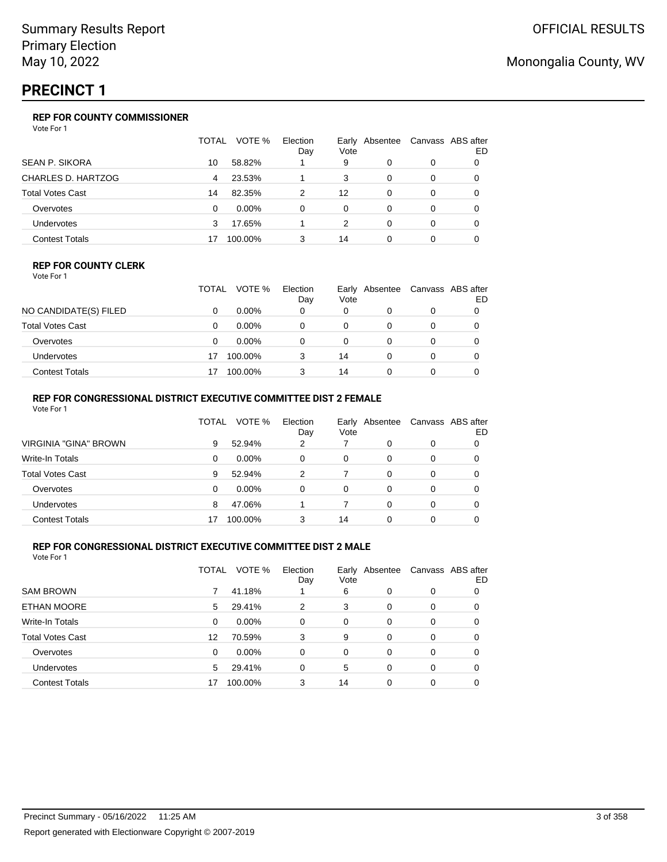# **PRECINCT 1**

### **REP FOR COUNTY COMMISSIONER**

Vote For 1

|                         | TOTAL | VOTE %   | Election<br>Day | Vote | Early Absentee |   | Canvass ABS after<br>ED |
|-------------------------|-------|----------|-----------------|------|----------------|---|-------------------------|
| SEAN P. SIKORA          | 10    | 58.82%   |                 | 9    | 0              | 0 |                         |
| CHARLES D. HARTZOG      | 4     | 23.53%   |                 | 3    | 0              | 0 |                         |
| <b>Total Votes Cast</b> | 14    | 82.35%   | 2               | 12   | 0              | 0 |                         |
| Overvotes               | 0     | $0.00\%$ | $\Omega$        | 0    | 0              | 0 |                         |
| Undervotes              | 3     | 17.65%   |                 | 2    | 0              | 0 |                         |
| <b>Contest Totals</b>   |       | 100.00%  | 3               | 14   |                |   |                         |

#### **REP FOR COUNTY CLERK**

Vote For 1

|                       | TOTAL | VOTE %   | Election<br>Day | Vote | Early Absentee | Canvass ABS after | ED |
|-----------------------|-------|----------|-----------------|------|----------------|-------------------|----|
| NO CANDIDATE(S) FILED |       | $0.00\%$ |                 | 0    |                |                   |    |
| Total Votes Cast      |       | $0.00\%$ |                 | 0    |                |                   |    |
| Overvotes             |       | $0.00\%$ |                 |      |                |                   |    |
| Undervotes            | 17    | 100.00%  |                 | 14   |                |                   |    |
| Contest Totals        | 17    | 100.00%  |                 | 14   |                |                   |    |

### **REP FOR CONGRESSIONAL DISTRICT EXECUTIVE COMMITTEE DIST 2 FEMALE**

| Vote For 1              |       |          |                 |          |                |                   |    |
|-------------------------|-------|----------|-----------------|----------|----------------|-------------------|----|
|                         | TOTAL | VOTE %   | Election<br>Day | Vote     | Early Absentee | Canvass ABS after | ED |
| VIRGINIA "GINA" BROWN   | 9     | 52.94%   | 2               |          | 0              | 0                 | 0  |
| Write-In Totals         | 0     | $0.00\%$ | $\Omega$        | $\Omega$ | 0              | 0                 | O  |
| <b>Total Votes Cast</b> | 9     | 52.94%   | 2               |          | 0              | 0                 | O  |
| Overvotes               | 0     | 0.00%    | $\Omega$        | 0        | 0              | 0                 | O  |
| <b>Undervotes</b>       | 8     | 47.06%   |                 |          | 0              | 0                 |    |
| <b>Contest Totals</b>   |       | 100.00%  | 3               | 14       | 0              | 0                 |    |
|                         |       |          |                 |          |                |                   |    |

### **REP FOR CONGRESSIONAL DISTRICT EXECUTIVE COMMITTEE DIST 2 MALE**

|                         | TOTAL | VOTE %   | Election<br>Day | Vote | Early Absentee | Canvass ABS after | ED |
|-------------------------|-------|----------|-----------------|------|----------------|-------------------|----|
| <b>SAM BROWN</b>        |       | 41.18%   |                 | 6    | 0              | 0                 | O  |
| <b>ETHAN MOORE</b>      | 5     | 29.41%   | 2               | 3    | 0              | 0                 | 0  |
| Write-In Totals         | 0     | $0.00\%$ | 0               | 0    | $\Omega$       | 0                 | 0  |
| <b>Total Votes Cast</b> | 12    | 70.59%   | 3               | 9    | 0              | 0                 | 0  |
| Overvotes               | 0     | 0.00%    | 0               | 0    | $\Omega$       | $\Omega$          | 0  |
| <b>Undervotes</b>       | 5     | 29.41%   | 0               | 5    | $\Omega$       | 0                 | 0  |
| <b>Contest Totals</b>   | 17    | 100.00%  | 3               | 14   | 0              | 0                 |    |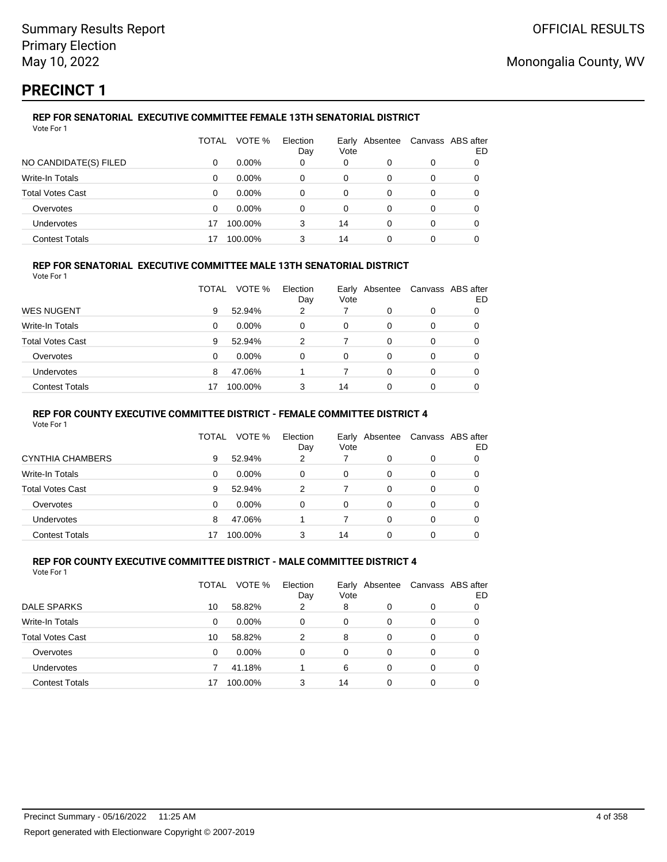# **PRECINCT 1**

#### **REP FOR SENATORIAL EXECUTIVE COMMITTEE FEMALE 13TH SENATORIAL DISTRICT** Vote For 1

|                         | TOTAL | VOTE %   | Election<br>Day | Early<br>Vote | Absentee | Canvass ABS after | ED |
|-------------------------|-------|----------|-----------------|---------------|----------|-------------------|----|
| NO CANDIDATE(S) FILED   | 0     | $0.00\%$ | 0               | 0             | 0        | 0                 |    |
| Write-In Totals         | 0     | $0.00\%$ | 0               | 0             | 0        | 0                 |    |
| <b>Total Votes Cast</b> | 0     | $0.00\%$ | 0               | 0             | 0        | 0                 |    |
| Overvotes               | 0     | $0.00\%$ | 0               | 0             | 0        | 0                 |    |
| Undervotes              |       | 100.00%  | 3               | 14            | 0        | 0                 | Ω  |
| <b>Contest Totals</b>   |       | 100.00%  | 3               | 14            | 0        | 0                 |    |

### **REP FOR SENATORIAL EXECUTIVE COMMITTEE MALE 13TH SENATORIAL DISTRICT**

Vote For 1

|                         | TOTAL | VOTE %   | Election<br>Day | Vote | Early Absentee | Canvass ABS after | ED |
|-------------------------|-------|----------|-----------------|------|----------------|-------------------|----|
| <b>WES NUGENT</b>       | 9     | 52.94%   | 2               |      | 0              | 0                 |    |
| Write-In Totals         | 0     | $0.00\%$ | 0               | 0    | 0              | 0                 |    |
| <b>Total Votes Cast</b> | 9     | 52.94%   | 2               |      | 0              | 0                 |    |
| Overvotes               | 0     | $0.00\%$ | 0               | 0    | 0              | 0                 |    |
| <b>Undervotes</b>       | 8     | 47.06%   |                 |      | 0              | 0                 |    |
| <b>Contest Totals</b>   |       | 100.00%  |                 | 14   | 0              | 0                 |    |

#### **REP FOR COUNTY EXECUTIVE COMMITTEE DISTRICT - FEMALE COMMITTEE DISTRICT 4**

Vote For 1

|                       | TOTAL    | VOTE %   | Election<br>Day | Early<br>Vote | Absentee | Canvass ABS after | ED |
|-----------------------|----------|----------|-----------------|---------------|----------|-------------------|----|
| CYNTHIA CHAMBERS      | 9        | 52.94%   | 2               |               |          | 0                 |    |
| Write-In Totals       | 0        | $0.00\%$ | 0               | 0             | 0        | 0                 | 0  |
| Total Votes Cast      | 9        | 52.94%   | $\mathcal{P}$   |               | 0        | 0                 | 0  |
| Overvotes             | $\Omega$ | $0.00\%$ | $\Omega$        | 0             | 0        | 0                 | 0  |
| Undervotes            | 8        | 47.06%   |                 |               | 0        | 0                 | 0  |
| <b>Contest Totals</b> | 17       | 100.00%  | 3               | 14            |          |                   |    |

#### **REP FOR COUNTY EXECUTIVE COMMITTEE DISTRICT - MALE COMMITTEE DISTRICT 4** Vote For 1

|                         | TOTAL | VOTE %   | Election<br>Day | Vote     | Early Absentee |   | Canvass ABS after<br>ED |
|-------------------------|-------|----------|-----------------|----------|----------------|---|-------------------------|
| DALE SPARKS             | 10    | 58.82%   | 2               | 8        | 0              | 0 |                         |
| <b>Write-In Totals</b>  | 0     | $0.00\%$ | 0               | 0        | 0              | 0 |                         |
| <b>Total Votes Cast</b> | 10    | 58.82%   | 2               | 8        | 0              | 0 |                         |
| Overvotes               | 0     | $0.00\%$ | 0               | $\Omega$ | 0              | 0 |                         |
| Undervotes              |       | 41.18%   |                 | 6        | 0              | 0 |                         |
| <b>Contest Totals</b>   |       | 100.00%  | 3               | 14       | 0              | 0 |                         |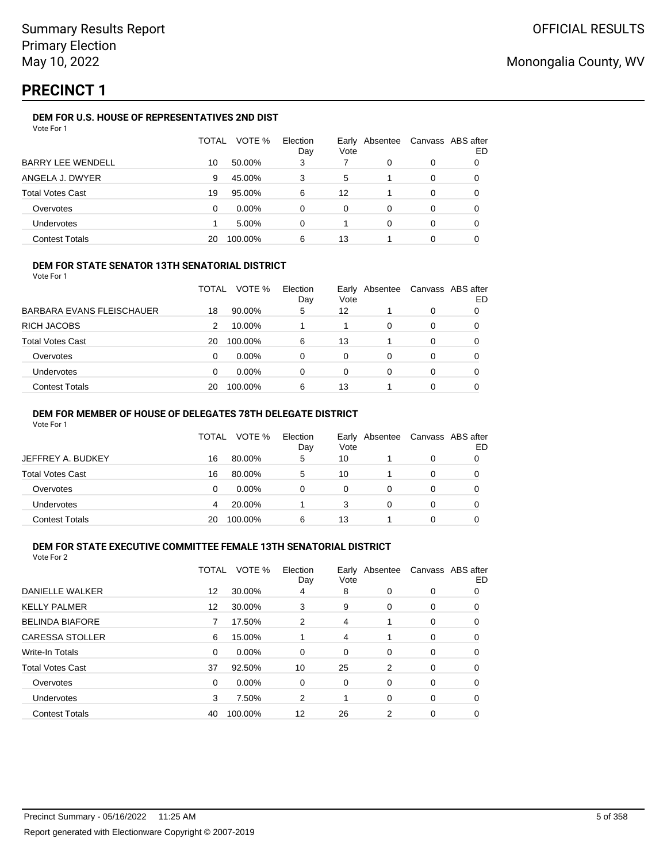# **PRECINCT 1**

### **DEM FOR U.S. HOUSE OF REPRESENTATIVES 2ND DIST**

| Vote For 1 |  |
|------------|--|
|------------|--|

|                          | TOTAL | VOTE %   | Election<br>Day | Vote | Early Absentee |          | Canvass ABS after<br>ED |
|--------------------------|-------|----------|-----------------|------|----------------|----------|-------------------------|
| <b>BARRY LEE WENDELL</b> | 10    | 50.00%   | 3               |      | 0              | 0        |                         |
| ANGELA J. DWYER          | 9     | 45.00%   | 3               | 5    |                | 0        |                         |
| <b>Total Votes Cast</b>  | 19    | 95.00%   | 6               | 12   |                | $\Omega$ | 0                       |
| Overvotes                | 0     | $0.00\%$ | 0               | 0    | $\Omega$       | $\Omega$ | 0                       |
| Undervotes               |       | 5.00%    | 0               |      | 0              | 0        | 0                       |
| <b>Contest Totals</b>    | 20    | 100.00%  | 6               | 13   |                |          |                         |

#### **DEM FOR STATE SENATOR 13TH SENATORIAL DISTRICT**

Vote For 1

|                           | TOTAL | VOTE %   | Election<br>Day | Vote | Early Absentee | Canvass ABS after | ED |
|---------------------------|-------|----------|-----------------|------|----------------|-------------------|----|
| BARBARA EVANS FLEISCHAUER | 18    | 90.00%   | 5               | 12   |                | 0                 |    |
| RICH JACOBS               | 2     | 10.00%   |                 |      | 0              | 0                 |    |
| Total Votes Cast          | 20    | 100.00%  | 6               | 13   |                | 0                 |    |
| Overvotes                 | 0     | $0.00\%$ | 0               | 0    | 0              | 0                 |    |
| Undervotes                | 0     | $0.00\%$ | 0               | 0    | 0              | 0                 |    |
| <b>Contest Totals</b>     | 20    | 100.00%  | 6               | 13   |                | 0                 |    |

#### **DEM FOR MEMBER OF HOUSE OF DELEGATES 78TH DELEGATE DISTRICT**

Vote For 1

|                   | TOTAL | VOTE %   | Election<br>Day | Vote | Early Absentee | Canvass ABS after | ED |
|-------------------|-------|----------|-----------------|------|----------------|-------------------|----|
| JEFFREY A. BUDKEY | 16    | 80.00%   | 5               | 10   |                | 0                 |    |
| Total Votes Cast  | 16    | 80.00%   | 5               | 10   |                | 0                 |    |
| Overvotes         | 0     | $0.00\%$ | 0               | 0    |                | 0                 |    |
| Undervotes        | 4     | 20.00%   |                 | 3    |                | 0                 |    |
| Contest Totals    | 20    | 100.00%  | 6               | 13   |                | ი                 |    |

# **DEM FOR STATE EXECUTIVE COMMITTEE FEMALE 13TH SENATORIAL DISTRICT**

|                        | TOTAL             | VOTE %   | Election<br>Day   | Vote | Early Absentee Canvass ABS after |          | ED |
|------------------------|-------------------|----------|-------------------|------|----------------------------------|----------|----|
| DANIELLE WALKER        | 12                | 30.00%   | 4                 | 8    | 0                                | 0        | 0  |
| <b>KELLY PALMER</b>    | $12 \overline{ }$ | 30.00%   | 3                 | 9    | 0                                | 0        | 0  |
| <b>BELINDA BIAFORE</b> | 7                 | 17.50%   | 2                 | 4    | 1                                | 0        | 0  |
| <b>CARESSA STOLLER</b> | 6                 | 15.00%   |                   | 4    |                                  | 0        | 0  |
| <b>Write-In Totals</b> | $\Omega$          | $0.00\%$ | 0                 | 0    | 0                                | 0        | 0  |
| Total Votes Cast       | 37                | 92.50%   | 10                | 25   | 2                                | 0        | 0  |
| Overvotes              | $\Omega$          | $0.00\%$ | $\Omega$          | 0    | 0                                | $\Omega$ | 0  |
| <b>Undervotes</b>      | 3                 | 7.50%    | 2                 |      | 0                                | 0        | 0  |
| <b>Contest Totals</b>  | 40                | 100.00%  | $12 \overline{ }$ | 26   | 2                                | 0        | 0  |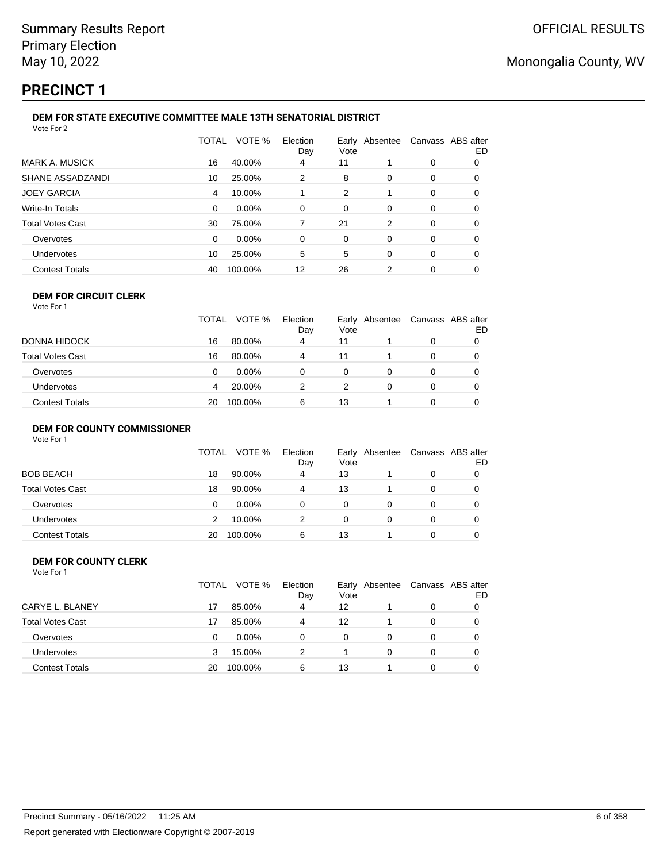## **PRECINCT 1**

#### **DEM FOR STATE EXECUTIVE COMMITTEE MALE 13TH SENATORIAL DISTRICT** Vote For 2

|                         | TOTAL | VOTE %  | Election<br>Day | Vote | Early Absentee | Canvass ABS after | ED |  |  |
|-------------------------|-------|---------|-----------------|------|----------------|-------------------|----|--|--|
| <b>MARK A. MUSICK</b>   | 16    | 40.00%  | 4               | 11   |                | 0                 | 0  |  |  |
| SHANE ASSADZANDI        | 10    | 25.00%  | 2               | 8    | 0              | 0                 | 0  |  |  |
| <b>JOEY GARCIA</b>      | 4     | 10.00%  |                 | 2    |                | 0                 | 0  |  |  |
| Write-In Totals         | 0     | 0.00%   | 0               | 0    | 0              | 0                 | 0  |  |  |
| <b>Total Votes Cast</b> | 30    | 75.00%  |                 | 21   | 2              | 0                 | 0  |  |  |
| Overvotes               | 0     | 0.00%   | 0               | 0    | 0              | 0                 | 0  |  |  |
| <b>Undervotes</b>       | 10    | 25.00%  | 5               | 5    | $\Omega$       | 0                 | 0  |  |  |
| <b>Contest Totals</b>   | 40    | 100.00% | 12              | 26   | 2              | 0                 | O  |  |  |
|                         |       |         |                 |      |                |                   |    |  |  |

### **DEM FOR CIRCUIT CLERK**

| Vote For 1              |       |          |                 |          |                |                   |    |
|-------------------------|-------|----------|-----------------|----------|----------------|-------------------|----|
|                         | TOTAL | VOTE %   | Election<br>Day | Vote     | Early Absentee | Canvass ABS after | ED |
| DONNA HIDOCK            | 16    | 80.00%   | 4               | 11       |                |                   |    |
| <b>Total Votes Cast</b> | 16    | 80.00%   | 4               | 11       |                |                   |    |
| Overvotes               |       | $0.00\%$ |                 | $\Omega$ |                |                   |    |
| Undervotes              |       | 20.00%   |                 |          |                |                   |    |

#### **DEM FOR COUNTY COMMISSIONER**

| Vote For 1 |  |  |
|------------|--|--|
|------------|--|--|

|                       | TOTAL | VOTE %   | Election<br>Day | Vote | Early Absentee | Canvass ABS after | ED |
|-----------------------|-------|----------|-----------------|------|----------------|-------------------|----|
| <b>BOB BEACH</b>      | 18    | 90.00%   | 4               | 13   |                | 0                 |    |
| Total Votes Cast      | 18    | 90.00%   | 4               | 13   |                | 0                 |    |
| Overvotes             | 0     | $0.00\%$ | 0               | 0    |                | 0                 |    |
| Undervotes            |       | 10.00%   | 2               | 0    | 0              | 0                 |    |
| <b>Contest Totals</b> | 20    | 100.00%  | 6               | 13   |                | 0                 |    |

Contest Totals 20 100.00% 6 13 1 0 0

#### **DEM FOR COUNTY CLERK** Vote For 1

|                         | <b>TOTAL</b> | VOTE %   | Election<br>Day | Vote | Early Absentee | Canvass ABS after | ED |
|-------------------------|--------------|----------|-----------------|------|----------------|-------------------|----|
| CARYE L. BLANEY         | 17           | 85.00%   | 4               | 12   |                | 0                 |    |
| <b>Total Votes Cast</b> | 17           | 85.00%   | 4               | 12   |                | 0                 |    |
| Overvotes               | 0            | $0.00\%$ | $\Omega$        | 0    | 0              | 0                 |    |
| Undervotes              | З            | 15.00%   | 2               |      | 0              | 0                 |    |
| <b>Contest Totals</b>   | 20           | 100.00%  | 6               | 13   |                | 0                 |    |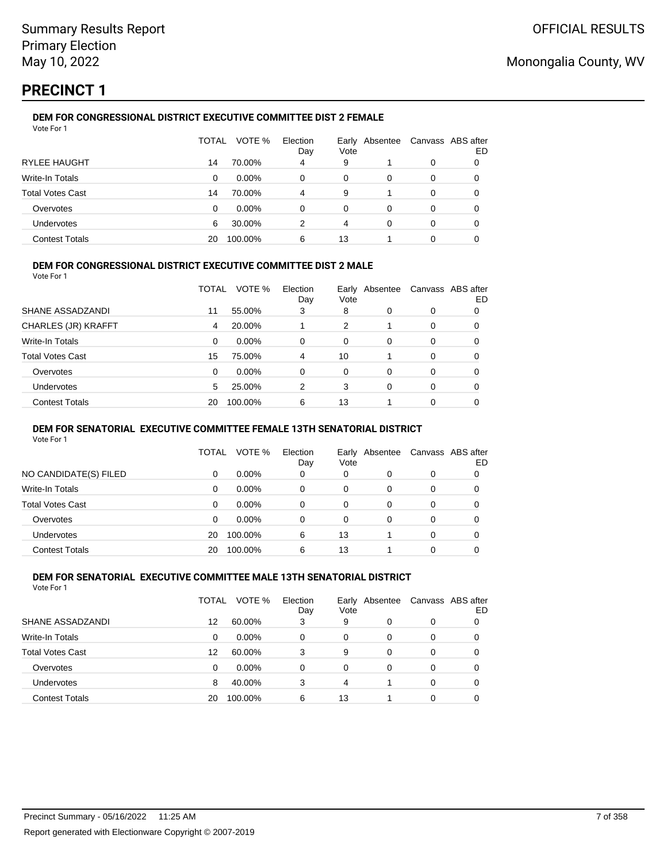## **PRECINCT 1**

#### **DEM FOR CONGRESSIONAL DISTRICT EXECUTIVE COMMITTEE DIST 2 FEMALE** Vote For 1

|                         | TOTAL | VOTE %   | Election<br>Day | Early<br>Vote | Absentee | Canvass ABS after | ED |
|-------------------------|-------|----------|-----------------|---------------|----------|-------------------|----|
| <b>RYLEE HAUGHT</b>     | 14    | 70.00%   | 4               | 9             |          | 0                 |    |
| Write-In Totals         | 0     | $0.00\%$ | 0               | 0             | 0        | 0                 |    |
| <b>Total Votes Cast</b> | 14    | 70.00%   | 4               | 9             |          | 0                 |    |
| Overvotes               | 0     | $0.00\%$ | 0               | 0             | 0        | 0                 |    |
| <b>Undervotes</b>       | 6     | 30.00%   | 2               | 4             | 0        | 0                 |    |
| <b>Contest Totals</b>   | 20    | 100.00%  | 6               | 13            |          | 0                 |    |

### **DEM FOR CONGRESSIONAL DISTRICT EXECUTIVE COMMITTEE DIST 2 MALE**

Vote For 1

|                         | TOTAL | VOTE %   | Election<br>Day | Vote     | Early Absentee |          | Canvass ABS after<br>ED |
|-------------------------|-------|----------|-----------------|----------|----------------|----------|-------------------------|
| SHANE ASSADZANDI        | 11    | 55.00%   | 3               | 8        | 0              | 0        | 0                       |
| CHARLES (JR) KRAFFT     | 4     | 20.00%   |                 | 2        |                | $\Omega$ | 0                       |
| Write-In Totals         | 0     | $0.00\%$ | 0               | 0        | 0              | $\Omega$ | 0                       |
| <b>Total Votes Cast</b> | 15    | 75.00%   | 4               | 10       |                | $\Omega$ | 0                       |
| Overvotes               | 0     | 0.00%    | 0               | $\Omega$ | 0              | $\Omega$ | 0                       |
| <b>Undervotes</b>       | 5     | 25.00%   | 2               | 3        | $\Omega$       | $\Omega$ | 0                       |
| <b>Contest Totals</b>   | 20    | 100.00%  | 6               | 13       |                | $\Omega$ |                         |

#### **DEM FOR SENATORIAL EXECUTIVE COMMITTEE FEMALE 13TH SENATORIAL DISTRICT**

Vote For 1

|                       | TOTAL | VOTE %   | Election<br>Day | Vote | Early Absentee | Canvass ABS after | ED |
|-----------------------|-------|----------|-----------------|------|----------------|-------------------|----|
| NO CANDIDATE(S) FILED | 0     | $0.00\%$ | 0               | 0    | 0              | 0                 |    |
| Write-In Totals       | 0     | $0.00\%$ | 0               | 0    | 0              | 0                 |    |
| Total Votes Cast      | 0     | $0.00\%$ | 0               | 0    | 0              | 0                 |    |
| Overvotes             | 0     | $0.00\%$ | 0               | 0    | 0              | 0                 |    |
| <b>Undervotes</b>     | 20    | 100.00%  | 6               | 13   |                | 0                 |    |
| <b>Contest Totals</b> | 20    | 100.00%  | 6               | 13   |                | 0                 |    |

#### **DEM FOR SENATORIAL EXECUTIVE COMMITTEE MALE 13TH SENATORIAL DISTRICT** Vote For 1

| 1 J J J J J J           |       |          |                 |      |                |                   |    |
|-------------------------|-------|----------|-----------------|------|----------------|-------------------|----|
|                         | TOTAL | VOTE %   | Election<br>Day | Vote | Early Absentee | Canvass ABS after | ED |
| SHANE ASSADZANDI        | 12    | 60.00%   | 3               | 9    | 0              | 0                 | O  |
| Write-In Totals         | 0     | $0.00\%$ | 0               | 0    | 0              | 0                 | O  |
| <b>Total Votes Cast</b> | 12    | 60.00%   | 3               | 9    | 0              | 0                 | 0  |
| Overvotes               | 0     | 0.00%    | 0               | 0    | 0              | 0                 | 0  |
| Undervotes              | 8     | 40.00%   | 3               | 4    |                | 0                 |    |
| <b>Contest Totals</b>   | 20    | 100.00%  | 6               | 13   |                | 0                 |    |
|                         |       |          |                 |      |                |                   |    |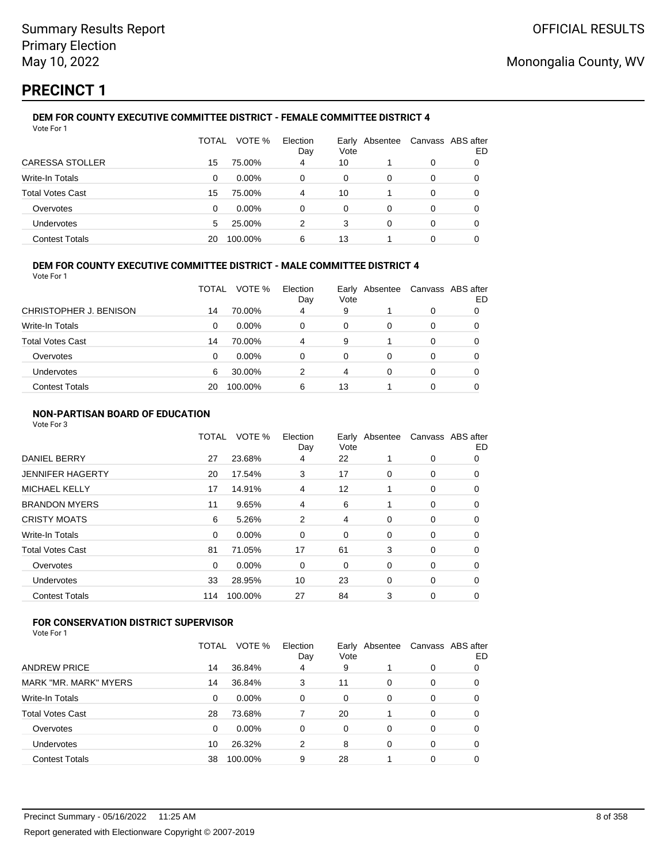## **PRECINCT 1**

#### **DEM FOR COUNTY EXECUTIVE COMMITTEE DISTRICT - FEMALE COMMITTEE DISTRICT 4** Vote For 1

|                         | TOTAL | VOTE %   | Election<br>Day | Vote | Early Absentee | Canvass ABS after | ED |
|-------------------------|-------|----------|-----------------|------|----------------|-------------------|----|
| CARESSA STOLLER         | 15    | 75.00%   | 4               | 10   |                | 0                 |    |
| Write-In Totals         | 0     | $0.00\%$ | 0               | 0    | 0              | 0                 |    |
| <b>Total Votes Cast</b> | 15    | 75.00%   | 4               | 10   |                | 0                 |    |
| Overvotes               | 0     | $0.00\%$ | 0               | 0    | 0              | 0                 |    |
| Undervotes              | 5.    | 25.00%   | 2               | 3    | 0              | 0                 |    |
| <b>Contest Totals</b>   | 20    | 100.00%  | 6               | 13   |                | 0                 |    |

### **DEM FOR COUNTY EXECUTIVE COMMITTEE DISTRICT - MALE COMMITTEE DISTRICT 4**

Vote For 1

|                        | TOTAL | VOTE %   | Election<br>Day | Vote | Early Absentee | Canvass ABS after | ED |
|------------------------|-------|----------|-----------------|------|----------------|-------------------|----|
| CHRISTOPHER J. BENISON | 14    | 70.00%   | 4               | 9    |                | 0                 |    |
| Write-In Totals        | 0     | $0.00\%$ | 0               | 0    | 0              | 0                 |    |
| Total Votes Cast       | 14    | 70.00%   | 4               | 9    |                | 0                 |    |
| Overvotes              | 0     | 0.00%    | 0               | 0    | 0              | 0                 |    |
| <b>Undervotes</b>      | 6     | 30.00%   | 2               | 4    | 0              | 0                 |    |
| <b>Contest Totals</b>  | 20    | 100.00%  | 6               | 13   |                | 0                 |    |

#### **NON-PARTISAN BOARD OF EDUCATION**

Vote For 3

|                         | <b>TOTAL</b> | VOTE %   | Election<br>Day | Vote           | Early Absentee | Canvass ABS after | ED |
|-------------------------|--------------|----------|-----------------|----------------|----------------|-------------------|----|
| <b>DANIEL BERRY</b>     | 27           | 23.68%   | 4               | 22             |                | 0                 | 0  |
| <b>JENNIFER HAGERTY</b> | 20           | 17.54%   | 3               | 17             | 0              | 0                 | 0  |
| <b>MICHAEL KELLY</b>    | 17           | 14.91%   | 4               | 12             |                | 0                 | 0  |
| <b>BRANDON MYERS</b>    | 11           | 9.65%    | 4               | 6              |                | 0                 | 0  |
| <b>CRISTY MOATS</b>     | 6            | 5.26%    | 2               | $\overline{4}$ | 0              | 0                 | 0  |
| Write-In Totals         | 0            | $0.00\%$ | 0               | 0              | 0              | 0                 | 0  |
| <b>Total Votes Cast</b> | 81           | 71.05%   | 17              | 61             | 3              | 0                 | 0  |
| Overvotes               | $\Omega$     | 0.00%    | 0               | 0              | 0              | 0                 | 0  |
| Undervotes              | 33           | 28.95%   | 10              | 23             | 0              | 0                 | 0  |
| <b>Contest Totals</b>   | 114          | 100.00%  | 27              | 84             | 3              | 0                 | 0  |

### **FOR CONSERVATION DISTRICT SUPERVISOR**

|                         | TOTAL | VOTE %  | Election<br>Day | Vote | Early Absentee | Canvass ABS after | ED |
|-------------------------|-------|---------|-----------------|------|----------------|-------------------|----|
| <b>ANDREW PRICE</b>     | 14    | 36.84%  | 4               | 9    |                | 0                 | 0  |
| MARK "MR. MARK" MYERS   | 14    | 36.84%  | 3               | 11   | 0              | 0                 | O  |
| Write-In Totals         | 0     | 0.00%   | 0               | 0    | 0              | 0                 |    |
| <b>Total Votes Cast</b> | 28    | 73.68%  |                 | 20   |                | 0                 | 0  |
| Overvotes               | 0     | 0.00%   | 0               | 0    | 0              | 0                 | O  |
| <b>Undervotes</b>       | 10    | 26.32%  | 2               | 8    | 0              | 0                 | 0  |
| <b>Contest Totals</b>   | 38    | 100.00% | 9               | 28   |                | 0                 |    |
|                         |       |         |                 |      |                |                   |    |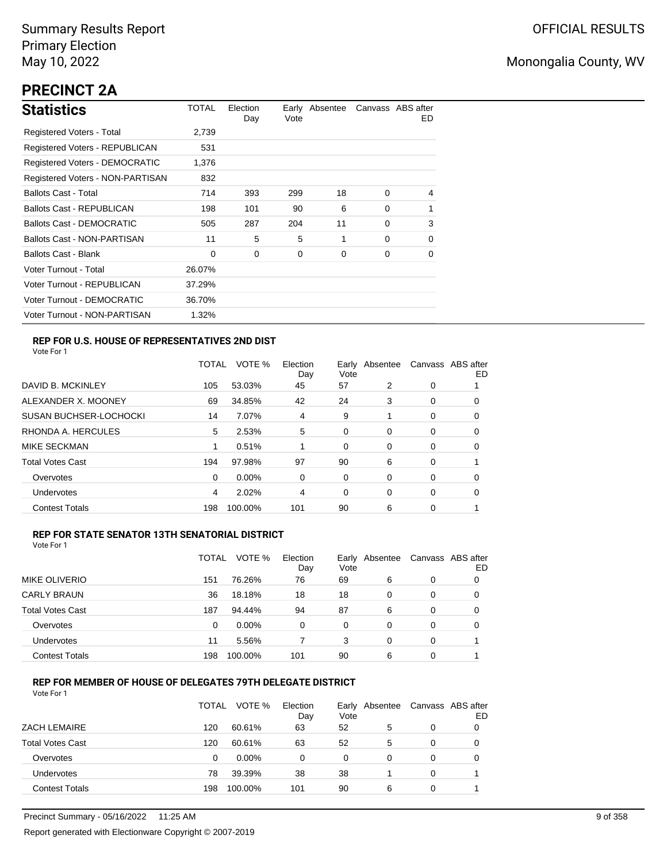# **PRECINCT 2A**

| <b>Statistics</b>                     | TOTAL  | Election<br>Day | Vote | Early Absentee |          | Canvass ABS after<br>ED. |
|---------------------------------------|--------|-----------------|------|----------------|----------|--------------------------|
| Registered Voters - Total             | 2,739  |                 |      |                |          |                          |
| <b>Registered Voters - REPUBLICAN</b> | 531    |                 |      |                |          |                          |
| <b>Registered Voters - DEMOCRATIC</b> | 1,376  |                 |      |                |          |                          |
| Registered Voters - NON-PARTISAN      | 832    |                 |      |                |          |                          |
| <b>Ballots Cast - Total</b>           | 714    | 393             | 299  | 18             | $\Omega$ | 4                        |
| Ballots Cast - REPUBLICAN             | 198    | 101             | 90   | 6              | $\Omega$ | 1                        |
| Ballots Cast - DEMOCRATIC             | 505    | 287             | 204  | 11             | $\Omega$ | 3                        |
| Ballots Cast - NON-PARTISAN           | 11     | 5               | 5    | 1              | $\Omega$ | 0                        |
| Ballots Cast - Blank                  | 0      | 0               | 0    | 0              | 0        | 0                        |
| Voter Turnout - Total                 | 26.07% |                 |      |                |          |                          |
| Voter Turnout - REPUBLICAN            | 37.29% |                 |      |                |          |                          |
| Voter Turnout - DEMOCRATIC            | 36.70% |                 |      |                |          |                          |
| Voter Turnout - NON-PARTISAN          | 1.32%  |                 |      |                |          |                          |

### **REP FOR U.S. HOUSE OF REPRESENTATIVES 2ND DIST**

Vote For 1

|                               | TOTAL | VOTE %   | Election<br>Day | Earlv<br>Vote | Absentee |   | Canvass ABS after<br>ED |
|-------------------------------|-------|----------|-----------------|---------------|----------|---|-------------------------|
| DAVID B. MCKINLEY             | 105   | 53.03%   | 45              | 57            | 2        | 0 |                         |
| ALEXANDER X. MOONEY           | 69    | 34.85%   | 42              | 24            | 3        | 0 | O                       |
| <b>SUSAN BUCHSER-LOCHOCKI</b> | 14    | 7.07%    | 4               | 9             |          | 0 | 0                       |
| RHONDA A. HERCULES            | 5     | 2.53%    | 5               | 0             | 0        | 0 | 0                       |
| MIKE SECKMAN                  |       | 0.51%    |                 | 0             | 0        | 0 | 0                       |
| <b>Total Votes Cast</b>       | 194   | 97.98%   | 97              | 90            | 6        | 0 |                         |
| Overvotes                     | 0     | $0.00\%$ | 0               | 0             | $\Omega$ | 0 | 0                       |
| <b>Undervotes</b>             | 4     | 2.02%    | 4               | 0             | 0        | 0 | 0                       |
| <b>Contest Totals</b>         | 198   | 100.00%  | 101             | 90            | 6        | 0 |                         |

#### **REP FOR STATE SENATOR 13TH SENATORIAL DISTRICT**

| Vote For 1 |
|------------|
|------------|

|                         | TOTAL | VOTE %   | Election<br>Day | Vote | Early Absentee |   | Canvass ABS after<br>ED |
|-------------------------|-------|----------|-----------------|------|----------------|---|-------------------------|
| MIKE OLIVERIO           | 151   | 76.26%   | 76              | 69   | 6              | 0 | 0                       |
| <b>CARLY BRAUN</b>      | 36    | 18.18%   | 18              | 18   | 0              | 0 | O                       |
| <b>Total Votes Cast</b> | 187   | 94.44%   | 94              | 87   | 6              | 0 | O                       |
| Overvotes               | 0     | $0.00\%$ | 0               | 0    | 0              | 0 |                         |
| <b>Undervotes</b>       | 11    | 5.56%    |                 | 3    | 0              | 0 |                         |
| <b>Contest Totals</b>   | 198   | 100.00%  | 101             | 90   | 6              | 0 |                         |

### **REP FOR MEMBER OF HOUSE OF DELEGATES 79TH DELEGATE DISTRICT**

|                         | TOTAL | VOTE %   | Election<br>Day | Early Absentee<br>Vote |   | Canvass ABS after | ED |
|-------------------------|-------|----------|-----------------|------------------------|---|-------------------|----|
| <b>ZACH LEMAIRE</b>     | 120   | 60.61%   | 63              | 52                     | 5 | 0                 |    |
| <b>Total Votes Cast</b> | 120   | 60.61%   | 63              | 52                     | 5 | 0                 |    |
| Overvotes               | 0     | $0.00\%$ | 0               | 0                      | 0 | 0                 |    |
| Undervotes              | 78    | 39.39%   | 38              | 38                     |   | 0                 |    |
| <b>Contest Totals</b>   | 198   | 100.00%  | 101             | 90                     | 6 | $\Omega$          |    |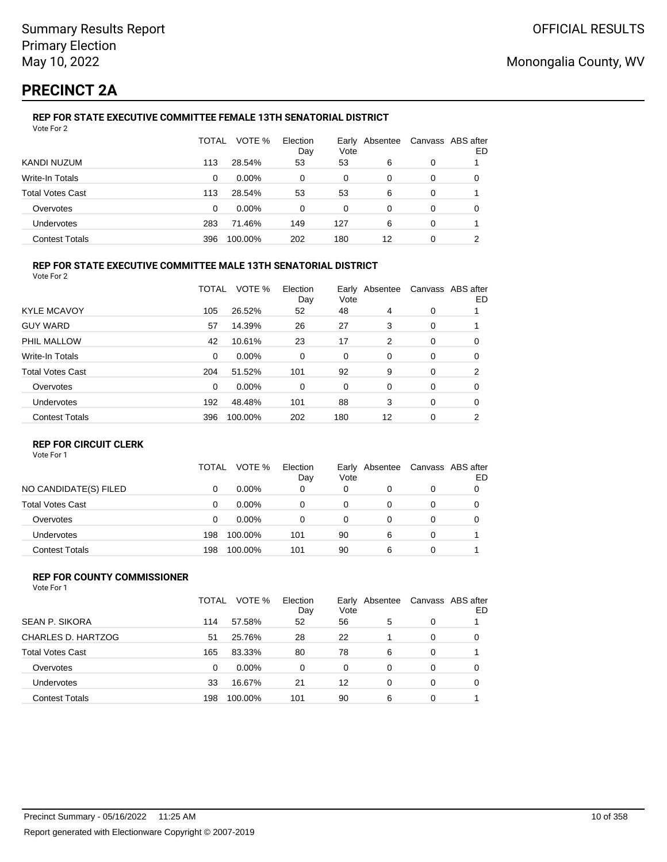# **PRECINCT 2A**

#### **REP FOR STATE EXECUTIVE COMMITTEE FEMALE 13TH SENATORIAL DISTRICT** Vote For 2

|                         | TOTAL | VOTE %   | Election<br>Day | Vote | Early Absentee |   | Canvass ABS after<br>ED |
|-------------------------|-------|----------|-----------------|------|----------------|---|-------------------------|
| KANDI NUZUM             | 113   | 28.54%   | 53              | 53   | 6              | 0 |                         |
| Write-In Totals         | 0     | $0.00\%$ | 0               | 0    | 0              | 0 | O                       |
| <b>Total Votes Cast</b> | 113   | 28.54%   | 53              | 53   | 6              | 0 |                         |
| Overvotes               | 0     | $0.00\%$ | 0               | 0    | 0              | 0 |                         |
| Undervotes              | 283   | 71.46%   | 149             | 127  | 6              | 0 |                         |
| <b>Contest Totals</b>   | 396   | 100.00%  | 202             | 180  | 12             | 0 | ົ                       |

#### **REP FOR STATE EXECUTIVE COMMITTEE MALE 13TH SENATORIAL DISTRICT**

Vote For 2

|                         | <b>TOTAL</b> | VOTE %   | Election<br>Day | Vote | Early Absentee |          | Canvass ABS after<br>ED. |
|-------------------------|--------------|----------|-----------------|------|----------------|----------|--------------------------|
| <b>KYLE MCAVOY</b>      | 105          | 26.52%   | 52              | 48   | 4              | 0        |                          |
| <b>GUY WARD</b>         | 57           | 14.39%   | 26              | 27   | 3              | 0        |                          |
| PHIL MALLOW             | 42           | 10.61%   | 23              | 17   | 2              | 0        | 0                        |
| Write-In Totals         | $\Omega$     | $0.00\%$ | 0               | 0    | 0              | 0        | 0                        |
| <b>Total Votes Cast</b> | 204          | 51.52%   | 101             | 92   | 9              | 0        | 2                        |
| Overvotes               | $\Omega$     | $0.00\%$ | $\Omega$        | 0    | $\Omega$       | $\Omega$ | 0                        |
| Undervotes              | 192          | 48.48%   | 101             | 88   | 3              | 0        | 0                        |
| <b>Contest Totals</b>   | 396          | 100.00%  | 202             | 180  | 12             | 0        | 2                        |

#### **REP FOR CIRCUIT CLERK**

Vote For 1

|                       | <b>TOTAL</b> | VOTE %   | Election<br>Day | Vote | Early Absentee | Canvass ABS after | ED |
|-----------------------|--------------|----------|-----------------|------|----------------|-------------------|----|
| NO CANDIDATE(S) FILED | 0            | $0.00\%$ | 0               | 0    | 0              | 0                 |    |
| Total Votes Cast      | 0            | $0.00\%$ |                 | 0    |                | 0                 |    |
| Overvotes             | 0            | $0.00\%$ |                 | 0    |                | 0                 |    |
| Undervotes            | 198          | 100.00%  | 101             | 90   | 6              | 0                 |    |
| <b>Contest Totals</b> | 198          | 100.00%  | 101             | 90   | 6              | 0                 |    |

#### **REP FOR COUNTY COMMISSIONER** Vote For 1

|                         | TOTAL | VOTE %   | Election<br>Day | Vote     | Early Absentee |          | Canvass ABS after<br>ED |
|-------------------------|-------|----------|-----------------|----------|----------------|----------|-------------------------|
| <b>SEAN P. SIKORA</b>   | 114   | 57.58%   | 52              | 56       | 5              | 0        |                         |
| CHARLES D. HARTZOG      | 51    | 25.76%   | 28              | 22       |                | 0        | 0                       |
| <b>Total Votes Cast</b> | 165   | 83.33%   | 80              | 78       | 6              | 0        |                         |
| Overvotes               | 0     | $0.00\%$ | $\Omega$        | $\Omega$ | 0              | $\Omega$ | 0                       |
| <b>Undervotes</b>       | 33    | 16.67%   | 21              | 12       | 0              | $\Omega$ | 0                       |
| <b>Contest Totals</b>   | 198   | 100.00%  | 101             | 90       | 6              | 0        |                         |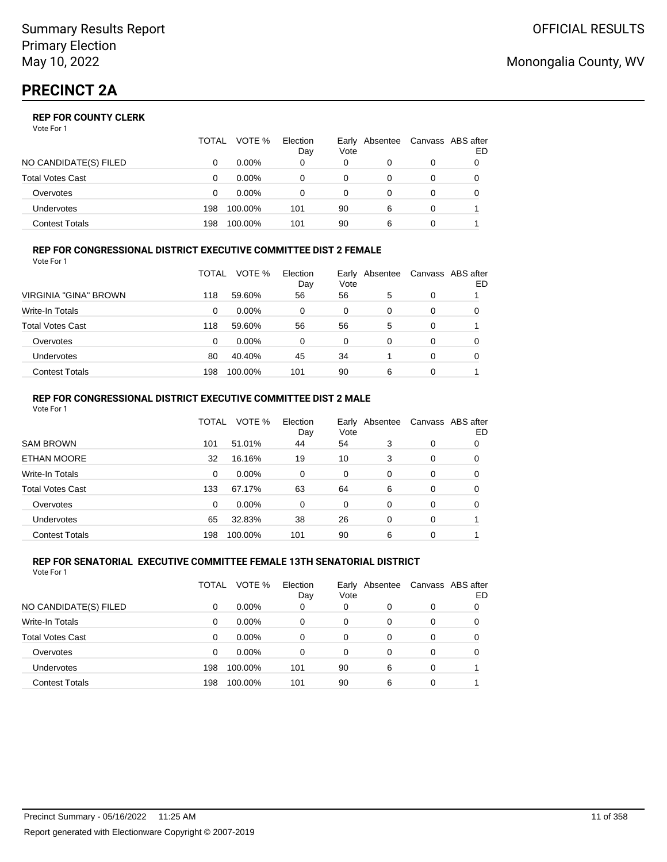|                       | TOTAL | VOTE %   | Election<br>Day | Vote | Early Absentee |   | Canvass ABS after<br>ED |
|-----------------------|-------|----------|-----------------|------|----------------|---|-------------------------|
| NO CANDIDATE(S) FILED |       | $0.00\%$ | 0               | 0    |                | 0 |                         |
| Total Votes Cast      |       | $0.00\%$ |                 | 0    |                |   |                         |
| Overvotes             |       | $0.00\%$ |                 | 0    |                |   |                         |
| Undervotes            | 198   | 100.00%  | 101             | 90   | 6              | 0 |                         |
| Contest Totals        | 198   | 100.00%  | 101             | 90   | 6              |   |                         |

#### **REP FOR CONGRESSIONAL DISTRICT EXECUTIVE COMMITTEE DIST 2 FEMALE** Vote For 1

|                         | TOTAL | VOTE %   | Election<br>Day | Early<br>Vote | Absentee |   | Canvass ABS after<br>ED |
|-------------------------|-------|----------|-----------------|---------------|----------|---|-------------------------|
| VIRGINIA "GINA" BROWN   | 118   | 59.60%   | 56              | 56            | 5        | 0 |                         |
| <b>Write-In Totals</b>  | 0     | $0.00\%$ | 0               | 0             | 0        | 0 | 0                       |
| <b>Total Votes Cast</b> | 118   | 59.60%   | 56              | 56            | 5        | 0 |                         |
| Overvotes               | 0     | $0.00\%$ | 0               | 0             | 0        | 0 |                         |
| Undervotes              | 80    | 40.40%   | 45              | 34            |          | 0 | 0                       |
| <b>Contest Totals</b>   | 198   | 100.00%  | 101             | 90            | 6        | 0 |                         |

#### **REP FOR CONGRESSIONAL DISTRICT EXECUTIVE COMMITTEE DIST 2 MALE** Vote For 1

|                         | TOTAL | VOTE %   | Election<br>Day | Vote     | Early Absentee |          | Canvass ABS after<br>ED |
|-------------------------|-------|----------|-----------------|----------|----------------|----------|-------------------------|
| <b>SAM BROWN</b>        | 101   | 51.01%   | 44              | 54       | 3              | $\Omega$ | 0                       |
| <b>ETHAN MOORE</b>      | 32    | 16.16%   | 19              | 10       | 3              | $\Omega$ | 0                       |
| Write-In Totals         | 0     | 0.00%    | 0               | 0        | $\Omega$       | 0        | 0                       |
| <b>Total Votes Cast</b> | 133   | 67.17%   | 63              | 64       | 6              | $\Omega$ | 0                       |
| Overvotes               | 0     | $0.00\%$ | 0               | $\Omega$ | $\Omega$       | $\Omega$ | $\Omega$                |
| <b>Undervotes</b>       | 65    | 32.83%   | 38              | 26       | $\Omega$       | $\Omega$ |                         |
| <b>Contest Totals</b>   | 198   | 100.00%  | 101             | 90       | 6              | 0        |                         |

#### **REP FOR SENATORIAL EXECUTIVE COMMITTEE FEMALE 13TH SENATORIAL DISTRICT** Vote For 1

|                         | TOTAL | VOTE %   | Election<br>Day | Vote | Early Absentee |   | Canvass ABS after<br>ED |
|-------------------------|-------|----------|-----------------|------|----------------|---|-------------------------|
| NO CANDIDATE(S) FILED   | 0     | $0.00\%$ | 0               | 0    | 0              | 0 |                         |
| <b>Write-In Totals</b>  | 0     | $0.00\%$ | 0               | 0    | 0              | 0 |                         |
| <b>Total Votes Cast</b> | 0     | $0.00\%$ | 0               | 0    | 0              | 0 |                         |
| Overvotes               | 0     | $0.00\%$ | 0               | 0    | 0              | 0 |                         |
| Undervotes              | 198   | 100.00%  | 101             | 90   | 6              | 0 |                         |
| <b>Contest Totals</b>   | 198   | 100.00%  | 101             | 90   | 6              | 0 |                         |

## Monongalia County, WV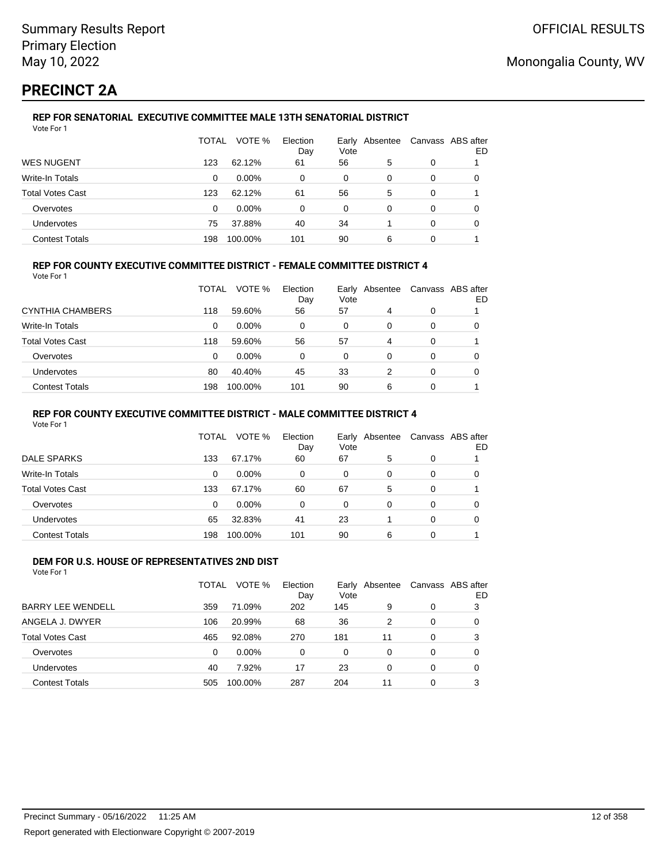# **PRECINCT 2A**

#### **REP FOR SENATORIAL EXECUTIVE COMMITTEE MALE 13TH SENATORIAL DISTRICT** Vote For 1

|                         | TOTAL | VOTE %   | Election<br>Day | Vote | Early Absentee | Canvass ABS after | ED |
|-------------------------|-------|----------|-----------------|------|----------------|-------------------|----|
| <b>WES NUGENT</b>       | 123   | 62.12%   | 61              | 56   | 5              | 0                 |    |
| Write-In Totals         | 0     | $0.00\%$ | 0               | 0    | 0              | 0                 | O  |
| <b>Total Votes Cast</b> | 123   | 62.12%   | 61              | 56   | 5              | 0                 |    |
| Overvotes               | 0     | $0.00\%$ | 0               | 0    | 0              | 0                 |    |
| <b>Undervotes</b>       | 75    | 37.88%   | 40              | 34   |                | 0                 | 0  |
| <b>Contest Totals</b>   | 198   | 100.00%  | 101             | 90   | 6              | 0                 |    |

### **REP FOR COUNTY EXECUTIVE COMMITTEE DISTRICT - FEMALE COMMITTEE DISTRICT 4**

Vote For 1

|                         | TOTAL | VOTE %   | Election<br>Day | Vote | Early Absentee | Canvass ABS after | ED |
|-------------------------|-------|----------|-----------------|------|----------------|-------------------|----|
| CYNTHIA CHAMBERS        | 118   | 59.60%   | 56              | 57   | 4              | 0                 |    |
| Write-In Totals         | 0     | $0.00\%$ | 0               | 0    | 0              | 0                 |    |
| <b>Total Votes Cast</b> | 118   | 59.60%   | 56              | 57   | 4              | 0                 |    |
| Overvotes               | 0     | $0.00\%$ | 0               | 0    | 0              | 0                 |    |
| <b>Undervotes</b>       | 80    | 40.40%   | 45              | 33   | 2              | 0                 | O  |
| <b>Contest Totals</b>   | 198   | 100.00%  | 101             | 90   | 6              | 0                 |    |

#### **REP FOR COUNTY EXECUTIVE COMMITTEE DISTRICT - MALE COMMITTEE DISTRICT 4**

Vote For 1

|                       | TOTAL    | VOTE %   | Election<br>Day | Vote     | Early Absentee | Canvass ABS after | ED |
|-----------------------|----------|----------|-----------------|----------|----------------|-------------------|----|
| <b>DALE SPARKS</b>    | 133      | 67.17%   | 60              | 67       | 5              | 0                 |    |
| Write-In Totals       | 0        | $0.00\%$ | 0               | 0        | 0              | 0                 |    |
| Total Votes Cast      | 133      | 67.17%   | 60              | 67       | 5              | 0                 |    |
| Overvotes             | $\Omega$ | 0.00%    | $\Omega$        | $\Omega$ | $\Omega$       | 0                 |    |
| <b>Undervotes</b>     | 65       | 32.83%   | 41              | 23       |                | 0                 | 0  |
| <b>Contest Totals</b> | 198      | 100.00%  | 101             | 90       | 6              | 0                 |    |

#### **DEM FOR U.S. HOUSE OF REPRESENTATIVES 2ND DIST** Vote For 1

|                          | TOTAL    | VOTE %   | Election<br>Day | Vote | Early Absentee |          | Canvass ABS after<br>ED |
|--------------------------|----------|----------|-----------------|------|----------------|----------|-------------------------|
| <b>BARRY LEE WENDELL</b> | 359      | 71.09%   | 202             | 145  | 9              | 0        | 3                       |
| ANGELA J. DWYER          | 106      | 20.99%   | 68              | 36   | 2              | 0        | 0                       |
| <b>Total Votes Cast</b>  | 465      | 92.08%   | 270             | 181  | 11             | $\Omega$ | 3                       |
| Overvotes                | $\Omega$ | $0.00\%$ | 0               | 0    | $\Omega$       | $\Omega$ | 0                       |
| Undervotes               | 40       | 7.92%    | 17              | 23   | $\Omega$       | $\Omega$ | 0                       |
| <b>Contest Totals</b>    | 505      | 100.00%  | 287             | 204  | 11             | 0        | 3                       |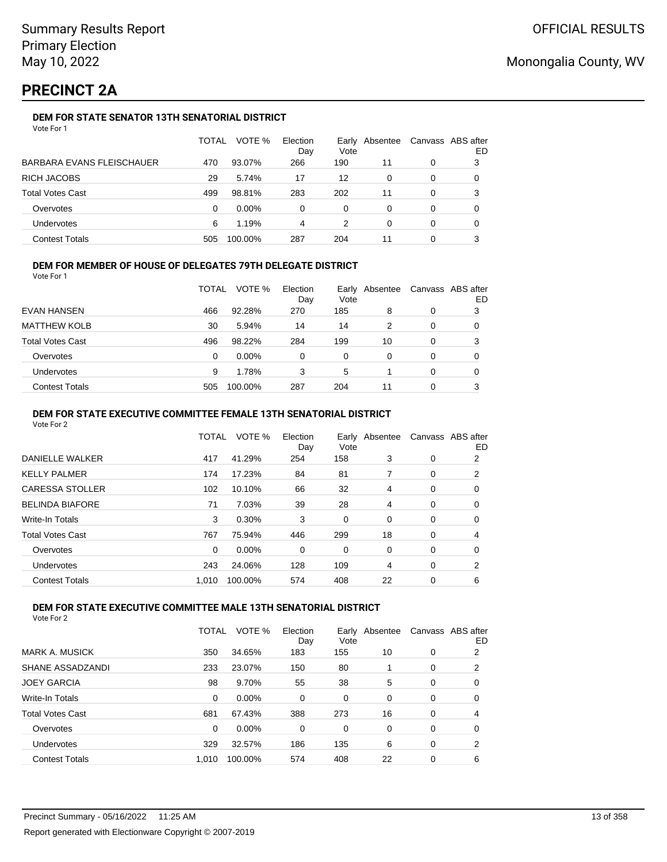# **PRECINCT 2A**

### **DEM FOR STATE SENATOR 13TH SENATORIAL DISTRICT**

| Vote For 1 |  |
|------------|--|
|------------|--|

|                           | TOTAL | VOTE %   | Election<br>Day | Vote | Early Absentee |   | Canvass ABS after<br>ED |
|---------------------------|-------|----------|-----------------|------|----------------|---|-------------------------|
| BARBARA EVANS FLEISCHAUER | 470   | 93.07%   | 266             | 190  | 11             | 0 | 3                       |
| RICH JACOBS               | 29    | 5.74%    | 17              | 12   | 0              | 0 |                         |
| Total Votes Cast          | 499   | 98.81%   | 283             | 202  | 11             | 0 | 3                       |
| Overvotes                 | 0     | $0.00\%$ | 0               | 0    | 0              | 0 |                         |
| Undervotes                | 6     | 1.19%    | 4               | 2    | 0              | 0 | 0                       |
| <b>Contest Totals</b>     | 505   | 100.00%  | 287             | 204  | 11             | 0 |                         |

### **DEM FOR MEMBER OF HOUSE OF DELEGATES 79TH DELEGATE DISTRICT**

Vote For 1

|                       | <b>TOTAL</b> | VOTE %   | Election<br>Day | Early<br>Vote | Absentee |   | Canvass ABS after<br>ED |
|-----------------------|--------------|----------|-----------------|---------------|----------|---|-------------------------|
| EVAN HANSEN           | 466          | 92.28%   | 270             | 185           | 8        | 0 | 3                       |
| <b>MATTHEW KOLB</b>   | 30           | 5.94%    | 14              | 14            | 2        | 0 | 0                       |
| Total Votes Cast      | 496          | 98.22%   | 284             | 199           | 10       |   | 3                       |
| Overvotes             | 0            | $0.00\%$ | 0               | $\Omega$      |          | 0 | 0                       |
| <b>Undervotes</b>     | 9            | 1.78%    | 3               | 5             |          | 0 | 0                       |
| <b>Contest Totals</b> | 505          | 100.00%  | 287             | 204           | 11       |   | 3                       |

#### **DEM FOR STATE EXECUTIVE COMMITTEE FEMALE 13TH SENATORIAL DISTRICT**

Vote For 2

|                        | TOTAL    | VOTE %  | Election<br>Day | Vote | Early Absentee |   | Canvass ABS after<br>ED |
|------------------------|----------|---------|-----------------|------|----------------|---|-------------------------|
| DANIELLE WALKER        | 417      | 41.29%  | 254             | 158  | 3              | 0 | 2                       |
| KELLY PALMER           | 174      | 17.23%  | 84              | 81   | 7              | 0 | 2                       |
| CARESSA STOLLER        | 102      | 10.10%  | 66              | 32   | 4              | 0 | 0                       |
| <b>BELINDA BIAFORE</b> | 71       | 7.03%   | 39              | 28   | 4              | 0 | 0                       |
| Write-In Totals        | 3        | 0.30%   | 3               | 0    | 0              | 0 | 0                       |
| Total Votes Cast       | 767      | 75.94%  | 446             | 299  | 18             | 0 | 4                       |
| Overvotes              | $\Omega$ | 0.00%   | 0               | 0    | 0              | 0 | 0                       |
| Undervotes             | 243      | 24.06%  | 128             | 109  | 4              | 0 | 2                       |
| <b>Contest Totals</b>  | 1.010    | 100.00% | 574             | 408  | 22             | 0 | 6                       |
|                        |          |         |                 |      |                |   |                         |

### **DEM FOR STATE EXECUTIVE COMMITTEE MALE 13TH SENATORIAL DISTRICT**

|                         | TOTAL | VOTE %   | Election<br>Day | Early<br>Vote | Absentee |   | Canvass ABS after<br>ED |
|-------------------------|-------|----------|-----------------|---------------|----------|---|-------------------------|
| <b>MARK A. MUSICK</b>   | 350   | 34.65%   | 183             | 155           | 10       | 0 | 2                       |
| SHANE ASSADZANDI        | 233   | 23.07%   | 150             | 80            |          | 0 | 2                       |
| <b>JOEY GARCIA</b>      | 98    | 9.70%    | 55              | 38            | 5        | 0 | 0                       |
| Write-In Totals         | 0     | $0.00\%$ | 0               | 0             | 0        | 0 | 0                       |
| <b>Total Votes Cast</b> | 681   | 67.43%   | 388             | 273           | 16       | 0 | 4                       |
| Overvotes               | 0     | $0.00\%$ | 0               | 0             | 0        | 0 | 0                       |
| <b>Undervotes</b>       | 329   | 32.57%   | 186             | 135           | 6        | 0 | 2                       |
| <b>Contest Totals</b>   | 1.010 | 100.00%  | 574             | 408           | 22       | 0 | 6                       |
|                         |       |          |                 |               |          |   |                         |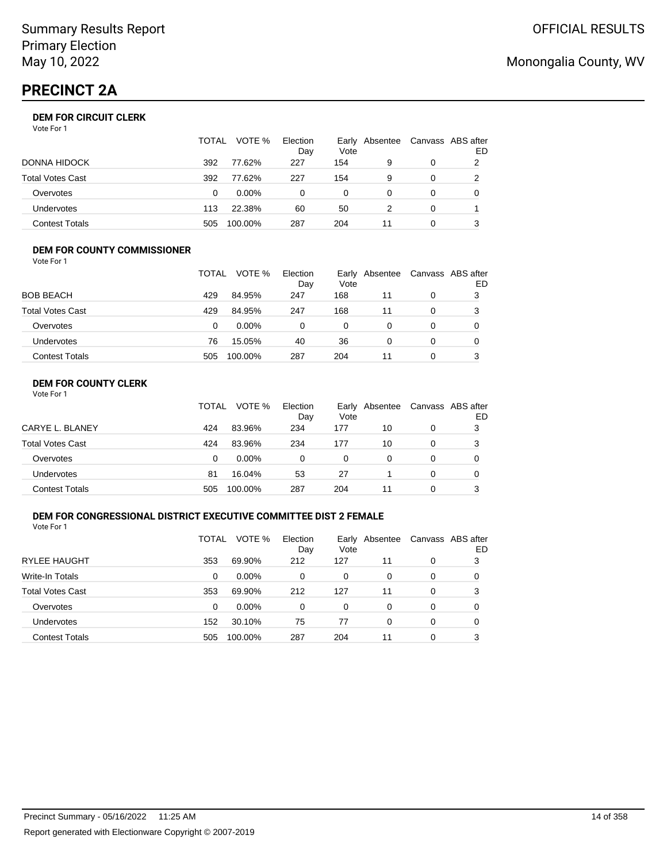# **PRECINCT 2A**

### **DEM FOR CIRCUIT CLERK**

Vote For 1

|                       | <b>TOTAL</b> | VOTE %   | Election<br>Day | Vote | Early Absentee | Canvass ABS after | ED |
|-----------------------|--------------|----------|-----------------|------|----------------|-------------------|----|
| DONNA HIDOCK          | 392          | 77.62%   | 227             | 154  | 9              |                   |    |
| Total Votes Cast      | 392          | 77.62%   | 227             | 154  | 9              |                   |    |
| Overvotes             | 0            | $0.00\%$ | $\Omega$        | 0    |                | $\Omega$          |    |
| <b>Undervotes</b>     | 113          | 22.38%   | 60              | 50   |                | $\Omega$          |    |
| <b>Contest Totals</b> | 505          | 100.00%  | 287             | 204  | 11             |                   |    |

#### **DEM FOR COUNTY COMMISSIONER** Vote For 1

|                         | TOTAL | VOTE %   | Election<br>Day | Vote | Early Absentee | Canvass ABS after | ED |
|-------------------------|-------|----------|-----------------|------|----------------|-------------------|----|
| <b>BOB BEACH</b>        | 429   | 84.95%   | 247             | 168  | 11             | 0                 | 3  |
| <b>Total Votes Cast</b> | 429   | 84.95%   | 247             | 168  | 11             | 0                 | 3  |
| Overvotes               | 0     | $0.00\%$ | 0               | 0    | 0              | 0                 |    |
| Undervotes              | 76    | 15.05%   | 40              | 36   | 0              | $\Omega$          |    |
| <b>Contest Totals</b>   | 505   | 100.00%  | 287             | 204  | 11             | 0                 |    |

### **DEM FOR COUNTY CLERK**

|                         | <b>TOTAL</b> | VOTE %   | Election<br>Day | Vote | Early Absentee | Canvass ABS after | ED |
|-------------------------|--------------|----------|-----------------|------|----------------|-------------------|----|
| CARYE L. BLANEY         | 424          | 83.96%   | 234             | 177  | 10             | 0                 | 3  |
| <b>Total Votes Cast</b> | 424          | 83.96%   | 234             | 177  | 10             | 0                 |    |
| Overvotes               | 0            | $0.00\%$ | 0               | 0    | 0              | 0                 |    |
| <b>Undervotes</b>       | 81           | 16.04%   | 53              | 27   |                | 0                 |    |
| <b>Contest Totals</b>   | 505          | 100.00%  | 287             | 204  | 11             | 0                 |    |

### **DEM FOR CONGRESSIONAL DISTRICT EXECUTIVE COMMITTEE DIST 2 FEMALE**

Vote For 1

|                         | TOTAL | VOTE %   | Election<br>Day | Vote | Early Absentee |   | Canvass ABS after<br>ED |
|-------------------------|-------|----------|-----------------|------|----------------|---|-------------------------|
| <b>RYLEE HAUGHT</b>     | 353   | 69.90%   | 212             | 127  | 11             | 0 | 3                       |
| Write-In Totals         | 0     | $0.00\%$ | 0               | 0    | 0              | 0 | 0                       |
| <b>Total Votes Cast</b> | 353   | 69.90%   | 212             | 127  | 11             | 0 | 3                       |
| Overvotes               | 0     | $0.00\%$ | 0               | 0    | 0              | 0 | 0                       |
| Undervotes              | 152   | 30.10%   | 75              | 77   | 0              | 0 | 0                       |
| <b>Contest Totals</b>   | 505   | 100.00%  | 287             | 204  | 11             | 0 | 3                       |

# Monongalia County, WV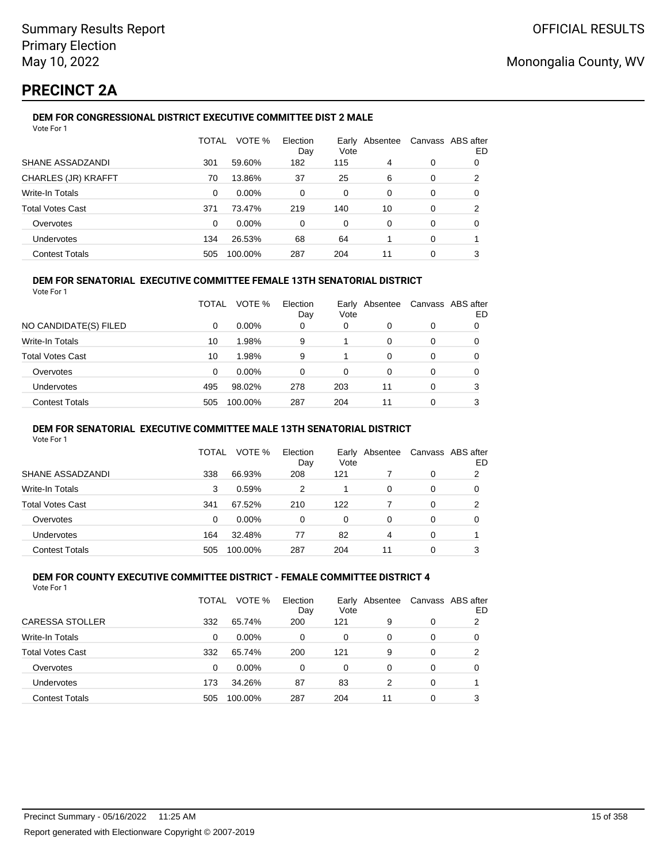# **PRECINCT 2A**

#### **DEM FOR CONGRESSIONAL DISTRICT EXECUTIVE COMMITTEE DIST 2 MALE** Vote For 1

| VULCIUII                |          |          |                 |               |          |   |                         |
|-------------------------|----------|----------|-----------------|---------------|----------|---|-------------------------|
|                         | TOTAL    | VOTE %   | Election<br>Day | Earlv<br>Vote | Absentee |   | Canvass ABS after<br>ED |
| SHANE ASSADZANDI        | 301      | 59.60%   | 182             | 115           | 4        | 0 | 0                       |
| CHARLES (JR) KRAFFT     | 70       | 13.86%   | 37              | 25            | 6        | 0 | 2                       |
| Write-In Totals         | 0        | $0.00\%$ | 0               | 0             | 0        | 0 | 0                       |
| <b>Total Votes Cast</b> | 371      | 73.47%   | 219             | 140           | 10       | 0 | 2                       |
| Overvotes               | $\Omega$ | 0.00%    | 0               | 0             | 0        | 0 | 0                       |
| Undervotes              | 134      | 26.53%   | 68              | 64            |          | 0 |                         |
| <b>Contest Totals</b>   | 505      | 100.00%  | 287             | 204           | 11       | 0 | 3                       |

### **DEM FOR SENATORIAL EXECUTIVE COMMITTEE FEMALE 13TH SENATORIAL DISTRICT**

Vote For 1

|                         | <b>TOTAL</b> | VOTE %   | Election<br>Day | Vote | Early Absentee |          | Canvass ABS after<br>ED |
|-------------------------|--------------|----------|-----------------|------|----------------|----------|-------------------------|
| NO CANDIDATE(S) FILED   | 0            | $0.00\%$ | 0               | 0    | 0              | 0        |                         |
| <b>Write-In Totals</b>  | 10           | 1.98%    | 9               |      | 0              |          | 0                       |
| <b>Total Votes Cast</b> | 10           | 1.98%    | 9               |      | 0              | 0        | 0                       |
| Overvotes               | 0            | $0.00\%$ | 0               | 0    | 0              | 0        |                         |
| Undervotes              | 495          | 98.02%   | 278             | 203  | 11             | $\Omega$ | 3                       |
| <b>Contest Totals</b>   | 505          | 100.00%  | 287             | 204  | 11             | 0        | 3                       |

#### **DEM FOR SENATORIAL EXECUTIVE COMMITTEE MALE 13TH SENATORIAL DISTRICT**

Vote For 1

|                         | TOTAL | VOTE %   | Election<br>Day | Vote | Early Absentee | Canvass ABS after | ED |
|-------------------------|-------|----------|-----------------|------|----------------|-------------------|----|
| SHANE ASSADZANDI        | 338   | 66.93%   | 208             | 121  |                | 0                 | 2  |
| Write-In Totals         | 3     | 0.59%    | 2               |      | 0              | 0                 | O  |
| <b>Total Votes Cast</b> | 341   | 67.52%   | 210             | 122  |                | 0                 | 2  |
| Overvotes               | 0     | $0.00\%$ | 0               | 0    | $\Omega$       | 0                 | O  |
| Undervotes              | 164   | 32.48%   | 77              | 82   | 4              | 0                 |    |
| <b>Contest Totals</b>   | 505   | 100.00%  | 287             | 204  | 11             | 0                 | 3  |

#### **DEM FOR COUNTY EXECUTIVE COMMITTEE DISTRICT - FEMALE COMMITTEE DISTRICT 4** Vote For 1

|                         | TOTAL | VOTE %   | Election<br>Day | Vote     | Early Absentee |   | Canvass ABS after<br>ED |
|-------------------------|-------|----------|-----------------|----------|----------------|---|-------------------------|
| <b>CARESSA STOLLER</b>  | 332   | 65.74%   | 200             | 121      | 9              | 0 | 2                       |
| <b>Write-In Totals</b>  | 0     | $0.00\%$ | $\Omega$        | 0        | 0              | 0 | 0                       |
| <b>Total Votes Cast</b> | 332   | 65.74%   | 200             | 121      | 9              | 0 | 2                       |
| Overvotes               | 0     | $0.00\%$ | $\Omega$        | $\Omega$ | 0              | 0 | 0                       |
| Undervotes              | 173   | 34.26%   | 87              | 83       | 2              | 0 |                         |
| <b>Contest Totals</b>   | 505   | 100.00%  | 287             | 204      | 11             | 0 | 3                       |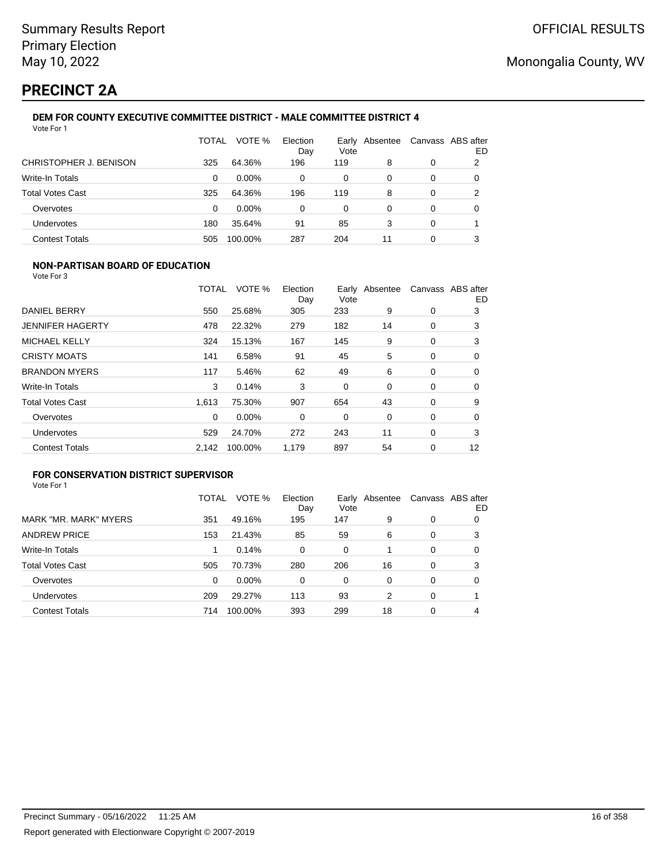# **PRECINCT 2A**

#### **DEM FOR COUNTY EXECUTIVE COMMITTEE DISTRICT - MALE COMMITTEE DISTRICT 4** Vote For 1

|                         | TOTAL | VOTE %   | Election<br>Day | Earlv<br>Vote | Absentee | Canvass ABS after | ED |
|-------------------------|-------|----------|-----------------|---------------|----------|-------------------|----|
| CHRISTOPHER J. BENISON  | 325   | 64.36%   | 196             | 119           | 8        | 0                 | 2  |
| Write-In Totals         | 0     | $0.00\%$ | 0               | 0             | 0        | 0                 | 0  |
| <b>Total Votes Cast</b> | 325   | 64.36%   | 196             | 119           | 8        | 0                 | 2  |
| Overvotes               | 0     | $0.00\%$ | 0               | 0             | 0        | 0                 | 0  |
| Undervotes              | 180   | 35.64%   | 91              | 85            | 3        | 0                 |    |
| <b>Contest Totals</b>   | 505   | 100.00%  | 287             | 204           | 11       | 0                 | 3  |

### **NON-PARTISAN BOARD OF EDUCATION**

Vote For 3

|                         | TOTAL | VOTE %  | Election<br>Day | Vote | Early Absentee |   | Canvass ABS after<br>ED |
|-------------------------|-------|---------|-----------------|------|----------------|---|-------------------------|
| DANIEL BERRY            | 550   | 25.68%  | 305             | 233  | 9              | 0 | 3                       |
| <b>JENNIFER HAGERTY</b> | 478   | 22.32%  | 279             | 182  | 14             | 0 | 3                       |
| <b>MICHAEL KELLY</b>    | 324   | 15.13%  | 167             | 145  | 9              | 0 | 3                       |
| <b>CRISTY MOATS</b>     | 141   | 6.58%   | 91              | 45   | 5              | 0 | 0                       |
| <b>BRANDON MYERS</b>    | 117   | 5.46%   | 62              | 49   | 6              | 0 | 0                       |
| Write-In Totals         | 3     | 0.14%   | 3               | 0    | $\Omega$       | 0 | 0                       |
| <b>Total Votes Cast</b> | 1.613 | 75.30%  | 907             | 654  | 43             | 0 | 9                       |
| Overvotes               | 0     | 0.00%   | 0               | 0    | 0              | 0 | 0                       |
| Undervotes              | 529   | 24.70%  | 272             | 243  | 11             | 0 | 3                       |
| <b>Contest Totals</b>   | 2,142 | 100.00% | 1,179           | 897  | 54             | 0 | 12                      |

### **FOR CONSERVATION DISTRICT SUPERVISOR**

|                         | TOTAL | VOTE %  | Election<br>Day | Early<br>Vote | Absentee |          | Canvass ABS after<br>ED |
|-------------------------|-------|---------|-----------------|---------------|----------|----------|-------------------------|
| MARK "MR. MARK" MYERS   | 351   | 49.16%  | 195             | 147           | 9        | 0        | 0                       |
| <b>ANDREW PRICE</b>     | 153   | 21.43%  | 85              | 59            | 6        | 0        | 3                       |
| Write-In Totals         |       | 0.14%   | $\Omega$        | $\Omega$      |          | $\Omega$ | 0                       |
| <b>Total Votes Cast</b> | 505   | 70.73%  | 280             | 206           | 16       | 0        | 3                       |
| Overvotes               | 0     | 0.00%   | $\Omega$        | 0             | 0        | 0        | 0                       |
| <b>Undervotes</b>       | 209   | 29.27%  | 113             | 93            | 2        | 0        |                         |
| <b>Contest Totals</b>   | 714   | 100.00% | 393             | 299           | 18       | 0        | 4                       |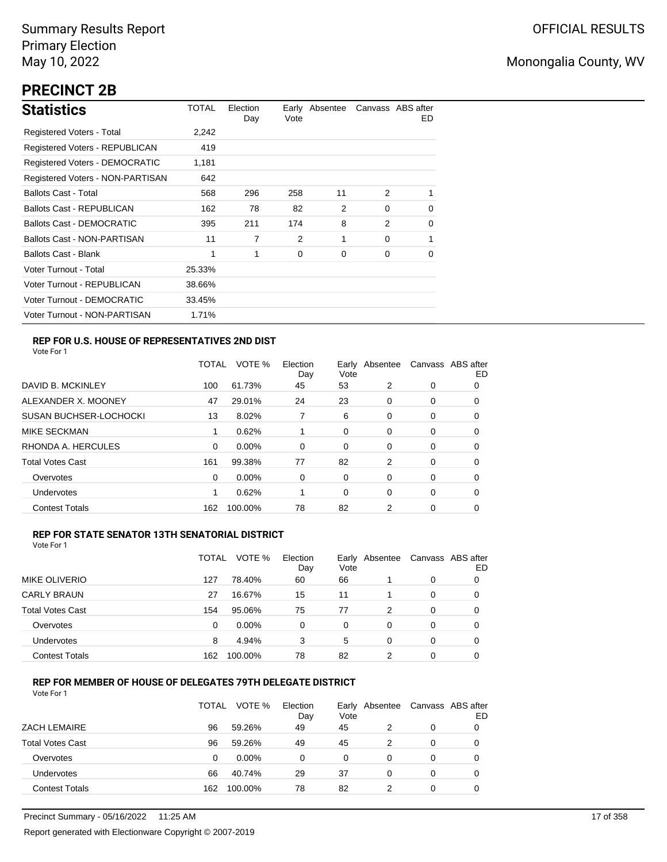# **PRECINCT 2B**

| <b>Statistics</b>                | TOTAL  | Election<br>Day | Vote | Early Absentee |          | Canvass ABS after<br>ED. |
|----------------------------------|--------|-----------------|------|----------------|----------|--------------------------|
| Registered Voters - Total        | 2,242  |                 |      |                |          |                          |
| Registered Voters - REPUBLICAN   | 419    |                 |      |                |          |                          |
| Registered Voters - DEMOCRATIC   | 1,181  |                 |      |                |          |                          |
| Registered Voters - NON-PARTISAN | 642    |                 |      |                |          |                          |
| <b>Ballots Cast - Total</b>      | 568    | 296             | 258  | 11             | 2        | 1                        |
| Ballots Cast - REPUBLICAN        | 162    | 78              | 82   | 2              | $\Omega$ | 0                        |
| <b>Ballots Cast - DEMOCRATIC</b> | 395    | 211             | 174  | 8              | 2        | 0                        |
| Ballots Cast - NON-PARTISAN      | 11     | 7               | 2    | 1              | $\Omega$ | 1                        |
| <b>Ballots Cast - Blank</b>      | 1      | 1               | 0    | 0              | 0        | 0                        |
| Voter Turnout - Total            | 25.33% |                 |      |                |          |                          |
| Voter Turnout - REPUBLICAN       | 38.66% |                 |      |                |          |                          |
| Voter Turnout - DEMOCRATIC       | 33.45% |                 |      |                |          |                          |
| Voter Turnout - NON-PARTISAN     | 1.71%  |                 |      |                |          |                          |

### **REP FOR U.S. HOUSE OF REPRESENTATIVES 2ND DIST**

Vote For 1

|                               | TOTAL | VOTE %   | Election<br>Day | Early<br>Vote | Absentee |   | Canvass ABS after<br>ED |
|-------------------------------|-------|----------|-----------------|---------------|----------|---|-------------------------|
| DAVID B. MCKINLEY             | 100   | 61.73%   | 45              | 53            | 2        | 0 | 0                       |
| ALEXANDER X. MOONEY           | 47    | 29.01%   | 24              | 23            | 0        | 0 | O                       |
| <b>SUSAN BUCHSER-LOCHOCKI</b> | 13    | 8.02%    |                 | 6             | 0        | 0 | 0                       |
| <b>MIKE SECKMAN</b>           |       | 0.62%    | 1               | 0             | 0        | 0 | 0                       |
| RHONDA A. HERCULES            | 0     | 0.00%    | 0               | 0             | 0        | 0 | 0                       |
| <b>Total Votes Cast</b>       | 161   | 99.38%   | 77              | 82            | 2        | 0 | 0                       |
| Overvotes                     | 0     | $0.00\%$ | 0               | 0             | 0        | 0 | 0                       |
| Undervotes                    |       | 0.62%    |                 | 0             | 0        | 0 | 0                       |
| <b>Contest Totals</b>         | 162   | 100.00%  | 78              | 82            | 2        | 0 | 0                       |

#### **REP FOR STATE SENATOR 13TH SENATORIAL DISTRICT**

| Vote For 1 |
|------------|
|------------|

|                         | TOTAL | VOTE %   | Election<br>Day | Vote | Early Absentee |   | Canvass ABS after<br>ED |
|-------------------------|-------|----------|-----------------|------|----------------|---|-------------------------|
| MIKE OLIVERIO           | 127   | 78.40%   | 60              | 66   |                | 0 | 0                       |
| <b>CARLY BRAUN</b>      | 27    | 16.67%   | 15              | 11   |                | 0 | O                       |
| <b>Total Votes Cast</b> | 154   | 95.06%   | 75              | 77   | 2              | 0 | O                       |
| Overvotes               | 0     | $0.00\%$ | 0               | 0    | 0              | 0 | O                       |
| Undervotes              | 8     | 4.94%    | 3               | 5    | 0              | 0 | O                       |
| <b>Contest Totals</b>   | 162   | 100.00%  | 78              | 82   | າ              | 0 |                         |

#### **REP FOR MEMBER OF HOUSE OF DELEGATES 79TH DELEGATE DISTRICT**

|                         | <b>TOTAL</b> | VOTE %   | Election<br>Day | Vote | Early Absentee | Canvass ABS after | ED |
|-------------------------|--------------|----------|-----------------|------|----------------|-------------------|----|
| <b>ZACH LEMAIRE</b>     | 96           | 59.26%   | 49              | 45   |                | 0                 |    |
| <b>Total Votes Cast</b> | 96           | 59.26%   | 49              | 45   |                | 0                 |    |
| Overvotes               | 0            | $0.00\%$ | 0               | 0    | 0              | 0                 |    |
| Undervotes              | 66           | 40.74%   | 29              | 37   | 0              | 0                 |    |
| <b>Contest Totals</b>   | 162          | 100.00%  | 78              | 82   |                | 0                 |    |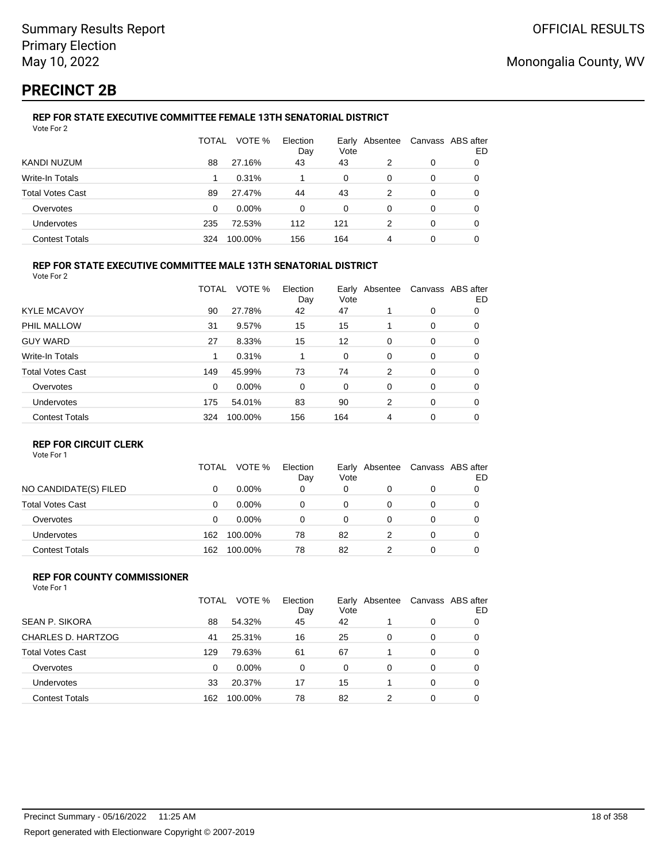# **PRECINCT 2B**

#### **REP FOR STATE EXECUTIVE COMMITTEE FEMALE 13TH SENATORIAL DISTRICT** Vote For 2

|                         | TOTAL | VOTE %   | Election<br>Day | Vote | Early Absentee |   | Canvass ABS after<br>ED |
|-------------------------|-------|----------|-----------------|------|----------------|---|-------------------------|
| KANDI NUZUM             | 88    | 27.16%   | 43              | 43   | 2              | 0 | 0                       |
| Write-In Totals         |       | 0.31%    |                 | 0    | 0              | 0 |                         |
| <b>Total Votes Cast</b> | 89    | 27.47%   | 44              | 43   | 2              | 0 |                         |
| Overvotes               | 0     | $0.00\%$ | 0               | 0    | 0              | 0 |                         |
| Undervotes              | 235   | 72.53%   | 112             | 121  | 2              | 0 | 0                       |
| <b>Contest Totals</b>   | 324   | 100.00%  | 156             | 164  | 4              | 0 |                         |

#### **REP FOR STATE EXECUTIVE COMMITTEE MALE 13TH SENATORIAL DISTRICT**

Vote For 2

|                         | TOTAL    | VOTE %  | Election<br>Day | Vote | Early Absentee |   | Canvass ABS after<br>ED |
|-------------------------|----------|---------|-----------------|------|----------------|---|-------------------------|
| <b>KYLE MCAVOY</b>      | 90       | 27.78%  | 42              | 47   |                | 0 | 0                       |
| PHIL MALLOW             | 31       | 9.57%   | 15              | 15   |                | 0 | 0                       |
| <b>GUY WARD</b>         | 27       | 8.33%   | 15              | 12   | 0              | 0 | 0                       |
| Write-In Totals         | 1        | 0.31%   |                 | 0    | 0              | 0 | 0                       |
| <b>Total Votes Cast</b> | 149      | 45.99%  | 73              | 74   | 2              | 0 | 0                       |
| Overvotes               | $\Omega$ | 0.00%   | 0               | 0    | 0              | 0 | 0                       |
| Undervotes              | 175      | 54.01%  | 83              | 90   | 2              | 0 | 0                       |
| <b>Contest Totals</b>   | 324      | 100.00% | 156             | 164  | 4              | 0 | 0                       |
|                         |          |         |                 |      |                |   |                         |

#### **REP FOR CIRCUIT CLERK**

Vote For 1

|                         | TOTAL | VOTE %   | Election<br>Day | Vote | Early Absentee | Canvass ABS after | ED |
|-------------------------|-------|----------|-----------------|------|----------------|-------------------|----|
| NO CANDIDATE(S) FILED   | 0     | $0.00\%$ | 0               | 0    | 0              | 0                 |    |
| <b>Total Votes Cast</b> | 0     | $0.00\%$ | 0               | 0    |                | 0                 |    |
| Overvotes               | 0     | $0.00\%$ | 0               | 0    |                | 0                 |    |
| <b>Undervotes</b>       | 162   | 100.00%  | 78              | 82   |                | 0                 |    |
| <b>Contest Totals</b>   | 162   | 100.00%  | 78              | 82   |                | 0                 |    |

#### **REP FOR COUNTY COMMISSIONER** Vote For 1

|                         | TOTAL | VOTE %   | Election<br>Day | Vote     | Early Absentee |          | Canvass ABS after<br>ED |
|-------------------------|-------|----------|-----------------|----------|----------------|----------|-------------------------|
| <b>SEAN P. SIKORA</b>   | 88    | 54.32%   | 45              | 42       |                | 0        | 0                       |
| CHARLES D. HARTZOG      | 41    | 25.31%   | 16              | 25       | 0              | 0        | 0                       |
| <b>Total Votes Cast</b> | 129   | 79.63%   | 61              | 67       |                | 0        | $\Omega$                |
| Overvotes               | 0     | $0.00\%$ | $\Omega$        | $\Omega$ | 0              | $\Omega$ | 0                       |
| <b>Undervotes</b>       | 33    | 20.37%   | 17              | 15       |                | $\Omega$ | 0                       |
| <b>Contest Totals</b>   | 162   | 100.00%  | 78              | 82       | 2              | $\Omega$ | 0                       |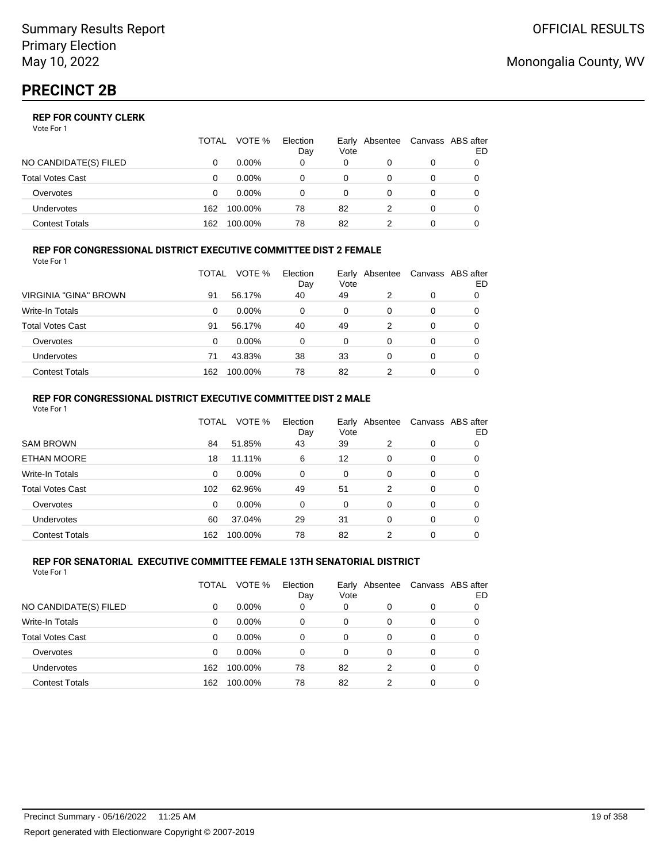|                       | <b>TOTAL</b> | VOTE %   | Election<br>Day | Vote | Early Absentee |   | Canvass ABS after<br>ED |
|-----------------------|--------------|----------|-----------------|------|----------------|---|-------------------------|
| NO CANDIDATE(S) FILED |              | $0.00\%$ | 0               | 0    |                |   |                         |
| Total Votes Cast      |              | $0.00\%$ |                 |      |                |   |                         |
| Overvotes             |              | $0.00\%$ |                 |      |                | 0 |                         |
| Undervotes            | 162          | 100.00%  | 78              | 82   |                | 0 |                         |
| Contest Totals        | 162          | 100.00%  | 78              | 82   |                |   |                         |

#### **REP FOR CONGRESSIONAL DISTRICT EXECUTIVE COMMITTEE DIST 2 FEMALE** Vote For 1

|                         | TOTAL | VOTE %   | Election<br>Day | Early<br>Vote | Absentee | Canvass ABS after | ED |
|-------------------------|-------|----------|-----------------|---------------|----------|-------------------|----|
| VIRGINIA "GINA" BROWN   | 91    | 56.17%   | 40              | 49            | 2        | 0                 | 0  |
| <b>Write-In Totals</b>  | 0     | $0.00\%$ | 0               | 0             | 0        | 0                 | 0  |
| <b>Total Votes Cast</b> | 91    | 56.17%   | 40              | 49            | 2        | 0                 | 0  |
| Overvotes               | 0     | $0.00\%$ | 0               | 0             | 0        | 0                 |    |
| <b>Undervotes</b>       | 71    | 43.83%   | 38              | 33            | 0        | 0                 |    |
| <b>Contest Totals</b>   | 162   | 100.00%  | 78              | 82            | 2        | 0                 |    |

#### **REP FOR CONGRESSIONAL DISTRICT EXECUTIVE COMMITTEE DIST 2 MALE** Vote For 1

|                         | TOTAL    | VOTE %  | Election<br>Day | Early<br>Vote | Absentee |          | Canvass ABS after<br>ED. |
|-------------------------|----------|---------|-----------------|---------------|----------|----------|--------------------------|
| <b>SAM BROWN</b>        | 84       | 51.85%  | 43              | 39            | 2        | 0        | 0                        |
| <b>ETHAN MOORE</b>      | 18       | 11.11%  | 6               | 12            | $\Omega$ | 0        | 0                        |
| Write-In Totals         | $\Omega$ | 0.00%   | 0               | $\Omega$      | $\Omega$ | 0        | 0                        |
| <b>Total Votes Cast</b> | 102      | 62.96%  | 49              | 51            | 2        | $\Omega$ | 0                        |
| Overvotes               | $\Omega$ | 0.00%   | 0               | $\Omega$      | $\Omega$ | $\Omega$ | 0                        |
| Undervotes              | 60       | 37.04%  | 29              | 31            | $\Omega$ | 0        | 0                        |
| <b>Contest Totals</b>   | 162      | 100.00% | 78              | 82            | 2        | $\Omega$ | 0                        |

#### **REP FOR SENATORIAL EXECUTIVE COMMITTEE FEMALE 13TH SENATORIAL DISTRICT** Vote For 1

|                         | TOTAL | VOTE %   | Election<br>Day | Vote | Early Absentee |          | Canvass ABS after<br>ED |
|-------------------------|-------|----------|-----------------|------|----------------|----------|-------------------------|
| NO CANDIDATE(S) FILED   | 0     | $0.00\%$ | 0               | 0    | 0              | 0        | 0                       |
| <b>Write-In Totals</b>  | 0     | $0.00\%$ | 0               | 0    | $\Omega$       | 0        | 0                       |
| <b>Total Votes Cast</b> | 0     | $0.00\%$ | 0               | 0    | 0              | $\Omega$ | 0                       |
| Overvotes               | 0     | $0.00\%$ | 0               | 0    | 0              | 0        | 0                       |
| Undervotes              | 162   | 100.00%  | 78              | 82   | 2              | $\Omega$ |                         |
| <b>Contest Totals</b>   | 162   | 100.00%  | 78              | 82   | 2              | 0        |                         |

# Monongalia County, WV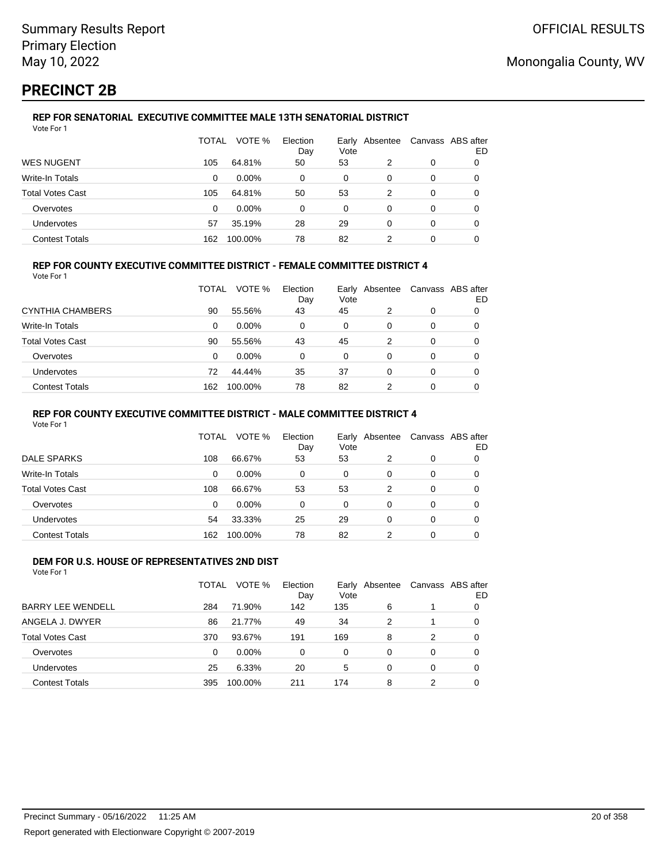# **PRECINCT 2B**

#### **REP FOR SENATORIAL EXECUTIVE COMMITTEE MALE 13TH SENATORIAL DISTRICT** Vote For 1

|                         | TOTAL | VOTE %   | Election<br>Day | Vote | Early Absentee |   | Canvass ABS after<br>ED |
|-------------------------|-------|----------|-----------------|------|----------------|---|-------------------------|
| <b>WES NUGENT</b>       | 105   | 64.81%   | 50              | 53   | 2              | 0 |                         |
| Write-In Totals         | 0     | $0.00\%$ | 0               | 0    | 0              | 0 | O                       |
| <b>Total Votes Cast</b> | 105   | 64.81%   | 50              | 53   | 2              | 0 | 0                       |
| Overvotes               | 0     | $0.00\%$ | 0               | 0    | 0              | 0 |                         |
| <b>Undervotes</b>       | 57    | 35.19%   | 28              | 29   | 0              | 0 | 0                       |
| <b>Contest Totals</b>   | 162   | 100.00%  | 78              | 82   |                | 0 |                         |

### **REP FOR COUNTY EXECUTIVE COMMITTEE DISTRICT - FEMALE COMMITTEE DISTRICT 4**

Vote For 1

|                         | TOTAL | VOTE %   | Election<br>Day | Vote | Early Absentee | Canvass ABS after | ED |
|-------------------------|-------|----------|-----------------|------|----------------|-------------------|----|
| CYNTHIA CHAMBERS        | 90    | 55.56%   | 43              | 45   |                | 0                 |    |
| Write-In Totals         | 0     | $0.00\%$ | 0               | 0    | 0              | 0                 |    |
| <b>Total Votes Cast</b> | 90    | 55.56%   | 43              | 45   | 2              | 0                 |    |
| Overvotes               | 0     | $0.00\%$ | 0               | 0    | 0              | 0                 |    |
| <b>Undervotes</b>       | 72    | 44.44%   | 35              | 37   | 0              | 0                 |    |
| <b>Contest Totals</b>   | 162   | 100.00%  | 78              | 82   |                | 0                 |    |

#### **REP FOR COUNTY EXECUTIVE COMMITTEE DISTRICT - MALE COMMITTEE DISTRICT 4**

Vote For 1

|                       | TOTAL    | VOTE %   | Election<br>Day | Vote     | Early Absentee | Canvass ABS after | ED |
|-----------------------|----------|----------|-----------------|----------|----------------|-------------------|----|
| <b>DALE SPARKS</b>    | 108      | 66.67%   | 53              | 53       | 2              | 0                 |    |
| Write-In Totals       | 0        | $0.00\%$ | 0               | 0        | 0              | 0                 |    |
| Total Votes Cast      | 108      | 66.67%   | 53              | 53       | 2              | 0                 |    |
| Overvotes             | $\Omega$ | 0.00%    | $\Omega$        | $\Omega$ | 0              | 0                 |    |
| <b>Undervotes</b>     | 54       | 33.33%   | 25              | 29       | 0              | 0                 |    |
| <b>Contest Totals</b> | 162      | 100.00%  | 78              | 82       |                | 0                 |    |

#### **DEM FOR U.S. HOUSE OF REPRESENTATIVES 2ND DIST** Vote For 1

|                          | TOTAL    | VOTE %   | Election<br>Day | Vote     | Early Absentee |          | Canvass ABS after<br>ED |
|--------------------------|----------|----------|-----------------|----------|----------------|----------|-------------------------|
| <b>BARRY LEE WENDELL</b> | 284      | 71.90%   | 142             | 135      | 6              |          | 0                       |
| ANGELA J. DWYER          | 86       | 21.77%   | 49              | 34       | 2              |          | 0                       |
| <b>Total Votes Cast</b>  | 370      | 93.67%   | 191             | 169      | 8              | 2        | 0                       |
| Overvotes                | $\Omega$ | $0.00\%$ | 0               | $\Omega$ | 0              | $\Omega$ | $\Omega$                |
| Undervotes               | 25       | 6.33%    | 20              | 5        | 0              | $\Omega$ | 0                       |
| <b>Contest Totals</b>    | 395      | 100.00%  | 211             | 174      | 8              | 2        | 0                       |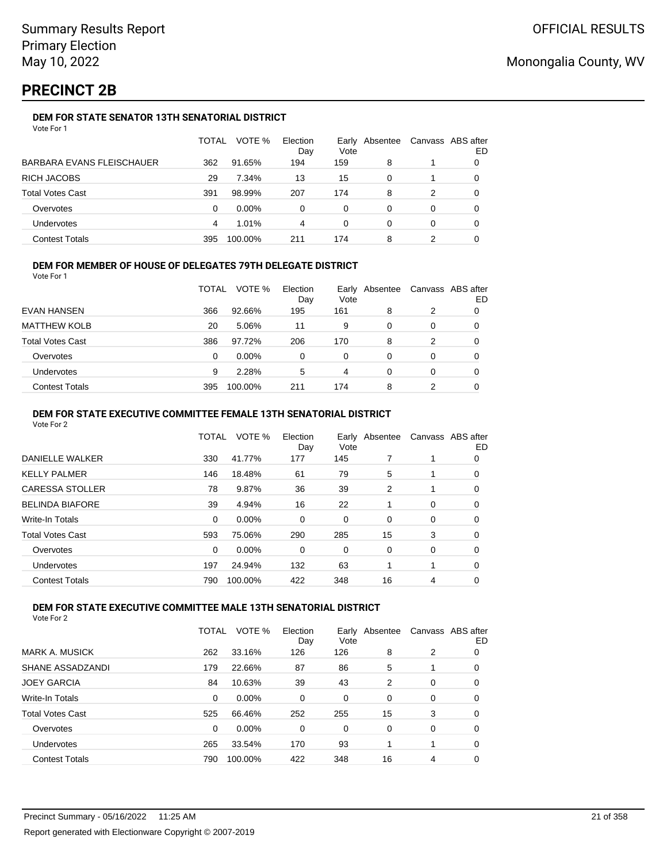# **PRECINCT 2B**

### **DEM FOR STATE SENATOR 13TH SENATORIAL DISTRICT**

|                           | TOTAL | VOTE %   | Election<br>Day | Vote | Early Absentee | Canvass ABS after | ED |
|---------------------------|-------|----------|-----------------|------|----------------|-------------------|----|
| BARBARA EVANS FLEISCHAUER | 362   | 91.65%   | 194             | 159  | 8              |                   |    |
| RICH JACOBS               | 29    | 7.34%    | 13              | 15   | 0              |                   | 0  |
| Total Votes Cast          | 391   | 98.99%   | 207             | 174  | 8              | 2                 |    |
| Overvotes                 | 0     | $0.00\%$ | 0               | 0    | 0              | 0                 |    |
| Undervotes                | 4     | 1.01%    | 4               | 0    | 0              | 0                 |    |
| <b>Contest Totals</b>     | 395   | 100.00%  | 211             | 174  | 8              |                   |    |

### **DEM FOR MEMBER OF HOUSE OF DELEGATES 79TH DELEGATE DISTRICT**

Vote For 1

|                         | TOTAL | VOTE %   | Election<br>Day | Vote | Early Absentee |               | Canvass ABS after<br>ED |
|-------------------------|-------|----------|-----------------|------|----------------|---------------|-------------------------|
| <b>EVAN HANSEN</b>      | 366   | 92.66%   | 195             | 161  | 8              | $\mathcal{P}$ | 0                       |
| <b>MATTHEW KOLB</b>     | 20    | 5.06%    | 11              | 9    | 0              | $\Omega$      | 0                       |
| <b>Total Votes Cast</b> | 386   | 97.72%   | 206             | 170  | 8              | $\mathcal{P}$ | 0                       |
| Overvotes               | 0     | $0.00\%$ | 0               | 0    | 0              | $\Omega$      | 0                       |
| <b>Undervotes</b>       | 9     | 2.28%    | 5               | 4    | 0              | $\Omega$      | 0                       |
| <b>Contest Totals</b>   | 395   | 100.00%  | 211             | 174  | 8              | 2             | 0                       |

#### **DEM FOR STATE EXECUTIVE COMMITTEE FEMALE 13TH SENATORIAL DISTRICT**

Vote For 2

|                        | TOTAL    | VOTE %   | Election<br>Day | Vote | Early Absentee |   | Canvass ABS after<br>ED |
|------------------------|----------|----------|-----------------|------|----------------|---|-------------------------|
| DANIELLE WALKER        | 330      | 41.77%   | 177             | 145  |                |   | 0                       |
| KELLY PALMER           | 146      | 18.48%   | 61              | 79   | 5              |   | 0                       |
| CARESSA STOLLER        | 78       | 9.87%    | 36              | 39   | 2              |   | 0                       |
| <b>BELINDA BIAFORE</b> | 39       | 4.94%    | 16              | 22   |                | 0 | 0                       |
| Write-In Totals        | 0        | $0.00\%$ | 0               | 0    | 0              | 0 | 0                       |
| Total Votes Cast       | 593      | 75.06%   | 290             | 285  | 15             | 3 | 0                       |
| Overvotes              | $\Omega$ | 0.00%    | 0               | 0    | 0              | 0 | 0                       |
| Undervotes             | 197      | 24.94%   | 132             | 63   |                |   | 0                       |
| <b>Contest Totals</b>  | 790      | 100.00%  | 422             | 348  | 16             | 4 | 0                       |
|                        |          |          |                 |      |                |   |                         |

### **DEM FOR STATE EXECUTIVE COMMITTEE MALE 13TH SENATORIAL DISTRICT**

|                         | TOTAL | VOTE %   | Election<br>Dav | Earlv<br>Vote | Absentee |   | Canvass ABS after<br>ED |
|-------------------------|-------|----------|-----------------|---------------|----------|---|-------------------------|
| <b>MARK A. MUSICK</b>   | 262   | 33.16%   | 126             | 126           | 8        | 2 | 0                       |
| SHANE ASSADZANDI        | 179   | 22.66%   | 87              | 86            | 5        |   | 0                       |
| <b>JOEY GARCIA</b>      | 84    | 10.63%   | 39              | 43            | 2        | 0 | 0                       |
| Write-In Totals         | 0     | $0.00\%$ | 0               | 0             | 0        | 0 | 0                       |
| <b>Total Votes Cast</b> | 525   | 66.46%   | 252             | 255           | 15       | 3 | 0                       |
| Overvotes               | 0     | $0.00\%$ | 0               | 0             | 0        | 0 | 0                       |
| Undervotes              | 265   | 33.54%   | 170             | 93            |          | 1 | 0                       |
| <b>Contest Totals</b>   | 790   | 100.00%  | 422             | 348           | 16       | 4 | 0                       |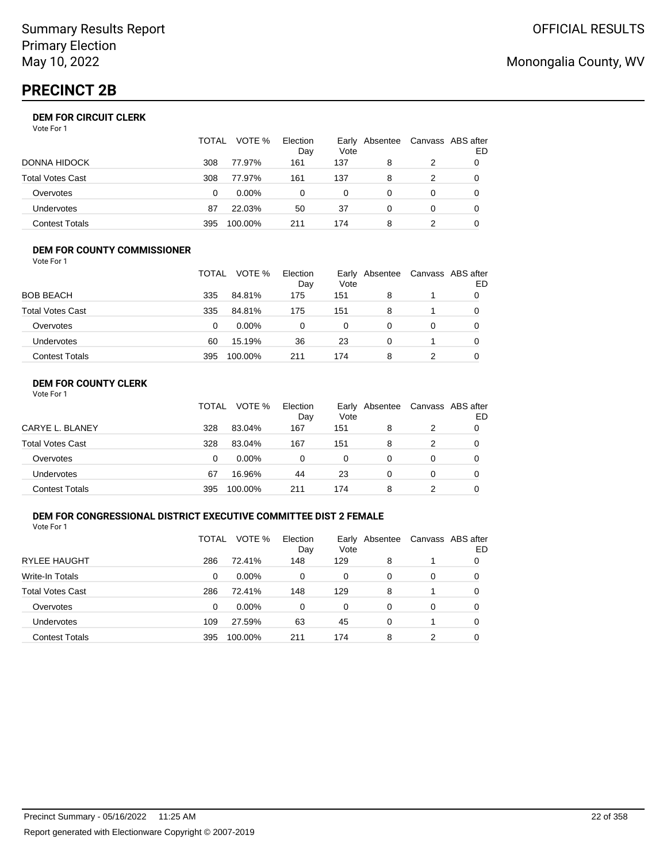# **PRECINCT 2B**

### **DEM FOR CIRCUIT CLERK**

Vote For 1

|                       | <b>TOTAL</b> | VOTE %   | Election<br>Day | Vote | Early Absentee | Canvass ABS after | ED |
|-----------------------|--------------|----------|-----------------|------|----------------|-------------------|----|
| DONNA HIDOCK          | 308          | 77.97%   | 161             | 137  | 8              |                   |    |
| Total Votes Cast      | 308          | 77.97%   | 161             | 137  | 8              |                   |    |
| Overvotes             | 0            | $0.00\%$ | $\Omega$        | 0    |                | $\Omega$          |    |
| <b>Undervotes</b>     | 87           | 22.03%   | 50              | 37   |                | $\Omega$          | 0  |
| <b>Contest Totals</b> | 395          | 100.00%  | 211             | 174  | 8              |                   |    |

#### **DEM FOR COUNTY COMMISSIONER** Vote For 1

|                         | TOTAL | VOTE %   | Election<br>Day | Vote | Early Absentee | Canvass ABS after | ED |
|-------------------------|-------|----------|-----------------|------|----------------|-------------------|----|
| <b>BOB BEACH</b>        | 335   | 84.81%   | 175             | 151  | 8              |                   |    |
| <b>Total Votes Cast</b> | 335   | 84.81%   | 175             | 151  | 8              |                   | 0  |
| Overvotes               | 0     | $0.00\%$ | 0               | 0    | 0              | 0                 |    |
| Undervotes              | 60    | 15.19%   | 36              | 23   | $\Omega$       |                   |    |
| <b>Contest Totals</b>   | 395   | 100.00%  | 211             | 174  | 8              |                   |    |

### **DEM FOR COUNTY CLERK**

|                         | <b>TOTAL</b> | VOTE %   | Election<br>Day | Vote | Early Absentee | Canvass ABS after | ED |
|-------------------------|--------------|----------|-----------------|------|----------------|-------------------|----|
| CARYE L. BLANEY         | 328          | 83.04%   | 167             | 151  | 8              |                   |    |
| <b>Total Votes Cast</b> | 328          | 83.04%   | 167             | 151  | 8              |                   |    |
| Overvotes               | 0            | $0.00\%$ | 0               | 0    | 0              | 0                 |    |
| Undervotes              | 67           | 16.96%   | 44              | 23   | 0              | 0                 |    |
| <b>Contest Totals</b>   | 395          | 100.00%  | 211             | 174  | 8              |                   |    |

### **DEM FOR CONGRESSIONAL DISTRICT EXECUTIVE COMMITTEE DIST 2 FEMALE**

Vote For 1

|                         | TOTAL | VOTE %   | Election<br>Day | Early<br>Vote | Absentee |   | Canvass ABS after<br>ED |
|-------------------------|-------|----------|-----------------|---------------|----------|---|-------------------------|
| <b>RYLEE HAUGHT</b>     | 286   | 72.41%   | 148             | 129           | 8        |   | O                       |
| Write-In Totals         | 0     | $0.00\%$ | 0               | 0             | 0        | 0 | 0                       |
| <b>Total Votes Cast</b> | 286   | 72.41%   | 148             | 129           | 8        |   | 0                       |
| Overvotes               | 0     | $0.00\%$ | $\Omega$        | $\Omega$      | 0        | 0 | 0                       |
| Undervotes              | 109   | 27.59%   | 63              | 45            | 0        |   | 0                       |
| <b>Contest Totals</b>   | 395   | 100.00%  | 211             | 174           | 8        | 2 | 0                       |

# Monongalia County, WV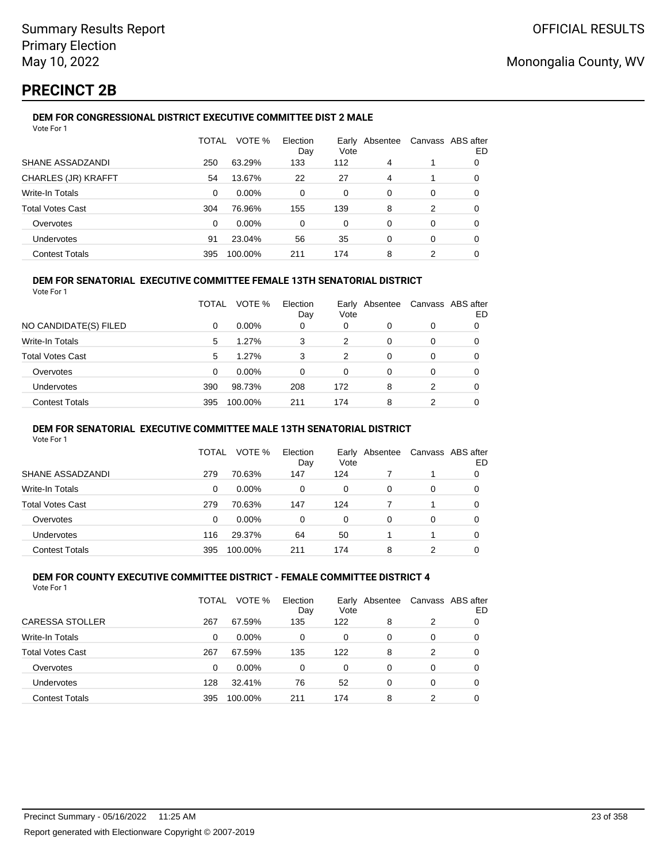# **PRECINCT 2B**

### **DEM FOR CONGRESSIONAL DISTRICT EXECUTIVE COMMITTEE DIST 2 MALE**

| Vote For 1              |              |         |                 |          |                |          |                         |
|-------------------------|--------------|---------|-----------------|----------|----------------|----------|-------------------------|
|                         | <b>TOTAL</b> | VOTE %  | Election<br>Day | Vote     | Early Absentee |          | Canvass ABS after<br>ED |
| SHANE ASSADZANDI        | 250          | 63.29%  | 133             | 112      | 4              |          | 0                       |
| CHARLES (JR) KRAFFT     | 54           | 13.67%  | 22              | 27       | 4              |          | $\Omega$                |
| <b>Write-In Totals</b>  | $\Omega$     | 0.00%   | $\Omega$        | $\Omega$ | $\Omega$       | $\Omega$ | $\Omega$                |
| <b>Total Votes Cast</b> | 304          | 76.96%  | 155             | 139      | 8              | 2        | 0                       |
| Overvotes               | $\Omega$     | 0.00%   | $\Omega$        | 0        | $\Omega$       | 0        | $\Omega$                |
| Undervotes              | 91           | 23.04%  | 56              | 35       | $\Omega$       | $\Omega$ | 0                       |
| <b>Contest Totals</b>   | 395          | 100.00% | 211             | 174      | 8              | 2        | 0                       |

#### **DEM FOR SENATORIAL EXECUTIVE COMMITTEE FEMALE 13TH SENATORIAL DISTRICT**

Vote For 1

|                         | TOTAL | VOTE %   | Election<br>Day | Vote | Early Absentee |   | Canvass ABS after<br>ED |
|-------------------------|-------|----------|-----------------|------|----------------|---|-------------------------|
| NO CANDIDATE(S) FILED   | 0     | $0.00\%$ | 0               | 0    | 0              | 0 |                         |
| <b>Write-In Totals</b>  | 5     | 1.27%    | 3               | 2    | 0              | 0 | 0                       |
| <b>Total Votes Cast</b> | 5     | $1.27\%$ | 3               | 2    | 0              | 0 | 0                       |
| Overvotes               | 0     | $0.00\%$ | 0               | 0    | 0              | 0 |                         |
| Undervotes              | 390   | 98.73%   | 208             | 172  | 8              | 2 | 0                       |
| <b>Contest Totals</b>   | 395   | 100.00%  | 211             | 174  | 8              | 2 | 0                       |

#### **DEM FOR SENATORIAL EXECUTIVE COMMITTEE MALE 13TH SENATORIAL DISTRICT**

Vote For 1

|                         | TOTAL | VOTE %   | Election<br>Day | Vote | Early Absentee |          | Canvass ABS after<br>ED |
|-------------------------|-------|----------|-----------------|------|----------------|----------|-------------------------|
| SHANE ASSADZANDI        | 279   | 70.63%   | 147             | 124  |                |          | 0                       |
| Write-In Totals         | 0     | $0.00\%$ | 0               | 0    | 0              | 0        | O                       |
| <b>Total Votes Cast</b> | 279   | 70.63%   | 147             | 124  |                |          | 0                       |
| Overvotes               | 0     | $0.00\%$ | 0               | 0    | $\Omega$       | $\Omega$ | O                       |
| <b>Undervotes</b>       | 116   | 29.37%   | 64              | 50   |                |          | 0                       |
| <b>Contest Totals</b>   | 395   | 100.00%  | 211             | 174  | 8              |          |                         |

#### **DEM FOR COUNTY EXECUTIVE COMMITTEE DISTRICT - FEMALE COMMITTEE DISTRICT 4** Vote For 1

|                         | TOTAL | VOTE %   | Election<br>Day | Vote     | Early Absentee |   | Canvass ABS after<br>ED |
|-------------------------|-------|----------|-----------------|----------|----------------|---|-------------------------|
| <b>CARESSA STOLLER</b>  | 267   | 67.59%   | 135             | 122      | 8              | 2 | 0                       |
| <b>Write-In Totals</b>  | 0     | $0.00\%$ | $\Omega$        | 0        | 0              | 0 | 0                       |
| <b>Total Votes Cast</b> | 267   | 67.59%   | 135             | 122      | 8              | 2 | 0                       |
| Overvotes               | 0     | $0.00\%$ | $\Omega$        | $\Omega$ | 0              | 0 | 0                       |
| Undervotes              | 128   | 32.41%   | 76              | 52       | 0              | 0 | 0                       |
| <b>Contest Totals</b>   | 395   | 100.00%  | 211             | 174      | 8              | 2 |                         |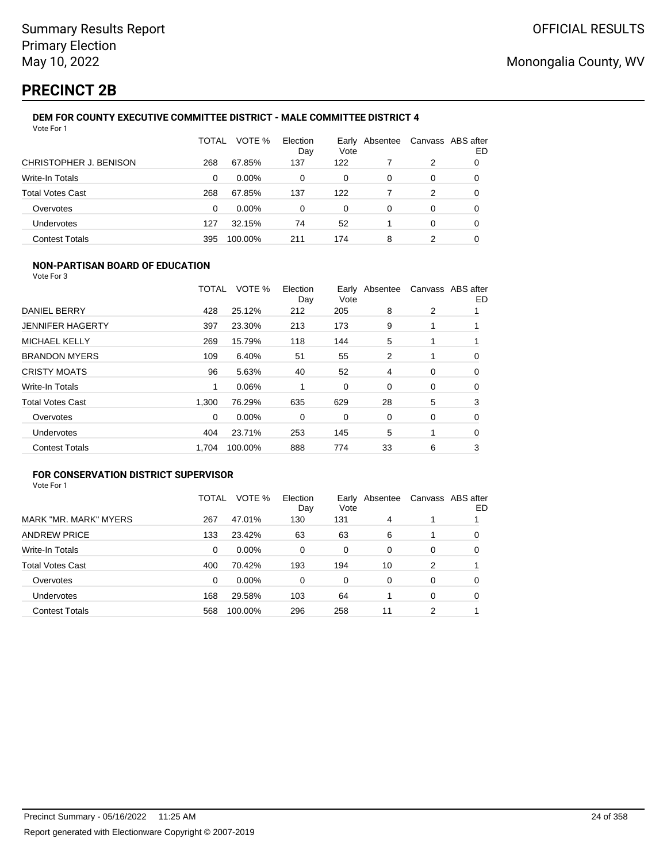# **PRECINCT 2B**

#### **DEM FOR COUNTY EXECUTIVE COMMITTEE DISTRICT - MALE COMMITTEE DISTRICT 4** Vote For 1

|                         | TOTAL | VOTE %   | Election<br>Day | Vote | Early Absentee |   | Canvass ABS after<br>ED |
|-------------------------|-------|----------|-----------------|------|----------------|---|-------------------------|
| CHRISTOPHER J. BENISON  | 268   | 67.85%   | 137             | 122  |                | 2 | O                       |
| Write-In Totals         | 0     | $0.00\%$ | 0               | 0    | 0              | 0 | 0                       |
| <b>Total Votes Cast</b> | 268   | 67.85%   | 137             | 122  |                | 2 | 0                       |
| Overvotes               | 0     | $0.00\%$ | 0               | 0    | 0              | 0 |                         |
| Undervotes              | 127   | 32.15%   | 74              | 52   |                | 0 | 0                       |
| <b>Contest Totals</b>   | 395   | 100.00%  | 211             | 174  | 8              |   | 0                       |

### **NON-PARTISAN BOARD OF EDUCATION**

Vote For 3

|                         | TOTAL | VOTE %  | Election<br>Day | Vote | Early Absentee |   | Canvass ABS after<br>ED |
|-------------------------|-------|---------|-----------------|------|----------------|---|-------------------------|
| DANIEL BERRY            | 428   | 25.12%  | 212             | 205  | 8              | 2 |                         |
| <b>JENNIFER HAGERTY</b> | 397   | 23.30%  | 213             | 173  | 9              |   |                         |
| <b>MICHAEL KELLY</b>    | 269   | 15.79%  | 118             | 144  | 5              |   |                         |
| <b>BRANDON MYERS</b>    | 109   | 6.40%   | 51              | 55   | 2              |   | 0                       |
| <b>CRISTY MOATS</b>     | 96    | 5.63%   | 40              | 52   | 4              | 0 | 0                       |
| <b>Write-In Totals</b>  | 1     | 0.06%   |                 | 0    | $\Omega$       | 0 | 0                       |
| <b>Total Votes Cast</b> | 1.300 | 76.29%  | 635             | 629  | 28             | 5 | 3                       |
| Overvotes               | 0     | 0.00%   | 0               | 0    | 0              | 0 | 0                       |
| Undervotes              | 404   | 23.71%  | 253             | 145  | 5              | 1 | 0                       |
| <b>Contest Totals</b>   | 1.704 | 100.00% | 888             | 774  | 33             | 6 | 3                       |

### **FOR CONSERVATION DISTRICT SUPERVISOR**

|                         | TOTAL | VOTE %  | Election<br>Day | Early<br>Vote | Absentee |   | Canvass ABS after<br>ED |
|-------------------------|-------|---------|-----------------|---------------|----------|---|-------------------------|
| MARK "MR. MARK" MYERS   | 267   | 47.01%  | 130             | 131           | 4        |   |                         |
| <b>ANDREW PRICE</b>     | 133   | 23.42%  | 63              | 63            | 6        |   | 0                       |
| Write-In Totals         | 0     | 0.00%   | $\Omega$        | 0             | $\Omega$ | 0 | 0                       |
| <b>Total Votes Cast</b> | 400   | 70.42%  | 193             | 194           | 10       | 2 |                         |
| Overvotes               | 0     | 0.00%   | $\Omega$        | 0             | 0        | 0 | 0                       |
| <b>Undervotes</b>       | 168   | 29.58%  | 103             | 64            |          | 0 | 0                       |
| <b>Contest Totals</b>   | 568   | 100.00% | 296             | 258           | 11       | 2 |                         |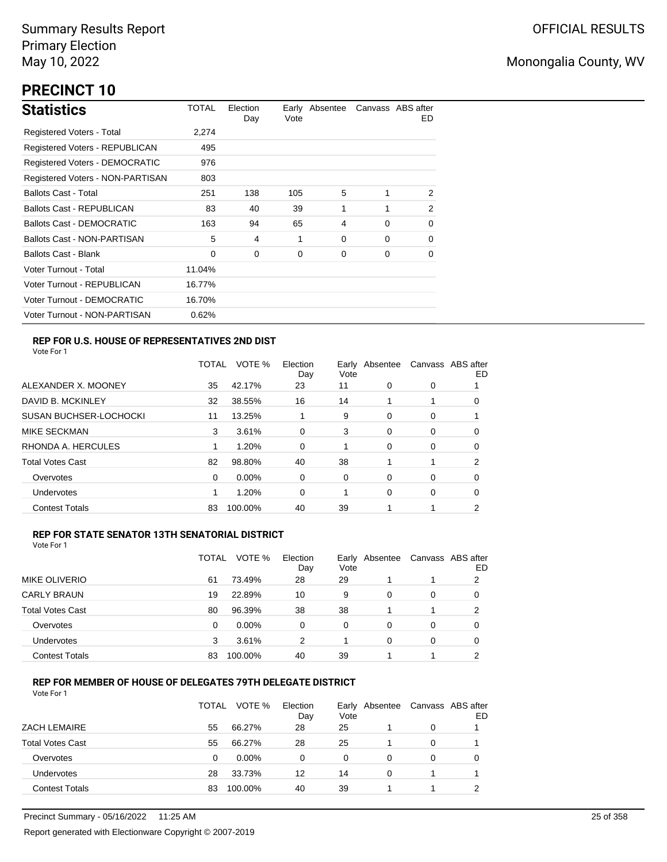# **PRECINCT 10**

| <b>Statistics</b>                     | TOTAL  | Election<br>Day | Vote | Early Absentee |          | Canvass ABS after<br>ED. |
|---------------------------------------|--------|-----------------|------|----------------|----------|--------------------------|
| Registered Voters - Total             | 2.274  |                 |      |                |          |                          |
| Registered Voters - REPUBLICAN        | 495    |                 |      |                |          |                          |
| <b>Registered Voters - DEMOCRATIC</b> | 976    |                 |      |                |          |                          |
| Registered Voters - NON-PARTISAN      | 803    |                 |      |                |          |                          |
| <b>Ballots Cast - Total</b>           | 251    | 138             | 105  | 5              |          | 2                        |
| <b>Ballots Cast - REPUBLICAN</b>      | 83     | 40              | 39   | 1              |          | 2                        |
| <b>Ballots Cast - DEMOCRATIC</b>      | 163    | 94              | 65   | 4              | $\Omega$ | 0                        |
| Ballots Cast - NON-PARTISAN           | 5      | 4               | 1    | 0              | $\Omega$ | 0                        |
| <b>Ballots Cast - Blank</b>           | 0      | 0               | 0    | 0              | 0        | 0                        |
| Voter Turnout - Total                 | 11.04% |                 |      |                |          |                          |
| Voter Turnout - REPUBLICAN            | 16.77% |                 |      |                |          |                          |
| Voter Turnout - DEMOCRATIC            | 16.70% |                 |      |                |          |                          |
| Voter Turnout - NON-PARTISAN          | 0.62%  |                 |      |                |          |                          |

### **REP FOR U.S. HOUSE OF REPRESENTATIVES 2ND DIST**

Vote For 1

|                               | <b>TOTAL</b> | VOTE %   | Election<br>Day | Early<br>Vote | Absentee |   | Canvass ABS after<br>ED |
|-------------------------------|--------------|----------|-----------------|---------------|----------|---|-------------------------|
| ALEXANDER X. MOONEY           | 35           | 42.17%   | 23              | 11            | $\Omega$ | 0 |                         |
| DAVID B. MCKINLEY             | 32           | 38.55%   | 16              | 14            |          | 1 | O                       |
| <b>SUSAN BUCHSER-LOCHOCKI</b> | 11           | 13.25%   |                 | 9             | $\Omega$ | 0 |                         |
| <b>MIKE SECKMAN</b>           | 3            | 3.61%    | 0               | 3             | 0        | 0 | 0                       |
| RHONDA A. HERCULES            |              | 1.20%    | 0               |               | $\Omega$ | 0 | 0                       |
| <b>Total Votes Cast</b>       | 82           | 98.80%   | 40              | 38            |          |   | 2                       |
| Overvotes                     | 0            | $0.00\%$ | 0               | 0             | $\Omega$ | 0 | O                       |
| <b>Undervotes</b>             |              | 1.20%    | 0               |               | $\Omega$ | 0 | 0                       |
| <b>Contest Totals</b>         | 83           | 100.00%  | 40              | 39            |          |   | 2                       |

#### **REP FOR STATE SENATOR 13TH SENATORIAL DISTRICT**

| Vote For 1 |
|------------|
|------------|

|                         | TOTAL | VOTE %   | Election<br>Day | Vote | Early Absentee |   | Canvass ABS after<br>ED |
|-------------------------|-------|----------|-----------------|------|----------------|---|-------------------------|
| MIKE OLIVERIO           | 61    | 73.49%   | 28              | 29   |                | 1 | 2                       |
| <b>CARLY BRAUN</b>      | 19    | 22.89%   | 10              | 9    | 0              | 0 | O                       |
| <b>Total Votes Cast</b> | 80    | 96.39%   | 38              | 38   |                | 1 | 2                       |
| Overvotes               | 0     | $0.00\%$ | 0               | 0    | 0              | 0 |                         |
| <b>Undervotes</b>       | 3     | 3.61%    | 2               |      | 0              | 0 | 0                       |
| <b>Contest Totals</b>   | 83    | 100.00%  | 40              | 39   |                |   | ົ                       |

### **REP FOR MEMBER OF HOUSE OF DELEGATES 79TH DELEGATE DISTRICT**

|                         | TOTAL | VOTE %   | Election<br>Day | Vote | Early Absentee | Canvass ABS after | ED |
|-------------------------|-------|----------|-----------------|------|----------------|-------------------|----|
| <b>ZACH LEMAIRE</b>     | 55    | 66.27%   | 28              | 25   |                | $\Omega$          |    |
| <b>Total Votes Cast</b> | 55    | 66.27%   | 28              | 25   |                | 0                 |    |
| Overvotes               | 0     | $0.00\%$ | 0               | 0    | 0              | 0                 |    |
| Undervotes              | 28    | 33.73%   | 12              | 14   | 0              |                   |    |
| <b>Contest Totals</b>   | 83    | 100.00%  | 40              | 39   |                |                   | ົ  |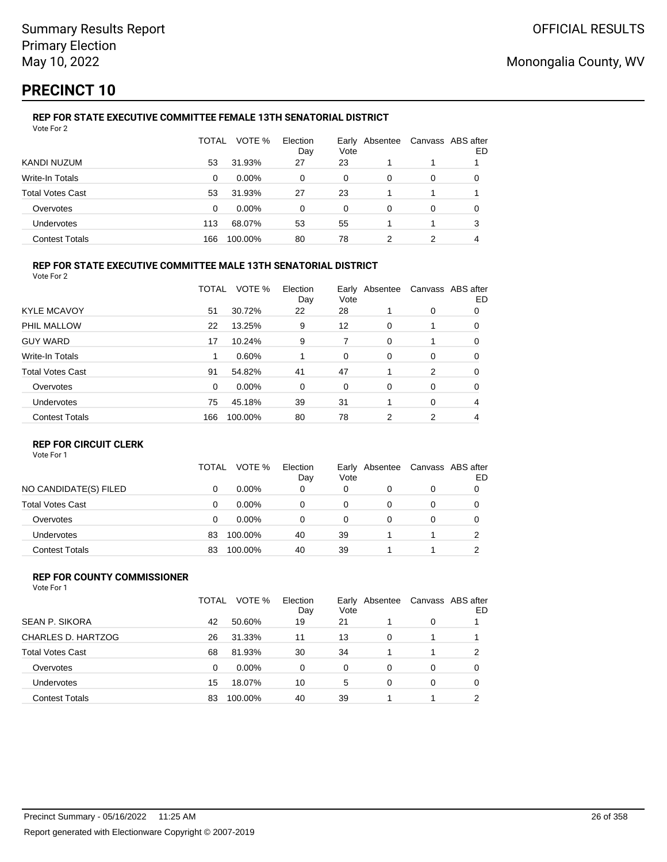# **PRECINCT 10**

#### **REP FOR STATE EXECUTIVE COMMITTEE FEMALE 13TH SENATORIAL DISTRICT** Vote For 2

|                         | TOTAL | VOTE %   | Election<br>Day | Vote | Early Absentee | Canvass ABS after | ED |
|-------------------------|-------|----------|-----------------|------|----------------|-------------------|----|
| KANDI NUZUM             | 53    | 31.93%   | 27              | 23   |                |                   |    |
| Write-In Totals         | 0     | $0.00\%$ | $\Omega$        | 0    | 0              | 0                 |    |
| <b>Total Votes Cast</b> | 53    | 31.93%   | 27              | 23   |                |                   |    |
| Overvotes               | 0     | $0.00\%$ | 0               | 0    | 0              | 0                 |    |
| Undervotes              | 113   | 68.07%   | 53              | 55   |                |                   | 3  |
| <b>Contest Totals</b>   | 166   | 100.00%  | 80              | 78   | າ              | 2                 |    |

### **REP FOR STATE EXECUTIVE COMMITTEE MALE 13TH SENATORIAL DISTRICT**

Vote For 2

|                         | TOTAL    | VOTE %   | Election<br>Day | Vote | Early Absentee |          | Canvass ABS after<br>ED |
|-------------------------|----------|----------|-----------------|------|----------------|----------|-------------------------|
| <b>KYLE MCAVOY</b>      | 51       | 30.72%   | 22              | 28   |                | 0        | 0                       |
| PHIL MALLOW             | 22       | 13.25%   | 9               | 12   | 0              |          | 0                       |
| <b>GUY WARD</b>         | 17       | 10.24%   | 9               | 7    | $\Omega$       |          | 0                       |
| <b>Write-In Totals</b>  | 1        | 0.60%    |                 | 0    | 0              | 0        | 0                       |
| <b>Total Votes Cast</b> | 91       | 54.82%   | 41              | 47   |                | 2        | 0                       |
| Overvotes               | $\Omega$ | $0.00\%$ | 0               | 0    | 0              | 0        | 0                       |
| Undervotes              | 75       | 45.18%   | 39              | 31   |                | $\Omega$ | 4                       |
| <b>Contest Totals</b>   | 166      | 100.00%  | 80              | 78   | 2              | 2        | 4                       |

### **REP FOR CIRCUIT CLERK**

Vote For 1

|                         | TOTAL | VOTE %   | Election<br>Day | Early<br>Vote | Absentee | Canvass ABS after | ED |
|-------------------------|-------|----------|-----------------|---------------|----------|-------------------|----|
| NO CANDIDATE(S) FILED   | 0     | $0.00\%$ | 0               | 0             | 0        | 0                 |    |
| <b>Total Votes Cast</b> | 0     | $0.00\%$ | 0               | 0             |          | 0                 |    |
| Overvotes               | 0     | $0.00\%$ | 0               | 0             |          | 0                 |    |
| <b>Undervotes</b>       | 83    | 100.00%  | 40              | 39            |          |                   | າ  |
| <b>Contest Totals</b>   | 83    | 100.00%  | 40              | 39            |          |                   |    |

#### **REP FOR COUNTY COMMISSIONER** Vote For 1

|                         | TOTAL | VOTE %   | Election<br>Day | Vote | Early Absentee |          | Canvass ABS after<br>ED |
|-------------------------|-------|----------|-----------------|------|----------------|----------|-------------------------|
| <b>SEAN P. SIKORA</b>   | 42    | 50.60%   | 19              | 21   |                | 0        |                         |
| CHARLES D. HARTZOG      | 26    | 31.33%   | 11              | 13   | 0              |          |                         |
| <b>Total Votes Cast</b> | 68    | 81.93%   | 30              | 34   |                |          | 2                       |
| Overvotes               | 0     | $0.00\%$ | $\Omega$        | 0    | 0              | 0        | 0                       |
| Undervotes              | 15    | 18.07%   | 10              | 5    | 0              | $\Omega$ | 0                       |
| <b>Contest Totals</b>   | 83    | 100.00%  | 40              | 39   |                |          | 2                       |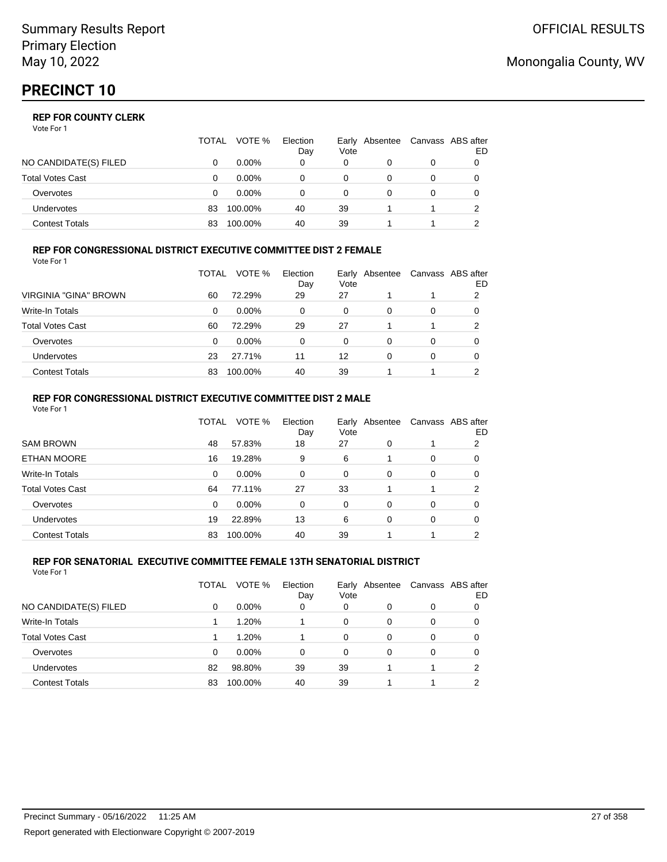|                         | TOTAL | VOTE %   | Election<br>Day | Vote | Early Absentee | Canvass ABS after | ED |
|-------------------------|-------|----------|-----------------|------|----------------|-------------------|----|
| NO CANDIDATE(S) FILED   |       | $0.00\%$ | 0               | 0    |                | 0                 |    |
| <b>Total Votes Cast</b> |       | $0.00\%$ |                 | 0    |                |                   |    |
| Overvotes               | O     | $0.00\%$ |                 | 0    |                | 0                 |    |
| <b>Undervotes</b>       | 83    | 100.00%  | 40              | 39   |                |                   |    |
| Contest Totals          | 83    | 100.00%  | 40              | 39   |                |                   |    |

#### **REP FOR CONGRESSIONAL DISTRICT EXECUTIVE COMMITTEE DIST 2 FEMALE** Vote For 1

|                         | TOTAL | VOTE %   | Election<br>Day | Vote | Early Absentee | Canvass ABS after | ED |
|-------------------------|-------|----------|-----------------|------|----------------|-------------------|----|
| VIRGINIA "GINA" BROWN   | 60    | 72.29%   | 29              | 27   |                |                   | 2  |
| <b>Write-In Totals</b>  | 0     | $0.00\%$ | 0               | 0    | 0              | 0                 | O  |
| <b>Total Votes Cast</b> | 60    | 72.29%   | 29              | 27   |                |                   | 2  |
| Overvotes               | 0     | $0.00\%$ | 0               | 0    | 0              | 0                 |    |
| Undervotes              | 23    | 27.71%   | 11              | 12   | 0              | 0                 |    |
| <b>Contest Totals</b>   | 83    | 100.00%  | 40              | 39   |                |                   | ົ  |

#### **REP FOR CONGRESSIONAL DISTRICT EXECUTIVE COMMITTEE DIST 2 MALE** Vote For 1

|                         | TOTAL    | VOTE %   | Election<br>Day | Vote     | Early Absentee | Canvass ABS after | ED       |
|-------------------------|----------|----------|-----------------|----------|----------------|-------------------|----------|
| <b>SAM BROWN</b>        | 48       | 57.83%   | 18              | 27       | 0              |                   | 2        |
| <b>ETHAN MOORE</b>      | 16       | 19.28%   | 9               | 6        |                | $\Omega$          | $\Omega$ |
| Write-In Totals         | 0        | 0.00%    | 0               | 0        | $\Omega$       | $\Omega$          | 0        |
| <b>Total Votes Cast</b> | 64       | 77.11%   | 27              | 33       |                |                   | 2        |
| Overvotes               | $\Omega$ | $0.00\%$ | $\Omega$        | $\Omega$ | $\Omega$       | $\Omega$          | 0        |
| <b>Undervotes</b>       | 19       | 22.89%   | 13              | 6        | 0              | $\Omega$          | 0        |
| <b>Contest Totals</b>   | 83       | 100.00%  | 40              | 39       |                |                   | າ        |
|                         |          |          |                 |          |                |                   |          |

#### **REP FOR SENATORIAL EXECUTIVE COMMITTEE FEMALE 13TH SENATORIAL DISTRICT** Vote For 1

|                         | TOTAL | VOTE %   | Election<br>Day | Vote | Early Absentee |   | Canvass ABS after<br>ED |
|-------------------------|-------|----------|-----------------|------|----------------|---|-------------------------|
| NO CANDIDATE(S) FILED   | 0     | $0.00\%$ | 0               | 0    | 0              | 0 |                         |
| Write-In Totals         |       | 1.20%    |                 | 0    | 0              | 0 | 0                       |
| <b>Total Votes Cast</b> |       | 1.20%    |                 | 0    | 0              | 0 |                         |
| Overvotes               | 0     | $0.00\%$ | 0               | 0    | 0              | 0 |                         |
| Undervotes              | 82    | 98.80%   | 39              | 39   |                |   | 2                       |
| <b>Contest Totals</b>   | 83    | 100.00%  | 40              | 39   |                |   | າ                       |

## Monongalia County, WV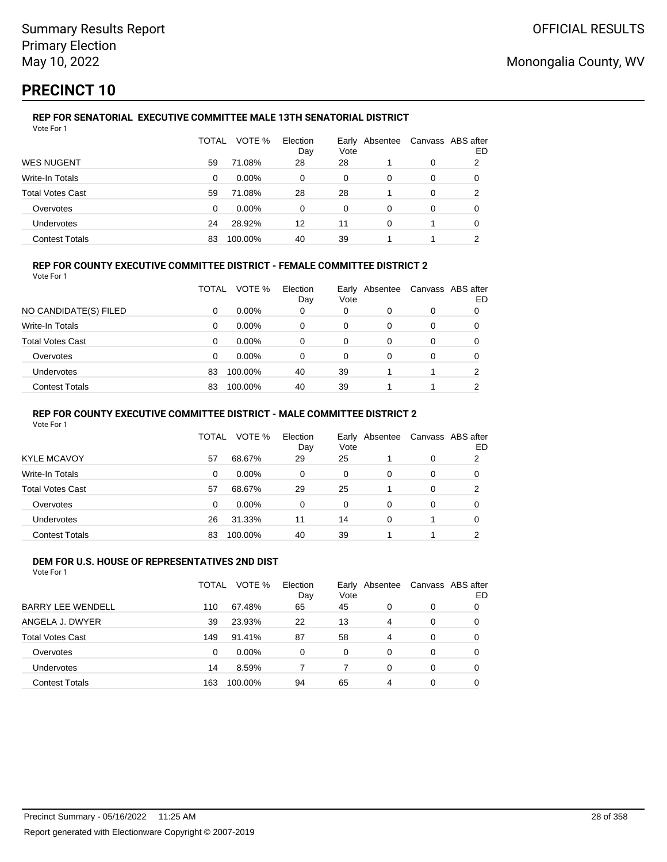# **PRECINCT 10**

#### **REP FOR SENATORIAL EXECUTIVE COMMITTEE MALE 13TH SENATORIAL DISTRICT** Vote For 1

|                         | TOTAL | VOTE %   | Election<br>Day | Vote | Early Absentee |   | Canvass ABS after<br>ED |
|-------------------------|-------|----------|-----------------|------|----------------|---|-------------------------|
| <b>WES NUGENT</b>       | 59    | 71.08%   | 28              | 28   |                | 0 | 2                       |
| Write-In Totals         | 0     | $0.00\%$ | 0               | 0    | 0              | 0 |                         |
| <b>Total Votes Cast</b> | 59    | 71.08%   | 28              | 28   |                | 0 |                         |
| Overvotes               | 0     | $0.00\%$ | $\Omega$        | 0    | 0              | 0 |                         |
| Undervotes              | 24    | 28.92%   | 12              | 11   | 0              |   |                         |
| <b>Contest Totals</b>   | 83    | 100.00%  | 40              | 39   |                |   | ◠                       |

### **REP FOR COUNTY EXECUTIVE COMMITTEE DISTRICT - FEMALE COMMITTEE DISTRICT 2**

Vote For 1

|                         | TOTAL | VOTE %   | Election<br>Day | Vote | Early Absentee | Canvass ABS after | ED |
|-------------------------|-------|----------|-----------------|------|----------------|-------------------|----|
| NO CANDIDATE(S) FILED   | 0     | $0.00\%$ | 0               | 0    |                | 0                 |    |
| Write-In Totals         | 0     | $0.00\%$ | 0               | 0    | 0              | 0                 |    |
| <b>Total Votes Cast</b> | 0     | $0.00\%$ | $\Omega$        | 0    | 0              | 0                 |    |
| Overvotes               | 0     | $0.00\%$ | 0               | 0    | 0              | 0                 |    |
| Undervotes              | 83    | 100.00%  | 40              | 39   |                |                   | າ  |
| <b>Contest Totals</b>   | 83    | 100.00%  | 40              | 39   |                |                   | ◠  |

#### **REP FOR COUNTY EXECUTIVE COMMITTEE DISTRICT - MALE COMMITTEE DISTRICT 2**

Vote For 1

|                       | TOTAL | VOTE %   | Election<br>Day | Vote     | Early Absentee |   | Canvass ABS after<br>ED |
|-----------------------|-------|----------|-----------------|----------|----------------|---|-------------------------|
| <b>KYLE MCAVOY</b>    | 57    | 68.67%   | 29              | 25       |                | 0 | 2                       |
| Write-In Totals       | 0     | $0.00\%$ | 0               | 0        | 0              | 0 | 0                       |
| Total Votes Cast      | 57    | 68.67%   | 29              | 25       |                | 0 | 2                       |
| Overvotes             | 0     | $0.00\%$ | $\Omega$        | $\Omega$ | 0              | 0 | 0                       |
| <b>Undervotes</b>     | 26    | 31.33%   | 11              | 14       | 0              |   | 0                       |
| <b>Contest Totals</b> | 83    | 100.00%  | 40              | 39       |                |   |                         |

#### **DEM FOR U.S. HOUSE OF REPRESENTATIVES 2ND DIST** Vote For 1

|                          | TOTAL    | VOTE %   | Election<br>Day | Vote     | Early Absentee |          | Canvass ABS after<br>ED |
|--------------------------|----------|----------|-----------------|----------|----------------|----------|-------------------------|
| <b>BARRY LEE WENDELL</b> | 110      | 67.48%   | 65              | 45       | 0              | 0        | 0                       |
| ANGELA J. DWYER          | 39       | 23.93%   | 22              | 13       | 4              | 0        | 0                       |
| <b>Total Votes Cast</b>  | 149      | 91.41%   | 87              | 58       | 4              | $\Omega$ | 0                       |
| Overvotes                | $\Omega$ | $0.00\%$ | 0               | $\Omega$ | 0              | $\Omega$ | 0                       |
| Undervotes               | 14       | 8.59%    |                 | 7        | $\Omega$       | $\Omega$ | 0                       |
| <b>Contest Totals</b>    | 163      | 100.00%  | 94              | 65       | 4              | 0        | 0                       |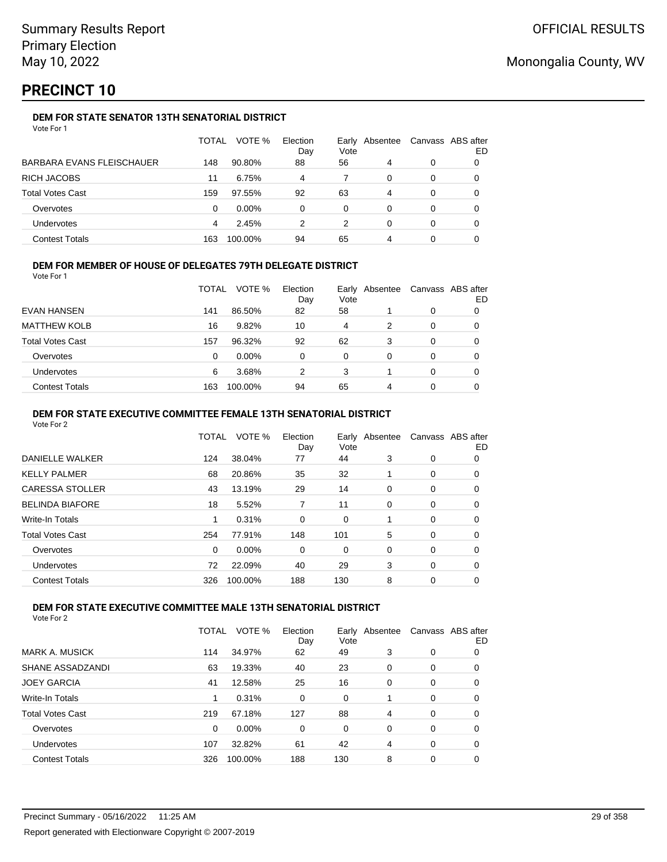# **PRECINCT 10**

### **DEM FOR STATE SENATOR 13TH SENATORIAL DISTRICT**

|                           | TOTAL | VOTE %   | Election<br>Day | Vote | Early Absentee | Canvass ABS after | ED |
|---------------------------|-------|----------|-----------------|------|----------------|-------------------|----|
| BARBARA EVANS FLEISCHAUER | 148   | 90.80%   | 88              | 56   | 4              | 0                 |    |
| RICH JACOBS               | 11    | 6.75%    | 4               |      | 0              | 0                 |    |
| Total Votes Cast          | 159   | 97.55%   | 92              | 63   | 4              | 0                 |    |
| Overvotes                 | 0     | $0.00\%$ | 0               | 0    | 0              | 0                 |    |
| Undervotes                | 4     | 2.45%    | 2               | 2    | 0              | 0                 |    |
| <b>Contest Totals</b>     | 163   | 100.00%  | 94              | 65   | 4              | 0                 |    |

### **DEM FOR MEMBER OF HOUSE OF DELEGATES 79TH DELEGATE DISTRICT**

Vote For 1

|                       | TOTAL | VOTE %   | Election<br>Day | Vote | Early Absentee | Canvass ABS after | ED |
|-----------------------|-------|----------|-----------------|------|----------------|-------------------|----|
| EVAN HANSEN           | 141   | 86.50%   | 82              | 58   |                | 0                 |    |
| <b>MATTHEW KOLB</b>   | 16    | 9.82%    | 10              | 4    | 2              | 0                 |    |
| Total Votes Cast      | 157   | 96.32%   | 92              | 62   | 3              | 0                 |    |
| Overvotes             | 0     | $0.00\%$ | 0               | 0    | 0              | 0                 |    |
| <b>Undervotes</b>     | 6     | 3.68%    | 2               | 3    |                | 0                 |    |
| <b>Contest Totals</b> | 163   | 100.00%  | 94              | 65   | 4              | 0                 |    |

#### **DEM FOR STATE EXECUTIVE COMMITTEE FEMALE 13TH SENATORIAL DISTRICT**

Vote For 2

|                        | TOTAL    | VOTE %  | Election<br>Day | Vote | Early Absentee | Canvass ABS after | ED |
|------------------------|----------|---------|-----------------|------|----------------|-------------------|----|
| DANIELLE WALKER        | 124      | 38.04%  | 77              | 44   | 3              | 0                 | 0  |
| KELLY PALMER           | 68       | 20.86%  | 35              | 32   |                | 0                 | 0  |
| <b>CARESSA STOLLER</b> | 43       | 13.19%  | 29              | 14   | 0              | 0                 | 0  |
| <b>BELINDA BIAFORE</b> | 18       | 5.52%   | 7               | 11   | 0              | 0                 | 0  |
| Write-In Totals        |          | 0.31%   | 0               | 0    |                | 0                 | 0  |
| Total Votes Cast       | 254      | 77.91%  | 148             | 101  | 5              | 0                 | 0  |
| Overvotes              | $\Omega$ | 0.00%   | 0               | 0    | $\Omega$       | 0                 | 0  |
| Undervotes             | 72       | 22.09%  | 40              | 29   | 3              | 0                 | 0  |
| <b>Contest Totals</b>  | 326      | 100.00% | 188             | 130  | 8              | 0                 | 0  |
|                        |          |         |                 |      |                |                   |    |

### **DEM FOR STATE EXECUTIVE COMMITTEE MALE 13TH SENATORIAL DISTRICT**

|                         | TOTAL | VOTE %   | Election<br>Day | Earlv<br>Vote | Absentee |   | Canvass ABS after<br>ED |
|-------------------------|-------|----------|-----------------|---------------|----------|---|-------------------------|
| <b>MARK A. MUSICK</b>   | 114   | 34.97%   | 62              | 49            | 3        | 0 | 0                       |
| SHANE ASSADZANDI        | 63    | 19.33%   | 40              | 23            | 0        | 0 | 0                       |
| <b>JOEY GARCIA</b>      | 41    | 12.58%   | 25              | 16            | 0        | 0 | 0                       |
| Write-In Totals         |       | 0.31%    | 0               | 0             |          | 0 | 0                       |
| <b>Total Votes Cast</b> | 219   | 67.18%   | 127             | 88            | 4        | 0 | 0                       |
| Overvotes               | 0     | $0.00\%$ | 0               | 0             | 0        | 0 | 0                       |
| Undervotes              | 107   | 32.82%   | 61              | 42            | 4        | 0 | 0                       |
| <b>Contest Totals</b>   | 326   | 100.00%  | 188             | 130           | 8        | 0 | 0                       |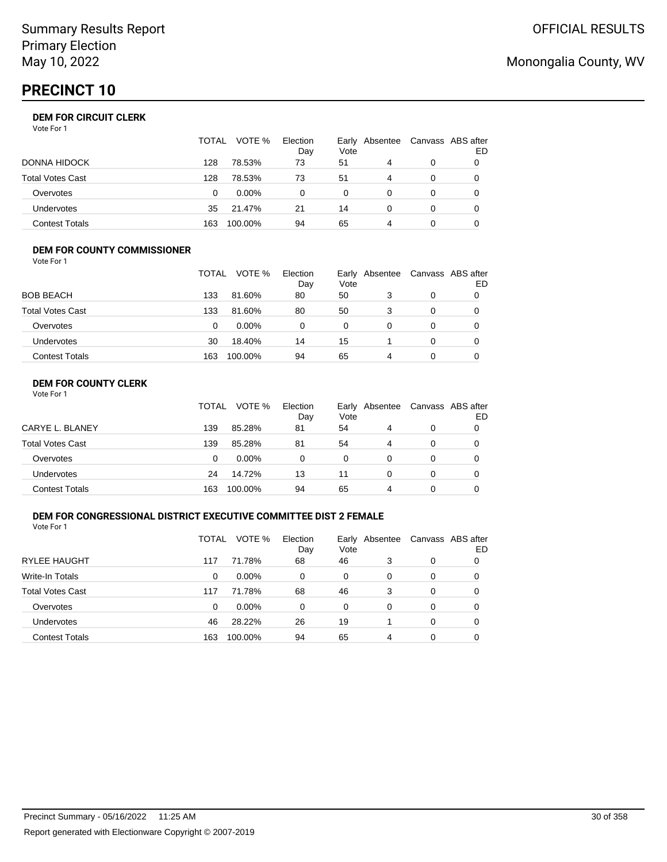# **PRECINCT 10**

|                       | TOTAL | VOTE %   | Election<br>Day | Vote | Early Absentee | Canvass ABS after | ED |
|-----------------------|-------|----------|-----------------|------|----------------|-------------------|----|
| DONNA HIDOCK          | 128   | 78.53%   | 73              | 51   | 4              | 0                 |    |
| Total Votes Cast      | 128   | 78.53%   | 73              | 51   | 4              | 0                 |    |
| Overvotes             | 0     | $0.00\%$ | 0               | 0    |                | 0                 |    |
| Undervotes            | 35    | 21.47%   | 21              | 14   |                | 0                 |    |
| <b>Contest Totals</b> | 163   | 100.00%  | 94              | 65   | 4              | 0                 |    |

#### **DEM FOR COUNTY COMMISSIONER** Vote For 1

|                         | TOTAL | VOTE %  | Election<br>Day | Vote | Early Absentee | Canvass ABS after | ED |
|-------------------------|-------|---------|-----------------|------|----------------|-------------------|----|
| <b>BOB BEACH</b>        | 133   | 81.60%  | 80              | 50   | 3              | 0                 |    |
| <b>Total Votes Cast</b> | 133   | 81.60%  | 80              | 50   | 3              | $\Omega$          |    |
| Overvotes               | 0     | 0.00%   | 0               | 0    | 0              | $\Omega$          |    |
| <b>Undervotes</b>       | 30    | 18.40%  | 14              | 15   |                | 0                 |    |
| <b>Contest Totals</b>   | 163   | 100.00% | 94              | 65   | 4              | $\Omega$          |    |

### **DEM FOR COUNTY CLERK**

| Vote For 1 |  |
|------------|--|
|------------|--|

|                         | TOTAL | VOTE %   | Election<br>Day | Vote     | Early Absentee | Canvass ABS after | ED |
|-------------------------|-------|----------|-----------------|----------|----------------|-------------------|----|
| CARYE L. BLANEY         | 139   | 85.28%   | 81              | 54       | 4              | 0                 |    |
| <b>Total Votes Cast</b> | 139   | 85.28%   | 81              | 54       | 4              | 0                 |    |
| Overvotes               | 0     | $0.00\%$ | 0               | $\Omega$ | 0              | 0                 |    |
| Undervotes              | 24    | 14.72%   | 13              | 11       | 0              | 0                 |    |
| <b>Contest Totals</b>   | 163   | 100.00%  | 94              | 65       | 4              | 0                 |    |

### **DEM FOR CONGRESSIONAL DISTRICT EXECUTIVE COMMITTEE DIST 2 FEMALE**

Vote For 1

|                         | TOTAL | VOTE %   | Election<br>Day | Vote | Early Absentee | Canvass ABS after | ED |
|-------------------------|-------|----------|-----------------|------|----------------|-------------------|----|
| <b>RYLEE HAUGHT</b>     | 117   | 71.78%   | 68              | 46   | 3              | 0                 | 0  |
| Write-In Totals         | 0     | $0.00\%$ | 0               | 0    | 0              | 0                 | O  |
| <b>Total Votes Cast</b> | 117   | 71.78%   | 68              | 46   | 3              | 0                 | O  |
| Overvotes               | 0     | $0.00\%$ | 0               | 0    | 0              | 0                 | 0  |
| <b>Undervotes</b>       | 46    | 28.22%   | 26              | 19   |                | 0                 | 0  |
| <b>Contest Totals</b>   | 163   | 100.00%  | 94              | 65   | 4              | 0                 |    |

# Monongalia County, WV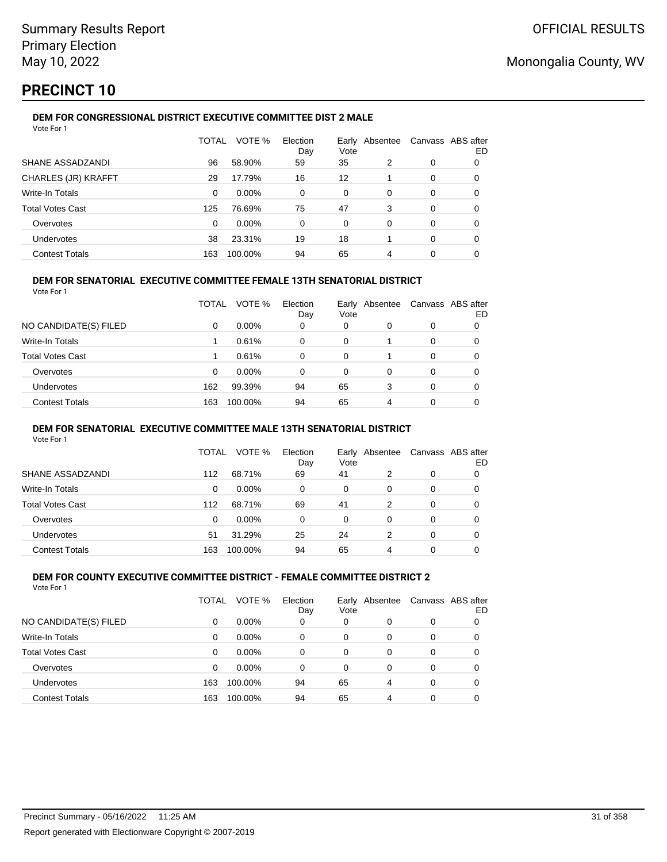## **PRECINCT 10**

### **DEM FOR CONGRESSIONAL DISTRICT EXECUTIVE COMMITTEE DIST 2 MALE**

| Vote For 1              |              |          |                 |               |          |   |                          |
|-------------------------|--------------|----------|-----------------|---------------|----------|---|--------------------------|
|                         | <b>TOTAL</b> | VOTE %   | Election<br>Day | Early<br>Vote | Absentee |   | Canvass ABS after<br>ED. |
| SHANE ASSADZANDI        | 96           | 58.90%   | 59              | 35            | 2        | 0 | 0                        |
| CHARLES (JR) KRAFFT     | 29           | 17.79%   | 16              | 12            |          | 0 | 0                        |
| Write-In Totals         | $\Omega$     | $0.00\%$ | 0               | 0             | 0        | 0 | 0                        |
| <b>Total Votes Cast</b> | 125          | 76.69%   | 75              | 47            | 3        | 0 | 0                        |
| Overvotes               | $\Omega$     | 0.00%    | 0               | 0             | 0        | 0 | 0                        |
| Undervotes              | 38           | 23.31%   | 19              | 18            |          | 0 | 0                        |
| <b>Contest Totals</b>   | 163          | 100.00%  | 94              | 65            | 4        | 0 | 0                        |

#### **DEM FOR SENATORIAL EXECUTIVE COMMITTEE FEMALE 13TH SENATORIAL DISTRICT**

Vote For 1

|                         | TOTAL | VOTE %   | Election<br>Day | Vote | Early Absentee |          | Canvass ABS after<br>ED |
|-------------------------|-------|----------|-----------------|------|----------------|----------|-------------------------|
| NO CANDIDATE(S) FILED   | 0     | $0.00\%$ | 0               | 0    | 0              | 0        |                         |
| <b>Write-In Totals</b>  |       | 0.61%    | 0               | 0    |                | $\Omega$ | 0                       |
| <b>Total Votes Cast</b> |       | 0.61%    | 0               | 0    |                | 0        |                         |
| Overvotes               | 0     | $0.00\%$ | 0               | 0    | 0              | 0        |                         |
| Undervotes              | 162   | 99.39%   | 94              | 65   | 3              | 0        | 0                       |
| <b>Contest Totals</b>   | 163   | 100.00%  | 94              | 65   | 4              | 0        | 0                       |

#### **DEM FOR SENATORIAL EXECUTIVE COMMITTEE MALE 13TH SENATORIAL DISTRICT**

Vote For 1

|                         | TOTAL | VOTE %   | Election<br>Day | Vote | Early Absentee | Canvass ABS after | ED |
|-------------------------|-------|----------|-----------------|------|----------------|-------------------|----|
| SHANE ASSADZANDI        | 112   | 68.71%   | 69              | 41   | 2              | 0                 |    |
| Write-In Totals         | 0     | $0.00\%$ | 0               | 0    | 0              | 0                 |    |
| <b>Total Votes Cast</b> | 112   | 68.71%   | 69              | 41   | 2              | 0                 |    |
| Overvotes               | 0     | $0.00\%$ | 0               | 0    | 0              | 0                 |    |
| Undervotes              | 51    | 31.29%   | 25              | 24   | 2              | 0                 |    |
| <b>Contest Totals</b>   | 163   | 100.00%  | 94              | 65   | 4              | 0                 |    |

#### **DEM FOR COUNTY EXECUTIVE COMMITTEE DISTRICT - FEMALE COMMITTEE DISTRICT 2** Vote For 1

|                         | TOTAL | VOTE %   | Election<br>Day | Early<br>Vote | Absentee | Canvass ABS after | ED |
|-------------------------|-------|----------|-----------------|---------------|----------|-------------------|----|
| NO CANDIDATE(S) FILED   | 0     | $0.00\%$ | 0               | 0             | 0        | 0                 |    |
| Write-In Totals         | 0     | $0.00\%$ | 0               | 0             | 0        | 0                 |    |
| <b>Total Votes Cast</b> | 0     | $0.00\%$ | 0               | 0             | 0        | 0                 |    |
| Overvotes               | 0     | 0.00%    | 0               | 0             | 0        | 0                 |    |
| Undervotes              | 163   | 100.00%  | 94              | 65            | 4        | 0                 |    |
| <b>Contest Totals</b>   | 163   | 100.00%  | 94              | 65            | 4        | 0                 |    |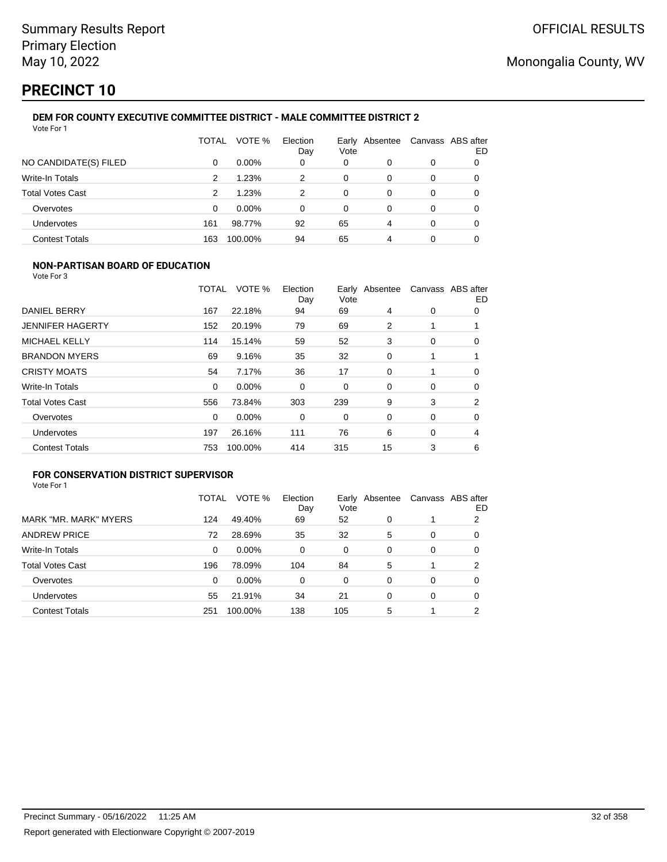# **PRECINCT 10**

#### **DEM FOR COUNTY EXECUTIVE COMMITTEE DISTRICT - MALE COMMITTEE DISTRICT 2** Vote For 1

|                         | TOTAL | VOTE %   | Election<br>Day | Vote | Early Absentee | Canvass ABS after | ED |
|-------------------------|-------|----------|-----------------|------|----------------|-------------------|----|
| NO CANDIDATE(S) FILED   | 0     | $0.00\%$ | 0               | 0    | 0              | 0                 | 0  |
| Write-In Totals         | 2     | 1.23%    | 2               | 0    | 0              | 0                 | 0  |
| <b>Total Votes Cast</b> | 2     | 1.23%    | 2               | 0    | 0              | 0                 | 0  |
| Overvotes               | 0     | $0.00\%$ | 0               | 0    | 0              | 0                 | 0  |
| Undervotes              | 161   | 98.77%   | 92              | 65   | 4              | $\Omega$          |    |
| <b>Contest Totals</b>   | 163   | 100.00%  | 94              | 65   | 4              | 0                 |    |

### **NON-PARTISAN BOARD OF EDUCATION**

Vote For 3

|                         | TOTAL    | VOTE %  | Election<br>Day | Vote | Early Absentee |   | Canvass ABS after<br>ED |
|-------------------------|----------|---------|-----------------|------|----------------|---|-------------------------|
| DANIEL BERRY            | 167      | 22.18%  | 94              | 69   | 4              | 0 | 0                       |
| <b>JENNIFER HAGERTY</b> | 152      | 20.19%  | 79              | 69   | 2              |   |                         |
| <b>MICHAEL KELLY</b>    | 114      | 15.14%  | 59              | 52   | 3              | 0 | 0                       |
| <b>BRANDON MYERS</b>    | 69       | 9.16%   | 35              | 32   | 0              |   |                         |
| <b>CRISTY MOATS</b>     | 54       | 7.17%   | 36              | 17   | 0              |   | 0                       |
| <b>Write-In Totals</b>  | $\Omega$ | 0.00%   | 0               | 0    | 0              | 0 | 0                       |
| <b>Total Votes Cast</b> | 556      | 73.84%  | 303             | 239  | 9              | 3 | 2                       |
| Overvotes               | $\Omega$ | 0.00%   | 0               | 0    | 0              | 0 | 0                       |
| Undervotes              | 197      | 26.16%  | 111             | 76   | 6              | 0 | 4                       |
| <b>Contest Totals</b>   | 753      | 100.00% | 414             | 315  | 15             | 3 | 6                       |

### **FOR CONSERVATION DISTRICT SUPERVISOR**

|                         | TOTAL | VOTE %  | Election<br>Day | Early<br>Vote | Absentee |   | Canvass ABS after<br>ED |
|-------------------------|-------|---------|-----------------|---------------|----------|---|-------------------------|
| MARK "MR. MARK" MYERS   | 124   | 49.40%  | 69              | 52            | 0        |   | 2                       |
| <b>ANDREW PRICE</b>     | 72    | 28.69%  | 35              | 32            | 5        | 0 | 0                       |
| Write-In Totals         | 0     | 0.00%   | 0               | 0             | 0        | 0 | 0                       |
| <b>Total Votes Cast</b> | 196   | 78.09%  | 104             | 84            | 5        |   | 2                       |
| Overvotes               | 0     | 0.00%   | 0               | 0             | 0        | 0 | 0                       |
| Undervotes              | 55    | 21.91%  | 34              | 21            | 0        | 0 | 0                       |
| <b>Contest Totals</b>   | 251   | 100.00% | 138             | 105           | 5        |   | າ                       |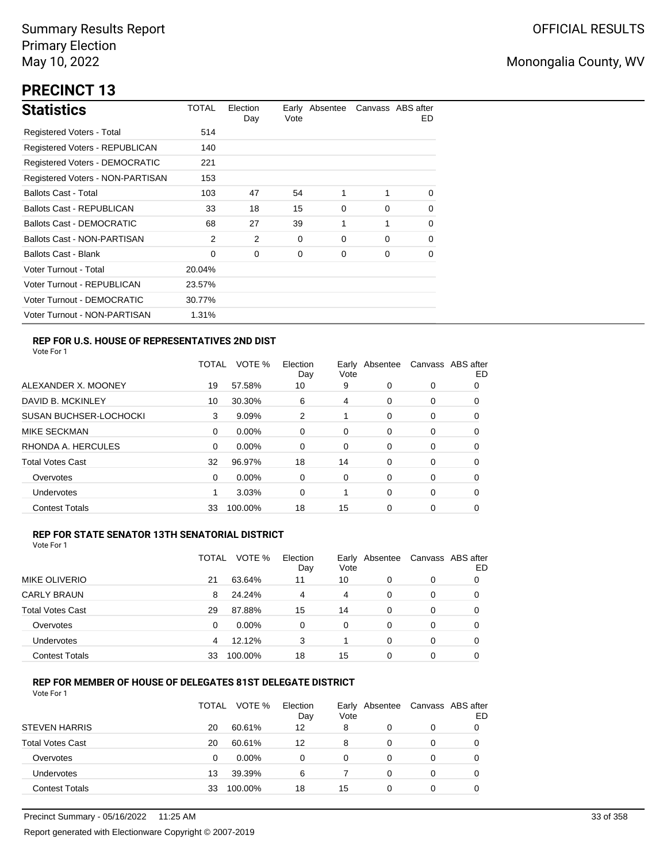## **PRECINCT 13**

| <b>Statistics</b>                     | TOTAL  | Election<br>Day | Vote | Early Absentee |          | Canvass ABS after<br>ED. |
|---------------------------------------|--------|-----------------|------|----------------|----------|--------------------------|
| Registered Voters - Total             | 514    |                 |      |                |          |                          |
| Registered Voters - REPUBLICAN        | 140    |                 |      |                |          |                          |
| <b>Registered Voters - DEMOCRATIC</b> | 221    |                 |      |                |          |                          |
| Registered Voters - NON-PARTISAN      | 153    |                 |      |                |          |                          |
| <b>Ballots Cast - Total</b>           | 103    | 47              | 54   | 1              | 1        | $\Omega$                 |
| <b>Ballots Cast - REPUBLICAN</b>      | 33     | 18              | 15   | 0              | 0        | $\Omega$                 |
| <b>Ballots Cast - DEMOCRATIC</b>      | 68     | 27              | 39   | 1              | 1        | 0                        |
| Ballots Cast - NON-PARTISAN           | 2      | 2               | 0    | 0              | $\Omega$ | 0                        |
| <b>Ballots Cast - Blank</b>           | 0      | 0               | 0    | 0              | 0        | 0                        |
| Voter Turnout - Total                 | 20.04% |                 |      |                |          |                          |
| Voter Turnout - REPUBLICAN            | 23.57% |                 |      |                |          |                          |
| Voter Turnout - DEMOCRATIC            | 30.77% |                 |      |                |          |                          |
| Voter Turnout - NON-PARTISAN          | 1.31%  |                 |      |                |          |                          |

### **REP FOR U.S. HOUSE OF REPRESENTATIVES 2ND DIST**

Vote For 1

|                               | TOTAL | VOTE %   | Election<br>Day | Earlv<br>Vote | Absentee | Canvass ABS after | ED |
|-------------------------------|-------|----------|-----------------|---------------|----------|-------------------|----|
| ALEXANDER X. MOONEY           | 19    | 57.58%   | 10              | 9             | 0        | 0                 | 0  |
| DAVID B. MCKINLEY             | 10    | 30.30%   | 6               | 4             | 0        | 0                 | O  |
| <b>SUSAN BUCHSER-LOCHOCKI</b> | 3     | 9.09%    | 2               |               | $\Omega$ | 0                 | 0  |
| <b>MIKE SECKMAN</b>           | 0     | $0.00\%$ | 0               | 0             | $\Omega$ | 0                 | 0  |
| RHONDA A. HERCULES            | 0     | $0.00\%$ | 0               | 0             | $\Omega$ | 0                 | O  |
| <b>Total Votes Cast</b>       | 32    | 96.97%   | 18              | 14            | $\Omega$ | 0                 | 0  |
| Overvotes                     | 0     | $0.00\%$ | 0               | 0             | $\Omega$ | 0                 | 0  |
| <b>Undervotes</b>             |       | 3.03%    | 0               |               | $\Omega$ | 0                 | 0  |
| <b>Contest Totals</b>         | 33    | 100.00%  | 18              | 15            | $\Omega$ | 0                 | 0  |

#### **REP FOR STATE SENATOR 13TH SENATORIAL DISTRICT**

| Vote For 1 |  |
|------------|--|
|            |  |

|                         | TOTAL | VOTE %   | Election<br>Day | Vote | Early Absentee | Canvass ABS after | ED |
|-------------------------|-------|----------|-----------------|------|----------------|-------------------|----|
| <b>MIKE OLIVERIO</b>    | 21    | 63.64%   | 11              | 10   | 0              | 0                 |    |
| <b>CARLY BRAUN</b>      | 8     | 24.24%   | 4               | 4    | 0              | 0                 | O  |
| <b>Total Votes Cast</b> | 29    | 87.88%   | 15              | 14   | 0              | 0                 |    |
| Overvotes               | 0     | $0.00\%$ | 0               | 0    | 0              | 0                 |    |
| Undervotes              | 4     | 12.12%   | 3               |      | 0              | 0                 | Ω  |
| <b>Contest Totals</b>   | 33    | 100.00%  | 18              | 15   | 0              | 0                 |    |

#### **REP FOR MEMBER OF HOUSE OF DELEGATES 81ST DELEGATE DISTRICT**

|                         | <b>TOTAL</b> | VOTE %   | Election<br>Day | Vote | Early Absentee | Canvass ABS after | ED |
|-------------------------|--------------|----------|-----------------|------|----------------|-------------------|----|
| <b>STEVEN HARRIS</b>    | 20           | 60.61%   | 12              | 8    | 0              | 0                 |    |
| <b>Total Votes Cast</b> | 20           | 60.61%   | 12              | 8    | 0              | 0                 |    |
| Overvotes               | 0            | $0.00\%$ | ი               | 0    | 0              | 0                 |    |
| Undervotes              | 13           | 39.39%   | 6               |      | 0              | 0                 |    |
| <b>Contest Totals</b>   | 33           | 100.00%  | 18              | 15   | 0              | 0                 |    |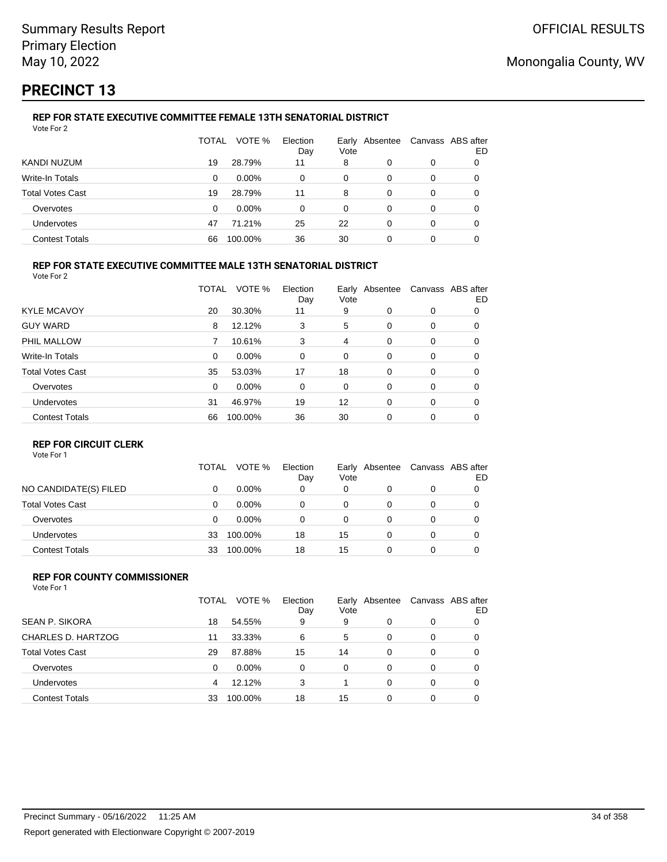# **PRECINCT 13**

#### **REP FOR STATE EXECUTIVE COMMITTEE FEMALE 13TH SENATORIAL DISTRICT** Vote For 2

|                         | TOTAL | VOTE %   | Election<br>Day | Vote | Early Absentee | Canvass ABS after | ED |
|-------------------------|-------|----------|-----------------|------|----------------|-------------------|----|
| KANDI NUZUM             | 19    | 28.79%   | 11              | 8    | 0              | 0                 |    |
| Write-In Totals         | 0     | $0.00\%$ | 0               | 0    | 0              | 0                 |    |
| <b>Total Votes Cast</b> | 19    | 28.79%   | 11              | 8    | 0              | 0                 |    |
| Overvotes               | 0     | $0.00\%$ | 0               | 0    | 0              | 0                 |    |
| Undervotes              | 47    | 71.21%   | 25              | 22   | 0              | 0                 |    |
| <b>Contest Totals</b>   | 66    | 100.00%  | 36              | 30   | 0              | 0                 |    |

#### **REP FOR STATE EXECUTIVE COMMITTEE MALE 13TH SENATORIAL DISTRICT**

Vote For 2

|                         | TOTAL    | VOTE %   | Election<br>Day | Vote | Early Absentee |          | Canvass ABS after<br>ED |
|-------------------------|----------|----------|-----------------|------|----------------|----------|-------------------------|
| <b>KYLE MCAVOY</b>      | 20       | 30.30%   | 11              | 9    | $\Omega$       | 0        | 0                       |
| <b>GUY WARD</b>         | 8        | 12.12%   | 3               | 5    | 0              | 0        | 0                       |
| PHIL MALLOW             | 7        | 10.61%   | 3               | 4    | 0              | 0        | 0                       |
| <b>Write-In Totals</b>  | $\Omega$ | $0.00\%$ | 0               | 0    | 0              | 0        | 0                       |
| <b>Total Votes Cast</b> | 35       | 53.03%   | 17              | 18   | $\Omega$       | 0        | 0                       |
| Overvotes               | $\Omega$ | $0.00\%$ | 0               | 0    | 0              | 0        | 0                       |
| Undervotes              | 31       | 46.97%   | 19              | 12   | $\Omega$       | $\Omega$ | 0                       |
| <b>Contest Totals</b>   | 66       | 100.00%  | 36              | 30   | $\Omega$       | 0        | 0                       |

#### **REP FOR CIRCUIT CLERK**

Vote For 1

|                         | TOTAL | VOTE %   | Election<br>Day | Vote | Early Absentee | Canvass ABS after | ED |
|-------------------------|-------|----------|-----------------|------|----------------|-------------------|----|
| NO CANDIDATE(S) FILED   | 0     | $0.00\%$ | 0               | 0    | 0              | 0                 |    |
| <b>Total Votes Cast</b> | 0     | $0.00\%$ | 0               | 0    |                | 0                 |    |
| Overvotes               | 0     | $0.00\%$ | 0               | 0    |                | 0                 |    |
| <b>Undervotes</b>       | 33    | 100.00%  | 18              | 15   |                | 0                 |    |
| <b>Contest Totals</b>   | 33    | 100.00%  | 18              | 15   |                | 0                 |    |

#### **REP FOR COUNTY COMMISSIONER** Vote For 1

|                         | TOTAL | VOTE %   | Election<br>Day | Vote | Early Absentee |   | Canvass ABS after<br>ED |
|-------------------------|-------|----------|-----------------|------|----------------|---|-------------------------|
| <b>SEAN P. SIKORA</b>   | 18    | 54.55%   | 9               | 9    | 0              | 0 |                         |
| CHARLES D. HARTZOG      | 11    | 33.33%   | 6               | 5    | 0              | 0 | 0                       |
| <b>Total Votes Cast</b> | 29    | 87.88%   | 15              | 14   | 0              | 0 | 0                       |
| Overvotes               | 0     | $0.00\%$ | $\Omega$        | 0    | 0              | 0 | 0                       |
| Undervotes              | 4     | 12.12%   | 3               |      | 0              | 0 | 0                       |
| <b>Contest Totals</b>   | 33    | 100.00%  | 18              | 15   | 0              | 0 |                         |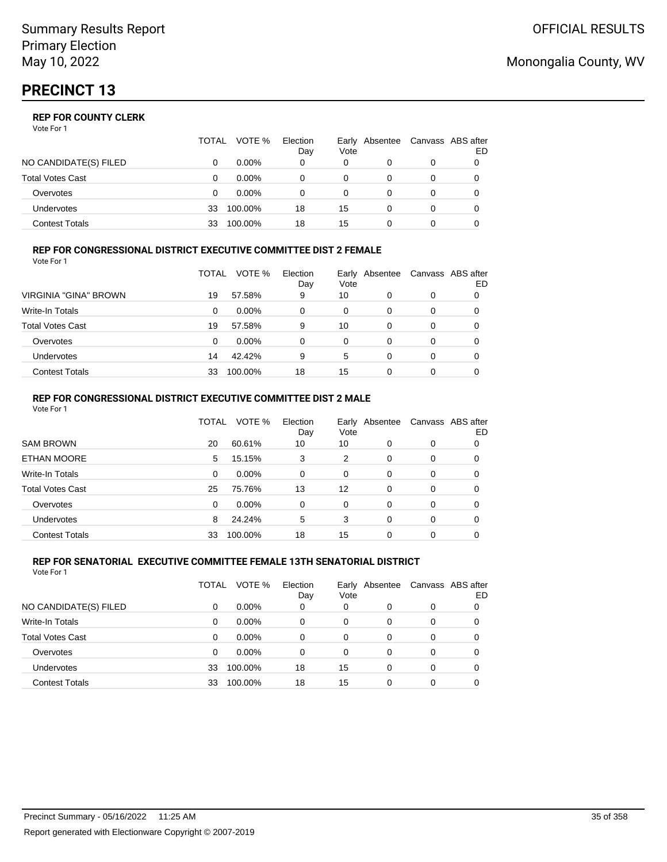|                         | TOTAL | VOTE %   | Election<br>Day | Vote | Early Absentee | Canvass ABS after | ED |
|-------------------------|-------|----------|-----------------|------|----------------|-------------------|----|
| NO CANDIDATE(S) FILED   |       | $0.00\%$ | 0               | 0    |                | 0                 |    |
| <b>Total Votes Cast</b> |       | $0.00\%$ |                 |      |                |                   |    |
| Overvotes               | O     | $0.00\%$ |                 | 0    |                | 0                 |    |
| <b>Undervotes</b>       | 33    | 100.00%  | 18              | 15   |                | 0                 |    |
| Contest Totals          | 33    | 100.00%  | 18              | 15   |                |                   |    |

#### **REP FOR CONGRESSIONAL DISTRICT EXECUTIVE COMMITTEE DIST 2 FEMALE**

| Vote For 1              |       |          |                 |      |                |   |                         |
|-------------------------|-------|----------|-----------------|------|----------------|---|-------------------------|
|                         | TOTAL | VOTE %   | Election<br>Day | Vote | Early Absentee |   | Canvass ABS after<br>ED |
| VIRGINIA "GINA" BROWN   | 19    | 57.58%   | 9               | 10   | 0              | 0 | 0                       |
| Write-In Totals         | 0     | $0.00\%$ | 0               | 0    | 0              | 0 | 0                       |
| <b>Total Votes Cast</b> | 19    | 57.58%   | 9               | 10   | 0              | 0 |                         |
| Overvotes               | 0     | $0.00\%$ | 0               | 0    | $\Omega$       | 0 | 0                       |
| Undervotes              | 14    | 42.42%   | 9               | 5    | 0              | 0 | 0                       |
| <b>Contest Totals</b>   | 33    | 100.00%  | 18              | 15   | 0              | 0 |                         |

#### **REP FOR CONGRESSIONAL DISTRICT EXECUTIVE COMMITTEE DIST 2 MALE** Vote For 1

|                         | TOTAL | VOTE %  | Election<br>Day | Early<br>Vote | Absentee |   | Canvass ABS after<br>ED |
|-------------------------|-------|---------|-----------------|---------------|----------|---|-------------------------|
| <b>SAM BROWN</b>        | 20    | 60.61%  | 10              | 10            | 0        | 0 | 0                       |
| <b>ETHAN MOORE</b>      | 5     | 15.15%  | 3               | 2             | 0        | 0 | 0                       |
| Write-In Totals         | 0     | 0.00%   | $\Omega$        | $\Omega$      | 0        | 0 | 0                       |
| <b>Total Votes Cast</b> | 25    | 75.76%  | 13              | 12            | $\Omega$ | 0 | 0                       |
| Overvotes               | 0     | 0.00%   | $\Omega$        | $\Omega$      | $\Omega$ | 0 | 0                       |
| Undervotes              | 8     | 24.24%  | 5               | 3             | 0        | 0 | 0                       |
| <b>Contest Totals</b>   | 33    | 100.00% | 18              | 15            | $\Omega$ | 0 | 0                       |

#### **REP FOR SENATORIAL EXECUTIVE COMMITTEE FEMALE 13TH SENATORIAL DISTRICT** Vote For 1

|                         | TOTAL | VOTE %   | Election<br>Day | Early<br>Vote | Absentee |   | Canvass ABS after<br>ED. |
|-------------------------|-------|----------|-----------------|---------------|----------|---|--------------------------|
| NO CANDIDATE(S) FILED   | 0     | $0.00\%$ | 0               | 0             | 0        | 0 | 0                        |
| <b>Write-In Totals</b>  | 0     | $0.00\%$ | 0               | 0             | 0        | 0 | 0                        |
| <b>Total Votes Cast</b> | 0     | $0.00\%$ | 0               | 0             | 0        | 0 | 0                        |
| Overvotes               | 0     | $0.00\%$ | 0               | 0             | 0        | 0 | 0                        |
| Undervotes              | 33    | 100.00%  | 18              | 15            | 0        | 0 | 0                        |
| <b>Contest Totals</b>   | 33    | 100.00%  | 18              | 15            | 0        | 0 | 0                        |

## Monongalia County, WV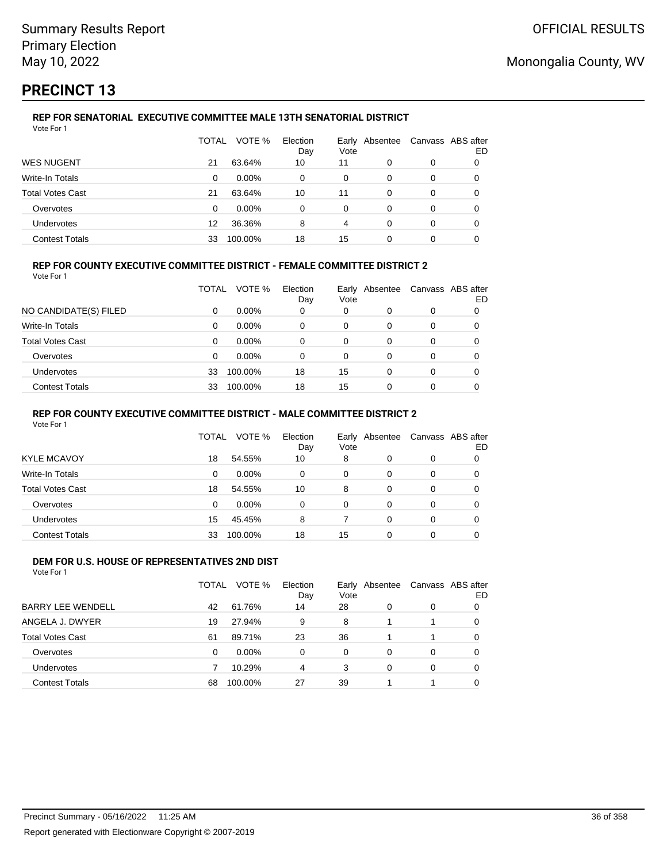# **PRECINCT 13**

#### **REP FOR SENATORIAL EXECUTIVE COMMITTEE MALE 13TH SENATORIAL DISTRICT** Vote For 1

|                         | TOTAL | VOTE %   | Election<br>Day | Vote | Early Absentee |   | Canvass ABS after<br>ED |
|-------------------------|-------|----------|-----------------|------|----------------|---|-------------------------|
| <b>WES NUGENT</b>       | 21    | 63.64%   | 10              | 11   | 0              | 0 |                         |
| Write-In Totals         | 0     | $0.00\%$ | 0               | 0    | 0              | 0 |                         |
| <b>Total Votes Cast</b> | 21    | 63.64%   | 10              | 11   | 0              | 0 |                         |
| Overvotes               | 0     | $0.00\%$ | 0               | 0    | 0              | 0 |                         |
| Undervotes              | 12    | 36.36%   | 8               | 4    | 0              | 0 | 0                       |
| <b>Contest Totals</b>   | 33    | 100.00%  | 18              | 15   | 0              |   |                         |

### **REP FOR COUNTY EXECUTIVE COMMITTEE DISTRICT - FEMALE COMMITTEE DISTRICT 2**

Vote For 1

|                         | TOTAL | VOTE %   | Election<br>Day | Vote | Early Absentee | Canvass ABS after | ED |
|-------------------------|-------|----------|-----------------|------|----------------|-------------------|----|
| NO CANDIDATE(S) FILED   | 0     | $0.00\%$ | 0               | 0    |                | 0                 |    |
| Write-In Totals         | 0     | $0.00\%$ | 0               | 0    | 0              | 0                 |    |
| <b>Total Votes Cast</b> | 0     | $0.00\%$ | 0               | 0    | 0              | 0                 |    |
| Overvotes               | 0     | $0.00\%$ | 0               | 0    | 0              | 0                 |    |
| <b>Undervotes</b>       | 33    | 100.00%  | 18              | 15   | 0              | 0                 |    |
| <b>Contest Totals</b>   | 33    | 100.00%  | 18              | 15   |                |                   |    |

#### **REP FOR COUNTY EXECUTIVE COMMITTEE DISTRICT - MALE COMMITTEE DISTRICT 2**

Vote For 1

|                       | TOTAL    | VOTE %   | Election<br>Day | Vote | Early Absentee |   | Canvass ABS after<br>ED |
|-----------------------|----------|----------|-----------------|------|----------------|---|-------------------------|
| <b>KYLE MCAVOY</b>    | 18       | 54.55%   | 10              | 8    | 0              | 0 | 0                       |
| Write-In Totals       | 0        | $0.00\%$ | 0               | 0    | 0              | 0 | 0                       |
| Total Votes Cast      | 18       | 54.55%   | 10              | 8    | 0              | 0 | 0                       |
| Overvotes             | $\Omega$ | $0.00\%$ | $\Omega$        | 0    | 0              | 0 | 0                       |
| <b>Undervotes</b>     | 15       | 45.45%   | 8               |      | 0              | 0 | 0                       |
| <b>Contest Totals</b> | 33       | 100.00%  | 18              | 15   | 0              |   |                         |

#### **DEM FOR U.S. HOUSE OF REPRESENTATIVES 2ND DIST** Vote For 1

|                          | TOTAL | VOTE %   | Election<br>Day | Vote | Early Absentee |          | Canvass ABS after<br>ED |
|--------------------------|-------|----------|-----------------|------|----------------|----------|-------------------------|
| <b>BARRY LEE WENDELL</b> | 42    | 61.76%   | 14              | 28   | 0              | 0        |                         |
| ANGELA J. DWYER          | 19    | 27.94%   | 9               | 8    |                |          | 0                       |
| <b>Total Votes Cast</b>  | 61    | 89.71%   | 23              | 36   |                |          | 0                       |
| Overvotes                | 0     | $0.00\%$ | 0               | 0    | 0              | $\Omega$ | 0                       |
| Undervotes               |       | 10.29%   | 4               | 3    | 0              | $\Omega$ | 0                       |
| <b>Contest Totals</b>    | 68    | 100.00%  | 27              | 39   |                |          |                         |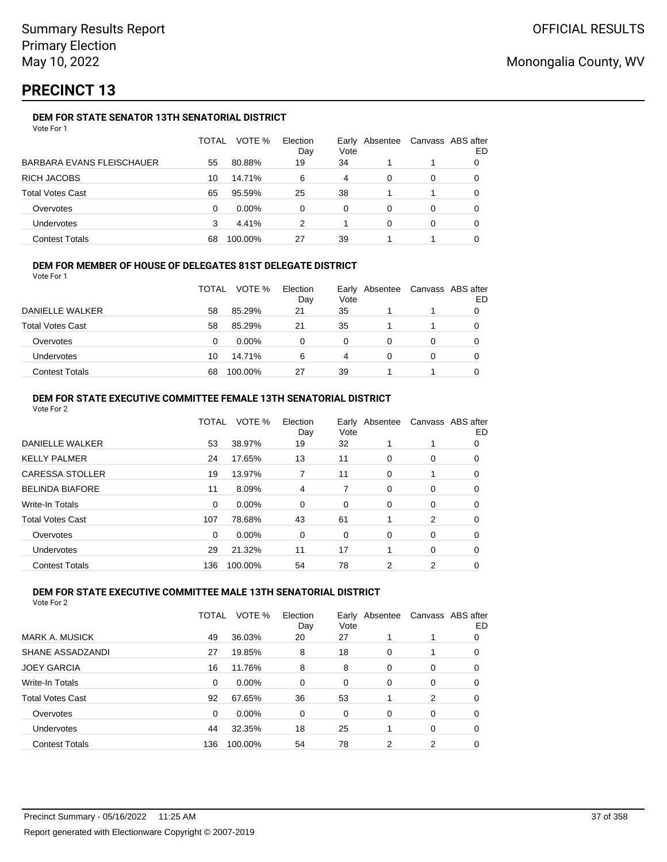# **PRECINCT 13**

## **DEM FOR STATE SENATOR 13TH SENATORIAL DISTRICT**

|                                  | TOTAL | VOTE %   | Election<br>Day | Vote | Early Absentee | Canvass ABS after | ED |
|----------------------------------|-------|----------|-----------------|------|----------------|-------------------|----|
| <b>BARBARA EVANS FLEISCHAUER</b> | 55    | 80.88%   | 19              | 34   |                |                   |    |
| <b>RICH JACOBS</b>               | 10    | 14.71%   | 6               | 4    | 0              | 0                 |    |
| <b>Total Votes Cast</b>          | 65    | 95.59%   | 25              | 38   |                |                   |    |
| Overvotes                        | 0     | $0.00\%$ | 0               | 0    | 0              | 0                 |    |
| Undervotes                       | 3     | 4.41%    | 2               |      | 0              | 0                 |    |
| <b>Contest Totals</b>            | 68    | 100.00%  | 27              | 39   |                |                   |    |

### **DEM FOR MEMBER OF HOUSE OF DELEGATES 81ST DELEGATE DISTRICT**

Vote For 1

|                         | <b>TOTAL</b> | VOTE %   | Election<br>Day | Vote | Early Absentee | Canvass ABS after<br>ED |
|-------------------------|--------------|----------|-----------------|------|----------------|-------------------------|
| DANIELLE WALKER         | 58           | 85.29%   | 21              | 35   |                |                         |
| <b>Total Votes Cast</b> | 58           | 85.29%   | 21              | 35   |                |                         |
| Overvotes               | 0            | $0.00\%$ | n               | U    |                |                         |
| Undervotes              | 10           | 14.71%   | 6               | 4    |                |                         |
| <b>Contest Totals</b>   | 68           | 100.00%  | 27              | 39   |                |                         |

#### **DEM FOR STATE EXECUTIVE COMMITTEE FEMALE 13TH SENATORIAL DISTRICT** Vote For 2

| VULE FULZ               |       |          |                 |      |                |                   |    |
|-------------------------|-------|----------|-----------------|------|----------------|-------------------|----|
|                         | TOTAL | VOTE %   | Election<br>Day | Vote | Early Absentee | Canvass ABS after | ED |
| DANIELLE WALKER         | 53    | 38.97%   | 19              | 32   |                |                   | 0  |
| <b>KELLY PALMER</b>     | 24    | 17.65%   | 13              | 11   | 0              | 0                 | 0  |
| <b>CARESSA STOLLER</b>  | 19    | 13.97%   |                 | 11   | 0              |                   | 0  |
| <b>BELINDA BIAFORE</b>  | 11    | 8.09%    | 4               | 7    | 0              | 0                 | 0  |
| Write-In Totals         | 0     | 0.00%    | 0               | 0    | 0              | 0                 | 0  |
| <b>Total Votes Cast</b> | 107   | 78.68%   | 43              | 61   | 1              | 2                 | 0  |
| Overvotes               | 0     | $0.00\%$ | 0               | 0    | 0              | 0                 | 0  |
| <b>Undervotes</b>       | 29    | 21.32%   | 11              | 17   | 1              | 0                 | 0  |
| <b>Contest Totals</b>   | 136   | 100.00%  | 54              | 78   | 2              | 2                 | 0  |
|                         |       |          |                 |      |                |                   |    |

### **DEM FOR STATE EXECUTIVE COMMITTEE MALE 13TH SENATORIAL DISTRICT**

|                         | TOTAL | VOTE %   | Election<br>Day | Vote | Early Absentee |          | Canvass ABS after<br>ED |
|-------------------------|-------|----------|-----------------|------|----------------|----------|-------------------------|
| <b>MARK A. MUSICK</b>   | 49    | 36.03%   | 20              | 27   |                |          | 0                       |
| SHANE ASSADZANDI        | 27    | 19.85%   | 8               | 18   | 0              |          | 0                       |
| <b>JOEY GARCIA</b>      | 16    | 11.76%   | 8               | 8    | $\Omega$       | $\Omega$ | 0                       |
| Write-In Totals         | 0     | $0.00\%$ | $\Omega$        | 0    | 0              | 0        | 0                       |
| <b>Total Votes Cast</b> | 92    | 67.65%   | 36              | 53   |                | 2        | 0                       |
| Overvotes               | 0     | $0.00\%$ | 0               | 0    | 0              | $\Omega$ | 0                       |
| Undervotes              | 44    | 32.35%   | 18              | 25   |                | $\Omega$ | 0                       |
| <b>Contest Totals</b>   | 136   | 100.00%  | 54              | 78   | 2              | 2        | 0                       |
|                         |       |          |                 |      |                |          |                         |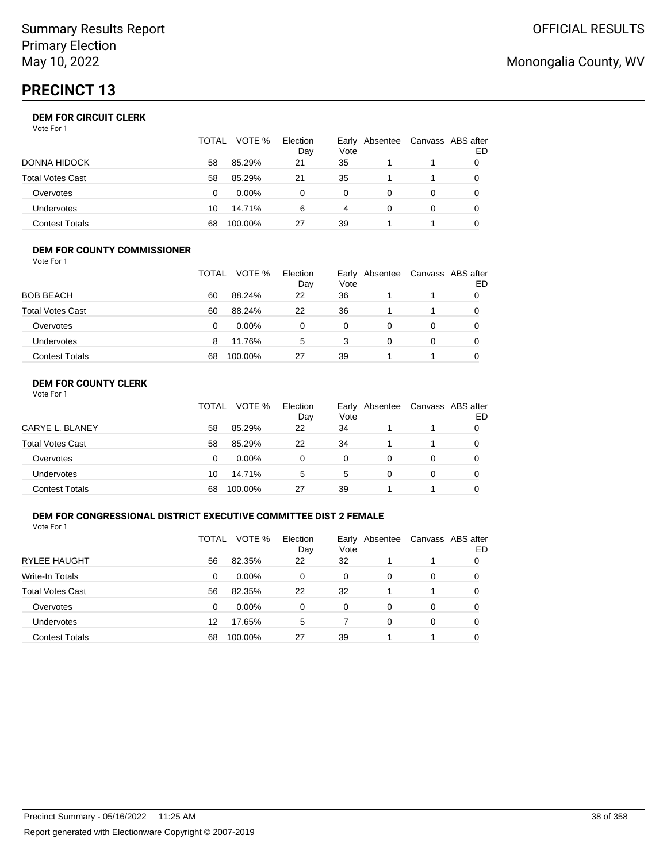# **PRECINCT 13**

## **DEM FOR CIRCUIT CLERK**

| Vote For 1 |  |
|------------|--|
|------------|--|

|                       | TOTAL | VOTE %   | Election<br>Day | Vote     | Early Absentee | Canvass ABS after | ED |
|-----------------------|-------|----------|-----------------|----------|----------------|-------------------|----|
| DONNA HIDOCK          | 58    | 85.29%   | 21              | 35       |                |                   |    |
| Total Votes Cast      | 58    | 85.29%   | 21              | 35       |                |                   |    |
| Overvotes             | 0     | $0.00\%$ |                 | $\Omega$ |                |                   |    |
| Undervotes            | 10    | 14.71%   | 6               | 4        |                |                   |    |
| <b>Contest Totals</b> | 68    | 100.00%  | 27              | 39       |                |                   |    |

#### **DEM FOR COUNTY COMMISSIONER** Vote For 1

|                         | TOTAL | VOTE %   | Election<br>Day | Vote | Early Absentee | Canvass ABS after | ED |
|-------------------------|-------|----------|-----------------|------|----------------|-------------------|----|
| <b>BOB BEACH</b>        | 60    | 88.24%   | 22              | 36   |                |                   |    |
| <b>Total Votes Cast</b> | 60    | 88.24%   | 22              | 36   |                |                   | O  |
| Overvotes               | 0     | $0.00\%$ | 0               | 0    | 0              | 0                 |    |
| Undervotes              | 8     | 11.76%   | 5               | 3    | 0              | 0                 |    |
| <b>Contest Totals</b>   | 68    | 100.00%  | 27              | 39   |                |                   |    |

## **DEM FOR COUNTY CLERK**

|                         | TOTAL | VOTE %   | Election<br>Day | Vote | Early Absentee | Canvass ABS after | ED |
|-------------------------|-------|----------|-----------------|------|----------------|-------------------|----|
| CARYE L. BLANEY         | 58    | 85.29%   | 22              | 34   |                |                   |    |
| <b>Total Votes Cast</b> | 58    | 85.29%   | 22              | 34   |                |                   |    |
| Overvotes               | 0     | $0.00\%$ | 0               | 0    |                | $\Omega$          |    |
| <b>Undervotes</b>       | 10    | 14.71%   | 5               | 5    | 0              | $\Omega$          |    |
| <b>Contest Totals</b>   | 68    | 100.00%  | 27              | 39   |                |                   |    |

### **DEM FOR CONGRESSIONAL DISTRICT EXECUTIVE COMMITTEE DIST 2 FEMALE**

Vote For 1

|                         | TOTAL | VOTE %   | Election<br>Day | Early<br>Vote | Absentee | Canvass ABS after | ED |
|-------------------------|-------|----------|-----------------|---------------|----------|-------------------|----|
| <b>RYLEE HAUGHT</b>     | 56    | 82.35%   | 22              | 32            |          |                   | O  |
| Write-In Totals         | 0     | $0.00\%$ | $\Omega$        | 0             | 0        | 0                 | O  |
| <b>Total Votes Cast</b> | 56    | 82.35%   | 22              | 32            | 1        | 1                 | 0  |
| Overvotes               | 0     | $0.00\%$ | $\Omega$        | $\Omega$      | 0        | 0                 | 0  |
| Undervotes              | 12    | 17.65%   | 5               |               | 0        | 0                 |    |
| <b>Contest Totals</b>   | 68    | 100.00%  | 27              | 39            |          |                   | 0  |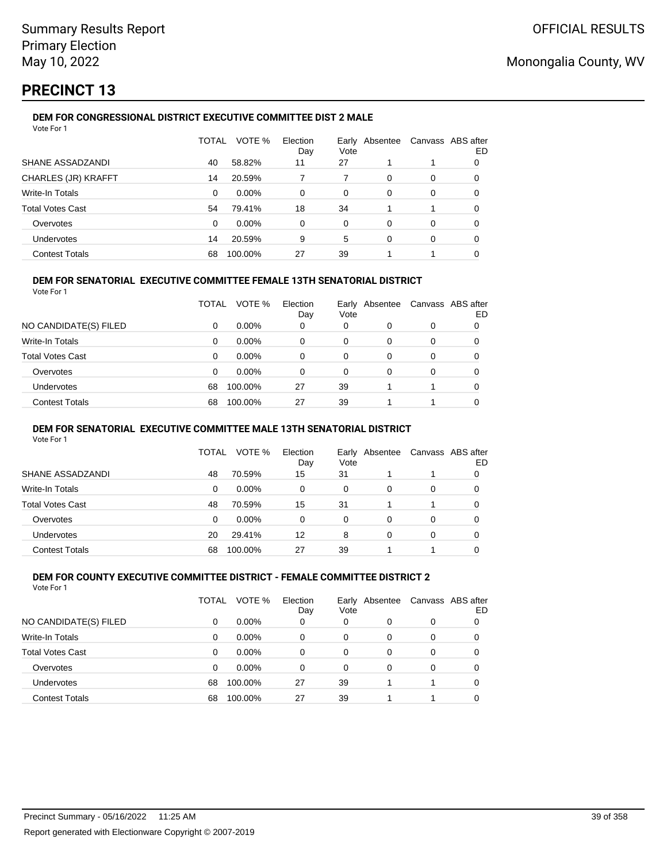# **PRECINCT 13**

#### **DEM FOR CONGRESSIONAL DISTRICT EXECUTIVE COMMITTEE DIST 2 MALE** Vote For 1

| 1 J J J J J J              |              |         |                 |               |          |          |                         |
|----------------------------|--------------|---------|-----------------|---------------|----------|----------|-------------------------|
|                            | <b>TOTAL</b> | VOTE %  | Election<br>Day | Early<br>Vote | Absentee |          | Canvass ABS after<br>ED |
| SHANE ASSADZANDI           | 40           | 58.82%  | 11              | 27            |          |          | 0                       |
| <b>CHARLES (JR) KRAFFT</b> | 14           | 20.59%  |                 |               | 0        | 0        | 0                       |
| Write-In Totals            | 0            | 0.00%   | 0               | 0             | 0        | 0        | 0                       |
| <b>Total Votes Cast</b>    | 54           | 79.41%  | 18              | 34            |          |          | 0                       |
| Overvotes                  | $\Omega$     | 0.00%   | 0               | $\Omega$      | 0        | $\Omega$ | 0                       |
| <b>Undervotes</b>          | 14           | 20.59%  | 9               | 5             | 0        | 0        | 0                       |
| <b>Contest Totals</b>      | 68           | 100.00% | 27              | 39            |          |          | 0                       |
|                            |              |         |                 |               |          |          |                         |

### **DEM FOR SENATORIAL EXECUTIVE COMMITTEE FEMALE 13TH SENATORIAL DISTRICT**

Vote For 1

|                         | TOTAL | VOTE %   | Election<br>Day | Vote | Early Absentee |   | Canvass ABS after<br>ED |
|-------------------------|-------|----------|-----------------|------|----------------|---|-------------------------|
| NO CANDIDATE(S) FILED   | 0     | $0.00\%$ | 0               | 0    | 0              | 0 |                         |
| <b>Write-In Totals</b>  | 0     | $0.00\%$ | 0               | 0    | 0              | 0 | 0                       |
| <b>Total Votes Cast</b> | 0     | $0.00\%$ | 0               | 0    | 0              | 0 |                         |
| Overvotes               | 0     | $0.00\%$ | 0               | 0    | 0              | 0 |                         |
| Undervotes              | 68    | 100.00%  | 27              | 39   |                |   | 0                       |
| <b>Contest Totals</b>   | 68    | 100.00%  | 27              | 39   |                |   |                         |

### **DEM FOR SENATORIAL EXECUTIVE COMMITTEE MALE 13TH SENATORIAL DISTRICT**

Vote For 1

|                         | TOTAL | VOTE %   | Election<br>Day | Vote | Early Absentee | Canvass ABS after | ED |
|-------------------------|-------|----------|-----------------|------|----------------|-------------------|----|
| <b>SHANE ASSADZANDI</b> | 48    | 70.59%   | 15              | 31   |                |                   | 0  |
| Write-In Totals         | 0     | $0.00\%$ | 0               | 0    | 0              | 0                 |    |
| <b>Total Votes Cast</b> | 48    | 70.59%   | 15              | 31   |                |                   | 0  |
| Overvotes               | 0     | $0.00\%$ | 0               | 0    | 0              | 0                 |    |
| <b>Undervotes</b>       | 20    | 29.41%   | 12              | 8    | 0              | 0                 |    |
| <b>Contest Totals</b>   | 68    | 100.00%  | 27              | 39   |                |                   |    |

#### **DEM FOR COUNTY EXECUTIVE COMMITTEE DISTRICT - FEMALE COMMITTEE DISTRICT 2** Vote For 1

|                         | TOTAL | VOTE %   | Election<br>Day | Vote | Early Absentee | Canvass ABS after | ED |
|-------------------------|-------|----------|-----------------|------|----------------|-------------------|----|
| NO CANDIDATE(S) FILED   | 0     | $0.00\%$ | 0               | 0    | 0              | 0                 |    |
| Write-In Totals         | 0     | 0.00%    | 0               | 0    | 0              | 0                 | 0  |
| <b>Total Votes Cast</b> | 0     | 0.00%    | 0               | 0    | 0              | 0                 | 0  |
| Overvotes               | 0     | 0.00%    | 0               | 0    | 0              | 0                 | 0  |
| <b>Undervotes</b>       | 68    | 100.00%  | 27              | 39   |                |                   | 0  |
| <b>Contest Totals</b>   | 68    | 100.00%  | 27              | 39   |                |                   |    |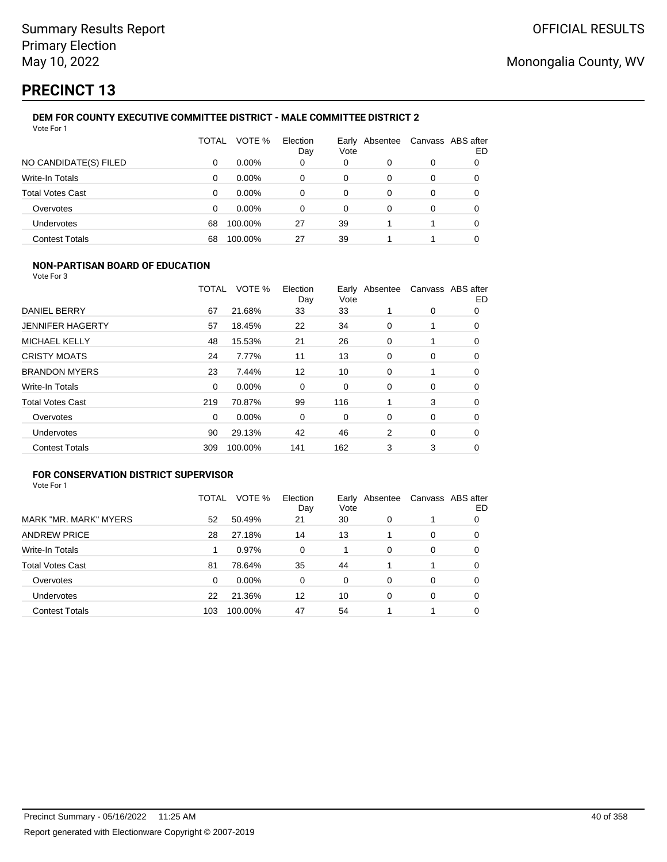# **PRECINCT 13**

#### **DEM FOR COUNTY EXECUTIVE COMMITTEE DISTRICT - MALE COMMITTEE DISTRICT 2** Vote For 1

|                         | TOTAL | VOTE %   | Election<br>Day | Vote | Early Absentee | Canvass ABS after | ED |
|-------------------------|-------|----------|-----------------|------|----------------|-------------------|----|
| NO CANDIDATE(S) FILED   | 0     | $0.00\%$ | 0               | 0    | 0              | 0                 | 0  |
| Write-In Totals         | 0     | $0.00\%$ | 0               | 0    | 0              | 0                 | 0  |
| <b>Total Votes Cast</b> | 0     | $0.00\%$ | 0               | 0    | 0              | 0                 |    |
| Overvotes               | 0     | 0.00%    | 0               | 0    | 0              | 0                 |    |
| Undervotes              | 68    | 100.00%  | 27              | 39   |                |                   | 0  |
| <b>Contest Totals</b>   | 68    | 100.00%  | 27              | 39   |                |                   |    |

### **NON-PARTISAN BOARD OF EDUCATION**

Vote For 3

|                         | TOTAL | VOTE %  | Election<br>Day | Vote | Early Absentee |   | Canvass ABS after<br>ED |
|-------------------------|-------|---------|-----------------|------|----------------|---|-------------------------|
| <b>DANIEL BERRY</b>     | 67    | 21.68%  | 33              | 33   |                | 0 | 0                       |
| <b>JENNIFER HAGERTY</b> | 57    | 18.45%  | 22              | 34   | 0              |   | 0                       |
| <b>MICHAEL KELLY</b>    | 48    | 15.53%  | 21              | 26   | 0              |   | 0                       |
| <b>CRISTY MOATS</b>     | 24    | 7.77%   | 11              | 13   | 0              | 0 | 0                       |
| <b>BRANDON MYERS</b>    | 23    | 7.44%   | 12              | 10   | $\Omega$       |   | 0                       |
| Write-In Totals         | 0     | 0.00%   | 0               | 0    | 0              | 0 | 0                       |
| <b>Total Votes Cast</b> | 219   | 70.87%  | 99              | 116  |                | 3 | 0                       |
| Overvotes               | 0     | 0.00%   | 0               | 0    | $\Omega$       | 0 | 0                       |
| <b>Undervotes</b>       | 90    | 29.13%  | 42              | 46   | 2              | 0 | 0                       |
| <b>Contest Totals</b>   | 309   | 100.00% | 141             | 162  | 3              | 3 | 0                       |

## **FOR CONSERVATION DISTRICT SUPERVISOR**

|                         | TOTAL | VOTE %  | Election<br>Day | Early<br>Vote | Absentee |          | Canvass ABS after<br>ED |
|-------------------------|-------|---------|-----------------|---------------|----------|----------|-------------------------|
| MARK "MR. MARK" MYERS   | 52    | 50.49%  | 21              | 30            | 0        |          | 0                       |
| <b>ANDREW PRICE</b>     | 28    | 27.18%  | 14              | 13            |          | 0        | O                       |
| Write-In Totals         |       | 0.97%   | $\Omega$        |               | $\Omega$ | $\Omega$ | 0                       |
| <b>Total Votes Cast</b> | 81    | 78.64%  | 35              | 44            |          | 1        | 0                       |
| Overvotes               | 0     | 0.00%   | $\Omega$        | 0             | $\Omega$ | $\Omega$ | 0                       |
| <b>Undervotes</b>       | 22    | 21.36%  | 12              | 10            | $\Omega$ | 0        | 0                       |
| <b>Contest Totals</b>   | 103   | 100.00% | 47              | 54            |          |          |                         |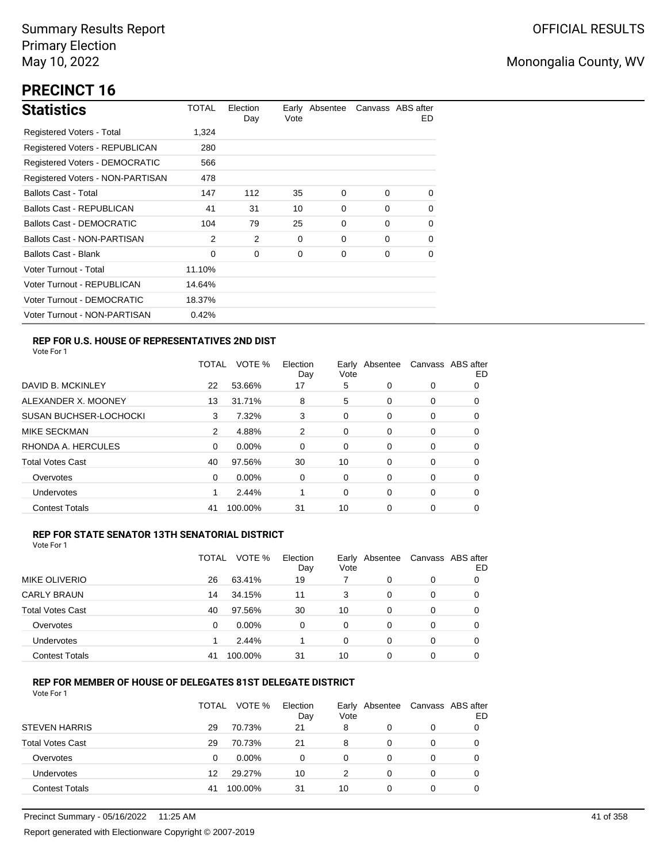# **PRECINCT 16**

| <b>Statistics</b>                | TOTAL  | Election<br>Day | Vote | Early Absentee |          | Canvass ABS after<br>ED. |
|----------------------------------|--------|-----------------|------|----------------|----------|--------------------------|
| Registered Voters - Total        | 1,324  |                 |      |                |          |                          |
| Registered Voters - REPUBLICAN   | 280    |                 |      |                |          |                          |
| Registered Voters - DEMOCRATIC   | 566    |                 |      |                |          |                          |
| Registered Voters - NON-PARTISAN | 478    |                 |      |                |          |                          |
| <b>Ballots Cast - Total</b>      | 147    | 112             | 35   | 0              | $\Omega$ | $\Omega$                 |
| <b>Ballots Cast - REPUBLICAN</b> | 41     | 31              | 10   | 0              | 0        | 0                        |
| <b>Ballots Cast - DEMOCRATIC</b> | 104    | 79              | 25   | $\Omega$       | $\Omega$ | 0                        |
| Ballots Cast - NON-PARTISAN      | 2      | 2               | 0    | 0              | $\Omega$ | 0                        |
| <b>Ballots Cast - Blank</b>      | 0      | 0               | 0    | 0              | 0        | 0                        |
| Voter Turnout - Total            | 11.10% |                 |      |                |          |                          |
| Voter Turnout - REPUBLICAN       | 14.64% |                 |      |                |          |                          |
| Voter Turnout - DEMOCRATIC       | 18.37% |                 |      |                |          |                          |
| Voter Turnout - NON-PARTISAN     | 0.42%  |                 |      |                |          |                          |

## **REP FOR U.S. HOUSE OF REPRESENTATIVES 2ND DIST**

Vote For 1

|                               | TOTAL | VOTE %   | Election<br>Day | Earlv<br>Vote | Absentee |   | Canvass ABS after<br>ED |
|-------------------------------|-------|----------|-----------------|---------------|----------|---|-------------------------|
| DAVID B. MCKINLEY             | 22    | 53.66%   | 17              | 5             | 0        | 0 | O                       |
| ALEXANDER X. MOONEY           | 13    | 31.71%   | 8               | 5             | 0        | 0 | O                       |
| <b>SUSAN BUCHSER-LOCHOCKI</b> | 3     | 7.32%    | 3               | 0             | 0        | 0 | 0                       |
| <b>MIKE SECKMAN</b>           | 2     | 4.88%    | 2               | 0             | 0        | 0 | 0                       |
| RHONDA A. HERCULES            | 0     | $0.00\%$ | $\Omega$        | 0             | 0        | 0 | 0                       |
| <b>Total Votes Cast</b>       | 40    | 97.56%   | 30              | 10            | 0        | 0 | 0                       |
| Overvotes                     | 0     | $0.00\%$ | 0               | 0             | 0        | 0 | 0                       |
| <b>Undervotes</b>             |       | 2.44%    |                 | 0             | 0        | 0 | 0                       |
| <b>Contest Totals</b>         | 41    | 100.00%  | 31              | 10            | 0        | 0 | 0                       |

### **REP FOR STATE SENATOR 13TH SENATORIAL DISTRICT**

| Vote For 1 |  |
|------------|--|
|            |  |

|                         | TOTAL | VOTE %   | Election<br>Day | Vote | Early Absentee | Canvass ABS after | ED |
|-------------------------|-------|----------|-----------------|------|----------------|-------------------|----|
| <b>MIKE OLIVERIO</b>    | 26    | 63.41%   | 19              |      | 0              | 0                 |    |
| <b>CARLY BRAUN</b>      | 14    | 34.15%   | 11              | 3    | 0              | 0                 | O  |
| <b>Total Votes Cast</b> | 40    | 97.56%   | 30              | 10   | 0              | 0                 |    |
| Overvotes               | 0     | $0.00\%$ | 0               | 0    | 0              | 0                 |    |
| Undervotes              |       | 2.44%    |                 | 0    | 0              | 0                 | 0  |
| <b>Contest Totals</b>   | 41    | 100.00%  | 31              | 10   | $\Omega$       | 0                 |    |

### **REP FOR MEMBER OF HOUSE OF DELEGATES 81ST DELEGATE DISTRICT**

|                         | <b>TOTAL</b> | VOTE %   | Election<br>Day | Vote | Early Absentee | Canvass ABS after | ED |
|-------------------------|--------------|----------|-----------------|------|----------------|-------------------|----|
| <b>STEVEN HARRIS</b>    | 29           | 70.73%   | 21              | 8    | 0              | 0                 |    |
| <b>Total Votes Cast</b> | 29           | 70.73%   | 21              | 8    | 0              | 0                 |    |
| Overvotes               | 0            | $0.00\%$ | ი               | 0    | 0              | 0                 |    |
| Undervotes              | 12           | 29.27%   | 10              | 2    | 0              | 0                 |    |
| <b>Contest Totals</b>   | 41           | 100.00%  | 31              | 10   | 0              | 0                 |    |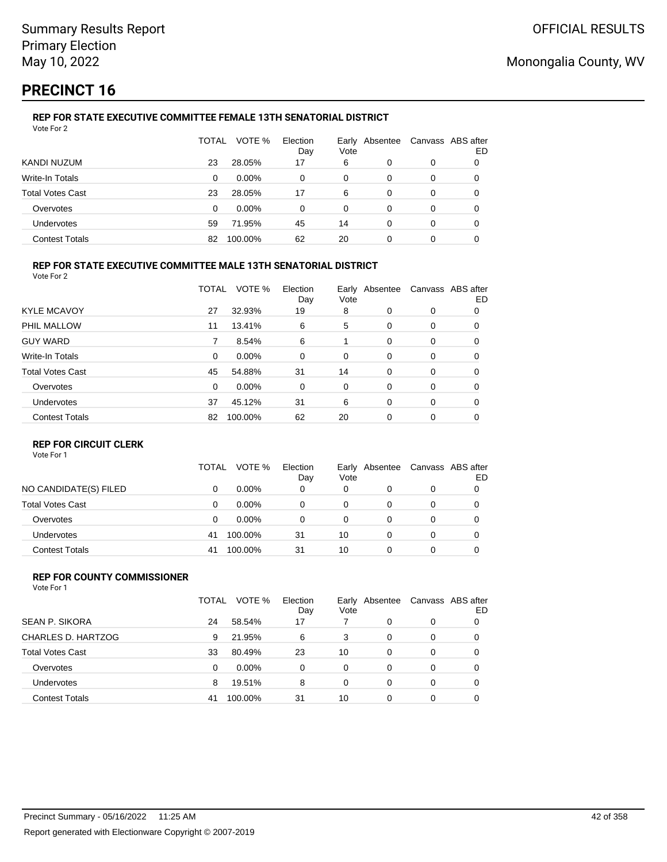# **PRECINCT 16**

#### **REP FOR STATE EXECUTIVE COMMITTEE FEMALE 13TH SENATORIAL DISTRICT** Vote For 2

|                         | TOTAL | VOTE %   | Election<br>Day | Vote | Early Absentee | Canvass ABS after | ED |
|-------------------------|-------|----------|-----------------|------|----------------|-------------------|----|
| KANDI NUZUM             | 23    | 28.05%   | 17              | 6    | 0              | 0                 |    |
| Write-In Totals         | 0     | $0.00\%$ | 0               | 0    | 0              | 0                 |    |
| <b>Total Votes Cast</b> | 23    | 28.05%   | 17              | 6    | 0              | 0                 |    |
| Overvotes               | 0     | $0.00\%$ | 0               | 0    | 0              | 0                 |    |
| Undervotes              | 59    | 71.95%   | 45              | 14   | 0              | 0                 |    |
| <b>Contest Totals</b>   | 82    | 100.00%  | 62              | 20   | ი              | 0                 |    |

### **REP FOR STATE EXECUTIVE COMMITTEE MALE 13TH SENATORIAL DISTRICT**

Vote For 2

|                         | TOTAL    | VOTE %   | Election<br>Day | Vote | Early Absentee |          | Canvass ABS after<br>ED |
|-------------------------|----------|----------|-----------------|------|----------------|----------|-------------------------|
| <b>KYLE MCAVOY</b>      | 27       | 32.93%   | 19              | 8    | 0              | 0        | 0                       |
| PHIL MALLOW             | 11       | 13.41%   | 6               | 5    | 0              | 0        | 0                       |
| <b>GUY WARD</b>         | 7        | 8.54%    | 6               |      | $\Omega$       | 0        | 0                       |
| Write-In Totals         | 0        | 0.00%    | 0               | 0    | 0              | 0        | 0                       |
| <b>Total Votes Cast</b> | 45       | 54.88%   | 31              | 14   | $\Omega$       | $\Omega$ | 0                       |
| Overvotes               | $\Omega$ | $0.00\%$ | 0               | 0    | 0              | $\Omega$ | 0                       |
| Undervotes              | 37       | 45.12%   | 31              | 6    | 0              | $\Omega$ | 0                       |
| <b>Contest Totals</b>   | 82       | 100.00%  | 62              | 20   | $\Omega$       | 0        | 0                       |

### **REP FOR CIRCUIT CLERK**

Vote For 1

|                         | TOTAL | VOTE %   | Election<br>Day | Early<br>Vote | Absentee | Canvass ABS after | ED |
|-------------------------|-------|----------|-----------------|---------------|----------|-------------------|----|
| NO CANDIDATE(S) FILED   | 0     | $0.00\%$ | 0               | 0             | 0        | 0                 |    |
| <b>Total Votes Cast</b> |       | $0.00\%$ | 0               | 0             |          | 0                 |    |
| Overvotes               | 0     | $0.00\%$ | 0               | 0             |          | 0                 |    |
| <b>Undervotes</b>       | 41    | 100.00%  | 31              | 10            |          | 0                 |    |
| <b>Contest Totals</b>   | 41    | 100.00%  | 31              | 10            |          | 0                 |    |

#### **REP FOR COUNTY COMMISSIONER** Vote For 1

|                         | TOTAL | VOTE %   | Election<br>Day | Vote | Early Absentee |          | Canvass ABS after<br>ED |
|-------------------------|-------|----------|-----------------|------|----------------|----------|-------------------------|
| <b>SEAN P. SIKORA</b>   | 24    | 58.54%   | 17              |      | 0              | 0        |                         |
| CHARLES D. HARTZOG      | 9     | 21.95%   | 6               | 3    | 0              | 0        | 0                       |
| <b>Total Votes Cast</b> | 33    | 80.49%   | 23              | 10   | 0              | 0        | 0                       |
| Overvotes               | 0     | $0.00\%$ | $\Omega$        | 0    | 0              | $\Omega$ | 0                       |
| Undervotes              | 8     | 19.51%   | 8               | 0    | 0              | $\Omega$ | 0                       |
| <b>Contest Totals</b>   | 41    | 100.00%  | 31              | 10   | $\Omega$       | $\Omega$ |                         |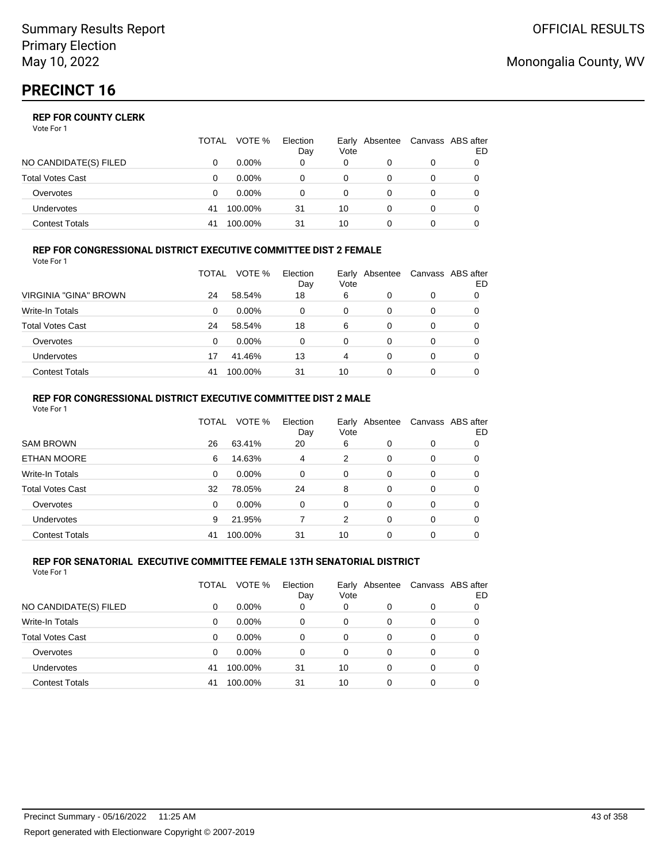Vote For 1

|                       | TOTAL | VOTE %   | Election<br>Day | Vote | Early Absentee | Canvass ABS after | ED |
|-----------------------|-------|----------|-----------------|------|----------------|-------------------|----|
| NO CANDIDATE(S) FILED |       | $0.00\%$ | 0               | 0    |                | 0                 |    |
| Total Votes Cast      |       | $0.00\%$ |                 | 0    |                | 0                 |    |
| Overvotes             |       | $0.00\%$ |                 | 0    |                | 0                 |    |
| Undervotes            | 41    | 100.00%  | 31              | 10   |                | 0                 |    |
| Contest Totals        | 41    | 100.00%  | 31              | 10   |                |                   |    |

#### **REP FOR CONGRESSIONAL DISTRICT EXECUTIVE COMMITTEE DIST 2 FEMALE** Vote For 1

|                         | TOTAL | VOTE %   | Election<br>Day | Vote | Early Absentee | Canvass ABS after | ED |
|-------------------------|-------|----------|-----------------|------|----------------|-------------------|----|
| VIRGINIA "GINA" BROWN   | 24    | 58.54%   | 18              | 6    | 0              | 0                 |    |
| Write-In Totals         | 0     | $0.00\%$ | 0               | 0    | 0              | 0                 | 0  |
| <b>Total Votes Cast</b> | 24    | 58.54%   | 18              | 6    | 0              | 0                 |    |
| Overvotes               | 0     | $0.00\%$ | 0               | 0    | 0              | 0                 |    |
| <b>Undervotes</b>       | 17    | 41.46%   | 13              | 4    | 0              | 0                 |    |
| <b>Contest Totals</b>   | 41    | 100.00%  | -31             | 10   | 0              | 0                 |    |

#### **REP FOR CONGRESSIONAL DISTRICT EXECUTIVE COMMITTEE DIST 2 MALE** Vote For 1

|                         | TOTAL    | VOTE %   | Election<br>Day | Vote     | Early Absentee |          | Canvass ABS after<br>ED |  |  |  |  |
|-------------------------|----------|----------|-----------------|----------|----------------|----------|-------------------------|--|--|--|--|
| <b>SAM BROWN</b>        | 26       | 63.41%   | 20              | 6        | 0              | 0        | 0                       |  |  |  |  |
| <b>ETHAN MOORE</b>      | 6        | 14.63%   | 4               | 2        | 0              | $\Omega$ | 0                       |  |  |  |  |
| Write-In Totals         | $\Omega$ | $0.00\%$ | $\Omega$        | $\Omega$ | 0              | 0        | 0                       |  |  |  |  |
| <b>Total Votes Cast</b> | 32       | 78.05%   | 24              | 8        | 0              | 0        | 0                       |  |  |  |  |
| Overvotes               | 0        | $0.00\%$ | $\Omega$        | $\Omega$ | 0              | $\Omega$ | 0                       |  |  |  |  |
| <b>Undervotes</b>       | 9        | 21.95%   |                 | 2        | 0              | 0        | 0                       |  |  |  |  |
| <b>Contest Totals</b>   | 41       | 100.00%  | 31              | 10       | 0              | 0        |                         |  |  |  |  |
|                         |          |          |                 |          |                |          |                         |  |  |  |  |

#### **REP FOR SENATORIAL EXECUTIVE COMMITTEE FEMALE 13TH SENATORIAL DISTRICT** Vote For 1

|                         | TOTAL | VOTE %   | Election<br>Day | Vote | Early Absentee |   | Canvass ABS after<br>ED |
|-------------------------|-------|----------|-----------------|------|----------------|---|-------------------------|
| NO CANDIDATE(S) FILED   | 0     | $0.00\%$ | 0               | 0    | 0              | 0 |                         |
| <b>Write-In Totals</b>  | 0     | $0.00\%$ | 0               | 0    | 0              | 0 |                         |
| <b>Total Votes Cast</b> | 0     | $0.00\%$ | 0               | 0    | 0              | 0 |                         |
| Overvotes               | 0     | $0.00\%$ | 0               | 0    | 0              | 0 | 0                       |
| Undervotes              | 41    | 100.00%  | 31              | 10   | $\Omega$       | 0 | 0                       |
| <b>Contest Totals</b>   | 41    | 100.00%  | 31              | 10   | 0              | 0 |                         |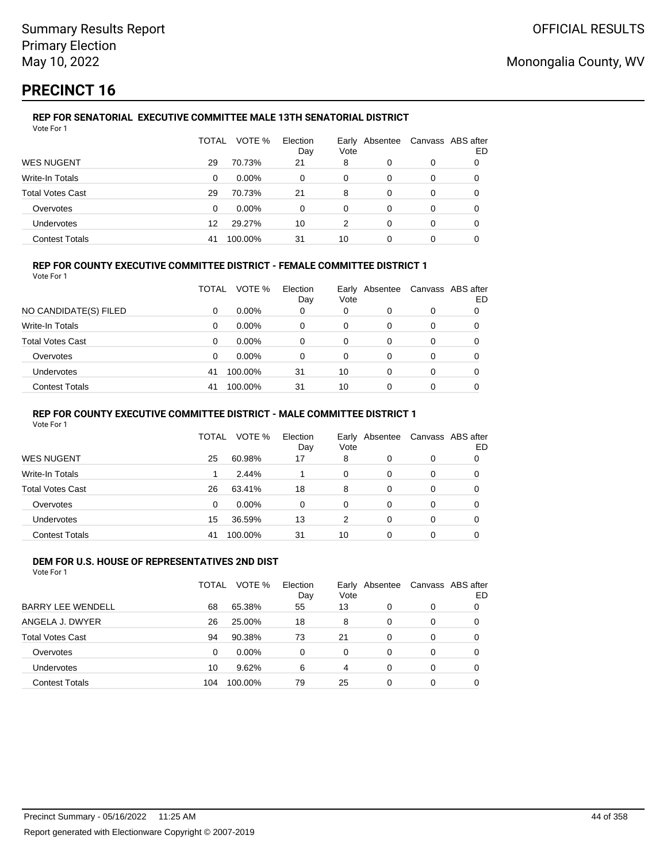# **PRECINCT 16**

#### **REP FOR SENATORIAL EXECUTIVE COMMITTEE MALE 13TH SENATORIAL DISTRICT** Vote For 1

|                         | TOTAL | VOTE %   | Election<br>Day | Vote | Early Absentee |   | Canvass ABS after<br>ED |
|-------------------------|-------|----------|-----------------|------|----------------|---|-------------------------|
| <b>WES NUGENT</b>       | 29    | 70.73%   | 21              | 8    | 0              | 0 |                         |
| Write-In Totals         | 0     | $0.00\%$ | 0               | 0    | 0              | 0 |                         |
| <b>Total Votes Cast</b> | 29    | 70.73%   | 21              | 8    | 0              | 0 |                         |
| Overvotes               | 0     | $0.00\%$ | 0               | 0    | 0              | 0 |                         |
| Undervotes              | 12    | 29.27%   | 10              | 2    | 0              | 0 |                         |
| <b>Contest Totals</b>   | 41    | 100.00%  | 31              | 10   | 0              |   |                         |

### **REP FOR COUNTY EXECUTIVE COMMITTEE DISTRICT - FEMALE COMMITTEE DISTRICT 1**

Vote For 1

|                         | TOTAL | VOTE %   | Election<br>Day | Vote | Early Absentee | Canvass ABS after | ED |
|-------------------------|-------|----------|-----------------|------|----------------|-------------------|----|
| NO CANDIDATE(S) FILED   | 0     | $0.00\%$ | 0               | 0    |                | 0                 |    |
| <b>Write-In Totals</b>  | 0     | $0.00\%$ | 0               | 0    | 0              | 0                 |    |
| <b>Total Votes Cast</b> | 0     | $0.00\%$ | 0               | 0    | 0              | 0                 |    |
| Overvotes               | 0     | $0.00\%$ | 0               | 0    | 0              | 0                 |    |
| <b>Undervotes</b>       | 41    | 100.00%  | 31              | 10   | 0              | 0                 |    |
| <b>Contest Totals</b>   | 41    | 100.00%  | 31              | 10   |                |                   |    |

### **REP FOR COUNTY EXECUTIVE COMMITTEE DISTRICT - MALE COMMITTEE DISTRICT 1**

Vote For 1

|                       | TOTAL    | VOTE %  | Election<br>Day | Vote | Early Absentee | Canvass ABS after | ED |
|-----------------------|----------|---------|-----------------|------|----------------|-------------------|----|
| WES NUGENT            | 25       | 60.98%  | 17              | 8    | 0              | 0                 |    |
| Write-In Totals       |          | 2.44%   |                 | 0    | 0              | 0                 |    |
| Total Votes Cast      | 26       | 63.41%  | 18              | 8    | 0              | 0                 |    |
| Overvotes             | $\Omega$ | 0.00%   | $\Omega$        | 0    | 0              | 0                 |    |
| <b>Undervotes</b>     | 15       | 36.59%  | 13              | 2    | 0              | 0                 |    |
| <b>Contest Totals</b> | 41       | 100.00% | 31              | 10   | 0              | 0                 |    |

#### **DEM FOR U.S. HOUSE OF REPRESENTATIVES 2ND DIST** Vote For 1

|                          | TOTAL    | VOTE %   | Election<br>Day | Vote     | Early Absentee |          | Canvass ABS after<br>ED |
|--------------------------|----------|----------|-----------------|----------|----------------|----------|-------------------------|
| <b>BARRY LEE WENDELL</b> | 68       | 65.38%   | 55              | 13       | 0              | 0        |                         |
| ANGELA J. DWYER          | 26       | 25.00%   | 18              | 8        | $\Omega$       | 0        | 0                       |
| <b>Total Votes Cast</b>  | 94       | 90.38%   | 73              | 21       | $\Omega$       | 0        | 0                       |
| Overvotes                | $\Omega$ | $0.00\%$ | $\Omega$        | $\Omega$ | $\Omega$       | 0        | 0                       |
| Undervotes               | 10       | 9.62%    | 6               | 4        | 0              | $\Omega$ | 0                       |
| <b>Contest Totals</b>    | 104      | 100.00%  | 79              | 25       | $\Omega$       | 0        |                         |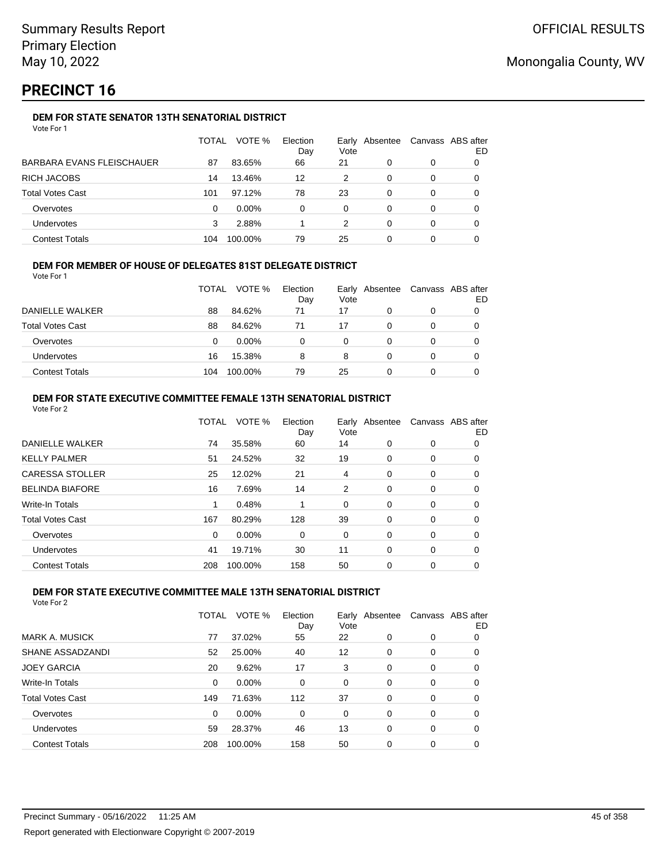# **PRECINCT 16**

## **DEM FOR STATE SENATOR 13TH SENATORIAL DISTRICT**

|                           | TOTAL | VOTE %   | Election<br>Day | Vote | Early Absentee | Canvass ABS after | ED |
|---------------------------|-------|----------|-----------------|------|----------------|-------------------|----|
| BARBARA EVANS FLEISCHAUER | 87    | 83.65%   | 66              | 21   | 0              | 0                 |    |
| RICH JACOBS               | 14    | 13.46%   | 12              | 2    | 0              | 0                 |    |
| <b>Total Votes Cast</b>   | 101   | 97.12%   | 78              | 23   | 0              | 0                 |    |
| Overvotes                 | 0     | $0.00\%$ | 0               | 0    | 0              | 0                 |    |
| <b>Undervotes</b>         | 3     | 2.88%    |                 | 2    | 0              | 0                 |    |
| <b>Contest Totals</b>     | 104   | 100.00%  | 79              | 25   | 0              | 0                 |    |

### **DEM FOR MEMBER OF HOUSE OF DELEGATES 81ST DELEGATE DISTRICT**

Vote For 1

|                         | <b>TOTAL</b> | VOTE %   | Election<br>Day | Vote | Early Absentee | Canvass ABS after<br>ED |
|-------------------------|--------------|----------|-----------------|------|----------------|-------------------------|
| DANIELLE WALKER         | 88           | 84.62%   | 71              | 17   | $\Omega$       |                         |
| <b>Total Votes Cast</b> | 88           | 84.62%   | 71              | 17   | 0              |                         |
| Overvotes               | 0            | $0.00\%$ | n               | 0    |                |                         |
| <b>Undervotes</b>       | 16           | 15.38%   | 8               | 8    |                |                         |
| <b>Contest Totals</b>   | 104          | 100.00%  | 79              | 25   |                |                         |

### **DEM FOR STATE EXECUTIVE COMMITTEE FEMALE 13TH SENATORIAL DISTRICT**

|     | VOTE %  | Election<br>Day | Vote |   |                | Canvass ABS after<br>ED |
|-----|---------|-----------------|------|---|----------------|-------------------------|
| 74  | 35.58%  | 60              | 14   | 0 | 0              | 0                       |
| 51  | 24.52%  | 32              | 19   | 0 | 0              | 0                       |
| 25  | 12.02%  | 21              | 4    | 0 | 0              | 0                       |
| 16  | 7.69%   | 14              | 2    | 0 | 0              | 0                       |
|     | 0.48%   |                 | 0    | 0 | 0              | 0                       |
| 167 | 80.29%  | 128             | 39   | 0 | 0              | 0                       |
| 0   | 0.00%   | 0               | 0    | 0 | 0              | 0                       |
| 41  | 19.71%  | 30              | 11   | 0 | 0              | 0                       |
| 208 | 100.00% | 158             | 50   | 0 | 0              | 0                       |
|     |         | <b>TOTAL</b>    |      |   | Early Absentee |                         |

### **DEM FOR STATE EXECUTIVE COMMITTEE MALE 13TH SENATORIAL DISTRICT**

|                         | TOTAL | VOTE %   | Election<br>Day | Vote | Early Absentee |          | Canvass ABS after<br>ED |
|-------------------------|-------|----------|-----------------|------|----------------|----------|-------------------------|
| MARK A. MUSICK          | 77    | 37.02%   | 55              | 22   | $\Omega$       | 0        | 0                       |
| SHANE ASSADZANDI        | 52    | 25.00%   | 40              | 12   | 0              | 0        | 0                       |
| <b>JOEY GARCIA</b>      | 20    | 9.62%    | 17              | 3    | $\Omega$       | $\Omega$ | 0                       |
| Write-In Totals         | 0     | $0.00\%$ | 0               | 0    | 0              | 0        | 0                       |
| <b>Total Votes Cast</b> | 149   | 71.63%   | 112             | 37   | $\Omega$       | 0        | 0                       |
| Overvotes               | 0     | $0.00\%$ | 0               | 0    | $\Omega$       | 0        | 0                       |
| Undervotes              | 59    | 28.37%   | 46              | 13   | $\Omega$       | $\Omega$ | 0                       |
| <b>Contest Totals</b>   | 208   | 100.00%  | 158             | 50   | $\Omega$       | 0        | 0                       |
|                         |       |          |                 |      |                |          |                         |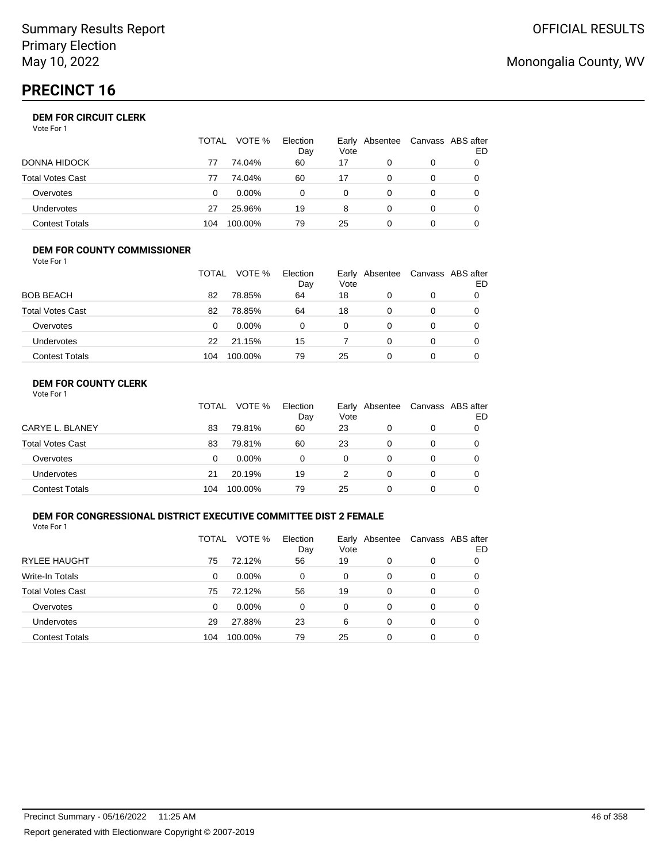# **PRECINCT 16**

### **DEM FOR CIRCUIT CLERK**

Vote For 1

|                         | <b>TOTAL</b> | VOTE %   | Election<br>Day | Vote     | Early Absentee | Canvass ABS after | ED |
|-------------------------|--------------|----------|-----------------|----------|----------------|-------------------|----|
| <b>DONNA HIDOCK</b>     | 77           | 74.04%   | 60              | 17       |                |                   |    |
| <b>Total Votes Cast</b> | 77           | 74.04%   | 60              | 17       |                |                   |    |
| Overvotes               | 0            | $0.00\%$ | 0               | $\Omega$ |                |                   |    |
| <b>Undervotes</b>       | 27           | 25.96%   | 19              | 8        | 0              | $\Omega$          |    |
| <b>Contest Totals</b>   | 104          | 100.00%  | 79              | 25       |                |                   |    |

### **DEM FOR COUNTY COMMISSIONER**

| Vote For 1              |       |         |                 |      |                |                   |    |
|-------------------------|-------|---------|-----------------|------|----------------|-------------------|----|
|                         | TOTAL | VOTE %  | Election<br>Day | Vote | Early Absentee | Canvass ABS after | ED |
| <b>BOB BEACH</b>        | 82    | 78.85%  | 64              | 18   | 0              | 0                 |    |
| <b>Total Votes Cast</b> | 82    | 78.85%  | 64              | 18   | 0              | 0                 |    |
| Overvotes               | 0     | 0.00%   | 0               | 0    | 0              | 0                 | 0  |
| Undervotes              | 22    | 21.15%  | 15              |      | 0              | 0                 | 0  |
| <b>Contest Totals</b>   | 104   | 100.00% | 79              | 25   | 0              | 0                 |    |

## **DEM FOR COUNTY CLERK**

|                         | <b>TOTAL</b> | VOTE %   | Election<br>Day | Vote | Early Absentee | Canvass ABS after | ED |
|-------------------------|--------------|----------|-----------------|------|----------------|-------------------|----|
| CARYE L. BLANEY         | 83           | 79.81%   | 60              | 23   |                | 0                 |    |
| <b>Total Votes Cast</b> | 83           | 79.81%   | 60              | 23   | 0              | 0                 |    |
| Overvotes               | 0            | $0.00\%$ | 0               | 0    | 0              | 0                 |    |
| Undervotes              | 21           | 20.19%   | 19              |      | 0              | 0                 |    |
| <b>Contest Totals</b>   | 104          | 100.00%  | 79              | 25   |                | 0                 |    |

### **DEM FOR CONGRESSIONAL DISTRICT EXECUTIVE COMMITTEE DIST 2 FEMALE**

Vote For 1

|                         | TOTAL | VOTE %   | Election<br>Day | Vote | Early Absentee |   | Canvass ABS after<br>ED |
|-------------------------|-------|----------|-----------------|------|----------------|---|-------------------------|
| <b>RYLEE HAUGHT</b>     | 75    | 72.12%   | 56              | 19   | 0              | 0 |                         |
| Write-In Totals         | 0     | $0.00\%$ | 0               | 0    | 0              | 0 | O                       |
| <b>Total Votes Cast</b> | 75    | 72.12%   | 56              | 19   | 0              | 0 | O                       |
| Overvotes               | 0     | $0.00\%$ | 0               | 0    | 0              | 0 | O                       |
| <b>Undervotes</b>       | 29    | 27.88%   | 23              | 6    | 0              | 0 | O                       |
| <b>Contest Totals</b>   | 104   | 100.00%  | 79              | 25   | 0              | 0 |                         |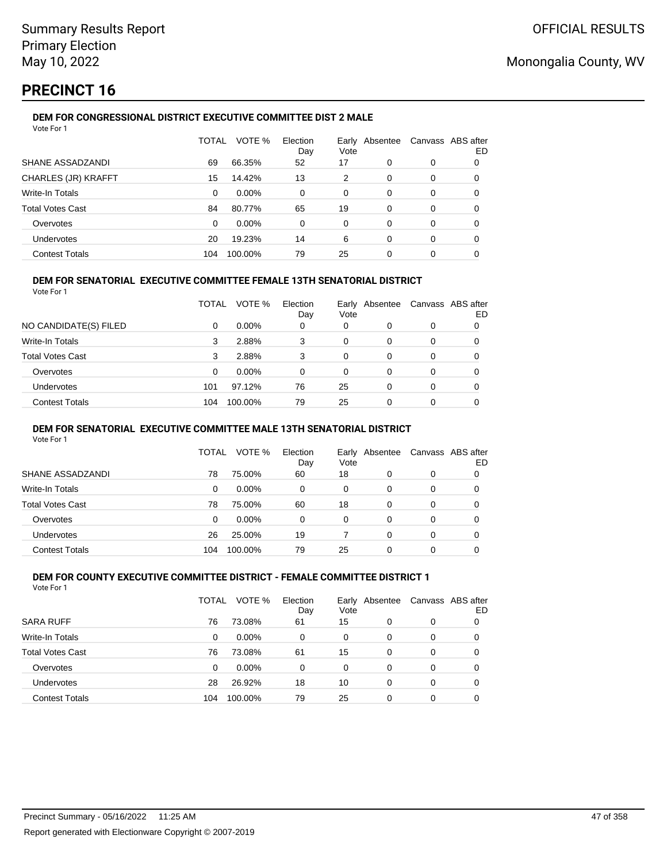# **PRECINCT 16**

## **DEM FOR CONGRESSIONAL DISTRICT EXECUTIVE COMMITTEE DIST 2 MALE**

| Vote For 1              |              |          |                 |               |          |   |                          |
|-------------------------|--------------|----------|-----------------|---------------|----------|---|--------------------------|
|                         | <b>TOTAL</b> | VOTE %   | Election<br>Day | Early<br>Vote | Absentee |   | Canvass ABS after<br>ED. |
| SHANE ASSADZANDI        | 69           | 66.35%   | 52              | 17            | 0        | 0 | 0                        |
| CHARLES (JR) KRAFFT     | 15           | 14.42%   | 13              | 2             | 0        | 0 | 0                        |
| Write-In Totals         | 0            | $0.00\%$ | 0               | 0             | 0        | 0 | 0                        |
| <b>Total Votes Cast</b> | 84           | 80.77%   | 65              | 19            | 0        | 0 | 0                        |
| Overvotes               | $\Omega$     | $0.00\%$ | 0               | 0             | 0        | 0 | 0                        |
| Undervotes              | 20           | 19.23%   | 14              | 6             | 0        | 0 | 0                        |
| <b>Contest Totals</b>   | 104          | 100.00%  | 79              | 25            | 0        | 0 | 0                        |

### **DEM FOR SENATORIAL EXECUTIVE COMMITTEE FEMALE 13TH SENATORIAL DISTRICT**

Vote For 1

|                         | TOTAL | VOTE %   | Election<br>Day | Vote | Early Absentee |          | Canvass ABS after<br>ED |
|-------------------------|-------|----------|-----------------|------|----------------|----------|-------------------------|
| NO CANDIDATE(S) FILED   | 0     | $0.00\%$ | 0               | 0    | 0              | 0        |                         |
| <b>Write-In Totals</b>  | 3     | 2.88%    | 3               | 0    | 0              | $\Omega$ | 0                       |
| <b>Total Votes Cast</b> | 3     | 2.88%    | 3               | 0    | 0              | 0        |                         |
| Overvotes               | 0     | $0.00\%$ | 0               | 0    | 0              | 0        |                         |
| Undervotes              | 101   | 97.12%   | 76              | 25   | 0              | $\Omega$ | 0                       |
| <b>Contest Totals</b>   | 104   | 100.00%  | 79              | 25   | 0              | 0        |                         |

### **DEM FOR SENATORIAL EXECUTIVE COMMITTEE MALE 13TH SENATORIAL DISTRICT**

Vote For 1

|                         | TOTAL | VOTE %   | Election<br>Day | Vote | Early Absentee | Canvass ABS after | ED |
|-------------------------|-------|----------|-----------------|------|----------------|-------------------|----|
| SHANE ASSADZANDI        | 78    | 75.00%   | 60              | 18   | 0              | 0                 |    |
| Write-In Totals         | 0     | $0.00\%$ | 0               | 0    | 0              | 0                 |    |
| <b>Total Votes Cast</b> | 78    | 75.00%   | 60              | 18   | 0              | 0                 |    |
| Overvotes               | 0     | $0.00\%$ | 0               | 0    | 0              | 0                 |    |
| <b>Undervotes</b>       | 26    | 25.00%   | 19              |      | 0              | 0                 |    |
| <b>Contest Totals</b>   | 104   | 100.00%  | 79              | 25   | 0              | 0                 |    |

#### **DEM FOR COUNTY EXECUTIVE COMMITTEE DISTRICT - FEMALE COMMITTEE DISTRICT 1** Vote For 1

|                         | TOTAL | VOTE %   | Election<br>Day | Early<br>Vote | Absentee | Canvass ABS after | ED |
|-------------------------|-------|----------|-----------------|---------------|----------|-------------------|----|
| <b>SARA RUFF</b>        | 76    | 73.08%   | 61              | 15            | 0        | 0                 |    |
| Write-In Totals         | 0     | $0.00\%$ | 0               | 0             | 0        | 0                 | 0  |
| <b>Total Votes Cast</b> | 76    | 73.08%   | 61              | 15            | 0        | 0                 | 0  |
| Overvotes               | 0     | $0.00\%$ | 0               | 0             | 0        | 0                 | 0  |
| Undervotes              | 28    | 26.92%   | 18              | 10            | 0        | 0                 | 0  |
| <b>Contest Totals</b>   | 104   | 100.00%  | 79              | 25            | 0        | 0                 |    |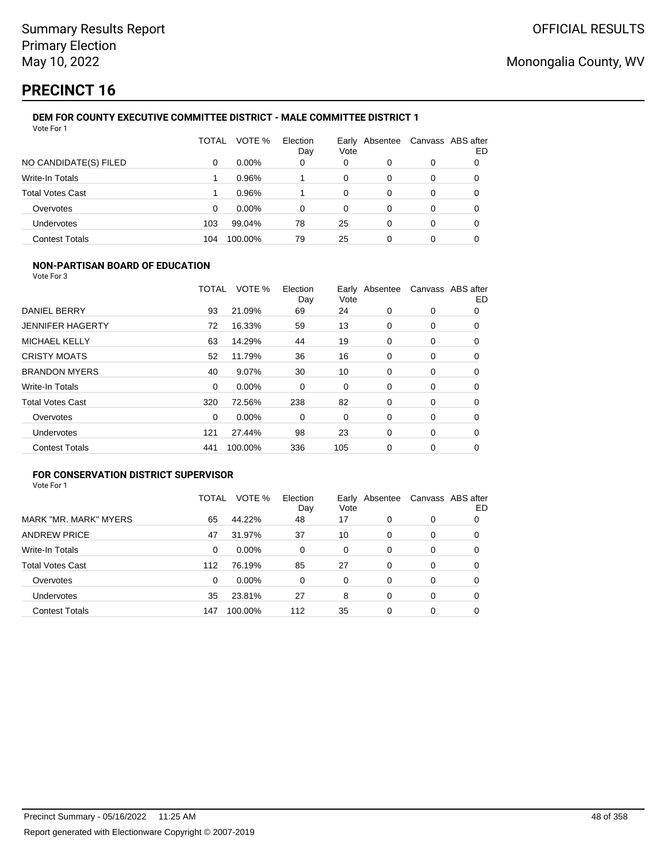# **PRECINCT 16**

#### **DEM FOR COUNTY EXECUTIVE COMMITTEE DISTRICT - MALE COMMITTEE DISTRICT 1** Vote For 1

|                         | TOTAL | VOTE %   | Election<br>Day | Vote | Early Absentee | Canvass ABS after | ED |
|-------------------------|-------|----------|-----------------|------|----------------|-------------------|----|
| NO CANDIDATE(S) FILED   | 0     | $0.00\%$ | 0               | 0    | 0              | 0                 | 0  |
| Write-In Totals         |       | 0.96%    |                 | 0    | 0              | 0                 | 0  |
| <b>Total Votes Cast</b> |       | 0.96%    |                 | 0    | 0              | 0                 | 0  |
| Overvotes               | 0     | $0.00\%$ | 0               | 0    | 0              | 0                 | 0  |
| Undervotes              | 103   | 99.04%   | 78              | 25   | 0              | 0                 |    |
| <b>Contest Totals</b>   | 104   | 100.00%  | 79              | 25   | 0              | 0                 |    |

## **NON-PARTISAN BOARD OF EDUCATION**

Vote For 3

|                         | TOTAL    | VOTE %   | Election<br>Day | Vote | Early Absentee |   | Canvass ABS after<br>ED |
|-------------------------|----------|----------|-----------------|------|----------------|---|-------------------------|
| DANIEL BERRY            | 93       | 21.09%   | 69              | 24   | 0              | 0 | 0                       |
| <b>JENNIFER HAGERTY</b> | 72       | 16.33%   | 59              | 13   | 0              | 0 | 0                       |
| <b>MICHAEL KELLY</b>    | 63       | 14.29%   | 44              | 19   | 0              | 0 | 0                       |
| <b>CRISTY MOATS</b>     | 52       | 11.79%   | 36              | 16   | 0              | 0 | 0                       |
| <b>BRANDON MYERS</b>    | 40       | 9.07%    | 30              | 10   | 0              | 0 | 0                       |
| <b>Write-In Totals</b>  | $\Omega$ | $0.00\%$ | 0               | 0    | $\Omega$       | 0 | 0                       |
| <b>Total Votes Cast</b> | 320      | 72.56%   | 238             | 82   | 0              | 0 | 0                       |
| Overvotes               | 0        | 0.00%    | 0               | 0    | 0              | 0 | 0                       |
| <b>Undervotes</b>       | 121      | 27.44%   | 98              | 23   | $\Omega$       | 0 | 0                       |
| <b>Contest Totals</b>   | 441      | 100.00%  | 336             | 105  | 0              | 0 | 0                       |

## **FOR CONSERVATION DISTRICT SUPERVISOR**

|                         | TOTAL | VOTE %   | Election<br>Day | Early<br>Vote | Absentee |   | Canvass ABS after<br>ED |
|-------------------------|-------|----------|-----------------|---------------|----------|---|-------------------------|
| MARK "MR. MARK" MYERS   | 65    | 44.22%   | 48              | 17            | 0        | 0 | 0                       |
| <b>ANDREW PRICE</b>     | 47    | 31.97%   | 37              | 10            | 0        | 0 | O                       |
| Write-In Totals         | 0     | $0.00\%$ | $\Omega$        | 0             | 0        | 0 | 0                       |
| <b>Total Votes Cast</b> | 112   | 76.19%   | 85              | 27            | 0        | 0 | 0                       |
| Overvotes               | 0     | $0.00\%$ | $\Omega$        | 0             | 0        | 0 | 0                       |
| Undervotes              | 35    | 23.81%   | 27              | 8             | $\Omega$ | 0 | 0                       |
| <b>Contest Totals</b>   | 147   | 100.00%  | 112             | 35            | 0        | 0 |                         |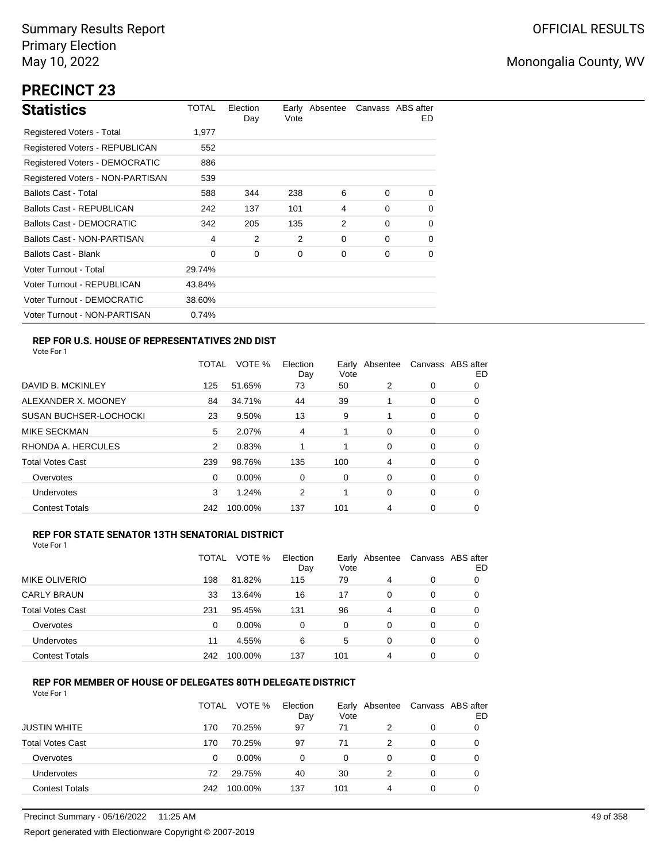# **PRECINCT 23**

| <b>Statistics</b>                | TOTAL  | Election<br>Day | Vote | Early Absentee |          | Canvass ABS after<br>ED. |
|----------------------------------|--------|-----------------|------|----------------|----------|--------------------------|
| Registered Voters - Total        | 1,977  |                 |      |                |          |                          |
| Registered Voters - REPUBLICAN   | 552    |                 |      |                |          |                          |
| Registered Voters - DEMOCRATIC   | 886    |                 |      |                |          |                          |
| Registered Voters - NON-PARTISAN | 539    |                 |      |                |          |                          |
| <b>Ballots Cast - Total</b>      | 588    | 344             | 238  | 6              | $\Omega$ | 0                        |
| Ballots Cast - REPUBLICAN        | 242    | 137             | 101  | 4              | $\Omega$ | $\Omega$                 |
| Ballots Cast - DEMOCRATIC        | 342    | 205             | 135  | 2              | $\Omega$ | 0                        |
| Ballots Cast - NON-PARTISAN      | 4      | 2               | 2    | 0              | $\Omega$ | $\Omega$                 |
| <b>Ballots Cast - Blank</b>      | 0      | 0               | 0    | 0              | 0        | 0                        |
| Voter Turnout - Total            | 29.74% |                 |      |                |          |                          |
| Voter Turnout - REPUBLICAN       | 43.84% |                 |      |                |          |                          |
| Voter Turnout - DEMOCRATIC       | 38.60% |                 |      |                |          |                          |
| Voter Turnout - NON-PARTISAN     | 0.74%  |                 |      |                |          |                          |

### **REP FOR U.S. HOUSE OF REPRESENTATIVES 2ND DIST**

Vote For 1

|                               | TOTAL | VOTE %   | Election<br>Day | Earlv<br>Vote | Absentee |   | Canvass ABS after<br>ED |
|-------------------------------|-------|----------|-----------------|---------------|----------|---|-------------------------|
| DAVID B. MCKINLEY             | 125   | 51.65%   | 73              | 50            | 2        | 0 | 0                       |
| ALEXANDER X. MOONEY           | 84    | 34.71%   | 44              | 39            |          | 0 | O                       |
| <b>SUSAN BUCHSER-LOCHOCKI</b> | 23    | 9.50%    | 13              | 9             |          | 0 | 0                       |
| <b>MIKE SECKMAN</b>           | 5     | 2.07%    | 4               | 1             | 0        | 0 | 0                       |
| RHONDA A. HERCULES            | 2     | 0.83%    |                 |               | 0        | 0 | 0                       |
| <b>Total Votes Cast</b>       | 239   | 98.76%   | 135             | 100           | 4        | 0 | 0                       |
| Overvotes                     | 0     | $0.00\%$ | 0               | 0             | $\Omega$ | 0 | 0                       |
| <b>Undervotes</b>             | 3     | 1.24%    | 2               |               | 0        | 0 | 0                       |
| <b>Contest Totals</b>         | 242   | 100.00%  | 137             | 101           | 4        | 0 | 0                       |

### **REP FOR STATE SENATOR 13TH SENATORIAL DISTRICT**

| Vote For 1 |  |  |  |
|------------|--|--|--|
|------------|--|--|--|

|                         | TOTAL | VOTE %   | Election<br>Day | Vote | Early Absentee | Canvass ABS after | ED |
|-------------------------|-------|----------|-----------------|------|----------------|-------------------|----|
| <b>MIKE OLIVERIO</b>    | 198   | 81.82%   | 115             | 79   | 4              | 0                 |    |
| <b>CARLY BRAUN</b>      | 33    | 13.64%   | 16              | 17   | 0              | 0                 | O  |
| <b>Total Votes Cast</b> | 231   | 95.45%   | 131             | 96   | 4              | 0                 |    |
| Overvotes               | 0     | $0.00\%$ | 0               | 0    | 0              | 0                 |    |
| Undervotes              | 11    | 4.55%    | 6               | 5    | 0              | 0                 | O  |
| <b>Contest Totals</b>   | 242   | 100.00%  | 137             | 101  | 4              | 0                 |    |

## **REP FOR MEMBER OF HOUSE OF DELEGATES 80TH DELEGATE DISTRICT**

|                         | TOTAL | VOTE %   | Election<br>Day | Vote | Early Absentee | Canvass ABS after | ED |
|-------------------------|-------|----------|-----------------|------|----------------|-------------------|----|
| <b>JUSTIN WHITE</b>     | 170   | 70.25%   | 97              | 71   |                | 0                 |    |
| <b>Total Votes Cast</b> | 170   | 70.25%   | 97              | 71   | 2              | $\Omega$          |    |
| Overvotes               | 0     | $0.00\%$ | 0               | 0    | 0              | 0                 |    |
| Undervotes              | 72    | 29.75%   | 40              | 30   | 2              | 0                 | 0  |
| <b>Contest Totals</b>   | 242   | 100.00%  | 137             | 101  | 4              | $\Omega$          |    |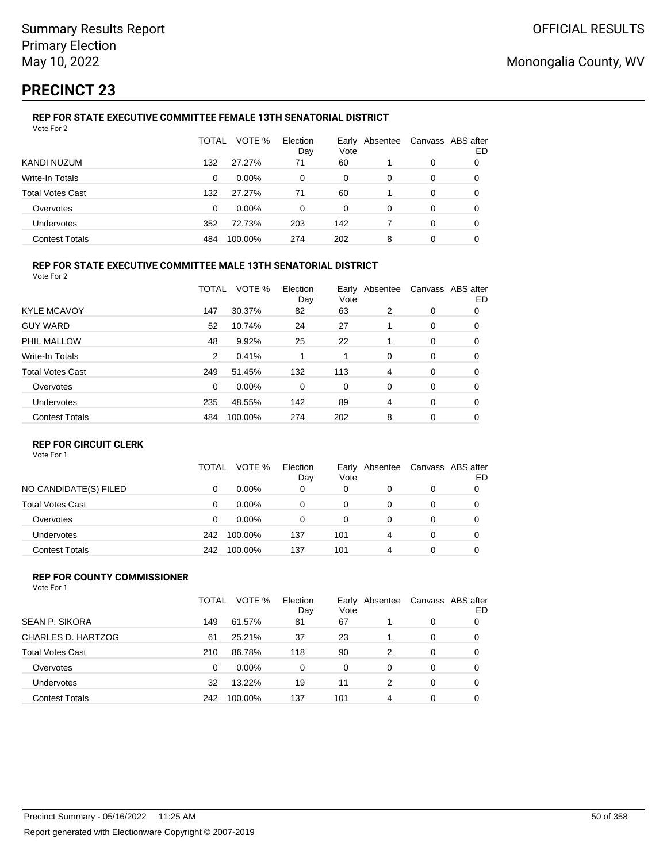# **PRECINCT 23**

#### **REP FOR STATE EXECUTIVE COMMITTEE FEMALE 13TH SENATORIAL DISTRICT** Vote For 2

|                         | TOTAL | VOTE %   | Election<br>Day | Vote | Early Absentee | Canvass ABS after | ED |
|-------------------------|-------|----------|-----------------|------|----------------|-------------------|----|
| KANDI NUZUM             | 132   | 27.27%   | 71              | 60   |                | 0                 |    |
| Write-In Totals         | 0     | $0.00\%$ | $\Omega$        | 0    | 0              | 0                 | O  |
| <b>Total Votes Cast</b> | 132   | 27.27%   | 71              | 60   |                | 0                 |    |
| Overvotes               | 0     | $0.00\%$ | $\Omega$        | 0    | 0              | 0                 |    |
| Undervotes              | 352   | 72.73%   | 203             | 142  |                | 0                 | 0  |
| <b>Contest Totals</b>   | 484   | 100.00%  | 274             | 202  | 8              | 0                 |    |

### **REP FOR STATE EXECUTIVE COMMITTEE MALE 13TH SENATORIAL DISTRICT**

Vote For 2

|                         | <b>TOTAL</b> | VOTE %  | Election<br>Day | Vote | Early Absentee |   | Canvass ABS after<br>ED |
|-------------------------|--------------|---------|-----------------|------|----------------|---|-------------------------|
| <b>KYLE MCAVOY</b>      | 147          | 30.37%  | 82              | 63   | 2              | 0 | 0                       |
| <b>GUY WARD</b>         | 52           | 10.74%  | 24              | 27   |                | 0 | 0                       |
| PHIL MALLOW             | 48           | 9.92%   | 25              | 22   |                | 0 | 0                       |
| Write-In Totals         | 2            | 0.41%   |                 |      | 0              | 0 | 0                       |
| <b>Total Votes Cast</b> | 249          | 51.45%  | 132             | 113  | 4              | 0 | 0                       |
| Overvotes               | $\Omega$     | 0.00%   | 0               | 0    | 0              | 0 | 0                       |
| Undervotes              | 235          | 48.55%  | 142             | 89   | 4              | 0 | 0                       |
| <b>Contest Totals</b>   | 484          | 100.00% | 274             | 202  | 8              | 0 | 0                       |
|                         |              |         |                 |      |                |   |                         |

### **REP FOR CIRCUIT CLERK**

Vote For 1

|                         | TOTAL | VOTE %   | Election<br>Day | Vote | Early Absentee | Canvass ABS after | ED |
|-------------------------|-------|----------|-----------------|------|----------------|-------------------|----|
| NO CANDIDATE(S) FILED   |       | $0.00\%$ | 0               | 0    |                | 0                 |    |
| <b>Total Votes Cast</b> | 0     | $0.00\%$ | 0               | 0    | Ω              | 0                 |    |
| Overvotes               | 0     | $0.00\%$ | 0               | 0    | Ω              | 0                 |    |
| <b>Undervotes</b>       | 242   | 100.00%  | 137             | 101  | 4              | 0                 |    |
| <b>Contest Totals</b>   | 242   | 100.00%  | 137             | 101  | 4              | 0                 |    |

#### **REP FOR COUNTY COMMISSIONER** Vote For 1

|                         | TOTAL | VOTE %  | Election<br>Day | Vote | Early Absentee |          | Canvass ABS after<br>ED |
|-------------------------|-------|---------|-----------------|------|----------------|----------|-------------------------|
| <b>SEAN P. SIKORA</b>   | 149   | 61.57%  | 81              | 67   |                | 0        | 0                       |
| CHARLES D. HARTZOG      | 61    | 25.21%  | 37              | 23   |                | $\Omega$ | 0                       |
| <b>Total Votes Cast</b> | 210   | 86.78%  | 118             | 90   | 2              | $\Omega$ | 0                       |
| Overvotes               | 0     | 0.00%   | $\Omega$        | 0    | 0              | $\Omega$ | 0                       |
| Undervotes              | 32    | 13.22%  | 19              | 11   | 2              | 0        | 0                       |
| <b>Contest Totals</b>   | 242   | 100.00% | 137             | 101  | 4              | 0        | 0                       |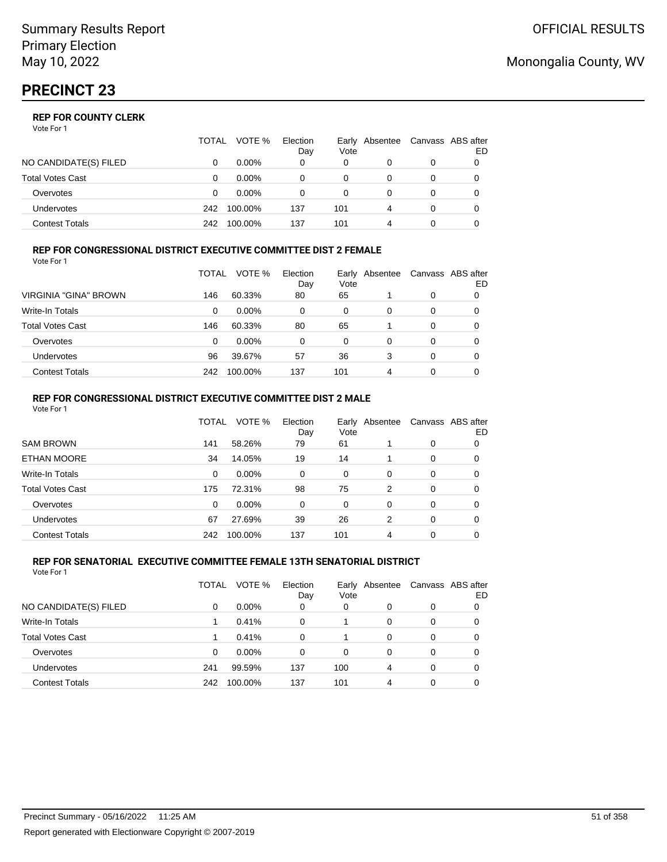|                       | TOTAL | VOTE %   | Election<br>Day | Vote | Early Absentee | Canvass ABS after | ED |
|-----------------------|-------|----------|-----------------|------|----------------|-------------------|----|
| NO CANDIDATE(S) FILED |       | $0.00\%$ | 0               | 0    |                | 0                 |    |
| Total Votes Cast      |       | $0.00\%$ |                 | 0    |                | 0                 |    |
| Overvotes             |       | $0.00\%$ |                 | 0    |                | 0                 |    |
| Undervotes            | 242   | 100.00%  | 137             | 101  | 4              | 0                 |    |
| Contest Totals        | 242   | 100.00%  | 137             | 101  |                |                   |    |

#### **REP FOR CONGRESSIONAL DISTRICT EXECUTIVE COMMITTEE DIST 2 FEMALE** Vote For 1

|                         | TOTAL | VOTE %   | Election<br>Day | Vote | Early Absentee | Canvass ABS after | ED |
|-------------------------|-------|----------|-----------------|------|----------------|-------------------|----|
| VIRGINIA "GINA" BROWN   | 146   | 60.33%   | 80              | 65   |                | 0                 | O  |
| <b>Write-In Totals</b>  | 0     | $0.00\%$ | 0               | 0    | 0              | 0                 | O  |
| <b>Total Votes Cast</b> | 146   | 60.33%   | 80              | 65   |                | 0                 |    |
| Overvotes               | 0     | $0.00\%$ | 0               | 0    | 0              | 0                 |    |
| <b>Undervotes</b>       | 96    | 39.67%   | 57              | 36   | 3              | 0                 |    |
| <b>Contest Totals</b>   | 242   | 100.00%  | 137             | 101  | 4              | 0                 |    |

#### **REP FOR CONGRESSIONAL DISTRICT EXECUTIVE COMMITTEE DIST 2 MALE** Vote For 1

|                         | TOTAL    | VOTE %   | Election<br>Day | Early<br>Vote | Absentee |   | Canvass ABS after<br>ED |
|-------------------------|----------|----------|-----------------|---------------|----------|---|-------------------------|
| <b>SAM BROWN</b>        | 141      | 58.26%   | 79              | 61            |          | 0 | 0                       |
| ETHAN MOORE             | 34       | 14.05%   | 19              | 14            |          | 0 | 0                       |
| Write-In Totals         | $\Omega$ | $0.00\%$ | $\Omega$        | 0             | 0        | 0 | 0                       |
| <b>Total Votes Cast</b> | 175      | 72.31%   | 98              | 75            | 2        | 0 | 0                       |
| Overvotes               | $\Omega$ | $0.00\%$ | $\Omega$        | $\Omega$      | 0        | 0 | 0                       |
| Undervotes              | 67       | 27.69%   | 39              | 26            | 2        | 0 | 0                       |
| <b>Contest Totals</b>   | 242      | 100.00%  | 137             | 101           | 4        | 0 | 0                       |

#### **REP FOR SENATORIAL EXECUTIVE COMMITTEE FEMALE 13TH SENATORIAL DISTRICT** Vote For 1

|                         | TOTAL | VOTE %   | Election<br>Day | Vote     | Early Absentee |          | Canvass ABS after<br>ED |
|-------------------------|-------|----------|-----------------|----------|----------------|----------|-------------------------|
| NO CANDIDATE(S) FILED   | 0     | $0.00\%$ | 0               | 0        | 0              | 0        | 0                       |
| <b>Write-In Totals</b>  |       | 0.41%    | 0               |          | $\Omega$       | 0        | 0                       |
| <b>Total Votes Cast</b> |       | 0.41%    | $\Omega$        |          | $\Omega$       | 0        | 0                       |
| Overvotes               | 0     | $0.00\%$ | $\Omega$        | $\Omega$ | 0              | $\Omega$ | 0                       |
| Undervotes              | 241   | 99.59%   | 137             | 100      | 4              | $\Omega$ | 0                       |
| <b>Contest Totals</b>   | 242   | 100.00%  | 137             | 101      | 4              | $\Omega$ |                         |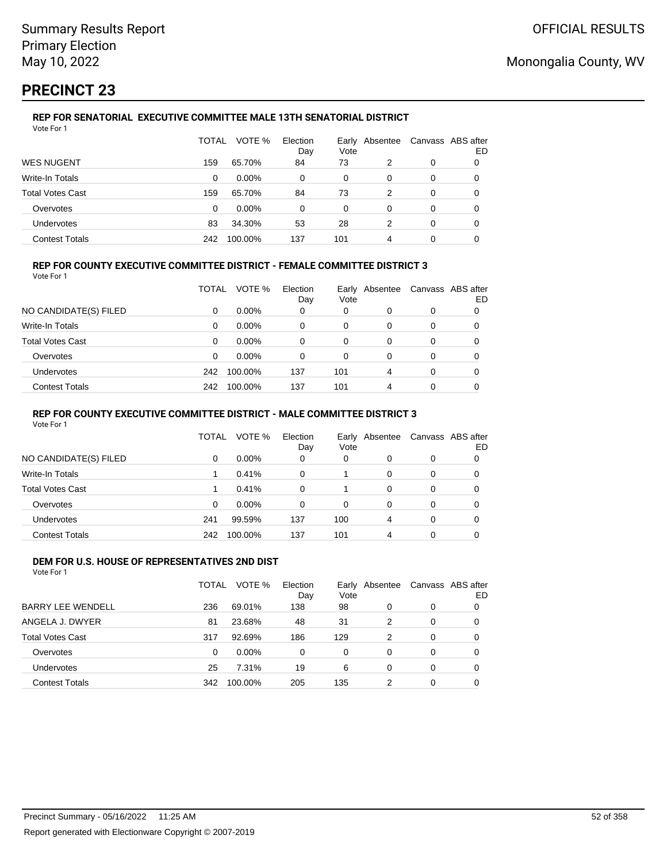# **PRECINCT 23**

#### **REP FOR SENATORIAL EXECUTIVE COMMITTEE MALE 13TH SENATORIAL DISTRICT** Vote For 1

|                         | TOTAL | VOTE %   | Election<br>Day | Vote | Early Absentee | Canvass ABS after | ED |
|-------------------------|-------|----------|-----------------|------|----------------|-------------------|----|
| <b>WES NUGENT</b>       | 159   | 65.70%   | 84              | 73   | 2              | 0                 | O  |
| Write-In Totals         | 0     | $0.00\%$ | 0               | 0    | 0              | 0                 | 0  |
| <b>Total Votes Cast</b> | 159   | 65.70%   | 84              | 73   | 2              | 0                 | 0  |
| Overvotes               | 0     | $0.00\%$ | 0               | 0    | 0              | 0                 | 0  |
| Undervotes              | 83    | 34.30%   | 53              | 28   | 2              | 0                 | 0  |
| <b>Contest Totals</b>   | 242   | 100.00%  | 137             | 101  | 4              | 0                 |    |

### **REP FOR COUNTY EXECUTIVE COMMITTEE DISTRICT - FEMALE COMMITTEE DISTRICT 3**

Vote For 1

|                         | TOTAL | VOTE %   | Election<br>Day | Vote | Early Absentee | Canvass ABS after | ED |
|-------------------------|-------|----------|-----------------|------|----------------|-------------------|----|
| NO CANDIDATE(S) FILED   | 0     | $0.00\%$ | 0               | 0    | 0              | 0                 |    |
| Write-In Totals         | 0     | $0.00\%$ | 0               | 0    | O              | 0                 |    |
| <b>Total Votes Cast</b> | 0     | $0.00\%$ | 0               | 0    | 0              | 0                 |    |
| Overvotes               | 0     | $0.00\%$ | 0               | 0    | 0              | 0                 |    |
| <b>Undervotes</b>       | 242   | 100.00%  | 137             | 101  | 4              | 0                 |    |
| <b>Contest Totals</b>   | 242   | 100.00%  | 137             | 101  | 4              | 0                 |    |

### **REP FOR COUNTY EXECUTIVE COMMITTEE DISTRICT - MALE COMMITTEE DISTRICT 3**

Vote For 1

|                       | TOTAL    | VOTE %   | Election<br>Day | Vote | Early Absentee |          | Canvass ABS after<br>ED |
|-----------------------|----------|----------|-----------------|------|----------------|----------|-------------------------|
| NO CANDIDATE(S) FILED | 0        | $0.00\%$ | 0               | 0    | 0              | 0        | 0                       |
| Write-In Totals       |          | 0.41%    | $\Omega$        |      | $\Omega$       | 0        | 0                       |
| Total Votes Cast      |          | 0.41%    | $\Omega$        |      | 0              | 0        | 0                       |
| Overvotes             | $\Omega$ | $0.00\%$ | $\Omega$        | 0    | 0              | 0        | 0                       |
| <b>Undervotes</b>     | 241      | 99.59%   | 137             | 100  | 4              | 0        | 0                       |
| <b>Contest Totals</b> | 242      | 100.00%  | 137             | 101  | 4              | $\Omega$ |                         |

#### **DEM FOR U.S. HOUSE OF REPRESENTATIVES 2ND DIST** Vote For 1

|                          | TOTAL    | VOTE %   | Election<br>Day | Vote     | Early Absentee |          | Canvass ABS after<br>ED |
|--------------------------|----------|----------|-----------------|----------|----------------|----------|-------------------------|
| <b>BARRY LEE WENDELL</b> | 236      | 69.01%   | 138             | 98       | 0              | 0        | 0                       |
| ANGELA J. DWYER          | 81       | 23.68%   | 48              | 31       | $\mathcal{P}$  | 0        | 0                       |
| <b>Total Votes Cast</b>  | 317      | 92.69%   | 186             | 129      | $\mathcal{P}$  | $\Omega$ | 0                       |
| Overvotes                | $\Omega$ | $0.00\%$ | 0               | $\Omega$ | $\Omega$       | $\Omega$ | 0                       |
| Undervotes               | 25       | 7.31%    | 19              | 6        | 0              | $\Omega$ | 0                       |
| <b>Contest Totals</b>    | 342      | 100.00%  | 205             | 135      | 2              | 0        | 0                       |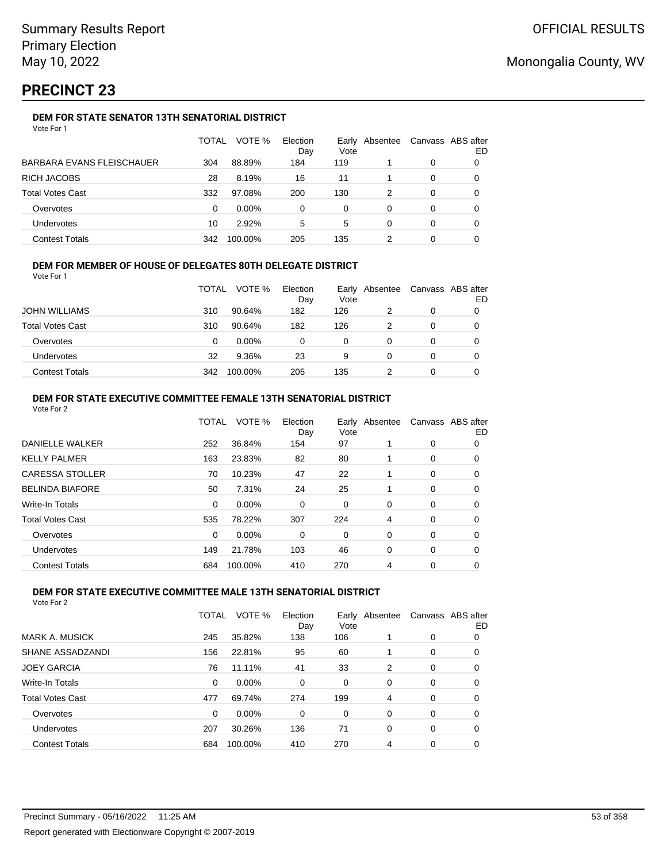# **PRECINCT 23**

## **DEM FOR STATE SENATOR 13TH SENATORIAL DISTRICT**

|                           | TOTAL | VOTE %   | Election<br>Day | Vote | Early Absentee | Canvass ABS after | ED |
|---------------------------|-------|----------|-----------------|------|----------------|-------------------|----|
| BARBARA EVANS FLEISCHAUER | 304   | 88.89%   | 184             | 119  |                | 0                 |    |
| RICH JACOBS               | 28    | 8.19%    | 16              | 11   |                | 0                 |    |
| Total Votes Cast          | 332   | 97.08%   | 200             | 130  |                | 0                 |    |
| Overvotes                 | 0     | $0.00\%$ | 0               | 0    | 0              | 0                 |    |
| Undervotes                | 10    | 2.92%    | 5               | 5    | 0              | 0                 | 0  |
| <b>Contest Totals</b>     | 342   | 100.00%  | 205             | 135  |                | 0                 |    |

### **DEM FOR MEMBER OF HOUSE OF DELEGATES 80TH DELEGATE DISTRICT**

Vote For 1

|                         | <b>TOTAL</b> | VOTE %   | Election<br>Day | Vote | Early Absentee |   | Canvass ABS after<br>ED |
|-------------------------|--------------|----------|-----------------|------|----------------|---|-------------------------|
| <b>JOHN WILLIAMS</b>    | 310          | 90.64%   | 182             | 126  |                |   |                         |
| <b>Total Votes Cast</b> | 310          | 90.64%   | 182             | 126  |                | 0 |                         |
| Overvotes               | 0            | $0.00\%$ | $\Omega$        | 0    |                |   |                         |
| <b>Undervotes</b>       | 32           | 9.36%    | 23              | 9    |                |   |                         |
| <b>Contest Totals</b>   | 342          | 100.00%  | 205             | 135  |                |   |                         |

### **DEM FOR STATE EXECUTIVE COMMITTEE FEMALE 13TH SENATORIAL DISTRICT**

|     | VOTE %  | Election<br>Day | Vote |   |                | Canvass ABS after<br>ED |
|-----|---------|-----------------|------|---|----------------|-------------------------|
| 252 | 36.84%  | 154             | 97   |   | $\mathbf 0$    | 0                       |
| 163 | 23.83%  | 82              | 80   |   | 0              | 0                       |
| 70  | 10.23%  | 47              | 22   |   | 0              | 0                       |
| 50  | 7.31%   | 24              | 25   |   | 0              | 0                       |
| 0   | 0.00%   | 0               | 0    | 0 | 0              | 0                       |
| 535 | 78.22%  | 307             | 224  | 4 | 0              | 0                       |
| 0   | 0.00%   | 0               | 0    | 0 | 0              | 0                       |
| 149 | 21.78%  | 103             | 46   | 0 | 0              | 0                       |
| 684 | 100.00% | 410             | 270  | 4 | $\mathbf 0$    | 0                       |
|     |         | <b>TOTAL</b>    |      |   | Early Absentee |                         |

### **DEM FOR STATE EXECUTIVE COMMITTEE MALE 13TH SENATORIAL DISTRICT**

|                         | <b>TOTAL</b> | VOTE %   | Election<br>Day | Vote     | Early Absentee |          | Canvass ABS after<br>ED |
|-------------------------|--------------|----------|-----------------|----------|----------------|----------|-------------------------|
| <b>MARK A. MUSICK</b>   | 245          | 35.82%   | 138             | 106      |                | 0        | 0                       |
| SHANE ASSADZANDI        | 156          | 22.81%   | 95              | 60       |                | 0        | 0                       |
| <b>JOEY GARCIA</b>      | 76           | 11.11%   | 41              | 33       | 2              | 0        | 0                       |
| <b>Write-In Totals</b>  | $\Omega$     | $0.00\%$ | $\Omega$        | $\Omega$ | $\Omega$       | $\Omega$ | 0                       |
| <b>Total Votes Cast</b> | 477          | 69.74%   | 274             | 199      | 4              | $\Omega$ | 0                       |
| Overvotes               | $\Omega$     | $0.00\%$ | $\Omega$        | $\Omega$ | $\Omega$       | $\Omega$ | 0                       |
| Undervotes              | 207          | 30.26%   | 136             | 71       | 0              | $\Omega$ | 0                       |
| <b>Contest Totals</b>   | 684          | 100.00%  | 410             | 270      | 4              | 0        | 0                       |
|                         |              |          |                 |          |                |          |                         |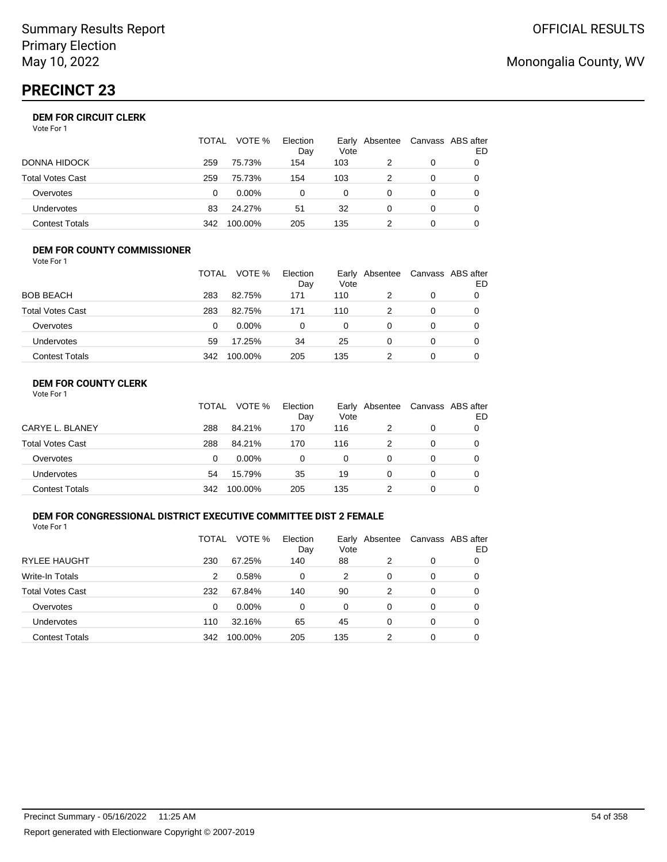# **PRECINCT 23**

| Vote For 1 |  |  |
|------------|--|--|
|------------|--|--|

|                   | TOTAL | VOTE %   | Election<br>Day | Vote | Early Absentee | Canvass ABS after | ED |
|-------------------|-------|----------|-----------------|------|----------------|-------------------|----|
| DONNA HIDOCK      | 259   | 75.73%   | 154             | 103  |                | 0                 |    |
| Total Votes Cast  | 259   | 75.73%   | 154             | 103  |                | 0                 |    |
| Overvotes         | 0     | $0.00\%$ | 0               | 0    |                | 0                 |    |
| <b>Undervotes</b> | 83    | 24.27%   | 51              | 32   | O              | 0                 |    |
| Contest Totals    | 342   | 100.00%  | 205             | 135  |                | 0                 |    |

#### **DEM FOR COUNTY COMMISSIONER** Vote For 1

|                         | TOTAL | VOTE %   | Election<br>Day | Vote | Early Absentee | Canvass ABS after | ED |
|-------------------------|-------|----------|-----------------|------|----------------|-------------------|----|
| <b>BOB BEACH</b>        | 283   | 82.75%   | 171             | 110  | 2              | 0                 |    |
| <b>Total Votes Cast</b> | 283   | 82.75%   | 171             | 110  |                | 0                 |    |
| Overvotes               | 0     | $0.00\%$ | 0               | 0    | $\Omega$       | 0                 |    |
| <b>Undervotes</b>       | 59    | 17.25%   | 34              | 25   | $\Omega$       | $\Omega$          |    |
| <b>Contest Totals</b>   | 342   | 100.00%  | 205             | 135  |                | 0                 |    |

## **DEM FOR COUNTY CLERK**

|                         | TOTAL | VOTE %   | Election<br>Day | Vote | Early Absentee | Canvass ABS after | ED |
|-------------------------|-------|----------|-----------------|------|----------------|-------------------|----|
| CARYE L. BLANEY         | 288   | 84.21%   | 170             | 116  |                | 0                 |    |
| <b>Total Votes Cast</b> | 288   | 84.21%   | 170             | 116  |                | 0                 |    |
| Overvotes               | 0     | $0.00\%$ | 0               | 0    | 0              | 0                 |    |
| <b>Undervotes</b>       | 54    | 15.79%   | 35              | 19   | 0              | 0                 |    |
| <b>Contest Totals</b>   | 342   | 100.00%  | 205             | 135  |                | 0                 |    |

### **DEM FOR CONGRESSIONAL DISTRICT EXECUTIVE COMMITTEE DIST 2 FEMALE**

Vote For 1

|                         | TOTAL | VOTE %   | Election<br>Day | Vote | Early Absentee | Canvass ABS after | ED |
|-------------------------|-------|----------|-----------------|------|----------------|-------------------|----|
| <b>RYLEE HAUGHT</b>     | 230   | 67.25%   | 140             | 88   | 2              | 0                 | 0  |
| Write-In Totals         | 2     | 0.58%    | 0               | 2    | 0              | 0                 | 0  |
| <b>Total Votes Cast</b> | 232   | 67.84%   | 140             | 90   | 2              | 0                 | 0  |
| Overvotes               | 0     | $0.00\%$ | 0               | 0    | 0              | 0                 | 0  |
| Undervotes              | 110   | 32.16%   | 65              | 45   | 0              | 0                 | 0  |
| <b>Contest Totals</b>   | 342   | 100.00%  | 205             | 135  | 2              | 0                 | 0  |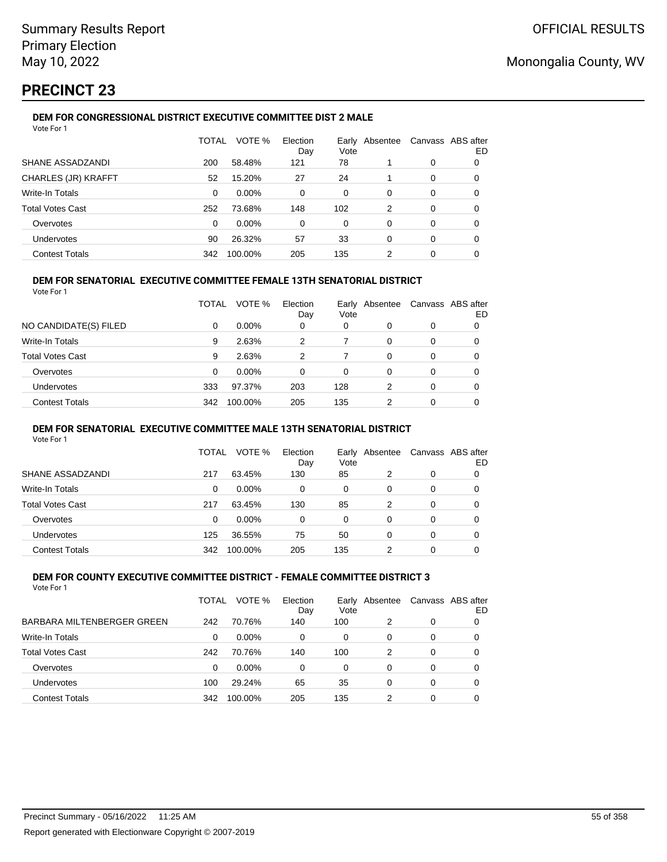# **PRECINCT 23**

## **DEM FOR CONGRESSIONAL DISTRICT EXECUTIVE COMMITTEE DIST 2 MALE**

| Vote For 1                 |       |         |                 |      |                |          |                         |
|----------------------------|-------|---------|-----------------|------|----------------|----------|-------------------------|
|                            | TOTAL | VOTE %  | Election<br>Day | Vote | Early Absentee |          | Canvass ABS after<br>ED |
| SHANE ASSADZANDI           | 200   | 58.48%  | 121             | 78   |                | 0        | 0                       |
| <b>CHARLES (JR) KRAFFT</b> | 52    | 15.20%  | 27              | 24   |                | $\Omega$ | 0                       |
| <b>Write-In Totals</b>     | 0     | 0.00%   | 0               | 0    | 0              | 0        | 0                       |
| <b>Total Votes Cast</b>    | 252   | 73.68%  | 148             | 102  | 2              | 0        | 0                       |
| Overvotes                  | 0     | 0.00%   | 0               | 0    | 0              | 0        | 0                       |
| <b>Undervotes</b>          | 90    | 26.32%  | 57              | 33   | 0              | 0        | 0                       |
| <b>Contest Totals</b>      | 342   | 100.00% | 205             | 135  | 2              | 0        | 0                       |

### **DEM FOR SENATORIAL EXECUTIVE COMMITTEE FEMALE 13TH SENATORIAL DISTRICT**

Vote For 1

|                         | TOTAL | VOTE %   | Election<br>Day | Vote | Early Absentee |          | Canvass ABS after<br>ED |
|-------------------------|-------|----------|-----------------|------|----------------|----------|-------------------------|
| NO CANDIDATE(S) FILED   | 0     | $0.00\%$ | 0               | 0    | 0              | 0        |                         |
| <b>Write-In Totals</b>  | 9     | 2.63%    | 2               |      | 0              |          | 0                       |
| <b>Total Votes Cast</b> | 9     | 2.63%    | 2               |      | 0              | 0        | 0                       |
| Overvotes               | 0     | $0.00\%$ | 0               | 0    | 0              | 0        | 0                       |
| Undervotes              | 333   | 97.37%   | 203             | 128  | 2              | $\Omega$ | 0                       |
| <b>Contest Totals</b>   | 342   | 100.00%  | 205             | 135  | 2              | 0        | 0                       |

### **DEM FOR SENATORIAL EXECUTIVE COMMITTEE MALE 13TH SENATORIAL DISTRICT**

Vote For 1

|                         | TOTAL | VOTE %   | Election<br>Day | Vote | Early Absentee |   | Canvass ABS after<br>ED |
|-------------------------|-------|----------|-----------------|------|----------------|---|-------------------------|
| SHANE ASSADZANDI        | 217   | 63.45%   | 130             | 85   | 2              | 0 |                         |
| <b>Write-In Totals</b>  | 0     | $0.00\%$ | 0               | 0    | 0              | 0 | O                       |
| <b>Total Votes Cast</b> | 217   | 63.45%   | 130             | 85   | 2              | 0 |                         |
| Overvotes               | 0     | $0.00\%$ | 0               | 0    | 0              | 0 |                         |
| Undervotes              | 125   | 36.55%   | 75              | 50   | 0              | 0 |                         |
| <b>Contest Totals</b>   | 342   | 100.00%  | 205             | 135  |                | 0 |                         |

#### **DEM FOR COUNTY EXECUTIVE COMMITTEE DISTRICT - FEMALE COMMITTEE DISTRICT 3** Vote For 1

|                            | TOTAL | VOTE %   | Election<br>Day | Vote | Early Absentee |   | Canvass ABS after<br>ED |
|----------------------------|-------|----------|-----------------|------|----------------|---|-------------------------|
| BARBARA MILTENBERGER GREEN | 242   | 70.76%   | 140             | 100  | 2              | 0 |                         |
| <b>Write-In Totals</b>     | 0     | $0.00\%$ | 0               | 0    | 0              | 0 | 0                       |
| <b>Total Votes Cast</b>    | 242   | 70.76%   | 140             | 100  | 2              | 0 |                         |
| Overvotes                  | 0     | $0.00\%$ | $\Omega$        | 0    | 0              | 0 |                         |
| Undervotes                 | 100   | 29.24%   | 65              | 35   | 0              | 0 |                         |
| <b>Contest Totals</b>      | 342   | 100.00%  | 205             | 135  | 2              | 0 |                         |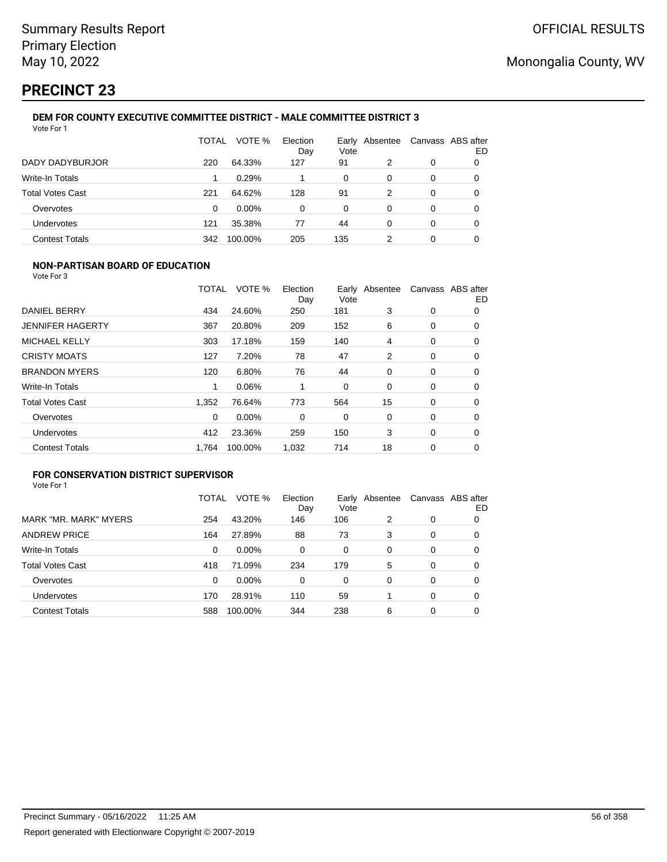# **PRECINCT 23**

#### **DEM FOR COUNTY EXECUTIVE COMMITTEE DISTRICT - MALE COMMITTEE DISTRICT 3** Vote For 1

|                         | TOTAL | VOTE %   | Election<br>Day | Early<br>Vote | Absentee |   | Canvass ABS after<br>ED |
|-------------------------|-------|----------|-----------------|---------------|----------|---|-------------------------|
| DADY DADYBURJOR         | 220   | 64.33%   | 127             | 91            | 2        | 0 | 0                       |
| Write-In Totals         |       | 0.29%    |                 | 0             | 0        | 0 | 0                       |
| <b>Total Votes Cast</b> | 221   | 64.62%   | 128             | 91            | 2        | 0 | 0                       |
| Overvotes               | 0     | $0.00\%$ | 0               | 0             | 0        | 0 | 0                       |
| Undervotes              | 121   | 35.38%   | 77              | 44            | 0        | 0 | 0                       |
| <b>Contest Totals</b>   | 342   | 100.00%  | 205             | 135           |          | 0 |                         |

## **NON-PARTISAN BOARD OF EDUCATION**

Vote For 3

|                         | TOTAL | VOTE %  | Election<br>Day | Vote | Early Absentee |   | Canvass ABS after<br>ED |
|-------------------------|-------|---------|-----------------|------|----------------|---|-------------------------|
| DANIEL BERRY            | 434   | 24.60%  | 250             | 181  | 3              | 0 | 0                       |
| <b>JENNIFER HAGERTY</b> | 367   | 20.80%  | 209             | 152  | 6              | 0 | 0                       |
| <b>MICHAEL KELLY</b>    | 303   | 17.18%  | 159             | 140  | 4              | 0 | 0                       |
| <b>CRISTY MOATS</b>     | 127   | 7.20%   | 78              | 47   | 2              | 0 | 0                       |
| <b>BRANDON MYERS</b>    | 120   | 6.80%   | 76              | 44   | 0              | 0 | 0                       |
| <b>Write-In Totals</b>  | 1     | 0.06%   |                 | 0    | $\Omega$       | 0 | 0                       |
| <b>Total Votes Cast</b> | 1.352 | 76.64%  | 773             | 564  | 15             | 0 | 0                       |
| Overvotes               | 0     | 0.00%   | 0               | 0    | 0              | 0 | $\Omega$                |
| <b>Undervotes</b>       | 412   | 23.36%  | 259             | 150  | 3              | 0 | 0                       |
| <b>Contest Totals</b>   | 1.764 | 100.00% | 1,032           | 714  | 18             | 0 | 0                       |

## **FOR CONSERVATION DISTRICT SUPERVISOR**

|                         | TOTAL | VOTE %  | Election<br>Day | Early<br>Vote | Absentee |   | Canvass ABS after<br>ED |
|-------------------------|-------|---------|-----------------|---------------|----------|---|-------------------------|
| MARK "MR. MARK" MYERS   | 254   | 43.20%  | 146             | 106           | 2        | 0 | 0                       |
| <b>ANDREW PRICE</b>     | 164   | 27.89%  | 88              | 73            | 3        | 0 | 0                       |
| Write-In Totals         | 0     | 0.00%   | $\Omega$        | $\Omega$      | $\Omega$ | 0 | O                       |
| <b>Total Votes Cast</b> | 418   | 71.09%  | 234             | 179           | 5        | 0 | 0                       |
| Overvotes               | 0     | 0.00%   | $\Omega$        | 0             | 0        | 0 | 0                       |
| <b>Undervotes</b>       | 170   | 28.91%  | 110             | 59            |          | 0 | 0                       |
| <b>Contest Totals</b>   | 588   | 100.00% | 344             | 238           | 6        | 0 |                         |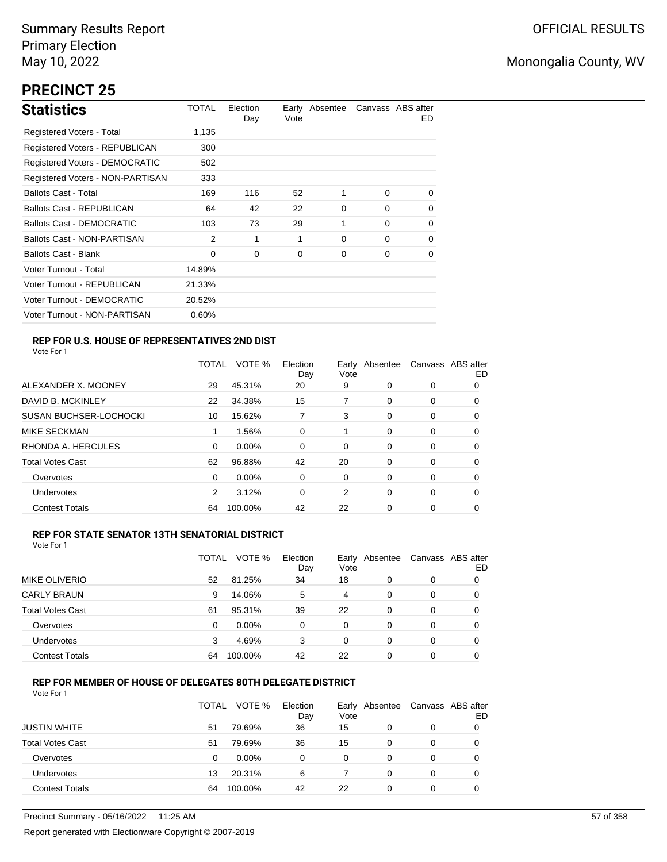# **PRECINCT 25**

| <b>Statistics</b>                     | TOTAL  | Election<br>Day | Vote | Early Absentee |          | Canvass ABS after<br>ED. |
|---------------------------------------|--------|-----------------|------|----------------|----------|--------------------------|
| Registered Voters - Total             | 1,135  |                 |      |                |          |                          |
| Registered Voters - REPUBLICAN        | 300    |                 |      |                |          |                          |
| <b>Registered Voters - DEMOCRATIC</b> | 502    |                 |      |                |          |                          |
| Registered Voters - NON-PARTISAN      | 333    |                 |      |                |          |                          |
| <b>Ballots Cast - Total</b>           | 169    | 116             | 52   | 1              | $\Omega$ | 0                        |
| Ballots Cast - REPUBLICAN             | 64     | 42              | 22   | 0              | $\Omega$ | $\Omega$                 |
| <b>Ballots Cast - DEMOCRATIC</b>      | 103    | 73              | 29   | 1              | $\Omega$ | 0                        |
| Ballots Cast - NON-PARTISAN           | 2      | 1               | 1    | 0              | $\Omega$ | 0                        |
| Ballots Cast - Blank                  | 0      | 0               | 0    | 0              | $\Omega$ | 0                        |
| Voter Turnout - Total                 | 14.89% |                 |      |                |          |                          |
| Voter Turnout - REPUBLICAN            | 21.33% |                 |      |                |          |                          |
| Voter Turnout - DEMOCRATIC            | 20.52% |                 |      |                |          |                          |
| Voter Turnout - NON-PARTISAN          | 0.60%  |                 |      |                |          |                          |

## **REP FOR U.S. HOUSE OF REPRESENTATIVES 2ND DIST**

Vote For 1

|                               | TOTAL | VOTE %   | Election<br>Day | Earlv<br>Vote | Absentee | Canvass ABS after | ED |
|-------------------------------|-------|----------|-----------------|---------------|----------|-------------------|----|
| ALEXANDER X. MOONEY           | 29    | 45.31%   | 20              | 9             | 0        | 0                 | 0  |
| DAVID B. MCKINLEY             | 22    | 34.38%   | 15              | 7             | 0        | 0                 | O  |
| <b>SUSAN BUCHSER-LOCHOCKI</b> | 10    | 15.62%   |                 | 3             | 0        | 0                 | 0  |
| <b>MIKE SECKMAN</b>           | 1     | 1.56%    | 0               |               | 0        | 0                 | 0  |
| RHONDA A. HERCULES            | 0     | 0.00%    | $\Omega$        | 0             | 0        | 0                 | 0  |
| <b>Total Votes Cast</b>       | 62    | 96.88%   | 42              | 20            | 0        | 0                 | 0  |
| Overvotes                     | 0     | $0.00\%$ | 0               | 0             | $\Omega$ | 0                 | 0  |
| <b>Undervotes</b>             | 2     | 3.12%    | $\Omega$        | 2             | 0        | 0                 | 0  |
| <b>Contest Totals</b>         | 64    | 100.00%  | 42              | 22            | 0        | 0                 | O  |

### **REP FOR STATE SENATOR 13TH SENATORIAL DISTRICT**

| Vote For 1 |  |
|------------|--|
|            |  |

|                         | TOTAL | VOTE %   | Election<br>Day | Vote | Early Absentee | Canvass ABS after | ED |
|-------------------------|-------|----------|-----------------|------|----------------|-------------------|----|
| MIKE OLIVERIO           | 52    | 81.25%   | 34              | 18   | 0              | 0                 |    |
| <b>CARLY BRAUN</b>      | 9     | 14.06%   | 5               | 4    | 0              | 0                 | O  |
| <b>Total Votes Cast</b> | 61    | 95.31%   | 39              | 22   | 0              | 0                 |    |
| Overvotes               | 0     | $0.00\%$ | 0               | 0    | 0              | 0                 |    |
| Undervotes              | 3     | 4.69%    | 3               | 0    | 0              | 0                 | 0  |
| <b>Contest Totals</b>   | 64    | 100.00%  | 42              | 22   | 0              | 0                 |    |

### **REP FOR MEMBER OF HOUSE OF DELEGATES 80TH DELEGATE DISTRICT**

|                         | <b>TOTAL</b> | VOTE %  | Election<br>Day | Vote | Early Absentee | Canvass ABS after | ED |
|-------------------------|--------------|---------|-----------------|------|----------------|-------------------|----|
| <b>JUSTIN WHITE</b>     | 51           | 79.69%  | 36              | 15   | 0              | 0                 |    |
| <b>Total Votes Cast</b> | 51           | 79.69%  | 36              | 15   | 0              | 0                 |    |
| Overvotes               | 0            | 0.00%   | 0               | 0    | $\Omega$       | $\Omega$          |    |
| Undervotes              | 13           | 20.31%  | 6               |      | 0              | 0                 |    |
| <b>Contest Totals</b>   | 64           | 100.00% | 42              | 22   | $\Omega$       | 0                 |    |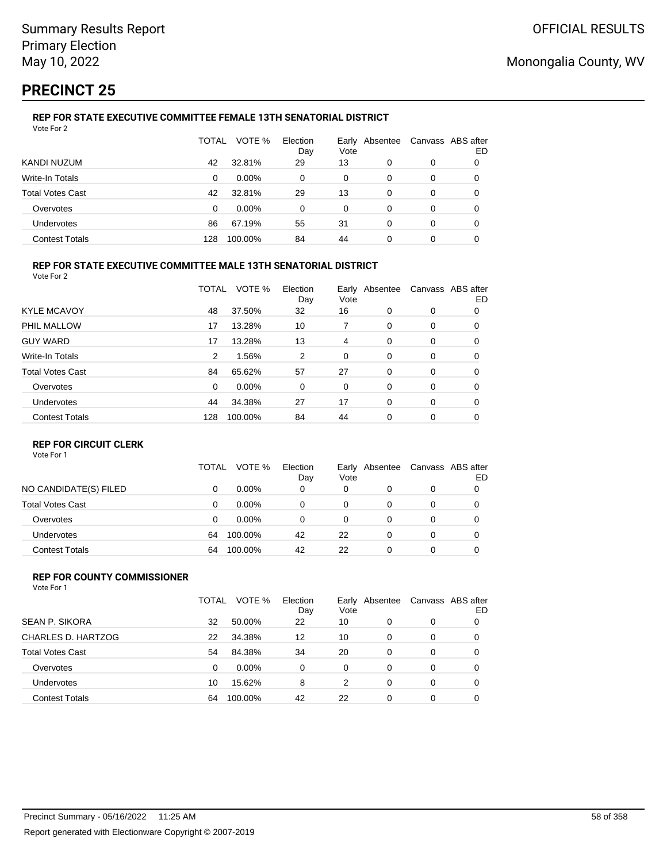# **PRECINCT 25**

#### **REP FOR STATE EXECUTIVE COMMITTEE FEMALE 13TH SENATORIAL DISTRICT** Vote For 2

|                         | TOTAL | VOTE %   | Election<br>Day | Vote     | Early Absentee |   | Canvass ABS after<br>ED |
|-------------------------|-------|----------|-----------------|----------|----------------|---|-------------------------|
| KANDI NUZUM             | 42    | 32.81%   | 29              | 13       | 0              | 0 |                         |
| Write-In Totals         | 0     | $0.00\%$ | 0               | 0        | 0              | 0 |                         |
| <b>Total Votes Cast</b> | 42    | 32.81%   | 29              | 13       | 0              | 0 |                         |
| Overvotes               | 0     | $0.00\%$ | 0               | $\Omega$ | 0              | 0 | O                       |
| Undervotes              | 86    | 67.19%   | 55              | 31       | 0              | 0 | 0                       |
| <b>Contest Totals</b>   | 128   | 100.00%  | 84              | 44       | 0              | 0 |                         |

### **REP FOR STATE EXECUTIVE COMMITTEE MALE 13TH SENATORIAL DISTRICT**

Vote For 2

|                         | TOTAL    | VOTE %   | Election<br>Day | Vote | Early Absentee |          | Canvass ABS after<br>ED |
|-------------------------|----------|----------|-----------------|------|----------------|----------|-------------------------|
| <b>KYLE MCAVOY</b>      | 48       | 37.50%   | 32              | 16   | $\Omega$       | 0        | 0                       |
| PHIL MALLOW             | 17       | 13.28%   | 10              | 7    | 0              | 0        | 0                       |
| <b>GUY WARD</b>         | 17       | 13.28%   | 13              | 4    | 0              | 0        | 0                       |
| <b>Write-In Totals</b>  | 2        | 1.56%    | 2               | 0    | 0              | 0        | 0                       |
| <b>Total Votes Cast</b> | 84       | 65.62%   | 57              | 27   | $\Omega$       | 0        | 0                       |
| Overvotes               | $\Omega$ | $0.00\%$ | 0               | 0    | 0              | 0        | 0                       |
| Undervotes              | 44       | 34.38%   | 27              | 17   | $\Omega$       | $\Omega$ | 0                       |
| <b>Contest Totals</b>   | 128      | 100.00%  | 84              | 44   | $\Omega$       | 0        | 0                       |

### **REP FOR CIRCUIT CLERK**

Vote For 1

|                         | TOTAL | VOTE %   | Election<br>Day | Early<br>Vote | Absentee | Canvass ABS after | ED |
|-------------------------|-------|----------|-----------------|---------------|----------|-------------------|----|
| NO CANDIDATE(S) FILED   | 0     | $0.00\%$ | 0               | 0             | 0        | 0                 |    |
| <b>Total Votes Cast</b> | 0     | $0.00\%$ | 0               | 0             |          | 0                 |    |
| Overvotes               | 0     | $0.00\%$ | 0               | 0             | 0        | 0                 |    |
| <b>Undervotes</b>       | 64    | 100.00%  | 42              | 22            | 0        | 0                 |    |
| <b>Contest Totals</b>   | 64    | 100.00%  | 42              | 22            |          | 0                 |    |

#### **REP FOR COUNTY COMMISSIONER** Vote For 1

|                         | TOTAL | VOTE %   | Election<br>Day | Vote     | Early Absentee |          | Canvass ABS after<br>ED |
|-------------------------|-------|----------|-----------------|----------|----------------|----------|-------------------------|
| <b>SEAN P. SIKORA</b>   | 32    | 50.00%   | 22              | 10       | 0              | 0        |                         |
| CHARLES D. HARTZOG      | 22    | 34.38%   | 12              | 10       | 0              | 0        | 0                       |
| <b>Total Votes Cast</b> | 54    | 84.38%   | 34              | 20       | 0              | 0        | 0                       |
| Overvotes               | 0     | $0.00\%$ | $\Omega$        | $\Omega$ | 0              | 0        | 0                       |
| Undervotes              | 10    | 15.62%   | 8               | 2        | 0              | $\Omega$ | 0                       |
| <b>Contest Totals</b>   | 64    | 100.00%  | 42              | 22       | 0              | 0        | 0                       |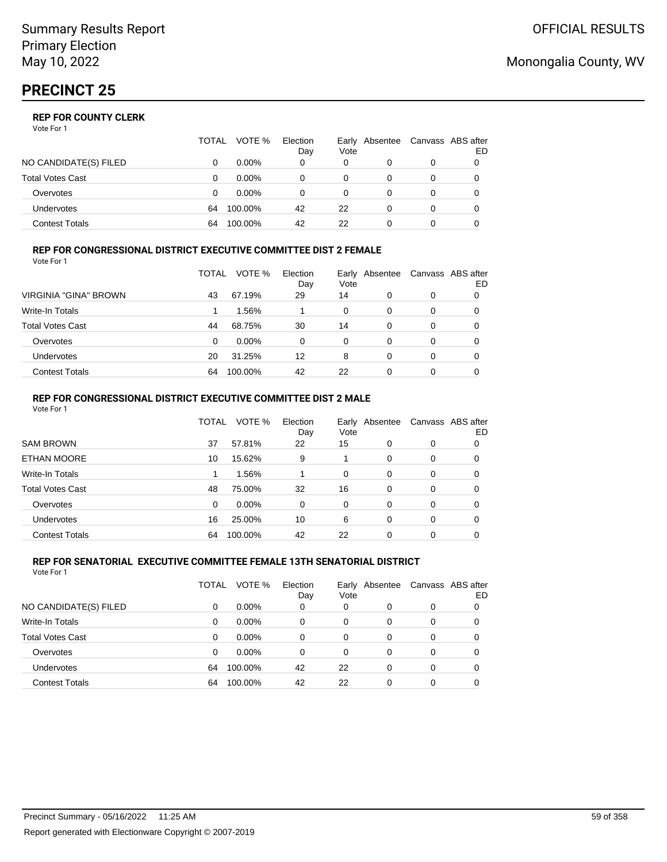|                       | TOTAL | VOTE %   | Election<br>Day | Vote | Early Absentee |   | Canvass ABS after<br>ED |
|-----------------------|-------|----------|-----------------|------|----------------|---|-------------------------|
| NO CANDIDATE(S) FILED |       | $0.00\%$ | 0               | 0    |                |   |                         |
| Total Votes Cast      |       | $0.00\%$ |                 |      |                |   |                         |
| Overvotes             |       | $0.00\%$ |                 |      |                | 0 |                         |
| <b>Undervotes</b>     | 64    | 100.00%  | 42              | 22   |                | 0 |                         |
| Contest Totals        | 64    | 100.00%  | 42              | 22   |                |   |                         |

#### **REP FOR CONGRESSIONAL DISTRICT EXECUTIVE COMMITTEE DIST 2 FEMALE** Vote For 1

|                         | TOTAL | VOTE %   | Election<br>Day | Vote | Early Absentee | Canvass ABS after | ED |
|-------------------------|-------|----------|-----------------|------|----------------|-------------------|----|
| VIRGINIA "GINA" BROWN   | 43    | 67.19%   | 29              | 14   | 0              | 0                 | 0  |
| <b>Write-In Totals</b>  |       | 1.56%    |                 | 0    | 0              | 0                 | O  |
| <b>Total Votes Cast</b> | 44    | 68.75%   | 30              | 14   | 0              | 0                 | 0  |
| Overvotes               | 0     | $0.00\%$ | 0               | 0    | 0              | 0                 |    |
| Undervotes              | 20    | 31.25%   | 12              | 8    | 0              | 0                 |    |
| <b>Contest Totals</b>   | 64    | 100.00%  | 42              | 22   | 0              | 0                 |    |

#### **REP FOR CONGRESSIONAL DISTRICT EXECUTIVE COMMITTEE DIST 2 MALE** Vote For 1

|                         | Canvass ABS after<br>Early Absentee<br>ED |
|-------------------------|-------------------------------------------|
| <b>SAM BROWN</b>        | 0<br>0                                    |
| <b>ETHAN MOORE</b>      | 0<br>0                                    |
| Write-In Totals         | 0<br>0                                    |
| <b>Total Votes Cast</b> | 0<br>0                                    |
| Overvotes               | 0<br>0                                    |
| <b>Undervotes</b>       | 0<br>0                                    |
| <b>Contest Totals</b>   | 0<br>0                                    |
|                         |                                           |

#### **REP FOR SENATORIAL EXECUTIVE COMMITTEE FEMALE 13TH SENATORIAL DISTRICT** Vote For 1

|                         | TOTAL | VOTE %   | Election<br>Day | Early<br>Vote | Absentee |          | Canvass ABS after<br>ED |
|-------------------------|-------|----------|-----------------|---------------|----------|----------|-------------------------|
| NO CANDIDATE(S) FILED   | 0     | $0.00\%$ | 0               | 0             |          | 0        | 0                       |
| Write-In Totals         | 0     | $0.00\%$ | 0               | 0             | 0        | 0        | 0                       |
| <b>Total Votes Cast</b> | 0     | $0.00\%$ | 0               | 0             | 0        | 0        | 0                       |
| Overvotes               | 0     | $0.00\%$ | $\Omega$        | $\Omega$      | 0        | 0        | 0                       |
| <b>Undervotes</b>       | 64    | 100.00%  | 42              | 22            | 0        | $\Omega$ | 0                       |
| <b>Contest Totals</b>   | 64    | 100.00%  | 42              | 22            | 0        | 0        |                         |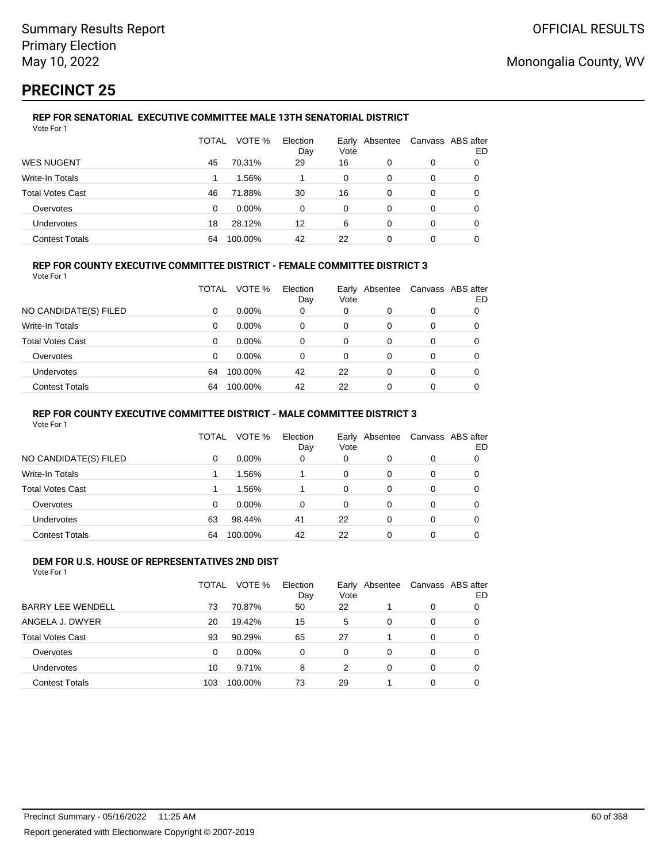# **PRECINCT 25**

#### **REP FOR SENATORIAL EXECUTIVE COMMITTEE MALE 13TH SENATORIAL DISTRICT** Vote For 1

|                         | TOTAL | VOTE %   | Election<br>Day | Vote | Early Absentee | Canvass ABS after | ED |
|-------------------------|-------|----------|-----------------|------|----------------|-------------------|----|
| <b>WES NUGENT</b>       | 45    | 70.31%   | 29              | 16   | 0              | 0                 | 0  |
| Write-In Totals         |       | 1.56%    |                 | 0    | 0              | 0                 | 0  |
| <b>Total Votes Cast</b> | 46    | 71.88%   | 30              | 16   | 0              | 0                 |    |
| Overvotes               | 0     | $0.00\%$ | 0               | 0    | 0              | 0                 |    |
| Undervotes              | 18    | 28.12%   | 12              | 6    | 0              | 0                 | 0  |
| <b>Contest Totals</b>   | 64    | 100.00%  | 42              | 22   | 0              | 0                 |    |

### **REP FOR COUNTY EXECUTIVE COMMITTEE DISTRICT - FEMALE COMMITTEE DISTRICT 3**

Vote For 1

|                         | TOTAL | VOTE %   | Election<br>Day | Vote | Early Absentee | Canvass ABS after | ED |
|-------------------------|-------|----------|-----------------|------|----------------|-------------------|----|
| NO CANDIDATE(S) FILED   | 0     | $0.00\%$ | 0               | 0    | 0              | 0                 |    |
| Write-In Totals         | 0     | $0.00\%$ | 0               | 0    | O              | 0                 |    |
| <b>Total Votes Cast</b> | 0     | $0.00\%$ | 0               | 0    | 0              | 0                 |    |
| Overvotes               | 0     | $0.00\%$ | 0               | 0    | 0              | 0                 |    |
| <b>Undervotes</b>       | 64    | 100.00%  | 42              | 22   | 0              | 0                 |    |
| <b>Contest Totals</b>   | 64    | 100.00%  | 42              | 22   |                | 0                 |    |

### **REP FOR COUNTY EXECUTIVE COMMITTEE DISTRICT - MALE COMMITTEE DISTRICT 3**

Vote For 1

|                       | TOTAL    | VOTE %   | Election<br>Day | Vote     | Early Absentee | Canvass ABS after | ED |
|-----------------------|----------|----------|-----------------|----------|----------------|-------------------|----|
| NO CANDIDATE(S) FILED | $\Omega$ | $0.00\%$ | 0               | $\Omega$ |                | 0                 |    |
| Write-In Totals       |          | 1.56%    |                 | 0        | 0              | 0                 |    |
| Total Votes Cast      |          | 1.56%    |                 | 0        | 0              | 0                 |    |
| Overvotes             | $\Omega$ | $0.00\%$ | 0               | $\Omega$ | 0              | 0                 |    |
| <b>Undervotes</b>     | 63       | 98.44%   | 41              | 22       | 0              | 0                 |    |
| <b>Contest Totals</b> | 64       | 100.00%  | 42              | 22       | 0              | 0                 |    |

#### **DEM FOR U.S. HOUSE OF REPRESENTATIVES 2ND DIST** Vote For 1

|                          | TOTAL | VOTE %   | Election<br>Day | Vote | Early Absentee |          | Canvass ABS after<br>ED |
|--------------------------|-------|----------|-----------------|------|----------------|----------|-------------------------|
| <b>BARRY LEE WENDELL</b> | 73    | 70.87%   | 50              | 22   |                | 0        | 0                       |
| ANGELA J. DWYER          | 20    | 19.42%   | 15              | 5    | 0              | $\Omega$ | 0                       |
| <b>Total Votes Cast</b>  | 93    | 90.29%   | 65              | 27   |                | $\Omega$ | 0                       |
| Overvotes                | 0     | $0.00\%$ | 0               | 0    | 0              | $\Omega$ | 0                       |
| Undervotes               | 10    | 9.71%    | 8               | 2    | 0              | $\Omega$ | 0                       |
| <b>Contest Totals</b>    | 103   | 100.00%  | 73              | 29   |                | 0        |                         |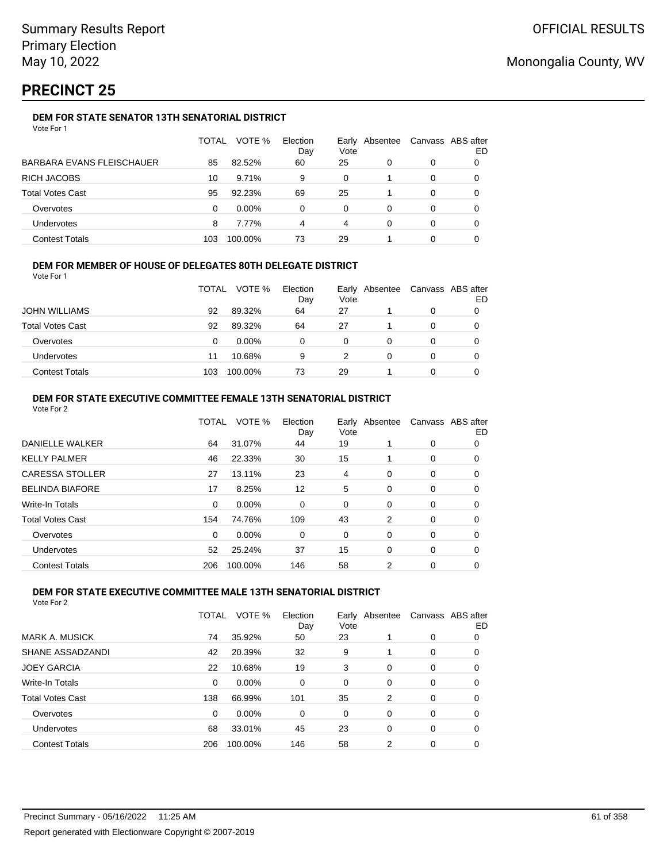# **PRECINCT 25**

## **DEM FOR STATE SENATOR 13TH SENATORIAL DISTRICT**

|                                  | TOTAL | VOTE %   | Election<br>Day | Vote | Early Absentee | Canvass ABS after | ED |
|----------------------------------|-------|----------|-----------------|------|----------------|-------------------|----|
| <b>BARBARA EVANS FLEISCHAUER</b> | 85    | 82.52%   | 60              | 25   | 0              | 0                 |    |
| RICH JACOBS                      | 10    | 9.71%    | 9               | 0    |                | 0                 |    |
| <b>Total Votes Cast</b>          | 95    | 92.23%   | 69              | 25   |                | 0                 |    |
| Overvotes                        | 0     | $0.00\%$ | 0               | 0    | 0              | 0                 |    |
| Undervotes                       | 8     | 7.77%    | 4               | 4    | 0              | 0                 |    |
| <b>Contest Totals</b>            | 103   | 100.00%  | 73              | 29   |                | 0                 |    |

### **DEM FOR MEMBER OF HOUSE OF DELEGATES 80TH DELEGATE DISTRICT**

Vote For 1

|                         | <b>TOTAL</b> | VOTE %   | Election<br>Day | Vote | Early Absentee | Canvass ABS after<br>ED |
|-------------------------|--------------|----------|-----------------|------|----------------|-------------------------|
| <b>JOHN WILLIAMS</b>    | 92           | 89.32%   | 64              | 27   |                |                         |
| <b>Total Votes Cast</b> | 92           | 89.32%   | 64              | 27   |                |                         |
| Overvotes               | 0            | $0.00\%$ | 0               | 0    |                |                         |
| <b>Undervotes</b>       | 11           | 10.68%   | 9               |      |                |                         |
| <b>Contest Totals</b>   | 103          | 100.00%  | 73              | 29   |                |                         |

### **DEM FOR STATE EXECUTIVE COMMITTEE FEMALE 13TH SENATORIAL DISTRICT**

| Vote For 2              |              |         |                 |                        |   |                   |    |
|-------------------------|--------------|---------|-----------------|------------------------|---|-------------------|----|
|                         | <b>TOTAL</b> | VOTE %  | Election<br>Day | Early Absentee<br>Vote |   | Canvass ABS after | ED |
| DANIELLE WALKER         | 64           | 31.07%  | 44              | 19                     |   | $\mathbf 0$       | 0  |
| <b>KELLY PALMER</b>     | 46           | 22.33%  | 30              | 15                     |   | 0                 | 0  |
| <b>CARESSA STOLLER</b>  | 27           | 13.11%  | 23              | 4                      | 0 | 0                 | 0  |
| <b>BELINDA BIAFORE</b>  | 17           | 8.25%   | 12              | 5                      | 0 | 0                 | 0  |
| Write-In Totals         | $\Omega$     | 0.00%   | 0               | 0                      | 0 | 0                 | 0  |
| <b>Total Votes Cast</b> | 154          | 74.76%  | 109             | 43                     | 2 | 0                 | 0  |
| Overvotes               | 0            | 0.00%   | 0               | 0                      | 0 | 0                 | 0  |
| <b>Undervotes</b>       | 52           | 25.24%  | 37              | 15                     | 0 | 0                 | 0  |
| <b>Contest Totals</b>   | 206          | 100.00% | 146             | 58                     | 2 | 0                 | 0  |

### **DEM FOR STATE EXECUTIVE COMMITTEE MALE 13TH SENATORIAL DISTRICT**

|                         | TOTAL | VOTE %   | Election<br>Day | Vote     | Early Absentee |          | Canvass ABS after<br>ED |
|-------------------------|-------|----------|-----------------|----------|----------------|----------|-------------------------|
| MARK A. MUSICK          | 74    | 35.92%   | 50              | 23       |                | 0        | 0                       |
| SHANE ASSADZANDI        | 42    | 20.39%   | 32              | 9        |                | 0        | 0                       |
| <b>JOEY GARCIA</b>      | 22    | 10.68%   | 19              | 3        | $\Omega$       | 0        | 0                       |
| Write-In Totals         | 0     | $0.00\%$ | $\Omega$        | 0        | $\Omega$       | 0        | 0                       |
| <b>Total Votes Cast</b> | 138   | 66.99%   | 101             | 35       | 2              | $\Omega$ | 0                       |
| Overvotes               | 0     | $0.00\%$ | $\Omega$        | $\Omega$ | $\Omega$       | $\Omega$ | 0                       |
| Undervotes              | 68    | 33.01%   | 45              | 23       | $\Omega$       | $\Omega$ | 0                       |
| <b>Contest Totals</b>   | 206   | 100.00%  | 146             | 58       | 2              | 0        | 0                       |
|                         |       |          |                 |          |                |          |                         |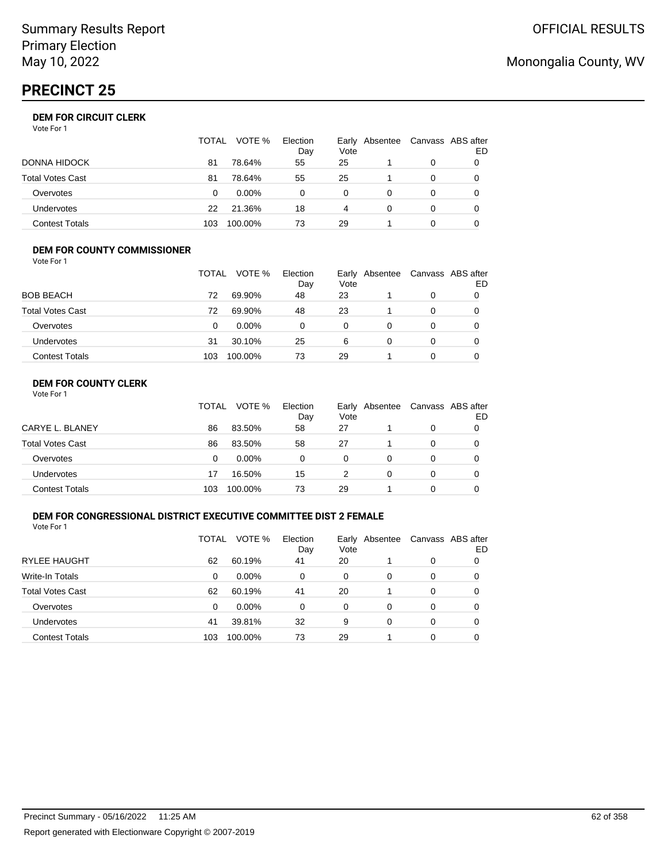# **PRECINCT 25**

|                  | TOTAL | VOTE %   | Election<br>Day | Vote | Early Absentee | Canvass ABS after | ED |
|------------------|-------|----------|-----------------|------|----------------|-------------------|----|
| DONNA HIDOCK     | 81    | 78.64%   | 55              | 25   |                | 0                 |    |
| Total Votes Cast | 81    | 78.64%   | 55              | 25   |                | 0                 |    |
| Overvotes        | 0     | $0.00\%$ | 0               | 0    |                | 0                 |    |
| Undervotes       | 22    | 21.36%   | 18              | 4    | 0              | 0                 |    |
| Contest Totals   | 103   | 100.00%  | 73              | 29   |                | ი                 |    |

#### **DEM FOR COUNTY COMMISSIONER** Vote For 1

|                         | TOTAL | VOTE %  | Election<br>Day | Vote | Early Absentee | Canvass ABS after | ED |
|-------------------------|-------|---------|-----------------|------|----------------|-------------------|----|
| <b>BOB BEACH</b>        | 72    | 69.90%  | 48              | 23   |                | 0                 |    |
| <b>Total Votes Cast</b> | 72    | 69.90%  | 48              | 23   |                | 0                 |    |
| Overvotes               | 0     | 0.00%   | 0               | 0    | 0              | $\Omega$          |    |
| <b>Undervotes</b>       | 31    | 30.10%  | 25              | 6    | $\Omega$       | 0                 |    |
| <b>Contest Totals</b>   | 103   | 100.00% | 73              | 29   |                | $\Omega$          |    |

## **DEM FOR COUNTY CLERK**

| Vote For 1 |  |  |
|------------|--|--|
|------------|--|--|

|                         | TOTAL | VOTE %   | Election<br>Day | Vote | Early Absentee | Canvass ABS after | ED |
|-------------------------|-------|----------|-----------------|------|----------------|-------------------|----|
| CARYE L. BLANEY         | 86    | 83.50%   | 58              | 27   |                | 0                 |    |
| <b>Total Votes Cast</b> | 86    | 83.50%   | 58              | 27   |                | 0                 |    |
| Overvotes               | 0     | $0.00\%$ | 0               | 0    | 0              | 0                 |    |
| <b>Undervotes</b>       | 17    | 16.50%   | 15              |      | 0              | 0                 |    |
| <b>Contest Totals</b>   | 103   | 100.00%  | 73              | 29   |                | 0                 |    |

### **DEM FOR CONGRESSIONAL DISTRICT EXECUTIVE COMMITTEE DIST 2 FEMALE**

Vote For 1

|                         | TOTAL | VOTE %   | Election<br>Day | Early<br>Vote | Absentee | Canvass ABS after | ED |
|-------------------------|-------|----------|-----------------|---------------|----------|-------------------|----|
| <b>RYLEE HAUGHT</b>     | 62    | 60.19%   | 41              | 20            |          | 0                 | O  |
| Write-In Totals         | 0     | $0.00\%$ | 0               | 0             | 0        | 0                 | O  |
| <b>Total Votes Cast</b> | 62    | 60.19%   | 41              | 20            |          | 0                 | O  |
| Overvotes               | 0     | $0.00\%$ | $\Omega$        | 0             | 0        | 0                 |    |
| Undervotes              | 41    | 39.81%   | 32              | 9             | 0        | 0                 |    |
| <b>Contest Totals</b>   | 103   | 100.00%  | 73              | 29            |          | 0                 |    |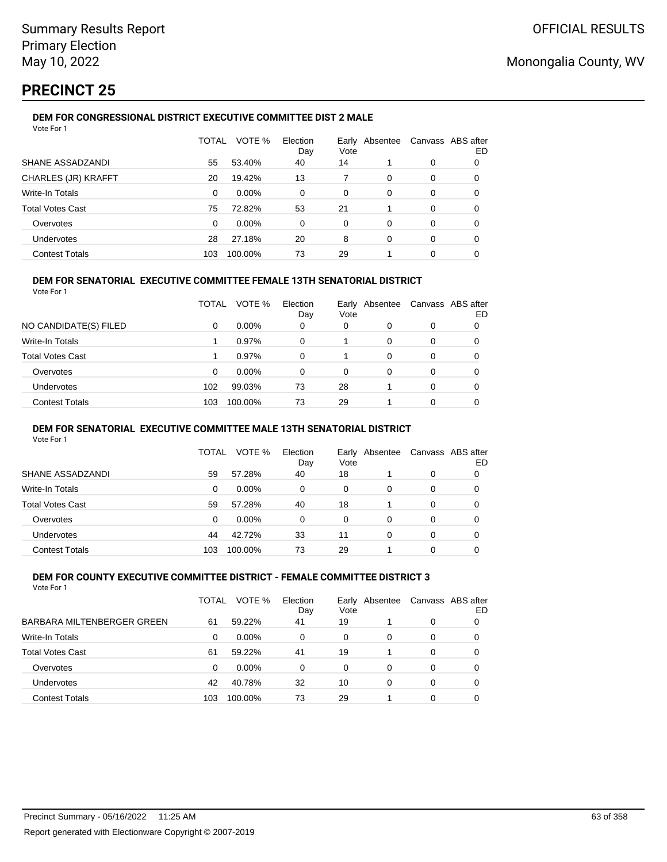# **PRECINCT 25**

#### **DEM FOR CONGRESSIONAL DISTRICT EXECUTIVE COMMITTEE DIST 2 MALE** Vote For 1

| VULCIUII                   |              |          |                 |          |                |   |                          |
|----------------------------|--------------|----------|-----------------|----------|----------------|---|--------------------------|
|                            | <b>TOTAL</b> | VOTE %   | Election<br>Day | Vote     | Early Absentee |   | Canvass ABS after<br>ED. |
| SHANE ASSADZANDI           | 55           | 53.40%   | 40              | 14       |                | 0 | 0                        |
| <b>CHARLES (JR) KRAFFT</b> | 20           | 19.42%   | 13              |          | 0              | 0 | 0                        |
| Write-In Totals            | $\Omega$     | $0.00\%$ | 0               | 0        | 0              | 0 | 0                        |
| <b>Total Votes Cast</b>    | 75           | 72.82%   | 53              | 21       |                | 0 | 0                        |
| Overvotes                  | $\Omega$     | 0.00%    | 0               | $\Omega$ | $\Omega$       | 0 | 0                        |
| <b>Undervotes</b>          | 28           | 27.18%   | 20              | 8        | 0              | 0 | 0                        |
| <b>Contest Totals</b>      | 103          | 100.00%  | 73              | 29       |                | 0 | 0                        |
|                            |              |          |                 |          |                |   |                          |

### **DEM FOR SENATORIAL EXECUTIVE COMMITTEE FEMALE 13TH SENATORIAL DISTRICT**

Vote For 1

|                         | TOTAL | VOTE %   | Election<br>Day | Vote | Early Absentee |          | Canvass ABS after<br>ED |
|-------------------------|-------|----------|-----------------|------|----------------|----------|-------------------------|
| NO CANDIDATE(S) FILED   | 0     | $0.00\%$ | 0               | 0    | 0              | 0        |                         |
| <b>Write-In Totals</b>  |       | $0.97\%$ | 0               |      | 0              | 0        | 0                       |
| <b>Total Votes Cast</b> |       | 0.97%    | 0               |      | 0              | 0        |                         |
| Overvotes               | 0     | 0.00%    | 0               | 0    | 0              | 0        | 0                       |
| <b>Undervotes</b>       | 102   | 99.03%   | 73              | 28   |                | $\Omega$ | 0                       |
| <b>Contest Totals</b>   | 103   | 100.00%  | 73              | 29   |                |          |                         |

### **DEM FOR SENATORIAL EXECUTIVE COMMITTEE MALE 13TH SENATORIAL DISTRICT**

Vote For 1

|                         | TOTAL | VOTE %   | Election<br>Day | Vote | Early Absentee | Canvass ABS after | ED |
|-------------------------|-------|----------|-----------------|------|----------------|-------------------|----|
| SHANE ASSADZANDI        | 59    | 57.28%   | 40              | 18   |                | 0                 |    |
| <b>Write-In Totals</b>  | 0     | $0.00\%$ | 0               | 0    | 0              | 0                 |    |
| <b>Total Votes Cast</b> | 59    | 57.28%   | 40              | 18   |                | 0                 |    |
| Overvotes               | 0     | $0.00\%$ | 0               | 0    | 0              | 0                 |    |
| Undervotes              | 44    | 42.72%   | 33              | 11   | 0              | 0                 |    |
| <b>Contest Totals</b>   | 103   | 100.00%  | 73              | 29   |                | 0                 |    |

#### **DEM FOR COUNTY EXECUTIVE COMMITTEE DISTRICT - FEMALE COMMITTEE DISTRICT 3** Vote For 1

|                            | TOTAL | VOTE %   | Election<br>Day | Early<br>Vote | Absentee | Canvass ABS after | ED |
|----------------------------|-------|----------|-----------------|---------------|----------|-------------------|----|
| BARBARA MILTENBERGER GREEN | 61    | 59.22%   | 41              | 19            |          | 0                 |    |
| <b>Write-In Totals</b>     | 0     | $0.00\%$ | 0               | 0             | 0        | 0                 |    |
| <b>Total Votes Cast</b>    | 61    | 59.22%   | 41              | 19            |          | 0                 |    |
| Overvotes                  | 0     | $0.00\%$ | 0               | 0             | 0        | 0                 |    |
| Undervotes                 | 42    | 40.78%   | 32              | 10            | 0        | 0                 |    |
| <b>Contest Totals</b>      | 103   | 100.00%  | 73              | 29            |          | 0                 |    |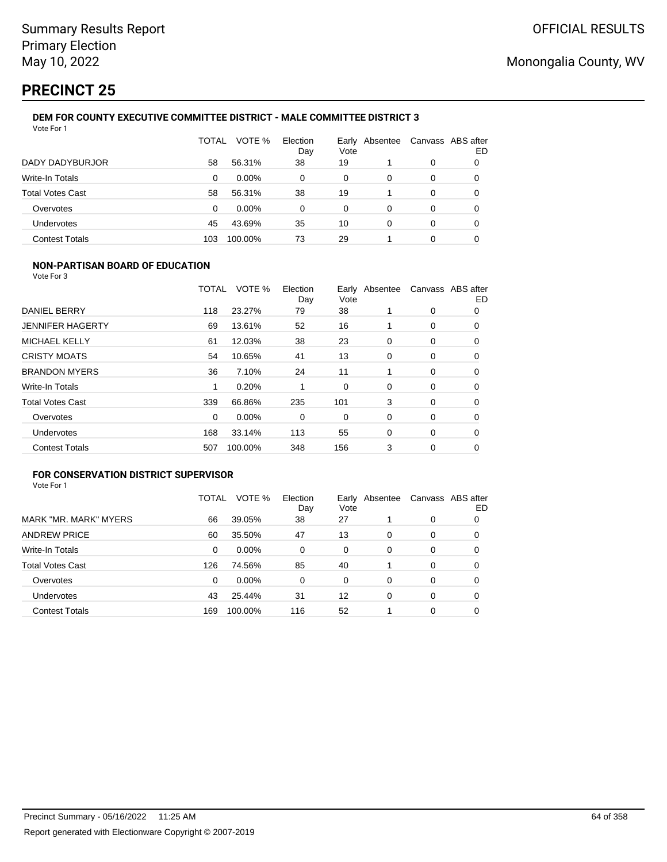# **PRECINCT 25**

#### **DEM FOR COUNTY EXECUTIVE COMMITTEE DISTRICT - MALE COMMITTEE DISTRICT 3** Vote For 1

|                         | TOTAL | VOTE %   | Election<br>Day | Early<br>Vote | Absentee | Canvass ABS after | ED |
|-------------------------|-------|----------|-----------------|---------------|----------|-------------------|----|
| DADY DADYBURJOR         | 58    | 56.31%   | 38              | 19            |          | 0                 | 0  |
| Write-In Totals         | 0     | $0.00\%$ | 0               | 0             | 0        | 0                 | 0  |
| <b>Total Votes Cast</b> | 58    | 56.31%   | 38              | 19            |          | 0                 | 0  |
| Overvotes               | 0     | $0.00\%$ | 0               | 0             | 0        | 0                 | 0  |
| Undervotes              | 45    | 43.69%   | 35              | 10            | 0        | 0                 |    |
| <b>Contest Totals</b>   | 103   | 100.00%  | 73              | 29            |          | 0                 |    |

## **NON-PARTISAN BOARD OF EDUCATION**

Vote For 3

|                         | TOTAL | VOTE %  | Election<br>Day | Vote | Early Absentee |   | Canvass ABS after<br>ED |
|-------------------------|-------|---------|-----------------|------|----------------|---|-------------------------|
| DANIEL BERRY            | 118   | 23.27%  | 79              | 38   |                | 0 | 0                       |
| <b>JENNIFER HAGERTY</b> | 69    | 13.61%  | 52              | 16   |                | 0 | 0                       |
| <b>MICHAEL KELLY</b>    | 61    | 12.03%  | 38              | 23   | 0              | 0 | 0                       |
| <b>CRISTY MOATS</b>     | 54    | 10.65%  | 41              | 13   | 0              | 0 | 0                       |
| <b>BRANDON MYERS</b>    | 36    | 7.10%   | 24              | 11   |                | 0 | 0                       |
| <b>Write-In Totals</b>  |       | 0.20%   |                 | 0    | $\Omega$       | 0 | $\Omega$                |
| <b>Total Votes Cast</b> | 339   | 66.86%  | 235             | 101  | 3              | 0 | 0                       |
| Overvotes               | 0     | 0.00%   | 0               | 0    | 0              | 0 | $\Omega$                |
| <b>Undervotes</b>       | 168   | 33.14%  | 113             | 55   | 0              | 0 | 0                       |
| <b>Contest Totals</b>   | 507   | 100.00% | 348             | 156  | 3              | 0 | 0                       |

## **FOR CONSERVATION DISTRICT SUPERVISOR**

|                         | TOTAL | VOTE %  | Election<br>Day | Vote | Early Absentee |   | Canvass ABS after<br>ED |
|-------------------------|-------|---------|-----------------|------|----------------|---|-------------------------|
| MARK "MR. MARK" MYERS   | 66    | 39.05%  | 38              | 27   |                | 0 | O                       |
| <b>ANDREW PRICE</b>     | 60    | 35.50%  | 47              | 13   | 0              | 0 | O                       |
| Write-In Totals         | 0     | 0.00%   | $\Omega$        | 0    | 0              | 0 | 0                       |
| <b>Total Votes Cast</b> | 126   | 74.56%  | 85              | 40   |                | 0 | 0                       |
| Overvotes               | 0     | 0.00%   | 0               | 0    | 0              | 0 | 0                       |
| <b>Undervotes</b>       | 43    | 25.44%  | 31              | 12   | 0              | 0 | 0                       |
| <b>Contest Totals</b>   | 169   | 100.00% | 116             | 52   |                | 0 | 0                       |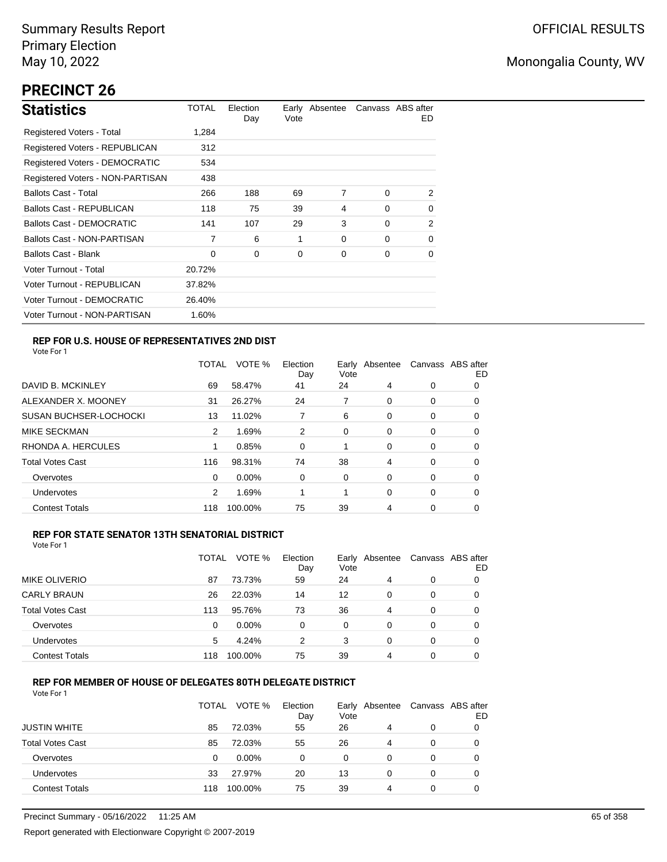# **PRECINCT 26**

| <b>Statistics</b>                     | TOTAL  | Election<br>Day | Vote | Early Absentee |          | Canvass ABS after<br>ED. |
|---------------------------------------|--------|-----------------|------|----------------|----------|--------------------------|
| Registered Voters - Total             | 1.284  |                 |      |                |          |                          |
| Registered Voters - REPUBLICAN        | 312    |                 |      |                |          |                          |
| <b>Registered Voters - DEMOCRATIC</b> | 534    |                 |      |                |          |                          |
| Registered Voters - NON-PARTISAN      | 438    |                 |      |                |          |                          |
| <b>Ballots Cast - Total</b>           | 266    | 188             | 69   | 7              | $\Omega$ | 2                        |
| <b>Ballots Cast - REPUBLICAN</b>      | 118    | 75              | 39   | 4              | $\Omega$ | 0                        |
| <b>Ballots Cast - DEMOCRATIC</b>      | 141    | 107             | 29   | 3              | $\Omega$ | 2                        |
| Ballots Cast - NON-PARTISAN           | 7      | 6               | 1    | 0              | $\Omega$ | $\Omega$                 |
| <b>Ballots Cast - Blank</b>           | 0      | 0               | 0    | 0              | 0        | 0                        |
| Voter Turnout - Total                 | 20.72% |                 |      |                |          |                          |
| Voter Turnout - REPUBLICAN            | 37.82% |                 |      |                |          |                          |
| Voter Turnout - DEMOCRATIC            | 26.40% |                 |      |                |          |                          |
| Voter Turnout - NON-PARTISAN          | 1.60%  |                 |      |                |          |                          |

## **REP FOR U.S. HOUSE OF REPRESENTATIVES 2ND DIST**

Vote For 1

|                               | TOTAL | VOTE %   | Election<br>Day | Earlv<br>Vote | Absentee |   | Canvass ABS after<br>ED |
|-------------------------------|-------|----------|-----------------|---------------|----------|---|-------------------------|
| DAVID B. MCKINLEY             | 69    | 58.47%   | 41              | 24            | 4        | 0 | O                       |
| ALEXANDER X. MOONEY           | 31    | 26.27%   | 24              | 7             | 0        | 0 | 0                       |
| <b>SUSAN BUCHSER-LOCHOCKI</b> | 13    | 11.02%   |                 | 6             | 0        | 0 | 0                       |
| <b>MIKE SECKMAN</b>           | 2     | 1.69%    | 2               | 0             | 0        | 0 | 0                       |
| RHONDA A. HERCULES            |       | 0.85%    | $\Omega$        | 1             | 0        | 0 | 0                       |
| <b>Total Votes Cast</b>       | 116   | 98.31%   | 74              | 38            | 4        | 0 | 0                       |
| Overvotes                     | 0     | $0.00\%$ | 0               | 0             | 0        | 0 | 0                       |
| <b>Undervotes</b>             | 2     | 1.69%    |                 | 1             | 0        | 0 | 0                       |
| <b>Contest Totals</b>         | 118   | 100.00%  | 75              | 39            | 4        | 0 | 0                       |

### **REP FOR STATE SENATOR 13TH SENATORIAL DISTRICT**

| Vote For 1 |  |  |  |
|------------|--|--|--|
|------------|--|--|--|

|                         | TOTAL | VOTE %   | Election<br>Day | Early Absentee<br>Vote |   | Canvass ABS after | ED |
|-------------------------|-------|----------|-----------------|------------------------|---|-------------------|----|
| <b>MIKE OLIVERIO</b>    | 87    | 73.73%   | 59              | 24                     | 4 | 0                 |    |
| <b>CARLY BRAUN</b>      | 26    | 22.03%   | 14              | 12                     | 0 | 0                 | O  |
| <b>Total Votes Cast</b> | 113   | 95.76%   | 73              | 36                     | 4 | 0                 |    |
| Overvotes               | 0     | $0.00\%$ | 0               | 0                      | 0 | 0                 |    |
| Undervotes              | 5     | 4.24%    | 2               | 3                      | 0 | 0                 | 0  |
| <b>Contest Totals</b>   | 118   | 100.00%  | 75              | 39                     | 4 | 0                 |    |

### **REP FOR MEMBER OF HOUSE OF DELEGATES 80TH DELEGATE DISTRICT**

|                         | TOTAL | VOTE %   | Election<br>Day | Vote | Early Absentee | Canvass ABS after | ED |
|-------------------------|-------|----------|-----------------|------|----------------|-------------------|----|
| <b>JUSTIN WHITE</b>     | 85    | 72.03%   | 55              | 26   | 4              | 0                 |    |
| <b>Total Votes Cast</b> | 85    | 72.03%   | 55              | 26   | 4              | 0                 |    |
| Overvotes               | 0     | $0.00\%$ | 0               | 0    | 0              | 0                 |    |
| Undervotes              | 33    | 27.97%   | 20              | 13   | 0              | 0                 |    |
| <b>Contest Totals</b>   | 118   | 100.00%  | 75              | 39   | 4              | $\Omega$          |    |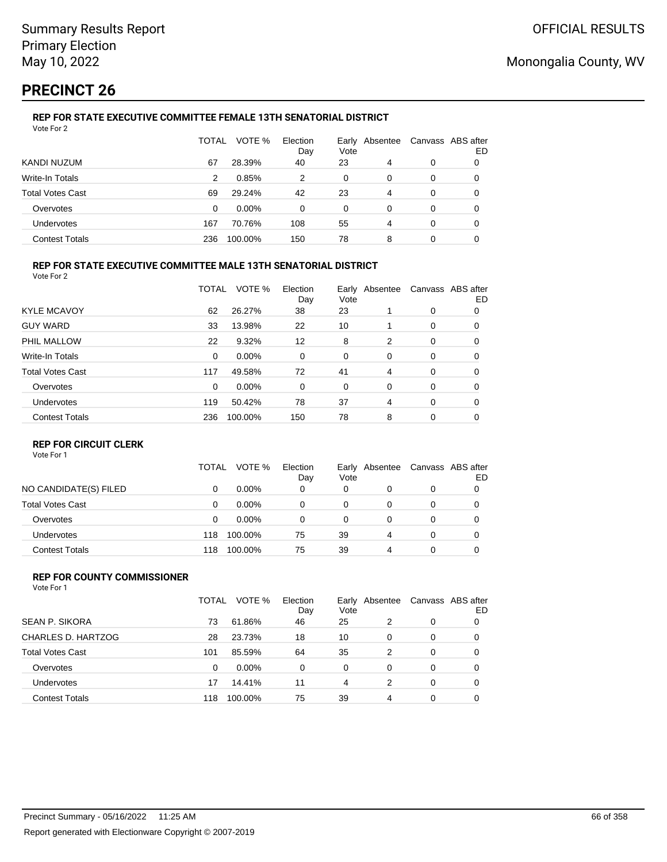# **PRECINCT 26**

#### **REP FOR STATE EXECUTIVE COMMITTEE FEMALE 13TH SENATORIAL DISTRICT** Vote For 2

|                         | TOTAL | VOTE %   | Election<br>Day | Vote | Early Absentee |   | Canvass ABS after<br>ED |
|-------------------------|-------|----------|-----------------|------|----------------|---|-------------------------|
| KANDI NUZUM             | 67    | 28.39%   | 40              | 23   | 4              | 0 | 0                       |
| Write-In Totals         | 2     | 0.85%    | 2               | 0    | 0              | 0 |                         |
| <b>Total Votes Cast</b> | 69    | 29.24%   | 42              | 23   | 4              | 0 |                         |
| Overvotes               | 0     | $0.00\%$ | 0               | 0    | 0              | 0 |                         |
| Undervotes              | 167   | 70.76%   | 108             | 55   | 4              | 0 | 0                       |
| <b>Contest Totals</b>   | 236   | 100.00%  | 150             | 78   | 8              | 0 |                         |

### **REP FOR STATE EXECUTIVE COMMITTEE MALE 13TH SENATORIAL DISTRICT**

Vote For 2

|                         | TOTAL    | VOTE %   | Election<br>Day | Vote | Early Absentee |          | Canvass ABS after<br>ED |
|-------------------------|----------|----------|-----------------|------|----------------|----------|-------------------------|
| <b>KYLE MCAVOY</b>      | 62       | 26.27%   | 38              | 23   |                | 0        | 0                       |
| <b>GUY WARD</b>         | 33       | 13.98%   | 22              | 10   |                | 0        | 0                       |
| PHIL MALLOW             | 22       | 9.32%    | 12              | 8    | 2              | 0        | 0                       |
| <b>Write-In Totals</b>  | $\Omega$ | $0.00\%$ | 0               | 0    | 0              | 0        | 0                       |
| <b>Total Votes Cast</b> | 117      | 49.58%   | 72              | 41   | 4              | 0        | 0                       |
| Overvotes               | $\Omega$ | $0.00\%$ | 0               | 0    | 0              | 0        | 0                       |
| Undervotes              | 119      | 50.42%   | 78              | 37   | 4              | $\Omega$ | 0                       |
| <b>Contest Totals</b>   | 236      | 100.00%  | 150             | 78   | 8              | 0        | 0                       |

### **REP FOR CIRCUIT CLERK**

Vote For 1

|                         | TOTAL | VOTE %   | Election<br>Day | Vote | Early Absentee | Canvass ABS after | ED |
|-------------------------|-------|----------|-----------------|------|----------------|-------------------|----|
| NO CANDIDATE(S) FILED   |       | $0.00\%$ | 0               | 0    |                | 0                 |    |
| <b>Total Votes Cast</b> | 0     | $0.00\%$ | 0               | 0    | Ω              | 0                 |    |
| Overvotes               | 0     | $0.00\%$ | 0               | 0    | Ω              | 0                 |    |
| <b>Undervotes</b>       | 118   | 100.00%  | 75              | 39   | 4              | 0                 |    |
| <b>Contest Totals</b>   | 118   | 100.00%  | 75              | 39   | 4              | 0                 |    |

#### **REP FOR COUNTY COMMISSIONER** Vote For 1

|                         | TOTAL | VOTE %   | Election<br>Day | Vote     | Early Absentee |          | Canvass ABS after<br>ED |
|-------------------------|-------|----------|-----------------|----------|----------------|----------|-------------------------|
| <b>SEAN P. SIKORA</b>   | 73    | 61.86%   | 46              | 25       | 2              | 0        | 0                       |
| CHARLES D. HARTZOG      | 28    | 23.73%   | 18              | 10       | 0              | 0        | 0                       |
| <b>Total Votes Cast</b> | 101   | 85.59%   | 64              | 35       | 2              | 0        | 0                       |
| Overvotes               | 0     | $0.00\%$ | $\Omega$        | $\Omega$ | 0              | $\Omega$ | 0                       |
| Undervotes              | 17    | 14.41%   | 11              | 4        | $\mathcal{P}$  | $\Omega$ | 0                       |
| <b>Contest Totals</b>   | 118   | 100.00%  | 75              | 39       | 4              | $\Omega$ | 0                       |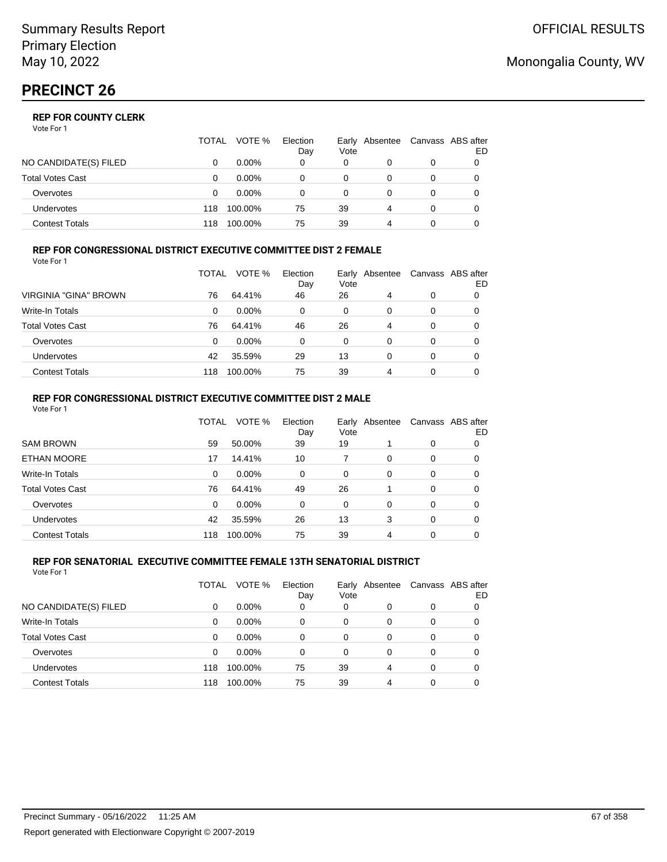Vote For 1

|                       | TOTAL | VOTE %   | Election<br>Day | Vote | Early Absentee | Canvass ABS after | ED |
|-----------------------|-------|----------|-----------------|------|----------------|-------------------|----|
| NO CANDIDATE(S) FILED |       | $0.00\%$ | 0               | 0    |                | 0                 |    |
| Total Votes Cast      |       | $0.00\%$ |                 | 0    |                | 0                 |    |
| Overvotes             |       | $0.00\%$ |                 | 0    |                | 0                 |    |
| Undervotes            | 118   | 100.00%  | 75              | 39   | 4              | 0                 |    |
| Contest Totals        | 118   | 100.00%  | 75              | 39   |                |                   |    |

#### **REP FOR CONGRESSIONAL DISTRICT EXECUTIVE COMMITTEE DIST 2 FEMALE** Vote For 1

|                         | TOTAL | VOTE %   | Election<br>Day | Early<br>Vote | Absentee | Canvass ABS after | ED |
|-------------------------|-------|----------|-----------------|---------------|----------|-------------------|----|
| VIRGINIA "GINA" BROWN   | 76    | 64.41%   | 46              | 26            | 4        | 0                 | O  |
| Write-In Totals         | 0     | $0.00\%$ | 0               | 0             | 0        | 0                 | O  |
| <b>Total Votes Cast</b> | 76    | 64.41%   | 46              | 26            | 4        | 0                 | O  |
| Overvotes               | 0     | $0.00\%$ | 0               | 0             | 0        | 0                 |    |
| <b>Undervotes</b>       | 42    | 35.59%   | 29              | 13            | 0        | 0                 |    |
| <b>Contest Totals</b>   | 118   | 100.00%  | 75              | 39            | 4        | 0                 |    |

#### **REP FOR CONGRESSIONAL DISTRICT EXECUTIVE COMMITTEE DIST 2 MALE** Vote For 1

|                         | TOTAL | VOTE %  | Election<br>Day | Vote     | Early Absentee |          | Canvass ABS after<br>ED. |
|-------------------------|-------|---------|-----------------|----------|----------------|----------|--------------------------|
| <b>SAM BROWN</b>        | 59    | 50.00%  | 39              | 19       |                | 0        | 0                        |
| <b>ETHAN MOORE</b>      | 17    | 14.41%  | 10              | 7        | $\Omega$       | 0        | 0                        |
| Write-In Totals         | 0     | 0.00%   | 0               | 0        | $\Omega$       | 0        | 0                        |
| <b>Total Votes Cast</b> | 76    | 64.41%  | 49              | 26       |                | $\Omega$ | 0                        |
| Overvotes               | 0     | 0.00%   | $\Omega$        | $\Omega$ | $\Omega$       | $\Omega$ | 0                        |
| <b>Undervotes</b>       | 42    | 35.59%  | 26              | 13       | 3              | $\Omega$ | 0                        |
| <b>Contest Totals</b>   | 118   | 100.00% | 75              | 39       | 4              | $\Omega$ | 0                        |
|                         |       |         |                 |          |                |          |                          |

#### **REP FOR SENATORIAL EXECUTIVE COMMITTEE FEMALE 13TH SENATORIAL DISTRICT** Vote For 1

|                         | TOTAL | VOTE %   | Election<br>Day | Vote | Early Absentee |   | Canvass ABS after<br>ED |
|-------------------------|-------|----------|-----------------|------|----------------|---|-------------------------|
| NO CANDIDATE(S) FILED   | 0     | $0.00\%$ | 0               | 0    | 0              | 0 |                         |
| <b>Write-In Totals</b>  | 0     | $0.00\%$ | 0               | 0    | 0              | 0 |                         |
| <b>Total Votes Cast</b> | 0     | $0.00\%$ | 0               | 0    | 0              | 0 | 0                       |
| Overvotes               | 0     | $0.00\%$ | 0               | 0    | $\Omega$       | 0 | 0                       |
| <b>Undervotes</b>       | 118   | 100.00%  | 75              | 39   | 4              | 0 | 0                       |
| <b>Contest Totals</b>   | 118   | 100.00%  | 75              | 39   | 4              | 0 |                         |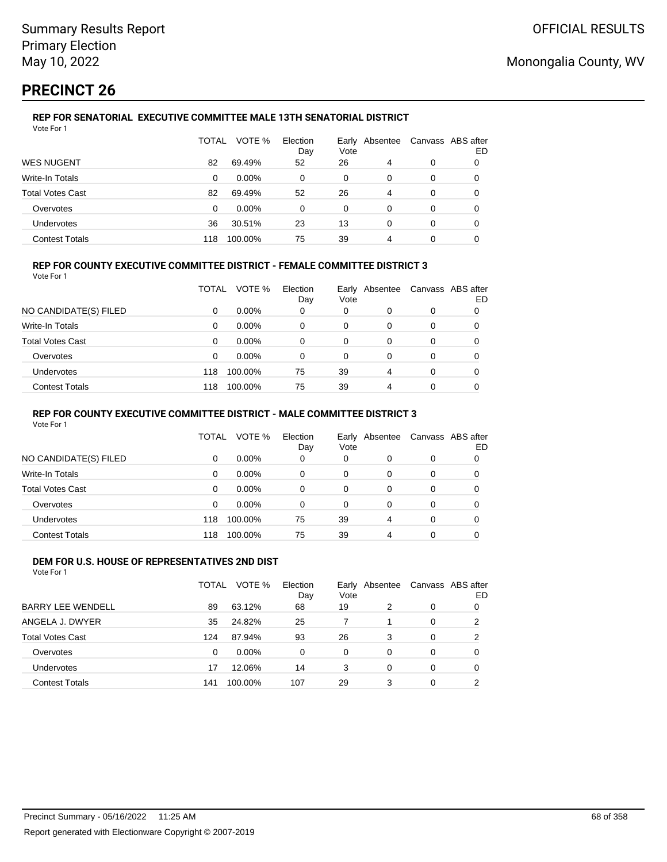# **PRECINCT 26**

#### **REP FOR SENATORIAL EXECUTIVE COMMITTEE MALE 13TH SENATORIAL DISTRICT** Vote For 1

|                         | TOTAL | VOTE %   | Election<br>Day | Vote | Early Absentee |   | Canvass ABS after<br>ED |
|-------------------------|-------|----------|-----------------|------|----------------|---|-------------------------|
| <b>WES NUGENT</b>       | 82    | 69.49%   | 52              | 26   | 4              | 0 | 0                       |
| Write-In Totals         | 0     | $0.00\%$ | 0               | 0    | 0              | 0 | 0                       |
| <b>Total Votes Cast</b> | 82    | 69.49%   | 52              | 26   | 4              | 0 |                         |
| Overvotes               | 0     | $0.00\%$ | 0               | 0    | 0              | 0 |                         |
| <b>Undervotes</b>       | 36    | 30.51%   | 23              | 13   | 0              | 0 | 0                       |
| <b>Contest Totals</b>   | 118   | 100.00%  | 75              | 39   | 4              | 0 |                         |

### **REP FOR COUNTY EXECUTIVE COMMITTEE DISTRICT - FEMALE COMMITTEE DISTRICT 3**

Vote For 1

|                       | TOTAL | VOTE %   | Election<br>Day | Vote | Early Absentee | Canvass ABS after | ED |
|-----------------------|-------|----------|-----------------|------|----------------|-------------------|----|
| NO CANDIDATE(S) FILED | 0     | $0.00\%$ | 0               | 0    | 0              | 0                 |    |
| Write-In Totals       | 0     | $0.00\%$ | 0               | 0    | 0              | 0                 | 0  |
| Total Votes Cast      | 0     | $0.00\%$ | 0               | 0    | 0              | 0                 |    |
| Overvotes             | 0     | $0.00\%$ | 0               | 0    | 0              | 0                 |    |
| Undervotes            | 118   | 100.00%  | 75              | 39   | 4              | 0                 |    |
| <b>Contest Totals</b> | 118   | 100.00%  | 75              | 39   | 4              | 0                 |    |

### **REP FOR COUNTY EXECUTIVE COMMITTEE DISTRICT - MALE COMMITTEE DISTRICT 3**

Vote For 1

|                       | TOTAL    | VOTE %   | Election<br>Day | Vote     | Early Absentee |   | Canvass ABS after<br>ED |
|-----------------------|----------|----------|-----------------|----------|----------------|---|-------------------------|
| NO CANDIDATE(S) FILED | $\Omega$ | $0.00\%$ | 0               | $\Omega$ | 0              | 0 |                         |
| Write-In Totals       | $\Omega$ | $0.00\%$ | 0               | 0        | 0              | 0 |                         |
| Total Votes Cast      | $\Omega$ | $0.00\%$ | 0               | 0        | 0              | 0 |                         |
| Overvotes             | $\Omega$ | $0.00\%$ | $\Omega$        | 0        | 0              | 0 |                         |
| Undervotes            | 118      | 100.00%  | 75              | 39       | 4              | 0 |                         |
| <b>Contest Totals</b> | 118      | 100.00%  | 75              | 39       | 4              | 0 |                         |

#### **DEM FOR U.S. HOUSE OF REPRESENTATIVES 2ND DIST** Vote For 1

|                          | TOTAL | VOTE %   | Election<br>Day | Vote     | Early Absentee |          | Canvass ABS after<br>ED |
|--------------------------|-------|----------|-----------------|----------|----------------|----------|-------------------------|
| <b>BARRY LEE WENDELL</b> | 89    | 63.12%   | 68              | 19       | 2              | 0        | 0                       |
| ANGELA J. DWYER          | 35    | 24.82%   | 25              | 7        |                | 0        | 2                       |
| <b>Total Votes Cast</b>  | 124   | 87.94%   | 93              | 26       | 3              | 0        | 2                       |
| Overvotes                | 0     | $0.00\%$ | $\Omega$        | $\Omega$ | $\Omega$       | $\Omega$ | 0                       |
| Undervotes               | 17    | 12.06%   | 14              | 3        | $\Omega$       | 0        | 0                       |
| <b>Contest Totals</b>    | 141   | 100.00%  | 107             | 29       | 3              | 0        | ົ                       |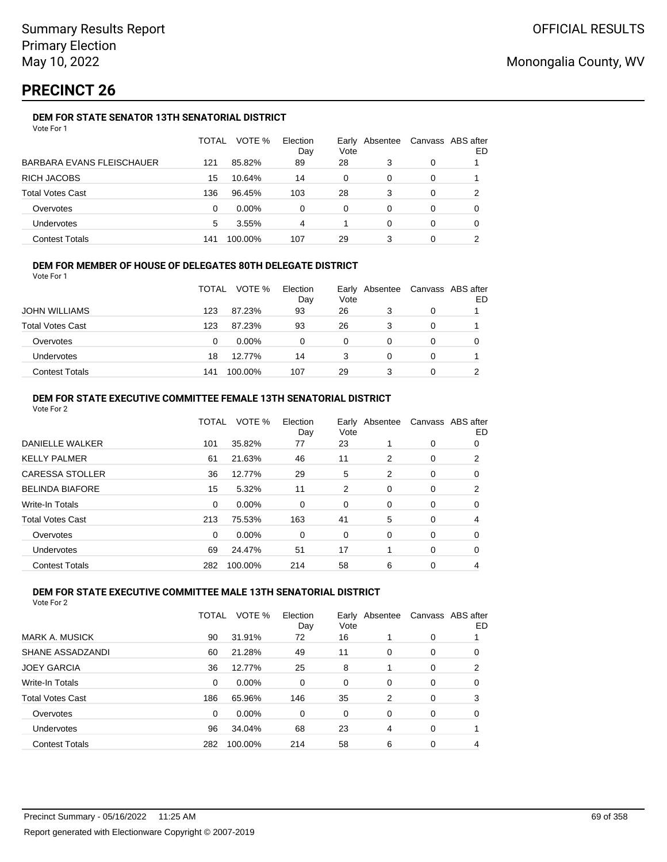# **PRECINCT 26**

## **DEM FOR STATE SENATOR 13TH SENATORIAL DISTRICT**

|                           | TOTAL | VOTE %   | Election<br>Day | Early Absentee<br>Vote |   | Canvass ABS after | ED |
|---------------------------|-------|----------|-----------------|------------------------|---|-------------------|----|
| BARBARA EVANS FLEISCHAUER | 121   | 85.82%   | 89              | 28                     | 3 | 0                 |    |
| RICH JACOBS               | 15    | 10.64%   | 14              | 0                      | 0 | 0                 |    |
| Total Votes Cast          | 136   | 96.45%   | 103             | 28                     | 3 | 0                 |    |
| Overvotes                 | 0     | $0.00\%$ | 0               | 0                      | 0 | 0                 |    |
| Undervotes                | 5     | 3.55%    | 4               |                        | 0 | 0                 |    |
| <b>Contest Totals</b>     | 141   | 100.00%  | 107             | 29                     | 3 | 0                 |    |

### **DEM FOR MEMBER OF HOUSE OF DELEGATES 80TH DELEGATE DISTRICT**

Vote For 1

|                         | <b>TOTAL</b> | VOTE %   | Election<br>Day | Vote | Early Absentee |   | Canvass ABS after<br>ED |
|-------------------------|--------------|----------|-----------------|------|----------------|---|-------------------------|
| <b>JOHN WILLIAMS</b>    | 123          | 87.23%   | 93              | 26   | 3              | 0 |                         |
| <b>Total Votes Cast</b> | 123          | 87.23%   | 93              | 26   | 3              |   |                         |
| Overvotes               | 0            | $0.00\%$ | 0               | 0    |                |   |                         |
| <b>Undervotes</b>       | 18           | 12.77%   | 14              | 3    |                | 0 |                         |
| <b>Contest Totals</b>   | 141          | 100.00%  | 107             | 29   | 3              |   |                         |

### **DEM FOR STATE EXECUTIVE COMMITTEE FEMALE 13TH SENATORIAL DISTRICT**

| Vote For 2              |              |         |                 |      |                |                   |    |
|-------------------------|--------------|---------|-----------------|------|----------------|-------------------|----|
|                         | <b>TOTAL</b> | VOTE %  | Election<br>Day | Vote | Early Absentee | Canvass ABS after | ED |
| DANIELLE WALKER         | 101          | 35.82%  | 77              | 23   |                | 0                 | 0  |
| <b>KELLY PALMER</b>     | 61           | 21.63%  | 46              | 11   | 2              | 0                 | 2  |
| <b>CARESSA STOLLER</b>  | 36           | 12.77%  | 29              | 5    | 2              | 0                 | 0  |
| <b>BELINDA BIAFORE</b>  | 15           | 5.32%   | 11              | 2    | 0              | 0                 | 2  |
| <b>Write-In Totals</b>  | $\Omega$     | 0.00%   | $\Omega$        | 0    | 0              | 0                 | 0  |
| <b>Total Votes Cast</b> | 213          | 75.53%  | 163             | 41   | 5              | 0                 | 4  |
| Overvotes               | $\Omega$     | 0.00%   | $\Omega$        | 0    | $\Omega$       | 0                 | 0  |
| <b>Undervotes</b>       | 69           | 24.47%  | 51              | 17   |                | 0                 | 0  |
| <b>Contest Totals</b>   | 282          | 100.00% | 214             | 58   | 6              | 0                 |    |
|                         |              |         |                 |      |                |                   |    |

### **DEM FOR STATE EXECUTIVE COMMITTEE MALE 13TH SENATORIAL DISTRICT**

|                         | <b>TOTAL</b> | VOTE %   | Election<br>Day | Vote     | Early Absentee |          | Canvass ABS after<br>ED |
|-------------------------|--------------|----------|-----------------|----------|----------------|----------|-------------------------|
| <b>MARK A. MUSICK</b>   | 90           | 31.91%   | 72              | 16       |                | 0        |                         |
| SHANE ASSADZANDI        | 60           | 21.28%   | 49              | 11       | $\Omega$       | 0        | 0                       |
| <b>JOEY GARCIA</b>      | 36           | 12.77%   | 25              | 8        |                | 0        | 2                       |
| <b>Write-In Totals</b>  | $\Omega$     | 0.00%    | $\Omega$        | $\Omega$ | $\Omega$       | $\Omega$ | 0                       |
| <b>Total Votes Cast</b> | 186          | 65.96%   | 146             | 35       | 2              | $\Omega$ | 3                       |
| Overvotes               | $\Omega$     | $0.00\%$ | $\Omega$        | $\Omega$ | $\Omega$       | $\Omega$ | 0                       |
| Undervotes              | 96           | 34.04%   | 68              | 23       | 4              | 0        |                         |
| <b>Contest Totals</b>   | 282          | 100.00%  | 214             | 58       | 6              | 0        | 4                       |
|                         |              |          |                 |          |                |          |                         |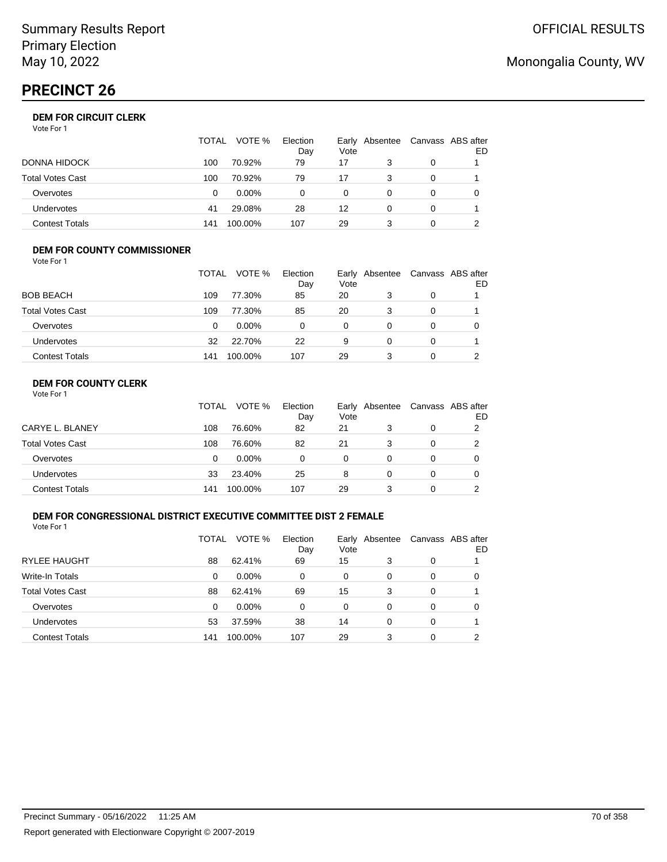# **PRECINCT 26**

## **DEM FOR CIRCUIT CLERK**

| Vote For 1 |  |
|------------|--|
|------------|--|

|                       | <b>TOTAL</b> | VOTE %   | Election<br>Day | Vote     | Early Absentee | Canvass ABS after | ED |
|-----------------------|--------------|----------|-----------------|----------|----------------|-------------------|----|
| DONNA HIDOCK          | 100          | 70.92%   | 79              | 17       |                | 0                 |    |
| Total Votes Cast      | 100          | 70.92%   | 79              | 17       | 3              |                   |    |
| Overvotes             | 0            | $0.00\%$ | 0               | $\Omega$ |                |                   |    |
| <b>Undervotes</b>     | 41           | 29.08%   | 28              | 12       |                |                   |    |
| <b>Contest Totals</b> | 141          | 100.00%  | 107             | 29       |                |                   |    |

#### **DEM FOR COUNTY COMMISSIONER** Vote For 1

|                         | <b>TOTAL</b> | VOTE %   | Election<br>Day | Vote | Early Absentee | Canvass ABS after | ED |
|-------------------------|--------------|----------|-----------------|------|----------------|-------------------|----|
| <b>BOB BEACH</b>        | 109          | 77.30%   | 85              | 20   | 3              | 0                 |    |
| <b>Total Votes Cast</b> | 109          | 77.30%   | 85              | 20   | 3              | 0                 |    |
| Overvotes               | 0            | $0.00\%$ | 0               | 0    | $\Omega$       | $\Omega$          |    |
| <b>Undervotes</b>       | 32           | 22.70%   | 22              | 9    | 0              | 0                 |    |
| <b>Contest Totals</b>   | 141          | 100.00%  | 107             | 29   |                | $\Omega$          |    |

## **DEM FOR COUNTY CLERK**

|                         | TOTAL | VOTE %   | Election<br>Day | Vote | Early Absentee | Canvass ABS after | ED |
|-------------------------|-------|----------|-----------------|------|----------------|-------------------|----|
| CARYE L. BLANEY         | 108   | 76.60%   | 82              | 21   |                | 0                 |    |
| <b>Total Votes Cast</b> | 108   | 76.60%   | 82              | 21   |                | 0                 |    |
| Overvotes               | 0     | $0.00\%$ | 0               | 0    | 0              | 0                 |    |
| Undervotes              | 33    | 23.40%   | 25              | 8    | 0              | 0                 |    |
| <b>Contest Totals</b>   | 141   | 100.00%  | 107             | 29   |                | 0                 |    |

### **DEM FOR CONGRESSIONAL DISTRICT EXECUTIVE COMMITTEE DIST 2 FEMALE**

Vote For 1

|                         | TOTAL | VOTE %   | Election<br>Day | Vote | Early Absentee | Canvass ABS after | ED |
|-------------------------|-------|----------|-----------------|------|----------------|-------------------|----|
| <b>RYLEE HAUGHT</b>     | 88    | 62.41%   | 69              | 15   | 3              | 0                 |    |
| Write-In Totals         | 0     | $0.00\%$ | 0               | 0    | 0              | 0                 | O  |
| <b>Total Votes Cast</b> | 88    | 62.41%   | 69              | 15   | 3              | 0                 |    |
| Overvotes               | 0     | $0.00\%$ | $\Omega$        | 0    | 0              | 0                 | 0  |
| Undervotes              | 53    | 37.59%   | 38              | 14   | 0              | 0                 |    |
| <b>Contest Totals</b>   | 141   | 100.00%  | 107             | 29   | 3              | 0                 | ົ  |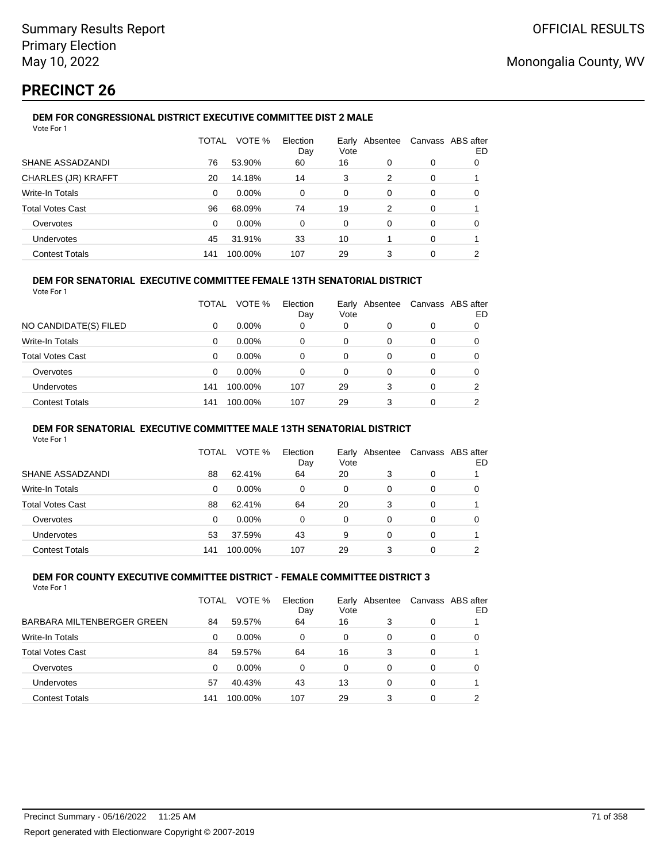# **PRECINCT 26**

## **DEM FOR CONGRESSIONAL DISTRICT EXECUTIVE COMMITTEE DIST 2 MALE**

| Vote For 1              |              |          |                 |               |          |   |                          |
|-------------------------|--------------|----------|-----------------|---------------|----------|---|--------------------------|
|                         | <b>TOTAL</b> | VOTE %   | Election<br>Day | Early<br>Vote | Absentee |   | Canvass ABS after<br>ED. |
| SHANE ASSADZANDI        | 76           | 53.90%   | 60              | 16            | 0        | 0 | 0                        |
| CHARLES (JR) KRAFFT     | 20           | 14.18%   | 14              | 3             | 2        | 0 |                          |
| Write-In Totals         | 0            | $0.00\%$ | 0               | 0             | 0        | 0 | 0                        |
| <b>Total Votes Cast</b> | 96           | 68.09%   | 74              | 19            | 2        | 0 |                          |
| Overvotes               | $\Omega$     | $0.00\%$ | 0               | 0             | 0        | 0 | 0                        |
| Undervotes              | 45           | 31.91%   | 33              | 10            |          | 0 |                          |
| <b>Contest Totals</b>   | 141          | 100.00%  | 107             | 29            | 3        | 0 | 2                        |

### **DEM FOR SENATORIAL EXECUTIVE COMMITTEE FEMALE 13TH SENATORIAL DISTRICT**

Vote For 1

|                         | TOTAL | VOTE %   | Election<br>Day | Vote | Early Absentee |   | Canvass ABS after<br>ED |
|-------------------------|-------|----------|-----------------|------|----------------|---|-------------------------|
| NO CANDIDATE(S) FILED   | 0     | $0.00\%$ | 0               | 0    | 0              | 0 |                         |
| <b>Write-In Totals</b>  | 0     | $0.00\%$ | 0               | 0    | 0              | 0 | 0                       |
| <b>Total Votes Cast</b> | 0     | $0.00\%$ | 0               | 0    | 0              | 0 |                         |
| Overvotes               | 0     | 0.00%    | 0               | 0    | 0              | 0 | 0                       |
| Undervotes              | 141   | 100.00%  | 107             | 29   | 3              | 0 | 2                       |
| <b>Contest Totals</b>   | 141   | 100.00%  | 107             | 29   | 3              |   |                         |

### **DEM FOR SENATORIAL EXECUTIVE COMMITTEE MALE 13TH SENATORIAL DISTRICT**

Vote For 1

|                         | TOTAL | VOTE %   | Election<br>Day | Vote | Early Absentee | Canvass ABS after | ED |
|-------------------------|-------|----------|-----------------|------|----------------|-------------------|----|
| SHANE ASSADZANDI        | 88    | 62.41%   | 64              | 20   | 3              | 0                 |    |
| <b>Write-In Totals</b>  | 0     | $0.00\%$ | 0               | 0    | 0              | 0                 |    |
| <b>Total Votes Cast</b> | 88    | 62.41%   | 64              | 20   | 3              | 0                 |    |
| Overvotes               | 0     | $0.00\%$ | 0               | 0    | 0              | 0                 |    |
| Undervotes              | 53    | 37.59%   | 43              | 9    | 0              | 0                 |    |
| <b>Contest Totals</b>   | 141   | 100.00%  | 107             | 29   | 3              | 0                 | ົ  |

#### **DEM FOR COUNTY EXECUTIVE COMMITTEE DISTRICT - FEMALE COMMITTEE DISTRICT 3** Vote For 1

|                            | TOTAL | VOTE %   | Election<br>Day | Early<br>Vote | Absentee |   | Canvass ABS after<br>ED |
|----------------------------|-------|----------|-----------------|---------------|----------|---|-------------------------|
| BARBARA MILTENBERGER GREEN | 84    | 59.57%   | 64              | 16            | 3        | 0 |                         |
| <b>Write-In Totals</b>     | 0     | $0.00\%$ | 0               | 0             | 0        | 0 | 0                       |
| <b>Total Votes Cast</b>    | 84    | 59.57%   | 64              | 16            | 3        | 0 |                         |
| Overvotes                  | 0     | $0.00\%$ | 0               | 0             | 0        | 0 | 0                       |
| <b>Undervotes</b>          | 57    | 40.43%   | 43              | 13            | 0        | 0 |                         |
| <b>Contest Totals</b>      | 141   | 100.00%  | 107             | 29            | 3        | 0 | ົ                       |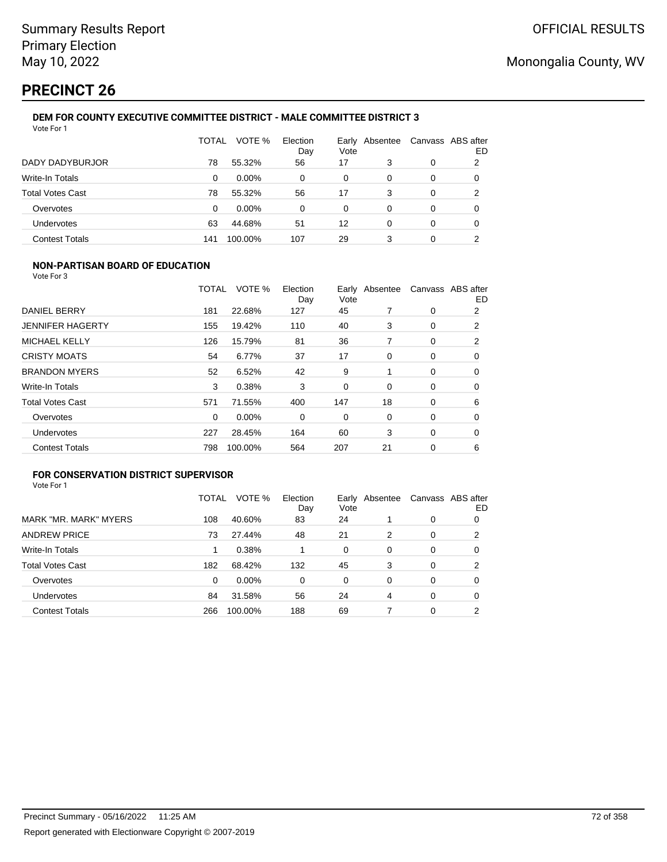# **PRECINCT 26**

#### **DEM FOR COUNTY EXECUTIVE COMMITTEE DISTRICT - MALE COMMITTEE DISTRICT 3** Vote For 1

|                         | TOTAL | VOTE %   | Election<br>Day | Earlv<br>Vote | Absentee | Canvass ABS after | ED |
|-------------------------|-------|----------|-----------------|---------------|----------|-------------------|----|
| DADY DADYBURJOR         | 78    | 55.32%   | 56              | 17            | 3        | 0                 | 2  |
| Write-In Totals         | 0     | $0.00\%$ | 0               | 0             | 0        | 0                 | 0  |
| <b>Total Votes Cast</b> | 78    | 55.32%   | 56              | 17            | 3        | 0                 | 2  |
| Overvotes               | 0     | $0.00\%$ | 0               | 0             | 0        | 0                 | 0  |
| Undervotes              | 63    | 44.68%   | 51              | 12            | 0        | 0                 | 0  |
| <b>Contest Totals</b>   | 141   | 100.00%  | 107             | 29            | 3        | 0                 | ົ  |

## **NON-PARTISAN BOARD OF EDUCATION**

Vote For 3

|                         | TOTAL    | VOTE %  | Election<br>Day | Vote | Early Absentee |             | Canvass ABS after<br>ED |
|-------------------------|----------|---------|-----------------|------|----------------|-------------|-------------------------|
| <b>DANIEL BERRY</b>     | 181      | 22.68%  | 127             | 45   |                | 0           | 2                       |
| <b>JENNIFER HAGERTY</b> | 155      | 19.42%  | 110             | 40   | 3              | 0           | 2                       |
| <b>MICHAEL KELLY</b>    | 126      | 15.79%  | 81              | 36   | 7              | 0           | 2                       |
| <b>CRISTY MOATS</b>     | 54       | 6.77%   | 37              | 17   | 0              | 0           | 0                       |
| <b>BRANDON MYERS</b>    | 52       | 6.52%   | 42              | 9    |                | 0           | 0                       |
| Write-In Totals         | 3        | 0.38%   | 3               | 0    | $\Omega$       | 0           | 0                       |
| <b>Total Votes Cast</b> | 571      | 71.55%  | 400             | 147  | 18             | $\mathbf 0$ | 6                       |
| Overvotes               | $\Omega$ | 0.00%   | 0               | 0    | 0              | 0           | $\Omega$                |
| Undervotes              | 227      | 28.45%  | 164             | 60   | 3              | $\mathbf 0$ | 0                       |
| <b>Contest Totals</b>   | 798      | 100.00% | 564             | 207  | 21             | 0           | 6                       |

## **FOR CONSERVATION DISTRICT SUPERVISOR**

|                         | TOTAL | VOTE %  | Election<br>Day | Early<br>Vote | Absentee |          | Canvass ABS after<br>ED |
|-------------------------|-------|---------|-----------------|---------------|----------|----------|-------------------------|
| MARK "MR. MARK" MYERS   | 108   | 40.60%  | 83              | 24            |          | 0        | 0                       |
| <b>ANDREW PRICE</b>     | 73    | 27.44%  | 48              | 21            | 2        | 0        | 2                       |
| Write-In Totals         |       | 0.38%   |                 | 0             | 0        | 0        | 0                       |
| <b>Total Votes Cast</b> | 182   | 68.42%  | 132             | 45            | 3        | 0        | 2                       |
| Overvotes               | 0     | 0.00%   | $\Omega$        | 0             | 0        | $\Omega$ | 0                       |
| <b>Undervotes</b>       | 84    | 31.58%  | 56              | 24            | 4        | 0        | 0                       |
| <b>Contest Totals</b>   | 266   | 100.00% | 188             | 69            |          | 0        | າ                       |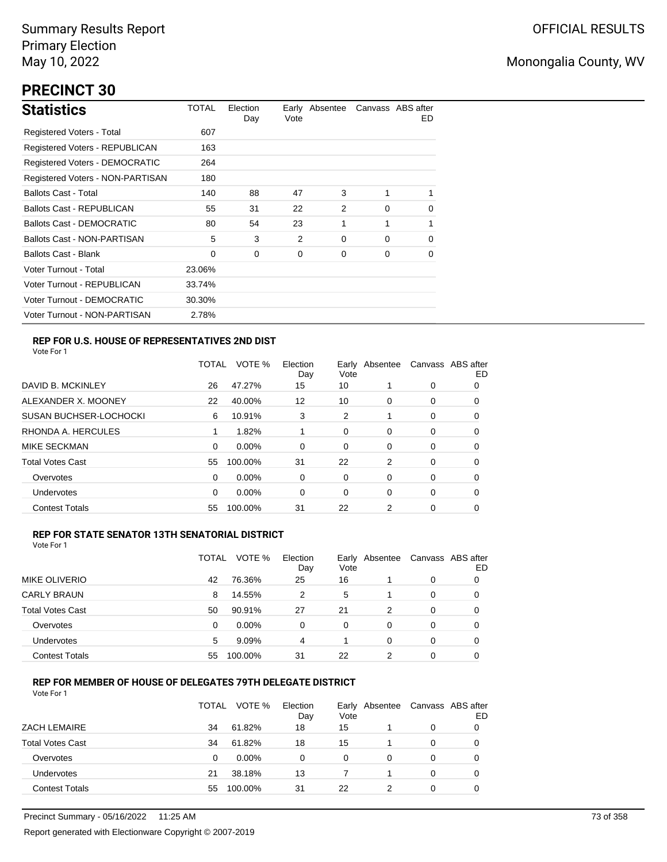# **PRECINCT 30**

| <b>Statistics</b>                | TOTAL  | Election<br>Day | Vote | Early Absentee |          | Canvass ABS after<br>ED. |
|----------------------------------|--------|-----------------|------|----------------|----------|--------------------------|
| Registered Voters - Total        | 607    |                 |      |                |          |                          |
| Registered Voters - REPUBLICAN   | 163    |                 |      |                |          |                          |
| Registered Voters - DEMOCRATIC   | 264    |                 |      |                |          |                          |
| Registered Voters - NON-PARTISAN | 180    |                 |      |                |          |                          |
| <b>Ballots Cast - Total</b>      | 140    | 88              | 47   | 3              |          | 1                        |
| <b>Ballots Cast - REPUBLICAN</b> | 55     | 31              | 22   | 2              | 0        | $\mathbf 0$              |
| <b>Ballots Cast - DEMOCRATIC</b> | 80     | 54              | 23   | 1              | 1        | $\mathbf{1}$             |
| Ballots Cast - NON-PARTISAN      | 5      | 3               | 2    | 0              | $\Omega$ | 0                        |
| <b>Ballots Cast - Blank</b>      | 0      | 0               | 0    | 0              | 0        | 0                        |
| Voter Turnout - Total            | 23.06% |                 |      |                |          |                          |
| Voter Turnout - REPUBLICAN       | 33.74% |                 |      |                |          |                          |
| Voter Turnout - DEMOCRATIC       | 30.30% |                 |      |                |          |                          |
| Voter Turnout - NON-PARTISAN     | 2.78%  |                 |      |                |          |                          |

## **REP FOR U.S. HOUSE OF REPRESENTATIVES 2ND DIST**

Vote For 1

|                               | TOTAL | VOTE %   | Election<br>Day | Earlv<br>Vote | Absentee |   | Canvass ABS after<br>ED |
|-------------------------------|-------|----------|-----------------|---------------|----------|---|-------------------------|
| DAVID B. MCKINLEY             | 26    | 47.27%   | 15              | 10            |          | 0 | O                       |
| ALEXANDER X. MOONEY           | 22    | 40.00%   | 12              | 10            | $\Omega$ | 0 | 0                       |
| <b>SUSAN BUCHSER-LOCHOCKI</b> | 6     | 10.91%   | 3               | 2             |          | 0 | 0                       |
| RHONDA A. HERCULES            |       | 1.82%    |                 | 0             | 0        | 0 | 0                       |
| <b>MIKE SECKMAN</b>           | 0     | 0.00%    | 0               | 0             | 0        | 0 | 0                       |
| <b>Total Votes Cast</b>       | 55    | 100.00%  | 31              | 22            | 2        | 0 | 0                       |
| Overvotes                     | 0     | $0.00\%$ | 0               | 0             | 0        | 0 | 0                       |
| Undervotes                    | 0     | $0.00\%$ | 0               | 0             | $\Omega$ | 0 | 0                       |
| <b>Contest Totals</b>         | 55    | 100.00%  | 31              | 22            | 2        | 0 | 0                       |

## **REP FOR STATE SENATOR 13TH SENATORIAL DISTRICT**

| Vote For 1 |  |
|------------|--|
|            |  |

|                         | TOTAL | VOTE %  | Election<br>Day | Vote | Early Absentee |   | Canvass ABS after<br>ED |
|-------------------------|-------|---------|-----------------|------|----------------|---|-------------------------|
| MIKE OLIVERIO           | 42    | 76.36%  | 25              | 16   |                | 0 |                         |
| <b>CARLY BRAUN</b>      | 8     | 14.55%  | 2               | 5    |                | 0 | O                       |
| <b>Total Votes Cast</b> | 50    | 90.91%  | 27              | 21   | 2              | 0 | O                       |
| Overvotes               | 0     | 0.00%   | 0               | 0    | 0              | 0 |                         |
| Undervotes              | 5     | 9.09%   | 4               |      | 0              | 0 | 0                       |
| <b>Contest Totals</b>   | 55    | 100.00% | 31              | 22   | າ              | 0 |                         |

## **REP FOR MEMBER OF HOUSE OF DELEGATES 79TH DELEGATE DISTRICT**

|                         | <b>TOTAL</b> | VOTE %  | Election<br>Day | Vote | Early Absentee | Canvass ABS after | ED |
|-------------------------|--------------|---------|-----------------|------|----------------|-------------------|----|
| <b>ZACH LEMAIRE</b>     | 34           | 61.82%  | 18              | 15   |                | $\Omega$          |    |
| <b>Total Votes Cast</b> | 34           | 61.82%  | 18              | 15   |                | 0                 |    |
| Overvotes               | 0            | 0.00%   | 0               | 0    | 0              | 0                 |    |
| Undervotes              | 21           | 38.18%  | 13              |      |                | $\Omega$          |    |
| <b>Contest Totals</b>   | 55           | 100.00% | 31              | 22   |                | 0                 |    |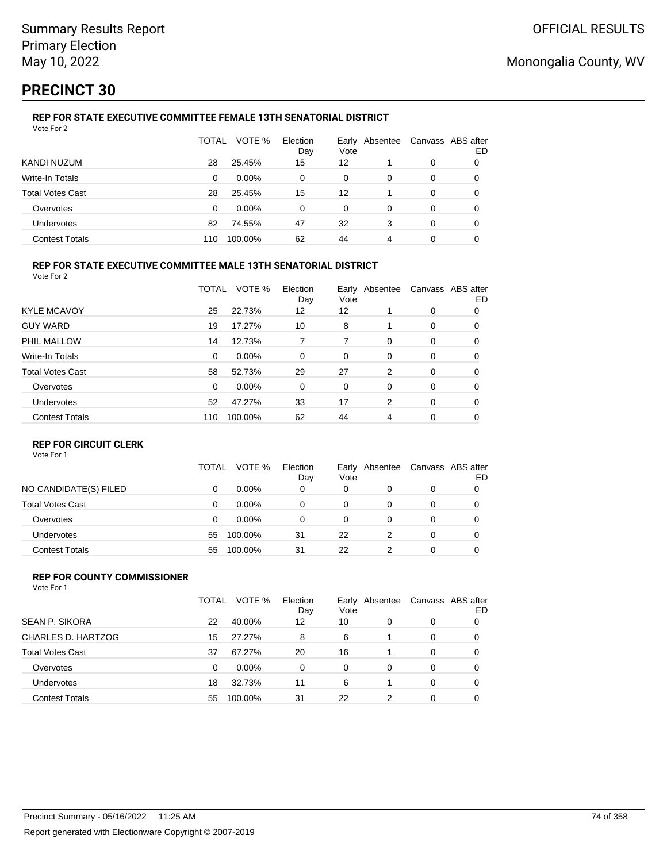# **PRECINCT 30**

#### **REP FOR STATE EXECUTIVE COMMITTEE FEMALE 13TH SENATORIAL DISTRICT** Vote For 2

|                         | TOTAL | VOTE %   | Election<br>Day | Vote | Early Absentee | Canvass ABS after | ED |
|-------------------------|-------|----------|-----------------|------|----------------|-------------------|----|
| KANDI NUZUM             | 28    | 25.45%   | 15              | 12   |                | 0                 |    |
| Write-In Totals         | 0     | $0.00\%$ | 0               | 0    | 0              | 0                 |    |
| <b>Total Votes Cast</b> | 28    | 25.45%   | 15              | 12   |                | 0                 |    |
| Overvotes               | 0     | $0.00\%$ | 0               | 0    | 0              | 0                 | O  |
| Undervotes              | 82    | 74.55%   | 47              | 32   | 3              | 0                 | 0  |
| <b>Contest Totals</b>   | 110   | 100.00%  | 62              | 44   | 4              | 0                 |    |

## **REP FOR STATE EXECUTIVE COMMITTEE MALE 13TH SENATORIAL DISTRICT**

Vote For 2

|                         | TOTAL    | VOTE %   | Election<br>Day | Vote | Early Absentee |          | Canvass ABS after<br>ED |
|-------------------------|----------|----------|-----------------|------|----------------|----------|-------------------------|
| <b>KYLE MCAVOY</b>      | 25       | 22.73%   | 12              | 12   |                | 0        | 0                       |
| <b>GUY WARD</b>         | 19       | 17.27%   | 10              | 8    |                | 0        | 0                       |
| PHIL MALLOW             | 14       | 12.73%   | 7               | 7    | $\Omega$       | 0        | 0                       |
| Write-In Totals         | $\Omega$ | $0.00\%$ | 0               | 0    | 0              | 0        | 0                       |
| <b>Total Votes Cast</b> | 58       | 52.73%   | 29              | 27   | 2              | 0        | 0                       |
| Overvotes               | $\Omega$ | $0.00\%$ | 0               | 0    | 0              | 0        | 0                       |
| Undervotes              | 52       | 47.27%   | 33              | 17   | 2              | $\Omega$ | 0                       |
| <b>Contest Totals</b>   | 110      | 100.00%  | 62              | 44   | 4              | 0        | 0                       |

## **REP FOR CIRCUIT CLERK**

Vote For 1

|                         | TOTAL | VOTE %   | Election<br>Day | Vote | Early Absentee | Canvass ABS after | ED |
|-------------------------|-------|----------|-----------------|------|----------------|-------------------|----|
| NO CANDIDATE(S) FILED   | 0     | $0.00\%$ | 0               | 0    | 0              | 0                 |    |
| <b>Total Votes Cast</b> | 0     | $0.00\%$ | 0               | 0    |                | 0                 |    |
| Overvotes               | 0     | $0.00\%$ | 0               | 0    |                | 0                 |    |
| <b>Undervotes</b>       | 55    | 100.00%  | 31              | 22   |                | 0                 |    |
| <b>Contest Totals</b>   | 55    | 100.00%  | 31              | 22   |                | 0                 |    |

#### **REP FOR COUNTY COMMISSIONER** Vote For 1

|                         | TOTAL | VOTE %   | Election<br>Day | Vote     | Early Absentee |          | Canvass ABS after<br>ED |
|-------------------------|-------|----------|-----------------|----------|----------------|----------|-------------------------|
| <b>SEAN P. SIKORA</b>   | 22    | 40.00%   | 12              | 10       | 0              | 0        |                         |
| CHARLES D. HARTZOG      | 15    | 27.27%   | 8               | 6        |                | 0        | 0                       |
| <b>Total Votes Cast</b> | 37    | 67.27%   | 20              | 16       |                | 0        | $\Omega$                |
| Overvotes               | 0     | $0.00\%$ | $\Omega$        | $\Omega$ | 0              | $\Omega$ | 0                       |
| <b>Undervotes</b>       | 18    | 32.73%   | 11              | 6        |                | $\Omega$ | 0                       |
| <b>Contest Totals</b>   | 55    | 100.00%  | 31              | 22       | 2              | $\Omega$ | 0                       |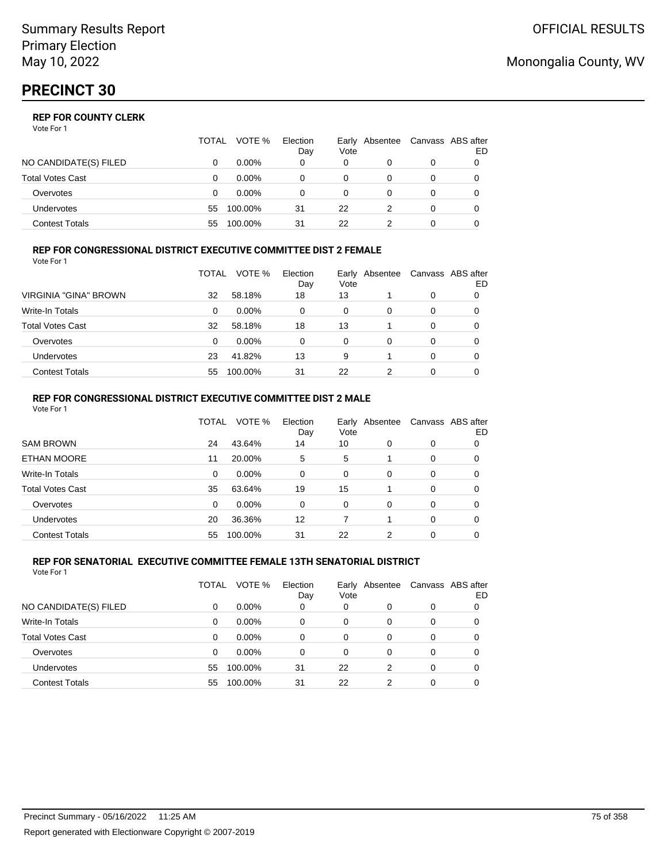|                       | TOTAL | VOTE %   | Election<br>Day | Vote | Early Absentee | Canvass ABS after | ED |
|-----------------------|-------|----------|-----------------|------|----------------|-------------------|----|
| NO CANDIDATE(S) FILED |       | $0.00\%$ | 0               | 0    |                | 0                 |    |
| Total Votes Cast      |       | $0.00\%$ |                 | 0    |                | 0                 |    |
| Overvotes             | 0     | $0.00\%$ |                 | 0    |                | 0                 |    |
| Undervotes            | 55    | 100.00%  | 31              | 22   |                | 0                 |    |
| Contest Totals        | 55    | 100.00%  | 31              | 22   |                |                   |    |

#### **REP FOR CONGRESSIONAL DISTRICT EXECUTIVE COMMITTEE DIST 2 FEMALE** Vote For 1

|                         | TOTAL | VOTE %   | Election<br>Day | Vote | Early Absentee | Canvass ABS after | ED |
|-------------------------|-------|----------|-----------------|------|----------------|-------------------|----|
| VIRGINIA "GINA" BROWN   | 32    | 58.18%   | 18              | 13   |                | 0                 | O  |
| <b>Write-In Totals</b>  | 0     | $0.00\%$ | 0               | 0    | 0              | 0                 | O  |
| <b>Total Votes Cast</b> | 32    | 58.18%   | 18              | 13   |                | 0                 | 0  |
| Overvotes               | 0     | $0.00\%$ | 0               | 0    | 0              | 0                 |    |
| <b>Undervotes</b>       | 23    | 41.82%   | 13              | 9    |                | 0                 |    |
| <b>Contest Totals</b>   | 55    | 100.00%  | 31              | 22   | 2              | 0                 |    |

#### **REP FOR CONGRESSIONAL DISTRICT EXECUTIVE COMMITTEE DIST 2 MALE** Vote For 1

|                         | TOTAL | VOTE %  | Election<br>Day | Vote     | Early Absentee |          | Canvass ABS after<br>ED. |
|-------------------------|-------|---------|-----------------|----------|----------------|----------|--------------------------|
| <b>SAM BROWN</b>        | 24    | 43.64%  | 14              | 10       | $\Omega$       | 0        | 0                        |
| <b>ETHAN MOORE</b>      | 11    | 20.00%  | 5               | 5        |                | $\Omega$ | 0                        |
| Write-In Totals         | 0     | 0.00%   | $\Omega$        | $\Omega$ | $\Omega$       | $\Omega$ | 0                        |
| <b>Total Votes Cast</b> | 35    | 63.64%  | 19              | 15       |                | $\Omega$ | 0                        |
| Overvotes               | 0     | 0.00%   | $\Omega$        | $\Omega$ | $\Omega$       | $\Omega$ | 0                        |
| Undervotes              | 20    | 36.36%  | 12              |          |                | $\Omega$ | 0                        |
| <b>Contest Totals</b>   | 55    | 100.00% | 31              | 22       | 2              | $\Omega$ | 0                        |

#### **REP FOR SENATORIAL EXECUTIVE COMMITTEE FEMALE 13TH SENATORIAL DISTRICT** Vote For 1

|                         | TOTAL | VOTE %   | Election<br>Day | Early<br>Vote | Absentee |   | Canvass ABS after<br>ED |
|-------------------------|-------|----------|-----------------|---------------|----------|---|-------------------------|
| NO CANDIDATE(S) FILED   | 0     | $0.00\%$ | 0               | 0             |          | 0 | 0                       |
| <b>Write-In Totals</b>  | 0     | $0.00\%$ | $\Omega$        | 0             | 0        | 0 | 0                       |
| <b>Total Votes Cast</b> | 0     | $0.00\%$ | 0               | 0             | 0        | 0 | 0                       |
| Overvotes               | 0     | $0.00\%$ | $\Omega$        | $\Omega$      | 0        | 0 | 0                       |
| <b>Undervotes</b>       | 55    | 100.00%  | 31              | 22            | 2        | 0 | 0                       |
| <b>Contest Totals</b>   | 55    | 100.00%  | 31              | 22            | 2        | 0 |                         |

## Monongalia County, WV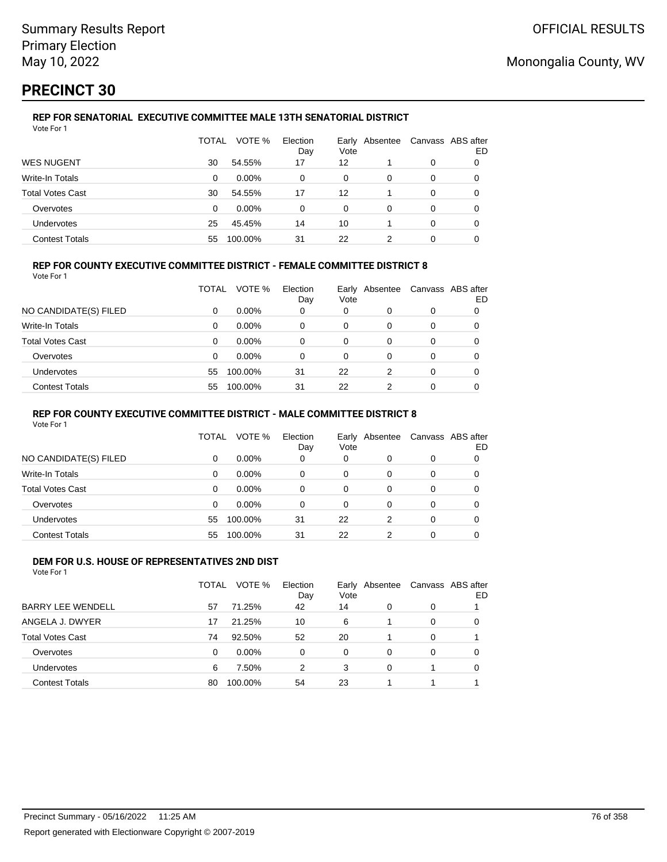# **PRECINCT 30**

#### **REP FOR SENATORIAL EXECUTIVE COMMITTEE MALE 13TH SENATORIAL DISTRICT** Vote For 1

|                         | TOTAL | VOTE %   | Election<br>Day | Vote | Early Absentee |   | Canvass ABS after<br>ED |
|-------------------------|-------|----------|-----------------|------|----------------|---|-------------------------|
| <b>WES NUGENT</b>       | 30    | 54.55%   | 17              | 12   |                | 0 |                         |
| Write-In Totals         | 0     | $0.00\%$ | 0               | 0    | 0              | 0 |                         |
| <b>Total Votes Cast</b> | 30    | 54.55%   | 17              | 12   |                | 0 |                         |
| Overvotes               | 0     | $0.00\%$ | 0               | 0    | 0              | 0 |                         |
| Undervotes              | 25    | 45.45%   | 14              | 10   |                | 0 |                         |
| <b>Contest Totals</b>   | 55    | 100.00%  | 31              | 22   |                | 0 |                         |

## **REP FOR COUNTY EXECUTIVE COMMITTEE DISTRICT - FEMALE COMMITTEE DISTRICT 8**

Vote For 1

|                         | TOTAL | VOTE %   | Election<br>Day | Vote | Early Absentee | Canvass ABS after | ED |
|-------------------------|-------|----------|-----------------|------|----------------|-------------------|----|
| NO CANDIDATE(S) FILED   | 0     | $0.00\%$ | 0               | 0    | 0              | 0                 |    |
| Write-In Totals         | 0     | $0.00\%$ | 0               | 0    | O              | 0                 |    |
| <b>Total Votes Cast</b> | 0     | $0.00\%$ | 0               | 0    | 0              | 0                 |    |
| Overvotes               | 0     | $0.00\%$ | 0               | 0    | 0              | 0                 |    |
| <b>Undervotes</b>       | 55    | 100.00%  | 31              | 22   | 2              | 0                 |    |
| <b>Contest Totals</b>   | 55    | 100.00%  | 31              | 22   |                | 0                 |    |

## **REP FOR COUNTY EXECUTIVE COMMITTEE DISTRICT - MALE COMMITTEE DISTRICT 8**

Vote For 1

|                       | <b>TOTAL</b> | VOTE %   | Election<br>Day | Vote | Early Absentee |          | Canvass ABS after<br>ED |
|-----------------------|--------------|----------|-----------------|------|----------------|----------|-------------------------|
| NO CANDIDATE(S) FILED | 0            | $0.00\%$ | $\Omega$        | 0    | 0              | 0        |                         |
| Write-In Totals       | $\Omega$     | $0.00\%$ | $\Omega$        | 0    | 0              | 0        | 0                       |
| Total Votes Cast      | 0            | $0.00\%$ | 0               | 0    | 0              | 0        |                         |
| Overvotes             | $\Omega$     | $0.00\%$ | $\Omega$        | 0    | $\Omega$       | $\Omega$ |                         |
| <b>Undervotes</b>     | 55           | 100.00%  | 31              | 22   | 2              | 0        | 0                       |
| <b>Contest Totals</b> | 55           | 100.00%  | 31              | 22   | 2              | 0        |                         |

#### **DEM FOR U.S. HOUSE OF REPRESENTATIVES 2ND DIST** Vote For 1

|                          | TOTAL | VOTE %   | Election<br>Day | Vote     | Early Absentee |          | Canvass ABS after<br>ED |
|--------------------------|-------|----------|-----------------|----------|----------------|----------|-------------------------|
| <b>BARRY LEE WENDELL</b> | 57    | 71.25%   | 42              | 14       | 0              | 0        |                         |
| ANGELA J. DWYER          | 17    | 21.25%   | 10              | 6        |                | $\Omega$ | 0                       |
| <b>Total Votes Cast</b>  | 74    | 92.50%   | 52              | 20       |                | $\Omega$ |                         |
| Overvotes                | 0     | $0.00\%$ | 0               | $\Omega$ | 0              | $\Omega$ | 0                       |
| Undervotes               | 6     | 7.50%    | 2               | 3        | $\Omega$       |          | 0                       |
| <b>Contest Totals</b>    | 80    | 100.00%  | 54              | 23       |                |          |                         |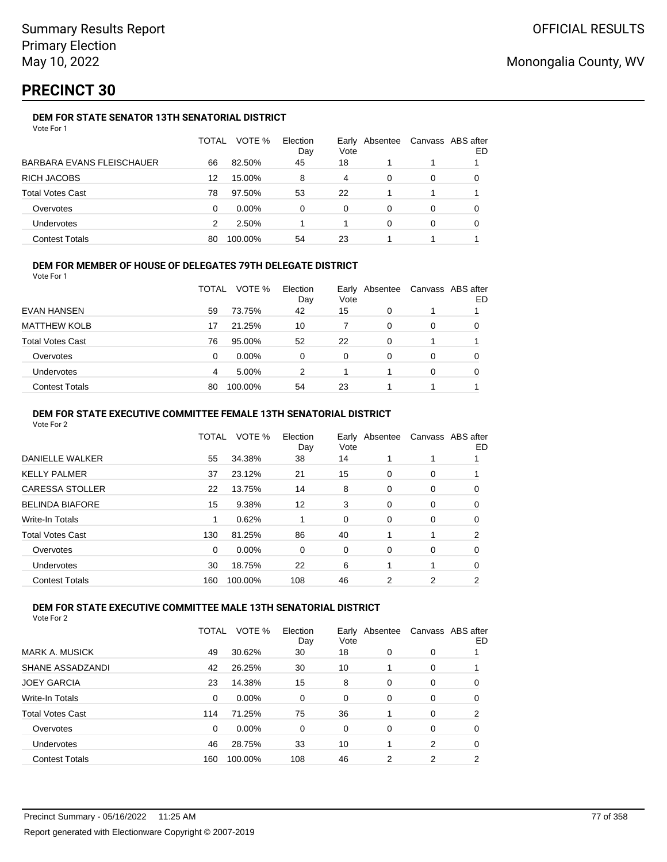# **PRECINCT 30**

## **DEM FOR STATE SENATOR 13TH SENATORIAL DISTRICT**

| Vote For 1 |  |
|------------|--|
|------------|--|

|                           | TOTAL | VOTE %   | Election<br>Day | Vote | Early Absentee | Canvass ABS after | ED |
|---------------------------|-------|----------|-----------------|------|----------------|-------------------|----|
| BARBARA EVANS FLEISCHAUER | 66    | 82.50%   | 45              | 18   |                |                   |    |
| RICH JACOBS               | 12    | 15.00%   | 8               | 4    | 0              | 0                 |    |
| Total Votes Cast          | 78    | 97.50%   | 53              | 22   |                |                   |    |
| Overvotes                 | 0     | $0.00\%$ | 0               | 0    | 0              | 0                 |    |
| Undervotes                | 2     | 2.50%    |                 |      | 0              | 0                 |    |
| Contest Totals            | 80    | 100.00%  | 54              | 23   |                |                   |    |

## **DEM FOR MEMBER OF HOUSE OF DELEGATES 79TH DELEGATE DISTRICT**

Vote For 1

|                         | TOTAL | VOTE %   | Election<br>Day | Vote     | Early Absentee | Canvass ABS after | ED |
|-------------------------|-------|----------|-----------------|----------|----------------|-------------------|----|
| EVAN HANSEN             | 59    | 73.75%   | 42              | 15       | 0              |                   |    |
| <b>MATTHEW KOLB</b>     | 17    | 21.25%   | 10              |          | 0              | 0                 |    |
| <b>Total Votes Cast</b> | 76    | 95.00%   | 52              | 22       | 0              |                   |    |
| Overvotes               | 0     | $0.00\%$ | 0               | $\Omega$ | 0              | 0                 |    |
| <b>Undervotes</b>       | 4     | 5.00%    | 2               |          |                | 0                 |    |
| <b>Contest Totals</b>   | 80    | 100.00%  | 54              | 23       |                |                   |    |

## **DEM FOR STATE EXECUTIVE COMMITTEE FEMALE 13TH SENATORIAL DISTRICT**

Vote For 2

|                        | TOTAL    | VOTE %  | Election<br>Day | Early Absentee<br>Vote |          | Canvass ABS after | ED |
|------------------------|----------|---------|-----------------|------------------------|----------|-------------------|----|
| DANIELLE WALKER        | 55       | 34.38%  | 38              | 14                     |          |                   |    |
| KELLY PALMER           | 37       | 23.12%  | 21              | 15                     | 0        | 0                 |    |
| <b>CARESSA STOLLER</b> | 22       | 13.75%  | 14              | 8                      | 0        | 0                 | 0  |
| <b>BELINDA BIAFORE</b> | 15       | 9.38%   | 12              | 3                      | 0        | 0                 | 0  |
| Write-In Totals        |          | 0.62%   |                 | 0                      | 0        | 0                 | 0  |
| Total Votes Cast       | 130      | 81.25%  | 86              | 40                     |          |                   | 2  |
| Overvotes              | $\Omega$ | 0.00%   | 0               | 0                      | $\Omega$ | 0                 | 0  |
| Undervotes             | 30       | 18.75%  | 22              | 6                      |          |                   | 0  |
| <b>Contest Totals</b>  | 160      | 100.00% | 108             | 46                     | 2        | 2                 | 2  |
|                        |          |         |                 |                        |          |                   |    |

## **DEM FOR STATE EXECUTIVE COMMITTEE MALE 13TH SENATORIAL DISTRICT**

|                         | TOTAL | VOTE %   | Election<br>Day | Vote | Early Absentee |   | Canvass ABS after<br>ED |
|-------------------------|-------|----------|-----------------|------|----------------|---|-------------------------|
| <b>MARK A. MUSICK</b>   | 49    | 30.62%   | 30              | 18   | 0              | 0 |                         |
| SHANE ASSADZANDI        | 42    | 26.25%   | 30              | 10   |                | 0 |                         |
| <b>JOEY GARCIA</b>      | 23    | 14.38%   | 15              | 8    | 0              | 0 | 0                       |
| Write-In Totals         | 0     | $0.00\%$ | 0               | 0    | 0              | 0 | 0                       |
| <b>Total Votes Cast</b> | 114   | 71.25%   | 75              | 36   |                | 0 | 2                       |
| Overvotes               | 0     | $0.00\%$ | 0               | 0    | 0              | 0 | 0                       |
| Undervotes              | 46    | 28.75%   | 33              | 10   |                | 2 | 0                       |
| <b>Contest Totals</b>   | 160   | 100.00%  | 108             | 46   | 2              | 2 | 2                       |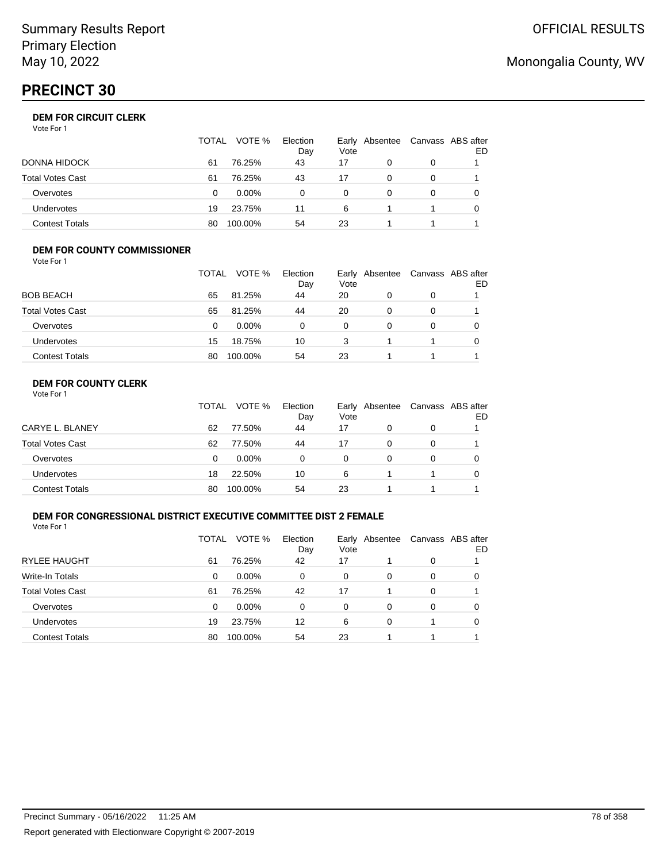# **PRECINCT 30**

|                       | TOTAL | VOTE %   | Election<br>Day | Vote | Early Absentee | Canvass ABS after | ED |
|-----------------------|-------|----------|-----------------|------|----------------|-------------------|----|
| DONNA HIDOCK          | 61    | 76.25%   | 43              | 17   | 0              | 0                 |    |
| Total Votes Cast      | 61    | 76.25%   | 43              | 17   |                | 0                 |    |
| Overvotes             | 0     | $0.00\%$ | 0               | 0    |                | 0                 |    |
| Undervotes            | 19    | 23.75%   | 11              | 6    |                |                   |    |
| <b>Contest Totals</b> | 80    | 100.00%  | 54              | 23   |                |                   |    |

#### **DEM FOR COUNTY COMMISSIONER** Vote For 1

|                         | TOTAL | VOTE %   | Election<br>Day | Vote | Early Absentee | Canvass ABS after | ED |
|-------------------------|-------|----------|-----------------|------|----------------|-------------------|----|
| <b>BOB BEACH</b>        | 65    | 81.25%   | 44              | 20   | 0              | 0                 |    |
| <b>Total Votes Cast</b> | 65    | 81.25%   | 44              | 20   | 0              | 0                 |    |
| Overvotes               | 0     | $0.00\%$ | 0               | 0    | 0              | 0                 |    |
| <b>Undervotes</b>       | 15    | 18.75%   | 10              | 3    |                |                   |    |
| <b>Contest Totals</b>   | 80    | 100.00%  | 54              | 23   |                |                   |    |

## **DEM FOR COUNTY CLERK**

|                         | TOTAL | VOTE %   | Election<br>Day | Vote | Early Absentee | Canvass ABS after | ED |
|-------------------------|-------|----------|-----------------|------|----------------|-------------------|----|
| CARYE L. BLANEY         | 62    | 77.50%   | 44              | 17   | 0              | 0                 |    |
| <b>Total Votes Cast</b> | 62    | 77.50%   | 44              | 17   | 0              | 0                 |    |
| Overvotes               | 0     | $0.00\%$ | 0               | 0    | 0              | 0                 |    |
| <b>Undervotes</b>       | 18    | 22.50%   | 10              | 6    |                |                   |    |
| <b>Contest Totals</b>   | 80    | 100.00%  | 54              | 23   |                |                   |    |

## **DEM FOR CONGRESSIONAL DISTRICT EXECUTIVE COMMITTEE DIST 2 FEMALE**

Vote For 1

|                         | TOTAL | VOTE %   | Election<br>Day | Vote | Early Absentee | Canvass ABS after | ED |
|-------------------------|-------|----------|-----------------|------|----------------|-------------------|----|
| <b>RYLEE HAUGHT</b>     | 61    | 76.25%   | 42              | 17   |                | 0                 |    |
| Write-In Totals         | 0     | $0.00\%$ | 0               | 0    | 0              | 0                 | O  |
| <b>Total Votes Cast</b> | 61    | 76.25%   | 42              | 17   |                | 0                 |    |
| Overvotes               | 0     | $0.00\%$ | 0               | 0    | 0              | 0                 | 0  |
| <b>Undervotes</b>       | 19    | 23.75%   | 12              | 6    | 0              |                   | 0  |
| <b>Contest Totals</b>   | 80    | 100.00%  | 54              | 23   |                |                   |    |

# Monongalia County, WV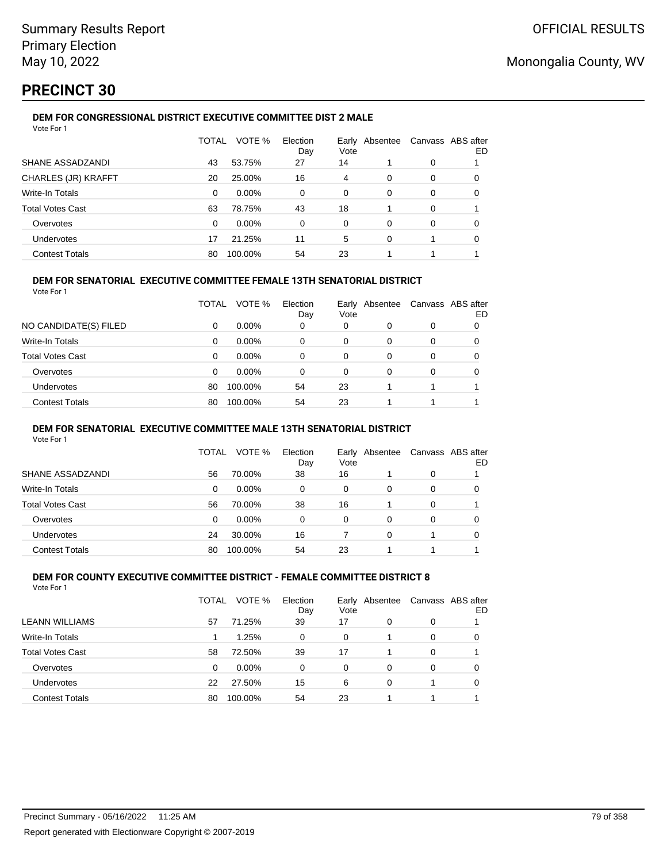# **PRECINCT 30**

#### **DEM FOR CONGRESSIONAL DISTRICT EXECUTIVE COMMITTEE DIST 2 MALE** Vote For 1

| 1 U U U                    |              |          |                 |          |                |   |                          |
|----------------------------|--------------|----------|-----------------|----------|----------------|---|--------------------------|
|                            | <b>TOTAL</b> | VOTE %   | Election<br>Day | Vote     | Early Absentee |   | Canvass ABS after<br>ED. |
| SHANE ASSADZANDI           | 43           | 53.75%   | 27              | 14       |                | 0 |                          |
| <b>CHARLES (JR) KRAFFT</b> | 20           | 25.00%   | 16              | 4        | 0              | 0 | 0                        |
| Write-In Totals            | $\Omega$     | $0.00\%$ | 0               | 0        | 0              | 0 | 0                        |
| <b>Total Votes Cast</b>    | 63           | 78.75%   | 43              | 18       |                | 0 |                          |
| Overvotes                  | $\Omega$     | 0.00%    | 0               | $\Omega$ | $\Omega$       | 0 | 0                        |
| <b>Undervotes</b>          | 17           | 21.25%   | 11              | 5        | 0              |   | 0                        |
| <b>Contest Totals</b>      | 80           | 100.00%  | 54              | 23       |                | 4 |                          |
|                            |              |          |                 |          |                |   |                          |

## **DEM FOR SENATORIAL EXECUTIVE COMMITTEE FEMALE 13TH SENATORIAL DISTRICT**

Vote For 1

|                         | TOTAL | VOTE %   | Election<br>Day | Vote | Early Absentee |          | Canvass ABS after<br>ED |
|-------------------------|-------|----------|-----------------|------|----------------|----------|-------------------------|
| NO CANDIDATE(S) FILED   | 0     | $0.00\%$ | 0               | 0    | 0              | 0        |                         |
| <b>Write-In Totals</b>  | 0     | $0.00\%$ | 0               | 0    | 0              | $\Omega$ | 0                       |
| <b>Total Votes Cast</b> | 0     | $0.00\%$ | 0               | 0    | 0              | 0        |                         |
| Overvotes               | 0     | $0.00\%$ | 0               | 0    | 0              | 0        |                         |
| Undervotes              | 80    | 100.00%  | 54              | 23   |                |          |                         |
| <b>Contest Totals</b>   | 80    | 100.00%  | 54              | 23   |                |          |                         |

### **DEM FOR SENATORIAL EXECUTIVE COMMITTEE MALE 13TH SENATORIAL DISTRICT**

Vote For 1

|                         | TOTAL | VOTE %   | Election<br>Day | Vote | Early Absentee | Canvass ABS after | ED |
|-------------------------|-------|----------|-----------------|------|----------------|-------------------|----|
| SHANE ASSADZANDI        | 56    | 70.00%   | 38              | 16   |                | 0                 |    |
| Write-In Totals         | 0     | $0.00\%$ | 0               | 0    | 0              | 0                 |    |
| <b>Total Votes Cast</b> | 56    | 70.00%   | 38              | 16   |                | 0                 |    |
| Overvotes               | 0     | $0.00\%$ | 0               | 0    | 0              | 0                 |    |
| Undervotes              | 24    | 30.00%   | 16              |      | 0              |                   |    |
| <b>Contest Totals</b>   | 80    | 100.00%  | 54              | 23   |                |                   |    |

#### **DEM FOR COUNTY EXECUTIVE COMMITTEE DISTRICT - FEMALE COMMITTEE DISTRICT 8** Vote For 1

|                         | TOTAL | VOTE %  | Election<br>Day | Vote | Early Absentee | Canvass ABS after | ED |
|-------------------------|-------|---------|-----------------|------|----------------|-------------------|----|
| <b>LEANN WILLIAMS</b>   | 57    | 71.25%  | 39              | 17   | 0              | 0                 |    |
| Write-In Totals         |       | 1.25%   | 0               | 0    |                | 0                 | 0  |
| <b>Total Votes Cast</b> | 58    | 72.50%  | 39              | 17   |                | 0                 |    |
| Overvotes               | 0     | 0.00%   | 0               | 0    | 0              | 0                 | 0  |
| Undervotes              | 22    | 27.50%  | 15              | 6    | 0              |                   | 0  |
| <b>Contest Totals</b>   | 80    | 100.00% | 54              | 23   |                | 1                 |    |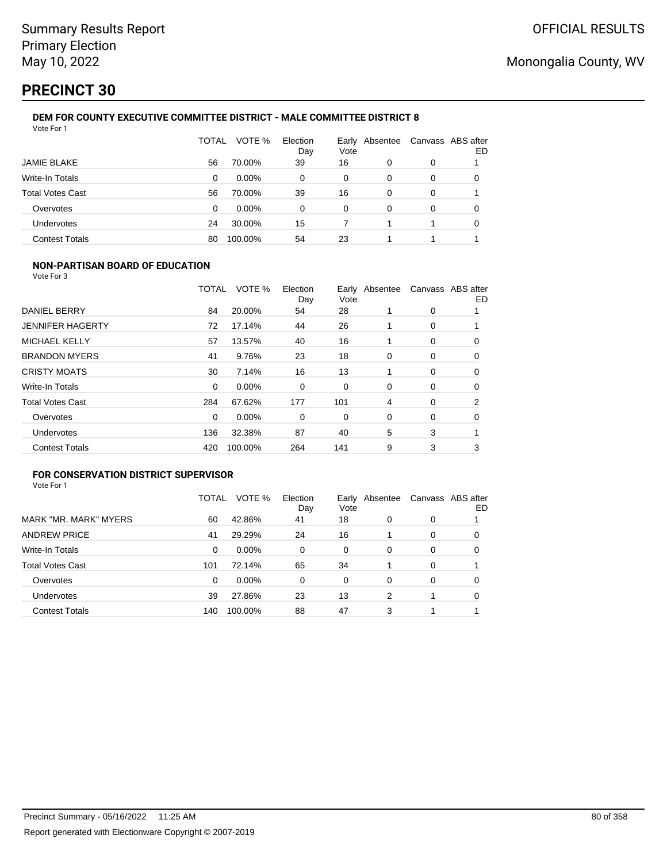# **PRECINCT 30**

#### **DEM FOR COUNTY EXECUTIVE COMMITTEE DISTRICT - MALE COMMITTEE DISTRICT 8** Vote For 1

|                         | TOTAL | VOTE %   | Election<br>Day | Vote     | Early Absentee | Canvass ABS after | ED |
|-------------------------|-------|----------|-----------------|----------|----------------|-------------------|----|
| JAMIE BLAKE             | 56    | 70.00%   | 39              | 16       | 0              | 0                 |    |
| Write-In Totals         | 0     | $0.00\%$ | 0               | 0        | 0              | 0                 | 0  |
| <b>Total Votes Cast</b> | 56    | 70.00%   | 39              | 16       | 0              | 0                 |    |
| Overvotes               | 0     | 0.00%    | 0               | $\Omega$ | 0              | 0                 |    |
| Undervotes              | 24    | 30.00%   | 15              |          |                |                   | 0  |
| <b>Contest Totals</b>   | 80    | 100.00%  | 54              | 23       |                |                   |    |

## **NON-PARTISAN BOARD OF EDUCATION**

Vote For 3

|                         | TOTAL    | VOTE %  | Election<br>Day | Vote | Early Absentee |             | Canvass ABS after<br>ED |
|-------------------------|----------|---------|-----------------|------|----------------|-------------|-------------------------|
| DANIEL BERRY            | 84       | 20.00%  | 54              | 28   |                | 0           |                         |
| <b>JENNIFER HAGERTY</b> | 72       | 17.14%  | 44              | 26   |                | 0           |                         |
| MICHAEL KELLY           | 57       | 13.57%  | 40              | 16   |                | 0           | 0                       |
| <b>BRANDON MYERS</b>    | 41       | 9.76%   | 23              | 18   | 0              | 0           | 0                       |
| <b>CRISTY MOATS</b>     | 30       | 7.14%   | 16              | 13   |                | $\mathbf 0$ | 0                       |
| <b>Write-In Totals</b>  | $\Omega$ | 0.00%   | 0               | 0    | $\Omega$       | 0           | 0                       |
| <b>Total Votes Cast</b> | 284      | 67.62%  | 177             | 101  | 4              | 0           | 2                       |
| Overvotes               | 0        | 0.00%   | 0               | 0    | 0              | 0           | 0                       |
| <b>Undervotes</b>       | 136      | 32.38%  | 87              | 40   | 5              | 3           |                         |
| <b>Contest Totals</b>   | 420      | 100.00% | 264             | 141  | 9              | 3           | 3                       |

## **FOR CONSERVATION DISTRICT SUPERVISOR**

|                         | TOTAL | VOTE %  | Election<br>Day | Vote | Early Absentee |          | Canvass ABS after<br>ED |
|-------------------------|-------|---------|-----------------|------|----------------|----------|-------------------------|
| MARK "MR. MARK" MYERS   | 60    | 42.86%  | 41              | 18   | 0              | 0        |                         |
| <b>ANDREW PRICE</b>     | 41    | 29.29%  | 24              | 16   |                | 0        | O                       |
| Write-In Totals         | 0     | 0.00%   | $\Omega$        | 0    | $\Omega$       | 0        | 0                       |
| <b>Total Votes Cast</b> | 101   | 72.14%  | 65              | 34   |                | 0        |                         |
| Overvotes               | 0     | 0.00%   | 0               | 0    | 0              | $\Omega$ | 0                       |
| <b>Undervotes</b>       | 39    | 27.86%  | 23              | 13   | 2              |          | 0                       |
| <b>Contest Totals</b>   | 140   | 100.00% | 88              | 47   | 3              |          |                         |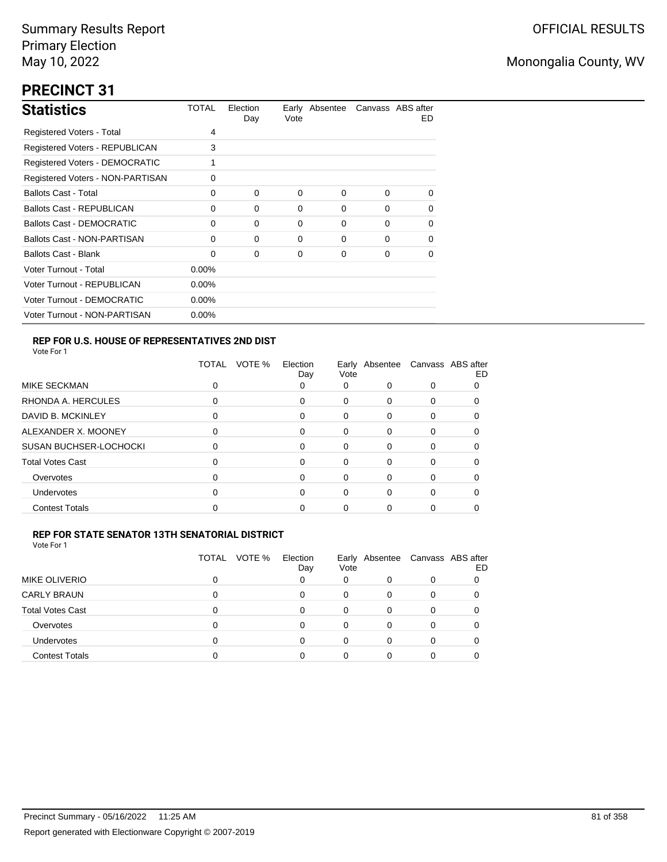# **PRECINCT 31**

| <b>Statistics</b>                     | TOTAL    | Election<br>Day | Vote | Early Absentee Canvass ABS after |          | ED. |
|---------------------------------------|----------|-----------------|------|----------------------------------|----------|-----|
| Registered Voters - Total             | 4        |                 |      |                                  |          |     |
| Registered Voters - REPUBLICAN        | 3        |                 |      |                                  |          |     |
| <b>Registered Voters - DEMOCRATIC</b> | 1        |                 |      |                                  |          |     |
| Registered Voters - NON-PARTISAN      | 0        |                 |      |                                  |          |     |
| <b>Ballots Cast - Total</b>           | 0        | $\Omega$        | 0    | $\Omega$                         | $\Omega$ | 0   |
| Ballots Cast - REPUBLICAN             | 0        | 0               | 0    | 0                                | $\Omega$ | 0   |
| Ballots Cast - DEMOCRATIC             | 0        | $\Omega$        | 0    | 0                                | $\Omega$ | 0   |
| Ballots Cast - NON-PARTISAN           | 0        | $\Omega$        | 0    | 0                                | $\Omega$ | 0   |
| <b>Ballots Cast - Blank</b>           | 0        | 0               | 0    | 0                                | $\Omega$ | 0   |
| Voter Turnout - Total                 | $0.00\%$ |                 |      |                                  |          |     |
| Voter Turnout - REPUBLICAN            | $0.00\%$ |                 |      |                                  |          |     |
| Voter Turnout - DEMOCRATIC            | $0.00\%$ |                 |      |                                  |          |     |
| Voter Turnout - NON-PARTISAN          | $0.00\%$ |                 |      |                                  |          |     |

## **REP FOR U.S. HOUSE OF REPRESENTATIVES 2ND DIST**

Vote For 1

|                               | VOTE %<br>TOTAL | Election<br>Day | Vote     |          | Early Absentee Canvass ABS after | ED |
|-------------------------------|-----------------|-----------------|----------|----------|----------------------------------|----|
| MIKE SECKMAN                  | ი               | 0               | 0        | 0        | 0                                |    |
| RHONDA A. HERCULES            | 0               | 0               | 0        | 0        | 0                                |    |
| DAVID B. MCKINLEY             | 0               | 0               | $\Omega$ | 0        | 0                                |    |
| ALEXANDER X. MOONEY           | 0               | 0               | 0        | 0        | 0                                |    |
| <b>SUSAN BUCHSER-LOCHOCKI</b> | ი               | 0               | 0        | 0        | 0                                |    |
| <b>Total Votes Cast</b>       | 0               | 0               | 0        | 0        | 0                                |    |
| Overvotes                     | ი               | 0               | 0        | $\Omega$ | 0                                |    |
| <b>Undervotes</b>             | ი               | 0               | 0        | 0        | 0                                |    |
| <b>Contest Totals</b>         | O               | ი               | 0        |          | Ω                                |    |

## **REP FOR STATE SENATOR 13TH SENATORIAL DISTRICT**

| Vote For 1 |  |  |  |
|------------|--|--|--|
|------------|--|--|--|

|                         | VOTE %<br>TOTAL | Election<br>Day | Vote |   | Early Absentee Canvass ABS after | ED |
|-------------------------|-----------------|-----------------|------|---|----------------------------------|----|
| <b>MIKE OLIVERIO</b>    |                 |                 | 0    |   |                                  |    |
| <b>CARLY BRAUN</b>      | 0               | 0               | 0    |   |                                  |    |
| <b>Total Votes Cast</b> | ŋ               | 0               | 0    | 0 |                                  |    |
| Overvotes               | O               | 0               |      |   |                                  |    |
| <b>Undervotes</b>       | O               | U               |      |   |                                  |    |
| <b>Contest Totals</b>   |                 |                 |      |   |                                  |    |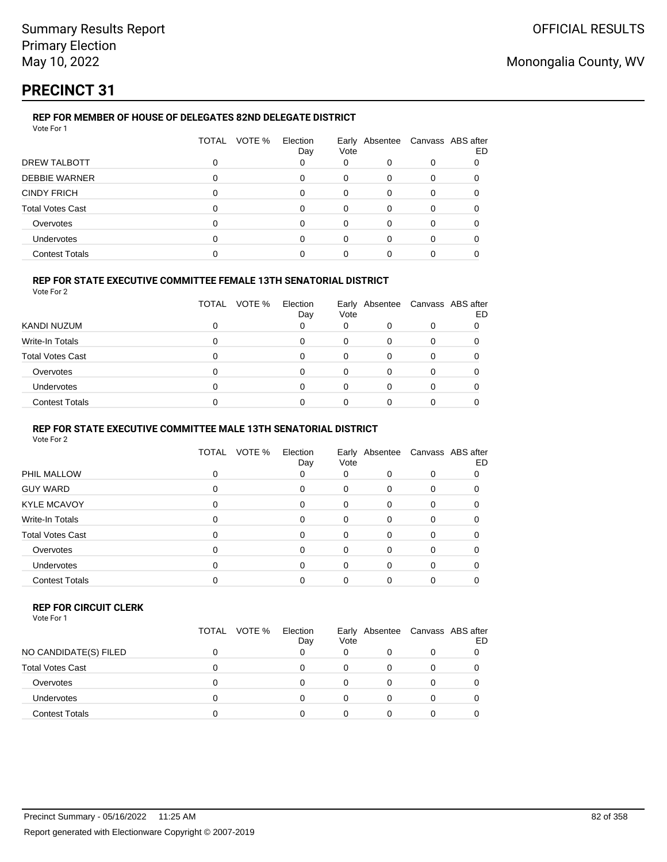# **PRECINCT 31**

## **REP FOR MEMBER OF HOUSE OF DELEGATES 82ND DELEGATE DISTRICT**

| VOTE %<br>TOTAL<br>Election<br>Early Absentee Canvass ABS after<br>Vote<br>Day<br>DREW TALBOTT<br>0<br>0<br>0<br>0<br>0 |    |
|-------------------------------------------------------------------------------------------------------------------------|----|
|                                                                                                                         | ED |
|                                                                                                                         |    |
| <b>DEBBIE WARNER</b><br>0<br>0<br>∩<br><sup>0</sup><br>$\Omega$                                                         |    |
| <b>CINDY FRICH</b><br>0<br>0<br>0<br>0<br>0                                                                             |    |
| <b>Total Votes Cast</b><br>0<br>0<br>0<br>0                                                                             |    |
| Overvotes<br>0<br>0<br>0<br>0                                                                                           |    |
| <b>Undervotes</b><br>0<br>0<br>0                                                                                        |    |
| <b>Contest Totals</b>                                                                                                   |    |

## **REP FOR STATE EXECUTIVE COMMITTEE FEMALE 13TH SENATORIAL DISTRICT**

Vote For 2

|                         | TOTAL | VOTE % | Election<br>Day | Vote | Early Absentee | Canvass ABS after | ED |
|-------------------------|-------|--------|-----------------|------|----------------|-------------------|----|
| KANDI NUZUM             |       |        |                 | 0    |                |                   |    |
| Write-In Totals         |       |        |                 |      |                |                   |    |
| <b>Total Votes Cast</b> |       |        |                 |      |                |                   |    |
| Overvotes               |       |        |                 |      |                |                   |    |
| <b>Undervotes</b>       |       |        |                 | 0    |                |                   |    |
| <b>Contest Totals</b>   |       |        |                 |      |                |                   |    |

### **REP FOR STATE EXECUTIVE COMMITTEE MALE 13TH SENATORIAL DISTRICT**

Vote For 2

|                         | VOTE %<br><b>TOTAL</b> | Election<br>Day | Vote     |          | Early Absentee Canvass ABS after | ED |
|-------------------------|------------------------|-----------------|----------|----------|----------------------------------|----|
| PHIL MALLOW             | 0                      | 0               | 0        | 0        | 0                                |    |
| <b>GUY WARD</b>         | 0                      | 0               | 0        | 0        | 0                                |    |
| <b>KYLE MCAVOY</b>      | 0                      | 0               | 0        | 0        | 0                                |    |
| <b>Write-In Totals</b>  | 0                      | 0               | $\Omega$ | 0        | 0                                |    |
| <b>Total Votes Cast</b> | 0                      | $\Omega$        | $\Omega$ | $\Omega$ | 0                                |    |
| Overvotes               | ŋ                      | 0               | $\Omega$ | 0        | 0                                |    |
| <b>Undervotes</b>       | O                      | 0               | $\Omega$ | 0        | 0                                |    |
| <b>Contest Totals</b>   |                        | 0               | 0        | 0        | 0                                |    |
|                         |                        |                 |          |          |                                  |    |

#### **REP FOR CIRCUIT CLERK**

|                         | TOTAL VOTE % | Election<br>Day | Vote | Early Absentee Canvass ABS after | ED |
|-------------------------|--------------|-----------------|------|----------------------------------|----|
| NO CANDIDATE(S) FILED   |              |                 | 0    |                                  |    |
| <b>Total Votes Cast</b> |              |                 | O    |                                  |    |
| Overvotes               |              |                 | O    |                                  |    |
| <b>Undervotes</b>       |              |                 | 0    |                                  |    |
| Contest Totals          |              |                 | ი    |                                  |    |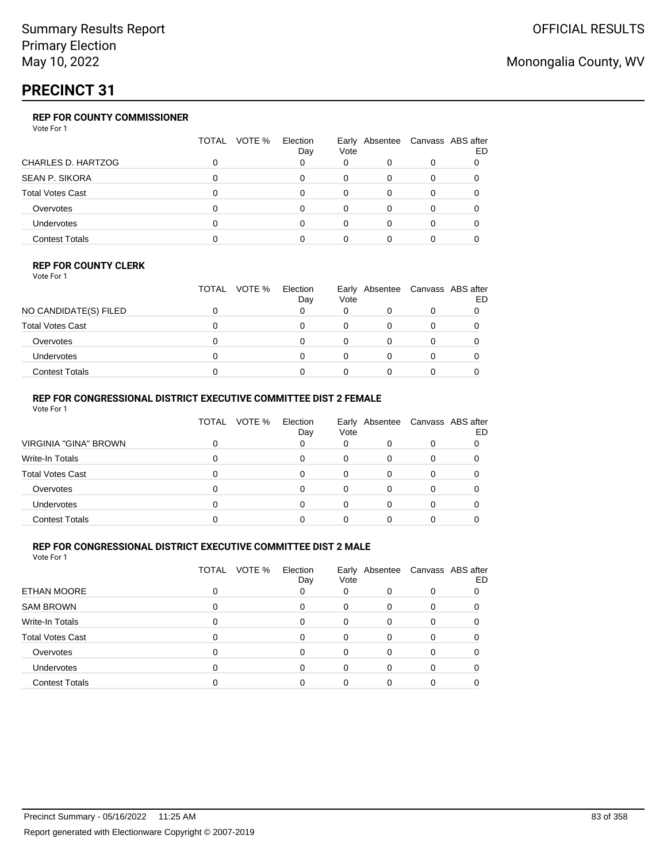# **PRECINCT 31**

## **REP FOR COUNTY COMMISSIONER**

Vote For 1

|                         | TOTAL<br>VOTE % | Election<br>Day | Vote | Early Absentee Canvass ABS after | ED |
|-------------------------|-----------------|-----------------|------|----------------------------------|----|
| CHARLES D. HARTZOG      |                 |                 | 0    |                                  |    |
| <b>SEAN P. SIKORA</b>   |                 |                 |      |                                  |    |
| <b>Total Votes Cast</b> |                 |                 |      |                                  |    |
| Overvotes               |                 |                 | 0    |                                  |    |
| Undervotes              |                 |                 |      |                                  |    |
| <b>Contest Totals</b>   |                 |                 |      |                                  |    |

### **REP FOR COUNTY CLERK**

Vote For 1

|                         | TOTAL | VOTE % | Election<br>Day | Vote | Early Absentee Canvass ABS after | ED |
|-------------------------|-------|--------|-----------------|------|----------------------------------|----|
| NO CANDIDATE(S) FILED   |       |        |                 |      |                                  |    |
| <b>Total Votes Cast</b> |       |        |                 |      |                                  |    |
| Overvotes               |       |        |                 |      |                                  |    |
| <b>Undervotes</b>       |       |        |                 |      |                                  |    |
| <b>Contest Totals</b>   |       |        |                 |      |                                  |    |

## **REP FOR CONGRESSIONAL DISTRICT EXECUTIVE COMMITTEE DIST 2 FEMALE**

| Vote For 1              |       |        |                 |          |                                  |   |    |
|-------------------------|-------|--------|-----------------|----------|----------------------------------|---|----|
|                         | TOTAL | VOTE % | Election<br>Day | Vote     | Early Absentee Canvass ABS after |   | ED |
| VIRGINIA "GINA" BROWN   |       |        | 0               | 0        |                                  | 0 |    |
| Write-In Totals         | 0     |        | 0               | $\Omega$ | $\Omega$                         | O |    |
| <b>Total Votes Cast</b> | 0     |        | 0               | $\Omega$ | $\Omega$                         | 0 |    |
| Overvotes               | 0     |        | 0               | 0        | 0                                | 0 |    |
| <b>Undervotes</b>       | O     |        | 0               | 0        | 0                                | O |    |
| <b>Contest Totals</b>   |       |        |                 |          |                                  |   |    |

## **REP FOR CONGRESSIONAL DISTRICT EXECUTIVE COMMITTEE DIST 2 MALE**

|                         | TOTAL VOTE % | Election<br>Day | Vote |          | Early Absentee Canvass ABS after | ED |
|-------------------------|--------------|-----------------|------|----------|----------------------------------|----|
| <b>ETHAN MOORE</b>      |              | 0               | 0    | 0        | 0                                |    |
| <b>SAM BROWN</b>        |              | 0               | 0    | 0        | 0                                |    |
| Write-In Totals         |              | 0               | 0    | $\Omega$ |                                  |    |
| <b>Total Votes Cast</b> |              | 0               | 0    | 0        |                                  |    |
| Overvotes               |              | 0               | 0    | 0        | 0                                |    |
| <b>Undervotes</b>       |              | 0               | 0    | 0        |                                  |    |
| <b>Contest Totals</b>   |              | o               | 0    | 0        |                                  |    |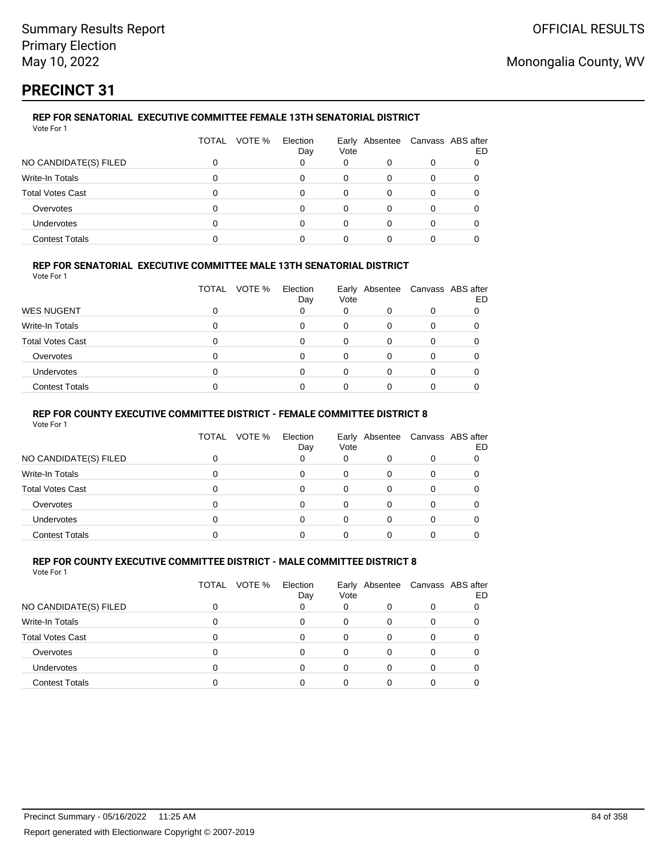# **PRECINCT 31**

## **REP FOR SENATORIAL EXECUTIVE COMMITTEE FEMALE 13TH SENATORIAL DISTRICT**

| Vote For 1 |  |  |  |
|------------|--|--|--|

|                         | TOTAL VOTE % | Election<br>Day | Vote |          | Early Absentee Canvass ABS after | ED |
|-------------------------|--------------|-----------------|------|----------|----------------------------------|----|
| NO CANDIDATE(S) FILED   |              |                 | 0    |          |                                  |    |
| Write-In Totals         |              | o               | 0    |          |                                  |    |
| <b>Total Votes Cast</b> |              | ი               | 0    |          |                                  |    |
| Overvotes               |              | U               | 0    | $\Omega$ |                                  |    |
| <b>Undervotes</b>       |              |                 | ი    |          |                                  |    |
| <b>Contest Totals</b>   |              |                 |      |          |                                  |    |

## **REP FOR SENATORIAL EXECUTIVE COMMITTEE MALE 13TH SENATORIAL DISTRICT**

Vote For 1

|                         | VOTE %<br>TOTAL | Election<br>Day | Vote | Early Absentee Canvass ABS after | ED |
|-------------------------|-----------------|-----------------|------|----------------------------------|----|
| <b>WES NUGENT</b>       |                 |                 | 0    | 0                                |    |
| Write-In Totals         |                 |                 | 0    | 0                                |    |
| <b>Total Votes Cast</b> |                 | 0               |      |                                  |    |
| Overvotes               |                 | O               |      |                                  |    |
| Undervotes              |                 |                 |      |                                  |    |
| <b>Contest Totals</b>   |                 |                 |      |                                  |    |

## **REP FOR COUNTY EXECUTIVE COMMITTEE DISTRICT - FEMALE COMMITTEE DISTRICT 8**

Vote For 1

|                       | TOTAL | VOTE % | Election<br>Day | Vote | Early Absentee Canvass ABS after | ED |
|-----------------------|-------|--------|-----------------|------|----------------------------------|----|
| NO CANDIDATE(S) FILED |       |        | 0               | 0    |                                  |    |
| Write-In Totals       |       |        | 0               | 0    |                                  |    |
| Total Votes Cast      |       |        | 0               | 0    |                                  |    |
| Overvotes             | O     |        | 0               | 0    |                                  |    |
| <b>Undervotes</b>     |       |        | 0               |      |                                  |    |
| <b>Contest Totals</b> |       |        |                 |      |                                  |    |

#### **REP FOR COUNTY EXECUTIVE COMMITTEE DISTRICT - MALE COMMITTEE DISTRICT 8** Vote For 1

|                         | TOTAL VOTE % | Election<br>Day | Vote | Early Absentee Canvass ABS after |   | ED |
|-------------------------|--------------|-----------------|------|----------------------------------|---|----|
| NO CANDIDATE(S) FILED   |              |                 | 0    |                                  |   |    |
| Write-In Totals         |              | 0               | 0    | 0                                | O |    |
| <b>Total Votes Cast</b> |              |                 | 0    | 0                                |   |    |
| Overvotes               |              |                 |      | 0                                |   |    |
| <b>Undervotes</b>       |              |                 |      |                                  |   |    |
| <b>Contest Totals</b>   |              |                 |      |                                  |   |    |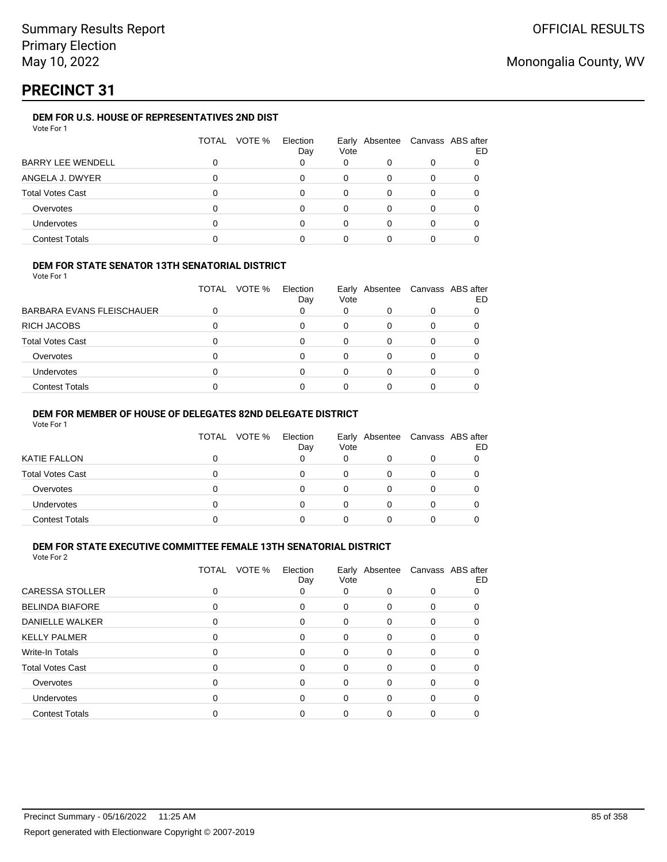# **PRECINCT 31**

## **DEM FOR U.S. HOUSE OF REPRESENTATIVES 2ND DIST**

| Vote For 1 |  |
|------------|--|
|------------|--|

|                          | VOTE %<br>TOTAL | Election<br>Day | Vote | Early Absentee Canvass ABS after |   | ED |
|--------------------------|-----------------|-----------------|------|----------------------------------|---|----|
| <b>BARRY LEE WENDELL</b> |                 | 0               | 0    |                                  |   |    |
| ANGELA J. DWYER          |                 | 0               | 0    | 0                                |   |    |
| <b>Total Votes Cast</b>  |                 | 0               | 0    | 0                                | 0 |    |
| Overvotes                |                 | 0               | 0    | 0                                |   |    |
| <b>Undervotes</b>        |                 | U               | 0    | 0                                |   |    |
| <b>Contest Totals</b>    |                 |                 |      |                                  |   |    |

## **DEM FOR STATE SENATOR 13TH SENATORIAL DISTRICT**

Vote For 1

|                           | TOTAL | VOTE % | Election<br>Day | Vote         | Early Absentee | Canvass ABS after | ED |
|---------------------------|-------|--------|-----------------|--------------|----------------|-------------------|----|
| BARBARA EVANS FLEISCHAUER |       |        |                 |              |                |                   |    |
| RICH JACOBS               |       |        |                 | <sup>0</sup> |                |                   |    |
| Total Votes Cast          |       |        |                 |              |                |                   |    |
| Overvotes                 |       |        | 0               | <sup>0</sup> |                |                   |    |
| <b>Undervotes</b>         |       |        |                 |              |                |                   |    |
| <b>Contest Totals</b>     |       |        |                 |              |                |                   |    |

## **DEM FOR MEMBER OF HOUSE OF DELEGATES 82ND DELEGATE DISTRICT**

Vote For 1

|                       | TOTAL | VOTE % | Election<br>Day | Vote | Early Absentee Canvass ABS after | ED |
|-----------------------|-------|--------|-----------------|------|----------------------------------|----|
| KATIE FALLON          |       |        |                 |      |                                  |    |
| Total Votes Cast      |       |        |                 | 0    |                                  |    |
| Overvotes             |       |        |                 | 0    |                                  |    |
| <b>Undervotes</b>     |       |        |                 |      |                                  |    |
| <b>Contest Totals</b> |       |        |                 |      |                                  |    |

## **DEM FOR STATE EXECUTIVE COMMITTEE FEMALE 13TH SENATORIAL DISTRICT**

|                         | VOTE %<br>TOTAL | Election<br>Day | Vote     | Early Absentee Canvass ABS after |          | ED |
|-------------------------|-----------------|-----------------|----------|----------------------------------|----------|----|
| <b>CARESSA STOLLER</b>  | 0               | 0               | 0        | 0                                | 0        | 0  |
| <b>BELINDA BIAFORE</b>  | 0               | $\Omega$        | 0        | $\Omega$                         | 0        |    |
| <b>DANIELLE WALKER</b>  | 0               | $\Omega$        | 0        | 0                                | 0        |    |
| <b>KELLY PALMER</b>     | 0               | 0               | $\Omega$ | 0                                | 0        | 0  |
| <b>Write-In Totals</b>  | 0               | 0               | 0        | 0                                | 0        |    |
| <b>Total Votes Cast</b> | 0               | $\Omega$        | 0        | 0                                | 0        |    |
| Overvotes               | 0               | $\Omega$        | 0        | 0                                | 0        | 0  |
| Undervotes              | $\Omega$        | $\Omega$        | 0        | $\Omega$                         | $\Omega$ | 0  |
| <b>Contest Totals</b>   |                 | $\Omega$        | 0        | 0                                | 0        |    |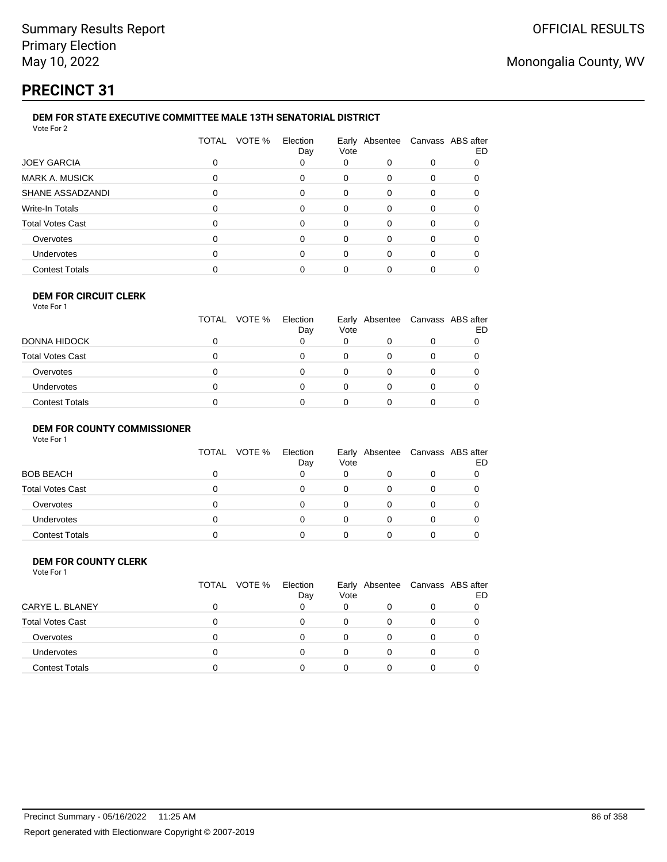# **PRECINCT 31**

#### **DEM FOR STATE EXECUTIVE COMMITTEE MALE 13TH SENATORIAL DISTRICT** Vote For 2

| VULCIUI <i>L</i>        |                        |                 |      |   |                                  |    |
|-------------------------|------------------------|-----------------|------|---|----------------------------------|----|
|                         | VOTE %<br><b>TOTAL</b> | Election<br>Day | Vote |   | Early Absentee Canvass ABS after | ED |
| <b>JOEY GARCIA</b>      | 0                      | 0               | 0    | 0 | 0                                |    |
| <b>MARK A. MUSICK</b>   | 0                      | 0               | 0    | 0 | 0                                |    |
| SHANE ASSADZANDI        | 0                      | 0               | 0    | 0 | 0                                |    |
| Write-In Totals         | 0                      | 0               | 0    | 0 | 0                                |    |
| <b>Total Votes Cast</b> | 0                      | 0               | 0    | 0 | 0                                |    |
| Overvotes               | 0                      | 0               | 0    | 0 | 0                                |    |
| <b>Undervotes</b>       | 0                      | 0               | 0    | 0 | 0                                | O  |
| <b>Contest Totals</b>   |                        |                 | 0    | 0 | 0                                |    |
|                         |                        |                 |      |   |                                  |    |

#### **DEM FOR CIRCUIT CLERK** Vote For 1

|                         | TOTAL VOTE % | Election<br>Day | Vote |  | Early Absentee Canvass ABS after<br>ED |
|-------------------------|--------------|-----------------|------|--|----------------------------------------|
| DONNA HIDOCK            |              |                 | 0    |  |                                        |
| <b>Total Votes Cast</b> |              | 0               | 0    |  |                                        |
| Overvotes               |              | 0               | 0    |  |                                        |
| <b>Undervotes</b>       |              | U               | 0    |  |                                        |
| <b>Contest Totals</b>   |              |                 |      |  |                                        |

### **DEM FOR COUNTY COMMISSIONER**

| Vote For 1 |  |  |
|------------|--|--|
|            |  |  |

|                         | TOTAL VOTE % | Election<br>Day | Vote | Early Absentee Canvass ABS after | ED |
|-------------------------|--------------|-----------------|------|----------------------------------|----|
| <b>BOB BEACH</b>        |              |                 | 0    |                                  |    |
| <b>Total Votes Cast</b> |              |                 | 0    |                                  |    |
| Overvotes               |              |                 | O    |                                  |    |
| <b>Undervotes</b>       |              |                 | 0    |                                  |    |
| <b>Contest Totals</b>   |              |                 |      |                                  |    |

#### **DEM FOR COUNTY CLERK** Vote For 1

|                         | TOTAL VOTE % | Election<br>Day | Vote | Early Absentee Canvass ABS after | ED |
|-------------------------|--------------|-----------------|------|----------------------------------|----|
| CARYE L. BLANEY         |              |                 | 0    | 0                                |    |
| <b>Total Votes Cast</b> |              | n               | 0    |                                  |    |
| Overvotes               |              | 0               | 0    | 0                                |    |
| <b>Undervotes</b>       |              | 0               | 0    | 0                                |    |
| <b>Contest Totals</b>   |              | n               | 0    |                                  |    |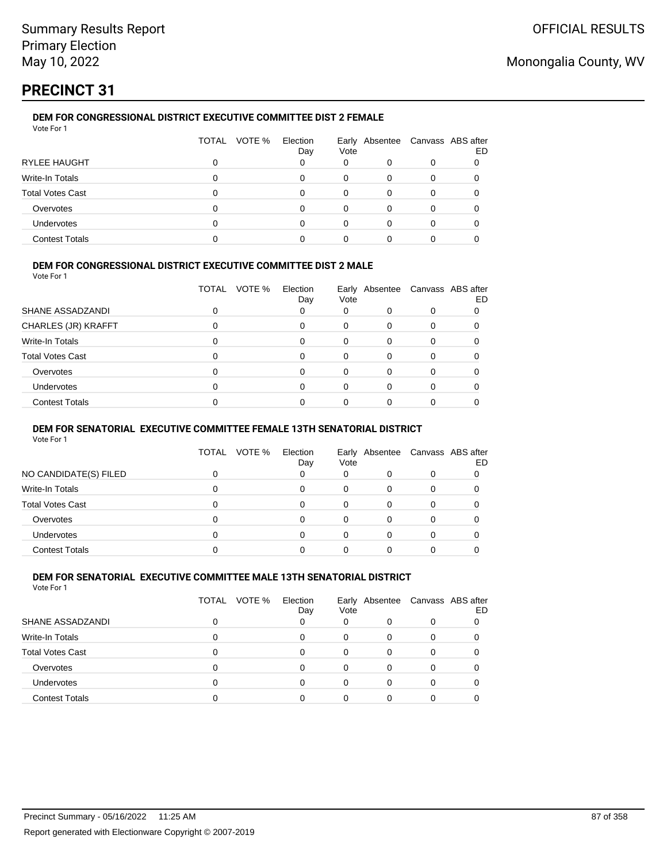# **PRECINCT 31**

## **DEM FOR CONGRESSIONAL DISTRICT EXECUTIVE COMMITTEE DIST 2 FEMALE**

| Vote For 1              |       |        |                 |      |                                  |   |    |
|-------------------------|-------|--------|-----------------|------|----------------------------------|---|----|
|                         | TOTAL | VOTE % | Election<br>Day | Vote | Early Absentee Canvass ABS after |   | ED |
| RYLEE HAUGHT            |       |        | 0               | 0    | 0                                | 0 |    |
| Write-In Totals         |       |        | 0               | 0    | 0                                |   |    |
| <b>Total Votes Cast</b> |       |        | 0               | 0    | 0                                |   |    |
| Overvotes               |       |        | 0               | 0    | 0                                | 0 |    |
| <b>Undervotes</b>       |       |        | 0               | 0    | 0                                |   |    |
| <b>Contest Totals</b>   |       |        |                 | 0    |                                  |   |    |

## **DEM FOR CONGRESSIONAL DISTRICT EXECUTIVE COMMITTEE DIST 2 MALE**

Vote For 1

|                         | <b>TOTAL</b><br>VOTE % | Election<br>Day | Vote     | Early Absentee | Canvass ABS after | ED |
|-------------------------|------------------------|-----------------|----------|----------------|-------------------|----|
| SHANE ASSADZANDI        |                        |                 | 0        | 0              | 0                 |    |
| CHARLES (JR) KRAFFT     |                        | 0               | 0        | $\Omega$       | $\Omega$          |    |
| Write-In Totals         |                        | 0               | $\Omega$ | 0              | $\Omega$          |    |
| <b>Total Votes Cast</b> |                        | $\Omega$        | 0        | $\Omega$       | 0                 |    |
| Overvotes               |                        | $\Omega$        | 0        | 0              | $\Omega$          |    |
| <b>Undervotes</b>       |                        | $\Omega$        | $\Omega$ | $\Omega$       | $\Omega$          |    |
| <b>Contest Totals</b>   |                        |                 |          | $\Omega$       |                   |    |

## **DEM FOR SENATORIAL EXECUTIVE COMMITTEE FEMALE 13TH SENATORIAL DISTRICT**

Vote For 1

|                       | TOTAL<br>VOTE % | Election<br>Day | Vote | Early Absentee Canvass ABS after | ED |
|-----------------------|-----------------|-----------------|------|----------------------------------|----|
| NO CANDIDATE(S) FILED |                 |                 | 0    |                                  |    |
| Write-In Totals       |                 |                 | 0    |                                  |    |
| Total Votes Cast      |                 |                 |      |                                  |    |
| Overvotes             |                 |                 | 0    |                                  |    |
| <b>Undervotes</b>     |                 |                 |      |                                  |    |
| <b>Contest Totals</b> |                 |                 |      |                                  |    |

## **DEM FOR SENATORIAL EXECUTIVE COMMITTEE MALE 13TH SENATORIAL DISTRICT**

|                         | TOTAL<br>VOTE % | Election<br>Day | Vote | Early Absentee Canvass ABS after | ED |
|-------------------------|-----------------|-----------------|------|----------------------------------|----|
| SHANE ASSADZANDI        |                 |                 | 0    |                                  |    |
| Write-In Totals         | 0               | 0               | 0    |                                  |    |
| <b>Total Votes Cast</b> | 0               | 0               | 0    |                                  |    |
| Overvotes               | 0               | 0               |      |                                  |    |
| <b>Undervotes</b>       | 0               | 0               |      |                                  |    |
| <b>Contest Totals</b>   |                 |                 |      |                                  |    |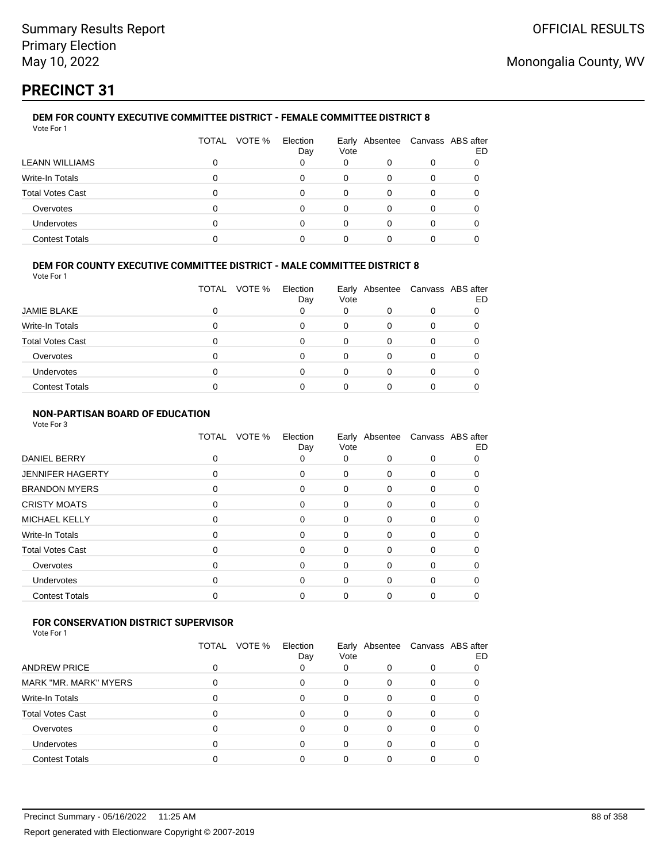# **PRECINCT 31**

#### **DEM FOR COUNTY EXECUTIVE COMMITTEE DISTRICT - FEMALE COMMITTEE DISTRICT 8** Vote For 1

|                         | TOTAL VOTE % | Election<br>Day | Vote     | Early Absentee Canvass ABS after | ED |
|-------------------------|--------------|-----------------|----------|----------------------------------|----|
| LEANN WILLIAMS          |              | 0               | 0        |                                  |    |
| Write-In Totals         |              | n               | $\Omega$ |                                  |    |
| <b>Total Votes Cast</b> |              | 0               | 0        |                                  |    |
| Overvotes               |              | o               | 0        |                                  |    |
| <b>Undervotes</b>       |              | U               | 0        |                                  |    |
| <b>Contest Totals</b>   |              |                 |          |                                  |    |

## **DEM FOR COUNTY EXECUTIVE COMMITTEE DISTRICT - MALE COMMITTEE DISTRICT 8**

Vote For 1

|                         | <b>TOTAL</b><br>VOTE % | Election<br>Day | Vote | Early Absentee Canvass ABS after | ED |
|-------------------------|------------------------|-----------------|------|----------------------------------|----|
| <b>JAMIE BLAKE</b>      |                        |                 |      |                                  |    |
| Write-In Totals         |                        |                 | 0    |                                  |    |
| <b>Total Votes Cast</b> |                        |                 | 0    |                                  |    |
| Overvotes               |                        |                 | 0    |                                  |    |
| <b>Undervotes</b>       |                        |                 | Ω    |                                  |    |
| <b>Contest Totals</b>   |                        |                 |      |                                  |    |

## **NON-PARTISAN BOARD OF EDUCATION**

Vote For 3

|                         | VOTE %<br>TOTAL | Election<br>Day | Vote |          | Early Absentee Canvass ABS after | ED |
|-------------------------|-----------------|-----------------|------|----------|----------------------------------|----|
| DANIEL BERRY            | 0               | 0               | 0    | 0        | 0                                |    |
| <b>JENNIFER HAGERTY</b> | 0               | 0               | 0    | 0        | 0                                |    |
| <b>BRANDON MYERS</b>    | 0               | 0               | 0    | 0        | 0                                | O  |
| <b>CRISTY MOATS</b>     | 0               | 0               | 0    | 0        | 0                                |    |
| MICHAEL KELLY           | 0               | 0               | 0    | $\Omega$ | 0                                | 0  |
| Write-In Totals         | 0               | 0               | 0    | 0        | 0                                | 0  |
| <b>Total Votes Cast</b> | 0               | $\Omega$        | 0    | 0        | 0                                |    |
| Overvotes               | 0               | 0               | 0    | $\Omega$ | 0                                |    |
| Undervotes              | 0               | 0               | 0    | 0        | 0                                | 0  |
| <b>Contest Totals</b>   |                 |                 | 0    | ი        | 0                                |    |
|                         |                 |                 |      |          |                                  |    |

## **FOR CONSERVATION DISTRICT SUPERVISOR**

|                              | <b>TOTAL</b><br>VOTE % | Election<br>Day | Vote |          | Early Absentee Canvass ABS after | ED |
|------------------------------|------------------------|-----------------|------|----------|----------------------------------|----|
| <b>ANDREW PRICE</b>          |                        | 0               | 0    |          |                                  |    |
| <b>MARK "MR. MARK" MYERS</b> |                        | 0               | 0    | 0        |                                  |    |
| Write-In Totals              | 0                      | 0               | 0    | $\Omega$ | 0                                |    |
| <b>Total Votes Cast</b>      |                        | 0               | 0    |          |                                  |    |
| Overvotes                    | 0                      | 0               | 0    |          |                                  |    |
| <b>Undervotes</b>            | 0                      | 0               | 0    | 0        |                                  |    |
| <b>Contest Totals</b>        |                        |                 |      |          |                                  |    |
|                              |                        |                 |      |          |                                  |    |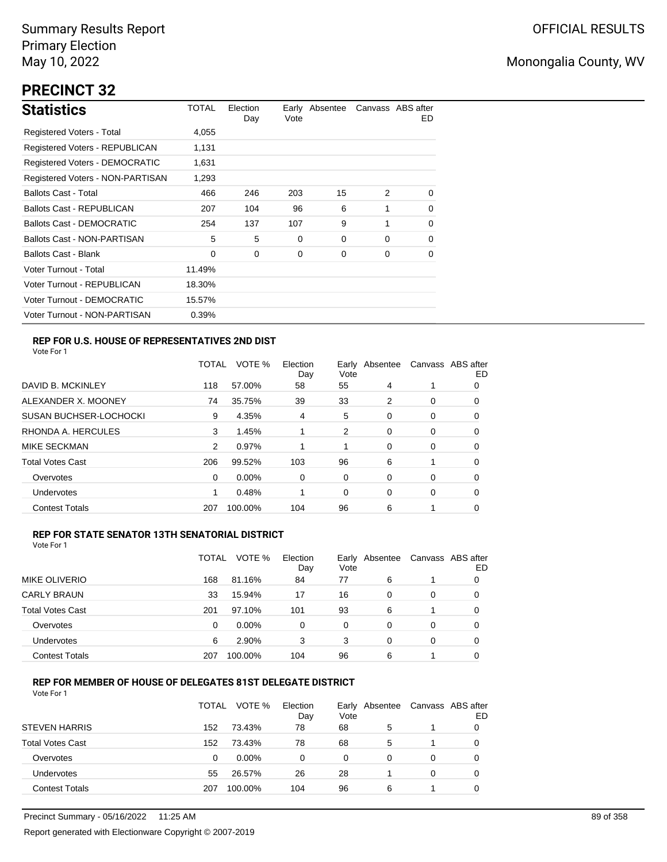# **PRECINCT 32**

| <b>Statistics</b>                     | TOTAL  | Election<br>Day | Vote | Early Absentee |          | Canvass ABS after<br>ED. |
|---------------------------------------|--------|-----------------|------|----------------|----------|--------------------------|
| Registered Voters - Total             | 4,055  |                 |      |                |          |                          |
| Registered Voters - REPUBLICAN        | 1,131  |                 |      |                |          |                          |
| <b>Registered Voters - DEMOCRATIC</b> | 1,631  |                 |      |                |          |                          |
| Registered Voters - NON-PARTISAN      | 1,293  |                 |      |                |          |                          |
| <b>Ballots Cast - Total</b>           | 466    | 246             | 203  | 15             | 2        | 0                        |
| Ballots Cast - REPUBLICAN             | 207    | 104             | 96   | 6              | 1        | $\Omega$                 |
| <b>Ballots Cast - DEMOCRATIC</b>      | 254    | 137             | 107  | 9              | 1        | 0                        |
| Ballots Cast - NON-PARTISAN           | 5      | 5               | 0    | 0              | $\Omega$ | $\Omega$                 |
| <b>Ballots Cast - Blank</b>           | 0      | 0               | 0    | 0              | 0        | 0                        |
| Voter Turnout - Total                 | 11.49% |                 |      |                |          |                          |
| Voter Turnout - REPUBLICAN            | 18.30% |                 |      |                |          |                          |
| Voter Turnout - DEMOCRATIC            | 15.57% |                 |      |                |          |                          |
| Voter Turnout - NON-PARTISAN          | 0.39%  |                 |      |                |          |                          |

## **REP FOR U.S. HOUSE OF REPRESENTATIVES 2ND DIST**

Vote For 1

|                               | TOTAL | VOTE %   | Election<br>Day | Earlv<br>Vote | Absentee |   | Canvass ABS after<br>ED |
|-------------------------------|-------|----------|-----------------|---------------|----------|---|-------------------------|
| DAVID B. MCKINLEY             | 118   | 57.00%   | 58              | 55            | 4        |   | 0                       |
| ALEXANDER X. MOONEY           | 74    | 35.75%   | 39              | 33            | 2        | 0 | 0                       |
| <b>SUSAN BUCHSER-LOCHOCKI</b> | 9     | 4.35%    | 4               | 5             | 0        | 0 | 0                       |
| RHONDA A. HERCULES            | 3     | 1.45%    |                 | 2             | 0        | 0 | 0                       |
| MIKE SECKMAN                  | 2     | 0.97%    |                 | 1             | $\Omega$ | 0 | 0                       |
| <b>Total Votes Cast</b>       | 206   | 99.52%   | 103             | 96            | 6        |   | 0                       |
| Overvotes                     | 0     | $0.00\%$ | 0               | 0             | $\Omega$ | 0 | 0                       |
| <b>Undervotes</b>             |       | 0.48%    |                 | 0             | 0        | 0 | 0                       |
| <b>Contest Totals</b>         | 207   | 100.00%  | 104             | 96            | 6        |   | 0                       |

## **REP FOR STATE SENATOR 13TH SENATORIAL DISTRICT**

| Vote For 1 |  |
|------------|--|
|            |  |

|                         | TOTAL | VOTE %   | Election<br>Day | Early Absentee<br>Vote |   | Canvass ABS after | ED |
|-------------------------|-------|----------|-----------------|------------------------|---|-------------------|----|
| <b>MIKE OLIVERIO</b>    | 168   | 81.16%   | 84              | 77                     | 6 |                   | 0  |
| <b>CARLY BRAUN</b>      | 33    | 15.94%   | 17              | 16                     | 0 | 0                 | O  |
| <b>Total Votes Cast</b> | 201   | 97.10%   | 101             | 93                     | 6 |                   |    |
| Overvotes               | 0     | $0.00\%$ | 0               | 0                      | 0 | 0                 |    |
| Undervotes              | 6     | 2.90%    | 3               | 3                      | 0 | 0                 | O  |
| <b>Contest Totals</b>   | 207   | 100.00%  | 104             | 96                     | 6 |                   |    |

## **REP FOR MEMBER OF HOUSE OF DELEGATES 81ST DELEGATE DISTRICT**

|                         | <b>TOTAL</b> | VOTE %   | Election<br>Day | Vote | Early Absentee | Canvass ABS after | ED |
|-------------------------|--------------|----------|-----------------|------|----------------|-------------------|----|
| <b>STEVEN HARRIS</b>    | 152          | 73.43%   | 78              | 68   | 5              |                   |    |
| <b>Total Votes Cast</b> | 152          | 73.43%   | 78              | 68   | 5              |                   |    |
| Overvotes               | 0            | $0.00\%$ | 0               | 0    | 0              | 0                 |    |
| Undervotes              | 55           | 26.57%   | 26              | 28   |                | 0                 |    |
| <b>Contest Totals</b>   | 207          | 100.00%  | 104             | 96   | 6              |                   |    |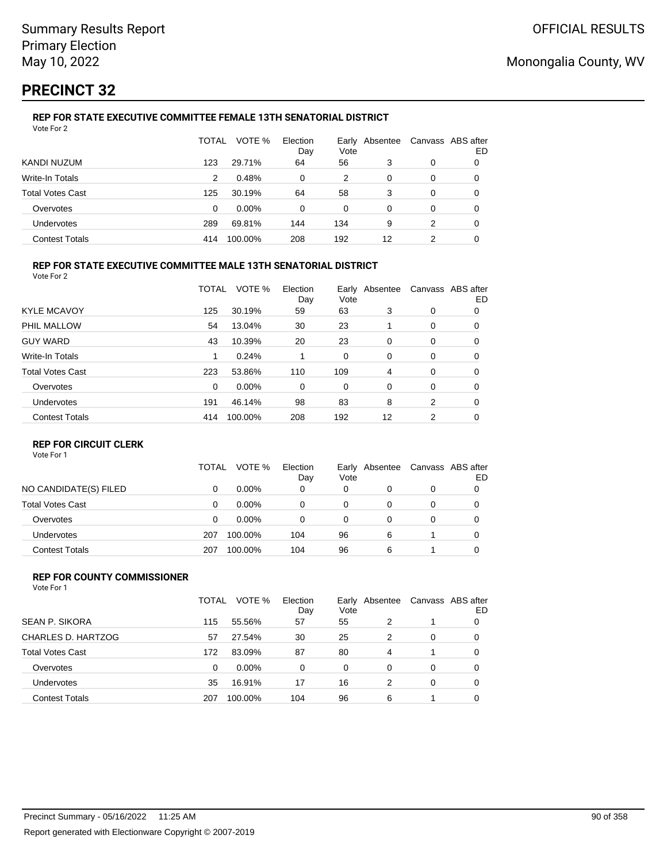# **PRECINCT 32**

#### **REP FOR STATE EXECUTIVE COMMITTEE FEMALE 13TH SENATORIAL DISTRICT** Vote For 2

|                         | TOTAL         | VOTE %  | Election<br>Day | Vote | Early Absentee |   | Canvass ABS after<br>ED |
|-------------------------|---------------|---------|-----------------|------|----------------|---|-------------------------|
| KANDI NUZUM             | 123           | 29.71%  | 64              | 56   | 3              | 0 | 0                       |
| Write-In Totals         | $\mathcal{P}$ | 0.48%   | 0               | 2    | $\Omega$       | 0 | 0                       |
| <b>Total Votes Cast</b> | 125           | 30.19%  | 64              | 58   | 3              | 0 |                         |
| Overvotes               | 0             | 0.00%   | 0               | 0    | 0              | 0 |                         |
| Undervotes              | 289           | 69.81%  | 144             | 134  | 9              | 2 | 0                       |
| <b>Contest Totals</b>   | 414           | 100.00% | 208             | 192  | 12             | 2 | 0                       |

## **REP FOR STATE EXECUTIVE COMMITTEE MALE 13TH SENATORIAL DISTRICT**

Vote For 2

|                         | TOTAL    | VOTE %   | Election<br>Day | Vote | Early Absentee |   | Canvass ABS after<br>ED |
|-------------------------|----------|----------|-----------------|------|----------------|---|-------------------------|
| <b>KYLE MCAVOY</b>      | 125      | 30.19%   | 59              | 63   | 3              | 0 | 0                       |
| PHIL MALLOW             | 54       | 13.04%   | 30              | 23   |                | 0 | 0                       |
| <b>GUY WARD</b>         | 43       | 10.39%   | 20              | 23   | 0              | 0 | 0                       |
| Write-In Totals         | 1        | 0.24%    |                 | 0    | 0              | 0 | 0                       |
| <b>Total Votes Cast</b> | 223      | 53.86%   | 110             | 109  | 4              | 0 | 0                       |
| Overvotes               | $\Omega$ | $0.00\%$ | 0               | 0    | 0              | 0 | 0                       |
| Undervotes              | 191      | 46.14%   | 98              | 83   | 8              | 2 | 0                       |
| <b>Contest Totals</b>   | 414      | 100.00%  | 208             | 192  | 12             | 2 | 0                       |
|                         |          |          |                 |      |                |   |                         |

## **REP FOR CIRCUIT CLERK**

Vote For 1

|                         | TOTAL | VOTE %   | Election<br>Day | Earlv<br>Vote | Absentee | Canvass ABS after | ED |
|-------------------------|-------|----------|-----------------|---------------|----------|-------------------|----|
| NO CANDIDATE(S) FILED   | 0     | $0.00\%$ | 0               | 0             |          | 0                 |    |
| <b>Total Votes Cast</b> | 0     | $0.00\%$ | 0               | 0             | 0        | 0                 |    |
| Overvotes               | 0     | $0.00\%$ | 0               | 0             | 0        | 0                 |    |
| <b>Undervotes</b>       | 207   | 100.00%  | 104             | 96            | 6        |                   |    |
| <b>Contest Totals</b>   | 207   | 100.00%  | 104             | 96            | 6        |                   |    |

#### **REP FOR COUNTY COMMISSIONER** Vote For 1

|                         | TOTAL | VOTE %   | Election<br>Day | Vote     | Early Absentee |          | Canvass ABS after<br>ED |
|-------------------------|-------|----------|-----------------|----------|----------------|----------|-------------------------|
| <b>SEAN P. SIKORA</b>   | 115   | 55.56%   | 57              | 55       | 2              |          | 0                       |
| CHARLES D. HARTZOG      | 57    | 27.54%   | 30              | 25       | 2              | 0        | 0                       |
| <b>Total Votes Cast</b> | 172   | 83.09%   | 87              | 80       | 4              |          | 0                       |
| Overvotes               | 0     | $0.00\%$ | $\Omega$        | $\Omega$ | 0              | $\Omega$ | 0                       |
| <b>Undervotes</b>       | 35    | 16.91%   | 17              | 16       | 2              | $\Omega$ | 0                       |
| <b>Contest Totals</b>   | 207   | 100.00%  | 104             | 96       | 6              |          | 0                       |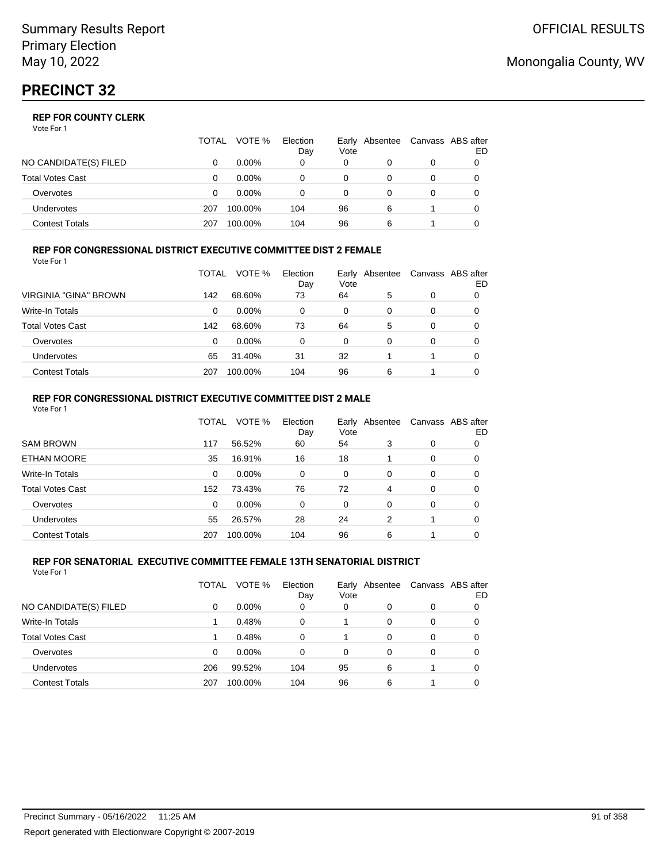|                         | TOTAL | VOTE %   | Election<br>Day | Early Absentee<br>Vote |   | Canvass ABS after | ED |
|-------------------------|-------|----------|-----------------|------------------------|---|-------------------|----|
| NO CANDIDATE(S) FILED   |       | $0.00\%$ | 0               | 0                      |   | 0                 |    |
| <b>Total Votes Cast</b> |       | $0.00\%$ |                 | 0                      |   |                   |    |
| Overvotes               | O     | $0.00\%$ |                 | 0                      |   | 0                 |    |
| <b>Undervotes</b>       | 207   | 100.00%  | 104             | 96                     | 6 |                   |    |
| Contest Totals          | 207   | 100.00%  | 104             | 96                     | 6 |                   |    |

#### **REP FOR CONGRESSIONAL DISTRICT EXECUTIVE COMMITTEE DIST 2 FEMALE** Vote For 1

|                         | TOTAL | VOTE %   | Election<br>Day | Early<br>Vote | Absentee | Canvass ABS after | ED |
|-------------------------|-------|----------|-----------------|---------------|----------|-------------------|----|
| VIRGINIA "GINA" BROWN   | 142   | 68.60%   | 73              | 64            | 5        | 0                 | 0  |
| <b>Write-In Totals</b>  | 0     | $0.00\%$ | 0               | 0             | 0        | 0                 | 0  |
| <b>Total Votes Cast</b> | 142   | 68.60%   | 73              | 64            | 5        | 0                 | 0  |
| Overvotes               | 0     | $0.00\%$ | 0               | 0             | 0        | 0                 |    |
| Undervotes              | 65    | 31.40%   | 31              | 32            |          |                   | 0  |
| <b>Contest Totals</b>   | 207   | 100.00%  | 104             | 96            | 6        |                   |    |

#### **REP FOR CONGRESSIONAL DISTRICT EXECUTIVE COMMITTEE DIST 2 MALE** Vote For 1

|                         | TOTAL | VOTE %  | Election<br>Day | Vote     | Early Absentee |          | Canvass ABS after<br>ED |
|-------------------------|-------|---------|-----------------|----------|----------------|----------|-------------------------|
| <b>SAM BROWN</b>        | 117   | 56.52%  | 60              | 54       | 3              | 0        | 0                       |
| <b>ETHAN MOORE</b>      | 35    | 16.91%  | 16              | 18       |                | $\Omega$ | $\Omega$                |
| Write-In Totals         | 0     | 0.00%   | 0               | 0        | 0              | 0        | 0                       |
| <b>Total Votes Cast</b> | 152   | 73.43%  | 76              | 72       | 4              | $\Omega$ | 0                       |
| Overvotes               | 0     | 0.00%   | $\Omega$        | $\Omega$ | $\Omega$       | $\Omega$ | 0                       |
| <b>Undervotes</b>       | 55    | 26.57%  | 28              | 24       | 2              |          | 0                       |
| <b>Contest Totals</b>   | 207   | 100.00% | 104             | 96       | 6              |          |                         |
|                         |       |         |                 |          |                |          |                         |

#### **REP FOR SENATORIAL EXECUTIVE COMMITTEE FEMALE 13TH SENATORIAL DISTRICT** Vote For 1

|                         | TOTAL | VOTE %   | Election<br>Day | Vote     | Early Absentee |          | Canvass ABS after<br>ED. |
|-------------------------|-------|----------|-----------------|----------|----------------|----------|--------------------------|
| NO CANDIDATE(S) FILED   | 0     | $0.00\%$ | 0               | 0        | 0              | 0        | 0                        |
| <b>Write-In Totals</b>  |       | 0.48%    | 0               |          | 0              | 0        | 0                        |
| <b>Total Votes Cast</b> |       | 0.48%    | 0               |          | 0              | 0        | 0                        |
| Overvotes               | 0     | $0.00\%$ | 0               | $\Omega$ | 0              | $\Omega$ | 0                        |
| <b>Undervotes</b>       | 206   | 99.52%   | 104             | 95       | 6              |          | 0                        |
| <b>Contest Totals</b>   | 207   | 100.00%  | 104             | 96       | 6              |          | 0                        |

## Monongalia County, WV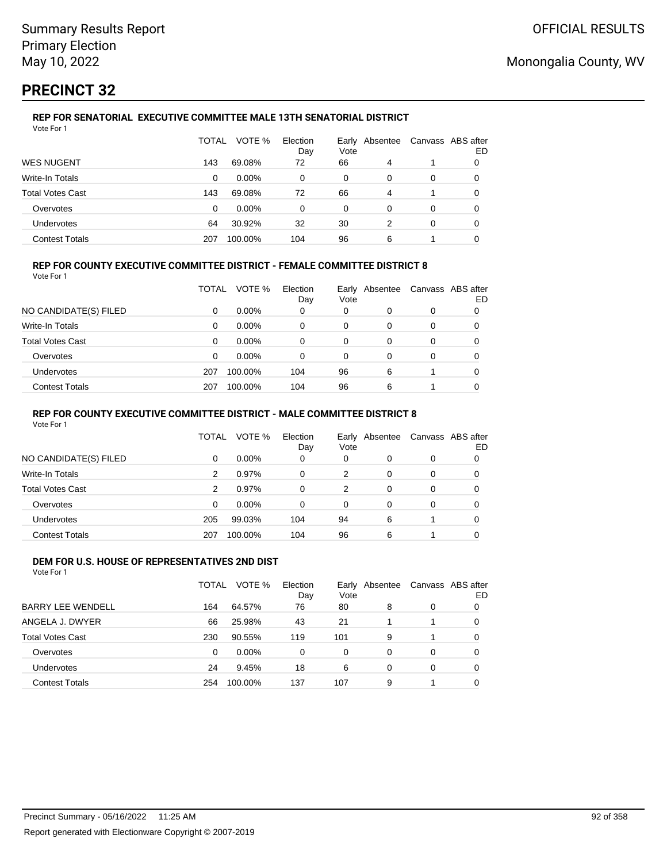# **PRECINCT 32**

#### **REP FOR SENATORIAL EXECUTIVE COMMITTEE MALE 13TH SENATORIAL DISTRICT** Vote For 1

|                         | TOTAL | VOTE %   | Election<br>Day | Vote | Early Absentee | Canvass ABS after | ED |
|-------------------------|-------|----------|-----------------|------|----------------|-------------------|----|
| <b>WES NUGENT</b>       | 143   | 69.08%   | 72              | 66   | 4              |                   | O  |
| Write-In Totals         | 0     | $0.00\%$ | 0               | 0    | 0              | 0                 | 0  |
| <b>Total Votes Cast</b> | 143   | 69.08%   | 72              | 66   | 4              |                   | 0  |
| Overvotes               | 0     | $0.00\%$ | 0               | 0    | 0              | 0                 |    |
| <b>Undervotes</b>       | 64    | 30.92%   | 32              | 30   |                | 0                 | 0  |
| <b>Contest Totals</b>   | 207   | 100.00%  | 104             | 96   | 6              |                   |    |

## **REP FOR COUNTY EXECUTIVE COMMITTEE DISTRICT - FEMALE COMMITTEE DISTRICT 8**

Vote For 1

|                       | TOTAL | VOTE %   | Election<br>Day | Vote | Early Absentee | Canvass ABS after | ED |
|-----------------------|-------|----------|-----------------|------|----------------|-------------------|----|
| NO CANDIDATE(S) FILED | 0     | $0.00\%$ | 0               | 0    | 0              | 0                 |    |
| Write-In Totals       | 0     | $0.00\%$ | 0               | 0    | 0              | 0                 | 0  |
| Total Votes Cast      | 0     | $0.00\%$ | 0               | 0    | 0              | 0                 |    |
| Overvotes             | 0     | $0.00\%$ | 0               | 0    | 0              | 0                 |    |
| Undervotes            | 207   | 100.00%  | 104             | 96   | 6              |                   |    |
| <b>Contest Totals</b> | 207   | 100.00%  | 104             | 96   | 6              |                   |    |

## **REP FOR COUNTY EXECUTIVE COMMITTEE DISTRICT - MALE COMMITTEE DISTRICT 8**

Vote For 1

|                       | TOTAL | VOTE %   | Election<br>Day | Vote | Early Absentee |   | Canvass ABS after<br>ED |
|-----------------------|-------|----------|-----------------|------|----------------|---|-------------------------|
| NO CANDIDATE(S) FILED | 0     | $0.00\%$ | 0               | 0    | 0              | 0 | 0                       |
| Write-In Totals       | 2     | 0.97%    | 0               | 2    | 0              | 0 | 0                       |
| Total Votes Cast      | 2     | 0.97%    | 0               | 2    | 0              | 0 | 0                       |
| Overvotes             | 0     | $0.00\%$ | 0               | 0    | 0              | 0 | 0                       |
| <b>Undervotes</b>     | 205   | 99.03%   | 104             | 94   | 6              |   | 0                       |
| <b>Contest Totals</b> | 207   | 100.00%  | 104             | 96   | 6              |   | 0                       |

#### **DEM FOR U.S. HOUSE OF REPRESENTATIVES 2ND DIST** Vote For 1

|                          | TOTAL    | VOTE %   | Election<br>Day | Vote | Early Absentee |          | Canvass ABS after<br>ED |
|--------------------------|----------|----------|-----------------|------|----------------|----------|-------------------------|
| <b>BARRY LEE WENDELL</b> | 164      | 64.57%   | 76              | 80   | 8              | 0        | 0                       |
| ANGELA J. DWYER          | 66       | 25.98%   | 43              | 21   |                |          | 0                       |
| <b>Total Votes Cast</b>  | 230      | 90.55%   | 119             | 101  | 9              |          | 0                       |
| Overvotes                | $\Omega$ | $0.00\%$ | 0               | 0    | $\Omega$       | $\Omega$ | 0                       |
| Undervotes               | 24       | 9.45%    | 18              | 6    | 0              | $\Omega$ | 0                       |
| <b>Contest Totals</b>    | 254      | 100.00%  | 137             | 107  | 9              |          | 0                       |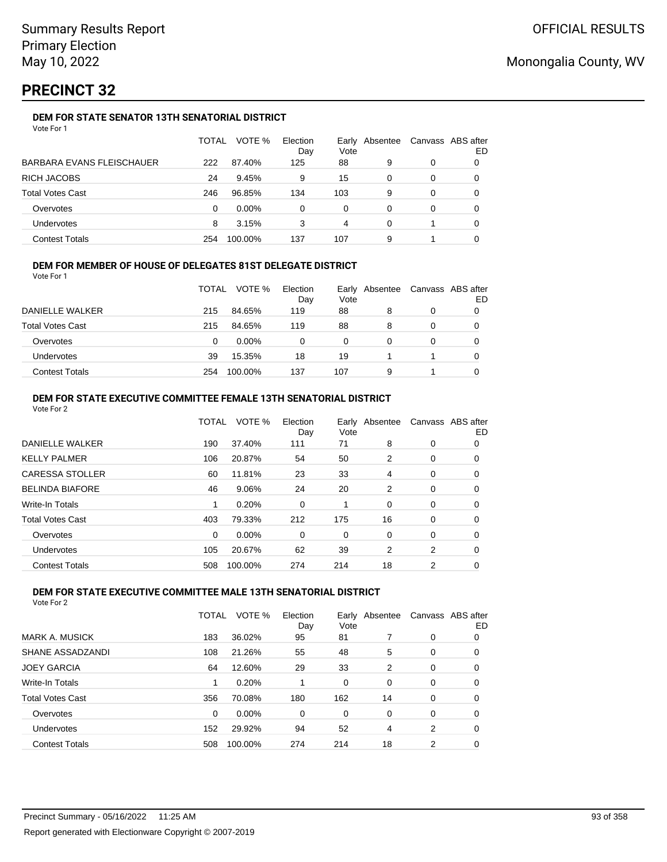# **PRECINCT 32**

## **DEM FOR STATE SENATOR 13TH SENATORIAL DISTRICT**

|                           | TOTAL | VOTE %   | Election<br>Day | Vote | Early Absentee | Canvass ABS after | ED |
|---------------------------|-------|----------|-----------------|------|----------------|-------------------|----|
| BARBARA EVANS FLEISCHAUER | 222   | 87.40%   | 125             | 88   | 9              | 0                 |    |
| RICH JACOBS               | 24    | 9.45%    | 9               | 15   | 0              | 0                 |    |
| Total Votes Cast          | 246   | 96.85%   | 134             | 103  | 9              | 0                 |    |
| Overvotes                 | 0     | $0.00\%$ | 0               | 0    | 0              | 0                 |    |
| Undervotes                | 8     | 3.15%    | 3               | 4    | 0              |                   | 0  |
| <b>Contest Totals</b>     | 254   | 100.00%  | 137             | 107  | 9              |                   |    |

## **DEM FOR MEMBER OF HOUSE OF DELEGATES 81ST DELEGATE DISTRICT**

Vote For 1

|                         | <b>TOTAL</b> | VOTE %   | Election<br>Day | Vote | Early Absentee | Canvass ABS after<br>ED |
|-------------------------|--------------|----------|-----------------|------|----------------|-------------------------|
| DANIELLE WALKER         | 215          | 84.65%   | 119             | 88   | 8              |                         |
| <b>Total Votes Cast</b> | 215          | 84.65%   | 119             | 88   | 8              |                         |
| Overvotes               | 0            | $0.00\%$ |                 | 0    |                |                         |
| <b>Undervotes</b>       | 39           | 15.35%   | 18              | 19   |                |                         |
| <b>Contest Totals</b>   | 254          | 100.00%  | 137             | 107  | 9              |                         |

#### **DEM FOR STATE EXECUTIVE COMMITTEE FEMALE 13TH SENATORIAL DISTRICT** Vote For 2

| VULTUL Z                |          |         |                 |      |                |   |                         |
|-------------------------|----------|---------|-----------------|------|----------------|---|-------------------------|
|                         | TOTAL    | VOTE %  | Election<br>Day | Vote | Early Absentee |   | Canvass ABS after<br>ED |
| <b>DANIELLE WALKER</b>  | 190      | 37.40%  | 111             | 71   | 8              | 0 | 0                       |
| <b>KELLY PALMER</b>     | 106      | 20.87%  | 54              | 50   | 2              | 0 | 0                       |
| <b>CARESSA STOLLER</b>  | 60       | 11.81%  | 23              | 33   | 4              | 0 | 0                       |
| <b>BELINDA BIAFORE</b>  | 46       | 9.06%   | 24              | 20   | 2              | 0 | 0                       |
| Write-In Totals         | 1        | 0.20%   | 0               | 1    | 0              | 0 | 0                       |
| <b>Total Votes Cast</b> | 403      | 79.33%  | 212             | 175  | 16             | 0 | 0                       |
| Overvotes               | $\Omega$ | 0.00%   | 0               | 0    | 0              | 0 | 0                       |
| <b>Undervotes</b>       | 105      | 20.67%  | 62              | 39   | 2              | 2 | 0                       |
| <b>Contest Totals</b>   | 508      | 100.00% | 274             | 214  | 18             | 2 | 0                       |
|                         |          |         |                 |      |                |   |                         |

## **DEM FOR STATE EXECUTIVE COMMITTEE MALE 13TH SENATORIAL DISTRICT**

|                         | <b>TOTAL</b> | VOTE %  | Election<br>Day | Vote | Early Absentee |   | Canvass ABS after<br>ED |
|-------------------------|--------------|---------|-----------------|------|----------------|---|-------------------------|
| <b>MARK A. MUSICK</b>   | 183          | 36.02%  | 95              | 81   |                | 0 | 0                       |
| SHANE ASSADZANDI        | 108          | 21.26%  | 55              | 48   | 5              | 0 | 0                       |
| <b>JOEY GARCIA</b>      | 64           | 12.60%  | 29              | 33   | 2              | 0 | 0                       |
| Write-In Totals         | 1            | 0.20%   |                 | 0    | 0              | 0 | 0                       |
| <b>Total Votes Cast</b> | 356          | 70.08%  | 180             | 162  | 14             | 0 | 0                       |
| Overvotes               | 0            | 0.00%   | 0               | 0    | $\Omega$       | 0 | 0                       |
| Undervotes              | 152          | 29.92%  | 94              | 52   | 4              | 2 | 0                       |
| <b>Contest Totals</b>   | 508          | 100.00% | 274             | 214  | 18             | 2 | 0                       |
|                         |              |         |                 |      |                |   |                         |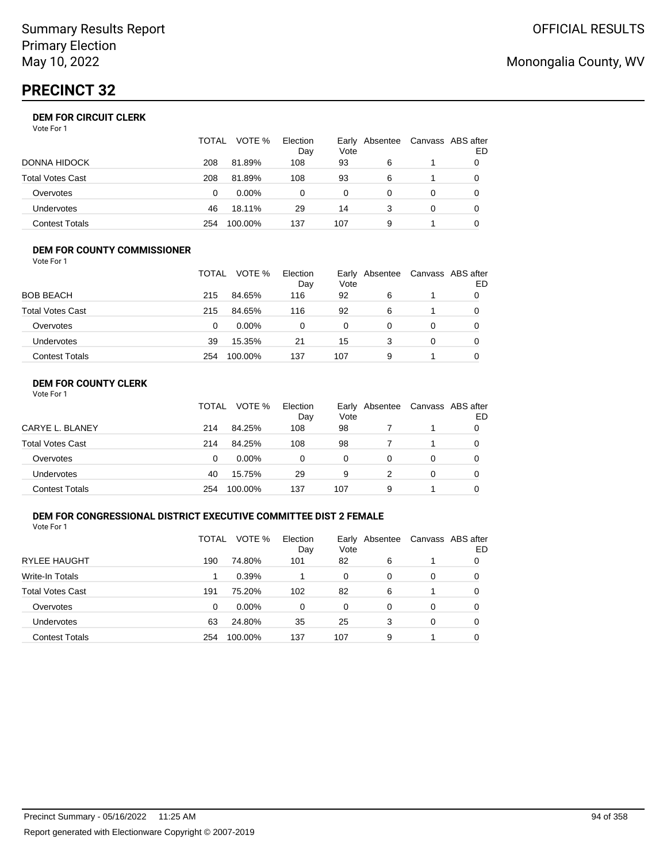# **PRECINCT 32**

| Vote For 1 |
|------------|
|------------|

|                       | TOTAL | VOTE %   | Election<br>Day | Vote | Early Absentee | Canvass ABS after | ED |
|-----------------------|-------|----------|-----------------|------|----------------|-------------------|----|
| DONNA HIDOCK          | 208   | 81.89%   | 108             | 93   | 6              |                   |    |
| Total Votes Cast      | 208   | 81.89%   | 108             | 93   | 6              |                   |    |
| Overvotes             | 0     | $0.00\%$ | 0               | 0    | 0              | 0                 |    |
| Undervotes            | 46    | 18.11%   | 29              | 14   |                | 0                 |    |
| <b>Contest Totals</b> | 254   | 100.00%  | 137             | 107  | 9              |                   |    |

#### **DEM FOR COUNTY COMMISSIONER** Vote For 1

|                         | TOTAL | VOTE %   | Election<br>Day | Vote | Early Absentee | Canvass ABS after | ED |
|-------------------------|-------|----------|-----------------|------|----------------|-------------------|----|
| <b>BOB BEACH</b>        | 215   | 84.65%   | 116             | 92   | 6              |                   |    |
| <b>Total Votes Cast</b> | 215   | 84.65%   | 116             | 92   | 6              |                   | O  |
| Overvotes               | 0     | $0.00\%$ | 0               | 0    | 0              | 0                 |    |
| <b>Undervotes</b>       | 39    | 15.35%   | 21              | 15   | 3              | 0                 |    |
| <b>Contest Totals</b>   | 254   | 100.00%  | 137             | 107  | 9              |                   |    |

## **DEM FOR COUNTY CLERK**

|                         | <b>TOTAL</b> | VOTE %   | Election<br>Day | Vote | Early Absentee | Canvass ABS after | ED |
|-------------------------|--------------|----------|-----------------|------|----------------|-------------------|----|
| CARYE L. BLANEY         | 214          | 84.25%   | 108             | 98   |                |                   |    |
| <b>Total Votes Cast</b> | 214          | 84.25%   | 108             | 98   |                |                   |    |
| Overvotes               | 0            | $0.00\%$ | 0               | 0    | 0              | 0                 |    |
| Undervotes              | 40           | 15.75%   | 29              | 9    |                | 0                 |    |
| <b>Contest Totals</b>   | 254          | 100.00%  | 137             | 107  | 9              |                   |    |

## **DEM FOR CONGRESSIONAL DISTRICT EXECUTIVE COMMITTEE DIST 2 FEMALE**

Vote For 1

|                         | TOTAL | VOTE %   | Election<br>Day | Vote | Early Absentee | Canvass ABS after | ED |
|-------------------------|-------|----------|-----------------|------|----------------|-------------------|----|
| <b>RYLEE HAUGHT</b>     | 190   | 74.80%   | 101             | 82   | 6              |                   | O  |
| Write-In Totals         |       | 0.39%    |                 | 0    | 0              | 0                 | O  |
| <b>Total Votes Cast</b> | 191   | 75.20%   | 102             | 82   | 6              |                   | 0  |
| Overvotes               | 0     | $0.00\%$ | $\Omega$        | 0    | 0              | 0                 | O  |
| <b>Undervotes</b>       | 63    | 24.80%   | 35              | 25   | 3              | 0                 | 0  |
| <b>Contest Totals</b>   | 254   | 100.00%  | 137             | 107  | 9              |                   | 0  |

# Monongalia County, WV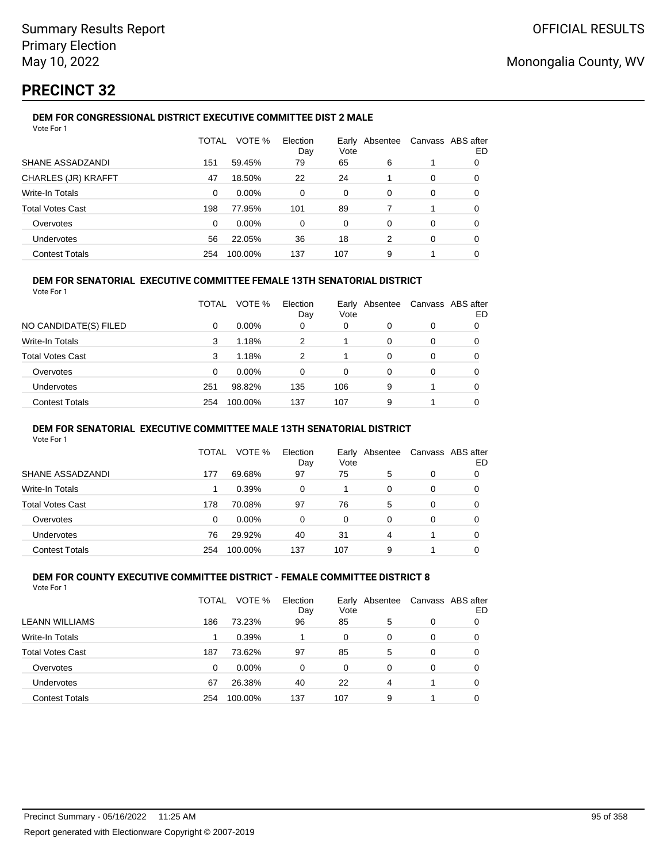# **PRECINCT 32**

## **DEM FOR CONGRESSIONAL DISTRICT EXECUTIVE COMMITTEE DIST 2 MALE**

| Vote For 1              |              |         |                 |               |          |   |                         |
|-------------------------|--------------|---------|-----------------|---------------|----------|---|-------------------------|
|                         | <b>TOTAL</b> | VOTE %  | Election<br>Day | Early<br>Vote | Absentee |   | Canvass ABS after<br>ED |
| SHANE ASSADZANDI        | 151          | 59.45%  | 79              | 65            | 6        |   | 0                       |
| CHARLES (JR) KRAFFT     | 47           | 18.50%  | 22              | 24            |          | 0 | 0                       |
| Write-In Totals         | 0            | 0.00%   | 0               | 0             | 0        | 0 | 0                       |
| <b>Total Votes Cast</b> | 198          | 77.95%  | 101             | 89            | 7        |   | 0                       |
| Overvotes               | $\Omega$     | 0.00%   | 0               | 0             | 0        | 0 | 0                       |
| Undervotes              | 56           | 22.05%  | 36              | 18            | 2        | 0 | 0                       |
| <b>Contest Totals</b>   | 254          | 100.00% | 137             | 107           | 9        |   | 0                       |

## **DEM FOR SENATORIAL EXECUTIVE COMMITTEE FEMALE 13TH SENATORIAL DISTRICT**

Vote For 1

|                         | TOTAL | VOTE %   | Election<br>Day | Vote | Early Absentee |          | Canvass ABS after<br>ED |
|-------------------------|-------|----------|-----------------|------|----------------|----------|-------------------------|
| NO CANDIDATE(S) FILED   | 0     | $0.00\%$ | 0               | 0    | 0              | 0        |                         |
| Write-In Totals         | 3     | 1.18%    | 2               |      | 0              | $\Omega$ | 0                       |
| <b>Total Votes Cast</b> | 3     | 1.18%    | 2               |      | $\Omega$       | $\Omega$ | 0                       |
| Overvotes               | 0     | $0.00\%$ | 0               | 0    | 0              | $\Omega$ | 0                       |
| <b>Undervotes</b>       | 251   | 98.82%   | 135             | 106  | 9              |          | 0                       |
| <b>Contest Totals</b>   | 254   | 100.00%  | 137             | 107  | 9              |          | 0                       |

### **DEM FOR SENATORIAL EXECUTIVE COMMITTEE MALE 13TH SENATORIAL DISTRICT**

Vote For 1

|                         | TOTAL | VOTE %   | Election<br>Day | Vote | Early Absentee | Canvass ABS after | ED |
|-------------------------|-------|----------|-----------------|------|----------------|-------------------|----|
| SHANE ASSADZANDI        | 177   | 69.68%   | 97              | 75   | 5              | 0                 |    |
| <b>Write-In Totals</b>  |       | 0.39%    | 0               |      | 0              | 0                 | O  |
| <b>Total Votes Cast</b> | 178   | 70.08%   | 97              | 76   | 5              | 0                 |    |
| Overvotes               | 0     | $0.00\%$ | 0               | 0    | 0              | 0                 |    |
| Undervotes              | 76    | 29.92%   | 40              | 31   | 4              |                   |    |
| <b>Contest Totals</b>   | 254   | 100.00%  | 137             | 107  | 9              |                   |    |

#### **DEM FOR COUNTY EXECUTIVE COMMITTEE DISTRICT - FEMALE COMMITTEE DISTRICT 8** Vote For 1

|                         | TOTAL | VOTE %   | Election<br>Day | Early<br>Vote | Absentee | Canvass ABS after | ED |
|-------------------------|-------|----------|-----------------|---------------|----------|-------------------|----|
| <b>LEANN WILLIAMS</b>   | 186   | 73.23%   | 96              | 85            | 5        | 0                 |    |
| Write-In Totals         |       | 0.39%    |                 | 0             | 0        | 0                 |    |
| <b>Total Votes Cast</b> | 187   | 73.62%   | 97              | 85            | 5        | 0                 | 0  |
| Overvotes               | 0     | $0.00\%$ | 0               | 0             | 0        | 0                 |    |
| Undervotes              | 67    | 26.38%   | 40              | 22            | 4        |                   |    |
| <b>Contest Totals</b>   | 254   | 100.00%  | 137             | 107           | 9        |                   |    |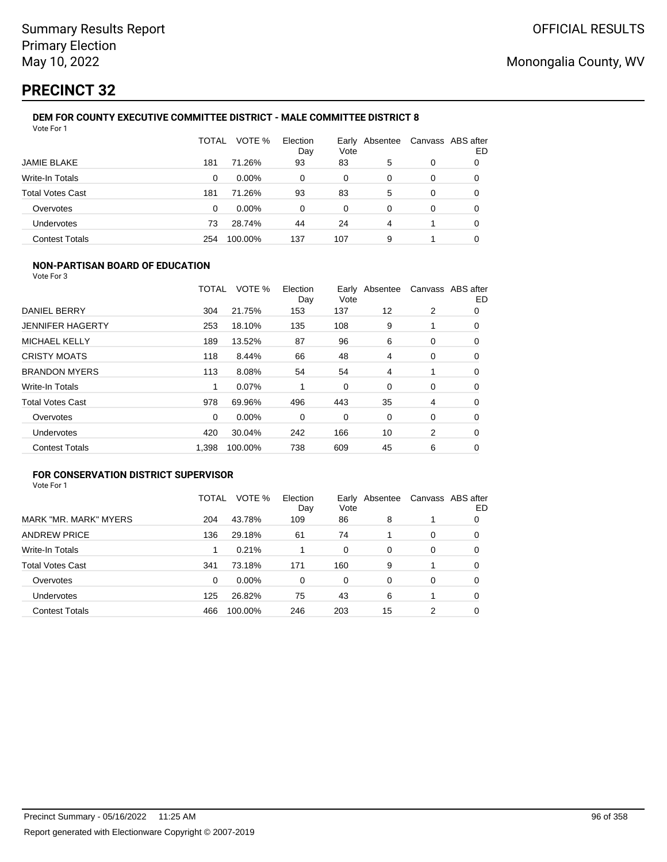# **PRECINCT 32**

#### **DEM FOR COUNTY EXECUTIVE COMMITTEE DISTRICT - MALE COMMITTEE DISTRICT 8** Vote For 1

|                         | TOTAL | VOTE %   | Election<br>Day | Vote | Early Absentee | Canvass ABS after | ED |
|-------------------------|-------|----------|-----------------|------|----------------|-------------------|----|
| <b>JAMIE BLAKE</b>      | 181   | 71.26%   | 93              | 83   | 5              | 0                 | O  |
| Write-In Totals         | 0     | $0.00\%$ | 0               | 0    | 0              | 0                 | O  |
| <b>Total Votes Cast</b> | 181   | 71.26%   | 93              | 83   | 5              | 0                 | 0  |
| Overvotes               | 0     | $0.00\%$ | 0               | 0    | 0              | 0                 | 0  |
| Undervotes              | 73    | 28.74%   | 44              | 24   | 4              |                   | 0  |
| <b>Contest Totals</b>   | 254   | 100.00%  | 137             | 107  | 9              |                   |    |

## **NON-PARTISAN BOARD OF EDUCATION**

Vote For 3

|                         | TOTAL    | VOTE %  | Election<br>Day | Vote | Early Absentee |   | Canvass ABS after<br>ED |
|-------------------------|----------|---------|-----------------|------|----------------|---|-------------------------|
| DANIEL BERRY            | 304      | 21.75%  | 153             | 137  | 12             | 2 | 0                       |
| <b>JENNIFER HAGERTY</b> | 253      | 18.10%  | 135             | 108  | 9              |   | 0                       |
| <b>MICHAEL KELLY</b>    | 189      | 13.52%  | 87              | 96   | 6              | 0 | 0                       |
| <b>CRISTY MOATS</b>     | 118      | 8.44%   | 66              | 48   | 4              | 0 | 0                       |
| <b>BRANDON MYERS</b>    | 113      | 8.08%   | 54              | 54   | 4              |   | 0                       |
| <b>Write-In Totals</b>  | 1        | 0.07%   |                 | 0    | $\Omega$       | 0 | 0                       |
| <b>Total Votes Cast</b> | 978      | 69.96%  | 496             | 443  | 35             | 4 | 0                       |
| Overvotes               | $\Omega$ | 0.00%   | 0               | 0    | 0              | 0 | $\Omega$                |
| <b>Undervotes</b>       | 420      | 30.04%  | 242             | 166  | 10             | 2 | 0                       |
| <b>Contest Totals</b>   | 1,398    | 100.00% | 738             | 609  | 45             | 6 | 0                       |

## **FOR CONSERVATION DISTRICT SUPERVISOR**

|                         | TOTAL | VOTE %   | Election<br>Day | Early<br>Vote | Absentee |          | Canvass ABS after<br>ED |
|-------------------------|-------|----------|-----------------|---------------|----------|----------|-------------------------|
| MARK "MR. MARK" MYERS   | 204   | 43.78%   | 109             | 86            | 8        |          | 0                       |
| <b>ANDREW PRICE</b>     | 136   | 29.18%   | 61              | 74            |          | 0        | O                       |
| Write-In Totals         |       | 0.21%    |                 | $\Omega$      | 0        | $\Omega$ | 0                       |
| <b>Total Votes Cast</b> | 341   | 73.18%   | 171             | 160           | 9        |          | 0                       |
| Overvotes               | 0     | $0.00\%$ | $\Omega$        | 0             | $\Omega$ | 0        | 0                       |
| <b>Undervotes</b>       | 125   | 26.82%   | 75              | 43            | 6        |          | 0                       |
| <b>Contest Totals</b>   | 466   | 100.00%  | 246             | 203           | 15       | 2        | 0                       |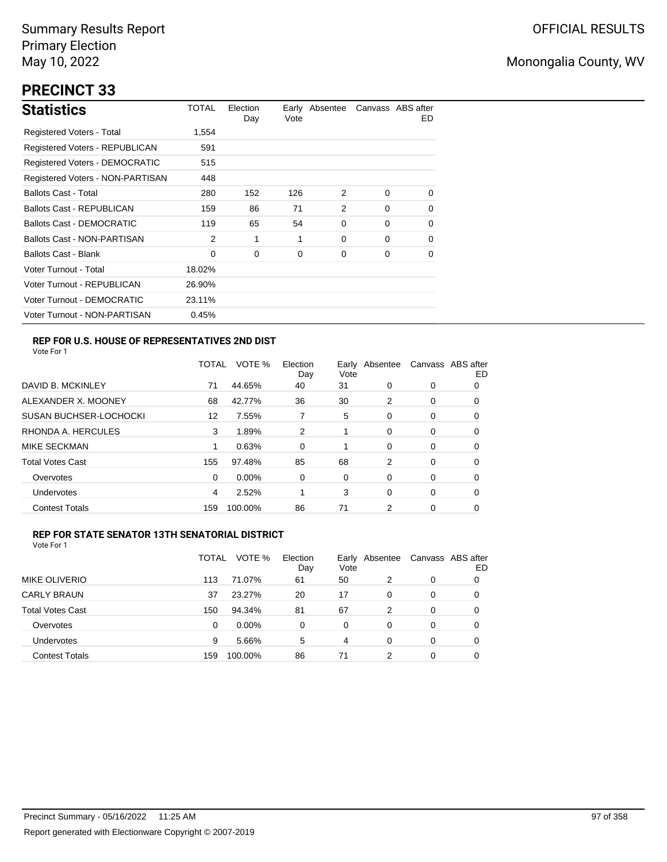# **PRECINCT 33**

| <b>Statistics</b>                     | TOTAL  | Election<br>Day | Vote | Early Absentee |          | Canvass ABS after<br>ED. |
|---------------------------------------|--------|-----------------|------|----------------|----------|--------------------------|
| Registered Voters - Total             | 1,554  |                 |      |                |          |                          |
| Registered Voters - REPUBLICAN        | 591    |                 |      |                |          |                          |
| <b>Registered Voters - DEMOCRATIC</b> | 515    |                 |      |                |          |                          |
| Registered Voters - NON-PARTISAN      | 448    |                 |      |                |          |                          |
| <b>Ballots Cast - Total</b>           | 280    | 152             | 126  | 2              | $\Omega$ | $\Omega$                 |
| <b>Ballots Cast - REPUBLICAN</b>      | 159    | 86              | 71   | 2              | $\Omega$ | 0                        |
| <b>Ballots Cast - DEMOCRATIC</b>      | 119    | 65              | 54   | 0              | $\Omega$ | 0                        |
| Ballots Cast - NON-PARTISAN           | 2      | 1               | 1    | 0              | $\Omega$ | 0                        |
| <b>Ballots Cast - Blank</b>           | 0      | 0               | 0    | 0              | $\Omega$ | 0                        |
| Voter Turnout - Total                 | 18.02% |                 |      |                |          |                          |
| Voter Turnout - REPUBLICAN            | 26.90% |                 |      |                |          |                          |
| Voter Turnout - DEMOCRATIC            | 23.11% |                 |      |                |          |                          |
| Voter Turnout - NON-PARTISAN          | 0.45%  |                 |      |                |          |                          |

## **REP FOR U.S. HOUSE OF REPRESENTATIVES 2ND DIST**

Vote For 1

|                               | <b>TOTAL</b> | VOTE %   | Election<br>Day | Early<br>Vote | Absentee |   | Canvass ABS after<br>ED |
|-------------------------------|--------------|----------|-----------------|---------------|----------|---|-------------------------|
| DAVID B. MCKINLEY             | 71           | 44.65%   | 40              | 31            | 0        | 0 | O                       |
| ALEXANDER X. MOONEY           | 68           | 42.77%   | 36              | 30            | 2        | 0 | 0                       |
| <b>SUSAN BUCHSER-LOCHOCKI</b> | 12           | 7.55%    |                 | 5             | 0        | 0 | 0                       |
| RHONDA A. HERCULES            | 3            | 1.89%    | 2               | 1             | 0        | 0 | 0                       |
| MIKE SECKMAN                  |              | 0.63%    | $\Omega$        | 1             | 0        | 0 | 0                       |
| <b>Total Votes Cast</b>       | 155          | 97.48%   | 85              | 68            | 2        | 0 | 0                       |
| Overvotes                     | 0            | $0.00\%$ | 0               | 0             | 0        | 0 | 0                       |
| <b>Undervotes</b>             | 4            | 2.52%    |                 | 3             | 0        | 0 | 0                       |
| <b>Contest Totals</b>         | 159          | 100.00%  | 86              | 71            | 2        | 0 | 0                       |

## **REP FOR STATE SENATOR 13TH SENATORIAL DISTRICT**

|                         | TOTAL | VOTE %   | Election<br>Day | Early<br>Vote | Absentee | Canvass ABS after | ED |
|-------------------------|-------|----------|-----------------|---------------|----------|-------------------|----|
| MIKE OLIVERIO           | 113   | 71.07%   | 61              | 50            | 2        | 0                 | O  |
| <b>CARLY BRAUN</b>      | 37    | 23.27%   | 20              | 17            | 0        | 0                 | O  |
| <b>Total Votes Cast</b> | 150   | 94.34%   | 81              | 67            | 2        | 0                 | O  |
| Overvotes               | 0     | $0.00\%$ | $\Omega$        | 0             | 0        | 0                 | O  |
| <b>Undervotes</b>       | 9     | 5.66%    | 5               | 4             | 0        | 0                 | O  |
| <b>Contest Totals</b>   | 159   | 100.00%  | 86              | 71            | 2        | 0                 |    |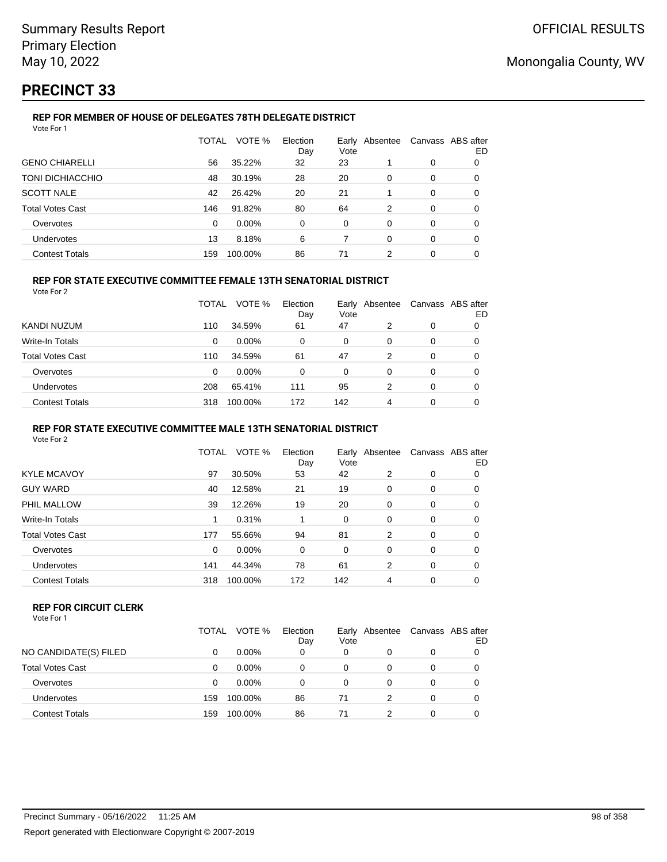# **PRECINCT 33**

#### **REP FOR MEMBER OF HOUSE OF DELEGATES 78TH DELEGATE DISTRICT** Vote For 1

|                         | TOTAL | VOTE %  | Election<br>Day | Vote     | Early Absentee | Canvass ABS after | ED       |
|-------------------------|-------|---------|-----------------|----------|----------------|-------------------|----------|
| <b>GENO CHIARELLI</b>   | 56    | 35.22%  | 32              | 23       |                | 0                 | 0        |
| TONI DICHIACCHIO        | 48    | 30.19%  | 28              | 20       | $\Omega$       | $\Omega$          | $\Omega$ |
| <b>SCOTT NALE</b>       | 42    | 26.42%  | 20              | 21       |                | $\Omega$          | 0        |
| <b>Total Votes Cast</b> | 146   | 91.82%  | 80              | 64       | 2              | $\Omega$          | 0        |
| Overvotes               | 0     | 0.00%   | $\Omega$        | $\Omega$ | $\Omega$       | $\Omega$          | 0        |
| <b>Undervotes</b>       | 13    | 8.18%   | 6               |          | $\Omega$       | 0                 | $\Omega$ |
| <b>Contest Totals</b>   | 159   | 100.00% | 86              | 71       | 2              | $\Omega$          | 0        |

## **REP FOR STATE EXECUTIVE COMMITTEE FEMALE 13TH SENATORIAL DISTRICT**

Vote For 2

|                         | <b>TOTAL</b> | VOTE %   | Election<br>Day | Vote | Early Absentee | Canvass ABS after | ED |
|-------------------------|--------------|----------|-----------------|------|----------------|-------------------|----|
| KANDI NUZUM             | 110          | 34.59%   | 61              | 47   | 2              | 0                 |    |
| Write-In Totals         | 0            | $0.00\%$ | 0               | 0    | 0              | 0                 |    |
| <b>Total Votes Cast</b> | 110          | 34.59%   | 61              | 47   | 2              | 0                 |    |
| Overvotes               | 0            | $0.00\%$ | 0               | 0    | 0              | 0                 | O  |
| <b>Undervotes</b>       | 208          | 65.41%   | 111             | 95   | 2              | 0                 | O  |
| <b>Contest Totals</b>   | 318          | 100.00%  | 172             | 142  | 4              | 0                 |    |

### **REP FOR STATE EXECUTIVE COMMITTEE MALE 13TH SENATORIAL DISTRICT**

Vote For 2

|                         | <b>TOTAL</b> | VOTE %   | Election<br>Day | Vote | Early Absentee |   | Canvass ABS after<br>ED |
|-------------------------|--------------|----------|-----------------|------|----------------|---|-------------------------|
| <b>KYLE MCAVOY</b>      | 97           | 30.50%   | 53              | 42   | 2              | 0 | 0                       |
| <b>GUY WARD</b>         | 40           | 12.58%   | 21              | 19   | 0              | 0 | 0                       |
| PHIL MALLOW             | 39           | 12.26%   | 19              | 20   | 0              | 0 | 0                       |
| Write-In Totals         |              | 0.31%    |                 | 0    | 0              | 0 | 0                       |
| <b>Total Votes Cast</b> | 177          | 55.66%   | 94              | 81   | 2              | 0 | 0                       |
| Overvotes               | 0            | $0.00\%$ | 0               | 0    | 0              | 0 | 0                       |
| <b>Undervotes</b>       | 141          | 44.34%   | 78              | 61   | 2              | 0 | 0                       |
| <b>Contest Totals</b>   | 318          | 100.00%  | 172             | 142  | 4              | 0 | 0                       |
|                         |              |          |                 |      |                |   |                         |

#### **REP FOR CIRCUIT CLERK**

|                         | TOTAL | VOTE %   | Election<br>Day | Early<br>Vote | Absentee | Canvass ABS after | ED |
|-------------------------|-------|----------|-----------------|---------------|----------|-------------------|----|
| NO CANDIDATE(S) FILED   |       | $0.00\%$ | 0               | 0             | 0        | 0                 |    |
| <b>Total Votes Cast</b> |       | $0.00\%$ | 0               | 0             | $\Omega$ | 0                 |    |
| Overvotes               | 0     | $0.00\%$ | 0               | 0             | $\Omega$ | $\Omega$          |    |
| Undervotes              | 159   | 100.00%  | 86              | 71            |          | 0                 |    |
| <b>Contest Totals</b>   | 159   | 100.00%  | 86              | 71            |          | 0                 |    |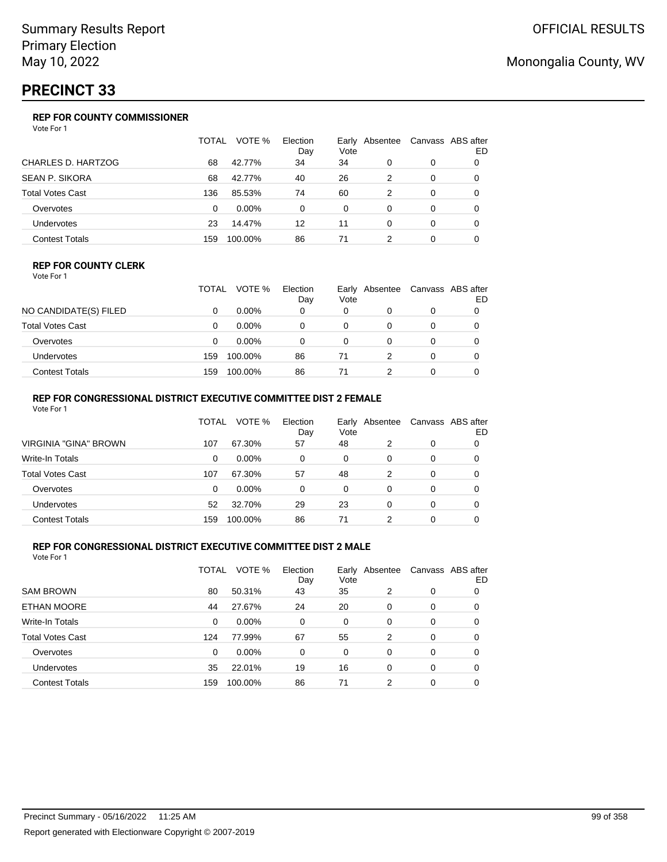# **PRECINCT 33**

## **REP FOR COUNTY COMMISSIONER**

Vote For 1

|                           | TOTAL | VOTE %   | Election<br>Day | Vote | Early Absentee |   | Canvass ABS after<br>ED |
|---------------------------|-------|----------|-----------------|------|----------------|---|-------------------------|
| <b>CHARLES D. HARTZOG</b> | 68    | 42.77%   | 34              | 34   | 0              | 0 |                         |
| <b>SEAN P. SIKORA</b>     | 68    | 42.77%   | 40              | 26   | 2              | 0 | 0                       |
| <b>Total Votes Cast</b>   | 136   | 85.53%   | 74              | 60   | 2              | 0 |                         |
| Overvotes                 | 0     | $0.00\%$ | 0               | 0    | 0              | 0 | 0                       |
| Undervotes                | 23    | 14.47%   | 12              | 11   | 0              | 0 | 0                       |
| <b>Contest Totals</b>     | 159   | 100.00%  | 86              | 71   | 2              |   |                         |

### **REP FOR COUNTY CLERK**

Vote For 1

|                       | TOTAL | VOTE %   | Election<br>Day | Vote | Early Absentee |   | Canvass ABS after<br>ED |
|-----------------------|-------|----------|-----------------|------|----------------|---|-------------------------|
| NO CANDIDATE(S) FILED |       | $0.00\%$ | 0               | 0    |                | 0 |                         |
| Total Votes Cast      |       | $0.00\%$ |                 | 0    |                |   |                         |
| Overvotes             |       | $0.00\%$ |                 | 0    |                |   |                         |
| <b>Undervotes</b>     | 159   | 100.00%  | 86              | 71   |                |   |                         |
| <b>Contest Totals</b> | 159   | 100.00%  | 86              | 71   |                |   |                         |

## **REP FOR CONGRESSIONAL DISTRICT EXECUTIVE COMMITTEE DIST 2 FEMALE**

| Vote For 1              |              |          |                 |      |                |   |                         |
|-------------------------|--------------|----------|-----------------|------|----------------|---|-------------------------|
|                         | <b>TOTAL</b> | VOTE %   | Election<br>Day | Vote | Early Absentee |   | Canvass ABS after<br>ED |
| VIRGINIA "GINA" BROWN   | 107          | 67.30%   | 57              | 48   | 2              | 0 | 0                       |
| Write-In Totals         | 0            | 0.00%    | 0               | 0    | 0              | 0 | 0                       |
| <b>Total Votes Cast</b> | 107          | 67.30%   | 57              | 48   | 2              | 0 | 0                       |
| Overvotes               | 0            | $0.00\%$ | 0               | 0    | 0              | 0 | 0                       |
| <b>Undervotes</b>       | 52           | 32.70%   | 29              | 23   | 0              | 0 | 0                       |
| <b>Contest Totals</b>   | 159          | 100.00%  | 86              | 71   | 2              | 0 |                         |

## **REP FOR CONGRESSIONAL DISTRICT EXECUTIVE COMMITTEE DIST 2 MALE**

|                         | TOTAL | VOTE %   | Election<br>Day | Vote | Early Absentee |          | Canvass ABS after<br>ED |
|-------------------------|-------|----------|-----------------|------|----------------|----------|-------------------------|
| <b>SAM BROWN</b>        | 80    | 50.31%   | 43              | 35   | 2              | 0        | 0                       |
| <b>ETHAN MOORE</b>      | 44    | 27.67%   | 24              | 20   | 0              | 0        | 0                       |
| Write-In Totals         | 0     | $0.00\%$ | 0               | 0    | $\Omega$       | $\Omega$ | 0                       |
| <b>Total Votes Cast</b> | 124   | 77.99%   | 67              | 55   | 2              | 0        | 0                       |
| Overvotes               | 0     | $0.00\%$ | 0               | 0    | 0              | 0        | 0                       |
| <b>Undervotes</b>       | 35    | 22.01%   | 19              | 16   | $\Omega$       | 0        | 0                       |
| <b>Contest Totals</b>   | 159   | 100.00%  | 86              | 71   | 2              | 0        | 0                       |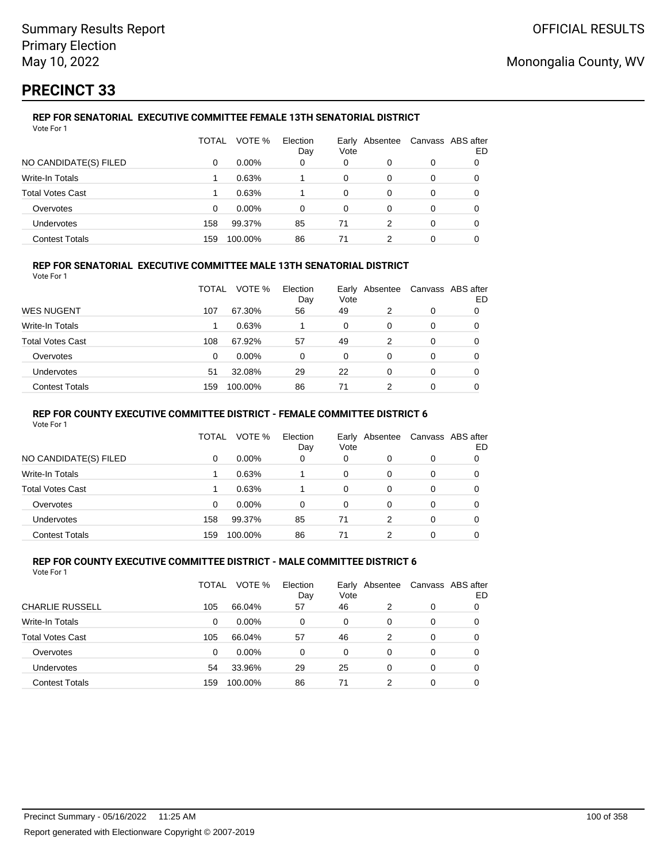# **PRECINCT 33**

## **REP FOR SENATORIAL EXECUTIVE COMMITTEE FEMALE 13TH SENATORIAL DISTRICT**

| Vote For 1              |       |          |                 |          |                |          |                         |
|-------------------------|-------|----------|-----------------|----------|----------------|----------|-------------------------|
|                         | TOTAL | VOTE %   | Election<br>Day | Vote     | Early Absentee |          | Canvass ABS after<br>ED |
| NO CANDIDATE(S) FILED   | 0     | $0.00\%$ | 0               | 0        | 0              | 0        | 0                       |
| Write-In Totals         |       | 0.63%    |                 | $\Omega$ | 0              | 0        |                         |
| <b>Total Votes Cast</b> |       | 0.63%    |                 | 0        | 0              | 0        | 0                       |
| Overvotes               | 0     | $0.00\%$ | 0               | 0        | 0              | 0        | 0                       |
| Undervotes              | 158   | 99.37%   | 85              | 71       | 2              | $\Omega$ |                         |
| <b>Contest Totals</b>   | 159   | 100.00%  | 86              | 71       | 2              | 0        |                         |

## **REP FOR SENATORIAL EXECUTIVE COMMITTEE MALE 13TH SENATORIAL DISTRICT**

Vote For 1

|                         | TOTAL | VOTE %   | Election<br>Day | Vote | Early Absentee | Canvass ABS after | ED |
|-------------------------|-------|----------|-----------------|------|----------------|-------------------|----|
| <b>WES NUGENT</b>       | 107   | 67.30%   | 56              | 49   | 2              | 0                 |    |
| Write-In Totals         |       | 0.63%    |                 | 0    | 0              | 0                 | O  |
| <b>Total Votes Cast</b> | 108   | 67.92%   | 57              | 49   | 2              | 0                 |    |
| Overvotes               | 0     | $0.00\%$ | 0               | 0    | 0              | 0                 |    |
| <b>Undervotes</b>       | 51    | 32.08%   | 29              | 22   | 0              | 0                 |    |
| <b>Contest Totals</b>   | 159   | 100.00%  | 86              | 71   | າ              | 0                 |    |

## **REP FOR COUNTY EXECUTIVE COMMITTEE DISTRICT - FEMALE COMMITTEE DISTRICT 6**

Vote For 1

|                       | TOTAL    | VOTE %   | Election<br>Day | Early<br>Vote | Absentee |   | Canvass ABS after<br>ED |
|-----------------------|----------|----------|-----------------|---------------|----------|---|-------------------------|
| NO CANDIDATE(S) FILED | 0        | $0.00\%$ | 0               | 0             | 0        | 0 | 0                       |
| Write-In Totals       |          | 0.63%    |                 | 0             | 0        | 0 | 0                       |
| Total Votes Cast      |          | 0.63%    |                 | 0             | 0        | 0 | 0                       |
| Overvotes             | $\Omega$ | $0.00\%$ | $\Omega$        | $\Omega$      | 0        | 0 | 0                       |
| <b>Undervotes</b>     | 158      | 99.37%   | 85              | 71            | 2        | 0 | 0                       |
| <b>Contest Totals</b> | 159      | 100.00%  | 86              | 71            | 2        | 0 |                         |

#### **REP FOR COUNTY EXECUTIVE COMMITTEE DISTRICT - MALE COMMITTEE DISTRICT 6** Vote For 1

|                         | TOTAL | VOTE %   | Election<br>Day | Vote | Early Absentee |          | Canvass ABS after<br>ED |
|-------------------------|-------|----------|-----------------|------|----------------|----------|-------------------------|
| <b>CHARLIE RUSSELL</b>  | 105   | 66.04%   | 57              | 46   | 2              | 0        |                         |
| Write-In Totals         | 0     | $0.00\%$ | 0               | 0    | 0              | 0        | 0                       |
| <b>Total Votes Cast</b> | 105   | 66.04%   | 57              | 46   | 2              | $\Omega$ | 0                       |
| Overvotes               | 0     | $0.00\%$ | 0               | 0    | 0              | $\Omega$ | 0                       |
| Undervotes              | 54    | 33.96%   | 29              | 25   | 0              | 0        | 0                       |
| <b>Contest Totals</b>   | 159   | 100.00%  | 86              | 71   | 2              | 0        |                         |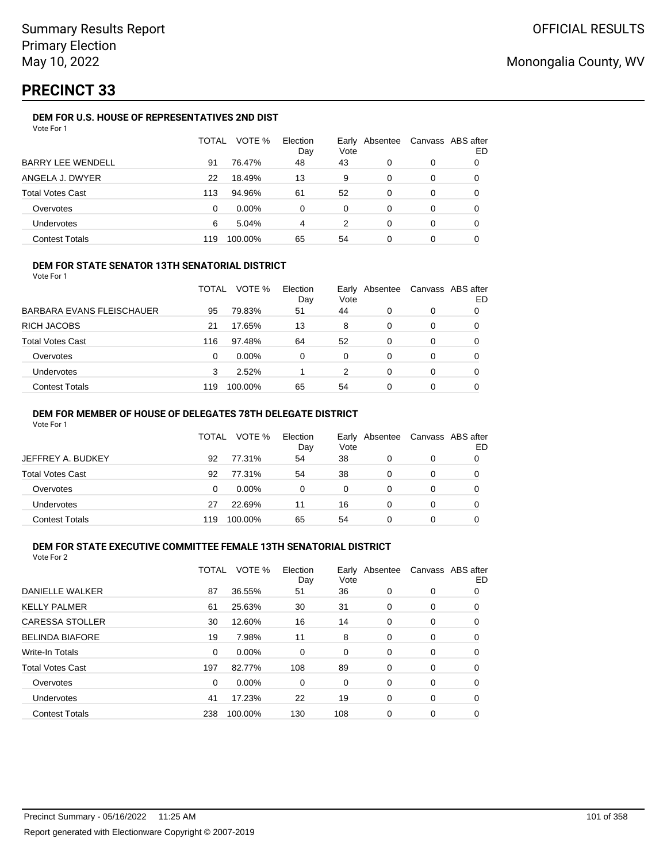# **PRECINCT 33**

## **DEM FOR U.S. HOUSE OF REPRESENTATIVES 2ND DIST**

|                          | TOTAL | VOTE %   | Election<br>Day | Vote | Early Absentee | Canvass ABS after | ED |
|--------------------------|-------|----------|-----------------|------|----------------|-------------------|----|
| <b>BARRY LEE WENDELL</b> | 91    | 76.47%   | 48              | 43   | O              | 0                 |    |
| ANGELA J. DWYER          | 22    | 18.49%   | 13              | 9    | 0              | 0                 |    |
| <b>Total Votes Cast</b>  | 113   | 94.96%   | 61              | 52   | 0              | 0                 |    |
| Overvotes                | 0     | $0.00\%$ | 0               | 0    | 0              | 0                 |    |
| Undervotes               | 6     | 5.04%    | 4               | 2    | 0              | 0                 |    |
| <b>Contest Totals</b>    | 119   | 100.00%  | 65              | 54   |                | 0                 |    |

## **DEM FOR STATE SENATOR 13TH SENATORIAL DISTRICT**

Vote For 1

|                           | TOTAL | VOTE %   | Election<br>Day | Vote | Early Absentee | Canvass ABS after | ED |
|---------------------------|-------|----------|-----------------|------|----------------|-------------------|----|
| BARBARA EVANS FLEISCHAUER | 95    | 79.83%   | 51              | 44   | 0              | 0                 |    |
| RICH JACOBS               | 21    | 17.65%   | 13              | 8    | 0              | 0                 |    |
| Total Votes Cast          | 116   | 97.48%   | 64              | 52   | 0              | 0                 |    |
| Overvotes                 | 0     | $0.00\%$ | 0               | 0    | 0              | 0                 |    |
| Undervotes                | 3     | 2.52%    |                 | 2    | 0              | 0                 |    |
| Contest Totals            | 119   | 100.00%  | 65              | 54   | 0              | 0                 |    |

## **DEM FOR MEMBER OF HOUSE OF DELEGATES 78TH DELEGATE DISTRICT**

Vote For 1

|                   | TOTAL | VOTE %   | Election<br>Day | Vote | Early Absentee | Canvass ABS after | ED |
|-------------------|-------|----------|-----------------|------|----------------|-------------------|----|
| JEFFREY A. BUDKEY | 92    | 77.31%   | 54              | 38   |                | 0                 |    |
| Total Votes Cast  | 92    | 77.31%   | 54              | 38   | O              | 0                 |    |
| Overvotes         | 0     | $0.00\%$ | 0               | 0    | O              | 0                 |    |
| Undervotes        | 27    | 22.69%   | 11              | 16   |                | 0                 |    |
| Contest Totals    | 119   | 100.00%  | 65              | 54   |                | ი                 |    |

## **DEM FOR STATE EXECUTIVE COMMITTEE FEMALE 13TH SENATORIAL DISTRICT**

| Vote For 2 |  |
|------------|--|
|------------|--|

|                         | TOTAL | VOTE %   | Election<br>Day | Vote | Early Absentee | Canvass ABS after | ED |
|-------------------------|-------|----------|-----------------|------|----------------|-------------------|----|
| DANIELLE WALKER         | 87    | 36.55%   | 51              | 36   | 0              | 0                 | 0  |
| <b>KELLY PALMER</b>     | 61    | 25.63%   | 30              | 31   | 0              | 0                 | 0  |
| <b>CARESSA STOLLER</b>  | 30    | 12.60%   | 16              | 14   | 0              | 0                 | 0  |
| <b>BELINDA BIAFORE</b>  | 19    | 7.98%    | 11              | 8    | 0              | 0                 | 0  |
| <b>Write-In Totals</b>  | 0     | $0.00\%$ | 0               | 0    | 0              | 0                 | 0  |
| <b>Total Votes Cast</b> | 197   | 82.77%   | 108             | 89   | 0              | 0                 | 0  |
| Overvotes               | 0     | $0.00\%$ | 0               | 0    | 0              | 0                 | 0  |
| Undervotes              | 41    | 17.23%   | 22              | 19   | 0              | 0                 | 0  |
| <b>Contest Totals</b>   | 238   | 100.00%  | 130             | 108  | 0              | 0                 | 0  |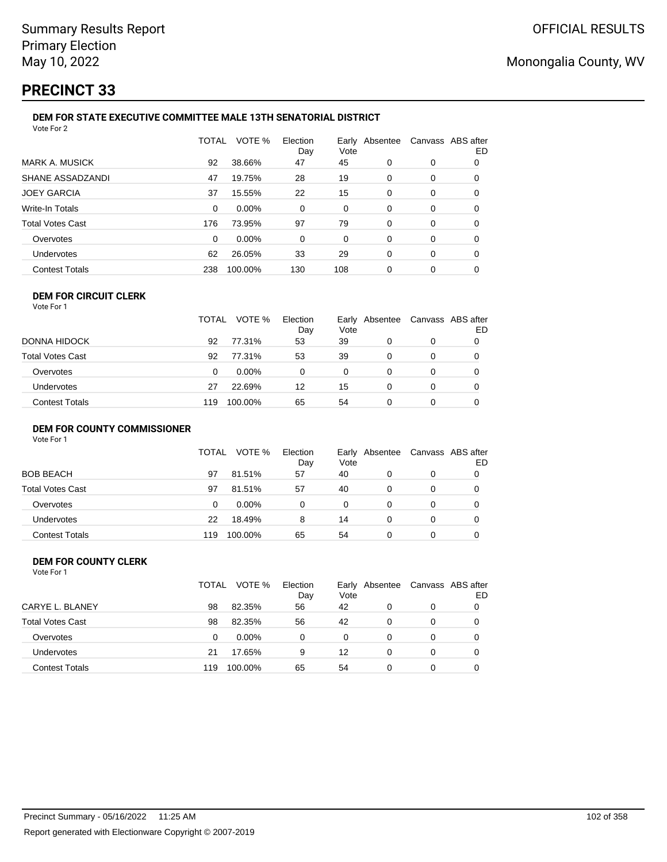# **PRECINCT 33**

#### **DEM FOR STATE EXECUTIVE COMMITTEE MALE 13TH SENATORIAL DISTRICT** Vote For 2

|                         | <b>TOTAL</b> | VOTE %  | Election<br>Day | Vote | Early Absentee | Canvass ABS after | ED |  |  |
|-------------------------|--------------|---------|-----------------|------|----------------|-------------------|----|--|--|
| <b>MARK A. MUSICK</b>   | 92           | 38.66%  | 47              | 45   | 0              | 0                 | 0  |  |  |
| SHANE ASSADZANDI        | 47           | 19.75%  | 28              | 19   | 0              | 0                 | 0  |  |  |
| <b>JOEY GARCIA</b>      | 37           | 15.55%  | 22              | 15   | $\Omega$       | 0                 | 0  |  |  |
| <b>Write-In Totals</b>  | 0            | 0.00%   | 0               | 0    | 0              | 0                 | 0  |  |  |
| <b>Total Votes Cast</b> | 176          | 73.95%  | 97              | 79   | 0              | 0                 | 0  |  |  |
| Overvotes               | 0            | 0.00%   | 0               | 0    | 0              | 0                 | 0  |  |  |
| Undervotes              | 62           | 26.05%  | 33              | 29   | $\Omega$       | 0                 | 0  |  |  |
| <b>Contest Totals</b>   | 238          | 100.00% | 130             | 108  | 0              | 0                 | O  |  |  |
|                         |              |         |                 |      |                |                   |    |  |  |

#### **DEM FOR CIRCUIT CLERK** Vote For 1

|                         | TOTAL | VOTE %   | Election<br>Day | Vote | Early Absentee | Canvass ABS after | ED |
|-------------------------|-------|----------|-----------------|------|----------------|-------------------|----|
| DONNA HIDOCK            | 92    | 77.31%   | 53              | 39   |                | 0                 |    |
| <b>Total Votes Cast</b> | 92    | 77.31%   | 53              | 39   |                | 0                 |    |
| Overvotes               | 0     | $0.00\%$ | 0               | 0    | 0              | 0                 |    |
| <b>Undervotes</b>       | 27    | 22.69%   | 12              | 15   | 0              | 0                 |    |
| <b>Contest Totals</b>   | 119   | 100.00%  | 65              | 54   |                | 0                 |    |

## **DEM FOR COUNTY COMMISSIONER**

| Vote For 1 |                       |     |
|------------|-----------------------|-----|
|            | TOTAL VOTE % Election |     |
|            |                       | Dav |

|                         |     |          | Day | Vote |   | ED |
|-------------------------|-----|----------|-----|------|---|----|
| <b>BOB BEACH</b>        | 97  | 81.51%   | 57  | 40   | 0 |    |
| <b>Total Votes Cast</b> | 97  | 81.51%   | 57  | 40   | 0 |    |
| Overvotes               | 0   | $0.00\%$ | ი   | 0    | 0 |    |
| <b>Undervotes</b>       | 22  | 18.49%   | 8   | 14   | 0 |    |
| <b>Contest Totals</b>   | 119 | 100.00%  | 65  | 54   | 0 |    |

Early Absentee Canvass ABS after

#### **DEM FOR COUNTY CLERK** Vote For 1

|                         | TOTAL | VOTE %   | Election<br>Day | Early<br>Vote | Absentee | Canvass ABS after | ED |
|-------------------------|-------|----------|-----------------|---------------|----------|-------------------|----|
| CARYE L. BLANEY         | 98    | 82.35%   | 56              | 42            | 0        | 0                 |    |
| <b>Total Votes Cast</b> | 98    | 82.35%   | 56              | 42            | 0        | 0                 |    |
| Overvotes               | 0     | $0.00\%$ | 0               | 0             | 0        | 0                 |    |
| <b>Undervotes</b>       | 21    | 17.65%   | 9               | 12            | $\Omega$ | 0                 |    |
| <b>Contest Totals</b>   | 119   | 100.00%  | 65              | 54            | 0        | 0                 |    |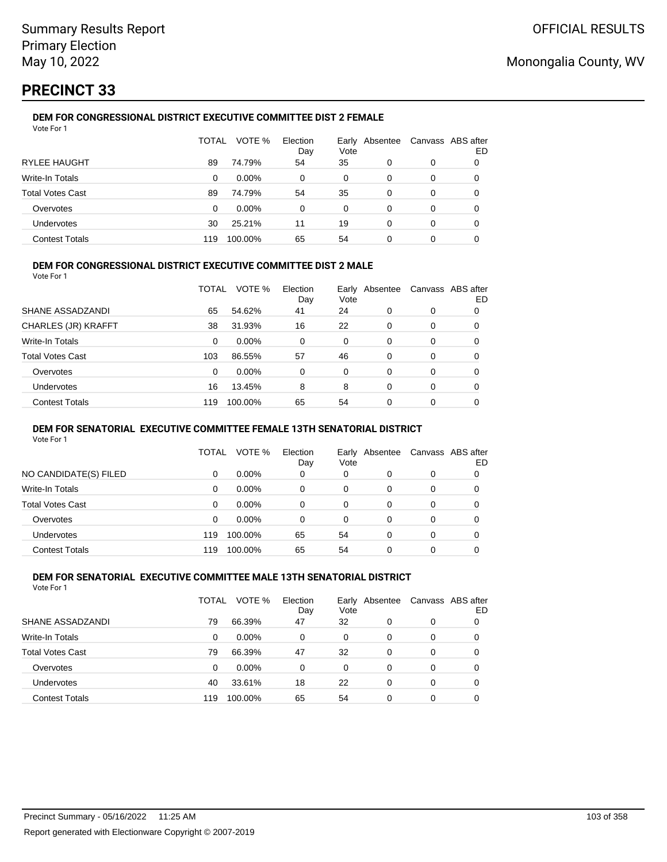# **PRECINCT 33**

#### **DEM FOR CONGRESSIONAL DISTRICT EXECUTIVE COMMITTEE DIST 2 FEMALE** Vote For 1

|                         | TOTAL | VOTE %   | Election<br>Day | Early<br>Vote | Absentee |   | Canvass ABS after<br>ED |
|-------------------------|-------|----------|-----------------|---------------|----------|---|-------------------------|
| <b>RYLEE HAUGHT</b>     | 89    | 74.79%   | 54              | 35            | $\Omega$ | 0 |                         |
| Write-In Totals         | 0     | $0.00\%$ | 0               | $\Omega$      | 0        | 0 |                         |
| <b>Total Votes Cast</b> | 89    | 74.79%   | 54              | 35            | 0        | 0 |                         |
| Overvotes               | 0     | $0.00\%$ | 0               | $\Omega$      | 0        | 0 | O                       |
| <b>Undervotes</b>       | 30    | 25.21%   | 11              | 19            | 0        | 0 | O                       |
| <b>Contest Totals</b>   | 119   | 100.00%  | 65              | 54            | 0        | 0 |                         |

## **DEM FOR CONGRESSIONAL DISTRICT EXECUTIVE COMMITTEE DIST 2 MALE**

Vote For 1

|                         | TOTAL | VOTE %  | Election<br>Day | Early<br>Vote | Absentee |          | Canvass ABS after<br>ED |
|-------------------------|-------|---------|-----------------|---------------|----------|----------|-------------------------|
| SHANE ASSADZANDI        | 65    | 54.62%  | 41              | 24            | 0        | 0        | 0                       |
| CHARLES (JR) KRAFFT     | 38    | 31.93%  | 16              | 22            | 0        | 0        | 0                       |
| Write-In Totals         | 0     | 0.00%   | 0               | $\Omega$      | 0        | $\Omega$ | 0                       |
| <b>Total Votes Cast</b> | 103   | 86.55%  | 57              | 46            | $\Omega$ | $\Omega$ | 0                       |
| Overvotes               | 0     | 0.00%   | 0               | $\Omega$      | 0        | $\Omega$ | 0                       |
| <b>Undervotes</b>       | 16    | 13.45%  | 8               | 8             | 0        | $\Omega$ | 0                       |
| <b>Contest Totals</b>   | 119   | 100.00% | 65              | 54            | 0        | 0        | 0                       |

## **DEM FOR SENATORIAL EXECUTIVE COMMITTEE FEMALE 13TH SENATORIAL DISTRICT**

Vote For 1

|                       | TOTAL | VOTE %   | Election<br>Day | Vote | Early Absentee | Canvass ABS after | ED |
|-----------------------|-------|----------|-----------------|------|----------------|-------------------|----|
| NO CANDIDATE(S) FILED | 0     | $0.00\%$ | 0               | 0    | O              | 0                 | 0  |
| Write-In Totals       | 0     | $0.00\%$ | 0               | 0    | 0              | 0                 | O  |
| Total Votes Cast      | 0     | $0.00\%$ | 0               | 0    | 0              | 0                 |    |
| Overvotes             | 0     | $0.00\%$ | 0               | 0    | 0              | 0                 |    |
| Undervotes            | 119   | 100.00%  | 65              | 54   | 0              | 0                 |    |
| <b>Contest Totals</b> | 119   | 100.00%  | 65              | 54   | 0              | 0                 |    |

#### **DEM FOR SENATORIAL EXECUTIVE COMMITTEE MALE 13TH SENATORIAL DISTRICT** Vote For 1

| 1 J J J J J J           |       |          |                 |      |                |                   |    |
|-------------------------|-------|----------|-----------------|------|----------------|-------------------|----|
|                         | TOTAL | VOTE %   | Election<br>Day | Vote | Early Absentee | Canvass ABS after | ED |
| SHANE ASSADZANDI        | 79    | 66.39%   | 47              | 32   | 0              | 0                 | O  |
| Write-In Totals         | 0     | $0.00\%$ | 0               | 0    | 0              | 0                 | O  |
| <b>Total Votes Cast</b> | 79    | 66.39%   | 47              | 32   | 0              | 0                 | 0  |
| Overvotes               | 0     | $0.00\%$ | 0               | 0    | 0              | 0                 | 0  |
| Undervotes              | 40    | 33.61%   | 18              | 22   | 0              | 0                 | 0  |
| <b>Contest Totals</b>   | 119   | 100.00%  | 65              | 54   | $\Omega$       | 0                 |    |
|                         |       |          |                 |      |                |                   |    |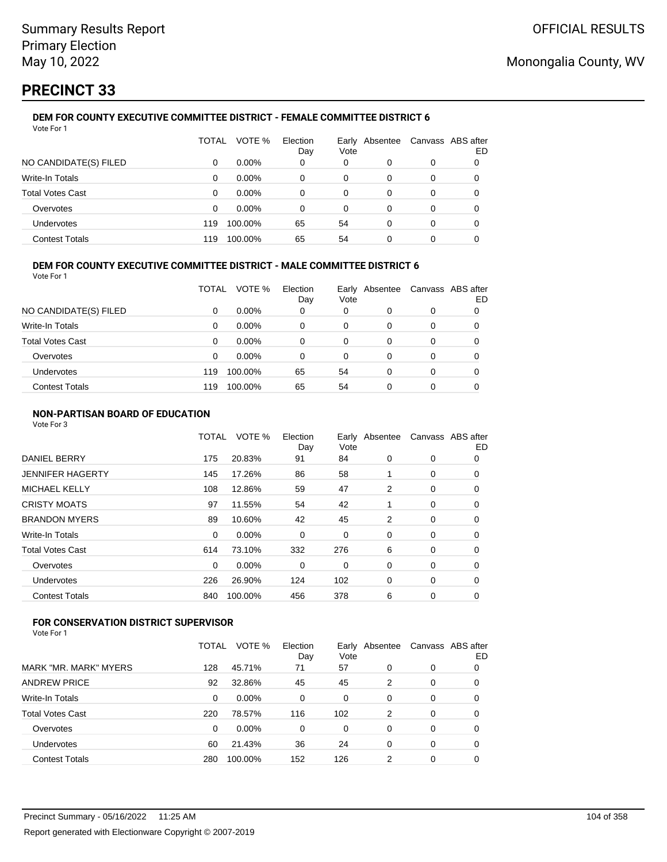# **PRECINCT 33**

#### **DEM FOR COUNTY EXECUTIVE COMMITTEE DISTRICT - FEMALE COMMITTEE DISTRICT 6** Vote For 1

|                         | TOTAL | VOTE %   | Election<br>Day | Earlv<br>Vote | Absentee | Canvass ABS after | ED |
|-------------------------|-------|----------|-----------------|---------------|----------|-------------------|----|
| NO CANDIDATE(S) FILED   | 0     | $0.00\%$ | 0               | 0             | $\Omega$ | 0                 |    |
| Write-In Totals         | 0     | $0.00\%$ | $\Omega$        | 0             | 0        | 0                 |    |
| <b>Total Votes Cast</b> | 0     | $0.00\%$ | 0               | 0             | 0        | 0                 |    |
| Overvotes               | 0     | $0.00\%$ | 0               | 0             | 0        | 0                 |    |
| Undervotes              | 119   | 100.00%  | 65              | 54            | 0        | 0                 |    |
| <b>Contest Totals</b>   | 119   | 100.00%  | 65              | 54            |          | 0                 |    |

## **DEM FOR COUNTY EXECUTIVE COMMITTEE DISTRICT - MALE COMMITTEE DISTRICT 6**

Vote For 1

|                         | TOTAL | VOTE %   | Election<br>Day | Vote | Early Absentee | Canvass ABS after | ED |
|-------------------------|-------|----------|-----------------|------|----------------|-------------------|----|
| NO CANDIDATE(S) FILED   | 0     | $0.00\%$ | 0               | 0    | 0              | 0                 |    |
| <b>Write-In Totals</b>  | 0     | $0.00\%$ | 0               | 0    | 0              | 0                 |    |
| <b>Total Votes Cast</b> | 0     | $0.00\%$ | 0               | 0    | 0              | 0                 |    |
| Overvotes               | 0     | $0.00\%$ | 0               | 0    | 0              | 0                 |    |
| Undervotes              | 119   | 100.00%  | 65              | 54   | 0              | 0                 |    |
| <b>Contest Totals</b>   | 119   | 100.00%  | 65              | 54   | 0              | 0                 |    |

## **NON-PARTISAN BOARD OF EDUCATION**

Vote For 3

|                       | TOTAL    | VOTE %  | Election<br>Day | Early Absentee<br>Vote |                | Canvass ABS after | ED |
|-----------------------|----------|---------|-----------------|------------------------|----------------|-------------------|----|
| <b>DANIEL BERRY</b>   | 175      | 20.83%  | 91              | 84                     | 0              | 0                 | 0  |
| JENNIFER HAGERTY      | 145      | 17.26%  | 86              | 58                     |                | 0                 | 0  |
| <b>MICHAEL KELLY</b>  | 108      | 12.86%  | 59              | 47                     | $\overline{2}$ | 0                 | 0  |
| CRISTY MOATS          | 97       | 11.55%  | 54              | 42                     |                | 0                 | 0  |
| <b>BRANDON MYERS</b>  | 89       | 10.60%  | 42              | 45                     | 2              | $\mathbf 0$       | 0  |
| Write-In Totals       | $\Omega$ | 0.00%   | 0               | 0                      | 0              | 0                 | 0  |
| Total Votes Cast      | 614      | 73.10%  | 332             | 276                    | 6              | 0                 | 0  |
| Overvotes             | $\Omega$ | 0.00%   | 0               | 0                      | 0              | 0                 | 0  |
| Undervotes            | 226      | 26.90%  | 124             | 102                    | 0              | 0                 | 0  |
| <b>Contest Totals</b> | 840      | 100.00% | 456             | 378                    | 6              | 0                 | 0  |
|                       |          |         |                 |                        |                |                   |    |

## **FOR CONSERVATION DISTRICT SUPERVISOR**

|                         | <b>TOTAL</b> | VOTE %   | Election<br>Day | Vote | Early Absentee |   | Canvass ABS after<br>ED |
|-------------------------|--------------|----------|-----------------|------|----------------|---|-------------------------|
| MARK "MR. MARK" MYERS   | 128          | 45.71%   | 71              | 57   | 0              | 0 | 0                       |
| <b>ANDREW PRICE</b>     | 92           | 32.86%   | 45              | 45   | 2              | 0 | 0                       |
| Write-In Totals         | 0            | 0.00%    | 0               | 0    | 0              | 0 | 0                       |
| <b>Total Votes Cast</b> | 220          | 78.57%   | 116             | 102  | 2              | 0 | 0                       |
| Overvotes               | 0            | $0.00\%$ | 0               | 0    | 0              | 0 | 0                       |
| Undervotes              | 60           | 21.43%   | 36              | 24   | 0              | 0 | 0                       |
| <b>Contest Totals</b>   | 280          | 100.00%  | 152             | 126  | 2              | 0 | 0                       |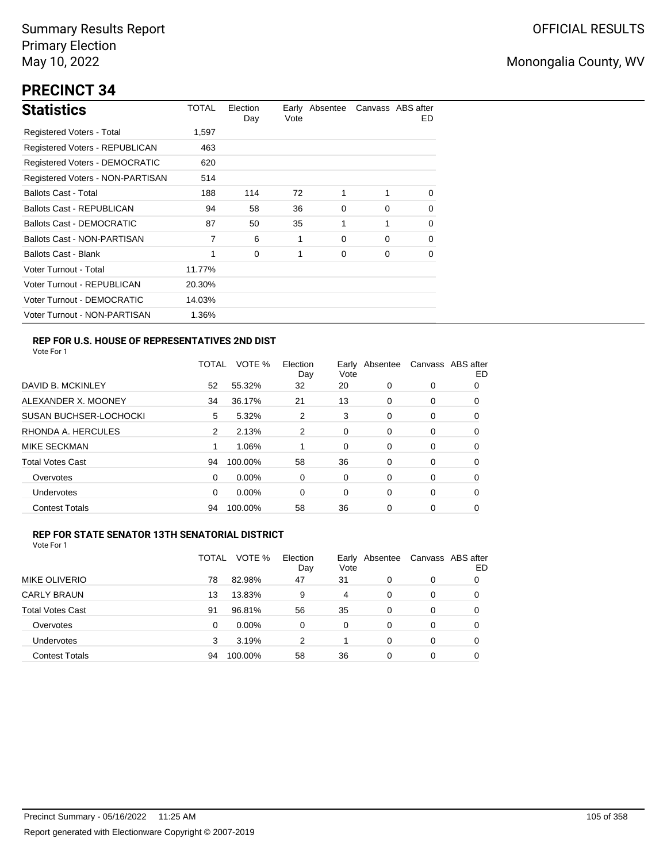# **PRECINCT 34**

| <b>Statistics</b>                | TOTAL  | Election<br>Day | Vote | Early Absentee |          | Canvass ABS after<br>ED. |
|----------------------------------|--------|-----------------|------|----------------|----------|--------------------------|
| Registered Voters - Total        | 1,597  |                 |      |                |          |                          |
| Registered Voters - REPUBLICAN   | 463    |                 |      |                |          |                          |
| Registered Voters - DEMOCRATIC   | 620    |                 |      |                |          |                          |
| Registered Voters - NON-PARTISAN | 514    |                 |      |                |          |                          |
| <b>Ballots Cast - Total</b>      | 188    | 114             | 72   | 1              | 1        | $\Omega$                 |
| Ballots Cast - REPUBLICAN        | 94     | 58              | 36   | 0              | $\Omega$ | $\Omega$                 |
| Ballots Cast - DEMOCRATIC        | 87     | 50              | 35   | 1              | 1        | 0                        |
| Ballots Cast - NON-PARTISAN      | 7      | 6               | 1    | 0              | $\Omega$ | $\Omega$                 |
| <b>Ballots Cast - Blank</b>      | 1      | 0               | 1    | 0              | 0        | 0                        |
| Voter Turnout - Total            | 11.77% |                 |      |                |          |                          |
| Voter Turnout - REPUBLICAN       | 20.30% |                 |      |                |          |                          |
| Voter Turnout - DEMOCRATIC       | 14.03% |                 |      |                |          |                          |
| Voter Turnout - NON-PARTISAN     | 1.36%  |                 |      |                |          |                          |

## **REP FOR U.S. HOUSE OF REPRESENTATIVES 2ND DIST**

Vote For 1

|                               | TOTAL | VOTE %   | Election<br>Day | Earlv<br>Vote | Absentee |   | Canvass ABS after<br>ED |
|-------------------------------|-------|----------|-----------------|---------------|----------|---|-------------------------|
| DAVID B. MCKINLEY             | 52    | 55.32%   | 32              | 20            | 0        | 0 | O                       |
| ALEXANDER X. MOONEY           | 34    | 36.17%   | 21              | 13            | 0        | 0 | 0                       |
| <b>SUSAN BUCHSER-LOCHOCKI</b> | 5     | 5.32%    | 2               | 3             | 0        | 0 | 0                       |
| RHONDA A. HERCULES            | 2     | 2.13%    | 2               | 0             | 0        | 0 | 0                       |
| MIKE SECKMAN                  |       | 1.06%    |                 | 0             | 0        | 0 | 0                       |
| <b>Total Votes Cast</b>       | 94    | 100.00%  | 58              | 36            | 0        | 0 | 0                       |
| Overvotes                     | 0     | $0.00\%$ | 0               | 0             | 0        | 0 | 0                       |
| Undervotes                    | 0     | $0.00\%$ | 0               | 0             | 0        | 0 | 0                       |
| <b>Contest Totals</b>         | 94    | 100.00%  | 58              | 36            | 0        | 0 | 0                       |

## **REP FOR STATE SENATOR 13TH SENATORIAL DISTRICT**

|                         | TOTAL | VOTE %  | Election<br>Day | Vote | Early Absentee | Canvass ABS after | ED |
|-------------------------|-------|---------|-----------------|------|----------------|-------------------|----|
| <b>MIKE OLIVERIO</b>    | 78    | 82.98%  | 47              | 31   | 0              | 0                 | 0  |
| <b>CARLY BRAUN</b>      | 13    | 13.83%  | 9               | 4    | 0              | 0                 | O  |
| <b>Total Votes Cast</b> | 91    | 96.81%  | 56              | 35   | $\Omega$       | 0                 | O  |
| Overvotes               | 0     | 0.00%   | 0               | 0    | 0              | 0                 | O  |
| <b>Undervotes</b>       | 3     | 3.19%   | 2               |      | 0              | 0                 | O  |
| <b>Contest Totals</b>   | 94    | 100.00% | 58              | 36   | 0              | 0                 |    |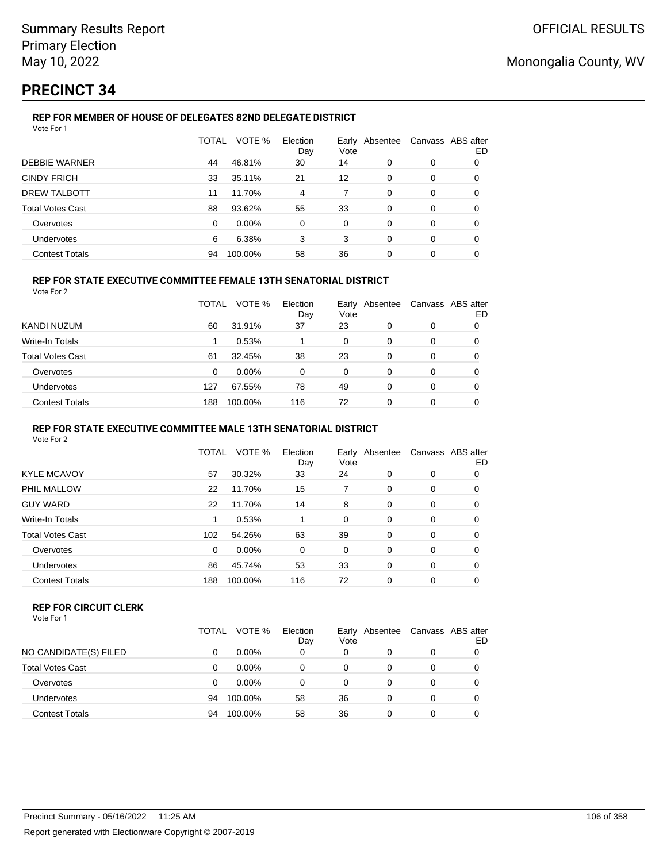# **PRECINCT 34**

#### **REP FOR MEMBER OF HOUSE OF DELEGATES 82ND DELEGATE DISTRICT** Vote For 1

|                         | <b>TOTAL</b> | VOTE %  | Election<br>Day | Vote     | Early Absentee | Canvass ABS after | ED |
|-------------------------|--------------|---------|-----------------|----------|----------------|-------------------|----|
| <b>DEBBIE WARNER</b>    | 44           | 46.81%  | 30              | 14       | 0              | 0                 | 0  |
| <b>CINDY FRICH</b>      | 33           | 35.11%  | 21              | 12       | 0              | 0                 | 0  |
| DREW TALBOTT            | 11           | 11.70%  | 4               |          | $\Omega$       | 0                 | 0  |
| <b>Total Votes Cast</b> | 88           | 93.62%  | 55              | 33       | 0              | 0                 | 0  |
| Overvotes               | 0            | 0.00%   | 0               | $\Omega$ | $\Omega$       | 0                 | 0  |
| <b>Undervotes</b>       | 6            | 6.38%   | 3               | 3        | 0              | 0                 | 0  |
| <b>Contest Totals</b>   | 94           | 100.00% | 58              | 36       | 0              | 0                 |    |

## **REP FOR STATE EXECUTIVE COMMITTEE FEMALE 13TH SENATORIAL DISTRICT**

Vote For 2

|                         | <b>TOTAL</b> | VOTE %   | Election<br>Day | Early Absentee<br>Vote |   |   | Canvass ABS after<br>ED |
|-------------------------|--------------|----------|-----------------|------------------------|---|---|-------------------------|
| KANDI NUZUM             | 60           | 31.91%   | 37              | 23                     | 0 | 0 |                         |
| Write-In Totals         |              | 0.53%    |                 | 0                      | 0 | 0 |                         |
| <b>Total Votes Cast</b> | 61           | 32.45%   | 38              | 23                     | 0 | 0 |                         |
| Overvotes               | 0            | $0.00\%$ | 0               | 0                      | 0 | 0 |                         |
| Undervotes              | 127          | 67.55%   | 78              | 49                     | 0 | 0 |                         |
| <b>Contest Totals</b>   | 188          | 100.00%  | 116             | 72                     | 0 | 0 |                         |

### **REP FOR STATE EXECUTIVE COMMITTEE MALE 13TH SENATORIAL DISTRICT**

Vote For 2

|                         | TOTAL | VOTE %   | Election<br>Day | Early<br>Vote | Absentee |   | Canvass ABS after<br>ED |
|-------------------------|-------|----------|-----------------|---------------|----------|---|-------------------------|
| <b>KYLE MCAVOY</b>      | 57    | 30.32%   | 33              | 24            | 0        | 0 | 0                       |
| PHIL MALLOW             | 22    | 11.70%   | 15              | 7             | 0        | 0 | 0                       |
| <b>GUY WARD</b>         | 22    | 11.70%   | 14              | 8             | 0        | 0 | 0                       |
| Write-In Totals         |       | 0.53%    |                 | 0             | 0        | 0 | 0                       |
| <b>Total Votes Cast</b> | 102   | 54.26%   | 63              | 39            | 0        | 0 | 0                       |
| Overvotes               | 0     | $0.00\%$ | 0               | 0             | 0        | 0 | 0                       |
| <b>Undervotes</b>       | 86    | 45.74%   | 53              | 33            | 0        | 0 | 0                       |
| <b>Contest Totals</b>   | 188   | 100.00%  | 116             | 72            | 0        | 0 | 0                       |

### **REP FOR CIRCUIT CLERK**

|                         | TOTAL | VOTE %   | Election<br>Day | Early<br>Vote | Absentee | Canvass ABS after | ED |
|-------------------------|-------|----------|-----------------|---------------|----------|-------------------|----|
| NO CANDIDATE(S) FILED   |       | $0.00\%$ | 0               | 0             | 0        | 0                 |    |
| <b>Total Votes Cast</b> |       | $0.00\%$ | 0               | 0             | 0        | 0                 |    |
| Overvotes               |       | $0.00\%$ | 0               | 0             | $\Omega$ | 0                 |    |
| Undervotes              | 94    | 100.00%  | 58              | 36            | 0        | 0                 |    |
| <b>Contest Totals</b>   | 94    | 100.00%  | 58              | 36            | 0        | 0                 |    |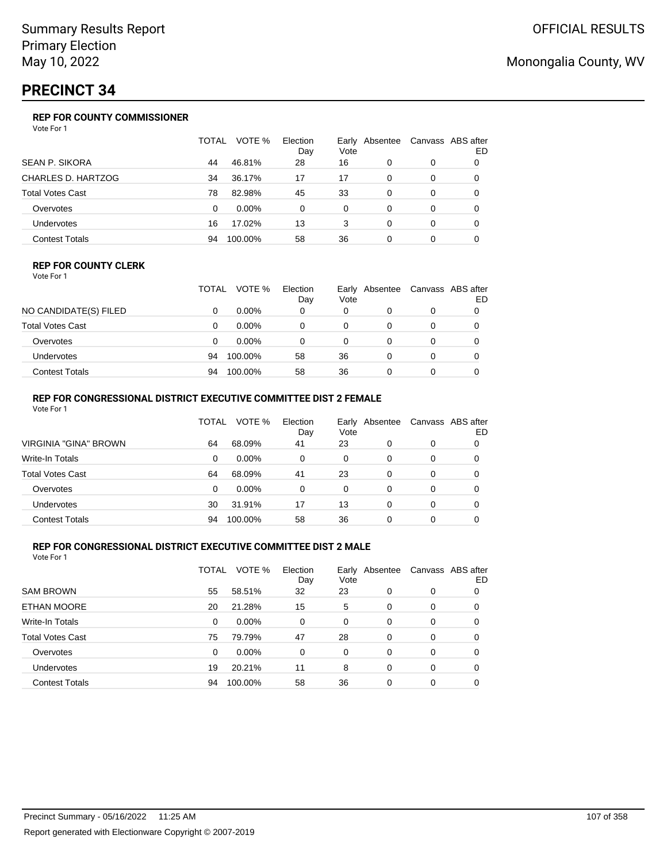# **PRECINCT 34**

## **REP FOR COUNTY COMMISSIONER**

Vote For 1

|                         | TOTAL | VOTE %   | Election<br>Day | Vote | Early Absentee |          | Canvass ABS after<br>ED |
|-------------------------|-------|----------|-----------------|------|----------------|----------|-------------------------|
| <b>SEAN P. SIKORA</b>   | 44    | 46.81%   | 28              | 16   | 0              | 0        |                         |
| CHARLES D. HARTZOG      | 34    | 36.17%   | 17              | 17   | $\Omega$       | 0        | 0                       |
| <b>Total Votes Cast</b> | 78    | 82.98%   | 45              | 33   | 0              | 0        |                         |
| Overvotes               | 0     | $0.00\%$ | 0               | 0    | 0              | 0        | 0                       |
| Undervotes              | 16    | 17.02%   | 13              | 3    | 0              | $\Omega$ | 0                       |
| <b>Contest Totals</b>   | 94    | 100.00%  | 58              | 36   | 0              | 0        |                         |

### **REP FOR COUNTY CLERK**

Vote For 1

|                         | TOTAL | VOTE %   | Election<br>Day | Vote | Early Absentee | Canvass ABS after<br>ED |
|-------------------------|-------|----------|-----------------|------|----------------|-------------------------|
| NO CANDIDATE(S) FILED   |       | $0.00\%$ | 0               | 0    |                |                         |
| <b>Total Votes Cast</b> |       | $0.00\%$ |                 | 0    |                |                         |
| Overvotes               |       | $0.00\%$ | 0               | 0    |                |                         |
| Undervotes              | 94    | 100.00%  | 58              | 36   |                |                         |
| <b>Contest Totals</b>   | 94    | 100.00%  | 58              | 36   |                |                         |

## **REP FOR CONGRESSIONAL DISTRICT EXECUTIVE COMMITTEE DIST 2 FEMALE**

| Vote For 1              |       |          |                 |          |                |                   |    |
|-------------------------|-------|----------|-----------------|----------|----------------|-------------------|----|
|                         | TOTAL | VOTE %   | Election<br>Day | Vote     | Early Absentee | Canvass ABS after | ED |
| VIRGINIA "GINA" BROWN   | 64    | 68.09%   | 41              | 23       | 0              | 0                 | 0  |
| Write-In Totals         | 0     | $0.00\%$ | 0               | 0        | 0              | 0                 | 0  |
| <b>Total Votes Cast</b> | 64    | 68.09%   | 41              | 23       | $\Omega$       | 0                 |    |
| Overvotes               | 0     | 0.00%    | 0               | $\Omega$ | 0              | 0                 |    |
| <b>Undervotes</b>       | 30    | 31.91%   | 17              | 13       | 0              | 0                 | 0  |
| <b>Contest Totals</b>   | 94    | 100.00%  | 58              | 36       | 0              | 0                 |    |

## **REP FOR CONGRESSIONAL DISTRICT EXECUTIVE COMMITTEE DIST 2 MALE**

|                         | TOTAL | VOTE %  | Election<br>Day | Vote | Early Absentee |          | Canvass ABS after<br>ED |
|-------------------------|-------|---------|-----------------|------|----------------|----------|-------------------------|
| <b>SAM BROWN</b>        | 55    | 58.51%  | 32              | 23   | 0              | 0        | O                       |
| ETHAN MOORE             | 20    | 21.28%  | 15              | 5    | 0              | 0        | O                       |
| Write-In Totals         | 0     | 0.00%   | $\Omega$        | 0    | $\Omega$       | $\Omega$ | 0                       |
| <b>Total Votes Cast</b> | 75    | 79.79%  | 47              | 28   | 0              | 0        | 0                       |
| Overvotes               | 0     | 0.00%   | 0               | 0    | 0              | 0        | 0                       |
| Undervotes              | 19    | 20.21%  | 11              | 8    | 0              | 0        | 0                       |
| <b>Contest Totals</b>   | 94    | 100.00% | 58              | 36   | 0              | 0        |                         |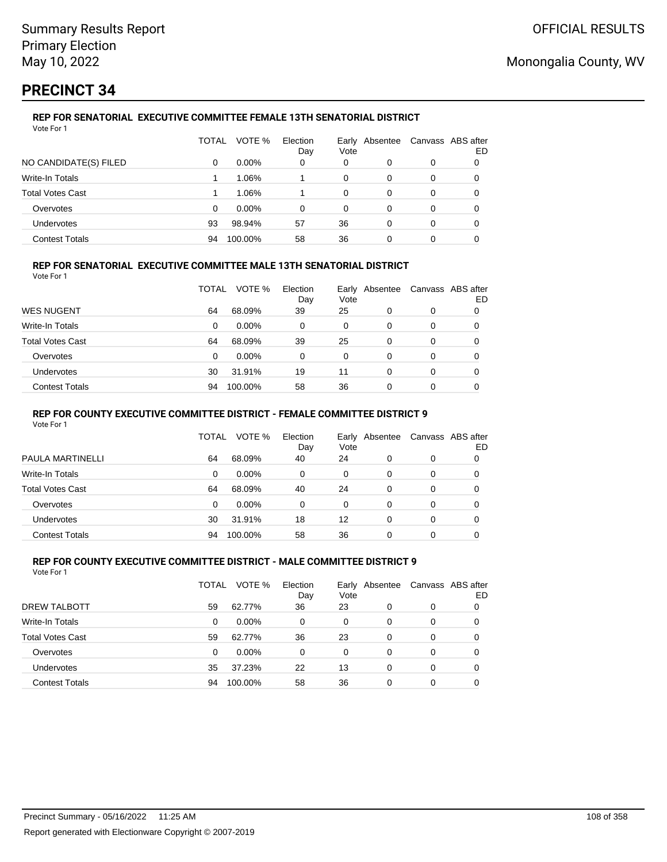# **PRECINCT 34**

#### **REP FOR SENATORIAL EXECUTIVE COMMITTEE FEMALE 13TH SENATORIAL DISTRICT** Vote For 1

|                         | TOTAL | VOTE %   | Election<br>Day | Vote     | Early Absentee |   | Canvass ABS after<br>ED |
|-------------------------|-------|----------|-----------------|----------|----------------|---|-------------------------|
| NO CANDIDATE(S) FILED   | 0     | $0.00\%$ | 0               | 0        | 0              | 0 |                         |
| Write-In Totals         |       | 1.06%    |                 | $\Omega$ | 0              | 0 |                         |
| <b>Total Votes Cast</b> |       | 1.06%    |                 | $\Omega$ | 0              | 0 |                         |
| Overvotes               | 0     | $0.00\%$ | $\Omega$        | 0        | 0              | 0 |                         |
| Undervotes              | 93    | 98.94%   | 57              | 36       | 0              | 0 |                         |
| <b>Contest Totals</b>   | 94    | 100.00%  | 58              | 36       | 0              | 0 |                         |

## **REP FOR SENATORIAL EXECUTIVE COMMITTEE MALE 13TH SENATORIAL DISTRICT**

Vote For 1

|                         | TOTAL | VOTE %   | Election<br>Day | Vote | Early Absentee | Canvass ABS after | ED |
|-------------------------|-------|----------|-----------------|------|----------------|-------------------|----|
| <b>WES NUGENT</b>       | 64    | 68.09%   | 39              | 25   | 0              | 0                 |    |
| Write-In Totals         | 0     | $0.00\%$ | 0               | 0    | 0              | 0                 |    |
| <b>Total Votes Cast</b> | 64    | 68.09%   | 39              | 25   | 0              | 0                 |    |
| Overvotes               | 0     | $0.00\%$ | 0               | 0    | 0              | 0                 |    |
| <b>Undervotes</b>       | 30    | 31.91%   | 19              | 11   | 0              | 0                 |    |
| <b>Contest Totals</b>   | 94    | 100.00%  | 58              | 36   | 0              | 0                 |    |

## **REP FOR COUNTY EXECUTIVE COMMITTEE DISTRICT - FEMALE COMMITTEE DISTRICT 9**

Vote For 1

|                       | TOTAL    | VOTE %   | Election<br>Day | Vote | Early Absentee |   | Canvass ABS after<br>ED |
|-----------------------|----------|----------|-----------------|------|----------------|---|-------------------------|
| PAULA MARTINELLI      | 64       | 68.09%   | 40              | 24   |                | 0 |                         |
| Write-In Totals       | 0        | $0.00\%$ | 0               | 0    | 0              | 0 | 0                       |
| Total Votes Cast      | 64       | 68.09%   | 40              | 24   | $\Omega$       | 0 | 0                       |
| Overvotes             | $\Omega$ | $0.00\%$ | 0               | 0    | 0              | 0 |                         |
| <b>Undervotes</b>     | 30       | 31.91%   | 18              | 12   | 0              | 0 |                         |
| <b>Contest Totals</b> | 94       | 100.00%  | 58              | 36   |                |   |                         |

#### **REP FOR COUNTY EXECUTIVE COMMITTEE DISTRICT - MALE COMMITTEE DISTRICT 9** Vote For 1

|                         | TOTAL | VOTE %   | Election<br>Day | Vote | Early Absentee |          | Canvass ABS after<br>ED |
|-------------------------|-------|----------|-----------------|------|----------------|----------|-------------------------|
| DREW TALBOTT            | 59    | 62.77%   | 36              | 23   | 0              | 0        |                         |
| Write-In Totals         | 0     | $0.00\%$ | 0               | 0    | 0              | $\Omega$ | 0                       |
| <b>Total Votes Cast</b> | 59    | 62.77%   | 36              | 23   | 0              | 0        | 0                       |
| Overvotes               | 0     | $0.00\%$ | 0               | 0    | $\Omega$       | 0        | 0                       |
| Undervotes              | 35    | 37.23%   | 22              | 13   | 0              | 0        |                         |
| <b>Contest Totals</b>   | 94    | 100.00%  | 58              | 36   | 0              | 0        |                         |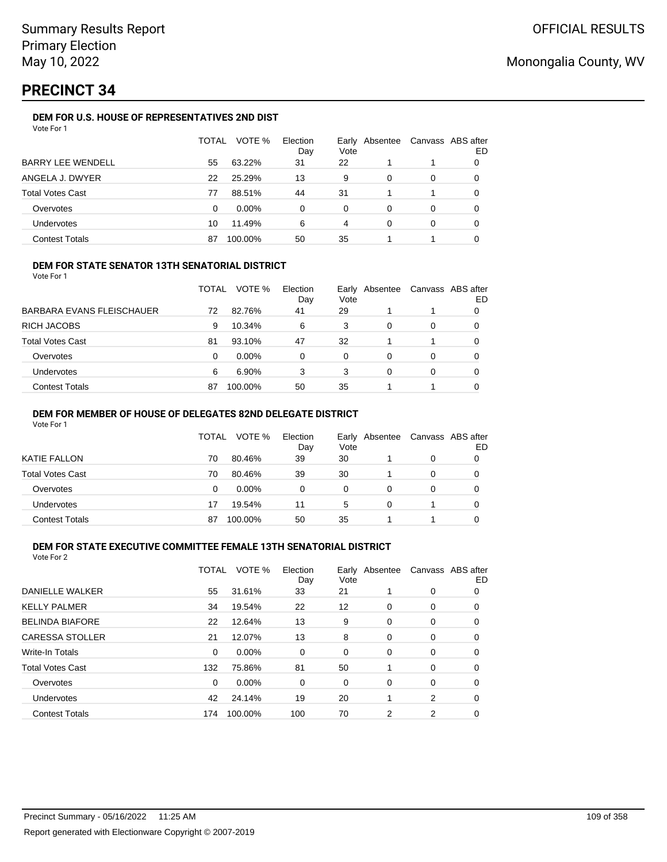# **PRECINCT 34**

### **DEM FOR U.S. HOUSE OF REPRESENTATIVES 2ND DIST**

| Vote For 1 |  |
|------------|--|
|------------|--|

|                          | TOTAL | VOTE %   | Election<br>Day | Vote | Early Absentee |   | Canvass ABS after<br>ED |
|--------------------------|-------|----------|-----------------|------|----------------|---|-------------------------|
| <b>BARRY LEE WENDELL</b> | 55    | 63.22%   | 31              | 22   |                |   |                         |
| ANGELA J. DWYER          | 22    | 25.29%   | 13              | 9    | 0              | 0 |                         |
| <b>Total Votes Cast</b>  | 77    | 88.51%   | 44              | 31   |                |   | 0                       |
| Overvotes                | 0     | $0.00\%$ | 0               | 0    | $\Omega$       | 0 |                         |
| Undervotes               | 10    | 11.49%   | 6               | 4    | 0              | 0 |                         |
| <b>Contest Totals</b>    | 87    | 100.00%  | 50              | 35   |                |   |                         |

#### **DEM FOR STATE SENATOR 13TH SENATORIAL DISTRICT**

Vote For 1

|                           | TOTAL | VOTE %   | Election<br>Day | Vote | Early Absentee | Canvass ABS after | ED |
|---------------------------|-------|----------|-----------------|------|----------------|-------------------|----|
| BARBARA EVANS FLEISCHAUER | 72    | 82.76%   | 41              | 29   |                |                   |    |
| RICH JACOBS               | 9     | 10.34%   | 6               | 3    | 0              | 0                 |    |
| Total Votes Cast          | 81    | 93.10%   | 47              | 32   |                |                   |    |
| Overvotes                 | 0     | $0.00\%$ | 0               | 0    | 0              | 0                 |    |
| Undervotes                | 6     | 6.90%    | 3               | 3    | 0              | 0                 |    |
| <b>Contest Totals</b>     | 87    | 100.00%  | 50              | 35   |                |                   |    |

#### **DEM FOR MEMBER OF HOUSE OF DELEGATES 82ND DELEGATE DISTRICT**

Vote For 1

|                  | TOTAL | VOTE %   | Election<br>Day | Vote | Early Absentee | Canvass ABS after | ED |
|------------------|-------|----------|-----------------|------|----------------|-------------------|----|
| KATIE FALLON     | 70    | 80.46%   | 39              | 30   |                | 0                 |    |
| Total Votes Cast | 70    | 80.46%   | 39              | 30   |                | 0                 |    |
| Overvotes        | 0     | $0.00\%$ | 0               | 0    | O              | 0                 |    |
| Undervotes       | 17    | 19.54%   | 11              | 5    | 0              |                   |    |
| Contest Totals   | 87    | 100.00%  | 50              | 35   |                |                   |    |

### **DEM FOR STATE EXECUTIVE COMMITTEE FEMALE 13TH SENATORIAL DISTRICT**

| Vote For 2 |  |
|------------|--|
|            |  |

|                         | TOTAL | VOTE %   | Election<br>Day | Vote | Early Absentee |   | Canvass ABS after<br>ED |
|-------------------------|-------|----------|-----------------|------|----------------|---|-------------------------|
| DANIELLE WALKER         | 55    | 31.61%   | 33              | 21   |                | 0 | 0                       |
| <b>KELLY PALMER</b>     | 34    | 19.54%   | 22              | 12   | 0              | 0 | 0                       |
| <b>BELINDA BIAFORE</b>  | 22    | 12.64%   | 13              | 9    | 0              | 0 | 0                       |
| <b>CARESSA STOLLER</b>  | 21    | 12.07%   | 13              | 8    | 0              | 0 | 0                       |
| <b>Write-In Totals</b>  | 0     | 0.00%    | 0               | 0    | 0              | 0 | 0                       |
| <b>Total Votes Cast</b> | 132   | 75.86%   | 81              | 50   |                | 0 | 0                       |
| Overvotes               | 0     | $0.00\%$ | 0               | 0    | 0              | 0 | 0                       |
| <b>Undervotes</b>       | 42    | 24.14%   | 19              | 20   |                | 2 | 0                       |
| <b>Contest Totals</b>   | 174   | 100.00%  | 100             | 70   | 2              | 2 | 0                       |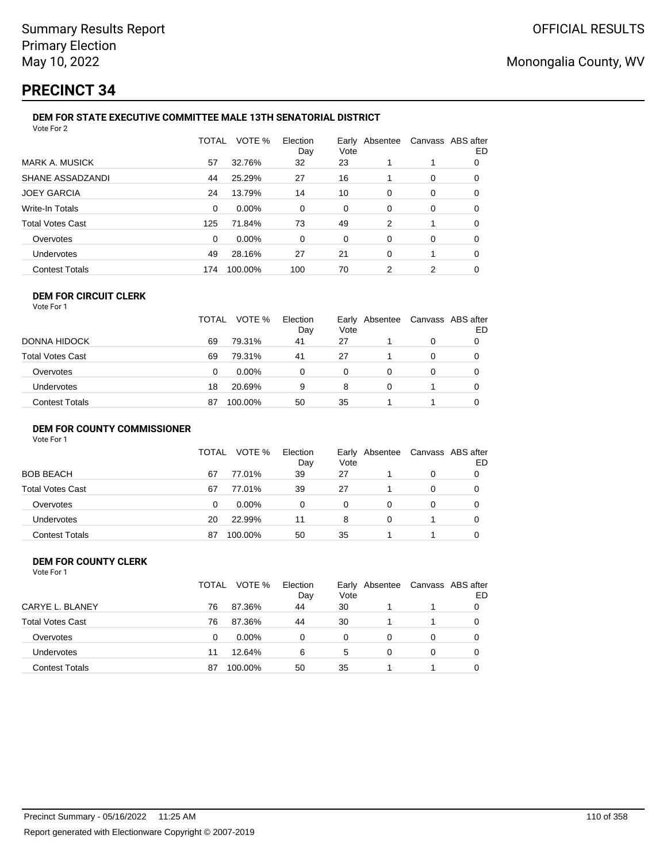## **PRECINCT 34**

#### **DEM FOR STATE EXECUTIVE COMMITTEE MALE 13TH SENATORIAL DISTRICT** Vote For 2

|                         | <b>TOTAL</b> | VOTE %  | Election<br>Day | Vote | Early Absentee | Canvass ABS after | ED |  |  |
|-------------------------|--------------|---------|-----------------|------|----------------|-------------------|----|--|--|
| <b>MARK A. MUSICK</b>   | 57           | 32.76%  | 32              | 23   |                |                   | 0  |  |  |
| SHANE ASSADZANDI        | 44           | 25.29%  | 27              | 16   |                | 0                 | 0  |  |  |
| <b>JOEY GARCIA</b>      | 24           | 13.79%  | 14              | 10   | 0              | 0                 | 0  |  |  |
| Write-In Totals         | 0            | 0.00%   | $\Omega$        | 0    | $\Omega$       | 0                 | 0  |  |  |
| <b>Total Votes Cast</b> | 125          | 71.84%  | 73              | 49   | 2              |                   | 0  |  |  |
| Overvotes               | 0            | 0.00%   | $\Omega$        | 0    | $\Omega$       | 0                 | 0  |  |  |
| Undervotes              | 49           | 28.16%  | 27              | 21   | $\Omega$       |                   | 0  |  |  |
| <b>Contest Totals</b>   | 174          | 100.00% | 100             | 70   | 2              | 2                 | 0  |  |  |
|                         |              |         |                 |      |                |                   |    |  |  |

#### **DEM FOR CIRCUIT CLERK** Vote For 1

|                         | <b>TOTAL</b> | VOTE %   | Election<br>Day | Vote     | Early Absentee | Canvass ABS after | ED |
|-------------------------|--------------|----------|-----------------|----------|----------------|-------------------|----|
| <b>DONNA HIDOCK</b>     | 69           | 79.31%   | 41              | 27       |                |                   |    |
| <b>Total Votes Cast</b> | 69           | 79.31%   | 41              | 27       |                |                   |    |
| Overvotes               | 0            | $0.00\%$ | 0               | $\Omega$ |                |                   |    |
| <b>Undervotes</b>       | 18           | 20.69%   | 9               | 8        |                |                   |    |
| <b>Contest Totals</b>   | 87           | 100.00%  | 50              | 35       |                |                   |    |

#### **DEM FOR COUNTY COMMISSIONER**

| Vote For 1 |  |  |
|------------|--|--|
|------------|--|--|

|                       | <b>TOTAL</b> | VOTE %   | Election<br>Day | Vote | Early Absentee | Canvass ABS after | ED |
|-----------------------|--------------|----------|-----------------|------|----------------|-------------------|----|
| BOB BEACH             | 67           | 77.01%   | 39              | 27   |                | 0                 |    |
| Total Votes Cast      | 67           | 77.01%   | 39              | 27   |                | 0                 |    |
| Overvotes             | 0            | $0.00\%$ | 0               | 0    |                | 0                 |    |
| Undervotes            | 20           | 22.99%   | 11              | 8    | 0              |                   |    |
| <b>Contest Totals</b> | 87           | 100.00%  | 50              | 35   |                |                   |    |

#### **DEM FOR COUNTY CLERK** Vote For 1

|                         | TOTAL | VOTE %   | Election<br>Day | Vote | Early Absentee | Canvass ABS after | ED |
|-------------------------|-------|----------|-----------------|------|----------------|-------------------|----|
| CARYE L. BLANEY         | 76    | 87.36%   | 44              | 30   |                |                   |    |
| <b>Total Votes Cast</b> | 76    | 87.36%   | 44              | 30   |                |                   |    |
| Overvotes               | 0     | $0.00\%$ | $\Omega$        | 0    | 0              | 0                 |    |
| <b>Undervotes</b>       | 11    | 12.64%   | 6               | 5    | 0              | 0                 |    |
| <b>Contest Totals</b>   | 87    | 100.00%  | 50              | 35   |                |                   |    |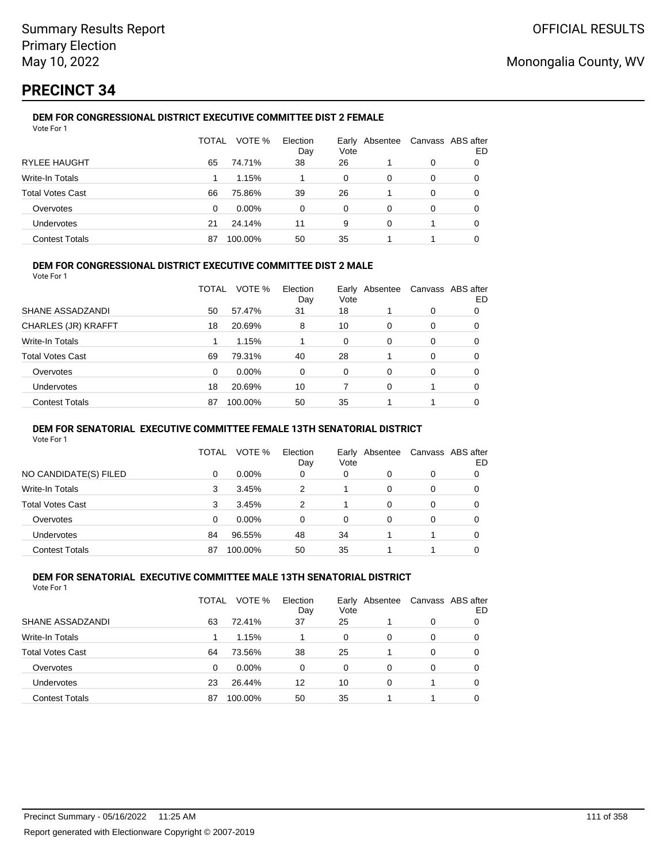# **PRECINCT 34**

#### **DEM FOR CONGRESSIONAL DISTRICT EXECUTIVE COMMITTEE DIST 2 FEMALE** Vote For 1

|                         | TOTAL | VOTE %   | Election<br>Day | Early<br>Vote | Absentee |   | Canvass ABS after<br>ED |
|-------------------------|-------|----------|-----------------|---------------|----------|---|-------------------------|
| <b>RYLEE HAUGHT</b>     | 65    | 74.71%   | 38              | 26            |          | 0 |                         |
| Write-In Totals         |       | 1.15%    |                 | $\Omega$      | 0        | 0 |                         |
| <b>Total Votes Cast</b> | 66    | 75.86%   | 39              | 26            |          | 0 |                         |
| Overvotes               | 0     | $0.00\%$ | 0               | $\Omega$      | 0        | 0 | O                       |
| <b>Undervotes</b>       | 21    | 24.14%   | 11              | 9             | 0        |   | 0                       |
| <b>Contest Totals</b>   | 87    | 100.00%  | 50              | 35            |          |   |                         |

### **DEM FOR CONGRESSIONAL DISTRICT EXECUTIVE COMMITTEE DIST 2 MALE**

Vote For 1

|                         | TOTAL | VOTE %  | Election<br>Day | Vote     | Early Absentee |          | Canvass ABS after<br>ED |
|-------------------------|-------|---------|-----------------|----------|----------------|----------|-------------------------|
| SHANE ASSADZANDI        | 50    | 57.47%  | 31              | 18       |                | $\Omega$ | 0                       |
| CHARLES (JR) KRAFFT     | 18    | 20.69%  | 8               | 10       | $\Omega$       | $\Omega$ | 0                       |
| Write-In Totals         |       | 1.15%   |                 | $\Omega$ | $\Omega$       | $\Omega$ | 0                       |
| <b>Total Votes Cast</b> | 69    | 79.31%  | 40              | 28       |                | $\Omega$ | 0                       |
| Overvotes               | 0     | 0.00%   | 0               | $\Omega$ | 0              | $\Omega$ | 0                       |
| <b>Undervotes</b>       | 18    | 20.69%  | 10              |          | $\Omega$       |          | 0                       |
| <b>Contest Totals</b>   | 87    | 100.00% | 50              | 35       |                |          | 0                       |

#### **DEM FOR SENATORIAL EXECUTIVE COMMITTEE FEMALE 13TH SENATORIAL DISTRICT**

Vote For 1

|                         | TOTAL | VOTE %   | Election<br>Day | Vote | Early Absentee | Canvass ABS after | ED |
|-------------------------|-------|----------|-----------------|------|----------------|-------------------|----|
| NO CANDIDATE(S) FILED   | 0     | $0.00\%$ | 0               | 0    | 0              | 0                 |    |
| Write-In Totals         | 3     | 3.45%    | 2               |      | 0              | 0                 | O  |
| <b>Total Votes Cast</b> | 3     | 3.45%    | 2               |      | $\Omega$       | 0                 |    |
| Overvotes               | 0     | $0.00\%$ | 0               | 0    | 0              | 0                 |    |
| Undervotes              | 84    | 96.55%   | 48              | 34   |                |                   |    |
| <b>Contest Totals</b>   | 87    | 100.00%  | 50              | 35   |                |                   |    |

#### **DEM FOR SENATORIAL EXECUTIVE COMMITTEE MALE 13TH SENATORIAL DISTRICT** Vote For 1

| 1 U U U                 |       |          |                 |      |                |          |                         |
|-------------------------|-------|----------|-----------------|------|----------------|----------|-------------------------|
|                         | TOTAL | VOTE %   | Election<br>Day | Vote | Early Absentee |          | Canvass ABS after<br>ED |
| SHANE ASSADZANDI        | 63    | 72.41%   | 37              | 25   |                | 0        | O                       |
| Write-In Totals         |       | 1.15%    |                 | 0    | 0              | 0        | O                       |
| <b>Total Votes Cast</b> | 64    | 73.56%   | 38              | 25   |                | 0        | 0                       |
| Overvotes               | 0     | $0.00\%$ | 0               | 0    | 0              | $\Omega$ | 0                       |
| <b>Undervotes</b>       | 23    | 26.44%   | 12              | 10   | 0              |          | 0                       |
| <b>Contest Totals</b>   | 87    | 100.00%  | 50              | 35   |                |          | 0                       |
|                         |       |          |                 |      |                |          |                         |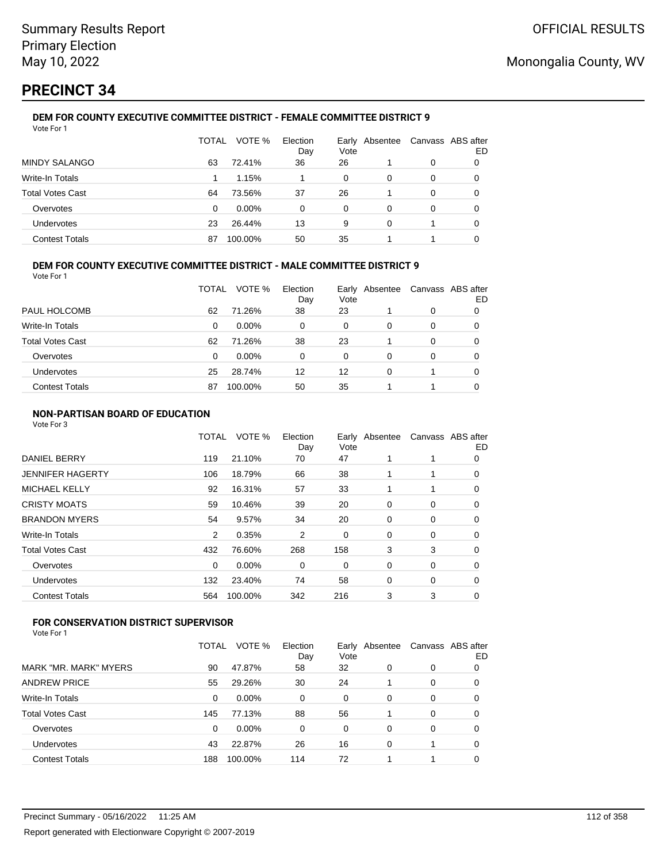# **PRECINCT 34**

#### **DEM FOR COUNTY EXECUTIVE COMMITTEE DISTRICT - FEMALE COMMITTEE DISTRICT 9** Vote For 1

|                         | TOTAL | VOTE %   | Election<br>Day | Vote     | Early Absentee |   | Canvass ABS after<br>ED |
|-------------------------|-------|----------|-----------------|----------|----------------|---|-------------------------|
| <b>MINDY SALANGO</b>    | 63    | 72.41%   | 36              | 26       |                | 0 |                         |
| Write-In Totals         |       | 1.15%    |                 | 0        | 0              | 0 | O                       |
| <b>Total Votes Cast</b> | 64    | 73.56%   | 37              | 26       |                | 0 | O                       |
| Overvotes               | 0     | $0.00\%$ | 0               | $\Omega$ | 0              | 0 |                         |
| <b>Undervotes</b>       | 23    | 26.44%   | 13              | 9        | 0              |   | 0                       |
| <b>Contest Totals</b>   | 87    | 100.00%  | 50              | 35       |                |   |                         |

### **DEM FOR COUNTY EXECUTIVE COMMITTEE DISTRICT - MALE COMMITTEE DISTRICT 9**

Vote For 1

|                         | TOTAL | VOTE %   | Election<br>Day | Vote | Early Absentee | Canvass ABS after | ED |
|-------------------------|-------|----------|-----------------|------|----------------|-------------------|----|
| PAUL HOLCOMB            | 62    | 71.26%   | 38              | 23   |                | 0                 |    |
| Write-In Totals         | 0     | $0.00\%$ | 0               | 0    | 0              | 0                 | O  |
| <b>Total Votes Cast</b> | 62    | 71.26%   | 38              | 23   |                | 0                 |    |
| Overvotes               | 0     | $0.00\%$ | 0               | 0    | 0              | 0                 |    |
| <b>Undervotes</b>       | 25    | 28.74%   | 12              | 12   | 0              |                   | 0  |
| <b>Contest Totals</b>   | 87    | 100.00%  | 50              | 35   |                |                   |    |

### **NON-PARTISAN BOARD OF EDUCATION**

Vote For 3

|                         | TOTAL | VOTE %  | Election<br>Day | Vote | Early Absentee | Canvass ABS after | ED |
|-------------------------|-------|---------|-----------------|------|----------------|-------------------|----|
| <b>DANIEL BERRY</b>     | 119   | 21.10%  | 70              | 47   |                |                   | 0  |
| <b>JENNIFER HAGERTY</b> | 106   | 18.79%  | 66              | 38   |                | 1                 | 0  |
| <b>MICHAEL KELLY</b>    | 92    | 16.31%  | 57              | 33   |                | 1                 | 0  |
| <b>CRISTY MOATS</b>     | 59    | 10.46%  | 39              | 20   | 0              | 0                 | 0  |
| <b>BRANDON MYERS</b>    | 54    | 9.57%   | 34              | 20   | 0              | 0                 | 0  |
| Write-In Totals         | 2     | 0.35%   | 2               | 0    | 0              | 0                 | 0  |
| <b>Total Votes Cast</b> | 432   | 76.60%  | 268             | 158  | 3              | 3                 | 0  |
| Overvotes               | 0     | 0.00%   | 0               | 0    | 0              | 0                 | 0  |
| Undervotes              | 132   | 23.40%  | 74              | 58   | 0              | 0                 | 0  |
| <b>Contest Totals</b>   | 564   | 100.00% | 342             | 216  | 3              | 3                 | 0  |
|                         |       |         |                 |      |                |                   |    |

### **FOR CONSERVATION DISTRICT SUPERVISOR**

|                         | <b>TOTAL</b> | VOTE %   | Election<br>Day | Vote | Early Absentee |   | Canvass ABS after<br>ED |
|-------------------------|--------------|----------|-----------------|------|----------------|---|-------------------------|
| MARK "MR. MARK" MYERS   | 90           | 47.87%   | 58              | 32   | 0              | 0 | 0                       |
| <b>ANDREW PRICE</b>     | 55           | 29.26%   | 30              | 24   |                | 0 | 0                       |
| Write-In Totals         | 0            | 0.00%    | 0               | 0    | 0              | 0 | 0                       |
| <b>Total Votes Cast</b> | 145          | 77.13%   | 88              | 56   |                | 0 | 0                       |
| Overvotes               | 0            | $0.00\%$ | 0               | 0    | 0              | 0 | 0                       |
| Undervotes              | 43           | 22.87%   | 26              | 16   | 0              |   | 0                       |
| <b>Contest Totals</b>   | 188          | 100.00%  | 114             | 72   |                |   | 0                       |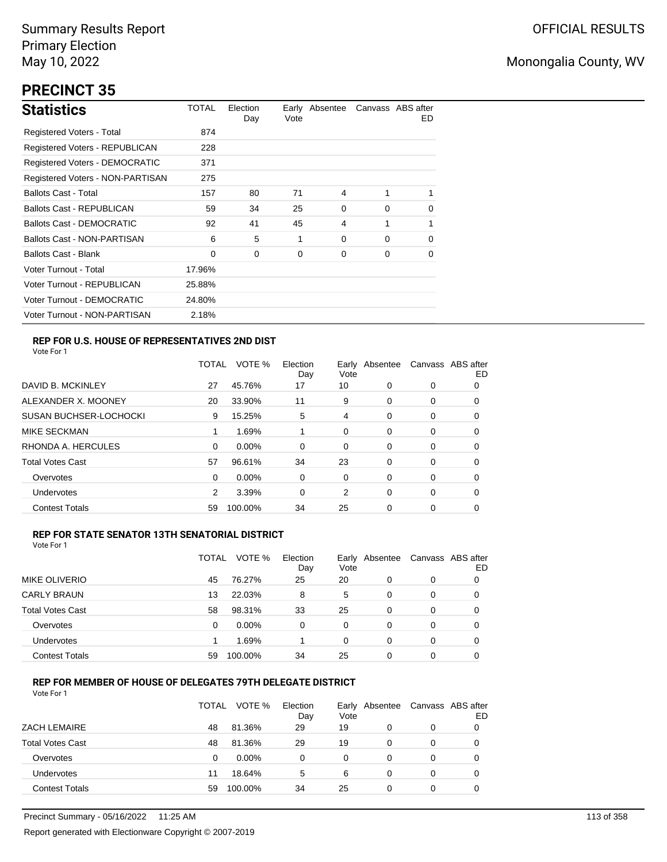# **PRECINCT 35**

| <b>Statistics</b>                     | TOTAL  | Election<br>Day | Vote | Early Absentee |          | Canvass ABS after<br>ED. |
|---------------------------------------|--------|-----------------|------|----------------|----------|--------------------------|
| Registered Voters - Total             | 874    |                 |      |                |          |                          |
| Registered Voters - REPUBLICAN        | 228    |                 |      |                |          |                          |
| <b>Registered Voters - DEMOCRATIC</b> | 371    |                 |      |                |          |                          |
| Registered Voters - NON-PARTISAN      | 275    |                 |      |                |          |                          |
| <b>Ballots Cast - Total</b>           | 157    | 80              | 71   | 4              |          | 1                        |
| Ballots Cast - REPUBLICAN             | 59     | 34              | 25   | 0              | $\Omega$ | 0                        |
| <b>Ballots Cast - DEMOCRATIC</b>      | 92     | 41              | 45   | 4              | 1        | $\mathbf{1}$             |
| Ballots Cast - NON-PARTISAN           | 6      | 5               | 1    | 0              | $\Omega$ | 0                        |
| <b>Ballots Cast - Blank</b>           | 0      | 0               | 0    | 0              | 0        | 0                        |
| Voter Turnout - Total                 | 17.96% |                 |      |                |          |                          |
| Voter Turnout - REPUBLICAN            | 25.88% |                 |      |                |          |                          |
| Voter Turnout - DEMOCRATIC            | 24.80% |                 |      |                |          |                          |
| Voter Turnout - NON-PARTISAN          | 2.18%  |                 |      |                |          |                          |

### **REP FOR U.S. HOUSE OF REPRESENTATIVES 2ND DIST**

Vote For 1

|                               | TOTAL | VOTE %   | Election<br>Day | Earlv<br>Vote | Absentee | Canvass ABS after | ED |
|-------------------------------|-------|----------|-----------------|---------------|----------|-------------------|----|
| DAVID B. MCKINLEY             | 27    | 45.76%   | 17              | 10            | 0        | 0                 | 0  |
| ALEXANDER X. MOONEY           | 20    | 33.90%   | 11              | 9             | $\Omega$ | 0                 | O  |
| <b>SUSAN BUCHSER-LOCHOCKI</b> | 9     | 15.25%   | 5               | 4             | 0        | 0                 | 0  |
| <b>MIKE SECKMAN</b>           | 1     | 1.69%    |                 | 0             | $\Omega$ | 0                 | 0  |
| RHONDA A. HERCULES            | 0     | 0.00%    | $\Omega$        | 0             | 0        | 0                 | 0  |
| <b>Total Votes Cast</b>       | 57    | 96.61%   | 34              | 23            | $\Omega$ | 0                 | 0  |
| Overvotes                     | 0     | $0.00\%$ | 0               | 0             | 0        | 0                 | 0  |
| Undervotes                    | 2     | 3.39%    | 0               | 2             | $\Omega$ | 0                 | 0  |
| <b>Contest Totals</b>         | 59    | 100.00%  | 34              | 25            | 0        | 0                 | O  |

#### **REP FOR STATE SENATOR 13TH SENATORIAL DISTRICT**

| Vote For 1 |  |
|------------|--|
|            |  |

|                         | TOTAL | VOTE %   | Election<br>Day | Vote     | Early Absentee |   | Canvass ABS after<br>ED |
|-------------------------|-------|----------|-----------------|----------|----------------|---|-------------------------|
| MIKE OLIVERIO           | 45    | 76.27%   | 25              | 20       | 0              | 0 |                         |
| <b>CARLY BRAUN</b>      | 13    | 22.03%   | 8               | 5        | 0              | 0 | O                       |
| <b>Total Votes Cast</b> | 58    | 98.31%   | 33              | 25       | 0              | 0 |                         |
| Overvotes               | 0     | $0.00\%$ | 0               | 0        | 0              | 0 |                         |
| Undervotes              |       | 1.69%    |                 | $\Omega$ | 0              | 0 | 0                       |
| <b>Contest Totals</b>   | 59    | 100.00%  | 34              | 25       | 0              | 0 |                         |

#### **REP FOR MEMBER OF HOUSE OF DELEGATES 79TH DELEGATE DISTRICT**

|                         | <b>TOTAL</b> | VOTE %  | Election<br>Day | Vote | Early Absentee | Canvass ABS after | ED |
|-------------------------|--------------|---------|-----------------|------|----------------|-------------------|----|
| ZACH LEMAIRE            | 48           | 81.36%  | 29              | 19   | 0              | 0                 |    |
| <b>Total Votes Cast</b> | 48           | 81.36%  | 29              | 19   | 0              | 0                 |    |
| Overvotes               | 0            | 0.00%   | ი               | 0    | 0              | 0                 |    |
| Undervotes              | 11           | 18.64%  | 5               | 6    | 0              | 0                 |    |
| <b>Contest Totals</b>   | 59           | 100.00% | 34              | 25   | 0              | 0                 |    |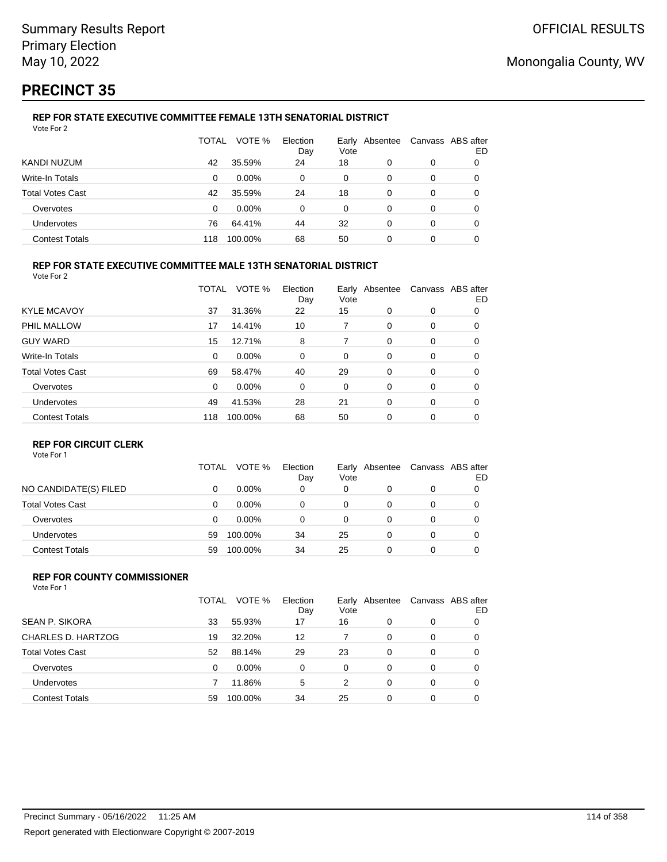# **PRECINCT 35**

#### **REP FOR STATE EXECUTIVE COMMITTEE FEMALE 13TH SENATORIAL DISTRICT** Vote For 2

|                         | TOTAL | VOTE %   | Election<br>Day | Vote | Early Absentee |   | Canvass ABS after<br>ED |
|-------------------------|-------|----------|-----------------|------|----------------|---|-------------------------|
| KANDI NUZUM             | 42    | 35.59%   | 24              | 18   | 0              | 0 |                         |
| Write-In Totals         | 0     | $0.00\%$ | 0               | 0    | 0              | 0 |                         |
| <b>Total Votes Cast</b> | 42    | 35.59%   | 24              | 18   | 0              | 0 |                         |
| Overvotes               | 0     | $0.00\%$ | 0               | 0    | 0              | 0 | O                       |
| Undervotes              | 76    | 64.41%   | 44              | 32   | 0              | 0 | 0                       |
| <b>Contest Totals</b>   | 118   | 100.00%  | 68              | 50   | 0              | 0 |                         |

#### **REP FOR STATE EXECUTIVE COMMITTEE MALE 13TH SENATORIAL DISTRICT**

Vote For 2

|                         | TOTAL    | VOTE %   | Election<br>Day | Vote | Early Absentee |   | Canvass ABS after<br>ED |
|-------------------------|----------|----------|-----------------|------|----------------|---|-------------------------|
| <b>KYLE MCAVOY</b>      | 37       | 31.36%   | 22              | 15   | 0              | 0 | 0                       |
| PHIL MALLOW             | 17       | 14.41%   | 10              | 7    | 0              | 0 | 0                       |
| <b>GUY WARD</b>         | 15       | 12.71%   | 8               | 7    | $\Omega$       | 0 | 0                       |
| <b>Write-In Totals</b>  | 0        | $0.00\%$ | 0               | 0    | 0              | 0 | 0                       |
| <b>Total Votes Cast</b> | 69       | 58.47%   | 40              | 29   | 0              | 0 | 0                       |
| Overvotes               | $\Omega$ | $0.00\%$ | 0               | 0    | 0              | 0 | 0                       |
| Undervotes              | 49       | 41.53%   | 28              | 21   | $\Omega$       | 0 | 0                       |
| <b>Contest Totals</b>   | 118      | 100.00%  | 68              | 50   | $\Omega$       | 0 | 0                       |

#### **REP FOR CIRCUIT CLERK**

Vote For 1

|                         | TOTAL | VOTE %   | Election<br>Day | Vote | Early Absentee | Canvass ABS after | ED |
|-------------------------|-------|----------|-----------------|------|----------------|-------------------|----|
| NO CANDIDATE(S) FILED   | 0     | $0.00\%$ | 0               | 0    | 0              | 0                 |    |
| <b>Total Votes Cast</b> | 0     | $0.00\%$ | 0               | 0    |                | 0                 |    |
| Overvotes               | 0     | $0.00\%$ | 0               | 0    |                | 0                 |    |
| <b>Undervotes</b>       | 59    | 100.00%  | 34              | 25   |                | 0                 |    |
| <b>Contest Totals</b>   | 59    | 100.00%  | 34              | 25   |                | 0                 |    |

#### **REP FOR COUNTY COMMISSIONER** Vote For 1

|                         | TOTAL | VOTE %   | Election<br>Day | Vote | Early Absentee |          | Canvass ABS after<br>ED |
|-------------------------|-------|----------|-----------------|------|----------------|----------|-------------------------|
| <b>SEAN P. SIKORA</b>   | 33    | 55.93%   | 17              | 16   | 0              | 0        |                         |
| CHARLES D. HARTZOG      | 19    | 32.20%   | 12              |      | 0              | $\Omega$ | 0                       |
| <b>Total Votes Cast</b> | 52    | 88.14%   | 29              | 23   | 0              | $\Omega$ | 0                       |
| Overvotes               | 0     | $0.00\%$ | 0               | 0    | 0              | $\Omega$ | 0                       |
| Undervotes              |       | 11.86%   | 5               | 2    | 0              | $\Omega$ | 0                       |
| <b>Contest Totals</b>   | 59    | 100.00%  | 34              | 25   | $\Omega$       | 0        |                         |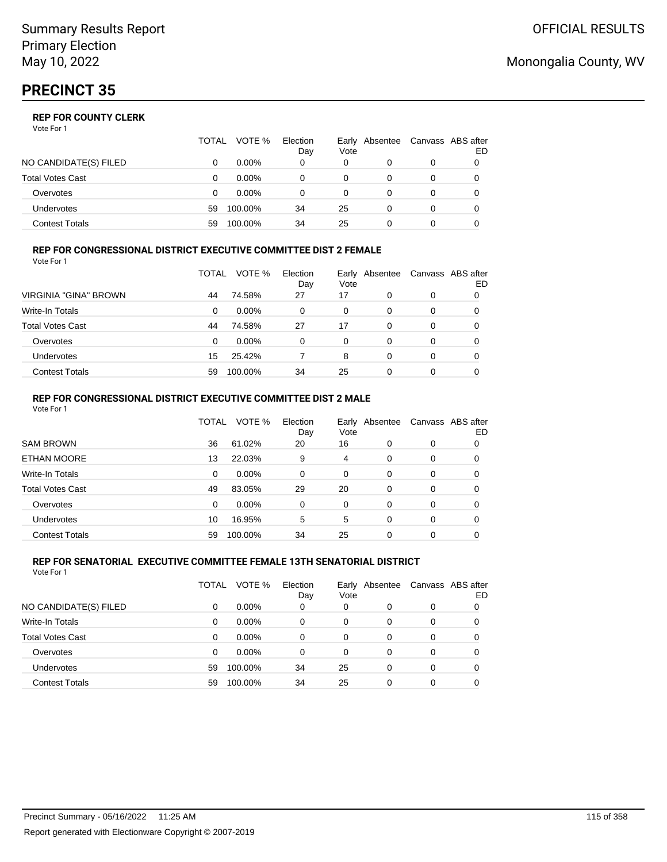|                       | TOTAL | VOTE %   | Election<br>Day | Vote | Early Absentee | Canvass ABS after | ED |
|-----------------------|-------|----------|-----------------|------|----------------|-------------------|----|
| NO CANDIDATE(S) FILED |       | $0.00\%$ | 0               | 0    |                | 0                 |    |
| Total Votes Cast      |       | $0.00\%$ |                 | 0    |                | 0                 |    |
| Overvotes             | 0     | $0.00\%$ |                 | 0    |                | 0                 |    |
| <b>Undervotes</b>     | 59    | 100.00%  | 34              | 25   | 0              | 0                 |    |
| Contest Totals        | 59    | 100.00%  | 34              | 25   |                |                   |    |

#### **REP FOR CONGRESSIONAL DISTRICT EXECUTIVE COMMITTEE DIST 2 FEMALE** Vote For 1

|                         | TOTAL | VOTE %   | Election<br>Day | Vote | Early Absentee | Canvass ABS after | ED |
|-------------------------|-------|----------|-----------------|------|----------------|-------------------|----|
| VIRGINIA "GINA" BROWN   | 44    | 74.58%   | 27              | 17   | 0              | 0                 | 0  |
| <b>Write-In Totals</b>  | 0     | $0.00\%$ | 0               | 0    | 0              | 0                 | O  |
| <b>Total Votes Cast</b> | 44    | 74.58%   | 27              | 17   | 0              | 0                 | 0  |
| Overvotes               | 0     | $0.00\%$ | 0               | 0    | 0              | 0                 |    |
| Undervotes              | 15    | 25.42%   |                 | 8    | 0              | 0                 |    |
| <b>Contest Totals</b>   | 59    | 100.00%  | 34              | 25   | 0              | 0                 |    |

#### **REP FOR CONGRESSIONAL DISTRICT EXECUTIVE COMMITTEE DIST 2 MALE** Vote For 1

|                         | TOTAL    | VOTE %  | Election<br>Day | Vote     | Early Absentee |          | Canvass ABS after<br>ED. |
|-------------------------|----------|---------|-----------------|----------|----------------|----------|--------------------------|
| <b>SAM BROWN</b>        | 36       | 61.02%  | 20              | 16       | $\Omega$       | 0        | 0                        |
| <b>ETHAN MOORE</b>      | 13       | 22.03%  | 9               | 4        | $\Omega$       | 0        | 0                        |
| Write-In Totals         | 0        | 0.00%   | 0               | $\Omega$ | $\Omega$       | $\Omega$ | 0                        |
| <b>Total Votes Cast</b> | 49       | 83.05%  | 29              | 20       | $\Omega$       | 0        | 0                        |
| Overvotes               | $\Omega$ | 0.00%   | $\Omega$        | $\Omega$ | $\Omega$       | $\Omega$ | 0                        |
| Undervotes              | 10       | 16.95%  | 5               | 5        | $\Omega$       | $\Omega$ | 0                        |
| <b>Contest Totals</b>   | 59       | 100.00% | 34              | 25       | 0              | 0        | 0                        |

#### **REP FOR SENATORIAL EXECUTIVE COMMITTEE FEMALE 13TH SENATORIAL DISTRICT** Vote For 1

|                         | TOTAL | VOTE %   | Election<br>Day | Vote | Early Absentee |   | Canvass ABS after<br>ED |
|-------------------------|-------|----------|-----------------|------|----------------|---|-------------------------|
| NO CANDIDATE(S) FILED   | 0     | $0.00\%$ | 0               | 0    | 0              | 0 |                         |
| Write-In Totals         | 0     | $0.00\%$ | 0               | 0    | 0              | 0 |                         |
| <b>Total Votes Cast</b> | 0     | $0.00\%$ | 0               | 0    | $\Omega$       | 0 | 0                       |
| Overvotes               | 0     | $0.00\%$ | 0               | 0    | $\Omega$       | 0 | 0                       |
| <b>Undervotes</b>       | 59    | 100.00%  | 34              | 25   | 0              | 0 | 0                       |
| <b>Contest Totals</b>   | 59    | 100.00%  | 34              | 25   | 0              | 0 |                         |

## Monongalia County, WV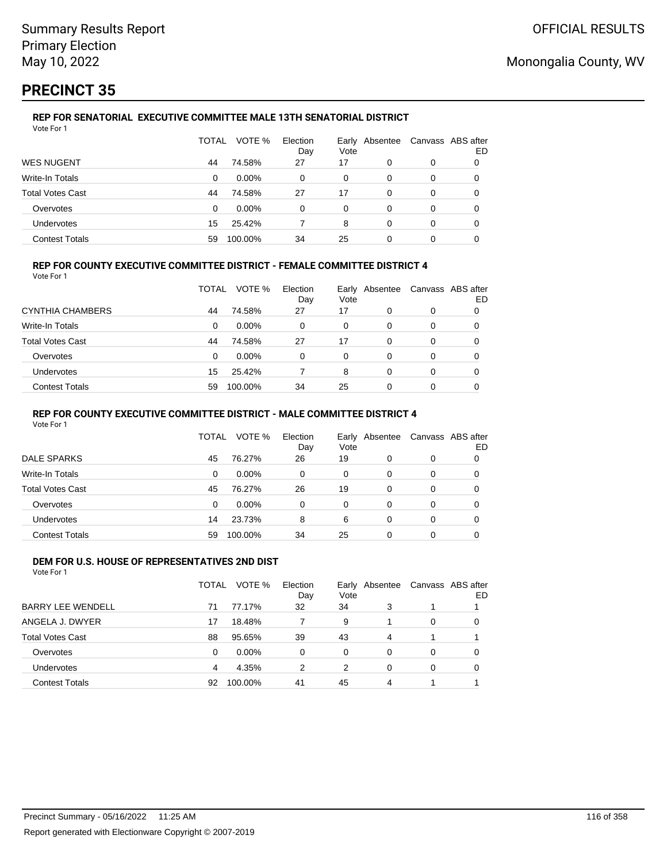# **PRECINCT 35**

#### **REP FOR SENATORIAL EXECUTIVE COMMITTEE MALE 13TH SENATORIAL DISTRICT** Vote For 1

|                         | TOTAL | VOTE %   | Election<br>Day | Vote | Early Absentee | Canvass ABS after | ED |
|-------------------------|-------|----------|-----------------|------|----------------|-------------------|----|
| <b>WES NUGENT</b>       | 44    | 74.58%   | 27              | 17   | 0              | 0                 |    |
| Write-In Totals         | 0     | $0.00\%$ | 0               | 0    | 0              | 0                 |    |
| <b>Total Votes Cast</b> | 44    | 74.58%   | 27              | 17   | 0              | 0                 |    |
| Overvotes               | 0     | $0.00\%$ | 0               | 0    | 0              | 0                 | 0  |
| Undervotes              | 15    | 25.42%   |                 | 8    | 0              | 0                 | 0  |
| <b>Contest Totals</b>   | 59    | 100.00%  | 34              | 25   | 0              | 0                 |    |

### **REP FOR COUNTY EXECUTIVE COMMITTEE DISTRICT - FEMALE COMMITTEE DISTRICT 4**

Vote For 1

|                         | TOTAL | VOTE %   | Election<br>Day | Vote | Early Absentee | Canvass ABS after | ED |
|-------------------------|-------|----------|-----------------|------|----------------|-------------------|----|
| <b>CYNTHIA CHAMBERS</b> | 44    | 74.58%   | 27              | 17   | 0              | 0                 |    |
| Write-In Totals         | 0     | $0.00\%$ | 0               | 0    | 0              | 0                 |    |
| <b>Total Votes Cast</b> | 44    | 74.58%   | 27              | 17   | 0              | 0                 |    |
| Overvotes               | 0     | $0.00\%$ | 0               | 0    | 0              | 0                 |    |
| Undervotes              | 15    | 25.42%   |                 | 8    | 0              | 0                 |    |
| <b>Contest Totals</b>   | 59    | 100.00%  | 34              | 25   |                | 0                 |    |

#### **REP FOR COUNTY EXECUTIVE COMMITTEE DISTRICT - MALE COMMITTEE DISTRICT 4**

Vote For 1

|                       | TOTAL    | VOTE %   | Election<br>Day | Vote | Early Absentee | Canvass ABS after | ED |
|-----------------------|----------|----------|-----------------|------|----------------|-------------------|----|
| <b>DALE SPARKS</b>    | 45       | 76.27%   | 26              | 19   |                | 0                 |    |
| Write-In Totals       | 0        | $0.00\%$ | 0               | 0    | 0              | 0                 |    |
| Total Votes Cast      | 45       | 76.27%   | 26              | 19   | 0              | 0                 |    |
| Overvotes             | $\Omega$ | 0.00%    | $\Omega$        | 0    | 0              | 0                 |    |
| <b>Undervotes</b>     | 14       | 23.73%   | 8               | 6    | $\Omega$       | 0                 |    |
| <b>Contest Totals</b> | 59       | 100.00%  | 34              | 25   | $\Omega$       | 0                 |    |

#### **DEM FOR U.S. HOUSE OF REPRESENTATIVES 2ND DIST** Vote For 1

|                          | TOTAL | VOTE %   | Election<br>Day | Vote     | Early Absentee |          | Canvass ABS after<br>ED |
|--------------------------|-------|----------|-----------------|----------|----------------|----------|-------------------------|
| <b>BARRY LEE WENDELL</b> | 71    | 77.17%   | 32              | 34       | 3              |          |                         |
| ANGELA J. DWYER          | 17    | 18.48%   |                 | 9        |                | $\Omega$ | 0                       |
| <b>Total Votes Cast</b>  | 88    | 95.65%   | 39              | 43       | 4              |          |                         |
| Overvotes                | 0     | $0.00\%$ | $\Omega$        | $\Omega$ | 0              | $\Omega$ | 0                       |
| Undervotes               | 4     | 4.35%    | 2               | 2        | 0              | $\Omega$ | 0                       |
| <b>Contest Totals</b>    | 92    | 100.00%  | 41              | 45       | 4              |          |                         |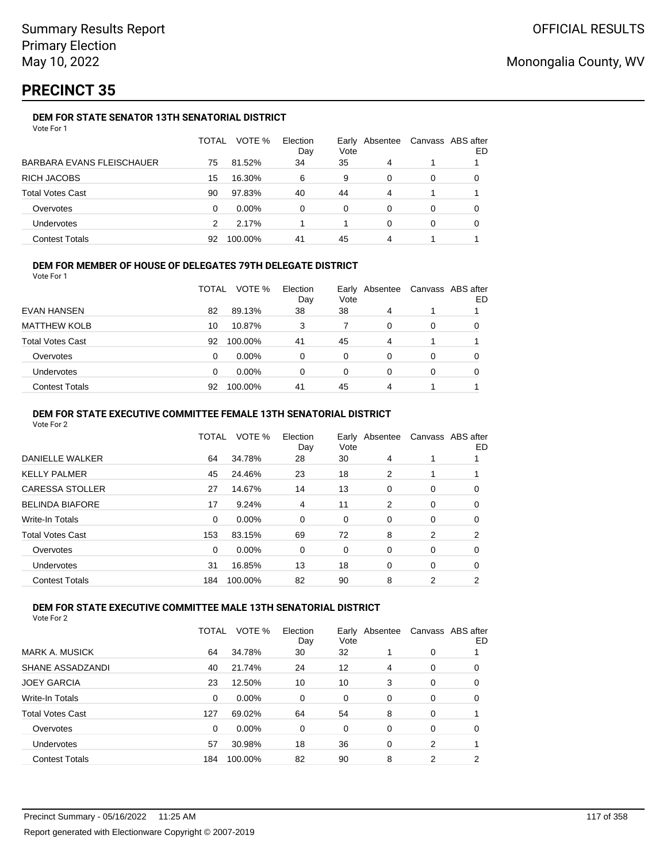# **PRECINCT 35**

### **DEM FOR STATE SENATOR 13TH SENATORIAL DISTRICT**

| Vote For 1 |  |
|------------|--|
|------------|--|

|                                  | TOTAL | VOTE %   | Election<br>Day | Vote | Early Absentee | Canvass ABS after | ED |
|----------------------------------|-------|----------|-----------------|------|----------------|-------------------|----|
| <b>BARBARA EVANS FLEISCHAUER</b> | 75    | 81.52%   | 34              | 35   | 4              |                   |    |
| <b>RICH JACOBS</b>               | 15    | 16.30%   | 6               | 9    | 0              | 0                 |    |
| <b>Total Votes Cast</b>          | 90    | 97.83%   | 40              | 44   | 4              |                   |    |
| Overvotes                        | 0     | $0.00\%$ | 0               | 0    | 0              | 0                 |    |
| <b>Undervotes</b>                | 2     | 2.17%    |                 |      | 0              | 0                 |    |
| <b>Contest Totals</b>            | 92    | 100.00%  | 41              | 45   | 4              |                   |    |

### **DEM FOR MEMBER OF HOUSE OF DELEGATES 79TH DELEGATE DISTRICT**

Vote For 1

|                         | TOTAL    | VOTE %   | Election<br>Day | Vote | Early Absentee |          | Canvass ABS after<br>ED |
|-------------------------|----------|----------|-----------------|------|----------------|----------|-------------------------|
| EVAN HANSEN             | 82       | 89.13%   | 38              | 38   | 4              |          |                         |
| <b>MATTHEW KOLB</b>     | 10       | 10.87%   | 3               |      | 0              | $\Omega$ | 0                       |
| <b>Total Votes Cast</b> | 92       | 100.00%  | 41              | 45   | 4              |          |                         |
| Overvotes               | $\Omega$ | $0.00\%$ | 0               | 0    | $\Omega$       | $\Omega$ | 0                       |
| <b>Undervotes</b>       | 0        | $0.00\%$ | 0               | 0    | 0              | $\Omega$ |                         |
| <b>Contest Totals</b>   | 92       | 100.00%  | 41              | 45   | 4              |          |                         |

#### **DEM FOR STATE EXECUTIVE COMMITTEE FEMALE 13TH SENATORIAL DISTRICT**

Vote For 2

|                        | TOTAL    | VOTE %   | Election<br>Day | Vote | Early Absentee |   | Canvass ABS after<br>ED |
|------------------------|----------|----------|-----------------|------|----------------|---|-------------------------|
| DANIELLE WALKER        | 64       | 34.78%   | 28              | 30   | 4              |   |                         |
| KELLY PALMER           | 45       | 24.46%   | 23              | 18   | 2              |   |                         |
| <b>CARESSA STOLLER</b> | 27       | 14.67%   | 14              | 13   | 0              | 0 | 0                       |
| <b>BELINDA BIAFORE</b> | 17       | 9.24%    | 4               | 11   | 2              | 0 | 0                       |
| Write-In Totals        | $\Omega$ | $0.00\%$ | 0               | 0    | 0              | 0 | 0                       |
| Total Votes Cast       | 153      | 83.15%   | 69              | 72   | 8              | 2 | 2                       |
| Overvotes              | $\Omega$ | 0.00%    | 0               | 0    | 0              | 0 | 0                       |
| Undervotes             | 31       | 16.85%   | 13              | 18   | $\Omega$       | 0 | 0                       |
| <b>Contest Totals</b>  | 184      | 100.00%  | 82              | 90   | 8              | 2 | 2                       |
|                        |          |          |                 |      |                |   |                         |

### **DEM FOR STATE EXECUTIVE COMMITTEE MALE 13TH SENATORIAL DISTRICT**

|                         | TOTAL | VOTE %   | Election<br>Day | Vote | Early Absentee |   | Canvass ABS after<br>ED |
|-------------------------|-------|----------|-----------------|------|----------------|---|-------------------------|
| <b>MARK A. MUSICK</b>   | 64    | 34.78%   | 30              | 32   |                | 0 |                         |
| SHANE ASSADZANDI        | 40    | 21.74%   | 24              | 12   | 4              | 0 | 0                       |
| <b>JOEY GARCIA</b>      | 23    | 12.50%   | 10              | 10   | 3              | 0 | 0                       |
| <b>Write-In Totals</b>  | 0     | $0.00\%$ | 0               | 0    | 0              | 0 | 0                       |
| <b>Total Votes Cast</b> | 127   | 69.02%   | 64              | 54   | 8              | 0 |                         |
| Overvotes               | 0     | $0.00\%$ | 0               | 0    | $\Omega$       | 0 | 0                       |
| Undervotes              | 57    | 30.98%   | 18              | 36   | 0              | 2 |                         |
| <b>Contest Totals</b>   | 184   | 100.00%  | 82              | 90   | 8              | 2 | 2                       |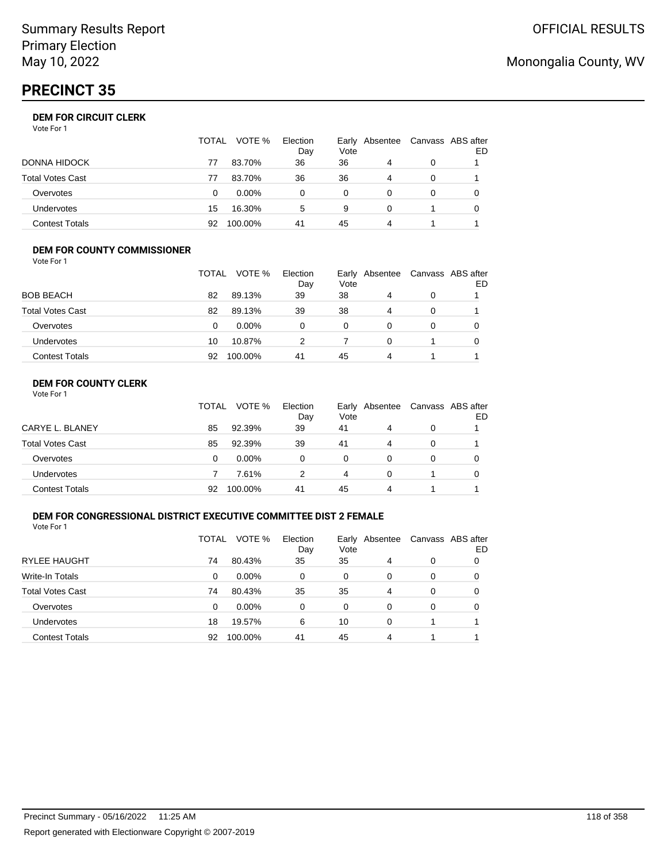# **PRECINCT 35**

|                       | TOTAL | VOTE %   | Election<br>Day | Early Absentee<br>Vote |   | Canvass ABS after | ED |
|-----------------------|-------|----------|-----------------|------------------------|---|-------------------|----|
| DONNA HIDOCK          | 77    | 83.70%   | 36              | 36                     | 4 | 0                 |    |
| Total Votes Cast      | 77    | 83.70%   | 36              | 36                     | 4 | 0                 |    |
| Overvotes             | 0     | $0.00\%$ | 0               | 0                      |   | 0                 |    |
| Undervotes            | 15    | 16.30%   | 5               | 9                      | 0 |                   |    |
| <b>Contest Totals</b> | 92    | 100.00%  | 41              | 45                     | 4 |                   |    |

#### **DEM FOR COUNTY COMMISSIONER** Vote For 1

|                         | TOTAL | VOTE %   | Election<br>Day | Vote | Early Absentee | Canvass ABS after | ED |
|-------------------------|-------|----------|-----------------|------|----------------|-------------------|----|
| <b>BOB BEACH</b>        | 82    | 89.13%   | 39              | 38   | 4              | 0                 |    |
| <b>Total Votes Cast</b> | 82    | 89.13%   | 39              | 38   | 4              | 0                 |    |
| Overvotes               | 0     | $0.00\%$ | 0               | 0    | 0              | 0                 |    |
| <b>Undervotes</b>       | 10    | 10.87%   | 2               |      | $\Omega$       |                   |    |
| <b>Contest Totals</b>   | 92    | 100.00%  | 41              | 45   | 4              |                   |    |

### **DEM FOR COUNTY CLERK**

| Vote For 1 |  |  |
|------------|--|--|
|------------|--|--|

|                         | TOTAL | VOTE %   | Election<br>Day | Vote | Early Absentee | Canvass ABS after | ED |
|-------------------------|-------|----------|-----------------|------|----------------|-------------------|----|
| CARYE L. BLANEY         | 85    | 92.39%   | 39              | 41   | 4              | 0                 |    |
| <b>Total Votes Cast</b> | 85    | 92.39%   | 39              | 41   | 4              | 0                 |    |
| Overvotes               | 0     | $0.00\%$ | 0               | 0    |                | 0                 |    |
| <b>Undervotes</b>       |       | 7.61%    |                 | 4    | 0              |                   |    |
| <b>Contest Totals</b>   | 92    | 100.00%  | 41              | 45   | Δ              |                   |    |

### **DEM FOR CONGRESSIONAL DISTRICT EXECUTIVE COMMITTEE DIST 2 FEMALE**

Vote For 1

|                         | TOTAL | VOTE %   | Election<br>Day | Vote | Early Absentee | Canvass ABS after | ED |
|-------------------------|-------|----------|-----------------|------|----------------|-------------------|----|
| <b>RYLEE HAUGHT</b>     | 74    | 80.43%   | 35              | 35   | 4              | 0                 | 0  |
| Write-In Totals         | 0     | $0.00\%$ | 0               | 0    | 0              | 0                 | 0  |
| <b>Total Votes Cast</b> | 74    | 80.43%   | 35              | 35   | 4              | 0                 | O  |
| Overvotes               | 0     | $0.00\%$ | 0               | 0    | 0              | 0                 | 0  |
| <b>Undervotes</b>       | 18    | 19.57%   | 6               | 10   | 0              |                   |    |
| <b>Contest Totals</b>   | 92    | 100.00%  | 41              | 45   | 4              |                   |    |

# Monongalia County, WV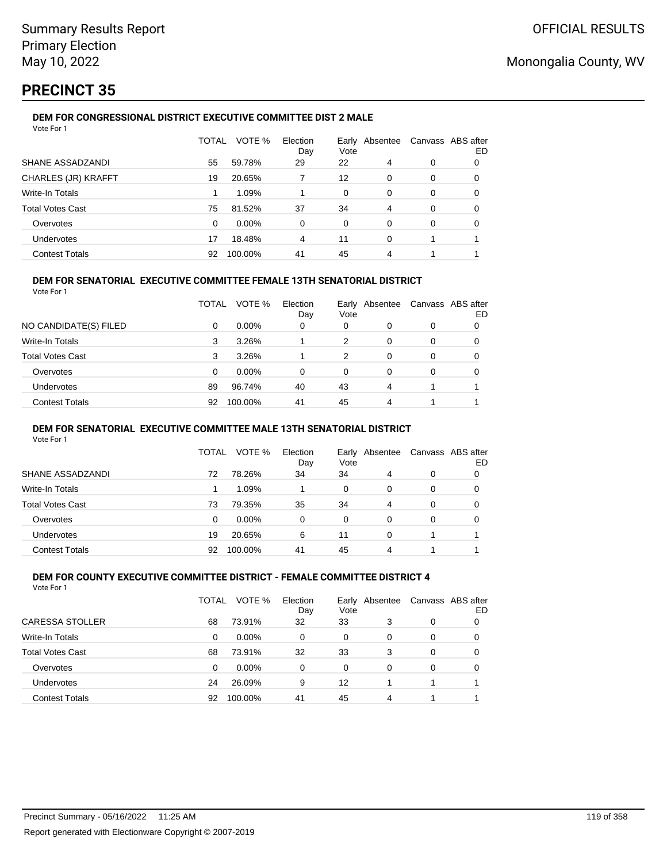# **PRECINCT 35**

#### **DEM FOR CONGRESSIONAL DISTRICT EXECUTIVE COMMITTEE DIST 2 MALE** Vote For 1

| <u>vuurivii</u>            |              |          |                 |      |                |   |                          |
|----------------------------|--------------|----------|-----------------|------|----------------|---|--------------------------|
|                            | <b>TOTAL</b> | VOTE %   | Election<br>Day | Vote | Early Absentee |   | Canvass ABS after<br>ED. |
| SHANE ASSADZANDI           | 55           | 59.78%   | 29              | 22   | 4              | 0 | 0                        |
| <b>CHARLES (JR) KRAFFT</b> | 19           | 20.65%   |                 | 12   | 0              | 0 | 0                        |
| Write-In Totals            |              | 1.09%    |                 | 0    | 0              | 0 | 0                        |
| <b>Total Votes Cast</b>    | 75           | 81.52%   | 37              | 34   | 4              | 0 | 0                        |
| Overvotes                  | $\Omega$     | $0.00\%$ | 0               | 0    | 0              | 0 | 0                        |
| <b>Undervotes</b>          | 17           | 18.48%   | 4               | 11   | 0              |   |                          |
| <b>Contest Totals</b>      | 92           | 100.00%  | 41              | 45   | 4              | 4 |                          |

### **DEM FOR SENATORIAL EXECUTIVE COMMITTEE FEMALE 13TH SENATORIAL DISTRICT**

Vote For 1

|                         | <b>TOTAL</b> | VOTE %   | Election<br>Day | Vote | Early Absentee |          | Canvass ABS after<br>ED |
|-------------------------|--------------|----------|-----------------|------|----------------|----------|-------------------------|
| NO CANDIDATE(S) FILED   | 0            | $0.00\%$ | 0               | 0    | 0              | 0        |                         |
| <b>Write-In Totals</b>  | 3            | 3.26%    |                 | 2    | 0              | $\Omega$ | 0                       |
| <b>Total Votes Cast</b> | 3            | 3.26%    |                 | 2    | 0              | 0        |                         |
| Overvotes               | 0            | $0.00\%$ | 0               | 0    | 0              | 0        |                         |
| Undervotes              | 89           | 96.74%   | 40              | 43   | 4              |          |                         |
| <b>Contest Totals</b>   | 92           | 100.00%  | 41              | 45   | 4              |          |                         |

#### **DEM FOR SENATORIAL EXECUTIVE COMMITTEE MALE 13TH SENATORIAL DISTRICT**

Vote For 1

|                         | TOTAL | VOTE %   | Election<br>Day | Vote | Early Absentee | Canvass ABS after | ED |
|-------------------------|-------|----------|-----------------|------|----------------|-------------------|----|
| SHANE ASSADZANDI        | 72    | 78.26%   | 34              | 34   | 4              | 0                 |    |
| Write-In Totals         |       | 1.09%    |                 | 0    | 0              | 0                 | O  |
| <b>Total Votes Cast</b> | 73    | 79.35%   | 35              | 34   | 4              | 0                 |    |
| Overvotes               | 0     | $0.00\%$ | 0               | 0    | 0              | 0                 |    |
| <b>Undervotes</b>       | 19    | 20.65%   | 6               | 11   | 0              |                   |    |
| <b>Contest Totals</b>   | 92    | 100.00%  | 41              | 45   | 4              |                   |    |

#### **DEM FOR COUNTY EXECUTIVE COMMITTEE DISTRICT - FEMALE COMMITTEE DISTRICT 4** Vote For 1

|                         | TOTAL | VOTE %   | Election<br>Day | Vote | Early Absentee | Canvass ABS after | ED |
|-------------------------|-------|----------|-----------------|------|----------------|-------------------|----|
| CARESSA STOLLER         | 68    | 73.91%   | 32              | 33   | 3              | 0                 | O  |
| Write-In Totals         | 0     | $0.00\%$ | 0               | 0    | 0              | 0                 | O  |
| <b>Total Votes Cast</b> | 68    | 73.91%   | 32              | 33   | 3              | 0                 | 0  |
| Overvotes               | 0     | 0.00%    | 0               | 0    | $\Omega$       | 0                 | 0  |
| <b>Undervotes</b>       | 24    | 26.09%   | 9               | 12   |                | 1                 |    |
| <b>Contest Totals</b>   | 92    | 100.00%  | 41              | 45   | 4              |                   |    |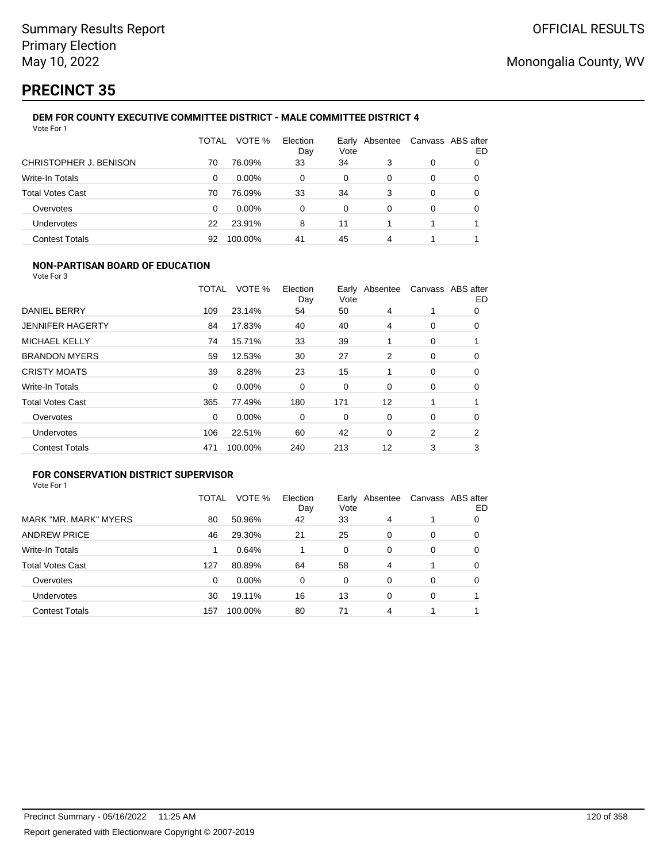# **PRECINCT 35**

#### **DEM FOR COUNTY EXECUTIVE COMMITTEE DISTRICT - MALE COMMITTEE DISTRICT 4** Vote For 1

|                         | TOTAL | VOTE %   | Election<br>Day | Early<br>Vote | Absentee | Canvass ABS after | ED |
|-------------------------|-------|----------|-----------------|---------------|----------|-------------------|----|
| CHRISTOPHER J. BENISON  | 70    | 76.09%   | 33              | 34            | 3        | 0                 |    |
| <b>Write-In Totals</b>  | 0     | $0.00\%$ | 0               | 0             | 0        | 0                 | 0  |
| <b>Total Votes Cast</b> | 70    | 76.09%   | 33              | 34            | 3        | 0                 | 0  |
| Overvotes               | 0     | $0.00\%$ | 0               | 0             | 0        | 0                 |    |
| Undervotes              | 22    | 23.91%   | 8               | 11            |          |                   |    |
| <b>Contest Totals</b>   | 92    | 100.00%  | 41              | 45            | 4        |                   |    |

### **NON-PARTISAN BOARD OF EDUCATION**

Vote For 3

|                         | TOTAL | VOTE %  | Election<br>Day | Vote | Early Absentee |   | Canvass ABS after<br>ED |
|-------------------------|-------|---------|-----------------|------|----------------|---|-------------------------|
| DANIEL BERRY            | 109   | 23.14%  | 54              | 50   | 4              |   | 0                       |
| <b>JENNIFER HAGERTY</b> | 84    | 17.83%  | 40              | 40   | 4              | 0 | 0                       |
| <b>MICHAEL KELLY</b>    | 74    | 15.71%  | 33              | 39   |                | 0 |                         |
| <b>BRANDON MYERS</b>    | 59    | 12.53%  | 30              | 27   | 2              | 0 | 0                       |
| <b>CRISTY MOATS</b>     | 39    | 8.28%   | 23              | 15   |                | 0 | 0                       |
| Write-In Totals         | 0     | 0.00%   | 0               | 0    | 0              | 0 | 0                       |
| <b>Total Votes Cast</b> | 365   | 77.49%  | 180             | 171  | 12             |   |                         |
| Overvotes               | 0     | 0.00%   | 0               | 0    | 0              | 0 | 0                       |
| Undervotes              | 106   | 22.51%  | 60              | 42   | $\Omega$       | 2 | 2                       |
| <b>Contest Totals</b>   | 471   | 100.00% | 240             | 213  | 12             | 3 | 3                       |

### **FOR CONSERVATION DISTRICT SUPERVISOR**

|                         | TOTAL | VOTE %  | Election<br>Day | Early<br>Vote | Absentee |   | Canvass ABS after<br>ED |
|-------------------------|-------|---------|-----------------|---------------|----------|---|-------------------------|
| MARK "MR. MARK" MYERS   | 80    | 50.96%  | 42              | 33            | 4        |   | 0                       |
| <b>ANDREW PRICE</b>     | 46    | 29.30%  | 21              | 25            | 0        | 0 | O                       |
| Write-In Totals         |       | 0.64%   |                 | 0             | 0        | 0 | 0                       |
| <b>Total Votes Cast</b> | 127   | 80.89%  | 64              | 58            | 4        |   | 0                       |
| Overvotes               | 0     | 0.00%   | 0               | 0             | 0        | 0 | 0                       |
| <b>Undervotes</b>       | 30    | 19.11%  | 16              | 13            | 0        | 0 |                         |
| <b>Contest Totals</b>   | 157   | 100.00% | 80              | 71            | 4        |   |                         |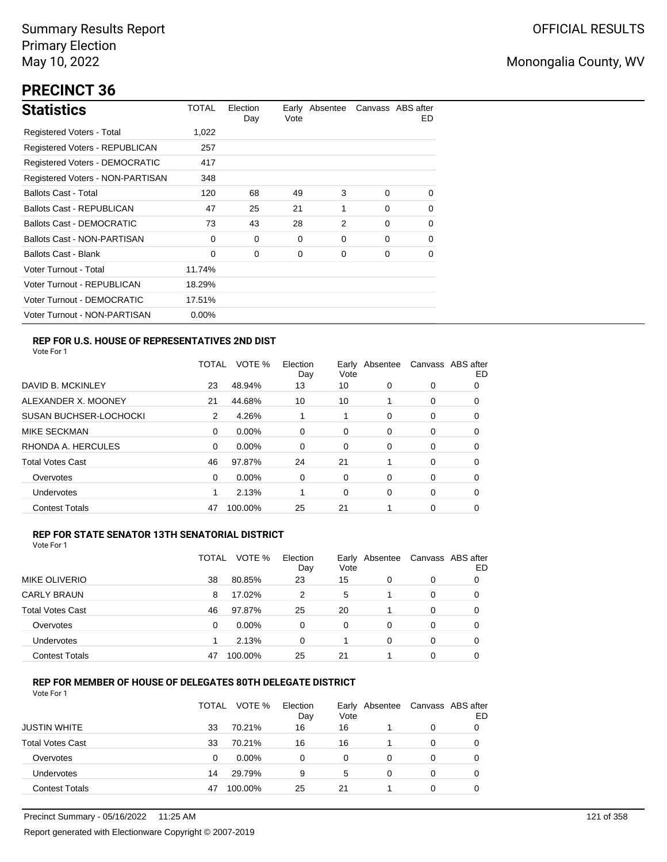# **PRECINCT 36**

| <b>Statistics</b>                     | TOTAL    | Election<br>Day | Vote | Early Absentee |          | Canvass ABS after<br>ED. |
|---------------------------------------|----------|-----------------|------|----------------|----------|--------------------------|
| Registered Voters - Total             | 1,022    |                 |      |                |          |                          |
| Registered Voters - REPUBLICAN        | 257      |                 |      |                |          |                          |
| <b>Registered Voters - DEMOCRATIC</b> | 417      |                 |      |                |          |                          |
| Registered Voters - NON-PARTISAN      | 348      |                 |      |                |          |                          |
| <b>Ballots Cast - Total</b>           | 120      | 68              | 49   | 3              | $\Omega$ | $\Omega$                 |
| <b>Ballots Cast - REPUBLICAN</b>      | 47       | 25              | 21   | 1              | $\Omega$ | 0                        |
| <b>Ballots Cast - DEMOCRATIC</b>      | 73       | 43              | 28   | 2              | $\Omega$ | $\Omega$                 |
| Ballots Cast - NON-PARTISAN           | 0        | $\Omega$        | 0    | 0              | $\Omega$ | $\Omega$                 |
| <b>Ballots Cast - Blank</b>           | 0        | 0               | 0    | 0              | 0        | 0                        |
| Voter Turnout - Total                 | 11.74%   |                 |      |                |          |                          |
| Voter Turnout - REPUBLICAN            | 18.29%   |                 |      |                |          |                          |
| Voter Turnout - DEMOCRATIC            | 17.51%   |                 |      |                |          |                          |
| Voter Turnout - NON-PARTISAN          | $0.00\%$ |                 |      |                |          |                          |

### **REP FOR U.S. HOUSE OF REPRESENTATIVES 2ND DIST**

Vote For 1

|                               | TOTAL | VOTE %   | Election<br>Day | Earlv<br>Vote | Absentee |   | Canvass ABS after<br>ED |
|-------------------------------|-------|----------|-----------------|---------------|----------|---|-------------------------|
| DAVID B. MCKINLEY             | 23    | 48.94%   | 13              | 10            | 0        | 0 | O                       |
| ALEXANDER X. MOONEY           | 21    | 44.68%   | 10              | 10            |          | 0 | 0                       |
| <b>SUSAN BUCHSER-LOCHOCKI</b> | 2     | 4.26%    |                 | 1             | 0        | 0 | 0                       |
| <b>MIKE SECKMAN</b>           | 0     | $0.00\%$ | $\Omega$        | 0             | 0        | 0 | 0                       |
| RHONDA A. HERCULES            | 0     | $0.00\%$ | $\Omega$        | 0             | 0        | 0 | 0                       |
| <b>Total Votes Cast</b>       | 46    | 97.87%   | 24              | 21            |          | 0 | 0                       |
| Overvotes                     | 0     | $0.00\%$ | 0               | 0             | 0        | 0 | 0                       |
| Undervotes                    |       | 2.13%    |                 | 0             | 0        | 0 | 0                       |
| <b>Contest Totals</b>         | 47    | 100.00%  | 25              | 21            |          | 0 | 0                       |

#### **REP FOR STATE SENATOR 13TH SENATORIAL DISTRICT**

| Vote For 1 |
|------------|
|------------|

|                         | TOTAL | VOTE %   | Election<br>Day | Vote | Early Absentee |   | Canvass ABS after<br>ED |
|-------------------------|-------|----------|-----------------|------|----------------|---|-------------------------|
| <b>MIKE OLIVERIO</b>    | 38    | 80.85%   | 23              | 15   | 0              | 0 |                         |
| <b>CARLY BRAUN</b>      | 8     | 17.02%   | 2               | 5    |                | 0 | O                       |
| <b>Total Votes Cast</b> | 46    | 97.87%   | 25              | 20   |                | 0 |                         |
| Overvotes               | 0     | $0.00\%$ | 0               | 0    | 0              | 0 |                         |
| Undervotes              |       | 2.13%    | 0               |      | 0              | 0 | 0                       |
| <b>Contest Totals</b>   | 47    | 100.00%  | 25              | 21   |                | 0 |                         |

#### **REP FOR MEMBER OF HOUSE OF DELEGATES 80TH DELEGATE DISTRICT**

|                         | <b>TOTAL</b> | VOTE %  | Election<br>Day | Vote | Early Absentee | Canvass ABS after | ED |
|-------------------------|--------------|---------|-----------------|------|----------------|-------------------|----|
| <b>JUSTIN WHITE</b>     | 33           | 70.21%  | 16              | 16   |                | $\Omega$          |    |
| <b>Total Votes Cast</b> | 33           | 70.21%  | 16              | 16   |                | 0                 |    |
| Overvotes               | 0            | 0.00%   | 0               | 0    | 0              | 0                 |    |
| Undervotes              | 14           | 29.79%  | 9               | 5    | 0              | 0                 |    |
| <b>Contest Totals</b>   | 47           | 100.00% | 25              | 21   |                | 0                 |    |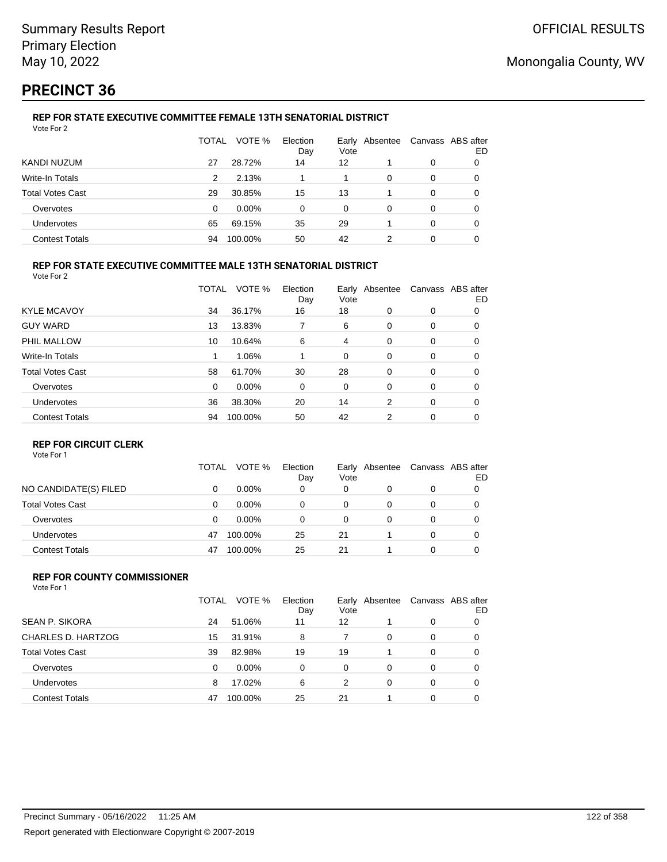# **PRECINCT 36**

#### **REP FOR STATE EXECUTIVE COMMITTEE FEMALE 13TH SENATORIAL DISTRICT** Vote For 2

|                         | TOTAL | VOTE %   | Election<br>Day | Vote | Early Absentee |   | Canvass ABS after<br>ED |
|-------------------------|-------|----------|-----------------|------|----------------|---|-------------------------|
| KANDI NUZUM             | 27    | 28.72%   | 14              | 12   |                | 0 |                         |
| Write-In Totals         | 2     | 2.13%    |                 |      | 0              | 0 |                         |
| <b>Total Votes Cast</b> | 29    | 30.85%   | 15              | 13   |                | 0 |                         |
| Overvotes               | 0     | $0.00\%$ | $\Omega$        | 0    | 0              | 0 | O                       |
| Undervotes              | 65    | 69.15%   | 35              | 29   |                | 0 | 0                       |
| <b>Contest Totals</b>   | 94    | 100.00%  | 50              | 42   | 2              | 0 |                         |

### **REP FOR STATE EXECUTIVE COMMITTEE MALE 13TH SENATORIAL DISTRICT**

Vote For 2

|                         | TOTAL | VOTE %   | Election<br>Day | Vote | Early Absentee |          | Canvass ABS after<br>ED |
|-------------------------|-------|----------|-----------------|------|----------------|----------|-------------------------|
| <b>KYLE MCAVOY</b>      | 34    | 36.17%   | 16              | 18   | 0              | 0        | 0                       |
| <b>GUY WARD</b>         | 13    | 13.83%   |                 | 6    | 0              | 0        | 0                       |
| PHIL MALLOW             | 10    | 10.64%   | 6               | 4    | 0              | 0        | 0                       |
| Write-In Totals         |       | 1.06%    |                 | 0    | 0              | 0        | 0                       |
| <b>Total Votes Cast</b> | 58    | 61.70%   | 30              | 28   | 0              | 0        | 0                       |
| Overvotes               | 0     | $0.00\%$ | 0               | 0    | 0              | 0        | 0                       |
| Undervotes              | 36    | 38.30%   | 20              | 14   | 2              | $\Omega$ | 0                       |
| <b>Contest Totals</b>   | 94    | 100.00%  | 50              | 42   | 2              | 0        | 0                       |
|                         |       |          |                 |      |                |          |                         |

### **REP FOR CIRCUIT CLERK**

Vote For 1

|                         | TOTAL | VOTE %   | Election<br>Day | Early<br>Vote | Absentee | Canvass ABS after | ED |
|-------------------------|-------|----------|-----------------|---------------|----------|-------------------|----|
| NO CANDIDATE(S) FILED   | 0     | $0.00\%$ | 0               | 0             | 0        | 0                 |    |
| <b>Total Votes Cast</b> | 0     | $0.00\%$ | 0               | 0             |          | 0                 |    |
| Overvotes               | 0     | $0.00\%$ | 0               | 0             |          | 0                 |    |
| <b>Undervotes</b>       | 47    | 100.00%  | 25              | 21            |          | 0                 |    |
| <b>Contest Totals</b>   | 47    | 100.00%  | 25              | 21            |          | 0                 |    |

#### **REP FOR COUNTY COMMISSIONER** Vote For 1

|                         | TOTAL | VOTE %   | Election<br>Day | Vote | Early Absentee |          | Canvass ABS after<br>ED |
|-------------------------|-------|----------|-----------------|------|----------------|----------|-------------------------|
| <b>SEAN P. SIKORA</b>   | 24    | 51.06%   | 11              | 12   |                | 0        |                         |
| CHARLES D. HARTZOG      | 15    | 31.91%   | 8               |      | 0              | 0        | 0                       |
| <b>Total Votes Cast</b> | 39    | 82.98%   | 19              | 19   |                | 0        | $\Omega$                |
| Overvotes               | 0     | $0.00\%$ | 0               | 0    | 0              | $\Omega$ | 0                       |
| <b>Undervotes</b>       | 8     | 17.02%   | 6               | 2    | 0              | $\Omega$ | 0                       |
| <b>Contest Totals</b>   | 47    | 100.00%  | 25              | 21   |                | $\Omega$ | 0                       |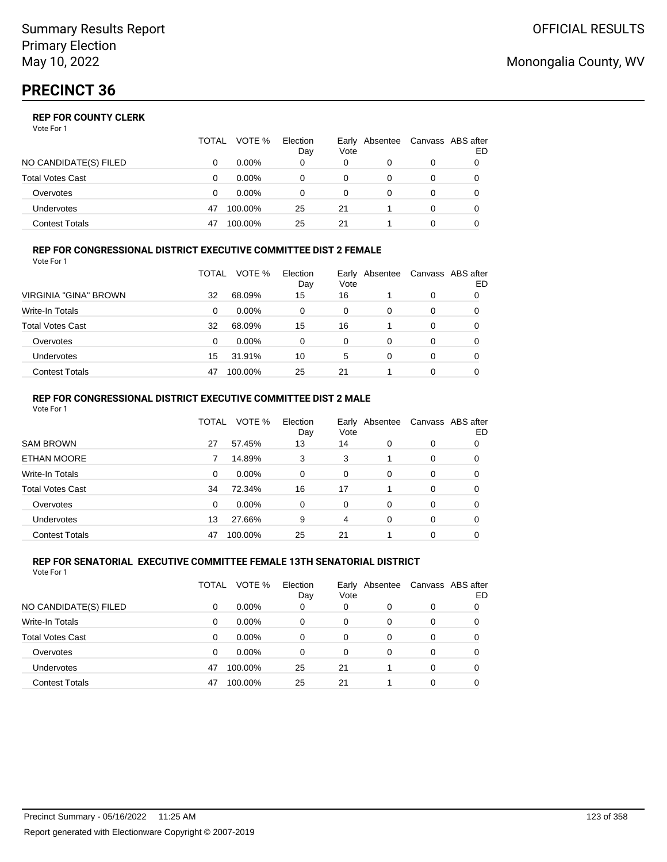### **REP FOR COUNTY CLERK**

Vote For 1

|                         | TOTAL | VOTE %   | Election<br>Day | Early<br>Vote | Absentee | Canvass ABS after | ED |
|-------------------------|-------|----------|-----------------|---------------|----------|-------------------|----|
| NO CANDIDATE(S) FILED   |       | $0.00\%$ | 0               | 0             |          | 0                 |    |
| <b>Total Votes Cast</b> |       | $0.00\%$ | 0               | 0             |          | 0                 |    |
| Overvotes               |       | $0.00\%$ |                 |               |          | 0                 |    |
| <b>Undervotes</b>       | 47    | 100.00%  | 25              | 21            |          | 0                 |    |
| <b>Contest Totals</b>   | 47    | 100.00%  | 25              | 21            |          |                   |    |

#### **REP FOR CONGRESSIONAL DISTRICT EXECUTIVE COMMITTEE DIST 2 FEMALE** Vote For 1

|                         | TOTAL | VOTE %   | Election<br>Day | Vote | Early Absentee | Canvass ABS after | ED |
|-------------------------|-------|----------|-----------------|------|----------------|-------------------|----|
| VIRGINIA "GINA" BROWN   | 32    | 68.09%   | 15              | 16   |                | 0                 | O  |
| Write-In Totals         | 0     | $0.00\%$ | 0               | 0    | 0              | 0                 | O  |
| <b>Total Votes Cast</b> | 32    | 68.09%   | 15              | 16   |                | 0                 | O  |
| Overvotes               | 0     | $0.00\%$ | 0               | 0    | 0              | 0                 |    |
| <b>Undervotes</b>       | 15    | 31.91%   | 10              | 5    | 0              | 0                 |    |
| <b>Contest Totals</b>   | 47    | 100.00%  | 25              | 21   |                | 0                 |    |

#### **REP FOR CONGRESSIONAL DISTRICT EXECUTIVE COMMITTEE DIST 2 MALE** Vote For 1

|                         | TOTAL | VOTE %   | Election<br>Day | Early<br>Vote | Absentee |          | Canvass ABS after<br>ED |
|-------------------------|-------|----------|-----------------|---------------|----------|----------|-------------------------|
| <b>SAM BROWN</b>        | 27    | 57.45%   | 13              | 14            | 0        | 0        | 0                       |
| <b>ETHAN MOORE</b>      |       | 14.89%   | 3               | 3             |          | 0        | 0                       |
| Write-In Totals         | 0     | $0.00\%$ | $\Omega$        | 0             | 0        | 0        | 0                       |
| <b>Total Votes Cast</b> | 34    | 72.34%   | 16              | 17            |          | $\Omega$ | 0                       |
| Overvotes               | 0     | $0.00\%$ | $\Omega$        | $\Omega$      | 0        | $\Omega$ | 0                       |
| <b>Undervotes</b>       | 13    | 27.66%   | 9               | 4             | 0        | 0        | 0                       |
| <b>Contest Totals</b>   | 47    | 100.00%  | 25              | 21            |          | 0        | 0                       |

#### **REP FOR SENATORIAL EXECUTIVE COMMITTEE FEMALE 13TH SENATORIAL DISTRICT** Vote For 1

|                         | TOTAL | VOTE %   | Election<br>Day | Early<br>Vote | Absentee |   | Canvass ABS after<br>ED |
|-------------------------|-------|----------|-----------------|---------------|----------|---|-------------------------|
| NO CANDIDATE(S) FILED   | 0     | $0.00\%$ | 0               | 0             | 0        | 0 | 0                       |
| <b>Write-In Totals</b>  | 0     | $0.00\%$ | 0               | $\Omega$      | 0        | 0 | 0                       |
| <b>Total Votes Cast</b> | 0     | $0.00\%$ | 0               | 0             | 0        | 0 | 0                       |
| Overvotes               | 0     | $0.00\%$ | 0               | 0             | 0        | 0 | 0                       |
| <b>Undervotes</b>       | 47    | 100.00%  | 25              | 21            |          | 0 | 0                       |
| <b>Contest Totals</b>   | 47    | 100.00%  | 25              | 21            |          | 0 | 0                       |

## Monongalia County, WV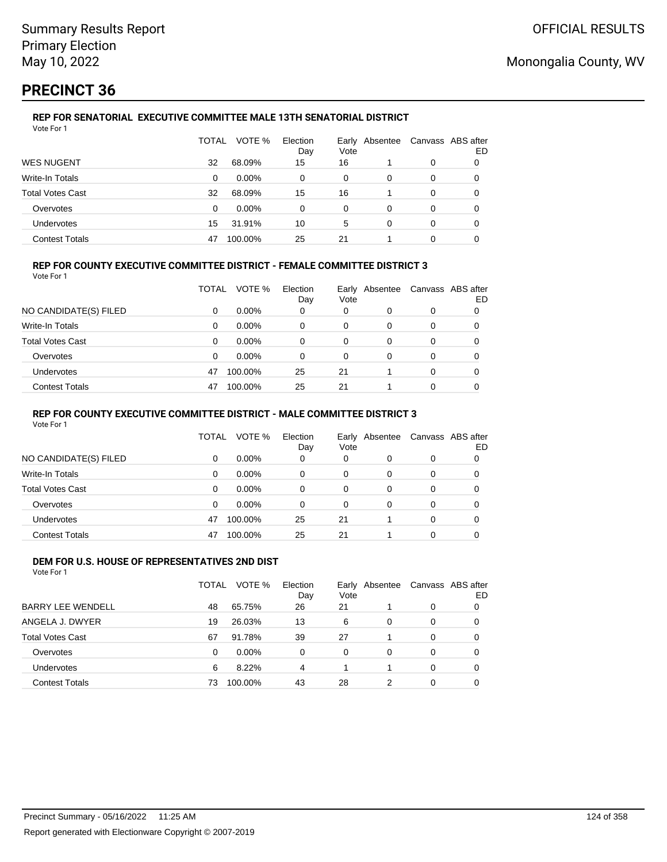# **PRECINCT 36**

#### **REP FOR SENATORIAL EXECUTIVE COMMITTEE MALE 13TH SENATORIAL DISTRICT** Vote For 1

|                         | TOTAL | VOTE %   | Election<br>Day | Vote | Early Absentee |   | Canvass ABS after<br>ED |
|-------------------------|-------|----------|-----------------|------|----------------|---|-------------------------|
| <b>WES NUGENT</b>       | 32    | 68.09%   | 15              | 16   |                | 0 |                         |
| Write-In Totals         | 0     | $0.00\%$ | 0               | 0    | 0              | 0 |                         |
| <b>Total Votes Cast</b> | 32    | 68.09%   | 15              | 16   |                | 0 |                         |
| Overvotes               | 0     | $0.00\%$ | 0               | 0    | 0              | 0 |                         |
| Undervotes              | 15    | 31.91%   | 10              | 5    | 0              | 0 |                         |
| <b>Contest Totals</b>   | 47    | 100.00%  | 25              | 21   |                | 0 |                         |

### **REP FOR COUNTY EXECUTIVE COMMITTEE DISTRICT - FEMALE COMMITTEE DISTRICT 3**

Vote For 1

|                       | TOTAL | VOTE %   | Election<br>Day | Vote | Early Absentee | Canvass ABS after | ED |
|-----------------------|-------|----------|-----------------|------|----------------|-------------------|----|
| NO CANDIDATE(S) FILED | 0     | $0.00\%$ | 0               | 0    | 0              | 0                 |    |
| Write-In Totals       | 0     | $0.00\%$ | 0               | 0    | 0              | 0                 | 0  |
| Total Votes Cast      | 0     | $0.00\%$ | 0               | 0    | 0              | 0                 |    |
| Overvotes             | 0     | $0.00\%$ | 0               | 0    | 0              | 0                 |    |
| Undervotes            | 47    | 100.00%  | 25              | 21   |                | 0                 |    |
| <b>Contest Totals</b> | 47    | 100.00%  | 25              | 21   |                | 0                 |    |

#### **REP FOR COUNTY EXECUTIVE COMMITTEE DISTRICT - MALE COMMITTEE DISTRICT 3**

Vote For 1

|                       | TOTAL    | VOTE %   | Election<br>Day | Vote | Early Absentee |          | Canvass ABS after<br>ED |
|-----------------------|----------|----------|-----------------|------|----------------|----------|-------------------------|
| NO CANDIDATE(S) FILED | 0        | $0.00\%$ | 0               | 0    | 0              | 0        | 0                       |
| Write-In Totals       | $\Omega$ | $0.00\%$ | $\Omega$        | 0    | 0              | 0        | 0                       |
| Total Votes Cast      | 0        | $0.00\%$ | 0               | 0    | 0              | 0        | 0                       |
| Overvotes             | 0        | $0.00\%$ | $\Omega$        | 0    | 0              | 0        | 0                       |
| <b>Undervotes</b>     | 47       | 100.00%  | 25              | 21   |                | $\Omega$ | 0                       |
| <b>Contest Totals</b> | 47       | 100.00%  | 25              | 21   |                | $\Omega$ |                         |

#### **DEM FOR U.S. HOUSE OF REPRESENTATIVES 2ND DIST** Vote For 1

|                          | TOTAL | VOTE %   | Election<br>Day | Vote     | Early Absentee |          | Canvass ABS after<br>ED |
|--------------------------|-------|----------|-----------------|----------|----------------|----------|-------------------------|
| <b>BARRY LEE WENDELL</b> | 48    | 65.75%   | 26              | 21       |                | 0        |                         |
| ANGELA J. DWYER          | 19    | 26.03%   | 13              | 6        | $\Omega$       | $\Omega$ | 0                       |
| <b>Total Votes Cast</b>  | 67    | 91.78%   | 39              | 27       |                | $\Omega$ | 0                       |
| Overvotes                | 0     | $0.00\%$ | 0               | $\Omega$ | 0              | $\Omega$ | 0                       |
| Undervotes               | 6     | 8.22%    | 4               |          |                | $\Omega$ | 0                       |
| <b>Contest Totals</b>    | 73    | 100.00%  | 43              | 28       | 2              | 0        |                         |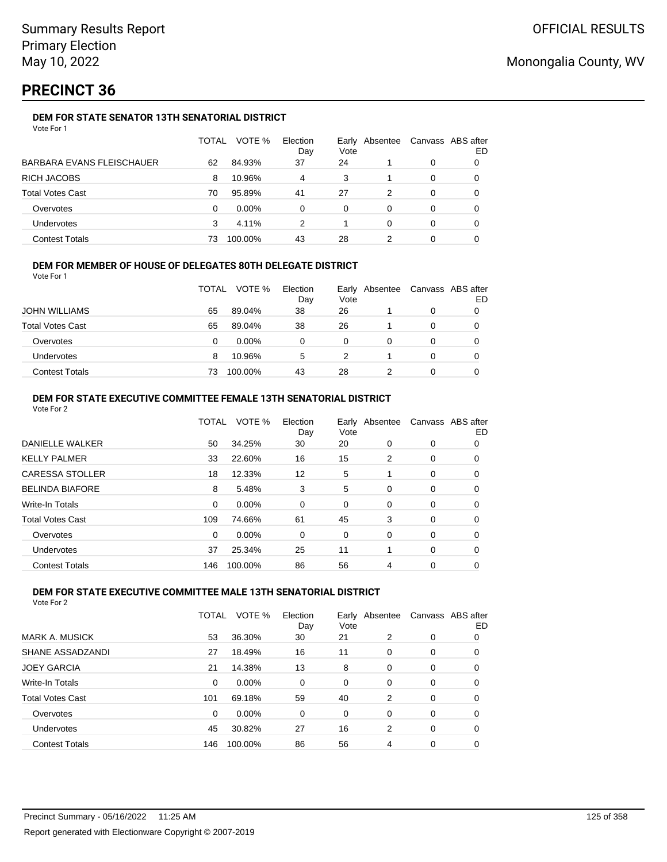# **PRECINCT 36**

### **DEM FOR STATE SENATOR 13TH SENATORIAL DISTRICT**

| Vote For 1 |  |
|------------|--|
|------------|--|

|                                  | TOTAL | VOTE %   | Election<br>Day | Vote | Early Absentee | Canvass ABS after | ED |
|----------------------------------|-------|----------|-----------------|------|----------------|-------------------|----|
| <b>BARBARA EVANS FLEISCHAUER</b> | 62    | 84.93%   | 37              | 24   |                | 0                 |    |
| <b>RICH JACOBS</b>               | 8     | 10.96%   | 4               | 3    |                | 0                 |    |
| <b>Total Votes Cast</b>          | 70    | 95.89%   | 41              | 27   | 2              | 0                 |    |
| Overvotes                        | 0     | $0.00\%$ | 0               | 0    | O              | 0                 |    |
| Undervotes                       | 3     | 4.11%    | 2               |      | 0              | 0                 |    |
| <b>Contest Totals</b>            | 73    | 100.00%  | 43              | 28   |                | 0                 |    |

#### **DEM FOR MEMBER OF HOUSE OF DELEGATES 80TH DELEGATE DISTRICT**

Vote For 1

|                         | <b>TOTAL</b> | VOTE %   | Election<br>Day | Vote | Early Absentee | Canvass ABS after | ED |
|-------------------------|--------------|----------|-----------------|------|----------------|-------------------|----|
| <b>JOHN WILLIAMS</b>    | 65           | 89.04%   | 38              | 26   |                |                   |    |
| <b>Total Votes Cast</b> | 65           | 89.04%   | 38              | 26   |                |                   |    |
| Overvotes               |              | $0.00\%$ |                 |      |                |                   |    |
| <b>Undervotes</b>       | 8            | 10.96%   | 5               |      |                |                   |    |
| <b>Contest Totals</b>   | 73           | 100.00%  | 43              | 28   |                |                   |    |

### **DEM FOR STATE EXECUTIVE COMMITTEE FEMALE 13TH SENATORIAL DISTRICT**

| Vote For 2              |       |          |                 |      |                |   |                         |
|-------------------------|-------|----------|-----------------|------|----------------|---|-------------------------|
|                         | TOTAL | VOTE %   | Election<br>Day | Vote | Early Absentee |   | Canvass ABS after<br>ED |
| <b>DANIELLE WALKER</b>  | 50    | 34.25%   | 30              | 20   | 0              | 0 | 0                       |
| <b>KELLY PALMER</b>     | 33    | 22.60%   | 16              | 15   | 2              | 0 | 0                       |
| <b>CARESSA STOLLER</b>  | 18    | 12.33%   | 12              | 5    |                | 0 | 0                       |
| <b>BELINDA BIAFORE</b>  | 8     | 5.48%    | 3               | 5    | 0              | 0 | 0                       |
| Write-In Totals         | 0     | $0.00\%$ | 0               | 0    | 0              | 0 | 0                       |
| <b>Total Votes Cast</b> | 109   | 74.66%   | 61              | 45   | 3              | 0 | 0                       |
| Overvotes               | 0     | 0.00%    | 0               | 0    | 0              | 0 | 0                       |
| Undervotes              | 37    | 25.34%   | 25              | 11   |                | 0 | 0                       |
| <b>Contest Totals</b>   | 146   | 100.00%  | 86              | 56   | 4              | 0 | 0                       |

### **DEM FOR STATE EXECUTIVE COMMITTEE MALE 13TH SENATORIAL DISTRICT**

|                         | TOTAL    | VOTE %   | Election<br>Day | Vote | Early Absentee |          | Canvass ABS after<br>ED |
|-------------------------|----------|----------|-----------------|------|----------------|----------|-------------------------|
| MARK A. MUSICK          | 53       | 36.30%   | 30              | 21   | 2              | 0        | 0                       |
| <b>SHANE ASSADZANDI</b> | 27       | 18.49%   | 16              | 11   | $\Omega$       | 0        | 0                       |
| <b>JOEY GARCIA</b>      | 21       | 14.38%   | 13              | 8    | $\Omega$       | 0        | 0                       |
| Write-In Totals         | 0        | $0.00\%$ | 0               | 0    | 0              | 0        | 0                       |
| <b>Total Votes Cast</b> | 101      | 69.18%   | 59              | 40   | 2              | 0        | 0                       |
| Overvotes               | $\Omega$ | 0.00%    | $\Omega$        | 0    | $\Omega$       | $\Omega$ | 0                       |
| Undervotes              | 45       | 30.82%   | 27              | 16   | 2              | $\Omega$ | 0                       |
| <b>Contest Totals</b>   | 146      | 100.00%  | 86              | 56   | 4              | $\Omega$ | 0                       |
|                         |          |          |                 |      |                |          |                         |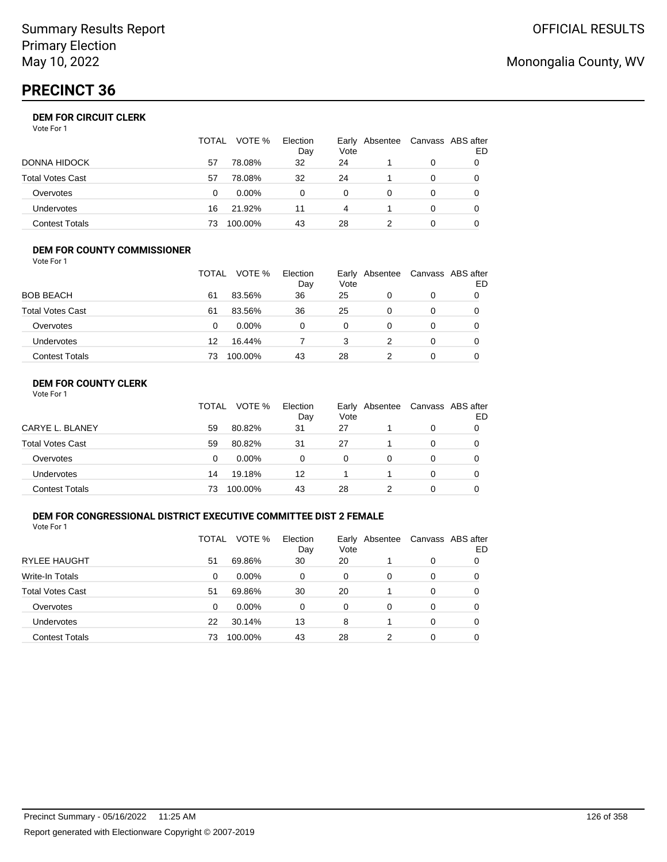# **PRECINCT 36**

### **DEM FOR CIRCUIT CLERK**

| Vote For 1 |  |
|------------|--|
|------------|--|

|                       | TOTAL | VOTE %   | Election<br>Day | Vote | Early Absentee | Canvass ABS after<br>ED |
|-----------------------|-------|----------|-----------------|------|----------------|-------------------------|
| DONNA HIDOCK          | 57    | 78.08%   | 32              | 24   |                |                         |
| Total Votes Cast      | 57    | 78.08%   | 32              | 24   |                |                         |
| Overvotes             | 0     | $0.00\%$ |                 | 0    |                |                         |
| Undervotes            | 16    | 21.92%   | 11              | 4    |                |                         |
| <b>Contest Totals</b> | 73    | 100.00%  | 43              | 28   |                |                         |

#### **DEM FOR COUNTY COMMISSIONER** Vote For 1

|                         | <b>TOTAL</b> | VOTE %   | Election<br>Day | Vote | Early Absentee | Canvass ABS after | ED |
|-------------------------|--------------|----------|-----------------|------|----------------|-------------------|----|
| <b>BOB BEACH</b>        | 61           | 83.56%   | 36              | 25   | 0              | 0                 |    |
| <b>Total Votes Cast</b> | 61           | 83.56%   | 36              | 25   | 0              | 0                 |    |
| Overvotes               | 0            | $0.00\%$ | 0               | 0    | $\Omega$       | 0                 |    |
| Undervotes              | 12           | 16.44%   |                 | 3    |                | 0                 |    |
| <b>Contest Totals</b>   | 73           | 100.00%  | 43              | 28   |                | 0                 |    |

### **DEM FOR COUNTY CLERK**

|                         | TOTAL | VOTE %   | Election<br>Day | Vote | Early Absentee | Canvass ABS after | ED |
|-------------------------|-------|----------|-----------------|------|----------------|-------------------|----|
| CARYE L. BLANEY         | 59    | 80.82%   | 31              | 27   |                | 0                 |    |
| <b>Total Votes Cast</b> | 59    | 80.82%   | 31              | 27   |                | 0                 |    |
| Overvotes               | 0     | $0.00\%$ | 0               | 0    | 0              | 0                 |    |
| <b>Undervotes</b>       | 14    | 19.18%   | 12              |      |                | 0                 |    |
| <b>Contest Totals</b>   | 73    | 100.00%  | 43              | 28   |                | 0                 |    |

### **DEM FOR CONGRESSIONAL DISTRICT EXECUTIVE COMMITTEE DIST 2 FEMALE**

Vote For 1

|                         | TOTAL | VOTE %   | Election<br>Day | Early<br>Vote | Absentee |   | Canvass ABS after<br>ED |
|-------------------------|-------|----------|-----------------|---------------|----------|---|-------------------------|
| <b>RYLEE HAUGHT</b>     | 51    | 69.86%   | 30              | 20            |          | 0 | 0                       |
| Write-In Totals         | 0     | $0.00\%$ | $\Omega$        | 0             | 0        | 0 | 0                       |
| <b>Total Votes Cast</b> | 51    | 69.86%   | 30              | 20            |          | 0 | O                       |
| Overvotes               | 0     | $0.00\%$ | 0               | 0             | 0        | 0 | O                       |
| Undervotes              | 22    | 30.14%   | 13              | 8             |          | 0 | O                       |
| <b>Contest Totals</b>   | 73    | 100.00%  | 43              | 28            | 2        | 0 |                         |

# Monongalia County, WV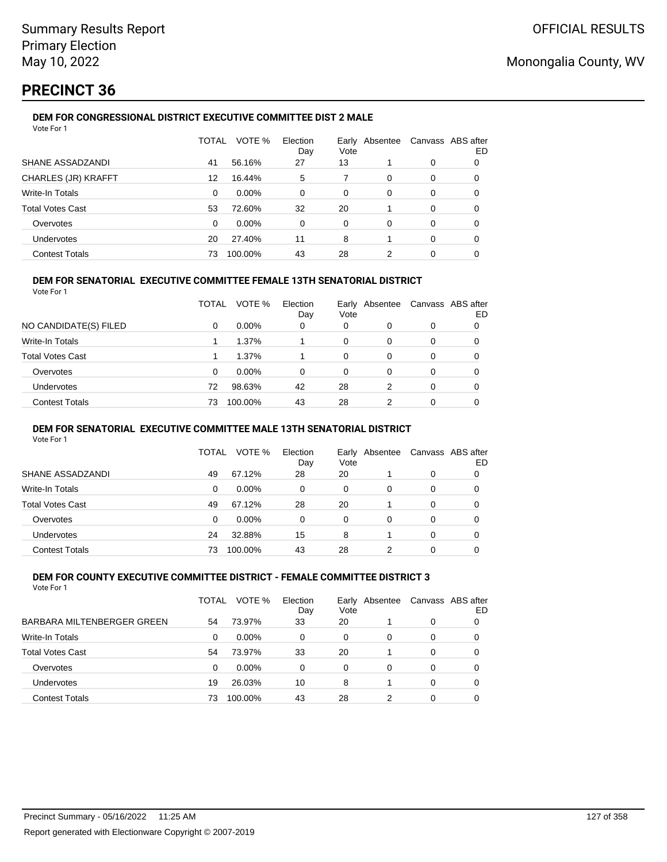# **PRECINCT 36**

#### **DEM FOR CONGRESSIONAL DISTRICT EXECUTIVE COMMITTEE DIST 2 MALE** Vote For 1

| 1 J J J J J J              |              |         |                 |               |          |          |                         |
|----------------------------|--------------|---------|-----------------|---------------|----------|----------|-------------------------|
|                            | <b>TOTAL</b> | VOTE %  | Election<br>Day | Early<br>Vote | Absentee |          | Canvass ABS after<br>ED |
| SHANE ASSADZANDI           | 41           | 56.16%  | 27              | 13            |          | 0        | 0                       |
| <b>CHARLES (JR) KRAFFT</b> | 12           | 16.44%  | 5               | 7             | 0        | 0        | 0                       |
| Write-In Totals            | 0            | 0.00%   | 0               | 0             | 0        | 0        | 0                       |
| <b>Total Votes Cast</b>    | 53           | 72.60%  | 32              | 20            |          | 0        | 0                       |
| Overvotes                  | $\Omega$     | 0.00%   | 0               | 0             | 0        | $\Omega$ | 0                       |
| Undervotes                 | 20           | 27.40%  | 11              | 8             |          | 0        | 0                       |
| <b>Contest Totals</b>      | 73           | 100.00% | 43              | 28            | 2        | 0        | 0                       |
|                            |              |         |                 |               |          |          |                         |

#### **DEM FOR SENATORIAL EXECUTIVE COMMITTEE FEMALE 13TH SENATORIAL DISTRICT**

Vote For 1

|                         | TOTAL | VOTE %   | Election<br>Day | Vote | Early Absentee |          | Canvass ABS after<br>ED |
|-------------------------|-------|----------|-----------------|------|----------------|----------|-------------------------|
| NO CANDIDATE(S) FILED   | 0     | $0.00\%$ | 0               | 0    |                | 0        |                         |
| <b>Write-In Totals</b>  |       | 1.37%    |                 | 0    | 0              | 0        | 0                       |
| <b>Total Votes Cast</b> |       | 1.37%    |                 | 0    | 0              | 0        |                         |
| Overvotes               | 0     | $0.00\%$ | 0               | 0    | 0              | 0        |                         |
| Undervotes              | 72    | 98.63%   | 42              | 28   | 2              | $\Omega$ | 0                       |
| <b>Contest Totals</b>   | 73    | 100.00%  | 43              | 28   | 2              | 0        |                         |

#### **DEM FOR SENATORIAL EXECUTIVE COMMITTEE MALE 13TH SENATORIAL DISTRICT**

Vote For 1

|                         | TOTAL | VOTE %   | Election<br>Day | Vote | Early Absentee | Canvass ABS after | ED |
|-------------------------|-------|----------|-----------------|------|----------------|-------------------|----|
| SHANE ASSADZANDI        | 49    | 67.12%   | 28              | 20   |                | 0                 |    |
| <b>Write-In Totals</b>  | 0     | $0.00\%$ | 0               | 0    | 0              | 0                 |    |
| <b>Total Votes Cast</b> | 49    | 67.12%   | 28              | 20   |                | 0                 |    |
| Overvotes               | 0     | $0.00\%$ | 0               | 0    | 0              | 0                 |    |
| Undervotes              | 24    | 32.88%   | 15              | 8    |                | 0                 |    |
| <b>Contest Totals</b>   | 73    | 100.00%  | 43              | 28   |                | 0                 |    |

#### **DEM FOR COUNTY EXECUTIVE COMMITTEE DISTRICT - FEMALE COMMITTEE DISTRICT 3** Vote For 1

|                            | TOTAL | VOTE %   | Election<br>Day | Early<br>Vote | Absentee | Canvass ABS after | ED |
|----------------------------|-------|----------|-----------------|---------------|----------|-------------------|----|
| BARBARA MILTENBERGER GREEN | 54    | 73.97%   | 33              | 20            |          | 0                 |    |
| Write-In Totals            | 0     | $0.00\%$ | 0               | 0             | 0        | 0                 | 0  |
| <b>Total Votes Cast</b>    | 54    | 73.97%   | 33              | 20            |          | 0                 |    |
| Overvotes                  | 0     | $0.00\%$ | 0               | 0             | 0        | 0                 |    |
| <b>Undervotes</b>          | 19    | 26.03%   | 10              | 8             |          | 0                 |    |
| <b>Contest Totals</b>      | 73    | 100.00%  | 43              | 28            | 2        | 0                 |    |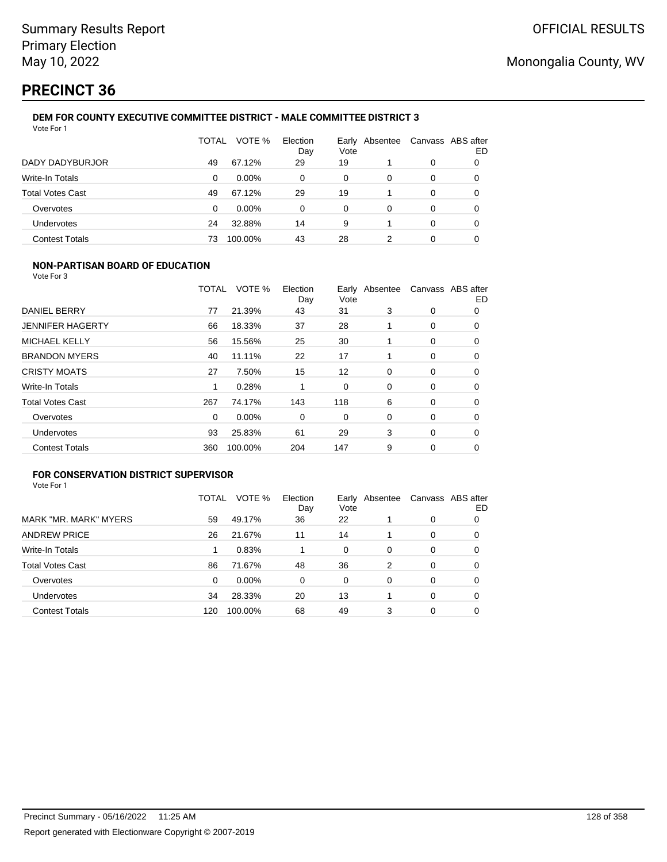# **PRECINCT 36**

#### **DEM FOR COUNTY EXECUTIVE COMMITTEE DISTRICT - MALE COMMITTEE DISTRICT 3** Vote For 1

|                         | TOTAL | VOTE %   | Election<br>Day | Early<br>Vote | Absentee | Canvass ABS after | ED |
|-------------------------|-------|----------|-----------------|---------------|----------|-------------------|----|
| DADY DADYBURJOR         | 49    | 67.12%   | 29              | 19            |          | 0                 | O  |
| Write-In Totals         | 0     | $0.00\%$ | 0               | 0             | 0        | 0                 | 0  |
| <b>Total Votes Cast</b> | 49    | 67.12%   | 29              | 19            |          | 0                 | 0  |
| Overvotes               | 0     | $0.00\%$ | 0               | 0             | 0        | 0                 | 0  |
| Undervotes              | 24    | 32.88%   | 14              | 9             |          | 0                 | 0  |
| <b>Contest Totals</b>   | 73    | 100.00%  | 43              | 28            | 2        | 0                 |    |

### **NON-PARTISAN BOARD OF EDUCATION**

Vote For 3

|                         | TOTAL    | VOTE %  | Election<br>Day | Vote | Early Absentee |             | Canvass ABS after<br>ED |
|-------------------------|----------|---------|-----------------|------|----------------|-------------|-------------------------|
| DANIEL BERRY            | 77       | 21.39%  | 43              | 31   | 3              | 0           | 0                       |
| <b>JENNIFER HAGERTY</b> | 66       | 18.33%  | 37              | 28   |                | 0           | 0                       |
| <b>MICHAEL KELLY</b>    | 56       | 15.56%  | 25              | 30   |                | 0           | 0                       |
| <b>BRANDON MYERS</b>    | 40       | 11.11%  | 22              | 17   |                | 0           | $\Omega$                |
| <b>CRISTY MOATS</b>     | 27       | 7.50%   | 15              | 12   | 0              | 0           | 0                       |
| <b>Write-In Totals</b>  | 1        | 0.28%   |                 | 0    | $\Omega$       | 0           | 0                       |
| <b>Total Votes Cast</b> | 267      | 74.17%  | 143             | 118  | 6              | 0           | 0                       |
| Overvotes               | $\Omega$ | 0.00%   | 0               | 0    | 0              | 0           | 0                       |
| Undervotes              | 93       | 25.83%  | 61              | 29   | 3              | $\mathbf 0$ | 0                       |
| <b>Contest Totals</b>   | 360      | 100.00% | 204             | 147  | 9              | 0           | 0                       |

### **FOR CONSERVATION DISTRICT SUPERVISOR**

|                         | TOTAL | VOTE %   | Election<br>Day | Early<br>Vote | Absentee |          | Canvass ABS after<br>ED |
|-------------------------|-------|----------|-----------------|---------------|----------|----------|-------------------------|
| MARK "MR. MARK" MYERS   | 59    | 49.17%   | 36              | 22            |          | 0        | 0                       |
| <b>ANDREW PRICE</b>     | 26    | 21.67%   | 11              | 14            |          | 0        | O                       |
| Write-In Totals         |       | 0.83%    |                 | 0             | 0        | 0        | 0                       |
| <b>Total Votes Cast</b> | 86    | 71.67%   | 48              | 36            | 2        | $\Omega$ | 0                       |
| Overvotes               | 0     | $0.00\%$ | 0               | 0             | 0        | 0        | 0                       |
| Undervotes              | 34    | 28.33%   | 20              | 13            |          | $\Omega$ | 0                       |
| <b>Contest Totals</b>   | 120   | 100.00%  | 68              | 49            | 3        | 0        |                         |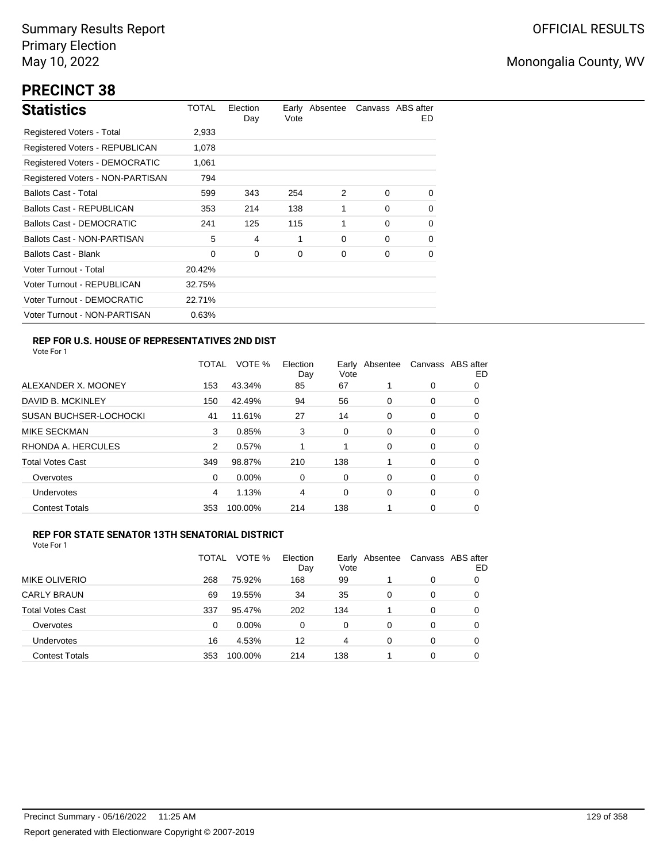# **PRECINCT 38**

| <b>Statistics</b>                | TOTAL  | Election<br>Day | Vote | Early Absentee |          | Canvass ABS after<br>ED. |
|----------------------------------|--------|-----------------|------|----------------|----------|--------------------------|
| Registered Voters - Total        | 2,933  |                 |      |                |          |                          |
| Registered Voters - REPUBLICAN   | 1,078  |                 |      |                |          |                          |
| Registered Voters - DEMOCRATIC   | 1,061  |                 |      |                |          |                          |
| Registered Voters - NON-PARTISAN | 794    |                 |      |                |          |                          |
| <b>Ballots Cast - Total</b>      | 599    | 343             | 254  | 2              | $\Omega$ | $\Omega$                 |
| Ballots Cast - REPUBLICAN        | 353    | 214             | 138  | 1              | $\Omega$ | $\Omega$                 |
| <b>Ballots Cast - DEMOCRATIC</b> | 241    | 125             | 115  | 1              | $\Omega$ | 0                        |
| Ballots Cast - NON-PARTISAN      | 5      | 4               | 1    | 0              | $\Omega$ | $\Omega$                 |
| <b>Ballots Cast - Blank</b>      | 0      | 0               | 0    | 0              | 0        | 0                        |
| Voter Turnout - Total            | 20.42% |                 |      |                |          |                          |
| Voter Turnout - REPUBLICAN       | 32.75% |                 |      |                |          |                          |
| Voter Turnout - DEMOCRATIC       | 22.71% |                 |      |                |          |                          |
| Voter Turnout - NON-PARTISAN     | 0.63%  |                 |      |                |          |                          |

### **REP FOR U.S. HOUSE OF REPRESENTATIVES 2ND DIST**

Vote For 1

|                               | TOTAL | VOTE %   | Election<br>Day | Vote | Early Absentee |   | Canvass ABS after<br>ED |
|-------------------------------|-------|----------|-----------------|------|----------------|---|-------------------------|
| ALEXANDER X. MOONEY           | 153   | 43.34%   | 85              | 67   |                | 0 | 0                       |
| DAVID B. MCKINLEY             | 150   | 42.49%   | 94              | 56   | 0              | 0 | 0                       |
| <b>SUSAN BUCHSER-LOCHOCKI</b> | 41    | 11.61%   | 27              | 14   | 0              | 0 | 0                       |
| MIKE SECKMAN                  | 3     | 0.85%    | 3               | 0    | 0              | 0 | 0                       |
| RHONDA A. HERCULES            | 2     | 0.57%    |                 |      | 0              | 0 | 0                       |
| <b>Total Votes Cast</b>       | 349   | 98.87%   | 210             | 138  |                | 0 | 0                       |
| Overvotes                     | 0     | $0.00\%$ | 0               | 0    | $\Omega$       | 0 | 0                       |
| Undervotes                    | 4     | 1.13%    | 4               | 0    | 0              | 0 | 0                       |
| <b>Contest Totals</b>         | 353   | 100.00%  | 214             | 138  |                | 0 | O                       |

#### **REP FOR STATE SENATOR 13TH SENATORIAL DISTRICT**

|                         | TOTAL | VOTE %   | Election<br>Day | Vote | Early Absentee |   | Canvass ABS after<br>ED |
|-------------------------|-------|----------|-----------------|------|----------------|---|-------------------------|
| <b>MIKE OLIVERIO</b>    | 268   | 75.92%   | 168             | 99   |                | 0 | 0                       |
| <b>CARLY BRAUN</b>      | 69    | 19.55%   | 34              | 35   | 0              | 0 | 0                       |
| <b>Total Votes Cast</b> | 337   | 95.47%   | 202             | 134  |                | 0 | 0                       |
| Overvotes               | 0     | $0.00\%$ | 0               | 0    | 0              | 0 |                         |
| Undervotes              | 16    | 4.53%    | 12              | 4    | 0              | 0 |                         |
| <b>Contest Totals</b>   | 353   | 100.00%  | 214             | 138  |                | 0 |                         |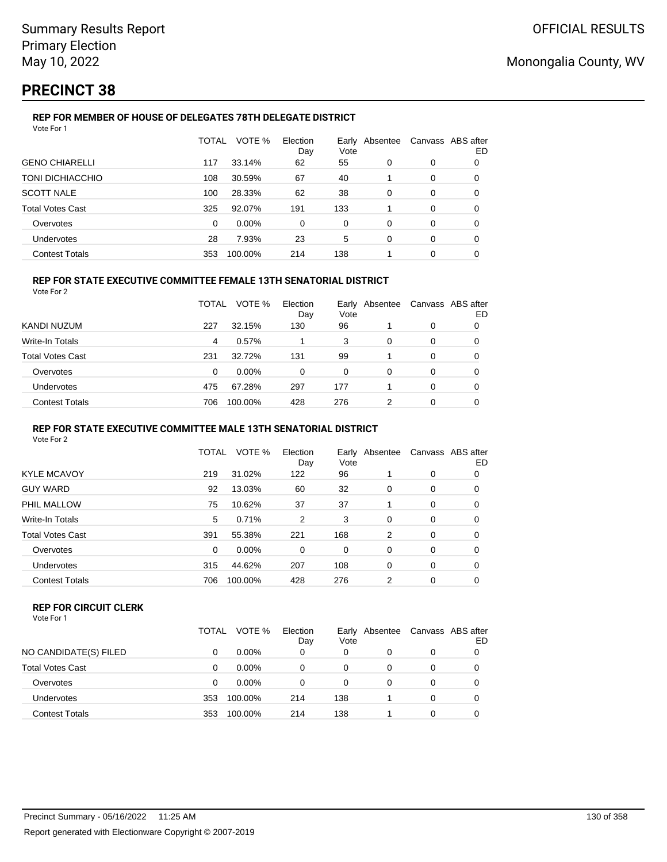# **PRECINCT 38**

#### **REP FOR MEMBER OF HOUSE OF DELEGATES 78TH DELEGATE DISTRICT** Vote For 1

|                         | TOTAL    | VOTE %  | Election<br>Day | Vote     | Early Absentee |          | Canvass ABS after<br>ED |
|-------------------------|----------|---------|-----------------|----------|----------------|----------|-------------------------|
| <b>GENO CHIARELLI</b>   | 117      | 33.14%  | 62              | 55       | 0              | $\Omega$ | 0                       |
| TONI DICHIACCHIO        | 108      | 30.59%  | 67              | 40       |                | $\Omega$ | $\Omega$                |
| <b>SCOTT NALE</b>       | 100      | 28.33%  | 62              | 38       | $\Omega$       | $\Omega$ | $\Omega$                |
| <b>Total Votes Cast</b> | 325      | 92.07%  | 191             | 133      |                | 0        | $\Omega$                |
| Overvotes               | $\Omega$ | 0.00%   | $\Omega$        | $\Omega$ | $\Omega$       | $\Omega$ | 0                       |
| <b>Undervotes</b>       | 28       | 7.93%   | 23              | 5        | $\Omega$       | $\Omega$ | 0                       |
| <b>Contest Totals</b>   | 353      | 100.00% | 214             | 138      |                | 0        | 0                       |

### **REP FOR STATE EXECUTIVE COMMITTEE FEMALE 13TH SENATORIAL DISTRICT**

Vote For 2

|                         | TOTAL | VOTE %   | Election<br>Day | Vote | Early Absentee | Canvass ABS after | ED |
|-------------------------|-------|----------|-----------------|------|----------------|-------------------|----|
| KANDI NUZUM             | 227   | 32.15%   | 130             | 96   |                | 0                 |    |
| Write-In Totals         | 4     | 0.57%    |                 | 3    | 0              | 0                 |    |
| <b>Total Votes Cast</b> | 231   | 32.72%   | 131             | 99   |                | 0                 |    |
| Overvotes               | 0     | $0.00\%$ | 0               | 0    | 0              | 0                 | O  |
| <b>Undervotes</b>       | 475   | 67.28%   | 297             | 177  |                | 0                 | O  |
| <b>Contest Totals</b>   | 706   | 100.00%  | 428             | 276  | 2              | 0                 | 0  |

#### **REP FOR STATE EXECUTIVE COMMITTEE MALE 13TH SENATORIAL DISTRICT**

Vote For 2

|                         | <b>TOTAL</b> | VOTE %   | Election<br>Day | Vote | Early Absentee |   | Canvass ABS after<br>ED |
|-------------------------|--------------|----------|-----------------|------|----------------|---|-------------------------|
| <b>KYLE MCAVOY</b>      | 219          | 31.02%   | 122             | 96   |                | 0 | 0                       |
| <b>GUY WARD</b>         | 92           | 13.03%   | 60              | 32   | 0              | 0 | 0                       |
| PHIL MALLOW             | 75           | 10.62%   | 37              | 37   | 1              | 0 | 0                       |
| Write-In Totals         | 5            | 0.71%    | 2               | 3    | 0              | 0 | 0                       |
| <b>Total Votes Cast</b> | 391          | 55.38%   | 221             | 168  | 2              | 0 | 0                       |
| Overvotes               | 0            | $0.00\%$ | 0               | 0    | 0              | 0 | 0                       |
| <b>Undervotes</b>       | 315          | 44.62%   | 207             | 108  | 0              | 0 | 0                       |
| <b>Contest Totals</b>   | 706          | 100.00%  | 428             | 276  | 2              | 0 | 0                       |
|                         |              |          |                 |      |                |   |                         |

#### **REP FOR CIRCUIT CLERK**

|                         | TOTAL | VOTE %   | Election<br>Day | Earlv<br>Vote | Absentee | Canvass ABS after | ED |
|-------------------------|-------|----------|-----------------|---------------|----------|-------------------|----|
| NO CANDIDATE(S) FILED   |       | $0.00\%$ | 0               | 0             | 0        | 0                 |    |
| <b>Total Votes Cast</b> | 0     | $0.00\%$ | 0               | 0             | 0        | 0                 |    |
| Overvotes               | 0     | $0.00\%$ | 0               | 0             | 0        | 0                 |    |
| Undervotes              | 353   | 100.00%  | 214             | 138           |          | 0                 |    |
| <b>Contest Totals</b>   | 353   | 100.00%  | 214             | 138           |          | 0                 |    |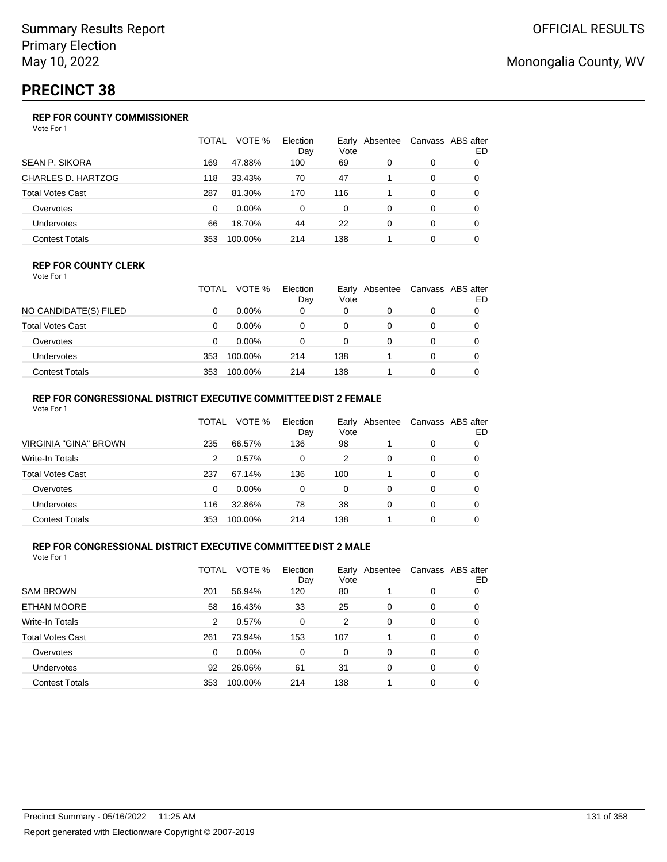# **PRECINCT 38**

### **REP FOR COUNTY COMMISSIONER**

Vote For 1

|                         | TOTAL | VOTE %   | Election<br>Day | Vote | Early Absentee |          | Canvass ABS after<br>ED |
|-------------------------|-------|----------|-----------------|------|----------------|----------|-------------------------|
| <b>SEAN P. SIKORA</b>   | 169   | 47.88%   | 100             | 69   | 0              | 0        |                         |
| CHARLES D. HARTZOG      | 118   | 33.43%   | 70              | 47   |                | 0        |                         |
| <b>Total Votes Cast</b> | 287   | 81.30%   | 170             | 116  |                | 0        |                         |
| Overvotes               | 0     | $0.00\%$ | 0               | 0    | 0              | 0        |                         |
| <b>Undervotes</b>       | 66    | 18.70%   | 44              | 22   | 0              | $\Omega$ |                         |
| <b>Contest Totals</b>   | 353   | 100.00%  | 214             | 138  |                | 0        |                         |

#### **REP FOR COUNTY CLERK**

Vote For 1

|                       | TOTAL | VOTE %   | Election<br>Day | Vote | Early Absentee | Canvass ABS after<br>ED |
|-----------------------|-------|----------|-----------------|------|----------------|-------------------------|
| NO CANDIDATE(S) FILED |       | $0.00\%$ | 0               | 0    |                |                         |
| Total Votes Cast      |       | $0.00\%$ |                 |      |                |                         |
| Overvotes             |       | $0.00\%$ |                 | 0    |                |                         |
| Undervotes            | 353   | 100.00%  | 214             | 138  |                |                         |
| Contest Totals        | 353   | 100.00%  | 214             | 138  |                |                         |

### **REP FOR CONGRESSIONAL DISTRICT EXECUTIVE COMMITTEE DIST 2 FEMALE**

| Vote For 1              |       |          |                 |      |                |          |                         |
|-------------------------|-------|----------|-----------------|------|----------------|----------|-------------------------|
|                         | TOTAL | VOTE %   | Election<br>Day | Vote | Early Absentee |          | Canvass ABS after<br>ED |
| VIRGINIA "GINA" BROWN   | 235   | 66.57%   | 136             | 98   |                | $\Omega$ | 0                       |
| Write-In Totals         | 2     | $0.57\%$ | 0               | 2    | 0              | 0        | 0                       |
| <b>Total Votes Cast</b> | 237   | 67.14%   | 136             | 100  |                | $\Omega$ | 0                       |
| Overvotes               | 0     | $0.00\%$ | 0               | 0    | 0              | 0        | 0                       |
| Undervotes              | 116   | 32.86%   | 78              | 38   | 0              | 0        | 0                       |
| <b>Contest Totals</b>   | 353   | 100.00%  | 214             | 138  |                | 0        |                         |

### **REP FOR CONGRESSIONAL DISTRICT EXECUTIVE COMMITTEE DIST 2 MALE**

|                         | TOTAL | VOTE %   | Election<br>Day | Vote | Early Absentee |          | Canvass ABS after<br>ED |
|-------------------------|-------|----------|-----------------|------|----------------|----------|-------------------------|
| <b>SAM BROWN</b>        | 201   | 56.94%   | 120             | 80   |                | 0        | 0                       |
| <b>ETHAN MOORE</b>      | 58    | 16.43%   | 33              | 25   | 0              | 0        | 0                       |
| Write-In Totals         | 2     | 0.57%    | 0               | 2    | $\Omega$       | $\Omega$ | 0                       |
| <b>Total Votes Cast</b> | 261   | 73.94%   | 153             | 107  |                | 0        | 0                       |
| Overvotes               | 0     | $0.00\%$ | 0               | 0    | 0              | 0        | 0                       |
| <b>Undervotes</b>       | 92    | 26.06%   | 61              | 31   | $\Omega$       | 0        | 0                       |
| <b>Contest Totals</b>   | 353   | 100.00%  | 214             | 138  |                | 0        | 0                       |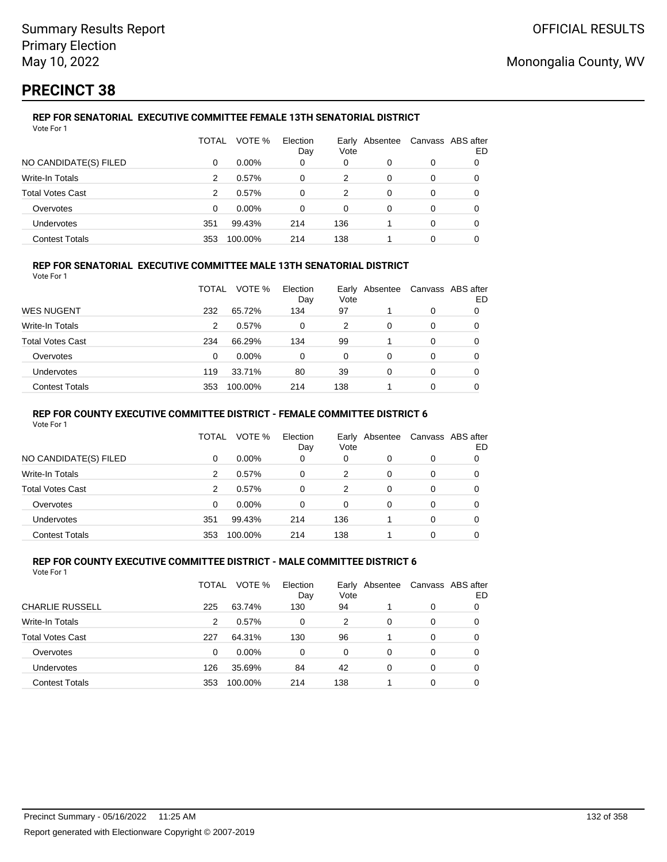# **PRECINCT 38**

### **REP FOR SENATORIAL EXECUTIVE COMMITTEE FEMALE 13TH SENATORIAL DISTRICT**

| Vote For 1              |          |          |                 |      |                |          |                         |
|-------------------------|----------|----------|-----------------|------|----------------|----------|-------------------------|
|                         | TOTAL    | VOTE %   | Election<br>Day | Vote | Early Absentee |          | Canvass ABS after<br>ED |
| NO CANDIDATE(S) FILED   | $\Omega$ | $0.00\%$ | 0               | 0    | 0              | 0        | 0                       |
| Write-In Totals         | 2        | 0.57%    | $\Omega$        | 2    | $\Omega$       | 0        | 0                       |
| <b>Total Votes Cast</b> | 2        | 0.57%    | 0               | 2    | 0              | $\Omega$ | 0                       |
| Overvotes               | 0        | $0.00\%$ | 0               | 0    | 0              | 0        | 0                       |
| <b>Undervotes</b>       | 351      | 99.43%   | 214             | 136  |                | $\Omega$ |                         |
| <b>Contest Totals</b>   | 353      | 100.00%  | 214             | 138  |                | 0        |                         |

### **REP FOR SENATORIAL EXECUTIVE COMMITTEE MALE 13TH SENATORIAL DISTRICT**

Vote For 1

|                         | TOTAL | VOTE %   | Election<br>Day | Vote | Early Absentee | Canvass ABS after | ED |
|-------------------------|-------|----------|-----------------|------|----------------|-------------------|----|
| <b>WES NUGENT</b>       | 232   | 65.72%   | 134             | 97   |                | 0                 |    |
| Write-In Totals         | 2     | 0.57%    | 0               | 2    | 0              | 0                 | O  |
| <b>Total Votes Cast</b> | 234   | 66.29%   | 134             | 99   |                | 0                 |    |
| Overvotes               | 0     | $0.00\%$ | 0               | 0    | 0              | 0                 |    |
| <b>Undervotes</b>       | 119   | 33.71%   | 80              | 39   | 0              | 0                 |    |
| <b>Contest Totals</b>   | 353   | 100.00%  | 214             | 138  |                | 0                 |    |

#### **REP FOR COUNTY EXECUTIVE COMMITTEE DISTRICT - FEMALE COMMITTEE DISTRICT 6**

Vote For 1

|                       | TOTAL | VOTE %   | Election<br>Day | Vote     | Early Absentee |   | Canvass ABS after<br>ED |
|-----------------------|-------|----------|-----------------|----------|----------------|---|-------------------------|
| NO CANDIDATE(S) FILED | 0     | $0.00\%$ | 0               | 0        |                | 0 | 0                       |
| Write-In Totals       | 2     | 0.57%    | 0               | 2        | 0              | 0 | 0                       |
| Total Votes Cast      | 2     | 0.57%    | $\Omega$        | 2        | 0              | 0 | 0                       |
| Overvotes             | 0     | $0.00\%$ | $\Omega$        | $\Omega$ | 0              | 0 | 0                       |
| <b>Undervotes</b>     | 351   | 99.43%   | 214             | 136      |                | 0 | 0                       |
| <b>Contest Totals</b> | 353   | 100.00%  | 214             | 138      |                | 0 |                         |

#### **REP FOR COUNTY EXECUTIVE COMMITTEE DISTRICT - MALE COMMITTEE DISTRICT 6** Vote For 1

|                         | TOTAL | VOTE %   | Election<br>Day | Vote | Early Absentee |   | Canvass ABS after<br>ED |
|-------------------------|-------|----------|-----------------|------|----------------|---|-------------------------|
| <b>CHARLIE RUSSELL</b>  | 225   | 63.74%   | 130             | 94   |                | 0 |                         |
| Write-In Totals         | 2     | 0.57%    | 0               | 2    | 0              | 0 | 0                       |
| <b>Total Votes Cast</b> | 227   | 64.31%   | 130             | 96   |                | 0 | 0                       |
| Overvotes               | 0     | $0.00\%$ | $\Omega$        | 0    | 0              | 0 | 0                       |
| Undervotes              | 126   | 35.69%   | 84              | 42   | 0              | 0 | 0                       |
| <b>Contest Totals</b>   | 353   | 100.00%  | 214             | 138  |                | 0 |                         |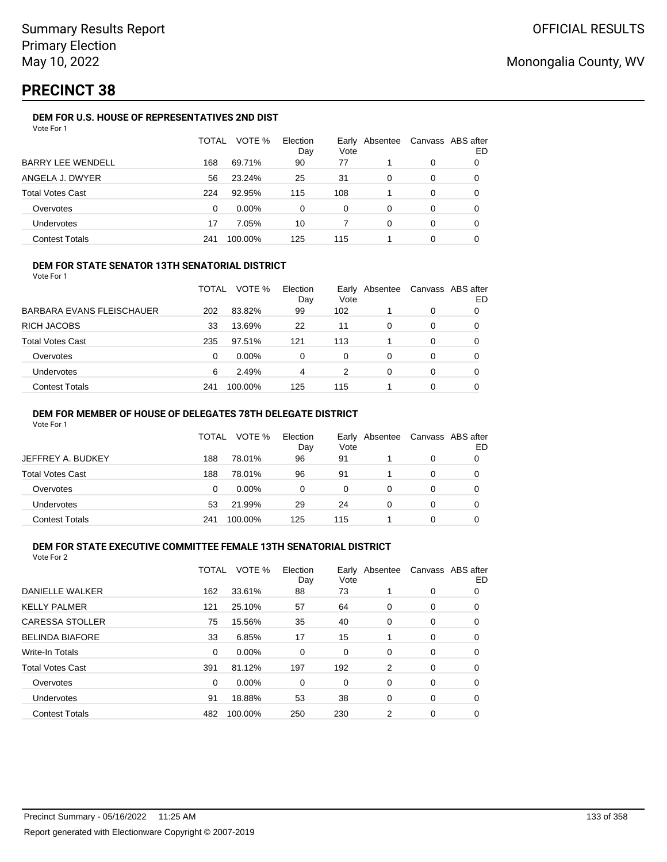# **PRECINCT 38**

### **DEM FOR U.S. HOUSE OF REPRESENTATIVES 2ND DIST**

|                          | TOTAL | VOTE %   | Election<br>Day | Early<br>Vote | Absentee |          | Canvass ABS after<br>ED |
|--------------------------|-------|----------|-----------------|---------------|----------|----------|-------------------------|
| <b>BARRY LEE WENDELL</b> | 168   | 69.71%   | 90              | 77            |          | 0        |                         |
| ANGELA J. DWYER          | 56    | 23.24%   | 25              | 31            | 0        | 0        |                         |
| <b>Total Votes Cast</b>  | 224   | 92.95%   | 115             | 108           |          | 0        |                         |
| Overvotes                | 0     | $0.00\%$ | 0               | 0             | 0        | $\Omega$ | O                       |
| <b>Undervotes</b>        | 17    | 7.05%    | 10              |               | 0        | 0        |                         |
| <b>Contest Totals</b>    | 241   | 100.00%  | 125             | 115           |          | 0        |                         |

#### **DEM FOR STATE SENATOR 13TH SENATORIAL DISTRICT**

Vote For 1

|                           | TOTAL | VOTE %   | Election<br>Day | Vote | Early Absentee | Canvass ABS after | ED |
|---------------------------|-------|----------|-----------------|------|----------------|-------------------|----|
| BARBARA EVANS FLEISCHAUER | 202   | 83.82%   | 99              | 102  |                | 0                 |    |
| RICH JACOBS               | 33    | 13.69%   | 22              | 11   | 0              | 0                 |    |
| Total Votes Cast          | 235   | 97.51%   | 121             | 113  |                | 0                 |    |
| Overvotes                 | 0     | $0.00\%$ | 0               | 0    | 0              | 0                 |    |
| Undervotes                | 6     | 2.49%    | 4               | 2    | 0              | 0                 |    |
| Contest Totals            | 241   | 100.00%  | 125             | 115  |                | 0                 |    |

#### **DEM FOR MEMBER OF HOUSE OF DELEGATES 78TH DELEGATE DISTRICT**

Vote For 1

|                   | TOTAL | VOTE %   | Election<br>Day | Vote | Early Absentee | Canvass ABS after | ED |
|-------------------|-------|----------|-----------------|------|----------------|-------------------|----|
| JEFFREY A. BUDKEY | 188   | 78.01%   | 96              | 91   |                | 0                 |    |
| Total Votes Cast  | 188   | 78.01%   | 96              | 91   |                | 0                 |    |
| Overvotes         | 0     | $0.00\%$ | 0               | 0    | O              | 0                 |    |
| Undervotes        | 53    | 21.99%   | 29              | 24   | Ω              | 0                 |    |
| Contest Totals    | 241   | 100.00%  | 125             | 115  |                | ი                 |    |

### **DEM FOR STATE EXECUTIVE COMMITTEE FEMALE 13TH SENATORIAL DISTRICT**

| Vote For 2 |  |
|------------|--|
|            |  |

| DANIELLE WALKER<br>33.61%<br>73<br>162<br>88<br>0<br>0<br><b>KELLY PALMER</b><br>57<br>64<br>25.10%<br>121<br>0<br>0<br>0<br><b>CARESSA STOLLER</b><br>15.56%<br>35<br>40<br>75<br>0<br>0<br>0<br><b>BELINDA BIAFORE</b><br>17<br>15<br>33<br>6.85%<br>0<br>0<br><b>Write-In Totals</b><br>$0.00\%$<br>0<br>0<br>0<br>0<br>0<br>0<br><b>Total Votes Cast</b><br>81.12%<br>197<br>192<br>391<br>2<br>0<br>0<br>$0.00\%$<br>0<br>Overvotes<br>0<br>0<br>0<br>0<br>0<br><b>Undervotes</b><br>18.88%<br>53<br>38<br>91<br>0<br>0<br>0<br><b>Contest Totals</b><br>250<br>230<br>2<br>100.00%<br>482<br>0<br>0 | TOTAL | VOTE % | Election<br>Day | Vote | Early Absentee | Canvass ABS after | ED |
|-----------------------------------------------------------------------------------------------------------------------------------------------------------------------------------------------------------------------------------------------------------------------------------------------------------------------------------------------------------------------------------------------------------------------------------------------------------------------------------------------------------------------------------------------------------------------------------------------------------|-------|--------|-----------------|------|----------------|-------------------|----|
|                                                                                                                                                                                                                                                                                                                                                                                                                                                                                                                                                                                                           |       |        |                 |      |                |                   |    |
|                                                                                                                                                                                                                                                                                                                                                                                                                                                                                                                                                                                                           |       |        |                 |      |                |                   |    |
|                                                                                                                                                                                                                                                                                                                                                                                                                                                                                                                                                                                                           |       |        |                 |      |                |                   |    |
|                                                                                                                                                                                                                                                                                                                                                                                                                                                                                                                                                                                                           |       |        |                 |      |                |                   |    |
|                                                                                                                                                                                                                                                                                                                                                                                                                                                                                                                                                                                                           |       |        |                 |      |                |                   |    |
|                                                                                                                                                                                                                                                                                                                                                                                                                                                                                                                                                                                                           |       |        |                 |      |                |                   |    |
|                                                                                                                                                                                                                                                                                                                                                                                                                                                                                                                                                                                                           |       |        |                 |      |                |                   |    |
|                                                                                                                                                                                                                                                                                                                                                                                                                                                                                                                                                                                                           |       |        |                 |      |                |                   |    |
|                                                                                                                                                                                                                                                                                                                                                                                                                                                                                                                                                                                                           |       |        |                 |      |                |                   |    |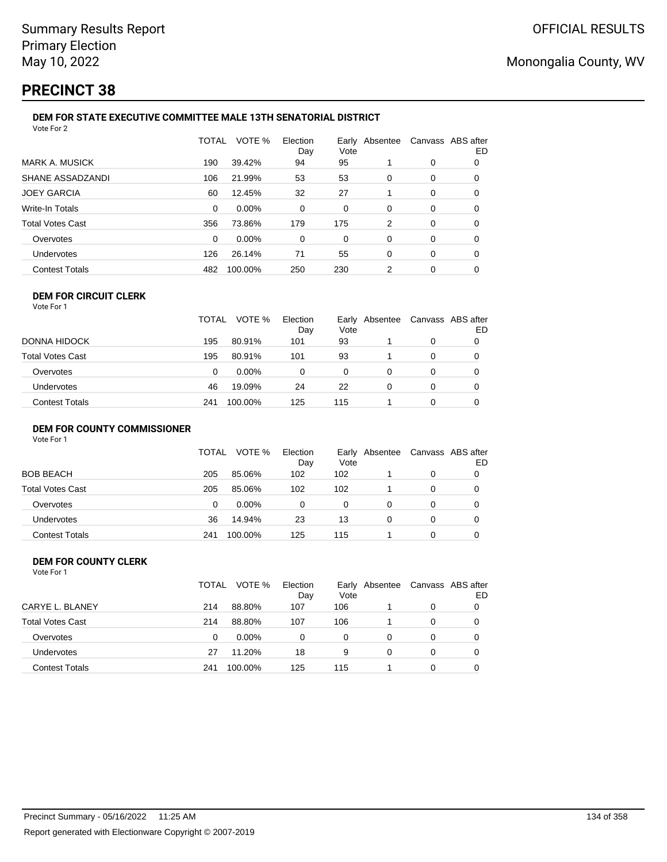# **PRECINCT 38**

#### **DEM FOR STATE EXECUTIVE COMMITTEE MALE 13TH SENATORIAL DISTRICT** Vote For 2

|                         | <b>TOTAL</b> | VOTE %  | Election<br>Day | Vote | Early Absentee | Canvass ABS after | ED |
|-------------------------|--------------|---------|-----------------|------|----------------|-------------------|----|
| <b>MARK A. MUSICK</b>   | 190          | 39.42%  | 94              | 95   |                | 0                 | 0  |
| SHANE ASSADZANDI        | 106          | 21.99%  | 53              | 53   | 0              | 0                 | 0  |
| <b>JOEY GARCIA</b>      | 60           | 12.45%  | 32              | 27   |                | 0                 | 0  |
| <b>Write-In Totals</b>  | 0            | 0.00%   | 0               | 0    | $\Omega$       | 0                 | 0  |
| <b>Total Votes Cast</b> | 356          | 73.86%  | 179             | 175  | 2              | 0                 | 0  |
| Overvotes               | 0            | 0.00%   | 0               | 0    | 0              | 0                 | 0  |
| <b>Undervotes</b>       | 126          | 26.14%  | 71              | 55   | 0              | 0                 | 0  |
| <b>Contest Totals</b>   | 482          | 100.00% | 250             | 230  | 2              | 0                 | 0  |
|                         |              |         |                 |      |                |                   |    |

#### **DEM FOR CIRCUIT CLERK** Vote For 1

|                       | <b>TOTAL</b> | VOTE %   | Election<br>Day | Vote | Early Absentee | Canvass ABS after<br>ED |
|-----------------------|--------------|----------|-----------------|------|----------------|-------------------------|
| DONNA HIDOCK          | 195          | 80.91%   | 101             | 93   |                |                         |
| Total Votes Cast      | 195          | 80.91%   | 101             | 93   |                |                         |
| Overvotes             | 0            | $0.00\%$ | 0               | 0    |                |                         |
| <b>Undervotes</b>     | 46           | 19.09%   | 24              | 22   |                | 0                       |
| <b>Contest Totals</b> | 241          | 100.00%  | 125             | 115  |                |                         |

#### **DEM FOR COUNTY COMMISSIONER**

| Vote For 1 |  |  |
|------------|--|--|
|            |  |  |

|                         | TOTAL | VOTE %   | Election<br>Day | Vote | Early Absentee | Canvass ABS after | ED |
|-------------------------|-------|----------|-----------------|------|----------------|-------------------|----|
| <b>BOB BEACH</b>        | 205   | 85.06%   | 102             | 102  |                | 0                 |    |
| <b>Total Votes Cast</b> | 205   | 85.06%   | 102             | 102  |                | 0                 |    |
| Overvotes               | 0     | $0.00\%$ | 0               | 0    | 0              | 0                 |    |
| <b>Undervotes</b>       | 36    | 14.94%   | 23              | 13   | 0              | 0                 |    |
| <b>Contest Totals</b>   | 241   | 100.00%  | 125             | 115  |                | 0                 |    |

#### **DEM FOR COUNTY CLERK** Vote For 1

|                         | TOTAL | VOTE %   | Election<br>Day | Vote | Early Absentee | Canvass ABS after | ED |
|-------------------------|-------|----------|-----------------|------|----------------|-------------------|----|
| CARYE L. BLANEY         | 214   | 88.80%   | 107             | 106  |                | 0                 |    |
| <b>Total Votes Cast</b> | 214   | 88.80%   | 107             | 106  |                | $\Omega$          |    |
| Overvotes               | 0     | $0.00\%$ | 0               | 0    | 0              | 0                 |    |
| <b>Undervotes</b>       | 27    | 11.20%   | 18              | 9    | 0              | 0                 |    |
| <b>Contest Totals</b>   | 241   | 100.00%  | 125             | 115  |                | 0                 |    |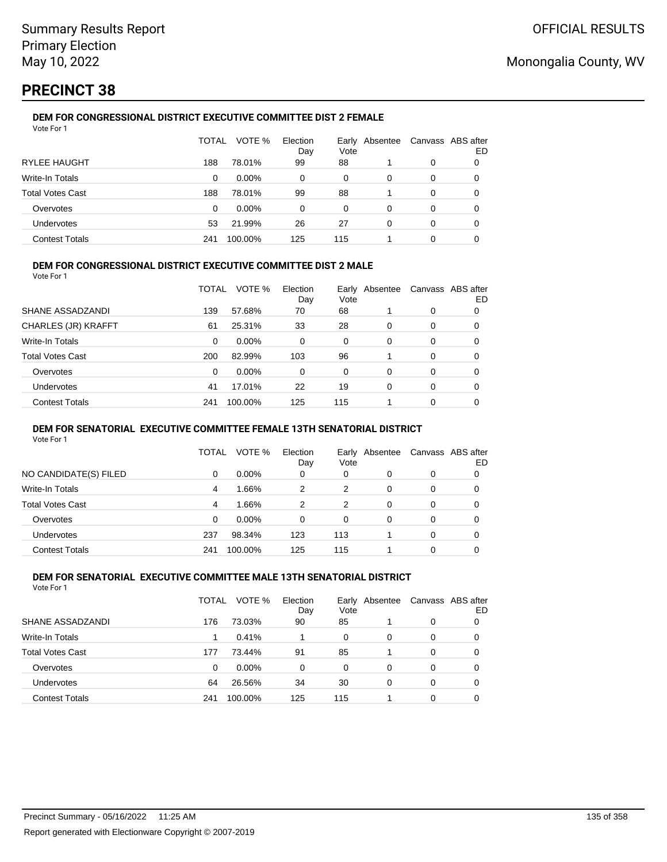# **PRECINCT 38**

#### **DEM FOR CONGRESSIONAL DISTRICT EXECUTIVE COMMITTEE DIST 2 FEMALE** Vote For 1

|                         | TOTAL | VOTE %   | Election<br>Day | Early<br>Vote | Absentee |   | Canvass ABS after<br>ED |
|-------------------------|-------|----------|-----------------|---------------|----------|---|-------------------------|
| <b>RYLEE HAUGHT</b>     | 188   | 78.01%   | 99              | 88            |          | 0 |                         |
| Write-In Totals         | 0     | $0.00\%$ | 0               | $\Omega$      | 0        | 0 |                         |
| <b>Total Votes Cast</b> | 188   | 78.01%   | 99              | 88            |          | 0 |                         |
| Overvotes               | 0     | $0.00\%$ | 0               | 0             | 0        | 0 | O                       |
| Undervotes              | 53    | 21.99%   | 26              | 27            | 0        | 0 |                         |
| <b>Contest Totals</b>   | 241   | 100.00%  | 125             | 115           |          | 0 |                         |

#### **DEM FOR CONGRESSIONAL DISTRICT EXECUTIVE COMMITTEE DIST 2 MALE**

Vote For 1

|                         | TOTAL | VOTE %   | Election<br>Day | Vote | Early Absentee |          | Canvass ABS after<br>ED |
|-------------------------|-------|----------|-----------------|------|----------------|----------|-------------------------|
| SHANE ASSADZANDI        | 139   | 57.68%   | 70              | 68   |                | 0        | 0                       |
| CHARLES (JR) KRAFFT     | 61    | 25.31%   | 33              | 28   | 0              | 0        | 0                       |
| Write-In Totals         | 0     | $0.00\%$ | 0               | 0    | 0              | 0        | 0                       |
| <b>Total Votes Cast</b> | 200   | 82.99%   | 103             | 96   |                | 0        | 0                       |
| Overvotes               | 0     | 0.00%    | 0               | 0    | 0              | 0        | 0                       |
| <b>Undervotes</b>       | 41    | 17.01%   | 22              | 19   | 0              | $\Omega$ | 0                       |
| <b>Contest Totals</b>   | 241   | 100.00%  | 125             | 115  |                | 0        |                         |

#### **DEM FOR SENATORIAL EXECUTIVE COMMITTEE FEMALE 13TH SENATORIAL DISTRICT**

Vote For 1

|                         | TOTAL | VOTE %   | Election<br>Day | Vote | Early Absentee | Canvass ABS after | ED |
|-------------------------|-------|----------|-----------------|------|----------------|-------------------|----|
| NO CANDIDATE(S) FILED   | 0     | $0.00\%$ | 0               | 0    | 0              | 0                 |    |
| Write-In Totals         | 4     | 1.66%    | 2               | 2    | 0              | 0                 |    |
| <b>Total Votes Cast</b> | 4     | 1.66%    | 2               | 2    | 0              | 0                 |    |
| Overvotes               | 0     | $0.00\%$ | 0               | 0    | 0              | 0                 |    |
| <b>Undervotes</b>       | 237   | 98.34%   | 123             | 113  |                | 0                 |    |
| <b>Contest Totals</b>   | 241   | 100.00%  | 125             | 115  |                | 0                 |    |

#### **DEM FOR SENATORIAL EXECUTIVE COMMITTEE MALE 13TH SENATORIAL DISTRICT** Vote For 1

| 1 J J J J J J           |       |          |                 |      |                |   |                         |
|-------------------------|-------|----------|-----------------|------|----------------|---|-------------------------|
|                         | TOTAL | VOTE %   | Election<br>Day | Vote | Early Absentee |   | Canvass ABS after<br>ED |
| SHANE ASSADZANDI        | 176   | 73.03%   | 90              | 85   |                | 0 | O                       |
| Write-In Totals         |       | 0.41%    |                 | 0    | 0              | 0 | O                       |
| <b>Total Votes Cast</b> | 177   | 73.44%   | 91              | 85   |                | 0 | 0                       |
| Overvotes               | 0     | $0.00\%$ | 0               | 0    | 0              | 0 | 0                       |
| Undervotes              | 64    | 26.56%   | 34              | 30   | 0              | 0 | 0                       |
| <b>Contest Totals</b>   | 241   | 100.00%  | 125             | 115  |                | 0 | 0                       |
|                         |       |          |                 |      |                |   |                         |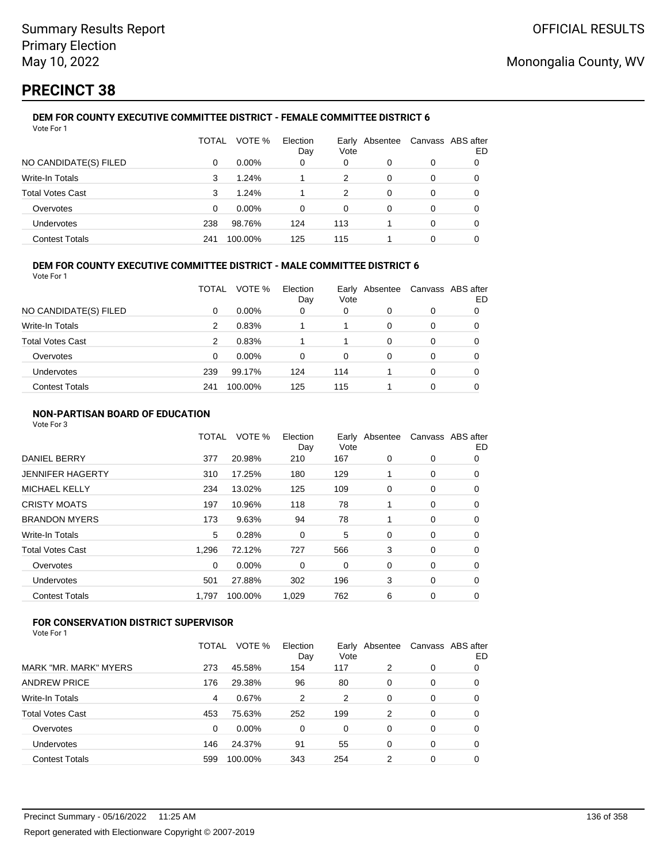# **PRECINCT 38**

#### **DEM FOR COUNTY EXECUTIVE COMMITTEE DISTRICT - FEMALE COMMITTEE DISTRICT 6** Vote For 1

|                       | TOTAL | VOTE %   | Election<br>Day | Early<br>Vote | Absentee |   | Canvass ABS after<br>ED |
|-----------------------|-------|----------|-----------------|---------------|----------|---|-------------------------|
| NO CANDIDATE(S) FILED | 0     | $0.00\%$ | 0               | 0             | 0        | 0 |                         |
| Write-In Totals       | 3     | 1.24%    |                 | 2             | 0        | 0 | O                       |
| Total Votes Cast      | 3     | 1.24%    |                 | 2             | 0        | 0 |                         |
| Overvotes             | 0     | $0.00\%$ | 0               | 0             | 0        | 0 |                         |
| Undervotes            | 238   | 98.76%   | 124             | 113           |          | 0 | Ω                       |
| <b>Contest Totals</b> | 241   | 100.00%  | 125             | 115           |          | 0 |                         |

### **DEM FOR COUNTY EXECUTIVE COMMITTEE DISTRICT - MALE COMMITTEE DISTRICT 6**

Vote For 1

|                         | TOTAL | VOTE %   | Election<br>Day | Vote | Early Absentee | Canvass ABS after | ED |
|-------------------------|-------|----------|-----------------|------|----------------|-------------------|----|
| NO CANDIDATE(S) FILED   | 0     | $0.00\%$ | 0               | 0    | O              | 0                 |    |
| <b>Write-In Totals</b>  | 2     | 0.83%    |                 |      | 0              | 0                 | O  |
| <b>Total Votes Cast</b> | 2     | 0.83%    |                 |      | 0              | 0                 |    |
| Overvotes               | 0     | $0.00\%$ | 0               | 0    | 0              | 0                 |    |
| Undervotes              | 239   | 99.17%   | 124             | 114  |                | 0                 | O  |
| <b>Contest Totals</b>   | 241   | 100.00%  | 125             | 115  |                | 0                 |    |

### **NON-PARTISAN BOARD OF EDUCATION**

Vote For 3

|                       | TOTAL    | VOTE %  | Election<br>Day | Vote | Early Absentee | Canvass ABS after | ED |
|-----------------------|----------|---------|-----------------|------|----------------|-------------------|----|
| <b>DANIEL BERRY</b>   | 377      | 20.98%  | 210             | 167  | 0              | 0                 | 0  |
| JENNIFER HAGERTY      | 310      | 17.25%  | 180             | 129  |                | 0                 | 0  |
| MICHAEL KELLY         | 234      | 13.02%  | 125             | 109  | 0              | 0                 | 0  |
| CRISTY MOATS          | 197      | 10.96%  | 118             | 78   |                | 0                 | 0  |
| <b>BRANDON MYERS</b>  | 173      | 9.63%   | 94              | 78   |                | 0                 | 0  |
| Write-In Totals       | 5        | 0.28%   | 0               | 5    | 0              | 0                 | 0  |
| Total Votes Cast      | 1.296    | 72.12%  | 727             | 566  | 3              | 0                 | 0  |
| Overvotes             | $\Omega$ | 0.00%   | $\Omega$        | 0    | 0              | 0                 | 0  |
| Undervotes            | 501      | 27.88%  | 302             | 196  | 3              | 0                 | 0  |
| <b>Contest Totals</b> | 1.797    | 100.00% | 1,029           | 762  | 6              | 0                 | 0  |
|                       |          |         |                 |      |                |                   |    |

### **FOR CONSERVATION DISTRICT SUPERVISOR**

|                         | TOTAL | VOTE %  | Election<br>Day | Vote     | Early Absentee | Canvass ABS after | ED |
|-------------------------|-------|---------|-----------------|----------|----------------|-------------------|----|
| MARK "MR. MARK" MYERS   | 273   | 45.58%  | 154             | 117      | 2              | 0                 | 0  |
| <b>ANDREW PRICE</b>     | 176   | 29.38%  | 96              | 80       | 0              | 0                 | 0  |
| Write-In Totals         | 4     | 0.67%   | 2               | 2        | 0              | 0                 | 0  |
| <b>Total Votes Cast</b> | 453   | 75.63%  | 252             | 199      | 2              | 0                 | 0  |
| Overvotes               | 0     | 0.00%   | 0               | $\Omega$ | 0              | 0                 | 0  |
| Undervotes              | 146   | 24.37%  | 91              | 55       | 0              | 0                 | 0  |
| <b>Contest Totals</b>   | 599   | 100.00% | 343             | 254      | 2              | 0                 |    |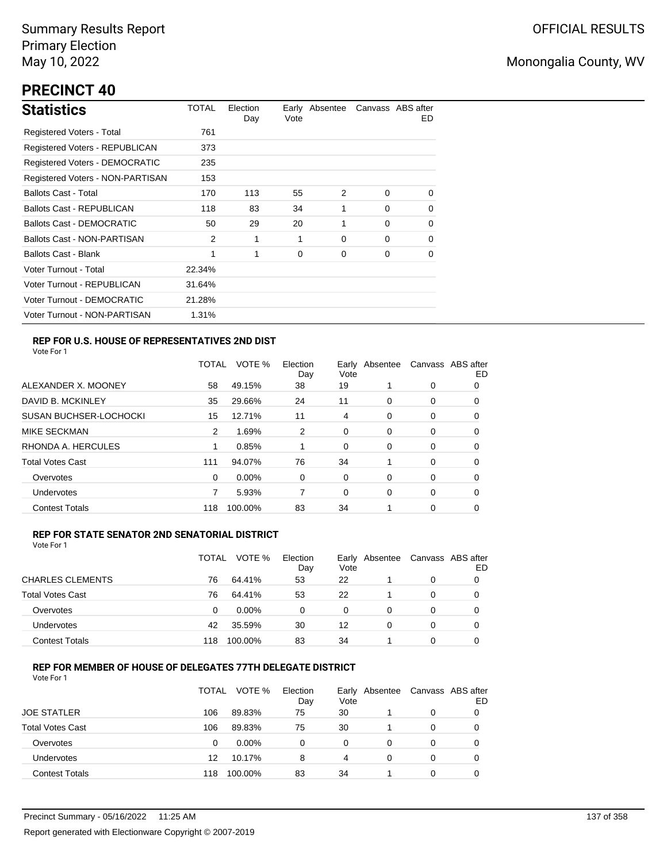# **PRECINCT 40**

| <b>Statistics</b>                     | TOTAL  | Election<br>Day | Vote | Early Absentee |          | Canvass ABS after<br>ED. |
|---------------------------------------|--------|-----------------|------|----------------|----------|--------------------------|
| Registered Voters - Total             | 761    |                 |      |                |          |                          |
| Registered Voters - REPUBLICAN        | 373    |                 |      |                |          |                          |
| <b>Registered Voters - DEMOCRATIC</b> | 235    |                 |      |                |          |                          |
| Registered Voters - NON-PARTISAN      | 153    |                 |      |                |          |                          |
| <b>Ballots Cast - Total</b>           | 170    | 113             | 55   | $\mathcal{P}$  | $\Omega$ | 0                        |
| <b>Ballots Cast - REPUBLICAN</b>      | 118    | 83              | 34   | 1              | $\Omega$ | 0                        |
| Ballots Cast - DEMOCRATIC             | 50     | 29              | 20   | 1              | $\Omega$ | $\Omega$                 |
| Ballots Cast - NON-PARTISAN           | 2      | 1               | 1    | 0              | $\Omega$ | $\Omega$                 |
| <b>Ballots Cast - Blank</b>           | 1      | 1               | 0    | 0              | $\Omega$ | 0                        |
| Voter Turnout - Total                 | 22.34% |                 |      |                |          |                          |
| Voter Turnout - REPUBLICAN            | 31.64% |                 |      |                |          |                          |
| Voter Turnout - DEMOCRATIC            | 21.28% |                 |      |                |          |                          |
| Voter Turnout - NON-PARTISAN          | 1.31%  |                 |      |                |          |                          |

### **REP FOR U.S. HOUSE OF REPRESENTATIVES 2ND DIST**

Vote For 1

|                               | <b>TOTAL</b> | VOTE %   | Election<br>Day | Early<br>Vote | Absentee |   | Canvass ABS after<br>ED |
|-------------------------------|--------------|----------|-----------------|---------------|----------|---|-------------------------|
| ALEXANDER X. MOONEY           | 58           | 49.15%   | 38              | 19            |          | 0 | O                       |
| DAVID B. MCKINLEY             | 35           | 29.66%   | 24              | 11            | $\Omega$ | 0 | O                       |
| <b>SUSAN BUCHSER-LOCHOCKI</b> | 15           | 12.71%   | 11              | 4             | $\Omega$ | 0 | 0                       |
| <b>MIKE SECKMAN</b>           | 2            | 1.69%    | 2               | 0             | 0        | 0 | 0                       |
| RHONDA A. HERCULES            |              | 0.85%    |                 | 0             | 0        | 0 | 0                       |
| <b>Total Votes Cast</b>       | 111          | 94.07%   | 76              | 34            |          | 0 | 0                       |
| Overvotes                     | 0            | $0.00\%$ | 0               | 0             | 0        | 0 | 0                       |
| Undervotes                    |              | 5.93%    |                 | 0             | $\Omega$ | 0 | 0                       |
| <b>Contest Totals</b>         | 118          | 100.00%  | 83              | 34            |          | 0 | 0                       |

#### **REP FOR STATE SENATOR 2ND SENATORIAL DISTRICT**

Vote For 1

|                         | TOTAL | VOTE %   | Election<br>Day | Vote | Early Absentee | Canvass ABS after | ED |
|-------------------------|-------|----------|-----------------|------|----------------|-------------------|----|
| <b>CHARLES CLEMENTS</b> | 76    | 64.41%   | 53              | 22   |                | 0                 |    |
| <b>Total Votes Cast</b> | 76    | 64.41%   | 53              | 22   |                | 0                 |    |
| Overvotes               | 0     | $0.00\%$ | 0               | 0    | $\Omega$       | 0                 |    |
| <b>Undervotes</b>       | 42    | 35.59%   | 30              | 12   | 0              | 0                 |    |
| <b>Contest Totals</b>   | 118   | 100.00%  | 83              | 34   |                | 0                 |    |

#### **REP FOR MEMBER OF HOUSE OF DELEGATES 77TH DELEGATE DISTRICT**

|                         | TOTAL | VOTE %   | Election<br>Day | Vote | Early Absentee | Canvass ABS after | ED |
|-------------------------|-------|----------|-----------------|------|----------------|-------------------|----|
| <b>JOE STATLER</b>      | 106   | 89.83%   | 75              | 30   |                | 0                 |    |
| <b>Total Votes Cast</b> | 106   | 89.83%   | 75              | 30   |                | 0                 |    |
| Overvotes               | 0     | $0.00\%$ | 0               | 0    | 0              | 0                 |    |
| <b>Undervotes</b>       | 12    | 10.17%   | 8               | 4    | 0              | $\Omega$          |    |
| <b>Contest Totals</b>   | 118   | 100.00%  | 83              | 34   |                | $\Omega$          |    |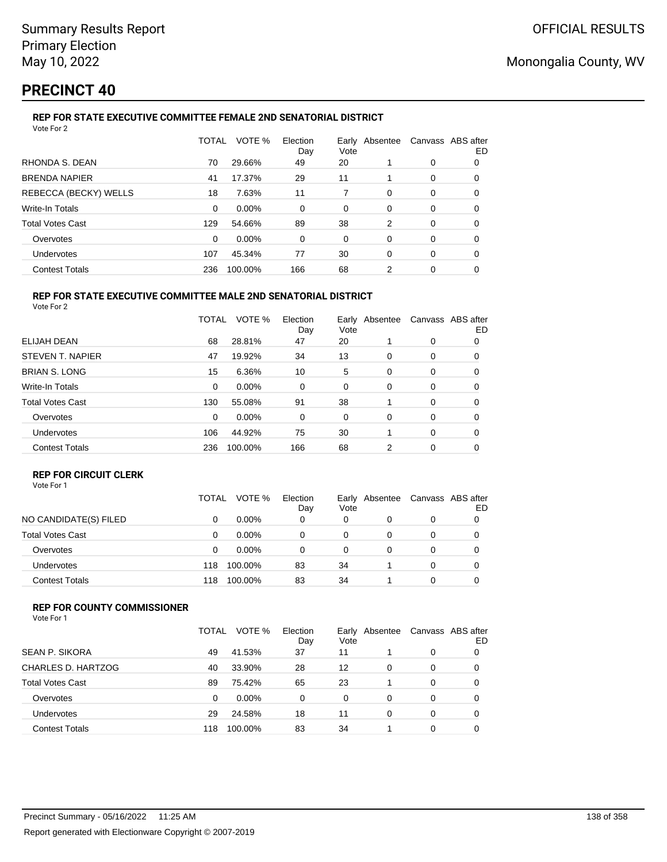## **PRECINCT 40**

### **REP FOR STATE EXECUTIVE COMMITTEE FEMALE 2ND SENATORIAL DISTRICT**

| Vote For 2              |       |         |                 |      |                |                   |    |
|-------------------------|-------|---------|-----------------|------|----------------|-------------------|----|
|                         | TOTAL | VOTE %  | Election<br>Day | Vote | Early Absentee | Canvass ABS after | ED |
| RHONDA S. DEAN          | 70    | 29.66%  | 49              | 20   |                | 0                 | 0  |
| <b>BRENDA NAPIER</b>    | 41    | 17.37%  | 29              | 11   |                | 0                 | 0  |
| REBECCA (BECKY) WELLS   | 18    | 7.63%   | 11              | 7    | $\Omega$       | 0                 | 0  |
| Write-In Totals         | 0     | 0.00%   | 0               | 0    | 0              | 0                 | 0  |
| <b>Total Votes Cast</b> | 129   | 54.66%  | 89              | 38   | 2              | 0                 | 0  |
| Overvotes               | 0     | 0.00%   | 0               | 0    | 0              | 0                 | 0  |
| Undervotes              | 107   | 45.34%  | 77              | 30   | $\Omega$       | 0                 | 0  |
| <b>Contest Totals</b>   | 236   | 100.00% | 166             | 68   | 2              | 0                 | 0  |
|                         |       |         |                 |      |                |                   |    |

#### **REP FOR STATE EXECUTIVE COMMITTEE MALE 2ND SENATORIAL DISTRICT** Vote For 2

|                         | TOTAL | VOTE %  | Election<br>Day | Vote | Early Absentee |   | Canvass ABS after<br>ED |
|-------------------------|-------|---------|-----------------|------|----------------|---|-------------------------|
| ELIJAH DEAN             | 68    | 28.81%  | 47              | 20   |                | 0 | 0                       |
| STEVEN T. NAPIER        | 47    | 19.92%  | 34              | 13   | 0              | 0 | 0                       |
| <b>BRIAN S. LONG</b>    | 15    | 6.36%   | 10              | 5    | 0              | 0 | 0                       |
| <b>Write-In Totals</b>  | 0     | 0.00%   | 0               | 0    | 0              | 0 | 0                       |
| <b>Total Votes Cast</b> | 130   | 55.08%  | 91              | 38   |                | 0 | 0                       |
| Overvotes               | 0     | 0.00%   | 0               | 0    | 0              | 0 | 0                       |
| <b>Undervotes</b>       | 106   | 44.92%  | 75              | 30   |                | 0 | 0                       |
| <b>Contest Totals</b>   | 236   | 100.00% | 166             | 68   | 2              | 0 | 0                       |

### **REP FOR CIRCUIT CLERK**

|                         | TOTAL | VOTE %   | Election<br>Day | Vote | Early Absentee | Canvass ABS after | ED |
|-------------------------|-------|----------|-----------------|------|----------------|-------------------|----|
| NO CANDIDATE(S) FILED   | 0     | $0.00\%$ | 0               | 0    |                | 0                 |    |
| <b>Total Votes Cast</b> | 0     | $0.00\%$ | 0               | 0    |                | 0                 |    |
| Overvotes               | 0     | $0.00\%$ | 0               |      |                | 0                 |    |
| <b>Undervotes</b>       | 118   | 100.00%  | 83              | 34   |                | 0                 |    |
| <b>Contest Totals</b>   | 118   | 100.00%  | 83              | 34   |                | 0                 |    |

### **REP FOR COUNTY COMMISSIONER**

| Vote For 1 |  |
|------------|--|
|------------|--|

|                         | TOTAL | VOTE %   | Election<br>Day | Vote | Early Absentee | Canvass ABS after | ED |
|-------------------------|-------|----------|-----------------|------|----------------|-------------------|----|
| <b>SEAN P. SIKORA</b>   | 49    | 41.53%   | 37              | 11   |                | 0                 |    |
| CHARLES D. HARTZOG      | 40    | 33.90%   | 28              | 12   | 0              | $\Omega$          |    |
| <b>Total Votes Cast</b> | 89    | 75.42%   | 65              | 23   |                | 0                 |    |
| Overvotes               | 0     | $0.00\%$ | 0               | 0    | 0              | 0                 |    |
| Undervotes              | 29    | 24.58%   | 18              | 11   | 0              | 0                 |    |
| <b>Contest Totals</b>   | 118   | 100.00%  | 83              | 34   |                | 0                 |    |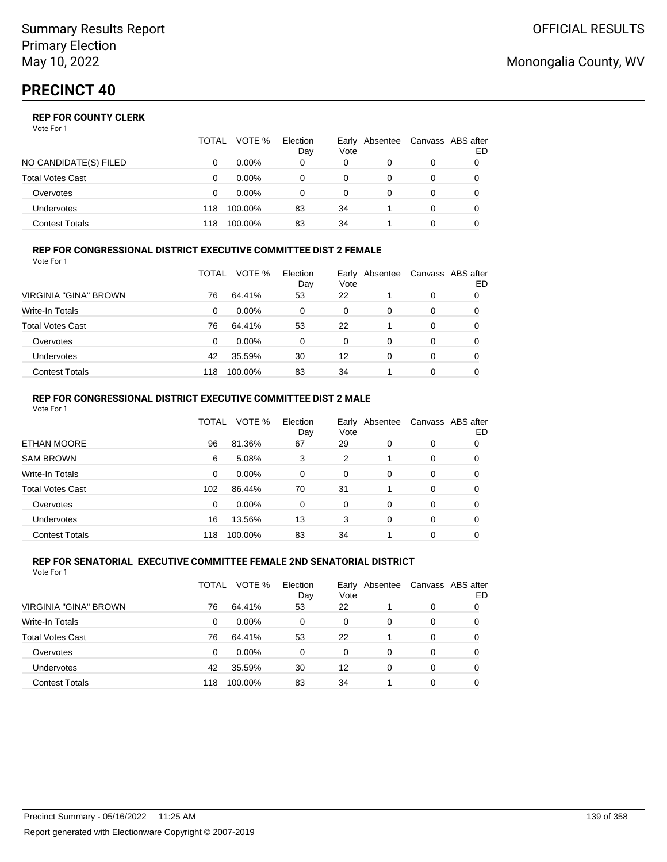|                       | TOTAL | VOTE %   | Election<br>Day | Vote | Early Absentee | Canvass ABS after | ED |
|-----------------------|-------|----------|-----------------|------|----------------|-------------------|----|
| NO CANDIDATE(S) FILED |       | $0.00\%$ | 0               | 0    |                | 0                 |    |
| Total Votes Cast      |       | $0.00\%$ |                 | 0    |                |                   |    |
| Overvotes             | Ω     | $0.00\%$ |                 | 0    |                | 0                 |    |
| <b>Undervotes</b>     | 118   | 100.00%  | 83              | 34   |                | 0                 |    |
| Contest Totals        | 118   | 100.00%  | 83              | 34   |                |                   |    |

#### **REP FOR CONGRESSIONAL DISTRICT EXECUTIVE COMMITTEE DIST 2 FEMALE** Vote For 1

|                         | TOTAL | VOTE %   | Election<br>Day | Vote | Early Absentee |   | Canvass ABS after<br>ED |
|-------------------------|-------|----------|-----------------|------|----------------|---|-------------------------|
| VIRGINIA "GINA" BROWN   | 76    | 64.41%   | 53              | 22   |                | 0 | 0                       |
| <b>Write-In Totals</b>  | 0     | $0.00\%$ | 0               | 0    | 0              | 0 | O                       |
| <b>Total Votes Cast</b> | 76    | 64.41%   | 53              | 22   |                | 0 | O                       |
| Overvotes               | 0     | $0.00\%$ | 0               | 0    | 0              | 0 |                         |
| <b>Undervotes</b>       | 42    | 35.59%   | 30              | 12   | 0              | 0 |                         |
| <b>Contest Totals</b>   | 118   | 100.00%  | 83              | 34   |                | 0 |                         |

### **REP FOR CONGRESSIONAL DISTRICT EXECUTIVE COMMITTEE DIST 2 MALE**

| VOTE %<br>Election<br>TOTAL<br>Canvass ABS after<br>Early Absentee<br>Vote<br>Day<br><b>ETHAN MOORE</b><br>96<br>81.36%<br>67<br>29<br>$\Omega$<br>$\Omega$<br>0<br><b>SAM BROWN</b><br>5.08%<br>3<br>2<br>6<br>$\Omega$<br>0<br>Write-In Totals<br>0.00%<br>$\Omega$<br>0<br>$\Omega$<br>0<br>0<br>0<br><b>Total Votes Cast</b><br>102<br>86.44%<br>70<br>31<br>$\Omega$<br>0<br>0.00%<br>Overvotes<br>$\Omega$<br>$\Omega$<br>$\Omega$<br>$\Omega$<br>$\Omega$<br>0<br>13.56%<br>13<br>Undervotes<br>16<br>3<br>$\Omega$<br>$\Omega$<br>0<br><b>Contest Totals</b><br>83<br>100.00%<br>34<br>$\Omega$<br>118<br>0 | Vote For 1 |  |  |  |    |
|---------------------------------------------------------------------------------------------------------------------------------------------------------------------------------------------------------------------------------------------------------------------------------------------------------------------------------------------------------------------------------------------------------------------------------------------------------------------------------------------------------------------------------------------------------------------------------------------------------------------|------------|--|--|--|----|
|                                                                                                                                                                                                                                                                                                                                                                                                                                                                                                                                                                                                                     |            |  |  |  | ED |
|                                                                                                                                                                                                                                                                                                                                                                                                                                                                                                                                                                                                                     |            |  |  |  |    |
|                                                                                                                                                                                                                                                                                                                                                                                                                                                                                                                                                                                                                     |            |  |  |  |    |
|                                                                                                                                                                                                                                                                                                                                                                                                                                                                                                                                                                                                                     |            |  |  |  |    |
|                                                                                                                                                                                                                                                                                                                                                                                                                                                                                                                                                                                                                     |            |  |  |  |    |
|                                                                                                                                                                                                                                                                                                                                                                                                                                                                                                                                                                                                                     |            |  |  |  |    |
|                                                                                                                                                                                                                                                                                                                                                                                                                                                                                                                                                                                                                     |            |  |  |  |    |
|                                                                                                                                                                                                                                                                                                                                                                                                                                                                                                                                                                                                                     |            |  |  |  |    |

#### **REP FOR SENATORIAL EXECUTIVE COMMITTEE FEMALE 2ND SENATORIAL DISTRICT** Vote For 1

|                         | TOTAL | VOTE %   | Election<br>Day | Vote | Early Absentee |   | Canvass ABS after<br>ED |
|-------------------------|-------|----------|-----------------|------|----------------|---|-------------------------|
| VIRGINIA "GINA" BROWN   | 76    | 64.41%   | 53              | 22   |                | 0 |                         |
| <b>Write-In Totals</b>  | 0     | $0.00\%$ | 0               | 0    | $\Omega$       | 0 |                         |
| <b>Total Votes Cast</b> | 76    | 64.41%   | 53              | 22   |                | 0 | 0                       |
| Overvotes               | 0     | $0.00\%$ | 0               | 0    | $\Omega$       | 0 | 0                       |
| <b>Undervotes</b>       | 42    | 35.59%   | 30              | 12   | 0              | 0 | 0                       |
| <b>Contest Totals</b>   | 118   | 100.00%  | 83              | 34   |                | 0 |                         |

## Monongalia County, WV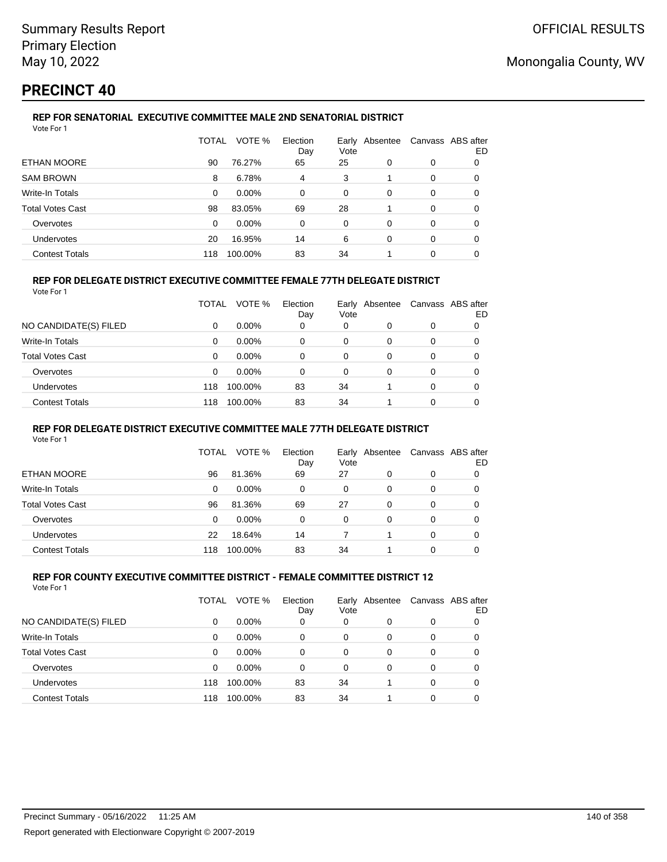## **PRECINCT 40**

#### **REP FOR SENATORIAL EXECUTIVE COMMITTEE MALE 2ND SENATORIAL DISTRICT** Vote For 1

|                         | TOTAL | VOTE %   | Election<br>Day | Early Absentee<br>Vote |   | Canvass ABS after | ED |
|-------------------------|-------|----------|-----------------|------------------------|---|-------------------|----|
| ETHAN MOORE             | 90    | 76.27%   | 65              | 25                     | 0 | 0                 | 0  |
| <b>SAM BROWN</b>        | 8     | 6.78%    | 4               | 3                      |   | 0                 | 0  |
| Write-In Totals         | 0     | $0.00\%$ | $\Omega$        | 0                      | 0 | 0                 | 0  |
| <b>Total Votes Cast</b> | 98    | 83.05%   | 69              | 28                     |   | 0                 | 0  |
| Overvotes               | 0     | $0.00\%$ | 0               | 0                      | 0 | 0                 | 0  |
| <b>Undervotes</b>       | 20    | 16.95%   | 14              | 6                      | 0 | 0                 | 0  |
| <b>Contest Totals</b>   | 118   | 100.00%  | 83              | 34                     |   | 0                 |    |

### **REP FOR DELEGATE DISTRICT EXECUTIVE COMMITTEE FEMALE 77TH DELEGATE DISTRICT**

|--|

|                         | TOTAL | VOTE %   | Election<br>Day | Early<br>Vote | Absentee |          | Canvass ABS after<br>ED |
|-------------------------|-------|----------|-----------------|---------------|----------|----------|-------------------------|
| NO CANDIDATE(S) FILED   | 0     | $0.00\%$ | 0               | 0             |          | $\Omega$ |                         |
| Write-In Totals         | 0     | $0.00\%$ | 0               | 0             | 0        | 0        | 0                       |
| <b>Total Votes Cast</b> | 0     | $0.00\%$ | 0               | 0             | 0        | 0        |                         |
| Overvotes               | 0     | $0.00\%$ | 0               | 0             | $\Omega$ | $\Omega$ | 0                       |
| <b>Undervotes</b>       | 118   | 100.00%  | 83              | 34            |          | $\Omega$ | 0                       |
| <b>Contest Totals</b>   | 118   | 100.00%  | 83              | 34            |          | $\Omega$ | 0                       |

#### **REP FOR DELEGATE DISTRICT EXECUTIVE COMMITTEE MALE 77TH DELEGATE DISTRICT**

Vote For 1

|                       | TOTAL | VOTE %   | Election<br>Day | Vote | Early Absentee | Canvass ABS after | ED |
|-----------------------|-------|----------|-----------------|------|----------------|-------------------|----|
| ETHAN MOORE           | 96    | 81.36%   | 69              | 27   | 0              | 0                 |    |
| Write-In Totals       | 0     | $0.00\%$ | 0               | 0    | 0              | 0                 | O  |
| Total Votes Cast      | 96    | 81.36%   | 69              | 27   | 0              | 0                 |    |
| Overvotes             | 0     | $0.00\%$ | 0               | 0    | 0              | 0                 |    |
| <b>Undervotes</b>     | 22    | 18.64%   | 14              |      |                | 0                 |    |
| <b>Contest Totals</b> | 118   | 100.00%  | 83              | 34   |                | 0                 |    |

#### **REP FOR COUNTY EXECUTIVE COMMITTEE DISTRICT - FEMALE COMMITTEE DISTRICT 12** Vote For 1

|                         | TOTAL | VOTE %   | Election<br>Day | Vote | Early Absentee | Canvass ABS after | ED |
|-------------------------|-------|----------|-----------------|------|----------------|-------------------|----|
| NO CANDIDATE(S) FILED   | 0     | $0.00\%$ | 0               | 0    | 0              | 0                 | O  |
| Write-In Totals         | 0     | $0.00\%$ | 0               | 0    | 0              | 0                 | 0  |
| <b>Total Votes Cast</b> | 0     | $0.00\%$ | 0               | 0    | 0              | 0                 | 0  |
| Overvotes               | 0     | $0.00\%$ | 0               | 0    | 0              | 0                 |    |
| Undervotes              | 118   | 100.00%  | 83              | 34   |                | 0                 |    |
| <b>Contest Totals</b>   | 118   | 100.00%  | 83              | 34   |                | 0                 |    |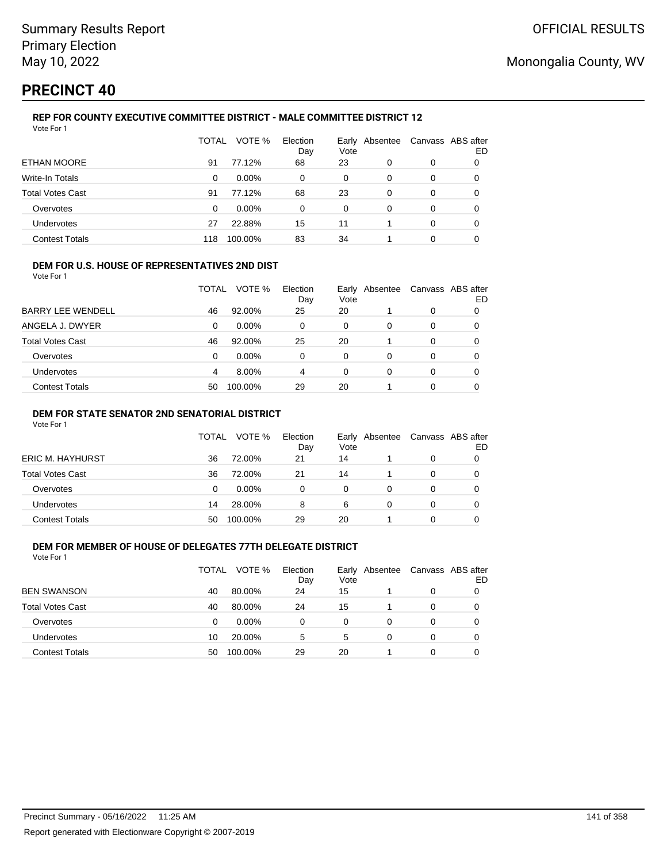# **PRECINCT 40**

#### **REP FOR COUNTY EXECUTIVE COMMITTEE DISTRICT - MALE COMMITTEE DISTRICT 12** Vote For 1

|                         | TOTAL | VOTE %   | Election<br>Day | Vote | Early Absentee | Canvass ABS after | ED |
|-------------------------|-------|----------|-----------------|------|----------------|-------------------|----|
| <b>ETHAN MOORE</b>      | 91    | 77.12%   | 68              | 23   | 0              | 0                 | O  |
| Write-In Totals         | 0     | $0.00\%$ | 0               | 0    | 0              | 0                 | 0  |
| <b>Total Votes Cast</b> | 91    | 77.12%   | 68              | 23   | 0              | 0                 | 0  |
| Overvotes               | 0     | $0.00\%$ | 0               | 0    | 0              | 0                 | 0  |
| <b>Undervotes</b>       | 27    | 22.88%   | 15              | 11   |                | 0                 | 0  |
| <b>Contest Totals</b>   | 118   | 100.00%  | 83              | 34   |                | 0                 |    |

#### **DEM FOR U.S. HOUSE OF REPRESENTATIVES 2ND DIST**

Vote For 1

|                          | TOTAL | VOTE %   | Election<br>Day | Vote | Early Absentee | Canvass ABS after | ED |
|--------------------------|-------|----------|-----------------|------|----------------|-------------------|----|
| <b>BARRY LEE WENDELL</b> | 46    | 92.00%   | 25              | 20   |                | 0                 |    |
| ANGELA J. DWYER          | 0     | $0.00\%$ | 0               | 0    | 0              | 0                 |    |
| Total Votes Cast         | 46    | 92.00%   | 25              | 20   |                | 0                 |    |
| Overvotes                | 0     | 0.00%    | 0               | 0    | 0              | 0                 |    |
| <b>Undervotes</b>        | 4     | 8.00%    | 4               | 0    | 0              | 0                 |    |
| <b>Contest Totals</b>    | 50    | 100.00%  | 29              | 20   |                | 0                 |    |

### **DEM FOR STATE SENATOR 2ND SENATORIAL DISTRICT**

Vote For 1

|                         | <b>TOTAL</b> | VOTE %   | Election<br>Day | Vote | Early Absentee |   | Canvass ABS after<br>ED |
|-------------------------|--------------|----------|-----------------|------|----------------|---|-------------------------|
| <b>ERIC M. HAYHURST</b> | 36           | 72.00%   | 21              | 14   |                | 0 |                         |
| Total Votes Cast        | 36           | 72.00%   | 21              | 14   |                | 0 |                         |
| Overvotes               | 0            | $0.00\%$ | 0               | 0    |                |   |                         |
| Undervotes              | 14           | 28.00%   | 8               | 6    |                | 0 |                         |
| <b>Contest Totals</b>   | 50           | 100.00%  | 29              | 20   |                |   |                         |

### **DEM FOR MEMBER OF HOUSE OF DELEGATES 77TH DELEGATE DISTRICT**

| Vote For 1              |       |          |                 |      |                |                |  |
|-------------------------|-------|----------|-----------------|------|----------------|----------------|--|
|                         | TOTAL | VOTE %   | Election<br>Day | Vote | Early Absentee | Canvass ABS af |  |
| <b>BEN SWANSON</b>      | 40    | 80.00%   | 24              | 15   |                | 0              |  |
| <b>Total Votes Cast</b> | 40    | 80.00%   | 24              | 15   |                | 0              |  |
| Overvotes               | 0     | $0.00\%$ | 0               | 0    | 0              | 0              |  |
| <b>Undervotes</b>       | 10    | 20.00%   | 5               | 5    | 0              | 0              |  |
| <b>Contest Totals</b>   | 50    | 100.00%  | 29              | 20   |                | 0              |  |

after ED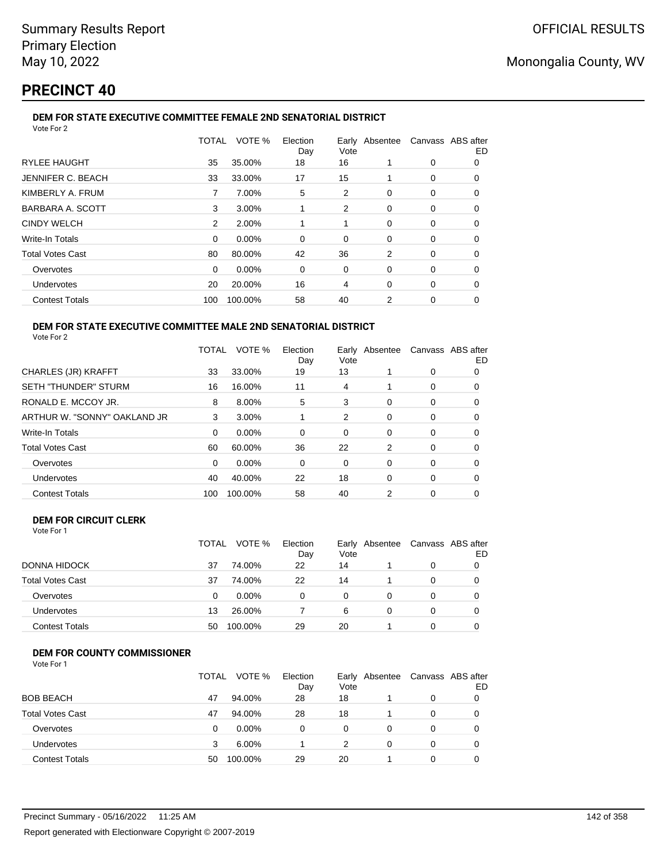## **PRECINCT 40**

### **DEM FOR STATE EXECUTIVE COMMITTEE FEMALE 2ND SENATORIAL DISTRICT**

| Vote For 2              |       |          |                 |      |                                  |   |    |
|-------------------------|-------|----------|-----------------|------|----------------------------------|---|----|
|                         | TOTAL | VOTE %   | Election<br>Day | Vote | Early Absentee Canvass ABS after |   | ED |
| <b>RYLEE HAUGHT</b>     | 35    | 35.00%   | 18              | 16   | 1                                | 0 | 0  |
| JENNIFER C. BEACH       | 33    | 33.00%   | 17              | 15   |                                  | 0 | 0  |
| KIMBERLY A. FRUM        | 7     | 7.00%    | 5               | 2    | 0                                | 0 | 0  |
| BARBARA A. SCOTT        | 3     | 3.00%    | 1               | 2    | 0                                | 0 | 0  |
| <b>CINDY WELCH</b>      | 2     | 2.00%    |                 | 1    | $\Omega$                         | 0 | 0  |
| Write-In Totals         | 0     | 0.00%    | 0               | 0    | 0                                | 0 | 0  |
| <b>Total Votes Cast</b> | 80    | 80.00%   | 42              | 36   | 2                                | 0 | 0  |
| Overvotes               | 0     | $0.00\%$ | 0               | 0    | 0                                | 0 | 0  |
| Undervotes              | 20    | 20.00%   | 16              | 4    | 0                                | 0 | 0  |
| <b>Contest Totals</b>   | 100   | 100.00%  | 58              | 40   | 2                                | 0 | 0  |

#### **DEM FOR STATE EXECUTIVE COMMITTEE MALE 2ND SENATORIAL DISTRICT** Vote For 2

|                              | TOTAL | VOTE %   | Election<br>Day | Early Absentee<br>Vote |          |   | Canvass ABS after<br>ED |
|------------------------------|-------|----------|-----------------|------------------------|----------|---|-------------------------|
| <b>CHARLES (JR) KRAFFT</b>   | 33    | 33.00%   | 19              | 13                     |          | 0 | 0                       |
| <b>SETH "THUNDER" STURM</b>  | 16    | 16.00%   | 11              | 4                      |          | 0 | 0                       |
| RONALD E. MCCOY JR.          | 8     | 8.00%    | 5               | 3                      | 0        | 0 | 0                       |
| ARTHUR W. "SONNY" OAKLAND JR | 3     | 3.00%    |                 | 2                      | 0        | 0 | 0                       |
| <b>Write-In Totals</b>       | 0     | $0.00\%$ | 0               | 0                      | 0        | 0 | O                       |
| <b>Total Votes Cast</b>      | 60    | 60.00%   | 36              | 22                     | 2        | 0 | 0                       |
| Overvotes                    | 0     | $0.00\%$ | 0               | 0                      | 0        | 0 | 0                       |
| Undervotes                   | 40    | 40.00%   | 22              | 18                     | $\Omega$ | 0 | 0                       |
| <b>Contest Totals</b>        | 100   | 100.00%  | 58              | 40                     | 2        | 0 | 0                       |
|                              |       |          |                 |                        |          |   |                         |

#### **DEM FOR CIRCUIT CLERK** Vote For 1

|                         | TOTAL | VOTE %  | Election  |            | Early Absentee | Canvass ABS after |    |
|-------------------------|-------|---------|-----------|------------|----------------|-------------------|----|
| DONNA HIDOCK            | 37    | 74.00%  | Day<br>22 | Vote<br>14 |                | 0                 | ED |
|                         |       |         |           |            |                |                   |    |
| <b>Total Votes Cast</b> | 37    | 74.00%  | 22        | 14         |                | 0                 |    |
| Overvotes               | 0     | 0.00%   | 0         | 0          | 0              | $\Omega$          |    |
| Undervotes              | 13    | 26.00%  |           | 6          | 0              | 0                 |    |
| <b>Contest Totals</b>   | 50    | 100.00% | 29        | 20         |                |                   |    |

### **DEM FOR COUNTY COMMISSIONER**

| Vote For |  |
|----------|--|
|----------|--|

|                         | TOTAL | VOTE %   | Election<br>Day | Early<br>Vote | Absentee | Canvass ABS after | ED |
|-------------------------|-------|----------|-----------------|---------------|----------|-------------------|----|
| <b>BOB BEACH</b>        | 47    | 94.00%   | 28              | 18            |          | 0                 |    |
| <b>Total Votes Cast</b> | 47    | 94.00%   | 28              | 18            |          | 0                 |    |
| Overvotes               | 0     | $0.00\%$ | 0               | 0             |          | 0                 |    |
| <b>Undervotes</b>       | 3     | 6.00%    |                 |               | 0        | 0                 |    |
| <b>Contest Totals</b>   | 50    | 100.00%  | 29              | 20            |          | 0                 |    |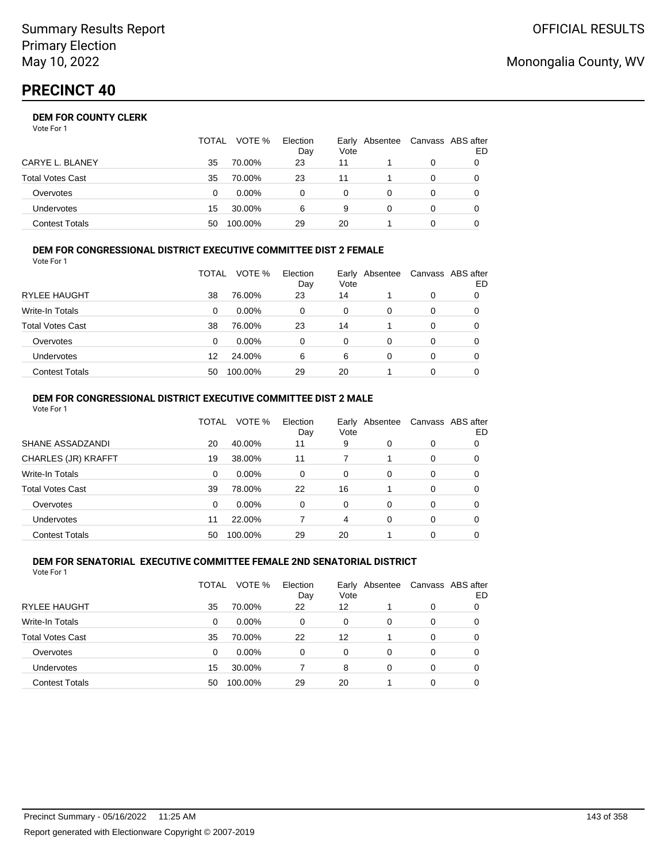Vote For 1

|                       | TOTAL | VOTE %   | Election<br>Day | Vote | Early Absentee | Canvass ABS after | ED |
|-----------------------|-------|----------|-----------------|------|----------------|-------------------|----|
| CARYE L. BLANEY       | 35    | 70.00%   | 23              | 11   |                | 0                 |    |
| Total Votes Cast      | 35    | 70.00%   | 23              | 11   |                | 0                 |    |
| Overvotes             | 0     | $0.00\%$ |                 | 0    |                | 0                 |    |
| Undervotes            | 15    | 30.00%   | 6               | 9    |                | 0                 |    |
| <b>Contest Totals</b> | 50    | 100.00%  | 29              | 20   |                |                   |    |

#### **DEM FOR CONGRESSIONAL DISTRICT EXECUTIVE COMMITTEE DIST 2 FEMALE** Vote For 1

|                         | TOTAL | VOTE %   | Election<br>Day | Vote | Early Absentee | Canvass ABS after | ED |
|-------------------------|-------|----------|-----------------|------|----------------|-------------------|----|
| RYLEE HAUGHT            | 38    | 76.00%   | 23              | 14   |                | 0                 | O  |
| <b>Write-In Totals</b>  | 0     | $0.00\%$ | 0               | 0    | 0              | 0                 | O  |
| <b>Total Votes Cast</b> | 38    | 76.00%   | 23              | 14   |                | 0                 | O  |
| Overvotes               | 0     | $0.00\%$ | 0               | 0    | 0              | 0                 | 0  |
| Undervotes              | 12    | 24.00%   | 6               | 6    | 0              | 0                 | 0  |
| <b>Contest Totals</b>   | 50    | 100.00%  | 29              | 20   |                | 0                 |    |

#### **DEM FOR CONGRESSIONAL DISTRICT EXECUTIVE COMMITTEE DIST 2 MALE** Vote For 1

|                         | TOTAL    | VOTE %   | Election<br>Day | Early<br>Vote | Absentee |          | Canvass ABS after<br>ED |
|-------------------------|----------|----------|-----------------|---------------|----------|----------|-------------------------|
| SHANE ASSADZANDI        | 20       | 40.00%   | 11              | 9             | 0        | 0        | 0                       |
| CHARLES (JR) KRAFFT     | 19       | 38.00%   | 11              |               |          | 0        | 0                       |
| Write-In Totals         | $\Omega$ | $0.00\%$ | $\Omega$        | $\Omega$      | 0        | 0        | 0                       |
| <b>Total Votes Cast</b> | 39       | 78.00%   | 22              | 16            |          | 0        | 0                       |
| Overvotes               | $\Omega$ | $0.00\%$ | $\Omega$        | $\Omega$      | 0        | $\Omega$ | 0                       |
| Undervotes              | 11       | 22.00%   |                 | 4             | 0        | 0        | 0                       |
| <b>Contest Totals</b>   | 50       | 100.00%  | 29              | 20            |          | 0        | 0                       |

#### **DEM FOR SENATORIAL EXECUTIVE COMMITTEE FEMALE 2ND SENATORIAL DISTRICT** Vote For 1

|                         | TOTAL | VOTE %   | Election<br>Day | Vote | Early Absentee |   | Canvass ABS after<br>ED |
|-------------------------|-------|----------|-----------------|------|----------------|---|-------------------------|
| <b>RYLEE HAUGHT</b>     | 35    | 70.00%   | 22              | 12   |                | 0 | 0                       |
| Write-In Totals         | 0     | $0.00\%$ | 0               | 0    | 0              | 0 | 0                       |
| <b>Total Votes Cast</b> | 35    | 70.00%   | 22              | 12   |                | 0 | 0                       |
| Overvotes               | 0     | $0.00\%$ | $\Omega$        | 0    | 0              | 0 | 0                       |
| Undervotes              | 15    | 30.00%   |                 | 8    | $\Omega$       | 0 | 0                       |
| <b>Contest Totals</b>   | 50    | 100.00%  | 29              | 20   |                | 0 |                         |

## Monongalia County, WV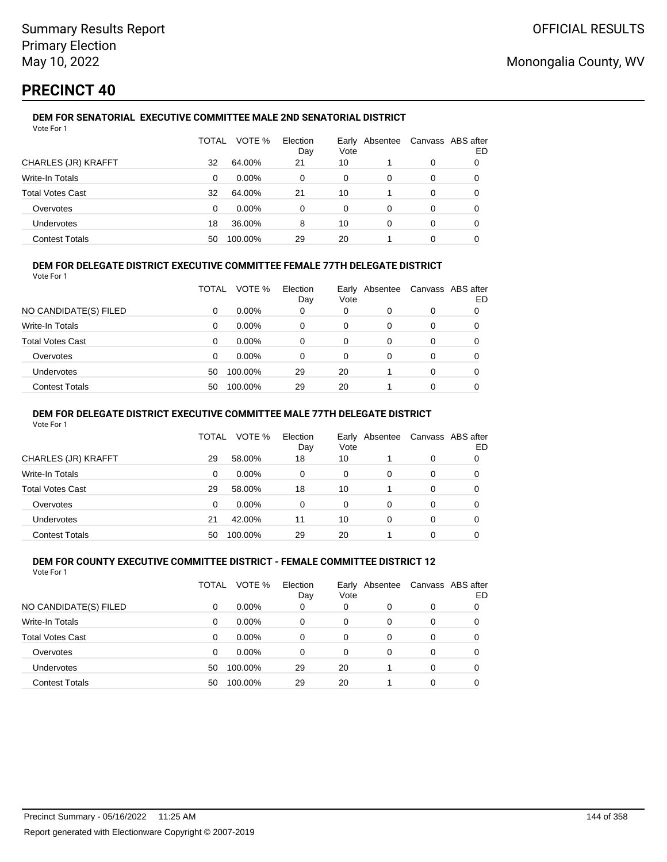## **PRECINCT 40**

Vote For 1

### **DEM FOR SENATORIAL EXECUTIVE COMMITTEE MALE 2ND SENATORIAL DISTRICT**

|                         | TOTAL | VOTE %   | Election<br>Day | Vote | Early Absentee |   | Canvass ABS after<br>ED |
|-------------------------|-------|----------|-----------------|------|----------------|---|-------------------------|
| CHARLES (JR) KRAFFT     | 32    | 64.00%   | 21              | 10   |                | 0 |                         |
| Write-In Totals         | 0     | $0.00\%$ | 0               | 0    | 0              | 0 |                         |
| <b>Total Votes Cast</b> | 32    | 64.00%   | 21              | 10   |                | 0 |                         |
| Overvotes               | 0     | $0.00\%$ | 0               | 0    | 0              | 0 |                         |
| Undervotes              | 18    | 36.00%   | 8               | 10   | 0              | 0 | 0                       |
| <b>Contest Totals</b>   | 50    | 100.00%  | 29              | 20   |                | 0 |                         |

### **DEM FOR DELEGATE DISTRICT EXECUTIVE COMMITTEE FEMALE 77TH DELEGATE DISTRICT**

Vote For 1

|                       | TOTAL | VOTE %   | Election<br>Day | Vote | Early Absentee | Canvass ABS after | ED |
|-----------------------|-------|----------|-----------------|------|----------------|-------------------|----|
| NO CANDIDATE(S) FILED | 0     | $0.00\%$ | 0               | 0    | O              | 0                 |    |
| Write-In Totals       | 0     | $0.00\%$ | 0               | 0    | 0              | 0                 |    |
| Total Votes Cast      | 0     | $0.00\%$ | 0               | 0    | 0              | 0                 |    |
| Overvotes             | 0     | 0.00%    | 0               | 0    | 0              | 0                 |    |
| <b>Undervotes</b>     | 50    | 100.00%  | 29              | 20   |                | 0                 |    |
| <b>Contest Totals</b> | 50    | 100.00%  | 29              | 20   |                | 0                 |    |

#### **DEM FOR DELEGATE DISTRICT EXECUTIVE COMMITTEE MALE 77TH DELEGATE DISTRICT**

Vote For 1

|                       | TOTAL | VOTE %   | Election<br>Day | Early<br>Vote | Absentee |          | Canvass ABS after<br>ED |
|-----------------------|-------|----------|-----------------|---------------|----------|----------|-------------------------|
| CHARLES (JR) KRAFFT   | 29    | 58.00%   | 18              | 10            |          | 0        | 0                       |
| Write-In Totals       | 0     | $0.00\%$ | 0               | 0             | 0        | 0        | 0                       |
| Total Votes Cast      | 29    | 58.00%   | 18              | 10            |          | $\Omega$ | 0                       |
| Overvotes             | 0     | $0.00\%$ | $\Omega$        | 0             | 0        | 0        | 0                       |
| Undervotes            | 21    | 42.00%   | 11              | 10            | 0        | 0        | 0                       |
| <b>Contest Totals</b> | 50    | 100.00%  | 29              | 20            |          | 0        |                         |

#### **DEM FOR COUNTY EXECUTIVE COMMITTEE DISTRICT - FEMALE COMMITTEE DISTRICT 12** Vote For 1

|                         | TOTAL    | VOTE %   | Election<br>Day | Vote     | Early Absentee |          | Canvass ABS after<br>ED |
|-------------------------|----------|----------|-----------------|----------|----------------|----------|-------------------------|
| NO CANDIDATE(S) FILED   | 0        | $0.00\%$ | 0               | 0        | 0              | 0        |                         |
| Write-In Totals         | 0        | $0.00\%$ | 0               | 0        | $\Omega$       | 0        | 0                       |
| <b>Total Votes Cast</b> | $\Omega$ | $0.00\%$ | $\Omega$        | $\Omega$ | 0              | 0        | 0                       |
| Overvotes               | $\Omega$ | $0.00\%$ | 0               | $\Omega$ | 0              | 0        | 0                       |
| Undervotes              | 50       | 100.00%  | 29              | 20       |                | $\Omega$ | 0                       |
| <b>Contest Totals</b>   | 50       | 100.00%  | 29              | 20       |                | 0        |                         |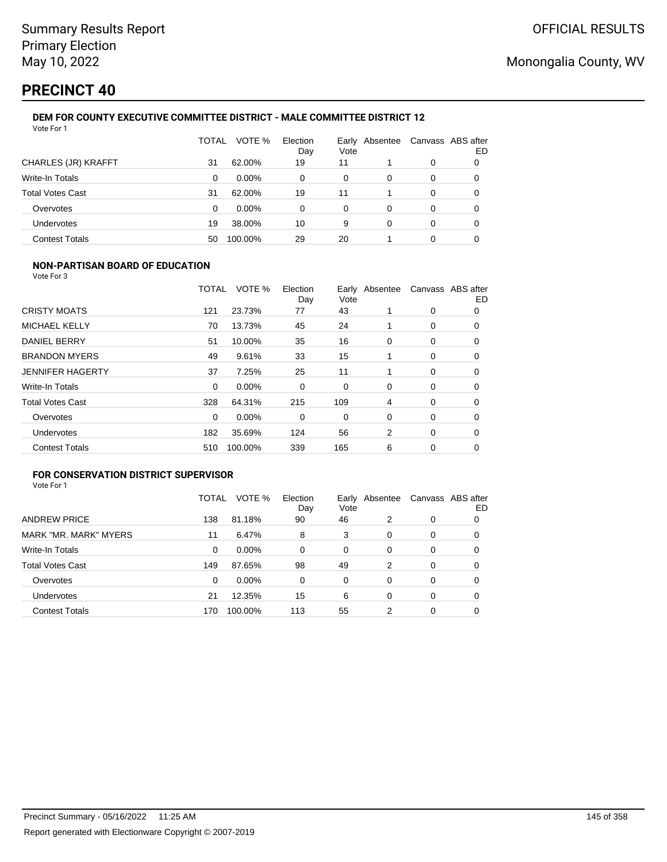# **PRECINCT 40**

#### **DEM FOR COUNTY EXECUTIVE COMMITTEE DISTRICT - MALE COMMITTEE DISTRICT 12** Vote For 1

|                         | TOTAL | VOTE %   | Election<br>Day | Earlv<br>Vote | Absentee | Canvass ABS after | ED |
|-------------------------|-------|----------|-----------------|---------------|----------|-------------------|----|
| CHARLES (JR) KRAFFT     | 31    | 62.00%   | 19              | 11            |          | 0                 | 0  |
| Write-In Totals         | 0     | $0.00\%$ | 0               | 0             | 0        | 0                 | 0  |
| <b>Total Votes Cast</b> | 31    | 62.00%   | 19              | 11            |          | 0                 | 0  |
| Overvotes               | 0     | $0.00\%$ | 0               | 0             | 0        | 0                 | 0  |
| Undervotes              | 19    | 38.00%   | 10              | 9             | 0        | 0                 | 0  |
| <b>Contest Totals</b>   | 50    | 100.00%  | 29              | 20            |          | 0                 |    |

### **NON-PARTISAN BOARD OF EDUCATION**

Vote For 3

|                         | TOTAL | VOTE %   | Election<br>Day | Vote | Early Absentee |   | Canvass ABS after<br>ED |
|-------------------------|-------|----------|-----------------|------|----------------|---|-------------------------|
| <b>CRISTY MOATS</b>     | 121   | 23.73%   | 77              | 43   |                | 0 | 0                       |
| <b>MICHAEL KELLY</b>    | 70    | 13.73%   | 45              | 24   |                | 0 | 0                       |
| <b>DANIEL BERRY</b>     | 51    | 10.00%   | 35              | 16   | 0              | 0 | 0                       |
| <b>BRANDON MYERS</b>    | 49    | 9.61%    | 33              | 15   |                | 0 | 0                       |
| <b>JENNIFER HAGERTY</b> | 37    | 7.25%    | 25              | 11   |                | 0 | 0                       |
| <b>Write-In Totals</b>  | 0     | $0.00\%$ | 0               | 0    | 0              | 0 | 0                       |
| <b>Total Votes Cast</b> | 328   | 64.31%   | 215             | 109  | 4              | 0 | 0                       |
| Overvotes               | 0     | 0.00%    | 0               | 0    | 0              | 0 | $\Omega$                |
| Undervotes              | 182   | 35.69%   | 124             | 56   | 2              | 0 | 0                       |
| <b>Contest Totals</b>   | 510   | 100.00%  | 339             | 165  | 6              | 0 | 0                       |

## **FOR CONSERVATION DISTRICT SUPERVISOR**

|                         | TOTAL | VOTE %   | Election<br>Day | Earlv<br>Vote | Absentee |   | Canvass ABS after<br>ED |
|-------------------------|-------|----------|-----------------|---------------|----------|---|-------------------------|
| <b>ANDREW PRICE</b>     | 138   | 81.18%   | 90              | 46            | 2        | 0 | O                       |
| MARK "MR. MARK" MYERS   | 11    | 6.47%    | 8               | 3             | 0        | 0 | 0                       |
| Write-In Totals         | 0     | $0.00\%$ | 0               | 0             | 0        | 0 | 0                       |
| <b>Total Votes Cast</b> | 149   | 87.65%   | 98              | 49            | 2        | 0 | 0                       |
| Overvotes               | 0     | 0.00%    | 0               | 0             | 0        | 0 | 0                       |
| <b>Undervotes</b>       | 21    | 12.35%   | 15              | 6             | 0        | 0 | O                       |
| <b>Contest Totals</b>   | 170   | 100.00%  | 113             | 55            | 2        | 0 |                         |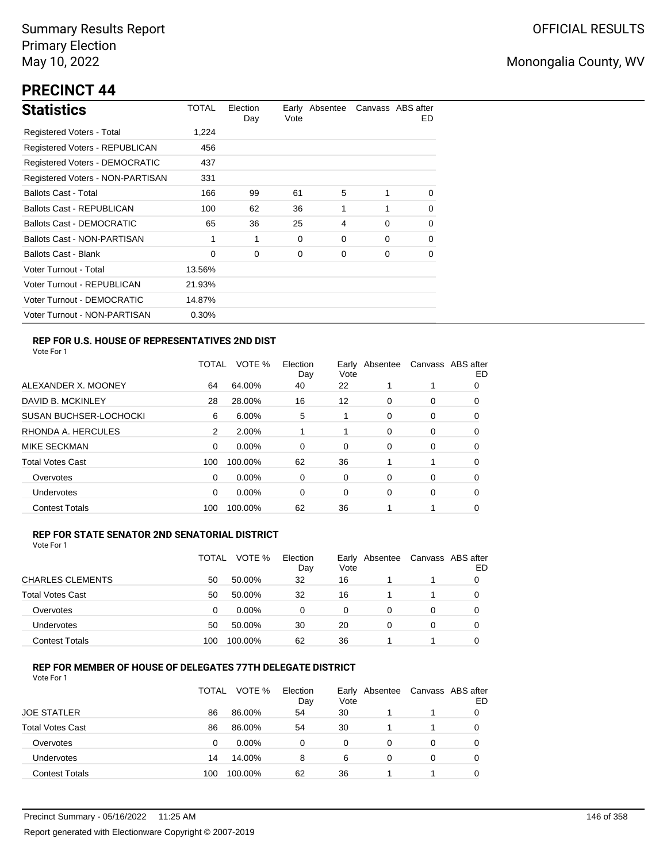# **PRECINCT 44**

| <b>Statistics</b>                | TOTAL  | Election<br>Day | Vote | Early Absentee |          | Canvass ABS after<br>ED. |
|----------------------------------|--------|-----------------|------|----------------|----------|--------------------------|
| Registered Voters - Total        | 1,224  |                 |      |                |          |                          |
| Registered Voters - REPUBLICAN   | 456    |                 |      |                |          |                          |
| Registered Voters - DEMOCRATIC   | 437    |                 |      |                |          |                          |
| Registered Voters - NON-PARTISAN | 331    |                 |      |                |          |                          |
| <b>Ballots Cast - Total</b>      | 166    | 99              | 61   | 5              | 1        | $\Omega$                 |
| Ballots Cast - REPUBLICAN        | 100    | 62              | 36   | 1              | 1        | $\Omega$                 |
| Ballots Cast - DEMOCRATIC        | 65     | 36              | 25   | 4              | $\Omega$ | 0                        |
| Ballots Cast - NON-PARTISAN      | 1      | 1               | 0    | $\Omega$       | $\Omega$ | $\Omega$                 |
| <b>Ballots Cast - Blank</b>      | 0      | 0               | 0    | 0              | 0        | 0                        |
| Voter Turnout - Total            | 13.56% |                 |      |                |          |                          |
| Voter Turnout - REPUBLICAN       | 21.93% |                 |      |                |          |                          |
| Voter Turnout - DEMOCRATIC       | 14.87% |                 |      |                |          |                          |
| Voter Turnout - NON-PARTISAN     | 0.30%  |                 |      |                |          |                          |

### **REP FOR U.S. HOUSE OF REPRESENTATIVES 2ND DIST**

Vote For 1

|                               | <b>TOTAL</b> | VOTE %   | Election<br>Day | Early<br>Vote | Absentee |   | Canvass ABS after<br>ED |
|-------------------------------|--------------|----------|-----------------|---------------|----------|---|-------------------------|
| ALEXANDER X. MOONEY           | 64           | 64.00%   | 40              | 22            |          |   | O                       |
| DAVID B. MCKINLEY             | 28           | 28.00%   | 16              | 12            | 0        | 0 | 0                       |
| <b>SUSAN BUCHSER-LOCHOCKI</b> | 6            | 6.00%    | 5               | 1             | $\Omega$ | 0 | 0                       |
| RHONDA A. HERCULES            | 2            | 2.00%    |                 | 1             | 0        | 0 | 0                       |
| <b>MIKE SECKMAN</b>           | 0            | $0.00\%$ | 0               | 0             | 0        | 0 | 0                       |
| <b>Total Votes Cast</b>       | 100          | 100.00%  | 62              | 36            |          |   | 0                       |
| Overvotes                     | 0            | $0.00\%$ | 0               | 0             | 0        | 0 | 0                       |
| Undervotes                    | 0            | $0.00\%$ | 0               | 0             | $\Omega$ | 0 | 0                       |
| <b>Contest Totals</b>         | 100          | 100.00%  | 62              | 36            |          |   | 0                       |

### **REP FOR STATE SENATOR 2ND SENATORIAL DISTRICT**

Vote For 1

|                         | TOTAL | VOTE %   | Election<br>Day | Vote | Early Absentee | Canvass ABS after | ED |
|-------------------------|-------|----------|-----------------|------|----------------|-------------------|----|
| <b>CHARLES CLEMENTS</b> | 50    | 50.00%   | 32              | 16   |                |                   |    |
| <b>Total Votes Cast</b> | 50    | 50.00%   | 32              | 16   |                |                   |    |
| Overvotes               | 0     | $0.00\%$ | 0               | 0    | $\Omega$       | 0                 |    |
| <b>Undervotes</b>       | 50    | 50.00%   | 30              | 20   | 0              | 0                 |    |
| <b>Contest Totals</b>   | 100   | 100.00%  | 62              | 36   |                |                   |    |

### **REP FOR MEMBER OF HOUSE OF DELEGATES 77TH DELEGATE DISTRICT**

Vote For 1

|                         | TOTAL | VOTE %   | Election<br>Day | Vote | Early Absentee | Canvass ABS after | ED |
|-------------------------|-------|----------|-----------------|------|----------------|-------------------|----|
| <b>JOE STATLER</b>      | 86    | 86.00%   | 54              | 30   |                |                   |    |
| <b>Total Votes Cast</b> | 86    | 86.00%   | 54              | 30   |                |                   | O  |
| Overvotes               | 0     | $0.00\%$ | 0               | 0    | 0              | 0                 |    |
| <b>Undervotes</b>       | 14    | 14.00%   | 8               | 6    | 0              | 0                 |    |
| <b>Contest Totals</b>   | 100   | 100.00%  | 62              | 36   |                |                   |    |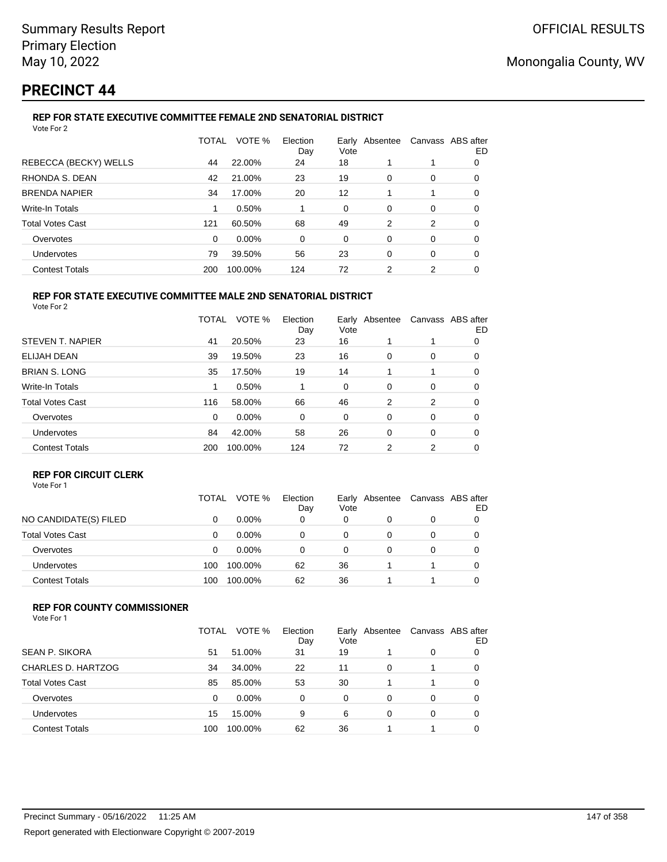# **PRECINCT 44**

### **REP FOR STATE EXECUTIVE COMMITTEE FEMALE 2ND SENATORIAL DISTRICT**

| Vote For 2              |              |         |                 |      |                |                   |    |
|-------------------------|--------------|---------|-----------------|------|----------------|-------------------|----|
|                         | <b>TOTAL</b> | VOTE %  | Election<br>Day | Vote | Early Absentee | Canvass ABS after | ED |
| REBECCA (BECKY) WELLS   | 44           | 22.00%  | 24              | 18   |                |                   | 0  |
| RHONDA S. DEAN          | 42           | 21.00%  | 23              | 19   | 0              | 0                 | 0  |
| <b>BRENDA NAPIER</b>    | 34           | 17.00%  | 20              | 12   |                | 1                 | 0  |
| Write-In Totals         |              | 0.50%   |                 | 0    | 0              | 0                 | 0  |
| <b>Total Votes Cast</b> | 121          | 60.50%  | 68              | 49   | 2              | 2                 | 0  |
| Overvotes               | $\Omega$     | 0.00%   | 0               | 0    | 0              | 0                 | 0  |
| Undervotes              | 79           | 39.50%  | 56              | 23   | 0              | 0                 | 0  |
| <b>Contest Totals</b>   | 200          | 100.00% | 124             | 72   | 2              | 2                 | 0  |
|                         |              |         |                 |      |                |                   |    |

#### **REP FOR STATE EXECUTIVE COMMITTEE MALE 2ND SENATORIAL DISTRICT** Vote For 2

|                         | TOTAL | VOTE %  | Election<br>Day | Vote | Early Absentee |   | Canvass ABS after<br>ED |
|-------------------------|-------|---------|-----------------|------|----------------|---|-------------------------|
| STEVEN T. NAPIER        | 41    | 20.50%  | 23              | 16   |                | 1 | 0                       |
| ELIJAH DEAN             | 39    | 19.50%  | 23              | 16   | 0              | 0 | 0                       |
| <b>BRIAN S. LONG</b>    | 35    | 17.50%  | 19              | 14   |                | 1 | 0                       |
| <b>Write-In Totals</b>  | 1     | 0.50%   |                 | 0    | 0              | 0 | 0                       |
| <b>Total Votes Cast</b> | 116   | 58.00%  | 66              | 46   | 2              | 2 | 0                       |
| Overvotes               | 0     | 0.00%   | 0               | 0    | 0              | 0 | 0                       |
| Undervotes              | 84    | 42.00%  | 58              | 26   | 0              | 0 | 0                       |
| <b>Contest Totals</b>   | 200   | 100.00% | 124             | 72   | 2              | 2 | 0                       |

## **REP FOR CIRCUIT CLERK**

|                         | TOTAL | VOTE %   | Election<br>Day | Vote | Early Absentee | Canvass ABS after | ED |
|-------------------------|-------|----------|-----------------|------|----------------|-------------------|----|
| NO CANDIDATE(S) FILED   | 0     | $0.00\%$ | 0               | 0    |                | 0                 |    |
| <b>Total Votes Cast</b> | 0     | $0.00\%$ | 0               | 0    |                | 0                 |    |
| Overvotes               | 0     | $0.00\%$ | 0               |      |                | 0                 |    |
| <b>Undervotes</b>       | 100   | 100.00%  | 62              | 36   |                |                   |    |
| <b>Contest Totals</b>   | 100   | 100.00%  | 62              | 36   |                |                   |    |

### **REP FOR COUNTY COMMISSIONER**

| Vote For 1 |  |
|------------|--|
|------------|--|

|                         | TOTAL | VOTE %   | Election<br>Day | Vote | Early Absentee | Canvass ABS after | ED       |
|-------------------------|-------|----------|-----------------|------|----------------|-------------------|----------|
| <b>SEAN P. SIKORA</b>   | 51    | 51.00%   | 31              | 19   |                | 0                 |          |
| CHARLES D. HARTZOG      | 34    | 34.00%   | 22              | 11   | 0              |                   | $\Omega$ |
| <b>Total Votes Cast</b> | 85    | 85.00%   | 53              | 30   |                |                   |          |
| Overvotes               | 0     | $0.00\%$ | 0               | 0    | 0              | 0                 |          |
| Undervotes              | 15    | 15.00%   | 9               | 6    | 0              | 0                 |          |
| <b>Contest Totals</b>   | 100   | 100.00%  | 62              | 36   |                |                   |          |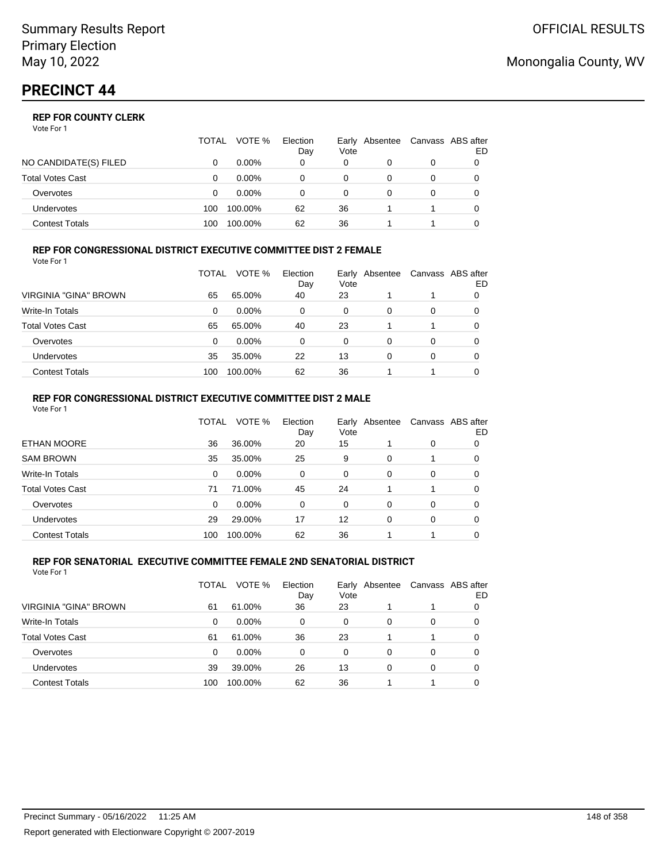Vote For 1

|                         | TOTAL | VOTE %   | Election<br>Day | Vote | Early Absentee | Canvass ABS after | ED |
|-------------------------|-------|----------|-----------------|------|----------------|-------------------|----|
| NO CANDIDATE(S) FILED   |       | $0.00\%$ | 0               | 0    |                | 0                 |    |
| <b>Total Votes Cast</b> |       | $0.00\%$ |                 | 0    |                |                   |    |
| Overvotes               | O     | $0.00\%$ |                 | 0    |                | 0                 |    |
| <b>Undervotes</b>       | 100   | 100.00%  | 62              | 36   |                |                   |    |
| Contest Totals          | 100   | 100.00%  | 62              | 36   |                |                   |    |

#### **REP FOR CONGRESSIONAL DISTRICT EXECUTIVE COMMITTEE DIST 2 FEMALE** Vote For 1

|                         | TOTAL | VOTE %   | Election<br>Day | Early<br>Vote | Absentee | Canvass ABS after | ED |
|-------------------------|-------|----------|-----------------|---------------|----------|-------------------|----|
| VIRGINIA "GINA" BROWN   | 65    | 65.00%   | 40              | 23            |          |                   | 0  |
| <b>Write-In Totals</b>  | 0     | $0.00\%$ | 0               | 0             | 0        | 0                 | O  |
| <b>Total Votes Cast</b> | 65    | 65.00%   | 40              | 23            |          |                   | 0  |
| Overvotes               | 0     | $0.00\%$ | 0               | 0             | 0        | 0                 |    |
| Undervotes              | 35    | 35.00%   | 22              | 13            | 0        | 0                 |    |
| <b>Contest Totals</b>   | 100   | 100.00%  | 62              | 36            |          |                   |    |

#### **REP FOR CONGRESSIONAL DISTRICT EXECUTIVE COMMITTEE DIST 2 MALE** Vote For 1

| 1 J J J J J J           |              |         |                 |               |          |          |                          |
|-------------------------|--------------|---------|-----------------|---------------|----------|----------|--------------------------|
|                         | <b>TOTAL</b> | VOTE %  | Election<br>Day | Early<br>Vote | Absentee |          | Canvass ABS after<br>ED. |
| <b>ETHAN MOORE</b>      | 36           | 36.00%  | 20              | 15            |          | 0        | 0                        |
| <b>SAM BROWN</b>        | 35           | 35.00%  | 25              | 9             | $\Omega$ |          | 0                        |
| Write-In Totals         | 0            | 0.00%   | 0               | $\Omega$      | $\Omega$ | $\Omega$ | 0                        |
| <b>Total Votes Cast</b> | 71           | 71.00%  | 45              | 24            |          |          | 0                        |
| Overvotes               | 0            | 0.00%   | $\Omega$        | $\Omega$      | $\Omega$ | $\Omega$ | 0                        |
| <b>Undervotes</b>       | 29           | 29.00%  | 17              | 12            | $\Omega$ | 0        | 0                        |
| <b>Contest Totals</b>   | 100          | 100.00% | 62              | 36            |          |          | 0                        |

#### **REP FOR SENATORIAL EXECUTIVE COMMITTEE FEMALE 2ND SENATORIAL DISTRICT** Vote For 1

|                         | TOTAL | VOTE %   | Election<br>Day | Vote | Early Absentee |   | Canvass ABS after<br>ED |
|-------------------------|-------|----------|-----------------|------|----------------|---|-------------------------|
| VIRGINIA "GINA" BROWN   | 61    | 61.00%   | 36              | 23   |                |   |                         |
| Write-In Totals         | 0     | $0.00\%$ | 0               | 0    | 0              | 0 | 0                       |
| <b>Total Votes Cast</b> | 61    | 61.00%   | 36              | 23   |                |   | 0                       |
| Overvotes               | 0     | $0.00\%$ | 0               | 0    | 0              | 0 |                         |
| Undervotes              | 39    | 39.00%   | 26              | 13   | 0              | 0 |                         |
| <b>Contest Totals</b>   | 100   | 100.00%  | 62              | 36   |                |   |                         |

## Monongalia County, WV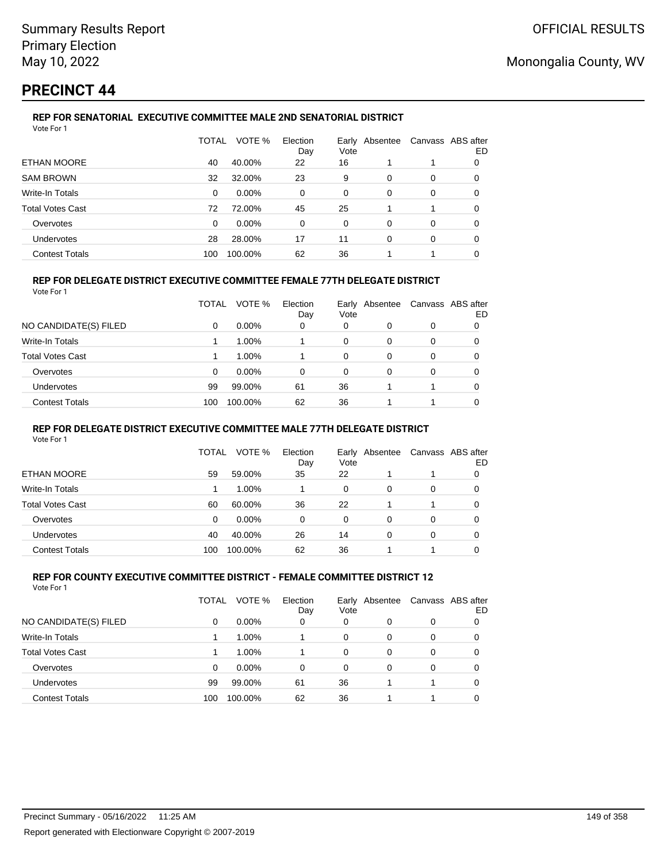## **PRECINCT 44**

#### **REP FOR SENATORIAL EXECUTIVE COMMITTEE MALE 2ND SENATORIAL DISTRICT** Vote For 1

|                         | TOTAL    | VOTE %   | Election<br>Day | Vote | Early Absentee | Canvass ABS after | ED |
|-------------------------|----------|----------|-----------------|------|----------------|-------------------|----|
| ETHAN MOORE             | 40       | 40.00%   | 22              | 16   |                |                   | 0  |
| <b>SAM BROWN</b>        | 32       | 32.00%   | 23              | 9    | 0              | 0                 | 0  |
| Write-In Totals         | 0        | $0.00\%$ | $\Omega$        | 0    | 0              | 0                 | 0  |
| <b>Total Votes Cast</b> | 72       | 72.00%   | 45              | 25   |                |                   | 0  |
| Overvotes               | $\Omega$ | $0.00\%$ | 0               | 0    | $\Omega$       | 0                 | 0  |
| <b>Undervotes</b>       | 28       | 28.00%   | 17              | 11   | 0              | 0                 | 0  |
| <b>Contest Totals</b>   | 100      | 100.00%  | 62              | 36   |                |                   | 0  |

### **REP FOR DELEGATE DISTRICT EXECUTIVE COMMITTEE FEMALE 77TH DELEGATE DISTRICT**

|--|

|                         | TOTAL | VOTE %   | Election<br>Day | Early<br>Vote | Absentee |          | Canvass ABS after<br>ED |
|-------------------------|-------|----------|-----------------|---------------|----------|----------|-------------------------|
| NO CANDIDATE(S) FILED   | 0     | $0.00\%$ | 0               | 0             |          | $\Omega$ | 0                       |
| Write-In Totals         |       | 1.00%    |                 | 0             | 0        | 0        | 0                       |
| <b>Total Votes Cast</b> |       | 1.00%    |                 | 0             | 0        | 0        |                         |
| Overvotes               | 0     | $0.00\%$ | $\Omega$        | 0             | $\Omega$ | $\Omega$ | 0                       |
| <b>Undervotes</b>       | 99    | 99.00%   | 61              | 36            |          |          | 0                       |
| <b>Contest Totals</b>   | 100   | 100.00%  | 62              | 36            |          |          | 0                       |

### **REP FOR DELEGATE DISTRICT EXECUTIVE COMMITTEE MALE 77TH DELEGATE DISTRICT**

Vote For 1

|                         | TOTAL | VOTE %   | Election<br>Day | Vote     | Early Absentee |   | Canvass ABS after<br>ED |
|-------------------------|-------|----------|-----------------|----------|----------------|---|-------------------------|
| ETHAN MOORE             | 59    | 59.00%   | 35              | 22       |                |   |                         |
| Write-In Totals         |       | $1.00\%$ |                 | $\Omega$ | 0              | 0 |                         |
| <b>Total Votes Cast</b> | 60    | 60.00%   | 36              | 22       |                |   |                         |
| Overvotes               | 0     | 0.00%    | 0               | 0        | 0              | 0 |                         |
| <b>Undervotes</b>       | 40    | 40.00%   | 26              | 14       | 0              | 0 |                         |
| <b>Contest Totals</b>   | 100   | 100.00%  | 62              | 36       |                |   |                         |

#### **REP FOR COUNTY EXECUTIVE COMMITTEE DISTRICT - FEMALE COMMITTEE DISTRICT 12** Vote For 1

|                         | TOTAL | VOTE %   | Election<br>Day | Vote | Early Absentee |          | Canvass ABS after<br>ED |
|-------------------------|-------|----------|-----------------|------|----------------|----------|-------------------------|
| NO CANDIDATE(S) FILED   | 0     | $0.00\%$ | 0               | 0    | 0              | 0        |                         |
| <b>Write-In Totals</b>  |       | 1.00%    |                 | 0    | 0              | 0        |                         |
| <b>Total Votes Cast</b> |       | 1.00%    |                 | 0    | 0              | 0        |                         |
| Overvotes               | 0     | $0.00\%$ | $\Omega$        | 0    | 0              | $\Omega$ |                         |
| Undervotes              | 99    | 99.00%   | 61              | 36   |                |          |                         |
| <b>Contest Totals</b>   | 100   | 100.00%  | 62              | 36   |                |          |                         |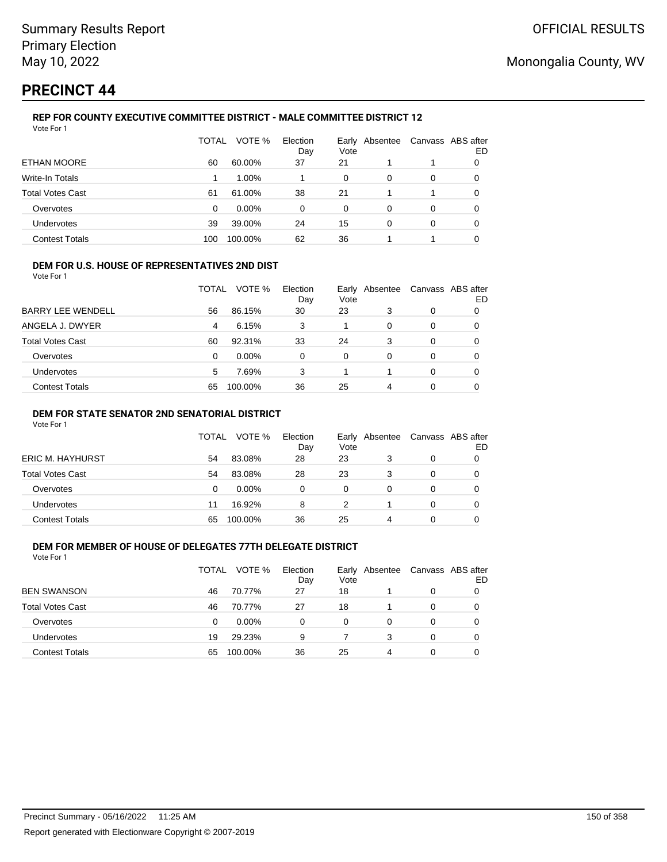# **PRECINCT 44**

#### **REP FOR COUNTY EXECUTIVE COMMITTEE DISTRICT - MALE COMMITTEE DISTRICT 12** Vote For 1

|                         | TOTAL | VOTE %   | Election<br>Day | Vote | Early Absentee | Canvass ABS after | ED |
|-------------------------|-------|----------|-----------------|------|----------------|-------------------|----|
| <b>ETHAN MOORE</b>      | 60    | 60.00%   | 37              | 21   |                |                   | 0  |
| Write-In Totals         |       | 1.00%    |                 | 0    | 0              | 0                 | 0  |
| <b>Total Votes Cast</b> | 61    | 61.00%   | 38              | 21   |                | 1                 | 0  |
| Overvotes               | 0     | $0.00\%$ | 0               | 0    | 0              | 0                 | 0  |
| <b>Undervotes</b>       | 39    | 39.00%   | 24              | 15   | 0              | 0                 | 0  |
| <b>Contest Totals</b>   | 100   | 100.00%  | 62              | 36   |                | 1                 |    |

### **DEM FOR U.S. HOUSE OF REPRESENTATIVES 2ND DIST**

Vote For 1

|                          | TOTAL | VOTE %   | Election<br>Day | Vote | Early Absentee |          | Canvass ABS after<br>ED |
|--------------------------|-------|----------|-----------------|------|----------------|----------|-------------------------|
| <b>BARRY LEE WENDELL</b> | 56    | 86.15%   | 30              | 23   | 3              | 0        |                         |
| ANGELA J. DWYER          | 4     | 6.15%    | 3               |      | 0              | $\Omega$ | 0                       |
| <b>Total Votes Cast</b>  | 60    | 92.31%   | 33              | 24   | 3              |          |                         |
| Overvotes                | 0     | $0.00\%$ | $\Omega$        | 0    | $\Omega$       | $\Omega$ | 0                       |
| <b>Undervotes</b>        | 5     | 7.69%    | 3               |      |                | $\Omega$ | 0                       |
| <b>Contest Totals</b>    | 65    | 100.00%  | 36              | 25   | 4              |          |                         |

### **DEM FOR STATE SENATOR 2ND SENATORIAL DISTRICT**

Vote For 1

|                         | <b>TOTAL</b> | VOTE %   | Election<br>Day | Vote | Early Absentee |   | Canvass ABS after<br>ED |
|-------------------------|--------------|----------|-----------------|------|----------------|---|-------------------------|
| <b>ERIC M. HAYHURST</b> | 54           | 83.08%   | 28              | 23   |                | 0 |                         |
| Total Votes Cast        | 54           | 83.08%   | 28              | 23   | 3              |   |                         |
| Overvotes               | 0            | $0.00\%$ | 0               | 0    |                |   |                         |
| <b>Undervotes</b>       | 11           | 16.92%   | 8               |      |                | 0 |                         |
| <b>Contest Totals</b>   | 65           | 100.00%  | 36              | 25   | 4              |   |                         |

#### **DEM FOR MEMBER OF HOUSE OF DELEGATES 77TH DELEGATE DISTRICT** Vote For 1

|                         | TOTAL | VOTE %   | Election<br>Day | Vote | Early Absentee |          | Canvass ABS after<br>ED |
|-------------------------|-------|----------|-----------------|------|----------------|----------|-------------------------|
| <b>BEN SWANSON</b>      | 46    | 70.77%   | 27              | 18   |                | 0        |                         |
| <b>Total Votes Cast</b> | 46    | 70.77%   | 27              | 18   |                | 0        |                         |
| Overvotes               | 0     | $0.00\%$ | $\Omega$        | 0    |                | 0        |                         |
| <b>Undervotes</b>       | 19    | 29.23%   | 9               |      | 3              | $\Omega$ |                         |
| <b>Contest Totals</b>   | 65    | 100.00%  | 36              | 25   | 4              |          |                         |
|                         |       |          |                 |      |                |          |                         |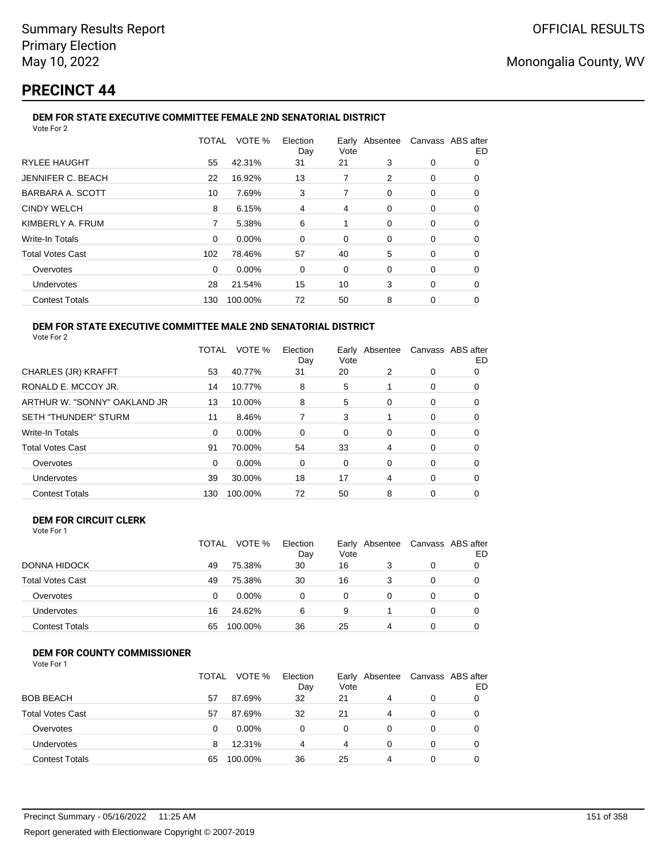# **PRECINCT 44**

### **DEM FOR STATE EXECUTIVE COMMITTEE FEMALE 2ND SENATORIAL DISTRICT**

| Vote For 2              |       |         |                 |      |                                  |   |    |
|-------------------------|-------|---------|-----------------|------|----------------------------------|---|----|
|                         | TOTAL | VOTE %  | Election<br>Day | Vote | Early Absentee Canvass ABS after |   | ED |
| <b>RYLEE HAUGHT</b>     | 55    | 42.31%  | 31              | 21   | 3                                | 0 | 0  |
| JENNIFER C. BEACH       | 22    | 16.92%  | 13              | 7    | 2                                | 0 | 0  |
| BARBARA A. SCOTT        | 10    | 7.69%   | 3               | 7    | 0                                | 0 | 0  |
| <b>CINDY WELCH</b>      | 8     | 6.15%   | 4               | 4    | 0                                | 0 | 0  |
| KIMBERLY A. FRUM        | 7     | 5.38%   | 6               | 1    | 0                                | 0 | 0  |
| <b>Write-In Totals</b>  | 0     | 0.00%   | 0               | 0    | 0                                | 0 | 0  |
| <b>Total Votes Cast</b> | 102   | 78.46%  | 57              | 40   | 5                                | 0 | 0  |
| Overvotes               | 0     | 0.00%   | 0               | 0    | 0                                | 0 | 0  |
| Undervotes              | 28    | 21.54%  | 15              | 10   | 3                                | 0 | 0  |
| <b>Contest Totals</b>   | 130   | 100.00% | 72              | 50   | 8                                | 0 | 0  |

#### **DEM FOR STATE EXECUTIVE COMMITTEE MALE 2ND SENATORIAL DISTRICT** Vote For 2

|                              | TOTAL | VOTE %   | Election<br>Day | Vote | Early Absentee | Canvass ABS after | ED |
|------------------------------|-------|----------|-----------------|------|----------------|-------------------|----|
| CHARLES (JR) KRAFFT          | 53    | 40.77%   | 31              | 20   | 2              | 0                 | 0  |
| RONALD E. MCCOY JR.          | 14    | 10.77%   | 8               | 5    |                | 0                 | 0  |
| ARTHUR W. "SONNY" OAKLAND JR | 13    | 10.00%   | 8               | 5    | 0              | 0                 | 0  |
| <b>SETH "THUNDER" STURM</b>  | 11    | 8.46%    | 7               | 3    |                | 0                 | 0  |
| <b>Write-In Totals</b>       | 0     | $0.00\%$ | $\Omega$        | 0    | $\Omega$       | 0                 | O  |
| <b>Total Votes Cast</b>      | 91    | 70.00%   | 54              | 33   | 4              | 0                 | 0  |
| Overvotes                    | 0     | 0.00%    | 0               | 0    | 0              | 0                 | 0  |
| Undervotes                   | 39    | 30.00%   | 18              | 17   | 4              | 0                 | 0  |
| <b>Contest Totals</b>        | 130   | 100.00%  | 72              | 50   | 8              | 0                 | 0  |

#### **DEM FOR CIRCUIT CLERK** Vote For 1

|                         | <b>TOTAL</b> | VOTE %   | Election<br>Day | Vote | Early Absentee | Canvass ABS after<br>ED |
|-------------------------|--------------|----------|-----------------|------|----------------|-------------------------|
| <b>DONNA HIDOCK</b>     | 49           | 75.38%   | 30              | 16   | 3              |                         |
| <b>Total Votes Cast</b> | 49           | 75.38%   | 30              | 16   | 3              |                         |
| Overvotes               | 0            | $0.00\%$ | $\Omega$        | 0    |                |                         |
| <b>Undervotes</b>       | 16           | 24.62%   | 6               | 9    |                | 0                       |
| <b>Contest Totals</b>   | 65           | 100.00%  | 36              | 25   | 4              |                         |

## **DEM FOR COUNTY COMMISSIONER**

| Vote For 1 |  |
|------------|--|
|------------|--|

|                         | TOTAL | VOTE %   | Election<br>Day | Early<br>Vote | Absentee | Canvass ABS after | ED |
|-------------------------|-------|----------|-----------------|---------------|----------|-------------------|----|
| <b>BOB BEACH</b>        | 57    | 87.69%   | 32              | 21            | 4        | 0                 |    |
| <b>Total Votes Cast</b> | 57    | 87.69%   | 32              | 21            | 4        | $\Omega$          |    |
| Overvotes               | 0     | $0.00\%$ | 0               | 0             | 0        | 0                 |    |
| Undervotes              | 8     | 12.31%   | 4               | 4             | 0        | 0                 |    |
| <b>Contest Totals</b>   | 65    | 100.00%  | 36              | 25            | 4        | 0                 |    |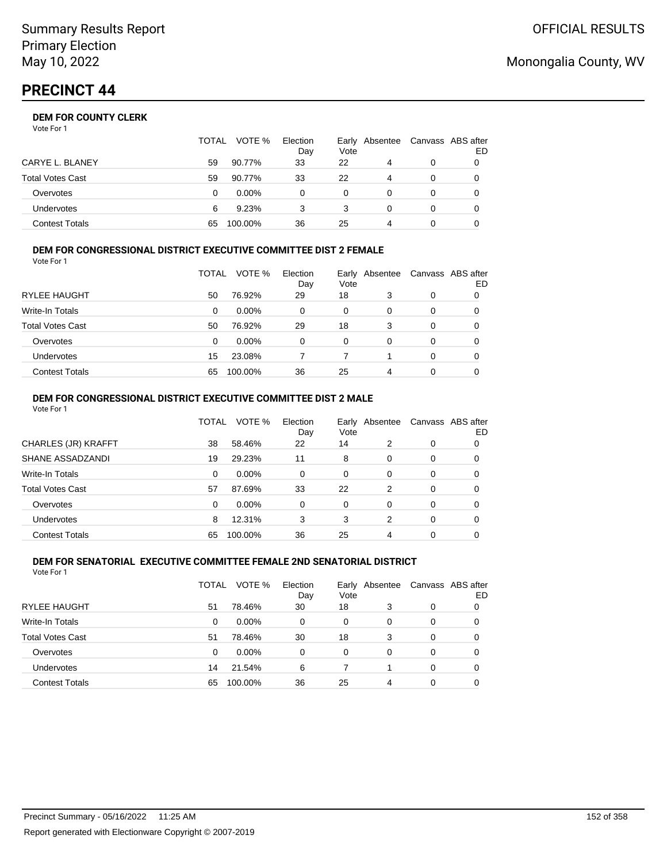|                       | TOTAL | VOTE %   | Election<br>Day | Vote | Early Absentee | Canvass ABS after | ED |
|-----------------------|-------|----------|-----------------|------|----------------|-------------------|----|
| CARYE L. BLANEY       | 59    | 90.77%   | 33              | 22   | 4              | 0                 |    |
| Total Votes Cast      | 59    | 90.77%   | 33              | 22   | $\overline{a}$ | 0                 |    |
| Overvotes             | 0     | $0.00\%$ | 0               | 0    |                | 0                 |    |
| Undervotes            | 6     | 9.23%    |                 |      | 0              | 0                 |    |
| <b>Contest Totals</b> | 65    | 100.00%  | 36              | 25   | 4              |                   |    |

### **DEM FOR CONGRESSIONAL DISTRICT EXECUTIVE COMMITTEE DIST 2 FEMALE**

| Vote For 1              |          |          |                 |      |                |                 |   |
|-------------------------|----------|----------|-----------------|------|----------------|-----------------|---|
|                         | TOTAL    | VOTE %   | Election<br>Day | Vote | Early Absentee | Canvass ABS aft |   |
| <b>RYLEE HAUGHT</b>     | 50       | 76.92%   | 29              | 18   | 3              | 0               | 0 |
| Write-In Totals         | 0        | $0.00\%$ | 0               | 0    | 0              | 0               | 0 |
| <b>Total Votes Cast</b> | 50       | 76.92%   | 29              | 18   | 3              | 0               | 0 |
| Overvotes               | $\Omega$ | $0.00\%$ | 0               | 0    | 0              | $\Omega$        | 0 |
| <b>Undervotes</b>       | 15       | 23.08%   |                 |      | 1              | $\Omega$        | 0 |
| <b>Contest Totals</b>   | 65       | 100.00%  | 36              | 25   | 4              | 0               |   |

#### **DEM FOR CONGRESSIONAL DISTRICT EXECUTIVE COMMITTEE DIST 2 MALE** Vote For 1

|                         | TOTAL | VOTE %  | Election<br>Day | Early<br>Vote | Absentee |          | Canvass ABS after<br>ED |
|-------------------------|-------|---------|-----------------|---------------|----------|----------|-------------------------|
| CHARLES (JR) KRAFFT     | 38    | 58.46%  | 22              | 14            | 2        | 0        | 0                       |
| SHANE ASSADZANDI        | 19    | 29.23%  | 11              | 8             | 0        | 0        | 0                       |
| Write-In Totals         | 0     | 0.00%   | $\Omega$        | $\Omega$      | 0        | 0        | 0                       |
| <b>Total Votes Cast</b> | 57    | 87.69%  | 33              | 22            | 2        | 0        | 0                       |
| Overvotes               | 0     | 0.00%   | $\Omega$        | $\Omega$      | $\Omega$ | $\Omega$ | 0                       |
| Undervotes              | 8     | 12.31%  | 3               | 3             | 2        | 0        | 0                       |
| <b>Contest Totals</b>   | 65    | 100.00% | 36              | 25            | 4        | 0        | 0                       |

#### **DEM FOR SENATORIAL EXECUTIVE COMMITTEE FEMALE 2ND SENATORIAL DISTRICT** Vote For 1

|                         | TOTAL | VOTE %   | Election<br>Day | Vote | Early Absentee |   | Canvass ABS after<br>ED |
|-------------------------|-------|----------|-----------------|------|----------------|---|-------------------------|
| RYLEE HAUGHT            | 51    | 78.46%   | 30              | 18   | 3              | 0 | 0                       |
| Write-In Totals         | 0     | $0.00\%$ | 0               | 0    | 0              | 0 | 0                       |
| <b>Total Votes Cast</b> | 51    | 78.46%   | 30              | 18   | 3              | 0 | 0                       |
| Overvotes               | 0     | 0.00%    | 0               | 0    | 0              | 0 | 0                       |
| Undervotes              | 14    | 21.54%   | 6               |      |                | 0 | 0                       |
| <b>Contest Totals</b>   | 65    | 100.00%  | 36              | 25   | 4              | 0 |                         |

## Monongalia County, WV

after ED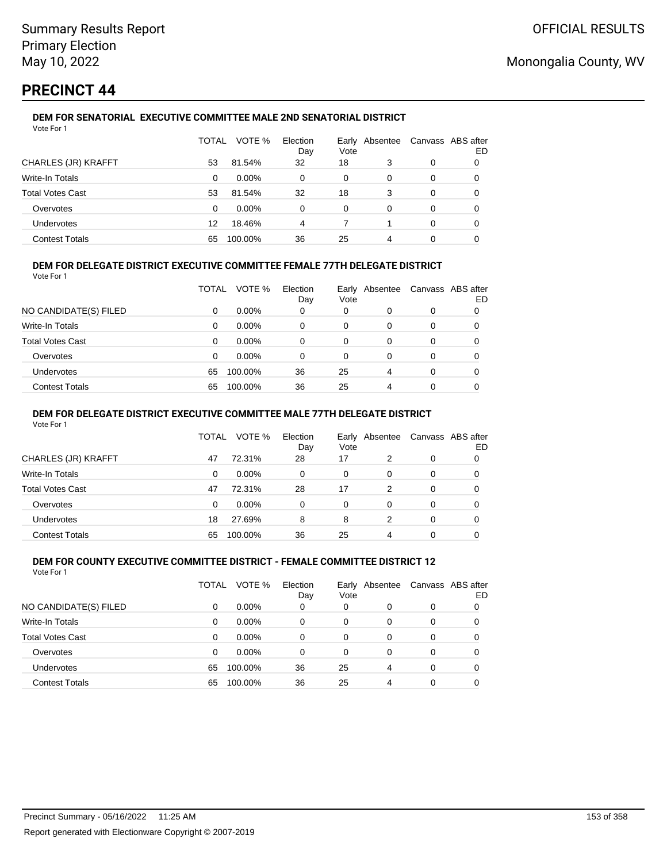# **PRECINCT 44**

#### **DEM FOR SENATORIAL EXECUTIVE COMMITTEE MALE 2ND SENATORIAL DISTRICT** Vote For 1

|                         | TOTAL | VOTE %   | Election<br>Day | Vote | Early Absentee |          | Canvass ABS after<br>ED |
|-------------------------|-------|----------|-----------------|------|----------------|----------|-------------------------|
| CHARLES (JR) KRAFFT     | 53    | 81.54%   | 32              | 18   | 3              | 0        |                         |
| <b>Write-In Totals</b>  | 0     | $0.00\%$ | 0               | 0    | 0              | 0        |                         |
| <b>Total Votes Cast</b> | 53    | 81.54%   | 32              | 18   | 3              | 0        |                         |
| Overvotes               | 0     | $0.00\%$ | 0               | 0    | 0              | $\Omega$ |                         |
| Undervotes              | 12    | 18.46%   | 4               |      |                | 0        | 0                       |
| <b>Contest Totals</b>   | 65    | 100.00%  | 36              | 25   | 4              | 0        |                         |

## **DEM FOR DELEGATE DISTRICT EXECUTIVE COMMITTEE FEMALE 77TH DELEGATE DISTRICT**

Vote For 1

|                         | TOTAL | VOTE %   | Election<br>Day | Vote | Early Absentee | Canvass ABS after | ED |
|-------------------------|-------|----------|-----------------|------|----------------|-------------------|----|
| NO CANDIDATE(S) FILED   | 0     | $0.00\%$ | 0               | 0    | O              | 0                 |    |
| Write-In Totals         | 0     | $0.00\%$ | 0               | 0    | 0              | 0                 |    |
| <b>Total Votes Cast</b> | 0     | $0.00\%$ | 0               | 0    | 0              | 0                 |    |
| Overvotes               | 0     | $0.00\%$ | 0               | 0    | 0              | 0                 |    |
| <b>Undervotes</b>       | 65    | 100.00%  | 36              | 25   | 4              | 0                 |    |
| <b>Contest Totals</b>   | 65    | 100.00%  | 36              | 25   | 4              | 0                 |    |

### **DEM FOR DELEGATE DISTRICT EXECUTIVE COMMITTEE MALE 77TH DELEGATE DISTRICT**

Vote For 1

|                       | <b>TOTAL</b> | VOTE %   | Election<br>Day | Vote | Early Absentee |          | Canvass ABS after<br>ED |
|-----------------------|--------------|----------|-----------------|------|----------------|----------|-------------------------|
| CHARLES (JR) KRAFFT   | 47           | 72.31%   | 28              | 17   | 2              | 0        |                         |
| Write-In Totals       | $\Omega$     | $0.00\%$ | $\Omega$        | 0    | 0              | 0        | 0                       |
| Total Votes Cast      | 47           | 72.31%   | 28              | 17   | 2              | $\Omega$ | 0                       |
| Overvotes             | 0            | $0.00\%$ | 0               | 0    | 0              | 0        |                         |
| <b>Undervotes</b>     | 18           | 27.69%   | 8               | 8    | 2              | 0        | 0                       |
| <b>Contest Totals</b> | 65           | 100.00%  | 36              | 25   | 4              |          |                         |

#### **DEM FOR COUNTY EXECUTIVE COMMITTEE DISTRICT - FEMALE COMMITTEE DISTRICT 12** Vote For 1

|                         | TOTAL    | VOTE %   | Election<br>Day | Vote     | Early Absentee |          | Canvass ABS after<br>ED |
|-------------------------|----------|----------|-----------------|----------|----------------|----------|-------------------------|
| NO CANDIDATE(S) FILED   | 0        | $0.00\%$ | 0               | 0        | 0              | 0        |                         |
| Write-In Totals         | 0        | $0.00\%$ | 0               | 0        | 0              | 0        | 0                       |
| <b>Total Votes Cast</b> | $\Omega$ | $0.00\%$ | $\Omega$        | $\Omega$ | 0              | 0        | 0                       |
| Overvotes               | $\Omega$ | $0.00\%$ | 0               | $\Omega$ | 0              | 0        | 0                       |
| Undervotes              | 65       | 100.00%  | 36              | 25       | 4              | $\Omega$ | 0                       |
| <b>Contest Totals</b>   | 65       | 100.00%  | 36              | 25       | 4              | 0        |                         |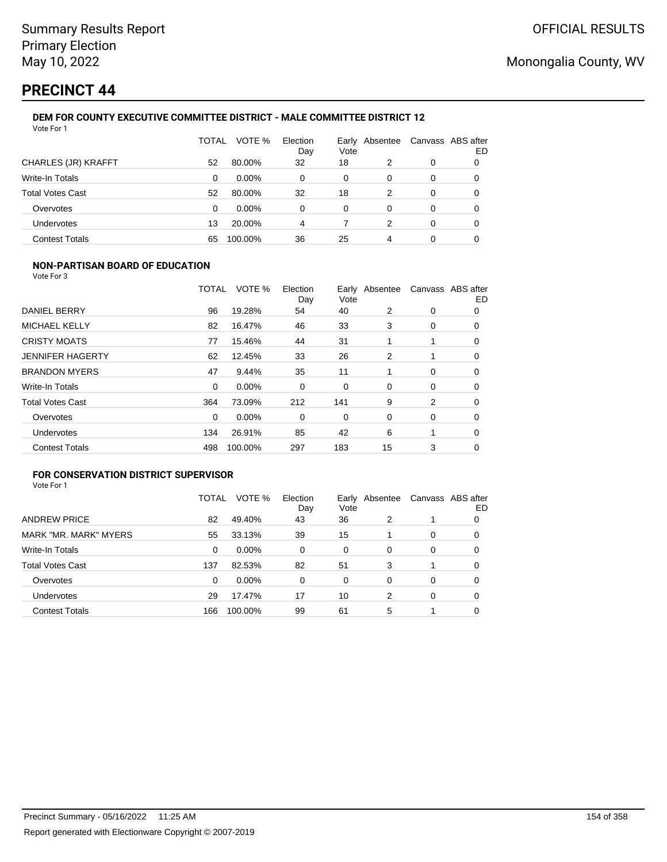# **PRECINCT 44**

#### **DEM FOR COUNTY EXECUTIVE COMMITTEE DISTRICT - MALE COMMITTEE DISTRICT 12** Vote For 1

|                         | TOTAL | VOTE %   | Election<br>Day | Earlv<br>Vote | Absentee | Canvass ABS after | ED |
|-------------------------|-------|----------|-----------------|---------------|----------|-------------------|----|
| CHARLES (JR) KRAFFT     | 52    | 80.00%   | 32              | 18            | 2        | 0                 | 0  |
| Write-In Totals         | 0     | $0.00\%$ | 0               | 0             | 0        | 0                 |    |
| <b>Total Votes Cast</b> | 52    | 80.00%   | 32              | 18            | 2        | $\Omega$          | O  |
| Overvotes               | 0     | $0.00\%$ | 0               | 0             | 0        | 0                 | O  |
| <b>Undervotes</b>       | 13    | 20.00%   | 4               |               | 2        | 0                 |    |
| <b>Contest Totals</b>   | 65    | 100.00%  | 36              | 25            | 4        | 0                 |    |

### **NON-PARTISAN BOARD OF EDUCATION**

Vote For 3

|                         | TOTAL | VOTE %   | Election<br>Day | Early<br>Vote | Absentee |             | Canvass ABS after<br>ED |
|-------------------------|-------|----------|-----------------|---------------|----------|-------------|-------------------------|
| DANIEL BERRY            | 96    | 19.28%   | 54              | 40            | 2        | 0           | 0                       |
| MICHAEL KELLY           | 82    | 16.47%   | 46              | 33            | 3        | 0           | 0                       |
| <b>CRISTY MOATS</b>     | 77    | 15.46%   | 44              | 31            |          | 1           | 0                       |
| <b>JENNIFER HAGERTY</b> | 62    | 12.45%   | 33              | 26            | 2        |             | $\Omega$                |
| <b>BRANDON MYERS</b>    | 47    | 9.44%    | 35              | 11            |          | $\mathbf 0$ | 0                       |
| Write-In Totals         | 0     | $0.00\%$ | 0               | 0             | 0        | 0           | 0                       |
| <b>Total Votes Cast</b> | 364   | 73.09%   | 212             | 141           | 9        | 2           | 0                       |
| Overvotes               | 0     | 0.00%    | 0               | 0             | 0        | 0           | $\Omega$                |
| Undervotes              | 134   | 26.91%   | 85              | 42            | 6        | 1           | 0                       |
| <b>Contest Totals</b>   | 498   | 100.00%  | 297             | 183           | 15       | 3           | 0                       |

## **FOR CONSERVATION DISTRICT SUPERVISOR**

| Vote For 1 |  |  |
|------------|--|--|
|------------|--|--|

|                         | TOTAL | VOTE %   | Election<br>Day | Earlv<br>Vote | Absentee |   | Canvass ABS after<br>ED |
|-------------------------|-------|----------|-----------------|---------------|----------|---|-------------------------|
| <b>ANDREW PRICE</b>     | 82    | 49.40%   | 43              | 36            | 2        |   | O                       |
| MARK "MR. MARK" MYERS   | 55    | 33.13%   | 39              | 15            |          | 0 | 0                       |
| Write-In Totals         | 0     | $0.00\%$ | 0               | 0             | 0        | 0 | 0                       |
| <b>Total Votes Cast</b> | 137   | 82.53%   | 82              | 51            | 3        | 1 | 0                       |
| Overvotes               | 0     | $0.00\%$ | 0               | 0             | 0        | 0 | 0                       |
| <b>Undervotes</b>       | 29    | 17.47%   | 17              | 10            | 2        | 0 | O                       |
| <b>Contest Totals</b>   | 166   | 100.00%  | 99              | 61            | 5        |   | 0                       |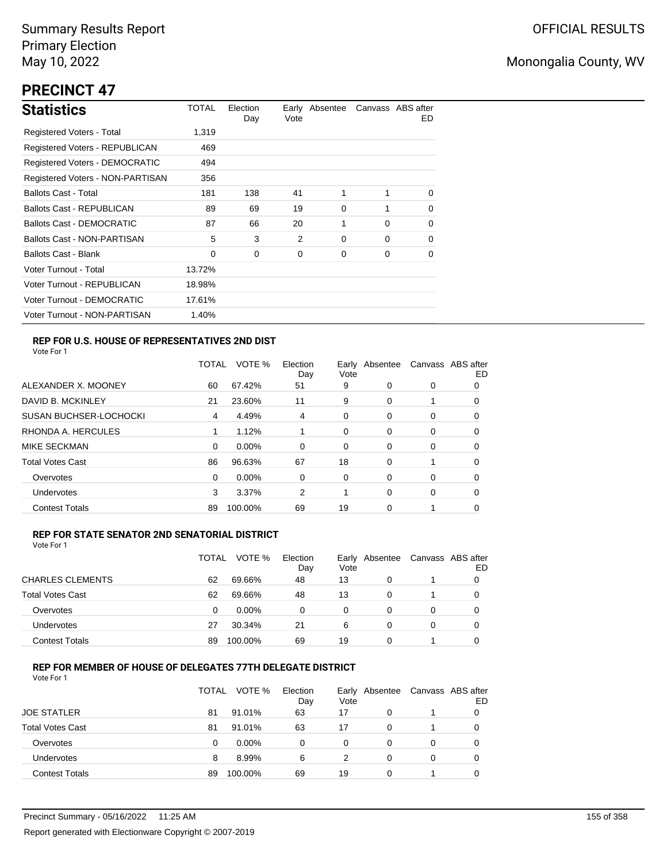# **PRECINCT 47**

| <b>Statistics</b>                     | TOTAL  | Election<br>Day | Vote | Early Absentee |          | Canvass ABS after<br>ED. |
|---------------------------------------|--------|-----------------|------|----------------|----------|--------------------------|
| Registered Voters - Total             | 1,319  |                 |      |                |          |                          |
| <b>Registered Voters - REPUBLICAN</b> | 469    |                 |      |                |          |                          |
| <b>Registered Voters - DEMOCRATIC</b> | 494    |                 |      |                |          |                          |
| Registered Voters - NON-PARTISAN      | 356    |                 |      |                |          |                          |
| <b>Ballots Cast - Total</b>           | 181    | 138             | 41   | 1              | 1        | $\Omega$                 |
| Ballots Cast - REPUBLICAN             | 89     | 69              | 19   | 0              | 1        | $\Omega$                 |
| Ballots Cast - DEMOCRATIC             | 87     | 66              | 20   | 1              | $\Omega$ | 0                        |
| Ballots Cast - NON-PARTISAN           | 5      | 3               | 2    | 0              | $\Omega$ | $\Omega$                 |
| Ballots Cast - Blank                  | 0      | 0               | 0    | 0              | 0        | 0                        |
| Voter Turnout - Total                 | 13.72% |                 |      |                |          |                          |
| Voter Turnout - REPUBLICAN            | 18.98% |                 |      |                |          |                          |
| Voter Turnout - DEMOCRATIC            | 17.61% |                 |      |                |          |                          |
| Voter Turnout - NON-PARTISAN          | 1.40%  |                 |      |                |          |                          |

## **REP FOR U.S. HOUSE OF REPRESENTATIVES 2ND DIST**

Vote For 1

|                               | TOTAL | VOTE %   | Election<br>Day | Earlv<br>Vote | Absentee |   | Canvass ABS after<br>ED |
|-------------------------------|-------|----------|-----------------|---------------|----------|---|-------------------------|
| ALEXANDER X. MOONEY           | 60    | 67.42%   | 51              | 9             | 0        | 0 | O                       |
| DAVID B. MCKINLEY             | 21    | 23.60%   | 11              | 9             | $\Omega$ |   | O                       |
| <b>SUSAN BUCHSER-LOCHOCKI</b> | 4     | 4.49%    | 4               | 0             | 0        | 0 | 0                       |
| RHONDA A. HERCULES            | 1     | 1.12%    |                 | 0             | 0        | 0 | 0                       |
| MIKE SECKMAN                  | 0     | $0.00\%$ | $\Omega$        | 0             | 0        | 0 | 0                       |
| <b>Total Votes Cast</b>       | 86    | 96.63%   | 67              | 18            | $\Omega$ |   | 0                       |
| Overvotes                     | 0     | $0.00\%$ | 0               | 0             | $\Omega$ | 0 | 0                       |
| Undervotes                    | 3     | 3.37%    | 2               |               | $\Omega$ | 0 | 0                       |
| <b>Contest Totals</b>         | 89    | 100.00%  | 69              | 19            | 0        |   | 0                       |

### **REP FOR STATE SENATOR 2ND SENATORIAL DISTRICT**

Vote For 1

|                         | TOTAL | VOTE %   | Election<br>Day | Vote | Early Absentee | Canvass ABS after | ED |
|-------------------------|-------|----------|-----------------|------|----------------|-------------------|----|
| <b>CHARLES CLEMENTS</b> | 62    | 69.66%   | 48              | 13   |                |                   |    |
| <b>Total Votes Cast</b> | 62    | 69.66%   | 48              | 13   | 0              |                   |    |
| Overvotes               | 0     | $0.00\%$ | $\Omega$        | 0    | 0              | 0                 |    |
| <b>Undervotes</b>       | 27    | 30.34%   | 21              | 6    | 0              | 0                 |    |
| <b>Contest Totals</b>   | 89    | 100.00%  | 69              | 19   | 0              |                   |    |

## **REP FOR MEMBER OF HOUSE OF DELEGATES 77TH DELEGATE DISTRICT**

Vote For 1

|                         | TOTAL | VOTE %   | Election<br>Day | Vote | Early Absentee | Canvass ABS after | ED |
|-------------------------|-------|----------|-----------------|------|----------------|-------------------|----|
| <b>JOE STATLER</b>      | 81    | 91.01%   | 63              | 17   | 0              |                   |    |
| <b>Total Votes Cast</b> | 81    | 91.01%   | 63              | 17   | 0              |                   | O  |
| Overvotes               | 0     | $0.00\%$ | 0               | 0    | 0              | 0                 |    |
| <b>Undervotes</b>       | 8     | 8.99%    | 6               | 2    | 0              | $\Omega$          |    |
| <b>Contest Totals</b>   | 89    | 100.00%  | 69              | 19   | 0              |                   |    |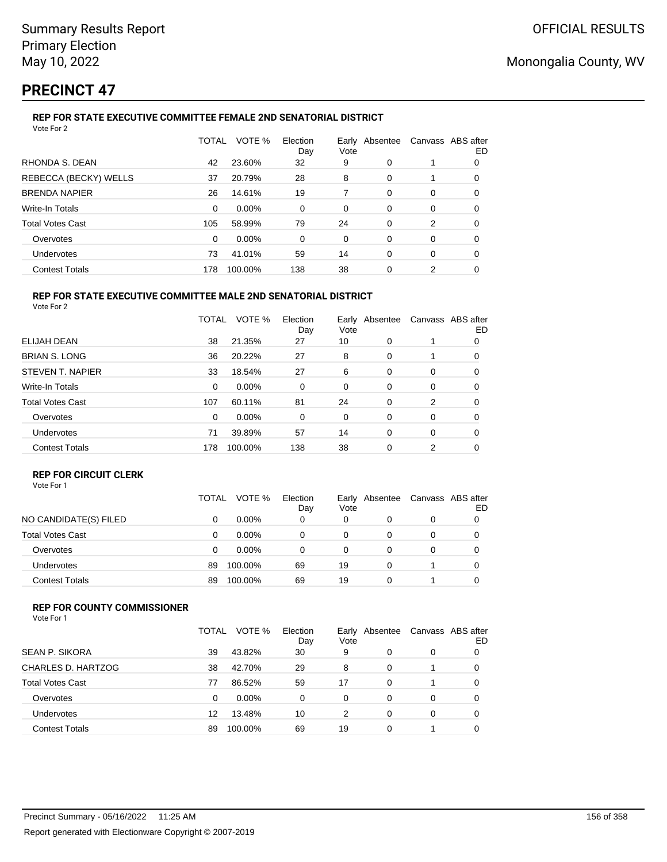# **PRECINCT 47**

## **REP FOR STATE EXECUTIVE COMMITTEE FEMALE 2ND SENATORIAL DISTRICT**

| Vote For 2              |       |         |                 |      |                |                   |    |
|-------------------------|-------|---------|-----------------|------|----------------|-------------------|----|
|                         | TOTAL | VOTE %  | Election<br>Day | Vote | Early Absentee | Canvass ABS after | ED |
| RHONDA S. DEAN          | 42    | 23.60%  | 32              | 9    | 0              |                   | 0  |
| REBECCA (BECKY) WELLS   | 37    | 20.79%  | 28              | 8    | 0              |                   | 0  |
| <b>BRENDA NAPIER</b>    | 26    | 14.61%  | 19              | 7    | $\Omega$       | 0                 | 0  |
| Write-In Totals         | 0     | 0.00%   | 0               | 0    | 0              | 0                 | 0  |
| <b>Total Votes Cast</b> | 105   | 58.99%  | 79              | 24   | 0              | 2                 | 0  |
| Overvotes               | 0     | 0.00%   | 0               | 0    | 0              | 0                 | 0  |
| Undervotes              | 73    | 41.01%  | 59              | 14   | $\Omega$       | 0                 | 0  |
| <b>Contest Totals</b>   | 178   | 100.00% | 138             | 38   | 0              | 2                 | 0  |
|                         |       |         |                 |      |                |                   |    |

#### **REP FOR STATE EXECUTIVE COMMITTEE MALE 2ND SENATORIAL DISTRICT** Vote For 2

|                         | <b>TOTAL</b> | VOTE %   | Election<br>Day | Vote | Early Absentee |   | Canvass ABS after<br>ED |
|-------------------------|--------------|----------|-----------------|------|----------------|---|-------------------------|
| ELIJAH DEAN             | 38           | 21.35%   | 27              | 10   | 0              | 1 | 0                       |
| <b>BRIAN S. LONG</b>    | 36           | 20.22%   | 27              | 8    | 0              | 1 | 0                       |
| STEVEN T. NAPIER        | 33           | 18.54%   | 27              | 6    | 0              | 0 | 0                       |
| <b>Write-In Totals</b>  | 0            | $0.00\%$ | 0               | 0    | 0              | 0 | 0                       |
| <b>Total Votes Cast</b> | 107          | 60.11%   | 81              | 24   | $\Omega$       | 2 | 0                       |
| Overvotes               | 0            | $0.00\%$ | 0               | 0    | 0              | 0 | 0                       |
| Undervotes              | 71           | 39.89%   | 57              | 14   | $\Omega$       | 0 | 0                       |
| <b>Contest Totals</b>   | 178          | 100.00%  | 138             | 38   | 0              | 2 | 0                       |
|                         |              |          |                 |      |                |   |                         |

### **REP FOR CIRCUIT CLERK**

|                         | TOTAL | VOTE %   | Election<br>Day | Vote | Early Absentee | Canvass ABS after | ED |
|-------------------------|-------|----------|-----------------|------|----------------|-------------------|----|
| NO CANDIDATE(S) FILED   | 0     | $0.00\%$ | 0               | 0    |                | 0                 |    |
| <b>Total Votes Cast</b> | 0     | $0.00\%$ | 0               | 0    |                | 0                 |    |
| Overvotes               | 0     | $0.00\%$ | 0               |      |                | 0                 |    |
| <b>Undervotes</b>       | 89    | 100.00%  | 69              | 19   | 0              |                   |    |
| <b>Contest Totals</b>   | 89    | 100.00%  | 69              | 19   |                |                   |    |

### **REP FOR COUNTY COMMISSIONER**

| Vote For 1 |  |  |  |
|------------|--|--|--|
|------------|--|--|--|

|                         | TOTAL | VOTE %   | Election<br>Day | Early<br>Vote | Absentee |   | Canvass ABS after<br>ED |
|-------------------------|-------|----------|-----------------|---------------|----------|---|-------------------------|
| <b>SEAN P. SIKORA</b>   | 39    | 43.82%   | 30              | 9             | 0        | 0 |                         |
| CHARLES D. HARTZOG      | 38    | 42.70%   | 29              | 8             | 0        |   |                         |
| <b>Total Votes Cast</b> | 77    | 86.52%   | 59              | 17            | 0        |   |                         |
| Overvotes               | 0     | $0.00\%$ | 0               | 0             | $\Omega$ | 0 |                         |
| Undervotes              | 12    | 13.48%   | 10              | 2             | $\Omega$ | 0 |                         |
| <b>Contest Totals</b>   | 89    | 100.00%  | 69              | 19            | 0        |   |                         |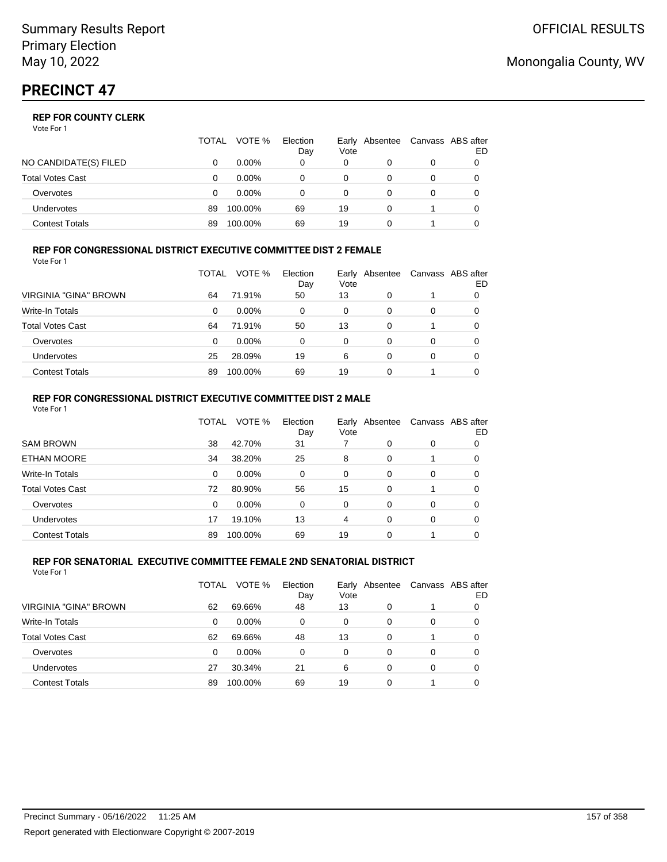|                       | TOTAL | VOTE %   | Election<br>Day | Vote | Early Absentee | Canvass ABS after | ED |
|-----------------------|-------|----------|-----------------|------|----------------|-------------------|----|
| NO CANDIDATE(S) FILED |       | $0.00\%$ | 0               | 0    |                | 0                 |    |
| Total Votes Cast      |       | $0.00\%$ |                 |      |                |                   |    |
| Overvotes             | 0     | $0.00\%$ |                 | 0    |                | 0                 |    |
| Undervotes            | 89    | 100.00%  | 69              | 19   |                |                   |    |
| Contest Totals        | 89    | 100.00%  | 69              | 19   |                |                   |    |

#### **REP FOR CONGRESSIONAL DISTRICT EXECUTIVE COMMITTEE DIST 2 FEMALE** Vote For 1

|                         | TOTAL | VOTE %   | Election<br>Day | Vote | Early Absentee | Canvass ABS after | ED |
|-------------------------|-------|----------|-----------------|------|----------------|-------------------|----|
| VIRGINIA "GINA" BROWN   | 64    | 71.91%   | 50              | 13   | $\Omega$       |                   | 0  |
| <b>Write-In Totals</b>  | 0     | $0.00\%$ | 0               | 0    | 0              | 0                 | 0  |
| <b>Total Votes Cast</b> | 64    | 71.91%   | 50              | 13   | 0              |                   | 0  |
| Overvotes               | 0     | $0.00\%$ | 0               | 0    | 0              | 0                 | 0  |
| Undervotes              | 25    | 28.09%   | 19              | 6    | 0              | 0                 | O  |
| <b>Contest Totals</b>   | 89    | 100.00%  | 69              | 19   | 0              |                   |    |

#### **REP FOR CONGRESSIONAL DISTRICT EXECUTIVE COMMITTEE DIST 2 MALE** Vote For 1

|                         | <b>TOTAL</b> | VOTE %  | Election<br>Day | Vote     | Early Absentee |          | Canvass ABS after<br>ED |
|-------------------------|--------------|---------|-----------------|----------|----------------|----------|-------------------------|
| <b>SAM BROWN</b>        | 38           | 42.70%  | 31              |          | 0              | 0        | 0                       |
| <b>ETHAN MOORE</b>      | 34           | 38.20%  | 25              | 8        | $\Omega$       |          | 0                       |
| Write-In Totals         | 0            | 0.00%   | $\Omega$        | $\Omega$ | 0              | $\Omega$ | 0                       |
| <b>Total Votes Cast</b> | 72           | 80.90%  | 56              | 15       | $\Omega$       |          | 0                       |
| Overvotes               | 0            | 0.00%   | 0               | 0        | $\Omega$       | $\Omega$ | 0                       |
| <b>Undervotes</b>       | 17           | 19.10%  | 13              | 4        | 0              | $\Omega$ | 0                       |
| <b>Contest Totals</b>   | 89           | 100.00% | 69              | 19       | $\Omega$       |          |                         |

#### **REP FOR SENATORIAL EXECUTIVE COMMITTEE FEMALE 2ND SENATORIAL DISTRICT** Vote For 1

|                         | TOTAL | VOTE %   | Election<br>Day | Vote | Early Absentee |   | Canvass ABS after<br>ED |
|-------------------------|-------|----------|-----------------|------|----------------|---|-------------------------|
| VIRGINIA "GINA" BROWN   | 62    | 69.66%   | 48              | 13   | 0              |   |                         |
| Write-In Totals         | 0     | $0.00\%$ | 0               | 0    | 0              | 0 |                         |
| <b>Total Votes Cast</b> | 62    | 69.66%   | 48              | 13   | 0              |   | 0                       |
| Overvotes               | 0     | $0.00\%$ | 0               | 0    | 0              | 0 |                         |
| Undervotes              | 27    | 30.34%   | 21              | 6    | $\Omega$       | 0 | 0                       |
| <b>Contest Totals</b>   | 89    | 100.00%  | 69              | 19   | $\Omega$       |   |                         |

## Monongalia County, WV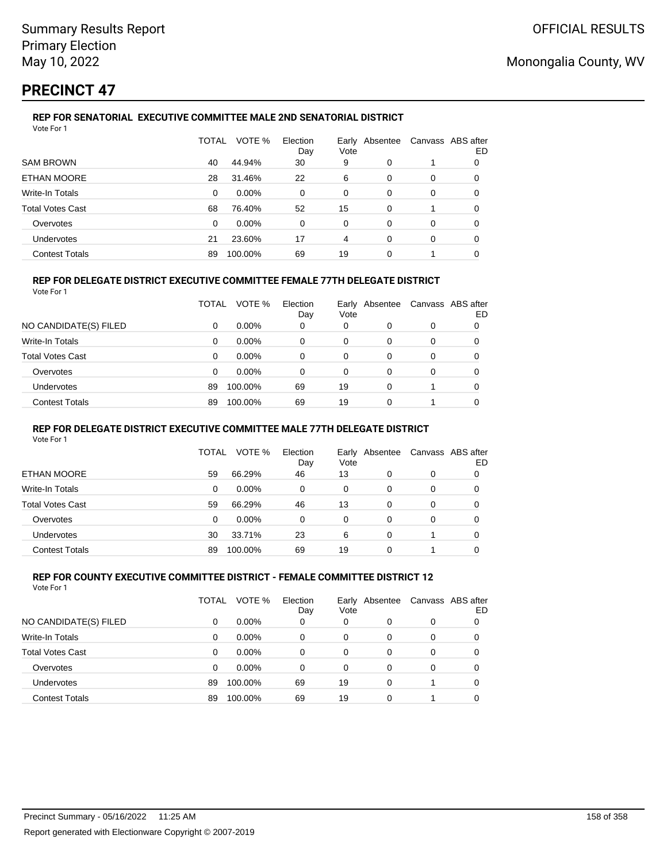## **PRECINCT 47**

#### **REP FOR SENATORIAL EXECUTIVE COMMITTEE MALE 2ND SENATORIAL DISTRICT** Vote For 1

|                         | TOTAL    | VOTE %   | Election<br>Day | Early Absentee<br>Vote |   | Canvass ABS after | ED |
|-------------------------|----------|----------|-----------------|------------------------|---|-------------------|----|
| <b>SAM BROWN</b>        | 40       | 44.94%   | 30              | 9                      | 0 |                   | 0  |
| ETHAN MOORE             | 28       | 31.46%   | 22              | 6                      | 0 | 0                 | 0  |
| Write-In Totals         | 0        | $0.00\%$ | $\Omega$        | 0                      | 0 | 0                 | 0  |
| <b>Total Votes Cast</b> | 68       | 76.40%   | 52              | 15                     | 0 |                   | 0  |
| Overvotes               | $\Omega$ | $0.00\%$ | 0               | 0                      | 0 | 0                 | 0  |
| <b>Undervotes</b>       | 21       | 23.60%   | 17              | 4                      | 0 | 0                 | 0  |
| <b>Contest Totals</b>   | 89       | 100.00%  | 69              | 19                     | 0 |                   |    |

### **REP FOR DELEGATE DISTRICT EXECUTIVE COMMITTEE FEMALE 77TH DELEGATE DISTRICT**

|                         | TOTAL    | VOTE %   | Election<br>Day | Vote | Early Absentee |          | Canvass ABS after<br>ED |
|-------------------------|----------|----------|-----------------|------|----------------|----------|-------------------------|
| NO CANDIDATE(S) FILED   | 0        | $0.00\%$ | 0               | 0    |                | 0        |                         |
| Write-In Totals         | $\Omega$ | $0.00\%$ | $\Omega$        | 0    | $\Omega$       | $\Omega$ | 0                       |
| <b>Total Votes Cast</b> | $\Omega$ | $0.00\%$ | 0               | 0    | 0              | $\Omega$ | 0                       |
| Overvotes               | $\Omega$ | $0.00\%$ | 0               | 0    | 0              | 0        |                         |
| <b>Undervotes</b>       | 89       | 100.00%  | 69              | 19   | 0              |          | 0                       |
| <b>Contest Totals</b>   | 89       | 100.00%  | 69              | 19   | 0              |          |                         |

### **REP FOR DELEGATE DISTRICT EXECUTIVE COMMITTEE MALE 77TH DELEGATE DISTRICT**

Vote For 1

|                       | TOTAL | VOTE %   | Election<br>Day | Vote | Early Absentee | Canvass ABS after | ED |
|-----------------------|-------|----------|-----------------|------|----------------|-------------------|----|
| ETHAN MOORE           | 59    | 66.29%   | 46              | 13   | 0              | 0                 |    |
| Write-In Totals       | 0     | $0.00\%$ | 0               | 0    | 0              | 0                 | O  |
| Total Votes Cast      | 59    | 66.29%   | 46              | 13   | 0              | 0                 |    |
| Overvotes             | 0     | $0.00\%$ | 0               | 0    | 0              | 0                 |    |
| <b>Undervotes</b>     | 30    | 33.71%   | 23              | 6    | 0              |                   |    |
| <b>Contest Totals</b> | 89    | 100.00%  | 69              | 19   | 0              |                   |    |

#### **REP FOR COUNTY EXECUTIVE COMMITTEE DISTRICT - FEMALE COMMITTEE DISTRICT 12** Vote For 1

|                         | TOTAL | VOTE %   | Election<br>Day | Early<br>Vote | Absentee | Canvass ABS after | ED |
|-------------------------|-------|----------|-----------------|---------------|----------|-------------------|----|
| NO CANDIDATE(S) FILED   | 0     | $0.00\%$ | 0               | 0             | 0        | 0                 |    |
| Write-In Totals         | 0     | $0.00\%$ | 0               | 0             | 0        | 0                 |    |
| <b>Total Votes Cast</b> | 0     | $0.00\%$ | 0               | 0             | 0        | 0                 |    |
| Overvotes               | 0     | 0.00%    | 0               | 0             | 0        | 0                 |    |
| Undervotes              | 89    | 100.00%  | 69              | 19            | 0        |                   |    |
| <b>Contest Totals</b>   | 89    | 100.00%  | 69              | 19            | 0        |                   |    |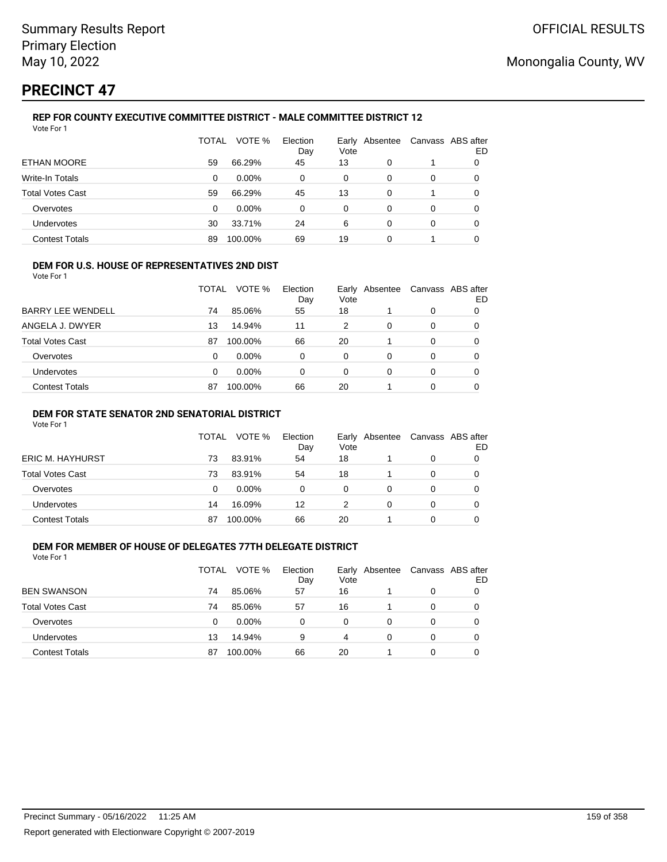# **PRECINCT 47**

#### **REP FOR COUNTY EXECUTIVE COMMITTEE DISTRICT - MALE COMMITTEE DISTRICT 12** Vote For 1

|                         | TOTAL | VOTE %   | Election<br>Day | Early<br>Vote | Absentee |   | Canvass ABS after<br>ED |
|-------------------------|-------|----------|-----------------|---------------|----------|---|-------------------------|
| ETHAN MOORE             | 59    | 66.29%   | 45              | 13            | 0        |   | 0                       |
| <b>Write-In Totals</b>  | 0     | $0.00\%$ | 0               | 0             | 0        | 0 | 0                       |
| <b>Total Votes Cast</b> | 59    | 66.29%   | 45              | 13            | 0        |   | 0                       |
| Overvotes               | 0     | $0.00\%$ | 0               | 0             | 0        | 0 | 0                       |
| Undervotes              | 30    | 33.71%   | 24              | 6             | 0        | 0 | 0                       |
| <b>Contest Totals</b>   | 89    | 100.00%  | 69              | 19            | 0        |   |                         |

### **DEM FOR U.S. HOUSE OF REPRESENTATIVES 2ND DIST**

Vote For 1

|                          | TOTAL | VOTE %   | Election<br>Day | Vote | Early Absentee | Canvass ABS after | ED |
|--------------------------|-------|----------|-----------------|------|----------------|-------------------|----|
| <b>BARRY LEE WENDELL</b> | 74    | 85.06%   | 55              | 18   |                | 0                 |    |
| ANGELA J. DWYER          | 13    | 14.94%   | 11              | 2    | 0              | 0                 |    |
| <b>Total Votes Cast</b>  | 87    | 100.00%  | 66              | 20   |                | 0                 |    |
| Overvotes                | 0     | $0.00\%$ | 0               | 0    | 0              | 0                 |    |
| <b>Undervotes</b>        | 0     | $0.00\%$ | 0               | 0    | 0              | 0                 |    |
| <b>Contest Totals</b>    | 87    | 100.00%  | 66              | 20   |                | 0                 |    |

### **DEM FOR STATE SENATOR 2ND SENATORIAL DISTRICT**

Vote For 1

|                         | TOTAL | VOTE %   | Election<br>Day | Vote | Early Absentee |   | Canvass ABS after<br>ED |
|-------------------------|-------|----------|-----------------|------|----------------|---|-------------------------|
| <b>ERIC M. HAYHURST</b> | 73    | 83.91%   | 54              | 18   |                | 0 |                         |
| Total Votes Cast        | 73    | 83.91%   | 54              | 18   |                | 0 |                         |
| Overvotes               | 0     | $0.00\%$ | 0               | 0    |                |   |                         |
| <b>Undervotes</b>       | 14    | 16.09%   | 12              |      |                | 0 |                         |
| <b>Contest Totals</b>   | 87    | 100.00%  | 66              | 20   |                |   |                         |

## **DEM FOR MEMBER OF HOUSE OF DELEGATES 77TH DELEGATE DISTRICT**

Vote For 1

|                         | TOTAL | VOTE %  | Election<br>Day | Vote     | Early Absentee | Canvass ABS after | ED |
|-------------------------|-------|---------|-----------------|----------|----------------|-------------------|----|
| <b>BEN SWANSON</b>      | 74    | 85.06%  | 57              | 16       |                | 0                 |    |
| <b>Total Votes Cast</b> | 74    | 85.06%  | 57              | 16       |                | 0                 |    |
| Overvotes               | 0     | 0.00%   | 0               | $\Omega$ | 0              | 0                 |    |
| <b>Undervotes</b>       | 13    | 14.94%  | 9               | 4        | 0              | 0                 |    |
| <b>Contest Totals</b>   | 87    | 100.00% | 66              | 20       |                | 0                 |    |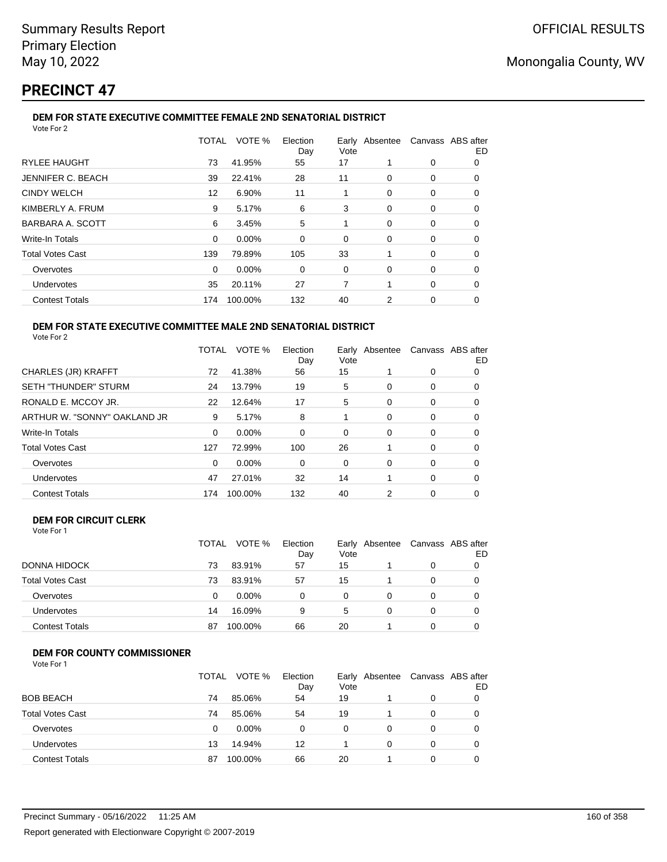# **PRECINCT 47**

#### **DEM FOR STATE EXECUTIVE COMMITTEE FEMALE 2ND SENATORIAL DISTRICT** Vote For 2

|                          | TOTAL    | VOTE %  | Election<br>Day | Vote |          | Early Absentee Canvass ABS after | ED |
|--------------------------|----------|---------|-----------------|------|----------|----------------------------------|----|
| <b>RYLEE HAUGHT</b>      | 73       | 41.95%  | 55              | 17   |          | 0                                | 0  |
| <b>JENNIFER C. BEACH</b> | 39       | 22.41%  | 28              | 11   | 0        | 0                                | 0  |
| <b>CINDY WELCH</b>       | 12       | 6.90%   | 11              |      | 0        | 0                                | 0  |
| KIMBERLY A. FRUM         | 9        | 5.17%   | 6               | 3    | 0        | 0                                | 0  |
| BARBARA A. SCOTT         | 6        | 3.45%   | 5               |      | 0        | 0                                | 0  |
| Write-In Totals          | $\Omega$ | 0.00%   | $\Omega$        | 0    | $\Omega$ | $\Omega$                         | 0  |
| <b>Total Votes Cast</b>  | 139      | 79.89%  | 105             | 33   |          | 0                                | 0  |
| Overvotes                | 0        | 0.00%   | 0               | 0    | $\Omega$ | 0                                | 0  |
| Undervotes               | 35       | 20.11%  | 27              | 7    |          | 0                                | 0  |
| <b>Contest Totals</b>    | 174      | 100.00% | 132             | 40   | 2        | 0                                | 0  |
|                          |          |         |                 |      |          |                                  |    |

#### **DEM FOR STATE EXECUTIVE COMMITTEE MALE 2ND SENATORIAL DISTRICT** Vote For 2

|                              | TOTAL | VOTE %   | Election<br>Day | Vote | Early Absentee |          | Canvass ABS after<br>ED |
|------------------------------|-------|----------|-----------------|------|----------------|----------|-------------------------|
| <b>CHARLES (JR) KRAFFT</b>   | 72    | 41.38%   | 56              | 15   |                | 0        | 0                       |
| <b>SETH "THUNDER" STURM</b>  | 24    | 13.79%   | 19              | 5    | 0              | 0        | 0                       |
| RONALD E. MCCOY JR.          | 22    | 12.64%   | 17              | 5    | 0              | 0        | 0                       |
| ARTHUR W. "SONNY" OAKLAND JR | 9     | 5.17%    | 8               |      | 0              | 0        | 0                       |
| <b>Write-In Totals</b>       | 0     | $0.00\%$ | 0               | 0    | $\Omega$       | 0        | O                       |
| <b>Total Votes Cast</b>      | 127   | 72.99%   | 100             | 26   |                | $\Omega$ | 0                       |
| Overvotes                    | 0     | $0.00\%$ | 0               | 0    | 0              | 0        | 0                       |
| <b>Undervotes</b>            | 47    | 27.01%   | 32              | 14   |                | 0        | 0                       |
| <b>Contest Totals</b>        | 174   | 100.00%  | 132             | 40   | 2              | 0        | 0                       |

## **DEM FOR CIRCUIT CLERK**

| Vote For 1 |  |
|------------|--|
|            |  |

|                         | <b>TOTAL</b> | VOTE %   | Election<br>Day | Vote | Early Absentee | Canvass ABS after | ED |
|-------------------------|--------------|----------|-----------------|------|----------------|-------------------|----|
| <b>DONNA HIDOCK</b>     | 73           | 83.91%   | 57              | 15   |                |                   |    |
| <b>Total Votes Cast</b> | 73           | 83.91%   | 57              | 15   |                |                   |    |
| Overvotes               | 0            | $0.00\%$ | 0               | 0    |                |                   |    |
| <b>Undervotes</b>       | 14           | 16.09%   | 9               | 5    |                |                   |    |
| <b>Contest Totals</b>   | 87           | 100.00%  | 66              | 20   |                |                   |    |

## **DEM FOR COUNTY COMMISSIONER**

| Vote For 1 |  |
|------------|--|
|------------|--|

|                         | TOTAL | VOTE %   | Election<br>Day | Early<br>Vote | Absentee | Canvass ABS after | ED |
|-------------------------|-------|----------|-----------------|---------------|----------|-------------------|----|
| <b>BOB BEACH</b>        | 74    | 85.06%   | 54              | 19            |          | 0                 |    |
| <b>Total Votes Cast</b> | 74    | 85.06%   | 54              | 19            |          | $\Omega$          |    |
| Overvotes               | 0     | $0.00\%$ | 0               | 0             | 0        | 0                 |    |
| Undervotes              | 13    | 14.94%   | 12              |               | $\Omega$ | 0                 |    |
| <b>Contest Totals</b>   | 87    | 100.00%  | 66              | 20            |          | 0                 |    |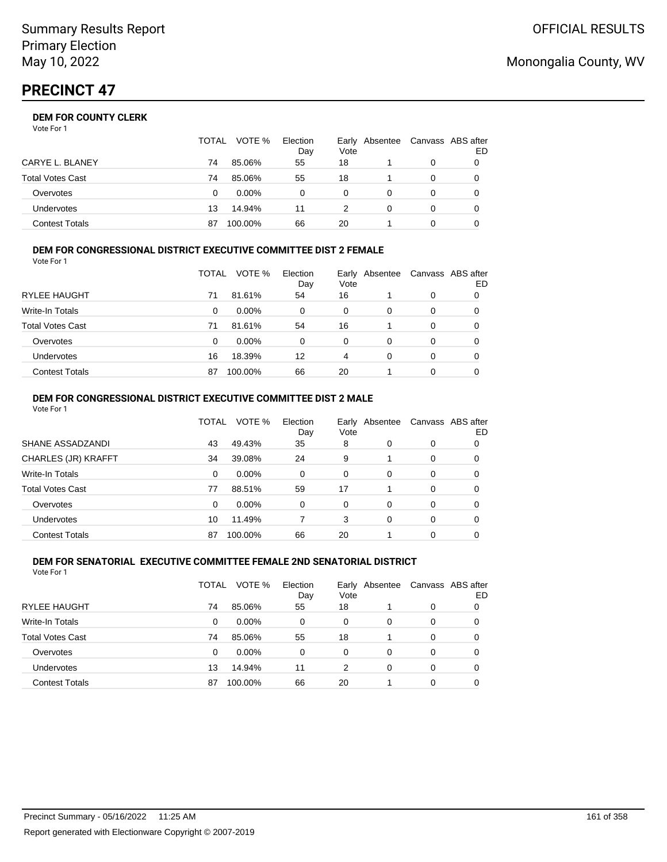|                  | <b>TOTAL</b> | VOTE %   | Election<br>Day | Vote | Early Absentee |   | Canvass ABS after<br>ED |
|------------------|--------------|----------|-----------------|------|----------------|---|-------------------------|
| CARYE L. BLANEY  | 74           | 85.06%   | 55              | 18   |                | 0 |                         |
| Total Votes Cast | 74           | 85.06%   | 55              | 18   |                |   |                         |
| Overvotes        | 0            | $0.00\%$ |                 | 0    |                |   |                         |
| Undervotes       | 13           | 14.94%   | 11              |      |                | 0 |                         |
| Contest Totals   | 87           | 100.00%  | 66              | 20   |                |   |                         |

#### **DEM FOR CONGRESSIONAL DISTRICT EXECUTIVE COMMITTEE DIST 2 FEMALE** Vote For 1

|                         | TOTAL | VOTE %   | Election<br>Day | Early<br>Vote | Absentee | Canvass ABS after | ED |
|-------------------------|-------|----------|-----------------|---------------|----------|-------------------|----|
| RYLEE HAUGHT            | 71    | 81.61%   | 54              | 16            |          | 0                 | 0  |
| <b>Write-In Totals</b>  | 0     | $0.00\%$ | 0               | 0             | 0        | 0                 | 0  |
| <b>Total Votes Cast</b> | 71    | 81.61%   | 54              | 16            |          | 0                 | 0  |
| Overvotes               | 0     | $0.00\%$ | 0               | 0             | 0        | 0                 | O  |
| Undervotes              | 16    | 18.39%   | 12              | 4             | 0        | 0                 | 0  |
| <b>Contest Totals</b>   | 87    | 100.00%  | 66              | 20            |          | 0                 |    |

#### **DEM FOR CONGRESSIONAL DISTRICT EXECUTIVE COMMITTEE DIST 2 MALE** Vote For 1

|                         | TOTAL    | VOTE %   | Election<br>Day | Early<br>Vote | Absentee |          | Canvass ABS after<br>ED |
|-------------------------|----------|----------|-----------------|---------------|----------|----------|-------------------------|
| SHANE ASSADZANDI        | 43       | 49.43%   | 35              | 8             | 0        | 0        | 0                       |
| CHARLES (JR) KRAFFT     | 34       | 39.08%   | 24              | 9             |          | $\Omega$ | 0                       |
| <b>Write-In Totals</b>  | $\Omega$ | $0.00\%$ | $\Omega$        | $\Omega$      | 0        | 0        | 0                       |
| <b>Total Votes Cast</b> | 77       | 88.51%   | 59              | 17            |          | $\Omega$ | 0                       |
| Overvotes               | $\Omega$ | $0.00\%$ | $\Omega$        | $\Omega$      | 0        | $\Omega$ | 0                       |
| Undervotes              | 10       | 11.49%   |                 | 3             | 0        | 0        | 0                       |
| <b>Contest Totals</b>   | 87       | 100.00%  | 66              | 20            |          | 0        | 0                       |

#### **DEM FOR SENATORIAL EXECUTIVE COMMITTEE FEMALE 2ND SENATORIAL DISTRICT** Vote For 1

|                         | TOTAL | VOTE %   | Election<br>Day | Vote | Early Absentee |   | Canvass ABS after<br>ED |
|-------------------------|-------|----------|-----------------|------|----------------|---|-------------------------|
| <b>RYLEE HAUGHT</b>     | 74    | 85.06%   | 55              | 18   |                | 0 | 0                       |
| Write-In Totals         | 0     | $0.00\%$ | 0               | 0    | 0              | 0 | 0                       |
| <b>Total Votes Cast</b> | 74    | 85.06%   | 55              | 18   |                | 0 | 0                       |
| Overvotes               | 0     | $0.00\%$ | 0               | 0    | $\Omega$       | 0 | 0                       |
| Undervotes              | 13    | 14.94%   | 11              | 2    | 0              | 0 | 0                       |
| <b>Contest Totals</b>   | 87    | 100.00%  | 66              | 20   |                | 0 |                         |

## Monongalia County, WV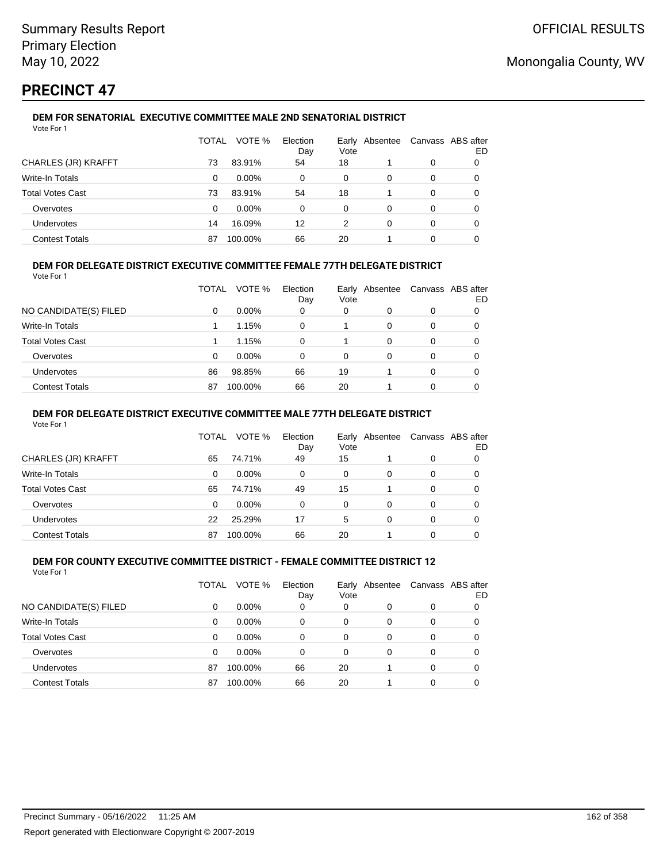# **PRECINCT 47**

#### **DEM FOR SENATORIAL EXECUTIVE COMMITTEE MALE 2ND SENATORIAL DISTRICT** Vote For 1

|                         | TOTAL | VOTE %   | Election<br>Day | Vote | Early Absentee |   | Canvass ABS after<br>ED |
|-------------------------|-------|----------|-----------------|------|----------------|---|-------------------------|
| CHARLES (JR) KRAFFT     | 73    | 83.91%   | 54              | 18   |                | 0 |                         |
| Write-In Totals         | 0     | $0.00\%$ | 0               | 0    | 0              | 0 |                         |
| <b>Total Votes Cast</b> | 73    | 83.91%   | 54              | 18   |                | 0 |                         |
| Overvotes               | 0     | $0.00\%$ | 0               | 0    | 0              | 0 | 0                       |
| Undervotes              | 14    | 16.09%   | 12              | 2    | 0              | 0 | 0                       |
| <b>Contest Totals</b>   | 87    | 100.00%  | 66              | 20   |                | 0 |                         |

## **DEM FOR DELEGATE DISTRICT EXECUTIVE COMMITTEE FEMALE 77TH DELEGATE DISTRICT**

Vote For 1

|                       | TOTAL | VOTE %   | Election<br>Day | Vote | Early Absentee | Canvass ABS after | ED |
|-----------------------|-------|----------|-----------------|------|----------------|-------------------|----|
| NO CANDIDATE(S) FILED | 0     | $0.00\%$ | 0               | 0    | O              | 0                 |    |
| Write-In Totals       |       | 1.15%    | 0               |      | 0              | 0                 |    |
| Total Votes Cast      |       | 1.15%    | 0               |      | 0              | 0                 |    |
| Overvotes             | 0     | 0.00%    | 0               | 0    | 0              | 0                 |    |
| <b>Undervotes</b>     | 86    | 98.85%   | 66              | 19   |                | 0                 |    |
| <b>Contest Totals</b> | 87    | 100.00%  | 66              | 20   |                | 0                 |    |

### **DEM FOR DELEGATE DISTRICT EXECUTIVE COMMITTEE MALE 77TH DELEGATE DISTRICT**

Vote For 1

|                       | TOTAL    | VOTE %   | Election<br>Day | Vote | Early Absentee |   | Canvass ABS after<br>ED |
|-----------------------|----------|----------|-----------------|------|----------------|---|-------------------------|
| CHARLES (JR) KRAFFT   | 65       | 74.71%   | 49              | 15   |                | 0 |                         |
| Write-In Totals       | $\Omega$ | $0.00\%$ | $\Omega$        | 0    | 0              | 0 | 0                       |
| Total Votes Cast      | 65       | 74.71%   | 49              | 15   |                | 0 | 0                       |
| Overvotes             | 0        | $0.00\%$ | 0               | 0    | 0              | 0 |                         |
| <b>Undervotes</b>     | 22       | 25.29%   | 17              | 5    | 0              | 0 |                         |
| <b>Contest Totals</b> | 87       | 100.00%  | 66              | 20   |                | o |                         |

#### **DEM FOR COUNTY EXECUTIVE COMMITTEE DISTRICT - FEMALE COMMITTEE DISTRICT 12** Vote For 1

|                         | TOTAL    | VOTE %   | Election<br>Day | Vote     | Early Absentee |          | Canvass ABS after<br>ED |
|-------------------------|----------|----------|-----------------|----------|----------------|----------|-------------------------|
| NO CANDIDATE(S) FILED   | 0        | $0.00\%$ | 0               | 0        | 0              | 0        |                         |
| Write-In Totals         | 0        | $0.00\%$ | 0               | 0        | 0              | 0        | 0                       |
| <b>Total Votes Cast</b> | $\Omega$ | $0.00\%$ | $\Omega$        | 0        | 0              | 0        | 0                       |
| Overvotes               | $\Omega$ | $0.00\%$ | $\Omega$        | $\Omega$ | 0              | 0        | 0                       |
| Undervotes              | 87       | 100.00%  | 66              | 20       |                | $\Omega$ | 0                       |
| <b>Contest Totals</b>   | 87       | 100.00%  | 66              | 20       |                | 0        |                         |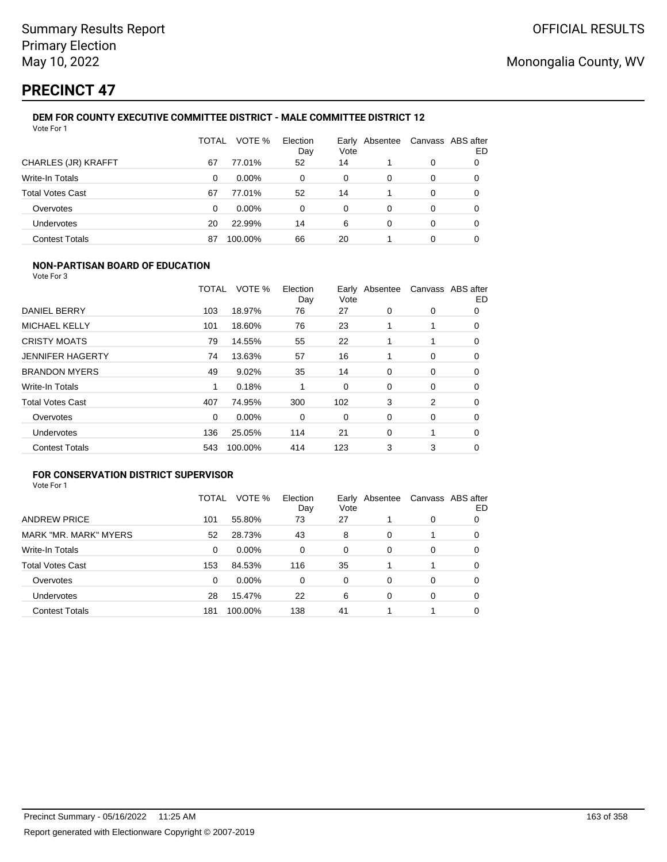# **PRECINCT 47**

#### **DEM FOR COUNTY EXECUTIVE COMMITTEE DISTRICT - MALE COMMITTEE DISTRICT 12** Vote For 1

|                         | TOTAL | VOTE %   | Election<br>Day | Vote | Early Absentee | Canvass ABS after | ED |
|-------------------------|-------|----------|-----------------|------|----------------|-------------------|----|
| CHARLES (JR) KRAFFT     | 67    | 77.01%   | 52              | 14   |                | 0                 | O  |
| Write-In Totals         | 0     | $0.00\%$ | 0               | 0    | 0              | 0                 | 0  |
| <b>Total Votes Cast</b> | 67    | 77.01%   | 52              | 14   |                | 0                 | 0  |
| Overvotes               | 0     | $0.00\%$ | 0               | 0    | 0              | 0                 | 0  |
| <b>Undervotes</b>       | 20    | 22.99%   | 14              | 6    | 0              | 0                 | 0  |
| <b>Contest Totals</b>   | 87    | 100.00%  | 66              | 20   |                | 0                 |    |

### **NON-PARTISAN BOARD OF EDUCATION**

Vote For 3

|                         | TOTAL | VOTE %  | Election<br>Day | Vote | Early Absentee |             | Canvass ABS after<br>ED |
|-------------------------|-------|---------|-----------------|------|----------------|-------------|-------------------------|
| DANIEL BERRY            | 103   | 18.97%  | 76              | 27   | 0              | 0           | 0                       |
| <b>MICHAEL KELLY</b>    | 101   | 18.60%  | 76              | 23   |                |             | 0                       |
| <b>CRISTY MOATS</b>     | 79    | 14.55%  | 55              | 22   |                | 1           | 0                       |
| <b>JENNIFER HAGERTY</b> | 74    | 13.63%  | 57              | 16   |                | 0           | 0                       |
| <b>BRANDON MYERS</b>    | 49    | 9.02%   | 35              | 14   | 0              | $\mathbf 0$ | 0                       |
| Write-In Totals         | 1     | 0.18%   |                 | 0    | 0              | 0           | 0                       |
| <b>Total Votes Cast</b> | 407   | 74.95%  | 300             | 102  | 3              | 2           | 0                       |
| Overvotes               | 0     | 0.00%   | 0               | 0    | 0              | 0           | $\Omega$                |
| Undervotes              | 136   | 25.05%  | 114             | 21   | $\Omega$       | 1           | 0                       |
| <b>Contest Totals</b>   | 543   | 100.00% | 414             | 123  | 3              | 3           | 0                       |

## **FOR CONSERVATION DISTRICT SUPERVISOR**

|                         | TOTAL | VOTE %   | Election<br>Day | Early<br>Vote | Absentee |   | Canvass ABS after<br>ED |
|-------------------------|-------|----------|-----------------|---------------|----------|---|-------------------------|
| <b>ANDREW PRICE</b>     | 101   | 55.80%   | 73              | 27            |          | 0 | 0                       |
| MARK "MR. MARK" MYERS   | 52    | 28.73%   | 43              | 8             | 0        |   | 0                       |
| Write-In Totals         | 0     | $0.00\%$ | 0               | 0             | 0        | 0 | 0                       |
| <b>Total Votes Cast</b> | 153   | 84.53%   | 116             | 35            |          | 1 | 0                       |
| Overvotes               | 0     | 0.00%    | 0               | 0             | $\Omega$ | 0 | 0                       |
| <b>Undervotes</b>       | 28    | 15.47%   | 22              | 6             | 0        | 0 | 0                       |
| <b>Contest Totals</b>   | 181   | 100.00%  | 138             | 41            |          |   | 0                       |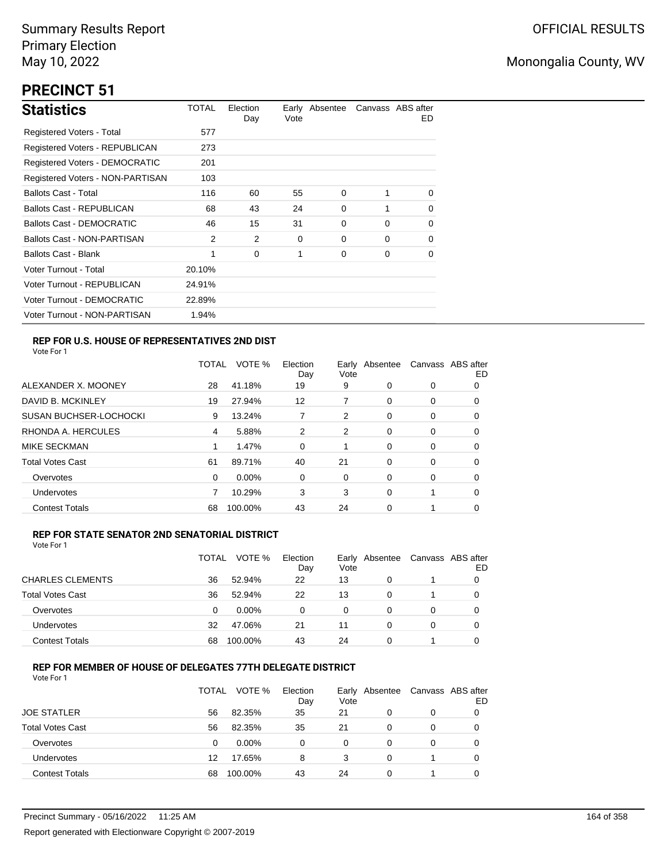# **PRECINCT 51**

| <b>Statistics</b>                     | TOTAL  | Election<br>Day | Vote | Early Absentee |          | Canvass ABS after<br>ED. |
|---------------------------------------|--------|-----------------|------|----------------|----------|--------------------------|
| Registered Voters - Total             | 577    |                 |      |                |          |                          |
| <b>Registered Voters - REPUBLICAN</b> | 273    |                 |      |                |          |                          |
| <b>Registered Voters - DEMOCRATIC</b> | 201    |                 |      |                |          |                          |
| Registered Voters - NON-PARTISAN      | 103    |                 |      |                |          |                          |
| <b>Ballots Cast - Total</b>           | 116    | 60              | 55   | 0              | 1        | $\Omega$                 |
| Ballots Cast - REPUBLICAN             | 68     | 43              | 24   | 0              | 1        | $\Omega$                 |
| Ballots Cast - DEMOCRATIC             | 46     | 15              | 31   | 0              | $\Omega$ | 0                        |
| Ballots Cast - NON-PARTISAN           | 2      | 2               | 0    | 0              | $\Omega$ | $\Omega$                 |
| <b>Ballots Cast - Blank</b>           | 1      | 0               | 1    | 0              | 0        | 0                        |
| Voter Turnout - Total                 | 20.10% |                 |      |                |          |                          |
| Voter Turnout - REPUBLICAN            | 24.91% |                 |      |                |          |                          |
| Voter Turnout - DEMOCRATIC            | 22.89% |                 |      |                |          |                          |
| Voter Turnout - NON-PARTISAN          | 1.94%  |                 |      |                |          |                          |

## **REP FOR U.S. HOUSE OF REPRESENTATIVES 2ND DIST**

Vote For 1

|                               | TOTAL | VOTE %   | Election<br>Day | Early<br>Vote | Absentee |          | Canvass ABS after<br>ED |
|-------------------------------|-------|----------|-----------------|---------------|----------|----------|-------------------------|
| ALEXANDER X. MOONEY           | 28    | 41.18%   | 19              | 9             | $\Omega$ | 0        | O                       |
| DAVID B. MCKINLEY             | 19    | 27.94%   | 12              | 7             | $\Omega$ | 0        | O                       |
| <b>SUSAN BUCHSER-LOCHOCKI</b> | 9     | 13.24%   |                 | 2             | 0        | 0        | 0                       |
| RHONDA A. HERCULES            | 4     | 5.88%    | 2               | 2             | $\Omega$ | 0        | 0                       |
| MIKE SECKMAN                  |       | 1.47%    | 0               |               | $\Omega$ | $\Omega$ | 0                       |
| <b>Total Votes Cast</b>       | 61    | 89.71%   | 40              | 21            | $\Omega$ | 0        | 0                       |
| Overvotes                     | 0     | $0.00\%$ | 0               | 0             | $\Omega$ | 0        | 0                       |
| <b>Undervotes</b>             |       | 10.29%   | 3               | 3             | $\Omega$ |          | 0                       |
| <b>Contest Totals</b>         | 68    | 100.00%  | 43              | 24            | 0        | 1        | 0                       |

### **REP FOR STATE SENATOR 2ND SENATORIAL DISTRICT**

Vote For 1

|                         | TOTAL | VOTE %   | Election<br>Day | Early<br>Vote | Absentee | Canvass ABS after | ED |
|-------------------------|-------|----------|-----------------|---------------|----------|-------------------|----|
| <b>CHARLES CLEMENTS</b> | 36    | 52.94%   | 22              | 13            | 0        |                   |    |
| <b>Total Votes Cast</b> | 36    | 52.94%   | 22              | 13            | 0        |                   |    |
| Overvotes               | 0     | $0.00\%$ | $\Omega$        | 0             | 0        | 0                 |    |
| Undervotes              | 32    | 47.06%   | 21              | 11            | 0        | 0                 |    |
| <b>Contest Totals</b>   | 68    | 100.00%  | 43              | 24            | 0        |                   |    |

## **REP FOR MEMBER OF HOUSE OF DELEGATES 77TH DELEGATE DISTRICT**

Vote For 1

|                         | TOTAL | VOTE %   | Election<br>Day | Vote | Early Absentee | Canvass ABS after | ED |
|-------------------------|-------|----------|-----------------|------|----------------|-------------------|----|
| <b>JOE STATLER</b>      | 56    | 82.35%   | 35              | 21   | 0              | 0                 |    |
| <b>Total Votes Cast</b> | 56    | 82.35%   | 35              | 21   | 0              | 0                 |    |
| Overvotes               | 0     | $0.00\%$ | 0               | 0    | $\Omega$       | 0                 |    |
| Undervotes              | 12    | 17.65%   | 8               | 3    | 0              |                   |    |
| <b>Contest Totals</b>   | 68    | 100.00%  | 43              | 24   | 0              |                   |    |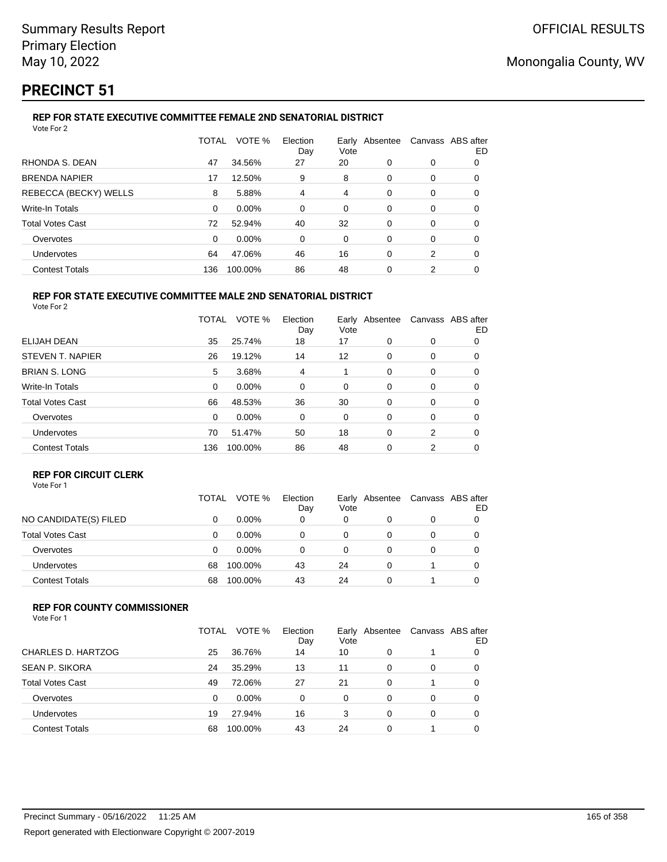# **PRECINCT 51**

#### **REP FOR STATE EXECUTIVE COMMITTEE FEMALE 2ND SENATORIAL DISTRICT** Vote For 2

|                         | TOTAL | VOTE %  | Election<br>Day | Vote | Early Absentee | Canvass ABS after | ED |
|-------------------------|-------|---------|-----------------|------|----------------|-------------------|----|
| RHONDA S. DEAN          | 47    | 34.56%  | 27              | 20   | 0              | 0                 | 0  |
| <b>BRENDA NAPIER</b>    | 17    | 12.50%  | 9               | 8    | $\Omega$       | 0                 | 0  |
| REBECCA (BECKY) WELLS   | 8     | 5.88%   | 4               | 4    | $\Omega$       | 0                 | 0  |
| Write-In Totals         | 0     | 0.00%   | 0               | 0    | 0              | 0                 | 0  |
| <b>Total Votes Cast</b> | 72    | 52.94%  | 40              | 32   | 0              | 0                 | 0  |
| Overvotes               | 0     | 0.00%   | 0               | 0    | 0              | 0                 | 0  |
| Undervotes              | 64    | 47.06%  | 46              | 16   | $\Omega$       | 2                 | 0  |
| <b>Contest Totals</b>   | 136   | 100.00% | 86              | 48   | 0              | 2                 |    |

#### **REP FOR STATE EXECUTIVE COMMITTEE MALE 2ND SENATORIAL DISTRICT** Vote For 2

|                         | TOTAL | VOTE %   | Election<br>Day | Earlv<br>Vote | Absentee |   | Canvass ABS after<br>ED |
|-------------------------|-------|----------|-----------------|---------------|----------|---|-------------------------|
| ELIJAH DEAN             | 35    | 25.74%   | 18              | 17            | $\Omega$ | 0 | 0                       |
| STEVEN T. NAPIER        | 26    | 19.12%   | 14              | 12            | 0        | 0 | 0                       |
| <b>BRIAN S. LONG</b>    | 5     | 3.68%    | 4               |               | $\Omega$ | 0 | 0                       |
| <b>Write-In Totals</b>  | 0     | $0.00\%$ | 0               | 0             | 0        | 0 | 0                       |
| <b>Total Votes Cast</b> | 66    | 48.53%   | 36              | 30            | $\Omega$ | 0 | 0                       |
| Overvotes               | 0     | $0.00\%$ | 0               | 0             | $\Omega$ | 0 | 0                       |
| <b>Undervotes</b>       | 70    | 51.47%   | 50              | 18            | 0        | 2 | 0                       |
| <b>Contest Totals</b>   | 136   | 100.00%  | 86              | 48            | $\Omega$ | 2 | 0                       |

## **REP FOR CIRCUIT CLERK**

|                         | TOTAL | VOTE %   | Election<br>Day | Vote | Early Absentee | Canvass ABS after | ED |
|-------------------------|-------|----------|-----------------|------|----------------|-------------------|----|
| NO CANDIDATE(S) FILED   | 0     | $0.00\%$ | 0               | 0    |                | 0                 |    |
| <b>Total Votes Cast</b> | 0     | $0.00\%$ | 0               | 0    |                | 0                 |    |
| Overvotes               | 0     | $0.00\%$ | 0               |      |                | 0                 |    |
| <b>Undervotes</b>       | 68    | 100.00%  | 43              | 24   | 0              |                   |    |
| <b>Contest Totals</b>   | 68    | 100.00%  | 43              | 24   |                |                   |    |

### **REP FOR COUNTY COMMISSIONER**

Vote For 1

|                         | TOTAL | VOTE %   | Election<br>Day | Early<br>Vote | Absentee | Canvass ABS after | ED |
|-------------------------|-------|----------|-----------------|---------------|----------|-------------------|----|
| CHARLES D. HARTZOG      | 25    | 36.76%   | 14              | 10            | 0        |                   | O  |
| <b>SEAN P. SIKORA</b>   | 24    | 35.29%   | 13              | 11            | 0        | 0                 |    |
| <b>Total Votes Cast</b> | 49    | 72.06%   | 27              | 21            | 0        |                   | 0  |
| Overvotes               | 0     | $0.00\%$ | 0               | 0             | 0        | 0                 |    |
| Undervotes              | 19    | 27.94%   | 16              | 3             | 0        | 0                 |    |
| <b>Contest Totals</b>   | 68    | 100.00%  | 43              | 24            |          |                   |    |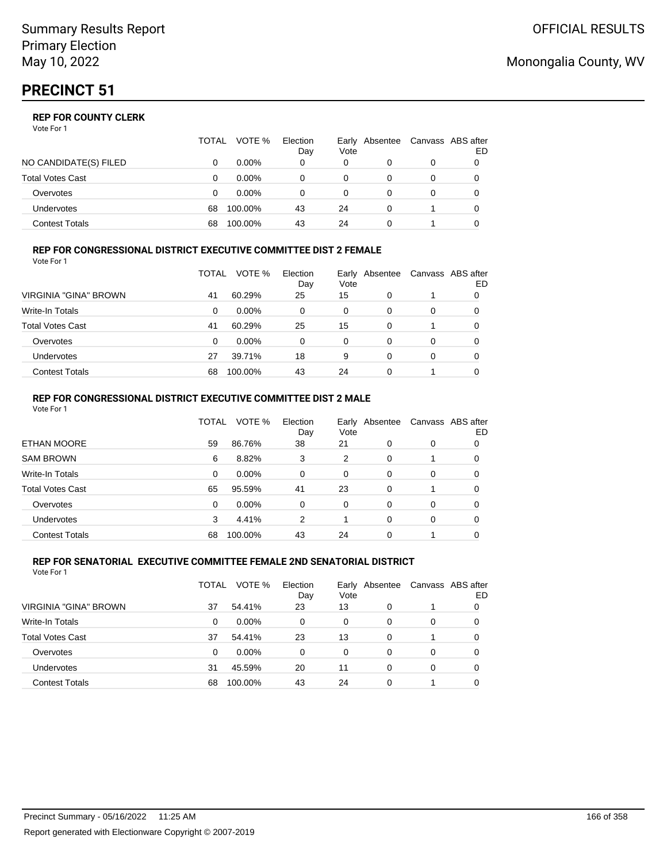### **REP FOR COUNTY CLERK**

Vote For 1

|                         | TOTAL | VOTE %   | Election<br>Day | Early<br>Vote | Absentee | Canvass ABS after | ED |
|-------------------------|-------|----------|-----------------|---------------|----------|-------------------|----|
| NO CANDIDATE(S) FILED   |       | $0.00\%$ | 0               | 0             |          | 0                 |    |
| <b>Total Votes Cast</b> |       | $0.00\%$ | 0               | 0             |          | 0                 |    |
| Overvotes               |       | $0.00\%$ |                 |               |          | 0                 |    |
| <b>Undervotes</b>       | 68    | 100.00%  | 43              | 24            |          |                   |    |
| <b>Contest Totals</b>   | 68    | 100.00%  | 43              | 24            |          |                   |    |

#### **REP FOR CONGRESSIONAL DISTRICT EXECUTIVE COMMITTEE DIST 2 FEMALE** Vote For 1

|                         | TOTAL | VOTE %   | Election<br>Day | Early<br>Vote | Absentee | Canvass ABS after | ED |
|-------------------------|-------|----------|-----------------|---------------|----------|-------------------|----|
| VIRGINIA "GINA" BROWN   | 41    | 60.29%   | 25              | 15            | 0        |                   | 0  |
| Write-In Totals         | 0     | $0.00\%$ | 0               | 0             | 0        | 0                 | O  |
| <b>Total Votes Cast</b> | 41    | 60.29%   | 25              | 15            | 0        |                   | 0  |
| Overvotes               | 0     | $0.00\%$ | 0               | $\Omega$      | 0        | 0                 |    |
| <b>Undervotes</b>       | 27    | 39.71%   | 18              | 9             | 0        | 0                 |    |
| <b>Contest Totals</b>   | 68    | 100.00%  | 43              | 24            | 0        |                   |    |

### **REP FOR CONGRESSIONAL DISTRICT EXECUTIVE COMMITTEE DIST 2 MALE**

| Vote For 1              |              |         |                 |               |          |          |                          |
|-------------------------|--------------|---------|-----------------|---------------|----------|----------|--------------------------|
|                         | <b>TOTAL</b> | VOTE %  | Election<br>Day | Early<br>Vote | Absentee |          | Canvass ABS after<br>ED. |
| <b>ETHAN MOORE</b>      | 59           | 86.76%  | 38              | 21            | $\Omega$ | 0        | 0                        |
| <b>SAM BROWN</b>        | 6            | 8.82%   | 3               | 2             | $\Omega$ |          | 0                        |
| Write-In Totals         | 0            | 0.00%   | 0               | 0             | 0        | 0        | 0                        |
| <b>Total Votes Cast</b> | 65           | 95.59%  | 41              | 23            | $\Omega$ |          | 0                        |
| Overvotes               | 0            | 0.00%   | $\Omega$        | $\Omega$      | $\Omega$ | 0        | 0                        |
| Undervotes              | 3            | 4.41%   | 2               |               | $\Omega$ | $\Omega$ | 0                        |
| <b>Contest Totals</b>   | 68           | 100.00% | 43              | 24            | 0        |          | 0                        |

#### **REP FOR SENATORIAL EXECUTIVE COMMITTEE FEMALE 2ND SENATORIAL DISTRICT** Vote For 1

|                         | TOTAL | VOTE %   | Election<br>Day | Vote | Early Absentee |   | Canvass ABS after<br>ED |
|-------------------------|-------|----------|-----------------|------|----------------|---|-------------------------|
| VIRGINIA "GINA" BROWN   | 37    | 54.41%   | 23              | 13   | 0              |   | 0                       |
| <b>Write-In Totals</b>  | 0     | $0.00\%$ | 0               | 0    | 0              | 0 |                         |
| <b>Total Votes Cast</b> | 37    | 54.41%   | 23              | 13   | 0              |   | 0                       |
| Overvotes               | 0     | $0.00\%$ | 0               | 0    | $\Omega$       | 0 | 0                       |
| Undervotes              | 31    | 45.59%   | 20              | 11   | $\Omega$       | 0 | 0                       |
| <b>Contest Totals</b>   | 68    | 100.00%  | 43              | 24   | 0              |   |                         |

## Monongalia County, WV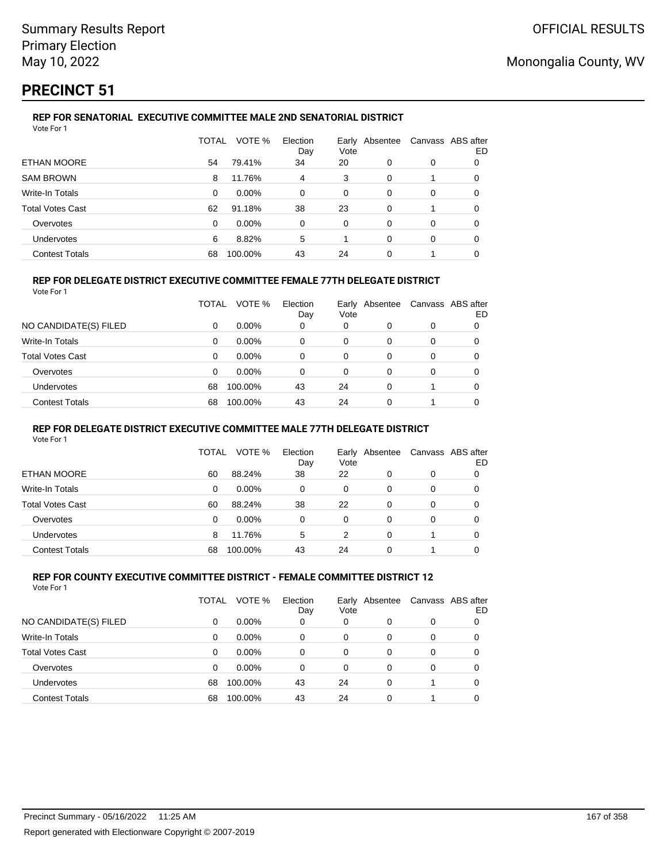# **PRECINCT 51**

#### **REP FOR SENATORIAL EXECUTIVE COMMITTEE MALE 2ND SENATORIAL DISTRICT** Vote For 1

|                         | TOTAL    | VOTE %   | Election<br>Day | Vote | Early Absentee | Canvass ABS after | ED |
|-------------------------|----------|----------|-----------------|------|----------------|-------------------|----|
| ETHAN MOORE             | 54       | 79.41%   | 34              | 20   | 0              | 0                 | 0  |
| <b>SAM BROWN</b>        | 8        | 11.76%   | 4               | 3    | 0              |                   | 0  |
| Write-In Totals         | 0        | $0.00\%$ | $\Omega$        | 0    | 0              | 0                 | 0  |
| <b>Total Votes Cast</b> | 62       | 91.18%   | 38              | 23   | 0              |                   | 0  |
| Overvotes               | $\Omega$ | $0.00\%$ | 0               | 0    | $\Omega$       | 0                 | 0  |
| <b>Undervotes</b>       | 6        | 8.82%    | 5               |      | 0              | 0                 | 0  |
| <b>Contest Totals</b>   | 68       | 100.00%  | 43              | 24   | 0              |                   |    |

### **REP FOR DELEGATE DISTRICT EXECUTIVE COMMITTEE FEMALE 77TH DELEGATE DISTRICT**

Vote For 1

|                         | TOTAL    | VOTE %   | Election<br>Day | Vote | Early Absentee |          | Canvass ABS after<br>ED |
|-------------------------|----------|----------|-----------------|------|----------------|----------|-------------------------|
| NO CANDIDATE(S) FILED   | 0        | $0.00\%$ | 0               | 0    | 0              | 0        |                         |
| <b>Write-In Totals</b>  | 0        | $0.00\%$ | 0               | 0    | 0              |          |                         |
| <b>Total Votes Cast</b> | $\Omega$ | $0.00\%$ | $\Omega$        | 0    | $\Omega$       | $\Omega$ | 0                       |
| Overvotes               | $\Omega$ | $0.00\%$ | 0               | 0    | 0              | 0        | 0                       |
| <b>Undervotes</b>       | 68       | 100.00%  | 43              | 24   | 0              |          | 0                       |
| <b>Contest Totals</b>   | 68       | 100.00%  | 43              | 24   | 0              |          |                         |

### **REP FOR DELEGATE DISTRICT EXECUTIVE COMMITTEE MALE 77TH DELEGATE DISTRICT**

Vote For 1

|                       | TOTAL | VOTE %   | Election<br>Day | Vote | Early Absentee | Canvass ABS after | ED |
|-----------------------|-------|----------|-----------------|------|----------------|-------------------|----|
| ETHAN MOORE           | 60    | 88.24%   | 38              | 22   | 0              | 0                 |    |
| Write-In Totals       | 0     | $0.00\%$ | 0               | 0    | 0              | 0                 | O  |
| Total Votes Cast      | 60    | 88.24%   | 38              | 22   | 0              | 0                 |    |
| Overvotes             | 0     | $0.00\%$ | 0               | 0    | 0              | 0                 |    |
| <b>Undervotes</b>     | 8     | 11.76%   | 5               | 2    | 0              |                   |    |
| <b>Contest Totals</b> | 68    | 100.00%  | 43              | 24   | 0              |                   |    |

#### **REP FOR COUNTY EXECUTIVE COMMITTEE DISTRICT - FEMALE COMMITTEE DISTRICT 12** Vote For 1

|                         | TOTAL | VOTE %   | Election<br>Day | Vote | Early Absentee | Canvass ABS after | ED |
|-------------------------|-------|----------|-----------------|------|----------------|-------------------|----|
| NO CANDIDATE(S) FILED   | 0     | $0.00\%$ | 0               | 0    | 0              | 0                 |    |
| Write-In Totals         | 0     | 0.00%    | 0               | 0    | 0              | 0                 | 0  |
| <b>Total Votes Cast</b> | 0     | $0.00\%$ | 0               | 0    | 0              | 0                 | 0  |
| Overvotes               | 0     | 0.00%    | 0               | 0    | 0              | 0                 | 0  |
| Undervotes              | 68    | 100.00%  | 43              | 24   | 0              |                   | 0  |
| <b>Contest Totals</b>   | 68    | 100.00%  | 43              | 24   | 0              |                   |    |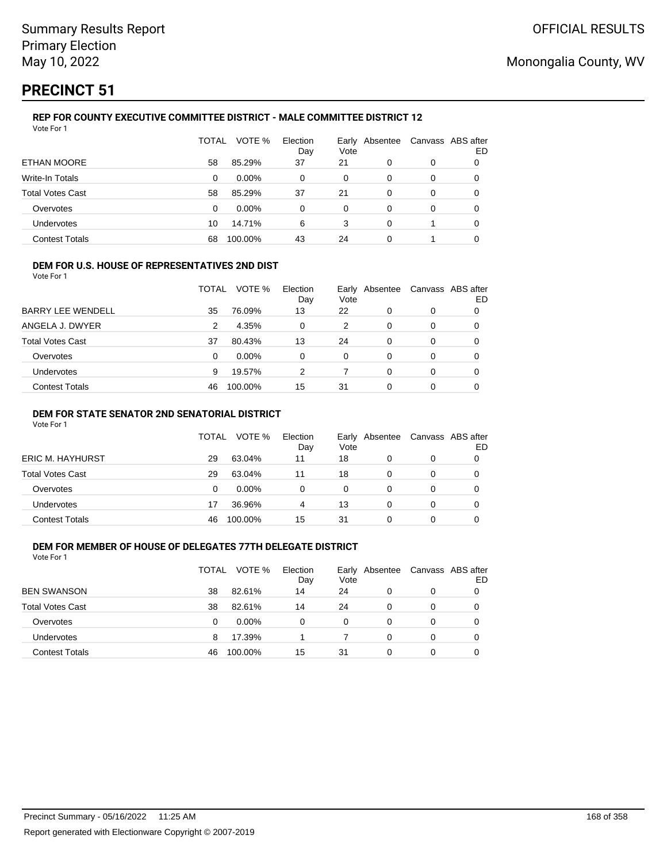# **PRECINCT 51**

#### **REP FOR COUNTY EXECUTIVE COMMITTEE DISTRICT - MALE COMMITTEE DISTRICT 12** Vote For 1

|                         | TOTAL | VOTE %   | Election<br>Day | Vote | Early Absentee | Canvass ABS after | ED |
|-------------------------|-------|----------|-----------------|------|----------------|-------------------|----|
| ETHAN MOORE             | 58    | 85.29%   | 37              | 21   | 0              | 0                 | O  |
| Write-In Totals         | 0     | $0.00\%$ | 0               | 0    | 0              | 0                 | 0  |
| <b>Total Votes Cast</b> | 58    | 85.29%   | 37              | 21   | 0              | 0                 | 0  |
| Overvotes               | 0     | $0.00\%$ | 0               | 0    | 0              | 0                 | 0  |
| Undervotes              | 10    | 14.71%   | 6               | 3    | 0              |                   | 0  |
| <b>Contest Totals</b>   | 68    | 100.00%  | 43              | 24   | 0              |                   |    |

### **DEM FOR U.S. HOUSE OF REPRESENTATIVES 2ND DIST**

Vote For 1

|                          | TOTAL | VOTE %   | Election<br>Day | Vote | Early Absentee | Canvass ABS after | ED |
|--------------------------|-------|----------|-----------------|------|----------------|-------------------|----|
| <b>BARRY LEE WENDELL</b> | 35    | 76.09%   | 13              | 22   | 0              | 0                 |    |
| ANGELA J. DWYER          | 2     | 4.35%    | 0               | 2    | 0              | 0                 |    |
| <b>Total Votes Cast</b>  | 37    | 80.43%   | 13              | 24   | 0              | 0                 |    |
| Overvotes                | 0     | $0.00\%$ | 0               | 0    | 0              | 0                 |    |
| <b>Undervotes</b>        | 9     | 19.57%   | 2               |      | 0              | 0                 |    |
| <b>Contest Totals</b>    | 46    | 100.00%  | 15              | 31   | ი              | 0                 |    |

### **DEM FOR STATE SENATOR 2ND SENATORIAL DISTRICT**

Vote For 1

|                  | TOTAL | VOTE %   | Election<br>Day | Vote | Early Absentee | Canvass ABS after | ED |
|------------------|-------|----------|-----------------|------|----------------|-------------------|----|
| ERIC M. HAYHURST | 29    | 63.04%   | 11              | 18   |                | 0                 |    |
| Total Votes Cast | 29    | 63.04%   | 11              | 18   |                | 0                 |    |
| Overvotes        | 0     | $0.00\%$ | 0               | 0    |                | 0                 |    |
| Undervotes       | 17    | 36.96%   | 4               | 13   |                | 0                 |    |
| Contest Totals   | 46    | 100.00%  | 15              | 31   |                | 0                 |    |

## **DEM FOR MEMBER OF HOUSE OF DELEGATES 77TH DELEGATE DISTRICT**

| Vote For 1              |       |          |                 |               |          |   |                         |
|-------------------------|-------|----------|-----------------|---------------|----------|---|-------------------------|
|                         | TOTAL | VOTE %   | Election<br>Day | Early<br>Vote | Absentee |   | Canvass ABS after<br>ED |
| <b>BEN SWANSON</b>      | 38    | 82.61%   | 14              | 24            | 0        | 0 |                         |
| <b>Total Votes Cast</b> | 38    | 82.61%   | 14              | 24            | 0        | 0 |                         |
| Overvotes               | 0     | $0.00\%$ | 0               | 0             | 0        | 0 | 0                       |
| Undervotes              | 8     | 17.39%   |                 |               | 0        | 0 |                         |
| <b>Contest Totals</b>   | 46    | 100.00%  | 15              | -31           | 0        | 0 |                         |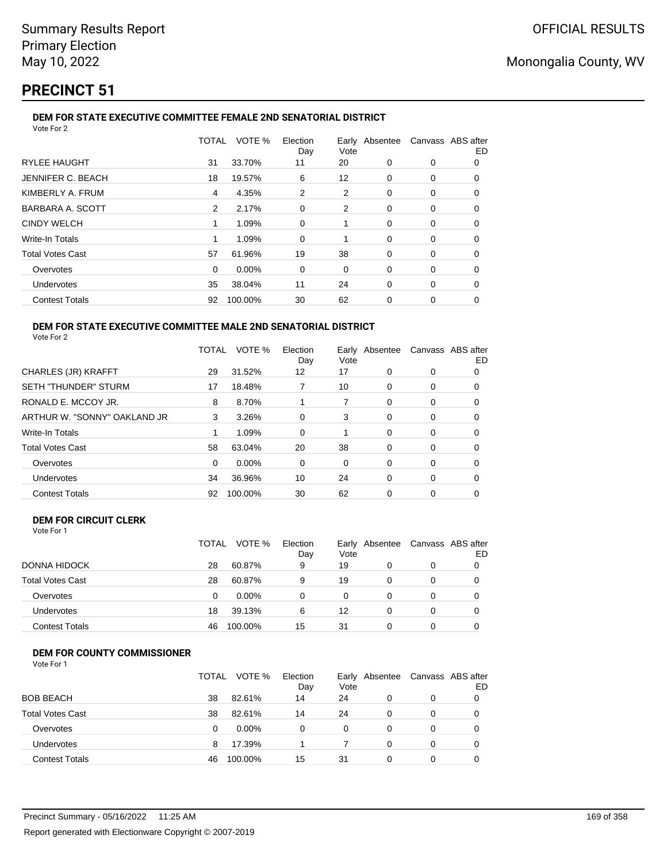# **PRECINCT 51**

#### **DEM FOR STATE EXECUTIVE COMMITTEE FEMALE 2ND SENATORIAL DISTRICT** Vote For 2

|                         | TOTAL | VOTE %  | Election<br>Day | Vote |          | Early Absentee Canvass ABS after | ED |
|-------------------------|-------|---------|-----------------|------|----------|----------------------------------|----|
| <b>RYLEE HAUGHT</b>     | 31    | 33.70%  | 11              | 20   | 0        | 0                                | 0  |
| JENNIFER C. BEACH       | 18    | 19.57%  | 6               | 12   | 0        | 0                                | 0  |
| KIMBERLY A. FRUM        | 4     | 4.35%   | 2               | 2    | 0        | 0                                | 0  |
| BARBARA A. SCOTT        | 2     | 2.17%   | 0               | 2    | 0        | 0                                | 0  |
| <b>CINDY WELCH</b>      |       | 1.09%   | 0               |      | 0        | 0                                | O  |
| Write-In Totals         |       | 1.09%   | $\Omega$        |      | $\Omega$ | $\Omega$                         | 0  |
| <b>Total Votes Cast</b> | 57    | 61.96%  | 19              | 38   | 0        | 0                                | O  |
| Overvotes               | 0     | 0.00%   | 0               | 0    | 0        | 0                                | 0  |
| <b>Undervotes</b>       | 35    | 38.04%  | 11              | 24   | 0        | 0                                | 0  |
| <b>Contest Totals</b>   | 92    | 100.00% | 30              | 62   | $\Omega$ | 0                                | 0  |
|                         |       |         |                 |      |          |                                  |    |

#### **DEM FOR STATE EXECUTIVE COMMITTEE MALE 2ND SENATORIAL DISTRICT** Vote For 2

|                              | TOTAL | VOTE %   | Election<br>Day | Early Absentee<br>Vote |          | Canvass ABS after | ED |
|------------------------------|-------|----------|-----------------|------------------------|----------|-------------------|----|
| CHARLES (JR) KRAFFT          | 29    | 31.52%   | 12              | 17                     | $\Omega$ | 0                 | 0  |
| <b>SETH "THUNDER" STURM</b>  | 17    | 18.48%   |                 | 10                     | 0        | 0                 | 0  |
| RONALD E. MCCOY JR.          | 8     | 8.70%    |                 | 7                      | 0        | 0                 | 0  |
| ARTHUR W. "SONNY" OAKLAND JR | 3     | 3.26%    | 0               | 3                      | 0        | 0                 | 0  |
| <b>Write-In Totals</b>       |       | 1.09%    | $\Omega$        | 1                      | $\Omega$ | $\Omega$          | O  |
| <b>Total Votes Cast</b>      | 58    | 63.04%   | 20              | 38                     | $\Omega$ | 0                 | 0  |
| Overvotes                    | 0     | $0.00\%$ | 0               | 0                      | $\Omega$ | 0                 | 0  |
| Undervotes                   | 34    | 36.96%   | 10              | 24                     | $\Omega$ | 0                 | 0  |
| <b>Contest Totals</b>        | 92    | 100.00%  | 30              | 62                     | 0        | 0                 | 0  |

#### **DEM FOR CIRCUIT CLERK** Vote For 1

|                         | <b>TOTAL</b> | VOTE %  | Election<br>Day | Vote     | Early Absentee | Canvass ABS after<br>ED |
|-------------------------|--------------|---------|-----------------|----------|----------------|-------------------------|
| DONNA HIDOCK            | 28           | 60.87%  | 9               | 19       |                |                         |
| <b>Total Votes Cast</b> | 28           | 60.87%  | 9               | 19       | $\Omega$       |                         |
| Overvotes               | 0            | 0.00%   |                 | $\Omega$ |                |                         |
| <b>Undervotes</b>       | 18           | 39.13%  | 6               | 12       |                | 0                       |
| <b>Contest Totals</b>   | 46           | 100.00% | 15              | 31       |                |                         |

## **DEM FOR COUNTY COMMISSIONER**

| Vote For 1 |  |
|------------|--|
|------------|--|

|                         | TOTAL | VOTE %   | Election<br>Day | Early<br>Vote | Absentee | Canvass ABS after | ED |
|-------------------------|-------|----------|-----------------|---------------|----------|-------------------|----|
| <b>BOB BEACH</b>        | 38    | 82.61%   | 14              | 24            | 0        | 0                 |    |
| <b>Total Votes Cast</b> | 38    | 82.61%   | 14              | 24            | $\Omega$ | $\Omega$          |    |
| Overvotes               | 0     | $0.00\%$ | 0               | 0             | 0        | 0                 |    |
| <b>Undervotes</b>       | 8     | 17.39%   |                 |               | 0        | $\Omega$          |    |
| <b>Contest Totals</b>   | 46    | 100.00%  | 15              | 31            | 0        | 0                 |    |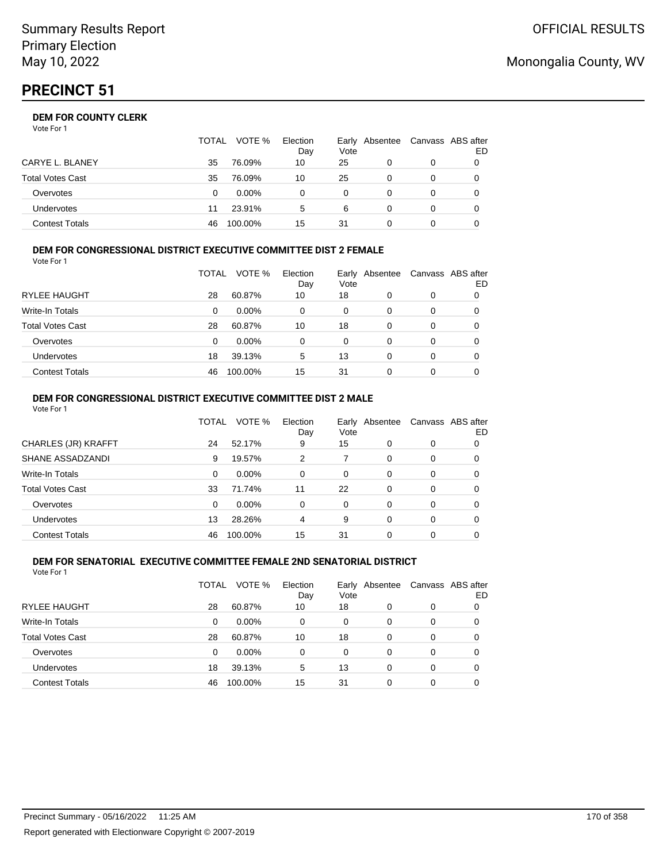### **DEM FOR COUNTY CLERK**

Vote For 1

|                       | TOTAL | VOTE %   | Election<br>Day | Vote | Early Absentee | Canvass ABS after | ED |
|-----------------------|-------|----------|-----------------|------|----------------|-------------------|----|
| CARYE L. BLANEY       | 35    | 76.09%   | 10              | 25   |                |                   |    |
| Total Votes Cast      | 35    | 76.09%   | 10              | 25   |                |                   |    |
| Overvotes             |       | $0.00\%$ |                 | 0    |                |                   |    |
| Undervotes            | 11    | 23.91%   | 5               | 6    |                |                   |    |
| <b>Contest Totals</b> | 46    | 100.00%  | 15              | 31   |                |                   |    |

### **DEM FOR CONGRESSIONAL DISTRICT EXECUTIVE COMMITTEE DIST 2 FEMALE**

| Vote For 1              |       |          |                 |          |                |   |                         |
|-------------------------|-------|----------|-----------------|----------|----------------|---|-------------------------|
|                         | TOTAL | VOTE %   | Election<br>Day | Vote     | Early Absentee |   | Canvass ABS after<br>ED |
| <b>RYLEE HAUGHT</b>     | 28    | 60.87%   | 10              | 18       | 0              | 0 | 0                       |
| <b>Write-In Totals</b>  | 0     | $0.00\%$ | 0               | 0        | 0              | 0 | 0                       |
| <b>Total Votes Cast</b> | 28    | 60.87%   | 10              | 18       | 0              | 0 |                         |
| Overvotes               | 0     | $0.00\%$ | 0               | $\Omega$ | 0              | 0 |                         |
| <b>Undervotes</b>       | 18    | 39.13%   | 5               | 13       | 0              | 0 |                         |
| <b>Contest Totals</b>   | 46    | 100.00%  | 15              | 31       | 0              | 0 |                         |

#### **DEM FOR CONGRESSIONAL DISTRICT EXECUTIVE COMMITTEE DIST 2 MALE** Vote For 1

|                         | TOTAL    | VOTE %   | Election<br>Day | Early<br>Vote | Absentee |          | Canvass ABS after<br>ED. |
|-------------------------|----------|----------|-----------------|---------------|----------|----------|--------------------------|
| CHARLES (JR) KRAFFT     | 24       | 52.17%   | 9               | 15            | $\Omega$ | 0        | 0                        |
| SHANE ASSADZANDI        | 9        | 19.57%   | 2               |               | $\Omega$ | 0        | 0                        |
| Write-In Totals         | 0        | $0.00\%$ | $\Omega$        | $\Omega$      | $\Omega$ | $\Omega$ | 0                        |
| <b>Total Votes Cast</b> | 33       | 71.74%   | 11              | 22            | $\Omega$ | $\Omega$ | 0                        |
| Overvotes               | $\Omega$ | 0.00%    | $\Omega$        | $\Omega$      | $\Omega$ | $\Omega$ | 0                        |
| Undervotes              | 13       | 28.26%   | 4               | 9             | $\Omega$ | $\Omega$ | 0                        |
| <b>Contest Totals</b>   | 46       | 100.00%  | 15              | 31            |          | $\Omega$ | 0                        |

#### **DEM FOR SENATORIAL EXECUTIVE COMMITTEE FEMALE 2ND SENATORIAL DISTRICT** Vote For 1

|                         | TOTAL | VOTE %   | Election<br>Day | Vote | Early Absentee |   | Canvass ABS after<br>ED |
|-------------------------|-------|----------|-----------------|------|----------------|---|-------------------------|
| RYLEE HAUGHT            | 28    | 60.87%   | 10              | 18   | 0              | 0 | 0                       |
| Write-In Totals         | 0     | $0.00\%$ | 0               | 0    | 0              | 0 | 0                       |
| <b>Total Votes Cast</b> | 28    | 60.87%   | 10              | 18   | 0              | 0 | 0                       |
| Overvotes               | 0     | 0.00%    | 0               | 0    | 0              | 0 | 0                       |
| Undervotes              | 18    | 39.13%   | 5               | 13   | 0              | 0 | 0                       |
| <b>Contest Totals</b>   | 46    | 100.00%  | 15              | 31   | 0              | 0 |                         |

## Monongalia County, WV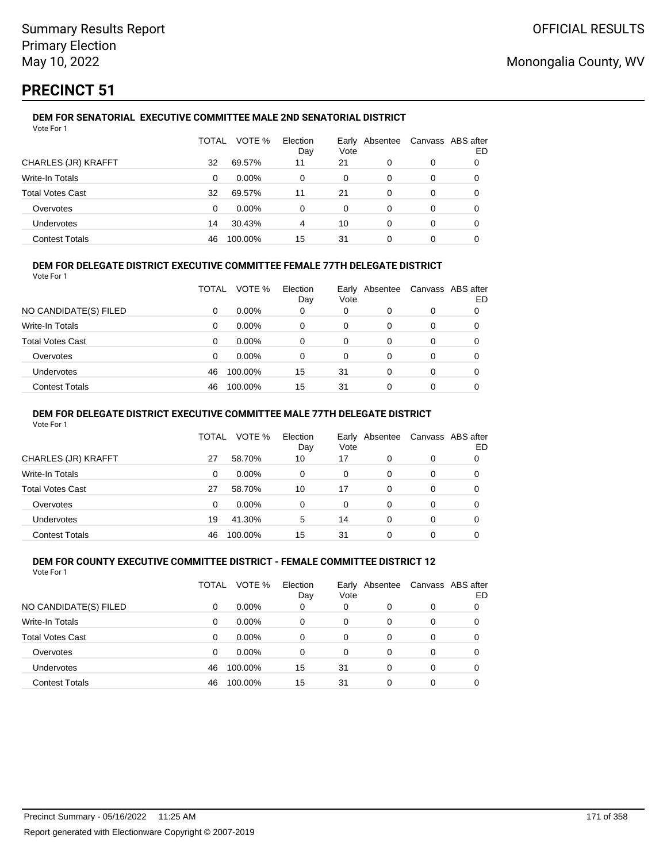# **PRECINCT 51**

#### **DEM FOR SENATORIAL EXECUTIVE COMMITTEE MALE 2ND SENATORIAL DISTRICT** Vote For 1

|                         | TOTAL | VOTE %   | Election<br>Day | Vote | Early Absentee |   | Canvass ABS after<br>ED |
|-------------------------|-------|----------|-----------------|------|----------------|---|-------------------------|
| CHARLES (JR) KRAFFT     | 32    | 69.57%   | 11              | 21   | 0              | 0 |                         |
| <b>Write-In Totals</b>  | 0     | $0.00\%$ | 0               | 0    | 0              | 0 |                         |
| <b>Total Votes Cast</b> | 32    | 69.57%   | 11              | 21   | 0              | 0 |                         |
| Overvotes               | 0     | $0.00\%$ | 0               | 0    | 0              | 0 |                         |
| Undervotes              | 14    | 30.43%   | 4               | 10   | 0              | 0 | 0                       |
| <b>Contest Totals</b>   | 46    | 100.00%  | 15              | 31   |                | 0 |                         |

## **DEM FOR DELEGATE DISTRICT EXECUTIVE COMMITTEE FEMALE 77TH DELEGATE DISTRICT**

Vote For 1

|                       | TOTAL | VOTE %   | Election<br>Day | Vote | Early Absentee | Canvass ABS after | ED |
|-----------------------|-------|----------|-----------------|------|----------------|-------------------|----|
| NO CANDIDATE(S) FILED | 0     | $0.00\%$ | 0               | 0    | O              | 0                 |    |
| Write-In Totals       | 0     | $0.00\%$ | 0               | 0    | 0              | 0                 |    |
| Total Votes Cast      | 0     | $0.00\%$ | 0               | 0    | 0              | 0                 |    |
| Overvotes             | 0     | 0.00%    | 0               | 0    | O              | 0                 |    |
| <b>Undervotes</b>     | 46    | 100.00%  | 15              | 31   | 0              | 0                 |    |
| <b>Contest Totals</b> | 46    | 100.00%  | 15              | 31   |                | 0                 |    |

### **DEM FOR DELEGATE DISTRICT EXECUTIVE COMMITTEE MALE 77TH DELEGATE DISTRICT**

Vote For 1

|                       | TOTAL    | VOTE %   | Election<br>Day | Vote | Early Absentee |   | Canvass ABS after<br>ED |
|-----------------------|----------|----------|-----------------|------|----------------|---|-------------------------|
| CHARLES (JR) KRAFFT   | 27       | 58.70%   | 10              | 17   | 0              | 0 |                         |
| Write-In Totals       | $\Omega$ | $0.00\%$ | $\Omega$        | 0    | 0              | 0 | 0                       |
| Total Votes Cast      | 27       | 58.70%   | 10              | 17   | 0              | 0 | 0                       |
| Overvotes             | $\Omega$ | $0.00\%$ | 0               | 0    | 0              | 0 |                         |
| Undervotes            | 19       | 41.30%   | 5               | 14   | 0              | 0 | 0                       |
| <b>Contest Totals</b> | 46       | 100.00%  | 15              | 31   |                |   |                         |

#### **DEM FOR COUNTY EXECUTIVE COMMITTEE DISTRICT - FEMALE COMMITTEE DISTRICT 12** Vote For 1

|                         | TOTAL    | VOTE %   | Election<br>Day | Vote     | Early Absentee |          | Canvass ABS after<br>ED |
|-------------------------|----------|----------|-----------------|----------|----------------|----------|-------------------------|
| NO CANDIDATE(S) FILED   | 0        | $0.00\%$ | 0               | 0        | 0              | 0        |                         |
| Write-In Totals         | 0        | $0.00\%$ | $\Omega$        | 0        | $\Omega$       | 0        | 0                       |
| <b>Total Votes Cast</b> | $\Omega$ | $0.00\%$ | $\Omega$        | $\Omega$ | 0              | 0        | 0                       |
| Overvotes               | 0        | $0.00\%$ | $\Omega$        | $\Omega$ | 0              | 0        | 0                       |
| Undervotes              | 46       | 100.00%  | 15              | 31       | $\Omega$       | $\Omega$ | 0                       |
| <b>Contest Totals</b>   | 46       | 100.00%  | 15              | 31       | 0              | 0        |                         |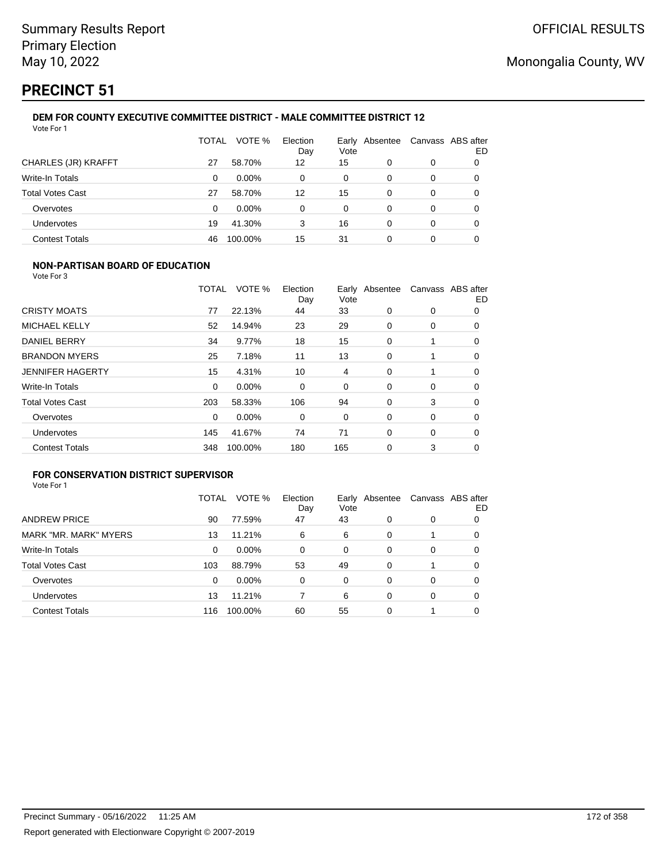# **PRECINCT 51**

#### **DEM FOR COUNTY EXECUTIVE COMMITTEE DISTRICT - MALE COMMITTEE DISTRICT 12** Vote For 1

|                         | TOTAL | VOTE %   | Election<br>Day | Vote | Early Absentee | Canvass ABS after | ED |
|-------------------------|-------|----------|-----------------|------|----------------|-------------------|----|
| CHARLES (JR) KRAFFT     | 27    | 58.70%   | 12              | 15   | 0              | 0                 | O  |
| Write-In Totals         | 0     | $0.00\%$ | 0               | 0    | 0              | 0                 | 0  |
| <b>Total Votes Cast</b> | 27    | 58.70%   | 12              | 15   | 0              | 0                 | 0  |
| Overvotes               | 0     | $0.00\%$ | 0               | 0    | 0              | 0                 | 0  |
| Undervotes              | 19    | 41.30%   | 3               | 16   | 0              | 0                 |    |
| <b>Contest Totals</b>   | 46    | 100.00%  | 15              | 31   | 0              | 0                 |    |

### **NON-PARTISAN BOARD OF EDUCATION**

Vote For 3

|                         | TOTAL | VOTE %   | Election<br>Day | Vote | Early Absentee |   | Canvass ABS after<br>ED |
|-------------------------|-------|----------|-----------------|------|----------------|---|-------------------------|
| <b>CRISTY MOATS</b>     | 77    | 22.13%   | 44              | 33   | 0              | 0 | 0                       |
| <b>MICHAEL KELLY</b>    | 52    | 14.94%   | 23              | 29   | 0              | 0 | 0                       |
| DANIEL BERRY            | 34    | 9.77%    | 18              | 15   | 0              |   | 0                       |
| <b>BRANDON MYERS</b>    | 25    | 7.18%    | 11              | 13   | 0              |   | 0                       |
| <b>JENNIFER HAGERTY</b> | 15    | 4.31%    | 10              | 4    | 0              |   | 0                       |
| Write-In Totals         | 0     | $0.00\%$ | 0               | 0    | 0              | 0 | 0                       |
| <b>Total Votes Cast</b> | 203   | 58.33%   | 106             | 94   | 0              | 3 | 0                       |
| Overvotes               | 0     | 0.00%    | 0               | 0    | 0              | 0 | 0                       |
| <b>Undervotes</b>       | 145   | 41.67%   | 74              | 71   | $\Omega$       | 0 | 0                       |
| <b>Contest Totals</b>   | 348   | 100.00%  | 180             | 165  | 0              | 3 | 0                       |

## **FOR CONSERVATION DISTRICT SUPERVISOR**

| Vote For 1 |  |  |
|------------|--|--|
|            |  |  |

|                         | TOTAL | VOTE %  | Election<br>Day | Vote | Early Absentee | Canvass ABS after | ED |
|-------------------------|-------|---------|-----------------|------|----------------|-------------------|----|
| <b>ANDREW PRICE</b>     | 90    | 77.59%  | 47              | 43   | 0              | 0                 | 0  |
| MARK "MR. MARK" MYERS   | 13    | 11.21%  | 6               | 6    | 0              |                   | 0  |
| Write-In Totals         | 0     | 0.00%   | $\Omega$        | 0    | 0              | 0                 |    |
| <b>Total Votes Cast</b> | 103   | 88.79%  | 53              | 49   | 0              |                   | O  |
| Overvotes               | 0     | 0.00%   | 0               | 0    | 0              | 0                 | O  |
| <b>Undervotes</b>       | 13    | 11.21%  |                 | 6    | 0              | 0                 | O  |
| <b>Contest Totals</b>   | 116   | 100.00% | 60              | 55   | 0              |                   |    |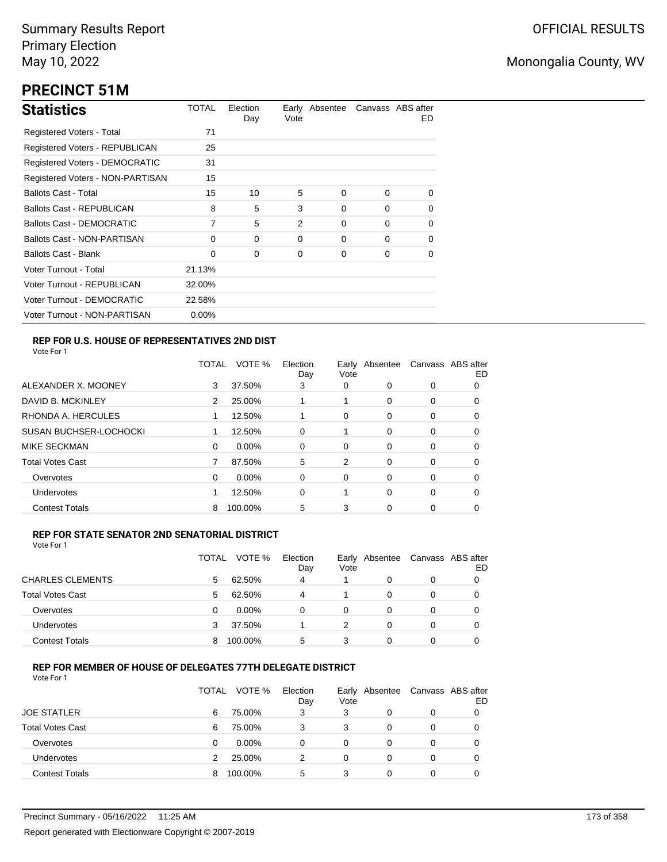# **PRECINCT 51M**

| <b>Statistics</b>                     | TOTAL    | Election<br>Day | Vote           | Early Absentee |          | Canvass ABS after<br>ED. |
|---------------------------------------|----------|-----------------|----------------|----------------|----------|--------------------------|
| Registered Voters - Total             | 71       |                 |                |                |          |                          |
| Registered Voters - REPUBLICAN        | 25       |                 |                |                |          |                          |
| <b>Registered Voters - DEMOCRATIC</b> | 31       |                 |                |                |          |                          |
| Registered Voters - NON-PARTISAN      | 15       |                 |                |                |          |                          |
| <b>Ballots Cast - Total</b>           | 15       | 10              | 5              | $\Omega$       | $\Omega$ | 0                        |
| <b>Ballots Cast - REPUBLICAN</b>      | 8        | 5               | 3              | 0              | $\Omega$ | 0                        |
| Ballots Cast - DEMOCRATIC             | 7        | 5               | $\mathfrak{p}$ | $\Omega$       | $\Omega$ | 0                        |
| <b>Ballots Cast - NON-PARTISAN</b>    | 0        | $\Omega$        | 0              | 0              | $\Omega$ | 0                        |
| Ballots Cast - Blank                  | 0        | 0               | 0              | 0              | $\Omega$ | 0                        |
| Voter Turnout - Total                 | 21.13%   |                 |                |                |          |                          |
| Voter Turnout - REPUBLICAN            | 32.00%   |                 |                |                |          |                          |
| Voter Turnout - DEMOCRATIC            | 22.58%   |                 |                |                |          |                          |
| Voter Turnout - NON-PARTISAN          | $0.00\%$ |                 |                |                |          |                          |

## **REP FOR U.S. HOUSE OF REPRESENTATIVES 2ND DIST**

Vote For 1

|                               | <b>TOTAL</b> | VOTE %   | Election<br>Day | Earlv<br>Vote | Absentee |   | Canvass ABS after<br>ED |
|-------------------------------|--------------|----------|-----------------|---------------|----------|---|-------------------------|
| ALEXANDER X. MOONEY           | 3            | 37.50%   | 3               | 0             | 0        | 0 | O                       |
| DAVID B. MCKINLEY             | 2            | 25.00%   |                 |               | $\Omega$ | 0 | O                       |
| RHONDA A. HERCULES            |              | 12.50%   |                 | 0             | 0        | 0 | 0                       |
| <b>SUSAN BUCHSER-LOCHOCKI</b> |              | 12.50%   | 0               |               | $\Omega$ | 0 | 0                       |
| MIKE SECKMAN                  | 0            | $0.00\%$ | 0               | 0             | 0        | 0 | 0                       |
| <b>Total Votes Cast</b>       | 7            | 87.50%   | 5               | 2             | 0        | 0 | 0                       |
| Overvotes                     | 0            | $0.00\%$ | 0               | 0             | $\Omega$ | 0 | 0                       |
| <b>Undervotes</b>             |              | 12.50%   | 0               |               | $\Omega$ | 0 | 0                       |
| <b>Contest Totals</b>         | 8            | 100.00%  | 5               | 3             | 0        | 0 | 0                       |

### **REP FOR STATE SENATOR 2ND SENATORIAL DISTRICT**

Vote For 1

|                         | TOTAL | VOTE %   | Election<br>Day | Vote | Early Absentee | Canvass ABS after | ED |
|-------------------------|-------|----------|-----------------|------|----------------|-------------------|----|
| <b>CHARLES CLEMENTS</b> | 5     | 62.50%   | 4               |      | 0              | 0                 |    |
| <b>Total Votes Cast</b> | 5     | 62.50%   | 4               |      | 0              | 0                 |    |
| Overvotes               | 0     | $0.00\%$ | 0               | 0    | 0              | 0                 |    |
| Undervotes              |       | 37.50%   |                 | 2    | 0              | 0                 |    |
| <b>Contest Totals</b>   | 8     | 100.00%  | 5               | 3    | 0              | 0                 |    |

### **REP FOR MEMBER OF HOUSE OF DELEGATES 77TH DELEGATE DISTRICT**

Vote For 1

|                         | TOTAL | VOTE %   | Election<br>Day | Vote | Early Absentee | Canvass ABS after | ED |
|-------------------------|-------|----------|-----------------|------|----------------|-------------------|----|
| <b>JOE STATLER</b>      | 6     | 75.00%   | 3               | 3    | 0              | 0                 |    |
| <b>Total Votes Cast</b> | 6     | 75.00%   | 3               | 3    | 0              | 0                 |    |
| Overvotes               | 0     | $0.00\%$ | 0               | 0    | $\Omega$       | $\Omega$          |    |
| Undervotes              |       | 25.00%   | 2               | 0    | $\Omega$       | 0                 |    |
| <b>Contest Totals</b>   |       | 100.00%  | 5               | 3    | 0              | 0                 |    |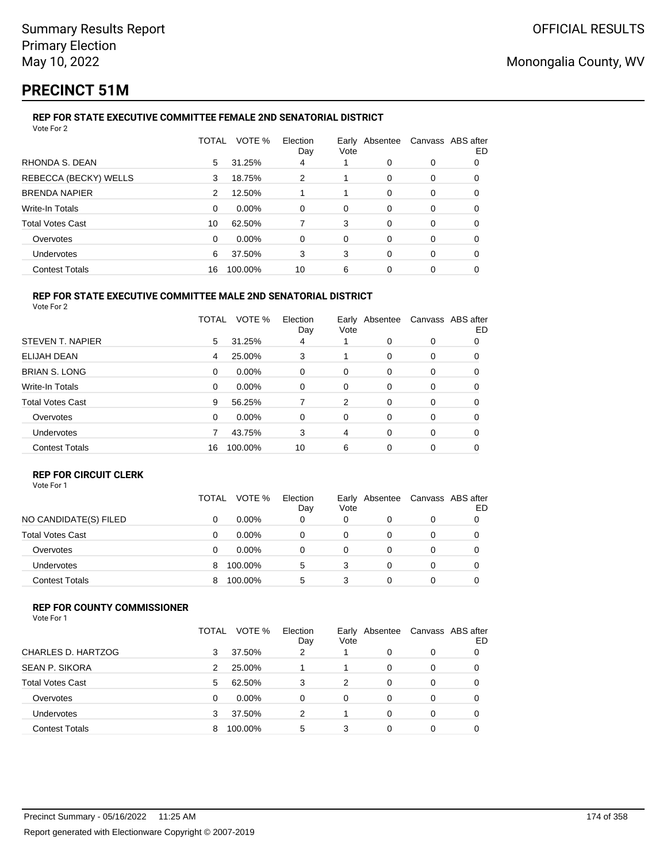# **PRECINCT 51M**

#### **REP FOR STATE EXECUTIVE COMMITTEE FEMALE 2ND SENATORIAL DISTRICT** Vote For 2

|                         | TOTAL    | VOTE %  | Election<br>Day | Early Absentee<br>Vote |          | Canvass ABS after | ED |
|-------------------------|----------|---------|-----------------|------------------------|----------|-------------------|----|
| RHONDA S. DEAN          | 5        | 31.25%  | 4               |                        | 0        | 0                 | 0  |
| REBECCA (BECKY) WELLS   | 3        | 18.75%  | 2               | 1                      | 0        | 0                 | 0  |
| <b>BRENDA NAPIER</b>    | 2        | 12.50%  |                 | 1                      | 0        | 0                 | 0  |
| Write-In Totals         | $\Omega$ | 0.00%   | $\Omega$        | 0                      | 0        | 0                 | 0  |
| <b>Total Votes Cast</b> | 10       | 62.50%  |                 | 3                      | 0        | 0                 | 0  |
| Overvotes               | $\Omega$ | 0.00%   | $\Omega$        | 0                      | $\Omega$ | 0                 | 0  |
| Undervotes              | 6        | 37.50%  | 3               | 3                      | 0        | $\Omega$          | 0  |
| <b>Contest Totals</b>   | 16       | 100.00% | 10              | 6                      | 0        | 0                 |    |

#### **REP FOR STATE EXECUTIVE COMMITTEE MALE 2ND SENATORIAL DISTRICT** Vote For 2

|                         | TOTAL | VOTE %   | Election<br>Day | Early Absentee<br>Vote |          |   | Canvass ABS after<br>ED |
|-------------------------|-------|----------|-----------------|------------------------|----------|---|-------------------------|
| STEVEN T. NAPIER        | 5     | 31.25%   | 4               |                        | $\Omega$ | 0 | 0                       |
| ELIJAH DEAN             | 4     | 25.00%   | 3               |                        | 0        | 0 | 0                       |
| <b>BRIAN S. LONG</b>    | 0     | $0.00\%$ | 0               | 0                      | 0        | 0 | 0                       |
| Write-In Totals         | 0     | 0.00%    | 0               | 0                      | 0        | 0 | 0                       |
| <b>Total Votes Cast</b> | 9     | 56.25%   | 7               | 2                      | $\Omega$ | 0 | 0                       |
| Overvotes               | 0     | $0.00\%$ | 0               | 0                      | $\Omega$ | 0 | 0                       |
| <b>Undervotes</b>       |       | 43.75%   | 3               | 4                      | 0        | 0 | 0                       |
| <b>Contest Totals</b>   | 16    | 100.00%  | 10              | 6                      | 0        | 0 | 0                       |

### **REP FOR CIRCUIT CLERK**

|                         | TOTAL | VOTE %   | Election<br>Day | Vote | Early Absentee | Canvass ABS after | ED |
|-------------------------|-------|----------|-----------------|------|----------------|-------------------|----|
| NO CANDIDATE(S) FILED   | 0     | $0.00\%$ | 0               | 0    |                | 0                 |    |
| <b>Total Votes Cast</b> | 0     | $0.00\%$ | 0               | 0    |                | 0                 |    |
| Overvotes               | Ω     | $0.00\%$ | 0               |      |                | 0                 |    |
| <b>Undervotes</b>       | 8     | 100.00%  | 5               | 3    |                | 0                 |    |
| <b>Contest Totals</b>   | 8     | 100.00%  | 5               | 3    |                | 0                 |    |

### **REP FOR COUNTY COMMISSIONER**

Vote For 1

|                         | TOTAL | VOTE %   | Election<br>Day | Early<br>Vote | Absentee | Canvass ABS after | ED |
|-------------------------|-------|----------|-----------------|---------------|----------|-------------------|----|
| CHARLES D. HARTZOG      | 3     | 37.50%   | 2               |               | $\Omega$ | 0                 |    |
| <b>SEAN P. SIKORA</b>   |       | 25.00%   |                 | 1             | 0        | 0                 |    |
| <b>Total Votes Cast</b> | 5     | 62.50%   | 3               | 2             | 0        | 0                 |    |
| Overvotes               | 0     | $0.00\%$ | 0               | 0             | 0        | 0                 |    |
| Undervotes              | 3     | 37.50%   | 2               |               | 0        | 0                 |    |
| <b>Contest Totals</b>   | 8     | 100.00%  | 5               | 3             | 0        | 0                 |    |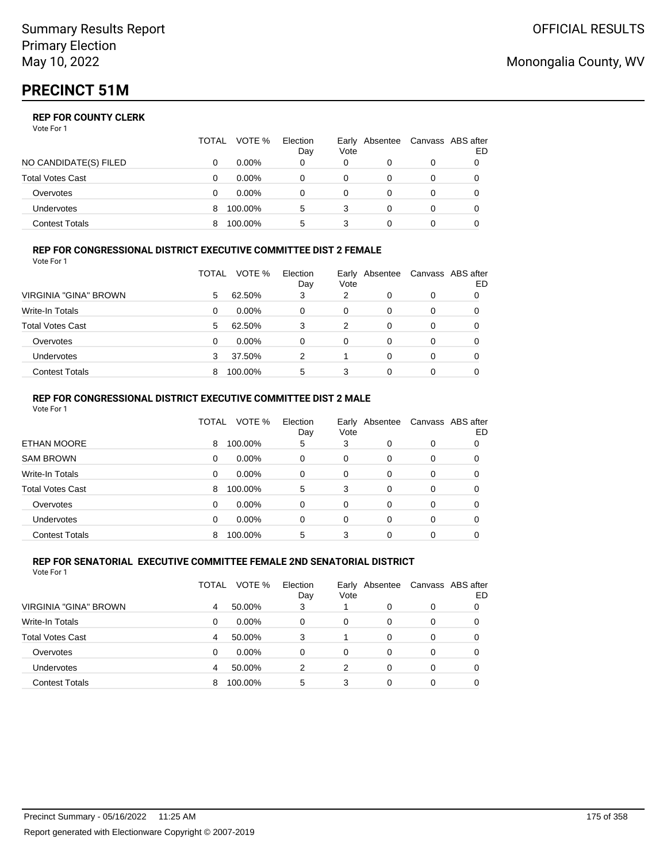# **PRECINCT 51M**

### **REP FOR COUNTY CLERK**

Vote For 1

|                         | TOTAL | VOTE %   | Election<br>Day | Early<br>Vote | Absentee | Canvass ABS after | ED |
|-------------------------|-------|----------|-----------------|---------------|----------|-------------------|----|
| NO CANDIDATE(S) FILED   |       | 0.00%    | 0               | 0             |          | 0                 |    |
| <b>Total Votes Cast</b> |       | $0.00\%$ |                 | 0             |          | 0                 |    |
| Overvotes               |       | $0.00\%$ |                 |               |          |                   |    |
| <b>Undervotes</b>       | 8     | 100.00%  | 5               | 3             |          | 0                 |    |
| <b>Contest Totals</b>   |       | 100.00%  | 5               |               |          |                   |    |

### **REP FOR CONGRESSIONAL DISTRICT EXECUTIVE COMMITTEE DIST 2 FEMALE**

| Vote For 1              |       |          |                 |      |                |   |                         |
|-------------------------|-------|----------|-----------------|------|----------------|---|-------------------------|
|                         | TOTAL | VOTE %   | Election<br>Day | Vote | Early Absentee |   | Canvass ABS after<br>ED |
| VIRGINIA "GINA" BROWN   | 5     | 62.50%   | 3               | 2    | 0              | 0 | 0                       |
| Write-In Totals         | 0     | $0.00\%$ | 0               | 0    | 0              | 0 | 0                       |
| <b>Total Votes Cast</b> | 5     | 62.50%   | 3               | 2    | 0              | 0 | 0                       |
| Overvotes               | 0     | $0.00\%$ | 0               | 0    | 0              | 0 | 0                       |
| <b>Undervotes</b>       | 3     | 37.50%   | 2               |      | $\Omega$       | 0 | 0                       |
| <b>Contest Totals</b>   | 8     | 100.00%  | 5               | 3    | 0              | 0 |                         |

### **REP FOR CONGRESSIONAL DISTRICT EXECUTIVE COMMITTEE DIST 2 MALE**

|          | VOTE %  | Election<br>Day | Vote     |   |          | ED                               |
|----------|---------|-----------------|----------|---|----------|----------------------------------|
| 8        | 100.00% | 5               | 3        | 0 | 0        | 0                                |
| 0        | 0.00%   | 0               | 0        | 0 | 0        | 0                                |
| 0        | 0.00%   | $\Omega$        | 0        | 0 | 0        | 0                                |
| 8        | 100.00% | 5               | 3        | 0 | 0        | 0                                |
| 0        | 0.00%   | $\Omega$        | $\Omega$ | 0 | 0        | 0                                |
| $\Omega$ | 0.00%   | $\Omega$        | $\Omega$ | 0 | $\Omega$ | 0                                |
| 8        | 100.00% | 5               | 3        | 0 | 0        | 0                                |
|          |         | TOTAL           |          |   |          | Early Absentee Canvass ABS after |

#### **REP FOR SENATORIAL EXECUTIVE COMMITTEE FEMALE 2ND SENATORIAL DISTRICT** Vote For 1

|                         | TOTAL | VOTE %   | Election<br>Day | Vote | Early Absentee |   | Canvass ABS after<br>ED |
|-------------------------|-------|----------|-----------------|------|----------------|---|-------------------------|
| VIRGINIA "GINA" BROWN   |       | 50.00%   | 3               |      | 0              | 0 |                         |
| <b>Write-In Totals</b>  | 0     | $0.00\%$ | 0               | 0    | $\Omega$       | 0 |                         |
| <b>Total Votes Cast</b> | 4     | 50.00%   | 3               |      | $\Omega$       | 0 |                         |
| Overvotes               | 0     | $0.00\%$ | $\Omega$        | 0    | $\Omega$       | 0 |                         |
| Undervotes              | 4     | 50.00%   | 2               | 2    | $\Omega$       | 0 |                         |
| <b>Contest Totals</b>   | 8     | 100.00%  | 5               | 3    | 0              | 0 |                         |

## Monongalia County, WV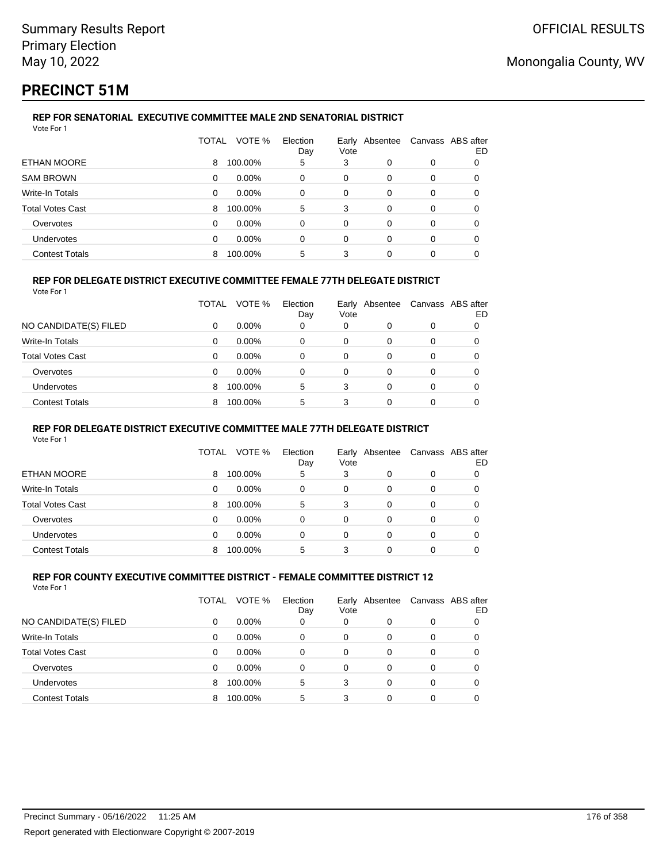# **PRECINCT 51M**

#### **REP FOR SENATORIAL EXECUTIVE COMMITTEE MALE 2ND SENATORIAL DISTRICT** Vote For 1

|                         | TOTAL    | VOTE %   | Election<br>Day | Vote     | Early Absentee | Canvass ABS after | ED |
|-------------------------|----------|----------|-----------------|----------|----------------|-------------------|----|
| ETHAN MOORE             | 8        | 100.00%  | 5               | 3        | 0              | 0                 |    |
| <b>SAM BROWN</b>        | 0        | $0.00\%$ | 0               | 0        | 0              | 0                 |    |
| Write-In Totals         | 0        | $0.00\%$ | 0               | 0        | $\Omega$       | 0                 |    |
| <b>Total Votes Cast</b> | 8        | 100.00%  | 5               | 3        | 0              | 0                 | 0  |
| Overvotes               | $\Omega$ | $0.00\%$ | 0               | $\Omega$ | $\Omega$       | 0                 |    |
| <b>Undervotes</b>       | 0        | $0.00\%$ | 0               | 0        | 0              | 0                 | 0  |
| <b>Contest Totals</b>   | 8        | 100.00%  | 5               | 3        | 0              | 0                 |    |

### **REP FOR DELEGATE DISTRICT EXECUTIVE COMMITTEE FEMALE 77TH DELEGATE DISTRICT**

Vote For 1

|                         | TOTAL    | VOTE %   | Election<br>Day | Vote | Early Absentee |          | Canvass ABS after<br>ED |
|-------------------------|----------|----------|-----------------|------|----------------|----------|-------------------------|
| NO CANDIDATE(S) FILED   | 0        | $0.00\%$ | 0               | 0    |                | 0        |                         |
| Write-In Totals         | $\Omega$ | $0.00\%$ | $\Omega$        | 0    |                |          | 0                       |
| <b>Total Votes Cast</b> | 0        | $0.00\%$ | 0               | 0    | 0              | $\Omega$ | 0                       |
| Overvotes               | 0        | $0.00\%$ | 0               | 0    | 0              | 0        |                         |
| <b>Undervotes</b>       | 8        | 100.00%  | 5               | 3    | $\Omega$       | $\Omega$ | 0                       |
| <b>Contest Totals</b>   | 8        | 100.00%  | 5               | 3    | 0              | 0        |                         |

### **REP FOR DELEGATE DISTRICT EXECUTIVE COMMITTEE MALE 77TH DELEGATE DISTRICT**

Vote For 1

|                       | TOTAL | VOTE %   | Election<br>Day | Vote | Early Absentee | Canvass ABS after | ED |
|-----------------------|-------|----------|-----------------|------|----------------|-------------------|----|
| ETHAN MOORE           | 8     | 100.00%  | 5               | 3    | 0              | 0                 |    |
| Write-In Totals       | 0     | $0.00\%$ | 0               | 0    | 0              | 0                 |    |
| Total Votes Cast      | 8     | 100.00%  | 5               | 3    | 0              | 0                 |    |
| Overvotes             | 0     | $0.00\%$ | 0               | 0    | 0              | 0                 |    |
| Undervotes            | 0     | $0.00\%$ | 0               | 0    | 0              | 0                 |    |
| <b>Contest Totals</b> | 8     | 100.00%  | 5               | 3    | 0              | 0                 |    |

#### **REP FOR COUNTY EXECUTIVE COMMITTEE DISTRICT - FEMALE COMMITTEE DISTRICT 12** Vote For 1

|                         | TOTAL | VOTE %   | Election<br>Day | Vote | Early Absentee | Canvass ABS after | ED |
|-------------------------|-------|----------|-----------------|------|----------------|-------------------|----|
| NO CANDIDATE(S) FILED   | 0     | $0.00\%$ | 0               | 0    | 0              | 0                 |    |
| Write-In Totals         | 0     | $0.00\%$ | 0               | 0    | 0              | 0                 | 0  |
| <b>Total Votes Cast</b> | 0     | $0.00\%$ | 0               | 0    | 0              | 0                 |    |
| Overvotes               | 0     | 0.00%    | 0               | 0    | 0              | 0                 |    |
| Undervotes              | 8     | 100.00%  | 5               | 3    | 0              | 0                 |    |
| <b>Contest Totals</b>   | 8     | 100.00%  | 5               | 3    | 0              | 0                 |    |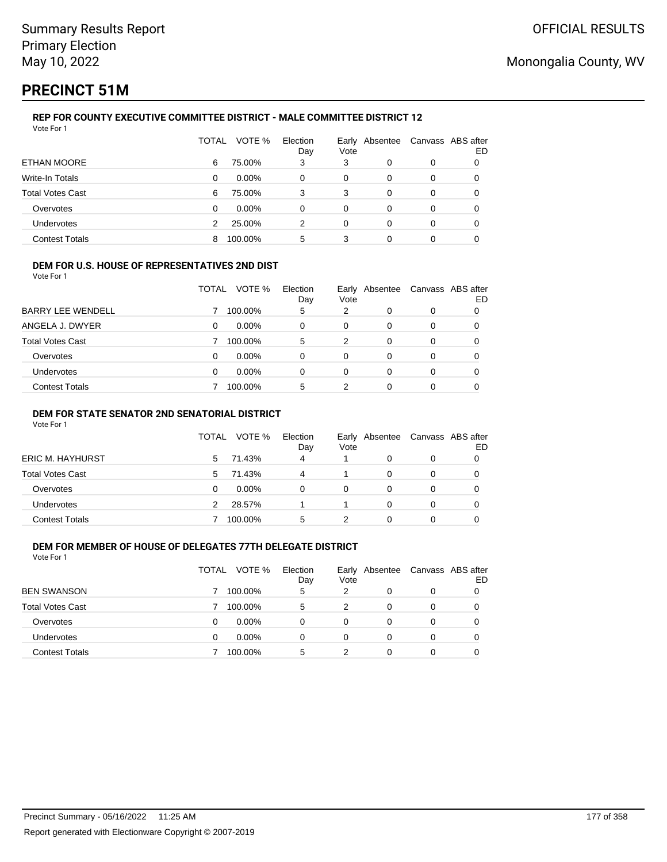# **PRECINCT 51M**

#### **REP FOR COUNTY EXECUTIVE COMMITTEE DISTRICT - MALE COMMITTEE DISTRICT 12** Vote For 1

|                         | TOTAL | VOTE %   | Election<br>Day | Vote | Early Absentee | Canvass ABS after | ED |
|-------------------------|-------|----------|-----------------|------|----------------|-------------------|----|
| <b>ETHAN MOORE</b>      | 6     | 75.00%   | 3               | 3    | 0              | 0                 | 0  |
| Write-In Totals         | 0     | $0.00\%$ | 0               | 0    | $\Omega$       | 0                 | 0  |
| <b>Total Votes Cast</b> | 6     | 75.00%   | 3               | 3    | 0              | 0                 | 0  |
| Overvotes               | 0     | $0.00\%$ | 0               | 0    | 0              | 0                 | 0  |
| Undervotes              |       | 25.00%   | 2               | 0    | 0              | 0                 | 0  |
| <b>Contest Totals</b>   | 8     | 100.00%  | 5               | 3    | 0              | 0                 |    |

### **DEM FOR U.S. HOUSE OF REPRESENTATIVES 2ND DIST**

Vote For 1

|                          | TOTAL | VOTE %   | Election<br>Day | Vote | Early Absentee | Canvass ABS after | ED |
|--------------------------|-------|----------|-----------------|------|----------------|-------------------|----|
| <b>BARRY LEE WENDELL</b> |       | 100.00%  | 5               | 2    | 0              | 0                 |    |
| ANGELA J. DWYER          | 0     | $0.00\%$ | 0               | 0    | 0              | 0                 |    |
| <b>Total Votes Cast</b>  |       | 100.00%  | 5               | 2    | 0              | 0                 |    |
| Overvotes                | 0     | $0.00\%$ | 0               | 0    | 0              | 0                 |    |
| Undervotes               | 0     | $0.00\%$ | 0               | 0    | 0              | 0                 |    |
| <b>Contest Totals</b>    |       | 100.00%  | 5               | 2    |                |                   |    |

### **DEM FOR STATE SENATOR 2ND SENATORIAL DISTRICT**

Vote For 1

|                         | TOTAL | VOTE %   | Election<br>Day | Vote | Early Absentee | Canvass ABS after | ED |
|-------------------------|-------|----------|-----------------|------|----------------|-------------------|----|
| <b>ERIC M. HAYHURST</b> | 5     | 71.43%   | $\overline{4}$  |      |                |                   |    |
| Total Votes Cast        | 5     | 71.43%   | 4               |      |                |                   |    |
| Overvotes               |       | $0.00\%$ | 0               | 0    |                |                   |    |
| Undervotes              | 2     | 28.57%   |                 |      |                |                   |    |
| <b>Contest Totals</b>   |       | 100.00%  | 5               |      |                |                   |    |

## **DEM FOR MEMBER OF HOUSE OF DELEGATES 77TH DELEGATE DISTRICT**

| Vote For 1              |       |          |                 |      |                |                   |    |
|-------------------------|-------|----------|-----------------|------|----------------|-------------------|----|
|                         | TOTAL | VOTE %   | Election<br>Day | Vote | Early Absentee | Canvass ABS after | ED |
| <b>BEN SWANSON</b>      |       | 100.00%  | 5               | 2    | 0              | 0                 |    |
| <b>Total Votes Cast</b> |       | 100.00%  | 5               | 2    | 0              | 0                 |    |
| Overvotes               |       | 0.00%    | 0               | 0    | 0              | 0                 |    |
| Undervotes              |       | $0.00\%$ | 0               | 0    | 0              | 0                 |    |
| <b>Contest Totals</b>   |       | 100.00%  | 5               |      | 0              | 0                 |    |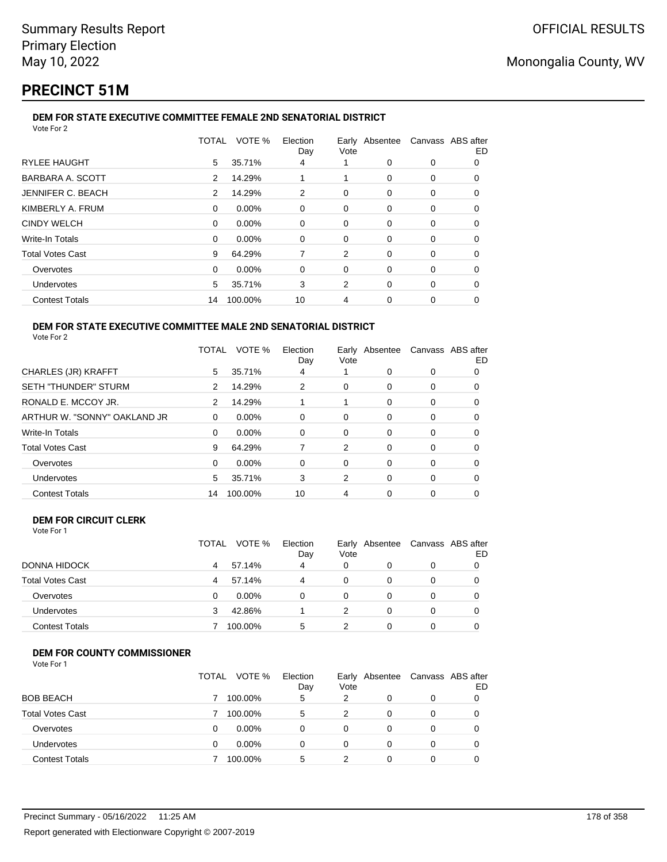# **PRECINCT 51M**

#### **DEM FOR STATE EXECUTIVE COMMITTEE FEMALE 2ND SENATORIAL DISTRICT** Vote For 2

|                         |          | TOTAL VOTE % | Election<br>Day | Vote     | Early Absentee Canvass ABS after |          | ED |
|-------------------------|----------|--------------|-----------------|----------|----------------------------------|----------|----|
| <b>RYLEE HAUGHT</b>     | 5        | 35.71%       | 4               |          | 0                                | 0        | 0  |
| BARBARA A. SCOTT        | 2        | 14.29%       |                 | 1        | $\Omega$                         | 0        | O  |
| JENNIFER C. BEACH       | 2        | 14.29%       | 2               | 0        | 0                                | 0        | 0  |
| KIMBERLY A. FRUM        | $\Omega$ | 0.00%        | 0               | 0        | $\Omega$                         | 0        | 0  |
| <b>CINDY WELCH</b>      | 0        | 0.00%        | 0               | 0        | 0                                | 0        | 0  |
| Write-In Totals         | 0        | 0.00%        | 0               | $\Omega$ | $\Omega$                         | $\Omega$ | O  |
| <b>Total Votes Cast</b> | 9        | 64.29%       | 7               | 2        | $\Omega$                         | 0        | O  |
| Overvotes               | 0        | 0.00%        | 0               | 0        | $\Omega$                         | 0        | 0  |
| Undervotes              | 5        | 35.71%       | 3               | 2        | $\Omega$                         | 0        | 0  |
| <b>Contest Totals</b>   | 14       | 100.00%      | 10              | 4        | 0                                | 0        |    |
|                         |          |              |                 |          |                                  |          |    |

#### **DEM FOR STATE EXECUTIVE COMMITTEE MALE 2ND SENATORIAL DISTRICT** Vote For 2

|                              |    | TOTAL VOTE % | Election<br>Day | Early Absentee<br>Vote |          | Canvass ABS after | ED |
|------------------------------|----|--------------|-----------------|------------------------|----------|-------------------|----|
| CHARLES (JR) KRAFFT          | 5  | 35.71%       | 4               |                        | 0        | 0                 | O  |
| <b>SETH "THUNDER" STURM</b>  | 2  | 14.29%       | 2               | 0                      | 0        | 0                 | 0  |
| RONALD E. MCCOY JR.          | 2  | 14.29%       |                 |                        | $\Omega$ | 0                 | O  |
| ARTHUR W. "SONNY" OAKLAND JR | 0  | $0.00\%$     | 0               | 0                      | 0        | 0                 | O  |
| Write-In Totals              | 0  | $0.00\%$     | 0               | 0                      | 0        | 0                 | 0  |
| <b>Total Votes Cast</b>      | 9  | 64.29%       |                 | 2                      | $\Omega$ | 0                 | O  |
| Overvotes                    | 0  | $0.00\%$     | 0               | 0                      | $\Omega$ | 0                 | 0  |
| Undervotes                   | 5  | 35.71%       | 3               | 2                      | $\Omega$ | 0                 | 0  |
| <b>Contest Totals</b>        | 14 | 100.00%      | 10              | 4                      | 0        | 0                 | 0  |
|                              |    |              |                 |                        |          |                   |    |

#### **DEM FOR CIRCUIT CLERK** Vote For 1

|                         | <b>TOTAL</b> | VOTE %  | Election<br>Day | Vote | Early Absentee | Canvass ABS after | ED |
|-------------------------|--------------|---------|-----------------|------|----------------|-------------------|----|
| DONNA HIDOCK            | 4            | 57.14%  | 4               | 0    |                |                   |    |
| <b>Total Votes Cast</b> | 4            | 57.14%  | 4               | 0    | 0              |                   |    |
| Overvotes               |              | 0.00%   | $\Omega$        | 0    | 0              |                   |    |
| <b>Undervotes</b>       | 3            | 42.86%  |                 | 2    | 0              |                   |    |
| <b>Contest Totals</b>   |              | 100.00% | 5               |      |                |                   |    |

## **DEM FOR COUNTY COMMISSIONER**

| Vote For 1 |  |
|------------|--|
|------------|--|

|                         | TOTAL | VOTE %<br>Election<br>Day | Early<br>Vote | Absentee | Canvass ABS after | ED |
|-------------------------|-------|---------------------------|---------------|----------|-------------------|----|
| <b>BOB BEACH</b>        |       | 100.00%<br>5              | 2             | 0        | 0                 |    |
| <b>Total Votes Cast</b> |       | 100.00%<br>5              | 2             | $\Omega$ | 0                 |    |
| Overvotes               | 0     | $0.00\%$<br>0             | 0             | 0        | 0                 |    |
| Undervotes              | 0     | $0.00\%$<br>0             | 0             | 0        | 0                 |    |
| <b>Contest Totals</b>   |       | 100.00%<br>5              | 2             | 0        | 0                 |    |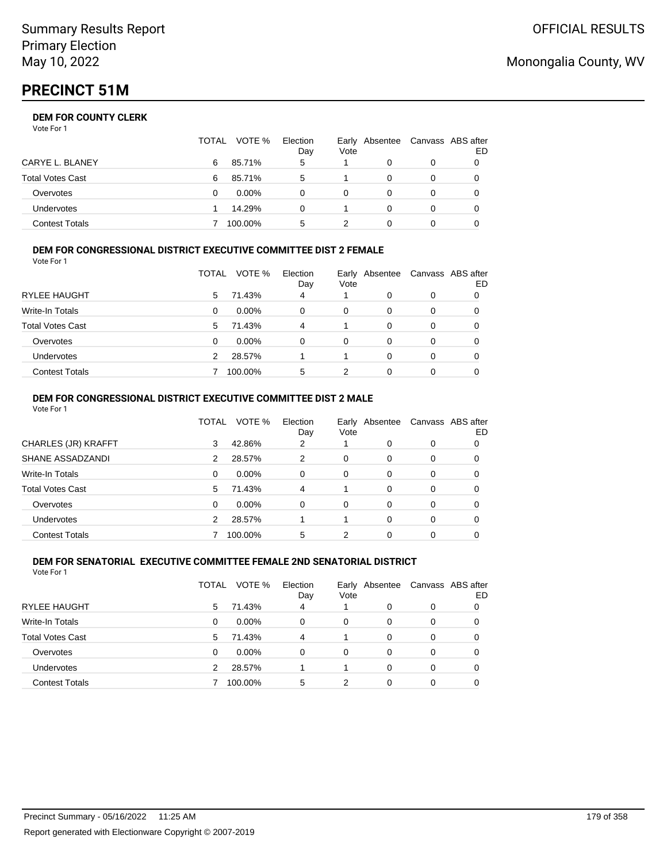|                       | <b>TOTAL</b> | VOTE %   | Election<br>Day | Vote | Early Absentee | Canvass ABS after<br>ED |
|-----------------------|--------------|----------|-----------------|------|----------------|-------------------------|
| CARYE L. BLANEY       | 6            | 85.71%   | 5               |      |                |                         |
| Total Votes Cast      | 6            | 85.71%   | 5               |      |                |                         |
| Overvotes             |              | $0.00\%$ |                 | 0    |                |                         |
| <b>Undervotes</b>     |              | 14.29%   | 0               |      | $\Omega$       |                         |
| <b>Contest Totals</b> |              | 100.00%  | 5               |      |                |                         |

#### **DEM FOR CONGRESSIONAL DISTRICT EXECUTIVE COMMITTEE DIST 2 FEMALE** Vote For 1

| 1 U U U U U U           |       |          |                 |      |                |   |                         |
|-------------------------|-------|----------|-----------------|------|----------------|---|-------------------------|
|                         | TOTAL | VOTE %   | Election<br>Day | Vote | Early Absentee |   | Canvass ABS after<br>ED |
| RYLEE HAUGHT            | 5.    | 71.43%   | 4               |      | 0              | 0 |                         |
| Write-In Totals         | 0     | $0.00\%$ | $\Omega$        | 0    | 0              | 0 |                         |
| <b>Total Votes Cast</b> | 5.    | 71.43%   | 4               | 1    | 0              | 0 |                         |
| Overvotes               | 0     | 0.00%    | $\Omega$        | 0    | 0              | 0 |                         |
| Undervotes              | 2     | 28.57%   |                 | 1    | 0              | 0 |                         |
| <b>Contest Totals</b>   |       | 100.00%  | 5               | 2    | 0              | 0 |                         |

#### **DEM FOR CONGRESSIONAL DISTRICT EXECUTIVE COMMITTEE DIST 2 MALE** Vote For 1

|                         | TOTAL    | VOTE %   | Election<br>Day | Vote     | Early Absentee |          | Canvass ABS after<br>ED |
|-------------------------|----------|----------|-----------------|----------|----------------|----------|-------------------------|
| CHARLES (JR) KRAFFT     | 3        | 42.86%   | 2               |          | 0              | $\Omega$ | 0                       |
| SHANE ASSADZANDI        | 2        | 28.57%   | 2               | 0        | 0              | $\Omega$ | 0                       |
| Write-In Totals         | $\Omega$ | $0.00\%$ | $\Omega$        | $\Omega$ | 0              | $\Omega$ | 0                       |
| <b>Total Votes Cast</b> | 5        | 71.43%   | 4               |          | 0              | $\Omega$ | 0                       |
| Overvotes               | 0        | $0.00\%$ | $\Omega$        | $\Omega$ | $\Omega$       | $\Omega$ | 0                       |
| <b>Undervotes</b>       | 2        | 28.57%   |                 |          | $\Omega$       | $\Omega$ | 0                       |
| <b>Contest Totals</b>   |          | 100.00%  | 5               | 2        | 0              | 0        |                         |

#### **DEM FOR SENATORIAL EXECUTIVE COMMITTEE FEMALE 2ND SENATORIAL DISTRICT** Vote For 1

|                         | TOTAL | VOTE %   | Election<br>Day | Vote | Early Absentee |          | Canvass ABS after<br>ED |
|-------------------------|-------|----------|-----------------|------|----------------|----------|-------------------------|
| RYLEE HAUGHT            | 5     | 71.43%   | 4               |      | 0              | 0        | 0                       |
| Write-In Totals         | 0     | $0.00\%$ | $\Omega$        | 0    | 0              | 0        | 0                       |
| <b>Total Votes Cast</b> | 5     | 71.43%   | 4               |      | 0              | 0        |                         |
| Overvotes               | 0     | $0.00\%$ | $\Omega$        | 0    | 0              | 0        | 0                       |
| Undervotes              | 2     | 28.57%   |                 |      | $\Omega$       | $\Omega$ | 0                       |
| <b>Contest Totals</b>   |       | 100.00%  | 5               | 2    | 0              | 0        |                         |

## Monongalia County, WV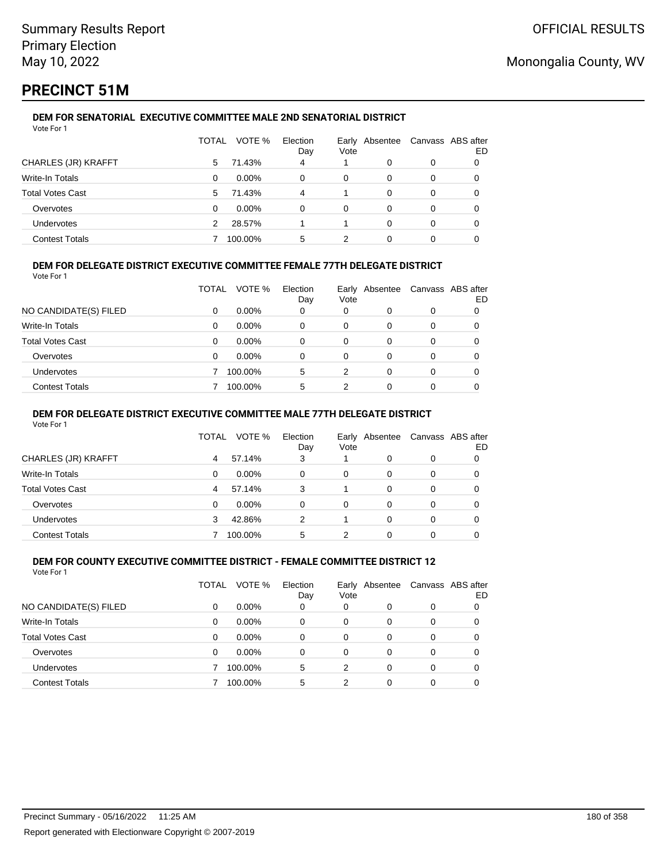# **PRECINCT 51M**

#### **DEM FOR SENATORIAL EXECUTIVE COMMITTEE MALE 2ND SENATORIAL DISTRICT** Vote For 1

|                         | TOTAL | VOTE %   | Election<br>Day | Vote | Early Absentee |   | Canvass ABS after<br>ED |
|-------------------------|-------|----------|-----------------|------|----------------|---|-------------------------|
| CHARLES (JR) KRAFFT     | 5     | 71.43%   | 4               |      | 0              | 0 |                         |
| Write-In Totals         | 0     | $0.00\%$ | 0               | 0    | 0              | 0 |                         |
| <b>Total Votes Cast</b> | 5     | 71.43%   | 4               |      | 0              | 0 |                         |
| Overvotes               | 0     | $0.00\%$ | 0               | 0    | 0              | 0 | 0                       |
| <b>Undervotes</b>       | 2     | 28.57%   |                 |      | 0              | 0 |                         |
| <b>Contest Totals</b>   |       | 100.00%  | 5               | 2    |                | 0 |                         |

### **DEM FOR DELEGATE DISTRICT EXECUTIVE COMMITTEE FEMALE 77TH DELEGATE DISTRICT**

Vote For 1

|                       | TOTAL | VOTE %   | Election<br>Day | Vote | Early Absentee | Canvass ABS after | ED |
|-----------------------|-------|----------|-----------------|------|----------------|-------------------|----|
| NO CANDIDATE(S) FILED | 0     | $0.00\%$ | 0               | 0    | O              | 0                 |    |
| Write-In Totals       | 0     | $0.00\%$ | 0               | 0    | 0              | 0                 |    |
| Total Votes Cast      | 0     | $0.00\%$ | 0               | 0    | 0              | 0                 |    |
| Overvotes             | 0     | $0.00\%$ | 0               | 0    | O              | 0                 |    |
| Undervotes            |       | 100.00%  | 5               | 2    | 0              | 0                 |    |
| <b>Contest Totals</b> |       | 100.00%  | 5               | 2    |                | 0                 |    |

### **DEM FOR DELEGATE DISTRICT EXECUTIVE COMMITTEE MALE 77TH DELEGATE DISTRICT**

Vote For 1

|                       | TOTAL | VOTE %   | Election<br>Day | Vote | Early Absentee |          | Canvass ABS after<br>ED |
|-----------------------|-------|----------|-----------------|------|----------------|----------|-------------------------|
| CHARLES (JR) KRAFFT   | 4     | 57.14%   | 3               |      | 0              | $\Omega$ |                         |
| Write-In Totals       | 0     | $0.00\%$ | 0               | 0    | 0              | 0        | 0                       |
| Total Votes Cast      | 4     | 57.14%   | 3               |      | 0              | 0        | 0                       |
| Overvotes             | 0     | $0.00\%$ | 0               | 0    | 0              | 0        |                         |
| Undervotes            | 3     | 42.86%   | 2               |      | 0              | 0        |                         |
| <b>Contest Totals</b> |       | 100.00%  | 5               |      |                |          |                         |

#### **DEM FOR COUNTY EXECUTIVE COMMITTEE DISTRICT - FEMALE COMMITTEE DISTRICT 12** Vote For 1

|                         | TOTAL | VOTE %   | Election<br>Day | Vote     | Early Absentee |   | Canvass ABS after<br>ED |
|-------------------------|-------|----------|-----------------|----------|----------------|---|-------------------------|
| NO CANDIDATE(S) FILED   | 0     | $0.00\%$ | 0               | 0        | 0              | 0 |                         |
| Write-In Totals         | 0     | $0.00\%$ | $\Omega$        | 0        | 0              | 0 |                         |
| <b>Total Votes Cast</b> | 0     | $0.00\%$ | 0               | 0        | 0              | 0 | 0                       |
| Overvotes               | 0     | $0.00\%$ | 0               | $\Omega$ | $\Omega$       | 0 | 0                       |
| Undervotes              |       | 100.00%  | 5               | 2        | 0              | 0 | 0                       |
| <b>Contest Totals</b>   |       | 100.00%  | 5               | 2        | 0              | 0 |                         |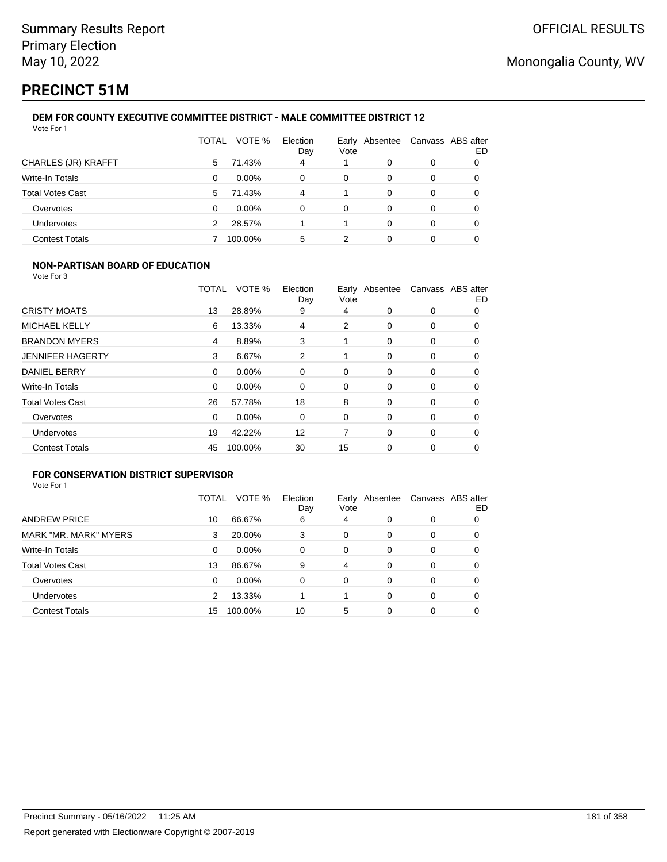# **PRECINCT 51M**

#### **DEM FOR COUNTY EXECUTIVE COMMITTEE DISTRICT - MALE COMMITTEE DISTRICT 12** Vote For 1

|                         | TOTAL | VOTE %   | Election<br>Day | Vote | Early Absentee | Canvass ABS after | ED |
|-------------------------|-------|----------|-----------------|------|----------------|-------------------|----|
| CHARLES (JR) KRAFFT     | 5     | 71.43%   | 4               |      | 0              | 0                 |    |
| Write-In Totals         | 0     | $0.00\%$ | 0               | 0    | 0              | 0                 |    |
| <b>Total Votes Cast</b> | 5     | 71.43%   | 4               |      | 0              | 0                 |    |
| Overvotes               | 0     | $0.00\%$ | 0               | 0    | 0              | 0                 |    |
| Undervotes              | 2     | 28.57%   |                 |      | 0              | 0                 |    |
| <b>Contest Totals</b>   |       | 100.00%  | 5               |      |                | 0                 |    |

### **NON-PARTISAN BOARD OF EDUCATION**

Vote For 3

|                         | TOTAL    | VOTE %  | Election<br>Day | Vote | Early Absentee |   | Canvass ABS after<br>ED |
|-------------------------|----------|---------|-----------------|------|----------------|---|-------------------------|
| <b>CRISTY MOATS</b>     | 13       | 28.89%  | 9               | 4    | $\Omega$       | 0 | 0                       |
| <b>MICHAEL KELLY</b>    | 6        | 13.33%  | 4               | 2    | 0              | 0 | 0                       |
| <b>BRANDON MYERS</b>    | 4        | 8.89%   | 3               |      | $\Omega$       | 0 | 0                       |
| <b>JENNIFER HAGERTY</b> | 3        | 6.67%   | 2               |      | 0              | 0 | 0                       |
| <b>DANIEL BERRY</b>     | $\Omega$ | 0.00%   | 0               | 0    | $\Omega$       | 0 | 0                       |
| Write-In Totals         | 0        | 0.00%   | 0               | 0    | 0              | 0 | 0                       |
| <b>Total Votes Cast</b> | 26       | 57.78%  | 18              | 8    | 0              | 0 | 0                       |
| Overvotes               | $\Omega$ | 0.00%   | 0               | 0    | $\Omega$       | 0 | 0                       |
| <b>Undervotes</b>       | 19       | 42.22%  | 12              | 7    | $\Omega$       | 0 | 0                       |
| <b>Contest Totals</b>   | 45       | 100.00% | 30              | 15   | 0              | 0 | 0                       |

## **FOR CONSERVATION DISTRICT SUPERVISOR**

| Vote For 1 |  |
|------------|--|
|------------|--|

|                         | TOTAL | VOTE %   | Election<br>Day | Early<br>Vote | Absentee | Canvass ABS after | ED |
|-------------------------|-------|----------|-----------------|---------------|----------|-------------------|----|
| <b>ANDREW PRICE</b>     | 10    | 66.67%   | 6               | 4             | 0        | 0                 |    |
| MARK "MR. MARK" MYERS   | 3     | 20.00%   | 3               | 0             | 0        | 0                 | O  |
| Write-In Totals         | 0     | $0.00\%$ | 0               | 0             | $\Omega$ | 0                 | 0  |
| <b>Total Votes Cast</b> | 13    | 86.67%   | 9               | 4             | $\Omega$ | 0                 |    |
| Overvotes               | 0     | $0.00\%$ | 0               | 0             | $\Omega$ | 0                 | 0  |
| <b>Undervotes</b>       | 2     | 13.33%   |                 |               | 0        | 0                 |    |
| <b>Contest Totals</b>   | 15    | 100.00%  | 10              | 5             | 0        | 0                 |    |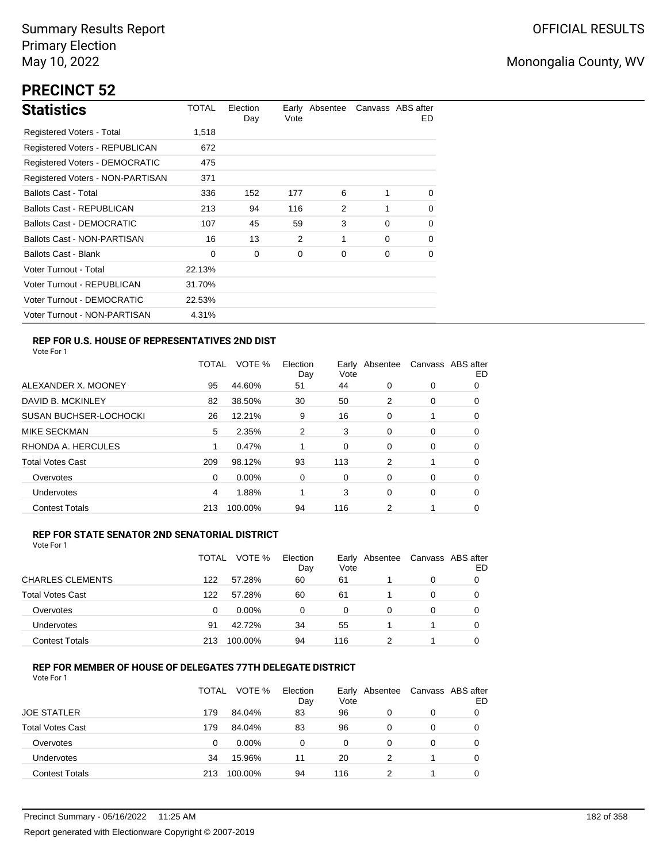# **PRECINCT 52**

| <b>Statistics</b>                | TOTAL  | Election<br>Day | Vote | Early Absentee |          | Canvass ABS after<br>ED. |
|----------------------------------|--------|-----------------|------|----------------|----------|--------------------------|
| Registered Voters - Total        | 1,518  |                 |      |                |          |                          |
| Registered Voters - REPUBLICAN   | 672    |                 |      |                |          |                          |
| Registered Voters - DEMOCRATIC   | 475    |                 |      |                |          |                          |
| Registered Voters - NON-PARTISAN | 371    |                 |      |                |          |                          |
| <b>Ballots Cast - Total</b>      | 336    | 152             | 177  | 6              | 1        | $\Omega$                 |
| <b>Ballots Cast - REPUBLICAN</b> | 213    | 94              | 116  | 2              |          | 0                        |
| <b>Ballots Cast - DEMOCRATIC</b> | 107    | 45              | 59   | 3              | $\Omega$ | 0                        |
| Ballots Cast - NON-PARTISAN      | 16     | 13              | 2    | 1              | $\Omega$ | 0                        |
| <b>Ballots Cast - Blank</b>      | 0      | 0               | 0    | 0              | 0        | 0                        |
| Voter Turnout - Total            | 22.13% |                 |      |                |          |                          |
| Voter Turnout - REPUBLICAN       | 31.70% |                 |      |                |          |                          |
| Voter Turnout - DEMOCRATIC       | 22.53% |                 |      |                |          |                          |
| Voter Turnout - NON-PARTISAN     | 4.31%  |                 |      |                |          |                          |

## **REP FOR U.S. HOUSE OF REPRESENTATIVES 2ND DIST**

Vote For 1

|                               | TOTAL | VOTE %   | Election<br>Day | Earlv<br>Vote | Absentee |   | Canvass ABS after<br>ED |
|-------------------------------|-------|----------|-----------------|---------------|----------|---|-------------------------|
| ALEXANDER X. MOONEY           | 95    | 44.60%   | 51              | 44            | 0        | 0 | O                       |
| DAVID B. MCKINLEY             | 82    | 38.50%   | 30              | 50            | 2        | 0 | O                       |
| <b>SUSAN BUCHSER-LOCHOCKI</b> | 26    | 12.21%   | 9               | 16            | 0        | 1 | 0                       |
| <b>MIKE SECKMAN</b>           | 5     | 2.35%    | 2               | 3             | 0        | 0 | 0                       |
| RHONDA A. HERCULES            |       | 0.47%    |                 | 0             | 0        | 0 | 0                       |
| <b>Total Votes Cast</b>       | 209   | 98.12%   | 93              | 113           | 2        |   | 0                       |
| Overvotes                     | 0     | $0.00\%$ | 0               | 0             | 0        | 0 | 0                       |
| Undervotes                    | 4     | 1.88%    |                 | 3             | 0        | 0 | 0                       |
| <b>Contest Totals</b>         | 213   | 100.00%  | 94              | 116           | 2        |   | 0                       |

### **REP FOR STATE SENATOR 2ND SENATORIAL DISTRICT**

Vote For 1

|                         | TOTAL | VOTE %   | Election<br>Day | Vote | Early Absentee | Canvass ABS after | ED |
|-------------------------|-------|----------|-----------------|------|----------------|-------------------|----|
| <b>CHARLES CLEMENTS</b> | 122   | 57.28%   | 60              | 61   |                | 0                 |    |
| <b>Total Votes Cast</b> | 122   | 57.28%   | 60              | 61   |                | 0                 |    |
| Overvotes               | 0     | $0.00\%$ | 0               | 0    | 0              | 0                 |    |
| <b>Undervotes</b>       | 91    | 42.72%   | 34              | 55   |                |                   | 0  |
| <b>Contest Totals</b>   | 213   | 100.00%  | 94              | 116  |                |                   |    |

## **REP FOR MEMBER OF HOUSE OF DELEGATES 77TH DELEGATE DISTRICT**

|                         | <b>TOTAL</b> | VOTE %   | Election<br>Day | Vote | Early Absentee | Canvass ABS after | ED |
|-------------------------|--------------|----------|-----------------|------|----------------|-------------------|----|
| <b>JOE STATLER</b>      | 179          | 84.04%   | 83              | 96   | 0              | 0                 |    |
| <b>Total Votes Cast</b> | 179          | 84.04%   | 83              | 96   | 0              | 0                 |    |
| Overvotes               | 0            | $0.00\%$ | 0               | 0    | 0              | $\Omega$          |    |
| <b>Undervotes</b>       | 34           | 15.96%   | 11              | 20   |                |                   |    |
| <b>Contest Totals</b>   | 213          | 100.00%  | 94              | 116  |                |                   |    |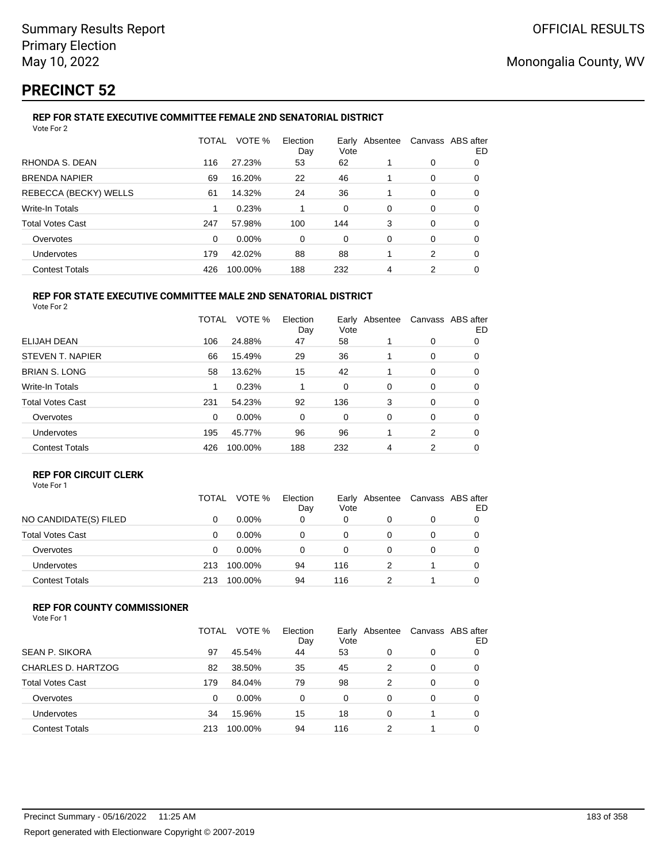# **PRECINCT 52**

## **REP FOR STATE EXECUTIVE COMMITTEE FEMALE 2ND SENATORIAL DISTRICT**

| Vote For 2              |       |         |                 |      |                |                   |    |
|-------------------------|-------|---------|-----------------|------|----------------|-------------------|----|
|                         | TOTAL | VOTE %  | Election<br>Day | Vote | Early Absentee | Canvass ABS after | ED |
| RHONDA S. DEAN          | 116   | 27.23%  | 53              | 62   |                | 0                 | 0  |
| <b>BRENDA NAPIER</b>    | 69    | 16.20%  | 22              | 46   |                | 0                 | 0  |
| REBECCA (BECKY) WELLS   | 61    | 14.32%  | 24              | 36   |                | 0                 | 0  |
| Write-In Totals         | 1     | 0.23%   |                 | 0    | 0              | 0                 | 0  |
| <b>Total Votes Cast</b> | 247   | 57.98%  | 100             | 144  | 3              | 0                 | 0  |
| Overvotes               | 0     | 0.00%   | 0               | 0    | 0              | 0                 | 0  |
| Undervotes              | 179   | 42.02%  | 88              | 88   |                | 2                 | 0  |
| <b>Contest Totals</b>   | 426   | 100.00% | 188             | 232  | 4              | 2                 | 0  |
|                         |       |         |                 |      |                |                   |    |

#### **REP FOR STATE EXECUTIVE COMMITTEE MALE 2ND SENATORIAL DISTRICT** Vote For 2

|                         | TOTAL | VOTE %   | Election<br>Day | Early<br>Vote | Absentee |   | Canvass ABS after<br>ED |
|-------------------------|-------|----------|-----------------|---------------|----------|---|-------------------------|
| ELIJAH DEAN             | 106   | 24.88%   | 47              | 58            |          | 0 | 0                       |
| STEVEN T. NAPIER        | 66    | 15.49%   | 29              | 36            |          | 0 | 0                       |
| <b>BRIAN S. LONG</b>    | 58    | 13.62%   | 15              | 42            |          | 0 | 0                       |
| <b>Write-In Totals</b>  |       | 0.23%    |                 | 0             | $\Omega$ | 0 | 0                       |
| <b>Total Votes Cast</b> | 231   | 54.23%   | 92              | 136           | 3        | 0 | 0                       |
| Overvotes               | 0     | $0.00\%$ | 0               | 0             | $\Omega$ | 0 | 0                       |
| Undervotes              | 195   | 45.77%   | 96              | 96            |          | 2 | 0                       |
| <b>Contest Totals</b>   | 426   | 100.00%  | 188             | 232           | 4        | 2 | 0                       |

### **REP FOR CIRCUIT CLERK**

|                         | TOTAL | VOTE %   | Election<br>Day | Early<br>Vote | Absentee | Canvass ABS after | ED |
|-------------------------|-------|----------|-----------------|---------------|----------|-------------------|----|
| NO CANDIDATE(S) FILED   | 0     | $0.00\%$ | 0               | 0             |          | 0                 |    |
| <b>Total Votes Cast</b> | 0     | $0.00\%$ | 0               | 0             |          | 0                 |    |
| Overvotes               | 0     | $0.00\%$ | 0               | 0             |          | 0                 |    |
| Undervotes              | 213   | 100.00%  | 94              | 116           |          |                   |    |
| <b>Contest Totals</b>   | 213   | 100.00%  | 94              | 116           |          |                   |    |

### **REP FOR COUNTY COMMISSIONER**

|                         | TOTAL | VOTE %   | Election<br>Day | Vote | Early Absentee | Canvass ABS after | ED |
|-------------------------|-------|----------|-----------------|------|----------------|-------------------|----|
| <b>SEAN P. SIKORA</b>   | 97    | 45.54%   | 44              | 53   | 0              | 0                 |    |
| CHARLES D. HARTZOG      | 82    | 38.50%   | 35              | 45   | 2              | 0                 | 0  |
| <b>Total Votes Cast</b> | 179   | 84.04%   | 79              | 98   | 2              | 0                 |    |
| Overvotes               | 0     | $0.00\%$ | 0               | 0    | 0              | 0                 |    |
| Undervotes              | 34    | 15.96%   | 15              | 18   | 0              |                   | 0  |
| <b>Contest Totals</b>   | 213   | 100.00%  | 94              | 116  | 2              |                   |    |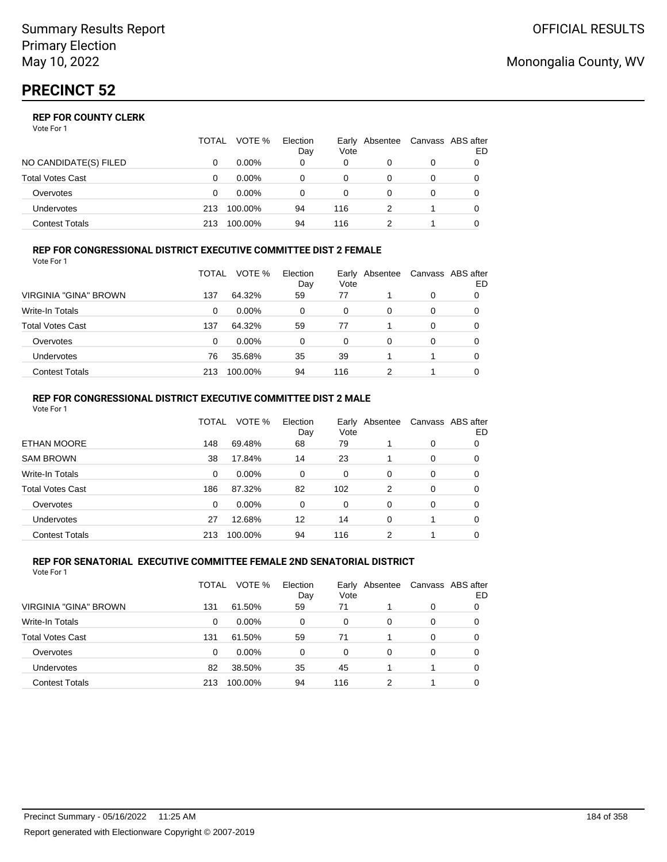|                         | TOTAL | VOTE %   | Election<br>Day | Vote | Early Absentee | Canvass ABS after | ED |
|-------------------------|-------|----------|-----------------|------|----------------|-------------------|----|
| NO CANDIDATE(S) FILED   |       | $0.00\%$ | 0               | 0    |                | 0                 |    |
| <b>Total Votes Cast</b> |       | $0.00\%$ |                 | 0    |                |                   |    |
| Overvotes               | Ω     | $0.00\%$ |                 | 0    |                | 0                 |    |
| <b>Undervotes</b>       | 213   | 100.00%  | 94              | 116  |                |                   |    |
| Contest Totals          | 213   | 100.00%  | 94              | 116  |                |                   |    |

#### **REP FOR CONGRESSIONAL DISTRICT EXECUTIVE COMMITTEE DIST 2 FEMALE**

| Vote For 1              |       |          |                 |      |                |   |                         |
|-------------------------|-------|----------|-----------------|------|----------------|---|-------------------------|
|                         | TOTAL | VOTE %   | Election<br>Day | Vote | Early Absentee |   | Canvass ABS after<br>ED |
| VIRGINIA "GINA" BROWN   | 137   | 64.32%   | 59              | 77   |                | 0 | O                       |
| <b>Write-In Totals</b>  | 0     | $0.00\%$ | 0               | 0    | 0              | 0 | 0                       |
| <b>Total Votes Cast</b> | 137   | 64.32%   | 59              | 77   |                | 0 | 0                       |
| Overvotes               | 0     | $0.00\%$ | 0               | 0    | 0              | 0 | 0                       |
| Undervotes              | 76    | 35.68%   | 35              | 39   |                |   | 0                       |
| <b>Contest Totals</b>   | 213   | 100.00%  | 94              | 116  | າ              |   |                         |

#### **REP FOR CONGRESSIONAL DISTRICT EXECUTIVE COMMITTEE DIST 2 MALE** Vote For 1

|                         | TOTAL    | VOTE %   | Election<br>Day | Earlv<br>Vote | Absentee |          | Canvass ABS after<br>ED |
|-------------------------|----------|----------|-----------------|---------------|----------|----------|-------------------------|
| <b>ETHAN MOORE</b>      | 148      | 69.48%   | 68              | 79            |          | 0        | 0                       |
| <b>SAM BROWN</b>        | 38       | 17.84%   | 14              | 23            |          | 0        | 0                       |
| Write-In Totals         | 0        | $0.00\%$ | 0               | $\Omega$      | 0        | 0        | 0                       |
| <b>Total Votes Cast</b> | 186      | 87.32%   | 82              | 102           | 2        | 0        | 0                       |
| Overvotes               | $\Omega$ | $0.00\%$ | 0               | $\Omega$      | 0        | $\Omega$ | 0                       |
| <b>Undervotes</b>       | 27       | 12.68%   | 12              | 14            | 0        |          | 0                       |
| <b>Contest Totals</b>   | 213      | 100.00%  | 94              | 116           | 2        |          | 0                       |
|                         |          |          |                 |               |          |          |                         |

#### **REP FOR SENATORIAL EXECUTIVE COMMITTEE FEMALE 2ND SENATORIAL DISTRICT** Vote For 1

|                         | TOTAL | VOTE %   | Election<br>Day | Vote | Early Absentee |          | Canvass ABS after<br>ED. |
|-------------------------|-------|----------|-----------------|------|----------------|----------|--------------------------|
| VIRGINIA "GINA" BROWN   | 131   | 61.50%   | 59              | 71   |                | 0        | 0                        |
| <b>Write-In Totals</b>  | 0     | $0.00\%$ | 0               | 0    | 0              | 0        | 0                        |
| <b>Total Votes Cast</b> | 131   | 61.50%   | 59              | 71   |                | $\Omega$ | 0                        |
| Overvotes               | 0     | $0.00\%$ | 0               | 0    | 0              | 0        | 0                        |
| Undervotes              | 82    | 38.50%   | 35              | 45   |                |          | 0                        |
| <b>Contest Totals</b>   | 213   | 100.00%  | 94              | 116  | 2              |          | 0                        |

# Monongalia County, WV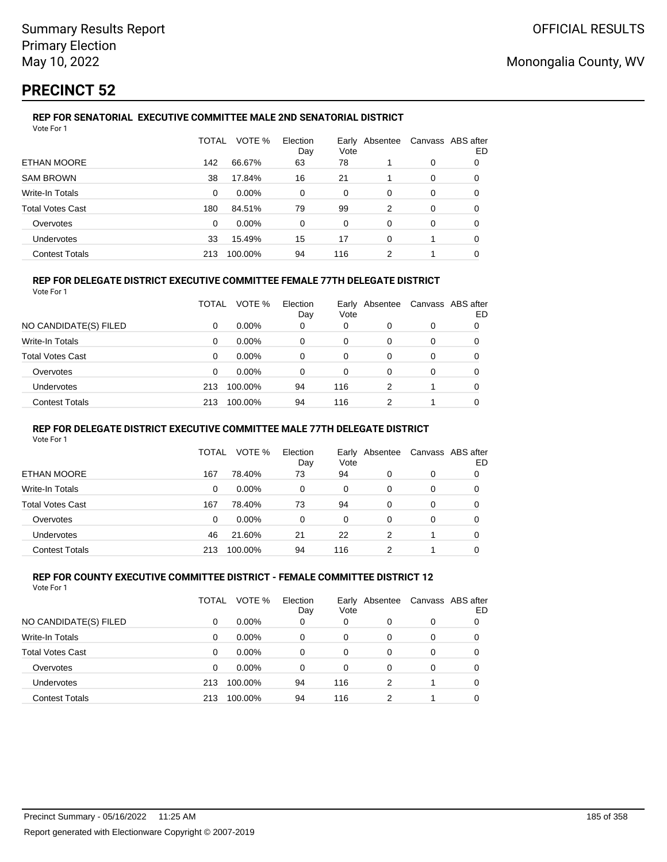# **PRECINCT 52**

#### **REP FOR SENATORIAL EXECUTIVE COMMITTEE MALE 2ND SENATORIAL DISTRICT** Vote For 1

|                         | TOTAL    | VOTE %   | Election<br>Day | Vote | Early Absentee | Canvass ABS after | ED |
|-------------------------|----------|----------|-----------------|------|----------------|-------------------|----|
| ETHAN MOORE             | 142      | 66.67%   | 63              | 78   |                | 0                 | 0  |
| <b>SAM BROWN</b>        | 38       | 17.84%   | 16              | 21   |                | 0                 | 0  |
| Write-In Totals         | $\Omega$ | $0.00\%$ | $\Omega$        | 0    | $\Omega$       | 0                 | 0  |
| <b>Total Votes Cast</b> | 180      | 84.51%   | 79              | 99   | 2              | 0                 | 0  |
| Overvotes               | 0        | $0.00\%$ | $\Omega$        | 0    | 0              | 0                 | 0  |
| <b>Undervotes</b>       | 33       | 15.49%   | 15              | 17   | 0              |                   | 0  |
| <b>Contest Totals</b>   | 213      | 100.00%  | 94              | 116  | 2              |                   | 0  |

### **REP FOR DELEGATE DISTRICT EXECUTIVE COMMITTEE FEMALE 77TH DELEGATE DISTRICT**

|--|

|                       | TOTAL | VOTE %   | Election<br>Day | Early<br>Vote | Absentee |   | Canvass ABS after<br>ED |
|-----------------------|-------|----------|-----------------|---------------|----------|---|-------------------------|
| NO CANDIDATE(S) FILED | 0     | $0.00\%$ | 0               | 0             |          | 0 | 0                       |
| Write-In Totals       | 0     | $0.00\%$ | 0               | 0             |          | 0 | 0                       |
| Total Votes Cast      | 0     | $0.00\%$ | 0               | 0             |          | 0 | 0                       |
| Overvotes             | 0     | $0.00\%$ | 0               | $\Omega$      | 0        | 0 | 0                       |
| Undervotes            | 213   | 100.00%  | 94              | 116           | 2        |   | 0                       |
| <b>Contest Totals</b> | 213   | 100.00%  | 94              | 116           | 2        |   | 0                       |

### **REP FOR DELEGATE DISTRICT EXECUTIVE COMMITTEE MALE 77TH DELEGATE DISTRICT**

Vote For 1

|                       | TOTAL | VOTE %   | Election<br>Day | Vote | Early Absentee | Canvass ABS after | ED |
|-----------------------|-------|----------|-----------------|------|----------------|-------------------|----|
| ETHAN MOORE           | 167   | 78.40%   | 73              | 94   | 0              | 0                 | 0  |
| Write-In Totals       | 0     | $0.00\%$ | 0               | 0    | 0              | 0                 | 0  |
| Total Votes Cast      | 167   | 78.40%   | 73              | 94   | 0              | 0                 |    |
| Overvotes             | 0     | $0.00\%$ | 0               | 0    | 0              | 0                 |    |
| Undervotes            | 46    | 21.60%   | 21              | 22   | 2              |                   |    |
| <b>Contest Totals</b> | 213   | 100.00%  | 94              | 116  |                |                   |    |

#### **REP FOR COUNTY EXECUTIVE COMMITTEE DISTRICT - FEMALE COMMITTEE DISTRICT 12** Vote For 1

|                         | TOTAL | VOTE %   | Election<br>Day | Early<br>Vote | Absentee | Canvass ABS after | ED |
|-------------------------|-------|----------|-----------------|---------------|----------|-------------------|----|
| NO CANDIDATE(S) FILED   | 0     | $0.00\%$ | 0               | 0             | 0        | 0                 |    |
| Write-In Totals         | 0     | $0.00\%$ | 0               | 0             | 0        | 0                 |    |
| <b>Total Votes Cast</b> | 0     | $0.00\%$ | 0               | 0             | 0        | 0                 | 0  |
| Overvotes               | 0     | $0.00\%$ | 0               | $\Omega$      | 0        | 0                 |    |
| Undervotes              | 213   | 100.00%  | 94              | 116           | 2        |                   |    |
| <b>Contest Totals</b>   | 213   | 100.00%  | 94              | 116           | 2        |                   |    |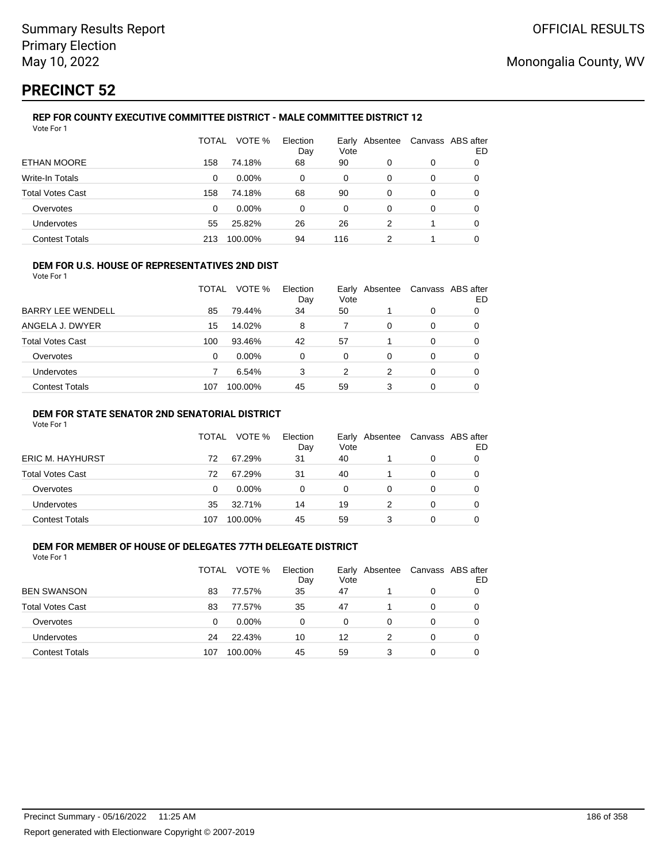# **PRECINCT 52**

#### **REP FOR COUNTY EXECUTIVE COMMITTEE DISTRICT - MALE COMMITTEE DISTRICT 12** Vote For 1

|                         | TOTAL | VOTE %   | Election<br>Day | Early<br>Vote | Absentee |   | Canvass ABS after<br>ED |
|-------------------------|-------|----------|-----------------|---------------|----------|---|-------------------------|
| ETHAN MOORE             | 158   | 74.18%   | 68              | 90            | 0        | 0 | O                       |
| Write-In Totals         | 0     | $0.00\%$ | 0               | 0             | 0        | 0 | 0                       |
| <b>Total Votes Cast</b> | 158   | 74.18%   | 68              | 90            | 0        | 0 | 0                       |
| Overvotes               | 0     | $0.00\%$ | 0               | 0             | 0        | 0 | 0                       |
| Undervotes              | 55    | 25.82%   | 26              | 26            | 2        |   | 0                       |
| <b>Contest Totals</b>   | 213   | 100.00%  | 94              | 116           | 2        | 1 |                         |

#### **DEM FOR U.S. HOUSE OF REPRESENTATIVES 2ND DIST**

Vote For 1

|                          | TOTAL | VOTE %   | Election<br>Day | Vote | Early Absentee | Canvass ABS after | ED |
|--------------------------|-------|----------|-----------------|------|----------------|-------------------|----|
| <b>BARRY LEE WENDELL</b> | 85    | 79.44%   | 34              | 50   |                | 0                 |    |
| ANGELA J. DWYER          | 15    | 14.02%   | 8               |      | 0              | 0                 |    |
| <b>Total Votes Cast</b>  | 100   | 93.46%   | 42              | 57   |                | 0                 |    |
| Overvotes                | 0     | $0.00\%$ | 0               | 0    | 0              | 0                 |    |
| <b>Undervotes</b>        |       | 6.54%    | 3               | 2    | 2              | 0                 |    |
| <b>Contest Totals</b>    | 107   | 100.00%  | 45              | 59   |                | 0                 |    |

### **DEM FOR STATE SENATOR 2ND SENATORIAL DISTRICT**

Vote For 1

|                       | <b>TOTAL</b> | VOTE %   | Election<br>Day | Vote | Early Absentee | Canvass ABS after | ED |
|-----------------------|--------------|----------|-----------------|------|----------------|-------------------|----|
| ERIC M. HAYHURST      | 72           | 67.29%   | 31              | 40   |                | 0                 |    |
| Total Votes Cast      | 72           | 67.29%   | 31              | 40   |                | 0                 |    |
| Overvotes             | 0            | $0.00\%$ | 0               | 0    | 0              | 0                 |    |
| Undervotes            | 35           | 32.71%   | 14              | 19   |                | 0                 |    |
| <b>Contest Totals</b> | 107          | 100.00%  | 45              | 59   |                | 0                 |    |

## **DEM FOR MEMBER OF HOUSE OF DELEGATES 77TH DELEGATE DISTRICT**

| Vote For 1              |       |          |                 |               |          |   |                         |
|-------------------------|-------|----------|-----------------|---------------|----------|---|-------------------------|
|                         | TOTAL | VOTE %   | Election<br>Day | Early<br>Vote | Absentee |   | Canvass ABS after<br>ED |
| <b>BEN SWANSON</b>      | 83    | 77.57%   | 35              | 47            |          | 0 |                         |
| <b>Total Votes Cast</b> | 83    | 77.57%   | 35              | 47            |          | 0 |                         |
| Overvotes               | 0     | $0.00\%$ | $\Omega$        | 0             | 0        | 0 |                         |
| <b>Undervotes</b>       | 24    | 22.43%   | 10              | 12            | 2        | 0 |                         |
| <b>Contest Totals</b>   | 107   | 100.00%  | 45              | 59            | 3        | 0 |                         |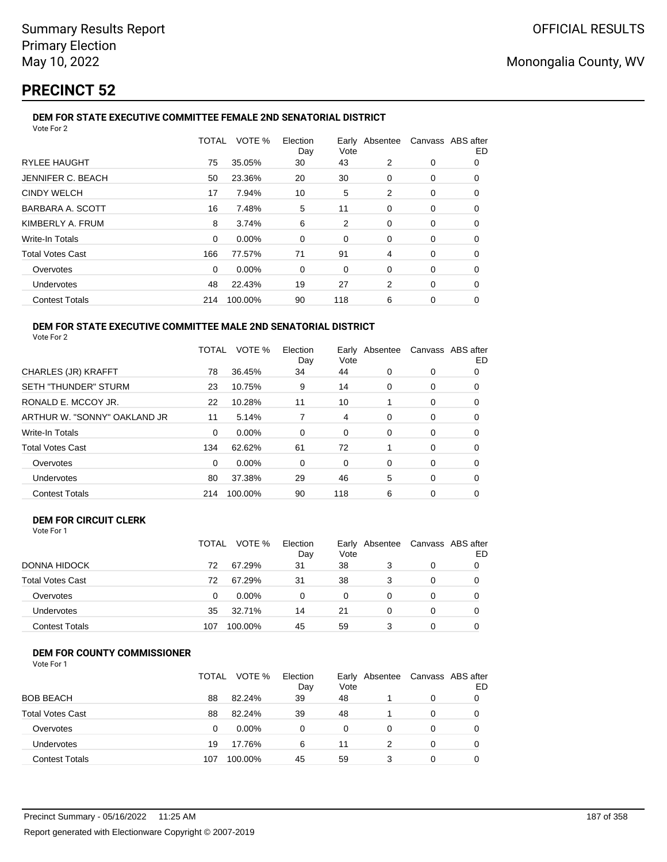# **PRECINCT 52**

#### **DEM FOR STATE EXECUTIVE COMMITTEE FEMALE 2ND SENATORIAL DISTRICT** Vote For 2

|                         | TOTAL    | VOTE %  | Election<br>Day | Vote |          | Early Absentee Canvass ABS after | ED |
|-------------------------|----------|---------|-----------------|------|----------|----------------------------------|----|
| <b>RYLEE HAUGHT</b>     | 75       | 35.05%  | 30              | 43   | 2        | 0                                | 0  |
| JENNIFER C. BEACH       | 50       | 23.36%  | 20              | 30   | 0        | 0                                | 0  |
| <b>CINDY WELCH</b>      | 17       | 7.94%   | 10              | 5    | 2        | 0                                | 0  |
| BARBARA A. SCOTT        | 16       | 7.48%   | 5               | 11   | 0        | 0                                | 0  |
| KIMBERLY A. FRUM        | 8        | 3.74%   | 6               | 2    | 0        | 0                                | 0  |
| Write-In Totals         | $\Omega$ | 0.00%   | $\Omega$        | 0    | $\Omega$ | 0                                | 0  |
| <b>Total Votes Cast</b> | 166      | 77.57%  | 71              | 91   | 4        | 0                                | 0  |
| Overvotes               | 0        | 0.00%   | 0               | 0    | 0        | 0                                | 0  |
| <b>Undervotes</b>       | 48       | 22.43%  | 19              | 27   | 2        | 0                                | 0  |
| <b>Contest Totals</b>   | 214      | 100.00% | 90              | 118  | 6        | 0                                | 0  |
|                         |          |         |                 |      |          |                                  |    |

#### **DEM FOR STATE EXECUTIVE COMMITTEE MALE 2ND SENATORIAL DISTRICT** Vote For 2

|                              | TOTAL | VOTE %   | Election<br>Day | Vote | Early Absentee | Canvass ABS after | ED |
|------------------------------|-------|----------|-----------------|------|----------------|-------------------|----|
| <b>CHARLES (JR) KRAFFT</b>   | 78    | 36.45%   | 34              | 44   | 0              | 0                 | 0  |
| <b>SETH "THUNDER" STURM</b>  | 23    | 10.75%   | 9               | 14   | 0              | 0                 | 0  |
| RONALD E. MCCOY JR.          | 22    | 10.28%   | 11              | 10   |                | 0                 | 0  |
| ARTHUR W. "SONNY" OAKLAND JR | 11    | 5.14%    | 7               | 4    | 0              | 0                 | 0  |
| <b>Write-In Totals</b>       | 0     | $0.00\%$ | 0               | 0    | $\Omega$       | 0                 | O  |
| <b>Total Votes Cast</b>      | 134   | 62.62%   | 61              | 72   |                | $\Omega$          | 0  |
| Overvotes                    | 0     | $0.00\%$ | 0               | 0    | $\Omega$       | 0                 | 0  |
| <b>Undervotes</b>            | 80    | 37.38%   | 29              | 46   | 5              | 0                 | 0  |
| <b>Contest Totals</b>        | 214   | 100.00%  | 90              | 118  | 6              | 0                 | 0  |

## **DEM FOR CIRCUIT CLERK**

| Vote For 1 |  |
|------------|--|
|------------|--|

|                       | <b>TOTAL</b> | VOTE %   | Election<br>Day | Vote     | Early Absentee | Canvass ABS after | ED |
|-----------------------|--------------|----------|-----------------|----------|----------------|-------------------|----|
| DONNA HIDOCK          | 72           | 67.29%   | 31              | 38       | 3              | 0                 |    |
| Total Votes Cast      | 72           | 67.29%   | 31              | 38       | 3              | 0                 |    |
| Overvotes             | 0            | $0.00\%$ | 0               | $\Omega$ |                |                   |    |
| <b>Undervotes</b>     | 35           | 32.71%   | 14              | 21       |                | 0                 | 0  |
| <b>Contest Totals</b> | 107          | 100.00%  | 45              | 59       |                |                   |    |

## **DEM FOR COUNTY COMMISSIONER**

| Vote For 1 |  |  |
|------------|--|--|
|------------|--|--|

|                         | <b>TOTAL</b> | VOTE %   | Election<br>Day | Vote | Early Absentee | Canvass ABS after | ED |
|-------------------------|--------------|----------|-----------------|------|----------------|-------------------|----|
| <b>BOB BEACH</b>        | 88           | 82.24%   | 39              | 48   |                | 0                 |    |
| <b>Total Votes Cast</b> | 88           | 82.24%   | 39              | 48   |                | $\Omega$          |    |
| Overvotes               | 0            | $0.00\%$ | 0               | 0    | 0              | 0                 |    |
| Undervotes              | 19           | 17.76%   | 6               | 11   |                | 0                 |    |
| <b>Contest Totals</b>   | 107          | 100.00%  | 45              | 59   | 3              | 0                 |    |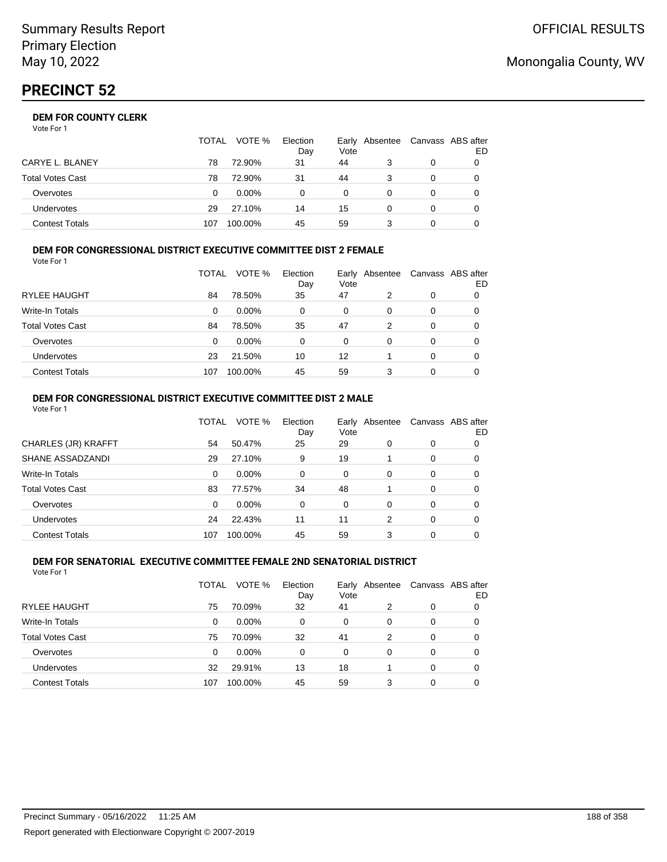|                       | <b>TOTAL</b> | VOTE %   | Election<br>Day | Early Absentee<br>Vote |   | Canvass ABS after | ED |
|-----------------------|--------------|----------|-----------------|------------------------|---|-------------------|----|
| CARYE L. BLANEY       | 78           | 72.90%   | 31              | 44                     |   | 0                 |    |
| Total Votes Cast      | 78           | 72.90%   | 31              | 44                     |   | 0                 |    |
| Overvotes             | 0            | $0.00\%$ | 0               | 0                      |   | 0                 |    |
| Undervotes            | 29           | 27.10%   | 14              | 15                     | 0 | 0                 |    |
| <b>Contest Totals</b> | 107          | 100.00%  | 45              | 59                     |   |                   |    |

#### **DEM FOR CONGRESSIONAL DISTRICT EXECUTIVE COMMITTEE DIST 2 FEMALE** Vote For 1

| 1 J J J J J J           |       |          |                 |      |                |   |                         |
|-------------------------|-------|----------|-----------------|------|----------------|---|-------------------------|
|                         | TOTAL | VOTE %   | Election<br>Day | Vote | Early Absentee |   | Canvass ABS after<br>ED |
| RYLEE HAUGHT            | 84    | 78.50%   | 35              | 47   | 2              | 0 |                         |
| Write-In Totals         | 0     | $0.00\%$ | $\Omega$        | 0    | 0              | 0 | 0                       |
| <b>Total Votes Cast</b> | 84    | 78.50%   | 35              | 47   | 2              | 0 |                         |
| Overvotes               | 0     | $0.00\%$ | $\Omega$        | 0    | 0              | 0 |                         |
| Undervotes              | 23    | 21.50%   | 10              | 12   |                | 0 |                         |
| <b>Contest Totals</b>   | 107   | 100.00%  | 45              | 59   | 3              | 0 |                         |

#### **DEM FOR CONGRESSIONAL DISTRICT EXECUTIVE COMMITTEE DIST 2 MALE** Vote For 1

|                         | TOTAL    | VOTE %  | Election<br>Day | Early<br>Vote | Absentee |          | Canvass ABS after<br>ED. |
|-------------------------|----------|---------|-----------------|---------------|----------|----------|--------------------------|
| CHARLES (JR) KRAFFT     | 54       | 50.47%  | 25              | 29            | $\Omega$ | 0        | 0                        |
| SHANE ASSADZANDI        | 29       | 27.10%  | 9               | 19            |          | $\Omega$ | 0                        |
| Write-In Totals         | 0        | 0.00%   | 0               | $\Omega$      | $\Omega$ | $\Omega$ | 0                        |
| <b>Total Votes Cast</b> | 83       | 77.57%  | 34              | 48            |          | $\Omega$ | 0                        |
| Overvotes               | $\Omega$ | 0.00%   | 0               | $\Omega$      | $\Omega$ | $\Omega$ | 0                        |
| Undervotes              | 24       | 22.43%  | 11              | 11            | 2        | $\Omega$ | 0                        |
| <b>Contest Totals</b>   | 107      | 100.00% | 45              | 59            | 3        | $\Omega$ | 0                        |

#### **DEM FOR SENATORIAL EXECUTIVE COMMITTEE FEMALE 2ND SENATORIAL DISTRICT** Vote For 1

|                         | TOTAL | VOTE %   | Election<br>Day | Vote     | Early Absentee |          | Canvass ABS after<br>ED |
|-------------------------|-------|----------|-----------------|----------|----------------|----------|-------------------------|
| <b>RYLEE HAUGHT</b>     | 75    | 70.09%   | 32              | 41       | 2              | 0        | 0                       |
| Write-In Totals         | 0     | $0.00\%$ | $\Omega$        | 0        | 0              | $\Omega$ | 0                       |
| <b>Total Votes Cast</b> | 75    | 70.09%   | 32              | 41       | 2              | $\Omega$ | 0                       |
| Overvotes               | 0     | $0.00\%$ | $\Omega$        | $\Omega$ | 0              | $\Omega$ | 0                       |
| Undervotes              | 32    | 29.91%   | 13              | 18       |                | $\Omega$ | 0                       |
| <b>Contest Totals</b>   | 107   | 100.00%  | 45              | 59       | 3              | $\Omega$ |                         |

# Monongalia County, WV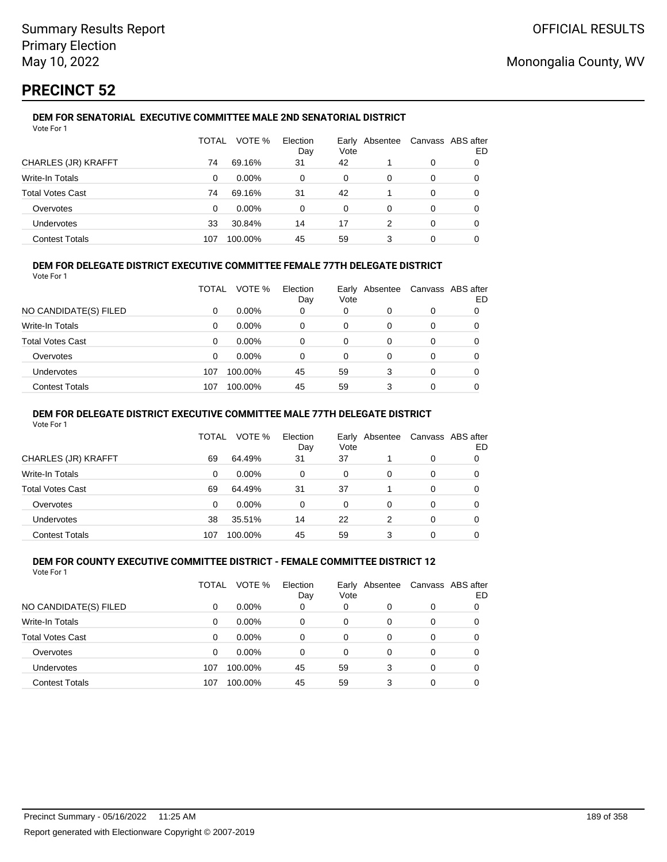# **PRECINCT 52**

Vote For 1

## **DEM FOR SENATORIAL EXECUTIVE COMMITTEE MALE 2ND SENATORIAL DISTRICT**

|                         | TOTAL | VOTE %   | Election<br>Day | Vote | Early Absentee |   | Canvass ABS after<br>ED |
|-------------------------|-------|----------|-----------------|------|----------------|---|-------------------------|
| CHARLES (JR) KRAFFT     | 74    | 69.16%   | 31              | 42   |                | 0 |                         |
| <b>Write-In Totals</b>  | 0     | $0.00\%$ | 0               | 0    | 0              | 0 |                         |
| <b>Total Votes Cast</b> | 74    | 69.16%   | 31              | 42   |                | 0 |                         |
| Overvotes               | 0     | $0.00\%$ | 0               | 0    | 0              | 0 |                         |
| Undervotes              | 33    | 30.84%   | 14              | 17   | 2              | 0 | 0                       |
| <b>Contest Totals</b>   | 107   | 100.00%  | 45              | 59   | 3              | 0 |                         |

## **DEM FOR DELEGATE DISTRICT EXECUTIVE COMMITTEE FEMALE 77TH DELEGATE DISTRICT**

Vote For 1

|                       | TOTAL | VOTE %   | Election<br>Day | Vote | Early Absentee | Canvass ABS after | ED |
|-----------------------|-------|----------|-----------------|------|----------------|-------------------|----|
| NO CANDIDATE(S) FILED | 0     | $0.00\%$ | 0               | 0    | O              | 0                 |    |
| Write-In Totals       | 0     | $0.00\%$ | 0               | 0    | 0              | 0                 |    |
| Total Votes Cast      | 0     | $0.00\%$ | 0               | 0    | 0              | 0                 |    |
| Overvotes             | 0     | 0.00%    | 0               | 0    | 0              | 0                 |    |
| <b>Undervotes</b>     | 107   | 100.00%  | 45              | 59   | 3              | 0                 |    |
| <b>Contest Totals</b> | 107   | 100.00%  | 45              | 59   |                | 0                 |    |

### **DEM FOR DELEGATE DISTRICT EXECUTIVE COMMITTEE MALE 77TH DELEGATE DISTRICT**

Vote For 1

|                       | TOTAL | VOTE %   | Election<br>Day | Vote | Early Absentee |          | Canvass ABS after<br>ED |
|-----------------------|-------|----------|-----------------|------|----------------|----------|-------------------------|
| CHARLES (JR) KRAFFT   | 69    | 64.49%   | 31              | 37   |                | 0        |                         |
| Write-In Totals       | 0     | $0.00\%$ | 0               | 0    | 0              | 0        | 0                       |
| Total Votes Cast      | 69    | 64.49%   | 31              | 37   |                | $\Omega$ | 0                       |
| Overvotes             | 0     | $0.00\%$ | 0               | 0    | 0              | 0        |                         |
| <b>Undervotes</b>     | 38    | 35.51%   | 14              | 22   | 2              | 0        | 0                       |
| <b>Contest Totals</b> | 107   | 100.00%  | 45              | 59   | 3              |          |                         |

#### **DEM FOR COUNTY EXECUTIVE COMMITTEE DISTRICT - FEMALE COMMITTEE DISTRICT 12** Vote For 1

|                         | TOTAL    | VOTE %   | Election<br>Day | Vote     | Early Absentee |          | Canvass ABS after<br>ED |
|-------------------------|----------|----------|-----------------|----------|----------------|----------|-------------------------|
| NO CANDIDATE(S) FILED   | 0        | $0.00\%$ | 0               | 0        | 0              | 0        |                         |
| Write-In Totals         | 0        | $0.00\%$ | 0               | 0        | $\Omega$       | 0        | 0                       |
| <b>Total Votes Cast</b> | $\Omega$ | $0.00\%$ | $\Omega$        | 0        | 0              | 0        | 0                       |
| Overvotes               | $\Omega$ | $0.00\%$ | $\Omega$        | $\Omega$ | 0              | 0        | 0                       |
| Undervotes              | 107      | 100.00%  | 45              | 59       | 3              | $\Omega$ | 0                       |
| <b>Contest Totals</b>   | 107      | 100.00%  | 45              | 59       | 3              | 0        |                         |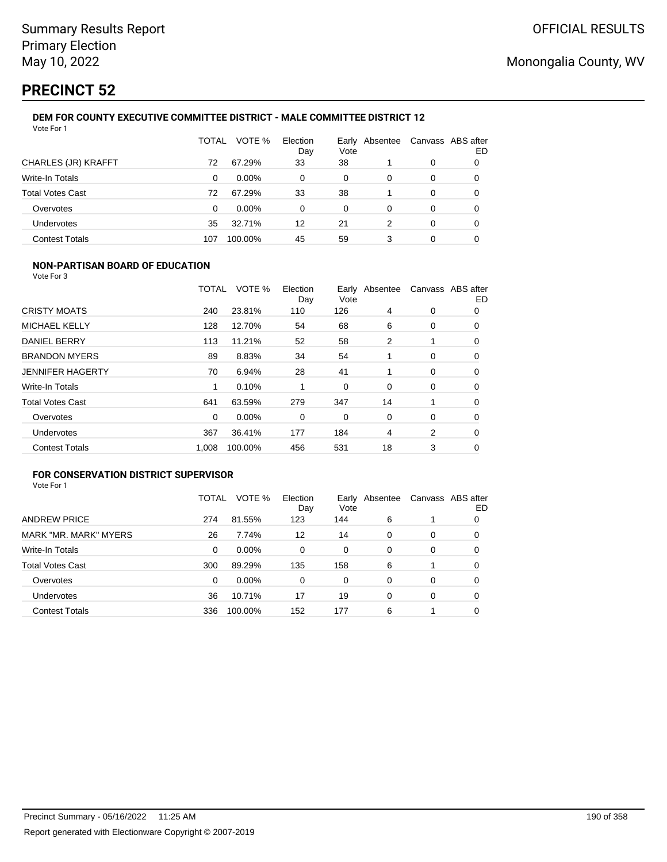# **PRECINCT 52**

#### **DEM FOR COUNTY EXECUTIVE COMMITTEE DISTRICT - MALE COMMITTEE DISTRICT 12** Vote For 1

|                         | TOTAL | VOTE %   | Election<br>Day | Vote | Early Absentee | Canvass ABS after | ED |
|-------------------------|-------|----------|-----------------|------|----------------|-------------------|----|
| CHARLES (JR) KRAFFT     | 72    | 67.29%   | 33              | 38   |                | 0                 | O  |
| Write-In Totals         | 0     | $0.00\%$ | 0               | 0    | 0              | 0                 | 0  |
| <b>Total Votes Cast</b> | 72    | 67.29%   | 33              | 38   |                | 0                 | 0  |
| Overvotes               | 0     | $0.00\%$ | 0               | 0    | 0              | 0                 | 0  |
| Undervotes              | 35    | 32.71%   | 12              | 21   | 2              | $\Omega$          | 0  |
| <b>Contest Totals</b>   | 107   | 100.00%  | 45              | 59   | 3              | 0                 |    |

## **NON-PARTISAN BOARD OF EDUCATION**

Vote For 3

|                         | TOTAL    | VOTE %  | Election<br>Day | Vote | Early Absentee |             | Canvass ABS after<br>ED |
|-------------------------|----------|---------|-----------------|------|----------------|-------------|-------------------------|
| <b>CRISTY MOATS</b>     | 240      | 23.81%  | 110             | 126  | 4              | 0           | 0                       |
| MICHAEL KELLY           | 128      | 12.70%  | 54              | 68   | 6              | 0           | 0                       |
| DANIEL BERRY            | 113      | 11.21%  | 52              | 58   | $\overline{2}$ |             | 0                       |
| <b>BRANDON MYERS</b>    | 89       | 8.83%   | 34              | 54   |                | 0           | 0                       |
| <b>JENNIFER HAGERTY</b> | 70       | 6.94%   | 28              | 41   |                | $\mathbf 0$ | 0                       |
| <b>Write-In Totals</b>  | 1        | 0.10%   |                 | 0    | $\Omega$       | 0           | 0                       |
| <b>Total Votes Cast</b> | 641      | 63.59%  | 279             | 347  | 14             |             | 0                       |
| Overvotes               | $\Omega$ | 0.00%   | 0               | 0    | 0              | 0           | $\Omega$                |
| Undervotes              | 367      | 36.41%  | 177             | 184  | 4              | 2           | 0                       |
| <b>Contest Totals</b>   | 1,008    | 100.00% | 456             | 531  | 18             | 3           | 0                       |

#### **FOR CONSERVATION DISTRICT SUPERVISOR** Vote For 1

|                         | TOTAL | VOTE %   | Election<br>Day | Vote | Early Absentee |   | Canvass ABS after<br>ED |
|-------------------------|-------|----------|-----------------|------|----------------|---|-------------------------|
| <b>ANDREW PRICE</b>     | 274   | 81.55%   | 123             | 144  | 6              |   | 0                       |
| MARK "MR. MARK" MYERS   | 26    | 7.74%    | 12              | 14   | $\Omega$       | 0 | 0                       |
| <b>Write-In Totals</b>  | 0     | 0.00%    | 0               | 0    | $\Omega$       | 0 | 0                       |
| <b>Total Votes Cast</b> | 300   | 89.29%   | 135             | 158  | 6              |   | 0                       |
| Overvotes               | 0     | $0.00\%$ | 0               | 0    | $\Omega$       | 0 | $\Omega$                |
| <b>Undervotes</b>       | 36    | 10.71%   | 17              | 19   | $\Omega$       | 0 | 0                       |
| <b>Contest Totals</b>   | 336   | 100.00%  | 152             | 177  | 6              |   |                         |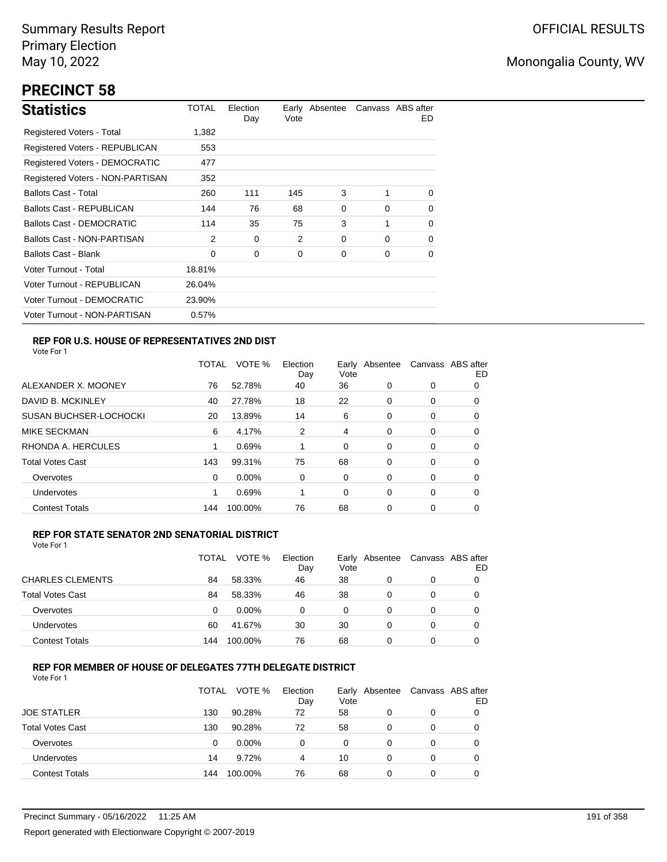# **PRECINCT 58**

| <b>Statistics</b>                     | TOTAL  | Election<br>Day | Vote | Early Absentee |          | Canvass ABS after<br>ED. |
|---------------------------------------|--------|-----------------|------|----------------|----------|--------------------------|
| Registered Voters - Total             | 1,382  |                 |      |                |          |                          |
| Registered Voters - REPUBLICAN        | 553    |                 |      |                |          |                          |
| <b>Registered Voters - DEMOCRATIC</b> | 477    |                 |      |                |          |                          |
| Registered Voters - NON-PARTISAN      | 352    |                 |      |                |          |                          |
| <b>Ballots Cast - Total</b>           | 260    | 111             | 145  | 3              |          | $\Omega$                 |
| Ballots Cast - REPUBLICAN             | 144    | 76              | 68   | 0              | $\Omega$ | $\Omega$                 |
| <b>Ballots Cast - DEMOCRATIC</b>      | 114    | 35              | 75   | 3              | 1        | 0                        |
| Ballots Cast - NON-PARTISAN           | 2      | 0               | 2    | 0              | $\Omega$ | 0                        |
| <b>Ballots Cast - Blank</b>           | 0      | 0               | 0    | 0              | 0        | 0                        |
| Voter Turnout - Total                 | 18.81% |                 |      |                |          |                          |
| Voter Turnout - REPUBLICAN            | 26.04% |                 |      |                |          |                          |
| Voter Turnout - DEMOCRATIC            | 23.90% |                 |      |                |          |                          |
| Voter Turnout - NON-PARTISAN          | 0.57%  |                 |      |                |          |                          |

## **REP FOR U.S. HOUSE OF REPRESENTATIVES 2ND DIST**

Vote For 1

|                               | TOTAL | VOTE %   | Election<br>Day | Earlv<br>Vote | Absentee |   | Canvass ABS after<br>ED |
|-------------------------------|-------|----------|-----------------|---------------|----------|---|-------------------------|
| ALEXANDER X. MOONEY           | 76    | 52.78%   | 40              | 36            | 0        | 0 | O                       |
| DAVID B. MCKINLEY             | 40    | 27.78%   | 18              | 22            | 0        | 0 | 0                       |
| <b>SUSAN BUCHSER-LOCHOCKI</b> | 20    | 13.89%   | 14              | 6             | 0        | 0 | 0                       |
| <b>MIKE SECKMAN</b>           | 6     | 4.17%    | 2               | 4             | 0        | 0 | 0                       |
| RHONDA A. HERCULES            |       | 0.69%    |                 | 0             | 0        | 0 | 0                       |
| <b>Total Votes Cast</b>       | 143   | 99.31%   | 75              | 68            | 0        | 0 | 0                       |
| Overvotes                     | 0     | $0.00\%$ | 0               | 0             | 0        | 0 | 0                       |
| <b>Undervotes</b>             |       | 0.69%    |                 | 0             | 0        | 0 | 0                       |
| <b>Contest Totals</b>         | 144   | 100.00%  | 76              | 68            | 0        | 0 | 0                       |

### **REP FOR STATE SENATOR 2ND SENATORIAL DISTRICT**

Vote For 1

|                         | TOTAL | VOTE %   | Election<br>Day | Early<br>Vote | Absentee | Canvass ABS after | ED |
|-------------------------|-------|----------|-----------------|---------------|----------|-------------------|----|
| <b>CHARLES CLEMENTS</b> | 84    | 58.33%   | 46              | 38            | 0        | 0                 |    |
| <b>Total Votes Cast</b> | 84    | 58.33%   | 46              | 38            | 0        | 0                 |    |
| Overvotes               | 0     | $0.00\%$ | 0               | 0             | 0        | 0                 |    |
| <b>Undervotes</b>       | 60    | 41.67%   | 30              | 30            | 0        | 0                 |    |
| <b>Contest Totals</b>   | 144   | 100.00%  | 76              | 68            | 0        | 0                 |    |

### **REP FOR MEMBER OF HOUSE OF DELEGATES 77TH DELEGATE DISTRICT**

|                         | TOTAL | VOTE %  | Election<br>Day | Vote | Early Absentee | Canvass ABS after | ED |
|-------------------------|-------|---------|-----------------|------|----------------|-------------------|----|
| <b>JOE STATLER</b>      | 130   | 90.28%  | 72              | 58   | 0              | 0                 |    |
| <b>Total Votes Cast</b> | 130   | 90.28%  | 72              | 58   | $\Omega$       | 0                 |    |
| Overvotes               | 0     | 0.00%   | 0               | 0    | $\Omega$       | 0                 |    |
| Undervotes              | 14    | 9.72%   | 4               | 10   | 0              | 0                 |    |
| <b>Contest Totals</b>   | 144   | 100.00% | 76              | 68   | 0              | 0                 |    |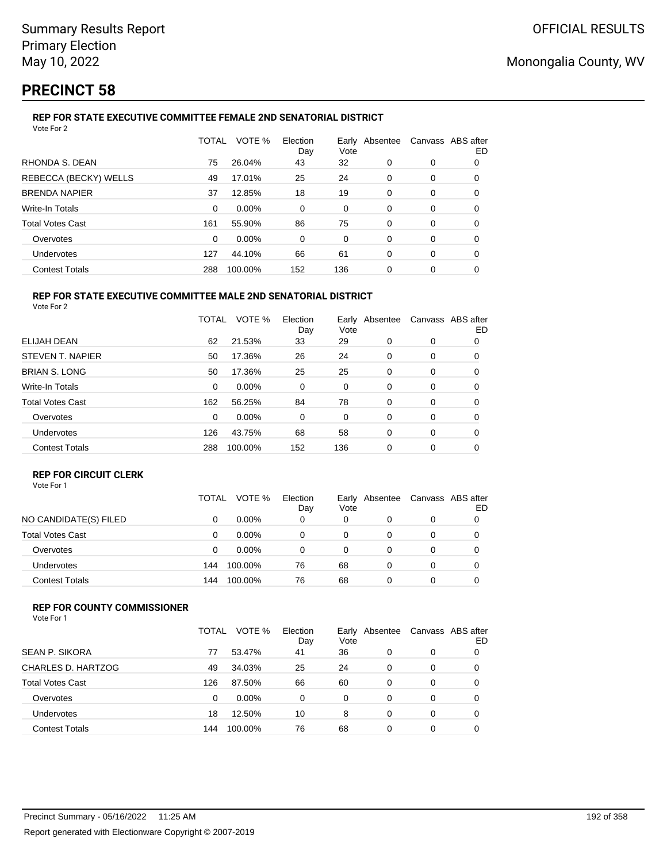# **PRECINCT 58**

## **REP FOR STATE EXECUTIVE COMMITTEE FEMALE 2ND SENATORIAL DISTRICT**

| Vote For 2              |              |         |                 |      |                |                   |    |
|-------------------------|--------------|---------|-----------------|------|----------------|-------------------|----|
|                         | <b>TOTAL</b> | VOTE %  | Election<br>Day | Vote | Early Absentee | Canvass ABS after | ED |
| RHONDA S. DEAN          | 75           | 26.04%  | 43              | 32   | 0              | 0                 | 0  |
| REBECCA (BECKY) WELLS   | 49           | 17.01%  | 25              | 24   | 0              | 0                 | 0  |
| <b>BRENDA NAPIER</b>    | 37           | 12.85%  | 18              | 19   | 0              | 0                 | 0  |
| <b>Write-In Totals</b>  | $\Omega$     | 0.00%   | 0               | 0    | 0              | 0                 | 0  |
| <b>Total Votes Cast</b> | 161          | 55.90%  | 86              | 75   | 0              | 0                 | 0  |
| Overvotes               | $\Omega$     | 0.00%   | 0               | 0    | 0              | 0                 | 0  |
| <b>Undervotes</b>       | 127          | 44.10%  | 66              | 61   | 0              | 0                 | 0  |
| <b>Contest Totals</b>   | 288          | 100.00% | 152             | 136  | 0              | 0                 | 0  |
|                         |              |         |                 |      |                |                   |    |

#### **REP FOR STATE EXECUTIVE COMMITTEE MALE 2ND SENATORIAL DISTRICT** Vote For 2

|                         | TOTAL | VOTE %   | Election<br>Day | Earlv<br>Vote | Absentee |   | Canvass ABS after<br>ED |
|-------------------------|-------|----------|-----------------|---------------|----------|---|-------------------------|
| ELIJAH DEAN             | 62    | 21.53%   | 33              | 29            | 0        | 0 | 0                       |
| STEVEN T. NAPIER        | 50    | 17.36%   | 26              | 24            | 0        | 0 | 0                       |
| <b>BRIAN S. LONG</b>    | 50    | 17.36%   | 25              | 25            | 0        | 0 | 0                       |
| <b>Write-In Totals</b>  | 0     | $0.00\%$ | 0               | 0             | 0        | 0 | 0                       |
| <b>Total Votes Cast</b> | 162   | 56.25%   | 84              | 78            | 0        | 0 | 0                       |
| Overvotes               | 0     | 0.00%    | 0               | 0             | 0        | 0 | 0                       |
| Undervotes              | 126   | 43.75%   | 68              | 58            | 0        | 0 | 0                       |
| <b>Contest Totals</b>   | 288   | 100.00%  | 152             | 136           | 0        | 0 | 0                       |

### **REP FOR CIRCUIT CLERK**

|                         | TOTAL | VOTE %   | Election<br>Day | Earlv<br>Vote | Absentee | Canvass ABS after | ED |
|-------------------------|-------|----------|-----------------|---------------|----------|-------------------|----|
| NO CANDIDATE(S) FILED   |       | $0.00\%$ | 0               | 0             |          | 0                 |    |
| <b>Total Votes Cast</b> | Ω     | $0.00\%$ | 0               | 0             |          | 0                 |    |
| Overvotes               | 0     | $0.00\%$ | o               | 0             |          | 0                 |    |
| <b>Undervotes</b>       | 144   | 100.00%  | 76              | 68            |          | 0                 |    |
| <b>Contest Totals</b>   | 144   | 100.00%  | 76              | 68            |          |                   |    |

### **REP FOR COUNTY COMMISSIONER**

|                         | TOTAL | VOTE %  | Election<br>Day | Early<br>Vote | Absentee | Canvass ABS after | ED |
|-------------------------|-------|---------|-----------------|---------------|----------|-------------------|----|
| <b>SEAN P. SIKORA</b>   | 77    | 53.47%  | 41              | 36            | 0        | 0                 |    |
| CHARLES D. HARTZOG      | 49    | 34.03%  | 25              | 24            | 0        | 0                 |    |
| <b>Total Votes Cast</b> | 126   | 87.50%  | 66              | 60            | 0        | 0                 |    |
| Overvotes               | 0     | 0.00%   | 0               | 0             | 0        | 0                 |    |
| Undervotes              | 18    | 12.50%  | 10              | 8             | 0        | 0                 |    |
| <b>Contest Totals</b>   | 144   | 100.00% | 76              | 68            | 0        | 0                 |    |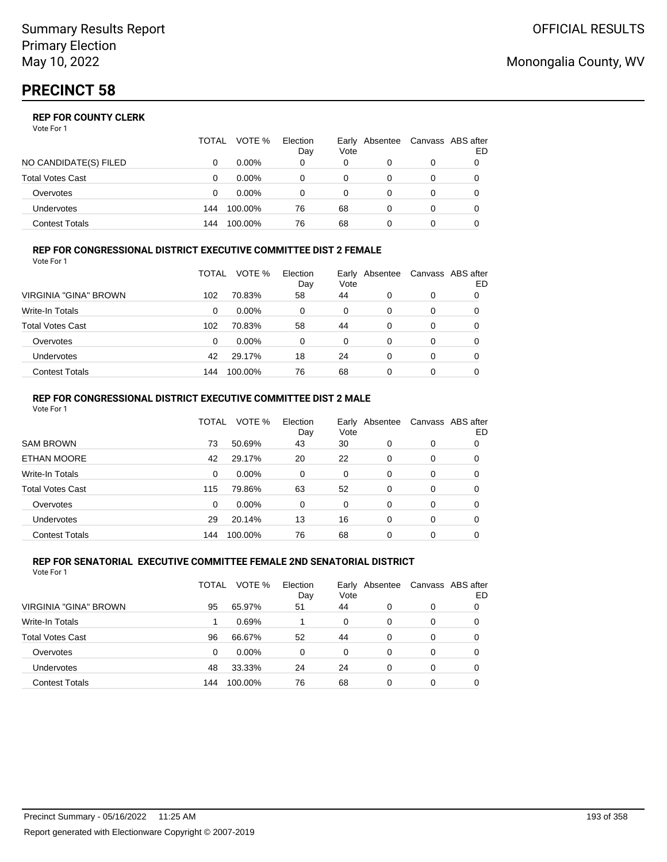## **REP FOR COUNTY CLERK**

Vote For 1

|                       | TOTAL | VOTE %   | Election<br>Day | Vote | Early Absentee | Canvass ABS after | ED |
|-----------------------|-------|----------|-----------------|------|----------------|-------------------|----|
| NO CANDIDATE(S) FILED |       | $0.00\%$ | 0               | 0    |                | 0                 |    |
| Total Votes Cast      |       | $0.00\%$ |                 | 0    |                | 0                 |    |
| Overvotes             |       | $0.00\%$ |                 | 0    |                | 0                 |    |
| Undervotes            | 144   | 100.00%  | 76              | 68   |                | 0                 |    |
| Contest Totals        | 144   | 100.00%  | 76              | 68   |                |                   |    |

#### **REP FOR CONGRESSIONAL DISTRICT EXECUTIVE COMMITTEE DIST 2 FEMALE** Vote For 1

|                         | TOTAL | VOTE %   | Election<br>Day | Vote | Early Absentee | Canvass ABS after | ED |
|-------------------------|-------|----------|-----------------|------|----------------|-------------------|----|
| VIRGINIA "GINA" BROWN   | 102   | 70.83%   | 58              | 44   | 0              | 0                 | 0  |
| <b>Write-In Totals</b>  | 0     | $0.00\%$ | 0               | 0    | 0              | 0                 | O  |
| <b>Total Votes Cast</b> | 102   | 70.83%   | 58              | 44   | 0              | 0                 | 0  |
| Overvotes               | 0     | $0.00\%$ | 0               | 0    | 0              | 0                 |    |
| Undervotes              | 42    | 29.17%   | 18              | 24   | 0              | 0                 |    |
| <b>Contest Totals</b>   | 144   | 100.00%  | 76              | 68   | 0              | 0                 |    |

#### **REP FOR CONGRESSIONAL DISTRICT EXECUTIVE COMMITTEE DIST 2 MALE** Vote For 1

|                         | TOTAL    | VOTE %   | Election<br>Day | Vote     | Early Absentee |          | Canvass ABS after<br>ED |
|-------------------------|----------|----------|-----------------|----------|----------------|----------|-------------------------|
| <b>SAM BROWN</b>        | 73       | 50.69%   | 43              | 30       | 0              | $\Omega$ | 0                       |
| ETHAN MOORE             | 42       | 29.17%   | 20              | 22       | 0              | $\Omega$ | $\Omega$                |
| Write-In Totals         | 0        | 0.00%    | 0               | 0        | $\Omega$       | $\Omega$ | 0                       |
| <b>Total Votes Cast</b> | 115      | 79.86%   | 63              | 52       | $\Omega$       | $\Omega$ | 0                       |
| Overvotes               | $\Omega$ | $0.00\%$ | 0               | $\Omega$ | $\Omega$       | $\Omega$ | 0                       |
| <b>Undervotes</b>       | 29       | 20.14%   | 13              | 16       | 0              | $\Omega$ | 0                       |
| <b>Contest Totals</b>   | 144      | 100.00%  | 76              | 68       | 0              | $\Omega$ |                         |
|                         |          |          |                 |          |                |          |                         |

#### **REP FOR SENATORIAL EXECUTIVE COMMITTEE FEMALE 2ND SENATORIAL DISTRICT** Vote For 1

|                         | TOTAL | VOTE %   | Election<br>Day | Vote | Early Absentee |   | Canvass ABS after<br>ED |
|-------------------------|-------|----------|-----------------|------|----------------|---|-------------------------|
| VIRGINIA "GINA" BROWN   | 95    | 65.97%   | 51              | 44   | 0              | 0 |                         |
| <b>Write-In Totals</b>  |       | 0.69%    |                 | 0    | $\Omega$       | 0 |                         |
| <b>Total Votes Cast</b> | 96    | 66.67%   | 52              | 44   | $\Omega$       | 0 | 0                       |
| Overvotes               | 0     | $0.00\%$ | 0               | 0    | $\Omega$       | 0 | 0                       |
| <b>Undervotes</b>       | 48    | 33.33%   | 24              | 24   | 0              | 0 | 0                       |
| <b>Contest Totals</b>   | 144   | 100.00%  | 76              | 68   | 0              | 0 |                         |

# Monongalia County, WV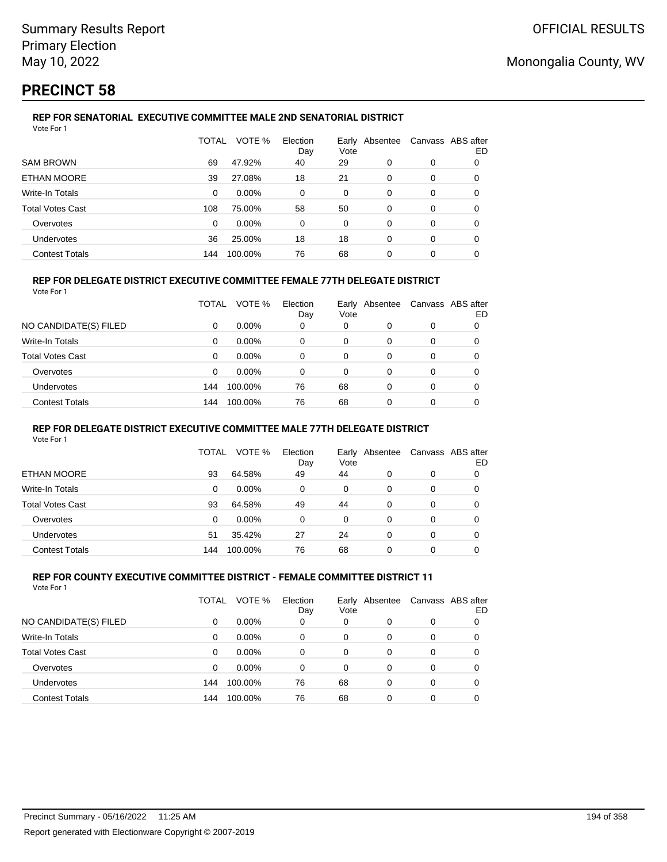# **PRECINCT 58**

#### **REP FOR SENATORIAL EXECUTIVE COMMITTEE MALE 2ND SENATORIAL DISTRICT** Vote For 1

|                         | <b>TOTAL</b> | VOTE %  | Election<br>Day | Vote | Early Absentee | Canvass ABS after | ED |
|-------------------------|--------------|---------|-----------------|------|----------------|-------------------|----|
| <b>SAM BROWN</b>        | 69           | 47.92%  | 40              | 29   | 0              | 0                 | 0  |
| <b>ETHAN MOORE</b>      | 39           | 27.08%  | 18              | 21   | 0              | 0                 | 0  |
| Write-In Totals         | 0            | 0.00%   | 0               | 0    | 0              | 0                 | 0  |
| <b>Total Votes Cast</b> | 108          | 75.00%  | 58              | 50   | 0              | 0                 | 0  |
| Overvotes               | 0            | 0.00%   | 0               | 0    | 0              | 0                 | 0  |
| <b>Undervotes</b>       | 36           | 25.00%  | 18              | 18   | 0              | 0                 | 0  |
| <b>Contest Totals</b>   | 144          | 100.00% | 76              | 68   | 0              | 0                 |    |

## **REP FOR DELEGATE DISTRICT EXECUTIVE COMMITTEE FEMALE 77TH DELEGATE DISTRICT**

| Vote For 1 |
|------------|
|------------|

|                       | TOTAL    | VOTE %   | Election<br>Day | Vote | Early Absentee |          | Canvass ABS after<br>ED |
|-----------------------|----------|----------|-----------------|------|----------------|----------|-------------------------|
| NO CANDIDATE(S) FILED | 0        | $0.00\%$ | 0               | 0    |                | 0        |                         |
| Write-In Totals       | $\Omega$ | $0.00\%$ | 0               | 0    |                | 0        | 0                       |
| Total Votes Cast      | $\Omega$ | $0.00\%$ | 0               | 0    |                | $\Omega$ | 0                       |
| Overvotes             | 0        | $0.00\%$ | 0               | 0    | 0              | 0        | 0                       |
| Undervotes            | 144      | 100.00%  | 76              | 68   | $\Omega$       | 0        | 0                       |
| <b>Contest Totals</b> | 144      | 100.00%  | 76              | 68   |                | 0        |                         |
|                       |          |          |                 |      |                |          |                         |

### **REP FOR DELEGATE DISTRICT EXECUTIVE COMMITTEE MALE 77TH DELEGATE DISTRICT**

Vote For 1

|                       | TOTAL | VOTE %   | Election<br>Day | Vote | Early Absentee | Canvass ABS after | ED |
|-----------------------|-------|----------|-----------------|------|----------------|-------------------|----|
| ETHAN MOORE           | 93    | 64.58%   | 49              | 44   | 0              | 0                 |    |
| Write-In Totals       | 0     | $0.00\%$ | 0               | 0    | 0              | 0                 | O  |
| Total Votes Cast      | 93    | 64.58%   | 49              | 44   | 0              | 0                 |    |
| Overvotes             | 0     | 0.00%    | 0               | 0    | 0              | 0                 |    |
| <b>Undervotes</b>     | 51    | 35.42%   | 27              | 24   | 0              | 0                 |    |
| <b>Contest Totals</b> | 144   | 100.00%  | 76              | 68   | 0              | 0                 |    |

#### **REP FOR COUNTY EXECUTIVE COMMITTEE DISTRICT - FEMALE COMMITTEE DISTRICT 11** Vote For 1

|                         | TOTAL | VOTE %   | Election<br>Day | Vote | Early Absentee | Canvass ABS after | ED |
|-------------------------|-------|----------|-----------------|------|----------------|-------------------|----|
| NO CANDIDATE(S) FILED   | 0     | $0.00\%$ | 0               | 0    | 0              | 0                 |    |
| <b>Write-In Totals</b>  | 0     | $0.00\%$ | 0               | 0    | $\Omega$       | 0                 |    |
| <b>Total Votes Cast</b> | 0     | $0.00\%$ | 0               | 0    | 0              | 0                 |    |
| Overvotes               | 0     | $0.00\%$ | 0               | 0    | $\Omega$       | 0                 |    |
| Undervotes              | 144   | 100.00%  | 76              | 68   | $\Omega$       | 0                 |    |
| <b>Contest Totals</b>   | 144   | 100.00%  | 76              | 68   | 0              | 0                 |    |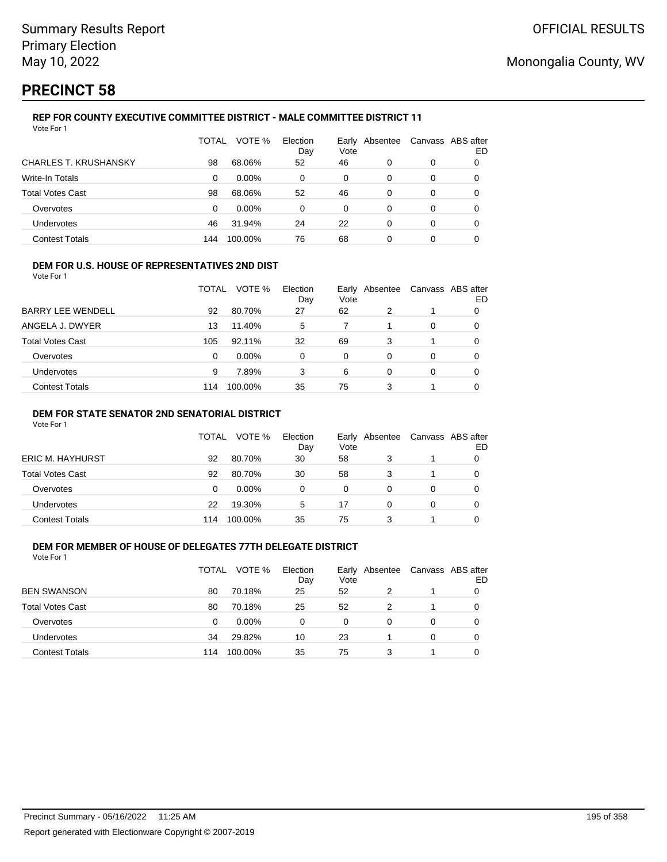# **PRECINCT 58**

#### **REP FOR COUNTY EXECUTIVE COMMITTEE DISTRICT - MALE COMMITTEE DISTRICT 11** Vote For 1

|                              | TOTAL | VOTE %   | Election<br>Day | Vote | Early Absentee | Canvass ABS after | ED |
|------------------------------|-------|----------|-----------------|------|----------------|-------------------|----|
| <b>CHARLES T. KRUSHANSKY</b> | 98    | 68.06%   | 52              | 46   | 0              | 0                 |    |
| Write-In Totals              | 0     | $0.00\%$ | 0               | 0    | 0              | 0                 | 0  |
| <b>Total Votes Cast</b>      | 98    | 68.06%   | 52              | 46   | 0              | 0                 |    |
| Overvotes                    | 0     | $0.00\%$ | 0               | 0    | 0              | 0                 | 0  |
| Undervotes                   | 46    | 31.94%   | 24              | 22   | 0              | 0                 | 0  |
| <b>Contest Totals</b>        | 144   | 100.00%  | 76              | 68   | 0              | 0                 |    |

#### **DEM FOR U.S. HOUSE OF REPRESENTATIVES 2ND DIST**

Vote For 1

|                          | TOTAL | VOTE %   | Election<br>Day | Vote | Early Absentee | Canvass ABS after | ED |
|--------------------------|-------|----------|-----------------|------|----------------|-------------------|----|
| <b>BARRY LEE WENDELL</b> | 92    | 80.70%   | 27              | 62   |                |                   |    |
| ANGELA J. DWYER          | 13    | 11.40%   | 5               |      |                | 0                 |    |
| Total Votes Cast         | 105   | 92.11%   | 32              | 69   | 3              |                   |    |
| Overvotes                | 0     | $0.00\%$ | 0               | 0    | 0              | 0                 |    |
| Undervotes               | 9     | 7.89%    | 3               | 6    | 0              | 0                 |    |
| <b>Contest Totals</b>    | 114   | 100.00%  | 35              | 75   | 3              |                   |    |

### **DEM FOR STATE SENATOR 2ND SENATORIAL DISTRICT**

Vote For 1

|                         | <b>TOTAL</b> | VOTE %   | Election<br>Day | Vote | Early Absentee |   | Canvass ABS after<br>ED |
|-------------------------|--------------|----------|-----------------|------|----------------|---|-------------------------|
| <b>ERIC M. HAYHURST</b> | 92           | 80.70%   | 30              | 58   |                |   |                         |
| Total Votes Cast        | 92           | 80.70%   | 30              | 58   | 3              |   |                         |
| Overvotes               | 0            | $0.00\%$ | 0               | 0    |                |   |                         |
| Undervotes              | 22           | 19.30%   | 5               | 17   |                | 0 |                         |
| <b>Contest Totals</b>   | 114          | 100.00%  | 35              | 75   | 3              |   |                         |

## **DEM FOR MEMBER OF HOUSE OF DELEGATES 77TH DELEGATE DISTRICT**

| Vote For 1              |       |          |                 |               |          |   |                         |
|-------------------------|-------|----------|-----------------|---------------|----------|---|-------------------------|
|                         | TOTAL | VOTE %   | Election<br>Day | Early<br>Vote | Absentee |   | Canvass ABS after<br>ED |
| <b>BEN SWANSON</b>      | 80    | 70.18%   | 25              | 52            | 2        |   |                         |
| <b>Total Votes Cast</b> | 80    | 70.18%   | 25              | 52            | 2        |   |                         |
| Overvotes               | 0     | $0.00\%$ | 0               | 0             | 0        | 0 |                         |
| <b>Undervotes</b>       | 34    | 29.82%   | 10              | 23            |          | 0 |                         |
| <b>Contest Totals</b>   | 114   | 100.00%  | 35              | 75            | 3        |   |                         |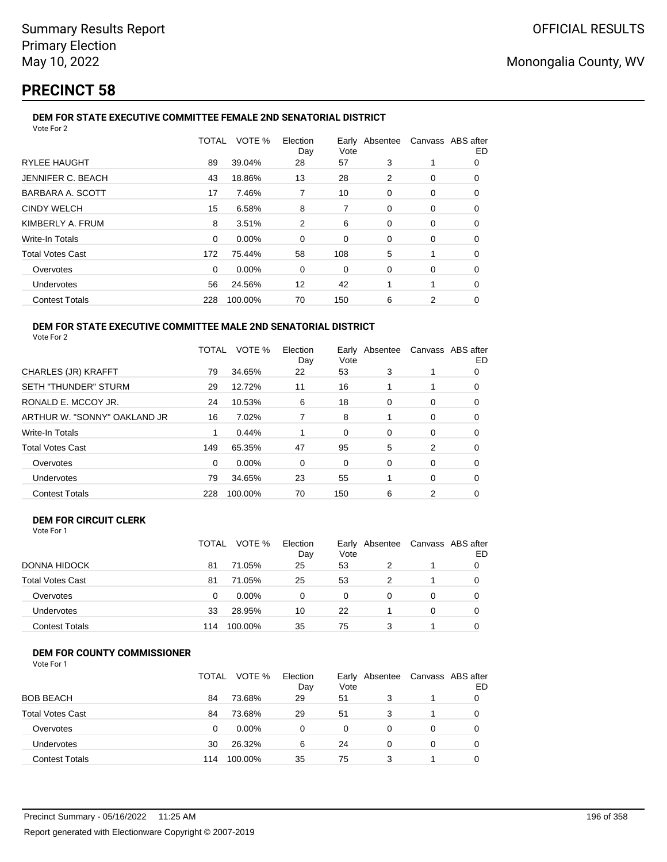# **PRECINCT 58**

#### **DEM FOR STATE EXECUTIVE COMMITTEE FEMALE 2ND SENATORIAL DISTRICT** Vote For 2

|                          | TOTAL    | VOTE %  | Election<br>Day | Vote |          | Early Absentee Canvass ABS after | ED |
|--------------------------|----------|---------|-----------------|------|----------|----------------------------------|----|
| <b>RYLEE HAUGHT</b>      | 89       | 39.04%  | 28              | 57   | 3        |                                  | 0  |
| <b>JENNIFER C. BEACH</b> | 43       | 18.86%  | 13              | 28   | 2        | 0                                | 0  |
| BARBARA A. SCOTT         | 17       | 7.46%   | 7               | 10   | 0        | 0                                | 0  |
| <b>CINDY WELCH</b>       | 15       | 6.58%   | 8               | 7    | 0        | 0                                | 0  |
| KIMBERLY A. FRUM         | 8        | 3.51%   | 2               | 6    | 0        | 0                                | 0  |
| Write-In Totals          | $\Omega$ | 0.00%   | $\Omega$        | 0    | $\Omega$ | 0                                | 0  |
| <b>Total Votes Cast</b>  | 172      | 75.44%  | 58              | 108  | 5        |                                  | 0  |
| Overvotes                | 0        | 0.00%   | 0               | 0    | 0        | 0                                | 0  |
| <b>Undervotes</b>        | 56       | 24.56%  | 12              | 42   |          |                                  | 0  |
| <b>Contest Totals</b>    | 228      | 100.00% | 70              | 150  | 6        | 2                                | 0  |
|                          |          |         |                 |      |          |                                  |    |

#### **DEM FOR STATE EXECUTIVE COMMITTEE MALE 2ND SENATORIAL DISTRICT** Vote For 2

|                              | TOTAL | VOTE %  | Election<br>Day | Vote | Early Absentee |   | Canvass ABS after<br>ED |
|------------------------------|-------|---------|-----------------|------|----------------|---|-------------------------|
| CHARLES (JR) KRAFFT          | 79    | 34.65%  | 22              | 53   | 3              |   | 0                       |
| <b>SETH "THUNDER" STURM</b>  | 29    | 12.72%  | 11              | 16   |                |   | 0                       |
| RONALD E. MCCOY JR.          | 24    | 10.53%  | 6               | 18   | 0              | 0 | 0                       |
| ARTHUR W. "SONNY" OAKLAND JR | 16    | 7.02%   | 7               | 8    |                | 0 | 0                       |
| Write-In Totals              |       | 0.44%   |                 | 0    | $\Omega$       | 0 | O                       |
| <b>Total Votes Cast</b>      | 149   | 65.35%  | 47              | 95   | 5              | 2 | 0                       |
| Overvotes                    | 0     | 0.00%   | 0               | 0    | 0              | 0 | 0                       |
| Undervotes                   | 79    | 34.65%  | 23              | 55   |                | 0 | 0                       |
| <b>Contest Totals</b>        | 228   | 100.00% | 70              | 150  | 6              | 2 | 0                       |

## **DEM FOR CIRCUIT CLERK**

| Vote For 1 |  |  |
|------------|--|--|
|            |  |  |

|                         | <b>TOTAL</b> | VOTE %   | Election<br>Day | Vote | Early Absentee |          | Canvass ABS after<br>ED |
|-------------------------|--------------|----------|-----------------|------|----------------|----------|-------------------------|
| DONNA HIDOCK            | 81           | 71.05%   | 25              | 53   | 2              |          |                         |
| <b>Total Votes Cast</b> | 81           | 71.05%   | 25              | 53   | 2              |          |                         |
| Overvotes               | 0            | $0.00\%$ | 0               | 0    |                | $\Omega$ |                         |
| Undervotes              | 33           | 28.95%   | 10              | 22   |                | $\Omega$ |                         |
| <b>Contest Totals</b>   | 114          | 100.00%  | 35              | 75   | 3              |          |                         |

## **DEM FOR COUNTY COMMISSIONER**

| Vote For 1 |  |
|------------|--|
|------------|--|

|                         | TOTAL | VOTE %   | Election<br>Day | Vote | Early Absentee | Canvass ABS after | ED |
|-------------------------|-------|----------|-----------------|------|----------------|-------------------|----|
| <b>BOB BEACH</b>        | 84    | 73.68%   | 29              | 51   | 3              |                   |    |
| <b>Total Votes Cast</b> | 84    | 73.68%   | 29              | 51   | 3              |                   |    |
| Overvotes               | 0     | $0.00\%$ | 0               | 0    | 0              | 0                 |    |
| Undervotes              | 30    | 26.32%   | 6               | 24   | 0              | 0                 |    |
| <b>Contest Totals</b>   | 114   | 100.00%  | 35              | 75   |                |                   |    |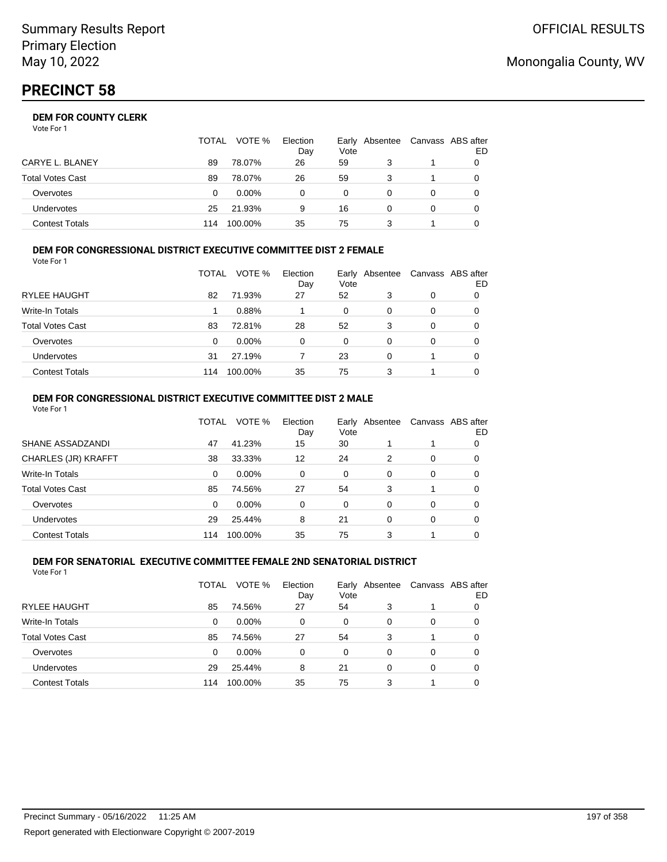## **DEM FOR COUNTY CLERK**

Vote For 1

|                         | <b>TOTAL</b> | VOTE %   | Election<br>Day | Vote     | Early Absentee | Canvass ABS after | ED |
|-------------------------|--------------|----------|-----------------|----------|----------------|-------------------|----|
| CARYE L. BLANEY         | 89           | 78.07%   | 26              | 59       |                |                   |    |
| <b>Total Votes Cast</b> | 89           | 78.07%   | 26              | 59       |                |                   |    |
| Overvotes               | 0            | $0.00\%$ |                 | $\Omega$ |                |                   |    |
| <b>Undervotes</b>       | 25           | 21.93%   | 9               | 16       |                |                   |    |
| <b>Contest Totals</b>   | 114          | 100.00%  | 35              | 75       |                |                   |    |

#### **DEM FOR CONGRESSIONAL DISTRICT EXECUTIVE COMMITTEE DIST 2 FEMALE** Vote For 1

|                         | TOTAL | VOTE %   | Election<br>Day | Vote     | Early Absentee | Canvass ABS after | ED |
|-------------------------|-------|----------|-----------------|----------|----------------|-------------------|----|
| <b>RYLEE HAUGHT</b>     | 82    | 71.93%   | 27              | 52       | 3              | 0                 | O  |
| Write-In Totals         |       | 0.88%    |                 | 0        | 0              | 0                 | O  |
| <b>Total Votes Cast</b> | 83    | 72.81%   | 28              | 52       | 3              | 0                 | O  |
| Overvotes               | 0     | $0.00\%$ | 0               | $\Omega$ | 0              | 0                 |    |
| <b>Undervotes</b>       | 31    | 27.19%   |                 | 23       | 0              |                   | 0  |
| <b>Contest Totals</b>   | 114   | 100.00%  | 35              | 75       | 3              |                   |    |

#### **DEM FOR CONGRESSIONAL DISTRICT EXECUTIVE COMMITTEE DIST 2 MALE** Vote For 1

|                         | TOTAL    | VOTE %   | Election<br>Day | Vote     | Early Absentee |          | Canvass ABS after<br>ED |
|-------------------------|----------|----------|-----------------|----------|----------------|----------|-------------------------|
| SHANE ASSADZANDI        | 47       | 41.23%   | 15              | 30       |                |          | 0                       |
| CHARLES (JR) KRAFFT     | 38       | 33.33%   | 12              | 24       | 2              | 0        | 0                       |
| <b>Write-In Totals</b>  | 0        | $0.00\%$ | $\Omega$        | $\Omega$ | $\Omega$       | $\Omega$ | 0                       |
| <b>Total Votes Cast</b> | 85       | 74.56%   | 27              | 54       | 3              |          | 0                       |
| Overvotes               | $\Omega$ | 0.00%    | $\Omega$        | $\Omega$ | $\Omega$       | $\Omega$ | 0                       |
| <b>Undervotes</b>       | 29       | 25.44%   | 8               | 21       | $\Omega$       | $\Omega$ | 0                       |
| <b>Contest Totals</b>   | 114      | 100.00%  | 35              | 75       | 3              |          |                         |

#### **DEM FOR SENATORIAL EXECUTIVE COMMITTEE FEMALE 2ND SENATORIAL DISTRICT** Vote For 1

|                         | TOTAL | VOTE %   | Election<br>Day | Vote | Early Absentee |   | Canvass ABS after<br>ED |
|-------------------------|-------|----------|-----------------|------|----------------|---|-------------------------|
| <b>RYLEE HAUGHT</b>     | 85    | 74.56%   | 27              | 54   | 3              |   |                         |
| Write-In Totals         | 0     | $0.00\%$ | $\Omega$        | 0    | 0              | 0 | 0                       |
| <b>Total Votes Cast</b> | 85    | 74.56%   | 27              | 54   | 3              |   | 0                       |
| Overvotes               | 0     | $0.00\%$ | $\Omega$        | 0    | 0              | 0 | 0                       |
| Undervotes              | 29    | 25.44%   | 8               | 21   | 0              | 0 | 0                       |
| <b>Contest Totals</b>   | 114   | 100.00%  | 35              | 75   | 3              |   |                         |

# Monongalia County, WV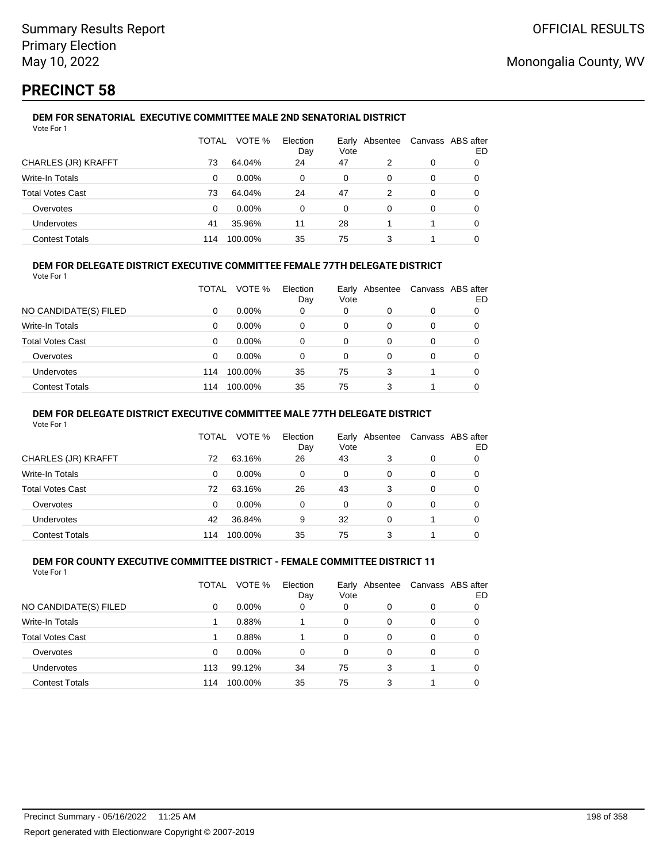# **PRECINCT 58**

#### **DEM FOR SENATORIAL EXECUTIVE COMMITTEE MALE 2ND SENATORIAL DISTRICT** Vote For 1

|                         | TOTAL | VOTE %   | Election<br>Day | Vote | Early Absentee |   | Canvass ABS after<br>ED |
|-------------------------|-------|----------|-----------------|------|----------------|---|-------------------------|
| CHARLES (JR) KRAFFT     | 73    | 64.04%   | 24              | 47   | 2              | 0 |                         |
| Write-In Totals         | 0     | $0.00\%$ | 0               | 0    | 0              | 0 |                         |
| <b>Total Votes Cast</b> | 73    | 64.04%   | 24              | 47   | 2              | 0 |                         |
| Overvotes               | 0     | $0.00\%$ | $\Omega$        | 0    | 0              | 0 |                         |
| <b>Undervotes</b>       | 41    | 35.96%   | 11              | 28   |                |   |                         |
| <b>Contest Totals</b>   | 114   | 100.00%  | 35              | 75   | 3              |   |                         |

## **DEM FOR DELEGATE DISTRICT EXECUTIVE COMMITTEE FEMALE 77TH DELEGATE DISTRICT**

Vote For 1

|                       | TOTAL | VOTE %   | Election<br>Day | Vote | Early Absentee | Canvass ABS after | ED |
|-----------------------|-------|----------|-----------------|------|----------------|-------------------|----|
| NO CANDIDATE(S) FILED | 0     | $0.00\%$ | 0               | 0    | O              | 0                 |    |
| Write-In Totals       | 0     | $0.00\%$ | 0               | 0    | 0              | 0                 |    |
| Total Votes Cast      | 0     | $0.00\%$ | 0               | 0    | 0              | 0                 |    |
| Overvotes             | 0     | 0.00%    | 0               | 0    | 0              | 0                 |    |
| <b>Undervotes</b>     | 114   | 100.00%  | 35              | 75   | 3              |                   |    |
| <b>Contest Totals</b> | 114   | 100.00%  | 35              | 75   |                |                   |    |

### **DEM FOR DELEGATE DISTRICT EXECUTIVE COMMITTEE MALE 77TH DELEGATE DISTRICT**

Vote For 1

|                       | TOTAL | VOTE %   | Election<br>Day | Vote | Early Absentee |   | Canvass ABS after<br>ED |
|-----------------------|-------|----------|-----------------|------|----------------|---|-------------------------|
| CHARLES (JR) KRAFFT   | 72    | 63.16%   | 26              | 43   | 3              | 0 |                         |
| Write-In Totals       | 0     | $0.00\%$ | 0               | 0    | 0              | 0 | 0                       |
| Total Votes Cast      | 72    | 63.16%   | 26              | 43   | 3              | 0 | 0                       |
| Overvotes             | 0     | $0.00\%$ | 0               | 0    | 0              | 0 |                         |
| Undervotes            | 42    | 36.84%   | 9               | 32   | 0              |   | 0                       |
| <b>Contest Totals</b> | 114   | 100.00%  | 35              | 75   | 3              |   |                         |

#### **DEM FOR COUNTY EXECUTIVE COMMITTEE DISTRICT - FEMALE COMMITTEE DISTRICT 11** Vote For 1

|                         | TOTAL | VOTE %   | Election<br>Day | Vote     | Early Absentee |   | Canvass ABS after<br>ED |
|-------------------------|-------|----------|-----------------|----------|----------------|---|-------------------------|
| NO CANDIDATE(S) FILED   | 0     | $0.00\%$ | 0               | 0        | 0              | 0 |                         |
| <b>Write-In Totals</b>  |       | 0.88%    |                 | 0        | 0              | 0 |                         |
| <b>Total Votes Cast</b> |       | 0.88%    |                 | $\Omega$ | 0              | 0 |                         |
| Overvotes               | 0     | $0.00\%$ | 0               | $\Omega$ | 0              | 0 |                         |
| <b>Undervotes</b>       | 113   | 99.12%   | 34              | 75       | 3              |   |                         |
| <b>Contest Totals</b>   | 114   | 100.00%  | 35              | 75       | 3              |   |                         |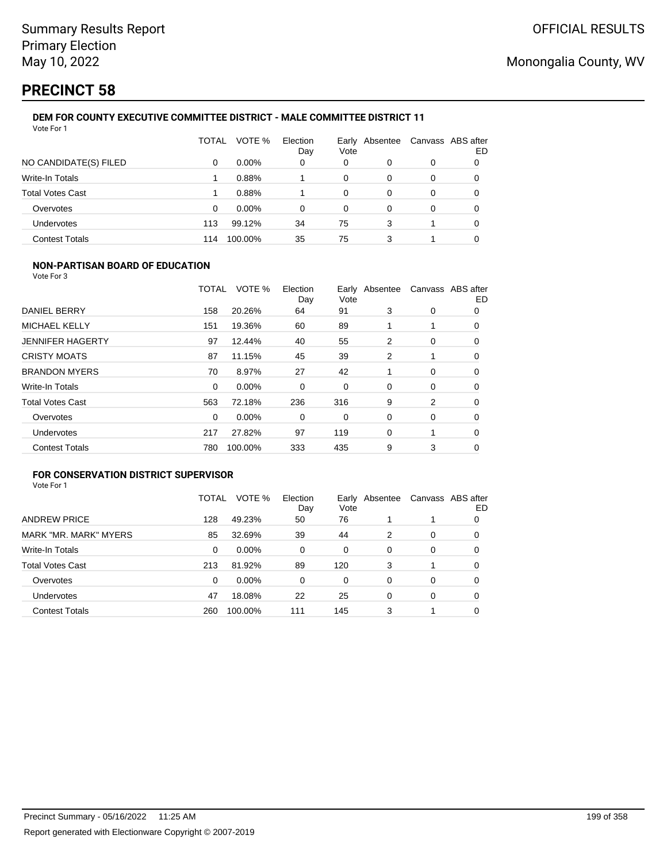# **PRECINCT 58**

#### **DEM FOR COUNTY EXECUTIVE COMMITTEE DISTRICT - MALE COMMITTEE DISTRICT 11** Vote For 1

|                         | TOTAL | VOTE %   | Election<br>Day | Vote | Early Absentee | Canvass ABS after | ED |
|-------------------------|-------|----------|-----------------|------|----------------|-------------------|----|
| NO CANDIDATE(S) FILED   | 0     | $0.00\%$ | 0               | 0    | 0              | 0                 | 0  |
| Write-In Totals         |       | 0.88%    |                 | 0    | 0              | 0                 | 0  |
| <b>Total Votes Cast</b> |       | 0.88%    |                 | 0    | 0              | 0                 |    |
| Overvotes               | 0     | $0.00\%$ | 0               | 0    | 0              | 0                 |    |
| Undervotes              | 113   | 99.12%   | 34              | 75   | 3              |                   | 0  |
| <b>Contest Totals</b>   | 114   | 100.00%  | 35              | 75   | 3              |                   |    |

### **NON-PARTISAN BOARD OF EDUCATION**

Vote For 3

|                         | <b>TOTAL</b> | VOTE %  | Election<br>Day | Vote | Early Absentee |             | Canvass ABS after<br>ED |
|-------------------------|--------------|---------|-----------------|------|----------------|-------------|-------------------------|
| DANIEL BERRY            | 158          | 20.26%  | 64              | 91   | 3              | 0           | 0                       |
| <b>MICHAEL KELLY</b>    | 151          | 19.36%  | 60              | 89   |                |             | $\Omega$                |
| <b>JENNIFER HAGERTY</b> | 97           | 12.44%  | 40              | 55   | 2              | 0           | 0                       |
| <b>CRISTY MOATS</b>     | 87           | 11.15%  | 45              | 39   | $\overline{2}$ |             | 0                       |
| <b>BRANDON MYERS</b>    | 70           | 8.97%   | 27              | 42   |                | $\mathbf 0$ | 0                       |
| <b>Write-In Totals</b>  | $\Omega$     | 0.00%   | 0               | 0    | 0              | 0           | 0                       |
| <b>Total Votes Cast</b> | 563          | 72.18%  | 236             | 316  | 9              | 2           | 0                       |
| Overvotes               | $\Omega$     | 0.00%   | 0               | 0    | 0              | 0           | $\Omega$                |
| Undervotes              | 217          | 27.82%  | 97              | 119  | 0              | 1           | 0                       |
| <b>Contest Totals</b>   | 780          | 100.00% | 333             | 435  | 9              | 3           | 0                       |

## **FOR CONSERVATION DISTRICT SUPERVISOR**

|                         | TOTAL | VOTE %   | Election<br>Day | Early<br>Vote | Absentee |   | Canvass ABS after<br>ED |
|-------------------------|-------|----------|-----------------|---------------|----------|---|-------------------------|
| <b>ANDREW PRICE</b>     | 128   | 49.23%   | 50              | 76            |          |   | O                       |
| MARK "MR. MARK" MYERS   | 85    | 32.69%   | 39              | 44            | 2        | 0 | O                       |
| Write-In Totals         | 0     | $0.00\%$ | 0               | 0             | 0        | 0 | 0                       |
| <b>Total Votes Cast</b> | 213   | 81.92%   | 89              | 120           | 3        |   | 0                       |
| Overvotes               | 0     | $0.00\%$ | 0               | 0             | 0        | 0 | 0                       |
| <b>Undervotes</b>       | 47    | 18.08%   | 22              | 25            | 0        | 0 | O                       |
| <b>Contest Totals</b>   | 260   | 100.00%  | 111             | 145           | 3        |   |                         |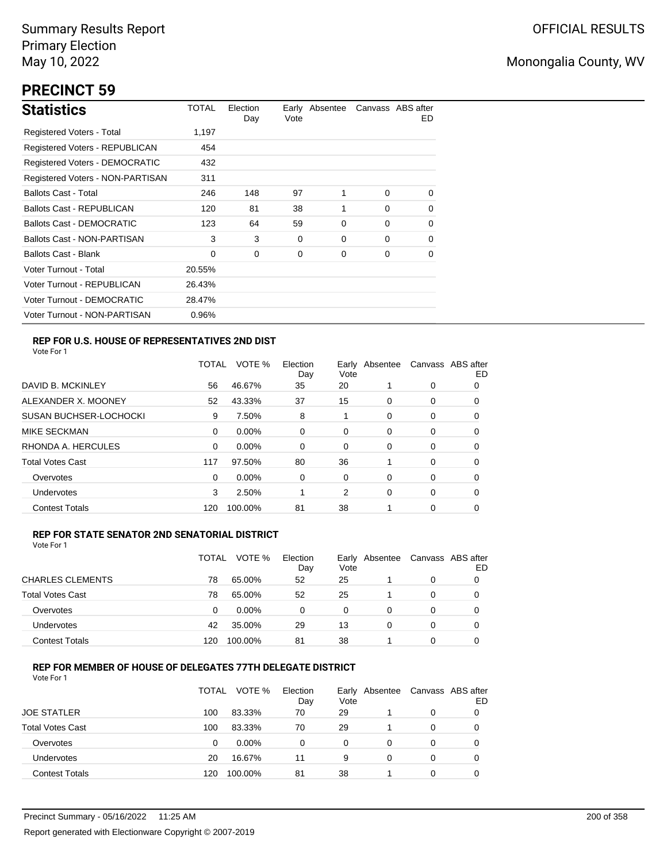# **PRECINCT 59**

| <b>Statistics</b>                     | TOTAL  | Election<br>Day | Vote | Early Absentee |          | Canvass ABS after<br>ED. |
|---------------------------------------|--------|-----------------|------|----------------|----------|--------------------------|
| Registered Voters - Total             | 1,197  |                 |      |                |          |                          |
| <b>Registered Voters - REPUBLICAN</b> | 454    |                 |      |                |          |                          |
| <b>Registered Voters - DEMOCRATIC</b> | 432    |                 |      |                |          |                          |
| Registered Voters - NON-PARTISAN      | 311    |                 |      |                |          |                          |
| <b>Ballots Cast - Total</b>           | 246    | 148             | 97   | 1              | $\Omega$ | $\Omega$                 |
| Ballots Cast - REPUBLICAN             | 120    | 81              | 38   | 1              | $\Omega$ | $\Omega$                 |
| Ballots Cast - DEMOCRATIC             | 123    | 64              | 59   | 0              | $\Omega$ | 0                        |
| Ballots Cast - NON-PARTISAN           | 3      | 3               | 0    | 0              | $\Omega$ | $\Omega$                 |
| Ballots Cast - Blank                  | 0      | 0               | 0    | 0              | 0        | 0                        |
| Voter Turnout - Total                 | 20.55% |                 |      |                |          |                          |
| Voter Turnout - REPUBLICAN            | 26.43% |                 |      |                |          |                          |
| Voter Turnout - DEMOCRATIC            | 28.47% |                 |      |                |          |                          |
| Voter Turnout - NON-PARTISAN          | 0.96%  |                 |      |                |          |                          |

## **REP FOR U.S. HOUSE OF REPRESENTATIVES 2ND DIST**

Vote For 1

|                               | TOTAL | VOTE %   | Election<br>Day | Earlv<br>Vote | Absentee |   | Canvass ABS after<br>ED |
|-------------------------------|-------|----------|-----------------|---------------|----------|---|-------------------------|
| DAVID B. MCKINLEY             | 56    | 46.67%   | 35              | 20            |          | 0 | O                       |
| ALEXANDER X. MOONEY           | 52    | 43.33%   | 37              | 15            | 0        | 0 | 0                       |
| <b>SUSAN BUCHSER-LOCHOCKI</b> | 9     | 7.50%    | 8               | 1             | 0        | 0 | 0                       |
| <b>MIKE SECKMAN</b>           | 0     | $0.00\%$ | 0               | 0             | 0        | 0 | 0                       |
| RHONDA A. HERCULES            | 0     | $0.00\%$ | $\Omega$        | 0             | 0        | 0 | 0                       |
| <b>Total Votes Cast</b>       | 117   | 97.50%   | 80              | 36            |          | 0 | 0                       |
| Overvotes                     | 0     | $0.00\%$ | 0               | 0             | 0        | 0 | 0                       |
| <b>Undervotes</b>             | 3     | 2.50%    |                 | 2             | 0        | 0 | 0                       |
| <b>Contest Totals</b>         | 120   | 100.00%  | 81              | 38            |          | 0 | 0                       |

### **REP FOR STATE SENATOR 2ND SENATORIAL DISTRICT**

Vote For 1

|                         | TOTAL | VOTE %   | Election<br>Day | Vote | Early Absentee | Canvass ABS after | ED |
|-------------------------|-------|----------|-----------------|------|----------------|-------------------|----|
| <b>CHARLES CLEMENTS</b> | 78    | 65.00%   | 52              | 25   |                | 0                 |    |
| <b>Total Votes Cast</b> | 78    | 65.00%   | 52              | 25   |                | 0                 |    |
| Overvotes               | 0     | $0.00\%$ | $\Omega$        | 0    | 0              | 0                 |    |
| <b>Undervotes</b>       | 42    | 35.00%   | 29              | 13   | 0              | 0                 |    |
| <b>Contest Totals</b>   | 120   | 100.00%  | 81              | 38   |                | 0                 |    |

## **REP FOR MEMBER OF HOUSE OF DELEGATES 77TH DELEGATE DISTRICT**

|                         | TOTAL | VOTE %   | Election<br>Day | Vote | Early Absentee | Canvass ABS after | ED |
|-------------------------|-------|----------|-----------------|------|----------------|-------------------|----|
| <b>JOE STATLER</b>      | 100   | 83.33%   | 70              | 29   |                | 0                 |    |
| <b>Total Votes Cast</b> | 100   | 83.33%   | 70              | 29   |                | $\Omega$          |    |
| Overvotes               | 0     | $0.00\%$ | 0               | 0    | 0              | 0                 |    |
| <b>Undervotes</b>       | 20    | 16.67%   | 11              | 9    | $\Omega$       | 0                 |    |
| <b>Contest Totals</b>   | 120   | 100.00%  | 81              | 38   |                | $\Omega$          |    |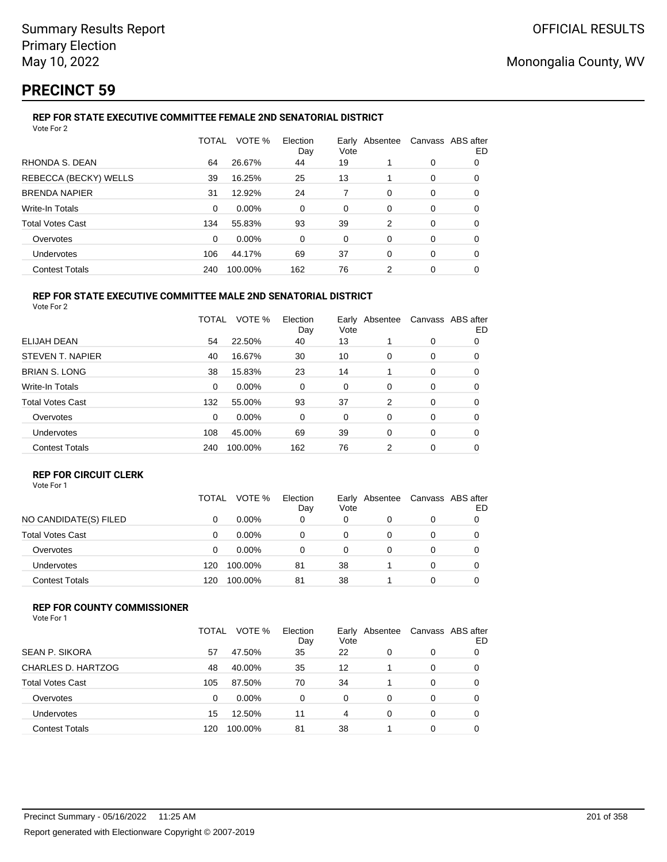# **PRECINCT 59**

#### **REP FOR STATE EXECUTIVE COMMITTEE FEMALE 2ND SENATORIAL DISTRICT** Vote For 2

|                         | TOTAL | VOTE %  | Election<br>Day | Vote | Early Absentee | Canvass ABS after | ED |
|-------------------------|-------|---------|-----------------|------|----------------|-------------------|----|
| RHONDA S. DEAN          | 64    | 26.67%  | 44              | 19   |                | 0                 | 0  |
| REBECCA (BECKY) WELLS   | 39    | 16.25%  | 25              | 13   |                | 0                 | 0  |
| <b>BRENDA NAPIER</b>    | 31    | 12.92%  | 24              | 7    | $\Omega$       | 0                 | 0  |
| <b>Write-In Totals</b>  | 0     | 0.00%   | 0               | 0    | 0              | 0                 | 0  |
| <b>Total Votes Cast</b> | 134   | 55.83%  | 93              | 39   | 2              | 0                 | 0  |
| Overvotes               | 0     | 0.00%   | $\Omega$        | 0    | 0              | 0                 | 0  |
| Undervotes              | 106   | 44.17%  | 69              | 37   | $\Omega$       | 0                 | 0  |
| <b>Contest Totals</b>   | 240   | 100.00% | 162             | 76   | 2              | 0                 | 0  |

#### **REP FOR STATE EXECUTIVE COMMITTEE MALE 2ND SENATORIAL DISTRICT** Vote For 2

|                         | TOTAL | VOTE %  | Election<br>Day | Vote | Early Absentee |   | Canvass ABS after<br>ED |
|-------------------------|-------|---------|-----------------|------|----------------|---|-------------------------|
| ELIJAH DEAN             | 54    | 22.50%  | 40              | 13   |                | 0 | 0                       |
| STEVEN T. NAPIER        | 40    | 16.67%  | 30              | 10   | 0              | 0 | 0                       |
| <b>BRIAN S. LONG</b>    | 38    | 15.83%  | 23              | 14   |                | 0 | 0                       |
| <b>Write-In Totals</b>  | 0     | 0.00%   | 0               | 0    | $\Omega$       | 0 | 0                       |
| <b>Total Votes Cast</b> | 132   | 55.00%  | 93              | 37   | 2              | 0 | 0                       |
| Overvotes               | 0     | 0.00%   | 0               | 0    | 0              | 0 | 0                       |
| <b>Undervotes</b>       | 108   | 45.00%  | 69              | 39   | 0              | 0 | 0                       |
| <b>Contest Totals</b>   | 240   | 100.00% | 162             | 76   | 2              | 0 | 0                       |

### **REP FOR CIRCUIT CLERK**

|                         | TOTAL | VOTE %   | Election<br>Day | Early<br>Vote | Absentee | Canvass ABS after | ED |
|-------------------------|-------|----------|-----------------|---------------|----------|-------------------|----|
| NO CANDIDATE(S) FILED   | 0     | $0.00\%$ | 0               | 0             |          | 0                 |    |
| <b>Total Votes Cast</b> | 0     | $0.00\%$ | 0               | 0             |          | 0                 |    |
| Overvotes               | 0     | $0.00\%$ | 0               | 0             |          | 0                 |    |
| Undervotes              | 120   | 100.00%  | 81              | 38            |          | 0                 |    |
| <b>Contest Totals</b>   | 120   | 100.00%  | 81              | 38            |          | 0                 |    |

### **REP FOR COUNTY COMMISSIONER**

| Vote For 1 |  |
|------------|--|
|------------|--|

|                         | TOTAL | VOTE %   | Election<br>Day | Vote | Early Absentee | Canvass ABS after | ED |
|-------------------------|-------|----------|-----------------|------|----------------|-------------------|----|
| <b>SEAN P. SIKORA</b>   | 57    | 47.50%   | 35              | 22   | 0              | 0                 |    |
| CHARLES D. HARTZOG      | 48    | 40.00%   | 35              | 12   |                | 0                 |    |
| <b>Total Votes Cast</b> | 105   | 87.50%   | 70              | 34   |                | 0                 |    |
| Overvotes               | 0     | $0.00\%$ | 0               | 0    | 0              | 0                 |    |
| Undervotes              | 15    | 12.50%   | 11              | 4    | 0              | 0                 |    |
| <b>Contest Totals</b>   | 120   | 100.00%  | 81              | 38   |                | 0                 |    |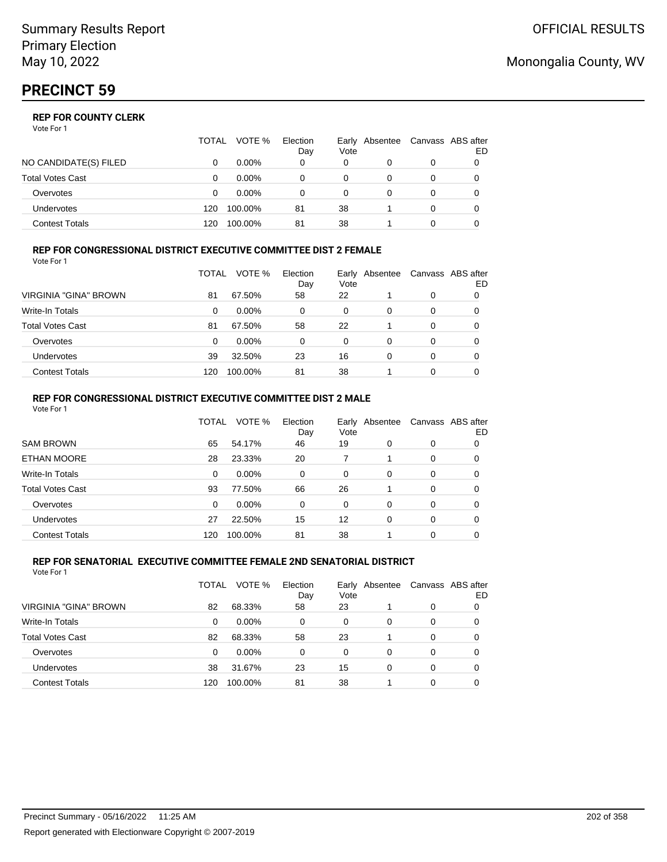|                         | TOTAL | VOTE %   | Election<br>Day | Vote | Early Absentee | Canvass ABS after | ED |
|-------------------------|-------|----------|-----------------|------|----------------|-------------------|----|
| NO CANDIDATE(S) FILED   |       | $0.00\%$ | 0               | 0    |                | 0                 |    |
| <b>Total Votes Cast</b> |       | $0.00\%$ |                 | 0    |                |                   |    |
| Overvotes               | O     | $0.00\%$ |                 | 0    |                | 0                 |    |
| <b>Undervotes</b>       | 120   | 100.00%  | 81              | 38   |                | 0                 |    |
| Contest Totals          | 120   | 100.00%  | 81              | 38   |                |                   |    |

#### **REP FOR CONGRESSIONAL DISTRICT EXECUTIVE COMMITTEE DIST 2 FEMALE** Vote For 1

|                         | TOTAL | VOTE %   | Election<br>Day | Early<br>Vote | Absentee | Canvass ABS after | ED |
|-------------------------|-------|----------|-----------------|---------------|----------|-------------------|----|
| VIRGINIA "GINA" BROWN   | 81    | 67.50%   | 58              | 22            |          | 0                 | 0  |
| Write-In Totals         | 0     | $0.00\%$ | 0               | 0             | 0        | 0                 | O  |
| <b>Total Votes Cast</b> | 81    | 67.50%   | 58              | 22            |          | 0                 | 0  |
| Overvotes               | 0     | $0.00\%$ | 0               | 0             | 0        | 0                 | O  |
| <b>Undervotes</b>       | 39    | 32.50%   | 23              | 16            | 0        | 0                 | O  |
| <b>Contest Totals</b>   | 120   | 100.00%  | 81              | 38            |          | 0                 |    |

### **REP FOR CONGRESSIONAL DISTRICT EXECUTIVE COMMITTEE DIST 2 MALE**

| Vote For 1              |          |         |                 |          |                |          |                          |
|-------------------------|----------|---------|-----------------|----------|----------------|----------|--------------------------|
|                         | TOTAL    | VOTE %  | Election<br>Day | Vote     | Early Absentee |          | Canvass ABS after<br>ED. |
| <b>SAM BROWN</b>        | 65       | 54.17%  | 46              | 19       | $\Omega$       | 0        | 0                        |
| <b>ETHAN MOORE</b>      | 28       | 23.33%  | 20              | 7        |                | $\Omega$ | 0                        |
| Write-In Totals         | 0        | 0.00%   | 0               | $\Omega$ | $\Omega$       | $\Omega$ | 0                        |
| <b>Total Votes Cast</b> | 93       | 77.50%  | 66              | 26       |                | 0        | 0                        |
| Overvotes               | $\Omega$ | 0.00%   | $\Omega$        | $\Omega$ | $\Omega$       | $\Omega$ | 0                        |
| Undervotes              | 27       | 22.50%  | 15              | 12       | $\Omega$       | $\Omega$ | 0                        |
| <b>Contest Totals</b>   | 120      | 100.00% | 81              | 38       |                | $\Omega$ | 0                        |

#### **REP FOR SENATORIAL EXECUTIVE COMMITTEE FEMALE 2ND SENATORIAL DISTRICT** Vote For 1

|                         | TOTAL | VOTE %   | Election<br>Day | Vote | Early Absentee |   | Canvass ABS after<br>ED |
|-------------------------|-------|----------|-----------------|------|----------------|---|-------------------------|
| VIRGINIA "GINA" BROWN   | 82    | 68.33%   | 58              | 23   |                | 0 |                         |
| <b>Write-In Totals</b>  | 0     | $0.00\%$ | 0               | 0    | 0              | 0 |                         |
| <b>Total Votes Cast</b> | 82    | 68.33%   | 58              | 23   |                | 0 |                         |
| Overvotes               | 0     | $0.00\%$ | 0               | 0    | 0              | 0 | 0                       |
| Undervotes              | 38    | 31.67%   | 23              | 15   | 0              | 0 | 0                       |
| <b>Contest Totals</b>   | 120   | 100.00%  | 81              | 38   |                | 0 |                         |

# Monongalia County, WV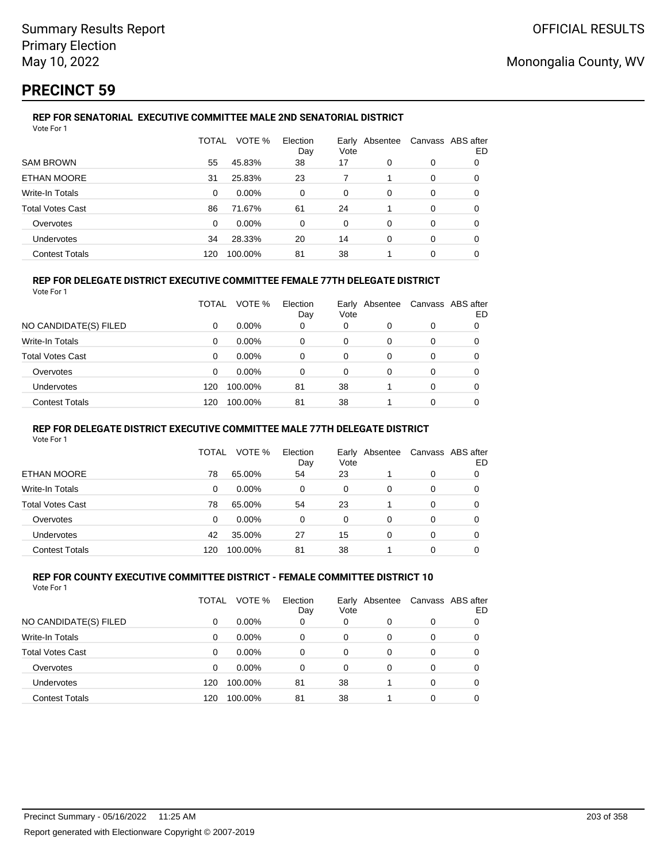# **PRECINCT 59**

#### **REP FOR SENATORIAL EXECUTIVE COMMITTEE MALE 2ND SENATORIAL DISTRICT** Vote For 1

|                         | TOTAL | VOTE %   | Election<br>Day | Early Absentee<br>Vote |          | Canvass ABS after | ED |
|-------------------------|-------|----------|-----------------|------------------------|----------|-------------------|----|
| <b>SAM BROWN</b>        | 55    | 45.83%   | 38              | 17                     | 0        | 0                 | 0  |
| ETHAN MOORE             | 31    | 25.83%   | 23              |                        |          | 0                 | 0  |
| Write-In Totals         | 0     | $0.00\%$ | $\Omega$        | 0                      | $\Omega$ | 0                 | 0  |
| <b>Total Votes Cast</b> | 86    | 71.67%   | 61              | 24                     |          | 0                 | 0  |
| Overvotes               | 0     | $0.00\%$ | $\Omega$        | 0                      | $\Omega$ | 0                 | 0  |
| <b>Undervotes</b>       | 34    | 28.33%   | 20              | 14                     | 0        | 0                 | 0  |
| <b>Contest Totals</b>   | 120   | 100.00%  | 81              | 38                     |          | 0                 |    |

### **REP FOR DELEGATE DISTRICT EXECUTIVE COMMITTEE FEMALE 77TH DELEGATE DISTRICT**

|--|

|                         | TOTAL | VOTE %   | Election<br>Day | Vote | Early Absentee |          | Canvass ABS after<br>ED |
|-------------------------|-------|----------|-----------------|------|----------------|----------|-------------------------|
| NO CANDIDATE(S) FILED   | 0     | $0.00\%$ | 0               | 0    |                | 0        |                         |
| Write-In Totals         | 0     | $0.00\%$ | 0               | 0    | $\Omega$       | $\Omega$ | 0                       |
| <b>Total Votes Cast</b> | 0     | $0.00\%$ | 0               | 0    |                | 0        |                         |
| Overvotes               | 0     | $0.00\%$ | 0               | 0    | 0              | $\Omega$ | 0                       |
| <b>Undervotes</b>       | 120   | 100.00%  | 81              | 38   |                | $\Omega$ | 0                       |
| <b>Contest Totals</b>   | 120   | 100.00%  | 81              | 38   |                | $\Omega$ | 0                       |

#### **REP FOR DELEGATE DISTRICT EXECUTIVE COMMITTEE MALE 77TH DELEGATE DISTRICT**

Vote For 1

|                       | TOTAL | VOTE %   | Election<br>Day | Vote | Early Absentee | Canvass ABS after | ED |
|-----------------------|-------|----------|-----------------|------|----------------|-------------------|----|
| ETHAN MOORE           | 78    | 65.00%   | 54              | 23   |                | 0                 |    |
| Write-In Totals       | 0     | $0.00\%$ | 0               | 0    | 0              | 0                 | O  |
| Total Votes Cast      | 78    | 65.00%   | 54              | 23   |                | 0                 | 0  |
| Overvotes             | 0     | 0.00%    | 0               | 0    | 0              | 0                 |    |
| <b>Undervotes</b>     | 42    | 35.00%   | 27              | 15   | 0              | 0                 |    |
| <b>Contest Totals</b> | 120   | 100.00%  | 81              | 38   |                | 0                 |    |

#### **REP FOR COUNTY EXECUTIVE COMMITTEE DISTRICT - FEMALE COMMITTEE DISTRICT 10** Vote For 1

|                         | TOTAL | VOTE %   | Election<br>Day | Vote | Early Absentee | Canvass ABS after | ED |
|-------------------------|-------|----------|-----------------|------|----------------|-------------------|----|
| NO CANDIDATE(S) FILED   | 0     | $0.00\%$ | 0               | 0    | 0              | 0                 | O  |
| Write-In Totals         | 0     | $0.00\%$ | 0               | 0    | 0              | 0                 | 0  |
| <b>Total Votes Cast</b> | 0     | $0.00\%$ | 0               | 0    | 0              | 0                 | 0  |
| Overvotes               | 0     | $0.00\%$ | 0               | 0    | 0              | 0                 |    |
| Undervotes              | 120   | 100.00%  | 81              | 38   |                | 0                 |    |
| <b>Contest Totals</b>   | 120   | 100.00%  | 81              | 38   |                | 0                 |    |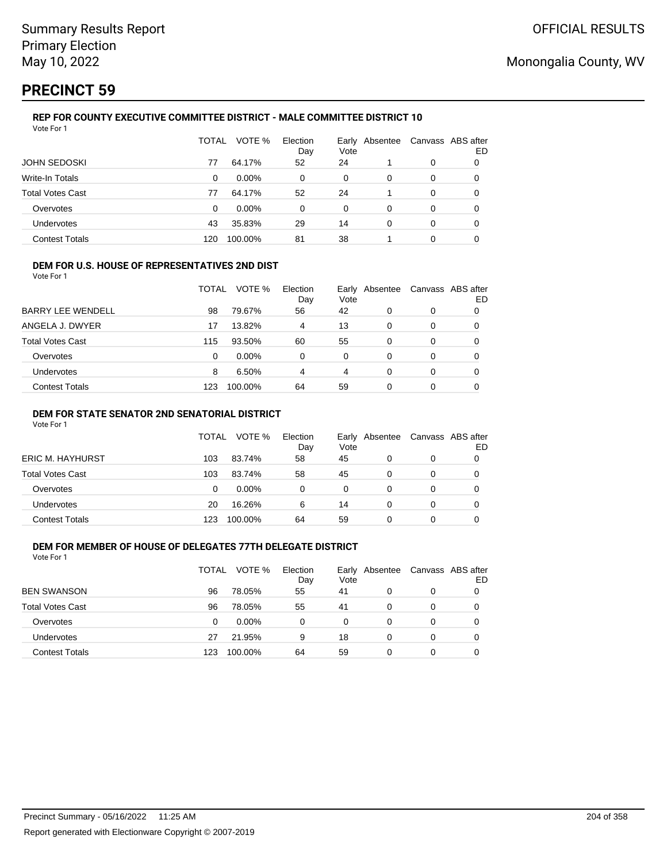# **PRECINCT 59**

#### **REP FOR COUNTY EXECUTIVE COMMITTEE DISTRICT - MALE COMMITTEE DISTRICT 10** Vote For 1

|                         | TOTAL | VOTE %   | Election<br>Day | Vote | Early Absentee | Canvass ABS after | ED |
|-------------------------|-------|----------|-----------------|------|----------------|-------------------|----|
| <b>JOHN SEDOSKI</b>     | 77    | 64.17%   | 52              | 24   |                | 0                 | O  |
| Write-In Totals         | 0     | $0.00\%$ | 0               | 0    | 0              | 0                 | 0  |
| <b>Total Votes Cast</b> | 77    | 64.17%   | 52              | 24   |                | 0                 | 0  |
| Overvotes               | 0     | $0.00\%$ | 0               | 0    | 0              | 0                 | 0  |
| <b>Undervotes</b>       | 43    | 35.83%   | 29              | 14   | 0              | 0                 | 0  |
| <b>Contest Totals</b>   | 120   | 100.00%  | 81              | 38   |                | 0                 |    |

### **DEM FOR U.S. HOUSE OF REPRESENTATIVES 2ND DIST**

Vote For 1

|                          | TOTAL | VOTE %  | Election<br>Day | Vote | Early Absentee | Canvass ABS after | ED |
|--------------------------|-------|---------|-----------------|------|----------------|-------------------|----|
| <b>BARRY LEE WENDELL</b> | 98    | 79.67%  | 56              | 42   | 0              | 0                 |    |
| ANGELA J. DWYER          | 17    | 13.82%  | 4               | 13   | 0              | 0                 |    |
| Total Votes Cast         | 115   | 93.50%  | 60              | 55   | 0              | 0                 |    |
| Overvotes                | 0     | 0.00%   | 0               | 0    | 0              | 0                 |    |
| Undervotes               | 8     | 6.50%   | 4               | 4    | 0              | 0                 |    |
| <b>Contest Totals</b>    | 123   | 100.00% | 64              | 59   | 0              | 0                 |    |

### **DEM FOR STATE SENATOR 2ND SENATORIAL DISTRICT**

Vote For 1

|                  | TOTAL | VOTE %   | Election<br>Day | Vote | Early Absentee | Canvass ABS after | ED |
|------------------|-------|----------|-----------------|------|----------------|-------------------|----|
| ERIC M. HAYHURST | 103   | 83.74%   | 58              | 45   |                | 0                 |    |
| Total Votes Cast | 103   | 83.74%   | 58              | 45   |                | 0                 |    |
| Overvotes        | 0     | $0.00\%$ | 0               | 0    |                | 0                 |    |
| Undervotes       | 20    | 16.26%   | 6               | 14   |                | 0                 |    |
| Contest Totals   | 123   | 100.00%  | 64              | 59   |                | 0                 |    |

## **DEM FOR MEMBER OF HOUSE OF DELEGATES 77TH DELEGATE DISTRICT**

| Vote For 1              |       |         |                 |                        |   |   |                         |
|-------------------------|-------|---------|-----------------|------------------------|---|---|-------------------------|
|                         | TOTAL | VOTE %  | Election<br>Day | Early Absentee<br>Vote |   |   | Canvass ABS after<br>ED |
| <b>BEN SWANSON</b>      | 96    | 78.05%  | 55              | 41                     | 0 | 0 |                         |
| <b>Total Votes Cast</b> | 96    | 78.05%  | 55              | 41                     | 0 | 0 |                         |
| Overvotes               | Ω     | 0.00%   | 0               | 0                      | 0 | 0 |                         |
| <b>Undervotes</b>       | 27    | 21.95%  | 9               | 18                     | 0 | 0 |                         |
| Contest Totals          | 123   | 100.00% | 64              | 59                     |   | 0 |                         |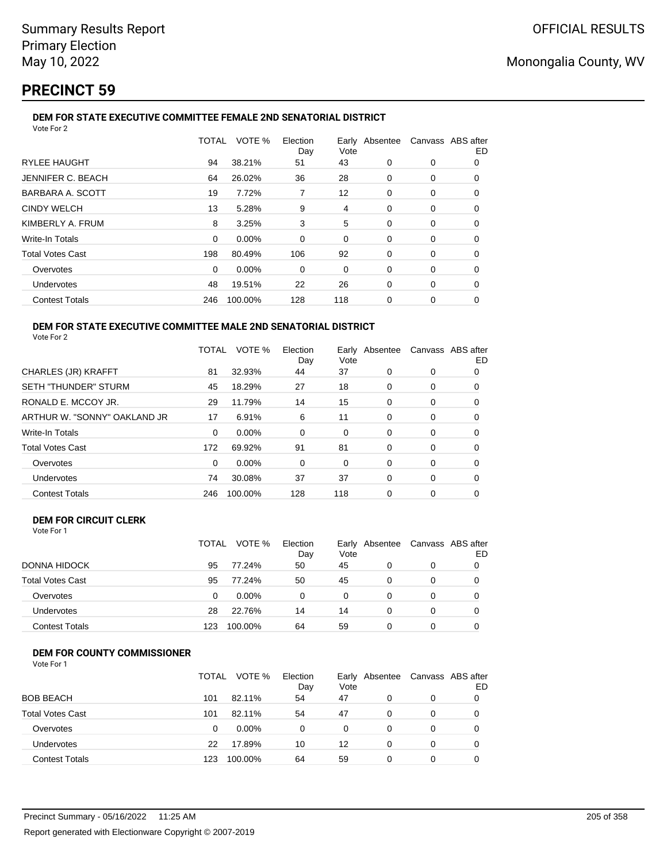# **PRECINCT 59**

#### **DEM FOR STATE EXECUTIVE COMMITTEE FEMALE 2ND SENATORIAL DISTRICT** Vote For 2

|                         | TOTAL    | VOTE %  | Election<br>Day | Vote |   | Early Absentee Canvass ABS after | ED |  |  |  |
|-------------------------|----------|---------|-----------------|------|---|----------------------------------|----|--|--|--|
| <b>RYLEE HAUGHT</b>     | 94       | 38.21%  | 51              | 43   | 0 | 0                                | 0  |  |  |  |
| JENNIFER C. BEACH       | 64       | 26.02%  | 36              | 28   | 0 | 0                                | 0  |  |  |  |
| BARBARA A. SCOTT        | 19       | 7.72%   |                 | 12   | 0 | 0                                | 0  |  |  |  |
| <b>CINDY WELCH</b>      | 13       | 5.28%   | 9               | 4    | 0 | 0                                | 0  |  |  |  |
| KIMBERLY A. FRUM        | 8        | 3.25%   | 3               | 5    | 0 | 0                                | 0  |  |  |  |
| <b>Write-In Totals</b>  | $\Omega$ | 0.00%   | $\Omega$        | 0    | 0 | 0                                | 0  |  |  |  |
| <b>Total Votes Cast</b> | 198      | 80.49%  | 106             | 92   | 0 | 0                                | 0  |  |  |  |
| Overvotes               | 0        | 0.00%   | 0               | 0    | 0 | 0                                | 0  |  |  |  |
| Undervotes              | 48       | 19.51%  | 22              | 26   | 0 | 0                                | 0  |  |  |  |
| <b>Contest Totals</b>   | 246      | 100.00% | 128             | 118  | 0 | 0                                | 0  |  |  |  |
|                         |          |         |                 |      |   |                                  |    |  |  |  |

#### **DEM FOR STATE EXECUTIVE COMMITTEE MALE 2ND SENATORIAL DISTRICT** Vote For 2

|                              | TOTAL | VOTE %   | Election<br>Day | Vote | Early Absentee | Canvass ABS after | ED |
|------------------------------|-------|----------|-----------------|------|----------------|-------------------|----|
| <b>CHARLES (JR) KRAFFT</b>   | 81    | 32.93%   | 44              | 37   | 0              | 0                 | 0  |
| <b>SETH "THUNDER" STURM</b>  | 45    | 18.29%   | 27              | 18   | 0              | 0                 | 0  |
| RONALD E. MCCOY JR.          | 29    | 11.79%   | 14              | 15   | 0              | 0                 | 0  |
| ARTHUR W. "SONNY" OAKLAND JR | 17    | 6.91%    | 6               | 11   | 0              | 0                 | 0  |
| <b>Write-In Totals</b>       | 0     | $0.00\%$ | 0               | 0    | 0              | 0                 | O  |
| <b>Total Votes Cast</b>      | 172   | 69.92%   | 91              | 81   | $\Omega$       | 0                 | 0  |
| Overvotes                    | 0     | $0.00\%$ | 0               | 0    | 0              | 0                 | 0  |
| <b>Undervotes</b>            | 74    | 30.08%   | 37              | 37   | $\Omega$       | 0                 | 0  |
| <b>Contest Totals</b>        | 246   | 100.00%  | 128             | 118  | 0              | 0                 | 0  |

## **DEM FOR CIRCUIT CLERK**

| Vote For 1 |  |  |
|------------|--|--|
|            |  |  |

|                         | <b>TOTAL</b> | VOTE %   | Election<br>Day | Vote | Early Absentee | Canvass ABS after<br>ED |
|-------------------------|--------------|----------|-----------------|------|----------------|-------------------------|
| DONNA HIDOCK            | 95           | 77.24%   | 50              | 45   |                |                         |
| <b>Total Votes Cast</b> | 95           | 77.24%   | 50              | 45   | $\Omega$       |                         |
| Overvotes               | 0            | $0.00\%$ |                 | 0    |                |                         |
| <b>Undervotes</b>       | 28           | 22.76%   | 14              | 14   | 0              | 0                       |
| <b>Contest Totals</b>   | 123          | 100.00%  | 64              | 59   |                |                         |

## **DEM FOR COUNTY COMMISSIONER**

| Vote For 1 |  |
|------------|--|
|------------|--|

|                         | TOTAL | VOTE %   | Election<br>Day | Early<br>Vote | Absentee | Canvass ABS after | ED |
|-------------------------|-------|----------|-----------------|---------------|----------|-------------------|----|
| <b>BOB BEACH</b>        | 101   | 82.11%   | 54              | 47            | 0        | 0                 |    |
| <b>Total Votes Cast</b> | 101   | 82.11%   | 54              | 47            | $\Omega$ | 0                 |    |
| Overvotes               | 0     | $0.00\%$ | 0               | 0             | 0        | 0                 |    |
| <b>Undervotes</b>       | 22    | 17.89%   | 10              | 12            | 0        | 0                 |    |
| <b>Contest Totals</b>   | 123   | 100.00%  | 64              | 59            | 0        | $\Omega$          |    |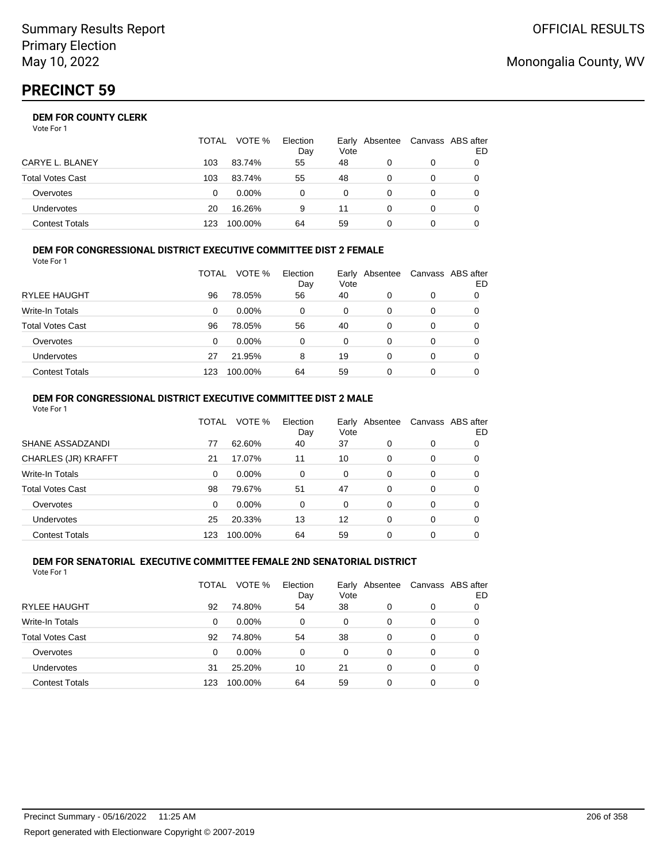|                       | <b>TOTAL</b> | VOTE %   | Election<br>Day | Vote | Early Absentee | Canvass ABS after | ED |
|-----------------------|--------------|----------|-----------------|------|----------------|-------------------|----|
| CARYE L. BLANEY       | 103          | 83.74%   | 55              | 48   |                | 0                 |    |
| Total Votes Cast      | 103          | 83.74%   | 55              | 48   |                | 0                 |    |
| Overvotes             | 0            | $0.00\%$ | 0               | 0    |                | 0                 |    |
| <b>Undervotes</b>     | 20           | 16.26%   | 9               | 11   | 0              | 0                 |    |
| <b>Contest Totals</b> | 123          | 100.00%  | 64              | 59   |                |                   |    |

#### **DEM FOR CONGRESSIONAL DISTRICT EXECUTIVE COMMITTEE DIST 2 FEMALE**

| Vote For 1              |       |          |                 |      |                |   |                         |
|-------------------------|-------|----------|-----------------|------|----------------|---|-------------------------|
|                         | TOTAL | VOTE %   | Election<br>Day | Vote | Early Absentee |   | Canvass ABS after<br>ED |
| <b>RYLEE HAUGHT</b>     | 96    | 78.05%   | 56              | 40   | 0              | 0 |                         |
| Write-In Totals         | 0     | $0.00\%$ | 0               | 0    | 0              | 0 | 0                       |
| <b>Total Votes Cast</b> | 96    | 78.05%   | 56              | 40   | 0              | 0 |                         |
| Overvotes               | 0     | $0.00\%$ | 0               | 0    | 0              | 0 |                         |
| Undervotes              | 27    | 21.95%   | 8               | 19   | 0              | 0 |                         |
| <b>Contest Totals</b>   | 123   | 100.00%  | 64              | 59   | 0              | 0 |                         |

#### **DEM FOR CONGRESSIONAL DISTRICT EXECUTIVE COMMITTEE DIST 2 MALE** Vote For 1

|                         | TOTAL    | VOTE %  | Election<br>Day | Vote     | Early Absentee |          | Canvass ABS after<br>ED |
|-------------------------|----------|---------|-----------------|----------|----------------|----------|-------------------------|
| SHANE ASSADZANDI        | 77       | 62.60%  | 40              | 37       | 0              | 0        | 0                       |
| CHARLES (JR) KRAFFT     | 21       | 17.07%  | 11              | 10       | $\Omega$       | 0        | 0                       |
| Write-In Totals         | 0        | 0.00%   | $\Omega$        | $\Omega$ | $\Omega$       | $\Omega$ | 0                       |
| <b>Total Votes Cast</b> | 98       | 79.67%  | 51              | 47       | 0              | $\Omega$ | 0                       |
| Overvotes               | $\Omega$ | 0.00%   | 0               | $\Omega$ | $\Omega$       | $\Omega$ | 0                       |
| <b>Undervotes</b>       | 25       | 20.33%  | 13              | 12       | $\Omega$       | $\Omega$ | 0                       |
| <b>Contest Totals</b>   | 123      | 100.00% | 64              | 59       | 0              | $\Omega$ |                         |

#### **DEM FOR SENATORIAL EXECUTIVE COMMITTEE FEMALE 2ND SENATORIAL DISTRICT** Vote For 1

|                         | TOTAL | VOTE %   | Election<br>Day | Vote | Early Absentee |   | Canvass ABS after<br>ED |
|-------------------------|-------|----------|-----------------|------|----------------|---|-------------------------|
| RYLEE HAUGHT            | 92    | 74.80%   | 54              | 38   | 0              | 0 | 0                       |
| Write-In Totals         | 0     | $0.00\%$ | 0               | 0    | 0              | 0 | 0                       |
| <b>Total Votes Cast</b> | 92    | 74.80%   | 54              | 38   | 0              | 0 | 0                       |
| Overvotes               | 0     | 0.00%    | 0               | 0    | 0              | 0 | 0                       |
| Undervotes              | 31    | 25.20%   | 10              | 21   | 0              | 0 | 0                       |
| <b>Contest Totals</b>   | 123   | 100.00%  | 64              | 59   | 0              | 0 |                         |

# Monongalia County, WV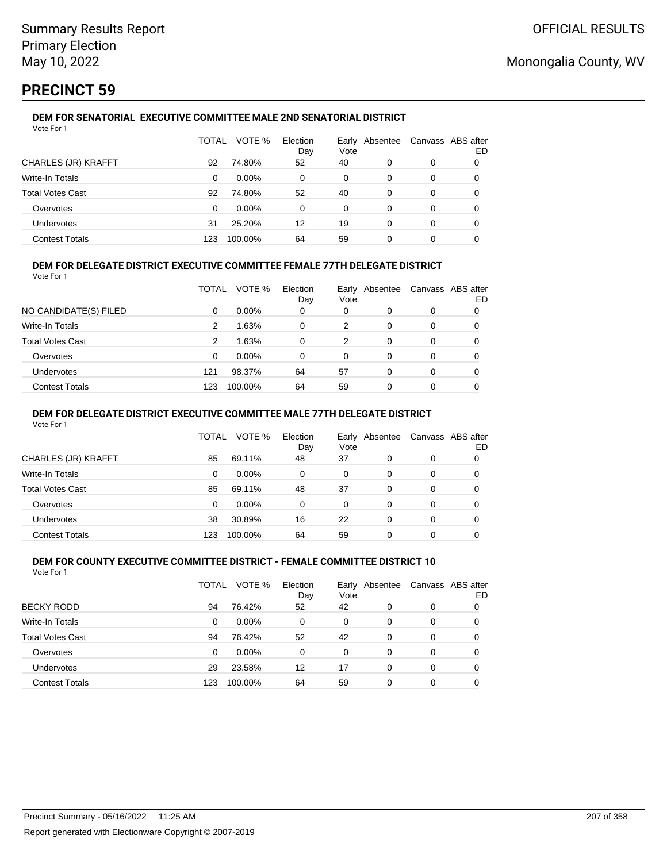# **PRECINCT 59**

#### **DEM FOR SENATORIAL EXECUTIVE COMMITTEE MALE 2ND SENATORIAL DISTRICT** Vote For 1

|                         | TOTAL | VOTE %   | Election<br>Day | Vote | Early Absentee |   | Canvass ABS after<br>ED |
|-------------------------|-------|----------|-----------------|------|----------------|---|-------------------------|
| CHARLES (JR) KRAFFT     | 92    | 74.80%   | 52              | 40   | 0              | 0 |                         |
| Write-In Totals         | 0     | $0.00\%$ | 0               | 0    | 0              | 0 |                         |
| <b>Total Votes Cast</b> | 92    | 74.80%   | 52              | 40   | 0              | 0 |                         |
| Overvotes               | 0     | $0.00\%$ | $\Omega$        | 0    | 0              | 0 |                         |
| Undervotes              | 31    | 25.20%   | 12              | 19   | 0              | 0 |                         |
| <b>Contest Totals</b>   | 123   | 100.00%  | 64              | 59   | 0              | 0 |                         |

## **DEM FOR DELEGATE DISTRICT EXECUTIVE COMMITTEE FEMALE 77TH DELEGATE DISTRICT**

Vote For 1

|                         | TOTAL | VOTE %   | Election<br>Day | Vote | Early Absentee | Canvass ABS after | ED |
|-------------------------|-------|----------|-----------------|------|----------------|-------------------|----|
| NO CANDIDATE(S) FILED   | 0     | $0.00\%$ | 0               | 0    | 0              | 0                 |    |
| Write-In Totals         | 2     | 1.63%    | 0               | 2    | 0              | 0                 |    |
| <b>Total Votes Cast</b> | 2     | 1.63%    | 0               | 2    | 0              | 0                 |    |
| Overvotes               | 0     | $0.00\%$ | 0               | 0    | 0              | 0                 |    |
| <b>Undervotes</b>       | 121   | 98.37%   | 64              | 57   | 0              | 0                 |    |
| <b>Contest Totals</b>   | 123   | 100.00%  | 64              | 59   | 0              | 0                 |    |

### **DEM FOR DELEGATE DISTRICT EXECUTIVE COMMITTEE MALE 77TH DELEGATE DISTRICT**

Vote For 1

|                       | TOTAL    | VOTE %   | Election<br>Day | Vote | Early Absentee |   | Canvass ABS after<br>ED |
|-----------------------|----------|----------|-----------------|------|----------------|---|-------------------------|
| CHARLES (JR) KRAFFT   | 85       | 69.11%   | 48              | 37   | 0              | 0 |                         |
| Write-In Totals       | 0        | $0.00\%$ | 0               | 0    | 0              | 0 | 0                       |
| Total Votes Cast      | 85       | 69.11%   | 48              | 37   | $\Omega$       | 0 | 0                       |
| Overvotes             | $\Omega$ | $0.00\%$ | 0               | 0    | 0              | 0 |                         |
| <b>Undervotes</b>     | 38       | 30.89%   | 16              | 22   | 0              | 0 | 0                       |
| <b>Contest Totals</b> | 123      | 100.00%  | 64              | 59   |                |   |                         |

#### **DEM FOR COUNTY EXECUTIVE COMMITTEE DISTRICT - FEMALE COMMITTEE DISTRICT 10** Vote For 1

|                         | TOTAL | VOTE %   | Election<br>Day | Vote | Early Absentee |   | Canvass ABS after<br>ED |
|-------------------------|-------|----------|-----------------|------|----------------|---|-------------------------|
| <b>BECKY RODD</b>       | 94    | 76.42%   | 52              | 42   | 0              | 0 | 0                       |
| Write-In Totals         | 0     | $0.00\%$ | 0               | 0    | 0              | 0 | 0                       |
| <b>Total Votes Cast</b> | 94    | 76.42%   | 52              | 42   | 0              | 0 | 0                       |
| Overvotes               | 0     | 0.00%    | 0               | 0    | 0              | 0 | 0                       |
| Undervotes              | 29    | 23.58%   | 12              | 17   | 0              | 0 | 0                       |
| <b>Contest Totals</b>   | 123   | 100.00%  | 64              | 59   | 0              | 0 |                         |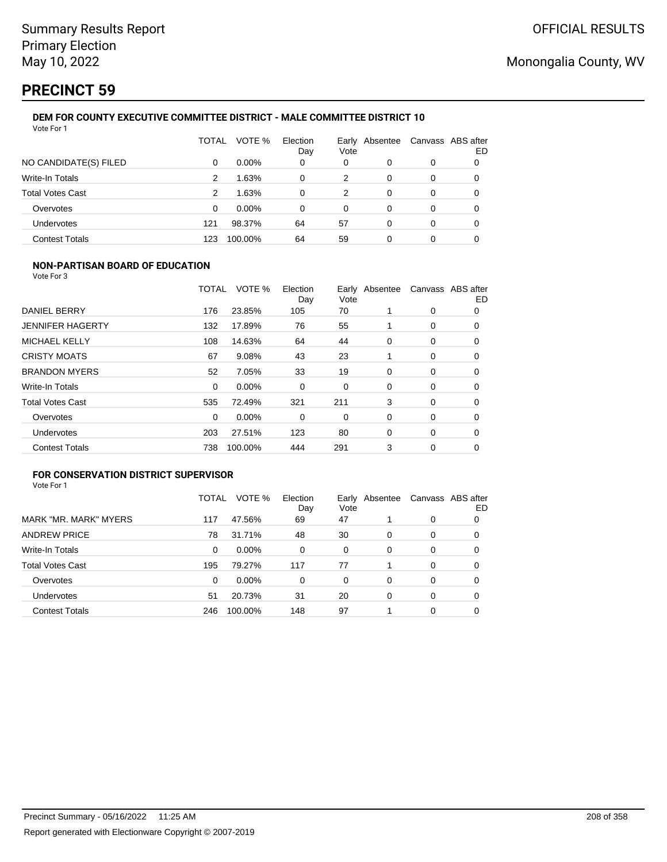# **PRECINCT 59**

#### **DEM FOR COUNTY EXECUTIVE COMMITTEE DISTRICT - MALE COMMITTEE DISTRICT 10** Vote For 1

|                         | TOTAL | VOTE %   | Election<br>Day | Vote | Early Absentee | Canvass ABS after | ED |
|-------------------------|-------|----------|-----------------|------|----------------|-------------------|----|
| NO CANDIDATE(S) FILED   | 0     | $0.00\%$ | 0               | 0    | 0              | 0                 | 0  |
| Write-In Totals         | 2     | 1.63%    | 0               | 2    | 0              | 0                 | 0  |
| <b>Total Votes Cast</b> | 2     | 1.63%    | 0               | 2    | 0              | 0                 | 0  |
| Overvotes               | 0     | $0.00\%$ | 0               | 0    | 0              | 0                 | 0  |
| Undervotes              | 121   | 98.37%   | 64              | 57   | 0              | $\Omega$          |    |
| <b>Contest Totals</b>   | 123   | 100.00%  | 64              | 59   | 0              | 0                 |    |

## **NON-PARTISAN BOARD OF EDUCATION**

Vote For 3

|                         | TOTAL    | VOTE %   | Election<br>Day | Vote | Early Absentee |   | Canvass ABS after<br>ED |
|-------------------------|----------|----------|-----------------|------|----------------|---|-------------------------|
| DANIEL BERRY            | 176      | 23.85%   | 105             | 70   |                | 0 | 0                       |
| <b>JENNIFER HAGERTY</b> | 132      | 17.89%   | 76              | 55   |                | 0 | 0                       |
| <b>MICHAEL KELLY</b>    | 108      | 14.63%   | 64              | 44   | 0              | 0 | 0                       |
| <b>CRISTY MOATS</b>     | 67       | 9.08%    | 43              | 23   |                | 0 | 0                       |
| <b>BRANDON MYERS</b>    | 52       | 7.05%    | 33              | 19   | 0              | 0 | 0                       |
| <b>Write-In Totals</b>  | $\Omega$ | $0.00\%$ | 0               | 0    | $\Omega$       | 0 | 0                       |
| <b>Total Votes Cast</b> | 535      | 72.49%   | 321             | 211  | 3              | 0 | 0                       |
| Overvotes               | $\Omega$ | 0.00%    | 0               | 0    | 0              | 0 | 0                       |
| <b>Undervotes</b>       | 203      | 27.51%   | 123             | 80   | $\Omega$       | 0 | 0                       |
| <b>Contest Totals</b>   | 738      | 100.00%  | 444             | 291  | 3              | 0 | 0                       |

## **FOR CONSERVATION DISTRICT SUPERVISOR**

|                         | TOTAL | VOTE %  | Election<br>Day | Early<br>Vote | Absentee |          | Canvass ABS after<br>ED |
|-------------------------|-------|---------|-----------------|---------------|----------|----------|-------------------------|
| MARK "MR. MARK" MYERS   | 117   | 47.56%  | 69              | 47            |          | 0        | O                       |
| <b>ANDREW PRICE</b>     | 78    | 31.71%  | 48              | 30            | 0        | 0        | O                       |
| Write-In Totals         | 0     | 0.00%   | $\Omega$        | 0             | 0        | 0        | 0                       |
| <b>Total Votes Cast</b> | 195   | 79.27%  | 117             | 77            |          | $\Omega$ | 0                       |
| Overvotes               | 0     | 0.00%   | $\Omega$        | 0             | 0        | 0        | 0                       |
| <b>Undervotes</b>       | 51    | 20.73%  | 31              | 20            | 0        | 0        | 0                       |
| <b>Contest Totals</b>   | 246   | 100.00% | 148             | 97            |          | 0        |                         |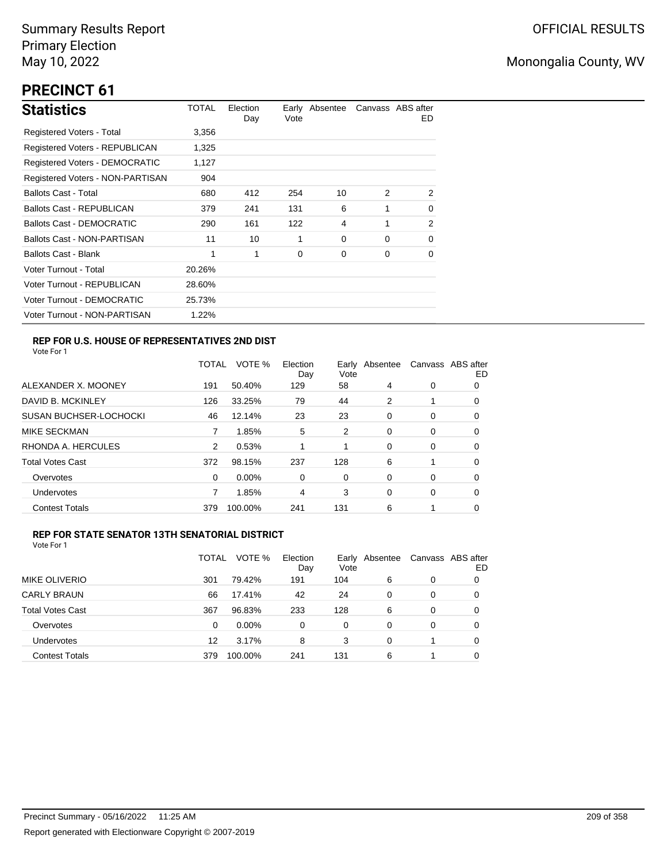# **PRECINCT 61**

| <b>Statistics</b>                     | TOTAL  | Election<br>Day | Vote        | Early Absentee |                | Canvass ABS after<br>ED. |
|---------------------------------------|--------|-----------------|-------------|----------------|----------------|--------------------------|
| Registered Voters - Total             | 3,356  |                 |             |                |                |                          |
| Registered Voters - REPUBLICAN        | 1,325  |                 |             |                |                |                          |
| <b>Registered Voters - DEMOCRATIC</b> | 1,127  |                 |             |                |                |                          |
| Registered Voters - NON-PARTISAN      | 904    |                 |             |                |                |                          |
| <b>Ballots Cast - Total</b>           | 680    | 412             | 254         | 10             | $\mathfrak{p}$ | 2                        |
| Ballots Cast - REPUBLICAN             | 379    | 241             | 131         | 6              | 1              | 0                        |
| <b>Ballots Cast - DEMOCRATIC</b>      | 290    | 161             | 122         | 4              | 1              | 2                        |
| Ballots Cast - NON-PARTISAN           | 11     | 10              | 1           | $\Omega$       | $\Omega$       | $\Omega$                 |
| Ballots Cast - Blank                  | 1      | 1               | $\mathbf 0$ | 0              | 0              | 0                        |
| Voter Turnout - Total                 | 20.26% |                 |             |                |                |                          |
| Voter Turnout - REPUBLICAN            | 28.60% |                 |             |                |                |                          |
| Voter Turnout - DEMOCRATIC            | 25.73% |                 |             |                |                |                          |
| Voter Turnout - NON-PARTISAN          | 1.22%  |                 |             |                |                |                          |

## **REP FOR U.S. HOUSE OF REPRESENTATIVES 2ND DIST**

Vote For 1

|                               | <b>TOTAL</b>  | VOTE %   | Election<br>Day | Early<br>Vote | Absentee |   | Canvass ABS after<br>ED |
|-------------------------------|---------------|----------|-----------------|---------------|----------|---|-------------------------|
| ALEXANDER X. MOONEY           | 191           | 50.40%   | 129             | 58            | 4        | 0 | 0                       |
| DAVID B. MCKINLEY             | 126           | 33.25%   | 79              | 44            | 2        |   | 0                       |
| <b>SUSAN BUCHSER-LOCHOCKI</b> | 46            | 12.14%   | 23              | 23            | 0        | 0 | 0                       |
| <b>MIKE SECKMAN</b>           |               | 1.85%    | 5               | 2             | 0        | 0 | 0                       |
| RHONDA A. HERCULES            | $\mathcal{P}$ | 0.53%    |                 | 1             | 0        | 0 | 0                       |
| <b>Total Votes Cast</b>       | 372           | 98.15%   | 237             | 128           | 6        |   | 0                       |
| Overvotes                     | 0             | $0.00\%$ | 0               | 0             | 0        | 0 | 0                       |
| <b>Undervotes</b>             |               | 1.85%    | 4               | 3             | 0        | 0 | 0                       |
| <b>Contest Totals</b>         | 379           | 100.00%  | 241             | 131           | 6        |   | 0                       |
|                               |               |          |                 |               |          |   |                         |

### **REP FOR STATE SENATOR 13TH SENATORIAL DISTRICT**

|                         | TOTAL | VOTE %   | Election<br>Day | Vote | Early Absentee |   | Canvass ABS after<br>ED |
|-------------------------|-------|----------|-----------------|------|----------------|---|-------------------------|
| MIKE OLIVERIO           | 301   | 79.42%   | 191             | 104  | 6              | 0 | O                       |
| <b>CARLY BRAUN</b>      | 66    | 17.41%   | 42              | 24   | 0              | 0 | O                       |
| <b>Total Votes Cast</b> | 367   | 96.83%   | 233             | 128  | 6              | 0 | O                       |
| Overvotes               | 0     | $0.00\%$ | $\Omega$        | 0    | 0              | 0 | O                       |
| Undervotes              | 12    | 3.17%    | 8               | 3    | 0              |   | 0                       |
| <b>Contest Totals</b>   | 379   | 100.00%  | 241             | 131  | 6              |   | 0                       |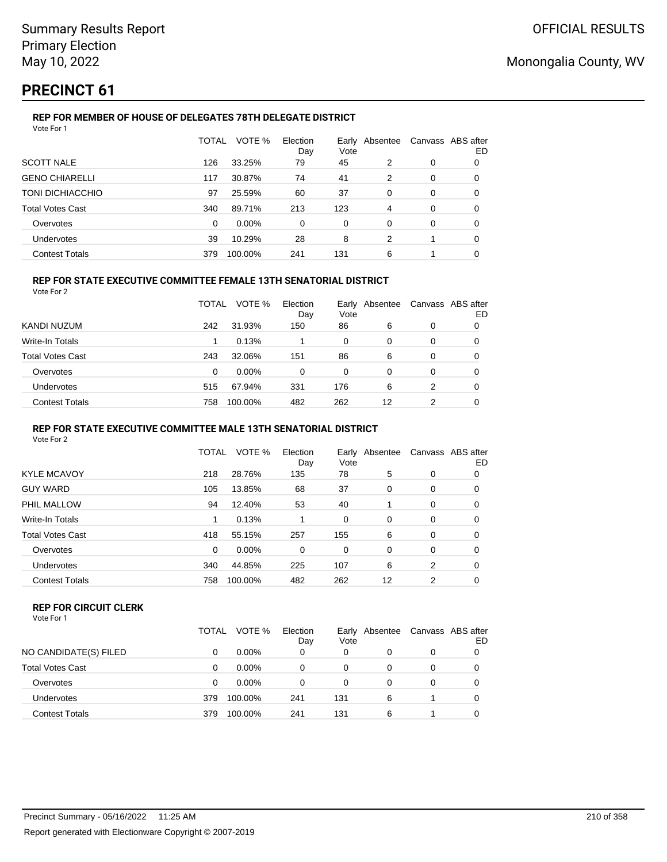# **PRECINCT 61**

## **REP FOR MEMBER OF HOUSE OF DELEGATES 78TH DELEGATE DISTRICT**

| Vote For 1              |       |         |                 |      |                |                   |    |
|-------------------------|-------|---------|-----------------|------|----------------|-------------------|----|
|                         | TOTAL | VOTE %  | Election<br>Day | Vote | Early Absentee | Canvass ABS after | ED |
| <b>SCOTT NALE</b>       | 126   | 33.25%  | 79              | 45   | 2              | 0                 | 0  |
| <b>GENO CHIARELLI</b>   | 117   | 30.87%  | 74              | 41   | 2              | 0                 | 0  |
| TONI DICHIACCHIO        | 97    | 25.59%  | 60              | 37   | $\Omega$       | 0                 | 0  |
| <b>Total Votes Cast</b> | 340   | 89.71%  | 213             | 123  | 4              | 0                 | 0  |
| Overvotes               | 0     | 0.00%   | $\Omega$        | 0    | 0              | 0                 | 0  |
| <b>Undervotes</b>       | 39    | 10.29%  | 28              | 8    | 2              |                   | 0  |
| <b>Contest Totals</b>   | 379   | 100.00% | 241             | 131  | 6              |                   | 0  |

## **REP FOR STATE EXECUTIVE COMMITTEE FEMALE 13TH SENATORIAL DISTRICT**

Vote For 2

| KANDI NUZUM<br>31.93%<br>86<br>242<br>150<br>6<br>0<br>Write-In Totals<br>0.13%<br>0<br>0<br>0<br>Total Votes Cast<br>243<br>32.06%<br>86<br>151<br>6<br>0 | Canvass ABS after<br>ED |
|------------------------------------------------------------------------------------------------------------------------------------------------------------|-------------------------|
|                                                                                                                                                            |                         |
|                                                                                                                                                            |                         |
|                                                                                                                                                            |                         |
| $0.00\%$<br>Overvotes<br>0<br>0<br>0<br>0<br>0                                                                                                             | 0                       |
| Undervotes<br>331<br>176<br>67.94%<br>6<br>2<br>515                                                                                                        | 0                       |
| 262<br><b>Contest Totals</b><br>482<br>100.00%<br>12<br>2<br>758                                                                                           | 0                       |

#### **REP FOR STATE EXECUTIVE COMMITTEE MALE 13TH SENATORIAL DISTRICT**

Vote For 2

|                         | TOTAL | VOTE %   | Election<br>Day | Early<br>Vote | Absentee |   | Canvass ABS after<br>ED |
|-------------------------|-------|----------|-----------------|---------------|----------|---|-------------------------|
| <b>KYLE MCAVOY</b>      | 218   | 28.76%   | 135             | 78            | 5        | 0 | 0                       |
| <b>GUY WARD</b>         | 105   | 13.85%   | 68              | 37            | 0        | 0 | 0                       |
| PHIL MALLOW             | 94    | 12.40%   | 53              | 40            | 1        | 0 | 0                       |
| Write-In Totals         |       | 0.13%    |                 | 0             | 0        | 0 | 0                       |
| <b>Total Votes Cast</b> | 418   | 55.15%   | 257             | 155           | 6        | 0 | 0                       |
| Overvotes               | 0     | $0.00\%$ | 0               | 0             | 0        | 0 | 0                       |
| <b>Undervotes</b>       | 340   | 44.85%   | 225             | 107           | 6        | 2 | 0                       |
| <b>Contest Totals</b>   | 758   | 100.00%  | 482             | 262           | 12       | 2 | 0                       |

#### **REP FOR CIRCUIT CLERK**

|                         | TOTAL | VOTE %   | Election<br>Day | Earlv<br>Vote | Absentee | Canvass ABS after | ED |
|-------------------------|-------|----------|-----------------|---------------|----------|-------------------|----|
| NO CANDIDATE(S) FILED   |       | $0.00\%$ | 0               | 0             | 0        | 0                 |    |
| <b>Total Votes Cast</b> |       | $0.00\%$ | 0               | 0             | 0        | 0                 |    |
| Overvotes               | 0     | $0.00\%$ | 0               | 0             | 0        | 0                 |    |
| Undervotes              | 379   | 100.00%  | 241             | 131           | 6        |                   |    |
| <b>Contest Totals</b>   | 379   | 100.00%  | 241             | 131           | 6        |                   |    |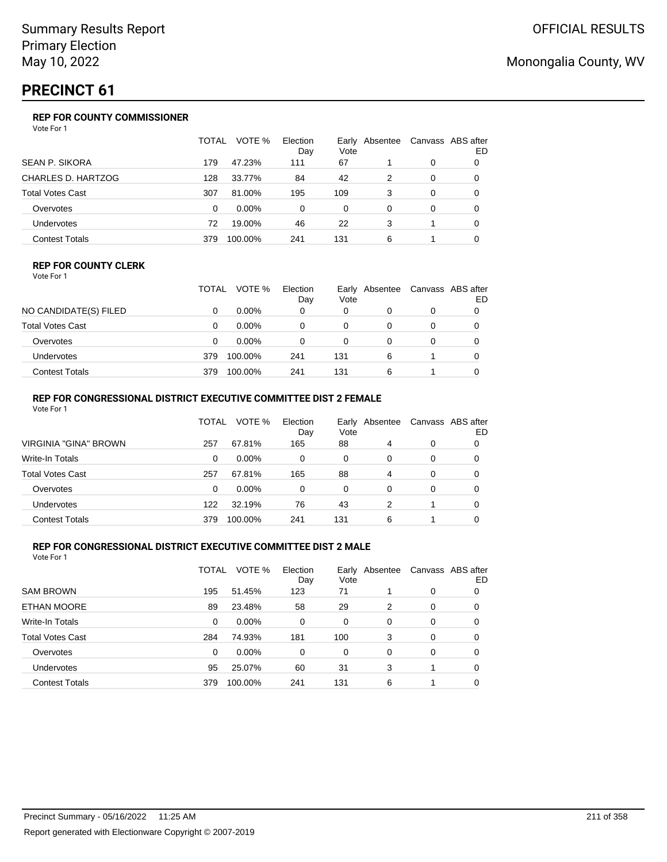# **PRECINCT 61**

## **REP FOR COUNTY COMMISSIONER**

Vote For 1

|                         | TOTAL | VOTE %   | Election<br>Day | Vote | Early Absentee |   | Canvass ABS after<br>ED |
|-------------------------|-------|----------|-----------------|------|----------------|---|-------------------------|
| <b>SEAN P. SIKORA</b>   | 179   | 47.23%   | 111             | 67   |                | 0 |                         |
| CHARLES D. HARTZOG      | 128   | 33.77%   | 84              | 42   | 2              | 0 |                         |
| <b>Total Votes Cast</b> | 307   | 81.00%   | 195             | 109  | 3              | 0 |                         |
| Overvotes               | 0     | $0.00\%$ | 0               | 0    | 0              | 0 |                         |
| Undervotes              | 72    | 19.00%   | 46              | 22   | 3              |   |                         |
| <b>Contest Totals</b>   | 379   | 100.00%  | 241             | 131  | 6              |   |                         |

#### **REP FOR COUNTY CLERK**

Vote For 1

|                       | <b>TOTAL</b> | VOTE %   | Election<br>Day | Vote | Early Absentee | Canvass ABS after<br>ED |
|-----------------------|--------------|----------|-----------------|------|----------------|-------------------------|
| NO CANDIDATE(S) FILED |              | $0.00\%$ | 0               | 0    |                |                         |
| Total Votes Cast      |              | $0.00\%$ |                 |      |                |                         |
| Overvotes             |              | $0.00\%$ |                 | 0    |                |                         |
| Undervotes            | 379          | 100.00%  | 241             | 131  | 6              |                         |
| Contest Totals        | 379          | 100.00%  | 241             | 131  | 6              |                         |

## **REP FOR CONGRESSIONAL DISTRICT EXECUTIVE COMMITTEE DIST 2 FEMALE**

| Vote For 1              |       |          |                 |      |                |   |                         |
|-------------------------|-------|----------|-----------------|------|----------------|---|-------------------------|
|                         | TOTAL | VOTE %   | Election<br>Day | Vote | Early Absentee |   | Canvass ABS after<br>ED |
| VIRGINIA "GINA" BROWN   | 257   | 67.81%   | 165             | 88   | 4              | 0 | 0                       |
| Write-In Totals         | 0     | $0.00\%$ | 0               | 0    | 0              | 0 | 0                       |
| <b>Total Votes Cast</b> | 257   | 67.81%   | 165             | 88   | 4              | 0 | 0                       |
| Overvotes               | 0     | $0.00\%$ | 0               | 0    | 0              | 0 | 0                       |
| Undervotes              | 122   | 32.19%   | 76              | 43   | 2              |   | 0                       |
| <b>Contest Totals</b>   | 379   | 100.00%  | 241             | 131  | 6              |   |                         |

## **REP FOR CONGRESSIONAL DISTRICT EXECUTIVE COMMITTEE DIST 2 MALE**

|                         | TOTAL | VOTE %   | Election<br>Day | Vote | Early Absentee |   | Canvass ABS after<br>ED |
|-------------------------|-------|----------|-----------------|------|----------------|---|-------------------------|
| <b>SAM BROWN</b>        | 195   | 51.45%   | 123             | 71   |                | 0 | 0                       |
| ETHAN MOORE             | 89    | 23.48%   | 58              | 29   | 2              | 0 | 0                       |
| Write-In Totals         | 0     | $0.00\%$ | 0               | 0    | 0              | 0 | 0                       |
| <b>Total Votes Cast</b> | 284   | 74.93%   | 181             | 100  | 3              | 0 | 0                       |
| Overvotes               | 0     | $0.00\%$ | 0               | 0    | $\Omega$       | 0 | 0                       |
| <b>Undervotes</b>       | 95    | 25.07%   | 60              | 31   | 3              | 1 | 0                       |
| <b>Contest Totals</b>   | 379   | 100.00%  | 241             | 131  | 6              |   | 0                       |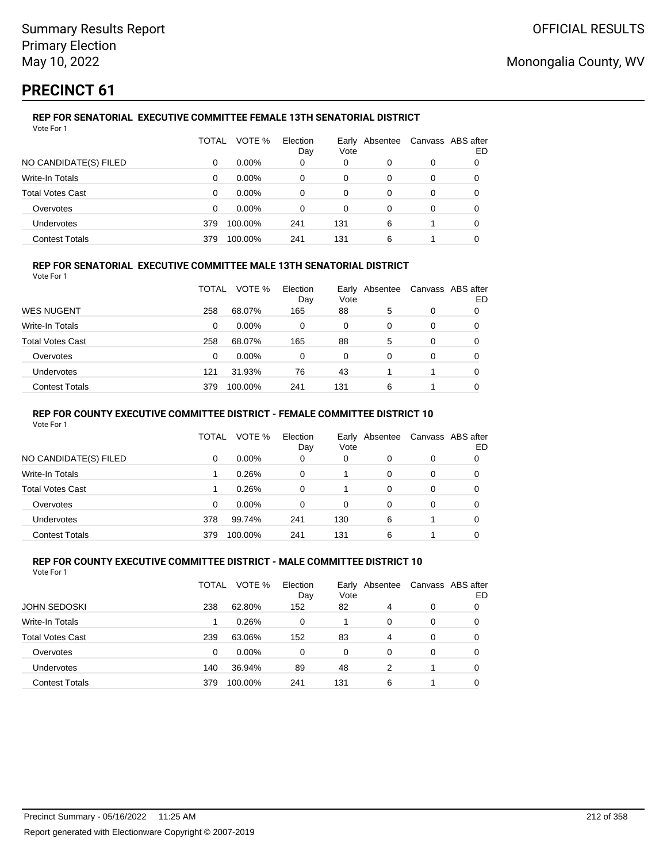# **PRECINCT 61**

#### **REP FOR SENATORIAL EXECUTIVE COMMITTEE FEMALE 13TH SENATORIAL DISTRICT** Vote For 1

|                         | TOTAL | VOTE %   | Election<br>Day | Early<br>Vote | Absentee |   | Canvass ABS after<br>ED |
|-------------------------|-------|----------|-----------------|---------------|----------|---|-------------------------|
| NO CANDIDATE(S) FILED   | 0     | $0.00\%$ | 0               | 0             | 0        | 0 |                         |
| Write-In Totals         | 0     | $0.00\%$ | 0               | 0             | 0        | 0 |                         |
| <b>Total Votes Cast</b> | 0     | $0.00\%$ | 0               | 0             | 0        | 0 |                         |
| Overvotes               | 0     | $0.00\%$ | 0               | 0             | 0        | 0 |                         |
| Undervotes              | 379   | 100.00%  | 241             | 131           | 6        |   | 0                       |
| <b>Contest Totals</b>   | 379   | 100.00%  | 241             | 131           | 6        |   |                         |

## **REP FOR SENATORIAL EXECUTIVE COMMITTEE MALE 13TH SENATORIAL DISTRICT**

Vote For 1

|                       | TOTAL | VOTE %   | Election<br>Day | Vote | Early Absentee | Canvass ABS after | ED |
|-----------------------|-------|----------|-----------------|------|----------------|-------------------|----|
| WES NUGENT            | 258   | 68.07%   | 165             | 88   | 5              | 0                 |    |
| Write-In Totals       | 0     | $0.00\%$ | 0               | 0    | 0              | 0                 | O  |
| Total Votes Cast      | 258   | 68.07%   | 165             | 88   | 5              | 0                 |    |
| Overvotes             | 0     | $0.00\%$ | 0               | 0    | 0              | 0                 |    |
| Undervotes            | 121   | 31.93%   | 76              | 43   |                |                   | 0  |
| <b>Contest Totals</b> | 379   | 100.00%  | 241             | 131  | 6              |                   |    |

### **REP FOR COUNTY EXECUTIVE COMMITTEE DISTRICT - FEMALE COMMITTEE DISTRICT 10**

Vote For 1

|                       | TOTAL | VOTE %   | Election<br>Day | Vote     | Early Absentee |   | Canvass ABS after<br>ED |
|-----------------------|-------|----------|-----------------|----------|----------------|---|-------------------------|
| NO CANDIDATE(S) FILED | 0     | $0.00\%$ | 0               | 0        | 0              | 0 | 0                       |
| Write-In Totals       |       | 0.26%    | 0               |          | 0              | 0 | 0                       |
| Total Votes Cast      |       | 0.26%    | $\Omega$        |          | 0              | 0 | 0                       |
| Overvotes             | 0     | $0.00\%$ | $\Omega$        | $\Omega$ | 0              | 0 | 0                       |
| <b>Undervotes</b>     | 378   | 99.74%   | 241             | 130      | 6              |   | 0                       |
| <b>Contest Totals</b> | 379   | 100.00%  | 241             | 131      | 6              |   |                         |

#### **REP FOR COUNTY EXECUTIVE COMMITTEE DISTRICT - MALE COMMITTEE DISTRICT 10** Vote For 1

|                         | TOTAL | VOTE %   | Election<br>Day | Vote | Early Absentee |   | Canvass ABS after<br>ED |
|-------------------------|-------|----------|-----------------|------|----------------|---|-------------------------|
| <b>JOHN SEDOSKI</b>     | 238   | 62.80%   | 152             | 82   | 4              | 0 |                         |
| Write-In Totals         |       | 0.26%    | 0               |      | 0              | 0 | 0                       |
| <b>Total Votes Cast</b> | 239   | 63.06%   | 152             | 83   | 4              | 0 | 0                       |
| Overvotes               | 0     | $0.00\%$ | 0               | 0    | 0              | 0 | 0                       |
| Undervotes              | 140   | 36.94%   | 89              | 48   | 2              |   | 0                       |
| <b>Contest Totals</b>   | 379   | 100.00%  | 241             | 131  | 6              |   |                         |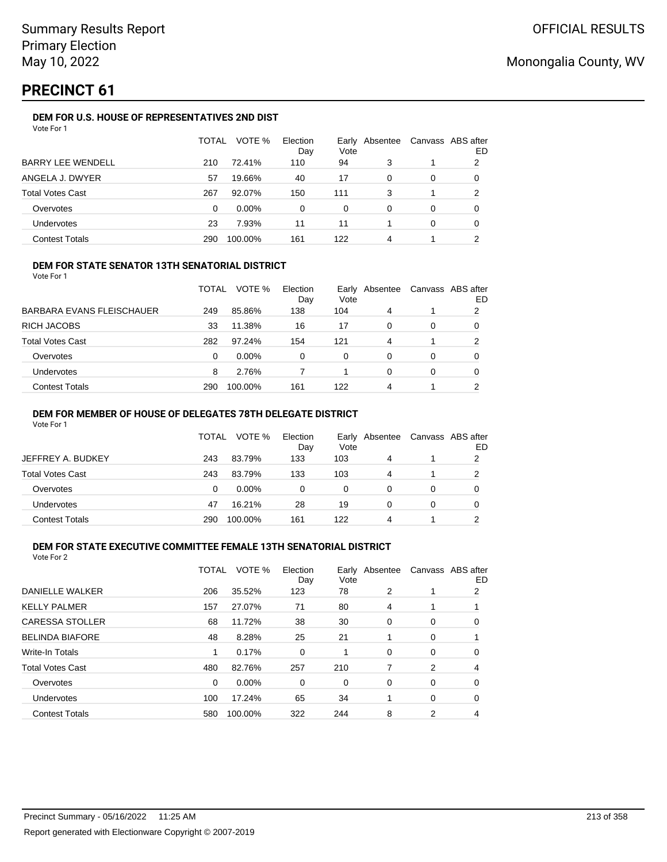# **PRECINCT 61**

## **DEM FOR U.S. HOUSE OF REPRESENTATIVES 2ND DIST**

| Vote For 1 |  |
|------------|--|
|------------|--|

|                          | TOTAL | VOTE %   | Election<br>Day | Early<br>Vote | Absentee |   | Canvass ABS after<br>ED |
|--------------------------|-------|----------|-----------------|---------------|----------|---|-------------------------|
| <b>BARRY LEE WENDELL</b> | 210   | 72.41%   | 110             | 94            | 3        |   | 2                       |
| ANGELA J. DWYER          | 57    | 19.66%   | 40              | 17            | 0        | 0 |                         |
| <b>Total Votes Cast</b>  | 267   | 92.07%   | 150             | 111           | 3        |   | 2                       |
| Overvotes                | 0     | $0.00\%$ | 0               | 0             | 0        | 0 |                         |
| Undervotes               | 23    | 7.93%    | 11              | 11            |          | 0 | O                       |
| <b>Contest Totals</b>    | 290   | 100.00%  | 161             | 122           | 4        |   | ົ                       |

### **DEM FOR STATE SENATOR 13TH SENATORIAL DISTRICT**

Vote For 1

|                           | TOTAL | VOTE %   | Election<br>Day | Vote | Early Absentee | Canvass ABS after | ED |
|---------------------------|-------|----------|-----------------|------|----------------|-------------------|----|
| BARBARA EVANS FLEISCHAUER | 249   | 85.86%   | 138             | 104  | 4              |                   | 2  |
| RICH JACOBS               | 33    | 11.38%   | 16              | 17   | 0              | 0                 |    |
| Total Votes Cast          | 282   | 97.24%   | 154             | 121  | 4              |                   | 2  |
| Overvotes                 | 0     | $0.00\%$ | 0               | 0    | 0              | 0                 |    |
| Undervotes                | 8     | 2.76%    |                 |      | 0              | 0                 |    |
| <b>Contest Totals</b>     | 290   | 100.00%  | 161             | 122  | 4              |                   | ◠  |

### **DEM FOR MEMBER OF HOUSE OF DELEGATES 78TH DELEGATE DISTRICT**

Vote For 1

|                       | TOTAL | VOTE %   | Election<br>Day | Vote | Early Absentee | Canvass ABS after | ED |
|-----------------------|-------|----------|-----------------|------|----------------|-------------------|----|
| JEFFREY A. BUDKEY     | 243   | 83.79%   | 133             | 103  | 4              |                   | 2  |
| Total Votes Cast      | 243   | 83.79%   | 133             | 103  | 4              |                   |    |
| Overvotes             | 0     | $0.00\%$ | 0               | 0    | 0              | 0                 |    |
| Undervotes            | 47    | 16.21%   | 28              | 19   | Ω              | 0                 |    |
| <b>Contest Totals</b> | 290   | 100.00%  | 161             | 122  | 4              |                   |    |

## **DEM FOR STATE EXECUTIVE COMMITTEE FEMALE 13TH SENATORIAL DISTRICT**

| Vote For 2 |  |
|------------|--|
|------------|--|

|                         | TOTAL | VOTE %   | Election<br>Day | Vote | Early Absentee | Canvass ABS after | ED |
|-------------------------|-------|----------|-----------------|------|----------------|-------------------|----|
| DANIELLE WALKER         | 206   | 35.52%   | 123             | 78   | 2              |                   | 2  |
| <b>KELLY PALMER</b>     | 157   | 27.07%   | 71              | 80   | 4              |                   |    |
| <b>CARESSA STOLLER</b>  | 68    | 11.72%   | 38              | 30   | 0              | 0                 | 0  |
| <b>BELINDA BIAFORE</b>  | 48    | 8.28%    | 25              | 21   |                | 0                 |    |
| <b>Write-In Totals</b>  | 1     | 0.17%    | 0               | 1    | 0              | 0                 | 0  |
| <b>Total Votes Cast</b> | 480   | 82.76%   | 257             | 210  |                | 2                 | 4  |
| Overvotes               | 0     | $0.00\%$ | 0               | 0    | 0              | 0                 | 0  |
| Undervotes              | 100   | 17.24%   | 65              | 34   | 1              | 0                 | 0  |
| <b>Contest Totals</b>   | 580   | 100.00%  | 322             | 244  | 8              | 2                 | 4  |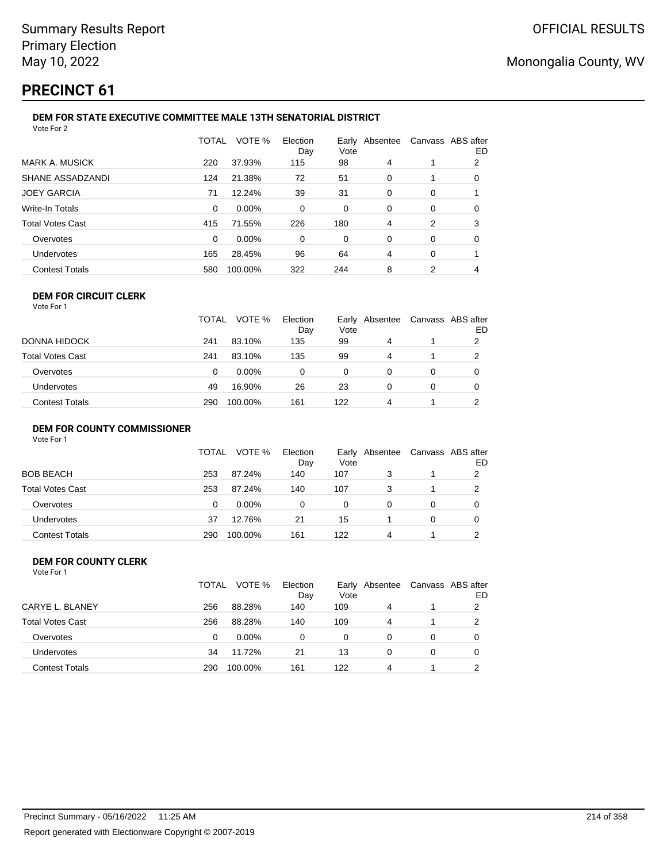# **PRECINCT 61**

#### **DEM FOR STATE EXECUTIVE COMMITTEE MALE 13TH SENATORIAL DISTRICT** Vote For 2

|                         | <b>TOTAL</b> | VOTE %  | Election<br>Day | Vote | Early Absentee | Canvass ABS after | ED |  |  |
|-------------------------|--------------|---------|-----------------|------|----------------|-------------------|----|--|--|
| <b>MARK A. MUSICK</b>   | 220          | 37.93%  | 115             | 98   | 4              |                   | 2  |  |  |
| SHANE ASSADZANDI        | 124          | 21.38%  | 72              | 51   | 0              |                   | 0  |  |  |
| <b>JOEY GARCIA</b>      | 71           | 12.24%  | 39              | 31   | $\Omega$       | 0                 |    |  |  |
| Write-In Totals         | 0            | 0.00%   | 0               | 0    | $\Omega$       | 0                 | 0  |  |  |
| <b>Total Votes Cast</b> | 415          | 71.55%  | 226             | 180  | 4              | 2                 | 3  |  |  |
| Overvotes               | 0            | 0.00%   | 0               | 0    | 0              | 0                 | 0  |  |  |
| Undervotes              | 165          | 28.45%  | 96              | 64   | 4              | 0                 |    |  |  |
| <b>Contest Totals</b>   | 580          | 100.00% | 322             | 244  | 8              | 2                 |    |  |  |
|                         |              |         |                 |      |                |                   |    |  |  |

#### **DEM FOR CIRCUIT CLERK** Vote For 1

|                       | TOTAL | VOTE %   | Election<br>Day | Vote | Early Absentee | Canvass ABS after | ED |
|-----------------------|-------|----------|-----------------|------|----------------|-------------------|----|
| DONNA HIDOCK          | 241   | 83.10%   | 135             | 99   | 4              |                   |    |
| Total Votes Cast      | 241   | 83.10%   | 135             | 99   | 4              |                   |    |
| Overvotes             | 0     | $0.00\%$ | 0               | 0    | 0              | 0                 |    |
| Undervotes            | 49    | 16.90%   | 26              | 23   |                | 0                 |    |
| <b>Contest Totals</b> | 290   | 100.00%  | 161             | 122  | 4              |                   |    |

#### **DEM FOR COUNTY COMMISSIONER**

| Vote For 1 |  |  |
|------------|--|--|
|            |  |  |

|                       | TOTAL | VOTE %   | Election<br>Day | Vote | Early Absentee | Canvass ABS after | ED |
|-----------------------|-------|----------|-----------------|------|----------------|-------------------|----|
| BOB BEACH             | 253   | 87.24%   | 140             | 107  |                |                   | 2  |
| Total Votes Cast      | 253   | 87.24%   | 140             | 107  |                |                   | 2  |
| Overvotes             | 0     | $0.00\%$ | 0               | 0    | 0              | 0                 |    |
| Undervotes            | 37    | 12.76%   | 21              | 15   |                | 0                 |    |
| <b>Contest Totals</b> | 290   | 100.00%  | 161             | 122  | 4              |                   | ◠  |

#### **DEM FOR COUNTY CLERK** Vote For 1

|                         | TOTAL | VOTE %   | Election<br>Day | Vote | Early Absentee | Canvass ABS after | ED |
|-------------------------|-------|----------|-----------------|------|----------------|-------------------|----|
| CARYE L. BLANEY         | 256   | 88.28%   | 140             | 109  | 4              |                   | 2  |
| <b>Total Votes Cast</b> | 256   | 88.28%   | 140             | 109  | 4              |                   | 2  |
| Overvotes               | 0     | $0.00\%$ | 0               | 0    | 0              | 0                 |    |
| <b>Undervotes</b>       | 34    | 11.72%   | 21              | 13   | 0              | 0                 |    |
| <b>Contest Totals</b>   | 290   | 100.00%  | 161             | 122  | 4              |                   | ົ  |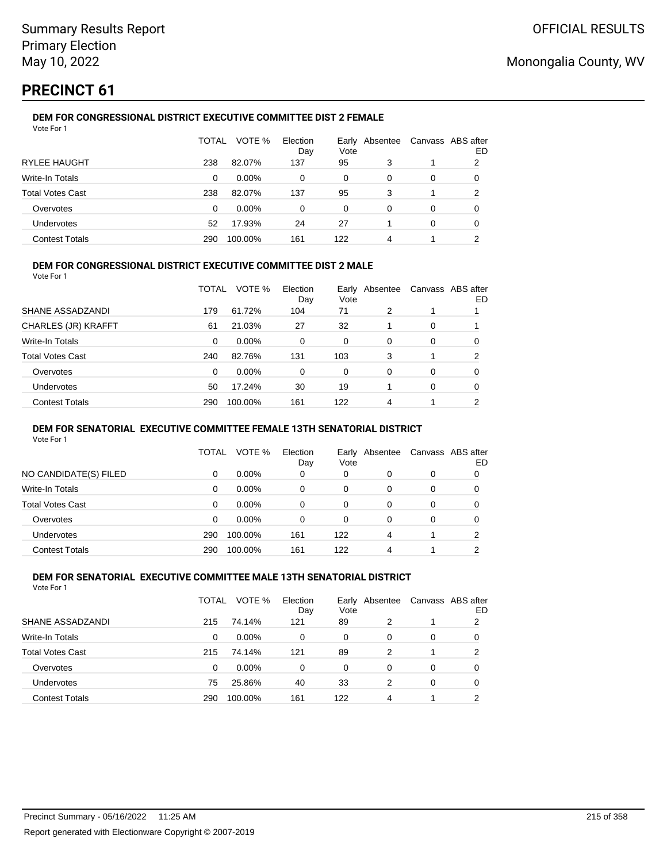# **PRECINCT 61**

#### **DEM FOR CONGRESSIONAL DISTRICT EXECUTIVE COMMITTEE DIST 2 FEMALE** Vote For 1

|                         | TOTAL | VOTE %   | Election<br>Day | Earlv<br>Vote | Absentee |   | Canvass ABS after<br>ED |
|-------------------------|-------|----------|-----------------|---------------|----------|---|-------------------------|
| <b>RYLEE HAUGHT</b>     | 238   | 82.07%   | 137             | 95            | 3        |   | 2                       |
| Write-In Totals         | 0     | $0.00\%$ | 0               | $\Omega$      | 0        | 0 |                         |
| <b>Total Votes Cast</b> | 238   | 82.07%   | 137             | 95            | 3        |   | 2                       |
| Overvotes               | 0     | $0.00\%$ | 0               | $\Omega$      | 0        | 0 | O                       |
| <b>Undervotes</b>       | 52    | 17.93%   | 24              | 27            |          | 0 | 0                       |
| <b>Contest Totals</b>   | 290   | 100.00%  | 161             | 122           | 4        |   | ົ                       |

### **DEM FOR CONGRESSIONAL DISTRICT EXECUTIVE COMMITTEE DIST 2 MALE**

Vote For 1

|                         | TOTAL | VOTE %   | Election<br>Day | Early<br>Vote | Absentee |          | Canvass ABS after<br>ED. |
|-------------------------|-------|----------|-----------------|---------------|----------|----------|--------------------------|
| SHANE ASSADZANDI        | 179   | 61.72%   | 104             | 71            | 2        |          |                          |
| CHARLES (JR) KRAFFT     | 61    | 21.03%   | 27              | 32            |          | $\Omega$ |                          |
| Write-In Totals         | 0     | $0.00\%$ | 0               | $\Omega$      | 0        | $\Omega$ | 0                        |
| <b>Total Votes Cast</b> | 240   | 82.76%   | 131             | 103           | 3        |          | 2                        |
| Overvotes               | 0     | $0.00\%$ | 0               | 0             | 0        | $\Omega$ | 0                        |
| <b>Undervotes</b>       | 50    | 17.24%   | 30              | 19            |          | $\Omega$ | 0                        |
| <b>Contest Totals</b>   | 290   | 100.00%  | 161             | 122           | 4        |          | 2                        |

### **DEM FOR SENATORIAL EXECUTIVE COMMITTEE FEMALE 13TH SENATORIAL DISTRICT**

Vote For 1

|                       | TOTAL | VOTE %   | Election<br>Day | Vote | Early Absentee | Canvass ABS after | ED |
|-----------------------|-------|----------|-----------------|------|----------------|-------------------|----|
| NO CANDIDATE(S) FILED | 0     | $0.00\%$ | 0               | 0    | 0              | 0                 |    |
| Write-In Totals       | 0     | $0.00\%$ | 0               | 0    | 0              | 0                 | O  |
| Total Votes Cast      | 0     | $0.00\%$ | 0               | 0    | 0              | 0                 |    |
| Overvotes             | 0     | $0.00\%$ | 0               | 0    | 0              | 0                 |    |
| <b>Undervotes</b>     | 290   | 100.00%  | 161             | 122  | 4              |                   | າ  |
| <b>Contest Totals</b> | 290   | 100.00%  | 161             | 122  | Δ              |                   | ◠  |

#### **DEM FOR SENATORIAL EXECUTIVE COMMITTEE MALE 13TH SENATORIAL DISTRICT** Vote For 1

| 1 U U U                 |       |          |                 |      |                |   |                         |
|-------------------------|-------|----------|-----------------|------|----------------|---|-------------------------|
|                         | TOTAL | VOTE %   | Election<br>Day | Vote | Early Absentee |   | Canvass ABS after<br>ED |
| SHANE ASSADZANDI        | 215   | 74.14%   | 121             | 89   | 2              |   | 2                       |
| Write-In Totals         | 0     | $0.00\%$ | $\Omega$        | 0    | 0              | 0 | 0                       |
| <b>Total Votes Cast</b> | 215   | 74.14%   | 121             | 89   | 2              |   | 2                       |
| Overvotes               | 0     | $0.00\%$ | 0               | 0    | 0              | 0 | 0                       |
| Undervotes              | 75    | 25.86%   | 40              | 33   | 2              | 0 | 0                       |
| <b>Contest Totals</b>   | 290   | 100.00%  | 161             | 122  | 4              |   | っ                       |
|                         |       |          |                 |      |                |   |                         |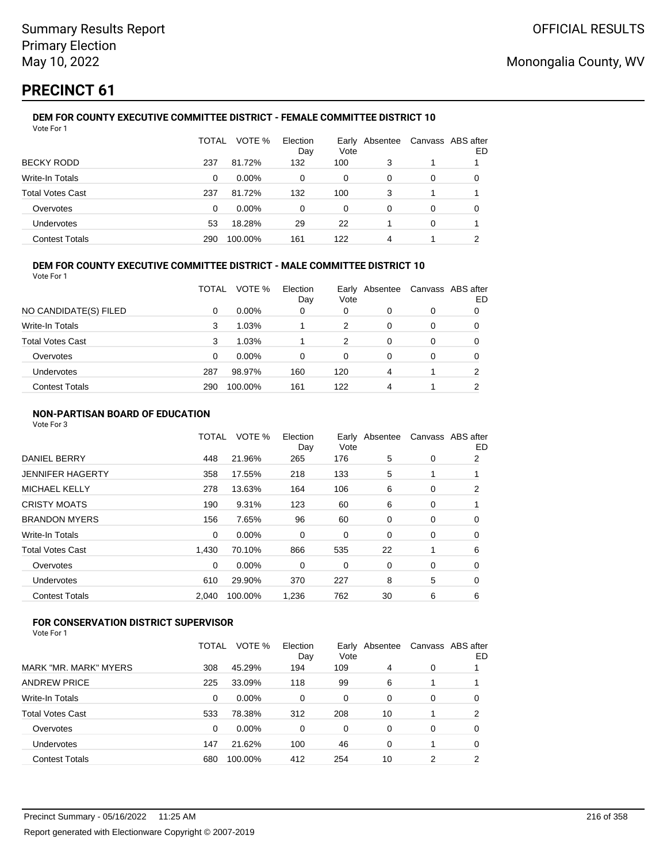# **PRECINCT 61**

#### **DEM FOR COUNTY EXECUTIVE COMMITTEE DISTRICT - FEMALE COMMITTEE DISTRICT 10** Vote For 1

|                         | TOTAL | VOTE %   | Election<br>Day | Vote | Early Absentee | Canvass ABS after | ED |
|-------------------------|-------|----------|-----------------|------|----------------|-------------------|----|
| <b>BECKY RODD</b>       | 237   | 81.72%   | 132             | 100  | 3              |                   |    |
| Write-In Totals         | 0     | $0.00\%$ | 0               | 0    | 0              | 0                 | O  |
| <b>Total Votes Cast</b> | 237   | 81.72%   | 132             | 100  | 3              |                   |    |
| Overvotes               | 0     | $0.00\%$ | 0               | 0    | 0              | 0                 | O  |
| Undervotes              | 53    | 18.28%   | 29              | 22   |                | 0                 |    |
| <b>Contest Totals</b>   | 290   | 100.00%  | 161             | 122  | 4              |                   | ົ  |

## **DEM FOR COUNTY EXECUTIVE COMMITTEE DISTRICT - MALE COMMITTEE DISTRICT 10**

Vote For 1

|                         | TOTAL | VOTE %   | Election<br>Day | Vote | Early Absentee | Canvass ABS after | ED |
|-------------------------|-------|----------|-----------------|------|----------------|-------------------|----|
| NO CANDIDATE(S) FILED   | 0     | $0.00\%$ | 0               | 0    | 0              | 0                 |    |
| Write-In Totals         | 3     | 1.03%    |                 | 2    | 0              | 0                 |    |
| <b>Total Votes Cast</b> | 3     | 1.03%    |                 | 2    | 0              | 0                 | O  |
| Overvotes               | 0     | $0.00\%$ | 0               | 0    | 0              | 0                 |    |
| <b>Undervotes</b>       | 287   | 98.97%   | 160             | 120  | 4              |                   | າ  |
| <b>Contest Totals</b>   | 290   | 100.00%  | 161             | 122  | 4              |                   | ◠  |

### **NON-PARTISAN BOARD OF EDUCATION**

Vote For 3

|                       | TOTAL    | VOTE %   | Election<br>Day | Vote | Early Absentee | Canvass ABS after | ED |
|-----------------------|----------|----------|-----------------|------|----------------|-------------------|----|
| <b>DANIEL BERRY</b>   | 448      | 21.96%   | 265             | 176  | 5              | 0                 | 2  |
| JENNIFER HAGERTY      | 358      | 17.55%   | 218             | 133  | 5              |                   |    |
| MICHAEL KELLY         | 278      | 13.63%   | 164             | 106  | 6              | 0                 | 2  |
| CRISTY MOATS          | 190      | 9.31%    | 123             | 60   | 6              | 0                 |    |
| <b>BRANDON MYERS</b>  | 156      | 7.65%    | 96              | 60   | 0              | 0                 | 0  |
| Write-In Totals       | 0        | $0.00\%$ | 0               | 0    | 0              | 0                 | 0  |
| Total Votes Cast      | 1.430    | 70.10%   | 866             | 535  | 22             | 1                 | 6  |
| Overvotes             | $\Omega$ | 0.00%    | 0               | 0    | 0              | 0                 | 0  |
| Undervotes            | 610      | 29.90%   | 370             | 227  | 8              | 5                 | 0  |
| <b>Contest Totals</b> | 2,040    | 100.00%  | 1,236           | 762  | 30             | 6                 | 6  |
|                       |          |          |                 |      |                |                   |    |

## **FOR CONSERVATION DISTRICT SUPERVISOR**

|                       | TOTAL | VOTE %   | Election<br>Day | Vote | Early Absentee |   | Canvass ABS after<br>ED |
|-----------------------|-------|----------|-----------------|------|----------------|---|-------------------------|
| MARK "MR. MARK" MYERS | 308   | 45.29%   | 194             | 109  | 4              | 0 |                         |
| ANDREW PRICE          | 225   | 33.09%   | 118             | 99   | 6              |   |                         |
| Write-In Totals       | 0     | 0.00%    | 0               | 0    | 0              | 0 | 0                       |
| Total Votes Cast      | 533   | 78.38%   | 312             | 208  | 10             |   | 2                       |
| Overvotes             | 0     | $0.00\%$ | 0               | 0    | 0              | 0 | 0                       |
| Undervotes            | 147   | 21.62%   | 100             | 46   | 0              |   | 0                       |
| <b>Contest Totals</b> | 680   | 100.00%  | 412             | 254  | 10             | 2 | າ                       |
|                       |       |          |                 |      |                |   |                         |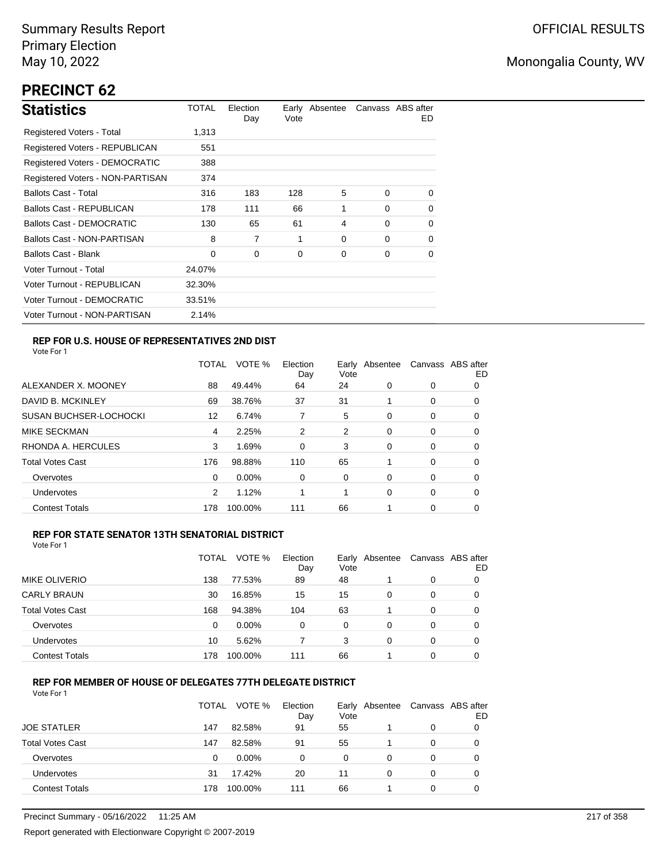# **PRECINCT 62**

| <b>Statistics</b>                     | TOTAL  | Election<br>Day | Vote | Early Absentee |          | Canvass ABS after<br>ED. |
|---------------------------------------|--------|-----------------|------|----------------|----------|--------------------------|
| Registered Voters - Total             | 1,313  |                 |      |                |          |                          |
| <b>Registered Voters - REPUBLICAN</b> | 551    |                 |      |                |          |                          |
| <b>Registered Voters - DEMOCRATIC</b> | 388    |                 |      |                |          |                          |
| Registered Voters - NON-PARTISAN      | 374    |                 |      |                |          |                          |
| <b>Ballots Cast - Total</b>           | 316    | 183             | 128  | 5              | $\Omega$ | $\Omega$                 |
| Ballots Cast - REPUBLICAN             | 178    | 111             | 66   | 1              | $\Omega$ | 0                        |
| Ballots Cast - DEMOCRATIC             | 130    | 65              | 61   | 4              | $\Omega$ | 0                        |
| Ballots Cast - NON-PARTISAN           | 8      | 7               | 1    | 0              | $\Omega$ | 0                        |
| Ballots Cast - Blank                  | 0      | 0               | 0    | 0              | 0        | 0                        |
| Voter Turnout - Total                 | 24.07% |                 |      |                |          |                          |
| Voter Turnout - REPUBLICAN            | 32.30% |                 |      |                |          |                          |
| Voter Turnout - DEMOCRATIC            | 33.51% |                 |      |                |          |                          |
| Voter Turnout - NON-PARTISAN          | 2.14%  |                 |      |                |          |                          |

### **REP FOR U.S. HOUSE OF REPRESENTATIVES 2ND DIST**

Vote For 1

|                               | TOTAL | VOTE %   | Election<br>Day | Earlv<br>Vote | Absentee |          | Canvass ABS after<br>ED |
|-------------------------------|-------|----------|-----------------|---------------|----------|----------|-------------------------|
| ALEXANDER X. MOONEY           | 88    | 49.44%   | 64              | 24            | 0        | 0        | O                       |
| DAVID B. MCKINLEY             | 69    | 38.76%   | 37              | 31            |          | 0        | 0                       |
| <b>SUSAN BUCHSER-LOCHOCKI</b> | 12    | 6.74%    |                 | 5             | 0        | 0        | 0                       |
| <b>MIKE SECKMAN</b>           | 4     | 2.25%    | 2               | 2             | 0        | 0        | 0                       |
| RHONDA A. HERCULES            | 3     | 1.69%    | $\Omega$        | 3             | 0        | $\Omega$ | 0                       |
| <b>Total Votes Cast</b>       | 176   | 98.88%   | 110             | 65            |          | 0        | 0                       |
| Overvotes                     | 0     | $0.00\%$ | 0               | 0             | 0        | 0        | 0                       |
| <b>Undervotes</b>             | 2     | 1.12%    |                 | 1             | 0        | 0        | 0                       |
| <b>Contest Totals</b>         | 178   | 100.00%  | 111             | 66            |          | 0        | 0                       |

### **REP FOR STATE SENATOR 13TH SENATORIAL DISTRICT**

| Vote For 1 |  |  |  |
|------------|--|--|--|
|------------|--|--|--|

|                         | TOTAL | VOTE %   | Election<br>Day | Early Absentee<br>Vote |   | Canvass ABS after | ED |
|-------------------------|-------|----------|-----------------|------------------------|---|-------------------|----|
| <b>MIKE OLIVERIO</b>    | 138   | 77.53%   | 89              | 48                     |   | 0                 |    |
| <b>CARLY BRAUN</b>      | 30    | 16.85%   | 15              | 15                     | 0 | 0                 | O  |
| <b>Total Votes Cast</b> | 168   | 94.38%   | 104             | 63                     |   | 0                 |    |
| Overvotes               | 0     | $0.00\%$ | 0               | 0                      | 0 | 0                 |    |
| Undervotes              | 10    | 5.62%    |                 | 3                      | 0 | 0                 | 0  |
| <b>Contest Totals</b>   | 178   | 100.00%  | 111             | 66                     |   | 0                 |    |

### **REP FOR MEMBER OF HOUSE OF DELEGATES 77TH DELEGATE DISTRICT**

|                         | <b>TOTAL</b> | VOTE %  | Election<br>Day | Early Absentee<br>Vote |   | Canvass ABS after | ED |
|-------------------------|--------------|---------|-----------------|------------------------|---|-------------------|----|
| <b>JOE STATLER</b>      | 147          | 82.58%  | 91              | 55                     |   | $\Omega$          |    |
| <b>Total Votes Cast</b> | 147          | 82.58%  | 91              | 55                     |   | 0                 |    |
| Overvotes               | 0            | 0.00%   | 0               | 0                      | 0 | 0                 |    |
| Undervotes              | 31           | 17.42%  | 20              | 11                     | 0 | 0                 |    |
| <b>Contest Totals</b>   | 178          | 100.00% | 111             | 66                     |   | 0                 |    |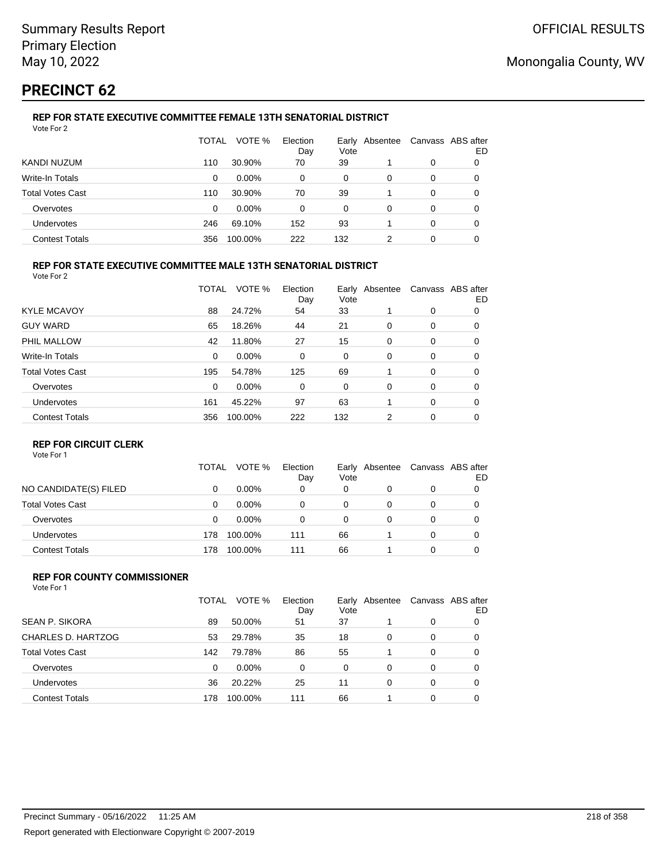# **PRECINCT 62**

#### **REP FOR STATE EXECUTIVE COMMITTEE FEMALE 13TH SENATORIAL DISTRICT** Vote For 2

|                         | TOTAL | VOTE %   | Election<br>Day | Vote | Early Absentee |   | Canvass ABS after<br>ED |
|-------------------------|-------|----------|-----------------|------|----------------|---|-------------------------|
| KANDI NUZUM             | 110   | 30.90%   | 70              | 39   |                | 0 | 0                       |
| Write-In Totals         | 0     | $0.00\%$ | 0               | 0    | 0              | 0 | O                       |
| <b>Total Votes Cast</b> | 110   | 30.90%   | 70              | 39   |                | 0 |                         |
| Overvotes               | 0     | $0.00\%$ | 0               | 0    | 0              | 0 |                         |
| Undervotes              | 246   | 69.10%   | 152             | 93   |                | 0 | 0                       |
| <b>Contest Totals</b>   | 356   | 100.00%  | 222             | 132  | າ              | 0 |                         |

### **REP FOR STATE EXECUTIVE COMMITTEE MALE 13TH SENATORIAL DISTRICT**

Vote For 2

|                         | TOTAL    | VOTE %  | Election<br>Day | Vote | Early Absentee |          | Canvass ABS after<br>ED |
|-------------------------|----------|---------|-----------------|------|----------------|----------|-------------------------|
| <b>KYLE MCAVOY</b>      | 88       | 24.72%  | 54              | 33   |                | 0        | 0                       |
| <b>GUY WARD</b>         | 65       | 18.26%  | 44              | 21   | 0              | 0        | 0                       |
| PHIL MALLOW             | 42       | 11.80%  | 27              | 15   | 0              | 0        | 0                       |
| Write-In Totals         | $\Omega$ | 0.00%   | 0               | 0    | 0              | 0        | 0                       |
| <b>Total Votes Cast</b> | 195      | 54.78%  | 125             | 69   |                | $\Omega$ | 0                       |
| Overvotes               | $\Omega$ | 0.00%   | 0               | 0    | 0              | 0        | 0                       |
| Undervotes              | 161      | 45.22%  | 97              | 63   |                | $\Omega$ | 0                       |
| <b>Contest Totals</b>   | 356      | 100.00% | 222             | 132  | 2              | 0        | 0                       |
|                         |          |         |                 |      |                |          |                         |

### **REP FOR CIRCUIT CLERK**

Vote For 1

|                         | TOTAL | VOTE %   | Election<br>Day | Vote | Early Absentee | Canvass ABS after | ED |
|-------------------------|-------|----------|-----------------|------|----------------|-------------------|----|
| NO CANDIDATE(S) FILED   |       | $0.00\%$ | 0               | 0    |                | 0                 |    |
| <b>Total Votes Cast</b> | 0     | $0.00\%$ | 0               | 0    | 0              | 0                 |    |
| Overvotes               | 0     | $0.00\%$ | 0               | 0    | 0              | 0                 |    |
| <b>Undervotes</b>       | 178   | 100.00%  | 111             | 66   |                | 0                 |    |
| <b>Contest Totals</b>   | 178   | 100.00%  | 111             | 66   |                | 0                 |    |

#### **REP FOR COUNTY COMMISSIONER** Vote For 1

|                         | TOTAL | VOTE %   | Election<br>Day | Vote | Early Absentee |          | Canvass ABS after<br>ED |
|-------------------------|-------|----------|-----------------|------|----------------|----------|-------------------------|
| <b>SEAN P. SIKORA</b>   | 89    | 50.00%   | 51              | 37   |                | 0        | 0                       |
| CHARLES D. HARTZOG      | 53    | 29.78%   | 35              | 18   | 0              | $\Omega$ | 0                       |
| <b>Total Votes Cast</b> | 142   | 79.78%   | 86              | 55   |                | $\Omega$ | 0                       |
| Overvotes               | 0     | $0.00\%$ | 0               | 0    | 0              | $\Omega$ | 0                       |
| Undervotes              | 36    | 20.22%   | 25              | 11   | 0              | $\Omega$ | 0                       |
| <b>Contest Totals</b>   | 178   | 100.00%  | 111             | 66   |                | 0        | 0                       |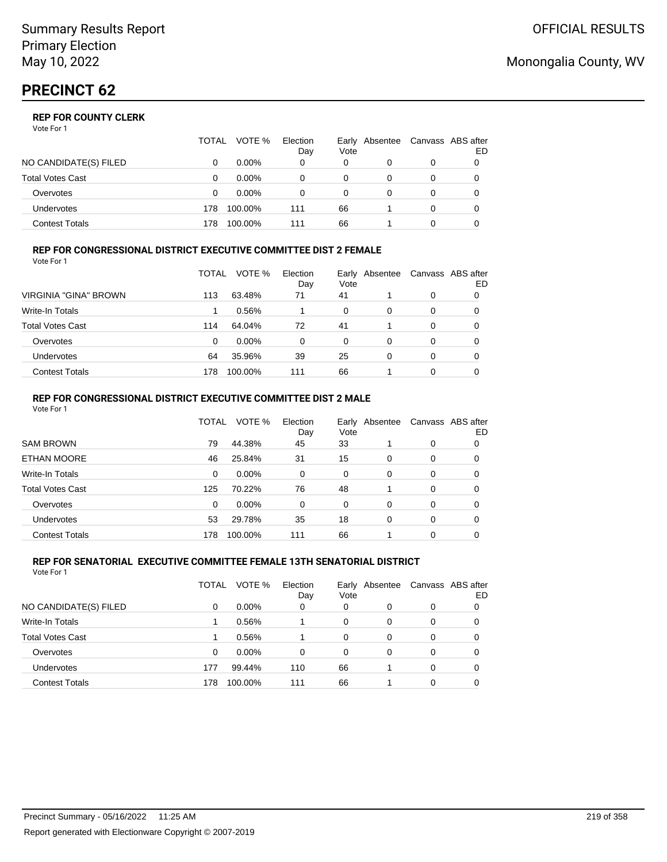|                       | TOTAL | VOTE %   | Election<br>Day | Vote | Early Absentee | Canvass ABS after | ED |
|-----------------------|-------|----------|-----------------|------|----------------|-------------------|----|
| NO CANDIDATE(S) FILED |       | $0.00\%$ | 0               | 0    |                | 0                 |    |
| Total Votes Cast      |       | $0.00\%$ |                 | 0    |                | 0                 |    |
| Overvotes             |       | $0.00\%$ |                 | 0    |                | 0                 |    |
| Undervotes            | 178   | 100.00%  | 111             | 66   |                | 0                 |    |
| Contest Totals        | 178.  | 100.00%  | 111             | 66   |                |                   |    |

#### **REP FOR CONGRESSIONAL DISTRICT EXECUTIVE COMMITTEE DIST 2 FEMALE** Vote For 1

|                         | TOTAL | VOTE %   | Election<br>Day | Early<br>Vote | Absentee | Canvass ABS after | ED |
|-------------------------|-------|----------|-----------------|---------------|----------|-------------------|----|
| VIRGINIA "GINA" BROWN   | 113   | 63.48%   | 71              | 41            |          | 0                 |    |
| Write-In Totals         |       | 0.56%    |                 | 0             | 0        | 0                 |    |
| <b>Total Votes Cast</b> | 114   | 64.04%   | 72              | 41            |          | 0                 | 0  |
| Overvotes               | 0     | $0.00\%$ | 0               | 0             | 0        | 0                 | O  |
| Undervotes              | 64    | 35.96%   | 39              | 25            | 0        | 0                 | 0  |
| <b>Contest Totals</b>   | 178   | 100.00%  | 111             | 66            |          | 0                 |    |

#### **REP FOR CONGRESSIONAL DISTRICT EXECUTIVE COMMITTEE DIST 2 MALE** Vote For 1

|                         | TOTAL | VOTE %  | Election<br>Day | Early<br>Vote | Absentee |   | Canvass ABS after<br>ED |
|-------------------------|-------|---------|-----------------|---------------|----------|---|-------------------------|
| <b>SAM BROWN</b>        | 79    | 44.38%  | 45              | 33            |          | 0 | 0                       |
| <b>ETHAN MOORE</b>      | 46    | 25.84%  | 31              | 15            | 0        | 0 | 0                       |
| Write-In Totals         | 0     | 0.00%   | $\Omega$        | $\Omega$      | 0        | 0 | 0                       |
| <b>Total Votes Cast</b> | 125   | 70.22%  | 76              | 48            |          | 0 | 0                       |
| Overvotes               | 0     | 0.00%   | $\Omega$        | $\Omega$      | 0        | 0 | 0                       |
| Undervotes              | 53    | 29.78%  | 35              | 18            | 0        | 0 | 0                       |
| <b>Contest Totals</b>   | 178   | 100.00% | 111             | 66            |          | 0 | 0                       |

#### **REP FOR SENATORIAL EXECUTIVE COMMITTEE FEMALE 13TH SENATORIAL DISTRICT** Vote For 1

|                         | TOTAL | VOTE %   | Election<br>Day | Early<br>Vote | Absentee |   | Canvass ABS after<br>ED |
|-------------------------|-------|----------|-----------------|---------------|----------|---|-------------------------|
| NO CANDIDATE(S) FILED   | 0     | $0.00\%$ | 0               | 0             | 0        | 0 | 0                       |
| <b>Write-In Totals</b>  |       | 0.56%    |                 | $\Omega$      | 0        | 0 | 0                       |
| <b>Total Votes Cast</b> |       | 0.56%    |                 | $\Omega$      | $\Omega$ | 0 | 0                       |
| Overvotes               | 0     | $0.00\%$ | 0               | $\Omega$      | 0        | 0 | 0                       |
| <b>Undervotes</b>       | 177   | 99.44%   | 110             | 66            |          | 0 | 0                       |
| <b>Contest Totals</b>   | 178   | 100.00%  | 111             | 66            |          | 0 |                         |

## Monongalia County, WV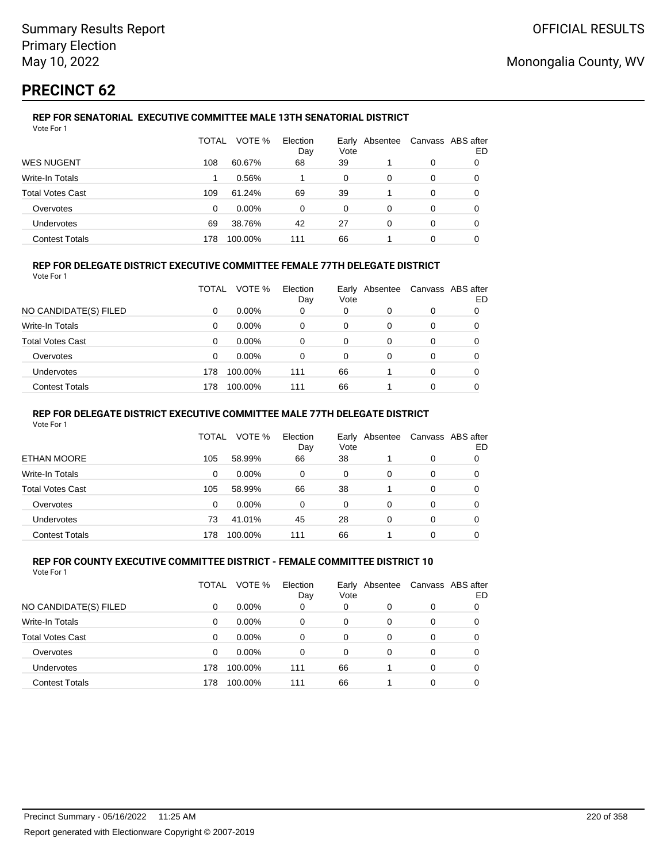# **PRECINCT 62**

#### **REP FOR SENATORIAL EXECUTIVE COMMITTEE MALE 13TH SENATORIAL DISTRICT** Vote For 1

|                         | TOTAL | VOTE %   | Election<br>Day | Vote | Early Absentee |   | Canvass ABS after<br>ED |
|-------------------------|-------|----------|-----------------|------|----------------|---|-------------------------|
| <b>WES NUGENT</b>       | 108   | 60.67%   | 68              | 39   |                | 0 |                         |
| Write-In Totals         |       | 0.56%    |                 | 0    | 0              | 0 |                         |
| <b>Total Votes Cast</b> | 109   | 61.24%   | 69              | 39   |                | 0 |                         |
| Overvotes               | 0     | $0.00\%$ | 0               | 0    | 0              | 0 |                         |
| Undervotes              | 69    | 38.76%   | 42              | 27   | 0              | 0 |                         |
| <b>Contest Totals</b>   | 178   | 100.00%  | 111             | 66   |                | ი |                         |

### **REP FOR DELEGATE DISTRICT EXECUTIVE COMMITTEE FEMALE 77TH DELEGATE DISTRICT**

Vote For 1

|                       | TOTAL | VOTE %   | Election<br>Day | Vote | Early Absentee | Canvass ABS after | ED |
|-----------------------|-------|----------|-----------------|------|----------------|-------------------|----|
| NO CANDIDATE(S) FILED | 0     | $0.00\%$ | 0               | 0    | 0              | 0                 |    |
| Write-In Totals       | 0     | $0.00\%$ | 0               | 0    | 0              | 0                 |    |
| Total Votes Cast      | 0     | $0.00\%$ | 0               | 0    | 0              | 0                 |    |
| Overvotes             | 0     | $0.00\%$ | 0               | 0    | 0              | 0                 |    |
| Undervotes            | 178   | 100.00%  | 111             | 66   |                | 0                 |    |
| <b>Contest Totals</b> | 178   | 100.00%  | 111             | 66   |                | 0                 |    |

### **REP FOR DELEGATE DISTRICT EXECUTIVE COMMITTEE MALE 77TH DELEGATE DISTRICT**

Vote For 1

|                       | TOTAL    | VOTE %   | Election<br>Day | Vote | Early Absentee |          | Canvass ABS after<br>ED |
|-----------------------|----------|----------|-----------------|------|----------------|----------|-------------------------|
| ETHAN MOORE           | 105      | 58.99%   | 66              | 38   |                | 0        | 0                       |
| Write-In Totals       | $\Omega$ | $0.00\%$ | $\Omega$        | 0    | 0              | 0        | 0                       |
| Total Votes Cast      | 105      | 58.99%   | 66              | 38   |                | $\Omega$ | 0                       |
| Overvotes             | 0        | $0.00\%$ | 0               | 0    | 0              | 0        | 0                       |
| <b>Undervotes</b>     | 73       | 41.01%   | 45              | 28   | 0              | 0        | 0                       |
| <b>Contest Totals</b> | 178      | 100.00%  | 111             | 66   |                | 0        |                         |

#### **REP FOR COUNTY EXECUTIVE COMMITTEE DISTRICT - FEMALE COMMITTEE DISTRICT 10** Vote For 1

|                         | TOTAL | VOTE %   | Election<br>Day | Vote | Early Absentee |          | Canvass ABS after<br>ED |
|-------------------------|-------|----------|-----------------|------|----------------|----------|-------------------------|
| NO CANDIDATE(S) FILED   | 0     | $0.00\%$ | 0               | 0    | 0              | 0        |                         |
| <b>Write-In Totals</b>  | 0     | $0.00\%$ | 0               | 0    | 0              | 0        | 0                       |
| <b>Total Votes Cast</b> | 0     | $0.00\%$ | 0               | 0    | 0              | 0        | 0                       |
| Overvotes               | 0     | $0.00\%$ | 0               | 0    | $\Omega$       | $\Omega$ | 0                       |
| Undervotes              | 178   | 100.00%  | 111             | 66   |                | $\Omega$ | 0                       |
| <b>Contest Totals</b>   | 178   | 100.00%  | 111             | 66   |                | 0        |                         |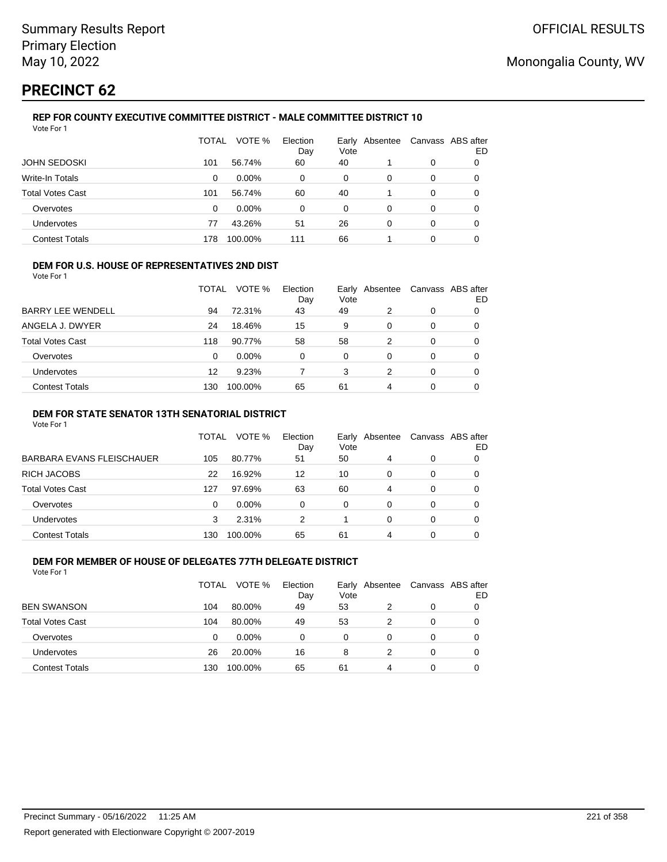# **PRECINCT 62**

Vote For 1

## **REP FOR COUNTY EXECUTIVE COMMITTEE DISTRICT - MALE COMMITTEE DISTRICT 10**

|                         | TOTAL | VOTE %   | Election<br>Day | Vote | Early Absentee | Canvass ABS after | ED |
|-------------------------|-------|----------|-----------------|------|----------------|-------------------|----|
| <b>JOHN SEDOSKI</b>     | 101   | 56.74%   | 60              | 40   |                | 0                 | O  |
| Write-In Totals         | 0     | $0.00\%$ | 0               | 0    | 0              | 0                 | 0  |
| <b>Total Votes Cast</b> | 101   | 56.74%   | 60              | 40   |                | 0                 | 0  |
| Overvotes               | 0     | $0.00\%$ | 0               | 0    | 0              | 0                 | 0  |
| Undervotes              | 77    | 43.26%   | 51              | 26   | 0              | 0                 | 0  |
| <b>Contest Totals</b>   | 178   | 100.00%  | 111             | 66   |                | 0                 |    |

### **DEM FOR U.S. HOUSE OF REPRESENTATIVES 2ND DIST**

Vote For 1

|                          | TOTAL | VOTE %  | Election<br>Day | Vote | Early Absentee | Canvass ABS after | ED |
|--------------------------|-------|---------|-----------------|------|----------------|-------------------|----|
| <b>BARRY LEE WENDELL</b> | 94    | 72.31%  | 43              | 49   | 2              | 0                 |    |
| ANGELA J. DWYER          | 24    | 18.46%  | 15              | 9    | 0              | 0                 |    |
| Total Votes Cast         | 118   | 90.77%  | 58              | 58   | 2              | 0                 |    |
| Overvotes                | 0     | 0.00%   | 0               | 0    | 0              | 0                 |    |
| Undervotes               | 12    | 9.23%   |                 | 3    | 2              | 0                 | O  |
| <b>Contest Totals</b>    | 130   | 100.00% | 65              | 61   | 4              | 0                 |    |

### **DEM FOR STATE SENATOR 13TH SENATORIAL DISTRICT**

Vote For 1

|                           | TOTAL | VOTE %   | Election<br>Day | Early<br>Vote | Absentee |   | Canvass ABS after<br>ED |
|---------------------------|-------|----------|-----------------|---------------|----------|---|-------------------------|
| BARBARA EVANS FLEISCHAUER | 105   | 80.77%   | 51              | 50            | 4        | 0 | 0                       |
| RICH JACOBS               | 22    | 16.92%   | 12              | 10            |          | 0 | 0                       |
| Total Votes Cast          | 127   | 97.69%   | 63              | 60            | 4        | 0 | 0                       |
| Overvotes                 | 0     | $0.00\%$ | 0               | 0             | 0        | 0 | 0                       |
| Undervotes                | 3     | 2.31%    | 2               |               |          |   | 0                       |
| <b>Contest Totals</b>     | 130   | 100.00%  | 65              | 61            | 4        |   |                         |

#### **DEM FOR MEMBER OF HOUSE OF DELEGATES 77TH DELEGATE DISTRICT** Vote For 1

TOTAL VOTE % Election Day Early Vote Absentee Canvass ABS after ED REN SWANSON 104 80.00% 49 53 2 0 0 Total Votes Cast 104 80.00% 49 53 2 0 0 Overvotes 0 0.00% 0 0 0 0 0 Undervotes 26 20.00% 16 8 2 0 0 Contest Totals 130 100.00% 65 61 4 0 0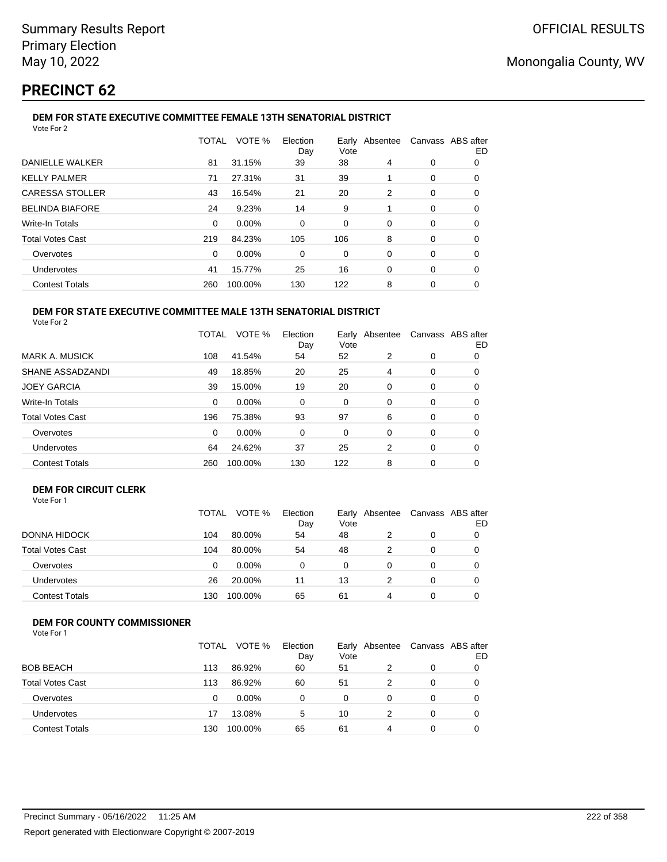# **PRECINCT 62**

#### **DEM FOR STATE EXECUTIVE COMMITTEE FEMALE 13TH SENATORIAL DISTRICT** Vote For 2

|                         | TOTAL | VOTE %  | Election<br>Day | Vote | Early Absentee | Canvass ABS after | ED |  |  |
|-------------------------|-------|---------|-----------------|------|----------------|-------------------|----|--|--|
| DANIELLE WALKER         | 81    | 31.15%  | 39              | 38   | 4              | 0                 | 0  |  |  |
| <b>KELLY PALMER</b>     | 71    | 27.31%  | 31              | 39   |                | 0                 | 0  |  |  |
| <b>CARESSA STOLLER</b>  | 43    | 16.54%  | 21              | 20   | 2              | 0                 | 0  |  |  |
| <b>BELINDA BIAFORE</b>  | 24    | 9.23%   | 14              | 9    |                | 0                 | 0  |  |  |
| Write-In Totals         | 0     | 0.00%   | $\Omega$        | 0    | 0              | 0                 | 0  |  |  |
| <b>Total Votes Cast</b> | 219   | 84.23%  | 105             | 106  | 8              | 0                 | 0  |  |  |
| Overvotes               | 0     | 0.00%   | 0               | 0    | 0              | 0                 | 0  |  |  |
| <b>Undervotes</b>       | 41    | 15.77%  | 25              | 16   | 0              | 0                 | 0  |  |  |
| <b>Contest Totals</b>   | 260   | 100.00% | 130             | 122  | 8              | 0                 | 0  |  |  |
|                         |       |         |                 |      |                |                   |    |  |  |

#### **DEM FOR STATE EXECUTIVE COMMITTEE MALE 13TH SENATORIAL DISTRICT** Vote For 2

|                         | <b>TOTAL</b> | VOTE %   | Election<br>Day | Vote     | Early Absentee |          | Canvass ABS after<br>ED |
|-------------------------|--------------|----------|-----------------|----------|----------------|----------|-------------------------|
| <b>MARK A. MUSICK</b>   | 108          | 41.54%   | 54              | 52       | 2              | 0        | 0                       |
| SHANE ASSADZANDI        | 49           | 18.85%   | 20              | 25       | 4              | 0        | 0                       |
| <b>JOEY GARCIA</b>      | 39           | 15.00%   | 19              | 20       | $\Omega$       | $\Omega$ | 0                       |
| Write-In Totals         | 0            | 0.00%    | 0               | 0        | 0              | 0        | 0                       |
| <b>Total Votes Cast</b> | 196          | 75.38%   | 93              | 97       | 6              | $\Omega$ | 0                       |
| Overvotes               | 0            | $0.00\%$ | $\Omega$        | $\Omega$ | $\Omega$       | $\Omega$ | 0                       |
| Undervotes              | 64           | 24.62%   | 37              | 25       | 2              | 0        | 0                       |
| <b>Contest Totals</b>   | 260          | 100.00%  | 130             | 122      | 8              | $\Omega$ | 0                       |

### **DEM FOR CIRCUIT CLERK**

|                         | <b>TOTAL</b> | VOTE %   | Election<br>Day | Vote | Early Absentee |   | Canvass ABS after<br>ED |
|-------------------------|--------------|----------|-----------------|------|----------------|---|-------------------------|
| DONNA HIDOCK            | 104          | 80.00%   | 54              | 48   | 2              | 0 |                         |
| <b>Total Votes Cast</b> | 104          | 80.00%   | 54              | 48   | 2              |   | 0                       |
| Overvotes               | 0            | $0.00\%$ | 0               | 0    |                | 0 |                         |
| Undervotes              | 26           | 20.00%   | 11              | 13   |                |   |                         |
| <b>Contest Totals</b>   | 130          | 100.00%  | 65              | 61   | 4              |   |                         |

## **DEM FOR COUNTY COMMISSIONER**

|                         | <b>TOTAL</b> | VOTE %   | Election<br>Day | Vote | Early Absentee | Canvass ABS after | ED |
|-------------------------|--------------|----------|-----------------|------|----------------|-------------------|----|
| <b>BOB BEACH</b>        | 113          | 86.92%   | 60              | 51   |                | 0                 |    |
| <b>Total Votes Cast</b> | 113          | 86.92%   | 60              | 51   |                | 0                 |    |
| Overvotes               | 0            | $0.00\%$ | 0               | 0    |                | 0                 |    |
| <b>Undervotes</b>       | 17           | 13.08%   | 5               | 10   |                | 0                 |    |
| <b>Contest Totals</b>   | 130          | 100.00%  | 65              | 61   | 4              | 0                 |    |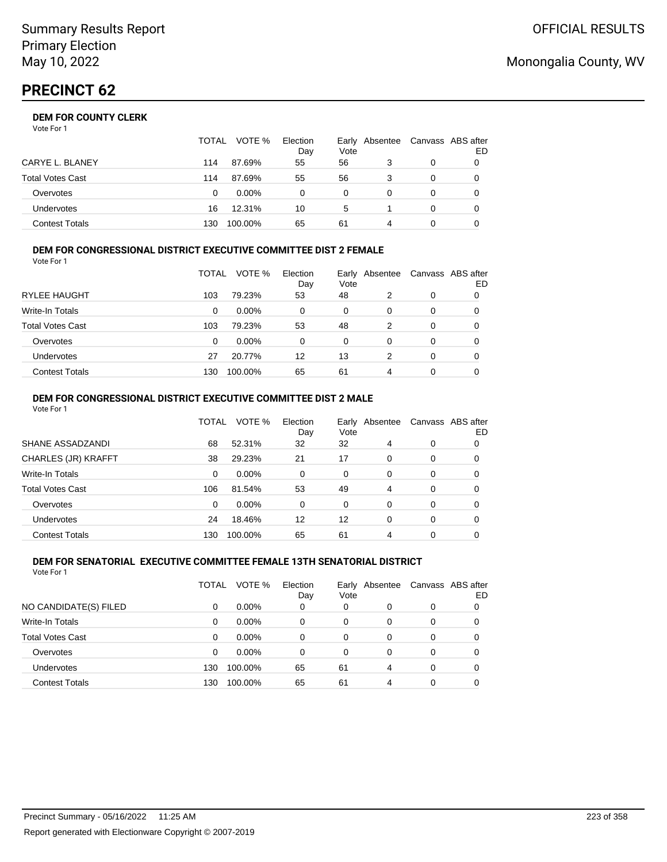## **DEM FOR COUNTY CLERK**

| Vote For 1 |  |
|------------|--|
|------------|--|

|                       | TOTAL | VOTE %   | Election<br>Day | Vote | Early Absentee | Canvass ABS after | ED |
|-----------------------|-------|----------|-----------------|------|----------------|-------------------|----|
| CARYE L. BLANEY       | 114   | 87.69%   | 55              | 56   |                | 0                 |    |
| Total Votes Cast      | 114   | 87.69%   | 55              | 56   |                | 0                 |    |
| Overvotes             | 0     | $0.00\%$ | 0               | 0    |                | 0                 |    |
| Undervotes            | 16    | 12.31%   | 10              | 5    |                | 0                 |    |
| <b>Contest Totals</b> | 130   | 100.00%  | 65              | 61   | 4              |                   |    |

#### **DEM FOR CONGRESSIONAL DISTRICT EXECUTIVE COMMITTEE DIST 2 FEMALE** Vote For 1

|                         | TOTAL | VOTE %   | Election<br>Day | Early<br>Vote | Absentee | Canvass ABS after | ED |
|-------------------------|-------|----------|-----------------|---------------|----------|-------------------|----|
| <b>RYLEE HAUGHT</b>     | 103   | 79.23%   | 53              | 48            | 2        | 0                 | 0  |
| Write-In Totals         | 0     | $0.00\%$ | 0               | 0             | 0        | 0                 | O  |
| <b>Total Votes Cast</b> | 103   | 79.23%   | 53              | 48            | 2        | 0                 | O  |
| Overvotes               | 0     | $0.00\%$ | $\Omega$        | $\Omega$      | 0        | 0                 |    |
| Undervotes              | 27    | 20.77%   | 12              | 13            | 2        | 0                 |    |
| <b>Contest Totals</b>   | 130   | 100.00%  | 65              | 61            | 4        | 0                 |    |

#### **DEM FOR CONGRESSIONAL DISTRICT EXECUTIVE COMMITTEE DIST 2 MALE** Vote For 1

|                         | TOTAL | VOTE %   | Election<br>Day | Early<br>Vote | Absentee |          | Canvass ABS after<br>ED |
|-------------------------|-------|----------|-----------------|---------------|----------|----------|-------------------------|
| SHANE ASSADZANDI        | 68    | 52.31%   | 32              | 32            | 4        | $\Omega$ | 0                       |
| CHARLES (JR) KRAFFT     | 38    | 29.23%   | 21              | 17            | $\Omega$ | $\Omega$ | 0                       |
| Write-In Totals         | 0     | $0.00\%$ | 0               | $\Omega$      | 0        | $\Omega$ | 0                       |
| <b>Total Votes Cast</b> | 106   | 81.54%   | 53              | 49            | 4        | $\Omega$ | 0                       |
| Overvotes               | 0     | 0.00%    | 0               | $\Omega$      | $\Omega$ | $\Omega$ | 0                       |
| <b>Undervotes</b>       | 24    | 18.46%   | 12              | 12            | 0        | $\Omega$ | 0                       |
| <b>Contest Totals</b>   | 130   | 100.00%  | 65              | 61            | 4        | $\Omega$ |                         |

#### **DEM FOR SENATORIAL EXECUTIVE COMMITTEE FEMALE 13TH SENATORIAL DISTRICT** Vote For 1

|                         | TOTAL | VOTE %   | Election<br>Day | Vote | Early Absentee |          | Canvass ABS after<br>ED |
|-------------------------|-------|----------|-----------------|------|----------------|----------|-------------------------|
| NO CANDIDATE(S) FILED   | 0     | $0.00\%$ | 0               | 0    | 0              | 0        |                         |
| <b>Write-In Totals</b>  | 0     | $0.00\%$ | 0               | 0    | 0              | 0        |                         |
| <b>Total Votes Cast</b> | 0     | $0.00\%$ | 0               | 0    | 0              | 0        |                         |
| Overvotes               | 0     | $0.00\%$ | 0               | 0    | 0              | 0        |                         |
| Undervotes              | 130   | 100.00%  | 65              | 61   | 4              | $\Omega$ |                         |
| <b>Contest Totals</b>   | 130   | 100.00%  | 65              | 61   | 4              | 0        |                         |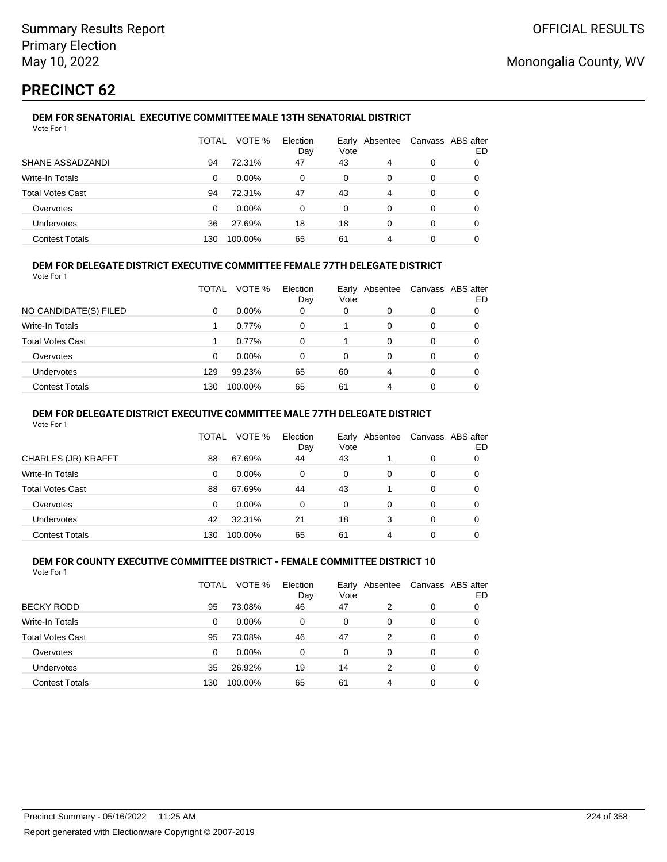# **PRECINCT 62**

#### **DEM FOR SENATORIAL EXECUTIVE COMMITTEE MALE 13TH SENATORIAL DISTRICT** Vote For 1

|                         | TOTAL | VOTE %   | Election<br>Day | Vote | Early Absentee |   | Canvass ABS after<br>ED |
|-------------------------|-------|----------|-----------------|------|----------------|---|-------------------------|
| SHANE ASSADZANDI        | 94    | 72.31%   | 47              | 43   | 4              | 0 |                         |
| Write-In Totals         | 0     | $0.00\%$ | 0               | 0    | 0              | 0 |                         |
| <b>Total Votes Cast</b> | 94    | 72.31%   | 47              | 43   | 4              | 0 |                         |
| Overvotes               | 0     | $0.00\%$ | 0               | 0    | 0              | 0 |                         |
| Undervotes              | 36    | 27.69%   | 18              | 18   | 0              | 0 | 0                       |
| <b>Contest Totals</b>   | 130   | 100.00%  | 65              | 61   | 4              | 0 |                         |

## **DEM FOR DELEGATE DISTRICT EXECUTIVE COMMITTEE FEMALE 77TH DELEGATE DISTRICT**

Vote For 1

|                         | TOTAL | VOTE %   | Election<br>Day | Vote | Early Absentee | Canvass ABS after | ED |
|-------------------------|-------|----------|-----------------|------|----------------|-------------------|----|
| NO CANDIDATE(S) FILED   | 0     | $0.00\%$ | 0               | 0    | 0              | 0                 |    |
| Write-In Totals         |       | 0.77%    | 0               |      | 0              | 0                 |    |
| <b>Total Votes Cast</b> |       | 0.77%    | 0               |      | 0              | 0                 |    |
| Overvotes               | 0     | $0.00\%$ | 0               | 0    | 0              | 0                 |    |
| <b>Undervotes</b>       | 129   | 99.23%   | 65              | 60   | 4              | 0                 |    |
| <b>Contest Totals</b>   | 130   | 100.00%  | 65              | 61   | 4              | 0                 |    |

### **DEM FOR DELEGATE DISTRICT EXECUTIVE COMMITTEE MALE 77TH DELEGATE DISTRICT**

Vote For 1

|                       | TOTAL    | VOTE %   | Election<br>Day | Vote | Early Absentee |   | Canvass ABS after<br>ED |
|-----------------------|----------|----------|-----------------|------|----------------|---|-------------------------|
| CHARLES (JR) KRAFFT   | 88       | 67.69%   | 44              | 43   |                | 0 |                         |
| Write-In Totals       | 0        | $0.00\%$ | $\Omega$        | 0    | 0              | 0 | 0                       |
| Total Votes Cast      | 88       | 67.69%   | 44              | 43   |                | 0 | 0                       |
| Overvotes             | $\Omega$ | $0.00\%$ | 0               | 0    | 0              | 0 |                         |
| <b>Undervotes</b>     | 42       | 32.31%   | 21              | 18   | 3              | 0 |                         |
| <b>Contest Totals</b> | 130      | 100.00%  | 65              | 61   | 4              |   |                         |

#### **DEM FOR COUNTY EXECUTIVE COMMITTEE DISTRICT - FEMALE COMMITTEE DISTRICT 10** Vote For 1

|                         | TOTAL | VOTE %   | Election<br>Day | Vote | Early Absentee |          | Canvass ABS after<br>ED |
|-------------------------|-------|----------|-----------------|------|----------------|----------|-------------------------|
| <b>BECKY RODD</b>       | 95    | 73.08%   | 46              | 47   | 2              | 0        | 0                       |
| <b>Write-In Totals</b>  | 0     | $0.00\%$ | 0               | 0    | 0              | 0        | 0                       |
| <b>Total Votes Cast</b> | 95    | 73.08%   | 46              | 47   | 2              | $\Omega$ | 0                       |
| Overvotes               | 0     | $0.00\%$ | 0               | 0    | $\Omega$       | 0        | 0                       |
| Undervotes              | 35    | 26.92%   | 19              | 14   | 2              | 0        | 0                       |
| <b>Contest Totals</b>   | 130   | 100.00%  | 65              | 61   | 4              | $\Omega$ |                         |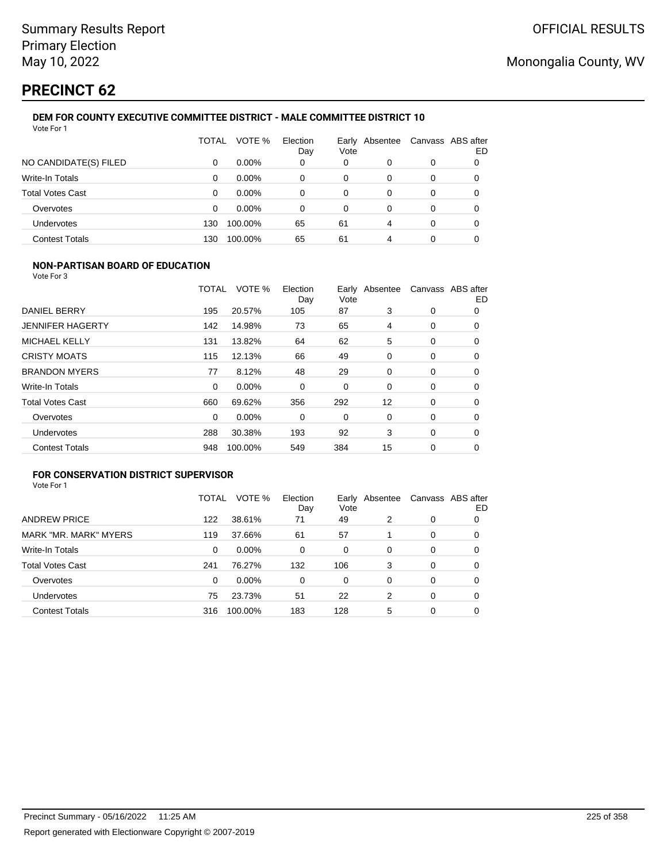# **PRECINCT 62**

#### **DEM FOR COUNTY EXECUTIVE COMMITTEE DISTRICT - MALE COMMITTEE DISTRICT 10** Vote For 1

|                         | TOTAL | VOTE %   | Election<br>Day | Vote | Early Absentee | Canvass ABS after | ED |
|-------------------------|-------|----------|-----------------|------|----------------|-------------------|----|
| NO CANDIDATE(S) FILED   | 0     | $0.00\%$ | 0               | 0    | 0              | 0                 | 0  |
| Write-In Totals         | 0     | $0.00\%$ | 0               | 0    | 0              | 0                 | 0  |
| <b>Total Votes Cast</b> | 0     | $0.00\%$ | 0               | 0    | 0              | 0                 | 0  |
| Overvotes               | 0     | $0.00\%$ | 0               | 0    | 0              | 0                 | 0  |
| Undervotes              | 130   | 100.00%  | 65              | 61   | 4              | 0                 |    |
| <b>Contest Totals</b>   | 130   | 100.00%  | 65              | 61   | 4              | 0                 |    |

### **NON-PARTISAN BOARD OF EDUCATION**

Vote For 3

|                         | TOTAL    | VOTE %   | Election<br>Day | Vote | Early Absentee |             | Canvass ABS after<br>ED |
|-------------------------|----------|----------|-----------------|------|----------------|-------------|-------------------------|
| DANIEL BERRY            | 195      | 20.57%   | 105             | 87   | 3              | 0           | 0                       |
| <b>JENNIFER HAGERTY</b> | 142      | 14.98%   | 73              | 65   | 4              | 0           | 0                       |
| <b>MICHAEL KELLY</b>    | 131      | 13.82%   | 64              | 62   | 5              | 0           | 0                       |
| <b>CRISTY MOATS</b>     | 115      | 12.13%   | 66              | 49   | 0              | 0           | 0                       |
| <b>BRANDON MYERS</b>    | 77       | 8.12%    | 48              | 29   | 0              | 0           | 0                       |
| Write-In Totals         | $\Omega$ | $0.00\%$ | 0               | 0    | $\Omega$       | 0           | 0                       |
| <b>Total Votes Cast</b> | 660      | 69.62%   | 356             | 292  | 12             | 0           | 0                       |
| Overvotes               | 0        | 0.00%    | 0               | 0    | 0              | 0           | 0                       |
| <b>Undervotes</b>       | 288      | 30.38%   | 193             | 92   | 3              | $\mathbf 0$ | 0                       |
| <b>Contest Totals</b>   | 948      | 100.00%  | 549             | 384  | 15             | 0           | 0                       |

## **FOR CONSERVATION DISTRICT SUPERVISOR**

|                         | TOTAL | VOTE %  | Election<br>Day | Vote | Early Absentee |   | Canvass ABS after<br>ED |
|-------------------------|-------|---------|-----------------|------|----------------|---|-------------------------|
| <b>ANDREW PRICE</b>     | 122   | 38.61%  | 71              | 49   | 2              | 0 | 0                       |
| MARK "MR. MARK" MYERS   | 119   | 37.66%  | 61              | 57   |                | 0 | O                       |
| Write-In Totals         | 0     | 0.00%   | $\Omega$        | 0    | $\Omega$       | 0 | 0                       |
| <b>Total Votes Cast</b> | 241   | 76.27%  | 132             | 106  | 3              | 0 | 0                       |
| Overvotes               | 0     | 0.00%   | 0               | 0    | 0              | 0 | 0                       |
| <b>Undervotes</b>       | 75    | 23.73%  | 51              | 22   | 2              | 0 | 0                       |
| <b>Contest Totals</b>   | 316   | 100.00% | 183             | 128  | 5              | 0 | 0                       |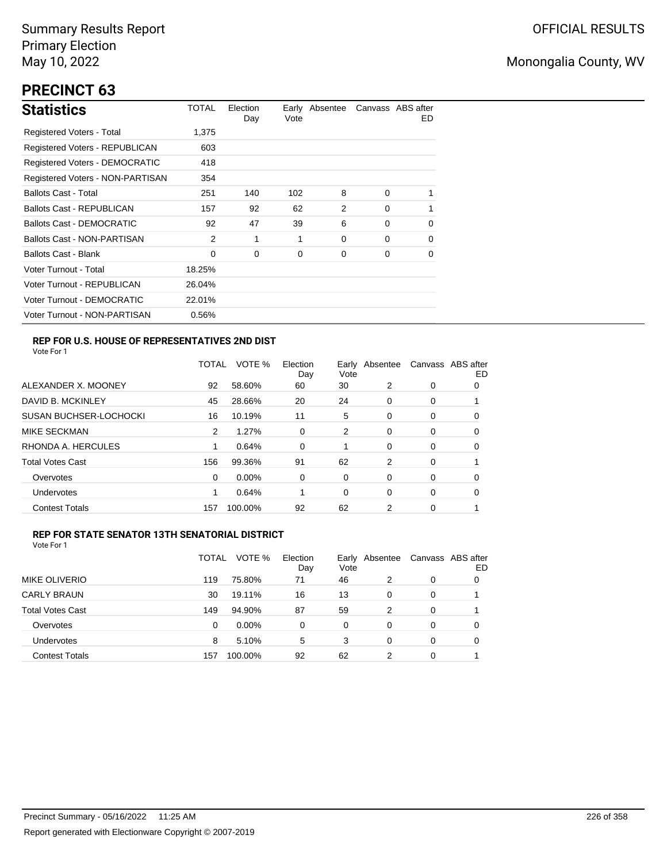# **PRECINCT 63**

| <b>Statistics</b>                     | TOTAL  | Election<br>Day | Vote | Early Absentee |          | Canvass ABS after<br>ED. |
|---------------------------------------|--------|-----------------|------|----------------|----------|--------------------------|
| Registered Voters - Total             | 1,375  |                 |      |                |          |                          |
| Registered Voters - REPUBLICAN        | 603    |                 |      |                |          |                          |
| <b>Registered Voters - DEMOCRATIC</b> | 418    |                 |      |                |          |                          |
| Registered Voters - NON-PARTISAN      | 354    |                 |      |                |          |                          |
| <b>Ballots Cast - Total</b>           | 251    | 140             | 102  | 8              | $\Omega$ |                          |
| Ballots Cast - REPUBLICAN             | 157    | 92              | 62   | 2              | $\Omega$ | 1                        |
| <b>Ballots Cast - DEMOCRATIC</b>      | 92     | 47              | 39   | 6              | $\Omega$ | 0                        |
| Ballots Cast - NON-PARTISAN           | 2      | 1               | 1    | 0              | $\Omega$ | $\Omega$                 |
| <b>Ballots Cast - Blank</b>           | 0      | 0               | 0    | 0              | 0        | 0                        |
| Voter Turnout - Total                 | 18.25% |                 |      |                |          |                          |
| Voter Turnout - REPUBLICAN            | 26.04% |                 |      |                |          |                          |
| Voter Turnout - DEMOCRATIC            | 22.01% |                 |      |                |          |                          |
| Voter Turnout - NON-PARTISAN          | 0.56%  |                 |      |                |          |                          |

## **REP FOR U.S. HOUSE OF REPRESENTATIVES 2ND DIST**

Vote For 1

|                               | TOTAL | VOTE %   | Election<br>Day | Earlv<br>Vote | Absentee |   | Canvass ABS after<br>ED |
|-------------------------------|-------|----------|-----------------|---------------|----------|---|-------------------------|
| ALEXANDER X. MOONEY           | 92    | 58.60%   | 60              | 30            | 2        | 0 | O                       |
| DAVID B. MCKINLEY             | 45    | 28.66%   | 20              | 24            | 0        | 0 |                         |
| <b>SUSAN BUCHSER-LOCHOCKI</b> | 16    | 10.19%   | 11              | 5             | 0        | 0 | 0                       |
| <b>MIKE SECKMAN</b>           | 2     | 1.27%    | 0               | 2             | 0        | 0 | 0                       |
| RHONDA A. HERCULES            |       | 0.64%    | $\Omega$        | 1             | 0        | 0 | 0                       |
| <b>Total Votes Cast</b>       | 156   | 99.36%   | 91              | 62            | 2        | 0 |                         |
| Overvotes                     | 0     | $0.00\%$ | 0               | 0             | 0        | 0 | 0                       |
| <b>Undervotes</b>             |       | 0.64%    |                 | 0             | 0        | 0 | 0                       |
| <b>Contest Totals</b>         | 157   | 100.00%  | 92              | 62            | 2        | 0 |                         |

### **REP FOR STATE SENATOR 13TH SENATORIAL DISTRICT**

|                         | TOTAL | VOTE %   | Election<br>Day | Early<br>Vote | Absentee | Canvass ABS after | ED |
|-------------------------|-------|----------|-----------------|---------------|----------|-------------------|----|
| MIKE OLIVERIO           | 119   | 75.80%   | 71              | 46            | 2        | 0                 | O  |
| <b>CARLY BRAUN</b>      | 30    | 19.11%   | 16              | 13            | 0        | 0                 |    |
| <b>Total Votes Cast</b> | 149   | 94.90%   | 87              | 59            | 2        | 0                 |    |
| Overvotes               | 0     | $0.00\%$ | $\Omega$        | 0             | 0        | 0                 | O  |
| <b>Undervotes</b>       | 8     | 5.10%    | 5               | 3             | 0        | 0                 | O  |
| <b>Contest Totals</b>   | 157   | 100.00%  | 92              | 62            | 2        | 0                 |    |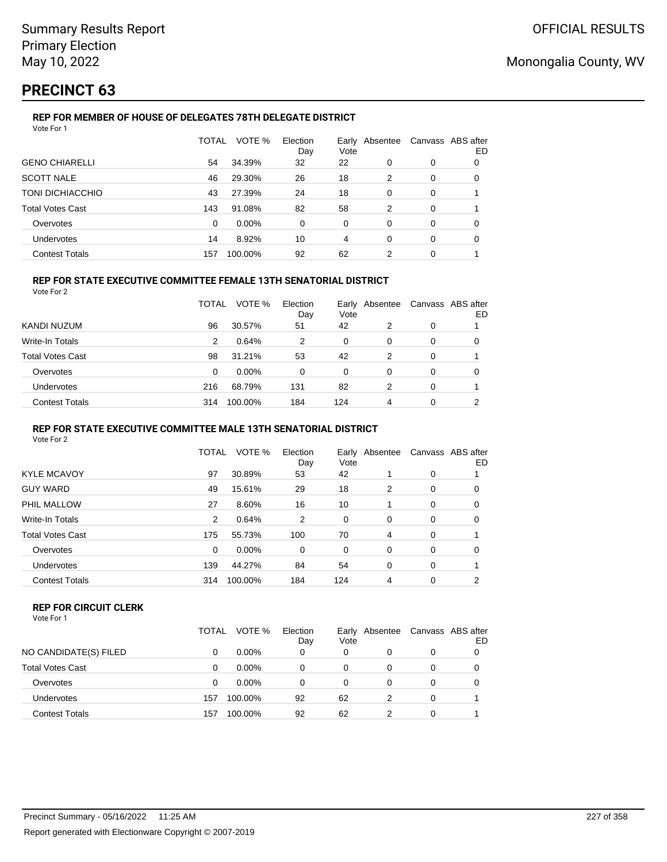# **PRECINCT 63**

#### **REP FOR MEMBER OF HOUSE OF DELEGATES 78TH DELEGATE DISTRICT** Vote For 1

|                         | TOTAL | VOTE %  | Election<br>Day | Vote           | Early Absentee |          | Canvass ABS after<br>ED |
|-------------------------|-------|---------|-----------------|----------------|----------------|----------|-------------------------|
| <b>GENO CHIARELLI</b>   | 54    | 34.39%  | 32              | 22             | 0              | 0        | 0                       |
| <b>SCOTT NALE</b>       | 46    | 29.30%  | 26              | 18             | 2              | $\Omega$ | $\Omega$                |
| TONI DICHIACCHIO        | 43    | 27.39%  | 24              | 18             | $\Omega$       | $\Omega$ |                         |
| <b>Total Votes Cast</b> | 143   | 91.08%  | 82              | 58             | 2              | $\Omega$ |                         |
| Overvotes               | 0     | 0.00%   | $\Omega$        | $\Omega$       | $\Omega$       | $\Omega$ | $\Omega$                |
| <b>Undervotes</b>       | 14    | 8.92%   | 10              | $\overline{4}$ | $\Omega$       | $\Omega$ | 0                       |
| <b>Contest Totals</b>   | 157   | 100.00% | 92              | 62             | 2              | 0        |                         |

## **REP FOR STATE EXECUTIVE COMMITTEE FEMALE 13TH SENATORIAL DISTRICT**

Vote For 2

|                         | <b>TOTAL</b> | VOTE %   | Election<br>Day | Vote | Early Absentee |   | Canvass ABS after<br>ED |
|-------------------------|--------------|----------|-----------------|------|----------------|---|-------------------------|
| KANDI NUZUM             | 96           | 30.57%   | 51              | 42   | 2              | 0 |                         |
| Write-In Totals         | 2            | 0.64%    | 2               | 0    | 0              | 0 |                         |
| <b>Total Votes Cast</b> | 98           | 31.21%   | 53              | 42   | 2              | 0 |                         |
| Overvotes               | 0            | $0.00\%$ | 0               | 0    | 0              | 0 |                         |
| Undervotes              | 216          | 68.79%   | 131             | 82   | 2              | 0 |                         |
| <b>Contest Totals</b>   | 314          | 100.00%  | 184             | 124  | 4              | 0 | ◠                       |

### **REP FOR STATE EXECUTIVE COMMITTEE MALE 13TH SENATORIAL DISTRICT**

Vote For 2

| <b>KYLE MCAVOY</b><br>30.89%<br>97<br>53<br>42<br>0<br><b>GUY WARD</b><br>18<br>49<br>15.61%<br>29<br>2<br>0<br>PHIL MALLOW<br>27<br>8.60%<br>16<br>10<br>0<br>Write-In Totals<br>0.64%<br>2<br>2<br>0<br>0<br>0<br><b>Total Votes Cast</b><br>55.73%<br>70<br>175<br>100<br>0<br>4<br>0.00%<br>Overvotes<br>$\Omega$<br>0<br>0<br>0<br>0 | TOTAL | VOTE % | Election<br>Day | Early Absentee<br>Vote |   |   | Canvass ABS after<br>ED |
|-------------------------------------------------------------------------------------------------------------------------------------------------------------------------------------------------------------------------------------------------------------------------------------------------------------------------------------------|-------|--------|-----------------|------------------------|---|---|-------------------------|
|                                                                                                                                                                                                                                                                                                                                           |       |        |                 |                        |   |   |                         |
|                                                                                                                                                                                                                                                                                                                                           |       |        |                 |                        |   |   | 0                       |
|                                                                                                                                                                                                                                                                                                                                           |       |        |                 |                        |   |   | 0                       |
|                                                                                                                                                                                                                                                                                                                                           |       |        |                 |                        |   |   | 0                       |
|                                                                                                                                                                                                                                                                                                                                           |       |        |                 |                        |   |   |                         |
|                                                                                                                                                                                                                                                                                                                                           |       |        |                 |                        |   |   | 0                       |
| Undervotes                                                                                                                                                                                                                                                                                                                                | 139   | 44.27% | 84              | 54                     | 0 | 0 |                         |
| 124<br><b>Contest Totals</b><br>100.00%<br>184<br>0<br>314<br>4                                                                                                                                                                                                                                                                           |       |        |                 |                        |   |   | 2                       |

#### **REP FOR CIRCUIT CLERK**

|                         | TOTAL | VOTE %   | Election<br>Day | Early<br>Vote | Absentee | Canvass ABS after | ED |
|-------------------------|-------|----------|-----------------|---------------|----------|-------------------|----|
| NO CANDIDATE(S) FILED   |       | $0.00\%$ | 0               | 0             | 0        | 0                 |    |
| <b>Total Votes Cast</b> |       | $0.00\%$ | 0               | 0             | 0        | 0                 |    |
| Overvotes               | 0     | $0.00\%$ | 0               | 0             | $\Omega$ | $\Omega$          |    |
| Undervotes              | 157   | 100.00%  | 92              | 62            |          | 0                 |    |
| <b>Contest Totals</b>   | 157   | 100.00%  | 92              | 62            |          | 0                 |    |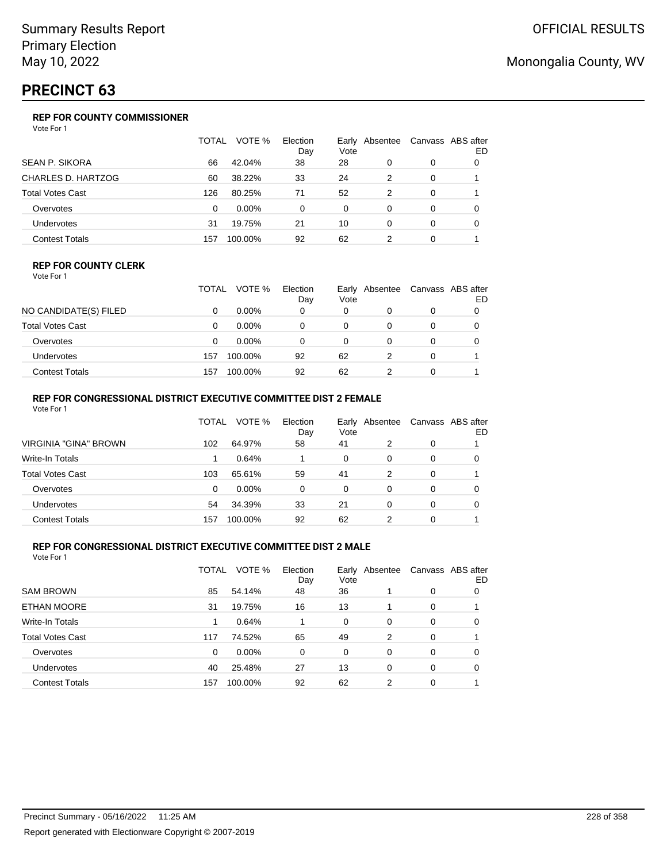# **PRECINCT 63**

## **REP FOR COUNTY COMMISSIONER**

Vote For 1

|                         | TOTAL | VOTE %   | Election<br>Day | Vote | Early Absentee |          | Canvass ABS after<br>ED |
|-------------------------|-------|----------|-----------------|------|----------------|----------|-------------------------|
| <b>SEAN P. SIKORA</b>   | 66    | 42.04%   | 38              | 28   | 0              | 0        | 0                       |
| CHARLES D. HARTZOG      | 60    | 38.22%   | 33              | 24   | 2              | 0        |                         |
| <b>Total Votes Cast</b> | 126   | 80.25%   | 71              | 52   | 2              | 0        |                         |
| Overvotes               | 0     | $0.00\%$ | 0               | 0    | 0              | 0        | 0                       |
| <b>Undervotes</b>       | 31    | 19.75%   | 21              | 10   | $\Omega$       | $\Omega$ | 0                       |
| <b>Contest Totals</b>   | 157   | 100.00%  | 92              | 62   | 2              | 0        |                         |

### **REP FOR COUNTY CLERK**

Vote For 1

|                         | TOTAL | VOTE %   | Election<br>Day | Vote | Early Absentee | Canvass ABS after<br>ED |
|-------------------------|-------|----------|-----------------|------|----------------|-------------------------|
| NO CANDIDATE(S) FILED   |       | $0.00\%$ | 0               | 0    |                |                         |
| <b>Total Votes Cast</b> |       | $0.00\%$ |                 |      |                |                         |
| Overvotes               |       | $0.00\%$ |                 |      |                |                         |
| <b>Undervotes</b>       | 157   | 100.00%  | 92              | 62   |                |                         |
| <b>Contest Totals</b>   | 157   | 100.00%  | 92              | 62   |                |                         |

### **REP FOR CONGRESSIONAL DISTRICT EXECUTIVE COMMITTEE DIST 2 FEMALE**

| Vote For 1              |       |          |                 |          |                |   |                         |
|-------------------------|-------|----------|-----------------|----------|----------------|---|-------------------------|
|                         | TOTAL | VOTE %   | Election<br>Day | Vote     | Early Absentee |   | Canvass ABS after<br>ED |
| VIRGINIA "GINA" BROWN   | 102   | 64.97%   | 58              | 41       | 2              | 0 |                         |
| Write-In Totals         |       | 0.64%    |                 | $\Omega$ | 0              | 0 | 0                       |
| <b>Total Votes Cast</b> | 103   | 65.61%   | 59              | 41       | 2              | 0 |                         |
| Overvotes               | 0     | $0.00\%$ | $\Omega$        | $\Omega$ | 0              | 0 | O                       |
| <b>Undervotes</b>       | 54    | 34.39%   | 33              | 21       | 0              | 0 | 0                       |
| <b>Contest Totals</b>   | 157   | 100.00%  | 92              | 62       | 2              | 0 |                         |

### **REP FOR CONGRESSIONAL DISTRICT EXECUTIVE COMMITTEE DIST 2 MALE**

|                         | TOTAL | VOTE %   | Election<br>Day | Early<br>Vote | Absentee |          | Canvass ABS after<br>ED |
|-------------------------|-------|----------|-----------------|---------------|----------|----------|-------------------------|
| <b>SAM BROWN</b>        | 85    | 54.14%   | 48              | 36            |          | 0        | 0                       |
| ETHAN MOORE             | 31    | 19.75%   | 16              | 13            |          | 0        |                         |
| Write-In Totals         |       | 0.64%    |                 | 0             | 0        | 0        | 0                       |
| <b>Total Votes Cast</b> | 117   | 74.52%   | 65              | 49            | 2        | 0        |                         |
| Overvotes               | 0     | $0.00\%$ | 0               | 0             | $\Omega$ | $\Omega$ | 0                       |
| <b>Undervotes</b>       | 40    | 25.48%   | 27              | 13            | $\Omega$ | 0        | 0                       |
| <b>Contest Totals</b>   | 157   | 100.00%  | 92              | 62            | 2        | 0        |                         |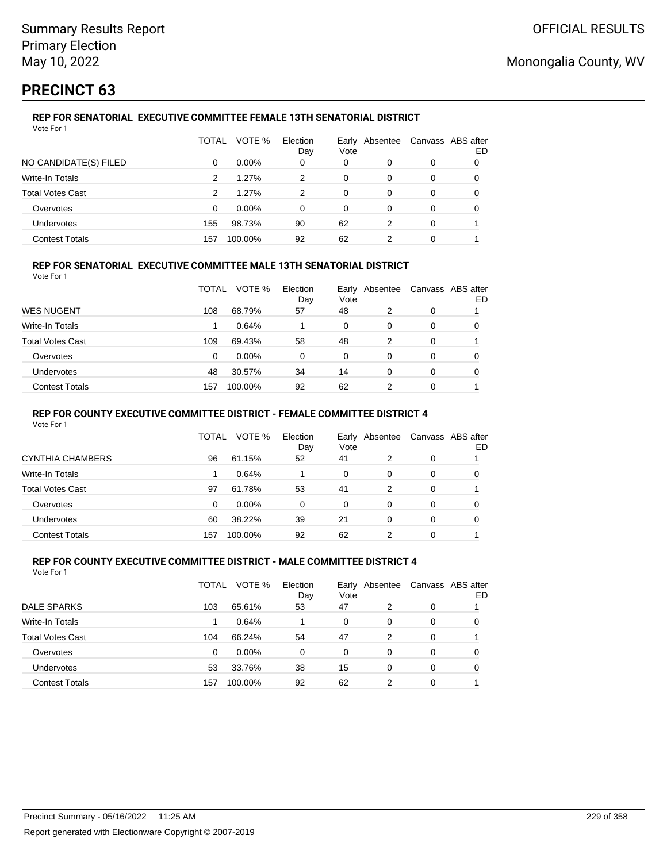# **PRECINCT 63**

## **REP FOR SENATORIAL EXECUTIVE COMMITTEE FEMALE 13TH SENATORIAL DISTRICT**

| Vote For 1              |          |          |                 |      |                |          |                         |
|-------------------------|----------|----------|-----------------|------|----------------|----------|-------------------------|
|                         | TOTAL    | VOTE %   | Election<br>Day | Vote | Early Absentee |          | Canvass ABS after<br>ED |
| NO CANDIDATE(S) FILED   | $\Omega$ | $0.00\%$ | 0               | 0    | 0              | 0        | 0                       |
| Write-In Totals         | 2        | 1.27%    | 2               | 0    | $\Omega$       | 0        | 0                       |
| <b>Total Votes Cast</b> | 2        | 1.27%    | 2               | 0    | 0              | $\Omega$ | 0                       |
| Overvotes               | 0        | 0.00%    | 0               | 0    | 0              | 0        | 0                       |
| <b>Undervotes</b>       | 155      | 98.73%   | 90              | 62   | 2              | $\Omega$ |                         |
| <b>Contest Totals</b>   | 157      | 100.00%  | 92              | 62   | 2              | 0        |                         |

### **REP FOR SENATORIAL EXECUTIVE COMMITTEE MALE 13TH SENATORIAL DISTRICT**

Vote For 1

|                       | TOTAL | VOTE %  | Election<br>Day | Vote | Early Absentee | Canvass ABS after | ED |
|-----------------------|-------|---------|-----------------|------|----------------|-------------------|----|
| WES NUGENT            | 108   | 68.79%  | 57              | 48   | 2              | 0                 |    |
| Write-In Totals       |       | 0.64%   |                 | 0    | 0              | 0                 | O  |
| Total Votes Cast      | 109   | 69.43%  | 58              | 48   | 2              | 0                 |    |
| Overvotes             | 0     | 0.00%   | 0               | 0    | 0              | 0                 | 0  |
| <b>Undervotes</b>     | 48    | 30.57%  | 34              | 14   | 0              | 0                 |    |
| <b>Contest Totals</b> | 157   | 100.00% | 92              | 62   | 2              | 0                 |    |

### **REP FOR COUNTY EXECUTIVE COMMITTEE DISTRICT - FEMALE COMMITTEE DISTRICT 4**

Vote For 1

|                       | TOTAL    | VOTE %   | Election<br>Day | Vote | Early Absentee |          | Canvass ABS after<br>ED |
|-----------------------|----------|----------|-----------------|------|----------------|----------|-------------------------|
| CYNTHIA CHAMBERS      | 96       | 61.15%   | 52              | 41   | 2              | 0        |                         |
| Write-In Totals       |          | 0.64%    |                 | 0    | 0              | 0        | 0                       |
| Total Votes Cast      | 97       | 61.78%   | 53              | 41   | 2              | $\Omega$ |                         |
| Overvotes             | $\Omega$ | $0.00\%$ | 0               | 0    | 0              | 0        |                         |
| Undervotes            | 60       | 38.22%   | 39              | 21   | 0              | 0        | 0                       |
| <b>Contest Totals</b> | 157      | 100.00%  | 92              | 62   |                | 0        |                         |

#### **REP FOR COUNTY EXECUTIVE COMMITTEE DISTRICT - MALE COMMITTEE DISTRICT 4** Vote For 1

|                         | TOTAL | VOTE %   | Election<br>Day | Vote     | Early Absentee |   | Canvass ABS after<br>ED |
|-------------------------|-------|----------|-----------------|----------|----------------|---|-------------------------|
| DALE SPARKS             | 103   | 65.61%   | 53              | 47       | 2              | 0 |                         |
| Write-In Totals         |       | 0.64%    |                 | $\Omega$ | 0              | 0 | 0                       |
| <b>Total Votes Cast</b> | 104   | 66.24%   | 54              | 47       | 2              | 0 |                         |
| Overvotes               | 0     | $0.00\%$ | 0               | 0        | 0              | 0 | 0                       |
| Undervotes              | 53    | 33.76%   | 38              | 15       | 0              | 0 |                         |
| <b>Contest Totals</b>   | 157   | 100.00%  | 92              | 62       | 2              | 0 |                         |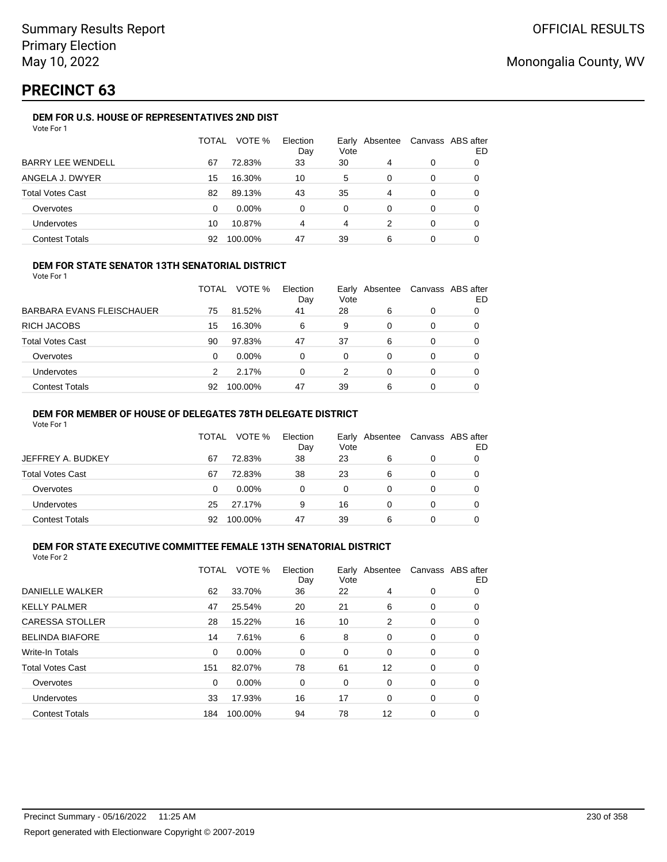# **PRECINCT 63**

### **DEM FOR U.S. HOUSE OF REPRESENTATIVES 2ND DIST**

|                          | TOTAL | VOTE %   | Election<br>Day | Early<br>Vote | Absentee | Canvass ABS after | ED |
|--------------------------|-------|----------|-----------------|---------------|----------|-------------------|----|
| <b>BARRY LEE WENDELL</b> | 67    | 72.83%   | 33              | 30            | 4        | 0                 |    |
| ANGELA J. DWYER          | 15    | 16.30%   | 10              | 5             | 0        | 0                 |    |
| <b>Total Votes Cast</b>  | 82    | 89.13%   | 43              | 35            | 4        | 0                 |    |
| Overvotes                | 0     | $0.00\%$ | $\Omega$        | $\Omega$      | 0        | 0                 |    |
| Undervotes               | 10    | 10.87%   | 4               | 4             |          | 0                 |    |
| <b>Contest Totals</b>    | 92    | 100.00%  | 47              | 39            | 6        | 0                 |    |

### **DEM FOR STATE SENATOR 13TH SENATORIAL DISTRICT**

Vote For 1

|                           | TOTAL | VOTE %   | Election<br>Day | Vote | Early Absentee | Canvass ABS after | ED |
|---------------------------|-------|----------|-----------------|------|----------------|-------------------|----|
| BARBARA EVANS FLEISCHAUER | 75    | 81.52%   | 41              | 28   | 6              | 0                 |    |
| RICH JACOBS               | 15    | 16.30%   | 6               | 9    | 0              | 0                 |    |
| Total Votes Cast          | 90    | 97.83%   | 47              | 37   | 6              | 0                 |    |
| Overvotes                 | 0     | $0.00\%$ | 0               | 0    | 0              | 0                 |    |
| Undervotes                |       | 2.17%    | 0               | 2    | 0              | 0                 |    |
| <b>Contest Totals</b>     | 92    | 100.00%  | 47              | 39   | 6              | 0                 |    |

### **DEM FOR MEMBER OF HOUSE OF DELEGATES 78TH DELEGATE DISTRICT**

Vote For 1

|                   | TOTAL | VOTE %   | Election<br>Day | Vote | Early Absentee | Canvass ABS after | ED |
|-------------------|-------|----------|-----------------|------|----------------|-------------------|----|
| JEFFREY A. BUDKEY | 67    | 72.83%   | 38              | 23   | 6              | 0                 |    |
| Total Votes Cast  | 67    | 72.83%   | 38              | 23   | 6              | 0                 |    |
| Overvotes         | 0     | $0.00\%$ | 0               | 0    | O              | 0                 |    |
| Undervotes        | 25    | 27.17%   | 9               | 16   |                | 0                 |    |
| Contest Totals    | 92    | 100.00%  | 47              | 39   | 6              | 0                 |    |

## **DEM FOR STATE EXECUTIVE COMMITTEE FEMALE 13TH SENATORIAL DISTRICT**

| Vote For 2 |  |  |
|------------|--|--|
|------------|--|--|

|                         | TOTAL | VOTE %   | Election<br>Day | Earlv<br>Vote | Absentee |   | Canvass ABS after<br>ED |
|-------------------------|-------|----------|-----------------|---------------|----------|---|-------------------------|
| DANIELLE WALKER         | 62    | 33.70%   | 36              | 22            | 4        | 0 | 0                       |
| <b>KELLY PALMER</b>     | 47    | 25.54%   | 20              | 21            | 6        | 0 | 0                       |
| <b>CARESSA STOLLER</b>  | 28    | 15.22%   | 16              | 10            | 2        | 0 | 0                       |
| <b>BELINDA BIAFORE</b>  | 14    | 7.61%    | 6               | 8             | 0        | 0 | 0                       |
| <b>Write-In Totals</b>  | 0     | $0.00\%$ | 0               | 0             | 0        | 0 | 0                       |
| <b>Total Votes Cast</b> | 151   | 82.07%   | 78              | 61            | 12       | 0 | 0                       |
| Overvotes               | 0     | $0.00\%$ | 0               | 0             | 0        | 0 | 0                       |
| Undervotes              | 33    | 17.93%   | 16              | 17            | 0        | 0 | 0                       |
| <b>Contest Totals</b>   | 184   | 100.00%  | 94              | 78            | 12       | 0 | 0                       |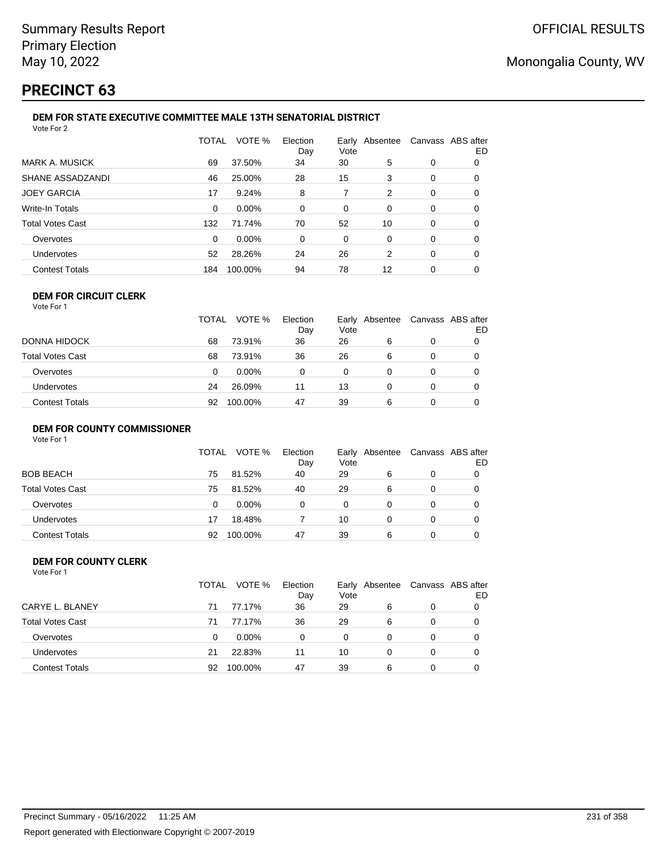# **PRECINCT 63**

#### **DEM FOR STATE EXECUTIVE COMMITTEE MALE 13TH SENATORIAL DISTRICT** Vote For 2

|                         | <b>TOTAL</b> | VOTE %  | Election<br>Day | Vote | Early Absentee | Canvass ABS after | ED |  |  |
|-------------------------|--------------|---------|-----------------|------|----------------|-------------------|----|--|--|
| <b>MARK A. MUSICK</b>   | 69           | 37.50%  | 34              | 30   | 5              | 0                 | 0  |  |  |
| SHANE ASSADZANDI        | 46           | 25.00%  | 28              | 15   | 3              | 0                 | 0  |  |  |
| <b>JOEY GARCIA</b>      | 17           | 9.24%   | 8               | 7    | 2              | 0                 | 0  |  |  |
| Write-In Totals         | 0            | 0.00%   | $\Omega$        | 0    | $\Omega$       | 0                 | 0  |  |  |
| <b>Total Votes Cast</b> | 132          | 71.74%  | 70              | 52   | 10             | 0                 | 0  |  |  |
| Overvotes               | 0            | 0.00%   | $\Omega$        | 0    | 0              | 0                 | 0  |  |  |
| <b>Undervotes</b>       | 52           | 28.26%  | 24              | 26   | 2              | 0                 | 0  |  |  |
| <b>Contest Totals</b>   | 184          | 100.00% | 94              | 78   | 12             | 0                 | 0  |  |  |
|                         |              |         |                 |      |                |                   |    |  |  |

#### **DEM FOR CIRCUIT CLERK** Vote For 1

|                       | <b>TOTAL</b> | VOTE %   | Election<br>Day | Vote | Early Absentee | Canvass ABS after | ED |
|-----------------------|--------------|----------|-----------------|------|----------------|-------------------|----|
| DONNA HIDOCK          | 68           | 73.91%   | 36              | 26   | 6              |                   |    |
| Total Votes Cast      | 68           | 73.91%   | 36              | 26   | 6              |                   |    |
| Overvotes             | 0            | $0.00\%$ | $\Omega$        | 0    |                |                   |    |
| Undervotes            | 24           | 26.09%   | 11              | 13   |                |                   |    |
| <b>Contest Totals</b> | 92           | 100.00%  | 47              | 39   | 6              |                   |    |

### **DEM FOR COUNTY COMMISSIONER**

| Vote For 1 |  |  |
|------------|--|--|
|------------|--|--|

|                       | TOTAL | VOTE %   | Election<br>Day | Vote | Early Absentee | Canvass ABS after | ED |
|-----------------------|-------|----------|-----------------|------|----------------|-------------------|----|
| <b>BOB BEACH</b>      | 75    | 81.52%   | 40              | 29   | 6              | 0                 |    |
| Total Votes Cast      | 75    | 81.52%   | 40              | 29   | 6              | 0                 |    |
| Overvotes             | 0     | $0.00\%$ | 0               | 0    | 0              | 0                 |    |
| Undervotes            | 17    | 18.48%   |                 | 10   | 0              | 0                 |    |
| <b>Contest Totals</b> | 92    | 100.00%  | 47              | 39   | 6              | 0                 |    |

#### **DEM FOR COUNTY CLERK** Vote For 1

|                         | TOTAL | VOTE %   | Election<br>Day | Early Absentee<br>Vote |          | Canvass ABS after | ED |
|-------------------------|-------|----------|-----------------|------------------------|----------|-------------------|----|
| CARYE L. BLANEY         | 71    | 77.17%   | 36              | 29                     | 6        | 0                 |    |
| <b>Total Votes Cast</b> | 71    | 77.17%   | 36              | 29                     | 6        | 0                 |    |
| Overvotes               | 0     | $0.00\%$ | $\Omega$        | 0                      | 0        | 0                 |    |
| Undervotes              | 21    | 22.83%   | 11              | 10                     | $\Omega$ | 0                 |    |
| <b>Contest Totals</b>   | 92    | 100.00%  | 47              | 39                     | 6        | 0                 |    |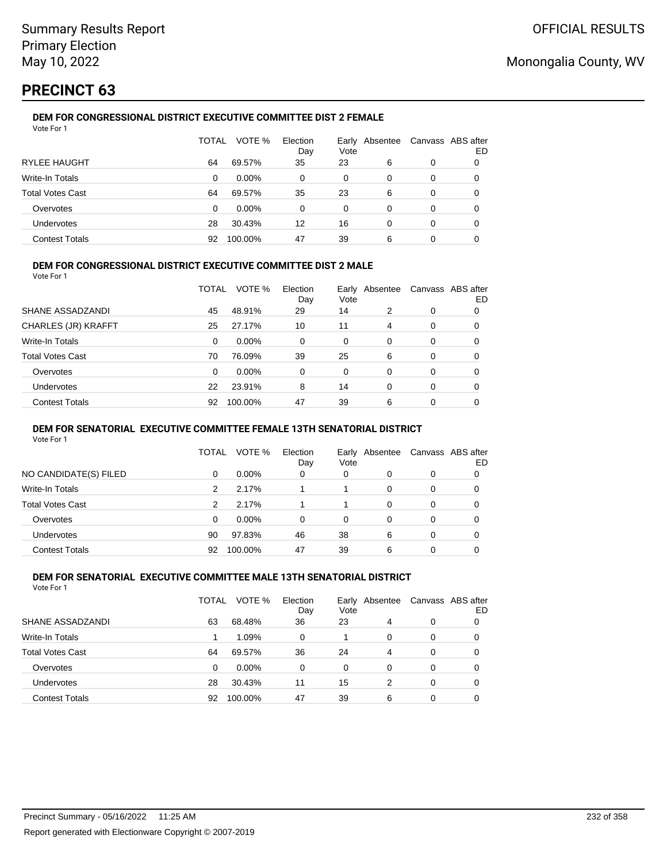# **PRECINCT 63**

#### **DEM FOR CONGRESSIONAL DISTRICT EXECUTIVE COMMITTEE DIST 2 FEMALE** Vote For 1

|                         | TOTAL | VOTE %   | Election<br>Day | Earlv<br>Vote | Absentee |   | Canvass ABS after<br>ED |
|-------------------------|-------|----------|-----------------|---------------|----------|---|-------------------------|
| <b>RYLEE HAUGHT</b>     | 64    | 69.57%   | 35              | 23            | 6        | 0 |                         |
| Write-In Totals         | 0     | $0.00\%$ | 0               | $\Omega$      | 0        | 0 |                         |
| <b>Total Votes Cast</b> | 64    | 69.57%   | 35              | 23            | 6        | 0 |                         |
| Overvotes               | 0     | $0.00\%$ | 0               | $\Omega$      | 0        | 0 | O                       |
| <b>Undervotes</b>       | 28    | 30.43%   | 12              | 16            | 0        | 0 | O                       |
| <b>Contest Totals</b>   | 92    | 100.00%  | 47              | 39            | 6        | 0 |                         |

### **DEM FOR CONGRESSIONAL DISTRICT EXECUTIVE COMMITTEE DIST 2 MALE**

Vote For 1

|                         | TOTAL | VOTE %   | Election<br>Day | Early<br>Vote | Absentee |          | Canvass ABS after<br>ED |
|-------------------------|-------|----------|-----------------|---------------|----------|----------|-------------------------|
| SHANE ASSADZANDI        | 45    | 48.91%   | 29              | 14            | 2        | $\Omega$ | 0                       |
| CHARLES (JR) KRAFFT     | 25    | 27.17%   | 10              | 11            | 4        | $\Omega$ | 0                       |
| Write-In Totals         | 0     | $0.00\%$ | 0               | 0             | $\Omega$ | $\Omega$ | 0                       |
| <b>Total Votes Cast</b> | 70    | 76.09%   | 39              | 25            | 6        | $\Omega$ | 0                       |
| Overvotes               | 0     | 0.00%    | 0               | $\Omega$      | 0        | $\Omega$ | 0                       |
| <b>Undervotes</b>       | 22    | 23.91%   | 8               | 14            | $\Omega$ | 0        | 0                       |
| <b>Contest Totals</b>   | 92    | 100.00%  | 47              | 39            | 6        | 0        | 0                       |

### **DEM FOR SENATORIAL EXECUTIVE COMMITTEE FEMALE 13TH SENATORIAL DISTRICT**

Vote For 1

|                         | TOTAL | VOTE %   | Election<br>Day | Vote | Early Absentee | Canvass ABS after | ED |
|-------------------------|-------|----------|-----------------|------|----------------|-------------------|----|
| NO CANDIDATE(S) FILED   | 0     | $0.00\%$ | 0               | 0    | O              | 0                 |    |
| Write-In Totals         | 2     | 2.17%    |                 |      | 0              | 0                 |    |
| <b>Total Votes Cast</b> | 2     | 2.17%    |                 |      | 0              | 0                 |    |
| Overvotes               | 0     | $0.00\%$ | 0               | 0    | 0              | 0                 |    |
| <b>Undervotes</b>       | 90    | 97.83%   | 46              | 38   | 6              | 0                 |    |
| <b>Contest Totals</b>   | 92    | 100.00%  | 47              | 39   | 6              | 0                 |    |

#### **DEM FOR SENATORIAL EXECUTIVE COMMITTEE MALE 13TH SENATORIAL DISTRICT** Vote For 1

| 1 U U U                 |       |          |                 |      |                |   |                         |
|-------------------------|-------|----------|-----------------|------|----------------|---|-------------------------|
|                         | TOTAL | VOTE %   | Election<br>Day | Vote | Early Absentee |   | Canvass ABS after<br>ED |
| SHANE ASSADZANDI        | 63    | 68.48%   | 36              | 23   | 4              | 0 | O                       |
| Write-In Totals         |       | 1.09%    | 0               |      | 0              | 0 | O                       |
| <b>Total Votes Cast</b> | 64    | 69.57%   | 36              | 24   | 4              | 0 | 0                       |
| Overvotes               | 0     | $0.00\%$ | 0               | 0    | 0              | 0 | 0                       |
| <b>Undervotes</b>       | 28    | 30.43%   | 11              | 15   | 2              | 0 | 0                       |
| <b>Contest Totals</b>   | 92    | 100.00%  | 47              | 39   | 6              | 0 | 0                       |
|                         |       |          |                 |      |                |   |                         |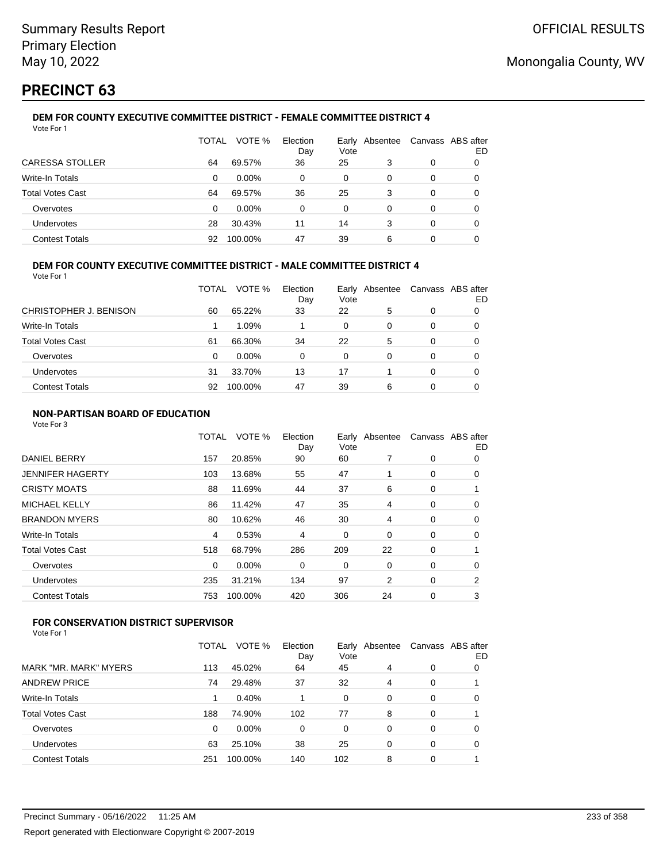# **PRECINCT 63**

#### **DEM FOR COUNTY EXECUTIVE COMMITTEE DISTRICT - FEMALE COMMITTEE DISTRICT 4** Vote For 1

|                         | TOTAL | VOTE %   | Election<br>Day | Vote | Early Absentee |   | Canvass ABS after<br>ED |
|-------------------------|-------|----------|-----------------|------|----------------|---|-------------------------|
| CARESSA STOLLER         | 64    | 69.57%   | 36              | 25   | 3              | 0 |                         |
| Write-In Totals         | 0     | $0.00\%$ | $\Omega$        | 0    | 0              | 0 | O                       |
| <b>Total Votes Cast</b> | 64    | 69.57%   | 36              | 25   | 3              | 0 | O                       |
| Overvotes               | 0     | $0.00\%$ | 0               | 0    | 0              | 0 |                         |
| <b>Undervotes</b>       | 28    | 30.43%   | 11              | 14   | 3              | 0 |                         |
| <b>Contest Totals</b>   | 92    | 100.00%  | 47              | 39   | 6              | 0 |                         |

### **DEM FOR COUNTY EXECUTIVE COMMITTEE DISTRICT - MALE COMMITTEE DISTRICT 4**

Vote For 1

|                         | TOTAL | VOTE %   | Election<br>Day | Early<br>Vote | Absentee | Canvass ABS after | ED |
|-------------------------|-------|----------|-----------------|---------------|----------|-------------------|----|
| CHRISTOPHER J. BENISON  | 60    | 65.22%   | 33              | 22            | 5        | 0                 |    |
| Write-In Totals         |       | 1.09%    |                 | 0             | 0        | 0                 | O  |
| <b>Total Votes Cast</b> | 61    | 66.30%   | 34              | 22            | 5        | 0                 |    |
| Overvotes               | 0     | $0.00\%$ | 0               | $\Omega$      | 0        | 0                 |    |
| <b>Undervotes</b>       | 31    | 33.70%   | 13              | 17            |          | 0                 | O  |
| <b>Contest Totals</b>   | 92    | 100.00%  | 47              | 39            | 6        | 0                 |    |

### **NON-PARTISAN BOARD OF EDUCATION**

Vote For 3

|                       | TOTAL    | VOTE %  | Election<br>Day | Vote | Early Absentee | Canvass ABS after | ED |
|-----------------------|----------|---------|-----------------|------|----------------|-------------------|----|
| <b>DANIEL BERRY</b>   | 157      | 20.85%  | 90              | 60   | 7              | 0                 | 0  |
| JENNIFER HAGERTY      | 103      | 13.68%  | 55              | 47   |                | 0                 | 0  |
| <b>CRISTY MOATS</b>   | 88       | 11.69%  | 44              | 37   | 6              | 0                 |    |
| MICHAEL KELLY         | 86       | 11.42%  | 47              | 35   | 4              | 0                 | 0  |
| <b>BRANDON MYERS</b>  | 80       | 10.62%  | 46              | 30   | 4              | 0                 | 0  |
| Write-In Totals       | 4        | 0.53%   | 4               | 0    | 0              | 0                 | 0  |
| Total Votes Cast      | 518      | 68.79%  | 286             | 209  | 22             | 0                 |    |
| Overvotes             | $\Omega$ | 0.00%   | 0               | 0    | 0              | 0                 | 0  |
| Undervotes            | 235      | 31.21%  | 134             | 97   | 2              | 0                 | 2  |
| <b>Contest Totals</b> | 753      | 100.00% | 420             | 306  | 24             | 0                 | 3  |
|                       |          |         |                 |      |                |                   |    |

## **FOR CONSERVATION DISTRICT SUPERVISOR**

|                         | TOTAL | VOTE %  | Election<br>Day | Vote     | Early Absentee | Canvass ABS after | ED |
|-------------------------|-------|---------|-----------------|----------|----------------|-------------------|----|
| MARK "MR. MARK" MYERS   | 113   | 45.02%  | 64              | 45       | 4              | 0                 | 0  |
| <b>ANDREW PRICE</b>     | 74    | 29.48%  | 37              | 32       | 4              | 0                 |    |
| Write-In Totals         |       | 0.40%   |                 | 0        | 0              | 0                 | 0  |
| <b>Total Votes Cast</b> | 188   | 74.90%  | 102             | 77       | 8              | 0                 |    |
| Overvotes               | 0     | 0.00%   | 0               | $\Omega$ | 0              | 0                 | 0  |
| Undervotes              | 63    | 25.10%  | 38              | 25       | 0              | 0                 | 0  |
| <b>Contest Totals</b>   | 251   | 100.00% | 140             | 102      | 8              | 0                 |    |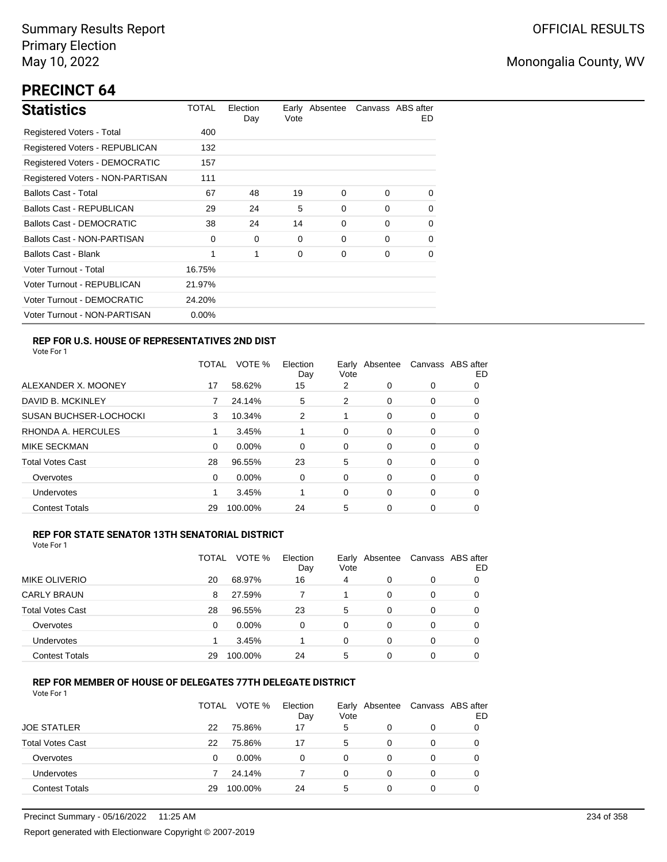# **PRECINCT 64**

| <b>Statistics</b>                     | TOTAL    | Election<br>Day | Vote | Early Absentee |          | Canvass ABS after<br>ED. |
|---------------------------------------|----------|-----------------|------|----------------|----------|--------------------------|
| Registered Voters - Total             | 400      |                 |      |                |          |                          |
| Registered Voters - REPUBLICAN        | 132      |                 |      |                |          |                          |
| <b>Registered Voters - DEMOCRATIC</b> | 157      |                 |      |                |          |                          |
| Registered Voters - NON-PARTISAN      | 111      |                 |      |                |          |                          |
| <b>Ballots Cast - Total</b>           | 67       | 48              | 19   | 0              | $\Omega$ | 0                        |
| Ballots Cast - REPUBLICAN             | 29       | 24              | 5    | 0              | $\Omega$ | 0                        |
| Ballots Cast - DEMOCRATIC             | 38       | 24              | 14   | 0              | $\Omega$ | 0                        |
| Ballots Cast - NON-PARTISAN           | 0        | 0               | 0    | 0              | $\Omega$ | 0                        |
| Ballots Cast - Blank                  | 1        | 1               | 0    | 0              | $\Omega$ | 0                        |
| Voter Turnout - Total                 | 16.75%   |                 |      |                |          |                          |
| Voter Turnout - REPUBLICAN            | 21.97%   |                 |      |                |          |                          |
| Voter Turnout - DEMOCRATIC            | 24.20%   |                 |      |                |          |                          |
| Voter Turnout - NON-PARTISAN          | $0.00\%$ |                 |      |                |          |                          |

### **REP FOR U.S. HOUSE OF REPRESENTATIVES 2ND DIST**

Vote For 1

|                               | TOTAL | VOTE %   | Election<br>Day | Early<br>Vote | Absentee | Canvass ABS after | ED |
|-------------------------------|-------|----------|-----------------|---------------|----------|-------------------|----|
| ALEXANDER X. MOONEY           | 17    | 58.62%   | 15              | 2             | 0        | 0                 | O  |
| DAVID B. MCKINLEY             |       | 24.14%   | 5               | 2             | $\Omega$ | 0                 | O  |
| <b>SUSAN BUCHSER-LOCHOCKI</b> | 3     | 10.34%   | 2               |               | 0        | 0                 | 0  |
| RHONDA A. HERCULES            |       | 3.45%    |                 | 0             | $\Omega$ | 0                 | 0  |
| MIKE SECKMAN                  | 0     | $0.00\%$ | 0               | 0             | $\Omega$ | 0                 | 0  |
| <b>Total Votes Cast</b>       | 28    | 96.55%   | 23              | 5             | 0        | 0                 | 0  |
| Overvotes                     | 0     | $0.00\%$ | 0               | 0             | $\Omega$ | 0                 | 0  |
| <b>Undervotes</b>             |       | 3.45%    |                 | 0             | $\Omega$ | 0                 | 0  |
| <b>Contest Totals</b>         | 29    | 100.00%  | 24              | 5             | 0        | 0                 | 0  |

### **REP FOR STATE SENATOR 13TH SENATORIAL DISTRICT**

| Vote For 1 |  |
|------------|--|
|            |  |

|                         | TOTAL | VOTE %   | Election<br>Day | Vote | Early Absentee |   | Canvass ABS after<br>ED |
|-------------------------|-------|----------|-----------------|------|----------------|---|-------------------------|
| <b>MIKE OLIVERIO</b>    | 20    | 68.97%   | 16              | 4    | 0              | 0 |                         |
| <b>CARLY BRAUN</b>      | 8     | 27.59%   |                 |      | 0              | 0 |                         |
| <b>Total Votes Cast</b> | 28    | 96.55%   | 23              | 5    | 0              | 0 |                         |
| Overvotes               | 0     | $0.00\%$ | 0               | 0    | 0              | 0 |                         |
| Undervotes              |       | 3.45%    |                 | 0    | 0              | 0 |                         |
| <b>Contest Totals</b>   | 29    | 100.00%  | 24              | 5    | $\Omega$       | 0 |                         |

### **REP FOR MEMBER OF HOUSE OF DELEGATES 77TH DELEGATE DISTRICT**

|                         | TOTAL | VOTE %   | Election<br>Day | Vote | Early Absentee | Canvass ABS after | ED |
|-------------------------|-------|----------|-----------------|------|----------------|-------------------|----|
| <b>JOE STATLER</b>      | 22    | 75.86%   | 17              | 5    | 0              | 0                 |    |
| <b>Total Votes Cast</b> | 22    | 75.86%   | 17              | 5    | 0              | 0                 |    |
| Overvotes               | 0     | $0.00\%$ | 0               | 0    | 0              | 0                 |    |
| Undervotes              |       | 24.14%   |                 | 0    | 0              | 0                 |    |
| <b>Contest Totals</b>   | 29    | 100.00%  | 24              | 5    | 0              | 0                 |    |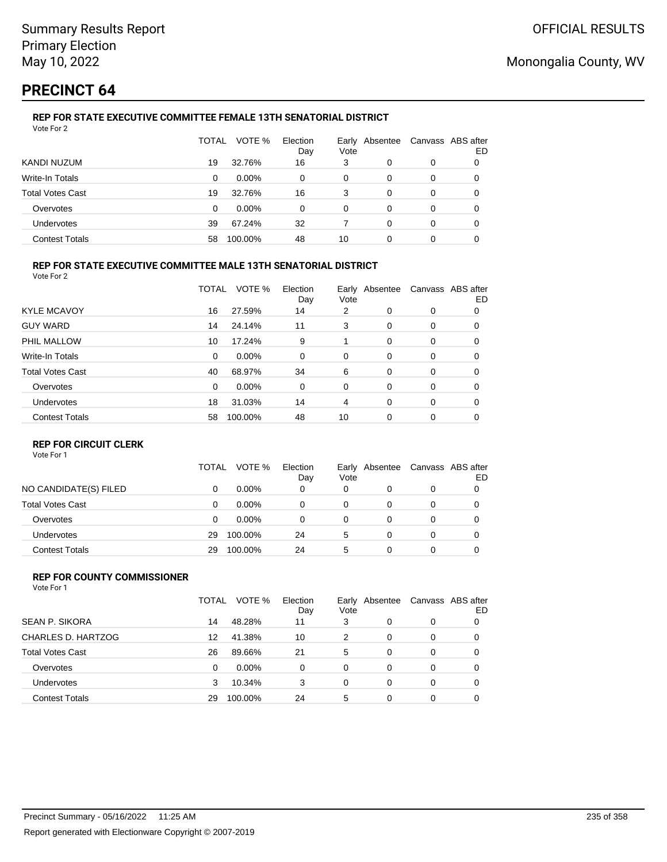# **PRECINCT 64**

## **REP FOR STATE EXECUTIVE COMMITTEE FEMALE 13TH SENATORIAL DISTRICT**

| Vote For 2              |              |          |                 |      |                |   |                         |
|-------------------------|--------------|----------|-----------------|------|----------------|---|-------------------------|
|                         | <b>TOTAL</b> | VOTE %   | Election<br>Day | Vote | Early Absentee |   | Canvass ABS after<br>ED |
| KANDI NUZUM             | 19           | 32.76%   | 16              | 3    | 0              | 0 |                         |
| Write-In Totals         | 0            | 0.00%    | 0               | 0    | 0              | 0 |                         |
| <b>Total Votes Cast</b> | 19           | 32.76%   | 16              | 3    | 0              | 0 |                         |
| Overvotes               | 0            | $0.00\%$ | 0               | 0    | 0              | 0 | 0                       |
| <b>Undervotes</b>       | 39           | 67.24%   | 32              |      | 0              | 0 |                         |
| <b>Contest Totals</b>   | 58           | 100.00%  | 48              | 10   | 0              | 0 |                         |

### **REP FOR STATE EXECUTIVE COMMITTEE MALE 13TH SENATORIAL DISTRICT**

Vote For 2

|                         | TOTAL    | VOTE %   | Election<br>Day | Vote     | Early Absentee |          | Canvass ABS after<br>ED |
|-------------------------|----------|----------|-----------------|----------|----------------|----------|-------------------------|
| <b>KYLE MCAVOY</b>      | 16       | 27.59%   | 14              | 2        | 0              | 0        | 0                       |
| <b>GUY WARD</b>         | 14       | 24.14%   | 11              | 3        | 0              | 0        | 0                       |
| PHIL MALLOW             | 10       | 17.24%   | 9               |          | 0              | 0        | 0                       |
| <b>Write-In Totals</b>  | 0        | $0.00\%$ | 0               | 0        | 0              | 0        | 0                       |
| <b>Total Votes Cast</b> | 40       | 68.97%   | 34              | 6        | $\Omega$       | $\Omega$ | 0                       |
| Overvotes               | $\Omega$ | $0.00\%$ | $\Omega$        | $\Omega$ | $\Omega$       | $\Omega$ | 0                       |
| Undervotes              | 18       | 31.03%   | 14              | 4        | $\Omega$       | 0        | 0                       |
| <b>Contest Totals</b>   | 58       | 100.00%  | 48              | 10       | $\Omega$       | 0        | 0                       |

### **REP FOR CIRCUIT CLERK**

Vote For 1

|                         | TOTAL | VOTE %   | Election<br>Day | Vote | Early Absentee | Canvass ABS after | ED |
|-------------------------|-------|----------|-----------------|------|----------------|-------------------|----|
| NO CANDIDATE(S) FILED   | 0     | $0.00\%$ | 0               | 0    | 0              | 0                 |    |
| <b>Total Votes Cast</b> | 0     | $0.00\%$ | 0               | 0    |                | 0                 |    |
| Overvotes               | 0     | $0.00\%$ | 0               | 0    |                | 0                 |    |
| <b>Undervotes</b>       | 29    | 100.00%  | 24              | 5    |                | 0                 |    |
| <b>Contest Totals</b>   | 29    | 100.00%  | 24              | 5    | ი              | 0                 |    |

#### **REP FOR COUNTY COMMISSIONER** Vote For 1

|                         | TOTAL | VOTE %   | Election<br>Day | Vote     | Early Absentee |          | Canvass ABS after<br>ED |
|-------------------------|-------|----------|-----------------|----------|----------------|----------|-------------------------|
| <b>SEAN P. SIKORA</b>   | 14    | 48.28%   | 11              | 3        | 0              | 0        |                         |
| CHARLES D. HARTZOG      | 12    | 41.38%   | 10              | 2        | 0              | 0        | 0                       |
| <b>Total Votes Cast</b> | 26    | 89.66%   | 21              | 5        | 0              | 0        | 0                       |
| Overvotes               | 0     | $0.00\%$ | 0               | $\Omega$ | 0              | $\Omega$ | 0                       |
| <b>Undervotes</b>       | 3     | 10.34%   | 3               | 0        | 0              | $\Omega$ | 0                       |
| <b>Contest Totals</b>   | 29    | 100.00%  | 24              | 5        | 0              | $\Omega$ |                         |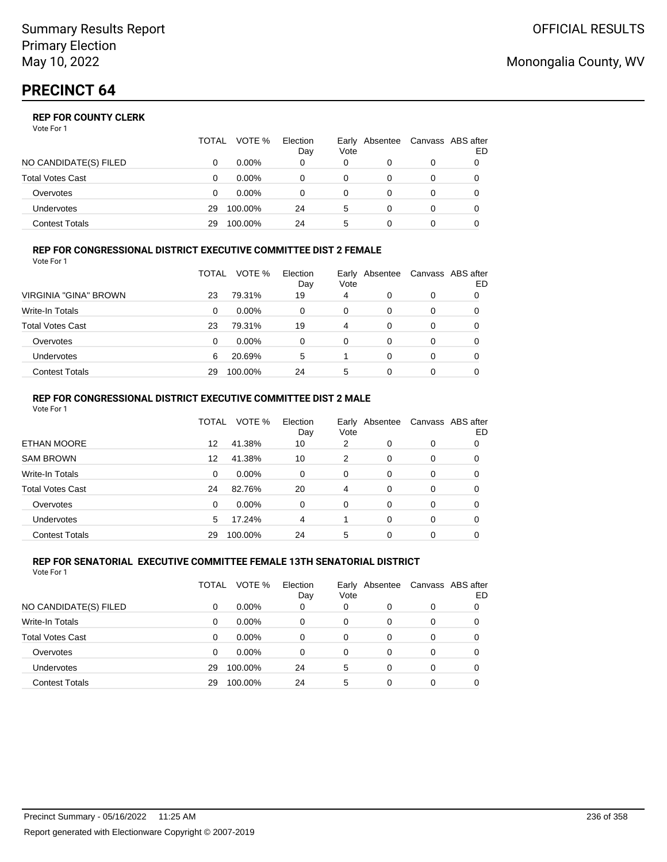|                         | TOTAL | VOTE %   | Election<br>Day | Vote | Early Absentee | Canvass ABS after | ED |
|-------------------------|-------|----------|-----------------|------|----------------|-------------------|----|
| NO CANDIDATE(S) FILED   |       | $0.00\%$ | 0               | 0    |                | 0                 |    |
| <b>Total Votes Cast</b> |       | $0.00\%$ |                 |      |                |                   |    |
| Overvotes               | O     | $0.00\%$ |                 | 0    |                | 0                 |    |
| <b>Undervotes</b>       | 29    | 100.00%  | 24              | 5    | 0              | 0                 |    |
| Contest Totals          | 29    | 100.00%  | 24              | 5    |                |                   |    |

### **REP FOR CONGRESSIONAL DISTRICT EXECUTIVE COMMITTEE DIST 2 FEMALE**

| Vote For 1              |       |          |                 |      |                |   |                         |
|-------------------------|-------|----------|-----------------|------|----------------|---|-------------------------|
|                         | TOTAL | VOTE %   | Election<br>Day | Vote | Early Absentee |   | Canvass ABS after<br>ED |
| VIRGINIA "GINA" BROWN   | 23    | 79.31%   | 19              | 4    | 0              | 0 | 0                       |
| Write-In Totals         | 0     | $0.00\%$ | 0               | 0    | $\Omega$       | 0 | 0                       |
| <b>Total Votes Cast</b> | 23    | 79.31%   | 19              | 4    | $\Omega$       | 0 | 0                       |
| Overvotes               | 0     | $0.00\%$ | 0               | 0    | 0              | 0 | 0                       |
| <b>Undervotes</b>       | 6     | 20.69%   | 5               |      | $\Omega$       | 0 | 0                       |
| <b>Contest Totals</b>   | 29    | 100.00%  | 24              | 5    | 0              | 0 |                         |

### **REP FOR CONGRESSIONAL DISTRICT EXECUTIVE COMMITTEE DIST 2 MALE**

| VOTE %<br>Election<br>Canvass ABS after<br>TOTAL<br>Early Absentee<br>Vote<br>Day<br><b>ETHAN MOORE</b><br>41.38%<br>12<br>10<br>2<br>$\Omega$<br>$\Omega$<br><b>SAM BROWN</b><br>41.38%<br>10<br>12<br>2<br>0<br>$\Omega$<br>Write-In Totals<br>0.00%<br>$\Omega$<br>0<br>0<br>0<br>0<br><b>Total Votes Cast</b><br>82.76%<br>24<br>20<br>4<br>$\Omega$<br>$\Omega$<br>0.00%<br>Overvotes<br>$\Omega$<br>$\Omega$<br>$\Omega$<br>$\Omega$<br>$\Omega$ | Vote For 1 |   |        |   |          |          |    |
|--------------------------------------------------------------------------------------------------------------------------------------------------------------------------------------------------------------------------------------------------------------------------------------------------------------------------------------------------------------------------------------------------------------------------------------------------------|------------|---|--------|---|----------|----------|----|
|                                                                                                                                                                                                                                                                                                                                                                                                                                                        |            |   |        |   |          |          | ED |
|                                                                                                                                                                                                                                                                                                                                                                                                                                                        |            |   |        |   |          |          | 0  |
|                                                                                                                                                                                                                                                                                                                                                                                                                                                        |            |   |        |   |          |          | 0  |
|                                                                                                                                                                                                                                                                                                                                                                                                                                                        |            |   |        |   |          |          | 0  |
|                                                                                                                                                                                                                                                                                                                                                                                                                                                        |            |   |        |   |          |          | 0  |
|                                                                                                                                                                                                                                                                                                                                                                                                                                                        |            |   |        |   |          |          | 0  |
| Undervotes                                                                                                                                                                                                                                                                                                                                                                                                                                             |            | 5 | 17.24% | 4 | $\Omega$ | $\Omega$ | 0  |
| 5<br><b>Contest Totals</b><br>24<br>100.00%<br>29<br>0<br>$\Omega$                                                                                                                                                                                                                                                                                                                                                                                     |            |   |        |   |          |          |    |

#### **REP FOR SENATORIAL EXECUTIVE COMMITTEE FEMALE 13TH SENATORIAL DISTRICT** Vote For 1

|                         | TOTAL | VOTE %   | Election<br>Day | Vote | Early Absentee |   | Canvass ABS after<br>ED |
|-------------------------|-------|----------|-----------------|------|----------------|---|-------------------------|
| NO CANDIDATE(S) FILED   | 0     | $0.00\%$ | 0               | 0    | 0              | 0 |                         |
| <b>Write-In Totals</b>  | 0     | $0.00\%$ | 0               | 0    | 0              | 0 |                         |
| <b>Total Votes Cast</b> | 0     | $0.00\%$ | 0               | 0    | 0              | 0 |                         |
| Overvotes               | 0     | $0.00\%$ | 0               | 0    | 0              | 0 |                         |
| Undervotes              | 29    | 100.00%  | 24              | 5    | $\Omega$       | 0 |                         |
| <b>Contest Totals</b>   | 29    | 100.00%  | 24              | 5    | 0              | 0 |                         |

## Monongalia County, WV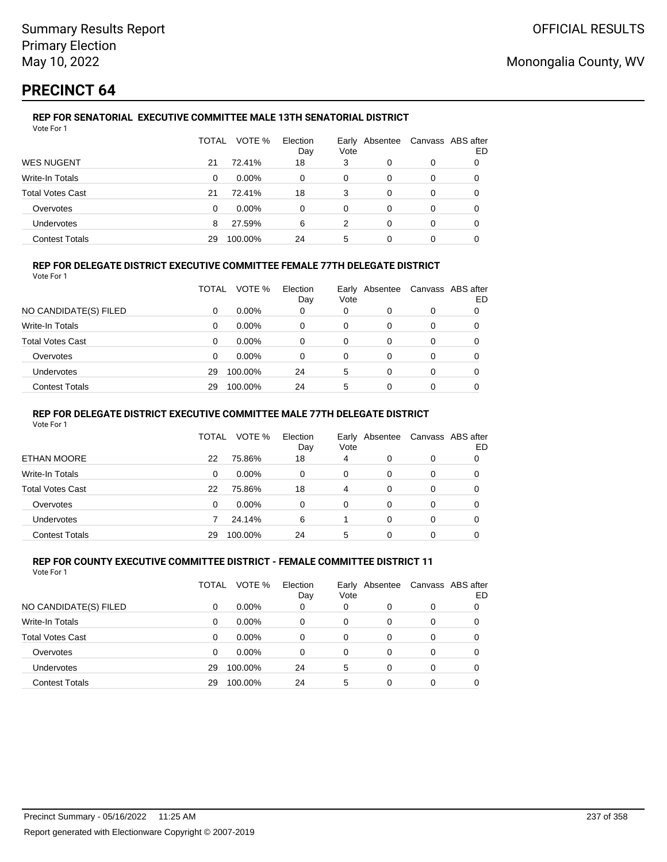# **PRECINCT 64**

#### **REP FOR SENATORIAL EXECUTIVE COMMITTEE MALE 13TH SENATORIAL DISTRICT** Vote For 1

|                         | TOTAL | VOTE %   | Election<br>Day | Vote | Early Absentee |   | Canvass ABS after<br>ED |
|-------------------------|-------|----------|-----------------|------|----------------|---|-------------------------|
| <b>WES NUGENT</b>       | 21    | 72.41%   | 18              | 3    | 0              | 0 |                         |
| Write-In Totals         | 0     | $0.00\%$ | 0               | 0    | 0              | 0 |                         |
| <b>Total Votes Cast</b> | 21    | 72.41%   | 18              | 3    | 0              | 0 |                         |
| Overvotes               | 0     | $0.00\%$ | 0               | 0    | 0              | 0 |                         |
| Undervotes              | 8     | 27.59%   | 6               | 2    | 0              | 0 | 0                       |
| <b>Contest Totals</b>   | 29    | 100.00%  | 24              | 5    | 0              | 0 |                         |

### **REP FOR DELEGATE DISTRICT EXECUTIVE COMMITTEE FEMALE 77TH DELEGATE DISTRICT**

Vote For 1

|                         | TOTAL | VOTE %   | Election<br>Day | Vote | Early Absentee | Canvass ABS after | ED |
|-------------------------|-------|----------|-----------------|------|----------------|-------------------|----|
| NO CANDIDATE(S) FILED   | 0     | $0.00\%$ | 0               | 0    | 0              | 0                 |    |
| Write-In Totals         | 0     | $0.00\%$ | 0               | 0    | O              | 0                 |    |
| <b>Total Votes Cast</b> | 0     | $0.00\%$ | 0               | 0    | 0              | 0                 |    |
| Overvotes               | 0     | $0.00\%$ | 0               | 0    | 0              | 0                 |    |
| <b>Undervotes</b>       | 29    | 100.00%  | 24              | 5    | 0              | 0                 |    |
| <b>Contest Totals</b>   | 29    | 100.00%  | 24              | 5    |                | 0                 |    |

### **REP FOR DELEGATE DISTRICT EXECUTIVE COMMITTEE MALE 77TH DELEGATE DISTRICT**

Vote For 1

|                       | TOTAL | VOTE %   | Election<br>Day | Vote | Early Absentee |   | Canvass ABS after<br>ED |
|-----------------------|-------|----------|-----------------|------|----------------|---|-------------------------|
| ETHAN MOORE           | 22    | 75.86%   | 18              | 4    |                | 0 |                         |
| Write-In Totals       | 0     | $0.00\%$ | 0               | 0    | 0              | 0 | 0                       |
| Total Votes Cast      | 22    | 75.86%   | 18              | 4    | 0              | 0 | 0                       |
| Overvotes             | 0     | $0.00\%$ | $\Omega$        | 0    | 0              | 0 | 0                       |
| Undervotes            |       | 24.14%   | 6               |      | $\Omega$       | 0 | 0                       |
| <b>Contest Totals</b> | 29    | 100.00%  | 24              | 5    |                |   |                         |

#### **REP FOR COUNTY EXECUTIVE COMMITTEE DISTRICT - FEMALE COMMITTEE DISTRICT 11** Vote For 1

|                         | TOTAL    | VOTE %   | Election<br>Day | Vote     | Early Absentee |   | Canvass ABS after<br>ED |
|-------------------------|----------|----------|-----------------|----------|----------------|---|-------------------------|
| NO CANDIDATE(S) FILED   | 0        | $0.00\%$ | 0               | 0        | 0              | 0 |                         |
| Write-In Totals         | 0        | $0.00\%$ | $\Omega$        | 0        | 0              | 0 |                         |
| <b>Total Votes Cast</b> | $\Omega$ | $0.00\%$ | 0               | 0        | $\Omega$       | 0 | 0                       |
| Overvotes               | 0        | $0.00\%$ | 0               | $\Omega$ | $\Omega$       | 0 | 0                       |
| Undervotes              | 29       | 100.00%  | 24              | 5        | $\Omega$       | 0 | 0                       |
| <b>Contest Totals</b>   | 29       | 100.00%  | 24              | 5        | 0              | 0 |                         |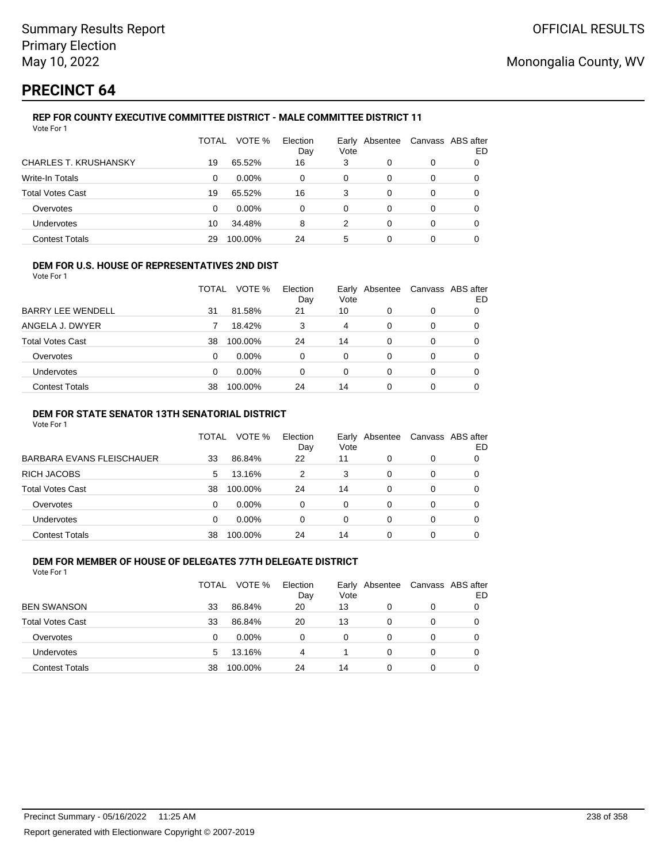# **PRECINCT 64**

Vote For 1

## **REP FOR COUNTY EXECUTIVE COMMITTEE DISTRICT - MALE COMMITTEE DISTRICT 11**

|                              | TOTAL | VOTE %   | Election<br>Day | Vote | Early Absentee | Canvass ABS after | ED |
|------------------------------|-------|----------|-----------------|------|----------------|-------------------|----|
| <b>CHARLES T. KRUSHANSKY</b> | 19    | 65.52%   | 16              | 3    | 0              | 0                 |    |
| Write-In Totals              | 0     | $0.00\%$ | 0               | 0    | 0              | 0                 | 0  |
| <b>Total Votes Cast</b>      | 19    | 65.52%   | 16              | 3    | 0              | 0                 | 0  |
| Overvotes                    | 0     | $0.00\%$ | 0               | 0    | 0              | 0                 | 0  |
| Undervotes                   | 10    | 34.48%   | 8               | 2    | 0              | 0                 |    |
| <b>Contest Totals</b>        | 29    | 100.00%  | 24              | 5    | 0              | 0                 |    |

### **DEM FOR U.S. HOUSE OF REPRESENTATIVES 2ND DIST**

Vote For 1

|                          | TOTAL | VOTE %   | Election<br>Day | Vote | Early Absentee | Canvass ABS after | ED |
|--------------------------|-------|----------|-----------------|------|----------------|-------------------|----|
| <b>BARRY LEE WENDELL</b> | 31    | 81.58%   | 21              | 10   |                | 0                 |    |
| ANGELA J. DWYER          |       | 18.42%   |                 | 4    | 0              | 0                 |    |
| Total Votes Cast         | 38    | 100.00%  | 24              | 14   | 0              | 0                 |    |
| Overvotes                | 0     | 0.00%    | 0               | 0    | 0              | 0                 |    |
| Undervotes               | 0     | $0.00\%$ | 0               | 0    | 0              | 0                 |    |
| <b>Contest Totals</b>    | 38    | 100.00%  | 24              | 14   | 0              | 0                 |    |

### **DEM FOR STATE SENATOR 13TH SENATORIAL DISTRICT**

Vote For 1

|                           | TOTAL | VOTE %   | Election<br>Day | Vote | Early Absentee |   | Canvass ABS after<br>ED |
|---------------------------|-------|----------|-----------------|------|----------------|---|-------------------------|
| BARBARA EVANS FLEISCHAUER | 33    | 86.84%   | 22              | 11   |                | 0 |                         |
| RICH JACOBS               | 5     | 13.16%   | 2               | 3    | 0              | 0 | 0                       |
| Total Votes Cast          | 38    | 100.00%  | 24              | 14   | 0              | 0 |                         |
| Overvotes                 | 0     | $0.00\%$ | 0               | 0    | 0              | 0 | 0                       |
| <b>Undervotes</b>         | 0     | $0.00\%$ | 0               | 0    | 0              | 0 |                         |
| <b>Contest Totals</b>     | 38    | 100.00%  | 24              | 14   |                | 0 |                         |

#### **DEM FOR MEMBER OF HOUSE OF DELEGATES 77TH DELEGATE DISTRICT** Vote For 1

TOTAL VOTE % Election Day Early Absentee Vote Canvass ABS after ED REN SWANSON 33 86.84% 20 13 0 0 0 0 Total Votes Cast 33 86.84% 20 13 0 0 0 Overvotes 0 0.00% 0 0 0 0 0 Undervotes 5 13.16% 4 1 0 0 0 Contest Totals 38 100.00% 24 14 0 0 0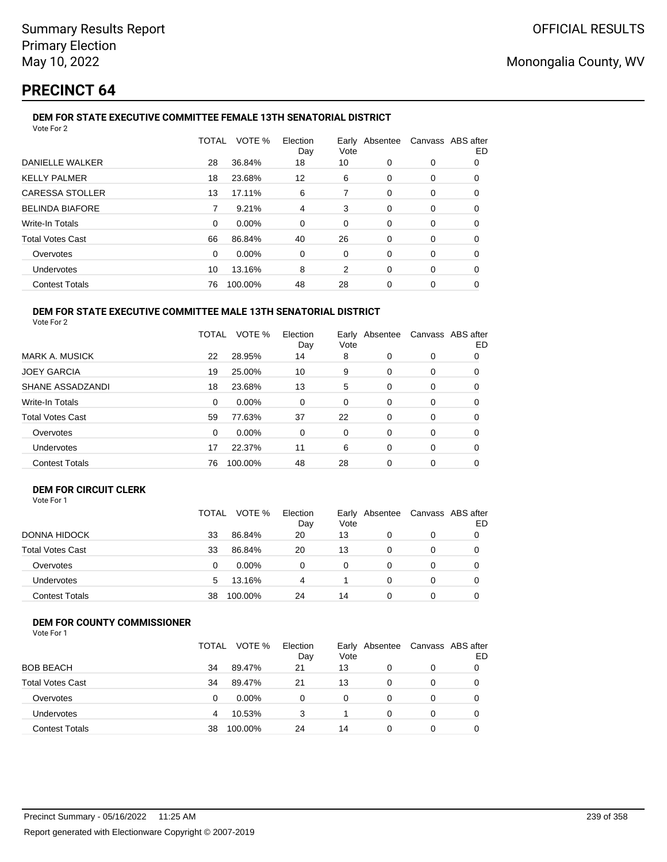# **PRECINCT 64**

#### **DEM FOR STATE EXECUTIVE COMMITTEE FEMALE 13TH SENATORIAL DISTRICT** Vote For 2

|                         | TOTAL    | VOTE %  | Election<br>Day | Vote |          | Early Absentee Canvass ABS after | ED |
|-------------------------|----------|---------|-----------------|------|----------|----------------------------------|----|
| <b>DANIELLE WALKER</b>  | 28       | 36.84%  | 18              | 10   | 0        | 0                                | 0  |
| <b>KELLY PALMER</b>     | 18       | 23.68%  | 12              | 6    | 0        | 0                                | 0  |
| <b>CARESSA STOLLER</b>  | 13       | 17.11%  | 6               | 7    | 0        | 0                                | 0  |
| <b>BELINDA BIAFORE</b>  |          | 9.21%   | 4               | 3    | 0        | 0                                | 0  |
| Write-In Totals         | $\Omega$ | 0.00%   | $\Omega$        | 0    | 0        | 0                                | 0  |
| <b>Total Votes Cast</b> | 66       | 86.84%  | 40              | 26   | 0        | $\Omega$                         | 0  |
| Overvotes               | $\Omega$ | 0.00%   | 0               | 0    | 0        | 0                                | 0  |
| <b>Undervotes</b>       | 10       | 13.16%  | 8               | 2    | $\Omega$ | $\Omega$                         | 0  |
| <b>Contest Totals</b>   | 76       | 100.00% | 48              | 28   | 0        | 0                                | 0  |
|                         |          |         |                 |      |          |                                  |    |

#### **DEM FOR STATE EXECUTIVE COMMITTEE MALE 13TH SENATORIAL DISTRICT** Vote For 2

|                         | TOTAL | VOTE %  | Election<br>Day | Early Absentee<br>Vote |          | Canvass ABS after | ED |
|-------------------------|-------|---------|-----------------|------------------------|----------|-------------------|----|
| <b>MARK A. MUSICK</b>   | 22    | 28.95%  | 14              | 8                      | 0        | 0                 | 0  |
| <b>JOEY GARCIA</b>      | 19    | 25.00%  | 10              | 9                      | 0        | 0                 | 0  |
| SHANE ASSADZANDI        | 18    | 23.68%  | 13              | 5                      | $\Omega$ | 0                 | O  |
| Write-In Totals         | 0     | 0.00%   | $\Omega$        | 0                      | $\Omega$ | 0                 | 0  |
| <b>Total Votes Cast</b> | 59    | 77.63%  | 37              | 22                     | $\Omega$ | 0                 | 0  |
| Overvotes               | 0     | 0.00%   | 0               | 0                      | 0        | 0                 | 0  |
| <b>Undervotes</b>       | 17    | 22.37%  | 11              | 6                      | 0        | 0                 | 0  |
| <b>Contest Totals</b>   | 76    | 100.00% | 48              | 28                     | 0        | 0                 | 0  |

### **DEM FOR CIRCUIT CLERK**

| Vote For 1 |  |
|------------|--|
|------------|--|

|                         | TOTAL | VOTE %   | Election<br>Day | Vote | Early Absentee |   | Canvass ABS after<br>ED |
|-------------------------|-------|----------|-----------------|------|----------------|---|-------------------------|
| DONNA HIDOCK            | 33    | 86.84%   | 20              | 13   |                | 0 |                         |
| <b>Total Votes Cast</b> | 33    | 86.84%   | 20              | 13   |                |   |                         |
| Overvotes               | 0     | $0.00\%$ | 0               | 0    |                | 0 |                         |
| Undervotes              | 5     | 13.16%   | 4               |      |                | 0 |                         |
| <b>Contest Totals</b>   | 38    | 100.00%  | 24              | 14   |                |   |                         |

## **DEM FOR COUNTY COMMISSIONER**

|                         | TOTAL | VOTE %   | Election<br>Day | Vote | Early Absentee | Canvass ABS after | ED |
|-------------------------|-------|----------|-----------------|------|----------------|-------------------|----|
| <b>BOB BEACH</b>        | 34    | 89.47%   | 21              | 13   |                | 0                 |    |
| <b>Total Votes Cast</b> | 34    | 89.47%   | 21              | 13   | 0              | 0                 |    |
| Overvotes               | 0     | $0.00\%$ | 0               | 0    | 0              | $\Omega$          |    |
| Undervotes              |       | 10.53%   | 3               |      |                | 0                 |    |
| <b>Contest Totals</b>   | 38    | 100.00%  | 24              | 14   |                | 0                 |    |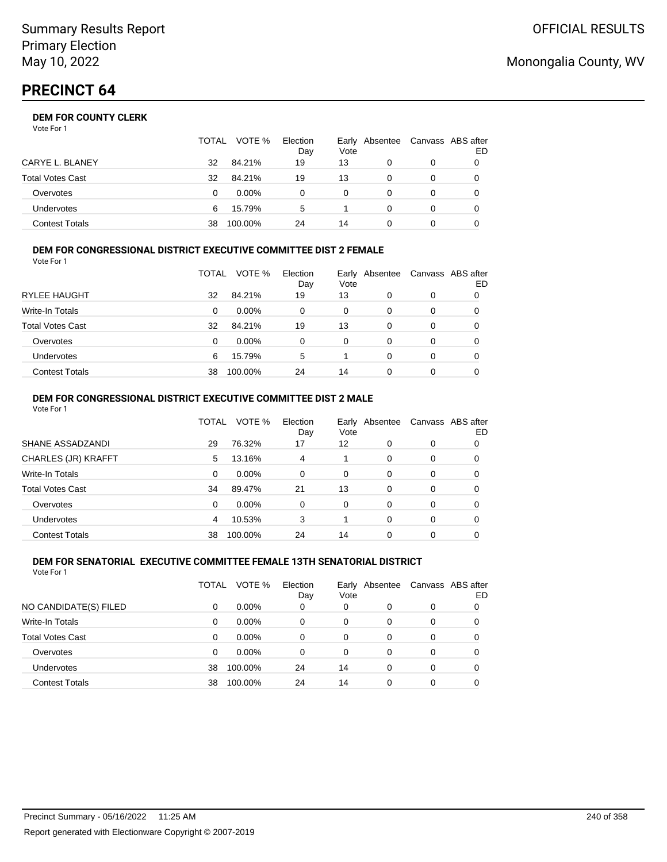# **PRECINCT 64**

## **DEM FOR COUNTY CLERK**

| Vote For 1 |  |
|------------|--|
|------------|--|

|                         | <b>TOTAL</b> | VOTE %   | Election<br>Day | Vote | Early Absentee | Canvass ABS after | ED |
|-------------------------|--------------|----------|-----------------|------|----------------|-------------------|----|
| CARYE L. BLANEY         | 32           | 84.21%   | 19              | 13   |                | 0                 |    |
| <b>Total Votes Cast</b> | 32           | 84.21%   | 19              | 13   |                | 0                 |    |
| Overvotes               | 0            | $0.00\%$ | 0               | 0    |                | 0                 |    |
| <b>Undervotes</b>       | 6            | 15.79%   | 5               |      | 0              | 0                 |    |
| <b>Contest Totals</b>   | 38           | 100.00%  | 24              | 14   |                |                   |    |

#### **DEM FOR CONGRESSIONAL DISTRICT EXECUTIVE COMMITTEE DIST 2 FEMALE** Vote For 1

|                         | TOTAL | VOTE %   | Election<br>Day | Early<br>Vote | Absentee | Canvass ABS after | ED |
|-------------------------|-------|----------|-----------------|---------------|----------|-------------------|----|
| <b>RYLEE HAUGHT</b>     | 32    | 84.21%   | 19              | 13            | 0        | 0                 | 0  |
| Write-In Totals         | 0     | $0.00\%$ | 0               | 0             | 0        | 0                 | O  |
| <b>Total Votes Cast</b> | 32    | 84.21%   | 19              | 13            | 0        | 0                 | O  |
| Overvotes               | 0     | $0.00\%$ | 0               | $\Omega$      | 0        | 0                 |    |
| <b>Undervotes</b>       | 6     | 15.79%   | 5               |               | 0        | 0                 |    |
| <b>Contest Totals</b>   | 38    | 100.00%  | 24              | 14            | 0        | 0                 |    |

#### **DEM FOR CONGRESSIONAL DISTRICT EXECUTIVE COMMITTEE DIST 2 MALE** Vote For 1

|                         | TOTAL | VOTE %   | Election<br>Day | Vote     | Early Absentee |          | Canvass ABS after<br>ED |
|-------------------------|-------|----------|-----------------|----------|----------------|----------|-------------------------|
| SHANE ASSADZANDI        | 29    | 76.32%   | 17              | 12       | 0              | 0        | 0                       |
| CHARLES (JR) KRAFFT     | 5     | 13.16%   | 4               |          | 0              | 0        | 0                       |
| Write-In Totals         | 0     | $0.00\%$ | $\Omega$        | $\Omega$ | $\Omega$       | $\Omega$ | 0                       |
| <b>Total Votes Cast</b> | 34    | 89.47%   | 21              | 13       | 0              | $\Omega$ | 0                       |
| Overvotes               | 0     | 0.00%    | $\Omega$        | $\Omega$ | $\Omega$       | $\Omega$ | 0                       |
| <b>Undervotes</b>       | 4     | 10.53%   | 3               |          | $\Omega$       | $\Omega$ | 0                       |
| <b>Contest Totals</b>   | 38    | 100.00%  | 24              | 14       | 0              | 0        |                         |

#### **DEM FOR SENATORIAL EXECUTIVE COMMITTEE FEMALE 13TH SENATORIAL DISTRICT** Vote For 1

|                         | TOTAL | VOTE %   | Election<br>Day | Vote     | Early Absentee |   | Canvass ABS after<br>ED |
|-------------------------|-------|----------|-----------------|----------|----------------|---|-------------------------|
| NO CANDIDATE(S) FILED   | 0     | $0.00\%$ | 0               | 0        | 0              | 0 |                         |
| Write-In Totals         | 0     | $0.00\%$ | 0               | 0        | 0              | 0 |                         |
| <b>Total Votes Cast</b> | 0     | $0.00\%$ | 0               | 0        | 0              | 0 |                         |
| Overvotes               | 0     | $0.00\%$ | 0               | $\Omega$ | 0              | 0 |                         |
| Undervotes              | 38    | 100.00%  | 24              | 14       | 0              | 0 |                         |
| <b>Contest Totals</b>   | 38    | 100.00%  | 24              | 14       | 0              | 0 |                         |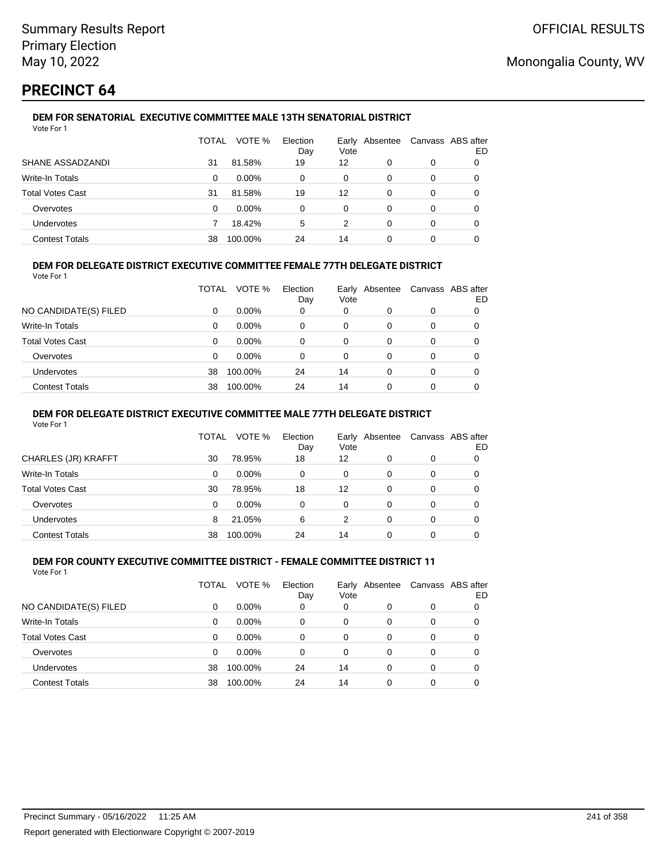# **PRECINCT 64**

#### **DEM FOR SENATORIAL EXECUTIVE COMMITTEE MALE 13TH SENATORIAL DISTRICT** Vote For 1

|                         | TOTAL | VOTE %   | Election<br>Day | Vote | Early Absentee |   | Canvass ABS after<br>ED |
|-------------------------|-------|----------|-----------------|------|----------------|---|-------------------------|
| SHANE ASSADZANDI        | 31    | 81.58%   | 19              | 12   | 0              | 0 |                         |
| Write-In Totals         | 0     | $0.00\%$ | 0               | 0    | 0              | 0 |                         |
| <b>Total Votes Cast</b> | 31    | 81.58%   | 19              | 12   | 0              | 0 |                         |
| Overvotes               | 0     | $0.00\%$ | 0               | 0    | 0              | 0 |                         |
| Undervotes              |       | 18.42%   | 5               | 2    | 0              | 0 |                         |
| <b>Contest Totals</b>   | 38    | 100.00%  | 24              | 14   | 0              | 0 |                         |

## **DEM FOR DELEGATE DISTRICT EXECUTIVE COMMITTEE FEMALE 77TH DELEGATE DISTRICT**

Vote For 1

|                       | TOTAL | VOTE %   | Election<br>Day | Vote | Early Absentee | Canvass ABS after | ED |
|-----------------------|-------|----------|-----------------|------|----------------|-------------------|----|
| NO CANDIDATE(S) FILED | 0     | $0.00\%$ | 0               | 0    | 0              | 0                 |    |
| Write-In Totals       | 0     | $0.00\%$ | 0               | 0    | O              | 0                 |    |
| Total Votes Cast      | 0     | $0.00\%$ | 0               | 0    | 0              | 0                 |    |
| Overvotes             | 0     | $0.00\%$ | 0               | 0    | 0              | 0                 |    |
| Undervotes            | 38    | 100.00%  | 24              | 14   | 0              | 0                 |    |
| <b>Contest Totals</b> | 38    | 100.00%  | 24              | 14   |                | 0                 |    |

### **DEM FOR DELEGATE DISTRICT EXECUTIVE COMMITTEE MALE 77TH DELEGATE DISTRICT**

Vote For 1

|                       | TOTAL | VOTE %   | Election<br>Day | Vote | Early Absentee |   | Canvass ABS after<br>ED |
|-----------------------|-------|----------|-----------------|------|----------------|---|-------------------------|
| CHARLES (JR) KRAFFT   | 30    | 78.95%   | 18              | 12   |                | 0 |                         |
| Write-In Totals       | 0     | $0.00\%$ | 0               | 0    | 0              | 0 | 0                       |
| Total Votes Cast      | 30    | 78.95%   | 18              | 12   | $\Omega$       | 0 | 0                       |
| Overvotes             | 0     | $0.00\%$ | 0               | 0    | 0              | 0 |                         |
| Undervotes            | 8     | 21.05%   | 6               | 2    | 0              | 0 |                         |
| <b>Contest Totals</b> | 38    | 100.00%  | 24              | 14   |                |   |                         |

#### **DEM FOR COUNTY EXECUTIVE COMMITTEE DISTRICT - FEMALE COMMITTEE DISTRICT 11** Vote For 1

|                         | TOTAL | VOTE %   | Election<br>Day | Vote     | Early Absentee |   | Canvass ABS after<br>ED |
|-------------------------|-------|----------|-----------------|----------|----------------|---|-------------------------|
| NO CANDIDATE(S) FILED   | 0     | $0.00\%$ | 0               | 0        | 0              | 0 |                         |
| Write-In Totals         | 0     | $0.00\%$ | 0               | 0        | 0              | 0 |                         |
| <b>Total Votes Cast</b> | 0     | $0.00\%$ | 0               | $\Omega$ | 0              | 0 |                         |
| Overvotes               | 0     | $0.00\%$ | 0               | $\Omega$ | 0              | 0 |                         |
| <b>Undervotes</b>       | 38    | 100.00%  | 24              | 14       | 0              | 0 |                         |
| <b>Contest Totals</b>   | 38    | 100.00%  | 24              | 14       | 0              | 0 |                         |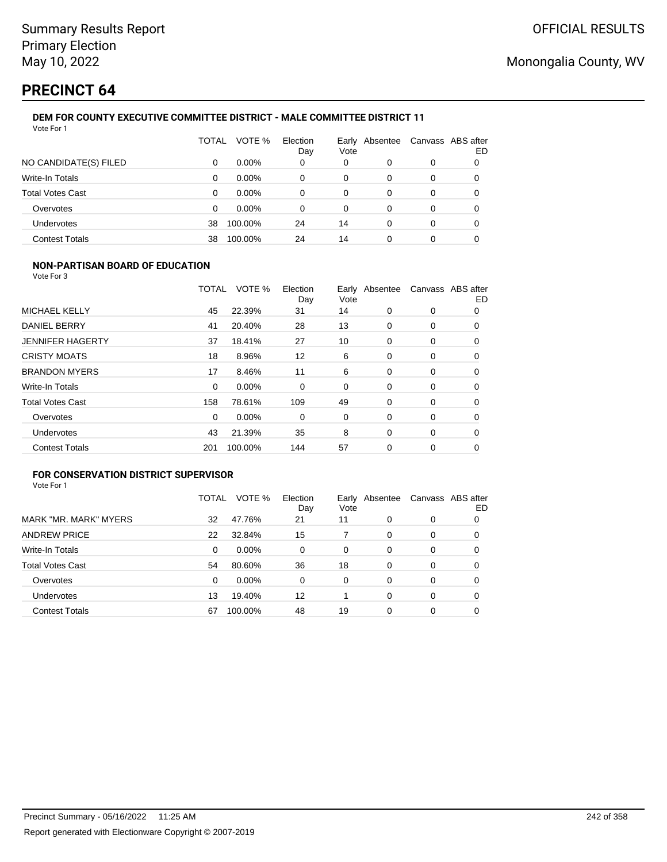# **PRECINCT 64**

#### **DEM FOR COUNTY EXECUTIVE COMMITTEE DISTRICT - MALE COMMITTEE DISTRICT 11** Vote For 1

|                         | TOTAL | VOTE %   | Election<br>Day | Early<br>Vote | Absentee | Canvass ABS after | ED |
|-------------------------|-------|----------|-----------------|---------------|----------|-------------------|----|
| NO CANDIDATE(S) FILED   | 0     | $0.00\%$ | 0               | 0             | 0        | 0                 |    |
| Write-In Totals         | 0     | $0.00\%$ | 0               | 0             | 0        | 0                 |    |
| <b>Total Votes Cast</b> | 0     | $0.00\%$ | 0               | 0             | 0        | 0                 |    |
| Overvotes               | 0     | $0.00\%$ | 0               | 0             | 0        | 0                 |    |
| Undervotes              | 38    | 100.00%  | 24              | 14            | 0        | 0                 | 0  |
| <b>Contest Totals</b>   | 38    | 100.00%  | 24              | 14            | 0        | 0                 |    |

### **NON-PARTISAN BOARD OF EDUCATION**

Vote For 3

|                         | <b>TOTAL</b> | VOTE %  | Election<br>Day | Vote | Early Absentee |   | Canvass ABS after<br>ED |
|-------------------------|--------------|---------|-----------------|------|----------------|---|-------------------------|
| MICHAEL KELLY           | 45           | 22.39%  | 31              | 14   | $\Omega$       | 0 | 0                       |
| <b>DANIEL BERRY</b>     | 41           | 20.40%  | 28              | 13   | 0              | 0 | 0                       |
| <b>JENNIFER HAGERTY</b> | 37           | 18.41%  | 27              | 10   | $\Omega$       | 0 | 0                       |
| <b>CRISTY MOATS</b>     | 18           | 8.96%   | 12              | 6    | 0              | 0 | 0                       |
| <b>BRANDON MYERS</b>    | 17           | 8.46%   | 11              | 6    | $\Omega$       | 0 | 0                       |
| <b>Write-In Totals</b>  | 0            | 0.00%   | 0               | 0    | 0              | 0 | 0                       |
| <b>Total Votes Cast</b> | 158          | 78.61%  | 109             | 49   | 0              | 0 | 0                       |
| Overvotes               | $\Omega$     | 0.00%   | 0               | 0    | 0              | 0 | 0                       |
| Undervotes              | 43           | 21.39%  | 35              | 8    | 0              | 0 | 0                       |
| <b>Contest Totals</b>   | 201          | 100.00% | 144             | 57   | 0              | 0 | 0                       |

## **FOR CONSERVATION DISTRICT SUPERVISOR**

|                         | TOTAL | VOTE %  | Election<br>Day | Vote | Early Absentee |   | Canvass ABS after<br>ED |
|-------------------------|-------|---------|-----------------|------|----------------|---|-------------------------|
| MARK "MR. MARK" MYERS   | 32    | 47.76%  | 21              | 11   | 0              | 0 | 0                       |
| <b>ANDREW PRICE</b>     | 22    | 32.84%  | 15              |      | 0              | 0 | O                       |
| Write-In Totals         | 0     | 0.00%   | $\Omega$        | 0    | 0              | 0 | 0                       |
| <b>Total Votes Cast</b> | 54    | 80.60%  | 36              | 18   | $\Omega$       | 0 | O                       |
| Overvotes               | 0     | 0.00%   | $\Omega$        | 0    | 0              | 0 | 0                       |
| <b>Undervotes</b>       | 13    | 19.40%  | 12              |      | $\Omega$       | 0 | 0                       |
| <b>Contest Totals</b>   | 67    | 100.00% | 48              | 19   | 0              | 0 |                         |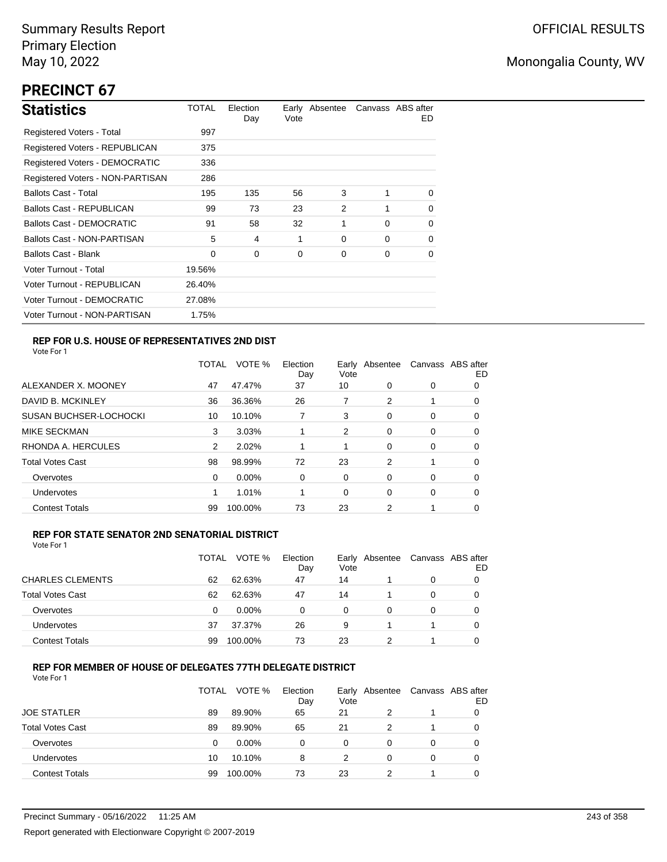# **PRECINCT 67**

| <b>Statistics</b>                     | TOTAL  | Election<br>Day | Vote | Early Absentee |          | Canvass ABS after<br>ED. |
|---------------------------------------|--------|-----------------|------|----------------|----------|--------------------------|
| Registered Voters - Total             | 997    |                 |      |                |          |                          |
| Registered Voters - REPUBLICAN        | 375    |                 |      |                |          |                          |
| <b>Registered Voters - DEMOCRATIC</b> | 336    |                 |      |                |          |                          |
| Registered Voters - NON-PARTISAN      | 286    |                 |      |                |          |                          |
| <b>Ballots Cast - Total</b>           | 195    | 135             | 56   | 3              | 1        | $\Omega$                 |
| <b>Ballots Cast - REPUBLICAN</b>      | 99     | 73              | 23   | 2              |          | 0                        |
| Ballots Cast - DEMOCRATIC             | 91     | 58              | 32   | 1              | $\Omega$ | $\Omega$                 |
| Ballots Cast - NON-PARTISAN           | 5      | 4               | 1    | 0              | $\Omega$ | $\Omega$                 |
| <b>Ballots Cast - Blank</b>           | 0      | 0               | 0    | 0              | 0        | 0                        |
| Voter Turnout - Total                 | 19.56% |                 |      |                |          |                          |
| Voter Turnout - REPUBLICAN            | 26.40% |                 |      |                |          |                          |
| Voter Turnout - DEMOCRATIC            | 27.08% |                 |      |                |          |                          |
| Voter Turnout - NON-PARTISAN          | 1.75%  |                 |      |                |          |                          |

## **REP FOR U.S. HOUSE OF REPRESENTATIVES 2ND DIST**

Vote For 1

|                               | TOTAL | VOTE %   | Election<br>Day | Earlv<br>Vote | Absentee | Canvass ABS after | ED |
|-------------------------------|-------|----------|-----------------|---------------|----------|-------------------|----|
| ALEXANDER X. MOONEY           | 47    | 47.47%   | 37              | 10            | 0        | 0                 | O  |
| DAVID B. MCKINLEY             | 36    | 36.36%   | 26              | 7             | 2        |                   | 0  |
| <b>SUSAN BUCHSER-LOCHOCKI</b> | 10    | 10.10%   |                 | 3             | 0        | 0                 | 0  |
| <b>MIKE SECKMAN</b>           | 3     | 3.03%    |                 | 2             | 0        | 0                 | 0  |
| RHONDA A. HERCULES            | 2     | 2.02%    |                 | 1             | 0        | 0                 | 0  |
| <b>Total Votes Cast</b>       | 98    | 98.99%   | 72              | 23            | 2        |                   | 0  |
| Overvotes                     | 0     | $0.00\%$ | 0               | 0             | 0        | 0                 | 0  |
| Undervotes                    |       | 1.01%    |                 | 0             | 0        | 0                 | 0  |
| <b>Contest Totals</b>         | 99    | 100.00%  | 73              | 23            | 2        |                   | 0  |

### **REP FOR STATE SENATOR 2ND SENATORIAL DISTRICT**

Vote For 1

|                         | TOTAL | VOTE %   | Election<br>Day | Vote | Early Absentee | Canvass ABS after | ED |
|-------------------------|-------|----------|-----------------|------|----------------|-------------------|----|
| <b>CHARLES CLEMENTS</b> | 62    | 62.63%   | 47              | 14   |                | 0                 |    |
| <b>Total Votes Cast</b> | 62    | 62.63%   | 47              | 14   |                | 0                 |    |
| Overvotes               | 0     | $0.00\%$ | 0               | 0    | 0              | 0                 |    |
| Undervotes              | 37    | 37.37%   | 26              | 9    |                |                   | 0  |
| <b>Contest Totals</b>   | 99    | 100.00%  | 73              | 23   |                |                   |    |

### **REP FOR MEMBER OF HOUSE OF DELEGATES 77TH DELEGATE DISTRICT**

|                         | TOTAL | VOTE %   | Election<br>Day | Vote | Early Absentee | Canvass ABS after | ED |
|-------------------------|-------|----------|-----------------|------|----------------|-------------------|----|
| <b>JOE STATLER</b>      | 89    | 89.90%   | 65              | 21   | 2              |                   |    |
| <b>Total Votes Cast</b> | 89    | 89.90%   | 65              | 21   | 2              |                   | O  |
| Overvotes               | 0     | $0.00\%$ | 0               | 0    | 0              | 0                 |    |
| <b>Undervotes</b>       | 10    | 10.10%   | 8               | 2    | 0              | $\Omega$          |    |
| <b>Contest Totals</b>   | 99    | 100.00%  | 73              | 23   |                |                   |    |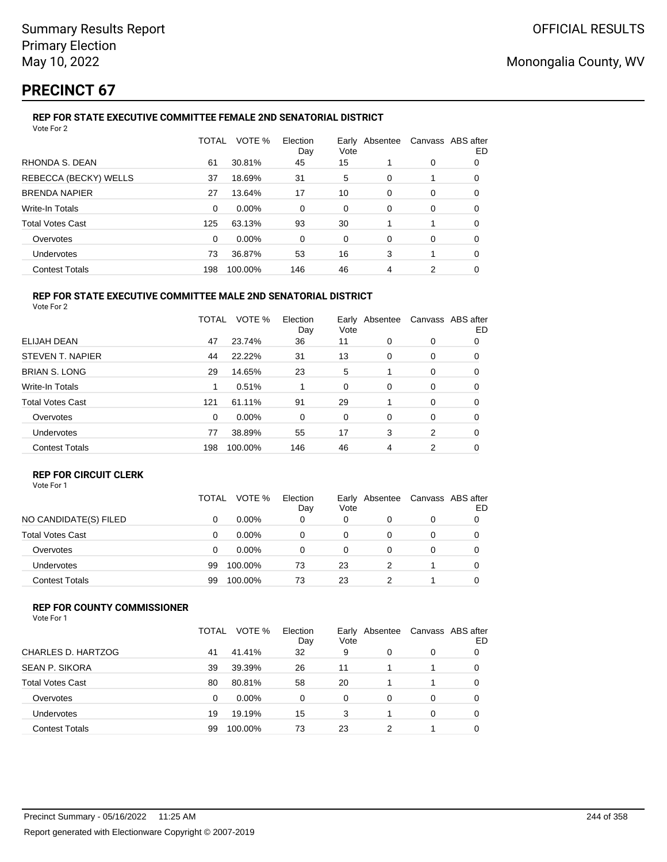# **PRECINCT 67**

## **REP FOR STATE EXECUTIVE COMMITTEE FEMALE 2ND SENATORIAL DISTRICT**

|          | VOTE %  | Election<br>Day | Vote |   |                | ED                |
|----------|---------|-----------------|------|---|----------------|-------------------|
| 61       | 30.81%  | 45              | 15   |   | 0              | 0                 |
| 37       | 18.69%  | 31              | 5    | 0 |                | 0                 |
| 27       | 13.64%  | 17              | 10   | 0 | 0              | 0                 |
| $\Omega$ | 0.00%   | 0               | 0    | 0 | 0              | 0                 |
| 125      | 63.13%  | 93              | 30   |   |                | 0                 |
| $\Omega$ | 0.00%   | 0               | 0    | 0 | 0              | 0                 |
| 73       | 36.87%  | 53              | 16   | 3 | 1              | 0                 |
| 198      | 100.00% | 146             | 46   | 4 | 2              | 0                 |
|          |         | <b>TOTAL</b>    |      |   | Early Absentee | Canvass ABS after |

#### **REP FOR STATE EXECUTIVE COMMITTEE MALE 2ND SENATORIAL DISTRICT** Vote For 2

|                         | TOTAL | VOTE %   | Election<br>Day | Earlv<br>Vote | Absentee |          | Canvass ABS after<br>ED |
|-------------------------|-------|----------|-----------------|---------------|----------|----------|-------------------------|
| <b>ELIJAH DEAN</b>      | 47    | 23.74%   | 36              | 11            | $\Omega$ | 0        | 0                       |
| STEVEN T. NAPIER        | 44    | 22.22%   | 31              | 13            | 0        | 0        | 0                       |
| <b>BRIAN S. LONG</b>    | 29    | 14.65%   | 23              | 5             |          | 0        | 0                       |
| <b>Write-In Totals</b>  | 1     | 0.51%    |                 | 0             | 0        | 0        | 0                       |
| <b>Total Votes Cast</b> | 121   | 61.11%   | 91              | 29            |          | $\Omega$ | 0                       |
| Overvotes               | 0     | $0.00\%$ | 0               | 0             | $\Omega$ | 0        | 0                       |
| <b>Undervotes</b>       | 77    | 38.89%   | 55              | 17            | 3        | 2        | 0                       |
| <b>Contest Totals</b>   | 198   | 100.00%  | 146             | 46            | 4        | 2        | 0                       |

## **REP FOR CIRCUIT CLERK**

|                         | TOTAL | VOTE %   | Election<br>Day | Early<br>Vote | Absentee | Canvass ABS after | ED |
|-------------------------|-------|----------|-----------------|---------------|----------|-------------------|----|
| NO CANDIDATE(S) FILED   | 0     | $0.00\%$ | 0               | 0             |          | 0                 |    |
| <b>Total Votes Cast</b> | 0     | $0.00\%$ | 0               | 0             |          | 0                 |    |
| Overvotes               | 0     | $0.00\%$ | 0               | 0             |          | 0                 |    |
| Undervotes              | 99    | 100.00%  | 73              | 23            |          |                   |    |
| <b>Contest Totals</b>   | 99    | 100.00%  | 73              | 23            |          |                   |    |

### **REP FOR COUNTY COMMISSIONER**

|                         | TOTAL | VOTE %   | Election<br>Day | Early<br>Vote | Absentee |   | Canvass ABS after<br>ED |
|-------------------------|-------|----------|-----------------|---------------|----------|---|-------------------------|
| CHARLES D. HARTZOG      | 41    | 41.41%   | 32              | 9             | 0        | 0 |                         |
| <b>SEAN P. SIKORA</b>   | 39    | 39.39%   | 26              | 11            |          | 1 | 0                       |
| <b>Total Votes Cast</b> | 80    | 80.81%   | 58              | 20            |          |   | 0                       |
| Overvotes               | 0     | $0.00\%$ | 0               | 0             | 0        | 0 | O                       |
| Undervotes              | 19    | 19.19%   | 15              | 3             |          | 0 |                         |
| <b>Contest Totals</b>   | 99    | 100.00%  | 73              | 23            |          |   |                         |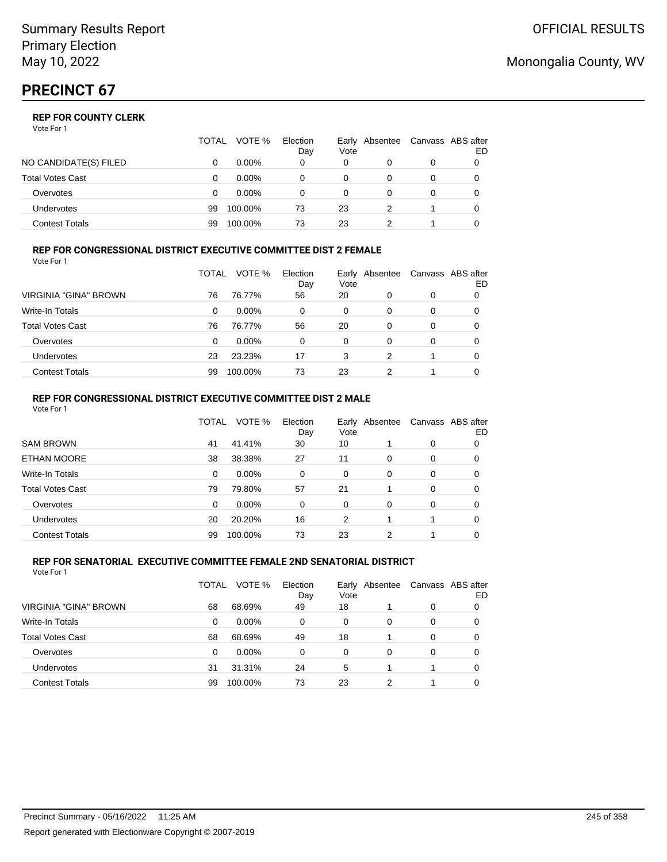Vote For 1

|                       | TOTAL | VOTE %   | Election<br>Day | Vote | Early Absentee | Canvass ABS after | ED |
|-----------------------|-------|----------|-----------------|------|----------------|-------------------|----|
| NO CANDIDATE(S) FILED |       | $0.00\%$ | 0               | 0    |                | 0                 |    |
| Total Votes Cast      |       | $0.00\%$ |                 | 0    |                | 0                 |    |
| Overvotes             |       | $0.00\%$ |                 | 0    |                | 0                 |    |
| Undervotes            | 99    | 100.00%  | 73              | 23   |                |                   |    |
| Contest Totals        | 99    | 100.00%  | 73              | 23   |                |                   |    |

### **REP FOR CONGRESSIONAL DISTRICT EXECUTIVE COMMITTEE DIST 2 FEMALE**

| Vote For 1              |       |          |                 |      |                |   |                         |
|-------------------------|-------|----------|-----------------|------|----------------|---|-------------------------|
|                         | TOTAL | VOTE %   | Election<br>Day | Vote | Early Absentee |   | Canvass ABS after<br>ED |
| VIRGINIA "GINA" BROWN   | 76    | 76.77%   | 56              | 20   | 0              | 0 | O                       |
| Write-In Totals         | 0     | $0.00\%$ | 0               | 0    | 0              | 0 | 0                       |
| <b>Total Votes Cast</b> | 76    | 76.77%   | 56              | 20   | 0              | 0 | O                       |
| Overvotes               | 0     | $0.00\%$ | 0               | 0    | $\Omega$       | 0 | 0                       |
| Undervotes              | 23    | 23.23%   | 17              | 3    | 2              |   | O                       |
| <b>Contest Totals</b>   | 99    | 100.00%  | 73              | 23   | າ              |   |                         |

#### **REP FOR CONGRESSIONAL DISTRICT EXECUTIVE COMMITTEE DIST 2 MALE** Vote For 1

|                         | TOTAL    | VOTE %   | Election<br>Day | Early<br>Vote | Absentee |          | Canvass ABS after<br>ED |
|-------------------------|----------|----------|-----------------|---------------|----------|----------|-------------------------|
| <b>SAM BROWN</b>        | 41       | 41.41%   | 30              | 10            |          | 0        | 0                       |
| ETHAN MOORE             | 38       | 38.38%   | 27              | 11            | $\Omega$ | $\Omega$ | 0                       |
| Write-In Totals         | $\Omega$ | $0.00\%$ | $\Omega$        | $\Omega$      | 0        | 0        | 0                       |
| <b>Total Votes Cast</b> | 79       | 79.80%   | 57              | 21            |          | $\Omega$ | 0                       |
| Overvotes               | $\Omega$ | $0.00\%$ | $\Omega$        | $\Omega$      | 0        | 0        | 0                       |
| Undervotes              | 20       | 20.20%   | 16              | 2             |          |          | 0                       |
| <b>Contest Totals</b>   | 99       | 100.00%  | 73              | 23            | 2        |          | 0                       |

#### **REP FOR SENATORIAL EXECUTIVE COMMITTEE FEMALE 2ND SENATORIAL DISTRICT** Vote For 1

|                         | TOTAL | VOTE %   | Election<br>Day | Vote | Early Absentee |   | Canvass ABS after<br>ED |
|-------------------------|-------|----------|-----------------|------|----------------|---|-------------------------|
| VIRGINIA "GINA" BROWN   | 68    | 68.69%   | 49              | 18   |                | 0 |                         |
| <b>Write-In Totals</b>  | 0     | $0.00\%$ | 0               | 0    | 0              | 0 |                         |
| <b>Total Votes Cast</b> | 68    | 68.69%   | 49              | 18   |                | 0 | 0                       |
| Overvotes               | 0     | $0.00\%$ | 0               | 0    | 0              | 0 | 0                       |
| Undervotes              | 31    | 31.31%   | 24              | 5    |                |   | 0                       |
| <b>Contest Totals</b>   | 99    | 100.00%  | 73              | 23   |                |   |                         |

## Monongalia County, WV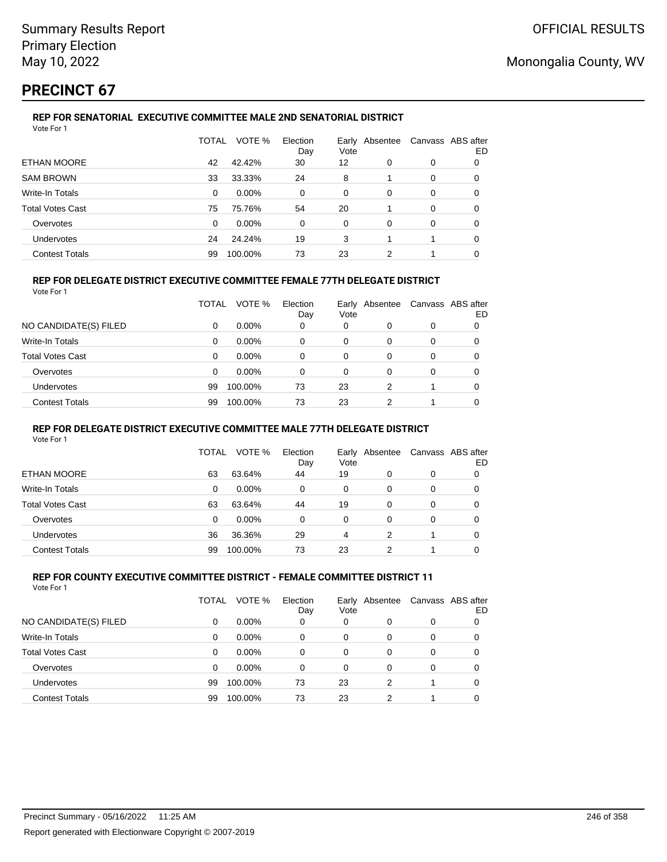# **PRECINCT 67**

#### **REP FOR SENATORIAL EXECUTIVE COMMITTEE MALE 2ND SENATORIAL DISTRICT** Vote For 1

|                         | TOTAL    | VOTE %   | Election<br>Day | Vote | Early Absentee | Canvass ABS after | ED |
|-------------------------|----------|----------|-----------------|------|----------------|-------------------|----|
| ETHAN MOORE             | 42       | 42.42%   | 30              | 12   | 0              | 0                 | 0  |
| <b>SAM BROWN</b>        | 33       | 33.33%   | 24              | 8    |                | 0                 | 0  |
| Write-In Totals         | 0        | $0.00\%$ | $\Omega$        | 0    | $\Omega$       | 0                 | 0  |
| <b>Total Votes Cast</b> | 75       | 75.76%   | 54              | 20   |                | 0                 | 0  |
| Overvotes               | $\Omega$ | 0.00%    | $\Omega$        | 0    | $\Omega$       | 0                 | 0  |
| <b>Undervotes</b>       | 24       | 24.24%   | 19              | 3    |                |                   | 0  |
| <b>Contest Totals</b>   | 99       | 100.00%  | 73              | 23   | 2              |                   | 0  |

### **REP FOR DELEGATE DISTRICT EXECUTIVE COMMITTEE FEMALE 77TH DELEGATE DISTRICT**

|                       | TOTAL    | VOTE %   | Election<br>Day | Earlv<br>Vote | Absentee |          | Canvass ABS after<br>ED |
|-----------------------|----------|----------|-----------------|---------------|----------|----------|-------------------------|
| NO CANDIDATE(S) FILED | 0        | $0.00\%$ | 0               | 0             |          | 0        |                         |
| Write-In Totals       | $\Omega$ | $0.00\%$ | 0               | 0             | $\Omega$ | $\Omega$ | 0                       |
| Total Votes Cast      | 0        | $0.00\%$ | 0               | 0             |          | 0        | 0                       |
| Overvotes             | 0        | $0.00\%$ | 0               | 0             | 0        | 0        | 0                       |
| <b>Undervotes</b>     | 99       | 100.00%  | 73              | 23            | 2        |          | 0                       |
| <b>Contest Totals</b> | 99       | 100.00%  | 73              | 23            | 2        |          | 0                       |
|                       |          |          |                 |               |          |          |                         |

### **REP FOR DELEGATE DISTRICT EXECUTIVE COMMITTEE MALE 77TH DELEGATE DISTRICT**

Vote For 1

|                       | TOTAL | VOTE %   | Election<br>Day | Vote | Early Absentee | Canvass ABS after | ED |
|-----------------------|-------|----------|-----------------|------|----------------|-------------------|----|
| ETHAN MOORE           | 63    | 63.64%   | 44              | 19   | 0              | 0                 | 0  |
| Write-In Totals       | 0     | $0.00\%$ | 0               | 0    | 0              | 0                 | 0  |
| Total Votes Cast      | 63    | 63.64%   | 44              | 19   | 0              | 0                 |    |
| Overvotes             | 0     | $0.00\%$ | 0               | 0    | 0              | 0                 |    |
| Undervotes            | 36    | 36.36%   | 29              | 4    | 2              |                   |    |
| <b>Contest Totals</b> | 99    | 100.00%  | 73              | 23   |                |                   |    |

#### **REP FOR COUNTY EXECUTIVE COMMITTEE DISTRICT - FEMALE COMMITTEE DISTRICT 11** Vote For 1

|                         | TOTAL | VOTE %   | Election<br>Day | Vote | Early Absentee | Canvass ABS after | ED |
|-------------------------|-------|----------|-----------------|------|----------------|-------------------|----|
| NO CANDIDATE(S) FILED   | 0     | $0.00\%$ | 0               | 0    | 0              | 0                 |    |
| Write-In Totals         | 0     | 0.00%    | 0               | 0    | 0              | 0                 | 0  |
| <b>Total Votes Cast</b> | 0     | $0.00\%$ | 0               | 0    | 0              | 0                 | 0  |
| Overvotes               | 0     | 0.00%    | 0               | 0    | 0              | 0                 | 0  |
| Undervotes              | 99    | 100.00%  | 73              | 23   | 2              |                   | 0  |
| <b>Contest Totals</b>   | 99    | 100.00%  | 73              | 23   | 2              | 1                 |    |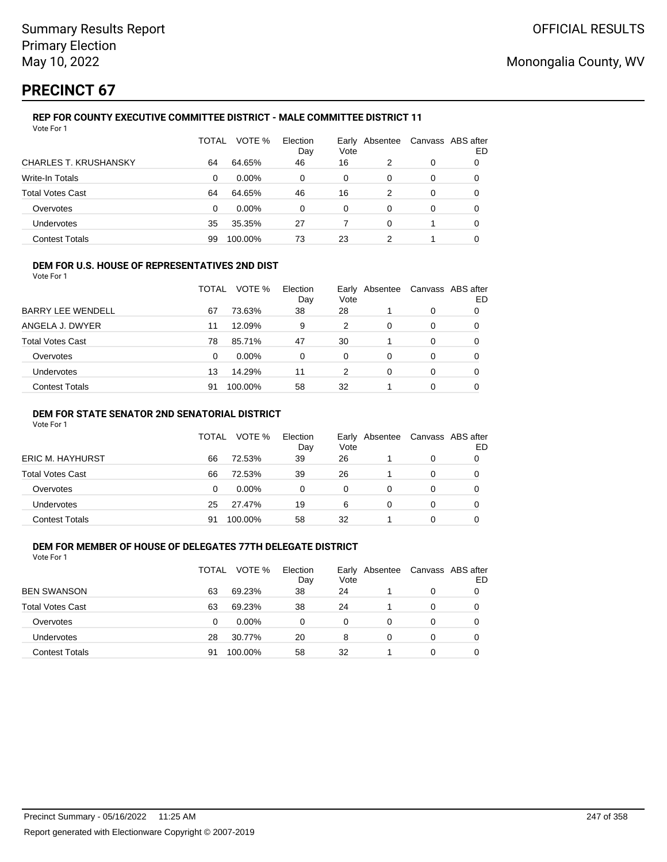# **PRECINCT 67**

#### **REP FOR COUNTY EXECUTIVE COMMITTEE DISTRICT - MALE COMMITTEE DISTRICT 11** Vote For 1

|                              | TOTAL | VOTE %   | Election<br>Day | Vote | Early Absentee | Canvass ABS after | ED |
|------------------------------|-------|----------|-----------------|------|----------------|-------------------|----|
| <b>CHARLES T. KRUSHANSKY</b> | 64    | 64.65%   | 46              | 16   | 2              | 0                 | 0  |
| Write-In Totals              | 0     | $0.00\%$ | 0               | 0    | 0              | 0                 | 0  |
| <b>Total Votes Cast</b>      | 64    | 64.65%   | 46              | 16   | 2              | 0                 | 0  |
| Overvotes                    | 0     | $0.00\%$ | 0               | 0    | 0              | 0                 | 0  |
| Undervotes                   | 35    | 35.35%   | 27              |      | $\Omega$       |                   | 0  |
| <b>Contest Totals</b>        | 99    | 100.00%  | 73              | 23   |                |                   |    |

### **DEM FOR U.S. HOUSE OF REPRESENTATIVES 2ND DIST**

Vote For 1

|                          | TOTAL | VOTE %   | Election<br>Day | Vote | Early Absentee | Canvass ABS after | ED |
|--------------------------|-------|----------|-----------------|------|----------------|-------------------|----|
| <b>BARRY LEE WENDELL</b> | 67    | 73.63%   | 38              | 28   |                | 0                 |    |
| ANGELA J. DWYER          | 11    | 12.09%   | 9               | 2    | 0              | 0                 |    |
| <b>Total Votes Cast</b>  | 78    | 85.71%   | 47              | 30   |                | 0                 |    |
| Overvotes                | 0     | $0.00\%$ | 0               | 0    | 0              | 0                 |    |
| <b>Undervotes</b>        | 13    | 14.29%   | 11              | 2    | 0              | 0                 |    |
| <b>Contest Totals</b>    | 91    | 100.00%  | 58              | 32   |                | ი                 |    |

### **DEM FOR STATE SENATOR 2ND SENATORIAL DISTRICT**

Vote For 1

|                         | <b>TOTAL</b> | VOTE %   | Election<br>Day | Vote | Early Absentee |   | Canvass ABS after<br>ED |
|-------------------------|--------------|----------|-----------------|------|----------------|---|-------------------------|
| <b>ERIC M. HAYHURST</b> | 66           | 72.53%   | 39              | 26   |                | 0 |                         |
| Total Votes Cast        | 66           | 72.53%   | 39              | 26   |                | 0 |                         |
| Overvotes               | 0            | $0.00\%$ | 0               | 0    |                |   |                         |
| Undervotes              | 25           | 27.47%   | 19              | 6    |                | 0 |                         |
| <b>Contest Totals</b>   | 91           | 100.00%  | 58              | 32   |                |   |                         |

#### **DEM FOR MEMBER OF HOUSE OF DELEGATES 77TH DELEGATE DISTRICT** Vote For 1

|                         | <b>TOTAL</b> | VOTE %   | Election<br>Day | Early Absentee<br>Vote |   | Canvass ABS after<br>ED |
|-------------------------|--------------|----------|-----------------|------------------------|---|-------------------------|
| <b>BEN SWANSON</b>      | 63           | 69.23%   | 38              | 24                     | 0 |                         |
| <b>Total Votes Cast</b> | 63           | 69.23%   | 38              | 24                     | 0 |                         |
| Overvotes               | 0            | $0.00\%$ | 0               | 0                      | 0 |                         |
| <b>Undervotes</b>       | 28           | 30.77%   | 20              | 8                      | 0 |                         |
| <b>Contest Totals</b>   | 91           | 100.00%  | 58              | 32                     | o |                         |
|                         |              |          |                 |                        |   |                         |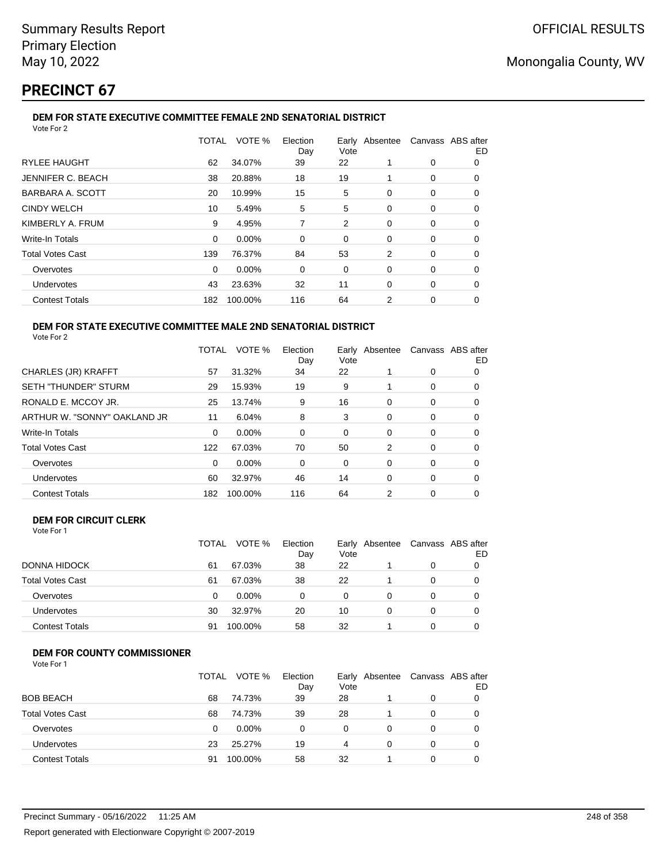# **PRECINCT 67**

### **DEM FOR STATE EXECUTIVE COMMITTEE FEMALE 2ND SENATORIAL DISTRICT**

|     | VOTE %   | Election<br>Day | Vote |   |   | Canvass ABS after<br>ED |
|-----|----------|-----------------|------|---|---|-------------------------|
| 62  | 34.07%   | 39              | 22   | 1 | 0 | 0                       |
| 38  | 20.88%   | 18              | 19   |   | 0 | 0                       |
| 20  | 10.99%   | 15              | 5    | 0 | 0 | 0                       |
| 10  | 5.49%    | 5               | 5    | 0 | 0 | 0                       |
| 9   | 4.95%    | 7               | 2    | 0 | 0 | 0                       |
| 0   | 0.00%    | 0               | 0    | 0 | 0 | 0                       |
| 139 | 76.37%   | 84              | 53   | 2 | 0 | 0                       |
| 0   | $0.00\%$ | 0               | 0    | 0 | 0 | 0                       |
| 43  | 23.63%   | 32              | 11   | 0 | 0 | 0                       |
| 182 | 100.00%  | 116             | 64   | 2 | 0 | 0                       |
|     |          | TOTAL           |      |   |   | Early Absentee          |

#### **DEM FOR STATE EXECUTIVE COMMITTEE MALE 2ND SENATORIAL DISTRICT** Vote For 2

|                              | TOTAL | VOTE %   | Election<br>Day | Vote | Early Absentee | Canvass ABS after | ED |
|------------------------------|-------|----------|-----------------|------|----------------|-------------------|----|
| <b>CHARLES (JR) KRAFFT</b>   | 57    | 31.32%   | 34              | 22   |                | 0                 | 0  |
| <b>SETH "THUNDER" STURM</b>  | 29    | 15.93%   | 19              | 9    |                | 0                 | 0  |
| RONALD E. MCCOY JR.          | 25    | 13.74%   | 9               | 16   | $\Omega$       | 0                 | 0  |
| ARTHUR W. "SONNY" OAKLAND JR | 11    | 6.04%    | 8               | 3    | 0              | 0                 | 0  |
| <b>Write-In Totals</b>       | 0     | $0.00\%$ | 0               | 0    | $\Omega$       | 0                 | O  |
| <b>Total Votes Cast</b>      | 122   | 67.03%   | 70              | 50   | 2              | 0                 | 0  |
| Overvotes                    | 0     | $0.00\%$ | 0               | 0    | 0              | 0                 | 0  |
| Undervotes                   | 60    | 32.97%   | 46              | 14   | $\Omega$       | 0                 | 0  |
| <b>Contest Totals</b>        | 182   | 100.00%  | 116             | 64   | 2              | 0                 | 0  |

### **DEM FOR CIRCUIT CLERK**

| Vote For 1              |              |         |                 |      |                                |   |   |
|-------------------------|--------------|---------|-----------------|------|--------------------------------|---|---|
|                         | <b>TOTAL</b> | VOTE %  | Election<br>Day | Vote | Early Absentee Canvass ABS aft |   |   |
| DONNA HIDOCK            | 61           | 67.03%  | 38              | 22   |                                | 0 | 0 |
| <b>Total Votes Cast</b> | 61           | 67.03%  | 38              | 22   |                                | 0 | 0 |
| Overvotes               | 0            | 0.00%   | 0               | 0    |                                |   | 0 |
| Undervotes              | 30           | 32.97%  | 20              | 10   | 0                              |   | 0 |
| <b>Contest Totals</b>   | 91           | 100.00% | 58              | 32   |                                |   | 0 |

## **DEM FOR COUNTY COMMISSIONER**

|                         | TOTAL | VOTE %   | Election<br>Day | Vote | Early Absentee | Canvass ABS after | ED |
|-------------------------|-------|----------|-----------------|------|----------------|-------------------|----|
| <b>BOB BEACH</b>        | 68    | 74.73%   | 39              | 28   |                | 0                 |    |
| <b>Total Votes Cast</b> | 68    | 74.73%   | 39              | 28   |                | 0                 |    |
| Overvotes               | 0     | $0.00\%$ | 0               | 0    | 0              | 0                 |    |
| Undervotes              | 23    | 25.27%   | 19              | 4    | 0              | 0                 |    |
| <b>Contest Totals</b>   | 91    | 100.00%  | 58              | 32   |                | $\Omega$          |    |

after ED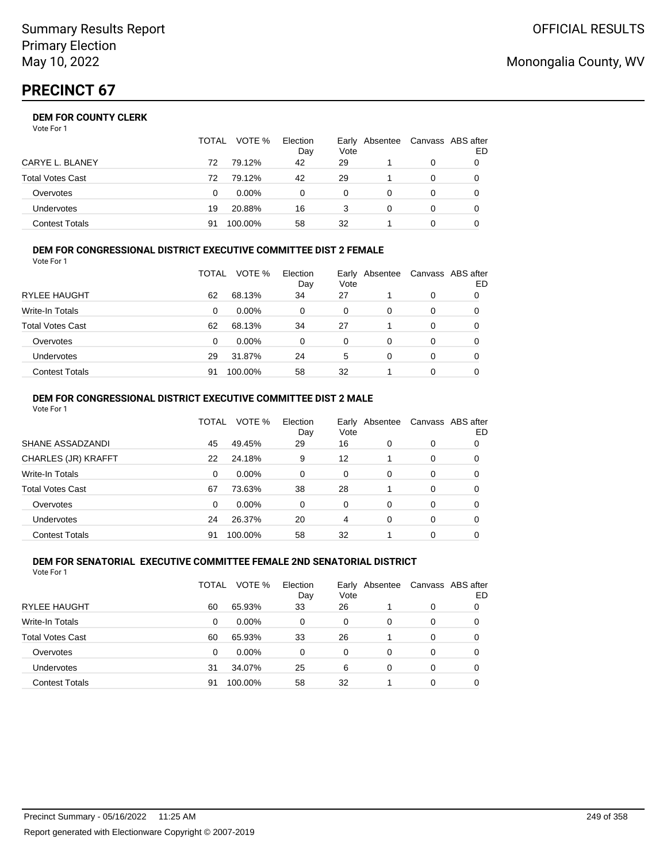Vote For 1

|                       | <b>TOTAL</b> | VOTE %   | Election<br>Day | Vote | Early Absentee | Canvass ABS after | ED |
|-----------------------|--------------|----------|-----------------|------|----------------|-------------------|----|
| CARYE L. BLANEY       | 72           | 79.12%   | 42              | 29   |                | 0                 |    |
| Total Votes Cast      | 72           | 79.12%   | 42              | 29   |                | 0                 |    |
| Overvotes             | 0            | $0.00\%$ | 0               | 0    |                | 0                 |    |
| <b>Undervotes</b>     | 19           | 20.88%   | 16              |      | O              | 0                 |    |
| <b>Contest Totals</b> | 91           | 100.00%  | 58              | 32   |                |                   |    |

#### **DEM FOR CONGRESSIONAL DISTRICT EXECUTIVE COMMITTEE DIST 2 FEMALE** Vote For 1

|                         | TOTAL | VOTE %   | Election<br>Day | Early<br>Vote | Absentee | Canvass ABS after | ED |
|-------------------------|-------|----------|-----------------|---------------|----------|-------------------|----|
| RYLEE HAUGHT            | 62    | 68.13%   | 34              | 27            |          | 0                 |    |
| Write-In Totals         | 0     | $0.00\%$ | 0               | 0             | 0        | 0                 | O  |
| <b>Total Votes Cast</b> | 62    | 68.13%   | 34              | 27            |          | 0                 | 0  |
| Overvotes               | 0     | $0.00\%$ | 0               | 0             | 0        | 0                 |    |
| <b>Undervotes</b>       | 29    | 31.87%   | 24              | 5             | 0        | 0                 | 0  |
| <b>Contest Totals</b>   | 91    | 100.00%  | 58              | 32            |          | 0                 |    |

#### **DEM FOR CONGRESSIONAL DISTRICT EXECUTIVE COMMITTEE DIST 2 MALE** Vote For 1

|                         | TOTAL | VOTE %   | Election<br>Day | Early<br>Vote | Absentee |          | Canvass ABS after<br>ED |
|-------------------------|-------|----------|-----------------|---------------|----------|----------|-------------------------|
| SHANE ASSADZANDI        | 45    | 49.45%   | 29              | 16            | 0        | 0        | 0                       |
| CHARLES (JR) KRAFFT     | 22    | 24.18%   | 9               | 12            |          | $\Omega$ | 0                       |
| <b>Write-In Totals</b>  | 0     | $0.00\%$ | $\Omega$        | $\Omega$      | 0        | 0        | 0                       |
| <b>Total Votes Cast</b> | 67    | 73.63%   | 38              | 28            |          | $\Omega$ | 0                       |
| Overvotes               | 0     | $0.00\%$ | $\Omega$        | $\Omega$      | 0        | 0        | 0                       |
| Undervotes              | 24    | 26.37%   | 20              | 4             | 0        | 0        | 0                       |
| <b>Contest Totals</b>   | 91    | 100.00%  | 58              | 32            |          | 0        | 0                       |

#### **DEM FOR SENATORIAL EXECUTIVE COMMITTEE FEMALE 2ND SENATORIAL DISTRICT** Vote For 1

|                         | TOTAL | VOTE %   | Election<br>Day | Vote | Early Absentee |   | Canvass ABS after<br>ED |
|-------------------------|-------|----------|-----------------|------|----------------|---|-------------------------|
| RYLEE HAUGHT            | 60    | 65.93%   | 33              | 26   |                | 0 | 0                       |
| Write-In Totals         | 0     | 0.00%    | 0               | 0    | 0              | 0 | 0                       |
| <b>Total Votes Cast</b> | 60    | 65.93%   | 33              | 26   |                | 0 | 0                       |
| Overvotes               | 0     | $0.00\%$ | 0               | 0    | 0              | 0 | 0                       |
| Undervotes              | 31    | 34.07%   | 25              | 6    | 0              | 0 | 0                       |
| <b>Contest Totals</b>   | 91    | 100.00%  | 58              | 32   |                | 0 |                         |

## Monongalia County, WV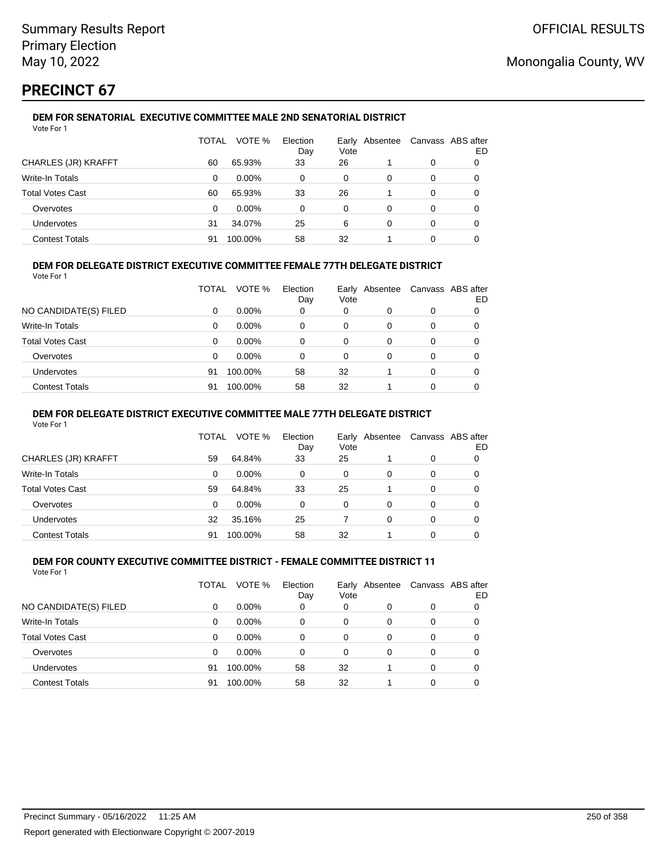# **PRECINCT 67**

#### **DEM FOR SENATORIAL EXECUTIVE COMMITTEE MALE 2ND SENATORIAL DISTRICT** Vote For 1

|                         | TOTAL | VOTE %   | Election<br>Day | Vote | Early Absentee |   | Canvass ABS after<br>ED |
|-------------------------|-------|----------|-----------------|------|----------------|---|-------------------------|
| CHARLES (JR) KRAFFT     | 60    | 65.93%   | 33              | 26   |                | 0 |                         |
| Write-In Totals         | 0     | $0.00\%$ | 0               | 0    | 0              | 0 |                         |
| <b>Total Votes Cast</b> | 60    | 65.93%   | 33              | 26   |                | 0 |                         |
| Overvotes               | 0     | $0.00\%$ | $\Omega$        | 0    | 0              | 0 |                         |
| Undervotes              | 31    | 34.07%   | 25              | 6    | 0              | 0 |                         |
| <b>Contest Totals</b>   | 91    | 100.00%  | 58              | 32   |                | 0 |                         |

## **DEM FOR DELEGATE DISTRICT EXECUTIVE COMMITTEE FEMALE 77TH DELEGATE DISTRICT**

Vote For 1

|                       | TOTAL | VOTE %   | Election<br>Day | Vote | Early Absentee | Canvass ABS after | ED |
|-----------------------|-------|----------|-----------------|------|----------------|-------------------|----|
| NO CANDIDATE(S) FILED | 0     | $0.00\%$ | 0               | 0    | 0              | 0                 |    |
| Write-In Totals       | 0     | $0.00\%$ | 0               | 0    | 0              | 0                 |    |
| Total Votes Cast      | 0     | $0.00\%$ | 0               | 0    | 0              | 0                 |    |
| Overvotes             | 0     | $0.00\%$ | 0               | 0    | 0              | 0                 |    |
| <b>Undervotes</b>     | 91    | 100.00%  | 58              | 32   |                | 0                 |    |
| <b>Contest Totals</b> | 91    | 100.00%  | 58              | 32   |                | 0                 |    |

### **DEM FOR DELEGATE DISTRICT EXECUTIVE COMMITTEE MALE 77TH DELEGATE DISTRICT**

Vote For 1

|                       | TOTAL    | VOTE %   | Election<br>Day | Vote | Early Absentee |   | Canvass ABS after<br>ED |
|-----------------------|----------|----------|-----------------|------|----------------|---|-------------------------|
| CHARLES (JR) KRAFFT   | 59       | 64.84%   | 33              | 25   |                | 0 |                         |
| Write-In Totals       | $\Omega$ | $0.00\%$ | $\Omega$        | 0    | 0              | 0 | 0                       |
| Total Votes Cast      | 59       | 64.84%   | 33              | 25   |                | 0 | 0                       |
| Overvotes             | 0        | $0.00\%$ | 0               | 0    | 0              | 0 |                         |
| <b>Undervotes</b>     | 32       | 35.16%   | 25              |      | 0              | 0 | 0                       |
| <b>Contest Totals</b> | 91       | 100.00%  | 58              | 32   |                |   |                         |

#### **DEM FOR COUNTY EXECUTIVE COMMITTEE DISTRICT - FEMALE COMMITTEE DISTRICT 11** Vote For 1

|                         | TOTAL    | VOTE %   | Election<br>Day | Vote     | Early Absentee |          | Canvass ABS after<br>ED |
|-------------------------|----------|----------|-----------------|----------|----------------|----------|-------------------------|
| NO CANDIDATE(S) FILED   | 0        | $0.00\%$ | 0               | 0        | 0              | 0        |                         |
| Write-In Totals         | 0        | $0.00\%$ | 0               | 0        | $\Omega$       | 0        | 0                       |
| <b>Total Votes Cast</b> | $\Omega$ | $0.00\%$ | $\Omega$        | 0        | 0              | 0        | 0                       |
| Overvotes               | $\Omega$ | $0.00\%$ | 0               | $\Omega$ | 0              | 0        | 0                       |
| Undervotes              | 91       | 100.00%  | 58              | 32       |                | $\Omega$ | 0                       |
| <b>Contest Totals</b>   | 91       | 100.00%  | 58              | 32       |                | 0        |                         |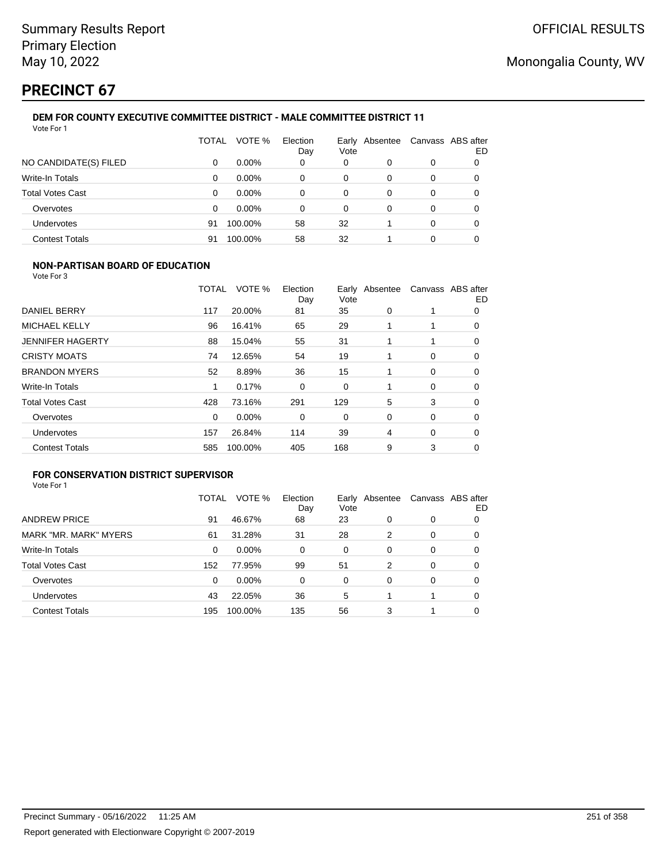# **PRECINCT 67**

#### **DEM FOR COUNTY EXECUTIVE COMMITTEE DISTRICT - MALE COMMITTEE DISTRICT 11** Vote For 1

|                         | TOTAL | VOTE %   | Election<br>Day | Vote | Early Absentee |          | Canvass ABS after<br>ED |
|-------------------------|-------|----------|-----------------|------|----------------|----------|-------------------------|
| NO CANDIDATE(S) FILED   | 0     | $0.00\%$ | 0               | 0    | 0              | 0        | 0                       |
| Write-In Totals         | 0     | $0.00\%$ | 0               | 0    | 0              | 0        | 0                       |
| <b>Total Votes Cast</b> | 0     | $0.00\%$ | 0               | 0    | 0              | 0        | 0                       |
| Overvotes               | 0     | $0.00\%$ | 0               | 0    | 0              | 0        | 0                       |
| Undervotes              | 91    | 100.00%  | 58              | 32   |                | $\Omega$ |                         |
| <b>Contest Totals</b>   | 91    | 100.00%  | 58              | 32   |                | 0        |                         |

### **NON-PARTISAN BOARD OF EDUCATION**

Vote For 3

|                         | TOTAL | VOTE %  | Election<br>Day | Vote | Early Absentee |             | Canvass ABS after<br>ED |
|-------------------------|-------|---------|-----------------|------|----------------|-------------|-------------------------|
| DANIEL BERRY            | 117   | 20.00%  | 81              | 35   | 0              |             | 0                       |
| <b>MICHAEL KELLY</b>    | 96    | 16.41%  | 65              | 29   |                |             | 0                       |
| <b>JENNIFER HAGERTY</b> | 88    | 15.04%  | 55              | 31   |                |             | 0                       |
| <b>CRISTY MOATS</b>     | 74    | 12.65%  | 54              | 19   |                | 0           | $\Omega$                |
| <b>BRANDON MYERS</b>    | 52    | 8.89%   | 36              | 15   |                | $\mathbf 0$ | 0                       |
| Write-In Totals         | 1     | 0.17%   | 0               | 0    |                | 0           | 0                       |
| <b>Total Votes Cast</b> | 428   | 73.16%  | 291             | 129  | 5              | 3           | 0                       |
| Overvotes               | 0     | 0.00%   | 0               | 0    | 0              | 0           | 0                       |
| Undervotes              | 157   | 26.84%  | 114             | 39   | 4              | $\mathbf 0$ | 0                       |
| <b>Contest Totals</b>   | 585   | 100.00% | 405             | 168  | 9              | 3           | 0                       |

## **FOR CONSERVATION DISTRICT SUPERVISOR**

| Vote For 1 |  |
|------------|--|
|------------|--|

|                         | TOTAL | VOTE %  | Election<br>Day | Early<br>Vote | Absentee |   | Canvass ABS after<br>ED |
|-------------------------|-------|---------|-----------------|---------------|----------|---|-------------------------|
| <b>ANDREW PRICE</b>     | 91    | 46.67%  | 68              | 23            | 0        | 0 | O                       |
| MARK "MR. MARK" MYERS   | 61    | 31.28%  | 31              | 28            | 2        | 0 | O                       |
| Write-In Totals         | 0     | 0.00%   | 0               | 0             | $\Omega$ | 0 | 0                       |
| <b>Total Votes Cast</b> | 152   | 77.95%  | 99              | 51            | 2        | 0 | 0                       |
| Overvotes               | 0     | 0.00%   | 0               | 0             | $\Omega$ | 0 | 0                       |
| Undervotes              | 43    | 22.05%  | 36              | 5             |          |   | 0                       |
| <b>Contest Totals</b>   | 195   | 100.00% | 135             | 56            | 3        |   |                         |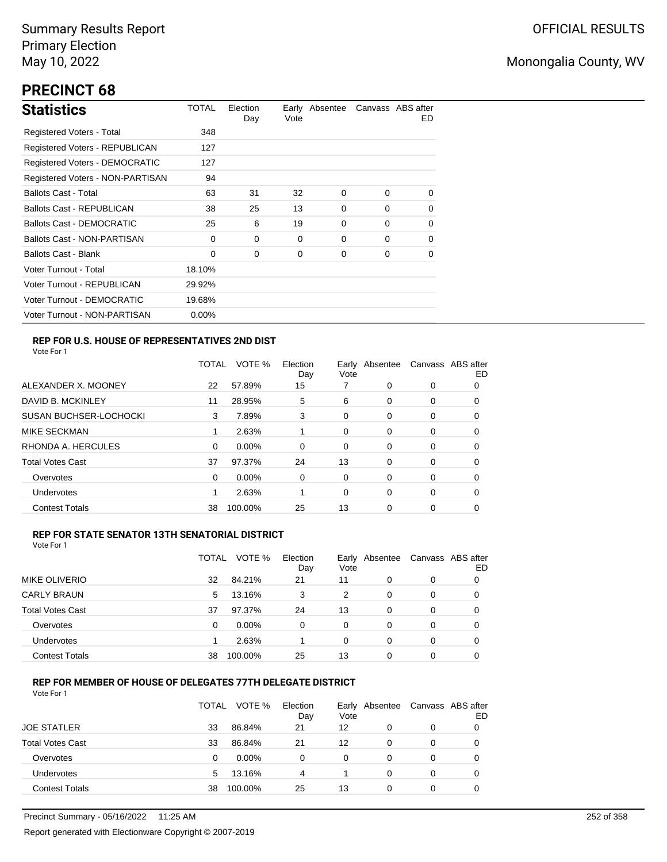# **PRECINCT 68**

| <b>Statistics</b>                | TOTAL    | Election<br>Day | Vote | Early Absentee |          | Canvass ABS after<br>ED. |
|----------------------------------|----------|-----------------|------|----------------|----------|--------------------------|
| Registered Voters - Total        | 348      |                 |      |                |          |                          |
| Registered Voters - REPUBLICAN   | 127      |                 |      |                |          |                          |
| Registered Voters - DEMOCRATIC   | 127      |                 |      |                |          |                          |
| Registered Voters - NON-PARTISAN | 94       |                 |      |                |          |                          |
| <b>Ballots Cast - Total</b>      | 63       | 31              | 32   | 0              | $\Omega$ | $\Omega$                 |
| <b>Ballots Cast - REPUBLICAN</b> | 38       | 25              | 13   | 0              | 0        | $\mathbf 0$              |
| Ballots Cast - DEMOCRATIC        | 25       | 6               | 19   | $\Omega$       | $\Omega$ | 0                        |
| Ballots Cast - NON-PARTISAN      | $\Omega$ | $\Omega$        | 0    | 0              | $\Omega$ | 0                        |
| <b>Ballots Cast - Blank</b>      | $\Omega$ | 0               | 0    | 0              | $\Omega$ | 0                        |
| Voter Turnout - Total            | 18.10%   |                 |      |                |          |                          |
| Voter Turnout - REPUBLICAN       | 29.92%   |                 |      |                |          |                          |
| Voter Turnout - DEMOCRATIC       | 19.68%   |                 |      |                |          |                          |
| Voter Turnout - NON-PARTISAN     | $0.00\%$ |                 |      |                |          |                          |

### **REP FOR U.S. HOUSE OF REPRESENTATIVES 2ND DIST**

Vote For 1

|                               | TOTAL | VOTE %   | Election<br>Day | Earlv<br>Vote | Absentee | Canvass ABS after | ED |
|-------------------------------|-------|----------|-----------------|---------------|----------|-------------------|----|
| ALEXANDER X. MOONEY           | 22    | 57.89%   | 15              |               | 0        | 0                 | 0  |
| DAVID B. MCKINLEY             | 11    | 28.95%   | 5               | 6             | $\Omega$ | 0                 | O  |
| <b>SUSAN BUCHSER-LOCHOCKI</b> | 3     | 7.89%    | 3               | 0             | 0        | 0                 | 0  |
| <b>MIKE SECKMAN</b>           |       | 2.63%    |                 | 0             | $\Omega$ | 0                 | 0  |
| RHONDA A. HERCULES            | 0     | 0.00%    | $\Omega$        | 0             | 0        | 0                 | 0  |
| <b>Total Votes Cast</b>       | 37    | 97.37%   | 24              | 13            | $\Omega$ | 0                 | 0  |
| Overvotes                     | 0     | $0.00\%$ | 0               | 0             | 0        | 0                 | 0  |
| Undervotes                    |       | 2.63%    |                 | 0             | 0        | 0                 | 0  |
| <b>Contest Totals</b>         | 38    | 100.00%  | 25              | 13            | 0        | 0                 | O  |

### **REP FOR STATE SENATOR 13TH SENATORIAL DISTRICT**

| Vote For 1 |  |
|------------|--|
|            |  |

|                         | TOTAL | VOTE %   | Election<br>Day | Early Absentee<br>Vote |          |   | Canvass ABS after<br>ED |
|-------------------------|-------|----------|-----------------|------------------------|----------|---|-------------------------|
| <b>MIKE OLIVERIO</b>    | 32    | 84.21%   | 21              | 11                     | 0        | 0 |                         |
| <b>CARLY BRAUN</b>      | 5     | 13.16%   | 3               | 2                      | 0        | 0 |                         |
| <b>Total Votes Cast</b> | 37    | 97.37%   | 24              | 13                     | 0        | 0 |                         |
| Overvotes               | 0     | $0.00\%$ | 0               | 0                      | 0        | 0 | 0                       |
| Undervotes              |       | 2.63%    |                 | 0                      | 0        | 0 | O                       |
| <b>Contest Totals</b>   | 38    | 100.00%  | 25              | 13                     | $\Omega$ | 0 |                         |

### **REP FOR MEMBER OF HOUSE OF DELEGATES 77TH DELEGATE DISTRICT**

|                         | TOTAL | VOTE %  | Election<br>Day | Vote | Early Absentee | Canvass ABS after | ED |
|-------------------------|-------|---------|-----------------|------|----------------|-------------------|----|
| <b>JOE STATLER</b>      | 33    | 86.84%  | 21              | 12   | 0              | 0                 |    |
| <b>Total Votes Cast</b> | 33    | 86.84%  | 21              | 12   | 0              | 0                 |    |
| Overvotes               | 0     | 0.00%   | 0               | 0    | 0              | 0                 |    |
| Undervotes              | 5     | 13.16%  | 4               |      | 0              | 0                 | 0  |
| <b>Contest Totals</b>   | 38    | 100.00% | 25              | 13   | 0              | 0                 |    |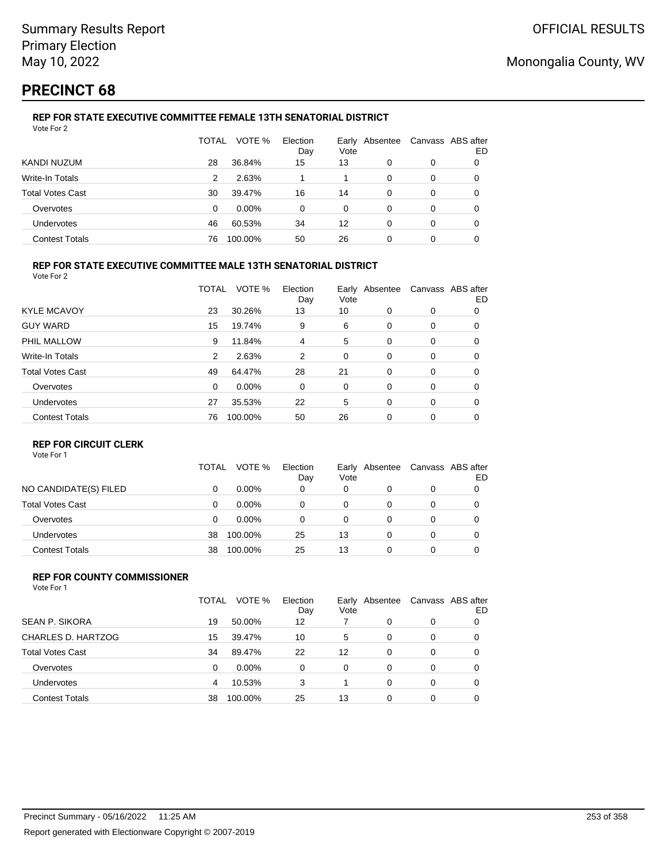# **PRECINCT 68**

### **REP FOR STATE EXECUTIVE COMMITTEE FEMALE 13TH SENATORIAL DISTRICT** Vote For 2

|                         | TOTAL | VOTE %   | Election<br>Day | Vote | Early Absentee | Canvass ABS after | ED |
|-------------------------|-------|----------|-----------------|------|----------------|-------------------|----|
| KANDI NUZUM             | 28    | 36.84%   | 15              | 13   | 0              | 0                 |    |
| Write-In Totals         | 2     | 2.63%    |                 |      | 0              | 0                 |    |
| <b>Total Votes Cast</b> | 30    | 39.47%   | 16              | 14   | 0              | 0                 |    |
| Overvotes               | 0     | $0.00\%$ | 0               | 0    | 0              | 0                 |    |
| Undervotes              | 46    | 60.53%   | 34              | 12   | 0              | 0                 | 0  |
| <b>Contest Totals</b>   | 76    | 100.00%  | 50              | 26   | 0              | 0                 |    |

### **REP FOR STATE EXECUTIVE COMMITTEE MALE 13TH SENATORIAL DISTRICT**

Vote For 2

|                         | TOTAL    | VOTE %   | Election<br>Day | Vote | Early Absentee |          | Canvass ABS after<br>ED |
|-------------------------|----------|----------|-----------------|------|----------------|----------|-------------------------|
| <b>KYLE MCAVOY</b>      | 23       | 30.26%   | 13              | 10   | $\Omega$       | 0        | 0                       |
| <b>GUY WARD</b>         | 15       | 19.74%   | 9               | 6    | 0              | 0        | 0                       |
| PHIL MALLOW             | 9        | 11.84%   | 4               | 5    | 0              | 0        | 0                       |
| <b>Write-In Totals</b>  | 2        | 2.63%    | 2               | 0    | 0              | 0        | 0                       |
| <b>Total Votes Cast</b> | 49       | 64.47%   | 28              | 21   | $\Omega$       | 0        | 0                       |
| Overvotes               | $\Omega$ | $0.00\%$ | 0               | 0    | 0              | 0        | 0                       |
| Undervotes              | 27       | 35.53%   | 22              | 5    | $\Omega$       | $\Omega$ | 0                       |
| <b>Contest Totals</b>   | 76       | 100.00%  | 50              | 26   | $\Omega$       | 0        | 0                       |

### **REP FOR CIRCUIT CLERK**

Vote For 1

|                         | TOTAL | VOTE %   | Election<br>Day | Vote | Early Absentee | Canvass ABS after | ED |
|-------------------------|-------|----------|-----------------|------|----------------|-------------------|----|
| NO CANDIDATE(S) FILED   | 0     | $0.00\%$ | 0               | 0    | 0              | 0                 |    |
| <b>Total Votes Cast</b> | 0     | $0.00\%$ | 0               | 0    |                | 0                 |    |
| Overvotes               | 0     | $0.00\%$ | 0               | 0    |                | 0                 |    |
| <b>Undervotes</b>       | 38    | 100.00%  | 25              | 13   |                | 0                 |    |
| <b>Contest Totals</b>   | 38    | 100.00%  | 25              | 13   |                | 0                 |    |

#### **REP FOR COUNTY COMMISSIONER** Vote For 1

|                         | TOTAL | VOTE %   | Election<br>Day | Vote     | Early Absentee |          | Canvass ABS after<br>ED |
|-------------------------|-------|----------|-----------------|----------|----------------|----------|-------------------------|
| <b>SEAN P. SIKORA</b>   | 19    | 50.00%   | 12              |          | 0              | 0        |                         |
| CHARLES D. HARTZOG      | 15    | 39.47%   | 10              | 5        | 0              | 0        | 0                       |
| <b>Total Votes Cast</b> | 34    | 89.47%   | 22              | 12       | 0              | 0        | 0                       |
| Overvotes               | 0     | $0.00\%$ | $\Omega$        | $\Omega$ | 0              | 0        | 0                       |
| Undervotes              | 4     | 10.53%   | 3               |          | 0              | $\Omega$ | 0                       |
| <b>Contest Totals</b>   | 38    | 100.00%  | 25              | 13       | 0              | 0        | 0                       |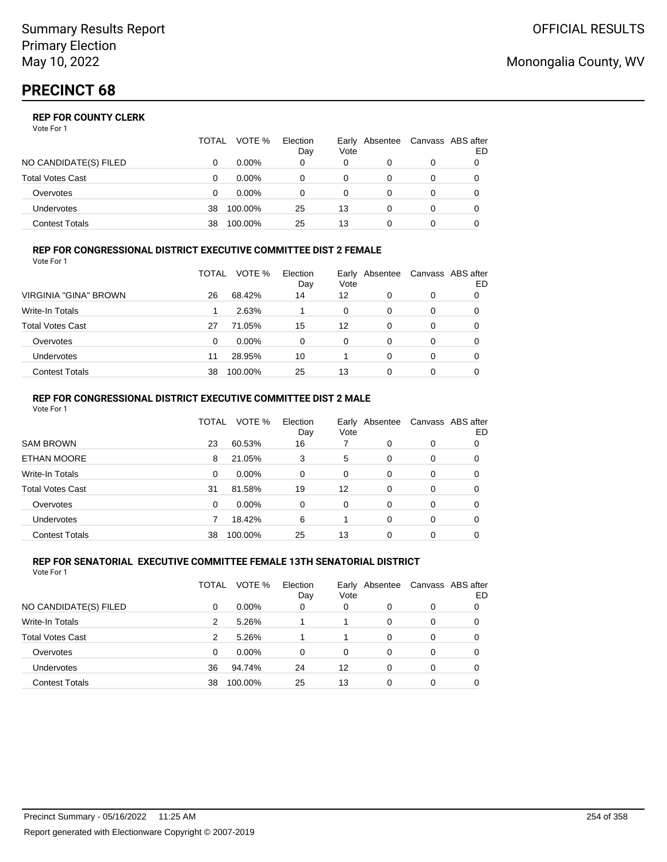## **REP FOR COUNTY CLERK**

Vote For 1

|                         | <b>TOTAL</b> | VOTE %   | Election<br>Day | Vote | Early Absentee | Canvass ABS after | ED |
|-------------------------|--------------|----------|-----------------|------|----------------|-------------------|----|
| NO CANDIDATE(S) FILED   |              | $0.00\%$ | 0               | 0    |                | 0                 |    |
| <b>Total Votes Cast</b> |              | $0.00\%$ |                 |      |                |                   |    |
| Overvotes               |              | $0.00\%$ | 0               | 0    |                | 0                 |    |
| <b>Undervotes</b>       | 38           | 100.00%  | 25              | 13   |                | 0                 |    |
| <b>Contest Totals</b>   | 38           | 100.00%  | 25              | 13   |                |                   |    |

#### **REP FOR CONGRESSIONAL DISTRICT EXECUTIVE COMMITTEE DIST 2 FEMALE** Vote For 1

|                         | TOTAL | VOTE %   | Election<br>Day | Vote | Early Absentee | Canvass ABS after | ED |
|-------------------------|-------|----------|-----------------|------|----------------|-------------------|----|
| VIRGINIA "GINA" BROWN   | 26    | 68.42%   | 14              | 12   | 0              | 0                 | 0  |
| <b>Write-In Totals</b>  |       | 2.63%    |                 | 0    | 0              | 0                 | O  |
| <b>Total Votes Cast</b> | 27    | 71.05%   | 15              | 12   | 0              | 0                 | 0  |
| Overvotes               | 0     | $0.00\%$ | 0               | 0    | 0              | 0                 |    |
| Undervotes              | 11    | 28.95%   | 10              |      | 0              | 0                 |    |
| <b>Contest Totals</b>   | 38    | 100.00%  | 25              | 13   | 0              | 0                 |    |

#### **REP FOR CONGRESSIONAL DISTRICT EXECUTIVE COMMITTEE DIST 2 MALE** Vote For 1

|                         | TOTAL | VOTE %  | Election<br>Day | Early<br>Vote | Absentee |   | Canvass ABS after<br>ED |
|-------------------------|-------|---------|-----------------|---------------|----------|---|-------------------------|
| <b>SAM BROWN</b>        | 23    | 60.53%  | 16              |               | 0        | 0 | 0                       |
| <b>ETHAN MOORE</b>      | 8     | 21.05%  | 3               | 5             | 0        | 0 | 0                       |
| Write-In Totals         | 0     | 0.00%   | $\Omega$        | $\Omega$      | 0        | 0 | 0                       |
| <b>Total Votes Cast</b> | 31    | 81.58%  | 19              | 12            | 0        | 0 | 0                       |
| Overvotes               | 0     | 0.00%   | $\Omega$        | $\Omega$      | 0        | 0 | 0                       |
| Undervotes              | 7     | 18.42%  | 6               |               | 0        | 0 | 0                       |
| <b>Contest Totals</b>   | 38    | 100.00% | 25              | 13            | $\Omega$ | 0 | 0                       |

#### **REP FOR SENATORIAL EXECUTIVE COMMITTEE FEMALE 13TH SENATORIAL DISTRICT** Vote For 1

|                         | TOTAL | VOTE %   | Election<br>Day | Early<br>Vote | Absentee |   | Canvass ABS after<br>ED |
|-------------------------|-------|----------|-----------------|---------------|----------|---|-------------------------|
| NO CANDIDATE(S) FILED   | 0     | $0.00\%$ | 0               | 0             | 0        | 0 | 0                       |
| Write-In Totals         | 2     | 5.26%    |                 |               | $\Omega$ | 0 | 0                       |
| <b>Total Votes Cast</b> | 2     | 5.26%    |                 |               | $\Omega$ | 0 | 0                       |
| Overvotes               | 0     | $0.00\%$ | $\Omega$        | $\Omega$      | 0        | 0 | 0                       |
| <b>Undervotes</b>       | 36    | 94.74%   | 24              | 12            | 0        | 0 | 0                       |
| <b>Contest Totals</b>   | 38    | 100.00%  | 25              | 13            | 0        | 0 |                         |

## Monongalia County, WV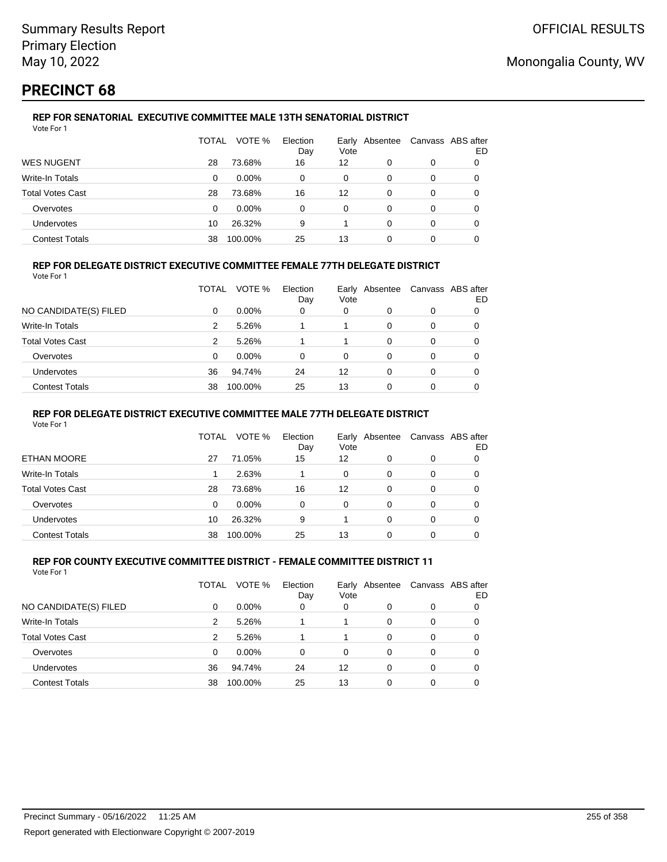# **PRECINCT 68**

### **REP FOR SENATORIAL EXECUTIVE COMMITTEE MALE 13TH SENATORIAL DISTRICT** Vote For 1

|                         | TOTAL | VOTE %   | Election<br>Day | Vote | Early Absentee |   | Canvass ABS after<br>ED |
|-------------------------|-------|----------|-----------------|------|----------------|---|-------------------------|
| <b>WES NUGENT</b>       | 28    | 73.68%   | 16              | 12   | 0              | 0 |                         |
| Write-In Totals         | 0     | $0.00\%$ | 0               | 0    | 0              | 0 |                         |
| <b>Total Votes Cast</b> | 28    | 73.68%   | 16              | 12   | 0              | 0 |                         |
| Overvotes               | 0     | $0.00\%$ | 0               | 0    | 0              | 0 |                         |
| Undervotes              | 10    | 26.32%   | 9               |      | 0              | 0 | 0                       |
| <b>Contest Totals</b>   | 38    | 100.00%  | 25              | 13   | 0              | 0 |                         |

### **REP FOR DELEGATE DISTRICT EXECUTIVE COMMITTEE FEMALE 77TH DELEGATE DISTRICT**

Vote For 1

|                         | TOTAL | VOTE %   | Election<br>Day | Vote | Early Absentee | Canvass ABS after | ED |
|-------------------------|-------|----------|-----------------|------|----------------|-------------------|----|
| NO CANDIDATE(S) FILED   | 0     | $0.00\%$ | 0               | 0    | 0              | 0                 |    |
| Write-In Totals         | 2     | 5.26%    |                 |      | 0              | 0                 |    |
| <b>Total Votes Cast</b> | 2     | 5.26%    |                 |      | 0              | 0                 |    |
| Overvotes               | 0     | $0.00\%$ | 0               | 0    | 0              | 0                 |    |
| <b>Undervotes</b>       | 36    | 94.74%   | 24              | 12   | 0              | 0                 |    |
| <b>Contest Totals</b>   | 38    | 100.00%  | 25              | 13   |                | 0                 |    |

### **REP FOR DELEGATE DISTRICT EXECUTIVE COMMITTEE MALE 77TH DELEGATE DISTRICT**

Vote For 1

|                       | <b>TOTAL</b> | VOTE %   | Election<br>Day | Vote | Early Absentee |   | Canvass ABS after<br>ED |
|-----------------------|--------------|----------|-----------------|------|----------------|---|-------------------------|
| ETHAN MOORE           | 27           | 71.05%   | 15              | 12   |                | 0 |                         |
| Write-In Totals       |              | 2.63%    |                 | 0    | 0              | 0 | 0                       |
| Total Votes Cast      | 28           | 73.68%   | 16              | 12   | 0              | 0 | 0                       |
| Overvotes             | 0            | $0.00\%$ | 0               | 0    | 0              | 0 |                         |
| <b>Undervotes</b>     | 10           | 26.32%   | 9               |      | 0              | 0 |                         |
| <b>Contest Totals</b> | 38           | 100.00%  | 25              | 13   |                |   |                         |

#### **REP FOR COUNTY EXECUTIVE COMMITTEE DISTRICT - FEMALE COMMITTEE DISTRICT 11** Vote For 1

|                         | TOTAL | VOTE %   | Election<br>Day | Vote     | Early Absentee |   | Canvass ABS after<br>ED |
|-------------------------|-------|----------|-----------------|----------|----------------|---|-------------------------|
| NO CANDIDATE(S) FILED   | 0     | $0.00\%$ | 0               | 0        | 0              | 0 |                         |
| Write-In Totals         | 2     | 5.26%    |                 |          | 0              | 0 |                         |
| <b>Total Votes Cast</b> | 2     | 5.26%    |                 |          | 0              | 0 | 0                       |
| Overvotes               | 0     | $0.00\%$ | $\Omega$        | $\Omega$ | 0              | 0 | 0                       |
| Undervotes              | 36    | 94.74%   | 24              | 12       | 0              | 0 | 0                       |
| <b>Contest Totals</b>   | 38    | 100.00%  | 25              | 13       | 0              | 0 |                         |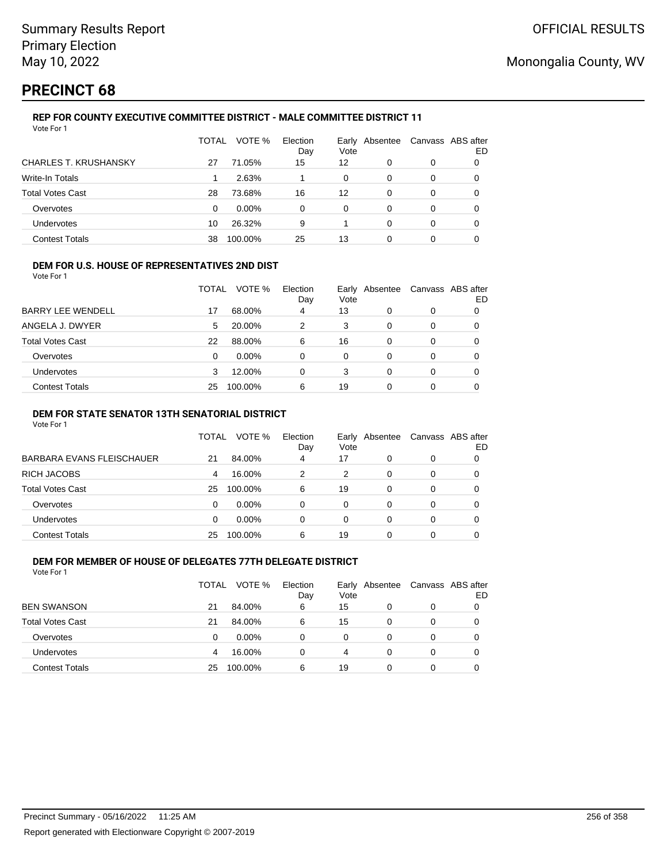## **PRECINCT 68**

Vote For 1

## **REP FOR COUNTY EXECUTIVE COMMITTEE DISTRICT - MALE COMMITTEE DISTRICT 11**

|                              | TOTAL | VOTE %   | Election<br>Day | Early<br>Vote | Absentee |   | Canvass ABS after<br>ED |
|------------------------------|-------|----------|-----------------|---------------|----------|---|-------------------------|
| <b>CHARLES T. KRUSHANSKY</b> | 27    | 71.05%   | 15              | 12            | 0        | 0 |                         |
| <b>Write-In Totals</b>       |       | 2.63%    |                 | 0             | 0        | 0 | 0                       |
| <b>Total Votes Cast</b>      | 28    | 73.68%   | 16              | 12            | 0        | 0 | 0                       |
| Overvotes                    | 0     | $0.00\%$ | 0               | 0             | 0        | 0 | 0                       |
| Undervotes                   | 10    | 26.32%   | 9               |               | $\Omega$ | 0 |                         |
| <b>Contest Totals</b>        | 38    | 100.00%  | 25              | 13            | 0        | 0 |                         |

### **DEM FOR U.S. HOUSE OF REPRESENTATIVES 2ND DIST**

Vote For 1

|                          | TOTAL | VOTE %   | Election<br>Day | Vote | Early Absentee | Canvass ABS after | ED |
|--------------------------|-------|----------|-----------------|------|----------------|-------------------|----|
| <b>BARRY LEE WENDELL</b> | 17    | 68.00%   | 4               | 13   |                | 0                 |    |
| ANGELA J. DWYER          | 5     | 20.00%   | 2               | 3    | 0              | 0                 |    |
| <b>Total Votes Cast</b>  | 22    | 88.00%   | 6               | 16   | 0              | 0                 |    |
| Overvotes                | 0     | $0.00\%$ | 0               | 0    | 0              | 0                 |    |
| <b>Undervotes</b>        |       | 12.00%   | 0               | 3    | 0              | 0                 |    |
| <b>Contest Totals</b>    | 25    | 100.00%  | 6               | 19   | 0              |                   |    |

### **DEM FOR STATE SENATOR 13TH SENATORIAL DISTRICT**

Vote For 1

|                           | TOTAL    | VOTE %   | Election<br>Day | Vote | Early Absentee |          | Canvass ABS after<br>ED |
|---------------------------|----------|----------|-----------------|------|----------------|----------|-------------------------|
| BARBARA EVANS FLEISCHAUER | 21       | 84.00%   | 4               | 17   | 0              | 0        |                         |
| RICH JACOBS               | 4        | 16.00%   | 2               | 2    | 0              | 0        |                         |
| Total Votes Cast          | 25       | 100.00%  | 6               | 19   | 0              | 0        |                         |
| Overvotes                 | $\Omega$ | $0.00\%$ | $\Omega$        | 0    | $\Omega$       | $\Omega$ | 0                       |
| <b>Undervotes</b>         | $\Omega$ | $0.00\%$ | 0               | 0    | 0              | 0        |                         |
| <b>Contest Totals</b>     | 25       | 100.00%  | 6               | 19   |                |          |                         |

#### **DEM FOR MEMBER OF HOUSE OF DELEGATES 77TH DELEGATE DISTRICT** Vote For 1

TOTAL VOTE % Election Day Early Vote Absentee Canvass ABS after ED BEN SWANSON 21 84.00% 6 15 0 0 0 Total Votes Cast 21 84.00% 6 15 0 0 0 Overvotes 0 0.00% 0 0 0 0 0 Undervotes 4 16.00% 0 4 0 0 0 Contest Totals 25 100.00% 6 19 0 0 0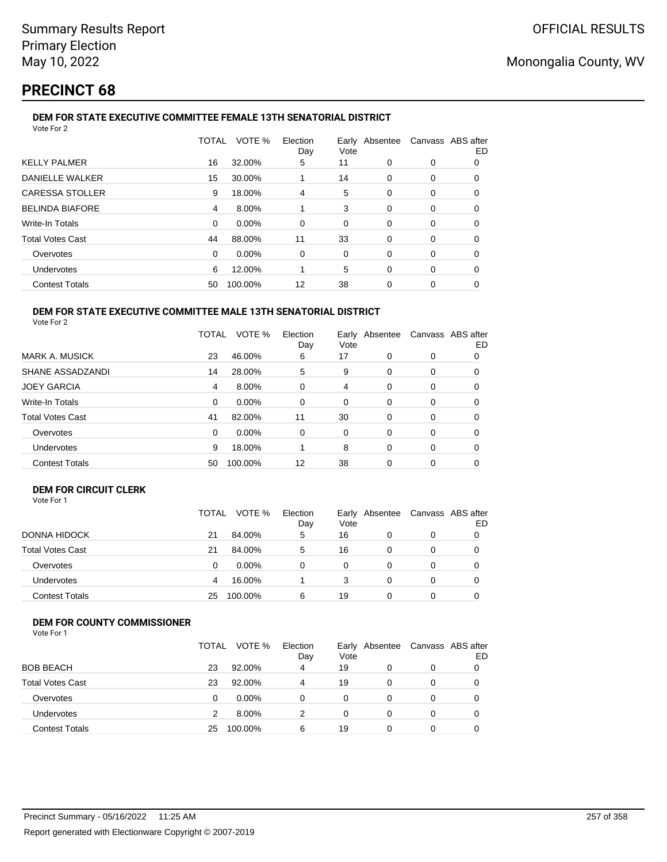# **PRECINCT 68**

#### **DEM FOR STATE EXECUTIVE COMMITTEE FEMALE 13TH SENATORIAL DISTRICT** Vote For 2

|                         | TOTAL    | VOTE %  | Election<br>Day | Vote |          | Early Absentee Canvass ABS after | ED |
|-------------------------|----------|---------|-----------------|------|----------|----------------------------------|----|
| <b>KELLY PALMER</b>     | 16       | 32.00%  | 5               | 11   | 0        | 0                                | 0  |
| <b>DANIELLE WALKER</b>  | 15       | 30.00%  |                 | 14   | 0        | 0                                | 0  |
| <b>CARESSA STOLLER</b>  | 9        | 18.00%  | 4               | 5    | 0        | 0                                | 0  |
| <b>BELINDA BIAFORE</b>  | 4        | 8.00%   |                 | 3    | 0        | 0                                | 0  |
| <b>Write-In Totals</b>  | $\Omega$ | 0.00%   | $\Omega$        | 0    | 0        | 0                                | 0  |
| <b>Total Votes Cast</b> | 44       | 88.00%  | 11              | 33   | $\Omega$ | $\Omega$                         | 0  |
| Overvotes               | $\Omega$ | 0.00%   | 0               | 0    | 0        | 0                                | 0  |
| <b>Undervotes</b>       | 6        | 12.00%  |                 | 5    | 0        | 0                                | 0  |
| <b>Contest Totals</b>   | 50       | 100.00% | 12              | 38   | 0        | 0                                | 0  |
|                         |          |         |                 |      |          |                                  |    |

#### **DEM FOR STATE EXECUTIVE COMMITTEE MALE 13TH SENATORIAL DISTRICT** Vote For 2

|                         | TOTAL    | VOTE %  | Election<br>Day | Early<br>Vote | Absentee |          | Canvass ABS after<br>ED |
|-------------------------|----------|---------|-----------------|---------------|----------|----------|-------------------------|
| <b>MARK A. MUSICK</b>   | 23       | 46.00%  | 6               | 17            | $\Omega$ | 0        | 0                       |
| SHANE ASSADZANDI        | 14       | 28.00%  | 5               | 9             | $\Omega$ | $\Omega$ | 0                       |
| <b>JOEY GARCIA</b>      | 4        | 8.00%   | $\Omega$        | 4             | 0        | $\Omega$ | 0                       |
| Write-In Totals         | $\Omega$ | 0.00%   | $\Omega$        | 0             | 0        | $\Omega$ | 0                       |
| <b>Total Votes Cast</b> | 41       | 82.00%  | 11              | 30            | 0        | $\Omega$ | 0                       |
| Overvotes               | $\Omega$ | 0.00%   | $\Omega$        | $\Omega$      | $\Omega$ | $\Omega$ | 0                       |
| <b>Undervotes</b>       | 9        | 18.00%  |                 | 8             | $\Omega$ | $\Omega$ | 0                       |
| <b>Contest Totals</b>   | 50       | 100.00% | 12              | 38            | 0        | $\Omega$ |                         |

### **DEM FOR CIRCUIT CLERK**

| Vote For 1 |  |
|------------|--|
|------------|--|

|                         | <b>TOTAL</b> | VOTE %   | Election<br>Day | Vote | Early Absentee | Canvass ABS after | ED |
|-------------------------|--------------|----------|-----------------|------|----------------|-------------------|----|
| <b>DONNA HIDOCK</b>     | 21           | 84.00%   | 5               | 16   |                | 0                 |    |
| <b>Total Votes Cast</b> | 21           | 84.00%   | 5               | 16   |                |                   | 0  |
| Overvotes               | 0            | $0.00\%$ | 0               | 0    |                | 0                 |    |
| Undervotes              | 4            | 16.00%   |                 | 3    |                | 0                 |    |
| <b>Contest Totals</b>   | 25           | 100.00%  | 6               | 19   |                |                   |    |

## **DEM FOR COUNTY COMMISSIONER**

|                         | TOTAL | VOTE %   | Election<br>Day | Vote | Early Absentee | Canvass ABS after | ED |
|-------------------------|-------|----------|-----------------|------|----------------|-------------------|----|
| <b>BOB BEACH</b>        | 23    | 92.00%   | 4               | 19   |                | 0                 |    |
| <b>Total Votes Cast</b> | 23    | 92.00%   | 4               | 19   | 0              | 0                 |    |
| Overvotes               | 0     | $0.00\%$ | 0               | 0    |                | 0                 |    |
| <b>Undervotes</b>       |       | 8.00%    | 2               | 0    |                | 0                 |    |
| <b>Contest Totals</b>   | 25    | 100.00%  | 6               | 19   |                | 0                 |    |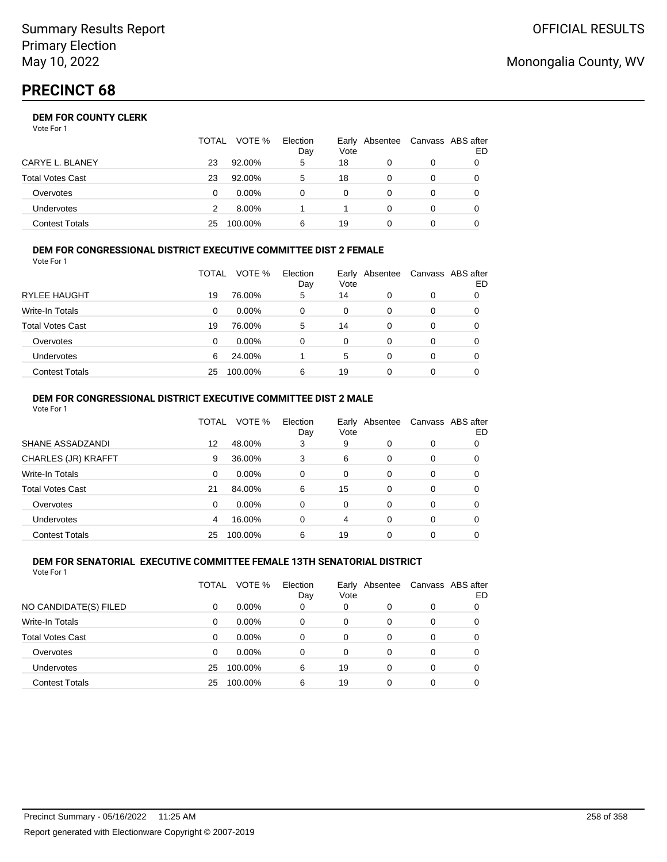# **PRECINCT 68**

## **DEM FOR COUNTY CLERK**

Vote For 1

|                         | <b>TOTAL</b> | VOTE %   | Election<br>Day | Vote     | Early Absentee | Canvass ABS after<br>ED |
|-------------------------|--------------|----------|-----------------|----------|----------------|-------------------------|
| CARYE L. BLANEY         | 23           | 92.00%   | 5               | 18       |                |                         |
| <b>Total Votes Cast</b> | 23           | 92.00%   | 5               | 18       |                |                         |
| Overvotes               |              | $0.00\%$ |                 | $\Omega$ |                |                         |
| Undervotes              |              | 8.00%    |                 |          |                |                         |
| <b>Contest Totals</b>   | 25           | 100.00%  | 6               | 19       |                |                         |

#### **DEM FOR CONGRESSIONAL DISTRICT EXECUTIVE COMMITTEE DIST 2 FEMALE** Vote For 1

| 1 IU JU                 |       |          |                 |      |                |   |                         |
|-------------------------|-------|----------|-----------------|------|----------------|---|-------------------------|
|                         | TOTAL | VOTE %   | Election<br>Day | Vote | Early Absentee |   | Canvass ABS after<br>ED |
| <b>RYLEE HAUGHT</b>     | 19    | 76.00%   | 5               | 14   | 0              | 0 |                         |
| Write-In Totals         | 0     | $0.00\%$ | 0               | 0    | 0              | 0 |                         |
| <b>Total Votes Cast</b> | 19    | 76.00%   | 5               | 14   | 0              | 0 |                         |
| Overvotes               | 0     | 0.00%    | 0               | 0    | 0              | 0 |                         |
| <b>Undervotes</b>       | 6     | 24.00%   |                 | 5    | 0              | 0 |                         |
| <b>Contest Totals</b>   | 25    | 100.00%  | 6               | 19   | 0              | 0 |                         |

#### **DEM FOR CONGRESSIONAL DISTRICT EXECUTIVE COMMITTEE DIST 2 MALE** Vote For 1

|                         | TOTAL | VOTE %  | Election<br>Day | Vote     | Early Absentee |          | Canvass ABS after<br>ED |
|-------------------------|-------|---------|-----------------|----------|----------------|----------|-------------------------|
| SHANE ASSADZANDI        | 12    | 48.00%  | 3               | 9        | $\Omega$       | $\Omega$ | 0                       |
| CHARLES (JR) KRAFFT     | 9     | 36.00%  | 3               | 6        | 0              | $\Omega$ | 0                       |
| Write-In Totals         | 0     | 0.00%   | 0               | $\Omega$ | $\Omega$       | $\Omega$ | 0                       |
| <b>Total Votes Cast</b> | 21    | 84.00%  | 6               | 15       | $\Omega$       | 0        | 0                       |
| Overvotes               | 0     | 0.00%   | 0               | $\Omega$ | 0              | $\Omega$ | 0                       |
| <b>Undervotes</b>       | 4     | 16.00%  | 0               | 4        | 0              | $\Omega$ | 0                       |
| <b>Contest Totals</b>   | 25    | 100.00% | 6               | 19       | 0              | 0        |                         |
|                         |       |         |                 |          |                |          |                         |

#### **DEM FOR SENATORIAL EXECUTIVE COMMITTEE FEMALE 13TH SENATORIAL DISTRICT** Vote For 1

|                         | TOTAL | VOTE %   | Election<br>Day | Vote | Early Absentee |   | Canvass ABS after<br>ED |
|-------------------------|-------|----------|-----------------|------|----------------|---|-------------------------|
| NO CANDIDATE(S) FILED   | 0     | $0.00\%$ | 0               | 0    | 0              | 0 |                         |
| <b>Write-In Totals</b>  | 0     | $0.00\%$ | $\Omega$        | 0    | 0              | 0 |                         |
| <b>Total Votes Cast</b> | 0     | $0.00\%$ | 0               | 0    | 0              | 0 |                         |
| Overvotes               | 0     | $0.00\%$ | 0               | 0    | 0              | 0 |                         |
| <b>Undervotes</b>       | 25    | 100.00%  | 6               | 19   | 0              | 0 |                         |
| <b>Contest Totals</b>   | 25    | 100.00%  | 6               | 19   | 0              | 0 |                         |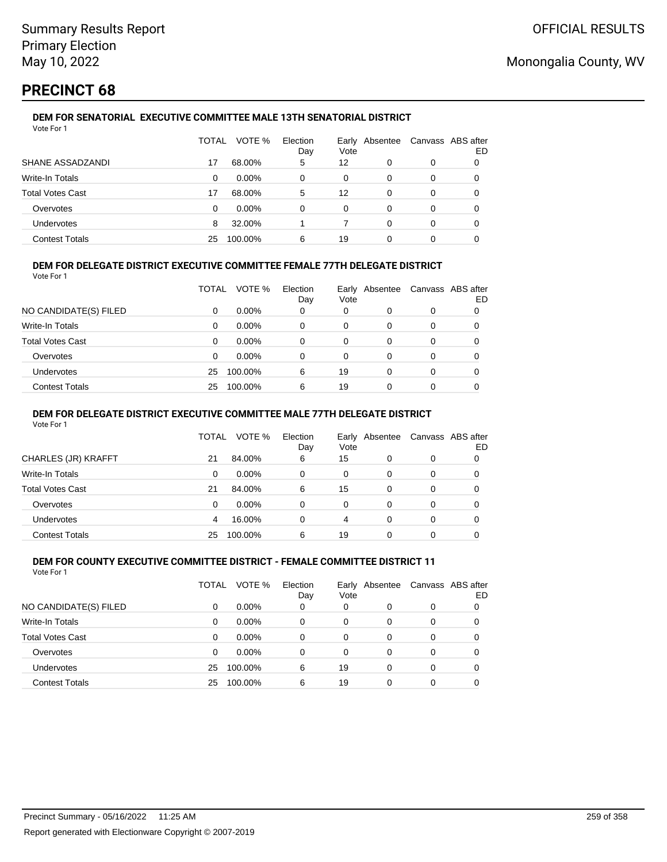# **PRECINCT 68**

### **DEM FOR SENATORIAL EXECUTIVE COMMITTEE MALE 13TH SENATORIAL DISTRICT** Vote For 1

|                         | TOTAL | VOTE %   | Election<br>Day | Vote | Early Absentee |   | Canvass ABS after<br>ED |
|-------------------------|-------|----------|-----------------|------|----------------|---|-------------------------|
| SHANE ASSADZANDI        | 17    | 68.00%   | 5               | 12   | 0              | 0 |                         |
| Write-In Totals         | 0     | $0.00\%$ | 0               | 0    | 0              | 0 |                         |
| <b>Total Votes Cast</b> | 17    | 68.00%   | 5               | 12   | 0              | 0 |                         |
| Overvotes               | 0     | $0.00\%$ | 0               | 0    | $\Omega$       | 0 |                         |
| Undervotes              | 8     | 32.00%   |                 |      | 0              | 0 |                         |
| <b>Contest Totals</b>   | 25    | 100.00%  | 6               | 19   | 0              | 0 |                         |

## **DEM FOR DELEGATE DISTRICT EXECUTIVE COMMITTEE FEMALE 77TH DELEGATE DISTRICT**

Vote For 1

|                       | TOTAL | VOTE %   | Election<br>Day | Vote | Early Absentee | Canvass ABS after | ED |
|-----------------------|-------|----------|-----------------|------|----------------|-------------------|----|
| NO CANDIDATE(S) FILED | 0     | $0.00\%$ | 0               | 0    | O              | 0                 |    |
| Write-In Totals       | 0     | $0.00\%$ | 0               | 0    | 0              | 0                 |    |
| Total Votes Cast      | 0     | $0.00\%$ | 0               | 0    | 0              | 0                 |    |
| Overvotes             | 0     | 0.00%    | 0               | 0    | O              | 0                 |    |
| <b>Undervotes</b>     | 25    | 100.00%  | 6               | 19   | 0              | 0                 |    |
| <b>Contest Totals</b> | 25    | 100.00%  | 6               | 19   |                | 0                 |    |

### **DEM FOR DELEGATE DISTRICT EXECUTIVE COMMITTEE MALE 77TH DELEGATE DISTRICT**

Vote For 1

|                       | <b>TOTAL</b> | VOTE %   | Election<br>Day | Vote | Early Absentee |   | Canvass ABS after<br>ED |
|-----------------------|--------------|----------|-----------------|------|----------------|---|-------------------------|
| CHARLES (JR) KRAFFT   | 21           | 84.00%   | 6               | 15   |                | 0 |                         |
| Write-In Totals       | 0            | $0.00\%$ | 0               | 0    | 0              | 0 | 0                       |
| Total Votes Cast      | 21           | 84.00%   | 6               | 15   | $\Omega$       | 0 | 0                       |
| Overvotes             | 0            | $0.00\%$ | 0               | 0    | 0              | 0 |                         |
| <b>Undervotes</b>     | 4            | 16.00%   | 0               | 4    | 0              | 0 |                         |
| <b>Contest Totals</b> | 25           | 100.00%  | 6               | 19   |                |   |                         |

#### **DEM FOR COUNTY EXECUTIVE COMMITTEE DISTRICT - FEMALE COMMITTEE DISTRICT 11** Vote For 1

|                         | TOTAL | VOTE %   | Election<br>Day | Vote | Early Absentee |   | Canvass ABS after<br>ED |
|-------------------------|-------|----------|-----------------|------|----------------|---|-------------------------|
| NO CANDIDATE(S) FILED   | 0     | $0.00\%$ | 0               | 0    | 0              | 0 |                         |
| <b>Write-In Totals</b>  | 0     | $0.00\%$ | 0               | 0    | 0              | 0 |                         |
| <b>Total Votes Cast</b> | 0     | $0.00\%$ | 0               | 0    | 0              | 0 |                         |
| Overvotes               | 0     | $0.00\%$ | 0               | 0    | $\Omega$       | 0 | 0                       |
| <b>Undervotes</b>       | 25    | 100.00%  | 6               | 19   | 0              | 0 | 0                       |
| <b>Contest Totals</b>   | 25    | 100.00%  | 6               | 19   | 0              | 0 |                         |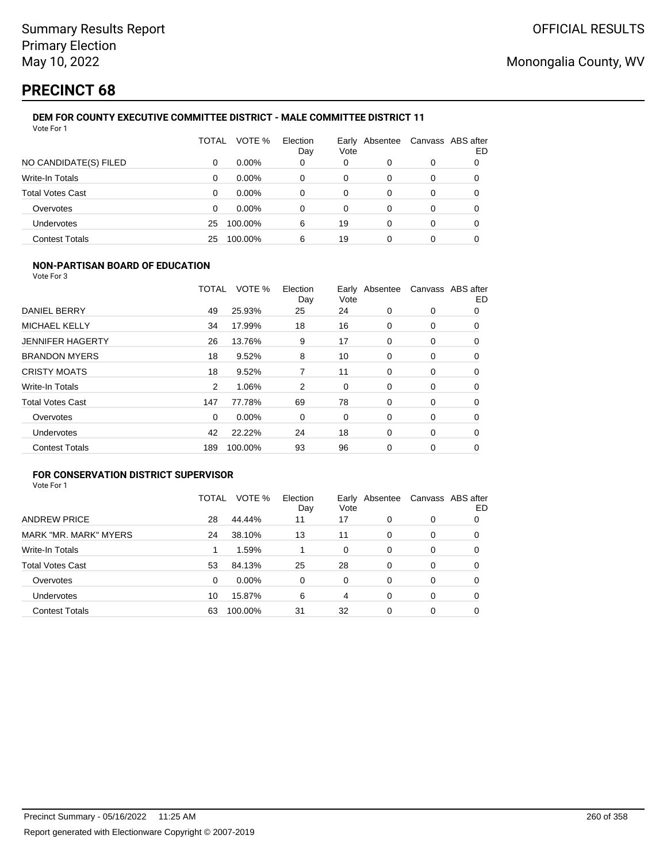# **PRECINCT 68**

### **DEM FOR COUNTY EXECUTIVE COMMITTEE DISTRICT - MALE COMMITTEE DISTRICT 11** Vote For 1

|                         | TOTAL | VOTE %   | Election<br>Day | Vote | Early Absentee | Canvass ABS after | ED |
|-------------------------|-------|----------|-----------------|------|----------------|-------------------|----|
| NO CANDIDATE(S) FILED   | 0     | $0.00\%$ | 0               | 0    | 0              | 0                 | 0  |
| Write-In Totals         | 0     | $0.00\%$ | 0               | 0    | 0              | 0                 |    |
| <b>Total Votes Cast</b> | 0     | $0.00\%$ | 0               | 0    | 0              | 0                 |    |
| Overvotes               | 0     | $0.00\%$ | 0               | 0    | 0              | 0                 |    |
| Undervotes              | 25    | 100.00%  | 6               | 19   | 0              | 0                 |    |
| <b>Contest Totals</b>   | 25    | 100.00%  | 6               | 19   | 0              | 0                 |    |

### **NON-PARTISAN BOARD OF EDUCATION**

Vote For 3

|                         | TOTAL    | VOTE %  | Election<br>Day | Vote | Early Absentee |          | Canvass ABS after<br>ED |
|-------------------------|----------|---------|-----------------|------|----------------|----------|-------------------------|
| DANIEL BERRY            | 49       | 25.93%  | 25              | 24   | 0              | 0        | 0                       |
| MICHAEL KELLY           | 34       | 17.99%  | 18              | 16   | $\Omega$       | 0        | $\Omega$                |
| <b>JENNIFER HAGERTY</b> | 26       | 13.76%  | 9               | 17   | $\Omega$       | 0        | 0                       |
| <b>BRANDON MYERS</b>    | 18       | 9.52%   | 8               | 10   | 0              | 0        | 0                       |
| <b>CRISTY MOATS</b>     | 18       | 9.52%   | 7               | 11   | $\Omega$       | 0        | 0                       |
| <b>Write-In Totals</b>  | 2        | 1.06%   | 2               | 0    | $\Omega$       | 0        | 0                       |
| <b>Total Votes Cast</b> | 147      | 77.78%  | 69              | 78   | 0              | 0        | 0                       |
| Overvotes               | $\Omega$ | 0.00%   | 0               | 0    | $\Omega$       | 0        | $\Omega$                |
| Undervotes              | 42       | 22.22%  | 24              | 18   | $\Omega$       | $\Omega$ | 0                       |
| <b>Contest Totals</b>   | 189      | 100.00% | 93              | 96   | 0              | 0        | 0                       |

## **FOR CONSERVATION DISTRICT SUPERVISOR**

| Vote For 1 |  |
|------------|--|
|------------|--|

|                         | TOTAL | VOTE %   | Election<br>Day | Early<br>Vote | Absentee | Canvass ABS after | ED |
|-------------------------|-------|----------|-----------------|---------------|----------|-------------------|----|
| <b>ANDREW PRICE</b>     | 28    | 44.44%   | 11              | 17            | 0        | 0                 |    |
| MARK "MR. MARK" MYERS   | 24    | 38.10%   | 13              | 11            | 0        | 0                 | O  |
| Write-In Totals         |       | 1.59%    |                 | 0             | $\Omega$ | 0                 | 0  |
| <b>Total Votes Cast</b> | 53    | 84.13%   | 25              | 28            | $\Omega$ | $\Omega$          | 0  |
| Overvotes               | 0     | $0.00\%$ | 0               | 0             | $\Omega$ | 0                 | 0  |
| <b>Undervotes</b>       | 10    | 15.87%   | 6               | 4             | 0        | 0                 | 0  |
| <b>Contest Totals</b>   | 63    | 100.00%  | 31              | 32            | 0        | 0                 |    |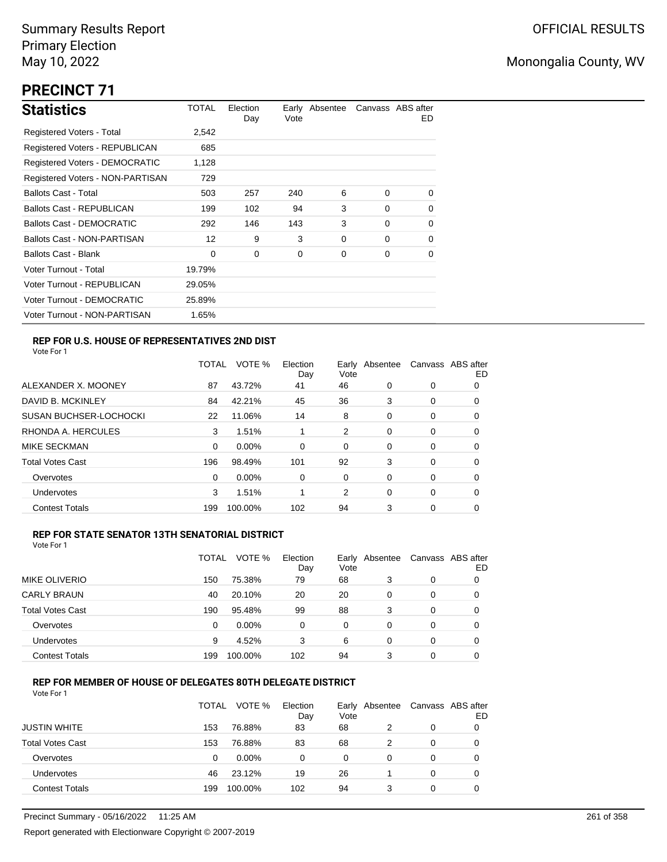# **PRECINCT 71**

| <b>Statistics</b>                     | TOTAL  | Election<br>Day | Vote | Early Absentee |          | Canvass ABS after<br>ED. |
|---------------------------------------|--------|-----------------|------|----------------|----------|--------------------------|
| Registered Voters - Total             | 2,542  |                 |      |                |          |                          |
| <b>Registered Voters - REPUBLICAN</b> | 685    |                 |      |                |          |                          |
| <b>Registered Voters - DEMOCRATIC</b> | 1,128  |                 |      |                |          |                          |
| Registered Voters - NON-PARTISAN      | 729    |                 |      |                |          |                          |
| <b>Ballots Cast - Total</b>           | 503    | 257             | 240  | 6              | $\Omega$ | $\Omega$                 |
| Ballots Cast - REPUBLICAN             | 199    | 102             | 94   | 3              | $\Omega$ | 0                        |
| Ballots Cast - DEMOCRATIC             | 292    | 146             | 143  | 3              | $\Omega$ | 0                        |
| Ballots Cast - NON-PARTISAN           | 12     | 9               | 3    | 0              | $\Omega$ | 0                        |
| Ballots Cast - Blank                  | 0      | 0               | 0    | 0              | 0        | 0                        |
| Voter Turnout - Total                 | 19.79% |                 |      |                |          |                          |
| Voter Turnout - REPUBLICAN            | 29.05% |                 |      |                |          |                          |
| Voter Turnout - DEMOCRATIC            | 25.89% |                 |      |                |          |                          |
| Voter Turnout - NON-PARTISAN          | 1.65%  |                 |      |                |          |                          |

### **REP FOR U.S. HOUSE OF REPRESENTATIVES 2ND DIST**

Vote For 1

|                               | TOTAL | VOTE %   | Election<br>Day | Earlv<br>Vote | Absentee |          | Canvass ABS after<br>ED |
|-------------------------------|-------|----------|-----------------|---------------|----------|----------|-------------------------|
| ALEXANDER X. MOONEY           | 87    | 43.72%   | 41              | 46            | 0        | 0        | O                       |
| DAVID B. MCKINLEY             | 84    | 42.21%   | 45              | 36            | 3        | 0        | 0                       |
| <b>SUSAN BUCHSER-LOCHOCKI</b> | 22    | 11.06%   | 14              | 8             | 0        | 0        | 0                       |
| RHONDA A. HERCULES            | 3     | 1.51%    |                 | 2             | 0        | 0        | 0                       |
| MIKE SECKMAN                  | 0     | $0.00\%$ | $\Omega$        | 0             | $\Omega$ | $\Omega$ | 0                       |
| <b>Total Votes Cast</b>       | 196   | 98.49%   | 101             | 92            | 3        | 0        | 0                       |
| Overvotes                     | 0     | $0.00\%$ | 0               | 0             | 0        | 0        | 0                       |
| Undervotes                    | 3     | 1.51%    |                 | 2             | 0        | 0        | 0                       |
| <b>Contest Totals</b>         | 199   | 100.00%  | 102             | 94            | 3        | 0        | 0                       |

### **REP FOR STATE SENATOR 13TH SENATORIAL DISTRICT**

| Vote For 1 |  |
|------------|--|
|            |  |

|                         | <b>TOTAL</b> | VOTE %   | Election<br>Day | Early<br>Vote | Absentee | Canvass ABS after | ED |
|-------------------------|--------------|----------|-----------------|---------------|----------|-------------------|----|
| <b>MIKE OLIVERIO</b>    | 150          | 75.38%   | 79              | 68            | 3        | 0                 |    |
| <b>CARLY BRAUN</b>      | 40           | 20.10%   | 20              | 20            | 0        | 0                 | O  |
| <b>Total Votes Cast</b> | 190          | 95.48%   | 99              | 88            | 3        | 0                 |    |
| Overvotes               | 0            | $0.00\%$ | 0               | 0             | 0        | 0                 |    |
| Undervotes              | 9            | 4.52%    | 3               | 6             | 0        | 0                 | O  |
| <b>Contest Totals</b>   | 199          | 100.00%  | 102             | 94            | 3        | 0                 |    |

### **REP FOR MEMBER OF HOUSE OF DELEGATES 80TH DELEGATE DISTRICT**

|                         | TOTAL | VOTE %   | Election<br>Day | Vote | Early Absentee | Canvass ABS after | ED |
|-------------------------|-------|----------|-----------------|------|----------------|-------------------|----|
| <b>JUSTIN WHITE</b>     | 153   | 76.88%   | 83              | 68   |                | 0                 |    |
| <b>Total Votes Cast</b> | 153   | 76.88%   | 83              | 68   |                | 0                 |    |
| Overvotes               | 0     | $0.00\%$ | 0               | 0    | 0              | 0                 |    |
| Undervotes              | 46    | 23.12%   | 19              | 26   |                | 0                 | O  |
| <b>Contest Totals</b>   | 199   | 100.00%  | 102             | 94   | 3              | $\Omega$          |    |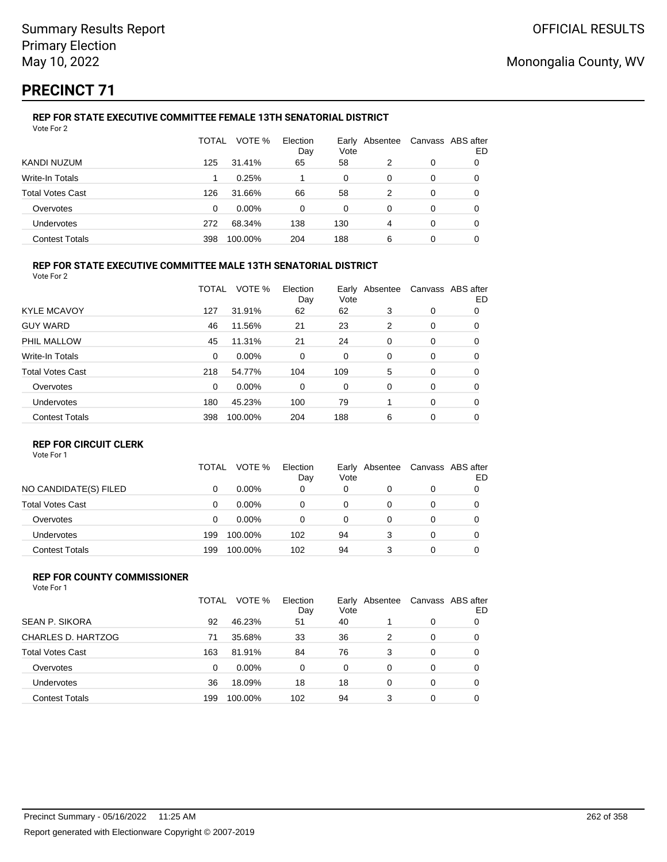# **PRECINCT 71**

### **REP FOR STATE EXECUTIVE COMMITTEE FEMALE 13TH SENATORIAL DISTRICT** Vote For 2

|                         | TOTAL | VOTE %   | Election<br>Day | Vote | Early Absentee |   | Canvass ABS after<br>ED |
|-------------------------|-------|----------|-----------------|------|----------------|---|-------------------------|
| KANDI NUZUM             | 125   | 31.41%   | 65              | 58   | 2              | 0 | 0                       |
| Write-In Totals         |       | 0.25%    |                 | 0    | 0              | 0 | O                       |
| <b>Total Votes Cast</b> | 126   | 31.66%   | 66              | 58   | 2              | 0 |                         |
| Overvotes               | 0     | $0.00\%$ | 0               | 0    | 0              | 0 |                         |
| Undervotes              | 272   | 68.34%   | 138             | 130  | 4              | 0 | 0                       |
| <b>Contest Totals</b>   | 398   | 100.00%  | 204             | 188  | 6              | 0 |                         |

### **REP FOR STATE EXECUTIVE COMMITTEE MALE 13TH SENATORIAL DISTRICT**

Vote For 2

|                         | TOTAL    | VOTE %   | Election<br>Day | Vote | Early Absentee |          | Canvass ABS after<br>ED |
|-------------------------|----------|----------|-----------------|------|----------------|----------|-------------------------|
| <b>KYLE MCAVOY</b>      | 127      | 31.91%   | 62              | 62   | 3              | 0        | 0                       |
| <b>GUY WARD</b>         | 46       | 11.56%   | 21              | 23   | 2              | 0        | 0                       |
| PHIL MALLOW             | 45       | 11.31%   | 21              | 24   | 0              | 0        | 0                       |
| Write-In Totals         | $\Omega$ | $0.00\%$ | 0               | 0    | 0              | 0        | 0                       |
| <b>Total Votes Cast</b> | 218      | 54.77%   | 104             | 109  | 5              | 0        | 0                       |
| Overvotes               | $\Omega$ | 0.00%    | 0               | 0    | 0              | 0        | 0                       |
| Undervotes              | 180      | 45.23%   | 100             | 79   |                | $\Omega$ | 0                       |
| <b>Contest Totals</b>   | 398      | 100.00%  | 204             | 188  | 6              | 0        | 0                       |
|                         |          |          |                 |      |                |          |                         |

### **REP FOR CIRCUIT CLERK**

Vote For 1

|                       | TOTAL | VOTE %   | Election<br>Day | Early Absentee<br>Vote | Canvass ABS after | ED |
|-----------------------|-------|----------|-----------------|------------------------|-------------------|----|
| NO CANDIDATE(S) FILED |       | $0.00\%$ | 0               | 0                      | 0                 |    |
| Total Votes Cast      | 0     | $0.00\%$ |                 | 0                      | 0                 |    |
| Overvotes             | 0     | $0.00\%$ |                 | 0                      | 0                 |    |
| Undervotes            | 199   | 100.00%  | 102             | 94                     | 0                 |    |
| <b>Contest Totals</b> | 199   | 100.00%  | 102             | 94                     | 0                 |    |

#### **REP FOR COUNTY COMMISSIONER** Vote For 1

|                         | TOTAL | VOTE %   | Election<br>Day | Vote     | Early Absentee |          | Canvass ABS after<br>ED |
|-------------------------|-------|----------|-----------------|----------|----------------|----------|-------------------------|
| <b>SEAN P. SIKORA</b>   | 92    | 46.23%   | 51              | 40       |                | 0        | 0                       |
| CHARLES D. HARTZOG      | 71    | 35.68%   | 33              | 36       | 2              | 0        | 0                       |
| <b>Total Votes Cast</b> | 163   | 81.91%   | 84              | 76       | 3              | 0        | 0                       |
| Overvotes               | 0     | $0.00\%$ | $\Omega$        | $\Omega$ | 0              | 0        | 0                       |
| <b>Undervotes</b>       | 36    | 18.09%   | 18              | 18       | 0              | $\Omega$ | 0                       |
| <b>Contest Totals</b>   | 199   | 100.00%  | 102             | 94       | 3              | 0        | 0                       |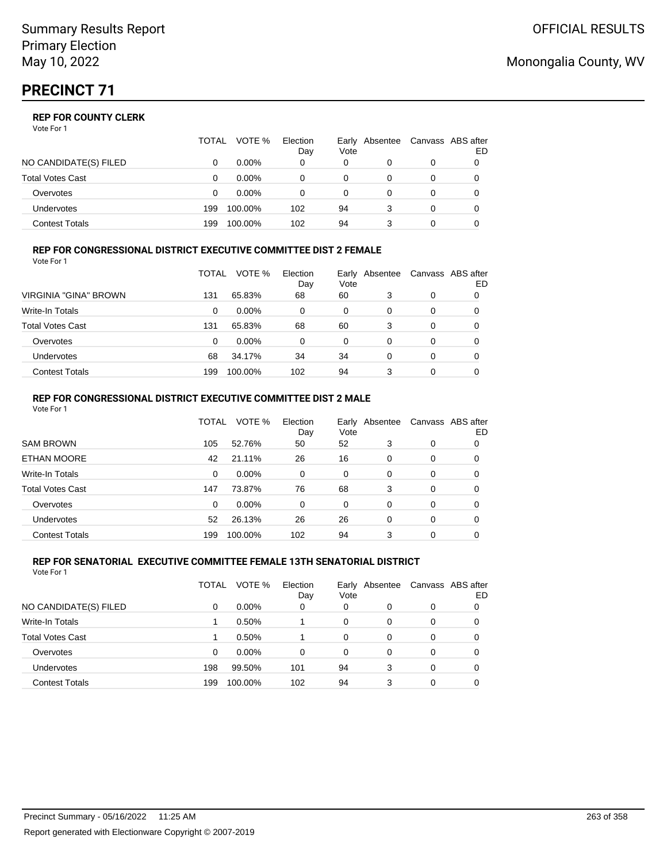Vote For 1

|                       | <b>TOTAL</b> | VOTE %   | Election<br>Day | Vote | Early Absentee | Canvass ABS after | ED |
|-----------------------|--------------|----------|-----------------|------|----------------|-------------------|----|
| NO CANDIDATE(S) FILED |              | $0.00\%$ | 0               | 0    |                | 0                 |    |
| Total Votes Cast      |              | $0.00\%$ |                 | 0    |                | 0                 |    |
| Overvotes             |              | $0.00\%$ |                 | 0    |                | 0                 |    |
| Undervotes            | 199          | 100.00%  | 102             | 94   |                | 0                 |    |
| Contest Totals        | 199          | 100.00%  | 102             | 94   |                |                   |    |

#### **REP FOR CONGRESSIONAL DISTRICT EXECUTIVE COMMITTEE DIST 2 FEMALE** Vote For 1

|                         | TOTAL | VOTE %   | Election<br>Day | Early<br>Vote | Absentee | Canvass ABS after | ED |
|-------------------------|-------|----------|-----------------|---------------|----------|-------------------|----|
| VIRGINIA "GINA" BROWN   | 131   | 65.83%   | 68              | 60            | 3        | 0                 |    |
| Write-In Totals         | 0     | $0.00\%$ | 0               | 0             | 0        | 0                 | O  |
| <b>Total Votes Cast</b> | 131   | 65.83%   | 68              | 60            | 3        | 0                 | O  |
| Overvotes               | 0     | $0.00\%$ | 0               | 0             | 0        | 0                 |    |
| Undervotes              | 68    | 34.17%   | 34              | 34            | 0        | 0                 |    |
| <b>Contest Totals</b>   | 199   | 100.00%  | 102             | 94            | 3        | 0                 |    |

#### **REP FOR CONGRESSIONAL DISTRICT EXECUTIVE COMMITTEE DIST 2 MALE** Vote For 1

|                         | TOTAL | VOTE %  | Election<br>Day | Vote     | Early Absentee |          | Canvass ABS after<br>ED. |
|-------------------------|-------|---------|-----------------|----------|----------------|----------|--------------------------|
| <b>SAM BROWN</b>        | 105   | 52.76%  | 50              | 52       | 3              | 0        | 0                        |
| <b>ETHAN MOORE</b>      | 42    | 21.11%  | 26              | 16       | $\Omega$       | 0        | 0                        |
| Write-In Totals         | 0     | 0.00%   | $\Omega$        | $\Omega$ | $\Omega$       | 0        | 0                        |
| <b>Total Votes Cast</b> | 147   | 73.87%  | 76              | 68       | 3              | 0        | 0                        |
| Overvotes               | 0     | 0.00%   | $\Omega$        | $\Omega$ | $\Omega$       | $\Omega$ | 0                        |
| Undervotes              | 52    | 26.13%  | 26              | 26       | $\Omega$       | $\Omega$ | 0                        |
| <b>Contest Totals</b>   | 199   | 100.00% | 102             | 94       | 3              | $\Omega$ | 0                        |

#### **REP FOR SENATORIAL EXECUTIVE COMMITTEE FEMALE 13TH SENATORIAL DISTRICT** Vote For 1

|                         | TOTAL | VOTE %   | Election<br>Day | Vote | Early Absentee |   | Canvass ABS after<br>ED |
|-------------------------|-------|----------|-----------------|------|----------------|---|-------------------------|
| NO CANDIDATE(S) FILED   | 0     | $0.00\%$ | 0               | 0    | 0              | 0 |                         |
| <b>Write-In Totals</b>  |       | 0.50%    |                 | 0    | 0              | 0 | 0                       |
| <b>Total Votes Cast</b> |       | 0.50%    |                 | 0    | 0              | 0 | 0                       |
| Overvotes               | 0     | $0.00\%$ | $\Omega$        | 0    | 0              | 0 | 0                       |
| <b>Undervotes</b>       | 198   | 99.50%   | 101             | 94   | 3              | 0 | 0                       |
| <b>Contest Totals</b>   | 199   | 100.00%  | 102             | 94   | 3              | 0 |                         |

## Monongalia County, WV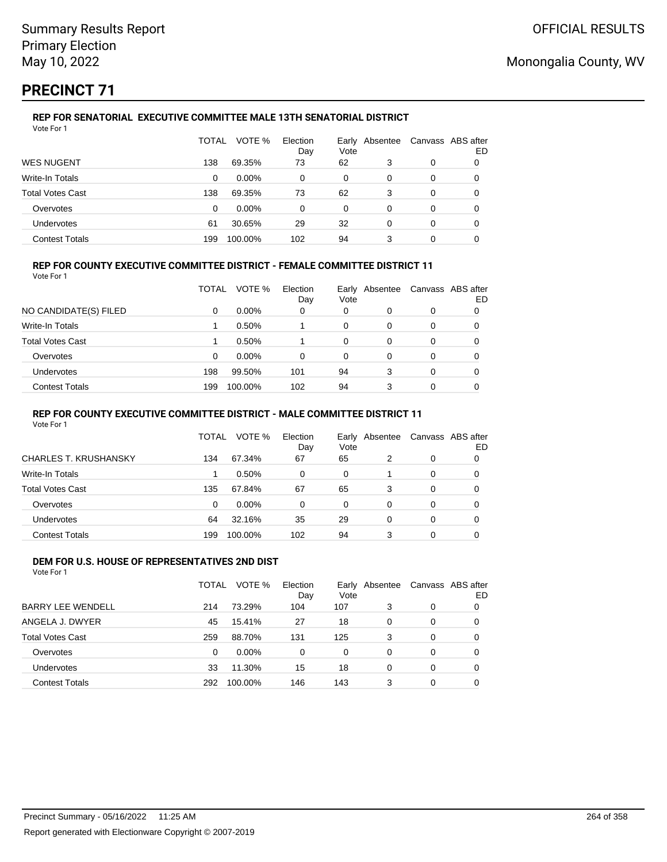# **PRECINCT 71**

### **REP FOR SENATORIAL EXECUTIVE COMMITTEE MALE 13TH SENATORIAL DISTRICT** Vote For 1

|                         | TOTAL | VOTE %   | Election<br>Day | Vote | Early Absentee |   | Canvass ABS after<br>ED |
|-------------------------|-------|----------|-----------------|------|----------------|---|-------------------------|
| <b>WES NUGENT</b>       | 138   | 69.35%   | 73              | 62   | 3              | 0 |                         |
| Write-In Totals         | 0     | $0.00\%$ | 0               | 0    | 0              | 0 | O                       |
| <b>Total Votes Cast</b> | 138   | 69.35%   | 73              | 62   | 3              | 0 | 0                       |
| Overvotes               | 0     | $0.00\%$ | 0               | 0    | 0              | 0 |                         |
| <b>Undervotes</b>       | 61    | 30.65%   | 29              | 32   | 0              | 0 | 0                       |
| <b>Contest Totals</b>   | 199   | 100.00%  | 102             | 94   | 3              | 0 |                         |

### **REP FOR COUNTY EXECUTIVE COMMITTEE DISTRICT - FEMALE COMMITTEE DISTRICT 11**

Vote For 1

|                       | TOTAL | VOTE %   | Election<br>Day | Vote | Early Absentee | Canvass ABS after | ED |
|-----------------------|-------|----------|-----------------|------|----------------|-------------------|----|
| NO CANDIDATE(S) FILED | 0     | $0.00\%$ | 0               | 0    | 0              | 0                 |    |
| Write-In Totals       |       | 0.50%    |                 | 0    | 0              | 0                 |    |
| Total Votes Cast      |       | 0.50%    |                 | 0    | 0              | 0                 |    |
| Overvotes             | 0     | $0.00\%$ | 0               | 0    | 0              | 0                 |    |
| Undervotes            | 198   | 99.50%   | 101             | 94   | 3              | 0                 |    |
| <b>Contest Totals</b> | 199   | 100.00%  | 102             | 94   | 3              | 0                 |    |

### **REP FOR COUNTY EXECUTIVE COMMITTEE DISTRICT - MALE COMMITTEE DISTRICT 11**

Vote For 1

|                              | TOTAL    | VOTE %  | Election<br>Day | Vote     | Early Absentee |   | Canvass ABS after<br>ED |
|------------------------------|----------|---------|-----------------|----------|----------------|---|-------------------------|
| <b>CHARLES T. KRUSHANSKY</b> | 134      | 67.34%  | 67              | 65       | 2              | 0 |                         |
| Write-In Totals              |          | 0.50%   | 0               | 0        |                | 0 |                         |
| Total Votes Cast             | 135      | 67.84%  | 67              | 65       | 3              | 0 |                         |
| Overvotes                    | $\Omega$ | 0.00%   | $\Omega$        | $\Omega$ | 0              | 0 |                         |
| <b>Undervotes</b>            | 64       | 32.16%  | 35              | 29       | 0              | 0 |                         |
| <b>Contest Totals</b>        | 199      | 100.00% | 102             | 94       | 3              | 0 |                         |

#### **DEM FOR U.S. HOUSE OF REPRESENTATIVES 2ND DIST** Vote For 1

|                          | TOTAL    | VOTE %   | Election<br>Day | Vote     | Early Absentee |          | Canvass ABS after<br>ED |
|--------------------------|----------|----------|-----------------|----------|----------------|----------|-------------------------|
| <b>BARRY LEE WENDELL</b> | 214      | 73.29%   | 104             | 107      | 3              | 0        | 0                       |
| ANGELA J. DWYER          | 45       | 15.41%   | 27              | 18       | $\Omega$       | $\Omega$ | 0                       |
| <b>Total Votes Cast</b>  | 259      | 88.70%   | 131             | 125      | 3              | $\Omega$ | 0                       |
| Overvotes                | $\Omega$ | $0.00\%$ | 0               | $\Omega$ | 0              | $\Omega$ | 0                       |
| Undervotes               | 33       | 11.30%   | 15              | 18       | $\Omega$       | $\Omega$ | 0                       |
| <b>Contest Totals</b>    | 292      | 100.00%  | 146             | 143      | 3              | 0        | 0                       |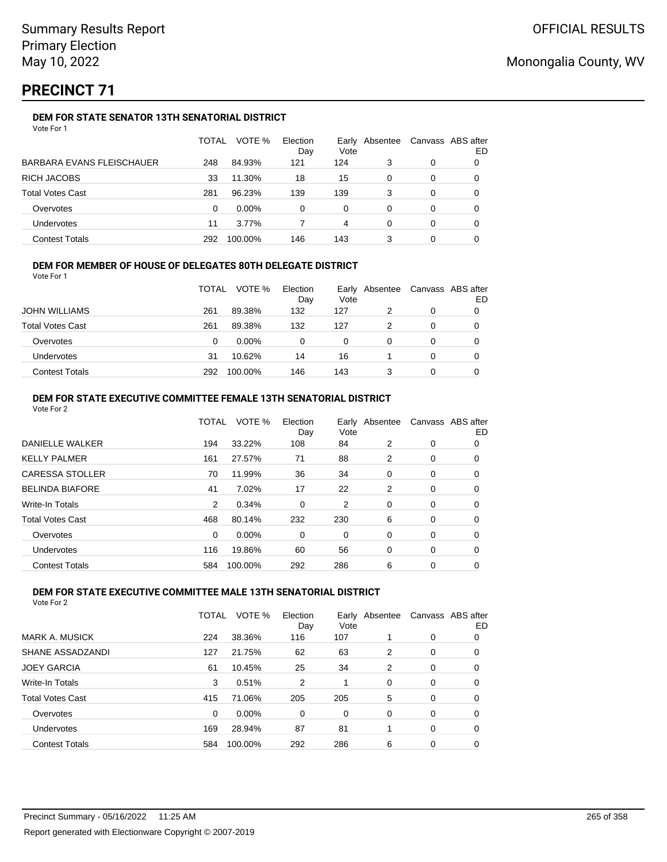# **PRECINCT 71**

## **DEM FOR STATE SENATOR 13TH SENATORIAL DISTRICT**

|                                  | TOTAL | VOTE %  | Election<br>Day | Vote | Early Absentee | Canvass ABS after | ED |
|----------------------------------|-------|---------|-----------------|------|----------------|-------------------|----|
| <b>BARBARA EVANS FLEISCHAUER</b> | 248   | 84.93%  | 121             | 124  | 3              | 0                 |    |
| RICH JACOBS                      | 33    | 11.30%  | 18              | 15   | 0              | 0                 |    |
| <b>Total Votes Cast</b>          | 281   | 96.23%  | 139             | 139  | 3              | 0                 |    |
| Overvotes                        | 0     | 0.00%   | 0               | 0    | 0              | 0                 |    |
| <b>Undervotes</b>                | 11    | 3.77%   |                 | 4    | 0              | 0                 |    |
| <b>Contest Totals</b>            | 292   | 100.00% | 146             | 143  |                | 0                 |    |

### **DEM FOR MEMBER OF HOUSE OF DELEGATES 80TH DELEGATE DISTRICT**

Vote For 1

|                         | <b>TOTAL</b> | VOTE %   | Election<br>Day | Vote | Early Absentee |   | Canvass ABS after<br>ED |
|-------------------------|--------------|----------|-----------------|------|----------------|---|-------------------------|
| <b>JOHN WILLIAMS</b>    | 261          | 89.38%   | 132             | 127  |                | 0 |                         |
| <b>Total Votes Cast</b> | 261          | 89.38%   | 132             | 127  |                |   |                         |
| Overvotes               | 0            | $0.00\%$ | 0               | 0    |                |   |                         |
| <b>Undervotes</b>       | 31           | 10.62%   | 14              | 16   |                |   |                         |
| <b>Contest Totals</b>   | 292          | 100.00%  | 146             | 143  |                |   |                         |

### **DEM FOR STATE EXECUTIVE COMMITTEE FEMALE 13TH SENATORIAL DISTRICT**

| Vote For 2              |              |         |                 |      |                |             |                         |
|-------------------------|--------------|---------|-----------------|------|----------------|-------------|-------------------------|
|                         | <b>TOTAL</b> | VOTE %  | Election<br>Day | Vote | Early Absentee |             | Canvass ABS after<br>ED |
| DANIELLE WALKER         | 194          | 33.22%  | 108             | 84   | 2              | 0           | 0                       |
| <b>KELLY PALMER</b>     | 161          | 27.57%  | 71              | 88   | 2              | 0           | 0                       |
| <b>CARESSA STOLLER</b>  | 70           | 11.99%  | 36              | 34   | 0              | 0           | 0                       |
| <b>BELINDA BIAFORE</b>  | 41           | 7.02%   | 17              | 22   | $\overline{2}$ | 0           | 0                       |
| Write-In Totals         | 2            | 0.34%   | 0               | 2    | 0              | 0           | 0                       |
| <b>Total Votes Cast</b> | 468          | 80.14%  | 232             | 230  | 6              | 0           | 0                       |
| Overvotes               | 0            | 0.00%   | 0               | 0    | 0              | 0           | 0                       |
| <b>Undervotes</b>       | 116          | 19.86%  | 60              | 56   | 0              | 0           | 0                       |
| <b>Contest Totals</b>   | 584          | 100.00% | 292             | 286  | 6              | $\mathbf 0$ | 0                       |

### **DEM FOR STATE EXECUTIVE COMMITTEE MALE 13TH SENATORIAL DISTRICT**

|                         | TOTAL    | VOTE %  | Election<br>Day | Vote     | Early Absentee |          | Canvass ABS after<br>ED |
|-------------------------|----------|---------|-----------------|----------|----------------|----------|-------------------------|
| <b>MARK A. MUSICK</b>   | 224      | 38.36%  | 116             | 107      |                | 0        | 0                       |
| SHANE ASSADZANDI        | 127      | 21.75%  | 62              | 63       | 2              | 0        | 0                       |
| <b>JOEY GARCIA</b>      | 61       | 10.45%  | 25              | 34       | 2              | 0        | 0                       |
| Write-In Totals         | 3        | 0.51%   | 2               |          | $\Omega$       | 0        | 0                       |
| <b>Total Votes Cast</b> | 415      | 71.06%  | 205             | 205      | 5              | $\Omega$ | 0                       |
| Overvotes               | $\Omega$ | 0.00%   | $\Omega$        | $\Omega$ | $\Omega$       | $\Omega$ | 0                       |
| Undervotes              | 169      | 28.94%  | 87              | 81       |                | $\Omega$ | 0                       |
| <b>Contest Totals</b>   | 584      | 100.00% | 292             | 286      | 6              | 0        | 0                       |
|                         |          |         |                 |          |                |          |                         |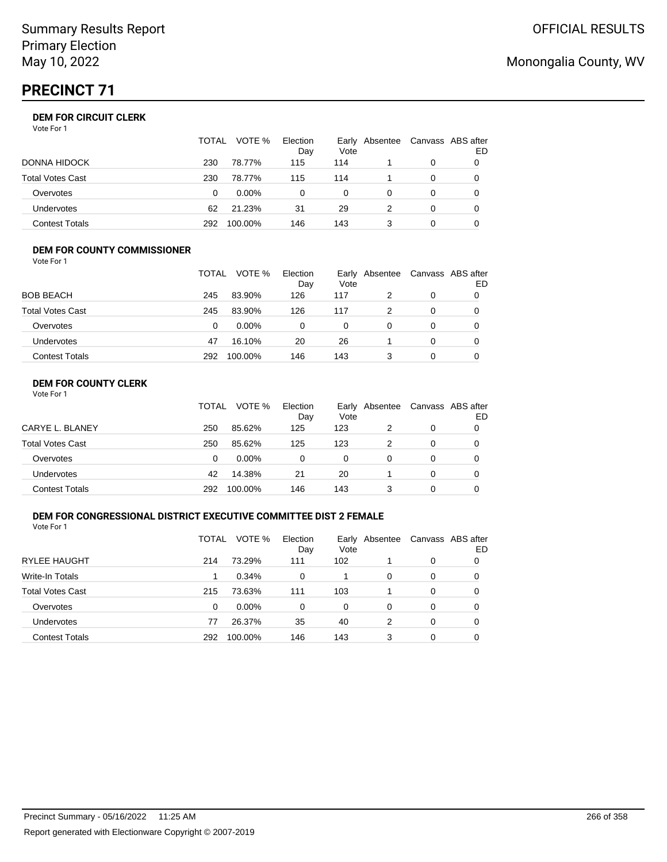# **PRECINCT 71**

## **DEM FOR CIRCUIT CLERK**

| Vote For 1 |  |  |
|------------|--|--|
|            |  |  |

|                       | TOTAL | VOTE %   | Election<br>Day | Vote     | Early Absentee |          | Canvass ABS after<br>ED |
|-----------------------|-------|----------|-----------------|----------|----------------|----------|-------------------------|
| DONNA HIDOCK          | 230   | 78.77%   | 115             | 114      |                |          |                         |
| Total Votes Cast      | 230   | 78.77%   | 115             | 114      |                |          |                         |
| Overvotes             | 0     | $0.00\%$ |                 | $\Omega$ |                |          |                         |
| <b>Undervotes</b>     | 62    | 21.23%   | 31              | 29       |                | $\Omega$ |                         |
| <b>Contest Totals</b> | 292   | 100.00%  | 146             | 143      |                |          |                         |

#### **DEM FOR COUNTY COMMISSIONER** Vote For 1

|                         | TOTAL | VOTE %   | Election<br>Day | Vote | Early Absentee | Canvass ABS after | ED |
|-------------------------|-------|----------|-----------------|------|----------------|-------------------|----|
| <b>BOB BEACH</b>        | 245   | 83.90%   | 126             | 117  | 2              | 0                 |    |
| <b>Total Votes Cast</b> | 245   | 83.90%   | 126             | 117  |                | 0                 |    |
| Overvotes               | 0     | $0.00\%$ | 0               | 0    | $\Omega$       | $\Omega$          |    |
| <b>Undervotes</b>       | 47    | 16.10%   | 20              | 26   |                | 0                 |    |
| <b>Contest Totals</b>   | 292   | 100.00%  | 146             | 143  |                | $\Omega$          |    |

## **DEM FOR COUNTY CLERK**

|                         | <b>TOTAL</b> | VOTE %   | Election<br>Day | Vote | Early Absentee | Canvass ABS after | ED |
|-------------------------|--------------|----------|-----------------|------|----------------|-------------------|----|
| CARYE L. BLANEY         | 250          | 85.62%   | 125             | 123  |                | 0                 |    |
| <b>Total Votes Cast</b> | 250          | 85.62%   | 125             | 123  |                | 0                 |    |
| Overvotes               | 0            | $0.00\%$ | 0               | 0    | Ω              | 0                 |    |
| <b>Undervotes</b>       | 42           | 14.38%   | 21              | 20   |                | 0                 |    |
| <b>Contest Totals</b>   | 292          | 100.00%  | 146             | 143  |                | 0                 |    |

### **DEM FOR CONGRESSIONAL DISTRICT EXECUTIVE COMMITTEE DIST 2 FEMALE**

Vote For 1

|                         | TOTAL | VOTE %   | Election<br>Day | Early<br>Vote | Absentee | Canvass ABS after | ED |
|-------------------------|-------|----------|-----------------|---------------|----------|-------------------|----|
| <b>RYLEE HAUGHT</b>     | 214   | 73.29%   | 111             | 102           |          | 0                 | O  |
| Write-In Totals         |       | 0.34%    | $\Omega$        |               | 0        | 0                 | O  |
| <b>Total Votes Cast</b> | 215   | 73.63%   | 111             | 103           |          | 0                 | O  |
| Overvotes               | 0     | $0.00\%$ | $\Omega$        | 0             | 0        | 0                 | 0  |
| Undervotes              | 77    | 26.37%   | 35              | 40            | 2        | 0                 | 0  |
| <b>Contest Totals</b>   | 292   | 100.00%  | 146             | 143           | 3        | 0                 |    |

# Monongalia County, WV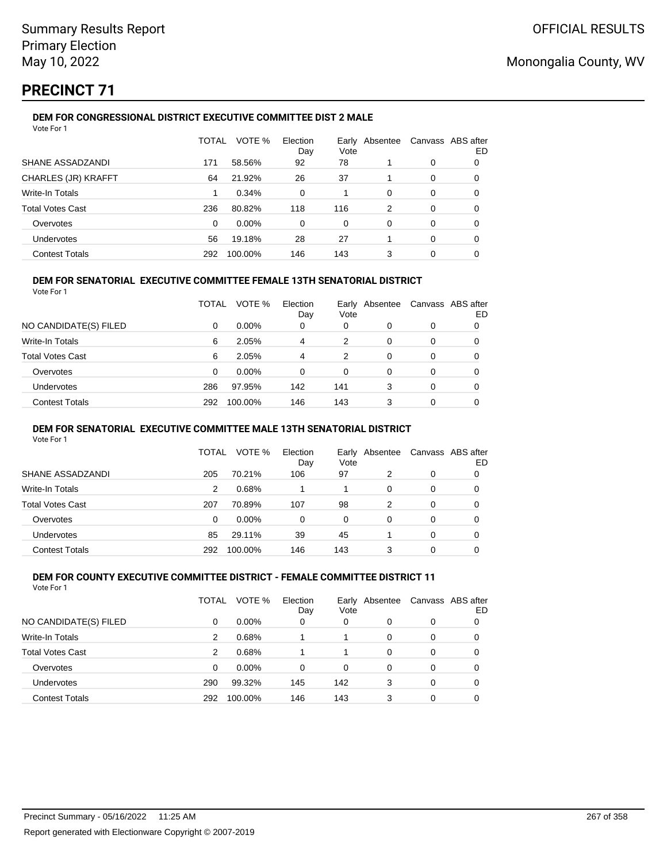# **PRECINCT 71**

#### **DEM FOR CONGRESSIONAL DISTRICT EXECUTIVE COMMITTEE DIST 2 MALE** Vote For 1

|                            | TOTAL    | VOTE %   | Election<br>Day | Early<br>Vote | Absentee |          | Canvass ABS after<br>ED |
|----------------------------|----------|----------|-----------------|---------------|----------|----------|-------------------------|
| SHANE ASSADZANDI           | 171      | 58.56%   | 92              | 78            |          | $\Omega$ | 0                       |
| <b>CHARLES (JR) KRAFFT</b> | 64       | 21.92%   | 26              | 37            |          | $\Omega$ | 0                       |
| Write-In Totals            |          | 0.34%    | $\Omega$        |               | $\Omega$ | $\Omega$ | 0                       |
| <b>Total Votes Cast</b>    | 236      | 80.82%   | 118             | 116           | 2        | 0        | 0                       |
| Overvotes                  | $\Omega$ | $0.00\%$ | $\Omega$        | $\Omega$      | $\Omega$ | $\Omega$ | 0                       |
| Undervotes                 | 56       | 19.18%   | 28              | 27            |          | $\Omega$ | 0                       |
| <b>Contest Totals</b>      | 292      | 100.00%  | 146             | 143           | 3        | $\Omega$ | 0                       |

### **DEM FOR SENATORIAL EXECUTIVE COMMITTEE FEMALE 13TH SENATORIAL DISTRICT**

Vote For 1

|                         | TOTAL | VOTE %   | Election<br>Day | Vote     | Early Absentee |          | Canvass ABS after<br>ED |
|-------------------------|-------|----------|-----------------|----------|----------------|----------|-------------------------|
| NO CANDIDATE(S) FILED   | 0     | $0.00\%$ | 0               | 0        |                | 0        |                         |
| Write-In Totals         | 6     | 2.05%    | 4               | 2        | 0              | $\Omega$ | 0                       |
| <b>Total Votes Cast</b> | 6     | 2.05%    | 4               | 2        | 0              | 0        |                         |
| Overvotes               | 0     | $0.00\%$ | $\Omega$        | $\Omega$ | 0              | $\Omega$ | 0                       |
| <b>Undervotes</b>       | 286   | 97.95%   | 142             | 141      | 3              | $\Omega$ | 0                       |
| <b>Contest Totals</b>   | 292   | 100.00%  | 146             | 143      | 3              |          |                         |

### **DEM FOR SENATORIAL EXECUTIVE COMMITTEE MALE 13TH SENATORIAL DISTRICT**

Vote For 1

|                         | TOTAL | VOTE %   | Election<br>Day | Vote | Early Absentee | Canvass ABS after | ED |
|-------------------------|-------|----------|-----------------|------|----------------|-------------------|----|
| SHANE ASSADZANDI        | 205   | 70.21%   | 106             | 97   | 2              | 0                 |    |
| <b>Write-In Totals</b>  | 2     | 0.68%    |                 |      | 0              | 0                 | O  |
| <b>Total Votes Cast</b> | 207   | 70.89%   | 107             | 98   | 2              | 0                 |    |
| Overvotes               | 0     | $0.00\%$ | 0               | 0    | 0              | 0                 |    |
| Undervotes              | 85    | 29.11%   | 39              | 45   |                | 0                 |    |
| <b>Contest Totals</b>   | 292   | 100.00%  | 146             | 143  |                | 0                 |    |

#### **DEM FOR COUNTY EXECUTIVE COMMITTEE DISTRICT - FEMALE COMMITTEE DISTRICT 11** Vote For 1

|                         | TOTAL | VOTE %   | Election<br>Day | Vote | Early Absentee |   | Canvass ABS after<br>ED |
|-------------------------|-------|----------|-----------------|------|----------------|---|-------------------------|
| NO CANDIDATE(S) FILED   | 0     | $0.00\%$ | 0               | 0    | 0              | 0 |                         |
| Write-In Totals         | 2     | 0.68%    |                 | 1    | 0              | 0 |                         |
| <b>Total Votes Cast</b> | 2     | 0.68%    |                 |      | 0              | 0 |                         |
| Overvotes               | 0     | 0.00%    | $\Omega$        | 0    | 0              | 0 |                         |
| Undervotes              | 290   | 99.32%   | 145             | 142  | 3              | 0 |                         |
| <b>Contest Totals</b>   | 292   | 100.00%  | 146             | 143  | 3              | 0 |                         |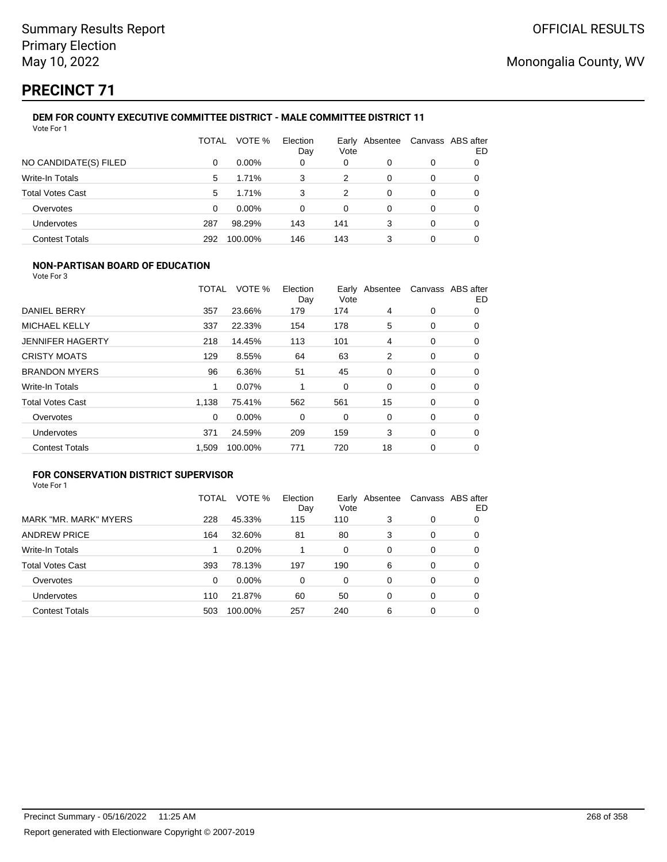# **PRECINCT 71**

### **DEM FOR COUNTY EXECUTIVE COMMITTEE DISTRICT - MALE COMMITTEE DISTRICT 11** Vote For 1

|                         | TOTAL | VOTE %   | Election<br>Day | Early<br>Vote | Absentee | Canvass ABS after | ED |
|-------------------------|-------|----------|-----------------|---------------|----------|-------------------|----|
| NO CANDIDATE(S) FILED   | 0     | $0.00\%$ | 0               | 0             | 0        | 0                 |    |
| Write-In Totals         | 5     | 1.71%    | 3               | 2             | 0        | 0                 |    |
| <b>Total Votes Cast</b> | 5     | 1.71%    | 3               | 2             | 0        | 0                 | 0  |
| Overvotes               | 0     | $0.00\%$ | 0               | 0             | 0        | 0                 |    |
| Undervotes              | 287   | 98.29%   | 143             | 141           | 3        | 0                 | 0  |
| <b>Contest Totals</b>   | 292   | 100.00%  | 146             | 143           | 3        | 0                 |    |

### **NON-PARTISAN BOARD OF EDUCATION**

Vote For 3

|                         | TOTAL | VOTE %  | Election<br>Day | Vote | Early Absentee |   | Canvass ABS after<br>ED |
|-------------------------|-------|---------|-----------------|------|----------------|---|-------------------------|
| DANIEL BERRY            | 357   | 23.66%  | 179             | 174  | 4              | 0 | 0                       |
| <b>MICHAEL KELLY</b>    | 337   | 22.33%  | 154             | 178  | 5              | 0 | 0                       |
| <b>JENNIFER HAGERTY</b> | 218   | 14.45%  | 113             | 101  | 4              | 0 | 0                       |
| <b>CRISTY MOATS</b>     | 129   | 8.55%   | 64              | 63   | 2              | 0 | 0                       |
| <b>BRANDON MYERS</b>    | 96    | 6.36%   | 51              | 45   | 0              | 0 | 0                       |
| <b>Write-In Totals</b>  | 1     | 0.07%   |                 | 0    | $\Omega$       | 0 | 0                       |
| <b>Total Votes Cast</b> | 1,138 | 75.41%  | 562             | 561  | 15             | 0 | 0                       |
| Overvotes               | 0     | 0.00%   | 0               | 0    | 0              | 0 | 0                       |
| Undervotes              | 371   | 24.59%  | 209             | 159  | 3              | 0 | 0                       |
| <b>Contest Totals</b>   | 1,509 | 100.00% | 771             | 720  | 18             | 0 | 0                       |

## **FOR CONSERVATION DISTRICT SUPERVISOR**

|                         | TOTAL | VOTE %  | Election<br>Day | Early<br>Vote | Absentee |   | Canvass ABS after<br>ED |
|-------------------------|-------|---------|-----------------|---------------|----------|---|-------------------------|
| MARK "MR. MARK" MYERS   | 228   | 45.33%  | 115             | 110           | 3        | 0 | 0                       |
| <b>ANDREW PRICE</b>     | 164   | 32.60%  | 81              | 80            | 3        | 0 | 0                       |
| Write-In Totals         |       | 0.20%   |                 | $\Omega$      | $\Omega$ | 0 | O                       |
| <b>Total Votes Cast</b> | 393   | 78.13%  | 197             | 190           | 6        | 0 | 0                       |
| Overvotes               | 0     | 0.00%   | $\Omega$        | 0             | 0        | 0 | 0                       |
| <b>Undervotes</b>       | 110   | 21.87%  | 60              | 50            | 0        | 0 | 0                       |
| <b>Contest Totals</b>   | 503   | 100.00% | 257             | 240           | 6        | 0 |                         |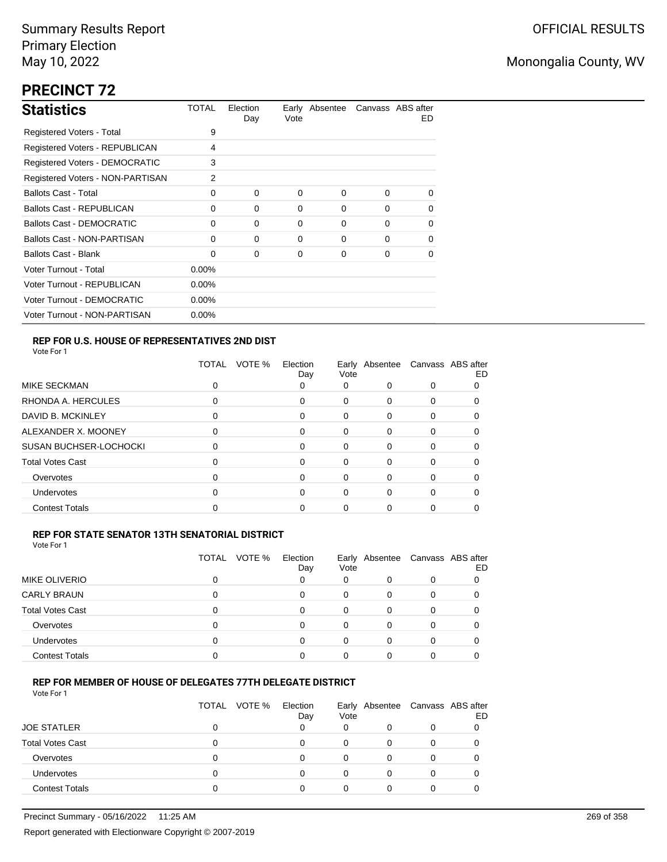# **PRECINCT 72**

| <b>Statistics</b>                     | TOTAL    | Election<br>Day | Vote | Early Absentee |          | Canvass ABS after<br>ED. |
|---------------------------------------|----------|-----------------|------|----------------|----------|--------------------------|
| Registered Voters - Total             | 9        |                 |      |                |          |                          |
| Registered Voters - REPUBLICAN        | 4        |                 |      |                |          |                          |
| <b>Registered Voters - DEMOCRATIC</b> | 3        |                 |      |                |          |                          |
| Registered Voters - NON-PARTISAN      | 2        |                 |      |                |          |                          |
| <b>Ballots Cast - Total</b>           | 0        | 0               | 0    | 0              | $\Omega$ | $\Omega$                 |
| <b>Ballots Cast - REPUBLICAN</b>      | 0        | 0               | 0    | 0              | $\Omega$ | $\Omega$                 |
| Ballots Cast - DEMOCRATIC             | $\Omega$ | $\Omega$        | 0    | 0              | $\Omega$ | 0                        |
| Ballots Cast - NON-PARTISAN           | 0        | $\Omega$        | 0    | 0              | $\Omega$ | 0                        |
| <b>Ballots Cast - Blank</b>           | 0        | $\Omega$        | 0    | 0              | $\Omega$ | 0                        |
| Voter Turnout - Total                 | $0.00\%$ |                 |      |                |          |                          |
| Voter Turnout - REPUBLICAN            | $0.00\%$ |                 |      |                |          |                          |
| Voter Turnout - DEMOCRATIC            | $0.00\%$ |                 |      |                |          |                          |
| Voter Turnout - NON-PARTISAN          | $0.00\%$ |                 |      |                |          |                          |

## **REP FOR U.S. HOUSE OF REPRESENTATIVES 2ND DIST**

Vote For 1

|                               | VOTE %<br>TOTAL | Election<br>Day | Vote | Early Absentee Canvass ABS after |   | ED |
|-------------------------------|-----------------|-----------------|------|----------------------------------|---|----|
| MIKE SECKMAN                  |                 | 0               | 0    |                                  |   |    |
| RHONDA A. HERCULES            | 0               | 0               | 0    | 0                                | 0 |    |
| DAVID B. MCKINLEY             | 0               | 0               | 0    | 0                                | 0 |    |
| ALEXANDER X. MOONEY           | ი               | 0               | 0    | 0                                | 0 |    |
| <b>SUSAN BUCHSER-LOCHOCKI</b> | ი               | 0               | 0    | 0                                | 0 |    |
| <b>Total Votes Cast</b>       | ი               | 0               | 0    | 0                                | 0 |    |
| Overvotes                     | 0               | 0               | 0    | 0                                | 0 |    |
| Undervotes                    | 0               | 0               | 0    | 0                                | 0 |    |
| <b>Contest Totals</b>         |                 |                 | O    |                                  |   |    |

### **REP FOR STATE SENATOR 13TH SENATORIAL DISTRICT** Vote For 1

|                         | VOTE %<br>TOTAL | Election<br>Day | Vote | Early Absentee Canvass ABS after | ED |
|-------------------------|-----------------|-----------------|------|----------------------------------|----|
| <b>MIKE OLIVERIO</b>    |                 |                 | 0    | 0                                |    |
| <b>CARLY BRAUN</b>      |                 |                 |      |                                  |    |
| <b>Total Votes Cast</b> |                 |                 |      | O                                |    |
| Overvotes               |                 | n               |      |                                  |    |
| <b>Undervotes</b>       |                 |                 |      |                                  |    |
| <b>Contest Totals</b>   |                 |                 |      |                                  |    |

### **REP FOR MEMBER OF HOUSE OF DELEGATES 77TH DELEGATE DISTRICT**

|                         | TOTAL VOTE % | Election<br>Day | Vote |          | Early Absentee Canvass ABS after | ED |
|-------------------------|--------------|-----------------|------|----------|----------------------------------|----|
| <b>JOE STATLER</b>      |              |                 | 0    | $\Omega$ | 0                                |    |
| <b>Total Votes Cast</b> |              |                 | 0    | O        |                                  |    |
| Overvotes               |              |                 | O    |          |                                  |    |
| <b>Undervotes</b>       |              |                 | 0    | 0        | 0                                |    |
| <b>Contest Totals</b>   |              |                 | ი    | 0        |                                  |    |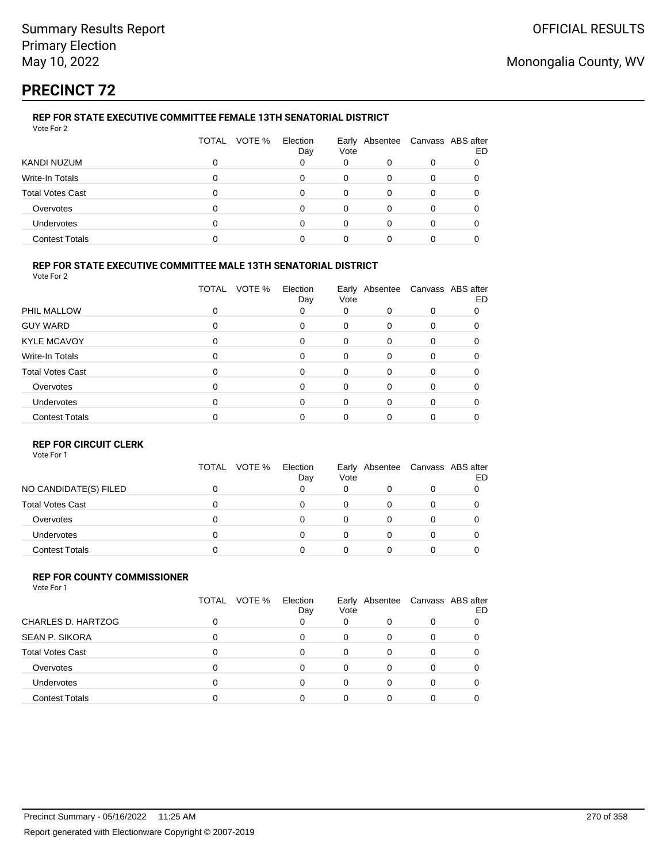# **PRECINCT 72**

#### **REP FOR STATE EXECUTIVE COMMITTEE FEMALE 13TH SENATORIAL DISTRICT** Vote For 2

| 1 U U U L               |                 |                 |          |                                  |     |
|-------------------------|-----------------|-----------------|----------|----------------------------------|-----|
|                         | VOTE %<br>TOTAL | Election<br>Day | Vote     | Early Absentee Canvass ABS after | ED. |
| KANDI NUZUM             |                 |                 | 0        | 0                                |     |
| Write-In Totals         | O               |                 | $\Omega$ |                                  |     |
| <b>Total Votes Cast</b> |                 | U               | $\Omega$ |                                  |     |
| Overvotes               |                 |                 | $\Omega$ |                                  |     |
| <b>Undervotes</b>       |                 |                 | 0        |                                  |     |
| <b>Contest Totals</b>   |                 |                 |          |                                  |     |

### **REP FOR STATE EXECUTIVE COMMITTEE MALE 13TH SENATORIAL DISTRICT**

Vote For 2

|                         | VOTE %<br><b>TOTAL</b> | Election<br>Day | Vote         | Early Absentee | Canvass ABS after | ED |
|-------------------------|------------------------|-----------------|--------------|----------------|-------------------|----|
| PHIL MALLOW             | 0                      | 0               | 0            | $\Omega$       | 0                 |    |
| <b>GUY WARD</b>         | 0                      | 0               | $\Omega$     | 0              | 0                 |    |
| <b>KYLE MCAVOY</b>      | 0                      | $\Omega$        | $\Omega$     | $\Omega$       | $\Omega$          | 0  |
| Write-In Totals         | 0                      | $\Omega$        | $\Omega$     | $\Omega$       | $\Omega$          | 0  |
| <b>Total Votes Cast</b> |                        | $\Omega$        | $\Omega$     | $\Omega$       | $\Omega$          |    |
| Overvotes               |                        | $\Omega$        | $\Omega$     | $\Omega$       | $\Omega$          |    |
| Undervotes              |                        | $\Omega$        | 0            | $\Omega$       | $\Omega$          |    |
| <b>Contest Totals</b>   |                        |                 | <sup>0</sup> | $\Omega$       |                   |    |
|                         |                        |                 |              |                |                   |    |

### **REP FOR CIRCUIT CLERK**

Vote For 1

|                         | VOTE %<br>TOTAL | Election<br>Day | Vote | Early Absentee Canvass ABS after | ED |
|-------------------------|-----------------|-----------------|------|----------------------------------|----|
| NO CANDIDATE(S) FILED   |                 |                 | 0    | 0                                |    |
| <b>Total Votes Cast</b> |                 |                 | 0    | 0                                |    |
| Overvotes               |                 | 0               | 0    |                                  |    |
| <b>Undervotes</b>       |                 | 0               | 0    | 0                                |    |
| <b>Contest Totals</b>   |                 |                 |      |                                  |    |

#### **REP FOR COUNTY COMMISSIONER** Vote For 1

|                         | TOTAL | VOTE % | Election<br>Day | Vote | Early Absentee |   | Canvass ABS after<br>ED |
|-------------------------|-------|--------|-----------------|------|----------------|---|-------------------------|
| CHARLES D. HARTZOG      |       |        |                 | 0    | 0              | 0 |                         |
| <b>SEAN P. SIKORA</b>   |       |        | 0               | 0    | 0              | 0 |                         |
| <b>Total Votes Cast</b> |       |        | 0               | 0    | $\Omega$       | 0 |                         |
| Overvotes               |       |        | $\Omega$        | 0    | 0              | 0 |                         |
| <b>Undervotes</b>       |       |        | 0               | 0    | 0              | 0 |                         |
| <b>Contest Totals</b>   |       |        |                 |      |                | 0 |                         |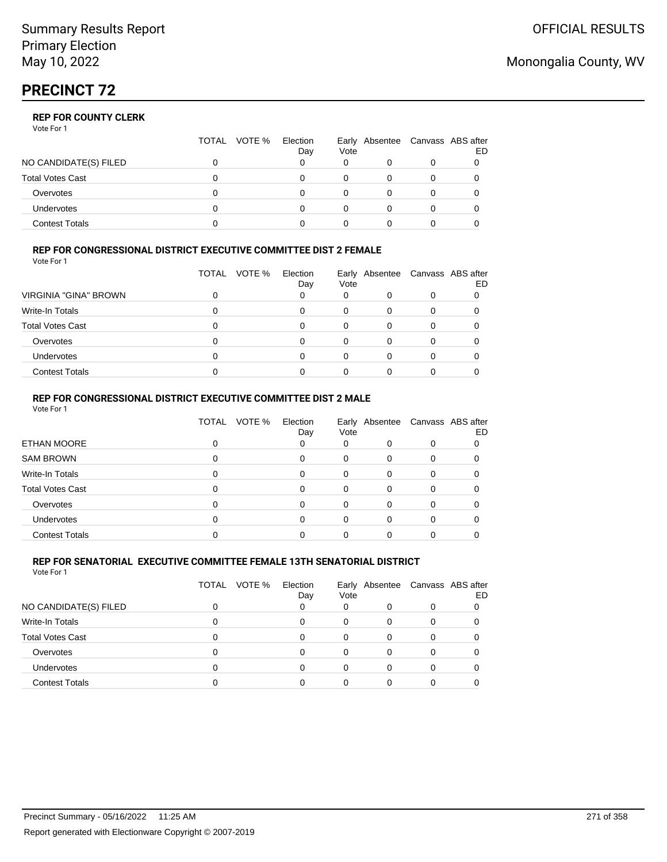# **PRECINCT 72**

## **REP FOR COUNTY CLERK**

Vote For 1

|                         | TOTAL<br>VOTE % | Election<br>Day | Vote | Early Absentee Canvass ABS after | ED |
|-------------------------|-----------------|-----------------|------|----------------------------------|----|
| NO CANDIDATE(S) FILED   |                 |                 |      |                                  |    |
| <b>Total Votes Cast</b> |                 |                 |      |                                  |    |
| Overvotes               |                 |                 |      |                                  |    |
| <b>Undervotes</b>       |                 |                 |      | O                                |    |
| <b>Contest Totals</b>   |                 |                 |      |                                  |    |

### **REP FOR CONGRESSIONAL DISTRICT EXECUTIVE COMMITTEE DIST 2 FEMALE**

Vote For 1

|                              | TOTAL<br>VOTE % | Election<br>Day | Vote | Early Absentee Canvass ABS after | ED |
|------------------------------|-----------------|-----------------|------|----------------------------------|----|
| <b>VIRGINIA "GINA" BROWN</b> |                 |                 |      |                                  |    |
| Write-In Totals              |                 |                 |      |                                  |    |
| <b>Total Votes Cast</b>      |                 |                 |      |                                  |    |
| Overvotes                    |                 |                 |      |                                  |    |
| Undervotes                   |                 |                 |      |                                  |    |
| <b>Contest Totals</b>        |                 |                 |      |                                  |    |

#### **REP FOR CONGRESSIONAL DISTRICT EXECUTIVE COMMITTEE DIST 2 MALE** Vote For 1

|                         | VOTE %<br><b>TOTAL</b> | Election<br>Day | Vote     |          |          | Early Absentee Canvass ABS after<br>ED |  |
|-------------------------|------------------------|-----------------|----------|----------|----------|----------------------------------------|--|
| ETHAN MOORE             |                        | 0               | 0        | 0        | 0        | 0                                      |  |
| <b>SAM BROWN</b>        |                        | $\Omega$        | $\Omega$ | 0        | 0        | 0                                      |  |
| Write-In Totals         |                        | $\Omega$        | $\Omega$ | 0        | 0        | 0                                      |  |
| <b>Total Votes Cast</b> |                        | $\Omega$        | $\Omega$ | 0        | 0        | 0                                      |  |
| Overvotes               |                        | $\Omega$        | $\Omega$ | $\Omega$ | $\Omega$ | 0                                      |  |
| <b>Undervotes</b>       |                        | $\Omega$        | $\Omega$ | 0        | 0        | 0                                      |  |
| <b>Contest Totals</b>   |                        |                 |          |          |          |                                        |  |
|                         |                        |                 |          |          |          |                                        |  |

#### **REP FOR SENATORIAL EXECUTIVE COMMITTEE FEMALE 13TH SENATORIAL DISTRICT** Vote For 1

|                         | VOTE %<br>TOTAL | Election<br>Day | Vote | Early Absentee | Canvass ABS after | ED |
|-------------------------|-----------------|-----------------|------|----------------|-------------------|----|
| NO CANDIDATE(S) FILED   |                 |                 | 0    |                |                   |    |
| Write-In Totals         | ი               |                 | 0    |                |                   |    |
| <b>Total Votes Cast</b> | ი               |                 | 0    | 0              |                   |    |
| Overvotes               | ი               |                 | 0    | 0              |                   |    |
| <b>Undervotes</b>       | ი               |                 | 0    |                |                   |    |
| <b>Contest Totals</b>   |                 |                 |      |                |                   |    |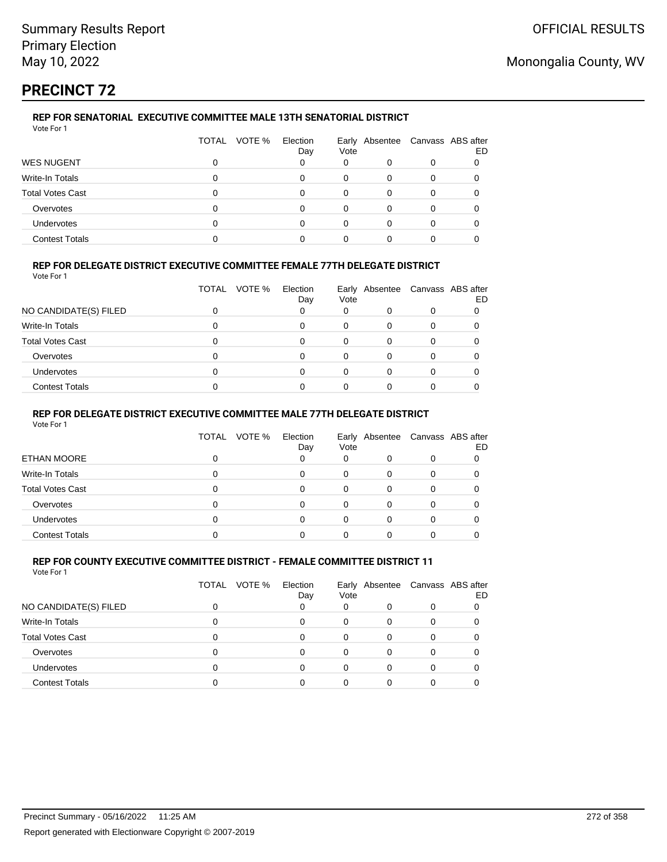# **PRECINCT 72**

## **REP FOR SENATORIAL EXECUTIVE COMMITTEE MALE 13TH SENATORIAL DISTRICT**

| Vote For 1              |                 |                 |      |                                  |   |    |
|-------------------------|-----------------|-----------------|------|----------------------------------|---|----|
|                         | VOTE %<br>TOTAL | Election<br>Day | Vote | Early Absentee Canvass ABS after |   | ED |
| <b>WES NUGENT</b>       |                 | 0               | 0    | 0                                | 0 |    |
| Write-In Totals         |                 | 0               | 0    | $\Omega$                         |   |    |
| <b>Total Votes Cast</b> |                 | 0               | 0    | $\Omega$                         | 0 |    |
| Overvotes               |                 | 0               | 0    | 0                                | 0 |    |
| <b>Undervotes</b>       |                 | 0               | 0    | 0                                |   |    |
| <b>Contest Totals</b>   |                 | ი               | 0    |                                  |   |    |

## **REP FOR DELEGATE DISTRICT EXECUTIVE COMMITTEE FEMALE 77TH DELEGATE DISTRICT**

Vote For 1

|                         | <b>TOTAL</b><br>VOTE % | Election<br>Day | Vote | Early Absentee Canvass ABS after |   | ED |
|-------------------------|------------------------|-----------------|------|----------------------------------|---|----|
| NO CANDIDATE(S) FILED   |                        |                 | 0    |                                  |   |    |
| Write-In Totals         |                        |                 | 0    |                                  | 0 |    |
| <b>Total Votes Cast</b> |                        |                 |      |                                  |   |    |
| Overvotes               |                        |                 |      |                                  |   |    |
| <b>Undervotes</b>       |                        |                 |      |                                  |   |    |
| <b>Contest Totals</b>   |                        |                 |      |                                  |   |    |

### **REP FOR DELEGATE DISTRICT EXECUTIVE COMMITTEE MALE 77TH DELEGATE DISTRICT**

Vote For 1

|                       | TOTAL | VOTE % | Election<br>Day | Vote     | Early Absentee Canvass ABS after |   | ED |
|-----------------------|-------|--------|-----------------|----------|----------------------------------|---|----|
| <b>ETHAN MOORE</b>    |       |        |                 | 0        |                                  | 0 |    |
| Write-In Totals       |       |        |                 | 0        |                                  |   |    |
| Total Votes Cast      |       |        |                 | 0        | 0                                | 0 |    |
| Overvotes             |       |        | ∩               | $\Omega$ | 0                                | 0 |    |
| <b>Undervotes</b>     |       |        | $\Omega$        | $\Omega$ | 0                                | 0 |    |
| <b>Contest Totals</b> |       |        |                 |          |                                  |   |    |

#### **REP FOR COUNTY EXECUTIVE COMMITTEE DISTRICT - FEMALE COMMITTEE DISTRICT 11** Vote For 1

|                         | TOTAL | VOTE % | Election<br>Day | Vote | Early Absentee Canvass ABS after |   | ED |
|-------------------------|-------|--------|-----------------|------|----------------------------------|---|----|
| NO CANDIDATE(S) FILED   |       |        |                 | 0    |                                  | 0 |    |
| Write-In Totals         |       |        | 0               | 0    | 0                                |   |    |
| <b>Total Votes Cast</b> |       |        | 0               | 0    | 0                                |   |    |
| Overvotes               |       |        | 0               | 0    | 0                                | 0 |    |
| <b>Undervotes</b>       |       |        |                 |      | O                                |   |    |
| <b>Contest Totals</b>   |       |        |                 |      |                                  |   |    |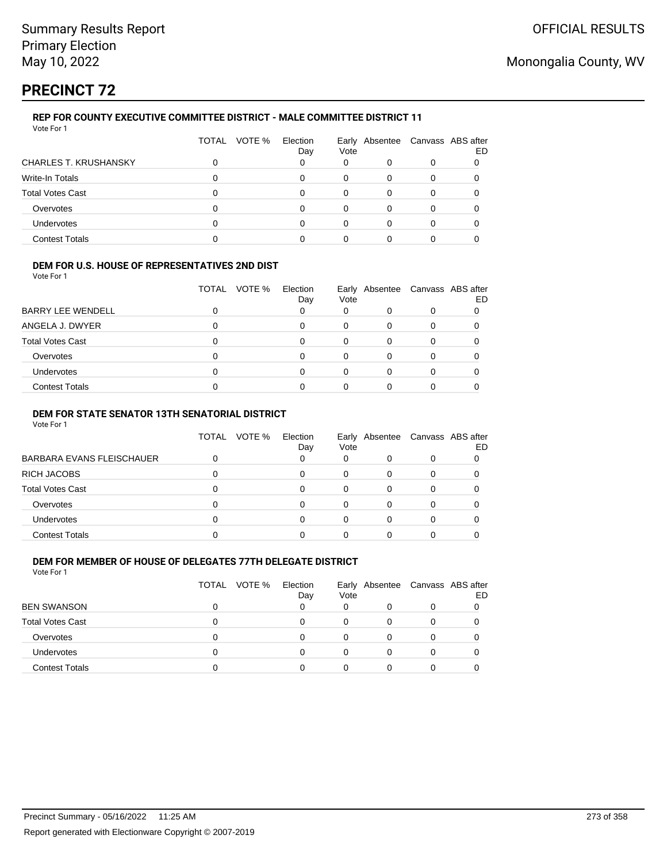# **PRECINCT 72**

#### **REP FOR COUNTY EXECUTIVE COMMITTEE DISTRICT - MALE COMMITTEE DISTRICT 11** Vote For 1

| <u>vuurivii</u>              |                 |                 |      |   |                                  |    |
|------------------------------|-----------------|-----------------|------|---|----------------------------------|----|
|                              | VOTE %<br>TOTAL | Election<br>Day | Vote |   | Early Absentee Canvass ABS after | ED |
| <b>CHARLES T. KRUSHANSKY</b> |                 |                 | 0    | 0 |                                  |    |
| Write-In Totals              | n               | 0               | 0    | 0 |                                  |    |
| <b>Total Votes Cast</b>      |                 | 0               | 0    | 0 |                                  |    |
| Overvotes                    |                 | 0               | 0    | 0 |                                  |    |
| <b>Undervotes</b>            |                 |                 |      | 0 |                                  |    |
| <b>Contest Totals</b>        |                 |                 |      |   |                                  |    |
|                              |                 |                 |      |   |                                  |    |

### **DEM FOR U.S. HOUSE OF REPRESENTATIVES 2ND DIST**

Vote For 1

|                          | VOTE %<br>TOTAL | Election<br>Day | Vote | Early Absentee Canvass ABS after | ED |
|--------------------------|-----------------|-----------------|------|----------------------------------|----|
| <b>BARRY LEE WENDELL</b> |                 |                 | 0    |                                  |    |
| ANGELA J. DWYER          |                 |                 |      |                                  |    |
| <b>Total Votes Cast</b>  |                 |                 |      |                                  |    |
| Overvotes                |                 |                 |      |                                  |    |
| Undervotes               |                 |                 |      |                                  |    |
| <b>Contest Totals</b>    |                 |                 |      |                                  |    |

### **DEM FOR STATE SENATOR 13TH SENATORIAL DISTRICT**

Vote For 1

|                           | TOTAL<br>VOTE % | Election<br>Day | Vote | Early Absentee | Canvass ABS after | ED |
|---------------------------|-----------------|-----------------|------|----------------|-------------------|----|
| BARBARA EVANS FLEISCHAUER |                 |                 | 0    |                |                   |    |
| RICH JACOBS               |                 |                 |      |                |                   |    |
| Total Votes Cast          |                 |                 |      |                |                   |    |
| Overvotes                 |                 |                 |      |                |                   |    |
| <b>Undervotes</b>         |                 |                 |      |                |                   |    |
| <b>Contest Totals</b>     |                 |                 |      |                |                   |    |

### **DEM FOR MEMBER OF HOUSE OF DELEGATES 77TH DELEGATE DISTRICT**

|                         | <b>TOTAL</b><br>VOTE % | Election<br>Day | Vote | Early Absentee Canvass ABS after | ED |
|-------------------------|------------------------|-----------------|------|----------------------------------|----|
| <b>BEN SWANSON</b>      |                        |                 | 0    |                                  |    |
| <b>Total Votes Cast</b> |                        |                 |      |                                  |    |
| Overvotes               |                        |                 |      |                                  |    |
| <b>Undervotes</b>       |                        |                 |      |                                  |    |
| <b>Contest Totals</b>   |                        |                 |      |                                  |    |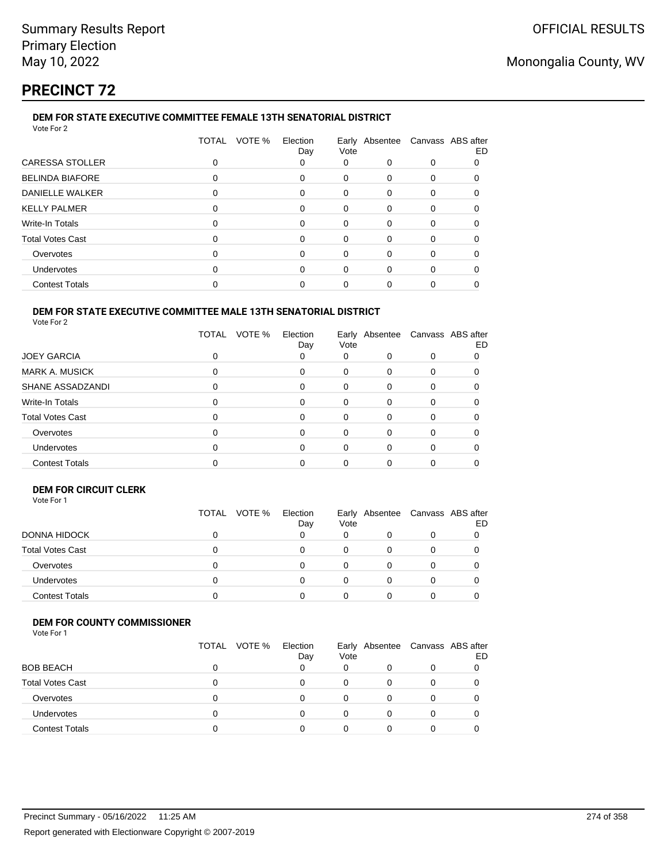# **PRECINCT 72**

#### **DEM FOR STATE EXECUTIVE COMMITTEE FEMALE 13TH SENATORIAL DISTRICT** Vote For 2

|                         | VOTE %<br><b>TOTAL</b> | Election<br>Day | Vote     | Early Absentee | Canvass ABS after | ED |
|-------------------------|------------------------|-----------------|----------|----------------|-------------------|----|
| CARESSA STOLLER         | 0                      | 0               | 0        | 0              | 0                 |    |
| <b>BELINDA BIAFORE</b>  | 0                      | 0               | 0        | $\Omega$       | $\Omega$          | 0  |
| <b>DANIELLE WALKER</b>  | 0                      | 0               | 0        | $\Omega$       | $\Omega$          | 0  |
| <b>KELLY PALMER</b>     | 0                      | $\Omega$        | 0        | $\Omega$       | $\Omega$          |    |
| Write-In Totals         | 0                      | 0               | 0        | $\Omega$       | $\Omega$          |    |
| <b>Total Votes Cast</b> | 0                      | $\Omega$        | 0        | $\Omega$       | $\Omega$          | 0  |
| Overvotes               | 0                      | 0               | 0        | $\Omega$       | $\Omega$          | 0  |
| <b>Undervotes</b>       | 0                      | $\Omega$        | $\Omega$ | $\Omega$       | $\Omega$          | 0  |
| <b>Contest Totals</b>   | 0                      |                 | 0        |                | 0                 |    |
|                         |                        |                 |          |                |                   |    |

#### **DEM FOR STATE EXECUTIVE COMMITTEE MALE 13TH SENATORIAL DISTRICT** Vote For 2

|                         | VOTE %<br>TOTAL | Election<br>Day | Early Absentee<br>Vote |          | Canvass ABS after | ED |
|-------------------------|-----------------|-----------------|------------------------|----------|-------------------|----|
| <b>JOEY GARCIA</b>      | 0               | 0               | 0                      | 0        | 0                 |    |
| <b>MARK A. MUSICK</b>   | 0               | 0               | 0                      | 0        | 0                 |    |
| SHANE ASSADZANDI        | 0               | 0               | 0                      | 0        | 0                 |    |
| Write-In Totals         | 0               | 0               | 0                      | 0        | 0                 |    |
| <b>Total Votes Cast</b> | 0               | $\Omega$        | $\Omega$               | $\Omega$ | 0                 |    |
| Overvotes               | 0               | 0               | 0                      | 0        | 0                 |    |
| <b>Undervotes</b>       | 0               | 0               | 0                      | 0        | 0                 |    |
| <b>Contest Totals</b>   |                 |                 |                        |          |                   |    |

### **DEM FOR CIRCUIT CLERK**

| Vote For 1 |  |
|------------|--|
|------------|--|

|                         | TOTAL<br>VOTE % | Election<br>Day | Vote | Early Absentee |   | Canvass ABS after<br>ED |
|-------------------------|-----------------|-----------------|------|----------------|---|-------------------------|
| DONNA HIDOCK            | 0               |                 | 0    |                | 0 |                         |
| <b>Total Votes Cast</b> | 0               | 0               | 0    |                |   |                         |
| Overvotes               | 0               |                 | 0    |                | 0 |                         |
| <b>Undervotes</b>       |                 |                 | 0    |                |   |                         |
| <b>Contest Totals</b>   |                 |                 |      |                |   |                         |

### **DEM FOR COUNTY COMMISSIONER**

|                         | TOTAL VOTE % | Election<br>Day | Vote | Early Absentee Canvass ABS after | ED |
|-------------------------|--------------|-----------------|------|----------------------------------|----|
| <b>BOB BEACH</b>        |              |                 | 0    | 0                                |    |
| <b>Total Votes Cast</b> |              | 0               | 0    |                                  |    |
| Overvotes               |              | 0               | 0    | 0                                |    |
| <b>Undervotes</b>       |              | n               | 0    | 0                                |    |
| <b>Contest Totals</b>   |              |                 | 0    |                                  |    |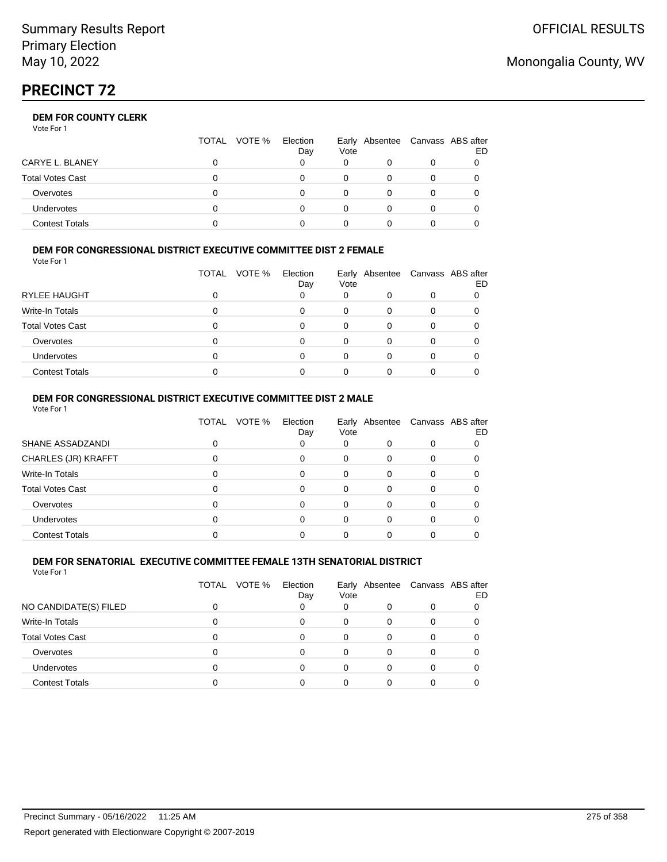# **PRECINCT 72**

## **DEM FOR COUNTY CLERK**

Vote For 1

|                         | TOTAL<br>VOTE % | Election<br>Day | Vote | Early Absentee Canvass ABS after | ED |
|-------------------------|-----------------|-----------------|------|----------------------------------|----|
| CARYE L. BLANEY         |                 |                 |      |                                  |    |
| <b>Total Votes Cast</b> |                 |                 |      |                                  |    |
| Overvotes               |                 |                 |      |                                  |    |
| <b>Undervotes</b>       |                 |                 |      | O                                |    |
| <b>Contest Totals</b>   |                 |                 |      |                                  |    |

### **DEM FOR CONGRESSIONAL DISTRICT EXECUTIVE COMMITTEE DIST 2 FEMALE**

Vote For 1

|                       | TOTAL<br>VOTE % | Election<br>Day | Vote | Early Absentee Canvass ABS after | ED |
|-----------------------|-----------------|-----------------|------|----------------------------------|----|
| RYLEE HAUGHT          |                 |                 | 0    |                                  |    |
| Write-In Totals       |                 |                 | 0    |                                  |    |
| Total Votes Cast      |                 |                 | 0    | 0                                |    |
| Overvotes             |                 |                 |      |                                  |    |
| Undervotes            |                 |                 |      |                                  |    |
| <b>Contest Totals</b> |                 |                 |      |                                  |    |

### **DEM FOR CONGRESSIONAL DISTRICT EXECUTIVE COMMITTEE DIST 2 MALE** Vote For 1

|                         | <b>TOTAL</b> | VOTE % | Election<br>Day | Vote | Early Absentee | Canvass ABS after | ED |
|-------------------------|--------------|--------|-----------------|------|----------------|-------------------|----|
| SHANE ASSADZANDI        |              |        | 0               | 0    |                | $\Omega$          |    |
| CHARLES (JR) KRAFFT     |              |        | 0               | 0    | 0              |                   |    |
| Write-In Totals         |              |        | 0               | 0    | $\Omega$       | 0                 |    |
| <b>Total Votes Cast</b> | 0            |        | 0               | 0    | $\Omega$       | O                 |    |
| Overvotes               |              |        | 0               | 0    | $\Omega$       | 0                 |    |
| <b>Undervotes</b>       |              |        | 0               | 0    | n              | O                 |    |
| <b>Contest Totals</b>   |              |        |                 |      |                |                   |    |

#### **DEM FOR SENATORIAL EXECUTIVE COMMITTEE FEMALE 13TH SENATORIAL DISTRICT** Vote For 1

|                         | TOTAL | VOTE %<br>Election<br>Day | Vote | Early Absentee Canvass ABS after | ED |
|-------------------------|-------|---------------------------|------|----------------------------------|----|
| NO CANDIDATE(S) FILED   |       |                           | 0    |                                  |    |
| Write-In Totals         | ი     |                           | 0    |                                  |    |
| <b>Total Votes Cast</b> | n     | 0                         | 0    |                                  |    |
| Overvotes               | n     | 0                         | 0    |                                  |    |
| <b>Undervotes</b>       | ი     |                           |      |                                  |    |
| <b>Contest Totals</b>   |       |                           |      |                                  |    |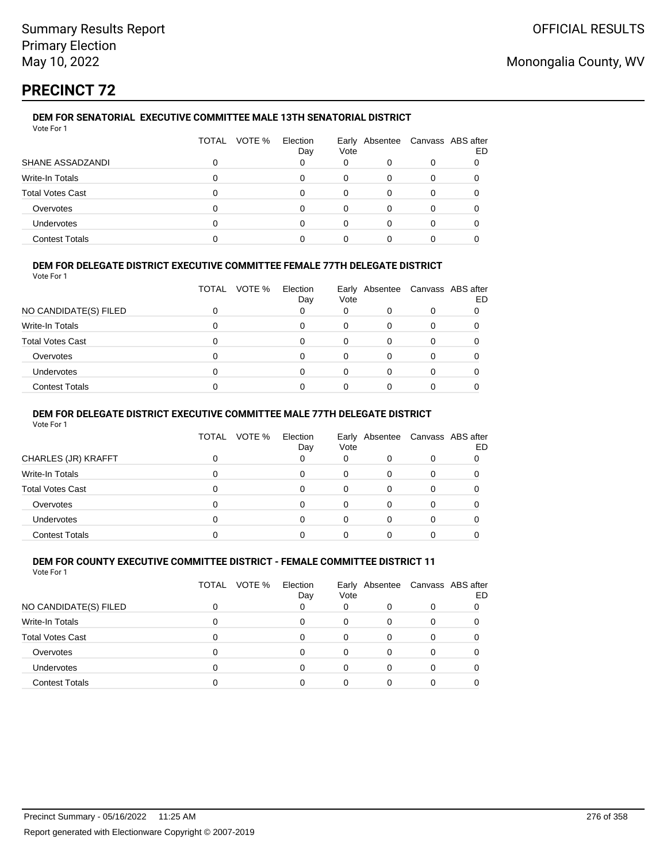# **PRECINCT 72**

## **DEM FOR SENATORIAL EXECUTIVE COMMITTEE MALE 13TH SENATORIAL DISTRICT**

| Vote For 1              |              |                           |      |                                  |   |    |
|-------------------------|--------------|---------------------------|------|----------------------------------|---|----|
|                         | <b>TOTAL</b> | VOTE %<br>Election<br>Day | Vote | Early Absentee Canvass ABS after |   | ED |
| SHANE ASSADZANDI        |              |                           | 0    | 0                                | 0 |    |
| Write-In Totals         | O            | 0                         |      | 0                                |   |    |
| <b>Total Votes Cast</b> |              | 0                         |      | 0                                |   |    |
| Overvotes               |              | 0                         |      | 0                                |   |    |
| <b>Undervotes</b>       | 0            | $\Omega$                  |      | 0                                |   |    |
| <b>Contest Totals</b>   |              |                           |      |                                  |   |    |
|                         |              |                           |      |                                  |   |    |

## **DEM FOR DELEGATE DISTRICT EXECUTIVE COMMITTEE FEMALE 77TH DELEGATE DISTRICT**

Vote For 1

|                         | TOTAL | VOTE % | Election<br>Day | Vote | Early Absentee Canvass ABS after | ED |
|-------------------------|-------|--------|-----------------|------|----------------------------------|----|
| NO CANDIDATE(S) FILED   |       |        |                 | 0    |                                  |    |
| Write-In Totals         |       |        |                 | 0    |                                  |    |
| <b>Total Votes Cast</b> |       |        | U               |      |                                  |    |
| Overvotes               |       |        |                 |      |                                  |    |
| Undervotes              |       |        |                 |      |                                  |    |
| <b>Contest Totals</b>   |       |        |                 |      |                                  |    |

### **DEM FOR DELEGATE DISTRICT EXECUTIVE COMMITTEE MALE 77TH DELEGATE DISTRICT**

Vote For 1

|                       | <b>TOTAL</b> | VOTE % | Election<br>Day | Vote     | Early Absentee | Canvass ABS after | ED |
|-----------------------|--------------|--------|-----------------|----------|----------------|-------------------|----|
| CHARLES (JR) KRAFFT   |              |        |                 | 0        |                | 0                 |    |
| Write-In Totals       |              |        |                 | 0        |                |                   |    |
| Total Votes Cast      |              |        |                 | 0        | 0              | 0                 |    |
| Overvotes             |              |        |                 | $\Omega$ | 0              | 0                 |    |
| <b>Undervotes</b>     |              |        | $\Omega$        | 0        | 0              | 0                 |    |
| <b>Contest Totals</b> |              |        |                 |          |                |                   |    |

#### **DEM FOR COUNTY EXECUTIVE COMMITTEE DISTRICT - FEMALE COMMITTEE DISTRICT 11** Vote For 1

|                         | VOTE %<br>TOTAL | Election<br>Day | Vote | Early Absentee |   | Canvass ABS after<br>ED |
|-------------------------|-----------------|-----------------|------|----------------|---|-------------------------|
| NO CANDIDATE(S) FILED   |                 |                 | 0    |                | 0 |                         |
| Write-In Totals         | O               | 0               | 0    | 0              | 0 |                         |
| <b>Total Votes Cast</b> |                 | 0               |      | 0              | 0 |                         |
| Overvotes               | ∩               | 0               | 0    | 0              | 0 |                         |
| <b>Undervotes</b>       |                 |                 |      |                |   |                         |
| <b>Contest Totals</b>   |                 |                 |      |                |   |                         |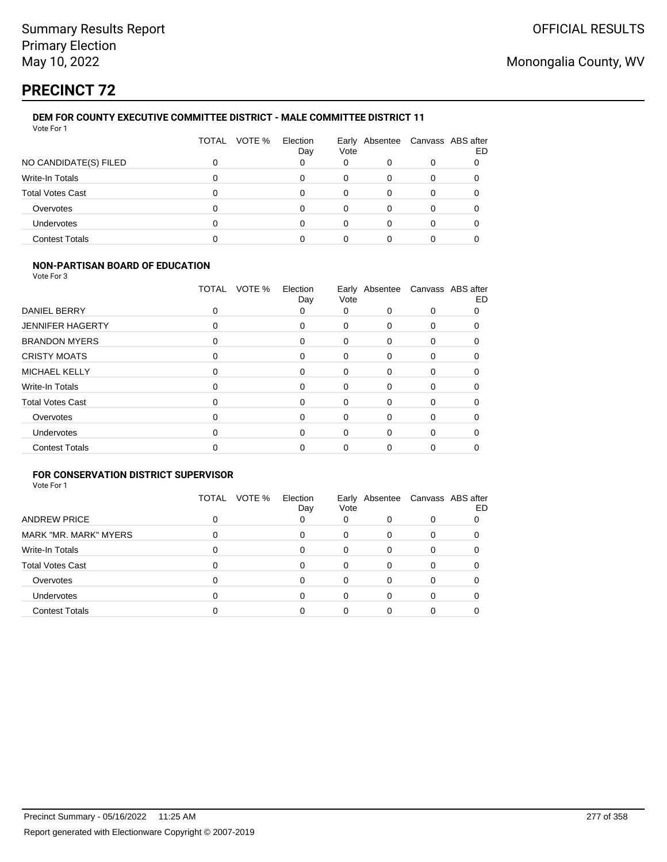# **PRECINCT 72**

#### **DEM FOR COUNTY EXECUTIVE COMMITTEE DISTRICT - MALE COMMITTEE DISTRICT 11** Vote For 1

|                         | TOTAL VOTE % | Election<br>Day | Vote |   |  | Early Absentee Canvass ABS after<br>ED |  |
|-------------------------|--------------|-----------------|------|---|--|----------------------------------------|--|
| NO CANDIDATE(S) FILED   |              | 0               | 0    |   |  |                                        |  |
| Write-In Totals         | ი            | 0               | 0    | 0 |  |                                        |  |
| <b>Total Votes Cast</b> |              | 0               | 0    | 0 |  |                                        |  |
| Overvotes               |              | 0               | 0    | 0 |  |                                        |  |
| <b>Undervotes</b>       |              | 0               | 0    | 0 |  |                                        |  |
| <b>Contest Totals</b>   |              | n               | 0    |   |  |                                        |  |
|                         |              |                 |      |   |  |                                        |  |

### **NON-PARTISAN BOARD OF EDUCATION**

Vote For 3

|                         | VOTE %<br>TOTAL | Election<br>Day | Vote |          | Early Absentee Canvass ABS after | ED |
|-------------------------|-----------------|-----------------|------|----------|----------------------------------|----|
| <b>DANIEL BERRY</b>     | 0               | 0               | 0    | $\Omega$ | 0                                |    |
| <b>JENNIFER HAGERTY</b> | 0               | 0               | 0    | 0        | 0                                |    |
| <b>BRANDON MYERS</b>    | 0               | 0               | 0    | $\Omega$ | $\Omega$                         |    |
| <b>CRISTY MOATS</b>     | 0               | 0               | 0    | 0        | $\Omega$                         |    |
| <b>MICHAEL KELLY</b>    | 0               | 0               | 0    | $\Omega$ | $\Omega$                         |    |
| Write-In Totals         | 0               | 0               | 0    | $\Omega$ | $\Omega$                         |    |
| <b>Total Votes Cast</b> | 0               | 0               | 0    | $\Omega$ | $\Omega$                         |    |
| Overvotes               | 0               | 0               | 0    | $\Omega$ | $\Omega$                         |    |
| <b>Undervotes</b>       | 0               | 0               | 0    | $\Omega$ | $\Omega$                         | 0  |
| <b>Contest Totals</b>   | 0               | ი               | 0    | 0        | 0                                |    |

## **FOR CONSERVATION DISTRICT SUPERVISOR**

|                         | VOTE %<br>TOTAL | Election<br>Day | Vote |          | Early Absentee Canvass ABS after | ED |
|-------------------------|-----------------|-----------------|------|----------|----------------------------------|----|
| <b>ANDREW PRICE</b>     |                 |                 | 0    | 0        | 0                                |    |
| MARK "MR. MARK" MYERS   |                 | 0               | 0    | 0        | 0                                |    |
| Write-In Totals         |                 | 0               | 0    | $\Omega$ |                                  |    |
| <b>Total Votes Cast</b> |                 | 0               | 0    | 0        | 0                                |    |
| Overvotes               |                 | 0               | 0    | 0        |                                  |    |
| <b>Undervotes</b>       |                 | U               | 0    | 0        |                                  |    |
| <b>Contest Totals</b>   |                 |                 | ი    |          |                                  |    |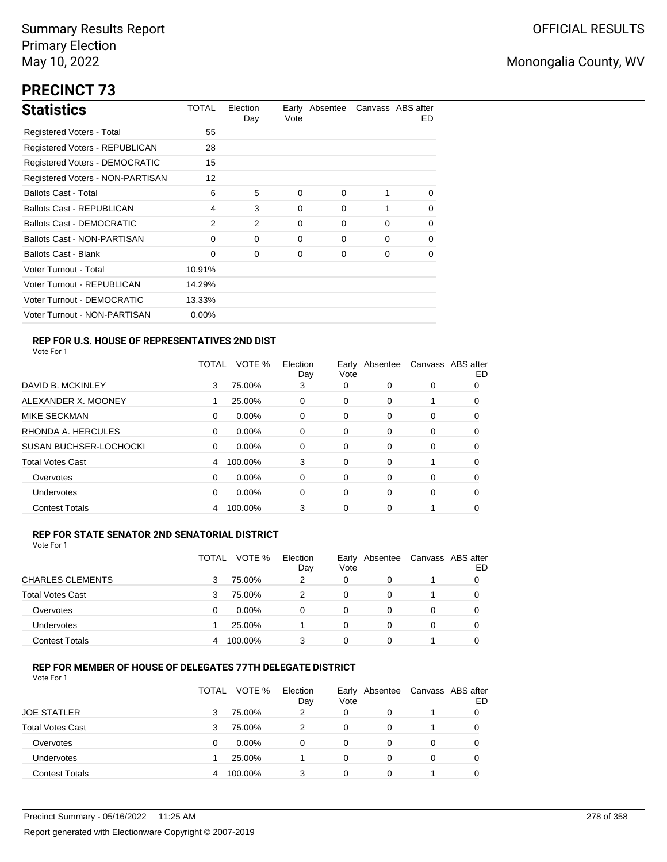# **PRECINCT 73**

| <b>Statistics</b>                     | TOTAL    | Election<br>Day | Vote     | Early Absentee |          | Canvass ABS after<br>ED. |
|---------------------------------------|----------|-----------------|----------|----------------|----------|--------------------------|
| <b>Registered Voters - Total</b>      | 55       |                 |          |                |          |                          |
| Registered Voters - REPUBLICAN        | 28       |                 |          |                |          |                          |
| <b>Registered Voters - DEMOCRATIC</b> | 15       |                 |          |                |          |                          |
| Registered Voters - NON-PARTISAN      | 12       |                 |          |                |          |                          |
| <b>Ballots Cast - Total</b>           | 6        | 5               | $\Omega$ | 0              | 1        | $\Omega$                 |
| <b>Ballots Cast - REPUBLICAN</b>      | 4        | 3               | 0        | 0              |          | 0                        |
| Ballots Cast - DEMOCRATIC             | 2        | 2               | 0        | 0              | $\Omega$ | 0                        |
| Ballots Cast - NON-PARTISAN           | 0        | 0               | 0        | 0              | $\Omega$ | 0                        |
| <b>Ballots Cast - Blank</b>           | 0        | 0               | 0        | 0              | 0        | 0                        |
| Voter Turnout - Total                 | 10.91%   |                 |          |                |          |                          |
| Voter Turnout - REPUBLICAN            | 14.29%   |                 |          |                |          |                          |
| Voter Turnout - DEMOCRATIC            | 13.33%   |                 |          |                |          |                          |
| Voter Turnout - NON-PARTISAN          | $0.00\%$ |                 |          |                |          |                          |

### **REP FOR U.S. HOUSE OF REPRESENTATIVES 2ND DIST**

Vote For 1

|                               | TOTAL | VOTE %   | Election<br>Day | Earlv<br>Vote | Absentee | Canvass ABS after | ED |
|-------------------------------|-------|----------|-----------------|---------------|----------|-------------------|----|
| DAVID B. MCKINLEY             | 3     | 75.00%   | 3               | 0             | 0        | 0                 | 0  |
| ALEXANDER X. MOONEY           |       | 25.00%   | 0               | 0             | 0        |                   | O  |
| <b>MIKE SECKMAN</b>           | 0     | 0.00%    | 0               | 0             | 0        | 0                 | 0  |
| RHONDA A. HERCULES            | 0     | 0.00%    | 0               | 0             | 0        | 0                 | 0  |
| <b>SUSAN BUCHSER-LOCHOCKI</b> | 0     | 0.00%    | 0               | 0             | 0        | 0                 | O  |
| <b>Total Votes Cast</b>       | 4     | 100.00%  | 3               | 0             | 0        |                   | 0  |
| Overvotes                     | 0     | $0.00\%$ | 0               | 0             | 0        | 0                 | O  |
| <b>Undervotes</b>             | 0     | $0.00\%$ | 0               | 0             | 0        | 0                 | 0  |
| <b>Contest Totals</b>         | 4     | 100.00%  | 3               | 0             | 0        |                   | O  |

### **REP FOR STATE SENATOR 2ND SENATORIAL DISTRICT**

| Vote For 1 |  |
|------------|--|
|            |  |

|                         | TOTAL | VOTE %   | Election<br>Day | Vote | Early Absentee | Canvass ABS after | ED |
|-------------------------|-------|----------|-----------------|------|----------------|-------------------|----|
| <b>CHARLES CLEMENTS</b> |       | 75.00%   | 2               | 0    |                |                   |    |
| <b>Total Votes Cast</b> |       | 75.00%   |                 | 0    | 0              |                   |    |
| Overvotes               | 0     | $0.00\%$ | $\Omega$        | 0    |                | 0                 |    |
| <b>Undervotes</b>       |       | 25.00%   |                 | 0    |                | 0                 |    |
| <b>Contest Totals</b>   |       | 100.00%  | 3               | 0    | 0              |                   |    |

### **REP FOR MEMBER OF HOUSE OF DELEGATES 77TH DELEGATE DISTRICT**

|                         | TOTAL | VOTE %   | Election<br>Day | Vote | Early Absentee | Canvass ABS after | ED |
|-------------------------|-------|----------|-----------------|------|----------------|-------------------|----|
| <b>JOE STATLER</b>      | 3     | 75.00%   | 2               | 0    | 0              |                   |    |
| <b>Total Votes Cast</b> | з     | 75.00%   | 2               | 0    | 0              |                   |    |
| Overvotes               | 0     | $0.00\%$ | 0               | 0    | 0              | 0                 |    |
| Undervotes              |       | 25.00%   |                 | 0    | $\Omega$       | 0                 |    |
| <b>Contest Totals</b>   |       | 100.00%  | 3               | 0    | $\Omega$       |                   |    |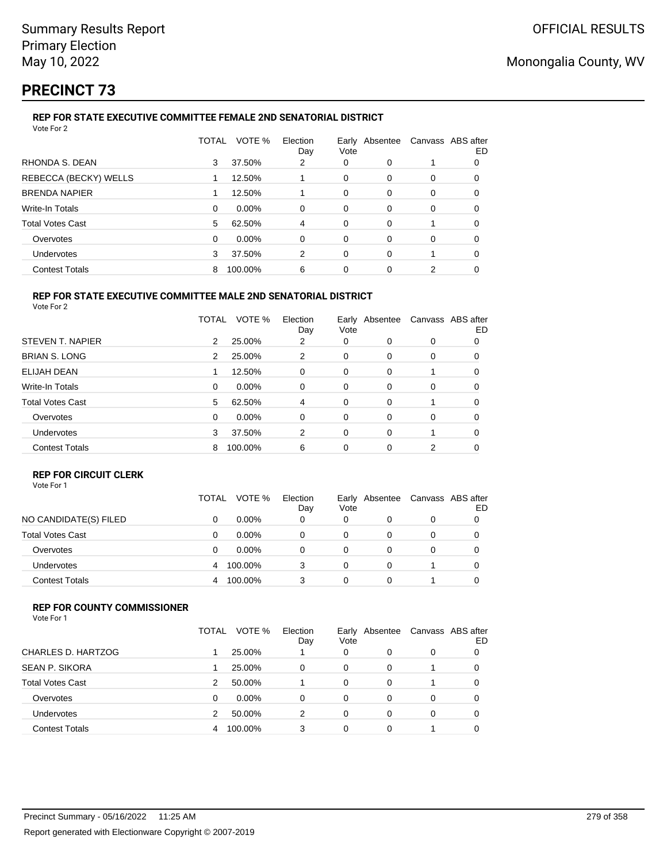# **PRECINCT 73**

## **REP FOR STATE EXECUTIVE COMMITTEE FEMALE 2ND SENATORIAL DISTRICT**

| Vote For 2              |          |         |                 |      |                |                   |    |
|-------------------------|----------|---------|-----------------|------|----------------|-------------------|----|
|                         | TOTAL    | VOTE %  | Election<br>Day | Vote | Early Absentee | Canvass ABS after | ED |
| RHONDA S. DEAN          | 3        | 37.50%  | 2               | 0    | 0              |                   | 0  |
| REBECCA (BECKY) WELLS   |          | 12.50%  |                 | 0    | 0              | 0                 | 0  |
| <b>BRENDA NAPIER</b>    |          | 12.50%  |                 | 0    | 0              | 0                 | 0  |
| <b>Write-In Totals</b>  | $\Omega$ | 0.00%   | 0               | 0    | 0              | 0                 | 0  |
| <b>Total Votes Cast</b> | 5        | 62.50%  | 4               | 0    | $\Omega$       |                   | 0  |
| Overvotes               | 0        | 0.00%   | 0               | 0    | 0              | 0                 | 0  |
| <b>Undervotes</b>       | 3        | 37.50%  | 2               | 0    | 0              |                   | 0  |
| <b>Contest Totals</b>   | 8        | 100.00% | 6               | 0    | 0              | 2                 |    |
|                         |          |         |                 |      |                |                   |    |

#### **REP FOR STATE EXECUTIVE COMMITTEE MALE 2ND SENATORIAL DISTRICT** Vote For 2

|                         | TOTAL | VOTE %   | Election<br>Day | Vote | Early Absentee | Canvass ABS after | ED |
|-------------------------|-------|----------|-----------------|------|----------------|-------------------|----|
| STEVEN T. NAPIER        | 2     | 25.00%   | 2               | 0    | $\Omega$       | 0                 | 0  |
| <b>BRIAN S. LONG</b>    | 2     | 25.00%   | 2               | 0    | 0              | 0                 | 0  |
| ELIJAH DEAN             |       | 12.50%   | 0               | 0    | $\Omega$       | 1                 | 0  |
| <b>Write-In Totals</b>  | 0     | $0.00\%$ | 0               | 0    | $\Omega$       | 0                 | 0  |
| <b>Total Votes Cast</b> | 5     | 62.50%   | 4               | 0    | $\Omega$       | 1                 | 0  |
| Overvotes               | 0     | 0.00%    | 0               | 0    | $\Omega$       | 0                 | 0  |
| <b>Undervotes</b>       | 3     | 37.50%   | 2               | 0    | $\Omega$       | 1                 | 0  |
| <b>Contest Totals</b>   | 8     | 100.00%  | 6               | 0    | $\Omega$       | 2                 | 0  |

## **REP FOR CIRCUIT CLERK**

|                         | TOTAL | VOTE %   | Election<br>Day | Vote | Early Absentee | Canvass ABS after | ED |
|-------------------------|-------|----------|-----------------|------|----------------|-------------------|----|
| NO CANDIDATE(S) FILED   | 0     | $0.00\%$ | 0               | 0    |                | 0                 |    |
| <b>Total Votes Cast</b> | 0     | $0.00\%$ | 0               | 0    |                | 0                 |    |
| Overvotes               | Ω     | $0.00\%$ | 0               |      |                | 0                 |    |
| <b>Undervotes</b>       |       | 100.00%  |                 | 0    |                |                   |    |
| <b>Contest Totals</b>   |       | 100.00%  |                 | 0    |                |                   |    |

### **REP FOR COUNTY COMMISSIONER**

|                         | TOTAL | VOTE %   | Election<br>Day | Early<br>Vote | Absentee | Canvass ABS after | ED |
|-------------------------|-------|----------|-----------------|---------------|----------|-------------------|----|
| CHARLES D. HARTZOG      |       | 25.00%   |                 | 0             | 0        | 0                 |    |
| <b>SEAN P. SIKORA</b>   |       | 25.00%   | 0               | 0             | 0        |                   |    |
| <b>Total Votes Cast</b> | 2     | 50.00%   |                 | 0             | 0        |                   |    |
| Overvotes               | 0     | $0.00\%$ | 0               | 0             | 0        | 0                 | 0  |
| Undervotes              | 2     | 50.00%   | 2               | 0             | 0        | 0                 |    |
| <b>Contest Totals</b>   |       | 100.00%  | 3               | 0             |          |                   |    |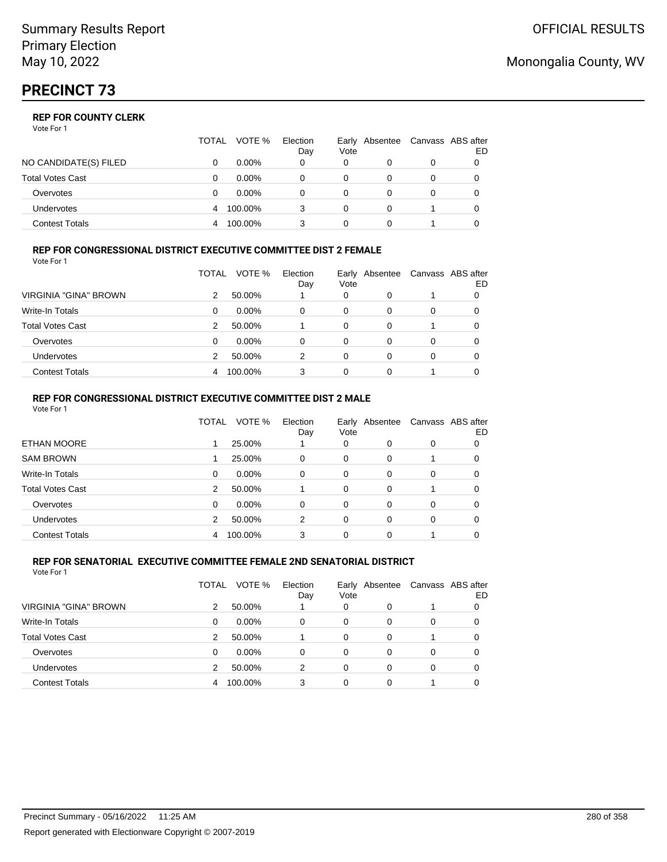Vote For 1

|                       | TOTAL | VOTE %   | Election<br>Day | Early Absentee<br>Vote | Canvass ABS after | ED |
|-----------------------|-------|----------|-----------------|------------------------|-------------------|----|
| NO CANDIDATE(S) FILED |       | $0.00\%$ |                 | 0                      | 0                 |    |
| Total Votes Cast      |       | $0.00\%$ |                 |                        |                   |    |
| Overvotes             |       | $0.00\%$ |                 |                        | 0                 |    |
| Undervotes            | 4     | 100.00%  |                 | 0                      |                   |    |
| Contest Totals        |       | 100.00%  |                 |                        |                   |    |

#### **REP FOR CONGRESSIONAL DISTRICT EXECUTIVE COMMITTEE DIST 2 FEMALE** Vote For 1

|                              | TOTAL | VOTE %   | Election | Vote | Early Absentee | Canvass ABS after | ED |
|------------------------------|-------|----------|----------|------|----------------|-------------------|----|
| <b>VIRGINIA "GINA" BROWN</b> | 2     | 50.00%   | Day      | 0    | 0              |                   |    |
| Write-In Totals              | 0     | $0.00\%$ | 0        | 0    | 0              | 0                 | 0  |
| <b>Total Votes Cast</b>      | 2     | 50.00%   |          | 0    | 0              | 1                 | 0  |
| Overvotes                    | 0     | $0.00\%$ | 0        | 0    | 0              | 0                 |    |
| <b>Undervotes</b>            | 2     | 50.00%   | 2        | 0    | 0              | 0                 |    |
| <b>Contest Totals</b>        |       | 100.00%  | 3        | 0    | 0              |                   |    |

## **REP FOR CONGRESSIONAL DISTRICT EXECUTIVE COMMITTEE DIST 2 MALE**

| Vote For 1              |       |         |                 |          |                                  |          |     |
|-------------------------|-------|---------|-----------------|----------|----------------------------------|----------|-----|
|                         | TOTAL | VOTE %  | Election<br>Day | Vote     | Early Absentee Canvass ABS after |          | ED. |
| <b>ETHAN MOORE</b>      |       | 25.00%  |                 | 0        | 0                                | 0        | 0   |
| <b>SAM BROWN</b>        |       | 25.00%  | $\Omega$        | $\Omega$ | 0                                |          | 0   |
| Write-In Totals         | 0     | 0.00%   | $\Omega$        | $\Omega$ | $\Omega$                         | $\Omega$ | 0   |
| <b>Total Votes Cast</b> | 2     | 50.00%  |                 | $\Omega$ | $\Omega$                         |          | 0   |
| Overvotes               | 0     | 0.00%   | $\Omega$        | $\Omega$ | 0                                | $\Omega$ | 0   |
| <b>Undervotes</b>       | 2     | 50.00%  | 2               | $\Omega$ | 0                                | $\Omega$ | 0   |
| <b>Contest Totals</b>   | 4     | 100.00% | 3               | 0        | $\Omega$                         |          | 0   |
|                         |       |         |                 |          |                                  |          |     |

#### **REP FOR SENATORIAL EXECUTIVE COMMITTEE FEMALE 2ND SENATORIAL DISTRICT** Vote For 1

|                         | TOTAL | VOTE %   | Election<br>Day | Vote | Early Absentee |          | Canvass ABS after<br>ED. |
|-------------------------|-------|----------|-----------------|------|----------------|----------|--------------------------|
| VIRGINIA "GINA" BROWN   | 2     | 50.00%   |                 | 0    | 0              |          | 0                        |
| <b>Write-In Totals</b>  | 0     | $0.00\%$ | 0               | 0    | 0              | 0        | 0                        |
| <b>Total Votes Cast</b> | 2     | 50.00%   |                 | 0    | 0              |          | 0                        |
| Overvotes               | 0     | $0.00\%$ | 0               | 0    | 0              | 0        | 0                        |
| Undervotes              | 2     | 50.00%   | 2               | 0    | 0              | $\Omega$ | 0                        |
| <b>Contest Totals</b>   | 4     | 100.00%  | 3               | 0    | 0              |          |                          |

## Monongalia County, WV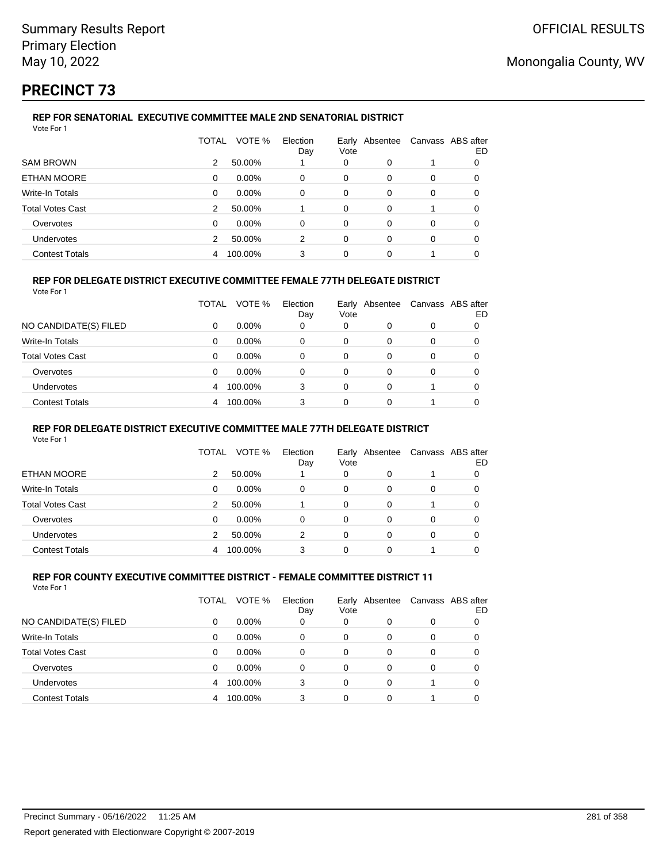# **PRECINCT 73**

### **REP FOR SENATORIAL EXECUTIVE COMMITTEE MALE 2ND SENATORIAL DISTRICT** Vote For 1

|                         | TOTAL         | VOTE %   | Election<br>Day | Vote | Early Absentee | Canvass ABS after | ED |
|-------------------------|---------------|----------|-----------------|------|----------------|-------------------|----|
| <b>SAM BROWN</b>        | 2             | 50.00%   |                 | 0    | 0              |                   | 0  |
| ETHAN MOORE             | 0             | $0.00\%$ | 0               | 0    | 0              | 0                 | 0  |
| Write-In Totals         | 0             | $0.00\%$ | 0               | 0    | 0              | 0                 | 0  |
| <b>Total Votes Cast</b> | 2             | 50.00%   |                 | 0    | 0              |                   | O  |
| Overvotes               | $\Omega$      | 0.00%    | $\Omega$        | 0    | $\Omega$       | 0                 | 0  |
| <b>Undervotes</b>       | $\mathcal{P}$ | 50.00%   | 2               | 0    | 0              | 0                 | O  |
| <b>Contest Totals</b>   | 4             | 100.00%  | 3               | 0    | $\Omega$       |                   |    |

### **REP FOR DELEGATE DISTRICT EXECUTIVE COMMITTEE FEMALE 77TH DELEGATE DISTRICT**

Vote For 1

|                         | TOTAL    | VOTE %   | Election<br>Day | Vote     | Early Absentee |          | Canvass ABS after<br>ED |
|-------------------------|----------|----------|-----------------|----------|----------------|----------|-------------------------|
| NO CANDIDATE(S) FILED   | 0        | $0.00\%$ | 0               | 0        | 0              | 0        |                         |
| Write-In Totals         | 0        | $0.00\%$ | 0               | 0        |                |          |                         |
| <b>Total Votes Cast</b> | $\Omega$ | $0.00\%$ | $\Omega$        | 0        | $\Omega$       | $\Omega$ | 0                       |
| Overvotes               | 0        | $0.00\%$ | 0               | 0        | 0              | 0        | 0                       |
| <b>Undervotes</b>       | 4        | 100.00%  | 3               | 0        | 0              |          | 0                       |
| <b>Contest Totals</b>   | 4        | 100.00%  | 3               | $\Omega$ | 0              |          |                         |

### **REP FOR DELEGATE DISTRICT EXECUTIVE COMMITTEE MALE 77TH DELEGATE DISTRICT**

Vote For 1

|                         | TOTAL | VOTE %   | Election<br>Day | Vote | Early Absentee | Canvass ABS after | ED |
|-------------------------|-------|----------|-----------------|------|----------------|-------------------|----|
| ETHAN MOORE             | 2     | 50.00%   |                 | 0    | 0              |                   |    |
| Write-In Totals         | 0     | $0.00\%$ | 0               | 0    | 0              | $\Omega$          |    |
| <b>Total Votes Cast</b> | 2     | 50.00%   |                 | 0    | $\Omega$       |                   | 0  |
| Overvotes               | 0     | $0.00\%$ | 0               | 0    | 0              | 0                 |    |
| <b>Undervotes</b>       |       | 50.00%   | 2               | 0    | 0              | 0                 |    |
| <b>Contest Totals</b>   | 4     | 100.00%  | 3               | ი    |                |                   |    |

#### **REP FOR COUNTY EXECUTIVE COMMITTEE DISTRICT - FEMALE COMMITTEE DISTRICT 11** Vote For 1

|                         | TOTAL | VOTE %   | Election<br>Day | Vote     | Early Absentee | Canvass ABS after | ED |
|-------------------------|-------|----------|-----------------|----------|----------------|-------------------|----|
| NO CANDIDATE(S) FILED   | 0     | $0.00\%$ | 0               | 0        | 0              | 0                 |    |
| Write-In Totals         | 0     | $0.00\%$ | 0               | 0        | $\Omega$       | 0                 |    |
| <b>Total Votes Cast</b> | 0     | $0.00\%$ | 0               | 0        | 0              | 0                 |    |
| Overvotes               | 0     | $0.00\%$ | 0               | $\Omega$ | $\Omega$       | 0                 |    |
| Undervotes              | 4     | 100.00%  | 3               | $\Omega$ | 0              |                   |    |
| <b>Contest Totals</b>   | 4     | 100.00%  | 3               | $\Omega$ | 0              |                   |    |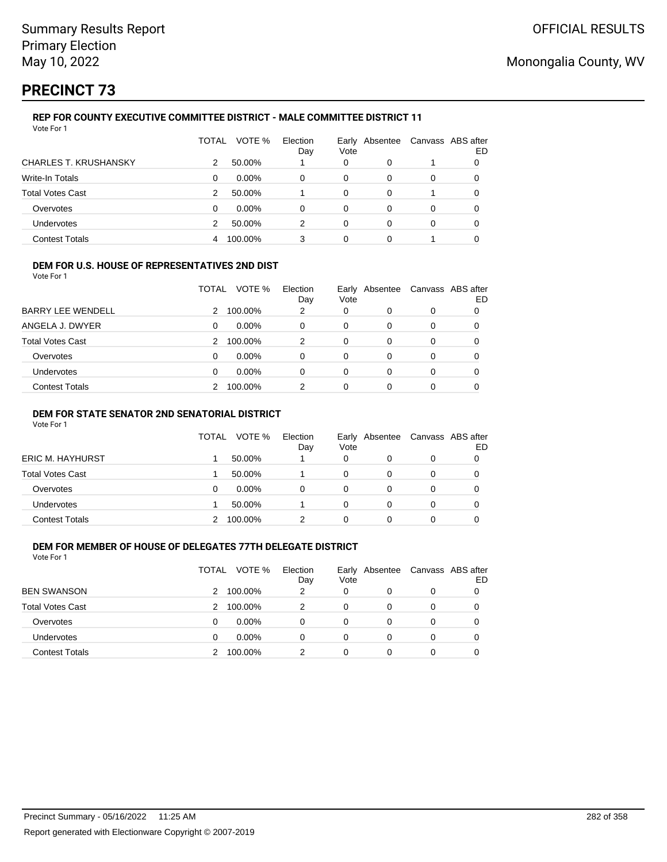# **PRECINCT 73**

### **REP FOR COUNTY EXECUTIVE COMMITTEE DISTRICT - MALE COMMITTEE DISTRICT 11** Vote For 1

|                              | TOTAL | VOTE %   | Election<br>Day | Early<br>Vote | Absentee |   | Canvass ABS after<br>ED |
|------------------------------|-------|----------|-----------------|---------------|----------|---|-------------------------|
| <b>CHARLES T. KRUSHANSKY</b> | 2     | 50.00%   |                 | 0             | 0        |   |                         |
| <b>Write-In Totals</b>       | 0     | $0.00\%$ | 0               | 0             | 0        | 0 | 0                       |
| <b>Total Votes Cast</b>      | 2     | 50.00%   |                 | 0             | 0        |   |                         |
| Overvotes                    | 0     | $0.00\%$ | 0               | 0             | 0        | 0 | 0                       |
| Undervotes                   | 2     | 50.00%   | 2               | 0             | 0        | 0 |                         |
| <b>Contest Totals</b>        |       | 100.00%  | 3               | 0             | 0        |   |                         |

### **DEM FOR U.S. HOUSE OF REPRESENTATIVES 2ND DIST**

Vote For 1

|                          | TOTAL | VOTE %   | Election<br>Day | Early<br>Vote | Absentee |          | Canvass ABS after<br>ED |
|--------------------------|-------|----------|-----------------|---------------|----------|----------|-------------------------|
| <b>BARRY LEE WENDELL</b> | 2     | 100.00%  | 2               | 0             |          | $\Omega$ |                         |
| ANGELA J. DWYER          | 0     | $0.00\%$ | 0               | 0             | 0        | 0        | 0                       |
| <b>Total Votes Cast</b>  | 2     | 100.00%  | $\mathcal{P}$   | 0             | 0        | 0        |                         |
| Overvotes                | 0     | $0.00\%$ | $\Omega$        | $\Omega$      | $\Omega$ | $\Omega$ | 0                       |
| <b>Undervotes</b>        | 0     | $0.00\%$ | 0               | 0             | 0        | $\Omega$ | 0                       |
| <b>Contest Totals</b>    |       | 100.00%  | 2               | 0             |          |          |                         |

### **DEM FOR STATE SENATOR 2ND SENATORIAL DISTRICT**

Vote For 1

|                       | <b>TOTAL</b> | VOTE %   | Election<br>Day | Vote | Early Absentee | Canvass ABS after | ED |
|-----------------------|--------------|----------|-----------------|------|----------------|-------------------|----|
| ERIC M. HAYHURST      |              | 50.00%   |                 | 0    |                | 0                 |    |
| Total Votes Cast      |              | 50.00%   |                 | 0    |                | 0                 |    |
| Overvotes             |              | $0.00\%$ |                 | 0    |                | 0                 |    |
| <b>Undervotes</b>     |              | 50.00%   |                 | 0    |                | 0                 |    |
| <b>Contest Totals</b> |              | 100.00%  |                 |      |                |                   |    |

## **DEM FOR MEMBER OF HOUSE OF DELEGATES 77TH DELEGATE DISTRICT**

|                         | TOTAL | VOTE %   | Election<br>Day | Early<br>Vote | Absentee |   | Canvass ABS after<br>ED |
|-------------------------|-------|----------|-----------------|---------------|----------|---|-------------------------|
| <b>BEN SWANSON</b>      | 2     | 100.00%  | 2               | 0             | 0        | 0 | 0                       |
| <b>Total Votes Cast</b> | 2     | 100.00%  | 2               | 0             | 0        | 0 | 0                       |
| Overvotes               | 0     | 0.00%    | 0               | 0             | 0        | 0 | 0                       |
| <b>Undervotes</b>       | 0     | $0.00\%$ | 0               | 0             | 0        | 0 | 0                       |
| <b>Contest Totals</b>   |       | 100.00%  | 2               | 0             |          | 0 |                         |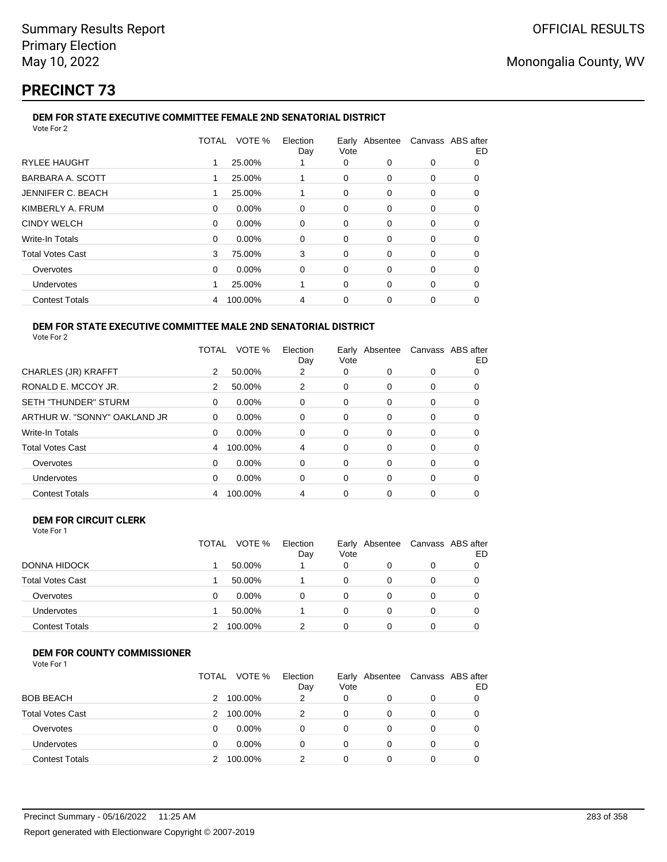# **PRECINCT 73**

#### **DEM FOR STATE EXECUTIVE COMMITTEE FEMALE 2ND SENATORIAL DISTRICT** Vote For 2

|                         | TOTAL | VOTE %  | Election<br>Day | Vote     | Early Absentee Canvass ABS after |          | ED |
|-------------------------|-------|---------|-----------------|----------|----------------------------------|----------|----|
| <b>RYLEE HAUGHT</b>     |       | 25.00%  |                 | 0        | 0                                | 0        | 0  |
| BARBARA A. SCOTT        |       | 25.00%  |                 | 0        | $\Omega$                         | $\Omega$ | O  |
| JENNIFER C. BEACH       |       | 25.00%  |                 | 0        | 0                                | 0        | 0  |
| KIMBERLY A. FRUM        | 0     | 0.00%   | 0               | 0        | $\Omega$                         | 0        | 0  |
| <b>CINDY WELCH</b>      | 0     | 0.00%   | 0               | 0        | 0                                | 0        | 0  |
| Write-In Totals         | 0     | 0.00%   | 0               | $\Omega$ | $\Omega$                         | 0        | 0  |
| <b>Total Votes Cast</b> | 3     | 75.00%  | 3               | 0        | 0                                | 0        | 0  |
| Overvotes               | 0     | 0.00%   | 0               | 0        | $\Omega$                         | 0        | 0  |
| Undervotes              |       | 25.00%  |                 | 0        | $\Omega$                         | 0        | Ω  |
| <b>Contest Totals</b>   | 4     | 100.00% | 4               | 0        | 0                                | 0        |    |
|                         |       |         |                 |          |                                  |          |    |

### **DEM FOR STATE EXECUTIVE COMMITTEE MALE 2ND SENATORIAL DISTRICT** Vote For 2

|                              | TOTAL | VOTE %   | Election<br>Day | Early Absentee<br>Vote |          | Canvass ABS after | ED |
|------------------------------|-------|----------|-----------------|------------------------|----------|-------------------|----|
| CHARLES (JR) KRAFFT          | 2     | 50.00%   | 2               | 0                      | 0        | 0                 |    |
| RONALD E. MCCOY JR.          | 2     | 50.00%   | 2               | 0                      | 0        | 0                 | 0  |
| <b>SETH "THUNDER" STURM</b>  | 0     | 0.00%    | $\Omega$        | 0                      | 0        | 0                 |    |
| ARTHUR W. "SONNY" OAKLAND JR | 0     | 0.00%    | 0               | 0                      | 0        | 0                 |    |
| <b>Write-In Totals</b>       | 0     | $0.00\%$ | 0               | 0                      | 0        | 0                 | 0  |
| <b>Total Votes Cast</b>      | 4     | 100.00%  | 4               | 0                      | $\Omega$ | 0                 |    |
| Overvotes                    | 0     | 0.00%    | 0               | 0                      | 0        | 0                 | 0  |
| Undervotes                   | 0     | 0.00%    | $\Omega$        | 0                      | $\Omega$ | 0                 |    |
| <b>Contest Totals</b>        | 4     | 100.00%  | 4               | 0                      | 0        | 0                 |    |

### **DEM FOR CIRCUIT CLERK** Vote For 1

|                         | <b>TOTAL</b> | VOTE %   | Election<br>Day | Vote | Early Absentee | Canvass ABS after<br>ED |
|-------------------------|--------------|----------|-----------------|------|----------------|-------------------------|
| DONNA HIDOCK            |              | 50.00%   |                 | 0    |                |                         |
| <b>Total Votes Cast</b> |              | 50.00%   |                 | 0    | 0              |                         |
| Overvotes               |              | $0.00\%$ |                 | 0    |                |                         |
| <b>Undervotes</b>       |              | 50.00%   |                 | 0    |                |                         |
| <b>Contest Totals</b>   |              | 100.00%  |                 |      |                |                         |

## **DEM FOR COUNTY COMMISSIONER**

| Vote For 1 |  |
|------------|--|
|------------|--|

|                         | <b>TOTAL</b> | VOTE %   | Election<br>Day | Vote | Early Absentee | Canvass ABS after | ED |
|-------------------------|--------------|----------|-----------------|------|----------------|-------------------|----|
| <b>BOB BEACH</b>        | 2            | 100.00%  | 2               | 0    | 0              | 0                 |    |
| <b>Total Votes Cast</b> | 2            | 100.00%  | 2               | 0    | 0              | 0                 |    |
| Overvotes               | 0            | $0.00\%$ | 0               | 0    | 0              | $\Omega$          |    |
| Undervotes              | 0            | 0.00%    | 0               | 0    | 0              | 0                 |    |
| <b>Contest Totals</b>   |              | 100.00%  | 2               | 0    | 0              | 0                 |    |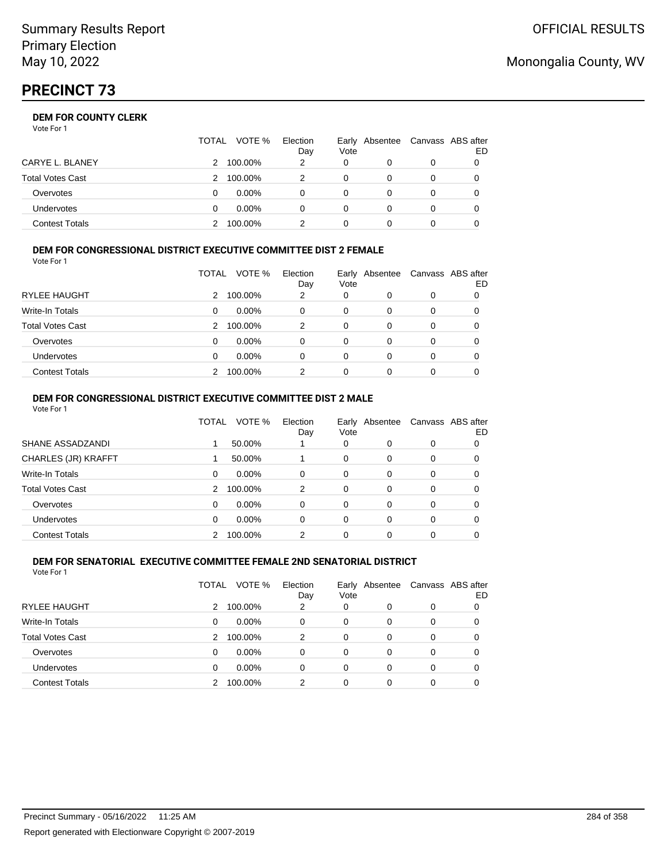# **PRECINCT 73**

## **DEM FOR COUNTY CLERK**

Vote For 1

|                         | TOTAL | VOTE %   | Election<br>Day | Vote | Early Absentee | Canvass ABS after | ED |
|-------------------------|-------|----------|-----------------|------|----------------|-------------------|----|
| CARYE L. BLANEY         | 2.    | 100.00%  | 2               | 0    |                | 0                 |    |
| <b>Total Votes Cast</b> |       | 100.00%  |                 | 0    |                | 0                 |    |
| Overvotes               |       | $0.00\%$ |                 | 0    |                | 0                 |    |
| <b>Undervotes</b>       |       | $0.00\%$ | 0               | 0    |                | 0                 |    |
| <b>Contest Totals</b>   |       | 100.00%  |                 |      |                |                   |    |

#### **DEM FOR CONGRESSIONAL DISTRICT EXECUTIVE COMMITTEE DIST 2 FEMALE** Vote For 1

|                         | TOTAL | VOTE %   | Election<br>Day | Early Absentee<br>Vote |          | Canvass ABS after | ED |
|-------------------------|-------|----------|-----------------|------------------------|----------|-------------------|----|
| <b>RYLEE HAUGHT</b>     | 2     | 100.00%  | 2               | 0                      | 0        | 0                 |    |
| Write-In Totals         | 0     | $0.00\%$ | 0               | 0                      | 0        | 0                 | O  |
| <b>Total Votes Cast</b> | 2     | 100.00%  | 2               | 0                      | 0        | 0                 |    |
| Overvotes               | 0     | $0.00\%$ | $\Omega$        | 0                      | 0        | 0                 |    |
| <b>Undervotes</b>       | 0     | $0.00\%$ | $\Omega$        | 0                      | 0        | 0                 |    |
| <b>Contest Totals</b>   |       | 100.00%  | 2               | 0                      | $\Omega$ | 0                 |    |

#### **DEM FOR CONGRESSIONAL DISTRICT EXECUTIVE COMMITTEE DIST 2 MALE** Vote For 1

|                         | TOTAL | VOTE %   | Election<br>Day | Vote     | Early Absentee |          | Canvass ABS after<br>ED |
|-------------------------|-------|----------|-----------------|----------|----------------|----------|-------------------------|
| SHANE ASSADZANDI        |       | 50.00%   |                 | 0        | 0              | $\Omega$ | 0                       |
| CHARLES (JR) KRAFFT     |       | 50.00%   |                 | $\Omega$ | 0              | $\Omega$ | $\Omega$                |
| Write-In Totals         | 0     | 0.00%    | 0               | $\Omega$ | $\Omega$       | $\Omega$ | 0                       |
| <b>Total Votes Cast</b> | 2     | 100.00%  | 2               | $\Omega$ | $\Omega$       | $\Omega$ | 0                       |
| Overvotes               | 0     | $0.00\%$ | 0               | $\Omega$ | $\Omega$       | $\Omega$ | 0                       |
| <b>Undervotes</b>       | 0     | $0.00\%$ | 0               | 0        | $\Omega$       | $\Omega$ | 0                       |
| <b>Contest Totals</b>   |       | 100.00%  | 2               | 0        | 0              | 0        |                         |
|                         |       |          |                 |          |                |          |                         |

#### **DEM FOR SENATORIAL EXECUTIVE COMMITTEE FEMALE 2ND SENATORIAL DISTRICT** Vote For 1

|                         | TOTAL | VOTE %   | Election<br>Day | Early Absentee<br>Vote |   | Canvass ABS after | ED |
|-------------------------|-------|----------|-----------------|------------------------|---|-------------------|----|
| RYLEE HAUGHT            | 2     | 100.00%  | 2               | 0                      | 0 | 0                 |    |
| Write-In Totals         | 0     | $0.00\%$ | 0               | 0                      | 0 | 0                 |    |
| <b>Total Votes Cast</b> | 2     | 100.00%  | 2               | 0                      | 0 | 0                 |    |
| Overvotes               | 0     | $0.00\%$ | 0               | 0                      | 0 | 0                 |    |
| Undervotes              | 0     | $0.00\%$ | 0               | 0                      | 0 | 0                 |    |
| <b>Contest Totals</b>   |       | 100.00%  | 2               | 0                      | 0 | 0                 |    |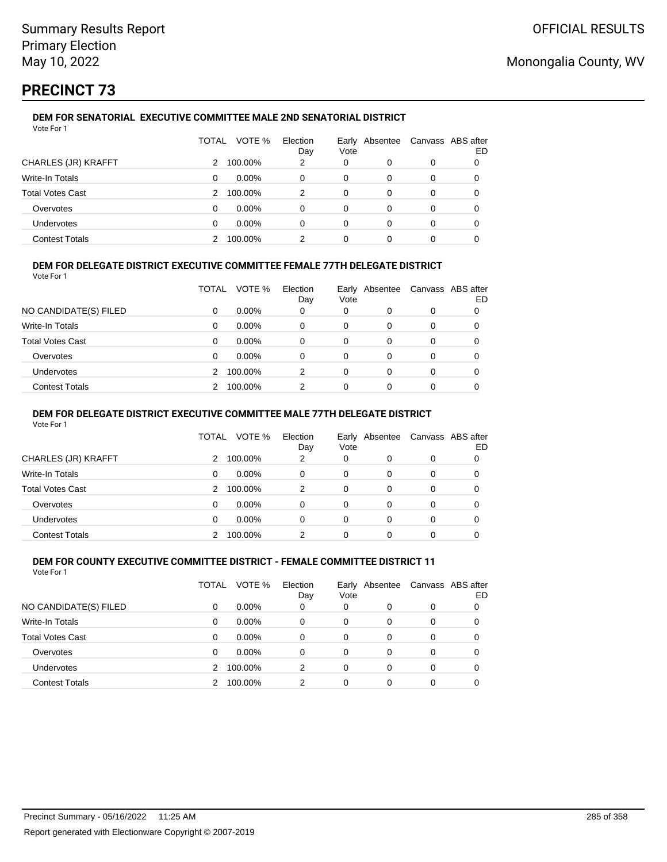# **PRECINCT 73**

### **DEM FOR SENATORIAL EXECUTIVE COMMITTEE MALE 2ND SENATORIAL DISTRICT** Vote For 1

|                         | TOTAL | VOTE %   | Election<br>Day | Vote | Early Absentee | Canvass ABS after | ED |
|-------------------------|-------|----------|-----------------|------|----------------|-------------------|----|
| CHARLES (JR) KRAFFT     |       | 100.00%  | 2               | 0    | 0              | 0                 |    |
| Write-In Totals         | 0     | $0.00\%$ | 0               | 0    |                | 0                 |    |
| <b>Total Votes Cast</b> | 2     | 100.00%  | 2               | 0    | $\Omega$       | 0                 |    |
| Overvotes               | 0     | $0.00\%$ | 0               | 0    | 0              | 0                 | 0  |
| <b>Undervotes</b>       | 0     | $0.00\%$ | 0               | 0    | 0              | 0                 |    |
| <b>Contest Totals</b>   |       | 100.00%  | 2               | 0    |                | 0                 |    |

## **DEM FOR DELEGATE DISTRICT EXECUTIVE COMMITTEE FEMALE 77TH DELEGATE DISTRICT**

Vote For 1

|                         | TOTAL | VOTE %   | Election<br>Day | Vote | Early Absentee | Canvass ABS after | ED |
|-------------------------|-------|----------|-----------------|------|----------------|-------------------|----|
| NO CANDIDATE(S) FILED   | 0     | $0.00\%$ | 0               | 0    | 0              | 0                 |    |
| Write-In Totals         | 0     | $0.00\%$ | 0               | 0    | 0              | 0                 |    |
| <b>Total Votes Cast</b> | 0     | $0.00\%$ | 0               | 0    | 0              | 0                 |    |
| Overvotes               | 0     | $0.00\%$ | 0               | 0    | 0              | 0                 |    |
| <b>Undervotes</b>       | 2     | 100.00%  | 2               | 0    | 0              | 0                 |    |
| <b>Contest Totals</b>   |       | 100.00%  | 2               | 0    | ი              | 0                 |    |

### **DEM FOR DELEGATE DISTRICT EXECUTIVE COMMITTEE MALE 77TH DELEGATE DISTRICT**

Vote For 1

|                       | TOTAL | VOTE %   | Election<br>Day | Vote     | Early Absentee |          | Canvass ABS after<br>ED |
|-----------------------|-------|----------|-----------------|----------|----------------|----------|-------------------------|
| CHARLES (JR) KRAFFT   | 2     | 100.00%  | 2               | 0        |                | 0        | 0                       |
| Write-In Totals       | 0     | $0.00\%$ | 0               | 0        | 0              | 0        | 0                       |
| Total Votes Cast      | 2     | 100.00%  | 2               | $\Omega$ | 0              | $\Omega$ | 0                       |
| Overvotes             | 0     | $0.00\%$ | $\Omega$        | 0        | 0              | 0        | 0                       |
| Undervotes            | 0     | $0.00\%$ | 0               | 0        | 0              | 0        | 0                       |
| <b>Contest Totals</b> |       | 100.00%  | 2               | 0        |                |          |                         |

#### **DEM FOR COUNTY EXECUTIVE COMMITTEE DISTRICT - FEMALE COMMITTEE DISTRICT 11** Vote For 1

|                         | TOTAL | VOTE %   | Election<br>Day | Vote | Early Absentee |   | Canvass ABS after<br>ED |
|-------------------------|-------|----------|-----------------|------|----------------|---|-------------------------|
| NO CANDIDATE(S) FILED   | 0     | $0.00\%$ | 0               | 0    | 0              | 0 |                         |
| Write-In Totals         | 0     | $0.00\%$ | $\Omega$        | 0    | 0              | 0 |                         |
| <b>Total Votes Cast</b> | 0     | $0.00\%$ | 0               | 0    | 0              | 0 |                         |
| Overvotes               | 0     | $0.00\%$ | 0               | 0    | $\Omega$       | 0 | 0                       |
| Undervotes              | 2     | 100.00%  | 2               | 0    | 0              | 0 | 0                       |
| <b>Contest Totals</b>   |       | 100.00%  | 2               | 0    | 0              | 0 |                         |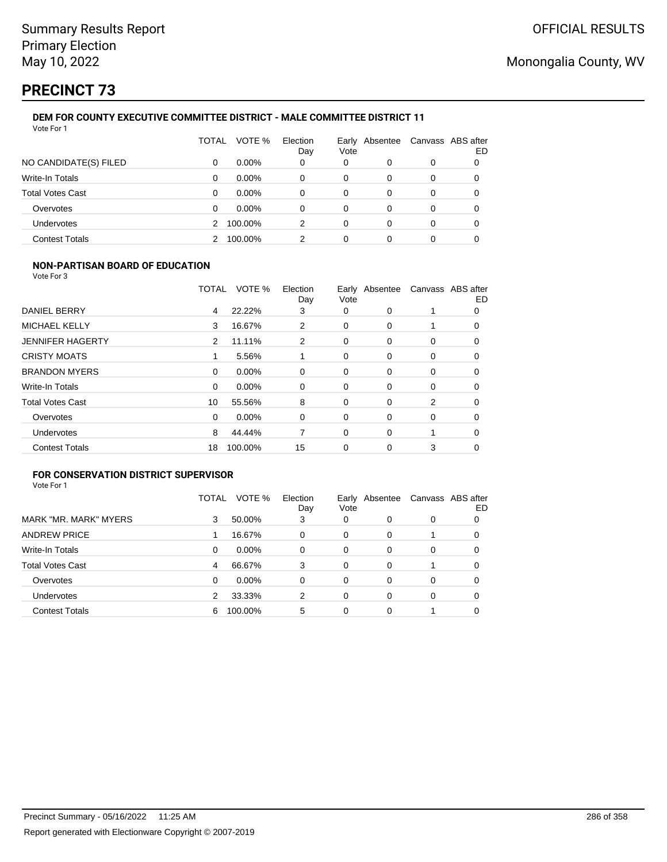# **PRECINCT 73**

### **DEM FOR COUNTY EXECUTIVE COMMITTEE DISTRICT - MALE COMMITTEE DISTRICT 11** Vote For 1

|                         | TOTAL | VOTE %   | Election<br>Day | Vote | Early Absentee | Canvass ABS after | ED |
|-------------------------|-------|----------|-----------------|------|----------------|-------------------|----|
| NO CANDIDATE(S) FILED   | 0     | $0.00\%$ | 0               | 0    | 0              | 0                 | 0  |
| Write-In Totals         | 0     | $0.00\%$ | 0               | 0    | 0              | 0                 |    |
| <b>Total Votes Cast</b> | 0     | $0.00\%$ | 0               | 0    | 0              | 0                 |    |
| Overvotes               | 0     | $0.00\%$ | 0               | 0    | 0              | 0                 |    |
| Undervotes              | 2     | 100.00%  | 2               | 0    | 0              | 0                 |    |
| <b>Contest Totals</b>   |       | 100.00%  | 2               | 0    | 0              | 0                 |    |

### **NON-PARTISAN BOARD OF EDUCATION**

Vote For 3

|                         | TOTAL    | VOTE %  | Election<br>Day | Vote     | Early Absentee |          | Canvass ABS after<br>ED |
|-------------------------|----------|---------|-----------------|----------|----------------|----------|-------------------------|
| DANIEL BERRY            | 4        | 22.22%  | 3               | 0        | $\Omega$       |          | 0                       |
| <b>MICHAEL KELLY</b>    | 3        | 16.67%  | 2               | 0        | $\Omega$       |          | 0                       |
| <b>JENNIFER HAGERTY</b> | 2        | 11.11%  | 2               | 0        | 0              | 0        | 0                       |
| <b>CRISTY MOATS</b>     |          | 5.56%   |                 | $\Omega$ | 0              | 0        | 0                       |
| <b>BRANDON MYERS</b>    | $\Omega$ | 0.00%   | 0               | $\Omega$ | $\Omega$       | $\Omega$ | 0                       |
| Write-In Totals         | 0        | 0.00%   | $\mathbf 0$     | 0        | $\Omega$       | 0        | 0                       |
| <b>Total Votes Cast</b> | 10       | 55.56%  | 8               | 0        | $\Omega$       | 2        | 0                       |
| Overvotes               | $\Omega$ | 0.00%   | 0               | 0        | $\Omega$       | 0        | 0                       |
| Undervotes              | 8        | 44.44%  | 7               | $\Omega$ | $\Omega$       |          | 0                       |
| <b>Contest Totals</b>   | 18       | 100.00% | 15              | 0        | 0              | 3        | 0                       |

## **FOR CONSERVATION DISTRICT SUPERVISOR**

|                         | TOTAL | VOTE %   | Election<br>Day | Vote | Early Absentee |   | Canvass ABS after<br>ED |
|-------------------------|-------|----------|-----------------|------|----------------|---|-------------------------|
| MARK "MR. MARK" MYERS   | 3     | 50.00%   | 3               | 0    | 0              | 0 |                         |
| <b>ANDREW PRICE</b>     |       | 16.67%   | $\Omega$        | 0    | 0              |   | O                       |
| Write-In Totals         | 0     | $0.00\%$ | 0               | 0    | 0              | 0 | 0                       |
| <b>Total Votes Cast</b> | 4     | 66.67%   | 3               | 0    | $\Omega$       |   | 0                       |
| Overvotes               | 0     | $0.00\%$ | $\Omega$        | 0    | 0              | 0 | O                       |
| <b>Undervotes</b>       | 2     | 33.33%   | 2               | 0    | $\Omega$       | 0 |                         |
| <b>Contest Totals</b>   | 6     | 100.00%  | 5               | 0    | 0              |   |                         |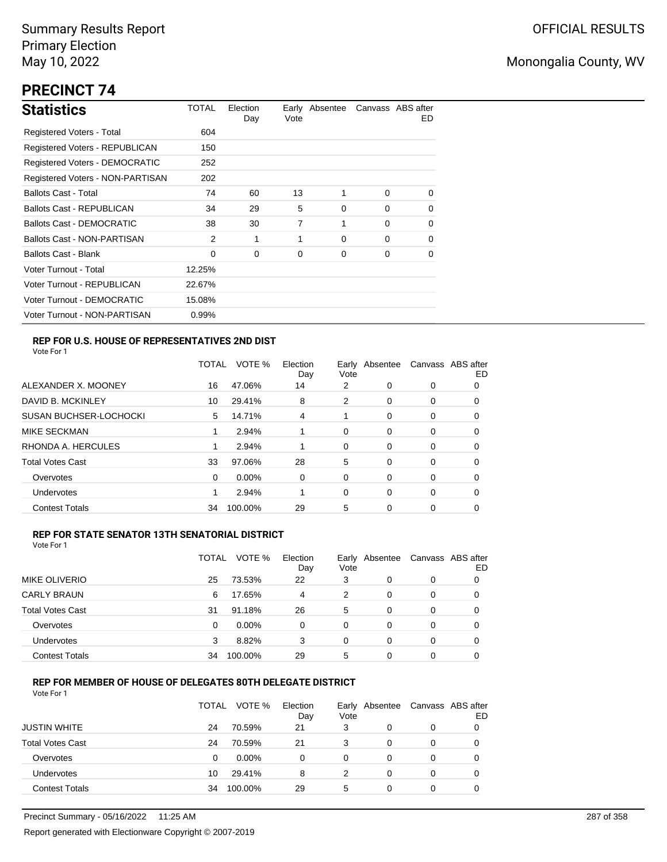# **PRECINCT 74**

| <b>Statistics</b>                     | TOTAL  | Election<br>Day | Vote | Early Absentee |          | Canvass ABS after<br>ED. |
|---------------------------------------|--------|-----------------|------|----------------|----------|--------------------------|
| Registered Voters - Total             | 604    |                 |      |                |          |                          |
| Registered Voters - REPUBLICAN        | 150    |                 |      |                |          |                          |
| <b>Registered Voters - DEMOCRATIC</b> | 252    |                 |      |                |          |                          |
| Registered Voters - NON-PARTISAN      | 202    |                 |      |                |          |                          |
| <b>Ballots Cast - Total</b>           | 74     | 60              | 13   | 1              | $\Omega$ | 0                        |
| <b>Ballots Cast - REPUBLICAN</b>      | 34     | 29              | 5    | 0              | $\Omega$ | 0                        |
| Ballots Cast - DEMOCRATIC             | 38     | 30              | 7    | 1              | $\Omega$ | 0                        |
| Ballots Cast - NON-PARTISAN           | 2      | 1               | 1    | $\Omega$       | $\Omega$ | 0                        |
| <b>Ballots Cast - Blank</b>           | 0      | 0               | 0    | 0              | 0        | 0                        |
| Voter Turnout - Total                 | 12.25% |                 |      |                |          |                          |
| Voter Turnout - REPUBLICAN            | 22.67% |                 |      |                |          |                          |
| Voter Turnout - DEMOCRATIC            | 15.08% |                 |      |                |          |                          |
| Voter Turnout - NON-PARTISAN          | 0.99%  |                 |      |                |          |                          |

### **REP FOR U.S. HOUSE OF REPRESENTATIVES 2ND DIST**

Vote For 1

|                               | <b>TOTAL</b> | VOTE %   | Election<br>Day | Early<br>Vote | Absentee |   | Canvass ABS after<br>ED |
|-------------------------------|--------------|----------|-----------------|---------------|----------|---|-------------------------|
| ALEXANDER X. MOONEY           | 16           | 47.06%   | 14              | 2             | 0        | 0 | O                       |
| DAVID B. MCKINLEY             | 10           | 29.41%   | 8               | 2             | $\Omega$ | 0 | O                       |
| <b>SUSAN BUCHSER-LOCHOCKI</b> | 5            | 14.71%   | 4               |               | 0        | 0 | 0                       |
| <b>MIKE SECKMAN</b>           |              | 2.94%    |                 | 0             | $\Omega$ | 0 | 0                       |
| RHONDA A. HERCULES            |              | 2.94%    |                 | 0             | $\Omega$ | 0 | 0                       |
| <b>Total Votes Cast</b>       | 33           | 97.06%   | 28              | 5             | 0        | 0 | 0                       |
| Overvotes                     | 0            | $0.00\%$ | 0               | 0             | $\Omega$ | 0 | 0                       |
| <b>Undervotes</b>             |              | 2.94%    |                 | 0             | $\Omega$ | 0 | 0                       |
| <b>Contest Totals</b>         | 34           | 100.00%  | 29              | 5             | 0        | 0 | 0                       |

### **REP FOR STATE SENATOR 13TH SENATORIAL DISTRICT**

| Vote For 1 |  |
|------------|--|
|            |  |

|                         | TOTAL | VOTE %   | Election<br>Day | Early Absentee<br>Vote |   |   | Canvass ABS after<br>ED |
|-------------------------|-------|----------|-----------------|------------------------|---|---|-------------------------|
| <b>MIKE OLIVERIO</b>    | 25    | 73.53%   | 22              | 3                      | 0 | 0 |                         |
| <b>CARLY BRAUN</b>      | 6     | 17.65%   | 4               | 2                      | 0 | 0 |                         |
| <b>Total Votes Cast</b> | 31    | 91.18%   | 26              | 5                      | 0 | 0 |                         |
| Overvotes               | 0     | $0.00\%$ | 0               | 0                      | 0 | 0 |                         |
| Undervotes              | 3     | 8.82%    | 3               | 0                      | 0 | 0 |                         |
| <b>Contest Totals</b>   | 34    | 100.00%  | 29              | 5                      | 0 | 0 |                         |

### **REP FOR MEMBER OF HOUSE OF DELEGATES 80TH DELEGATE DISTRICT**

|                         | <b>TOTAL</b> | VOTE %  | Election<br>Day | Vote | Early Absentee | Canvass ABS after | ED |
|-------------------------|--------------|---------|-----------------|------|----------------|-------------------|----|
| <b>JUSTIN WHITE</b>     | 24           | 70.59%  | 21              | 3    | 0              | $\Omega$          |    |
| <b>Total Votes Cast</b> | 24           | 70.59%  | 21              | 3    | 0              | 0                 |    |
| Overvotes               | 0            | 0.00%   | 0               | 0    | 0              | 0                 |    |
| Undervotes              | 10           | 29.41%  | 8               | 2    | 0              | 0                 |    |
| <b>Contest Totals</b>   | 34           | 100.00% | 29              | 5    | 0              | 0                 |    |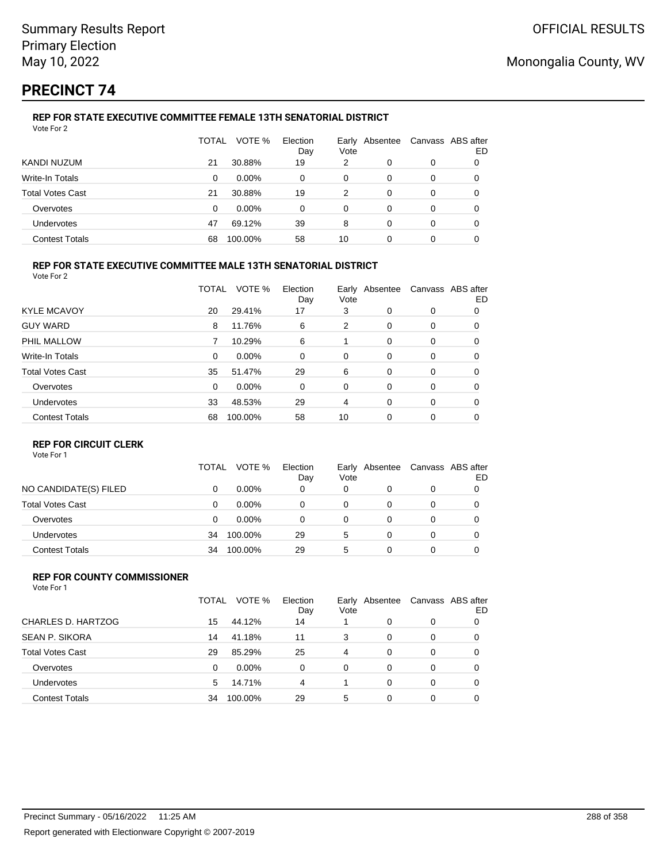# **PRECINCT 74**

### **REP FOR STATE EXECUTIVE COMMITTEE FEMALE 13TH SENATORIAL DISTRICT** Vote For 2

|                         | TOTAL | VOTE %   | Election<br>Day | Vote | Early Absentee | Canvass ABS after | ED |
|-------------------------|-------|----------|-----------------|------|----------------|-------------------|----|
| KANDI NUZUM             | 21    | 30.88%   | 19              | 2    | 0              | 0                 |    |
| Write-In Totals         | 0     | $0.00\%$ | 0               | 0    | 0              | 0                 |    |
| <b>Total Votes Cast</b> | 21    | 30.88%   | 19              | 2    | 0              | 0                 |    |
| Overvotes               | 0     | $0.00\%$ | 0               | 0    | 0              | 0                 |    |
| Undervotes              | 47    | 69.12%   | 39              | 8    | 0              | 0                 |    |
| <b>Contest Totals</b>   | 68    | 100.00%  | 58              | 10   | 0              | 0                 |    |

### **REP FOR STATE EXECUTIVE COMMITTEE MALE 13TH SENATORIAL DISTRICT**

Vote For 2

|                         | TOTAL    | VOTE %   | Election<br>Day | Vote | Early Absentee |          | Canvass ABS after<br>ED |
|-------------------------|----------|----------|-----------------|------|----------------|----------|-------------------------|
| <b>KYLE MCAVOY</b>      | 20       | 29.41%   | 17              | 3    | 0              | 0        | 0                       |
| <b>GUY WARD</b>         | 8        | 11.76%   | 6               | 2    | 0              | 0        | 0                       |
| PHIL MALLOW             | 7        | 10.29%   | 6               |      | $\Omega$       | 0        | 0                       |
| Write-In Totals         | $\Omega$ | $0.00\%$ | 0               | 0    | 0              | 0        | 0                       |
| <b>Total Votes Cast</b> | 35       | 51.47%   | 29              | 6    | 0              | 0        | 0                       |
| Overvotes               | $\Omega$ | $0.00\%$ | 0               | 0    | 0              | 0        | 0                       |
| Undervotes              | 33       | 48.53%   | 29              | 4    | 0              | $\Omega$ | 0                       |
| <b>Contest Totals</b>   | 68       | 100.00%  | 58              | 10   | $\Omega$       | 0        | 0                       |

### **REP FOR CIRCUIT CLERK**

Vote For 1

|                         | TOTAL | VOTE %   | Election<br>Day | Vote | Early Absentee | Canvass ABS after | ED |
|-------------------------|-------|----------|-----------------|------|----------------|-------------------|----|
| NO CANDIDATE(S) FILED   | 0     | $0.00\%$ | 0               | 0    | 0              | 0                 |    |
| <b>Total Votes Cast</b> | 0     | $0.00\%$ | 0               | 0    |                | 0                 |    |
| Overvotes               | 0     | $0.00\%$ | 0               | 0    |                | 0                 |    |
| <b>Undervotes</b>       | 34    | 100.00%  | 29              | 5    |                | 0                 |    |
| <b>Contest Totals</b>   | 34    | 100.00%  | 29              | 5    | ი              | 0                 |    |

#### **REP FOR COUNTY COMMISSIONER** Vote For 1

|                         | TOTAL | VOTE %   | Election<br>Day | Vote     | Early Absentee |          | Canvass ABS after<br>ED |
|-------------------------|-------|----------|-----------------|----------|----------------|----------|-------------------------|
| CHARLES D. HARTZOG      | 15    | 44.12%   | 14              |          | 0              | 0        |                         |
| <b>SEAN P. SIKORA</b>   | 14    | 41.18%   | 11              | 3        | 0              | 0        | 0                       |
| <b>Total Votes Cast</b> | 29    | 85.29%   | 25              | 4        | 0              | 0        | 0                       |
| Overvotes               | 0     | $0.00\%$ | $\Omega$        | $\Omega$ | 0              | $\Omega$ | 0                       |
| Undervotes              | 5     | 14.71%   | 4               |          | 0              | $\Omega$ | 0                       |
| <b>Contest Totals</b>   | 34    | 100.00%  | 29              | 5        | 0              | $\Omega$ |                         |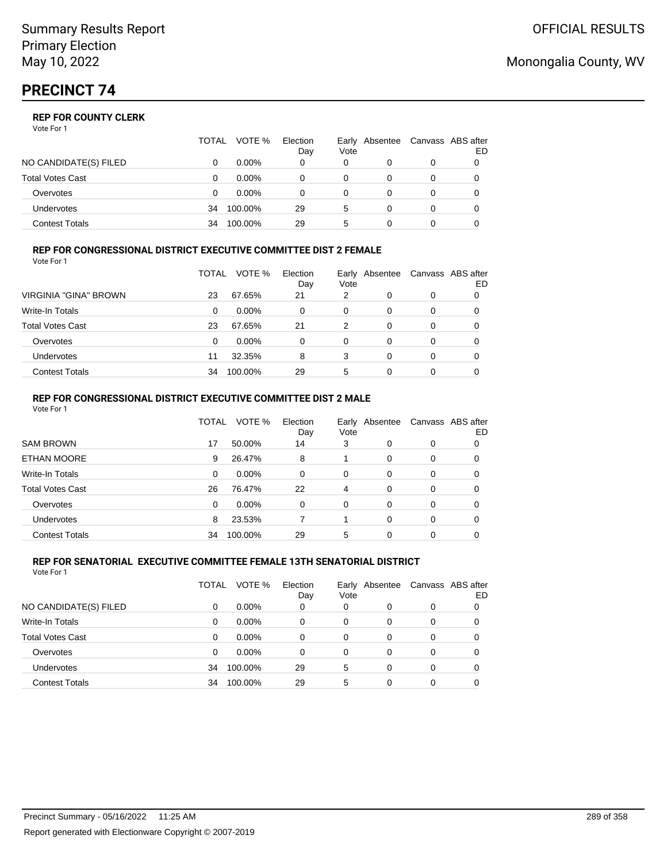|                       | <b>TOTAL</b> | VOTE %   | Election<br>Day | Vote | Early Absentee |   | Canvass ABS after<br>ED |
|-----------------------|--------------|----------|-----------------|------|----------------|---|-------------------------|
| NO CANDIDATE(S) FILED |              | $0.00\%$ | 0               | 0    |                | 0 |                         |
| Total Votes Cast      |              | $0.00\%$ |                 | 0    |                | 0 |                         |
| Overvotes             |              | $0.00\%$ |                 | 0    |                | 0 |                         |
| <b>Undervotes</b>     | 34           | 100.00%  | 29              | 5    |                |   |                         |
| Contest Totals        | 34           | 100.00%  | 29              | 5    |                |   |                         |

#### **REP FOR CONGRESSIONAL DISTRICT EXECUTIVE COMMITTEE DIST 2 FEMALE** Vote For 1

|                         | TOTAL | VOTE %   | Election<br>Day | Vote | Early Absentee | Canvass ABS after | ED |
|-------------------------|-------|----------|-----------------|------|----------------|-------------------|----|
| VIRGINIA "GINA" BROWN   | 23    | 67.65%   | 21              | 2    | $\Omega$       | 0                 |    |
| <b>Write-In Totals</b>  | 0     | $0.00\%$ | 0               | 0    | 0              | 0                 | 0  |
| <b>Total Votes Cast</b> | 23    | 67.65%   | 21              | 2    | 0              | 0                 |    |
| Overvotes               | 0     | $0.00\%$ | 0               | 0    | 0              | 0                 |    |
| Undervotes              | 11    | 32.35%   | 8               | 3    | 0              | 0                 |    |
| <b>Contest Totals</b>   | 34    | 100.00%  | 29              | 5    | 0              | 0                 |    |

### **REP FOR CONGRESSIONAL DISTRICT EXECUTIVE COMMITTEE DIST 2 MALE**

| Vote For 1              |              |         |                 |                |                |          |                         |
|-------------------------|--------------|---------|-----------------|----------------|----------------|----------|-------------------------|
|                         | <b>TOTAL</b> | VOTE %  | Election<br>Day | Vote           | Early Absentee |          | Canvass ABS after<br>ED |
| <b>SAM BROWN</b>        | 17           | 50.00%  | 14              | 3              | 0              | 0        | 0                       |
| <b>ETHAN MOORE</b>      | 9            | 26.47%  | 8               |                | $\Omega$       | $\Omega$ | 0                       |
| Write-In Totals         | 0            | 0.00%   | $\Omega$        | 0              | 0              | 0        | 0                       |
| <b>Total Votes Cast</b> | 26           | 76.47%  | 22              | $\overline{4}$ | $\Omega$       | $\Omega$ | 0                       |
| Overvotes               | 0            | 0.00%   | 0               | $\Omega$       | $\Omega$       | $\Omega$ | 0                       |
| <b>Undervotes</b>       | 8            | 23.53%  |                 |                | $\Omega$       | $\Omega$ | 0                       |
| <b>Contest Totals</b>   | 34           | 100.00% | 29              | 5              | $\Omega$       | $\Omega$ |                         |
|                         |              |         |                 |                |                |          |                         |

#### **REP FOR SENATORIAL EXECUTIVE COMMITTEE FEMALE 13TH SENATORIAL DISTRICT** Vote For 1

|                         | TOTAL | VOTE %   | Election<br>Day | Vote | Early Absentee |   | Canvass ABS after<br>ED |
|-------------------------|-------|----------|-----------------|------|----------------|---|-------------------------|
| NO CANDIDATE(S) FILED   | 0     | $0.00\%$ | 0               | 0    | O              | 0 |                         |
| <b>Write-In Totals</b>  | 0     | $0.00\%$ | 0               | 0    | 0              | 0 |                         |
| <b>Total Votes Cast</b> | 0     | $0.00\%$ | 0               | 0    | 0              | 0 |                         |
| Overvotes               | 0     | $0.00\%$ | 0               | 0    | 0              | 0 |                         |
| Undervotes              | 34    | 100.00%  | 29              | 5    | 0              | 0 |                         |
| <b>Contest Totals</b>   | 34    | 100.00%  | 29              | 5    | 0              | 0 |                         |

## Monongalia County, WV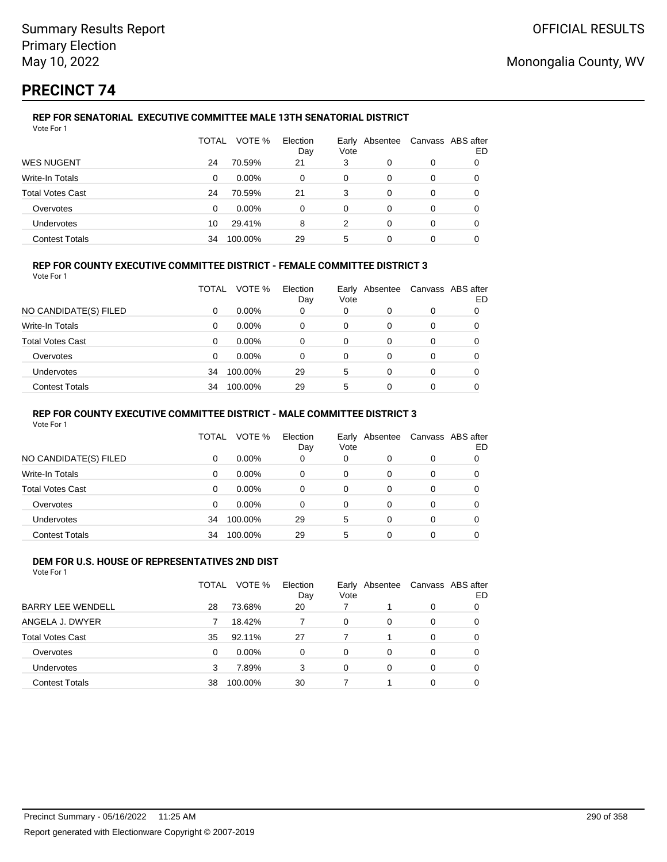# **PRECINCT 74**

#### **REP FOR SENATORIAL EXECUTIVE COMMITTEE MALE 13TH SENATORIAL DISTRICT** Vote For 1

|                         | TOTAL | VOTE %   | Election<br>Day | Vote | Early Absentee |   | Canvass ABS after<br>ED |
|-------------------------|-------|----------|-----------------|------|----------------|---|-------------------------|
| <b>WES NUGENT</b>       | 24    | 70.59%   | 21              | 3    | 0              | 0 |                         |
| Write-In Totals         | 0     | $0.00\%$ | 0               | 0    | 0              | 0 |                         |
| <b>Total Votes Cast</b> | 24    | 70.59%   | 21              | 3    | 0              | 0 |                         |
| Overvotes               | 0     | $0.00\%$ | 0               | 0    | 0              | 0 |                         |
| Undervotes              | 10    | 29.41%   | 8               | 2    | 0              | 0 |                         |
| <b>Contest Totals</b>   | 34    | 100.00%  | 29              | 5    | 0              |   |                         |

### **REP FOR COUNTY EXECUTIVE COMMITTEE DISTRICT - FEMALE COMMITTEE DISTRICT 3**

Vote For 1

|                         | TOTAL | VOTE %   | Election<br>Day | Vote | Early Absentee | Canvass ABS after | ED |
|-------------------------|-------|----------|-----------------|------|----------------|-------------------|----|
| NO CANDIDATE(S) FILED   | 0     | $0.00\%$ | 0               | 0    | 0              | 0                 |    |
| Write-In Totals         | 0     | $0.00\%$ | 0               | 0    | 0              | 0                 |    |
| <b>Total Votes Cast</b> | 0     | $0.00\%$ | 0               | 0    | 0              | 0                 |    |
| Overvotes               | 0     | $0.00\%$ | 0               | 0    | 0              | 0                 |    |
| <b>Undervotes</b>       | 34    | 100.00%  | 29              | 5    | 0              | 0                 |    |
| <b>Contest Totals</b>   | 34    | 100.00%  | 29              | 5    |                |                   |    |

### **REP FOR COUNTY EXECUTIVE COMMITTEE DISTRICT - MALE COMMITTEE DISTRICT 3**

Vote For 1

|                       | TOTAL    | VOTE %   | Election<br>Day | Vote | Early Absentee |   | Canvass ABS after<br>ED |
|-----------------------|----------|----------|-----------------|------|----------------|---|-------------------------|
| NO CANDIDATE(S) FILED | 0        | $0.00\%$ | 0               | 0    |                | 0 |                         |
| Write-In Totals       | $\Omega$ | $0.00\%$ | $\Omega$        | 0    | 0              | 0 | 0                       |
| Total Votes Cast      | 0        | $0.00\%$ | 0               | 0    | 0              | 0 |                         |
| Overvotes             | $\Omega$ | $0.00\%$ | $\Omega$        | 0    | 0              | 0 |                         |
| <b>Undervotes</b>     | 34       | 100.00%  | 29              | 5    | $\Omega$       | 0 | 0                       |
| <b>Contest Totals</b> | 34       | 100.00%  | 29              | 5    | 0              | 0 |                         |

#### **DEM FOR U.S. HOUSE OF REPRESENTATIVES 2ND DIST** Vote For 1

|                          | TOTAL | VOTE %   | Election<br>Day | Early<br>Vote | Absentee |   | Canvass ABS after<br>ED |
|--------------------------|-------|----------|-----------------|---------------|----------|---|-------------------------|
| <b>BARRY LEE WENDELL</b> | 28    | 73.68%   | 20              | 7             |          | 0 | 0                       |
| ANGELA J. DWYER          |       | 18.42%   |                 | 0             | 0        | 0 | 0                       |
| <b>Total Votes Cast</b>  | 35    | 92.11%   | 27              |               |          | 0 | 0                       |
| Overvotes                | 0     | $0.00\%$ | 0               | 0             | 0        | 0 | 0                       |
| Undervotes               | 3     | 7.89%    | 3               | 0             | 0        | 0 | 0                       |
| <b>Contest Totals</b>    | 38    | 100.00%  | 30              |               |          | 0 |                         |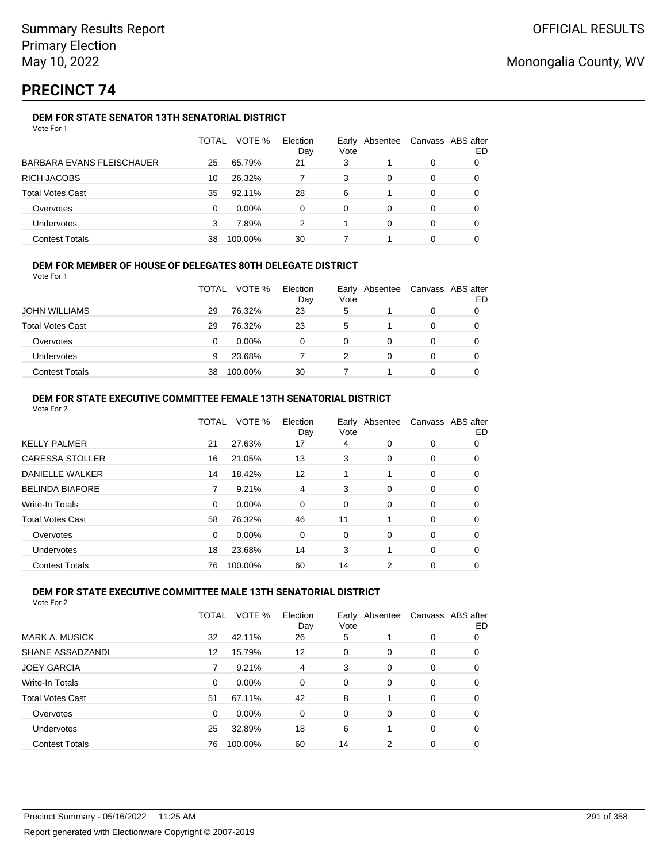# **PRECINCT 74**

## **DEM FOR STATE SENATOR 13TH SENATORIAL DISTRICT**

| Vote For 1 |  |
|------------|--|
|------------|--|

|                                  | <b>TOTAL</b> | VOTE %   | Election<br>Day | Vote | Early Absentee | Canvass ABS after | ED |
|----------------------------------|--------------|----------|-----------------|------|----------------|-------------------|----|
| <b>BARBARA EVANS FLEISCHAUER</b> | 25           | 65.79%   | 21              | 3    |                | 0                 |    |
| <b>RICH JACOBS</b>               | 10           | 26.32%   |                 | 3    | 0              | 0                 |    |
| <b>Total Votes Cast</b>          | 35           | 92.11%   | 28              | 6    |                | 0                 |    |
| Overvotes                        | 0            | $0.00\%$ | 0               | 0    | 0              | 0                 |    |
| Undervotes                       | 3            | 7.89%    | 2               |      | 0              | 0                 |    |
| <b>Contest Totals</b>            | 38           | 100.00%  | 30              |      |                | 0                 |    |

### **DEM FOR MEMBER OF HOUSE OF DELEGATES 80TH DELEGATE DISTRICT**

Vote For 1

|                         | <b>TOTAL</b> | VOTE %   | Election<br>Day | Vote | Early Absentee | Canvass ABS after<br>ED |
|-------------------------|--------------|----------|-----------------|------|----------------|-------------------------|
| <b>JOHN WILLIAMS</b>    | 29           | 76.32%   | 23              | 5    |                |                         |
| <b>Total Votes Cast</b> | 29           | 76.32%   | 23              | 5    |                |                         |
| Overvotes               | 0            | $0.00\%$ | n               | 0    |                |                         |
| <b>Undervotes</b>       | 9            | 23.68%   |                 |      |                |                         |
| <b>Contest Totals</b>   | 38           | 100.00%  | 30              |      |                |                         |

### **DEM FOR STATE EXECUTIVE COMMITTEE FEMALE 13TH SENATORIAL DISTRICT**

| Vote For 2              |              |          |                 |      |                |                   |    |
|-------------------------|--------------|----------|-----------------|------|----------------|-------------------|----|
|                         | <b>TOTAL</b> | VOTE %   | Election<br>Day | Vote | Early Absentee | Canvass ABS after | ED |
| <b>KELLY PALMER</b>     | 21           | 27.63%   | 17              | 4    | 0              | 0                 | 0  |
| <b>CARESSA STOLLER</b>  | 16           | 21.05%   | 13              | 3    | 0              | 0                 | 0  |
| DANIELLE WALKER         | 14           | 18.42%   | 12              |      |                | 0                 | 0  |
| <b>BELINDA BIAFORE</b>  |              | 9.21%    | 4               | 3    | 0              | 0                 | 0  |
| Write-In Totals         | 0            | $0.00\%$ | 0               | 0    | 0              | 0                 | 0  |
| <b>Total Votes Cast</b> | 58           | 76.32%   | 46              | 11   | 1              | 0                 | 0  |
| Overvotes               | 0            | 0.00%    | 0               | 0    | 0              | 0                 | 0  |
| Undervotes              | 18           | 23.68%   | 14              | 3    |                | 0                 | 0  |
| <b>Contest Totals</b>   | 76           | 100.00%  | 60              | 14   | 2              | 0                 | 0  |

#### **DEM FOR STATE EXECUTIVE COMMITTEE MALE 13TH SENATORIAL DISTRICT**

|                         | TOTAL | VOTE %   | Election<br>Day | Vote     | Early Absentee |          | Canvass ABS after<br>ED |
|-------------------------|-------|----------|-----------------|----------|----------------|----------|-------------------------|
| <b>MARK A. MUSICK</b>   | 32    | 42.11%   | 26              | 5        |                | $\Omega$ | 0                       |
| SHANE ASSADZANDI        | 12    | 15.79%   | 12              | $\Omega$ | $\Omega$       | 0        | 0                       |
| <b>JOEY GARCIA</b>      |       | 9.21%    | 4               | 3        | $\Omega$       | $\Omega$ | 0                       |
| Write-In Totals         | 0     | $0.00\%$ | $\Omega$        | 0        | 0              | 0        | 0                       |
| <b>Total Votes Cast</b> | 51    | 67.11%   | 42              | 8        |                | $\Omega$ | 0                       |
| Overvotes               | 0     | $0.00\%$ | 0               | $\Omega$ | $\Omega$       | $\Omega$ | 0                       |
| Undervotes              | 25    | 32.89%   | 18              | 6        |                | $\Omega$ | 0                       |
| <b>Contest Totals</b>   | 76    | 100.00%  | 60              | 14       | 2              | 0        | 0                       |
|                         |       |          |                 |          |                |          |                         |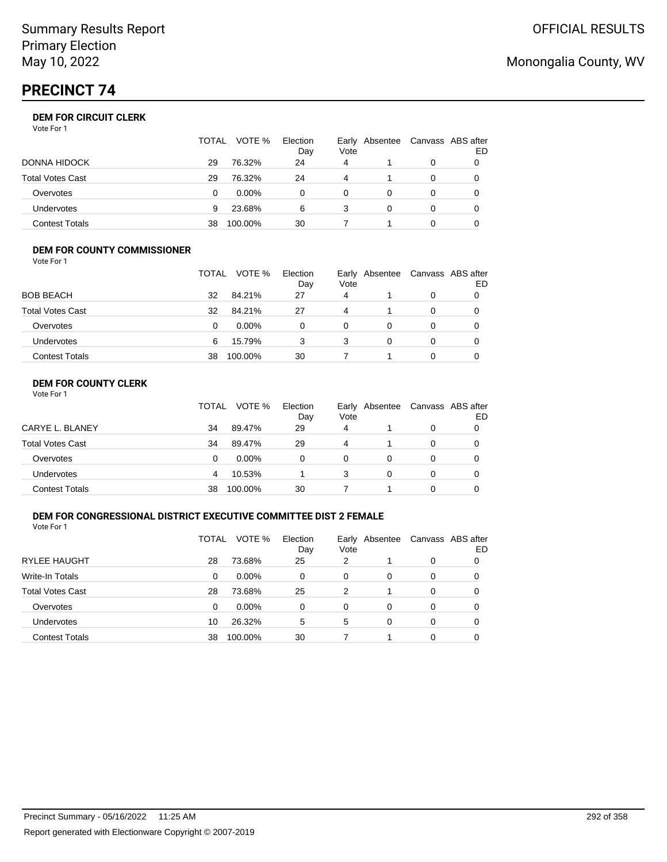# **PRECINCT 74**

## **DEM FOR CIRCUIT CLERK**

Vote For 1

|                         | TOTAL | VOTE %   | Election<br>Day | Vote | Early Absentee | Canvass ABS after | ED |
|-------------------------|-------|----------|-----------------|------|----------------|-------------------|----|
| <b>DONNA HIDOCK</b>     | 29    | 76.32%   | 24              | 4    |                |                   |    |
| <b>Total Votes Cast</b> | 29    | 76.32%   | 24              | 4    |                |                   |    |
| Overvotes               |       | $0.00\%$ |                 | 0    |                |                   |    |
| <b>Undervotes</b>       | 9     | 23.68%   | 6               | 3    |                |                   |    |
| <b>Contest Totals</b>   | 38    | 100.00%  | 30              |      |                |                   |    |

#### **DEM FOR COUNTY COMMISSIONER**

| Vote For 1              |              |          |                 |      |                |                   |    |
|-------------------------|--------------|----------|-----------------|------|----------------|-------------------|----|
|                         | <b>TOTAL</b> | VOTE %   | Election<br>Day | Vote | Early Absentee | Canvass ABS after | ED |
| <b>BOB BEACH</b>        | 32           | 84.21%   | 27              | 4    |                | 0                 |    |
| <b>Total Votes Cast</b> | 32           | 84.21%   | 27              | 4    |                | 0                 | 0  |
| Overvotes               | 0            | $0.00\%$ | 0               | 0    | 0              | 0                 |    |
| <b>Undervotes</b>       | 6            | 15.79%   | 3               | 3    | 0              | 0                 | 0  |
| <b>Contest Totals</b>   | 38           | 100.00%  | 30              |      |                | 0                 |    |

## **DEM FOR COUNTY CLERK**

|                         | <b>TOTAL</b> | VOTE %   | Election<br>Day | Vote | Early Absentee | Canvass ABS after | ED |
|-------------------------|--------------|----------|-----------------|------|----------------|-------------------|----|
| CARYE L. BLANEY         | 34           | 89.47%   | 29              | 4    |                | 0                 |    |
| <b>Total Votes Cast</b> | 34           | 89.47%   | 29              | 4    |                | 0                 |    |
| Overvotes               | 0            | $0.00\%$ | 0               | 0    |                | 0                 |    |
| <b>Undervotes</b>       | 4            | 10.53%   |                 | 3    | 0              | $\Omega$          |    |
| <b>Contest Totals</b>   | 38           | 100.00%  | 30              |      |                | 0                 |    |

### **DEM FOR CONGRESSIONAL DISTRICT EXECUTIVE COMMITTEE DIST 2 FEMALE**

Vote For 1

|                         | TOTAL | VOTE %   | Election<br>Day | Vote | Early Absentee | Canvass ABS after | ED |
|-------------------------|-------|----------|-----------------|------|----------------|-------------------|----|
| <b>RYLEE HAUGHT</b>     | 28    | 73.68%   | 25              | 2    |                | 0                 | 0  |
| Write-In Totals         | 0     | $0.00\%$ | 0               | 0    | 0              | 0                 |    |
| <b>Total Votes Cast</b> | 28    | 73.68%   | 25              | 2    |                | 0                 |    |
| Overvotes               | 0     | $0.00\%$ | 0               | 0    | 0              | 0                 |    |
| <b>Undervotes</b>       | 10    | 26.32%   | 5               | 5    | 0              | 0                 |    |
| <b>Contest Totals</b>   | 38    | 100.00%  | 30              |      |                | 0                 |    |

# Monongalia County, WV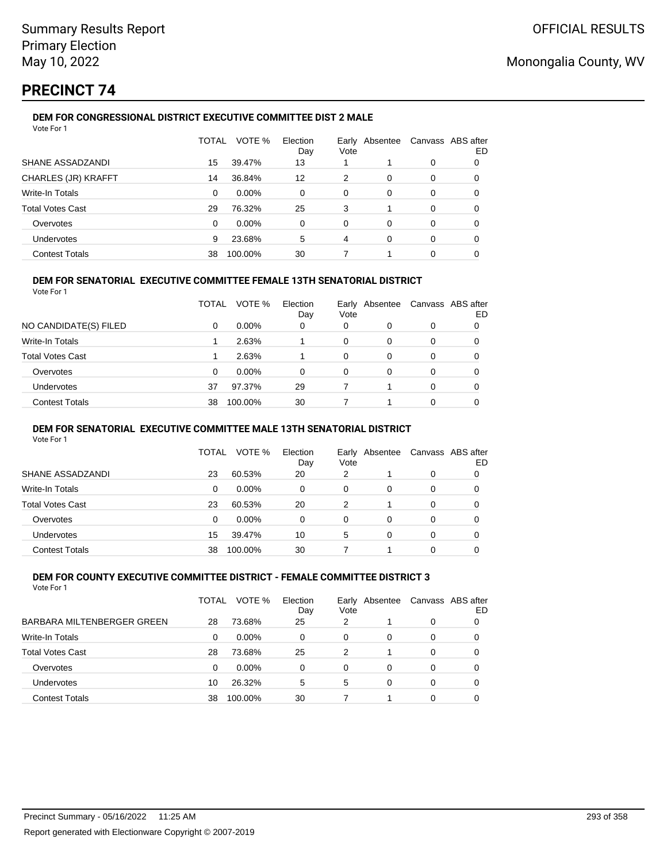# **PRECINCT 74**

#### **DEM FOR CONGRESSIONAL DISTRICT EXECUTIVE COMMITTEE DIST 2 MALE** Vote For 1

| VOTE %<br>Election<br><b>TOTAL</b><br>Canvass ABS after<br>Early Absentee<br>Vote<br>Day<br>SHANE ASSADZANDI<br>15<br>39.47%<br>13<br>0<br><b>CHARLES (JR) KRAFFT</b><br>36.84%<br>12<br>2<br>14<br>0<br>0<br>Write-In Totals<br>$0.00\%$<br>0<br>0<br>0<br>$\Omega$<br>0 |    |
|---------------------------------------------------------------------------------------------------------------------------------------------------------------------------------------------------------------------------------------------------------------------------|----|
|                                                                                                                                                                                                                                                                           | ED |
|                                                                                                                                                                                                                                                                           | 0  |
|                                                                                                                                                                                                                                                                           | 0  |
|                                                                                                                                                                                                                                                                           | 0  |
| <b>Total Votes Cast</b><br>76.32%<br>25<br>3<br>29<br>0                                                                                                                                                                                                                   | 0  |
| 0.00%<br>0<br>0<br>Overvotes<br>0<br>$\Omega$<br>$\Omega$                                                                                                                                                                                                                 | 0  |
| 23.68%<br>5<br><b>Undervotes</b><br>4<br>0<br>0<br>9                                                                                                                                                                                                                      | 0  |
| <b>Contest Totals</b><br>30<br>100.00%<br>0<br>38                                                                                                                                                                                                                         | 0  |

### **DEM FOR SENATORIAL EXECUTIVE COMMITTEE FEMALE 13TH SENATORIAL DISTRICT**

Vote For 1

|                         | TOTAL | VOTE %   | Election<br>Day | Vote | Early Absentee |          | Canvass ABS after<br>ED |
|-------------------------|-------|----------|-----------------|------|----------------|----------|-------------------------|
| NO CANDIDATE(S) FILED   | 0     | $0.00\%$ | 0               | 0    | 0              | 0        |                         |
| <b>Write-In Totals</b>  |       | 2.63%    |                 | 0    | 0              | $\Omega$ | 0                       |
| <b>Total Votes Cast</b> |       | 2.63%    |                 | 0    | 0              | 0        |                         |
| Overvotes               | 0     | $0.00\%$ | 0               | 0    | 0              | 0        |                         |
| <b>Undervotes</b>       | 37    | 97.37%   | 29              |      |                | $\Omega$ | 0                       |
| <b>Contest Totals</b>   | 38    | 100.00%  | 30              |      |                | 0        |                         |

#### **DEM FOR SENATORIAL EXECUTIVE COMMITTEE MALE 13TH SENATORIAL DISTRICT**

Vote For 1

|                         | TOTAL | VOTE %   | Election<br>Day | Vote | Early Absentee | Canvass ABS after | ED |
|-------------------------|-------|----------|-----------------|------|----------------|-------------------|----|
| SHANE ASSADZANDI        | 23    | 60.53%   | 20              | 2    |                | 0                 |    |
| Write-In Totals         | 0     | $0.00\%$ | 0               | 0    | 0              | 0                 |    |
| <b>Total Votes Cast</b> | 23    | 60.53%   | 20              | 2    |                | 0                 |    |
| Overvotes               | 0     | $0.00\%$ | 0               | 0    | 0              | 0                 |    |
| Undervotes              | 15    | 39.47%   | 10              | 5    | 0              | 0                 |    |
| <b>Contest Totals</b>   | 38    | 100.00%  | 30              |      |                | 0                 |    |

#### **DEM FOR COUNTY EXECUTIVE COMMITTEE DISTRICT - FEMALE COMMITTEE DISTRICT 3** Vote For 1

|                            | TOTAL | VOTE %   | Election<br>Day | Early<br>Vote | Absentee | Canvass ABS after | ED |
|----------------------------|-------|----------|-----------------|---------------|----------|-------------------|----|
| BARBARA MILTENBERGER GREEN | 28    | 73.68%   | 25              | 2             |          | 0                 |    |
| Write-In Totals            | 0     | $0.00\%$ | 0               | 0             | 0        | 0                 | 0  |
| <b>Total Votes Cast</b>    | 28    | 73.68%   | 25              | 2             |          | 0                 |    |
| Overvotes                  | 0     | $0.00\%$ | 0               | 0             | 0        | 0                 |    |
| <b>Undervotes</b>          | 10    | 26.32%   | 5               | 5             | 0        | 0                 |    |
| <b>Contest Totals</b>      | 38    | 100.00%  | 30              |               |          | 0                 |    |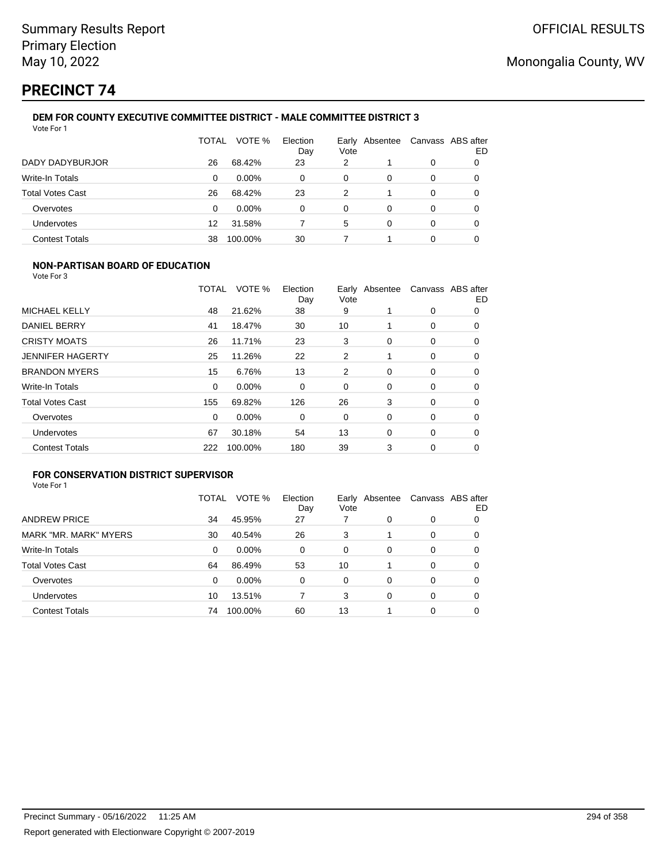# **PRECINCT 74**

#### **DEM FOR COUNTY EXECUTIVE COMMITTEE DISTRICT - MALE COMMITTEE DISTRICT 3** Vote For 1

|                         | TOTAL | VOTE %   | Election<br>Day | Vote | Early Absentee | Canvass ABS after | ED |
|-------------------------|-------|----------|-----------------|------|----------------|-------------------|----|
| DADY DADYBURJOR         | 26    | 68.42%   | 23              | 2    |                | 0                 | 0  |
| Write-In Totals         | 0     | $0.00\%$ | 0               | 0    | 0              | 0                 |    |
| <b>Total Votes Cast</b> | 26    | 68.42%   | 23              | 2    |                | 0                 |    |
| Overvotes               | 0     | $0.00\%$ | 0               | 0    | 0              | 0                 |    |
| Undervotes              | 12    | 31.58%   |                 | 5    | $\Omega$       | 0                 |    |
| <b>Contest Totals</b>   | 38    | 100.00%  | 30              |      |                | 0                 |    |

### **NON-PARTISAN BOARD OF EDUCATION**

Vote For 3

|                         | TOTAL    | VOTE %  | Election<br>Day | Vote | Early Absentee |             | Canvass ABS after<br>ED |
|-------------------------|----------|---------|-----------------|------|----------------|-------------|-------------------------|
| MICHAEL KELLY           | 48       | 21.62%  | 38              | 9    |                | 0           | 0                       |
| <b>DANIEL BERRY</b>     | 41       | 18.47%  | 30              | 10   |                | 0           | 0                       |
| <b>CRISTY MOATS</b>     | 26       | 11.71%  | 23              | 3    | 0              | 0           | 0                       |
| <b>JENNIFER HAGERTY</b> | 25       | 11.26%  | 22              | 2    |                | $\mathbf 0$ | 0                       |
| <b>BRANDON MYERS</b>    | 15       | 6.76%   | 13              | 2    | 0              | 0           | 0                       |
| Write-In Totals         | 0        | 0.00%   | 0               | 0    | 0              | 0           | 0                       |
| <b>Total Votes Cast</b> | 155      | 69.82%  | 126             | 26   | 3              | 0           | 0                       |
| Overvotes               | $\Omega$ | 0.00%   | 0               | 0    | 0              | 0           | 0                       |
| <b>Undervotes</b>       | 67       | 30.18%  | 54              | 13   | $\Omega$       | 0           | 0                       |
| <b>Contest Totals</b>   | 222      | 100.00% | 180             | 39   | 3              | 0           | 0                       |

## **FOR CONSERVATION DISTRICT SUPERVISOR**

| Vote For 1 |  |
|------------|--|
|------------|--|

|                         | TOTAL | VOTE %   | Election<br>Day | Early<br>Vote | Absentee | Canvass ABS after | ED |
|-------------------------|-------|----------|-----------------|---------------|----------|-------------------|----|
| <b>ANDREW PRICE</b>     | 34    | 45.95%   | 27              | 7             | 0        | 0                 |    |
| MARK "MR. MARK" MYERS   | 30    | 40.54%   | 26              | 3             |          | 0                 | O  |
| Write-In Totals         | 0     | $0.00\%$ | 0               | 0             | $\Omega$ | 0                 | 0  |
| <b>Total Votes Cast</b> | 64    | 86.49%   | 53              | 10            |          | 0                 | 0  |
| Overvotes               | 0     | $0.00\%$ | 0               | 0             | $\Omega$ | 0                 | 0  |
| <b>Undervotes</b>       | 10    | 13.51%   |                 | 3             | 0        | 0                 | 0  |
| <b>Contest Totals</b>   | 74    | 100.00%  | 60              | 13            |          | 0                 |    |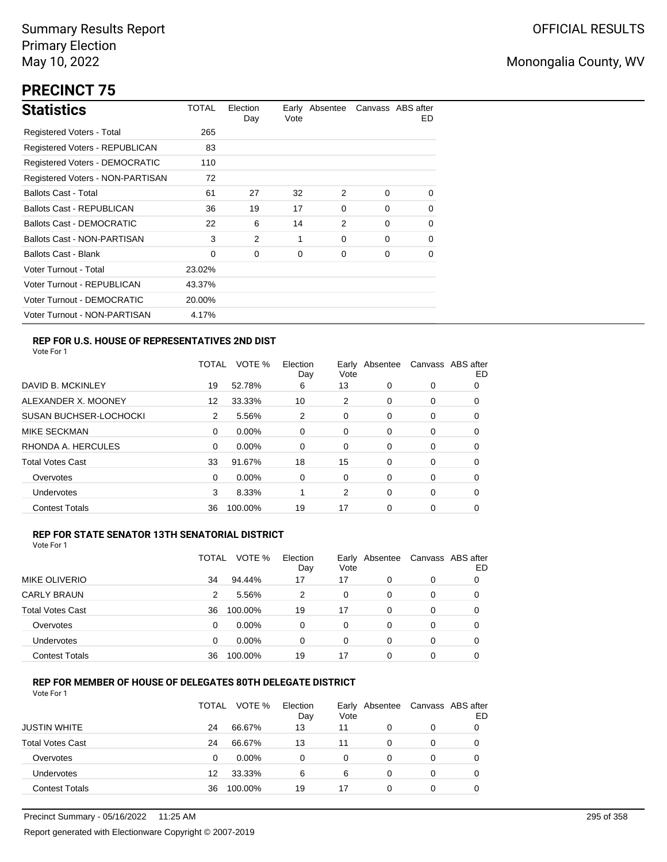# **PRECINCT 75**

| <b>Statistics</b>                | TOTAL  | Election<br>Day | Vote | Early Absentee |          | Canvass ABS after<br>ED. |
|----------------------------------|--------|-----------------|------|----------------|----------|--------------------------|
| Registered Voters - Total        | 265    |                 |      |                |          |                          |
| Registered Voters - REPUBLICAN   | 83     |                 |      |                |          |                          |
| Registered Voters - DEMOCRATIC   | 110    |                 |      |                |          |                          |
| Registered Voters - NON-PARTISAN | 72     |                 |      |                |          |                          |
| <b>Ballots Cast - Total</b>      | 61     | 27              | 32   | 2              | $\Omega$ | $\Omega$                 |
| <b>Ballots Cast - REPUBLICAN</b> | 36     | 19              | 17   | $\Omega$       | $\Omega$ | $\Omega$                 |
| Ballots Cast - DEMOCRATIC        | 22     | 6               | 14   | 2              | $\Omega$ | 0                        |
| Ballots Cast - NON-PARTISAN      | 3      | 2               | 1    | 0              | $\Omega$ | 0                        |
| <b>Ballots Cast - Blank</b>      | 0      | 0               | 0    | 0              | 0        | 0                        |
| Voter Turnout - Total            | 23.02% |                 |      |                |          |                          |
| Voter Turnout - REPUBLICAN       | 43.37% |                 |      |                |          |                          |
| Voter Turnout - DEMOCRATIC       | 20.00% |                 |      |                |          |                          |
| Voter Turnout - NON-PARTISAN     | 4.17%  |                 |      |                |          |                          |

### **REP FOR U.S. HOUSE OF REPRESENTATIVES 2ND DIST**

Vote For 1

|                               | TOTAL | VOTE %   | Election<br>Day | Earlv<br>Vote | Absentee | Canvass ABS after | ED |
|-------------------------------|-------|----------|-----------------|---------------|----------|-------------------|----|
| DAVID B. MCKINLEY             | 19    | 52.78%   | 6               | 13            | 0        | 0                 | 0  |
| ALEXANDER X. MOONEY           | 12    | 33.33%   | 10              | 2             | 0        | 0                 | O  |
| <b>SUSAN BUCHSER-LOCHOCKI</b> | 2     | 5.56%    | 2               | 0             | 0        | 0                 | 0  |
| <b>MIKE SECKMAN</b>           | 0     | $0.00\%$ | 0               | 0             | $\Omega$ | 0                 | 0  |
| RHONDA A. HERCULES            | 0     | 0.00%    | $\Omega$        | 0             | 0        | 0                 | 0  |
| <b>Total Votes Cast</b>       | 33    | 91.67%   | 18              | 15            | 0        | 0                 | 0  |
| Overvotes                     | 0     | $0.00\%$ | 0               | 0             | $\Omega$ | 0                 | 0  |
| <b>Undervotes</b>             | 3     | 8.33%    |                 | 2             | $\Omega$ | 0                 | 0  |
| <b>Contest Totals</b>         | 36    | 100.00%  | 19              | 17            | $\Omega$ | 0                 | O  |

### **REP FOR STATE SENATOR 13TH SENATORIAL DISTRICT**

| Vote For 1 |  |  |  |
|------------|--|--|--|
|------------|--|--|--|

|                         | TOTAL | VOTE %   | Election<br>Day | Early Absentee<br>Vote |   |   | Canvass ABS after<br>ED |
|-------------------------|-------|----------|-----------------|------------------------|---|---|-------------------------|
| <b>MIKE OLIVERIO</b>    | 34    | 94.44%   | 17              | 17                     | 0 | 0 |                         |
| <b>CARLY BRAUN</b>      | 2     | 5.56%    | 2               | 0                      | 0 | 0 |                         |
| <b>Total Votes Cast</b> | 36    | 100.00%  | 19              | 17                     | 0 | 0 |                         |
| Overvotes               | 0     | $0.00\%$ | 0               | 0                      | 0 | 0 | 0                       |
| Undervotes              | 0     | $0.00\%$ | $\Omega$        | 0                      | 0 | 0 | O                       |
| <b>Contest Totals</b>   | 36    | 100.00%  | 19              | 17                     | 0 | 0 |                         |

### **REP FOR MEMBER OF HOUSE OF DELEGATES 80TH DELEGATE DISTRICT**

|                         | <b>TOTAL</b> | VOTE %  | Election<br>Day | Early Absentee<br>Vote |   | Canvass ABS after | ED |
|-------------------------|--------------|---------|-----------------|------------------------|---|-------------------|----|
| <b>JUSTIN WHITE</b>     | 24           | 66.67%  | 13              | 11                     | 0 | 0                 |    |
| <b>Total Votes Cast</b> | 24           | 66.67%  | 13              | 11                     | 0 | 0                 |    |
| Overvotes               | 0            | 0.00%   | 0               | 0                      | 0 | 0                 |    |
| Undervotes              | 12           | 33.33%  | 6               | 6                      | 0 | 0                 |    |
| <b>Contest Totals</b>   | 36           | 100.00% | 19              | 17                     | 0 | 0                 |    |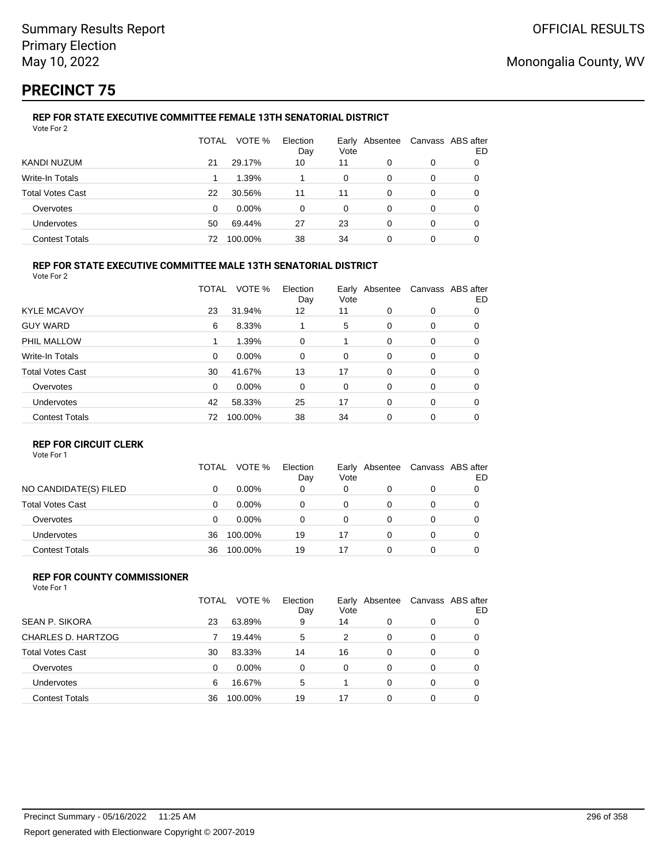# **PRECINCT 75**

#### **REP FOR STATE EXECUTIVE COMMITTEE FEMALE 13TH SENATORIAL DISTRICT** Vote For 2

|                         | TOTAL | VOTE %   | Election<br>Day | Vote | Early Absentee | Canvass ABS after | ED |
|-------------------------|-------|----------|-----------------|------|----------------|-------------------|----|
| KANDI NUZUM             | 21    | 29.17%   | 10              | 11   | 0              | 0                 |    |
| Write-In Totals         |       | 1.39%    |                 | 0    | 0              | 0                 |    |
| <b>Total Votes Cast</b> | 22    | 30.56%   | 11              | 11   | 0              | 0                 |    |
| Overvotes               | 0     | $0.00\%$ | 0               | 0    | 0              | 0                 |    |
| Undervotes              | 50    | 69.44%   | 27              | 23   | 0              | 0                 | 0  |
| <b>Contest Totals</b>   | 72    | 100.00%  | 38              | 34   | 0              | 0                 |    |

### **REP FOR STATE EXECUTIVE COMMITTEE MALE 13TH SENATORIAL DISTRICT**

Vote For 2

|                         | TOTAL    | VOTE %   | Election<br>Day | Vote | Early Absentee |          | Canvass ABS after<br>ED |
|-------------------------|----------|----------|-----------------|------|----------------|----------|-------------------------|
| <b>KYLE MCAVOY</b>      | 23       | 31.94%   | 12              | 11   | $\Omega$       | 0        | 0                       |
| <b>GUY WARD</b>         | 6        | 8.33%    |                 | 5    | 0              | 0        | 0                       |
| PHIL MALLOW             |          | 1.39%    | 0               |      | 0              | 0        | 0                       |
| Write-In Totals         | $\Omega$ | $0.00\%$ | 0               | 0    | 0              | 0        | 0                       |
| <b>Total Votes Cast</b> | 30       | 41.67%   | 13              | 17   | $\Omega$       | 0        | 0                       |
| Overvotes               | $\Omega$ | $0.00\%$ | 0               | 0    | 0              | 0        | 0                       |
| Undervotes              | 42       | 58.33%   | 25              | 17   | $\Omega$       | $\Omega$ | 0                       |
| <b>Contest Totals</b>   | 72       | 100.00%  | 38              | 34   | $\Omega$       | 0        | 0                       |

#### **REP FOR CIRCUIT CLERK**

Vote For 1

|                         | TOTAL | VOTE %   | Election<br>Day | Vote | Early Absentee | Canvass ABS after | ED |
|-------------------------|-------|----------|-----------------|------|----------------|-------------------|----|
| NO CANDIDATE(S) FILED   |       | $0.00\%$ | 0               | 0    |                | 0                 |    |
| <b>Total Votes Cast</b> | 0     | $0.00\%$ | 0               | 0    |                | 0                 |    |
| Overvotes               | 0     | $0.00\%$ | 0               | 0    |                | 0                 |    |
| <b>Undervotes</b>       | 36    | 100.00%  | 19              | 17   | 0              | 0                 |    |
| <b>Contest Totals</b>   | 36    | 100.00%  | 19              | 17   |                | 0                 |    |

#### **REP FOR COUNTY COMMISSIONER** Vote For 1

|                         | TOTAL | VOTE %   | Election<br>Day | Vote     | Early Absentee |          | Canvass ABS after<br>ED |
|-------------------------|-------|----------|-----------------|----------|----------------|----------|-------------------------|
| <b>SEAN P. SIKORA</b>   | 23    | 63.89%   | 9               | 14       | 0              | 0        |                         |
| CHARLES D. HARTZOG      |       | 19.44%   | 5               | 2        | 0              | 0        | 0                       |
| <b>Total Votes Cast</b> | 30    | 83.33%   | 14              | 16       | 0              | 0        | 0                       |
| Overvotes               | 0     | $0.00\%$ | 0               | $\Omega$ | 0              | $\Omega$ | 0                       |
| <b>Undervotes</b>       | 6     | 16.67%   | 5               |          | 0              | $\Omega$ | 0                       |
| <b>Contest Totals</b>   | 36    | 100.00%  | 19              | 17       | 0              | $\Omega$ |                         |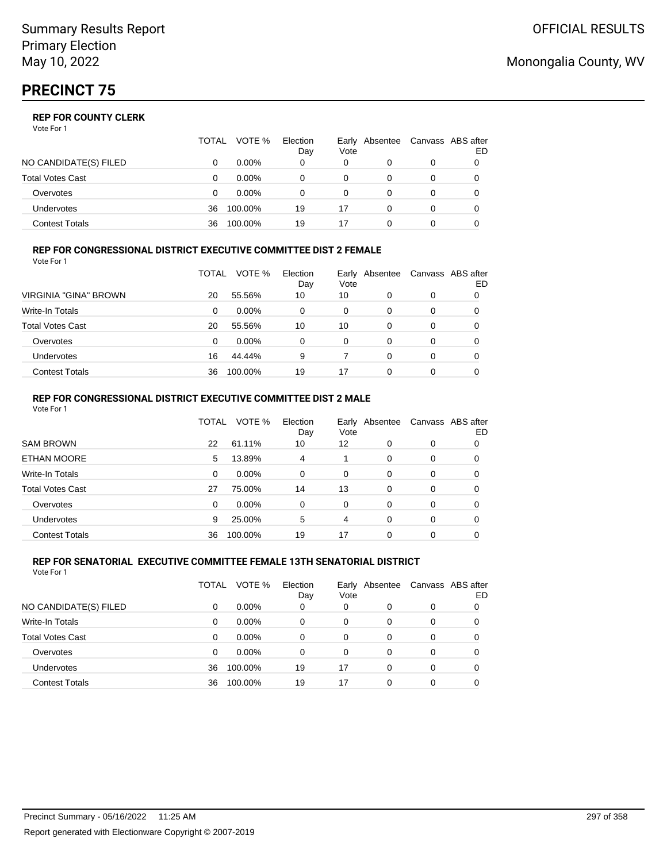|                       | TOTAL | VOTE %   | Election<br>Day | Vote | Early Absentee | Canvass ABS after | ED |
|-----------------------|-------|----------|-----------------|------|----------------|-------------------|----|
| NO CANDIDATE(S) FILED |       | $0.00\%$ | 0               | 0    |                | 0                 |    |
| Total Votes Cast      |       | $0.00\%$ |                 |      |                |                   |    |
| Overvotes             | 0     | $0.00\%$ | 0               | 0    |                | 0                 |    |
| Undervotes            | 36    | 100.00%  | 19              | 17   |                | 0                 |    |
| Contest Totals        | 36    | 100.00%  | 19              |      |                |                   |    |

#### **REP FOR CONGRESSIONAL DISTRICT EXECUTIVE COMMITTEE DIST 2 FEMALE** Vote For 1

|                         | TOTAL | VOTE %   | Election<br>Day | Vote | Early Absentee | Canvass ABS after | ED |
|-------------------------|-------|----------|-----------------|------|----------------|-------------------|----|
| VIRGINIA "GINA" BROWN   | 20    | 55.56%   | 10              | 10   | 0              | 0                 | O  |
| <b>Write-In Totals</b>  | 0     | $0.00\%$ | 0               | 0    | 0              | 0                 | 0  |
| <b>Total Votes Cast</b> | 20    | 55.56%   | 10              | 10   | 0              | 0                 | 0  |
| Overvotes               | 0     | $0.00\%$ | 0               | 0    | 0              | 0                 |    |
| Undervotes              | 16    | 44.44%   | 9               |      | 0              | 0                 |    |
| <b>Contest Totals</b>   | 36    | 100.00%  | 19              | 17   | 0              | 0                 |    |

#### **REP FOR CONGRESSIONAL DISTRICT EXECUTIVE COMMITTEE DIST 2 MALE** Vote For 1

|                         | TOTAL | VOTE %  | Election<br>Day | Early<br>Vote | Absentee |   | Canvass ABS after<br>ED |
|-------------------------|-------|---------|-----------------|---------------|----------|---|-------------------------|
| <b>SAM BROWN</b>        | 22    | 61.11%  | 10              | 12            | 0        | 0 | 0                       |
| <b>ETHAN MOORE</b>      | 5     | 13.89%  | 4               |               | 0        | 0 | 0                       |
| Write-In Totals         | 0     | 0.00%   | $\Omega$        | $\Omega$      | 0        | 0 | 0                       |
| <b>Total Votes Cast</b> | 27    | 75.00%  | 14              | 13            | 0        | 0 | 0                       |
| Overvotes               | 0     | 0.00%   | $\Omega$        | $\Omega$      | 0        | 0 | 0                       |
| Undervotes              | 9     | 25.00%  | 5               | 4             | 0        | 0 | 0                       |
| <b>Contest Totals</b>   | 36    | 100.00% | 19              | 17            | $\Omega$ | 0 | 0                       |

#### **REP FOR SENATORIAL EXECUTIVE COMMITTEE FEMALE 13TH SENATORIAL DISTRICT** Vote For 1

|                         | TOTAL | VOTE %   | Election<br>Day | Early<br>Vote | Absentee |   | Canvass ABS after<br>ED |
|-------------------------|-------|----------|-----------------|---------------|----------|---|-------------------------|
| NO CANDIDATE(S) FILED   | 0     | $0.00\%$ | 0               | 0             | 0        | 0 | 0                       |
| <b>Write-In Totals</b>  | 0     | $0.00\%$ | $\Omega$        | 0             | 0        | 0 | 0                       |
| <b>Total Votes Cast</b> | 0     | $0.00\%$ | $\Omega$        | $\Omega$      | $\Omega$ | 0 | 0                       |
| Overvotes               | 0     | $0.00\%$ | 0               | $\Omega$      | 0        | 0 | 0                       |
| <b>Undervotes</b>       | 36    | 100.00%  | 19              | 17            | $\Omega$ | 0 | 0                       |
| <b>Contest Totals</b>   | 36    | 100.00%  | 19              | 17            | 0        | 0 |                         |

## Monongalia County, WV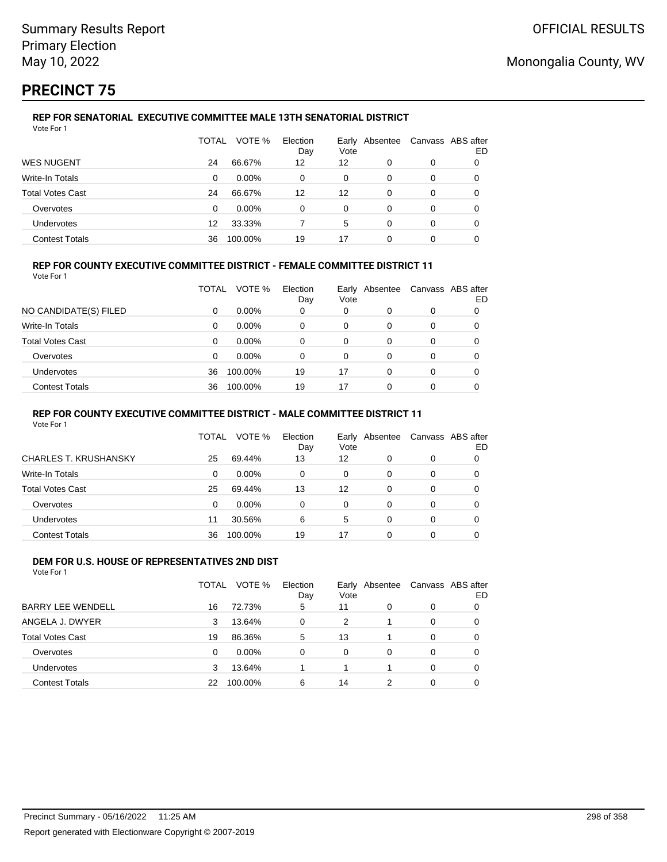# **PRECINCT 75**

#### **REP FOR SENATORIAL EXECUTIVE COMMITTEE MALE 13TH SENATORIAL DISTRICT** Vote For 1

|                         | TOTAL | VOTE %   | Election<br>Day | Vote | Early Absentee |   | Canvass ABS after<br>ED |
|-------------------------|-------|----------|-----------------|------|----------------|---|-------------------------|
| <b>WES NUGENT</b>       | 24    | 66.67%   | 12              | 12   | 0              | 0 |                         |
| Write-In Totals         | 0     | $0.00\%$ | 0               | 0    | 0              | 0 |                         |
| <b>Total Votes Cast</b> | 24    | 66.67%   | 12              | 12   | 0              | 0 |                         |
| Overvotes               | 0     | $0.00\%$ | 0               | 0    | 0              | 0 |                         |
| Undervotes              | 12    | 33.33%   |                 | 5    | 0              | 0 |                         |
| <b>Contest Totals</b>   | 36    | 100.00%  | 19              | 17   | ი              | 0 |                         |

### **REP FOR COUNTY EXECUTIVE COMMITTEE DISTRICT - FEMALE COMMITTEE DISTRICT 11**

Vote For 1

|                       | TOTAL | VOTE %   | Election<br>Day | Vote | Early Absentee | Canvass ABS after | ED |
|-----------------------|-------|----------|-----------------|------|----------------|-------------------|----|
| NO CANDIDATE(S) FILED | 0     | $0.00\%$ | 0               | 0    |                | 0                 |    |
| Write-In Totals       | 0     | $0.00\%$ | 0               | 0    | 0              | 0                 |    |
| Total Votes Cast      | 0     | $0.00\%$ | 0               | 0    | 0              | 0                 |    |
| Overvotes             | 0     | $0.00\%$ | 0               | 0    | 0              | 0                 |    |
| Undervotes            | 36    | 100.00%  | 19              | 17   | 0              | 0                 |    |
| <b>Contest Totals</b> | 36    | 100.00%  | 19              | 17   | ŋ              | 0                 |    |

### **REP FOR COUNTY EXECUTIVE COMMITTEE DISTRICT - MALE COMMITTEE DISTRICT 11**

Vote For 1

|                              | TOTAL | VOTE %   | Election<br>Day | Early<br>Vote | Absentee |   | Canvass ABS after<br>ED |
|------------------------------|-------|----------|-----------------|---------------|----------|---|-------------------------|
| <b>CHARLES T. KRUSHANSKY</b> | 25    | 69.44%   | 13              | 12            | 0        | 0 | 0                       |
| Write-In Totals              | 0     | $0.00\%$ | 0               | 0             | 0        | 0 |                         |
| Total Votes Cast             | 25    | 69.44%   | 13              | 12            | 0        | 0 | 0                       |
| Overvotes                    | 0     | $0.00\%$ | $\Omega$        | 0             | 0        | 0 | 0                       |
| Undervotes                   | 11    | 30.56%   | 6               | 5             | 0        | 0 | 0                       |
| <b>Contest Totals</b>        | 36    | 100.00%  | 19              | 17            | 0        |   |                         |

#### **DEM FOR U.S. HOUSE OF REPRESENTATIVES 2ND DIST** Vote For 1

|                          | TOTAL | VOTE %   | Election<br>Day | Vote     | Early Absentee |          | Canvass ABS after<br>ED |
|--------------------------|-------|----------|-----------------|----------|----------------|----------|-------------------------|
| <b>BARRY LEE WENDELL</b> | 16    | 72.73%   | 5               | 11       | 0              | 0        |                         |
| ANGELA J. DWYER          | 3     | 13.64%   | $\Omega$        | 2        |                | $\Omega$ | 0                       |
| <b>Total Votes Cast</b>  | 19    | 86.36%   | 5               | 13       |                | $\Omega$ | 0                       |
| Overvotes                | 0     | $0.00\%$ | $\Omega$        | $\Omega$ | 0              | $\Omega$ | 0                       |
| Undervotes               | 3     | 13.64%   |                 |          |                | $\Omega$ | 0                       |
| <b>Contest Totals</b>    | 22    | 100.00%  | 6               | 14       | 2              | $\Omega$ |                         |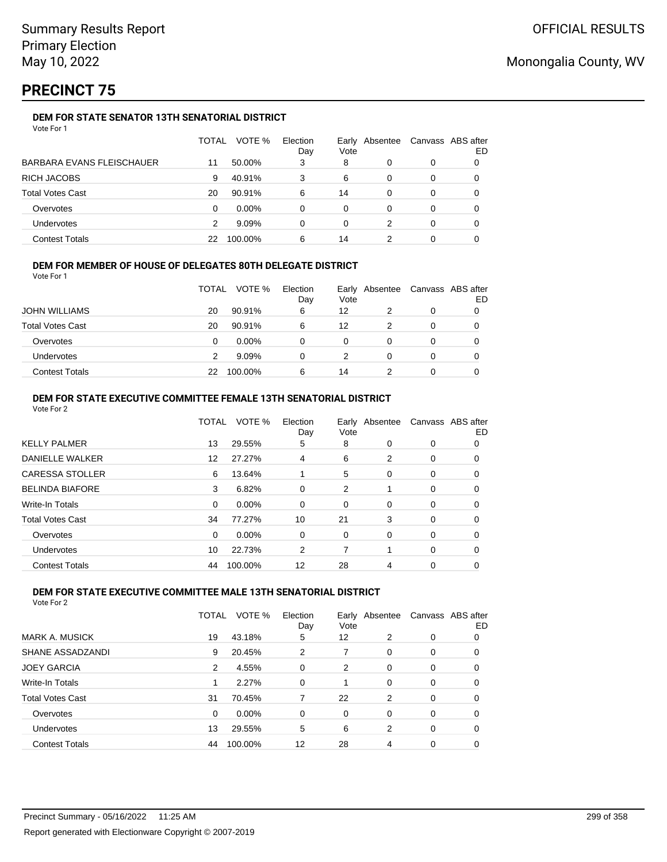# **PRECINCT 75**

## **DEM FOR STATE SENATOR 13TH SENATORIAL DISTRICT**

| Vote For 1 |  |
|------------|--|
|------------|--|

|                                  | TOTAL | VOTE %   | Election<br>Day | Early<br>Vote | Absentee | Canvass ABS after | ED |
|----------------------------------|-------|----------|-----------------|---------------|----------|-------------------|----|
| <b>BARBARA EVANS FLEISCHAUER</b> | 11    | 50.00%   | 3               | 8             | 0        | 0                 |    |
| <b>RICH JACOBS</b>               | 9     | 40.91%   | 3               | 6             | 0        | 0                 |    |
| <b>Total Votes Cast</b>          | 20    | 90.91%   | 6               | 14            | 0        | 0                 |    |
| Overvotes                        | 0     | $0.00\%$ | 0               | 0             | 0        | 0                 |    |
| <b>Undervotes</b>                | 2     | 9.09%    | 0               | 0             | 2        | 0                 |    |
| <b>Contest Totals</b>            | 22    | 100.00%  | 6               | 14            |          | 0                 |    |

### **DEM FOR MEMBER OF HOUSE OF DELEGATES 80TH DELEGATE DISTRICT**

Vote For 1

|                         | <b>TOTAL</b> | VOTE %   | Election<br>Day | Vote | Early Absentee | Canvass ABS after | ED |
|-------------------------|--------------|----------|-----------------|------|----------------|-------------------|----|
| <b>JOHN WILLIAMS</b>    | 20           | 90.91%   | 6               | 12   |                |                   |    |
| <b>Total Votes Cast</b> | 20           | 90.91%   | 6               | 12   |                |                   |    |
| Overvotes               | 0            | $0.00\%$ |                 | 0    |                |                   |    |
| <b>Undervotes</b>       |              | 9.09%    |                 |      |                |                   |    |
| <b>Contest Totals</b>   | 22           | 100.00%  | 6               | 14   |                |                   |    |

### **DEM FOR STATE EXECUTIVE COMMITTEE FEMALE 13TH SENATORIAL DISTRICT**

| Vote For 2              |              |         |                 |      |                |                   |    |
|-------------------------|--------------|---------|-----------------|------|----------------|-------------------|----|
|                         | <b>TOTAL</b> | VOTE %  | Election<br>Day | Vote | Early Absentee | Canvass ABS after | ED |
| <b>KELLY PALMER</b>     | 13           | 29.55%  | 5               | 8    | 0              | 0                 | 0  |
| <b>DANIELLE WALKER</b>  | 12           | 27.27%  | 4               | 6    | 2              | 0                 | 0  |
| <b>CARESSA STOLLER</b>  | 6            | 13.64%  |                 | 5    | 0              | 0                 | 0  |
| <b>BELINDA BIAFORE</b>  | 3            | 6.82%   | 0               | 2    |                | 0                 | 0  |
| Write-In Totals         | 0            | 0.00%   | 0               | 0    | 0              | 0                 | 0  |
| <b>Total Votes Cast</b> | 34           | 77.27%  | 10              | 21   | 3              | 0                 | 0  |
| Overvotes               | 0            | 0.00%   | 0               | 0    | 0              | 0                 | 0  |
| <b>Undervotes</b>       | 10           | 22.73%  | 2               | 7    |                | 0                 | 0  |
| <b>Contest Totals</b>   | 44           | 100.00% | 12              | 28   | 4              | $\Omega$          | 0  |

#### **DEM FOR STATE EXECUTIVE COMMITTEE MALE 13TH SENATORIAL DISTRICT**

|                         | <b>TOTAL</b> | VOTE %   | Election<br>Day | Vote     | Early Absentee |          | Canvass ABS after<br>ED |
|-------------------------|--------------|----------|-----------------|----------|----------------|----------|-------------------------|
| <b>MARK A. MUSICK</b>   | 19           | 43.18%   | 5               | 12       | 2              | 0        | 0                       |
| SHANE ASSADZANDI        | 9            | 20.45%   | 2               |          | $\Omega$       | 0        | 0                       |
| <b>JOEY GARCIA</b>      | 2            | 4.55%    | $\Omega$        | 2        | 0              | 0        | 0                       |
| Write-In Totals         |              | 2.27%    | $\Omega$        |          | $\Omega$       | $\Omega$ | 0                       |
| <b>Total Votes Cast</b> | 31           | 70.45%   | 7               | 22       | 2              | $\Omega$ | 0                       |
| Overvotes               | $\Omega$     | $0.00\%$ | $\Omega$        | $\Omega$ | $\Omega$       | $\Omega$ | 0                       |
| Undervotes              | 13           | 29.55%   | 5               | 6        | 2              | $\Omega$ | 0                       |
| <b>Contest Totals</b>   | 44           | 100.00%  | 12              | 28       | 4              | 0        | 0                       |
|                         |              |          |                 |          |                |          |                         |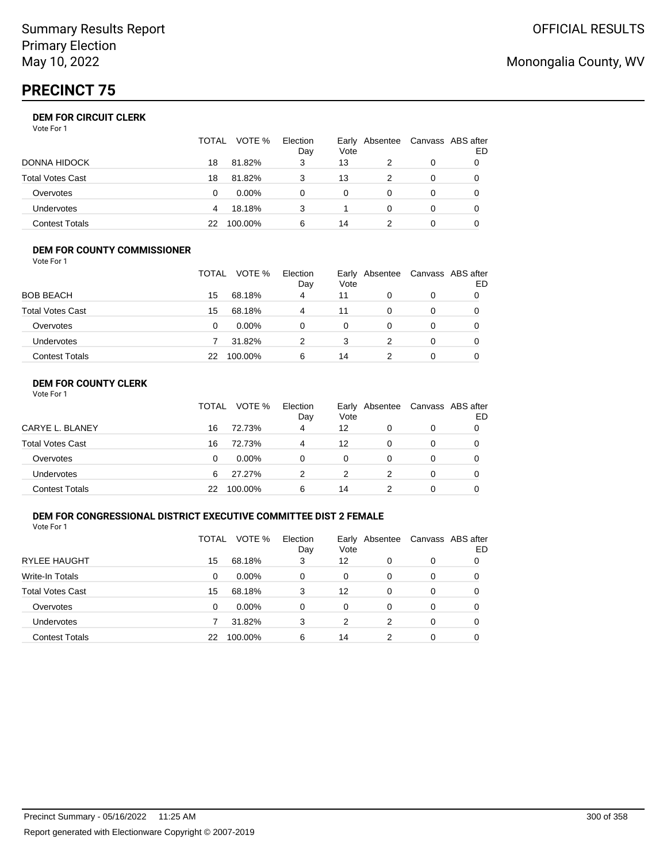# **PRECINCT 75**

## **DEM FOR CIRCUIT CLERK**

Vote For 1

|                         | <b>TOTAL</b> | VOTE %   | Election<br>Day | Vote | Early Absentee | Canvass ABS after | ED |
|-------------------------|--------------|----------|-----------------|------|----------------|-------------------|----|
| <b>DONNA HIDOCK</b>     | 18           | 81.82%   | 3               | 13   |                |                   |    |
| <b>Total Votes Cast</b> | 18           | 81.82%   | 3               | 13   |                |                   |    |
| Overvotes               |              | $0.00\%$ | 0               |      |                |                   |    |
| <b>Undervotes</b>       | 4            | 18.18%   | 3               |      |                |                   |    |
| <b>Contest Totals</b>   | 22           | 100.00%  | 6               | 14   |                |                   |    |

#### **DEM FOR COUNTY COMMISSIONER**

| Vote For 1              |       |          |                 |      |                |                   |    |
|-------------------------|-------|----------|-----------------|------|----------------|-------------------|----|
|                         | TOTAL | VOTE %   | Election<br>Day | Vote | Early Absentee | Canvass ABS after | ED |
| <b>BOB BEACH</b>        | 15    | 68.18%   | 4               | 11   | 0              | 0                 |    |
| <b>Total Votes Cast</b> | 15    | 68.18%   | 4               | 11   | $\Omega$       | 0                 | 0  |
| Overvotes               | 0     | $0.00\%$ | 0               | 0    | 0              | 0                 |    |
| <b>Undervotes</b>       |       | 31.82%   | 2               | 3    | 2              | 0                 | 0  |
| <b>Contest Totals</b>   | 22    | 100.00%  | 6               | 14   |                | 0                 |    |

## **DEM FOR COUNTY CLERK**

|                         | TOTAL | VOTE %   | Election<br>Day | Vote | Early Absentee | Canvass ABS after | ED |
|-------------------------|-------|----------|-----------------|------|----------------|-------------------|----|
| CARYE L. BLANEY         | 16    | 72.73%   | 4               | 12   |                | 0                 |    |
| <b>Total Votes Cast</b> | 16    | 72.73%   | 4               | 12   | 0              | 0                 |    |
| Overvotes               | 0     | $0.00\%$ | 0               | 0    |                | 0                 |    |
| <b>Undervotes</b>       | 6     | 27.27%   |                 |      |                | 0                 |    |
| <b>Contest Totals</b>   | 22    | 100.00%  | 6               | 14   |                | 0                 |    |

### **DEM FOR CONGRESSIONAL DISTRICT EXECUTIVE COMMITTEE DIST 2 FEMALE**

Vote For 1

|                         | TOTAL | VOTE %   | Election<br>Day | Vote | Early Absentee |   | Canvass ABS after<br>ED |
|-------------------------|-------|----------|-----------------|------|----------------|---|-------------------------|
| <b>RYLEE HAUGHT</b>     | 15    | 68.18%   | 3               | 12   | 0              | 0 | 0                       |
| Write-In Totals         | 0     | $0.00\%$ | 0               | 0    | 0              | 0 | O                       |
| <b>Total Votes Cast</b> | 15    | 68.18%   | 3               | 12   | 0              | 0 | O                       |
| Overvotes               | 0     | $0.00\%$ | 0               | 0    | 0              | 0 | O                       |
| <b>Undervotes</b>       |       | 31.82%   | 3               | 2    | 2              | 0 | O                       |
| <b>Contest Totals</b>   | 22    | 100.00%  | 6               | 14   | 2              | 0 |                         |

# Monongalia County, WV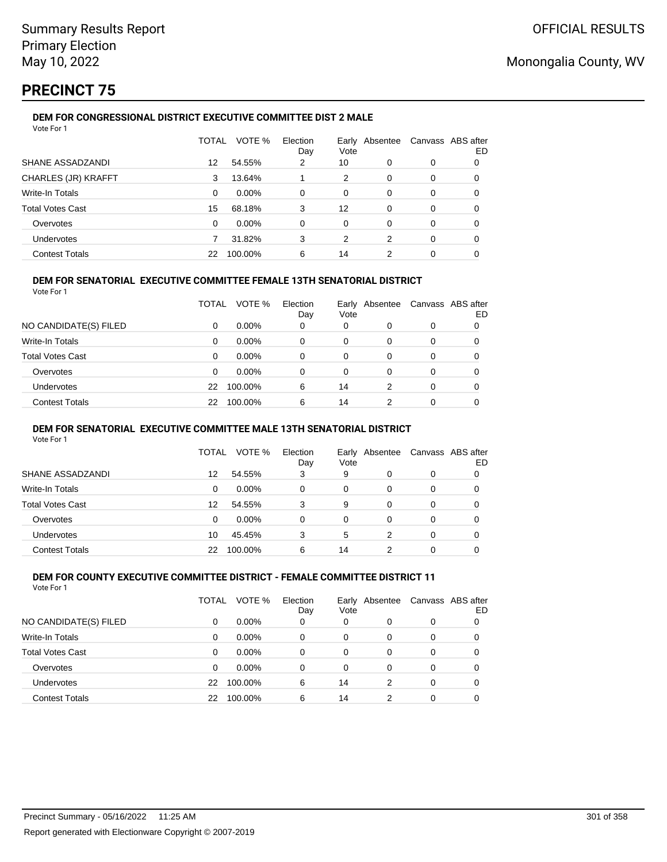# **PRECINCT 75**

## **DEM FOR CONGRESSIONAL DISTRICT EXECUTIVE COMMITTEE DIST 2 MALE**

| Vote For 1                 |          |         |                 |               |          |   |                         |
|----------------------------|----------|---------|-----------------|---------------|----------|---|-------------------------|
|                            | TOTAL    | VOTE %  | Election<br>Day | Earlv<br>Vote | Absentee |   | Canvass ABS after<br>ED |
| SHANE ASSADZANDI           | 12       | 54.55%  | 2               | 10            | 0        | 0 | 0                       |
| <b>CHARLES (JR) KRAFFT</b> | 3        | 13.64%  |                 | 2             | 0        | 0 | 0                       |
| Write-In Totals            | 0        | 0.00%   | $\Omega$        | 0             | 0        | 0 | 0                       |
| <b>Total Votes Cast</b>    | 15       | 68.18%  | 3               | 12            | 0        | 0 | 0                       |
| Overvotes                  | $\Omega$ | 0.00%   | $\Omega$        | $\Omega$      | 0        | 0 | 0                       |
| Undervotes                 |          | 31.82%  | 3               | 2             | 2        | 0 | 0                       |
| <b>Contest Totals</b>      | 22       | 100.00% | 6               | 14            | 2        | 0 | 0                       |

### **DEM FOR SENATORIAL EXECUTIVE COMMITTEE FEMALE 13TH SENATORIAL DISTRICT**

Vote For 1

|                         | TOTAL    | VOTE %   | Election<br>Day | Vote | Early Absentee |          | Canvass ABS after<br>ED |
|-------------------------|----------|----------|-----------------|------|----------------|----------|-------------------------|
| NO CANDIDATE(S) FILED   | 0        | $0.00\%$ | 0               | 0    | 0              | 0        |                         |
| Write-In Totals         | $\Omega$ | $0.00\%$ | $\Omega$        | 0    | 0              |          | 0                       |
| <b>Total Votes Cast</b> | 0        | $0.00\%$ | 0               | 0    | 0              | $\Omega$ | 0                       |
| Overvotes               | 0        | $0.00\%$ | 0               | 0    | 0              | 0        | 0                       |
| <b>Undervotes</b>       | 22       | 100.00%  | 6               | 14   | 2              | $\Omega$ | 0                       |
| <b>Contest Totals</b>   | 22       | 100.00%  | 6               | 14   | 2              | $\Omega$ | 0                       |

#### **DEM FOR SENATORIAL EXECUTIVE COMMITTEE MALE 13TH SENATORIAL DISTRICT**

Vote For 1

|                         | TOTAL | VOTE %   | Election<br>Day | Vote | Early Absentee | Canvass ABS after | ED |
|-------------------------|-------|----------|-----------------|------|----------------|-------------------|----|
| SHANE ASSADZANDI        | 12    | 54.55%   | 3               | 9    | 0              | 0                 |    |
| Write-In Totals         | 0     | $0.00\%$ | 0               | 0    | 0              | 0                 |    |
| <b>Total Votes Cast</b> | 12    | 54.55%   | 3               | 9    | 0              | 0                 |    |
| Overvotes               | 0     | $0.00\%$ | 0               | 0    | 0              | 0                 |    |
| <b>Undervotes</b>       | 10    | 45.45%   | 3               | 5    | 2              | 0                 |    |
| <b>Contest Totals</b>   | 22    | 100.00%  | 6               | 14   | າ              | 0                 |    |

#### **DEM FOR COUNTY EXECUTIVE COMMITTEE DISTRICT - FEMALE COMMITTEE DISTRICT 11** Vote For 1

|                         | TOTAL | VOTE %   | Election<br>Day | Early<br>Vote | Absentee | Canvass ABS after | ED |
|-------------------------|-------|----------|-----------------|---------------|----------|-------------------|----|
| NO CANDIDATE(S) FILED   | 0     | $0.00\%$ | 0               | 0             | 0        | 0                 |    |
| Write-In Totals         | 0     | 0.00%    | 0               | 0             | 0        | 0                 |    |
| <b>Total Votes Cast</b> | 0     | $0.00\%$ | 0               | 0             | 0        | 0                 |    |
| Overvotes               | 0     | 0.00%    | 0               | 0             | 0        | 0                 |    |
| Undervotes              | 22    | 100.00%  | 6               | 14            | 2        | 0                 |    |
| <b>Contest Totals</b>   | 22    | 100.00%  | 6               | 14            | 2        | 0                 |    |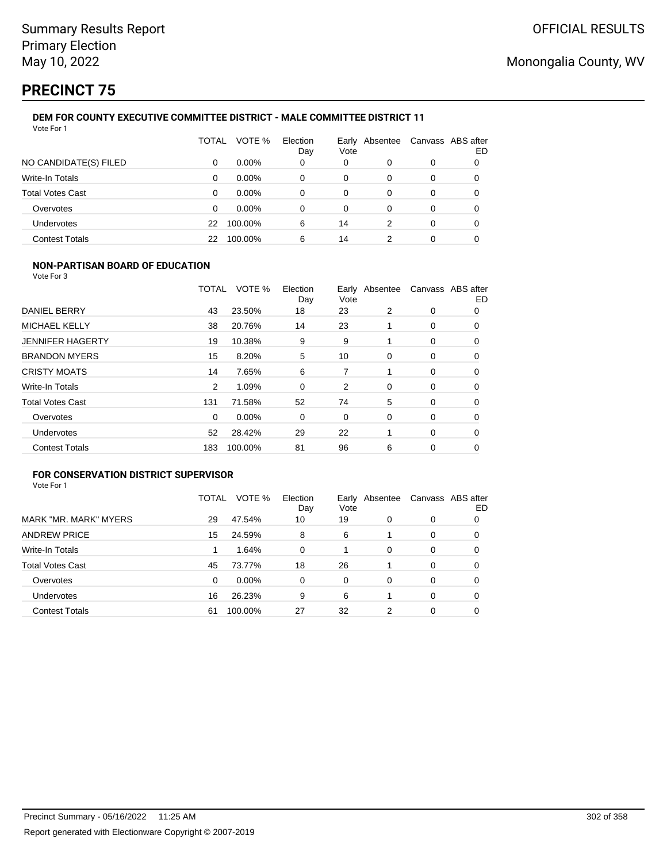# **PRECINCT 75**

#### **DEM FOR COUNTY EXECUTIVE COMMITTEE DISTRICT - MALE COMMITTEE DISTRICT 11** Vote For 1

|                         | TOTAL | VOTE %   | Election<br>Day | Vote | Early Absentee | Canvass ABS after | ED |
|-------------------------|-------|----------|-----------------|------|----------------|-------------------|----|
| NO CANDIDATE(S) FILED   | 0     | $0.00\%$ | 0               | 0    | 0              | 0                 |    |
| Write-In Totals         | 0     | $0.00\%$ | 0               | 0    | 0              | 0                 |    |
| <b>Total Votes Cast</b> | 0     | $0.00\%$ | 0               | 0    | 0              | 0                 |    |
| Overvotes               | 0     | $0.00\%$ | 0               | 0    | 0              | 0                 |    |
| Undervotes              | 22    | 100.00%  | 6               | 14   | 2              | 0                 |    |
| <b>Contest Totals</b>   | 22    | 100.00%  | 6               | 14   |                | 0                 |    |

### **NON-PARTISAN BOARD OF EDUCATION**

Vote For 3

|                         | TOTAL | VOTE %  | Election<br>Day | Vote | Early Absentee |   | Canvass ABS after<br>ED |
|-------------------------|-------|---------|-----------------|------|----------------|---|-------------------------|
| DANIEL BERRY            | 43    | 23.50%  | 18              | 23   | 2              | 0 | 0                       |
| <b>MICHAEL KELLY</b>    | 38    | 20.76%  | 14              | 23   |                | 0 | 0                       |
| <b>JENNIFER HAGERTY</b> | 19    | 10.38%  | 9               | 9    |                | 0 | 0                       |
| <b>BRANDON MYERS</b>    | 15    | 8.20%   | 5               | 10   | 0              | 0 | 0                       |
| <b>CRISTY MOATS</b>     | 14    | 7.65%   | 6               | 7    |                | 0 | 0                       |
| <b>Write-In Totals</b>  | 2     | 1.09%   | $\Omega$        | 2    | $\Omega$       | 0 | 0                       |
| <b>Total Votes Cast</b> | 131   | 71.58%  | 52              | 74   | 5              | 0 | 0                       |
| Overvotes               | 0     | 0.00%   | 0               | 0    | 0              | 0 | 0                       |
| <b>Undervotes</b>       | 52    | 28.42%  | 29              | 22   |                | 0 | 0                       |
| <b>Contest Totals</b>   | 183   | 100.00% | 81              | 96   | 6              | 0 | 0                       |

## **FOR CONSERVATION DISTRICT SUPERVISOR**

|                         | TOTAL | VOTE %  | Election<br>Day | Vote | Early Absentee |          | Canvass ABS after<br>ED |
|-------------------------|-------|---------|-----------------|------|----------------|----------|-------------------------|
| MARK "MR. MARK" MYERS   | 29    | 47.54%  | 10              | 19   | 0              | 0        |                         |
| <b>ANDREW PRICE</b>     | 15    | 24.59%  | 8               | 6    |                | 0        | O                       |
| Write-In Totals         |       | 1.64%   | $\Omega$        |      | $\Omega$       | $\Omega$ | 0                       |
| <b>Total Votes Cast</b> | 45    | 73.77%  | 18              | 26   |                | 0        | 0                       |
| Overvotes               | 0     | 0.00%   | $\Omega$        | 0    | 0              | 0        | O                       |
| <b>Undervotes</b>       | 16    | 26.23%  | 9               | 6    |                | 0        | 0                       |
| <b>Contest Totals</b>   | 61    | 100.00% | 27              | 32   | 2              | 0        |                         |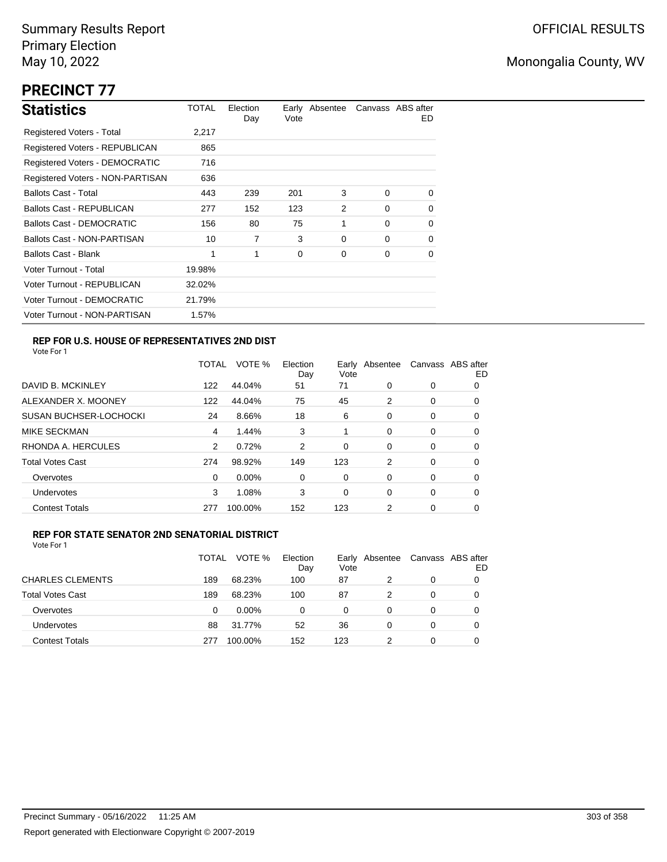# **PRECINCT 77**

| <b>Statistics</b>                | TOTAL  | Election<br>Day | Vote | Early Absentee |          | Canvass ABS after<br>ED. |
|----------------------------------|--------|-----------------|------|----------------|----------|--------------------------|
| Registered Voters - Total        | 2,217  |                 |      |                |          |                          |
| Registered Voters - REPUBLICAN   | 865    |                 |      |                |          |                          |
| Registered Voters - DEMOCRATIC   | 716    |                 |      |                |          |                          |
| Registered Voters - NON-PARTISAN | 636    |                 |      |                |          |                          |
| <b>Ballots Cast - Total</b>      | 443    | 239             | 201  | 3              | $\Omega$ | $\Omega$                 |
| <b>Ballots Cast - REPUBLICAN</b> | 277    | 152             | 123  | 2              | $\Omega$ | 0                        |
| <b>Ballots Cast - DEMOCRATIC</b> | 156    | 80              | 75   | 1              | $\Omega$ | 0                        |
| Ballots Cast - NON-PARTISAN      | 10     | 7               | 3    | $\Omega$       | $\Omega$ | 0                        |
| <b>Ballots Cast - Blank</b>      | 1      | 1               | 0    | 0              | 0        | 0                        |
| Voter Turnout - Total            | 19.98% |                 |      |                |          |                          |
| Voter Turnout - REPUBLICAN       | 32.02% |                 |      |                |          |                          |
| Voter Turnout - DEMOCRATIC       | 21.79% |                 |      |                |          |                          |
| Voter Turnout - NON-PARTISAN     | 1.57%  |                 |      |                |          |                          |

## **REP FOR U.S. HOUSE OF REPRESENTATIVES 2ND DIST**

Vote For 1

|                               | <b>TOTAL</b> | VOTE %  | Election<br>Day | Early<br>Vote | Absentee |   | Canvass ABS after<br>ED |
|-------------------------------|--------------|---------|-----------------|---------------|----------|---|-------------------------|
| DAVID B. MCKINLEY             | 122          | 44.04%  | 51              | 71            | 0        | 0 | O                       |
| ALEXANDER X. MOONEY           | 122          | 44.04%  | 75              | 45            | 2        | 0 | 0                       |
| <b>SUSAN BUCHSER-LOCHOCKI</b> | 24           | 8.66%   | 18              | 6             | 0        | 0 | 0                       |
| <b>MIKE SECKMAN</b>           | 4            | 1.44%   | 3               | 1             | 0        | 0 | 0                       |
| RHONDA A. HERCULES            | 2            | 0.72%   | 2               | 0             | $\Omega$ | 0 | 0                       |
| <b>Total Votes Cast</b>       | 274          | 98.92%  | 149             | 123           | 2        | 0 | 0                       |
| Overvotes                     | 0            | 0.00%   | 0               | 0             | 0        | 0 | 0                       |
| <b>Undervotes</b>             | 3            | 1.08%   | 3               | 0             | $\Omega$ | 0 | 0                       |
| <b>Contest Totals</b>         | 277          | 100.00% | 152             | 123           | 2        | 0 | 0                       |
|                               |              |         |                 |               |          |   |                         |

### **REP FOR STATE SENATOR 2ND SENATORIAL DISTRICT**

|                         | TOTAL | VOTE %   | Election<br>Day | Early Absentee<br>Vote |   | Canvass ABS after | ED |
|-------------------------|-------|----------|-----------------|------------------------|---|-------------------|----|
| <b>CHARLES CLEMENTS</b> | 189   | 68.23%   | 100             | 87                     |   | 0                 |    |
| <b>Total Votes Cast</b> | 189   | 68.23%   | 100             | 87                     | 2 | 0                 |    |
| Overvotes               | 0     | $0.00\%$ | $\Omega$        | 0                      | 0 | 0                 |    |
| <b>Undervotes</b>       | 88    | 31.77%   | 52              | 36                     | 0 | 0                 |    |
| <b>Contest Totals</b>   | 277   | 100.00%  | 152             | 123                    |   | 0                 |    |
|                         |       |          |                 |                        |   |                   |    |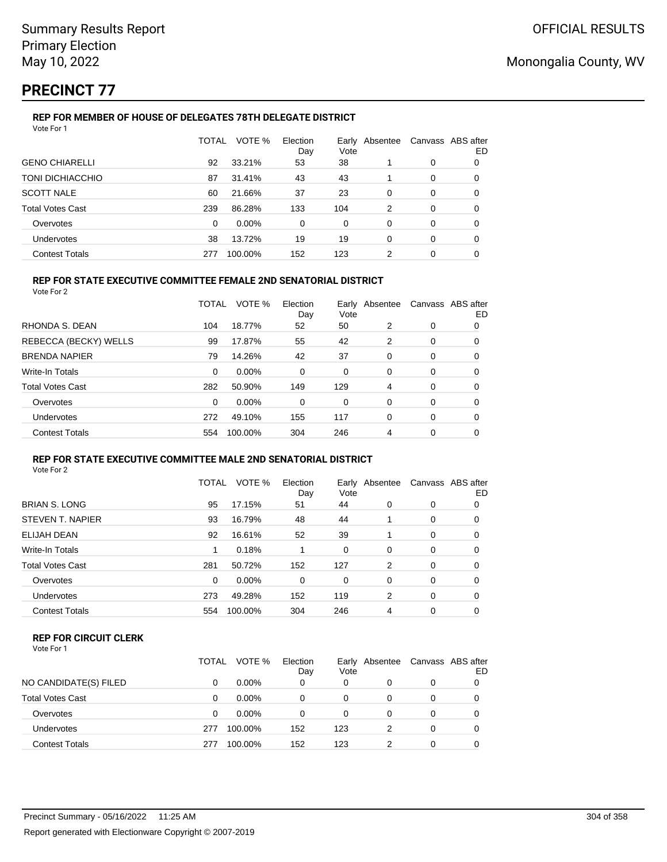# **PRECINCT 77**

#### **REP FOR MEMBER OF HOUSE OF DELEGATES 78TH DELEGATE DISTRICT** Vote For 1

| VOTE %<br>TOTAL<br>Election<br>Early Absentee<br>Vote<br>Day<br>38<br>92<br>33.21%<br>53 |   | Canvass ABS after |
|------------------------------------------------------------------------------------------|---|-------------------|
| <b>GENO CHIARELLI</b>                                                                    |   | ED                |
|                                                                                          | 0 | 0                 |
| TONI DICHIACCHIO<br>43<br>43<br>31.41%<br>87                                             | 0 | 0                 |
| <b>SCOTT NALE</b><br>37<br>23<br>60<br>21.66%<br>0                                       | 0 | 0                 |
| <b>Total Votes Cast</b><br>239<br>133<br>86.28%<br>104<br>2                              | 0 | 0                 |
| 0.00%<br>$\Omega$<br>Overvotes<br>0<br>$\Omega$<br>0                                     | 0 | 0                 |
| <b>Undervotes</b><br>13.72%<br>19<br>19<br>38<br>0                                       | 0 | 0                 |
| <b>Contest Totals</b><br>152<br>100.00%<br>123<br>2<br>277                               | 0 | 0                 |

## **REP FOR STATE EXECUTIVE COMMITTEE FEMALE 2ND SENATORIAL DISTRICT**

Vote For 2

|                         | TOTAL    | VOTE %   | Election<br>Day | Vote | Early Absentee |   | Canvass ABS after<br>ED |
|-------------------------|----------|----------|-----------------|------|----------------|---|-------------------------|
| RHONDA S. DEAN          | 104      | 18.77%   | 52              | 50   | 2              | 0 | 0                       |
| REBECCA (BECKY) WELLS   | 99       | 17.87%   | 55              | 42   | 2              | 0 | 0                       |
| <b>BRENDA NAPIER</b>    | 79       | 14.26%   | 42              | 37   | 0              | 0 | 0                       |
| Write-In Totals         | $\Omega$ | 0.00%    | 0               | 0    | 0              | 0 | 0                       |
| <b>Total Votes Cast</b> | 282      | 50.90%   | 149             | 129  | 4              | 0 | 0                       |
| Overvotes               | $\Omega$ | $0.00\%$ | 0               | 0    | 0              | 0 | 0                       |
| <b>Undervotes</b>       | 272      | 49.10%   | 155             | 117  | 0              | 0 | 0                       |
| <b>Contest Totals</b>   | 554      | 100.00%  | 304             | 246  | 4              | 0 | 0                       |

#### **REP FOR STATE EXECUTIVE COMMITTEE MALE 2ND SENATORIAL DISTRICT** Vote For 2

|                         | TOTAL    | VOTE %   | Election<br>Day | Early<br>Vote | Absentee |          | Canvass ABS after<br>ED |
|-------------------------|----------|----------|-----------------|---------------|----------|----------|-------------------------|
| <b>BRIAN S. LONG</b>    | 95       | 17.15%   | 51              | 44            | $\Omega$ | 0        | 0                       |
| STEVEN T. NAPIER        | 93       | 16.79%   | 48              | 44            |          | 0        | 0                       |
| <b>ELIJAH DEAN</b>      | 92       | 16.61%   | 52              | 39            |          | 0        | 0                       |
| Write-In Totals         |          | 0.18%    |                 | 0             | $\Omega$ | $\Omega$ | 0                       |
| <b>Total Votes Cast</b> | 281      | 50.72%   | 152             | 127           | 2        | 0        | 0                       |
| Overvotes               | $\Omega$ | $0.00\%$ | 0               | 0             | $\Omega$ | $\Omega$ | 0                       |
| Undervotes              | 273      | 49.28%   | 152             | 119           | 2        | $\Omega$ | 0                       |
| <b>Contest Totals</b>   | 554      | 100.00%  | 304             | 246           | 4        | $\Omega$ | 0                       |

### **REP FOR CIRCUIT CLERK**

| Vote For 1 |  |  |
|------------|--|--|
|------------|--|--|

|                         | TOTAL | VOTE %   | Election<br>Day | Vote | Early Absentee |   | Canvass ABS after<br>ED |
|-------------------------|-------|----------|-----------------|------|----------------|---|-------------------------|
| NO CANDIDATE(S) FILED   | 0     | $0.00\%$ | 0               | 0    |                | 0 |                         |
| <b>Total Votes Cast</b> | 0     | $0.00\%$ | 0               | 0    |                | 0 |                         |
| Overvotes               | 0     | $0.00\%$ | 0               | 0    |                | 0 |                         |
| Undervotes              | 277   | 100.00%  | 152             | 123  |                | 0 |                         |
| <b>Contest Totals</b>   | 277   | 100.00%  | 152             | 123  |                | 0 |                         |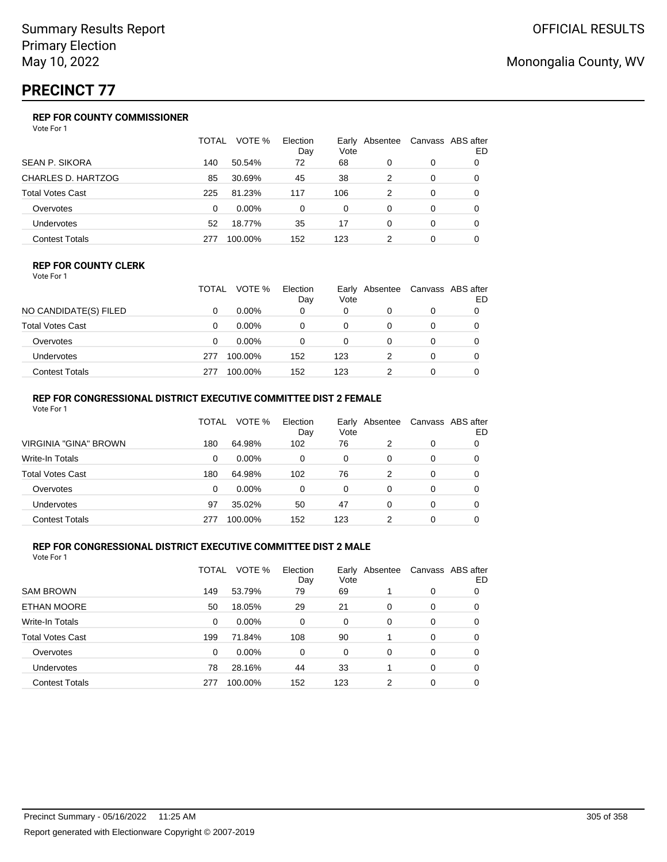# **PRECINCT 77**

## **REP FOR COUNTY COMMISSIONER**

Vote For 1

|                           | TOTAL | VOTE %   | Election<br>Day | Vote | Early Absentee |          | Canvass ABS after<br>ED |
|---------------------------|-------|----------|-----------------|------|----------------|----------|-------------------------|
| <b>SEAN P. SIKORA</b>     | 140   | 50.54%   | 72              | 68   | 0              | 0        |                         |
| <b>CHARLES D. HARTZOG</b> | 85    | 30.69%   | 45              | 38   | 2              | 0        | $\Omega$                |
| <b>Total Votes Cast</b>   | 225   | 81.23%   | 117             | 106  | 2              | 0        | 0                       |
| Overvotes                 | 0     | $0.00\%$ | 0               | 0    | 0              | 0        | $\Omega$                |
| Undervotes                | 52    | 18.77%   | 35              | 17   | 0              | $\Omega$ | 0                       |
| <b>Contest Totals</b>     | 277   | 100.00%  | 152             | 123  |                | 0        |                         |

#### **REP FOR COUNTY CLERK**

Vote For 1

|                       | TOTAL | VOTE %   | Election<br>Day | Vote | Early Absentee | Canvass ABS after<br>ED |
|-----------------------|-------|----------|-----------------|------|----------------|-------------------------|
| NO CANDIDATE(S) FILED |       | $0.00\%$ | 0               | 0    |                |                         |
| Total Votes Cast      |       | $0.00\%$ |                 | 0    |                |                         |
| Overvotes             |       | $0.00\%$ |                 | 0    |                |                         |
| Undervotes            | 277   | 100.00%  | 152             | 123  |                |                         |
| Contest Totals        | 277   | 100.00%  | 152             | 123  |                |                         |

#### **REP FOR CONGRESSIONAL DISTRICT EXECUTIVE COMMITTEE DIST 2 FEMALE** Vote For 1

| 1 J J J J J J           |       |          |                 |      |                |   |                         |
|-------------------------|-------|----------|-----------------|------|----------------|---|-------------------------|
|                         | TOTAL | VOTE %   | Election<br>Day | Vote | Early Absentee |   | Canvass ABS after<br>ED |
| VIRGINIA "GINA" BROWN   | 180   | 64.98%   | 102             | 76   | 2              | 0 |                         |
| Write-In Totals         | 0     | $0.00\%$ | 0               | 0    | 0              | 0 | 0                       |
| <b>Total Votes Cast</b> | 180   | 64.98%   | 102             | 76   | 2              | 0 | 0                       |
| Overvotes               | 0     | $0.00\%$ | 0               | 0    | 0              | 0 | 0                       |
| Undervotes              | 97    | 35.02%   | 50              | 47   | 0              | 0 | 0                       |
| <b>Contest Totals</b>   | 277   | 100.00%  | 152             | 123  |                | 0 |                         |
|                         |       |          |                 |      |                |   |                         |

### **REP FOR CONGRESSIONAL DISTRICT EXECUTIVE COMMITTEE DIST 2 MALE**

|                         | TOTAL | VOTE %  | Election<br>Day | Vote     | Early Absentee |          | Canvass ABS after<br>ED |
|-------------------------|-------|---------|-----------------|----------|----------------|----------|-------------------------|
| <b>SAM BROWN</b>        | 149   | 53.79%  | 79              | 69       |                | 0        | O                       |
| ETHAN MOORE             | 50    | 18.05%  | 29              | 21       | 0              | 0        | O                       |
| Write-In Totals         | 0     | 0.00%   | $\Omega$        | $\Omega$ | $\Omega$       | $\Omega$ | 0                       |
| <b>Total Votes Cast</b> | 199   | 71.84%  | 108             | 90       |                | 0        | 0                       |
| Overvotes               | 0     | 0.00%   | $\Omega$        | 0        | 0              | $\Omega$ | 0                       |
| <b>Undervotes</b>       | 78    | 28.16%  | 44              | 33       |                | 0        | 0                       |
| <b>Contest Totals</b>   | 277   | 100.00% | 152             | 123      | 2              | 0        | 0                       |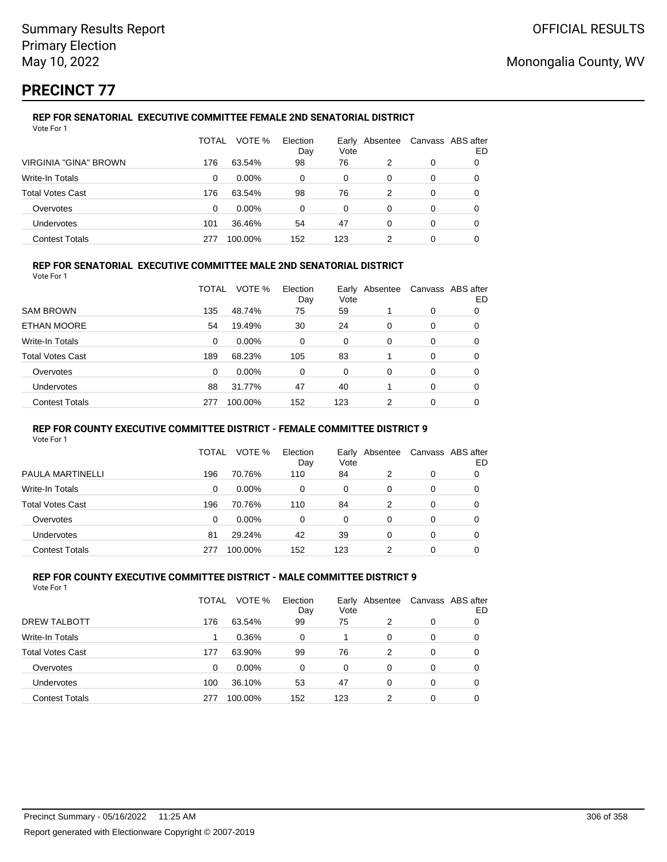# **PRECINCT 77**

#### **REP FOR SENATORIAL EXECUTIVE COMMITTEE FEMALE 2ND SENATORIAL DISTRICT** Vote For 1

|                         | TOTAL | VOTE %   | Election<br>Day | Early<br>Vote | Absentee |   | Canvass ABS after<br>ED |
|-------------------------|-------|----------|-----------------|---------------|----------|---|-------------------------|
| VIRGINIA "GINA" BROWN   | 176   | 63.54%   | 98              | 76            | 2        | 0 | 0                       |
| Write-In Totals         | 0     | $0.00\%$ | 0               | 0             | 0        | 0 |                         |
| <b>Total Votes Cast</b> | 176   | 63.54%   | 98              | 76            | 2        | 0 |                         |
| Overvotes               | 0     | $0.00\%$ | 0               | 0             | 0        | 0 |                         |
| Undervotes              | 101   | 36.46%   | 54              | 47            | 0        | 0 | O                       |
| <b>Contest Totals</b>   | 277   | 100.00%  | 152             | 123           | 2        | 0 |                         |

## **REP FOR SENATORIAL EXECUTIVE COMMITTEE MALE 2ND SENATORIAL DISTRICT**

Vote For 1

|                         | TOTAL | VOTE %   | Election<br>Day | Early<br>Vote | Absentee |          | Canvass ABS after<br>ED |
|-------------------------|-------|----------|-----------------|---------------|----------|----------|-------------------------|
| <b>SAM BROWN</b>        | 135   | 48.74%   | 75              | 59            |          | 0        | 0                       |
| ETHAN MOORE             | 54    | 19.49%   | 30              | 24            | $\Omega$ | $\Omega$ | 0                       |
| Write-In Totals         | 0     | $0.00\%$ | 0               | 0             | $\Omega$ | $\Omega$ | 0                       |
| <b>Total Votes Cast</b> | 189   | 68.23%   | 105             | 83            |          | $\Omega$ | 0                       |
| Overvotes               | 0     | 0.00%    | 0               | $\Omega$      | $\Omega$ | $\Omega$ | 0                       |
| <b>Undervotes</b>       | 88    | 31.77%   | 47              | 40            |          | $\Omega$ | 0                       |
| <b>Contest Totals</b>   | 277   | 100.00%  | 152             | 123           | 2        | 0        | 0                       |

#### **REP FOR COUNTY EXECUTIVE COMMITTEE DISTRICT - FEMALE COMMITTEE DISTRICT 9**

Vote For 1

|                         | TOTAL | VOTE %   | Election<br>Day | Vote | Early Absentee | Canvass ABS after | ED |
|-------------------------|-------|----------|-----------------|------|----------------|-------------------|----|
| PAULA MARTINELLI        | 196   | 70.76%   | 110             | 84   | 2              | 0                 | 0  |
| Write-In Totals         | 0     | $0.00\%$ | 0               | 0    | 0              | 0                 | O  |
| <b>Total Votes Cast</b> | 196   | 70.76%   | 110             | 84   | 2              | 0                 |    |
| Overvotes               | 0     | $0.00\%$ | 0               | 0    | 0              | 0                 | 0  |
| <b>Undervotes</b>       | 81    | 29.24%   | 42              | 39   | 0              | 0                 |    |
| <b>Contest Totals</b>   | 277   | 100.00%  | 152             | 123  |                | 0                 |    |

#### **REP FOR COUNTY EXECUTIVE COMMITTEE DISTRICT - MALE COMMITTEE DISTRICT 9** Vote For 1

|                         | TOTAL | VOTE %   | Election<br>Day | Vote | Early Absentee |   | Canvass ABS after<br>ED |
|-------------------------|-------|----------|-----------------|------|----------------|---|-------------------------|
| <b>DREW TALBOTT</b>     | 176   | 63.54%   | 99              | 75   | 2              | 0 |                         |
| Write-In Totals         |       | 0.36%    | 0               |      | 0              | 0 |                         |
| <b>Total Votes Cast</b> | 177   | 63.90%   | 99              | 76   | 2              | 0 | 0                       |
| Overvotes               | 0     | $0.00\%$ | 0               | 0    | 0              | 0 |                         |
| Undervotes              | 100   | 36.10%   | 53              | 47   | 0              | 0 | 0                       |
| <b>Contest Totals</b>   | 277   | 100.00%  | 152             | 123  | 2              | 0 |                         |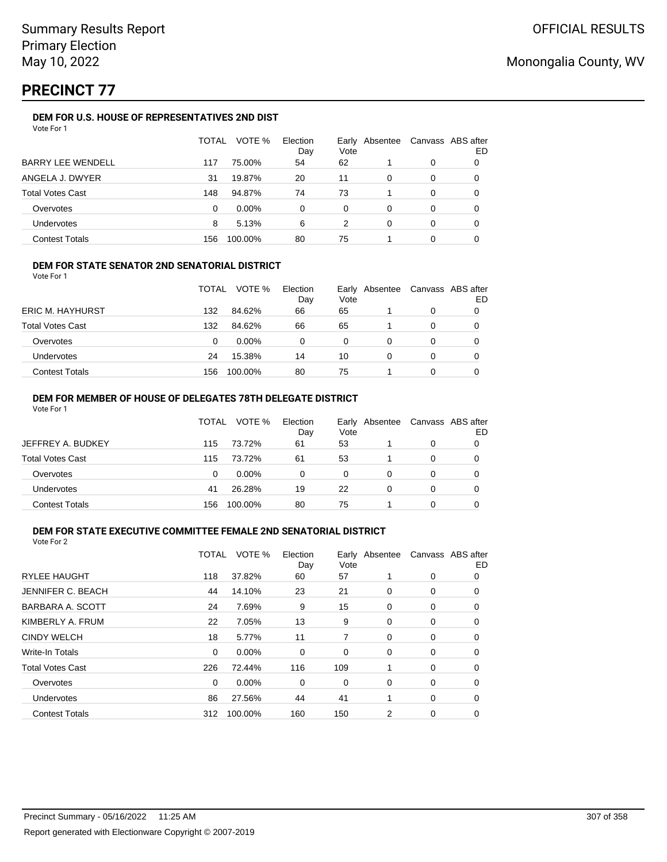# **PRECINCT 77**

### **DEM FOR U.S. HOUSE OF REPRESENTATIVES 2ND DIST**

|                          | TOTAL | VOTE %   | Election<br>Day | Vote | Early Absentee | Canvass ABS after | ED |
|--------------------------|-------|----------|-----------------|------|----------------|-------------------|----|
| <b>BARRY LEE WENDELL</b> | 117   | 75.00%   | 54              | 62   |                | 0                 |    |
| ANGELA J. DWYER          | 31    | 19.87%   | 20              | 11   | 0              | 0                 |    |
| <b>Total Votes Cast</b>  | 148   | 94.87%   | 74              | 73   |                | 0                 |    |
| Overvotes                | 0     | $0.00\%$ | 0               | 0    | 0              | 0                 |    |
| Undervotes               | 8     | 5.13%    | 6               | 2    | 0              | 0                 |    |
| <b>Contest Totals</b>    | 156   | 100.00%  | 80              | 75   |                | 0                 |    |

### **DEM FOR STATE SENATOR 2ND SENATORIAL DISTRICT**

Vote For 1

|                         | TOTAL | VOTE %   | Election<br>Day | Vote | Early Absentee | Canvass ABS after<br>ED |
|-------------------------|-------|----------|-----------------|------|----------------|-------------------------|
| <b>ERIC M. HAYHURST</b> | 132   | 84.62%   | 66              | 65   |                |                         |
| <b>Total Votes Cast</b> | 132   | 84.62%   | 66              | 65   |                |                         |
| Overvotes               | 0     | $0.00\%$ | 0               | 0    |                |                         |
| <b>Undervotes</b>       | 24    | 15.38%   | 14              | 10   |                |                         |
| <b>Contest Totals</b>   | 156   | 100.00%  | 80              | 75   |                |                         |

#### **DEM FOR MEMBER OF HOUSE OF DELEGATES 78TH DELEGATE DISTRICT** Vote For 1

|                         | TOTAL | VOTE %   | Election<br>Day | Vote | Early Absentee | Canvass ABS after | ED |
|-------------------------|-------|----------|-----------------|------|----------------|-------------------|----|
| JEFFREY A. BUDKEY       | 115   | 73.72%   | 61              | 53   |                | 0                 |    |
| <b>Total Votes Cast</b> | 115   | 73.72%   | 61              | 53   |                | 0                 |    |
| Overvotes               | 0     | $0.00\%$ | 0               | 0    | 0              | 0                 |    |
| <b>Undervotes</b>       | 41    | 26.28%   | 19              | 22   | 0              | 0                 |    |
| <b>Contest Totals</b>   | 156   | 100.00%  | 80              | 75   |                | ი                 |    |

#### **DEM FOR STATE EXECUTIVE COMMITTEE FEMALE 2ND SENATORIAL DISTRICT** Vote For 2

|                          | TOTAL | VOTE %   | Election<br>Day | Early<br>Vote | Absentee |   | Canvass ABS after<br>ED |
|--------------------------|-------|----------|-----------------|---------------|----------|---|-------------------------|
| <b>RYLEE HAUGHT</b>      | 118   | 37.82%   | 60              | 57            |          | 0 | 0                       |
| <b>JENNIFER C. BEACH</b> | 44    | 14.10%   | 23              | 21            | 0        | 0 | 0                       |
| BARBARA A. SCOTT         | 24    | 7.69%    | 9               | 15            | 0        | 0 | 0                       |
| KIMBERLY A. FRUM         | 22    | 7.05%    | 13              | 9             | 0        | 0 | 0                       |
| <b>CINDY WELCH</b>       | 18    | 5.77%    | 11              | 7             | 0        | 0 | 0                       |
| <b>Write-In Totals</b>   | 0     | $0.00\%$ | 0               | 0             | 0        | 0 | 0                       |
| <b>Total Votes Cast</b>  | 226   | 72.44%   | 116             | 109           | 1        | 0 | 0                       |
| Overvotes                | 0     | $0.00\%$ | 0               | 0             | 0        | 0 | 0                       |
| <b>Undervotes</b>        | 86    | 27.56%   | 44              | 41            | 1        | 0 | 0                       |
| <b>Contest Totals</b>    | 312   | 100.00%  | 160             | 150           | 2        | 0 | 0                       |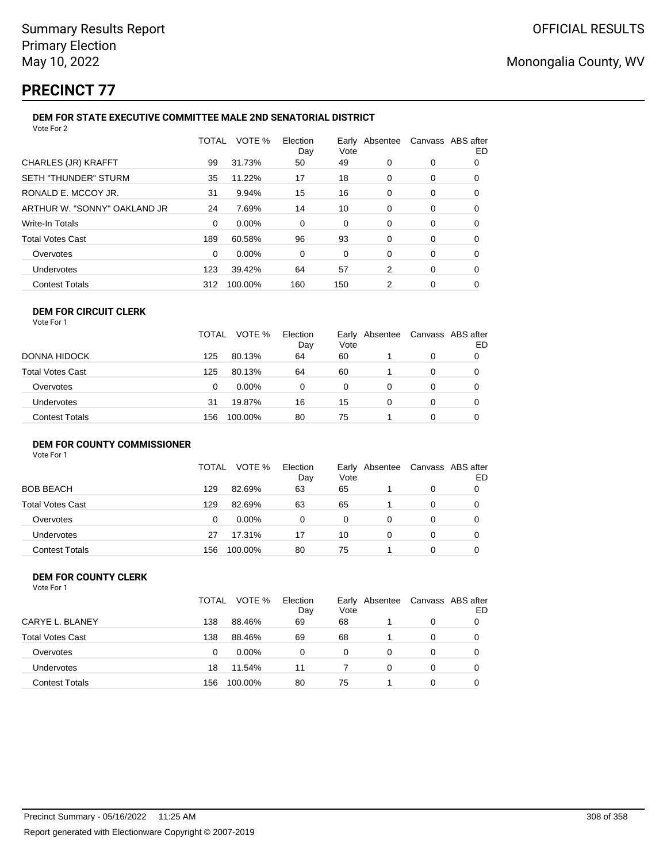# **PRECINCT 77**

|                              | TOTAL    | VOTE %   | Election<br>Day | Vote | Early Absentee Canvass ABS after |   | ED |
|------------------------------|----------|----------|-----------------|------|----------------------------------|---|----|
| CHARLES (JR) KRAFFT          | 99       | 31.73%   | 50              | 49   | 0                                | 0 | 0  |
| <b>SETH "THUNDER" STURM</b>  | 35       | 11.22%   | 17              | 18   | 0                                | 0 | 0  |
| RONALD E. MCCOY JR.          | 31       | 9.94%    | 15              | 16   | 0                                | 0 | 0  |
| ARTHUR W. "SONNY" OAKLAND JR | 24       | 7.69%    | 14              | 10   | 0                                | 0 | 0  |
| <b>Write-In Totals</b>       | $\Omega$ | $0.00\%$ | $\Omega$        | 0    | 0                                | 0 | 0  |
| <b>Total Votes Cast</b>      | 189      | 60.58%   | 96              | 93   | 0                                | 0 | 0  |
| Overvotes                    | 0        | $0.00\%$ | $\Omega$        | 0    | 0                                | 0 | 0  |
| Undervotes                   | 123      | 39.42%   | 64              | 57   | 2                                | 0 | 0  |
| <b>Contest Totals</b>        | 312      | 100.00%  | 160             | 150  | 2                                | 0 | 0  |

#### **DEM FOR CIRCUIT CLERK** Vote For 1

|                   | <b>TOTAL</b> | VOTE %   | Election<br>Day | Vote | Early Absentee | Canvass ABS after | ED |
|-------------------|--------------|----------|-----------------|------|----------------|-------------------|----|
| DONNA HIDOCK      | 125          | 80.13%   | 64              | 60   |                | 0                 |    |
| Total Votes Cast  | 125          | 80.13%   | 64              | 60   |                |                   |    |
| Overvotes         | 0            | $0.00\%$ | 0               | 0    |                |                   |    |
| <b>Undervotes</b> | 31           | 19.87%   | 16              | 15   |                |                   | 0  |
| Contest Totals    | 156          | 100.00%  | 80              | 75   |                |                   | 0  |

## **DEM FOR COUNTY COMMISSIONER**

Vote For 1

|                       | TOTAL | VOTE %   | Election<br>Day | Vote | Early Absentee | Canvass ABS after | ED |
|-----------------------|-------|----------|-----------------|------|----------------|-------------------|----|
| BOB BEACH             | 129   | 82.69%   | 63              | 65   |                | 0                 |    |
| Total Votes Cast      | 129   | 82.69%   | 63              | 65   |                | 0                 |    |
| Overvotes             | 0     | $0.00\%$ | 0               | 0    |                | 0                 |    |
| Undervotes            | 27    | 17.31%   | 17              | 10   | 0              | 0                 |    |
| <b>Contest Totals</b> | 156   | 100.00%  | 80              | 75   |                | 0                 |    |

#### **DEM FOR COUNTY CLERK** Vote For 1

|                         | TOTAL | VOTE %   | Election<br>Day | Vote     | Early Absentee |   | Canvass ABS after<br>ED |
|-------------------------|-------|----------|-----------------|----------|----------------|---|-------------------------|
| CARYE L. BLANEY         | 138   | 88.46%   | 69              | 68       |                | 0 |                         |
| <b>Total Votes Cast</b> | 138   | 88.46%   | 69              | 68       |                | 0 |                         |
| Overvotes               | 0     | $0.00\%$ | 0               | $\Omega$ | 0              | 0 |                         |
| Undervotes              | 18    | 11.54%   | 11              |          | 0              | 0 |                         |
| <b>Contest Totals</b>   | 156   | 100.00%  | 80              | 75       |                | 0 |                         |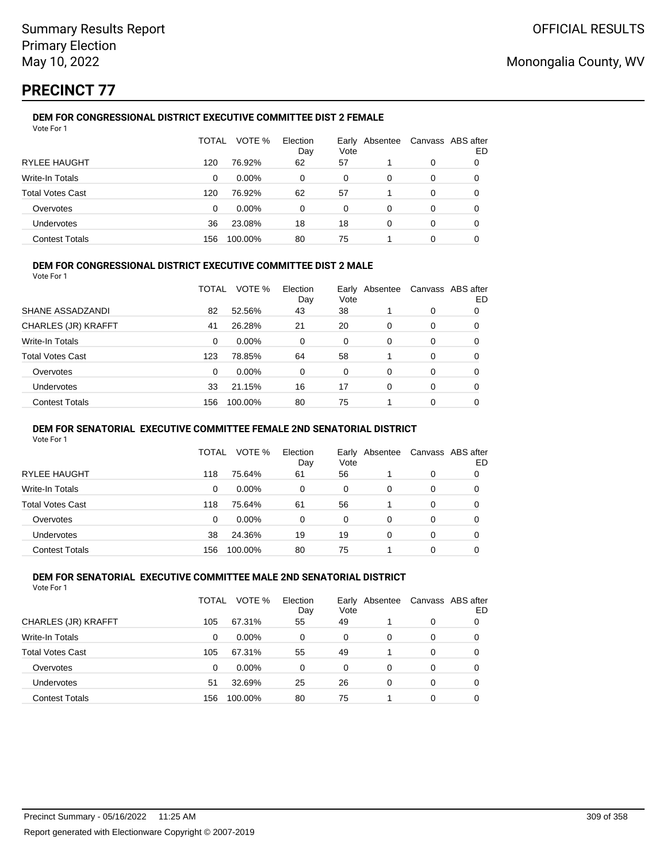# **PRECINCT 77**

#### **DEM FOR CONGRESSIONAL DISTRICT EXECUTIVE COMMITTEE DIST 2 FEMALE** Vote For 1

|                         | TOTAL | VOTE %   | Election<br>Day | Early<br>Vote | Absentee |   | Canvass ABS after<br>ED |
|-------------------------|-------|----------|-----------------|---------------|----------|---|-------------------------|
| <b>RYLEE HAUGHT</b>     | 120   | 76.92%   | 62              | 57            |          | 0 |                         |
| Write-In Totals         | 0     | $0.00\%$ | 0               | 0             | 0        | 0 |                         |
| <b>Total Votes Cast</b> | 120   | 76.92%   | 62              | 57            |          | 0 |                         |
| Overvotes               | 0     | $0.00\%$ | 0               | 0             | 0        | 0 |                         |
| Undervotes              | 36    | 23.08%   | 18              | 18            | 0        | 0 | O                       |
| <b>Contest Totals</b>   | 156   | 100.00%  | 80              | 75            |          | 0 |                         |

### **DEM FOR CONGRESSIONAL DISTRICT EXECUTIVE COMMITTEE DIST 2 MALE**

Vote For 1

|                         | TOTAL | VOTE %   | Election<br>Day | Early<br>Vote | Absentee |          | Canvass ABS after<br>ED |
|-------------------------|-------|----------|-----------------|---------------|----------|----------|-------------------------|
| SHANE ASSADZANDI        | 82    | 52.56%   | 43              | 38            |          | $\Omega$ | 0                       |
| CHARLES (JR) KRAFFT     | 41    | 26.28%   | 21              | 20            | $\Omega$ | $\Omega$ | 0                       |
| Write-In Totals         | 0     | $0.00\%$ | 0               | $\Omega$      | $\Omega$ | $\Omega$ | 0                       |
| <b>Total Votes Cast</b> | 123   | 78.85%   | 64              | 58            |          | $\Omega$ | 0                       |
| Overvotes               | 0     | 0.00%    | 0               | $\Omega$      | 0        | $\Omega$ | 0                       |
| <b>Undervotes</b>       | 33    | 21.15%   | 16              | 17            | $\Omega$ | $\Omega$ | 0                       |
| <b>Contest Totals</b>   | 156   | 100.00%  | 80              | 75            |          | $\Omega$ | 0                       |

#### **DEM FOR SENATORIAL EXECUTIVE COMMITTEE FEMALE 2ND SENATORIAL DISTRICT**

Vote For 1

|                         | TOTAL | VOTE %   | Election<br>Day | Vote | Early Absentee | Canvass ABS after | ED |
|-------------------------|-------|----------|-----------------|------|----------------|-------------------|----|
| <b>RYLEE HAUGHT</b>     | 118   | 75.64%   | 61              | 56   |                | 0                 | 0  |
| Write-In Totals         | 0     | $0.00\%$ | 0               | 0    | 0              | 0                 | O  |
| <b>Total Votes Cast</b> | 118   | 75.64%   | 61              | 56   |                | 0                 |    |
| Overvotes               | 0     | $0.00\%$ | 0               | 0    | 0              | 0                 |    |
| Undervotes              | 38    | 24.36%   | 19              | 19   | 0              | 0                 | O  |
| <b>Contest Totals</b>   | 156   | 100.00%  | 80              | 75   |                | 0                 |    |

#### **DEM FOR SENATORIAL EXECUTIVE COMMITTEE MALE 2ND SENATORIAL DISTRICT** Vote For 1

| 1 J J J J J J           |       |          |                 |      |                |   |                         |
|-------------------------|-------|----------|-----------------|------|----------------|---|-------------------------|
|                         | TOTAL | VOTE %   | Election<br>Day | Vote | Early Absentee |   | Canvass ABS after<br>ED |
| CHARLES (JR) KRAFFT     | 105   | 67.31%   | 55              | 49   |                | 0 |                         |
| Write-In Totals         | 0     | $0.00\%$ | 0               | 0    | 0              | 0 |                         |
| <b>Total Votes Cast</b> | 105   | 67.31%   | 55              | 49   |                | 0 |                         |
| Overvotes               | 0     | $0.00\%$ | $\Omega$        | 0    | 0              | 0 |                         |
| <b>Undervotes</b>       | 51    | 32.69%   | 25              | 26   | 0              | 0 |                         |
| <b>Contest Totals</b>   | 156   | 100.00%  | 80              | 75   |                | 0 |                         |
|                         |       |          |                 |      |                |   |                         |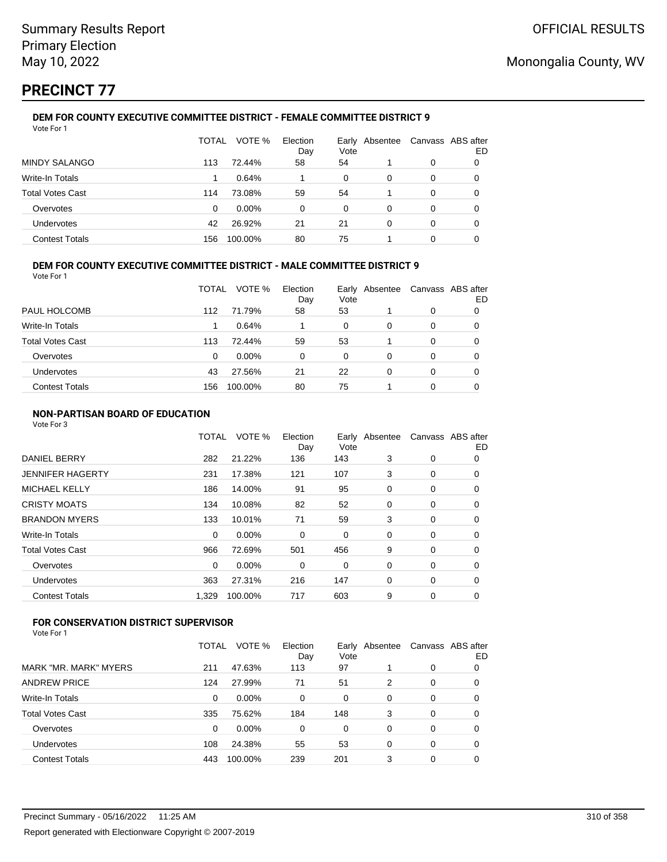# **PRECINCT 77**

#### **DEM FOR COUNTY EXECUTIVE COMMITTEE DISTRICT - FEMALE COMMITTEE DISTRICT 9** Vote For 1

|                         | TOTAL | VOTE %   | Election<br>Day | Vote     | Early Absentee |   | Canvass ABS after<br>ED |
|-------------------------|-------|----------|-----------------|----------|----------------|---|-------------------------|
| <b>MINDY SALANGO</b>    | 113   | 72.44%   | 58              | 54       |                | 0 |                         |
| Write-In Totals         |       | 0.64%    |                 | 0        | 0              | 0 | O                       |
| <b>Total Votes Cast</b> | 114   | 73.08%   | 59              | 54       |                | 0 | O                       |
| Overvotes               | 0     | $0.00\%$ | 0               | $\Omega$ | 0              | 0 |                         |
| <b>Undervotes</b>       | 42    | 26.92%   | 21              | 21       | 0              | 0 | 0                       |
| <b>Contest Totals</b>   | 156   | 100.00%  | 80              | 75       |                | 0 |                         |

## **DEM FOR COUNTY EXECUTIVE COMMITTEE DISTRICT - MALE COMMITTEE DISTRICT 9**

Vote For 1

|                         | TOTAL | VOTE %   | Election<br>Day | Vote | Early Absentee | Canvass ABS after | ED |
|-------------------------|-------|----------|-----------------|------|----------------|-------------------|----|
| PAUL HOLCOMB            | 112   | 71.79%   | 58              | 53   |                | 0                 |    |
| <b>Write-In Totals</b>  |       | 0.64%    |                 | 0    | 0              | 0                 | O  |
| <b>Total Votes Cast</b> | 113   | 72.44%   | 59              | 53   |                | 0                 | 0  |
| Overvotes               | 0     | $0.00\%$ | 0               | 0    | 0              | 0                 |    |
| Undervotes              | 43    | 27.56%   | 21              | 22   | 0              | 0                 |    |
| <b>Contest Totals</b>   | 156   | 100.00%  | 80              | 75   |                | 0                 |    |

### **NON-PARTISAN BOARD OF EDUCATION**

Vote For 3

|                       | TOTAL    | VOTE %  | Election<br>Day | Vote | Early Absentee | Canvass ABS after | ED |
|-----------------------|----------|---------|-----------------|------|----------------|-------------------|----|
| <b>DANIEL BERRY</b>   | 282      | 21.22%  | 136             | 143  | 3              | 0                 | 0  |
| JENNIFER HAGERTY      | 231      | 17.38%  | 121             | 107  | 3              | 0                 | 0  |
| <b>MICHAEL KELLY</b>  | 186      | 14.00%  | 91              | 95   | 0              | 0                 | 0  |
| CRISTY MOATS          | 134      | 10.08%  | 82              | 52   | 0              | 0                 | 0  |
| <b>BRANDON MYERS</b>  | 133      | 10.01%  | 71              | 59   | 3              | 0                 | 0  |
| Write-In Totals       | $\Omega$ | 0.00%   | 0               | 0    | 0              | 0                 | 0  |
| Total Votes Cast      | 966      | 72.69%  | 501             | 456  | 9              | 0                 | 0  |
| Overvotes             | $\Omega$ | 0.00%   | 0               | 0    | 0              | 0                 | 0  |
| Undervotes            | 363      | 27.31%  | 216             | 147  | 0              | 0                 | 0  |
| <b>Contest Totals</b> | 1.329    | 100.00% | 717             | 603  | 9              | 0                 | 0  |
|                       |          |         |                 |      |                |                   |    |

## **FOR CONSERVATION DISTRICT SUPERVISOR**

|                         | TOTAL | VOTE %   | Election<br>Day | Vote | Early Absentee | Canvass ABS after | ED |
|-------------------------|-------|----------|-----------------|------|----------------|-------------------|----|
| MARK "MR. MARK" MYERS   | 211   | 47.63%   | 113             | 97   |                | 0                 | 0  |
| <b>ANDREW PRICE</b>     | 124   | 27.99%   | 71              | 51   | 2              | 0                 | 0  |
| Write-In Totals         | 0     | 0.00%    | 0               | 0    | 0              | 0                 | 0  |
| <b>Total Votes Cast</b> | 335   | 75.62%   | 184             | 148  | 3              | 0                 | 0  |
| Overvotes               | 0     | $0.00\%$ | 0               | 0    | 0              | 0                 | 0  |
| Undervotes              | 108   | 24.38%   | 55              | 53   | 0              | 0                 | 0  |
| <b>Contest Totals</b>   | 443   | 100.00%  | 239             | 201  | 3              | 0                 | 0  |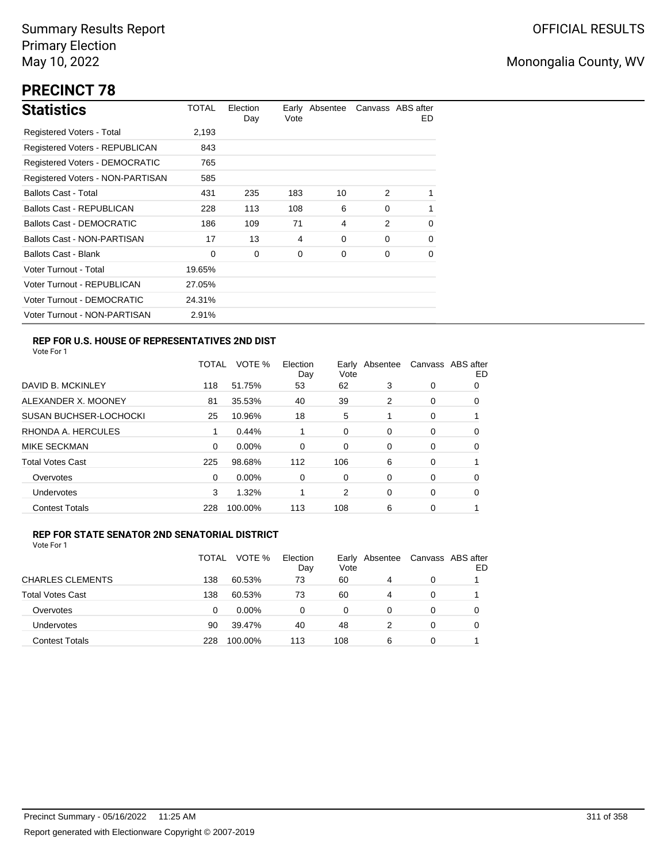# **PRECINCT 78**

| <b>Statistics</b>                | TOTAL  | Election<br>Day | Vote | Early Absentee |          | Canvass ABS after<br>ED. |
|----------------------------------|--------|-----------------|------|----------------|----------|--------------------------|
| Registered Voters - Total        | 2,193  |                 |      |                |          |                          |
| Registered Voters - REPUBLICAN   | 843    |                 |      |                |          |                          |
| Registered Voters - DEMOCRATIC   | 765    |                 |      |                |          |                          |
| Registered Voters - NON-PARTISAN | 585    |                 |      |                |          |                          |
| <b>Ballots Cast - Total</b>      | 431    | 235             | 183  | 10             | 2        |                          |
| Ballots Cast - REPUBLICAN        | 228    | 113             | 108  | 6              | $\Omega$ | 1                        |
| <b>Ballots Cast - DEMOCRATIC</b> | 186    | 109             | 71   | 4              | 2        | 0                        |
| Ballots Cast - NON-PARTISAN      | 17     | 13              | 4    | 0              | $\Omega$ | 0                        |
| <b>Ballots Cast - Blank</b>      | 0      | 0               | 0    | 0              | 0        | 0                        |
| Voter Turnout - Total            | 19.65% |                 |      |                |          |                          |
| Voter Turnout - REPUBLICAN       | 27.05% |                 |      |                |          |                          |
| Voter Turnout - DEMOCRATIC       | 24.31% |                 |      |                |          |                          |
| Voter Turnout - NON-PARTISAN     | 2.91%  |                 |      |                |          |                          |

## **REP FOR U.S. HOUSE OF REPRESENTATIVES 2ND DIST**

Vote For 1

|                               | TOTAL | VOTE %   | Election<br>Day | Earlv<br>Vote | Absentee |          | Canvass ABS after<br>ED |
|-------------------------------|-------|----------|-----------------|---------------|----------|----------|-------------------------|
| DAVID B. MCKINLEY             | 118   | 51.75%   | 53              | 62            | 3        | 0        | O                       |
| ALEXANDER X. MOONEY           | 81    | 35.53%   | 40              | 39            | 2        | 0        | 0                       |
| <b>SUSAN BUCHSER-LOCHOCKI</b> | 25    | 10.96%   | 18              | 5             |          | 0        |                         |
| RHONDA A. HERCULES            | 1     | 0.44%    |                 | 0             | 0        | 0        | 0                       |
| MIKE SECKMAN                  | 0     | $0.00\%$ | $\Omega$        | 0             | 0        | $\Omega$ | 0                       |
| <b>Total Votes Cast</b>       | 225   | 98.68%   | 112             | 106           | 6        | 0        |                         |
| Overvotes                     | 0     | $0.00\%$ | 0               | 0             | 0        | 0        | 0                       |
| <b>Undervotes</b>             | 3     | 1.32%    |                 | 2             | 0        | 0        | 0                       |
| <b>Contest Totals</b>         | 228   | 100.00%  | 113             | 108           | 6        | 0        |                         |

### **REP FOR STATE SENATOR 2ND SENATORIAL DISTRICT**

|                         | TOTAL | VOTE %   | Election<br>Day | Early<br>Vote | Absentee | Canvass ABS after | ED |
|-------------------------|-------|----------|-----------------|---------------|----------|-------------------|----|
| <b>CHARLES CLEMENTS</b> | 138   | 60.53%   | 73              | 60            | 4        | 0                 |    |
| <b>Total Votes Cast</b> | 138   | 60.53%   | 73              | 60            | 4        | 0                 |    |
| Overvotes               | 0     | $0.00\%$ | 0               | 0             | $\Omega$ | 0                 |    |
| Undervotes              | 90    | 39.47%   | 40              | 48            |          | $\Omega$          |    |
| <b>Contest Totals</b>   | 228   | 100.00%  | 113             | 108           | 6        | 0                 |    |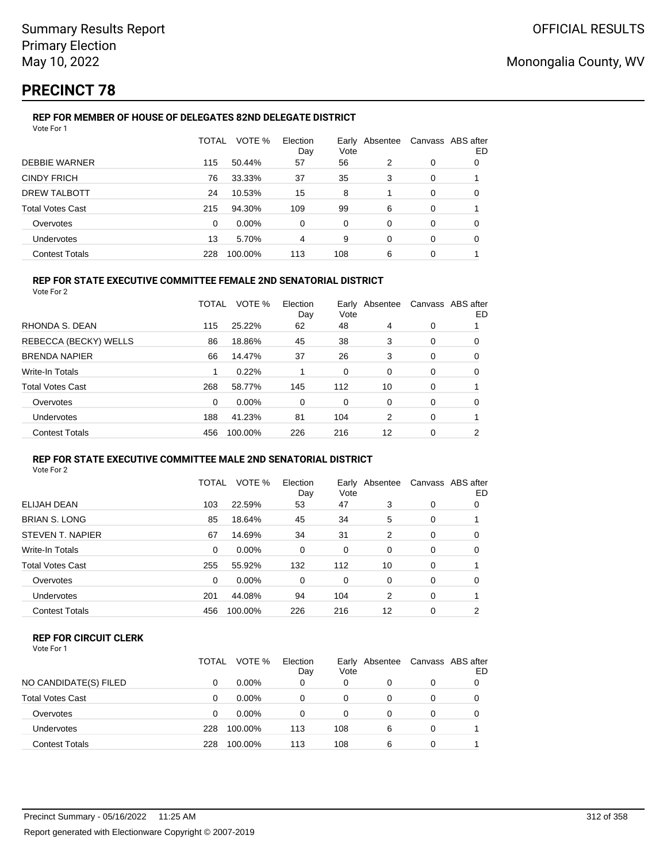# **PRECINCT 78**

#### **REP FOR MEMBER OF HOUSE OF DELEGATES 82ND DELEGATE DISTRICT** Vote For 1

|                         | <b>TOTAL</b> | VOTE %  | Election<br>Day | Vote     | Early Absentee | Canvass ABS after | ED |
|-------------------------|--------------|---------|-----------------|----------|----------------|-------------------|----|
| <b>DEBBIE WARNER</b>    | 115          | 50.44%  | 57              | 56       | 2              | 0                 | 0  |
| <b>CINDY FRICH</b>      | 76           | 33.33%  | 37              | 35       | 3              | 0                 |    |
| DREW TALBOTT            | 24           | 10.53%  | 15              | 8        |                | 0                 | 0  |
| <b>Total Votes Cast</b> | 215          | 94.30%  | 109             | 99       | 6              | 0                 |    |
| Overvotes               | 0            | 0.00%   | 0               | $\Omega$ | 0              | $\Omega$          | 0  |
| <b>Undervotes</b>       | 13           | 5.70%   | 4               | 9        | 0              | 0                 | 0  |
| <b>Contest Totals</b>   | 228          | 100.00% | 113             | 108      | 6              | 0                 |    |

## **REP FOR STATE EXECUTIVE COMMITTEE FEMALE 2ND SENATORIAL DISTRICT**

Vote For 2

|                         | TOTAL    | VOTE %   | Election<br>Day | Vote | Early Absentee | Canvass ABS after | ED |
|-------------------------|----------|----------|-----------------|------|----------------|-------------------|----|
| RHONDA S. DEAN          | 115      | 25.22%   | 62              | 48   | 4              | 0                 |    |
| REBECCA (BECKY) WELLS   | 86       | 18.86%   | 45              | 38   | 3              | 0                 | 0  |
| <b>BRENDA NAPIER</b>    | 66       | 14.47%   | 37              | 26   | 3              | 0                 | 0  |
| Write-In Totals         | 1        | 0.22%    |                 | 0    | 0              | 0                 | 0  |
| <b>Total Votes Cast</b> | 268      | 58.77%   | 145             | 112  | 10             | 0                 |    |
| Overvotes               | $\Omega$ | $0.00\%$ | 0               | 0    | 0              | 0                 | 0  |
| <b>Undervotes</b>       | 188      | 41.23%   | 81              | 104  | 2              | 0                 |    |
| <b>Contest Totals</b>   | 456      | 100.00%  | 226             | 216  | 12             | 0                 | 2  |

#### **REP FOR STATE EXECUTIVE COMMITTEE MALE 2ND SENATORIAL DISTRICT** Vote For 2

|                       | TOTAL    | VOTE %   | Election<br>Day | Early<br>Vote | Absentee |          | Canvass ABS after<br>ED |  |
|-----------------------|----------|----------|-----------------|---------------|----------|----------|-------------------------|--|
| ELIJAH DEAN           | 103      | 22.59%   | 53              | 47            | 3        | 0        | 0                       |  |
| BRIAN S. LONG         | 85       | 18.64%   | 45              | 34            | 5        | 0        |                         |  |
| STEVEN T. NAPIER      | 67       | 14.69%   | 34              | 31            | 2        | 0        | 0                       |  |
| Write-In Totals       | $\Omega$ | 0.00%    | $\Omega$        | $\Omega$      | $\Omega$ | $\Omega$ | 0                       |  |
| Total Votes Cast      | 255      | 55.92%   | 132             | 112           | 10       | $\Omega$ |                         |  |
| Overvotes             | $\Omega$ | $0.00\%$ | 0               | $\Omega$      | 0        | $\Omega$ | 0                       |  |
| <b>Undervotes</b>     | 201      | 44.08%   | 94              | 104           | 2        | $\Omega$ |                         |  |
| <b>Contest Totals</b> | 456      | 100.00%  | 226             | 216           | 12       | $\Omega$ | 2                       |  |
|                       |          |          |                 |               |          |          |                         |  |

### **REP FOR CIRCUIT CLERK**

|                         | TOTAL | VOTE %   | Election<br>Day | Vote | Early Absentee |   | Canvass ABS after<br>ED |
|-------------------------|-------|----------|-----------------|------|----------------|---|-------------------------|
| NO CANDIDATE(S) FILED   | 0     | $0.00\%$ | 0               | 0    |                | 0 |                         |
| <b>Total Votes Cast</b> | 0     | $0.00\%$ | 0               | 0    |                | 0 |                         |
| Overvotes               | 0     | $0.00\%$ | ი               | 0    |                | 0 |                         |
| <b>Undervotes</b>       | 228   | 100.00%  | 113             | 108  | 6              | 0 |                         |
| <b>Contest Totals</b>   | 228   | 100.00%  | 113             | 108  | 6              |   |                         |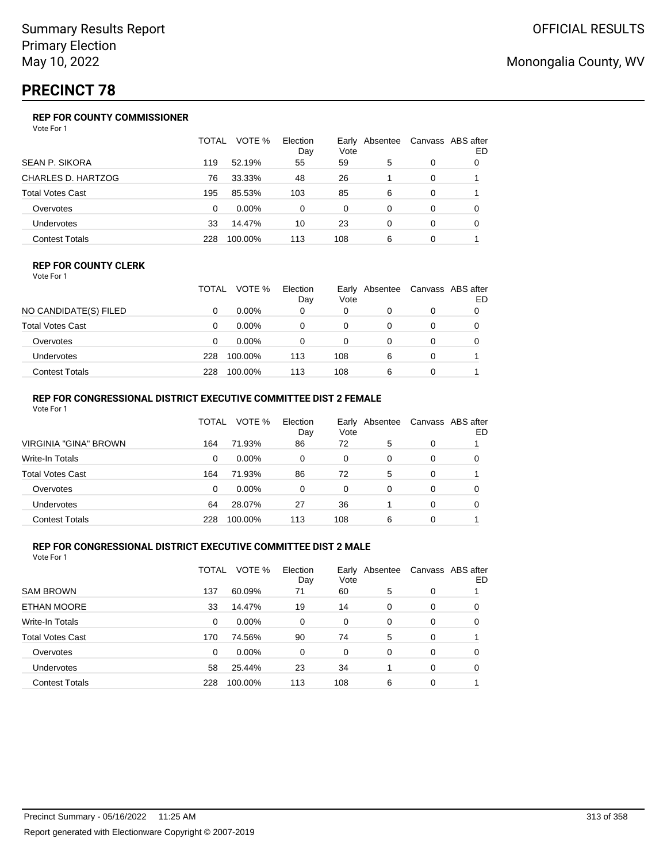# **PRECINCT 78**

## **REP FOR COUNTY COMMISSIONER**

Vote For 1

|                           | TOTAL | VOTE %  | Election<br>Day | Vote | Early Absentee |   | Canvass ABS after<br>ED |
|---------------------------|-------|---------|-----------------|------|----------------|---|-------------------------|
| <b>SEAN P. SIKORA</b>     | 119   | 52.19%  | 55              | 59   | 5              | 0 |                         |
| <b>CHARLES D. HARTZOG</b> | 76    | 33.33%  | 48              | 26   |                | 0 |                         |
| <b>Total Votes Cast</b>   | 195   | 85.53%  | 103             | 85   | 6              | 0 |                         |
| Overvotes                 | 0     | 0.00%   | $\Omega$        | 0    | 0              | 0 | 0                       |
| Undervotes                | 33    | 14.47%  | 10              | 23   | 0              | 0 | 0                       |
| <b>Contest Totals</b>     | 228   | 100.00% | 113             | 108  | 6              |   |                         |

#### **REP FOR COUNTY CLERK**

Vote For 1

|                       | TOTAL | VOTE %   | Election<br>Day | Vote | Early Absentee | Canvass ABS after<br>ED |
|-----------------------|-------|----------|-----------------|------|----------------|-------------------------|
| NO CANDIDATE(S) FILED |       | $0.00\%$ |                 | 0    |                |                         |
| Total Votes Cast      |       | $0.00\%$ | 0               | 0    |                |                         |
| Overvotes             |       | $0.00\%$ | 0               | 0    |                |                         |
| <b>Undervotes</b>     | 228   | 100.00%  | 113             | 108  | 6              |                         |
| Contest Totals        | 228   | 100.00%  | 113             | 108  | 6              |                         |

### **REP FOR CONGRESSIONAL DISTRICT EXECUTIVE COMMITTEE DIST 2 FEMALE**

| Vote For 1              |       |          |                 |      |                |          |                         |
|-------------------------|-------|----------|-----------------|------|----------------|----------|-------------------------|
|                         | TOTAL | VOTE %   | Election<br>Day | Vote | Early Absentee |          | Canvass ABS after<br>ED |
| VIRGINIA "GINA" BROWN   | 164   | 71.93%   | 86              | 72   | 5              | 0        |                         |
| Write-In Totals         | 0     | $0.00\%$ | 0               | 0    | 0              | 0        | 0                       |
| <b>Total Votes Cast</b> | 164   | 71.93%   | 86              | 72   | 5              | 0        |                         |
| Overvotes               | 0     | $0.00\%$ | 0               | 0    | 0              | $\Omega$ | 0                       |
| <b>Undervotes</b>       | 64    | 28.07%   | 27              | 36   |                | 0        | 0                       |
| <b>Contest Totals</b>   | 228   | 100.00%  | 113             | 108  | 6              | 0        |                         |

### **REP FOR CONGRESSIONAL DISTRICT EXECUTIVE COMMITTEE DIST 2 MALE**

|                         | TOTAL | VOTE %   | Election<br>Day | Vote | Early Absentee |          | Canvass ABS after<br>ED |
|-------------------------|-------|----------|-----------------|------|----------------|----------|-------------------------|
| <b>SAM BROWN</b>        | 137   | 60.09%   | 71              | 60   | 5              | 0        |                         |
| ETHAN MOORE             | 33    | 14.47%   | 19              | 14   | 0              | 0        | 0                       |
| Write-In Totals         | 0     | $0.00\%$ | 0               | 0    | $\Omega$       | $\Omega$ | 0                       |
| <b>Total Votes Cast</b> | 170   | 74.56%   | 90              | 74   | 5              | 0        |                         |
| Overvotes               | 0     | $0.00\%$ | 0               | 0    | 0              | 0        | 0                       |
| <b>Undervotes</b>       | 58    | 25.44%   | 23              | 34   |                | 0        | 0                       |
| <b>Contest Totals</b>   | 228   | 100.00%  | 113             | 108  | 6              | 0        |                         |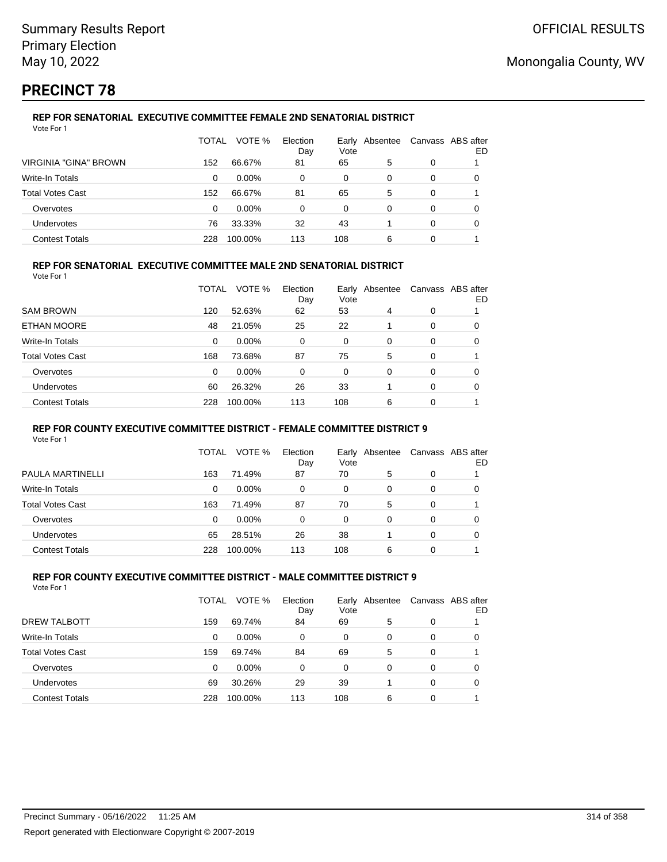# **PRECINCT 78**

#### **REP FOR SENATORIAL EXECUTIVE COMMITTEE FEMALE 2ND SENATORIAL DISTRICT** Vote For 1

|                         | TOTAL | VOTE %   | Election<br>Day | Vote | Early Absentee |   | Canvass ABS after<br>ED |
|-------------------------|-------|----------|-----------------|------|----------------|---|-------------------------|
| VIRGINIA "GINA" BROWN   | 152   | 66.67%   | 81              | 65   | 5              | 0 |                         |
| Write-In Totals         | 0     | $0.00\%$ | 0               | 0    | 0              | 0 | O                       |
| <b>Total Votes Cast</b> | 152   | 66.67%   | 81              | 65   | 5              | 0 |                         |
| Overvotes               | 0     | $0.00\%$ | 0               | 0    | 0              | 0 |                         |
| Undervotes              | 76    | 33.33%   | 32              | 43   |                | 0 | Ω                       |
| <b>Contest Totals</b>   | 228   | 100.00%  | 113             | 108  | 6              | 0 |                         |

### **REP FOR SENATORIAL EXECUTIVE COMMITTEE MALE 2ND SENATORIAL DISTRICT**

Vote For 1

|                         | TOTAL | VOTE %   | Election<br>Day | Vote     | Early Absentee |          | Canvass ABS after<br>ED |
|-------------------------|-------|----------|-----------------|----------|----------------|----------|-------------------------|
| <b>SAM BROWN</b>        | 120   | 52.63%   | 62              | 53       | 4              | 0        |                         |
| ETHAN MOORE             | 48    | 21.05%   | 25              | 22       |                | $\Omega$ | 0                       |
| Write-In Totals         | 0     | $0.00\%$ | 0               | 0        | 0              | $\Omega$ | 0                       |
| <b>Total Votes Cast</b> | 168   | 73.68%   | 87              | 75       | 5              | 0        |                         |
| Overvotes               | 0     | $0.00\%$ | 0               | $\Omega$ | $\Omega$       | $\Omega$ | 0                       |
| <b>Undervotes</b>       | 60    | 26.32%   | 26              | 33       |                | $\Omega$ | 0                       |
| <b>Contest Totals</b>   | 228   | 100.00%  | 113             | 108      | 6              | 0        |                         |

#### **REP FOR COUNTY EXECUTIVE COMMITTEE DISTRICT - FEMALE COMMITTEE DISTRICT 9**

Vote For 1

|                       | TOTAL    | VOTE %   | Election<br>Day | Vote | Early Absentee | Canvass ABS after | ED |
|-----------------------|----------|----------|-----------------|------|----------------|-------------------|----|
| PAULA MARTINELLI      | 163      | 71.49%   | 87              | 70   | 5              | 0                 |    |
| Write-In Totals       | $\Omega$ | $0.00\%$ | 0               | 0    | 0              | 0                 | 0  |
| Total Votes Cast      | 163      | 71.49%   | 87              | 70   | 5              | 0                 |    |
| Overvotes             | 0        | 0.00%    | 0               | 0    | 0              | 0                 |    |
| <b>Undervotes</b>     | 65       | 28.51%   | 26              | 38   |                | 0                 |    |
| <b>Contest Totals</b> | 228      | 100.00%  | 113             | 108  | 6              | 0                 |    |

#### **REP FOR COUNTY EXECUTIVE COMMITTEE DISTRICT - MALE COMMITTEE DISTRICT 9** Vote For 1

|                         | TOTAL | VOTE %   | Election<br>Day | Early<br>Vote | Absentee | Canvass ABS after | ED |
|-------------------------|-------|----------|-----------------|---------------|----------|-------------------|----|
| DREW TALBOTT            | 159   | 69.74%   | 84              | 69            | 5        | 0                 |    |
| Write-In Totals         | 0     | $0.00\%$ | 0               | 0             | 0        | 0                 |    |
| <b>Total Votes Cast</b> | 159   | 69.74%   | 84              | 69            | 5        | 0                 |    |
| Overvotes               | 0     | $0.00\%$ | 0               | 0             | 0        | 0                 |    |
| Undervotes              | 69    | 30.26%   | 29              | 39            |          | 0                 |    |
| <b>Contest Totals</b>   | 228   | 100.00%  | 113             | 108           | 6        | 0                 |    |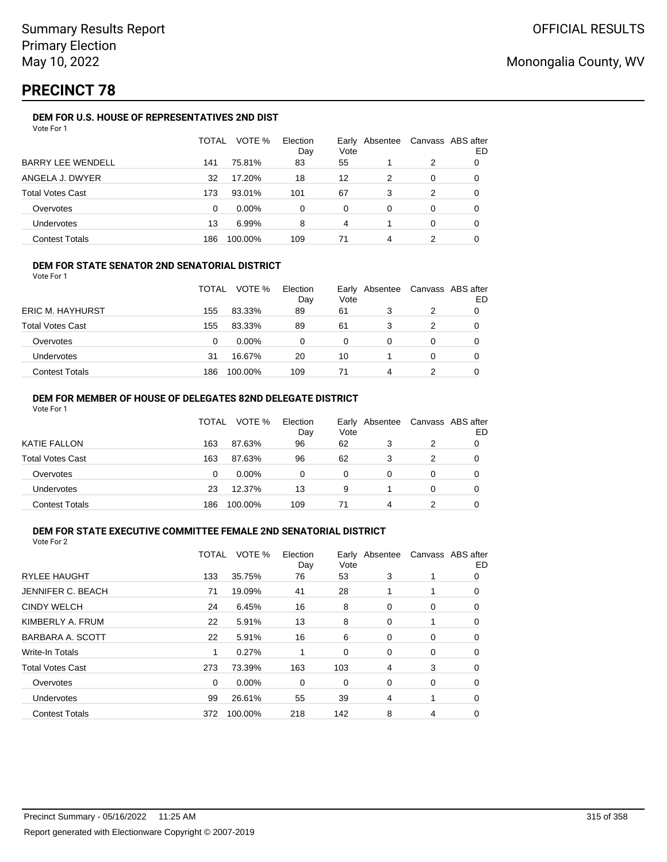# **PRECINCT 78**

### **DEM FOR U.S. HOUSE OF REPRESENTATIVES 2ND DIST**

|                          | <b>TOTAL</b> | VOTE %   | Election<br>Day | Early<br>Vote | Absentee |   | Canvass ABS after<br>ED |
|--------------------------|--------------|----------|-----------------|---------------|----------|---|-------------------------|
| <b>BARRY LEE WENDELL</b> | 141          | 75.81%   | 83              | 55            |          | 2 | 0                       |
| ANGELA J. DWYER          | 32           | 17.20%   | 18              | 12            | 2        | 0 |                         |
| <b>Total Votes Cast</b>  | 173          | 93.01%   | 101             | 67            | 3        | 2 |                         |
| Overvotes                | 0            | $0.00\%$ | 0               | 0             | 0        | 0 |                         |
| <b>Undervotes</b>        | 13           | 6.99%    | 8               | 4             |          | 0 |                         |
| <b>Contest Totals</b>    | 186          | 100.00%  | 109             | 71            | 4        |   |                         |

### **DEM FOR STATE SENATOR 2ND SENATORIAL DISTRICT**

Vote For 1

|                         | TOTAL | VOTE %   | Election<br>Day | Vote     | Early Absentee | Canvass ABS after<br>ED |
|-------------------------|-------|----------|-----------------|----------|----------------|-------------------------|
| <b>ERIC M. HAYHURST</b> | 155   | 83.33%   | 89              | 61       |                |                         |
| <b>Total Votes Cast</b> | 155   | 83.33%   | 89              | 61       |                |                         |
| Overvotes               | 0     | $0.00\%$ | 0               | $\Omega$ |                |                         |
| <b>Undervotes</b>       | 31    | 16.67%   | 20              | 10       |                |                         |
| <b>Contest Totals</b>   | 186   | 100.00%  | 109             | 71       | 4              |                         |

#### **DEM FOR MEMBER OF HOUSE OF DELEGATES 82ND DELEGATE DISTRICT** Vote For 1

|                         | TOTAL | VOTE %   | Election<br>Day | Early Absentee<br>Vote |   | Canvass ABS after | ED |
|-------------------------|-------|----------|-----------------|------------------------|---|-------------------|----|
| <b>KATIE FALLON</b>     | 163   | 87.63%   | 96              | 62                     | 3 | 2                 |    |
| <b>Total Votes Cast</b> | 163   | 87.63%   | 96              | 62                     | 3 | 2                 |    |
| Overvotes               | 0     | $0.00\%$ | 0               | 0                      | 0 | 0                 |    |
| Undervotes              | 23    | 12.37%   | 13              | 9                      |   | 0                 |    |
| <b>Contest Totals</b>   | 186   | 100.00%  | 109             | 71                     | 4 |                   |    |

#### **DEM FOR STATE EXECUTIVE COMMITTEE FEMALE 2ND SENATORIAL DISTRICT** Vote For 2

|                          | TOTAL | VOTE %   | Election<br>Day | Early<br>Vote | Absentee |   | Canvass ABS after<br>ED |
|--------------------------|-------|----------|-----------------|---------------|----------|---|-------------------------|
| <b>RYLEE HAUGHT</b>      | 133   | 35.75%   | 76              | 53            | 3        |   | 0                       |
| <b>JENNIFER C. BEACH</b> | 71    | 19.09%   | 41              | 28            | 1        | 1 | 0                       |
| <b>CINDY WELCH</b>       | 24    | 6.45%    | 16              | 8             | 0        | 0 | 0                       |
| KIMBERLY A. FRUM         | 22    | 5.91%    | 13              | 8             | 0        |   | 0                       |
| BARBARA A. SCOTT         | 22    | 5.91%    | 16              | 6             | 0        | 0 | 0                       |
| <b>Write-In Totals</b>   |       | 0.27%    |                 | 0             | 0        | 0 | 0                       |
| <b>Total Votes Cast</b>  | 273   | 73.39%   | 163             | 103           | 4        | 3 | 0                       |
| Overvotes                | 0     | $0.00\%$ | 0               | 0             | 0        | 0 | 0                       |
| <b>Undervotes</b>        | 99    | 26.61%   | 55              | 39            | 4        | 1 | 0                       |
| <b>Contest Totals</b>    | 372   | 100.00%  | 218             | 142           | 8        | 4 | 0                       |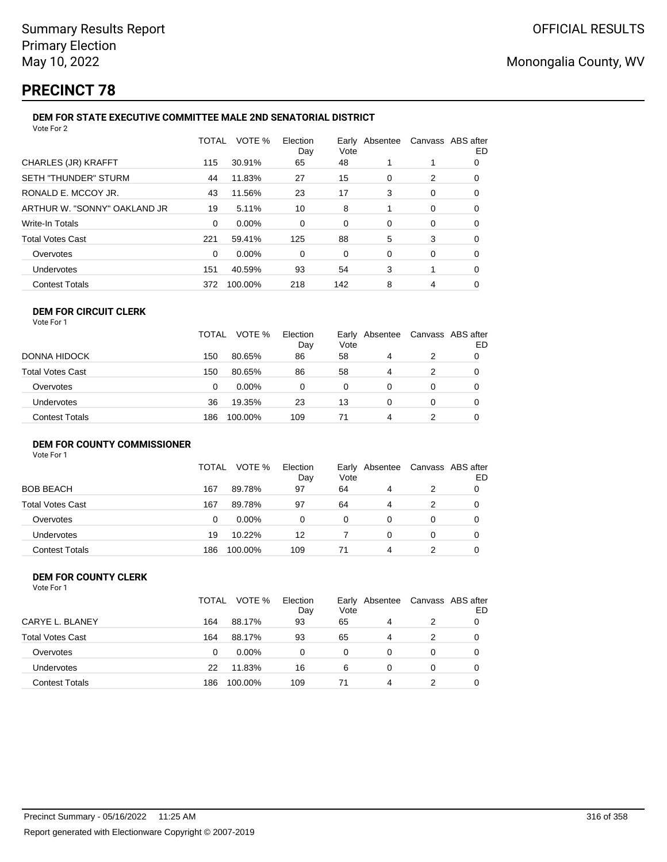# **PRECINCT 78**

#### **DEM FOR STATE EXECUTIVE COMMITTEE MALE 2ND SENATORIAL DISTRICT** Vote For 2

| 1 U U U L                    |       |         |                 |                        |   |                   |    |
|------------------------------|-------|---------|-----------------|------------------------|---|-------------------|----|
|                              | TOTAL | VOTE %  | Election<br>Day | Early Absentee<br>Vote |   | Canvass ABS after | ED |
| CHARLES (JR) KRAFFT          | 115   | 30.91%  | 65              | 48                     |   |                   | 0  |
| SETH "THUNDER" STURM         | 44    | 11.83%  | 27              | 15                     | 0 | 2                 | 0  |
| RONALD E. MCCOY JR.          | 43    | 11.56%  | 23              | 17                     | 3 | 0                 | 0  |
| ARTHUR W. "SONNY" OAKLAND JR | 19    | 5.11%   | 10              | 8                      |   | 0                 | 0  |
| Write-In Totals              | 0     | 0.00%   | 0               | 0                      | 0 | 0                 | 0  |
| Total Votes Cast             | 221   | 59.41%  | 125             | 88                     | 5 | 3                 | 0  |
| Overvotes                    | 0     | 0.00%   | 0               | 0                      | 0 | 0                 | 0  |
| Undervotes                   | 151   | 40.59%  | 93              | 54                     | 3 | 1                 | 0  |
| <b>Contest Totals</b>        | 372   | 100.00% | 218             | 142                    | 8 | 4                 | 0  |
|                              |       |         |                 |                        |   |                   |    |

#### **DEM FOR CIRCUIT CLERK** Vote For 1

|                   | <b>TOTAL</b> | VOTE %   | Election<br>Day | Vote | Early Absentee |   | Canvass ABS after<br>ED |
|-------------------|--------------|----------|-----------------|------|----------------|---|-------------------------|
| DONNA HIDOCK      | 150          | 80.65%   | 86              | 58   | 4              | 2 |                         |
| Total Votes Cast  | 150          | 80.65%   | 86              | 58   | 4              |   | 0                       |
| Overvotes         |              | $0.00\%$ |                 | 0    |                |   |                         |
| <b>Undervotes</b> | 36           | 19.35%   | 23              | 13   |                | 0 | 0                       |
| Contest Totals    | 186          | 100.00%  | 109             | 71   | 4              |   | 0                       |

## **DEM FOR COUNTY COMMISSIONER**

Vote For 1

|                         | <b>TOTAL</b> | VOTE %   | Election<br>Day | Vote | Early Absentee | Canvass ABS after | ED |
|-------------------------|--------------|----------|-----------------|------|----------------|-------------------|----|
| <b>BOB BEACH</b>        | 167          | 89.78%   | 97              | 64   | 4              | 2                 |    |
| <b>Total Votes Cast</b> | 167          | 89.78%   | 97              | 64   | 4              | 2                 |    |
| Overvotes               | 0            | $0.00\%$ | 0               | 0    |                | 0                 |    |
| Undervotes              | 19           | 10.22%   | 12              |      | 0              | 0                 |    |
| <b>Contest Totals</b>   | 186          | 100.00%  | 109             | 71   | 4              |                   |    |

#### **DEM FOR COUNTY CLERK** Vote For 1

|                         | TOTAL | VOTE %   | Election<br>Day | Vote | Early Absentee |               | Canvass ABS after<br>ED |
|-------------------------|-------|----------|-----------------|------|----------------|---------------|-------------------------|
| CARYE L. BLANEY         | 164   | 88.17%   | 93              | 65   | 4              | $\mathcal{P}$ |                         |
| <b>Total Votes Cast</b> | 164   | 88.17%   | 93              | 65   | 4              | $\mathcal{P}$ | 0                       |
| Overvotes               | 0     | $0.00\%$ | 0               | 0    | 0              | 0             | 0                       |
| Undervotes              | 22    | 11.83%   | 16              | 6    | 0              | 0             |                         |
| <b>Contest Totals</b>   | 186   | 100.00%  | 109             | 71   | 4              |               |                         |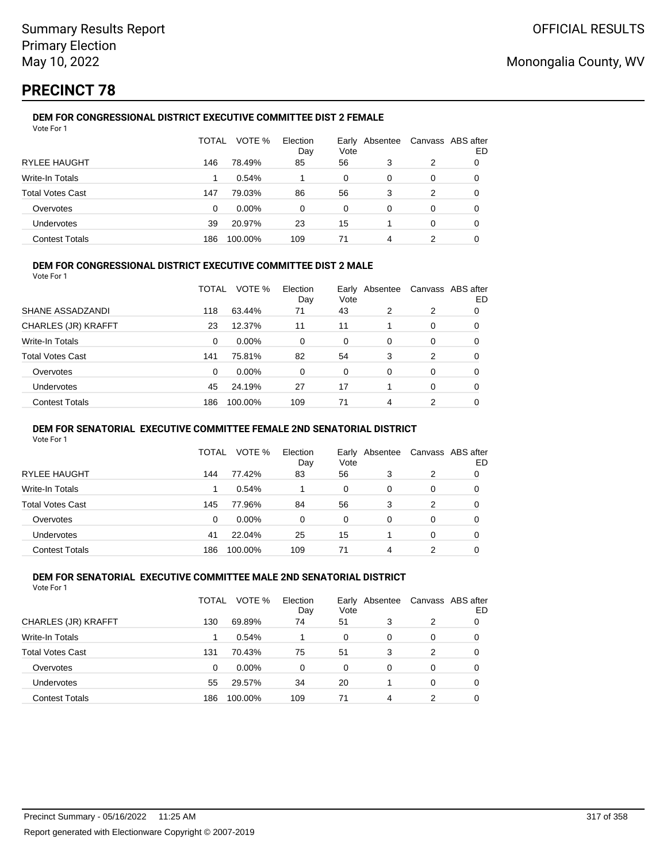# **PRECINCT 78**

#### **DEM FOR CONGRESSIONAL DISTRICT EXECUTIVE COMMITTEE DIST 2 FEMALE** Vote For 1

|                         | TOTAL | VOTE %   | Election<br>Day | Vote | Early Absentee |   | Canvass ABS after<br>ED |
|-------------------------|-------|----------|-----------------|------|----------------|---|-------------------------|
| <b>RYLEE HAUGHT</b>     | 146   | 78.49%   | 85              | 56   | 3              | 2 | 0                       |
| Write-In Totals         |       | 0.54%    |                 | 0    | 0              | 0 |                         |
| <b>Total Votes Cast</b> | 147   | 79.03%   | 86              | 56   | 3              | 2 | O                       |
| Overvotes               | 0     | $0.00\%$ | $\Omega$        | 0    | 0              | 0 | O                       |
| Undervotes              | 39    | 20.97%   | 23              | 15   |                | 0 | O                       |
| <b>Contest Totals</b>   | 186   | 100.00%  | 109             | 71   | 4              | 2 |                         |

### **DEM FOR CONGRESSIONAL DISTRICT EXECUTIVE COMMITTEE DIST 2 MALE**

Vote For 1

|                         | TOTAL | VOTE %   | Election<br>Day | Early<br>Vote | Absentee |          | Canvass ABS after<br>ED |
|-------------------------|-------|----------|-----------------|---------------|----------|----------|-------------------------|
| SHANE ASSADZANDI        | 118   | 63.44%   | 71              | 43            | 2        | 2        | 0                       |
| CHARLES (JR) KRAFFT     | 23    | 12.37%   | 11              | 11            |          | $\Omega$ | 0                       |
| Write-In Totals         | 0     | 0.00%    | 0               | $\Omega$      | 0        | $\Omega$ | 0                       |
| <b>Total Votes Cast</b> | 141   | 75.81%   | 82              | 54            | 3        | 2        | 0                       |
| Overvotes               | 0     | $0.00\%$ | 0               | $\Omega$      | 0        | $\Omega$ | 0                       |
| <b>Undervotes</b>       | 45    | 24.19%   | 27              | 17            |          | $\Omega$ | 0                       |
| <b>Contest Totals</b>   | 186   | 100.00%  | 109             | 71            | 4        | 2        | 0                       |

#### **DEM FOR SENATORIAL EXECUTIVE COMMITTEE FEMALE 2ND SENATORIAL DISTRICT**

Vote For 1

|                         | TOTAL | VOTE %   | Election<br>Day | Vote | Early Absentee | Canvass ABS after | ED |
|-------------------------|-------|----------|-----------------|------|----------------|-------------------|----|
| RYLEE HAUGHT            | 144   | 77.42%   | 83              | 56   | 3              | 2                 |    |
| Write-In Totals         |       | 0.54%    |                 | 0    | 0              | 0                 | O  |
| <b>Total Votes Cast</b> | 145   | 77.96%   | 84              | 56   | 3              | 2                 | 0  |
| Overvotes               | 0     | $0.00\%$ | 0               | 0    | 0              | 0                 |    |
| Undervotes              | 41    | 22.04%   | 25              | 15   |                | 0                 |    |
| <b>Contest Totals</b>   | 186   | 100.00%  | 109             | 71   | 4              | 2                 |    |

#### **DEM FOR SENATORIAL EXECUTIVE COMMITTEE MALE 2ND SENATORIAL DISTRICT** Vote For 1

|                         | TOTAL | VOTE %  | Election<br>Day | Early Absentee<br>Vote |          | Canvass ABS after | ED |
|-------------------------|-------|---------|-----------------|------------------------|----------|-------------------|----|
| CHARLES (JR) KRAFFT     | 130   | 69.89%  | 74              | 51                     | 3        | 2                 |    |
| Write-In Totals         |       | 0.54%   |                 | 0                      | 0        | 0                 | 0  |
| <b>Total Votes Cast</b> | 131   | 70.43%  | 75              | 51                     | 3        | 2                 |    |
| Overvotes               | 0     | 0.00%   | $\Omega$        | $\Omega$               | $\Omega$ | 0                 |    |
| <b>Undervotes</b>       | 55    | 29.57%  | 34              | 20                     |          | 0                 |    |
| <b>Contest Totals</b>   | 186   | 100.00% | 109             | 71                     | 4        | 2                 |    |
|                         |       |         |                 |                        |          |                   |    |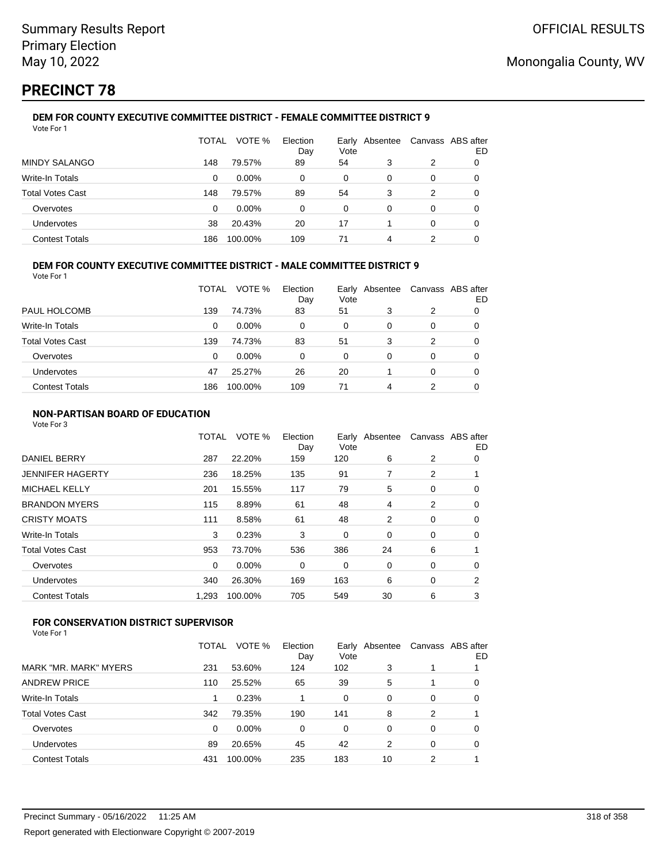# **PRECINCT 78**

#### **DEM FOR COUNTY EXECUTIVE COMMITTEE DISTRICT - FEMALE COMMITTEE DISTRICT 9** Vote For 1

|                         | TOTAL | VOTE %   | Election<br>Day | Vote | Early Absentee |   | Canvass ABS after<br>ED |
|-------------------------|-------|----------|-----------------|------|----------------|---|-------------------------|
| <b>MINDY SALANGO</b>    | 148   | 79.57%   | 89              | 54   | 3              | 2 | O                       |
| Write-In Totals         | 0     | $0.00\%$ | 0               | 0    | 0              | 0 | O                       |
| <b>Total Votes Cast</b> | 148   | 79.57%   | 89              | 54   | 3              | 2 |                         |
| Overvotes               | 0     | $0.00\%$ | $\Omega$        | 0    | 0              | 0 |                         |
| Undervotes              | 38    | 20.43%   | 20              | 17   |                | 0 | 0                       |
| <b>Contest Totals</b>   | 186   | 100.00%  | 109             | 71   | 4              |   |                         |

### **DEM FOR COUNTY EXECUTIVE COMMITTEE DISTRICT - MALE COMMITTEE DISTRICT 9**

Vote For 1

|                         | TOTAL    | VOTE %   | Election<br>Day | Vote | Early Absentee | Canvass ABS after | ED |
|-------------------------|----------|----------|-----------------|------|----------------|-------------------|----|
| PAUL HOLCOMB            | 139      | 74.73%   | 83              | 51   | 3              | 2                 |    |
| Write-In Totals         | $\Omega$ | $0.00\%$ | 0               | 0    | 0              | 0                 |    |
| <b>Total Votes Cast</b> | 139      | 74.73%   | 83              | 51   | 3              | 2                 | O  |
| Overvotes               | 0        | $0.00\%$ | 0               | 0    | 0              | 0                 |    |
| <b>Undervotes</b>       | 47       | 25.27%   | 26              | 20   |                | 0                 | O  |
| <b>Contest Totals</b>   | 186      | 100.00%  | 109             | 71   | 4              | 2                 | 0  |

### **NON-PARTISAN BOARD OF EDUCATION**

Vote For 3

|                       | TOTAL | VOTE %  | Election<br>Day | Vote | Early Absentee |             | Canvass ABS after<br>ED |
|-----------------------|-------|---------|-----------------|------|----------------|-------------|-------------------------|
| <b>DANIEL BERRY</b>   | 287   | 22.20%  | 159             | 120  | 6              | 2           | 0                       |
| JENNIFER HAGERTY      | 236   | 18.25%  | 135             | 91   | 7              | 2           |                         |
| <b>MICHAEL KELLY</b>  | 201   | 15.55%  | 117             | 79   | 5              | 0           | 0                       |
| <b>BRANDON MYERS</b>  | 115   | 8.89%   | 61              | 48   | 4              | 2           | 0                       |
| <b>CRISTY MOATS</b>   | 111   | 8.58%   | 61              | 48   | 2              | $\mathbf 0$ | 0                       |
| Write-In Totals       | 3     | 0.23%   | 3               | 0    | 0              | 0           | 0                       |
| Total Votes Cast      | 953   | 73.70%  | 536             | 386  | 24             | 6           |                         |
| Overvotes             | 0     | 0.00%   | 0               | 0    | 0              | 0           | 0                       |
| Undervotes            | 340   | 26.30%  | 169             | 163  | 6              | 0           | 2                       |
| <b>Contest Totals</b> | 1,293 | 100.00% | 705             | 549  | 30             | 6           | 3                       |
|                       |       |         |                 |      |                |             |                         |

## **FOR CONSERVATION DISTRICT SUPERVISOR**

|                       | TOTAL | VOTE %   | Election<br>Day | Vote | Early Absentee |   | Canvass ABS after<br>ED |
|-----------------------|-------|----------|-----------------|------|----------------|---|-------------------------|
| MARK "MR. MARK" MYERS | 231   | 53.60%   | 124             | 102  | 3              |   |                         |
| ANDREW PRICE          | 110   | 25.52%   | 65              | 39   | 5              |   | 0                       |
| Write-In Totals       |       | 0.23%    |                 | 0    | 0              | 0 | 0                       |
| Total Votes Cast      | 342   | 79.35%   | 190             | 141  | 8              | 2 |                         |
| Overvotes             | 0     | $0.00\%$ | 0               | 0    | 0              | 0 | 0                       |
| Undervotes            | 89    | 20.65%   | 45              | 42   | 2              | 0 | 0                       |
| <b>Contest Totals</b> | 431   | 100.00%  | 235             | 183  | 10             | 2 |                         |
|                       |       |          |                 |      |                |   |                         |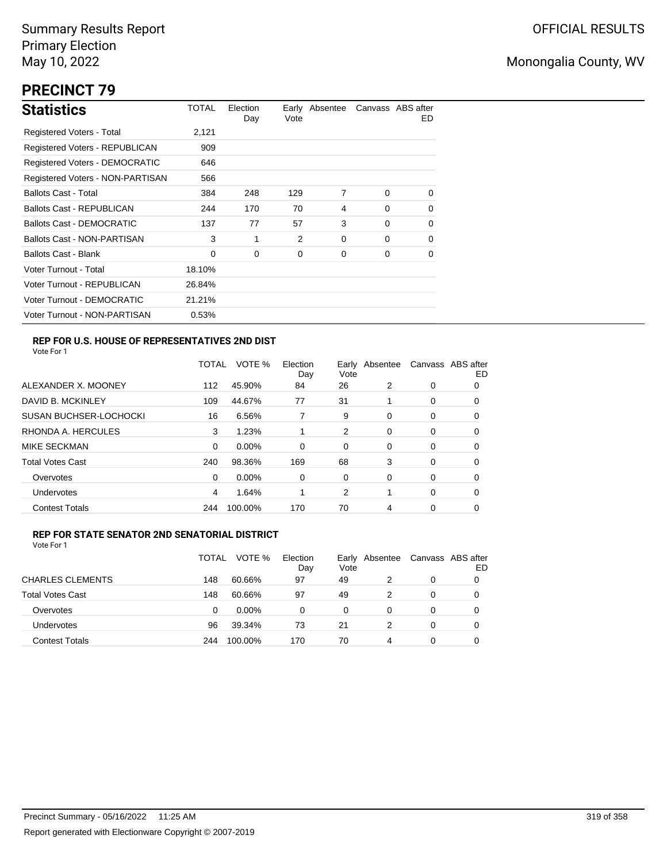# **PRECINCT 79**

| <b>Statistics</b>                     | TOTAL  | Election<br>Day | Vote | Early Absentee |          | Canvass ABS after<br>ED. |
|---------------------------------------|--------|-----------------|------|----------------|----------|--------------------------|
| Registered Voters - Total             | 2,121  |                 |      |                |          |                          |
| Registered Voters - REPUBLICAN        | 909    |                 |      |                |          |                          |
| <b>Registered Voters - DEMOCRATIC</b> | 646    |                 |      |                |          |                          |
| Registered Voters - NON-PARTISAN      | 566    |                 |      |                |          |                          |
| <b>Ballots Cast - Total</b>           | 384    | 248             | 129  | 7              | $\Omega$ | 0                        |
| Ballots Cast - REPUBLICAN             | 244    | 170             | 70   | 4              | $\Omega$ | 0                        |
| <b>Ballots Cast - DEMOCRATIC</b>      | 137    | 77              | 57   | 3              | $\Omega$ | 0                        |
| Ballots Cast - NON-PARTISAN           | 3      | 1               | 2    | 0              | $\Omega$ | $\Omega$                 |
| <b>Ballots Cast - Blank</b>           | 0      | 0               | 0    | 0              | 0        | 0                        |
| Voter Turnout - Total                 | 18.10% |                 |      |                |          |                          |
| Voter Turnout - REPUBLICAN            | 26.84% |                 |      |                |          |                          |
| Voter Turnout - DEMOCRATIC            | 21.21% |                 |      |                |          |                          |
| Voter Turnout - NON-PARTISAN          | 0.53%  |                 |      |                |          |                          |

## **REP FOR U.S. HOUSE OF REPRESENTATIVES 2ND DIST**

Vote For 1

|                               | <b>TOTAL</b> | VOTE %  | Election<br>Day | Early<br>Vote | Absentee |          | Canvass ABS after<br>ED |
|-------------------------------|--------------|---------|-----------------|---------------|----------|----------|-------------------------|
| ALEXANDER X. MOONEY           | 112          | 45.90%  | 84              | 26            | 2        | 0        | O                       |
| DAVID B. MCKINLEY             | 109          | 44.67%  | 77              | 31            |          | 0        | 0                       |
| <b>SUSAN BUCHSER-LOCHOCKI</b> | 16           | 6.56%   |                 | 9             | 0        | 0        | 0                       |
| RHONDA A. HERCULES            | 3            | 1.23%   | 1               | 2             | $\Omega$ | 0        | 0                       |
| MIKE SECKMAN                  | 0            | 0.00%   | $\Omega$        | 0             | 0        | $\Omega$ | 0                       |
| <b>Total Votes Cast</b>       | 240          | 98.36%  | 169             | 68            | 3        | 0        | 0                       |
| Overvotes                     | 0            | 0.00%   | 0               | 0             | 0        | 0        | 0                       |
| <b>Undervotes</b>             | 4            | 1.64%   |                 | 2             |          | 0        | 0                       |
| <b>Contest Totals</b>         | 244          | 100.00% | 170             | 70            | 4        | 0        | 0                       |

#### **REP FOR STATE SENATOR 2ND SENATORIAL DISTRICT**

|                         | TOTAL | VOTE %   | Election<br>Day | Early<br>Vote | Absentee | Canvass ABS after | ED |
|-------------------------|-------|----------|-----------------|---------------|----------|-------------------|----|
| <b>CHARLES CLEMENTS</b> | 148   | 60.66%   | 97              | 49            |          | 0                 |    |
| <b>Total Votes Cast</b> | 148   | 60.66%   | 97              | 49            | 2        | 0                 |    |
| Overvotes               | 0     | $0.00\%$ | 0               | 0             | 0        | 0                 |    |
| Undervotes              | 96    | 39.34%   | 73              | 21            | 2        | 0                 |    |
| <b>Contest Totals</b>   | 244   | 100.00%  | 170             | 70            | 4        | 0                 |    |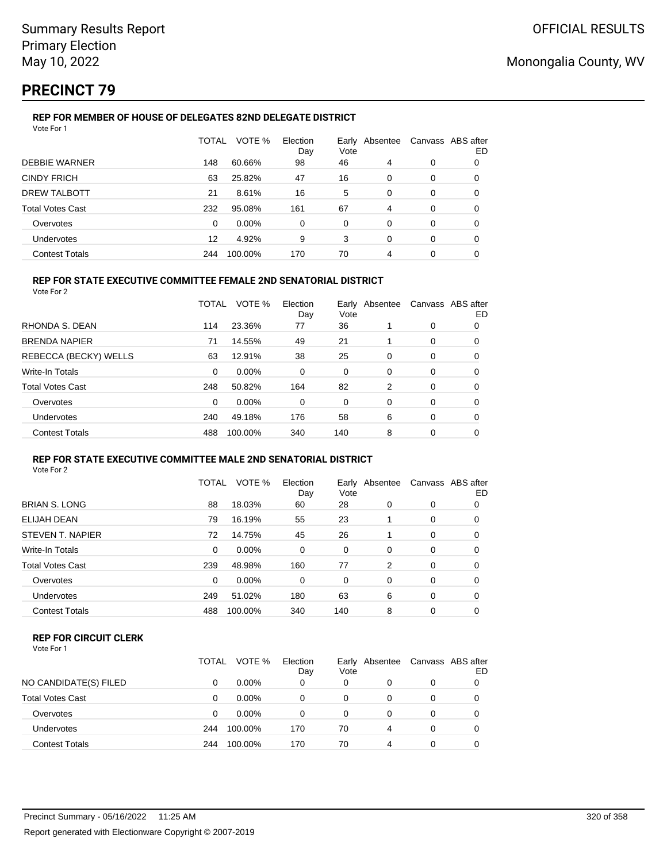# **PRECINCT 79**

#### **REP FOR MEMBER OF HOUSE OF DELEGATES 82ND DELEGATE DISTRICT** Vote For 1

|                         | TOTAL | VOTE %  | Election<br>Day | Vote     | Early Absentee | Canvass ABS after | ED |
|-------------------------|-------|---------|-----------------|----------|----------------|-------------------|----|
| <b>DEBBIE WARNER</b>    | 148   | 60.66%  | 98              | 46       | 4              | 0                 | 0  |
| <b>CINDY FRICH</b>      | 63    | 25.82%  | 47              | 16       | 0              | 0                 | 0  |
| <b>DREW TALBOTT</b>     | 21    | 8.61%   | 16              | 5        | 0              | 0                 | 0  |
| <b>Total Votes Cast</b> | 232   | 95.08%  | 161             | 67       | 4              | 0                 | 0  |
| Overvotes               | 0     | 0.00%   | 0               | $\Omega$ | 0              | 0                 | 0  |
| Undervotes              | 12    | 4.92%   | 9               | 3        | 0              | 0                 | 0  |
| <b>Contest Totals</b>   | 244   | 100.00% | 170             | 70       | 4              | 0                 | 0  |

## **REP FOR STATE EXECUTIVE COMMITTEE FEMALE 2ND SENATORIAL DISTRICT**

Vote For 2

|                       | TOTAL    | VOTE %   | Election<br>Day | Early Absentee<br>Vote |          | Canvass ABS after | ED |
|-----------------------|----------|----------|-----------------|------------------------|----------|-------------------|----|
| RHONDA S. DEAN        | 114      | 23.36%   | 77              | 36                     |          | 0                 | 0  |
| <b>BRENDA NAPIER</b>  | 71       | 14.55%   | 49              | 21                     |          | 0                 | 0  |
| REBECCA (BECKY) WELLS | 63       | 12.91%   | 38              | 25                     | 0        | 0                 | 0  |
| Write-In Totals       | $\Omega$ | 0.00%    | 0               | 0                      | 0        | 0                 | 0  |
| Total Votes Cast      | 248      | 50.82%   | 164             | 82                     | 2        | 0                 | 0  |
| Overvotes             | $\Omega$ | $0.00\%$ | $\Omega$        | 0                      | $\Omega$ | 0                 | 0  |
| Undervotes            | 240      | 49.18%   | 176             | 58                     | 6        | 0                 | 0  |
| <b>Contest Totals</b> | 488      | 100.00%  | 340             | 140                    | 8        | 0                 | 0  |
|                       |          |          |                 |                        |          |                   |    |

#### **REP FOR STATE EXECUTIVE COMMITTEE MALE 2ND SENATORIAL DISTRICT** Vote For 2

|                         | TOTAL    | VOTE %   | Election<br>Day | Vote     | Early Absentee |          | Canvass ABS after<br>ED |
|-------------------------|----------|----------|-----------------|----------|----------------|----------|-------------------------|
| <b>BRIAN S. LONG</b>    | 88       | 18.03%   | 60              | 28       | $\Omega$       | 0        | 0                       |
| <b>ELIJAH DEAN</b>      | 79       | 16.19%   | 55              | 23       |                | 0        | 0                       |
| STEVEN T. NAPIER        | 72       | 14.75%   | 45              | 26       |                | $\Omega$ | 0                       |
| Write-In Totals         | $\Omega$ | $0.00\%$ | $\Omega$        | 0        | $\Omega$       | $\Omega$ | 0                       |
| <b>Total Votes Cast</b> | 239      | 48.98%   | 160             | 77       | 2              | $\Omega$ | 0                       |
| Overvotes               | $\Omega$ | $0.00\%$ | $\Omega$        | $\Omega$ | $\Omega$       | $\Omega$ | 0                       |
| Undervotes              | 249      | 51.02%   | 180             | 63       | 6              | $\Omega$ | 0                       |
| <b>Contest Totals</b>   | 488      | 100.00%  | 340             | 140      | 8              | $\Omega$ | 0                       |
|                         |          |          |                 |          |                |          |                         |

### **REP FOR CIRCUIT CLERK**

| Vote For 1 |  |  |
|------------|--|--|
|------------|--|--|

|                         | TOTAL | VOTE %   | Election<br>Day | Vote | Early Absentee |   | Canvass ABS after<br>ED |
|-------------------------|-------|----------|-----------------|------|----------------|---|-------------------------|
| NO CANDIDATE(S) FILED   | 0     | $0.00\%$ | 0               | 0    |                | 0 |                         |
| <b>Total Votes Cast</b> | 0     | $0.00\%$ | 0               | 0    |                | 0 |                         |
| Overvotes               | 0     | $0.00\%$ | 0               | 0    |                | 0 |                         |
| Undervotes              | 244   | 100.00%  | 170             | 70   | 4              | 0 |                         |
| <b>Contest Totals</b>   | 244   | 100.00%  | 170             | 70   | 4              | 0 |                         |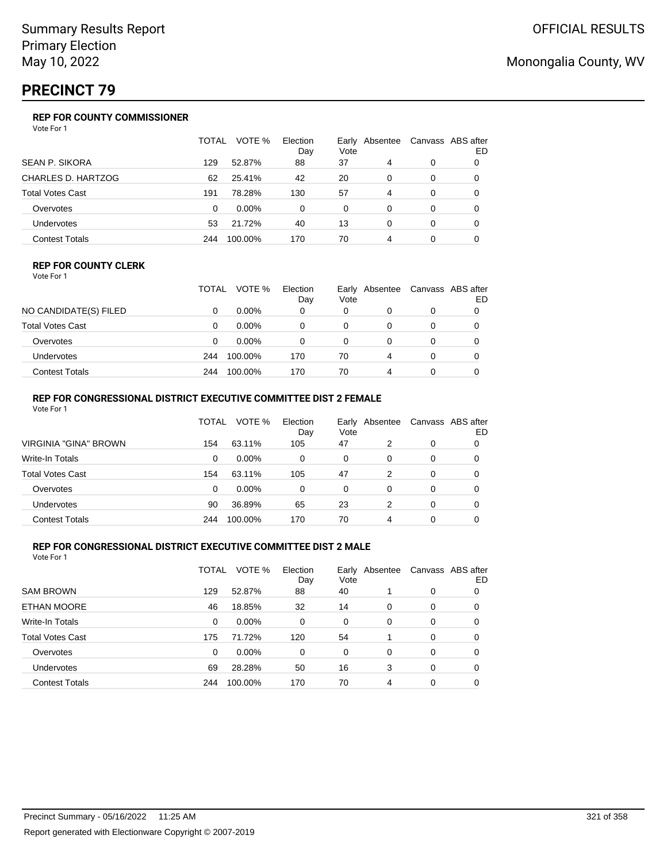# **PRECINCT 79**

## **REP FOR COUNTY COMMISSIONER**

Vote For 1

|                         | TOTAL | VOTE %   | Election<br>Day | Early<br>Vote | Absentee |          | Canvass ABS after<br>ED |
|-------------------------|-------|----------|-----------------|---------------|----------|----------|-------------------------|
| <b>SEAN P. SIKORA</b>   | 129   | 52.87%   | 88              | 37            | 4        | 0        |                         |
| CHARLES D. HARTZOG      | 62    | 25.41%   | 42              | 20            | 0        | 0        | 0                       |
| <b>Total Votes Cast</b> | 191   | 78.28%   | 130             | 57            | 4        | 0        | 0                       |
| Overvotes               | 0     | $0.00\%$ | 0               | 0             | 0        | 0        | 0                       |
| Undervotes              | 53    | 21.72%   | 40              | 13            | 0        | $\Omega$ | 0                       |
| <b>Contest Totals</b>   | 244   | 100.00%  | 170             | 70            | 4        | 0        |                         |

#### **REP FOR COUNTY CLERK**

Vote For 1

|                       | TOTAL | VOTE %   | Election<br>Day | Early<br>Vote | Absentee |          | Canvass ABS after<br>ED |
|-----------------------|-------|----------|-----------------|---------------|----------|----------|-------------------------|
| NO CANDIDATE(S) FILED |       | $0.00\%$ | 0               | 0             |          |          |                         |
| Total Votes Cast      |       | $0.00\%$ |                 | 0             |          |          |                         |
| Overvotes             |       | $0.00\%$ |                 | 0             |          |          |                         |
| Undervotes            | 244   | 100.00%  | 170             | 70            | 4        | $\Omega$ |                         |
| <b>Contest Totals</b> | 244   | 100.00%  | 170             | 70            | 4        |          |                         |

## **REP FOR CONGRESSIONAL DISTRICT EXECUTIVE COMMITTEE DIST 2 FEMALE**

| Vote For 1              |       |          |                 |          |                |   |                         |
|-------------------------|-------|----------|-----------------|----------|----------------|---|-------------------------|
|                         | TOTAL | VOTE %   | Election<br>Day | Vote     | Early Absentee |   | Canvass ABS after<br>ED |
| VIRGINIA "GINA" BROWN   | 154   | 63.11%   | 105             | 47       | 2              | 0 | O                       |
| Write-In Totals         | 0     | $0.00\%$ | 0               | 0        | 0              | 0 | 0                       |
| <b>Total Votes Cast</b> | 154   | 63.11%   | 105             | 47       | 2              | 0 | 0                       |
| Overvotes               | 0     | $0.00\%$ | $\Omega$        | $\Omega$ | 0              | 0 | O                       |
| <b>Undervotes</b>       | 90    | 36.89%   | 65              | 23       | 2              | 0 | 0                       |
| <b>Contest Totals</b>   | 244   | 100.00%  | 170             | 70       | 4              | 0 |                         |

### **REP FOR CONGRESSIONAL DISTRICT EXECUTIVE COMMITTEE DIST 2 MALE**

|                         | TOTAL | VOTE %  | Election<br>Day | Vote | Early Absentee |          | Canvass ABS after<br>ED |
|-------------------------|-------|---------|-----------------|------|----------------|----------|-------------------------|
| <b>SAM BROWN</b>        | 129   | 52.87%  | 88              | 40   |                | 0        | 0                       |
| ETHAN MOORE             | 46    | 18.85%  | 32              | 14   | 0              | 0        | O                       |
| Write-In Totals         | 0     | 0.00%   | $\Omega$        | 0    | $\Omega$       | $\Omega$ | 0                       |
| <b>Total Votes Cast</b> | 175   | 71.72%  | 120             | 54   |                | 0        | 0                       |
| Overvotes               | 0     | 0.00%   | $\Omega$        | 0    | 0              | 0        | 0                       |
| Undervotes              | 69    | 28.28%  | 50              | 16   | 3              | 0        | 0                       |
| <b>Contest Totals</b>   | 244   | 100.00% | 170             | 70   | 4              | 0        |                         |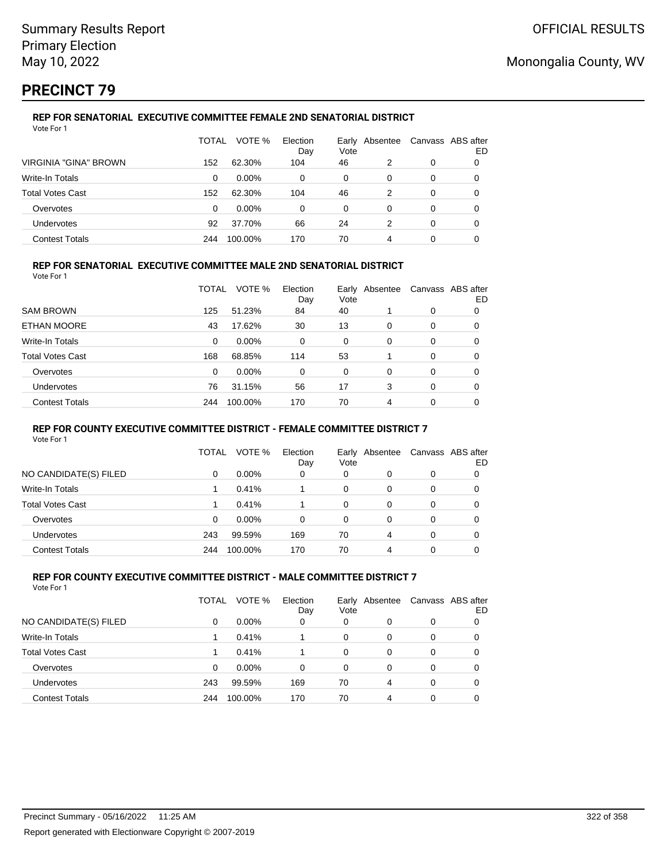# **PRECINCT 79**

#### **REP FOR SENATORIAL EXECUTIVE COMMITTEE FEMALE 2ND SENATORIAL DISTRICT** Vote For 1

|                              | TOTAL | VOTE %   | Election<br>Day | Vote | Early Absentee |   | Canvass ABS after<br>ED |
|------------------------------|-------|----------|-----------------|------|----------------|---|-------------------------|
| <b>VIRGINIA "GINA" BROWN</b> | 152   | 62.30%   | 104             | 46   | 2              | 0 |                         |
| Write-In Totals              | 0     | $0.00\%$ | 0               | 0    | 0              | 0 |                         |
| <b>Total Votes Cast</b>      | 152   | 62.30%   | 104             | 46   | 2              | 0 |                         |
| Overvotes                    | 0     | $0.00\%$ | 0               | 0    | 0              | 0 |                         |
| Undervotes                   | 92    | 37.70%   | 66              | 24   | 2              | 0 | 0                       |
| <b>Contest Totals</b>        | 244   | 100.00%  | 170             | 70   | 4              | 0 |                         |

### **REP FOR SENATORIAL EXECUTIVE COMMITTEE MALE 2ND SENATORIAL DISTRICT**

Vote For 1

|                         | TOTAL | VOTE %   | Election<br>Day | Early<br>Vote | Absentee |          | Canvass ABS after<br>ED |
|-------------------------|-------|----------|-----------------|---------------|----------|----------|-------------------------|
| <b>SAM BROWN</b>        | 125   | 51.23%   | 84              | 40            |          | 0        | 0                       |
| ETHAN MOORE             | 43    | 17.62%   | 30              | 13            | $\Omega$ | $\Omega$ | 0                       |
| Write-In Totals         | 0     | $0.00\%$ | $\Omega$        | 0             | $\Omega$ | $\Omega$ | 0                       |
| <b>Total Votes Cast</b> | 168   | 68.85%   | 114             | 53            |          | $\Omega$ | 0                       |
| Overvotes               | 0     | 0.00%    | 0               | $\Omega$      | $\Omega$ | $\Omega$ | 0                       |
| <b>Undervotes</b>       | 76    | 31.15%   | 56              | 17            | 3        | $\Omega$ | 0                       |
| <b>Contest Totals</b>   | 244   | 100.00%  | 170             | 70            | 4        | 0        | 0                       |

#### **REP FOR COUNTY EXECUTIVE COMMITTEE DISTRICT - FEMALE COMMITTEE DISTRICT 7**

Vote For 1

|                         | TOTAL | VOTE %   | Election<br>Day | Vote | Early Absentee | Canvass ABS after | ED |
|-------------------------|-------|----------|-----------------|------|----------------|-------------------|----|
| NO CANDIDATE(S) FILED   | 0     | $0.00\%$ | 0               | 0    | 0              | 0                 |    |
| Write-In Totals         |       | 0.41%    |                 | 0    | 0              | 0                 |    |
| <b>Total Votes Cast</b> |       | 0.41%    |                 | 0    | 0              | 0                 |    |
| Overvotes               | 0     | $0.00\%$ | 0               | 0    | 0              | 0                 |    |
| <b>Undervotes</b>       | 243   | 99.59%   | 169             | 70   | 4              | 0                 |    |
| <b>Contest Totals</b>   | 244   | 100.00%  | 170             | 70   | 4              | 0                 |    |

#### **REP FOR COUNTY EXECUTIVE COMMITTEE DISTRICT - MALE COMMITTEE DISTRICT 7** Vote For 1

|                         | TOTAL | VOTE %   | Election<br>Day | Early<br>Vote | Absentee | Canvass ABS after | ED |
|-------------------------|-------|----------|-----------------|---------------|----------|-------------------|----|
| NO CANDIDATE(S) FILED   | 0     | $0.00\%$ | 0               | 0             | 0        | 0                 |    |
| Write-In Totals         |       | 0.41%    |                 | 0             | 0        | 0                 |    |
| <b>Total Votes Cast</b> |       | 0.41%    |                 | 0             | 0        | 0                 | 0  |
| Overvotes               | 0     | 0.00%    | 0               | 0             | 0        | 0                 |    |
| Undervotes              | 243   | 99.59%   | 169             | 70            | 4        | 0                 |    |
| <b>Contest Totals</b>   | 244   | 100.00%  | 170             | 70            | 4        | 0                 |    |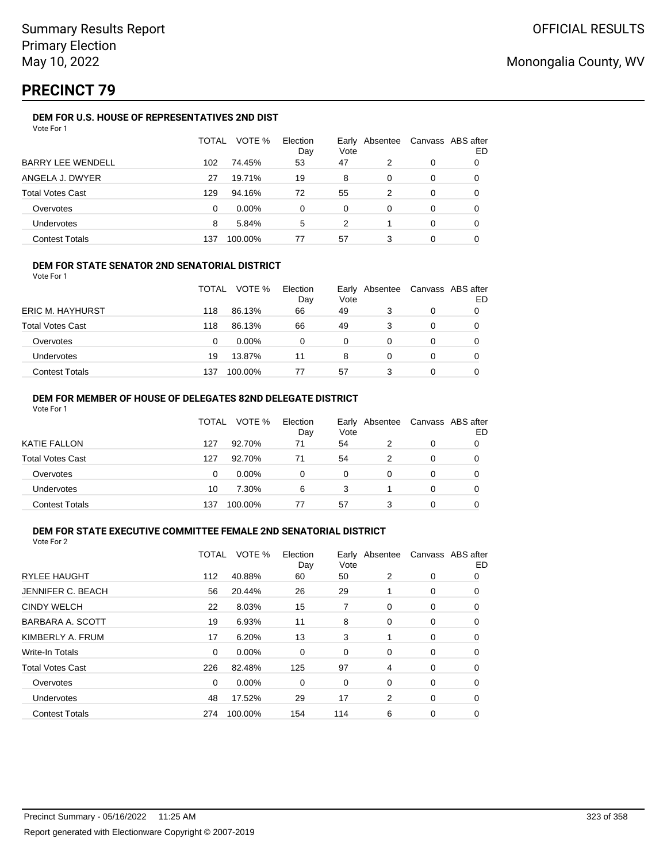# **PRECINCT 79**

### **DEM FOR U.S. HOUSE OF REPRESENTATIVES 2ND DIST**

|                          | TOTAL | VOTE %   | Election<br>Day | Vote | Early Absentee | Canvass ABS after | ED |
|--------------------------|-------|----------|-----------------|------|----------------|-------------------|----|
| <b>BARRY LEE WENDELL</b> | 102   | 74.45%   | 53              | 47   | 2              | 0                 |    |
| ANGELA J. DWYER          | 27    | 19.71%   | 19              | 8    | 0              | 0                 |    |
| <b>Total Votes Cast</b>  | 129   | 94.16%   | 72              | 55   | 2              | $\Omega$          |    |
| Overvotes                | 0     | $0.00\%$ | 0               | 0    | 0              | 0                 |    |
| Undervotes               | 8     | 5.84%    | 5               | 2    |                | 0                 |    |
| <b>Contest Totals</b>    | 137   | 100.00%  | 77              | 57   |                | 0                 |    |

### **DEM FOR STATE SENATOR 2ND SENATORIAL DISTRICT**

Vote For 1

|                         | <b>TOTAL</b> | VOTE %   | Election<br>Day | Vote | Early Absentee | Canvass ABS after<br>ED |
|-------------------------|--------------|----------|-----------------|------|----------------|-------------------------|
| <b>ERIC M. HAYHURST</b> | 118          | 86.13%   | 66              | 49   |                |                         |
| <b>Total Votes Cast</b> | 118          | 86.13%   | 66              | 49   | 3              |                         |
| Overvotes               | 0            | $0.00\%$ | 0               | 0    |                |                         |
| <b>Undervotes</b>       | 19           | 13.87%   | 11              | 8    |                |                         |
| <b>Contest Totals</b>   | 137          | 100.00%  | 77              | 57   |                |                         |

#### **DEM FOR MEMBER OF HOUSE OF DELEGATES 82ND DELEGATE DISTRICT** Vote For 1

|                         | TOTAL | VOTE %   | Election<br>Day | Vote | Early Absentee | Canvass ABS after | ED |
|-------------------------|-------|----------|-----------------|------|----------------|-------------------|----|
| KATIE FALLON            | 127   | 92.70%   | 71              | 54   | 2              | 0                 |    |
| <b>Total Votes Cast</b> | 127   | 92.70%   | 71              | 54   | 2              | 0                 |    |
| Overvotes               | 0     | $0.00\%$ | 0               | 0    | 0              | 0                 |    |
| Undervotes              | 10    | 7.30%    | 6               | 3    |                | 0                 |    |
| <b>Contest Totals</b>   | 137   | 100.00%  |                 | 57   |                | ი                 |    |

#### **DEM FOR STATE EXECUTIVE COMMITTEE FEMALE 2ND SENATORIAL DISTRICT** Vote For 2

|                          | TOTAL | VOTE %  | Election<br>Day | Vote | Early Absentee |          | Canvass ABS after<br>ED |
|--------------------------|-------|---------|-----------------|------|----------------|----------|-------------------------|
| <b>RYLEE HAUGHT</b>      | 112   | 40.88%  | 60              | 50   | 2              | 0        | 0                       |
| <b>JENNIFER C. BEACH</b> | 56    | 20.44%  | 26              | 29   |                | 0        | 0                       |
| <b>CINDY WELCH</b>       | 22    | 8.03%   | 15              | 7    | 0              | 0        | 0                       |
| BARBARA A. SCOTT         | 19    | 6.93%   | 11              | 8    | 0              | 0        | 0                       |
| KIMBERLY A. FRUM         | 17    | 6.20%   | 13              | 3    |                | 0        | 0                       |
| <b>Write-In Totals</b>   | 0     | 0.00%   | 0               | 0    | 0              | 0        | $\Omega$                |
| <b>Total Votes Cast</b>  | 226   | 82.48%  | 125             | 97   | 4              | $\Omega$ | $\Omega$                |
| Overvotes                | 0     | 0.00%   | 0               | 0    | 0              | 0        | 0                       |
| <b>Undervotes</b>        | 48    | 17.52%  | 29              | 17   | 2              | 0        | 0                       |
| <b>Contest Totals</b>    | 274   | 100.00% | 154             | 114  | 6              | 0        | 0                       |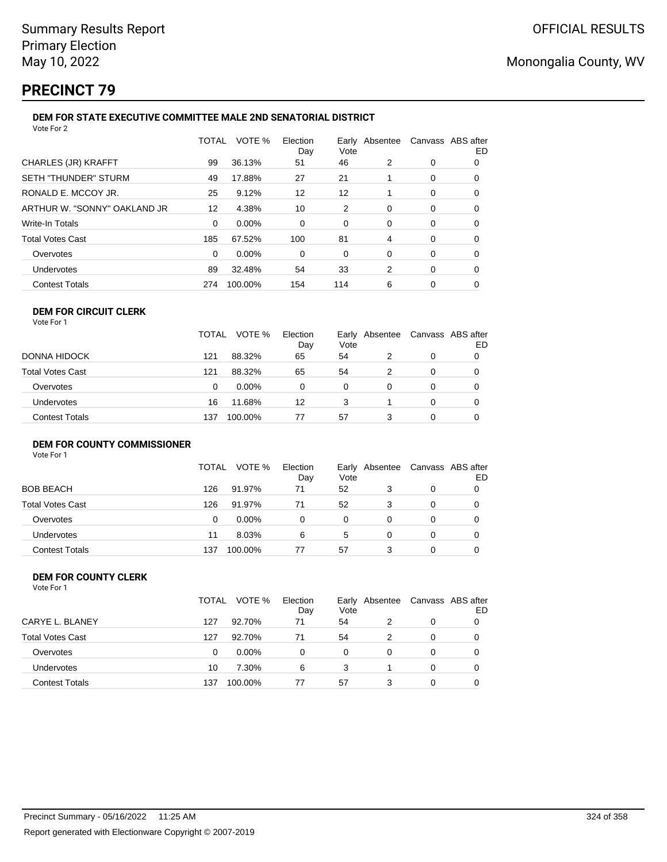after ED

# **PRECINCT 79**

## **DEM FOR STATE EXECUTIVE COMMITTEE MALE 2ND SENATORIAL DISTRICT**

| Vote For 2                   |          |         |                 |      |   |                                  |    |
|------------------------------|----------|---------|-----------------|------|---|----------------------------------|----|
|                              | TOTAL    | VOTE %  | Election<br>Day | Vote |   | Early Absentee Canvass ABS after | ED |
| CHARLES (JR) KRAFFT          | 99       | 36.13%  | 51              | 46   | 2 | 0                                | 0  |
| SETH "THUNDER" STURM         | 49       | 17.88%  | 27              | 21   |   | 0                                | 0  |
| RONALD E. MCCOY JR.          | 25       | 9.12%   | 12              | 12   |   | 0                                | 0  |
| ARTHUR W. "SONNY" OAKLAND JR | 12       | 4.38%   | 10              | 2    | 0 | 0                                | 0  |
| Write-In Totals              | $\Omega$ | 0.00%   | 0               | 0    | 0 | 0                                | 0  |
| <b>Total Votes Cast</b>      | 185      | 67.52%  | 100             | 81   | 4 | 0                                | 0  |
| Overvotes                    | $\Omega$ | 0.00%   | $\Omega$        | 0    | 0 | 0                                | 0  |
| Undervotes                   | 89       | 32.48%  | 54              | 33   | 2 | 0                                | 0  |
| <b>Contest Totals</b>        | 274      | 100.00% | 154             | 114  | 6 | 0                                | 0  |
|                              |          |         |                 |      |   |                                  |    |

#### **DEM FOR CIRCUIT CLERK** Vote For 1

|                         | <b>TOTAL</b> | VOTE %   | Election<br>Day | Vote | Early Absentee Canvass ABS aft |   |   |
|-------------------------|--------------|----------|-----------------|------|--------------------------------|---|---|
| DONNA HIDOCK            | 121          | 88.32%   | 65              | 54   | 2                              |   | 0 |
| <b>Total Votes Cast</b> | 121          | 88.32%   | 65              | 54   |                                | 0 |   |
| Overvotes               | 0            | $0.00\%$ | 0               | 0    | 0                              |   |   |
| <b>Undervotes</b>       | 16           | 11.68%   | 12              | 3    |                                | 0 |   |
| <b>Contest Totals</b>   | 137          | 100.00%  | 77              | 57   | 3                              | 0 |   |

## **DEM FOR COUNTY COMMISSIONER**

Vote For 1

|                       | <b>TOTAL</b> | VOTE %   | Election<br>Day | Vote | Early Absentee | Canvass ABS after | ED |
|-----------------------|--------------|----------|-----------------|------|----------------|-------------------|----|
| BOB BEACH             | 126          | 91.97%   | 71              | 52   |                | 0                 |    |
| Total Votes Cast      | 126          | 91.97%   | 71              | 52   |                | 0                 |    |
| Overvotes             | 0            | $0.00\%$ | 0               | 0    |                | 0                 |    |
| Undervotes            | 11           | 8.03%    | 6               | 5    | 0              | 0                 |    |
| <b>Contest Totals</b> | 137          | 100.00%  | 77              | 57   |                | 0                 |    |

#### **DEM FOR COUNTY CLERK** Vote For 1

|                         | TOTAL | VOTE %   | Election<br>Day | Vote | Early Absentee |   | Canvass ABS after<br>ED |
|-------------------------|-------|----------|-----------------|------|----------------|---|-------------------------|
| CARYE L. BLANEY         | 127   | 92.70%   | 71              | 54   |                | 0 |                         |
| <b>Total Votes Cast</b> | 127   | 92.70%   | 71              | 54   | 2              | 0 |                         |
| Overvotes               | 0     | $0.00\%$ | 0               | 0    | 0              | 0 | 0                       |
| Undervotes              | 10    | 7.30%    | 6               | 3    |                | 0 |                         |
| <b>Contest Totals</b>   | 137   | 100.00%  | 77              | 57   | 3              | 0 |                         |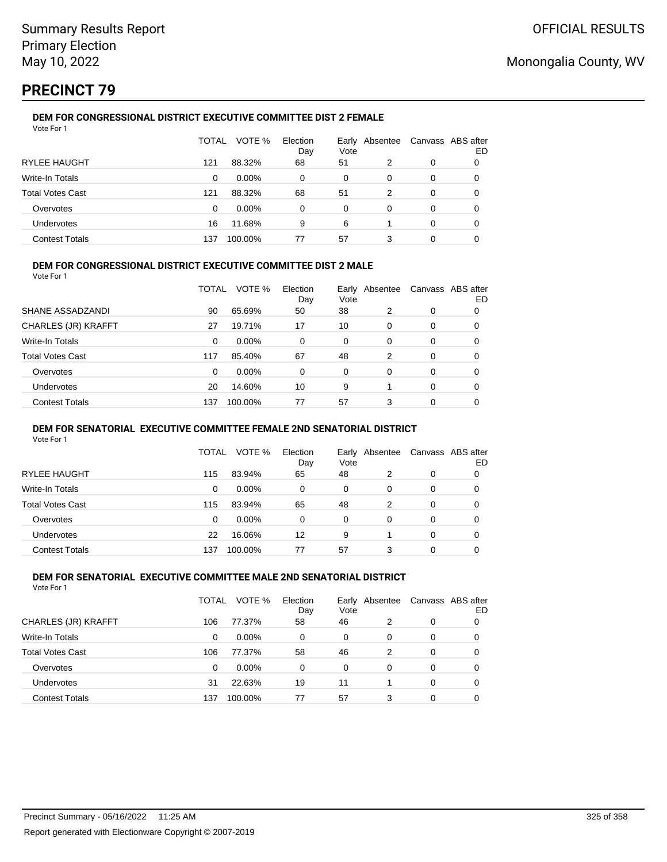## **PRECINCT 79**

#### **DEM FOR CONGRESSIONAL DISTRICT EXECUTIVE COMMITTEE DIST 2 FEMALE** Vote For 1

|                         | TOTAL | VOTE %   | Election<br>Day | Vote | Early Absentee |   | Canvass ABS after<br>ED |
|-------------------------|-------|----------|-----------------|------|----------------|---|-------------------------|
| <b>RYLEE HAUGHT</b>     | 121   | 88.32%   | 68              | 51   | 2              | 0 |                         |
| Write-In Totals         | 0     | $0.00\%$ | 0               | 0    | 0              | 0 |                         |
| <b>Total Votes Cast</b> | 121   | 88.32%   | 68              | 51   | 2              | 0 |                         |
| Overvotes               | 0     | $0.00\%$ | $\Omega$        | 0    | 0              | 0 | O                       |
| Undervotes              | 16    | 11.68%   | 9               | 6    |                | 0 | O                       |
| <b>Contest Totals</b>   | 137   | 100.00%  | 77              | 57   | 3              | 0 |                         |

### **DEM FOR CONGRESSIONAL DISTRICT EXECUTIVE COMMITTEE DIST 2 MALE**

Vote For 1

|                         | TOTAL | VOTE %   | Election<br>Day | Early<br>Vote | Absentee |          | Canvass ABS after<br>ED |
|-------------------------|-------|----------|-----------------|---------------|----------|----------|-------------------------|
| SHANE ASSADZANDI        | 90    | 65.69%   | 50              | 38            | 2        | 0        | 0                       |
| CHARLES (JR) KRAFFT     | 27    | 19.71%   | 17              | 10            | $\Omega$ | $\Omega$ | 0                       |
| Write-In Totals         | 0     | $0.00\%$ | 0               | $\Omega$      | $\Omega$ | $\Omega$ | 0                       |
| <b>Total Votes Cast</b> | 117   | 85.40%   | 67              | 48            | 2        | $\Omega$ | 0                       |
| Overvotes               | 0     | 0.00%    | 0               | $\Omega$      | 0        | $\Omega$ | 0                       |
| <b>Undervotes</b>       | 20    | 14.60%   | 10              | 9             |          | $\Omega$ | 0                       |
| <b>Contest Totals</b>   | 137   | 100.00%  | 77              | 57            | 3        | 0        | 0                       |

#### **DEM FOR SENATORIAL EXECUTIVE COMMITTEE FEMALE 2ND SENATORIAL DISTRICT**

Vote For 1

|                         | TOTAL | VOTE %   | Election<br>Day | Vote | Early Absentee | Canvass ABS after | ED |
|-------------------------|-------|----------|-----------------|------|----------------|-------------------|----|
| <b>RYLEE HAUGHT</b>     | 115   | 83.94%   | 65              | 48   | 2              | 0                 | 0  |
| Write-In Totals         | 0     | $0.00\%$ | 0               | 0    | 0              | 0                 | O  |
| <b>Total Votes Cast</b> | 115   | 83.94%   | 65              | 48   | 2              | 0                 |    |
| Overvotes               | 0     | $0.00\%$ | 0               | 0    | 0              | 0                 |    |
| Undervotes              | 22    | 16.06%   | 12              | 9    |                | 0                 | O  |
| <b>Contest Totals</b>   | 137   | 100.00%  | 77              | 57   | 3              | 0                 |    |

#### **DEM FOR SENATORIAL EXECUTIVE COMMITTEE MALE 2ND SENATORIAL DISTRICT** Vote For 1

|                         | TOTAL | VOTE %   | Election<br>Day | Early Absentee<br>Vote |   | Canvass ABS after | ED |
|-------------------------|-------|----------|-----------------|------------------------|---|-------------------|----|
| CHARLES (JR) KRAFFT     | 106   | 77.37%   | 58              | 46                     | 2 | 0                 |    |
| <b>Write-In Totals</b>  | 0     | $0.00\%$ | 0               | 0                      | 0 | 0                 | 0  |
| <b>Total Votes Cast</b> | 106   | 77.37%   | 58              | 46                     | 2 | 0                 |    |
| Overvotes               | 0     | 0.00%    | 0               | 0                      | 0 | 0                 |    |
| Undervotes              | 31    | 22.63%   | 19              | 11                     |   | 0                 |    |
| <b>Contest Totals</b>   | 137   | 100.00%  | 77              | 57                     | 3 | 0                 |    |
|                         |       |          |                 |                        |   |                   |    |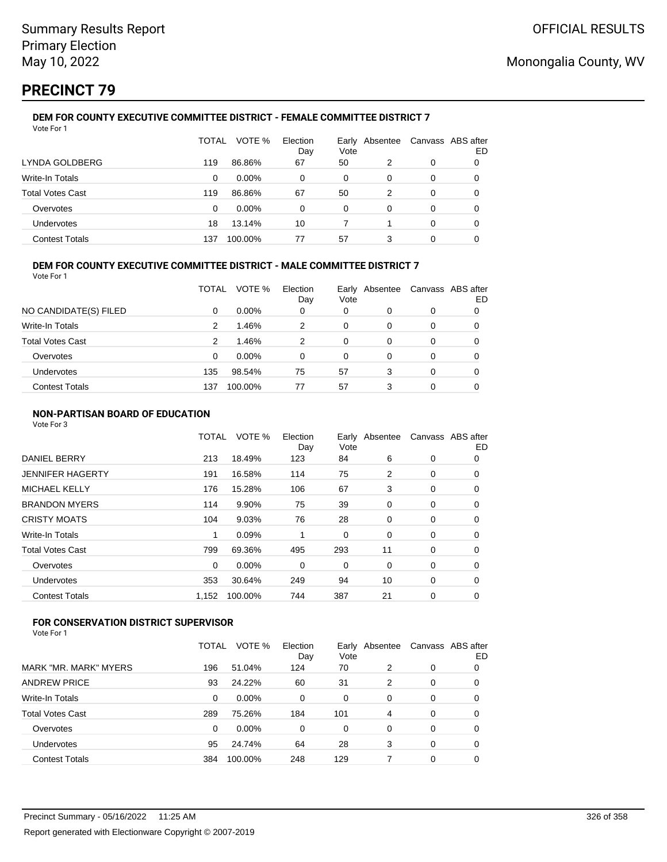## **PRECINCT 79**

#### **DEM FOR COUNTY EXECUTIVE COMMITTEE DISTRICT - FEMALE COMMITTEE DISTRICT 7** Vote For 1

|                         | TOTAL | VOTE %   | Election<br>Day | Vote     | Early Absentee |   | Canvass ABS after<br>ED |
|-------------------------|-------|----------|-----------------|----------|----------------|---|-------------------------|
| LYNDA GOLDBERG          | 119   | 86.86%   | 67              | 50       | 2              | 0 |                         |
| Write-In Totals         | 0     | $0.00\%$ | 0               | 0        | 0              | 0 | O                       |
| <b>Total Votes Cast</b> | 119   | 86.86%   | 67              | 50       | 2              | 0 | O                       |
| Overvotes               | 0     | $0.00\%$ | 0               | $\Omega$ | 0              | 0 |                         |
| <b>Undervotes</b>       | 18    | 13.14%   | 10              |          |                | 0 | 0                       |
| <b>Contest Totals</b>   | 137   | 100.00%  | 77              | 57       | 3              | 0 |                         |

### **DEM FOR COUNTY EXECUTIVE COMMITTEE DISTRICT - MALE COMMITTEE DISTRICT 7**

Vote For 1

|                         | TOTAL | VOTE %   | Election<br>Day | Vote | Early Absentee | Canvass ABS after | ED |
|-------------------------|-------|----------|-----------------|------|----------------|-------------------|----|
| NO CANDIDATE(S) FILED   | 0     | $0.00\%$ | 0               | 0    | 0              | 0                 |    |
| Write-In Totals         | 2     | 1.46%    | 2               | 0    | 0              | 0                 |    |
| <b>Total Votes Cast</b> | 2     | 1.46%    | 2               | 0    | 0              | 0                 |    |
| Overvotes               | 0     | $0.00\%$ | 0               | 0    | 0              | 0                 |    |
| Undervotes              | 135   | 98.54%   | 75              | 57   | 3              | 0                 |    |
| <b>Contest Totals</b>   | 137   | 100.00%  | 77              | 57   | 3              | 0                 |    |

### **NON-PARTISAN BOARD OF EDUCATION**

Vote For 3

|                       | TOTAL    | VOTE %  | Election<br>Day | Vote | Early Absentee | Canvass ABS after | ED |
|-----------------------|----------|---------|-----------------|------|----------------|-------------------|----|
| <b>DANIEL BERRY</b>   | 213      | 18.49%  | 123             | 84   | 6              | 0                 | 0  |
| JENNIFER HAGERTY      | 191      | 16.58%  | 114             | 75   | 2              | 0                 | 0  |
| <b>MICHAEL KELLY</b>  | 176      | 15.28%  | 106             | 67   | 3              | 0                 | 0  |
| <b>BRANDON MYERS</b>  | 114      | 9.90%   | 75              | 39   | 0              | 0                 | 0  |
| <b>CRISTY MOATS</b>   | 104      | 9.03%   | 76              | 28   | 0              | 0                 | 0  |
| Write-In Totals       | 1        | 0.09%   |                 | 0    | 0              | 0                 | 0  |
| Total Votes Cast      | 799      | 69.36%  | 495             | 293  | 11             | 0                 | 0  |
| Overvotes             | $\Omega$ | 0.00%   | 0               | 0    | 0              | 0                 | 0  |
| Undervotes            | 353      | 30.64%  | 249             | 94   | 10             | 0                 | 0  |
| <b>Contest Totals</b> | 1,152    | 100.00% | 744             | 387  | 21             | 0                 | 0  |
|                       |          |         |                 |      |                |                   |    |

## **FOR CONSERVATION DISTRICT SUPERVISOR**

| MARK "MR. MARK" MYERS<br>196<br>124<br>51.04%<br>70<br>2<br>0    | 0 |
|------------------------------------------------------------------|---|
|                                                                  |   |
| <b>ANDREW PRICE</b><br>24.22%<br>60<br>31<br>93<br>2<br>0        | 0 |
| Write-In Totals<br>0.00%<br>0<br>0<br>0<br>0<br>0                | 0 |
| <b>Total Votes Cast</b><br>289<br>75.26%<br>184<br>101<br>4<br>0 | 0 |
| 0.00%<br>$\Omega$<br>Overvotes<br>0<br>0<br>0<br>0               | 0 |
| 24.74%<br>64<br>28<br>Undervotes<br>95<br>3<br>0                 | 0 |
| 248<br>129<br><b>Contest Totals</b><br>100.00%<br>0<br>384       |   |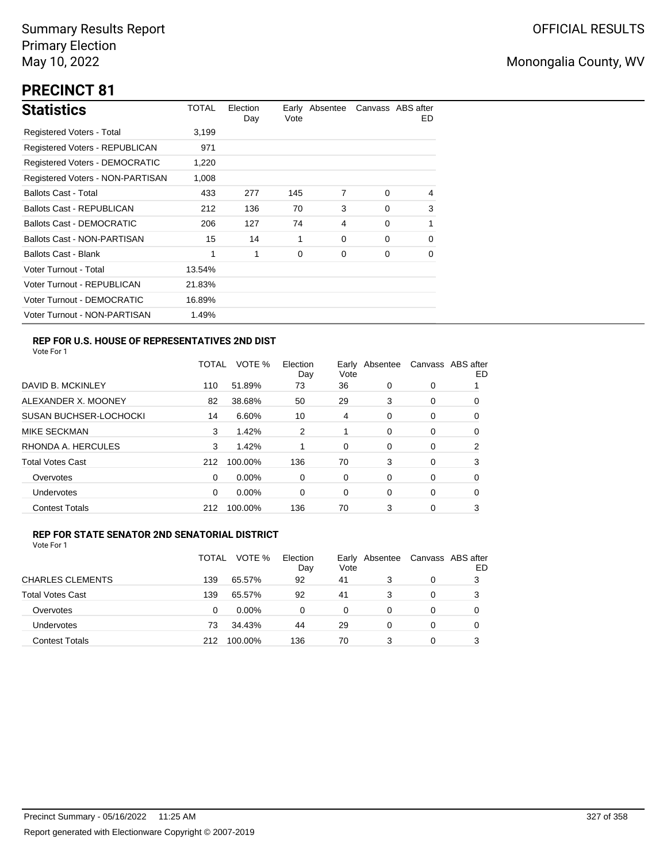## **PRECINCT 81**

| <b>Statistics</b>                     | TOTAL  | Election<br>Day | Vote | Early Absentee |          | Canvass ABS after<br>ED. |
|---------------------------------------|--------|-----------------|------|----------------|----------|--------------------------|
| Registered Voters - Total             | 3,199  |                 |      |                |          |                          |
| Registered Voters - REPUBLICAN        | 971    |                 |      |                |          |                          |
| <b>Registered Voters - DEMOCRATIC</b> | 1,220  |                 |      |                |          |                          |
| Registered Voters - NON-PARTISAN      | 1,008  |                 |      |                |          |                          |
| <b>Ballots Cast - Total</b>           | 433    | 277             | 145  | 7              | $\Omega$ | 4                        |
| Ballots Cast - REPUBLICAN             | 212    | 136             | 70   | 3              | $\Omega$ | 3                        |
| <b>Ballots Cast - DEMOCRATIC</b>      | 206    | 127             | 74   | 4              | $\Omega$ | 1                        |
| Ballots Cast - NON-PARTISAN           | 15     | 14              | 1    | 0              | $\Omega$ | $\Omega$                 |
| <b>Ballots Cast - Blank</b>           | 1      | 1               | 0    | 0              | 0        | 0                        |
| Voter Turnout - Total                 | 13.54% |                 |      |                |          |                          |
| Voter Turnout - REPUBLICAN            | 21.83% |                 |      |                |          |                          |
| Voter Turnout - DEMOCRATIC            | 16.89% |                 |      |                |          |                          |
| Voter Turnout - NON-PARTISAN          | 1.49%  |                 |      |                |          |                          |

### **REP FOR U.S. HOUSE OF REPRESENTATIVES 2ND DIST**

Vote For 1

|                               | <b>TOTAL</b> | VOTE %   | Election<br>Day | Early<br>Vote | Absentee |   | Canvass ABS after<br>ED |
|-------------------------------|--------------|----------|-----------------|---------------|----------|---|-------------------------|
| DAVID B. MCKINLEY             | 110          | 51.89%   | 73              | 36            | 0        | 0 |                         |
| ALEXANDER X. MOONEY           | 82           | 38.68%   | 50              | 29            | 3        | 0 | 0                       |
| <b>SUSAN BUCHSER-LOCHOCKI</b> | 14           | 6.60%    | 10              | 4             | 0        | 0 | 0                       |
| <b>MIKE SECKMAN</b>           | 3            | 1.42%    | 2               | 1             | 0        | 0 | 0                       |
| RHONDA A. HERCULES            | 3            | 1.42%    |                 | 0             | $\Omega$ | 0 | 2                       |
| <b>Total Votes Cast</b>       | 212          | 100.00%  | 136             | 70            | 3        | 0 | 3                       |
| Overvotes                     | 0            | 0.00%    | 0               | 0             | 0        | 0 | 0                       |
| Undervotes                    | 0            | $0.00\%$ | 0               | 0             | $\Omega$ | 0 | 0                       |
| <b>Contest Totals</b>         | 212          | 100.00%  | 136             | 70            | 3        | 0 | 3                       |

### **REP FOR STATE SENATOR 2ND SENATORIAL DISTRICT**

|                         | TOTAL | VOTE %   | Election<br>Day | Vote | Early Absentee | Canvass ABS after | ED |
|-------------------------|-------|----------|-----------------|------|----------------|-------------------|----|
| <b>CHARLES CLEMENTS</b> | 139   | 65.57%   | 92              | 41   |                | 0                 | 3  |
| <b>Total Votes Cast</b> | 139   | 65.57%   | 92              | 41   |                | 0                 | 3  |
| Overvotes               | 0     | $0.00\%$ | $\Omega$        | 0    | 0              | 0                 |    |
| Undervotes              | 73    | 34.43%   | 44              | 29   | 0              | $\Omega$          |    |
| <b>Contest Totals</b>   | 212   | 100.00%  | 136             | 70   |                | 0                 |    |
|                         |       |          |                 |      |                |                   |    |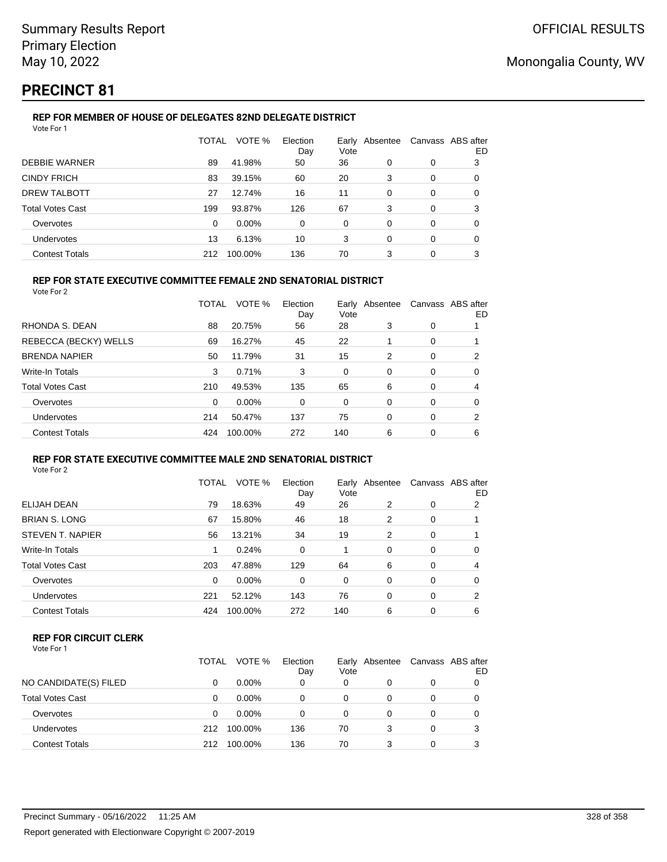## **PRECINCT 81**

## **REP FOR MEMBER OF HOUSE OF DELEGATES 82ND DELEGATE DISTRICT**

| Vote For 1              |          |          |                 |               |          |   |                         |
|-------------------------|----------|----------|-----------------|---------------|----------|---|-------------------------|
|                         | TOTAL    | VOTE %   | Election<br>Day | Early<br>Vote | Absentee |   | Canvass ABS after<br>ED |
| <b>DEBBIE WARNER</b>    | 89       | 41.98%   | 50              | 36            | 0        | 0 | 3                       |
| <b>CINDY FRICH</b>      | 83       | 39.15%   | 60              | 20            | 3        | 0 | 0                       |
| <b>DREW TALBOTT</b>     | 27       | 12.74%   | 16              | 11            | 0        | 0 | 0                       |
| <b>Total Votes Cast</b> | 199      | 93.87%   | 126             | 67            | 3        | 0 | 3                       |
| Overvotes               | $\Omega$ | $0.00\%$ | 0               | 0             | 0        | 0 | 0                       |
| Undervotes              | 13       | 6.13%    | 10              | 3             | 0        | 0 | 0                       |
| <b>Contest Totals</b>   | 212      | 100.00%  | 136             | 70            | 3        | 0 | 3                       |

## **REP FOR STATE EXECUTIVE COMMITTEE FEMALE 2ND SENATORIAL DISTRICT**

Vote For 2

|                         | TOTAL | VOTE %  | Election<br>Day | Vote | Early Absentee | Canvass ABS after | ED |
|-------------------------|-------|---------|-----------------|------|----------------|-------------------|----|
| RHONDA S. DEAN          | 88    | 20.75%  | 56              | 28   | 3              | 0                 |    |
| REBECCA (BECKY) WELLS   | 69    | 16.27%  | 45              | 22   |                | 0                 |    |
| <b>BRENDA NAPIER</b>    | 50    | 11.79%  | 31              | 15   | 2              | 0                 | 2  |
| Write-In Totals         | 3     | 0.71%   | 3               | 0    | 0              | 0                 | 0  |
| <b>Total Votes Cast</b> | 210   | 49.53%  | 135             | 65   | 6              | 0                 | 4  |
| Overvotes               | 0     | 0.00%   | 0               | 0    | $\Omega$       | 0                 | 0  |
| Undervotes              | 214   | 50.47%  | 137             | 75   | $\Omega$       | 0                 | 2  |
| <b>Contest Totals</b>   | 424   | 100.00% | 272             | 140  | 6              | 0                 | 6  |

#### **REP FOR STATE EXECUTIVE COMMITTEE MALE 2ND SENATORIAL DISTRICT** Vote For 2

|                         | TOTAL    | VOTE %  | Election<br>Day | Vote | Early Absentee |          | Canvass ABS after<br>ED |
|-------------------------|----------|---------|-----------------|------|----------------|----------|-------------------------|
| ELIJAH DEAN             | 79       | 18.63%  | 49              | 26   | 2              | 0        | 2                       |
| <b>BRIAN S. LONG</b>    | 67       | 15.80%  | 46              | 18   | 2              | 0        |                         |
| STEVEN T. NAPIER        | 56       | 13.21%  | 34              | 19   | 2              | 0        |                         |
| Write-In Totals         |          | 0.24%   | $\Omega$        |      | $\Omega$       | 0        | 0                       |
| <b>Total Votes Cast</b> | 203      | 47.88%  | 129             | 64   | 6              | $\Omega$ | 4                       |
| Overvotes               | $\Omega$ | 0.00%   | 0               | 0    | 0              | $\Omega$ | 0                       |
| Undervotes              | 221      | 52.12%  | 143             | 76   | $\Omega$       | $\Omega$ | 2                       |
| <b>Contest Totals</b>   | 424      | 100.00% | 272             | 140  | 6              | $\Omega$ | 6                       |

### **REP FOR CIRCUIT CLERK**

| Vote For 1 |  |
|------------|--|
|------------|--|

|                         | TOTAL | VOTE %   | Election<br>Day | Vote | Early Absentee |   | Canvass ABS after<br>ED |
|-------------------------|-------|----------|-----------------|------|----------------|---|-------------------------|
| NO CANDIDATE(S) FILED   | 0     | $0.00\%$ | 0               | 0    |                | 0 |                         |
| <b>Total Votes Cast</b> | 0     | $0.00\%$ | 0               | 0    |                | 0 |                         |
| Overvotes               | 0     | $0.00\%$ | ი               | 0    |                | 0 |                         |
| <b>Undervotes</b>       | 212   | 100.00%  | 136             | 70   | 3              | 0 |                         |
| <b>Contest Totals</b>   | 212   | 100.00%  | 136             | 70   | 3              |   |                         |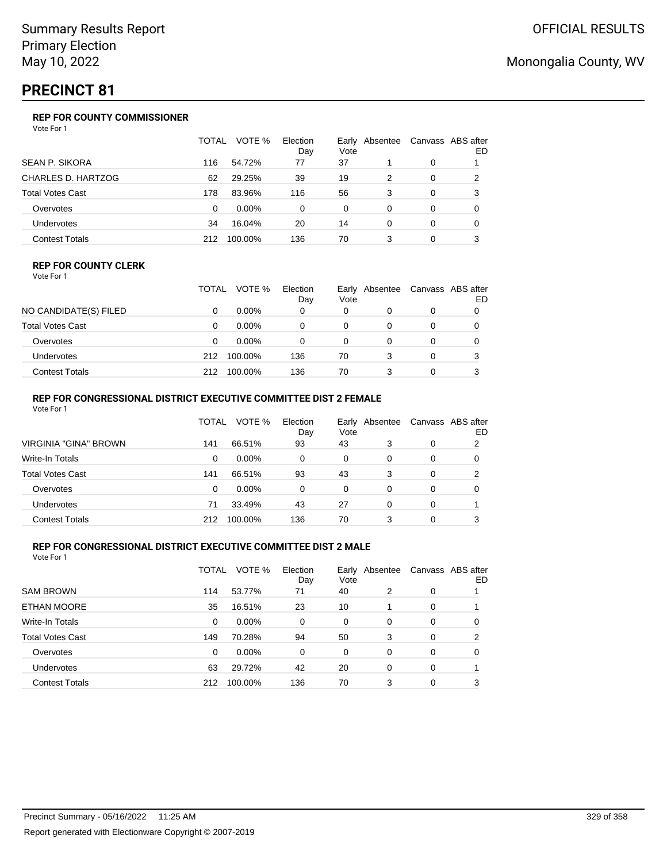## **PRECINCT 81**

## **REP FOR COUNTY COMMISSIONER**

Vote For 1

|                         | TOTAL | VOTE %   | Election<br>Day | Vote | Early Absentee |          | Canvass ABS after<br>ED |
|-------------------------|-------|----------|-----------------|------|----------------|----------|-------------------------|
| <b>SEAN P. SIKORA</b>   | 116   | 54.72%   | 77              | 37   |                | 0        |                         |
| CHARLES D. HARTZOG      | 62    | 29.25%   | 39              | 19   | 2              | 0        | 2                       |
| <b>Total Votes Cast</b> | 178   | 83.96%   | 116             | 56   | 3              | 0        | 3                       |
| Overvotes               | 0     | $0.00\%$ | 0               | 0    | 0              | 0        | 0                       |
| Undervotes              | 34    | 16.04%   | 20              | 14   | 0              | $\Omega$ | 0                       |
| <b>Contest Totals</b>   | 212   | 100.00%  | 136             | 70   | 3              | 0        | 3                       |

#### **REP FOR COUNTY CLERK**

Vote For 1

|                         | TOTAL | VOTE %   | Election<br>Day | Early<br>Vote | Absentee | Canvass ABS after<br>ED |
|-------------------------|-------|----------|-----------------|---------------|----------|-------------------------|
| NO CANDIDATE(S) FILED   |       | $0.00\%$ | 0               | 0             |          |                         |
| <b>Total Votes Cast</b> |       | $0.00\%$ |                 | 0             |          |                         |
| Overvotes               |       | $0.00\%$ | 0               | $\Omega$      |          |                         |
| Undervotes              | 212   | 100.00%  | 136             | 70            |          |                         |
| <b>Contest Totals</b>   | 212   | 100.00%  | 136             | 70            |          |                         |

### **REP FOR CONGRESSIONAL DISTRICT EXECUTIVE COMMITTEE DIST 2 FEMALE**

| Vote For 1              |       |          |                 |          |                |   |                         |
|-------------------------|-------|----------|-----------------|----------|----------------|---|-------------------------|
|                         | TOTAL | VOTE %   | Election<br>Day | Vote     | Early Absentee |   | Canvass ABS after<br>ED |
| VIRGINIA "GINA" BROWN   | 141   | 66.51%   | 93              | 43       | 3              | 0 | 2                       |
| Write-In Totals         | 0     | $0.00\%$ | 0               | 0        | 0              | 0 | 0                       |
| <b>Total Votes Cast</b> | 141   | 66.51%   | 93              | 43       | 3              | 0 | 2                       |
| Overvotes               | 0     | $0.00\%$ | $\Omega$        | $\Omega$ | 0              | 0 | O                       |
| <b>Undervotes</b>       | 71    | 33.49%   | 43              | 27       | 0              | 0 |                         |
| <b>Contest Totals</b>   | 212   | 100.00%  | 136             | 70       | 3              | 0 | 3                       |

### **REP FOR CONGRESSIONAL DISTRICT EXECUTIVE COMMITTEE DIST 2 MALE**

|                         | TOTAL | VOTE %  | Election<br>Day | Vote     | Early Absentee | Canvass ABS after | ED |
|-------------------------|-------|---------|-----------------|----------|----------------|-------------------|----|
| <b>SAM BROWN</b>        | 114   | 53.77%  | 71              | 40       | 2              | 0                 |    |
| ETHAN MOORE             | 35    | 16.51%  | 23              | 10       |                | 0                 |    |
| Write-In Totals         | 0     | 0.00%   | $\Omega$        | $\Omega$ | $\Omega$       | $\Omega$          | 0  |
| <b>Total Votes Cast</b> | 149   | 70.28%  | 94              | 50       | 3              | 0                 | 2  |
| Overvotes               | 0     | 0.00%   | $\Omega$        | 0        | 0              | $\Omega$          | 0  |
| <b>Undervotes</b>       | 63    | 29.72%  | 42              | 20       | 0              | 0                 |    |
| <b>Contest Totals</b>   | 212   | 100.00% | 136             | 70       | 3              | 0                 | 3  |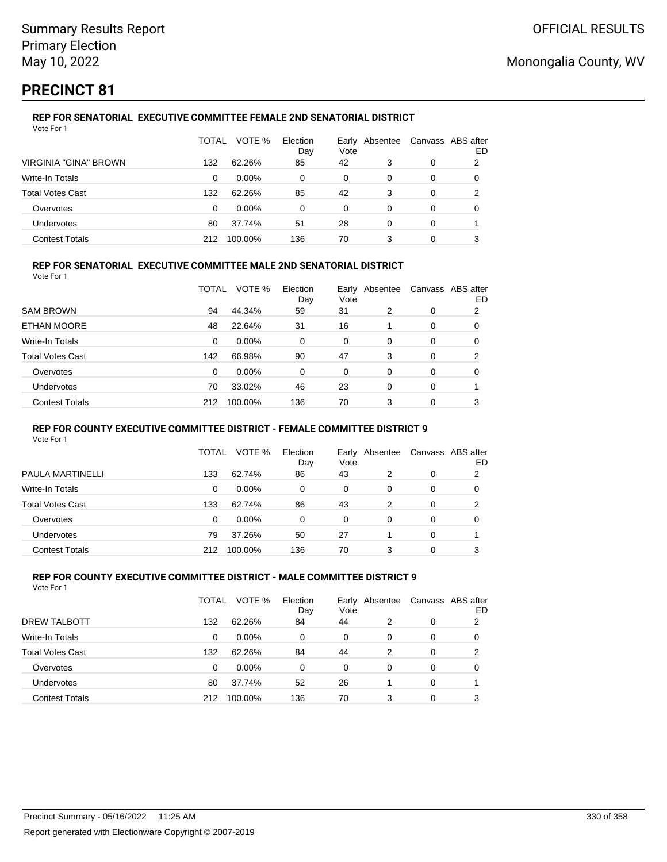## **PRECINCT 81**

#### **REP FOR SENATORIAL EXECUTIVE COMMITTEE FEMALE 2ND SENATORIAL DISTRICT** Vote For 1

|                              | TOTAL    | VOTE %   | Election<br>Day | Early Absentee<br>Vote |   | Canvass ABS after | ED |
|------------------------------|----------|----------|-----------------|------------------------|---|-------------------|----|
| <b>VIRGINIA "GINA" BROWN</b> | 132      | 62.26%   | 85              | 42                     | 3 | 0                 | 2  |
| Write-In Totals              | $\Omega$ | $0.00\%$ | 0               | 0                      | 0 | 0                 |    |
| <b>Total Votes Cast</b>      | 132      | 62.26%   | 85              | 42                     | 3 | 0                 | າ  |
| Overvotes                    | 0        | $0.00\%$ | 0               | 0                      | 0 | 0                 |    |
| Undervotes                   | 80       | 37.74%   | 51              | 28                     | 0 | 0                 |    |
| <b>Contest Totals</b>        | 212      | 100.00%  | 136             | 70                     | 3 | 0                 |    |

### **REP FOR SENATORIAL EXECUTIVE COMMITTEE MALE 2ND SENATORIAL DISTRICT**

Vote For 1

|                         | TOTAL | VOTE %  | Election<br>Day | Early<br>Vote | Absentee |          | Canvass ABS after<br>ED |
|-------------------------|-------|---------|-----------------|---------------|----------|----------|-------------------------|
| <b>SAM BROWN</b>        | 94    | 44.34%  | 59              | 31            | 2        | 0        | 2                       |
| ETHAN MOORE             | 48    | 22.64%  | 31              | 16            |          | $\Omega$ | 0                       |
| Write-In Totals         | 0     | 0.00%   | 0               | 0             | $\Omega$ | $\Omega$ | 0                       |
| <b>Total Votes Cast</b> | 142   | 66.98%  | 90              | 47            | 3        | $\Omega$ | 2                       |
| Overvotes               | 0     | 0.00%   | 0               | 0             | $\Omega$ | $\Omega$ | 0                       |
| <b>Undervotes</b>       | 70    | 33.02%  | 46              | 23            | $\Omega$ | $\Omega$ |                         |
| <b>Contest Totals</b>   | 212   | 100.00% | 136             | 70            | 3        | 0        | 3                       |

#### **REP FOR COUNTY EXECUTIVE COMMITTEE DISTRICT - FEMALE COMMITTEE DISTRICT 9**

Vote For 1

|                       | TOTAL | VOTE %   | Election<br>Day | Vote | Early Absentee | Canvass ABS after | ED |
|-----------------------|-------|----------|-----------------|------|----------------|-------------------|----|
| PAULA MARTINELLI      | 133   | 62.74%   | 86              | 43   | 2              | 0                 | 2  |
| Write-In Totals       | 0     | $0.00\%$ | 0               | 0    | 0              | 0                 | 0  |
| Total Votes Cast      | 133   | 62.74%   | 86              | 43   | 2              | 0                 | 2  |
| Overvotes             | 0     | 0.00%    | 0               | 0    | 0              | 0                 | O  |
| Undervotes            | 79    | 37.26%   | 50              | 27   |                | 0                 |    |
| <b>Contest Totals</b> | 212   | 100.00%  | 136             | 70   | 3              | 0                 | 3  |

#### **REP FOR COUNTY EXECUTIVE COMMITTEE DISTRICT - MALE COMMITTEE DISTRICT 9** Vote For 1

|                         | TOTAL | VOTE %   | Election<br>Day | Vote | Early Absentee | Canvass ABS after | ED |
|-------------------------|-------|----------|-----------------|------|----------------|-------------------|----|
| DREW TALBOTT            | 132   | 62.26%   | 84              | 44   | 2              | 0                 | 2  |
| <b>Write-In Totals</b>  | 0     | $0.00\%$ | 0               | 0    | 0              | 0                 | O  |
| <b>Total Votes Cast</b> | 132   | 62.26%   | 84              | 44   | 2              | 0                 | 2  |
| Overvotes               | 0     | $0.00\%$ | 0               | 0    | 0              | 0                 | O  |
| Undervotes              | 80    | 37.74%   | 52              | 26   |                | 0                 |    |
| <b>Contest Totals</b>   | 212   | 100.00%  | 136             | 70   | 3              | 0                 | 3  |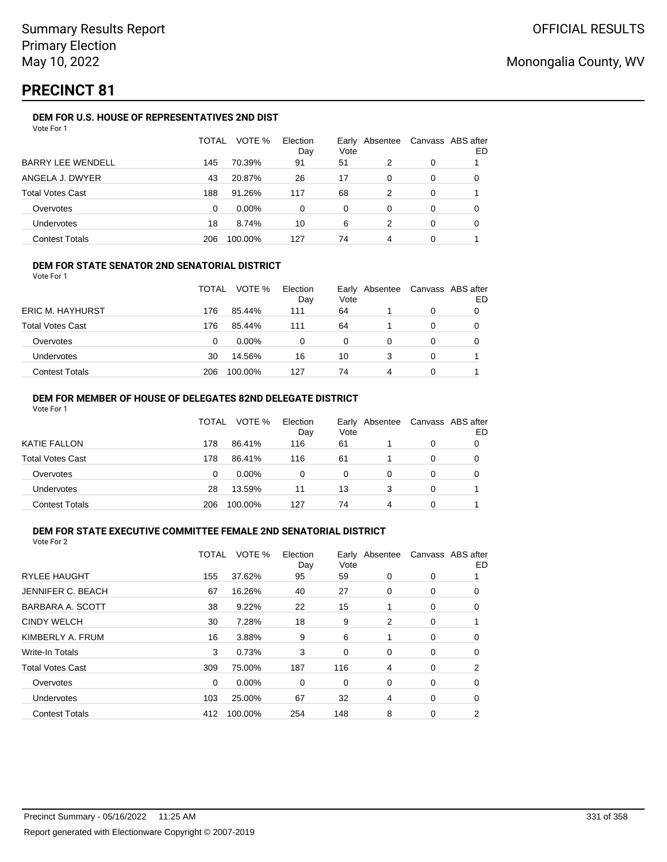## **PRECINCT 81**

### **DEM FOR U.S. HOUSE OF REPRESENTATIVES 2ND DIST**

|                          | TOTAL | VOTE %   | Election<br>Day | Early<br>Vote | Absentee |   | Canvass ABS after<br>ED |
|--------------------------|-------|----------|-----------------|---------------|----------|---|-------------------------|
| <b>BARRY LEE WENDELL</b> | 145   | 70.39%   | 91              | 51            | 2        | 0 |                         |
| ANGELA J. DWYER          | 43    | 20.87%   | 26              | 17            | $\Omega$ | 0 |                         |
| <b>Total Votes Cast</b>  | 188   | 91.26%   | 117             | 68            | 2        | 0 |                         |
| Overvotes                | 0     | $0.00\%$ | $\Omega$        | 0             | 0        | 0 | O                       |
| Undervotes               | 18    | 8.74%    | 10              | 6             | 2        | 0 |                         |
| <b>Contest Totals</b>    | 206   | 100.00%  | 127             | 74            | 4        | 0 |                         |

### **DEM FOR STATE SENATOR 2ND SENATORIAL DISTRICT**

Vote For 1

|                         | <b>TOTAL</b> | VOTE %   | Election<br>Day | Vote | Early Absentee | Canvass ABS after<br>ED |
|-------------------------|--------------|----------|-----------------|------|----------------|-------------------------|
| <b>ERIC M. HAYHURST</b> | 176          | 85.44%   | 111             | 64   |                |                         |
| <b>Total Votes Cast</b> | 176          | 85.44%   | 111             | 64   |                |                         |
| Overvotes               | 0            | $0.00\%$ | 0               | 0    |                |                         |
| <b>Undervotes</b>       | 30           | 14.56%   | 16              | 10   |                |                         |
| <b>Contest Totals</b>   | 206          | 100.00%  | 127             | 74   | 4              |                         |

#### **DEM FOR MEMBER OF HOUSE OF DELEGATES 82ND DELEGATE DISTRICT** Vote For 1

|                         | TOTAL | VOTE %   | Election<br>Day | Vote | Early Absentee | Canvass ABS after | ED |
|-------------------------|-------|----------|-----------------|------|----------------|-------------------|----|
| KATIE FALLON            | 178   | 86.41%   | 116             | 61   |                | 0                 |    |
| <b>Total Votes Cast</b> | 178   | 86.41%   | 116             | 61   |                | 0                 |    |
| Overvotes               | 0     | $0.00\%$ | 0               | 0    | 0              | 0                 |    |
| <b>Undervotes</b>       | 28    | 13.59%   | 11              | 13   | 3              | 0                 |    |
| <b>Contest Totals</b>   | 206   | 100.00%  | 127             | 74   | 4              | 0                 |    |

#### **DEM FOR STATE EXECUTIVE COMMITTEE FEMALE 2ND SENATORIAL DISTRICT** Vote For 2

|                         | TOTAL | VOTE %   | Election<br>Day | Vote | Early Absentee |   | Canvass ABS after<br>ED |
|-------------------------|-------|----------|-----------------|------|----------------|---|-------------------------|
| <b>RYLEE HAUGHT</b>     | 155   | 37.62%   | 95              | 59   | 0              | 0 |                         |
| JENNIFER C. BEACH       | 67    | 16.26%   | 40              | 27   | 0              | 0 | 0                       |
| BARBARA A. SCOTT        | 38    | 9.22%    | 22              | 15   | 1              | 0 | 0                       |
| <b>CINDY WELCH</b>      | 30    | 7.28%    | 18              | 9    | 2              | 0 |                         |
| KIMBERLY A. FRUM        | 16    | 3.88%    | 9               | 6    | 1              | 0 | 0                       |
| <b>Write-In Totals</b>  | 3     | 0.73%    | 3               | 0    | 0              | 0 | 0                       |
| <b>Total Votes Cast</b> | 309   | 75.00%   | 187             | 116  | 4              | 0 | 2                       |
| Overvotes               | 0     | $0.00\%$ | 0               | 0    | 0              | 0 | 0                       |
| Undervotes              | 103   | 25.00%   | 67              | 32   | 4              | 0 | 0                       |
| <b>Contest Totals</b>   | 412   | 100.00%  | 254             | 148  | 8              | 0 | 2                       |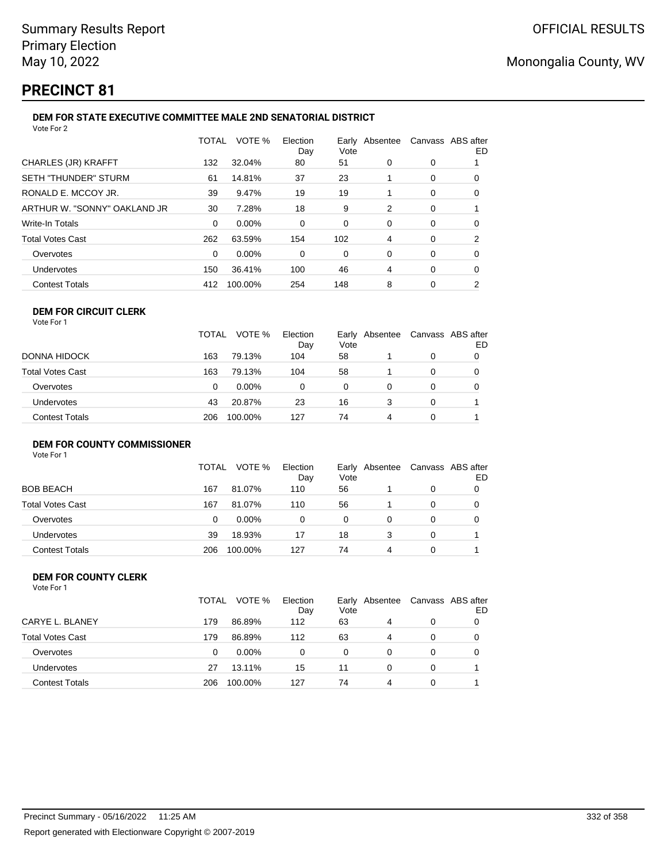## **PRECINCT 81**

#### **DEM FOR STATE EXECUTIVE COMMITTEE MALE 2ND SENATORIAL DISTRICT** Vote For 2

|                              | TOTAL    | VOTE %  | Election<br>Day | Early Absentee<br>Vote |   |   | Canvass ABS after<br>ED |
|------------------------------|----------|---------|-----------------|------------------------|---|---|-------------------------|
| CHARLES (JR) KRAFFT          | 132      | 32.04%  | 80              | 51                     | 0 | 0 |                         |
| SETH "THUNDER" STURM         | 61       | 14.81%  | 37              | 23                     |   | 0 | 0                       |
| RONALD E. MCCOY JR.          | 39       | 9.47%   | 19              | 19                     |   | 0 | 0                       |
| ARTHUR W. "SONNY" OAKLAND JR | 30       | 7.28%   | 18              | 9                      | 2 | 0 |                         |
| Write-In Totals              | $\Omega$ | 0.00%   | 0               | 0                      | 0 | 0 | 0                       |
| Total Votes Cast             | 262      | 63.59%  | 154             | 102                    | 4 | 0 | 2                       |
| Overvotes                    | $\Omega$ | 0.00%   | 0               | 0                      | 0 | 0 | 0                       |
| Undervotes                   | 150      | 36.41%  | 100             | 46                     | 4 | 0 | 0                       |
| <b>Contest Totals</b>        | 412      | 100.00% | 254             | 148                    | 8 | 0 | 2                       |
|                              |          |         |                 |                        |   |   |                         |

## **DEM FOR CIRCUIT CLERK**

| Vote For |  |
|----------|--|
|----------|--|

|                       | TOTAL | VOTE %  | Election<br>Day | Early<br>Vote | Absentee |   | Canvass ABS after<br>ED |
|-----------------------|-------|---------|-----------------|---------------|----------|---|-------------------------|
| DONNA HIDOCK          | 163   | 79.13%  | 104             | 58            |          | 0 | 0                       |
| Total Votes Cast      | 163   | 79.13%  | 104             | 58            |          | 0 | 0                       |
| Overvotes             | 0     | 0.00%   | 0               | 0             | 0        | 0 | 0                       |
| Undervotes            | 43    | 20.87%  | 23              | 16            | 3        | 0 |                         |
| <b>Contest Totals</b> | 206   | 100.00% | 127             | 74            | 4        | 0 |                         |

## **DEM FOR COUNTY COMMISSIONER**

Vote For 1

|                       | TOTAL | VOTE %   | Election<br>Day | Early Absentee<br>Vote |   | Canvass ABS after | ED |
|-----------------------|-------|----------|-----------------|------------------------|---|-------------------|----|
| <b>BOB BEACH</b>      | 167   | 81.07%   | 110             | 56                     |   | 0                 |    |
| Total Votes Cast      | 167   | 81.07%   | 110             | 56                     |   | 0                 |    |
| Overvotes             | 0     | $0.00\%$ | 0               | 0                      |   | 0                 |    |
| Undervotes            | 39    | 18.93%   | 17              | 18                     |   | 0                 |    |
| <b>Contest Totals</b> | 206   | 100.00%  | 127             | 74                     | 4 | 0                 |    |

#### **DEM FOR COUNTY CLERK** Vote For 1

|                         | TOTAL | VOTE %   | Election<br>Day | Early Absentee<br>Vote |   |   | Canvass ABS after<br>ED |
|-------------------------|-------|----------|-----------------|------------------------|---|---|-------------------------|
| CARYE L. BLANEY         | 179   | 86.89%   | 112             | 63                     | 4 | 0 |                         |
| <b>Total Votes Cast</b> | 179   | 86.89%   | 112             | 63                     | 4 | 0 |                         |
| Overvotes               | 0     | $0.00\%$ | 0               | 0                      | 0 | 0 |                         |
| <b>Undervotes</b>       | 27    | 13.11%   | 15              | 11                     | 0 | 0 |                         |
| <b>Contest Totals</b>   | 206   | 100.00%  | 127             | 74                     | 4 |   |                         |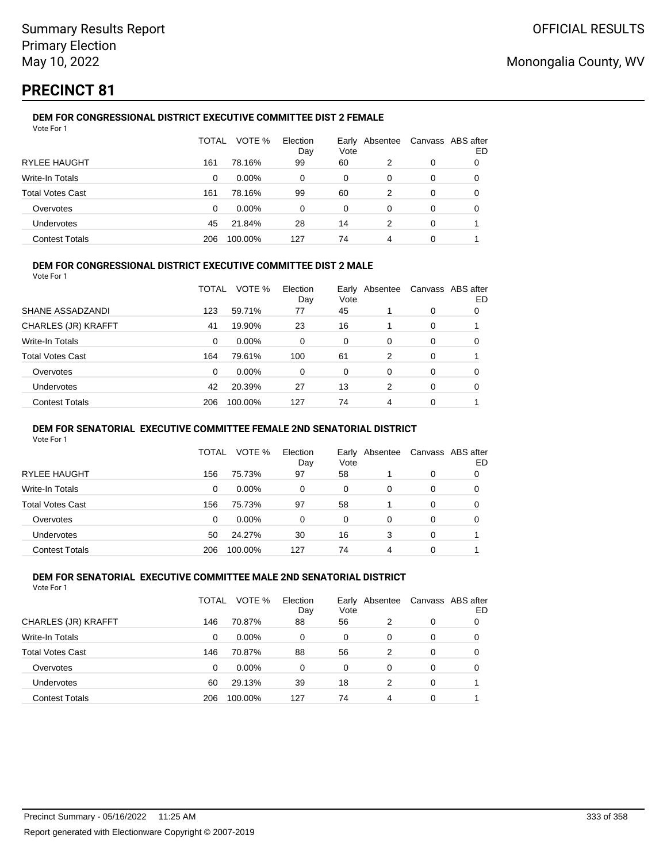## **PRECINCT 81**

#### **DEM FOR CONGRESSIONAL DISTRICT EXECUTIVE COMMITTEE DIST 2 FEMALE** Vote For 1

|                         | TOTAL | VOTE %   | Election<br>Day | Early<br>Vote | Absentee |   | Canvass ABS after<br>ED |
|-------------------------|-------|----------|-----------------|---------------|----------|---|-------------------------|
| <b>RYLEE HAUGHT</b>     | 161   | 78.16%   | 99              | 60            | 2        | 0 |                         |
| Write-In Totals         | 0     | $0.00\%$ | 0               | 0             | 0        | 0 |                         |
| <b>Total Votes Cast</b> | 161   | 78.16%   | 99              | 60            | 2        | 0 | 0                       |
| Overvotes               | 0     | $0.00\%$ | 0               | 0             | 0        | 0 | O                       |
| <b>Undervotes</b>       | 45    | 21.84%   | 28              | 14            | 2        | 0 |                         |
| <b>Contest Totals</b>   | 206   | 100.00%  | 127             | 74            | 4        | 0 |                         |

### **DEM FOR CONGRESSIONAL DISTRICT EXECUTIVE COMMITTEE DIST 2 MALE**

Vote For 1

|                         | TOTAL | VOTE %   | Election<br>Day | Early<br>Vote | Absentee |          | Canvass ABS after<br>ED |
|-------------------------|-------|----------|-----------------|---------------|----------|----------|-------------------------|
| SHANE ASSADZANDI        | 123   | 59.71%   | 77              | 45            |          | $\Omega$ | 0                       |
| CHARLES (JR) KRAFFT     | 41    | 19.90%   | 23              | 16            |          | $\Omega$ |                         |
| Write-In Totals         | 0     | $0.00\%$ | 0               | $\Omega$      | 0        | $\Omega$ | 0                       |
| <b>Total Votes Cast</b> | 164   | 79.61%   | 100             | 61            | 2        | $\Omega$ |                         |
| Overvotes               | 0     | $0.00\%$ | 0               | $\Omega$      | 0        | $\Omega$ | 0                       |
| <b>Undervotes</b>       | 42    | 20.39%   | 27              | 13            | 2        | $\Omega$ | 0                       |
| <b>Contest Totals</b>   | 206   | 100.00%  | 127             | 74            | 4        | 0        |                         |

#### **DEM FOR SENATORIAL EXECUTIVE COMMITTEE FEMALE 2ND SENATORIAL DISTRICT**

Vote For 1

|                         | TOTAL | VOTE %   | Election<br>Day | Vote | Early Absentee | Canvass ABS after | ED |
|-------------------------|-------|----------|-----------------|------|----------------|-------------------|----|
| RYLEE HAUGHT            | 156   | 75.73%   | 97              | 58   |                | 0                 |    |
| Write-In Totals         | 0     | $0.00\%$ | 0               | 0    | 0              | 0                 |    |
| <b>Total Votes Cast</b> | 156   | 75.73%   | 97              | 58   |                | 0                 | O  |
| Overvotes               | 0     | $0.00\%$ | 0               | 0    | 0              | 0                 |    |
| Undervotes              | 50    | 24.27%   | 30              | 16   | 3              | 0                 |    |
| <b>Contest Totals</b>   | 206   | 100.00%  | 127             | 74   | 4              | 0                 |    |

#### **DEM FOR SENATORIAL EXECUTIVE COMMITTEE MALE 2ND SENATORIAL DISTRICT** Vote For 1

|                         | TOTAL | VOTE %   | Election<br>Day | Vote | Early Absentee | Canvass ABS after | ED |
|-------------------------|-------|----------|-----------------|------|----------------|-------------------|----|
| CHARLES (JR) KRAFFT     | 146   | 70.87%   | 88              | 56   | 2              | 0                 | O  |
| Write-In Totals         | 0     | $0.00\%$ | 0               | 0    | 0              | 0                 | O  |
| <b>Total Votes Cast</b> | 146   | 70.87%   | 88              | 56   | 2              | 0                 | 0  |
| Overvotes               | 0     | $0.00\%$ | 0               | 0    | 0              | 0                 | 0  |
| Undervotes              | 60    | 29.13%   | 39              | 18   | 2              | 0                 |    |
| <b>Contest Totals</b>   | 206   | 100.00%  | 127             | 74   | 4              | 0                 |    |
|                         |       |          |                 |      |                |                   |    |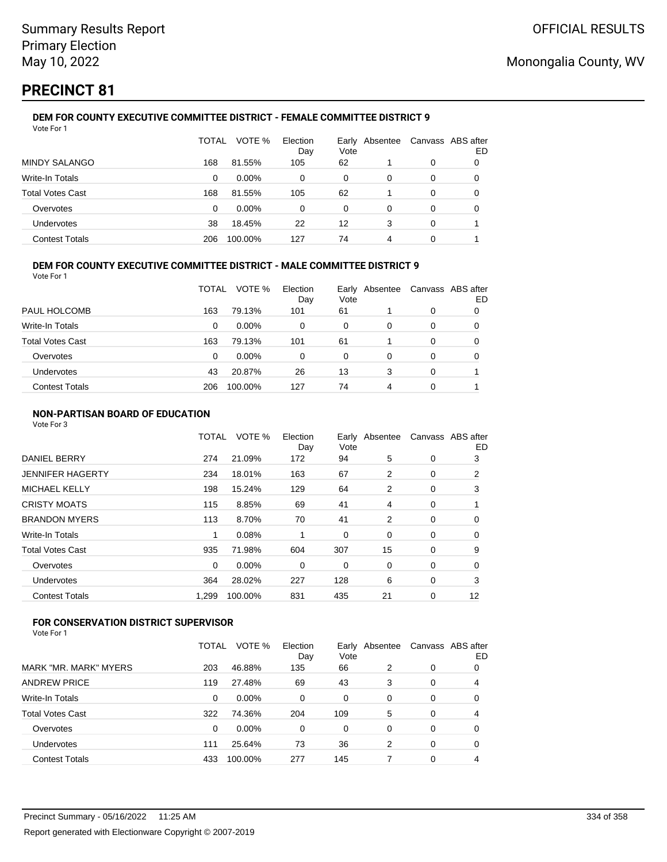## **PRECINCT 81**

#### **DEM FOR COUNTY EXECUTIVE COMMITTEE DISTRICT - FEMALE COMMITTEE DISTRICT 9** Vote For 1

|                         | TOTAL | VOTE %   | Election<br>Day | Vote     | Early Absentee |   | Canvass ABS after<br>ED |
|-------------------------|-------|----------|-----------------|----------|----------------|---|-------------------------|
| <b>MINDY SALANGO</b>    | 168   | 81.55%   | 105             | 62       |                | 0 |                         |
| Write-In Totals         | 0     | $0.00\%$ | 0               | 0        | 0              | 0 | O                       |
| <b>Total Votes Cast</b> | 168   | 81.55%   | 105             | 62       |                | 0 | O                       |
| Overvotes               | 0     | $0.00\%$ | 0               | $\Omega$ | 0              | 0 |                         |
| Undervotes              | 38    | 18.45%   | 22              | 12       | 3              | 0 |                         |
| <b>Contest Totals</b>   | 206   | 100.00%  | 127             | 74       | 4              | 0 |                         |

### **DEM FOR COUNTY EXECUTIVE COMMITTEE DISTRICT - MALE COMMITTEE DISTRICT 9**

Vote For 1

|                         | TOTAL | VOTE %   | Election<br>Day | Vote | Early Absentee | Canvass ABS after | ED |
|-------------------------|-------|----------|-----------------|------|----------------|-------------------|----|
| PAUL HOLCOMB            | 163   | 79.13%   | 101             | 61   |                | 0                 | 0  |
| Write-In Totals         | 0     | $0.00\%$ | 0               | 0    | 0              | 0                 | O  |
| <b>Total Votes Cast</b> | 163   | 79.13%   | 101             | 61   |                | 0                 |    |
| Overvotes               | 0     | $0.00\%$ | 0               | 0    | 0              | 0                 | O  |
| <b>Undervotes</b>       | 43    | 20.87%   | 26              | 13   | 3              | 0                 |    |
| <b>Contest Totals</b>   | 206   | 100.00%  | 127             | 74   | 4              | 0                 |    |

### **NON-PARTISAN BOARD OF EDUCATION**

Vote For 3

|                       | TOTAL    | VOTE %  | Election<br>Day | Vote | Early Absentee | Canvass ABS after | ED |
|-----------------------|----------|---------|-----------------|------|----------------|-------------------|----|
| <b>DANIEL BERRY</b>   | 274      | 21.09%  | 172             | 94   | 5              | 0                 | 3  |
| JENNIFER HAGERTY      | 234      | 18.01%  | 163             | 67   | 2              | 0                 | 2  |
| <b>MICHAEL KELLY</b>  | 198      | 15.24%  | 129             | 64   | $\overline{2}$ | 0                 | 3  |
| CRISTY MOATS          | 115      | 8.85%   | 69              | 41   | 4              | 0                 |    |
| <b>BRANDON MYERS</b>  | 113      | 8.70%   | 70              | 41   | 2              | 0                 | 0  |
| Write-In Totals       | 1        | 0.08%   |                 | 0    | 0              | 0                 | 0  |
| Total Votes Cast      | 935      | 71.98%  | 604             | 307  | 15             | 0                 | 9  |
| Overvotes             | $\Omega$ | 0.00%   | 0               | 0    | 0              | 0                 | 0  |
| Undervotes            | 364      | 28.02%  | 227             | 128  | 6              | 0                 | 3  |
| <b>Contest Totals</b> | 1,299    | 100.00% | 831             | 435  | 21             | 0                 | 12 |
|                       |          |         |                 |      |                |                   |    |

## **FOR CONSERVATION DISTRICT SUPERVISOR**

| MARK "MR. MARK" MYERS<br>203<br>66<br>46.88%<br>135<br>2<br>0<br><b>ANDREW PRICE</b><br>27.48%<br>69<br>43<br>119<br>3<br>0<br>Write-In Totals<br>0.00%<br>0<br>0<br>0<br>0<br>0<br><b>Total Votes Cast</b><br>74.36%<br>204<br>109<br>322<br>5<br>0 |   |
|------------------------------------------------------------------------------------------------------------------------------------------------------------------------------------------------------------------------------------------------------|---|
|                                                                                                                                                                                                                                                      | 0 |
|                                                                                                                                                                                                                                                      | 4 |
|                                                                                                                                                                                                                                                      | 0 |
|                                                                                                                                                                                                                                                      | 4 |
| $0.00\%$<br>Overvotes<br>0<br>0<br>0<br>0<br>0                                                                                                                                                                                                       | 0 |
| 73<br>36<br>Undervotes<br>25.64%<br>2<br>0<br>111                                                                                                                                                                                                    | 0 |
| <b>Contest Totals</b><br>277<br>145<br>100.00%<br>433<br>0                                                                                                                                                                                           | 4 |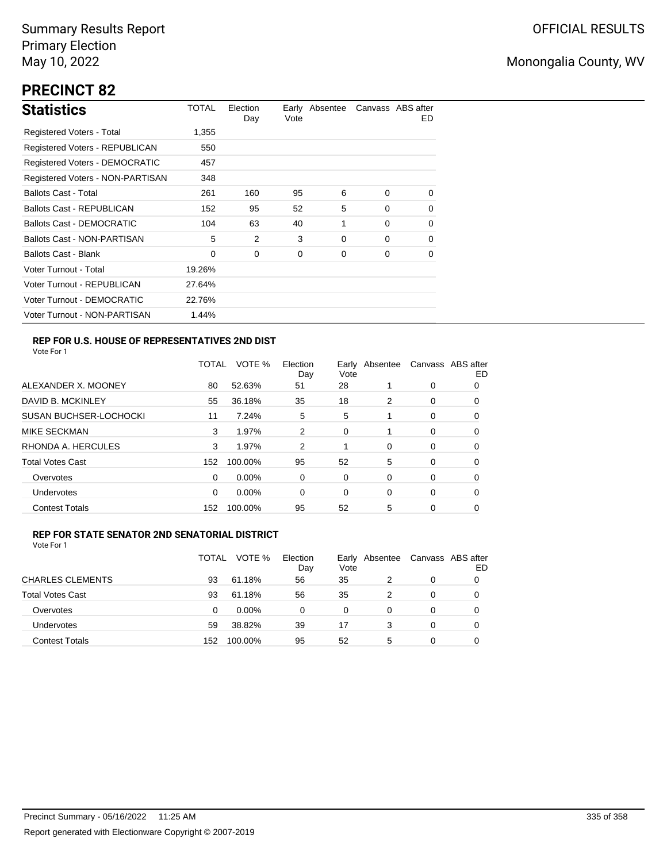# **PRECINCT 82**

| <b>Statistics</b>                     | TOTAL  | Election<br>Day | Vote | Early Absentee |          | Canvass ABS after<br>ED. |
|---------------------------------------|--------|-----------------|------|----------------|----------|--------------------------|
| Registered Voters - Total             | 1,355  |                 |      |                |          |                          |
| Registered Voters - REPUBLICAN        | 550    |                 |      |                |          |                          |
| <b>Registered Voters - DEMOCRATIC</b> | 457    |                 |      |                |          |                          |
| Registered Voters - NON-PARTISAN      | 348    |                 |      |                |          |                          |
| <b>Ballots Cast - Total</b>           | 261    | 160             | 95   | 6              | $\Omega$ | $\Omega$                 |
| <b>Ballots Cast - REPUBLICAN</b>      | 152    | 95              | 52   | 5              | $\Omega$ | 0                        |
| <b>Ballots Cast - DEMOCRATIC</b>      | 104    | 63              | 40   | 1              | $\Omega$ | 0                        |
| Ballots Cast - NON-PARTISAN           | 5      | 2               | 3    | 0              | $\Omega$ | 0                        |
| Ballots Cast - Blank                  | 0      | 0               | 0    | 0              | $\Omega$ | 0                        |
| Voter Turnout - Total                 | 19.26% |                 |      |                |          |                          |
| Voter Turnout - REPUBLICAN            | 27.64% |                 |      |                |          |                          |
| Voter Turnout - DEMOCRATIC            | 22.76% |                 |      |                |          |                          |
| Voter Turnout - NON-PARTISAN          | 1.44%  |                 |      |                |          |                          |

## **REP FOR U.S. HOUSE OF REPRESENTATIVES 2ND DIST**

Vote For 1

|                               | TOTAL | VOTE %   | Election<br>Day | Earlv<br>Vote | Absentee |          | Canvass ABS after<br>ED |
|-------------------------------|-------|----------|-----------------|---------------|----------|----------|-------------------------|
| ALEXANDER X. MOONEY           | 80    | 52.63%   | 51              | 28            |          | 0        | O                       |
| DAVID B. MCKINLEY             | 55    | 36.18%   | 35              | 18            | 2        | 0        | O                       |
| <b>SUSAN BUCHSER-LOCHOCKI</b> | 11    | 7.24%    | 5               | 5             |          | 0        | 0                       |
| <b>MIKE SECKMAN</b>           | 3     | 1.97%    | 2               | 0             | 1        | 0        | 0                       |
| RHONDA A. HERCULES            | 3     | 1.97%    | 2               |               | 0        | $\Omega$ | 0                       |
| <b>Total Votes Cast</b>       | 152   | 100.00%  | 95              | 52            | 5        | 0        | 0                       |
| Overvotes                     | 0     | $0.00\%$ | 0               | 0             | 0        | 0        | 0                       |
| <b>Undervotes</b>             | 0     | $0.00\%$ | 0               | 0             | 0        | 0        | 0                       |
| <b>Contest Totals</b>         | 152   | 100.00%  | 95              | 52            | 5        | 0        | 0                       |

#### **REP FOR STATE SENATOR 2ND SENATORIAL DISTRICT**

|                         | TOTAL | VOTE %   | Election<br>Day | Early<br>Vote | Absentee | Canvass ABS after | ED |
|-------------------------|-------|----------|-----------------|---------------|----------|-------------------|----|
| <b>CHARLES CLEMENTS</b> | 93    | 61.18%   | 56              | 35            |          | 0                 |    |
| <b>Total Votes Cast</b> | 93    | 61.18%   | 56              | 35            |          | 0                 |    |
| Overvotes               | 0     | $0.00\%$ | 0               | 0             | $\Omega$ | 0                 |    |
| <b>Undervotes</b>       | 59    | 38.82%   | 39              | 17            | 3        | 0                 |    |
| <b>Contest Totals</b>   | 152   | 100.00%  | 95              | 52            | 5        | 0                 |    |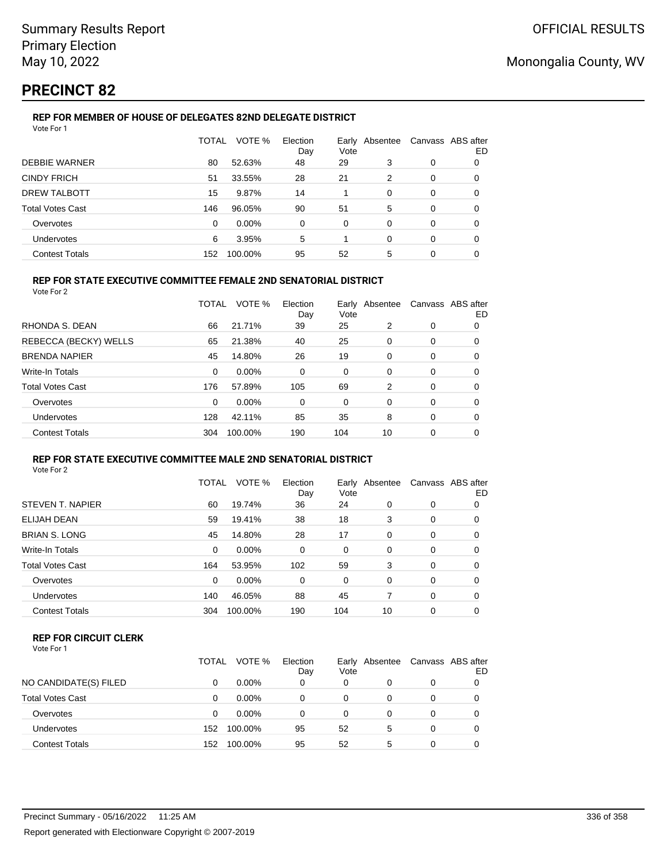## **PRECINCT 82**

## **REP FOR MEMBER OF HOUSE OF DELEGATES 82ND DELEGATE DISTRICT**

| Vote For 1              |          |         |                 |      |                |                   |    |
|-------------------------|----------|---------|-----------------|------|----------------|-------------------|----|
|                         | TOTAL    | VOTE %  | Election<br>Day | Vote | Early Absentee | Canvass ABS after | ED |
| <b>DEBBIE WARNER</b>    | 80       | 52.63%  | 48              | 29   | 3              | 0                 | 0  |
| <b>CINDY FRICH</b>      | 51       | 33.55%  | 28              | 21   | 2              | 0                 | 0  |
| <b>DREW TALBOTT</b>     | 15       | 9.87%   | 14              |      | 0              | 0                 | 0  |
| <b>Total Votes Cast</b> | 146      | 96.05%  | 90              | 51   | 5              | 0                 | 0  |
| Overvotes               | $\Omega$ | 0.00%   | $\Omega$        | 0    | 0              | 0                 | 0  |
| <b>Undervotes</b>       | 6        | 3.95%   | 5               |      | 0              | 0                 | 0  |
| <b>Contest Totals</b>   | 152      | 100.00% | 95              | 52   | 5              | 0                 | 0  |

## **REP FOR STATE EXECUTIVE COMMITTEE FEMALE 2ND SENATORIAL DISTRICT**

Vote For 2

|                         | TOTAL    | VOTE %   | Election<br>Day | Vote | Early Absentee | Canvass ABS after | ED |
|-------------------------|----------|----------|-----------------|------|----------------|-------------------|----|
| RHONDA S. DEAN          | 66       | 21.71%   | 39              | 25   | 2              | 0                 | 0  |
| REBECCA (BECKY) WELLS   | 65       | 21.38%   | 40              | 25   | 0              | 0                 | 0  |
| <b>BRENDA NAPIER</b>    | 45       | 14.80%   | 26              | 19   | 0              | 0                 | 0  |
| Write-In Totals         | $\Omega$ | $0.00\%$ | 0               | 0    | 0              | 0                 | 0  |
| <b>Total Votes Cast</b> | 176      | 57.89%   | 105             | 69   | 2              | 0                 | 0  |
| Overvotes               | $\Omega$ | $0.00\%$ | 0               | 0    | $\Omega$       | 0                 | 0  |
| <b>Undervotes</b>       | 128      | 42.11%   | 85              | 35   | 8              | 0                 | 0  |
| <b>Contest Totals</b>   | 304      | 100.00%  | 190             | 104  | 10             | 0                 | 0  |

#### **REP FOR STATE EXECUTIVE COMMITTEE MALE 2ND SENATORIAL DISTRICT** Vote For 2

|                       | TOTAL    | VOTE %   | Election<br>Day | Vote     | Early Absentee |          | Canvass ABS after<br>ED |
|-----------------------|----------|----------|-----------------|----------|----------------|----------|-------------------------|
| STEVEN T. NAPIER      | 60       | 19.74%   | 36              | 24       | 0              | 0        | 0                       |
| ELIJAH DEAN           | 59       | 19.41%   | 38              | 18       | 3              | 0        | 0                       |
| BRIAN S. LONG         | 45       | 14.80%   | 28              | 17       | $\Omega$       | 0        | 0                       |
| Write-In Totals       | $\Omega$ | $0.00\%$ | $\Omega$        | $\Omega$ | $\Omega$       | $\Omega$ | 0                       |
| Total Votes Cast      | 164      | 53.95%   | 102             | 59       | 3              | 0        | $\Omega$                |
| Overvotes             | $\Omega$ | $0.00\%$ | $\Omega$        | $\Omega$ | $\Omega$       | 0        | $\Omega$                |
| <b>Undervotes</b>     | 140      | 46.05%   | 88              | 45       |                | $\Omega$ | 0                       |
| <b>Contest Totals</b> | 304      | 100.00%  | 190             | 104      | 10             | 0        | 0                       |
|                       |          |          |                 |          |                |          |                         |

### **REP FOR CIRCUIT CLERK**

|                         | TOTAL | VOTE %   | Election<br>Day | Early<br>Vote | Absentee |   | Canvass ABS after<br>ED |
|-------------------------|-------|----------|-----------------|---------------|----------|---|-------------------------|
| NO CANDIDATE(S) FILED   | 0     | $0.00\%$ | 0               | 0             |          |   |                         |
| <b>Total Votes Cast</b> | 0     | $0.00\%$ | 0               | 0             |          |   |                         |
| Overvotes               | 0     | $0.00\%$ | 0               | 0             |          |   |                         |
| Undervotes              | 152   | 100.00%  | 95              | 52            | 5        | 0 |                         |
| <b>Contest Totals</b>   | 152   | 100.00%  | 95              | 52            | 5        | 0 |                         |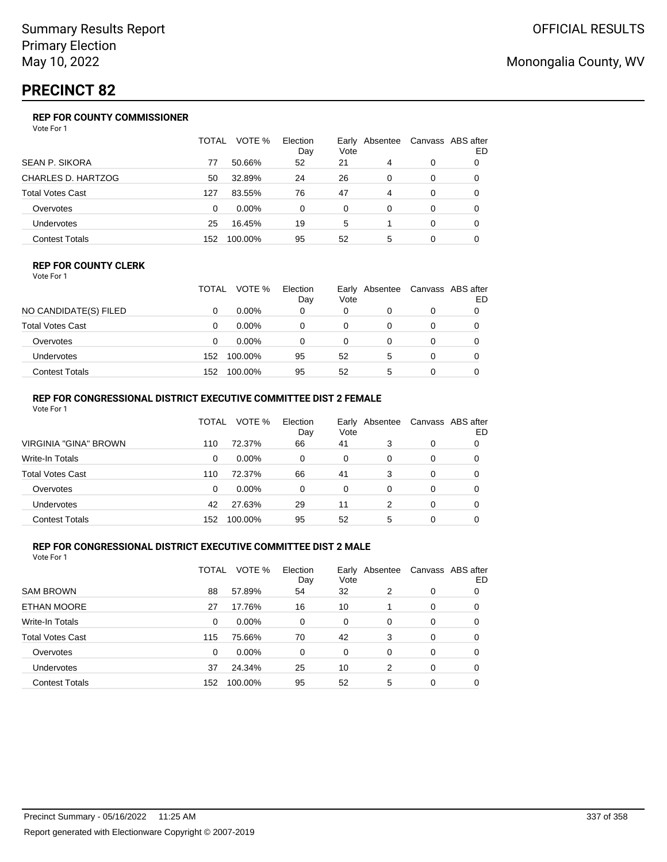## **PRECINCT 82**

## **REP FOR COUNTY COMMISSIONER**

Vote For 1

|                         | TOTAL    | VOTE %   | Election<br>Day | Vote | Early Absentee |          | Canvass ABS after<br>ED |
|-------------------------|----------|----------|-----------------|------|----------------|----------|-------------------------|
| <b>SEAN P. SIKORA</b>   | 77       | 50.66%   | 52              | 21   | 4              | 0        |                         |
| CHARLES D. HARTZOG      | 50       | 32.89%   | 24              | 26   | $\Omega$       | 0        | 0                       |
| <b>Total Votes Cast</b> | 127      | 83.55%   | 76              | 47   | 4              | 0        | 0                       |
| Overvotes               | $\Omega$ | $0.00\%$ | 0               | 0    | 0              | 0        | 0                       |
| Undervotes              | 25       | 16.45%   | 19              | 5    |                | $\Omega$ | 0                       |
| <b>Contest Totals</b>   | 152      | 100.00%  | 95              | 52   | 5              | 0        |                         |

#### **REP FOR COUNTY CLERK**

Vote For 1

|                         | TOTAL | VOTE %   | Election<br>Day | Early<br>Vote | Absentee | Canvass ABS after<br>ED |
|-------------------------|-------|----------|-----------------|---------------|----------|-------------------------|
| NO CANDIDATE(S) FILED   |       | $0.00\%$ | 0               | 0             |          |                         |
| <b>Total Votes Cast</b> |       | $0.00\%$ |                 | 0             |          |                         |
| Overvotes               |       | $0.00\%$ |                 | $\Omega$      |          |                         |
| Undervotes              | 152   | 100.00%  | 95              | 52            | 5        |                         |
| <b>Contest Totals</b>   | 152   | 100.00%  | 95              | 52            | 5        |                         |

#### **REP FOR CONGRESSIONAL DISTRICT EXECUTIVE COMMITTEE DIST 2 FEMALE** Vote For 1

| <u>vuurivii</u>         |       |          |                 |                        |   |          |                         |
|-------------------------|-------|----------|-----------------|------------------------|---|----------|-------------------------|
|                         | TOTAL | VOTE %   | Election<br>Day | Early Absentee<br>Vote |   |          | Canvass ABS after<br>ED |
| VIRGINIA "GINA" BROWN   | 110   | 72.37%   | 66              | 41                     | 3 | 0        | 0                       |
| Write-In Totals         | 0     | $0.00\%$ | 0               | 0                      | 0 | 0        |                         |
| <b>Total Votes Cast</b> | 110   | 72.37%   | 66              | 41                     | 3 | $\Omega$ |                         |
| Overvotes               | 0     | $0.00\%$ | 0               | 0                      | 0 | $\Omega$ |                         |
| <b>Undervotes</b>       | 42    | 27.63%   | 29              | 11                     | 2 | $\Omega$ |                         |
| <b>Contest Totals</b>   | 152   | 100.00%  | 95              | 52                     | 5 | 0        |                         |

### **REP FOR CONGRESSIONAL DISTRICT EXECUTIVE COMMITTEE DIST 2 MALE**

|                         | TOTAL | VOTE %   | Election<br>Day | Vote | Early Absentee |   | Canvass ABS after<br>ED |
|-------------------------|-------|----------|-----------------|------|----------------|---|-------------------------|
| <b>SAM BROWN</b>        | 88    | 57.89%   | 54              | 32   | 2              | 0 | 0                       |
| ETHAN MOORE             | 27    | 17.76%   | 16              | 10   |                | 0 | 0                       |
| Write-In Totals         | 0     | $0.00\%$ | 0               | 0    | 0              | 0 | 0                       |
| <b>Total Votes Cast</b> | 115   | 75.66%   | 70              | 42   | 3              | 0 | 0                       |
| Overvotes               | 0     | $0.00\%$ | 0               | 0    | $\Omega$       | 0 | 0                       |
| <b>Undervotes</b>       | 37    | 24.34%   | 25              | 10   | 2              | 0 | 0                       |
| <b>Contest Totals</b>   | 152   | 100.00%  | 95              | 52   | 5              | 0 | 0                       |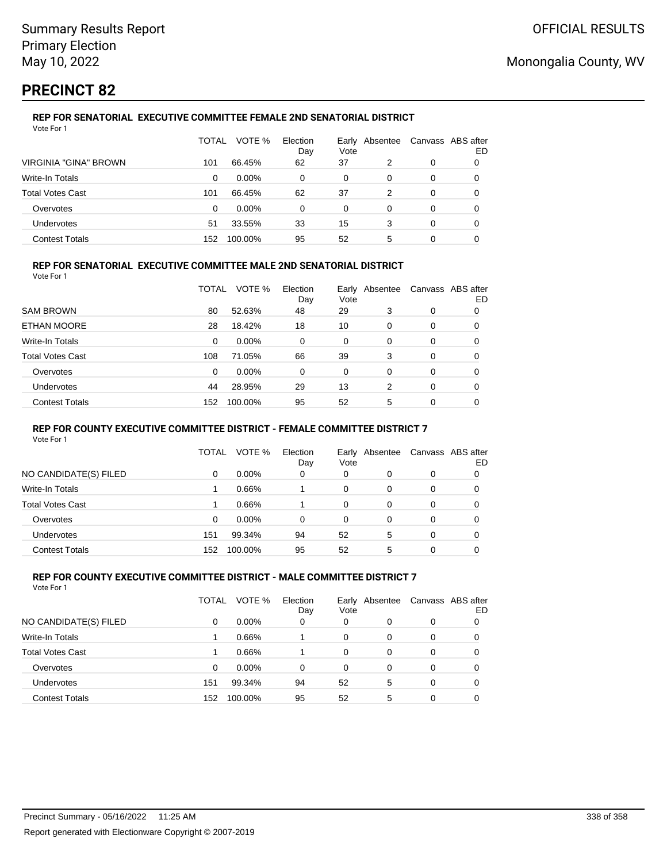## **PRECINCT 82**

#### **REP FOR SENATORIAL EXECUTIVE COMMITTEE FEMALE 2ND SENATORIAL DISTRICT** Vote For 1

|                              | TOTAL | VOTE %   | Election<br>Day | Vote | Early Absentee |   | Canvass ABS after<br>ED |
|------------------------------|-------|----------|-----------------|------|----------------|---|-------------------------|
| <b>VIRGINIA "GINA" BROWN</b> | 101   | 66.45%   | 62              | 37   | 2              | 0 |                         |
| Write-In Totals              | 0     | $0.00\%$ | 0               | 0    | 0              | 0 |                         |
| <b>Total Votes Cast</b>      | 101   | 66.45%   | 62              | 37   | 2              | 0 |                         |
| Overvotes                    | 0     | $0.00\%$ | 0               | 0    | 0              | 0 |                         |
| Undervotes                   | 51    | 33.55%   | 33              | 15   | 3              | 0 | O                       |
| <b>Contest Totals</b>        | 152   | 100.00%  | 95              | 52   | 5              | 0 |                         |

### **REP FOR SENATORIAL EXECUTIVE COMMITTEE MALE 2ND SENATORIAL DISTRICT**

Vote For 1

|                         | TOTAL | VOTE %   | Election<br>Day | Vote     | Early Absentee |          | Canvass ABS after<br>ED |
|-------------------------|-------|----------|-----------------|----------|----------------|----------|-------------------------|
| <b>SAM BROWN</b>        | 80    | 52.63%   | 48              | 29       | 3              | 0        | 0                       |
| ETHAN MOORE             | 28    | 18.42%   | 18              | 10       | 0              | 0        | 0                       |
| Write-In Totals         | 0     | $0.00\%$ | 0               | 0        | $\Omega$       | $\Omega$ | 0                       |
| <b>Total Votes Cast</b> | 108   | 71.05%   | 66              | 39       | 3              | 0        | 0                       |
| Overvotes               | 0     | 0.00%    | 0               | $\Omega$ | $\Omega$       | $\Omega$ | 0                       |
| <b>Undervotes</b>       | 44    | 28.95%   | 29              | 13       | 2              | $\Omega$ | 0                       |
| <b>Contest Totals</b>   | 152   | 100.00%  | 95              | 52       | 5              | 0        | 0                       |

#### **REP FOR COUNTY EXECUTIVE COMMITTEE DISTRICT - FEMALE COMMITTEE DISTRICT 7**

Vote For 1

|                       | TOTAL | VOTE %   | Election<br>Day | Vote | Early Absentee | Canvass ABS after | ED |
|-----------------------|-------|----------|-----------------|------|----------------|-------------------|----|
| NO CANDIDATE(S) FILED | 0     | $0.00\%$ | 0               | 0    | 0              | 0                 |    |
| Write-In Totals       |       | 0.66%    |                 | 0    | 0              | 0                 |    |
| Total Votes Cast      |       | 0.66%    |                 | 0    | 0              | 0                 |    |
| Overvotes             | 0     | $0.00\%$ | 0               | 0    | 0              | 0                 |    |
| <b>Undervotes</b>     | 151   | 99.34%   | 94              | 52   | 5              | 0                 |    |
| <b>Contest Totals</b> | 152   | 100.00%  | 95              | 52   | 5              | 0                 |    |

#### **REP FOR COUNTY EXECUTIVE COMMITTEE DISTRICT - MALE COMMITTEE DISTRICT 7** Vote For 1

|                         | TOTAL | VOTE %   | Election<br>Day | Early<br>Vote | Absentee | Canvass ABS after | ED |
|-------------------------|-------|----------|-----------------|---------------|----------|-------------------|----|
| NO CANDIDATE(S) FILED   | 0     | $0.00\%$ | 0               | 0             | 0        | 0                 |    |
| Write-In Totals         |       | 0.66%    |                 | 0             | 0        | 0                 |    |
| <b>Total Votes Cast</b> |       | 0.66%    |                 | 0             | 0        | 0                 |    |
| Overvotes               | 0     | 0.00%    | 0               | 0             | 0        | 0                 |    |
| <b>Undervotes</b>       | 151   | 99.34%   | 94              | 52            | 5        | 0                 |    |
| <b>Contest Totals</b>   | 152   | 100.00%  | 95              | 52            | 5        | 0                 |    |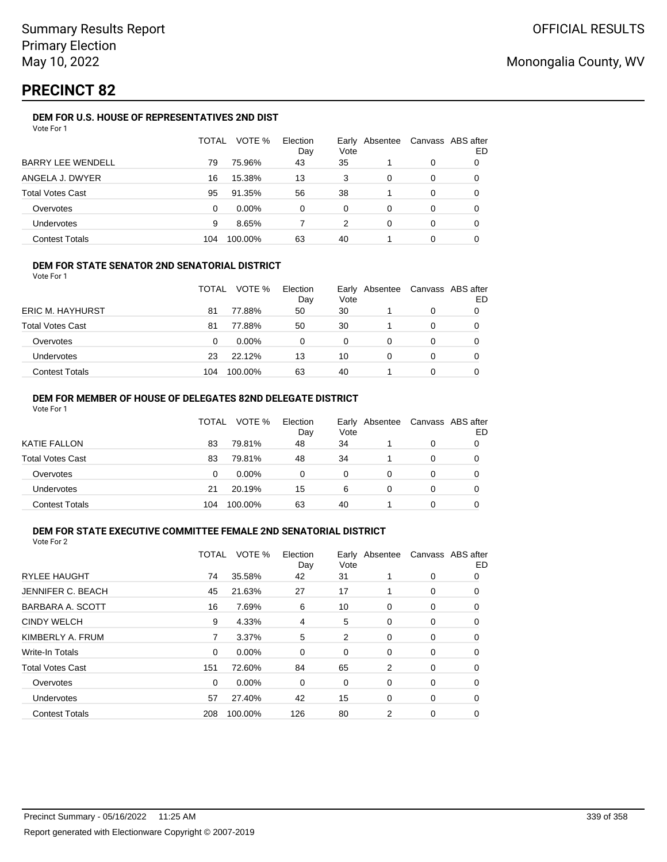## **PRECINCT 82**

### **DEM FOR U.S. HOUSE OF REPRESENTATIVES 2ND DIST**

|                          | TOTAL | VOTE %   | Election<br>Day | Early<br>Vote | Absentee |   | Canvass ABS after<br>ED |
|--------------------------|-------|----------|-----------------|---------------|----------|---|-------------------------|
| <b>BARRY LEE WENDELL</b> | 79    | 75.96%   | 43              | 35            |          | 0 |                         |
| ANGELA J. DWYER          | 16    | 15.38%   | 13              | 3             | 0        | 0 |                         |
| <b>Total Votes Cast</b>  | 95    | 91.35%   | 56              | 38            |          | 0 |                         |
| Overvotes                | 0     | $0.00\%$ | $\Omega$        | $\Omega$      | 0        | 0 |                         |
| Undervotes               | 9     | 8.65%    |                 | 2             | 0        | 0 |                         |
| <b>Contest Totals</b>    | 104   | 100.00%  | 63              | 40            |          | 0 |                         |

### **DEM FOR STATE SENATOR 2ND SENATORIAL DISTRICT**

Vote For 1

|                         | <b>TOTAL</b> | VOTE %   | Election<br>Day | Vote | Early Absentee | Canvass ABS after<br>ED |
|-------------------------|--------------|----------|-----------------|------|----------------|-------------------------|
| <b>ERIC M. HAYHURST</b> | 81           | 77.88%   | 50              | 30   |                |                         |
| <b>Total Votes Cast</b> | 81           | 77.88%   | 50              | 30   |                |                         |
| Overvotes               | 0            | $0.00\%$ |                 | 0    |                |                         |
| <b>Undervotes</b>       | 23           | 22.12%   | 13              | 10   |                |                         |
| <b>Contest Totals</b>   | 104          | 100.00%  | 63              | 40   |                |                         |

#### **DEM FOR MEMBER OF HOUSE OF DELEGATES 82ND DELEGATE DISTRICT** Vote For 1

|                         | TOTAL | VOTE %   | Election<br>Day | Vote | Early Absentee | Canvass ABS after | ED |
|-------------------------|-------|----------|-----------------|------|----------------|-------------------|----|
| <b>KATIE FALLON</b>     | 83    | 79.81%   | 48              | 34   |                | 0                 |    |
| <b>Total Votes Cast</b> | 83    | 79.81%   | 48              | 34   |                | 0                 |    |
| Overvotes               | 0     | $0.00\%$ | 0               | 0    | 0              | 0                 |    |
| Undervotes              | 21    | 20.19%   | 15              | 6    | $\Omega$       | 0                 |    |
| <b>Contest Totals</b>   | 104   | 100.00%  | 63              | 40   |                | 0                 |    |

#### **DEM FOR STATE EXECUTIVE COMMITTEE FEMALE 2ND SENATORIAL DISTRICT** Vote For 2

|                         | TOTAL | VOTE %   | Election<br>Day | Early<br>Vote | Absentee |   | Canvass ABS after<br>ED |
|-------------------------|-------|----------|-----------------|---------------|----------|---|-------------------------|
| <b>RYLEE HAUGHT</b>     | 74    | 35.58%   | 42              | 31            |          | 0 | 0                       |
| JENNIFER C. BEACH       | 45    | 21.63%   | 27              | 17            | 1        | 0 | 0                       |
| BARBARA A. SCOTT        | 16    | 7.69%    | 6               | 10            | 0        | 0 | 0                       |
| <b>CINDY WELCH</b>      | 9     | 4.33%    | 4               | 5             | 0        | 0 | 0                       |
| KIMBERLY A. FRUM        | 7     | 3.37%    | 5               | 2             | 0        | 0 | 0                       |
| <b>Write-In Totals</b>  | 0     | $0.00\%$ | 0               | 0             | 0        | 0 | 0                       |
| <b>Total Votes Cast</b> | 151   | 72.60%   | 84              | 65            | 2        | 0 | 0                       |
| Overvotes               | 0     | $0.00\%$ | 0               | 0             | 0        | 0 | 0                       |
| <b>Undervotes</b>       | 57    | 27.40%   | 42              | 15            | 0        | 0 | 0                       |
| <b>Contest Totals</b>   | 208   | 100.00%  | 126             | 80            | 2        | 0 | 0                       |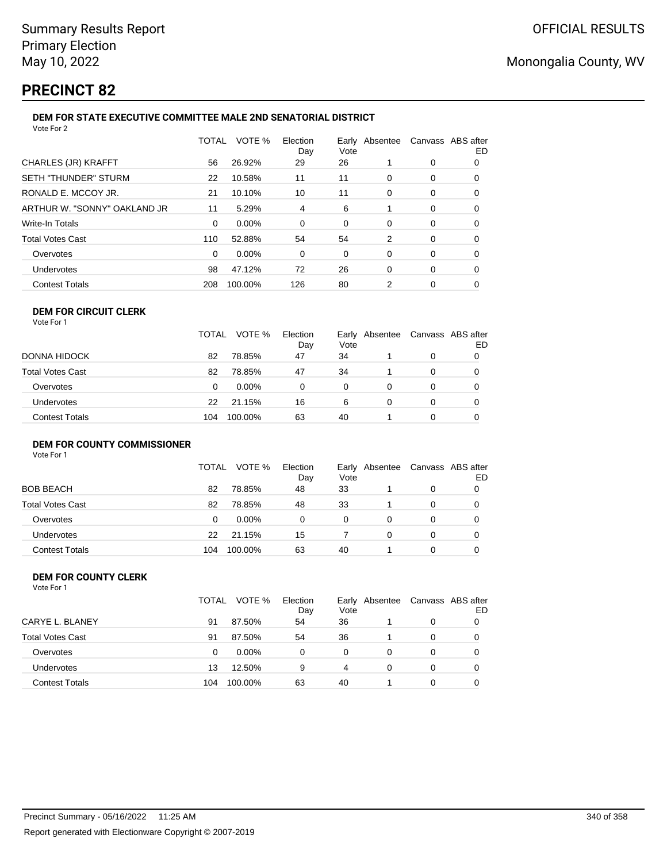## **PRECINCT 82**

#### **DEM FOR STATE EXECUTIVE COMMITTEE MALE 2ND SENATORIAL DISTRICT** Vote For 2

| 1 U U U L                    |          |         |                 |                        |          |                   |    |
|------------------------------|----------|---------|-----------------|------------------------|----------|-------------------|----|
|                              | TOTAL    | VOTE %  | Election<br>Day | Early Absentee<br>Vote |          | Canvass ABS after | ED |
| CHARLES (JR) KRAFFT          | 56       | 26.92%  | 29              | 26                     |          | 0                 | 0  |
| SETH "THUNDER" STURM         | 22       | 10.58%  | 11              | 11                     | 0        | 0                 | 0  |
| RONALD E. MCCOY JR.          | 21       | 10.10%  | 10              | 11                     | 0        | 0                 | 0  |
| ARTHUR W. "SONNY" OAKLAND JR | 11       | 5.29%   | 4               | 6                      |          | 0                 | 0  |
| Write-In Totals              | $\Omega$ | 0.00%   | $\Omega$        | 0                      | 0        | 0                 | 0  |
| Total Votes Cast             | 110      | 52.88%  | 54              | 54                     | 2        | 0                 | 0  |
| Overvotes                    | $\Omega$ | 0.00%   | 0               | 0                      | 0        | 0                 | 0  |
| Undervotes                   | 98       | 47.12%  | 72              | 26                     | $\Omega$ | 0                 | 0  |
| <b>Contest Totals</b>        | 208      | 100.00% | 126             | 80                     | 2        | 0                 | 0  |
|                              |          |         |                 |                        |          |                   |    |

#### **DEM FOR CIRCUIT CLERK** Vote For 1

|                       | <b>TOTAL</b> | VOTE %   | Election<br>Day | Vote | Early Absentee | Canvass ABS after | ED |
|-----------------------|--------------|----------|-----------------|------|----------------|-------------------|----|
| DONNA HIDOCK          | 82           | 78.85%   | 47              | 34   |                |                   |    |
| Total Votes Cast      | 82           | 78.85%   | 47              | 34   |                |                   | 0  |
| Overvotes             | 0            | $0.00\%$ | 0               | 0    |                |                   | 0  |
| <b>Undervotes</b>     | 22           | 21.15%   | 16              | 6    |                |                   | 0  |
| <b>Contest Totals</b> | 104          | 100.00%  | 63              | 40   |                |                   |    |

## **DEM FOR COUNTY COMMISSIONER**

Vote For 1

|                         | <b>TOTAL</b> | VOTE %   | Election<br>Day | Vote | Early Absentee | Canvass ABS after | ED |
|-------------------------|--------------|----------|-----------------|------|----------------|-------------------|----|
| <b>BOB BEACH</b>        | 82           | 78.85%   | 48              | 33   |                | 0                 |    |
| <b>Total Votes Cast</b> | 82           | 78.85%   | 48              | 33   |                | 0                 |    |
| Overvotes               | 0            | $0.00\%$ | 0               | 0    |                | 0                 |    |
| <b>Undervotes</b>       | 22           | 21.15%   | 15              |      | 0              | 0                 |    |
| <b>Contest Totals</b>   | 104          | 100.00%  | 63              | 40   |                | 0                 |    |

#### **DEM FOR COUNTY CLERK** Vote For 1

|                         | TOTAL | VOTE %   | Election<br>Day | Vote     | Early Absentee |   | Canvass ABS after<br>ED |
|-------------------------|-------|----------|-----------------|----------|----------------|---|-------------------------|
| CARYE L. BLANEY         | 91    | 87.50%   | 54              | 36       |                | 0 |                         |
| <b>Total Votes Cast</b> | 91    | 87.50%   | 54              | 36       |                | 0 |                         |
| Overvotes               | 0     | $0.00\%$ | 0               | $\Omega$ |                | 0 |                         |
| Undervotes              | 13    | 12.50%   | 9               | 4        |                | 0 |                         |
| <b>Contest Totals</b>   | 104   | 100.00%  | 63              | 40       |                | 0 |                         |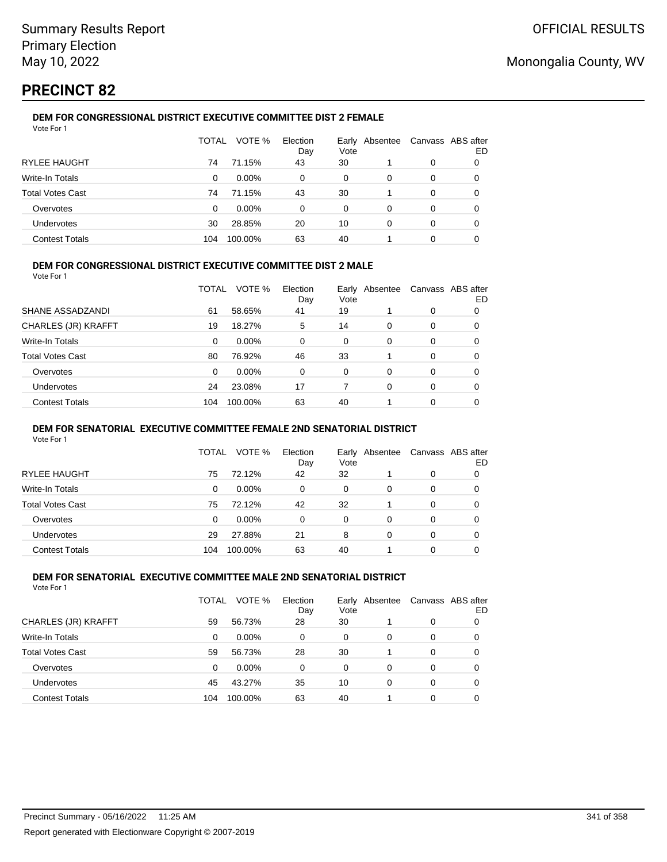## **PRECINCT 82**

#### **DEM FOR CONGRESSIONAL DISTRICT EXECUTIVE COMMITTEE DIST 2 FEMALE** Vote For 1

|                         | TOTAL | VOTE %   | Election<br>Day | Vote | Early Absentee |   | Canvass ABS after<br>ED |
|-------------------------|-------|----------|-----------------|------|----------------|---|-------------------------|
| <b>RYLEE HAUGHT</b>     | 74    | 71.15%   | 43              | 30   |                | 0 |                         |
| Write-In Totals         | 0     | $0.00\%$ | 0               | 0    | 0              | 0 |                         |
| <b>Total Votes Cast</b> | 74    | 71.15%   | 43              | 30   |                | 0 |                         |
| Overvotes               | 0     | $0.00\%$ | 0               | 0    | 0              | 0 |                         |
| Undervotes              | 30    | 28.85%   | 20              | 10   | 0              | 0 | O                       |
| <b>Contest Totals</b>   | 104   | 100.00%  | 63              | 40   |                | 0 |                         |

### **DEM FOR CONGRESSIONAL DISTRICT EXECUTIVE COMMITTEE DIST 2 MALE**

Vote For 1

|                         | TOTAL | VOTE %   | Election<br>Day | Early<br>Vote | Absentee |          | Canvass ABS after<br>ED |
|-------------------------|-------|----------|-----------------|---------------|----------|----------|-------------------------|
| SHANE ASSADZANDI        | 61    | 58.65%   | 41              | 19            |          | $\Omega$ | 0                       |
| CHARLES (JR) KRAFFT     | 19    | 18.27%   | 5               | 14            | $\Omega$ | $\Omega$ | 0                       |
| Write-In Totals         | 0     | $0.00\%$ | 0               | $\Omega$      | $\Omega$ | $\Omega$ | 0                       |
| <b>Total Votes Cast</b> | 80    | 76.92%   | 46              | 33            |          | $\Omega$ | 0                       |
| Overvotes               | 0     | 0.00%    | 0               | $\Omega$      | 0        | $\Omega$ | 0                       |
| <b>Undervotes</b>       | 24    | 23.08%   | 17              |               | $\Omega$ | $\Omega$ | 0                       |
| <b>Contest Totals</b>   | 104   | 100.00%  | 63              | 40            |          | $\Omega$ | 0                       |

#### **DEM FOR SENATORIAL EXECUTIVE COMMITTEE FEMALE 2ND SENATORIAL DISTRICT**

Vote For 1

|                         | TOTAL | VOTE %   | Election<br>Day | Vote | Early Absentee | Canvass ABS after | ED |
|-------------------------|-------|----------|-----------------|------|----------------|-------------------|----|
| RYLEE HAUGHT            | 75    | 72.12%   | 42              | 32   |                | 0                 | 0  |
| Write-In Totals         | 0     | $0.00\%$ | 0               | 0    | 0              | 0                 |    |
| <b>Total Votes Cast</b> | 75    | 72.12%   | 42              | 32   |                | 0                 |    |
| Overvotes               | 0     | $0.00\%$ | 0               | 0    | 0              | 0                 |    |
| <b>Undervotes</b>       | 29    | 27.88%   | 21              | 8    | 0              | 0                 |    |
| <b>Contest Totals</b>   | 104   | 100.00%  | 63              | 40   |                | 0                 |    |

#### **DEM FOR SENATORIAL EXECUTIVE COMMITTEE MALE 2ND SENATORIAL DISTRICT** Vote For 1

| 1 J J J J J J           |       |          |                 |      |                |                   |    |
|-------------------------|-------|----------|-----------------|------|----------------|-------------------|----|
|                         | TOTAL | VOTE %   | Election<br>Day | Vote | Early Absentee | Canvass ABS after | ED |
| CHARLES (JR) KRAFFT     | 59    | 56.73%   | 28              | 30   |                | 0                 |    |
| Write-In Totals         | 0     | $0.00\%$ | 0               | 0    | 0              | 0                 |    |
| <b>Total Votes Cast</b> | 59    | 56.73%   | 28              | 30   |                | 0                 |    |
| Overvotes               | 0     | 0.00%    | 0               | 0    | 0              | 0                 |    |
| <b>Undervotes</b>       | 45    | 43.27%   | 35              | 10   | 0              | 0                 |    |
| <b>Contest Totals</b>   | 104   | 100.00%  | 63              | 40   |                | 0                 |    |
|                         |       |          |                 |      |                |                   |    |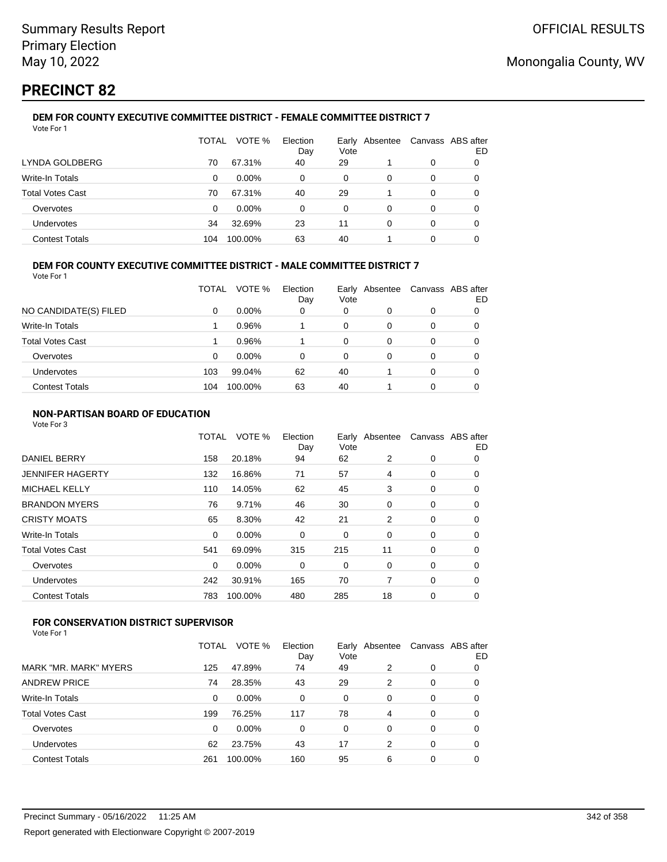## **PRECINCT 82**

#### **DEM FOR COUNTY EXECUTIVE COMMITTEE DISTRICT - FEMALE COMMITTEE DISTRICT 7** Vote For 1

|                         | TOTAL | VOTE %   | Election<br>Day | Early<br>Vote | Absentee | Canvass ABS after | ED |
|-------------------------|-------|----------|-----------------|---------------|----------|-------------------|----|
| LYNDA GOLDBERG          | 70    | 67.31%   | 40              | 29            |          | 0                 |    |
| <b>Write-In Totals</b>  | 0     | $0.00\%$ | 0               | 0             | 0        | 0                 | O  |
| <b>Total Votes Cast</b> | 70    | 67.31%   | 40              | 29            |          | 0                 | O  |
| Overvotes               | 0     | $0.00\%$ | 0               | 0             | 0        | 0                 |    |
| Undervotes              | 34    | 32.69%   | 23              | 11            | 0        | 0                 |    |
| <b>Contest Totals</b>   | 104   | 100.00%  | 63              | 40            |          | 0                 |    |

### **DEM FOR COUNTY EXECUTIVE COMMITTEE DISTRICT - MALE COMMITTEE DISTRICT 7**

Vote For 1

|                         | TOTAL | VOTE %   | Election<br>Day | Vote | Early Absentee | Canvass ABS after | ED |
|-------------------------|-------|----------|-----------------|------|----------------|-------------------|----|
| NO CANDIDATE(S) FILED   | 0     | $0.00\%$ | 0               | 0    | O              | 0                 |    |
| Write-In Totals         |       | 0.96%    |                 | 0    | O              | 0                 | O  |
| <b>Total Votes Cast</b> |       | 0.96%    |                 | 0    | 0              | 0                 |    |
| Overvotes               | 0     | $0.00\%$ | $\Omega$        | 0    | 0              | 0                 |    |
| Undervotes              | 103   | 99.04%   | 62              | 40   |                | 0                 |    |
| <b>Contest Totals</b>   | 104   | 100.00%  | 63              | 40   |                | 0                 |    |

### **NON-PARTISAN BOARD OF EDUCATION**

Vote For 3

|                       | TOTAL    | VOTE %  | Election<br>Day | Vote | Early Absentee | Canvass ABS after | ED |
|-----------------------|----------|---------|-----------------|------|----------------|-------------------|----|
| <b>DANIEL BERRY</b>   | 158      | 20.18%  | 94              | 62   | 2              | 0                 | 0  |
| JENNIFER HAGERTY      | 132      | 16.86%  | 71              | 57   | 4              | 0                 | 0  |
| <b>MICHAEL KELLY</b>  | 110      | 14.05%  | 62              | 45   | 3              | 0                 | 0  |
| <b>BRANDON MYERS</b>  | 76       | 9.71%   | 46              | 30   | 0              | 0                 | 0  |
| <b>CRISTY MOATS</b>   | 65       | 8.30%   | 42              | 21   | 2              | 0                 | 0  |
| Write-In Totals       | 0        | 0.00%   | 0               | 0    | 0              | 0                 | 0  |
| Total Votes Cast      | 541      | 69.09%  | 315             | 215  | 11             | 0                 | 0  |
| Overvotes             | $\Omega$ | 0.00%   | 0               | 0    | 0              | 0                 | 0  |
| Undervotes            | 242      | 30.91%  | 165             | 70   | 7              | 0                 | 0  |
| <b>Contest Totals</b> | 783      | 100.00% | 480             | 285  | 18             | 0                 | 0  |
|                       |          |         |                 |      |                |                   |    |

## **FOR CONSERVATION DISTRICT SUPERVISOR**

|                         | TOTAL | VOTE %   | Election<br>Day | Vote | Early Absentee |   | Canvass ABS after<br>ED |
|-------------------------|-------|----------|-----------------|------|----------------|---|-------------------------|
| MARK "MR. MARK" MYERS   | 125   | 47.89%   | 74              | 49   | 2              | 0 | 0                       |
| <b>ANDREW PRICE</b>     | 74    | 28.35%   | 43              | 29   | 2              | 0 | 0                       |
| Write-In Totals         | 0     | 0.00%    | 0               | 0    | 0              | 0 | 0                       |
| <b>Total Votes Cast</b> | 199   | 76.25%   | 117             | 78   | 4              | 0 | 0                       |
| Overvotes               | 0     | $0.00\%$ | 0               | 0    | 0              | 0 | 0                       |
| Undervotes              | 62    | 23.75%   | 43              | 17   | 2              | 0 | 0                       |
| <b>Contest Totals</b>   | 261   | 100.00%  | 160             | 95   | 6              | 0 | 0                       |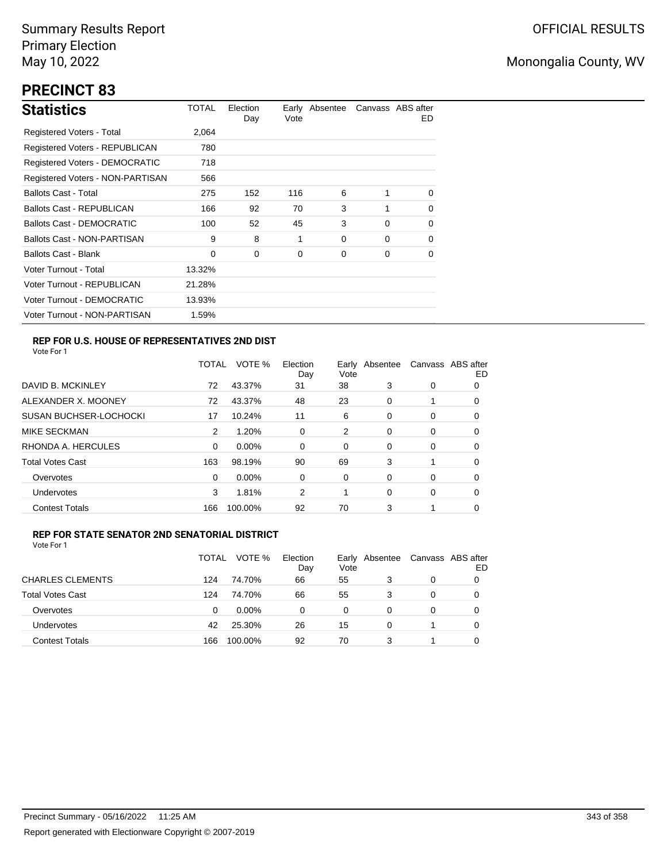# **PRECINCT 83**

| <b>Statistics</b>                     | TOTAL  | Election<br>Day | Vote | Early Absentee |          | Canvass ABS after<br>ED. |
|---------------------------------------|--------|-----------------|------|----------------|----------|--------------------------|
| Registered Voters - Total             | 2,064  |                 |      |                |          |                          |
| Registered Voters - REPUBLICAN        | 780    |                 |      |                |          |                          |
| <b>Registered Voters - DEMOCRATIC</b> | 718    |                 |      |                |          |                          |
| Registered Voters - NON-PARTISAN      | 566    |                 |      |                |          |                          |
| <b>Ballots Cast - Total</b>           | 275    | 152             | 116  | 6              |          | 0                        |
| Ballots Cast - REPUBLICAN             | 166    | 92              | 70   | 3              |          | $\Omega$                 |
| <b>Ballots Cast - DEMOCRATIC</b>      | 100    | 52              | 45   | 3              | $\Omega$ | 0                        |
| Ballots Cast - NON-PARTISAN           | 9      | 8               | 1    | 0              | $\Omega$ | 0                        |
| <b>Ballots Cast - Blank</b>           | 0      | 0               | 0    | 0              | 0        | 0                        |
| Voter Turnout - Total                 | 13.32% |                 |      |                |          |                          |
| Voter Turnout - REPUBLICAN            | 21.28% |                 |      |                |          |                          |
| Voter Turnout - DEMOCRATIC            | 13.93% |                 |      |                |          |                          |
| Voter Turnout - NON-PARTISAN          | 1.59%  |                 |      |                |          |                          |

## **REP FOR U.S. HOUSE OF REPRESENTATIVES 2ND DIST**

Vote For 1

|                               | TOTAL | VOTE %   | Election<br>Day | Earlv<br>Vote | Absentee |   | Canvass ABS after<br>ED |
|-------------------------------|-------|----------|-----------------|---------------|----------|---|-------------------------|
| DAVID B. MCKINLEY             | 72    | 43.37%   | 31              | 38            | 3        | 0 | O                       |
| ALEXANDER X. MOONEY           | 72    | 43.37%   | 48              | 23            | 0        |   | 0                       |
| <b>SUSAN BUCHSER-LOCHOCKI</b> | 17    | 10.24%   | 11              | 6             | 0        | 0 | 0                       |
| <b>MIKE SECKMAN</b>           | 2     | 1.20%    | 0               | 2             | $\Omega$ | 0 | 0                       |
| RHONDA A. HERCULES            | 0     | $0.00\%$ | $\Omega$        | 0             | 0        | 0 | 0                       |
| <b>Total Votes Cast</b>       | 163   | 98.19%   | 90              | 69            | 3        |   | 0                       |
| Overvotes                     | 0     | $0.00\%$ | 0               | 0             | $\Omega$ | 0 | 0                       |
| <b>Undervotes</b>             | 3     | 1.81%    | 2               | 1             | $\Omega$ | 0 | 0                       |
| <b>Contest Totals</b>         | 166   | 100.00%  | 92              | 70            | 3        |   | 0                       |

### **REP FOR STATE SENATOR 2ND SENATORIAL DISTRICT**

|                         | TOTAL | VOTE %   | Election<br>Day | Vote | Early Absentee | Canvass ABS after | ED |
|-------------------------|-------|----------|-----------------|------|----------------|-------------------|----|
| <b>CHARLES CLEMENTS</b> | 124   | 74.70%   | 66              | 55   |                | 0                 |    |
| <b>Total Votes Cast</b> | 124   | 74.70%   | 66              | 55   | 3              | 0                 |    |
| Overvotes               | 0     | $0.00\%$ | 0               | 0    | 0              | 0                 |    |
| Undervotes              | 42    | 25.30%   | 26              | 15   | 0              |                   | 0  |
| <b>Contest Totals</b>   | 166   | 100.00%  | 92              | 70   |                |                   |    |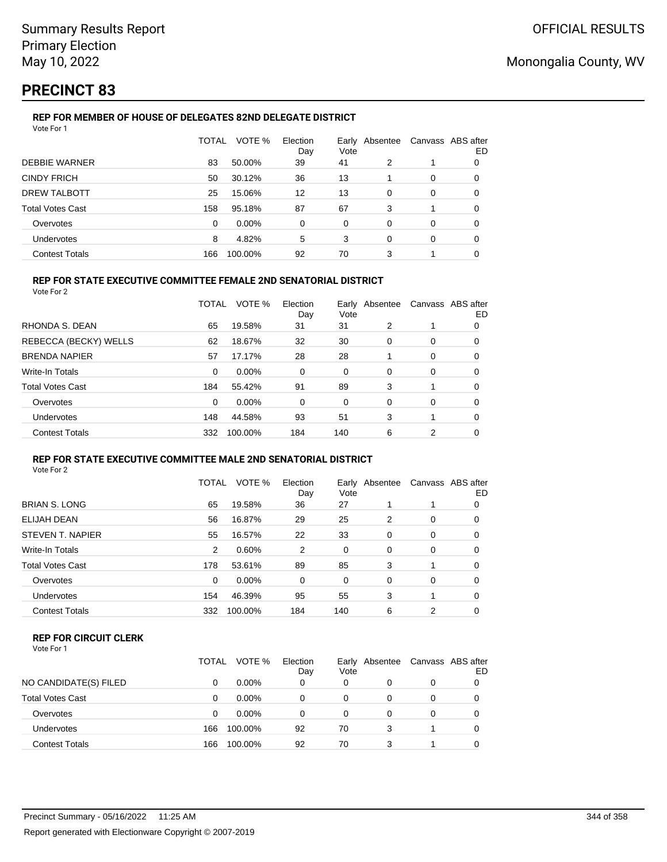## **PRECINCT 83**

## **REP FOR MEMBER OF HOUSE OF DELEGATES 82ND DELEGATE DISTRICT**

| Vote For 1              |              |         |                 |      |                |          |                         |
|-------------------------|--------------|---------|-----------------|------|----------------|----------|-------------------------|
|                         | <b>TOTAL</b> | VOTE %  | Election<br>Day | Vote | Early Absentee |          | Canvass ABS after<br>ED |
| <b>DEBBIE WARNER</b>    | 83           | 50.00%  | 39              | 41   | 2              |          | 0                       |
| <b>CINDY FRICH</b>      | 50           | 30.12%  | 36              | 13   |                | $\Omega$ | 0                       |
| <b>DREW TALBOTT</b>     | 25           | 15.06%  | 12              | 13   | $\Omega$       | $\Omega$ | 0                       |
| <b>Total Votes Cast</b> | 158          | 95.18%  | 87              | 67   | 3              |          | 0                       |
| Overvotes               | 0            | 0.00%   | $\Omega$        | 0    | $\Omega$       | $\Omega$ | 0                       |
| Undervotes              | 8            | 4.82%   | 5               | 3    | $\Omega$       | $\Omega$ | 0                       |
| <b>Contest Totals</b>   | 166          | 100.00% | 92              | 70   | 3              |          |                         |

## **REP FOR STATE EXECUTIVE COMMITTEE FEMALE 2ND SENATORIAL DISTRICT**

Vote For 2

|                         | TOTAL    | VOTE %   | Election<br>Day | Vote | Early Absentee | Canvass ABS after | ED |
|-------------------------|----------|----------|-----------------|------|----------------|-------------------|----|
| RHONDA S. DEAN          | 65       | 19.58%   | 31              | 31   | 2              |                   | 0  |
| REBECCA (BECKY) WELLS   | 62       | 18.67%   | 32              | 30   | 0              | 0                 | 0  |
| <b>BRENDA NAPIER</b>    | 57       | 17.17%   | 28              | 28   |                | 0                 | 0  |
| Write-In Totals         | $\Omega$ | $0.00\%$ | 0               | 0    | $\Omega$       | 0                 | 0  |
| <b>Total Votes Cast</b> | 184      | 55.42%   | 91              | 89   | 3              |                   | 0  |
| Overvotes               | $\Omega$ | $0.00\%$ | $\Omega$        | 0    | $\Omega$       | 0                 | 0  |
| <b>Undervotes</b>       | 148      | 44.58%   | 93              | 51   | 3              | 1                 | 0  |
| <b>Contest Totals</b>   | 332      | 100.00%  | 184             | 140  | 6              | 2                 | 0  |

#### **REP FOR STATE EXECUTIVE COMMITTEE MALE 2ND SENATORIAL DISTRICT** Vote For 2

|                       | TOTAL    | VOTE %   | Election<br>Day | Vote     | Early Absentee |          | Canvass ABS after<br>ED |
|-----------------------|----------|----------|-----------------|----------|----------------|----------|-------------------------|
| BRIAN S. LONG         | 65       | 19.58%   | 36              | 27       |                |          | 0                       |
| ELIJAH DEAN           | 56       | 16.87%   | 29              | 25       | 2              | 0        | 0                       |
| STEVEN T. NAPIER      | 55       | 16.57%   | 22              | 33       | 0              | 0        | 0                       |
| Write-In Totals       | 2        | 0.60%    | 2               | 0        | $\Omega$       | 0        | 0                       |
| Total Votes Cast      | 178      | 53.61%   | 89              | 85       | 3              |          | 0                       |
| Overvotes             | $\Omega$ | $0.00\%$ | 0               | $\Omega$ | $\Omega$       | $\Omega$ | 0                       |
| <b>Undervotes</b>     | 154      | 46.39%   | 95              | 55       | 3              |          | 0                       |
| <b>Contest Totals</b> | 332      | 100.00%  | 184             | 140      | 6              | 2        | 0                       |
|                       |          |          |                 |          |                |          |                         |

### **REP FOR CIRCUIT CLERK**

| Vote For 1 |  |  |
|------------|--|--|
|------------|--|--|

|                         | TOTAL | VOTE %   | Election<br>Day | Vote | Early Absentee |   | Canvass ABS after<br>ED |
|-------------------------|-------|----------|-----------------|------|----------------|---|-------------------------|
| NO CANDIDATE(S) FILED   | 0     | $0.00\%$ | 0               | 0    |                | 0 |                         |
| <b>Total Votes Cast</b> | 0     | $0.00\%$ | 0               | 0    |                | 0 |                         |
| Overvotes               | 0     | $0.00\%$ | 0               | 0    |                | 0 |                         |
| Undervotes              | 166   | 100.00%  | 92              | 70   | 3              |   |                         |
| <b>Contest Totals</b>   | 166   | 100.00%  | 92              | 70   | 3              |   |                         |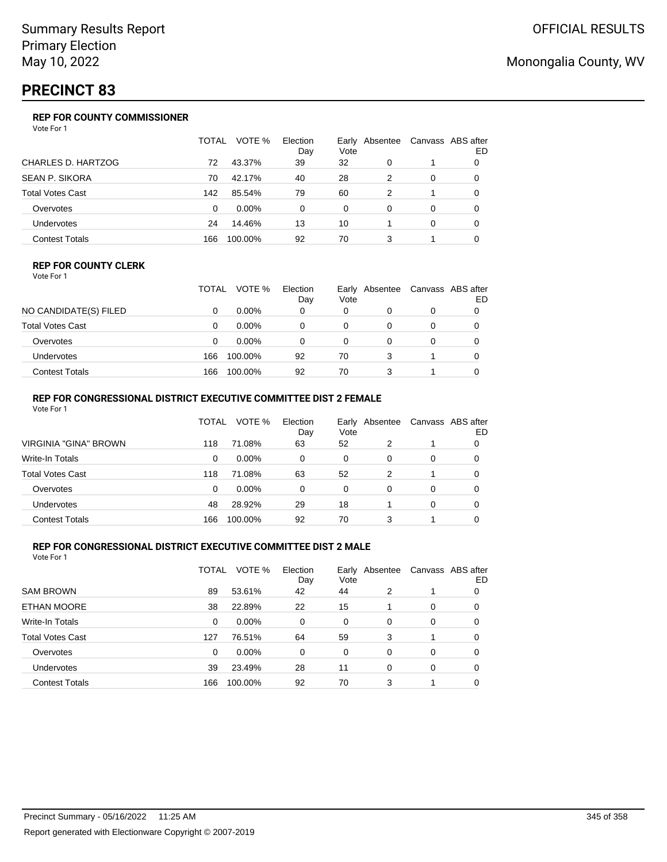## **PRECINCT 83**

## **REP FOR COUNTY COMMISSIONER**

Vote For 1

|                           | TOTAL | VOTE %   | Election<br>Day | Vote | Early Absentee |          | Canvass ABS after<br>ED |
|---------------------------|-------|----------|-----------------|------|----------------|----------|-------------------------|
| <b>CHARLES D. HARTZOG</b> | 72    | 43.37%   | 39              | 32   | 0              |          |                         |
| <b>SEAN P. SIKORA</b>     | 70    | 42.17%   | 40              | 28   | 2              | $\Omega$ | 0                       |
| <b>Total Votes Cast</b>   | 142   | 85.54%   | 79              | 60   | 2              |          | 0                       |
| Overvotes                 | 0     | $0.00\%$ | $\Omega$        | 0    | $\Omega$       | $\Omega$ | 0                       |
| <b>Undervotes</b>         | 24    | 14.46%   | 13              | 10   |                | $\Omega$ | 0                       |
| <b>Contest Totals</b>     | 166   | 100.00%  | 92              | 70   | 3              |          |                         |

### **REP FOR COUNTY CLERK**

Vote For 1

|                       | TOTAL | VOTE %   | Election<br>Day | Vote | Early Absentee |   | Canvass ABS after<br>ED |
|-----------------------|-------|----------|-----------------|------|----------------|---|-------------------------|
| NO CANDIDATE(S) FILED |       | $0.00\%$ | 0               | 0    |                | 0 |                         |
| Total Votes Cast      |       | $0.00\%$ |                 |      |                |   |                         |
| Overvotes             |       | $0.00\%$ |                 | 0    |                |   |                         |
| <b>Undervotes</b>     | 166   | 100.00%  | 92              | 70   | 3              |   |                         |
| <b>Contest Totals</b> | 166   | 100.00%  | 92              | 70   |                |   |                         |

## **REP FOR CONGRESSIONAL DISTRICT EXECUTIVE COMMITTEE DIST 2 FEMALE**

| Vote For 1              |       |          |                 |      |                |          |                         |
|-------------------------|-------|----------|-----------------|------|----------------|----------|-------------------------|
|                         | TOTAL | VOTE %   | Election<br>Day | Vote | Early Absentee |          | Canvass ABS after<br>ED |
| VIRGINIA "GINA" BROWN   | 118   | 71.08%   | 63              | 52   | 2              |          | 0                       |
| Write-In Totals         | 0     | $0.00\%$ | 0               | 0    | 0              | 0        | 0                       |
| <b>Total Votes Cast</b> | 118   | 71.08%   | 63              | 52   | 2              |          | 0                       |
| Overvotes               | 0     | $0.00\%$ | 0               | 0    | 0              | $\Omega$ | 0                       |
| <b>Undervotes</b>       | 48    | 28.92%   | 29              | 18   |                | 0        | 0                       |
| <b>Contest Totals</b>   | 166   | 100.00%  | 92              | 70   | 3              |          |                         |

### **REP FOR CONGRESSIONAL DISTRICT EXECUTIVE COMMITTEE DIST 2 MALE**

|                         | TOTAL | VOTE %   | Election<br>Day | Vote | Early Absentee |          | Canvass ABS after<br>ED |
|-------------------------|-------|----------|-----------------|------|----------------|----------|-------------------------|
| <b>SAM BROWN</b>        | 89    | 53.61%   | 42              | 44   | 2              |          | 0                       |
| ETHAN MOORE             | 38    | 22.89%   | 22              | 15   |                | 0        | 0                       |
| Write-In Totals         | 0     | $0.00\%$ | 0               | 0    | $\Omega$       | $\Omega$ | 0                       |
| <b>Total Votes Cast</b> | 127   | 76.51%   | 64              | 59   | 3              |          | 0                       |
| Overvotes               | 0     | $0.00\%$ | 0               | 0    | 0              | 0        | 0                       |
| <b>Undervotes</b>       | 39    | 23.49%   | 28              | 11   | $\Omega$       | 0        | 0                       |
| <b>Contest Totals</b>   | 166   | 100.00%  | 92              | 70   | 3              |          | 0                       |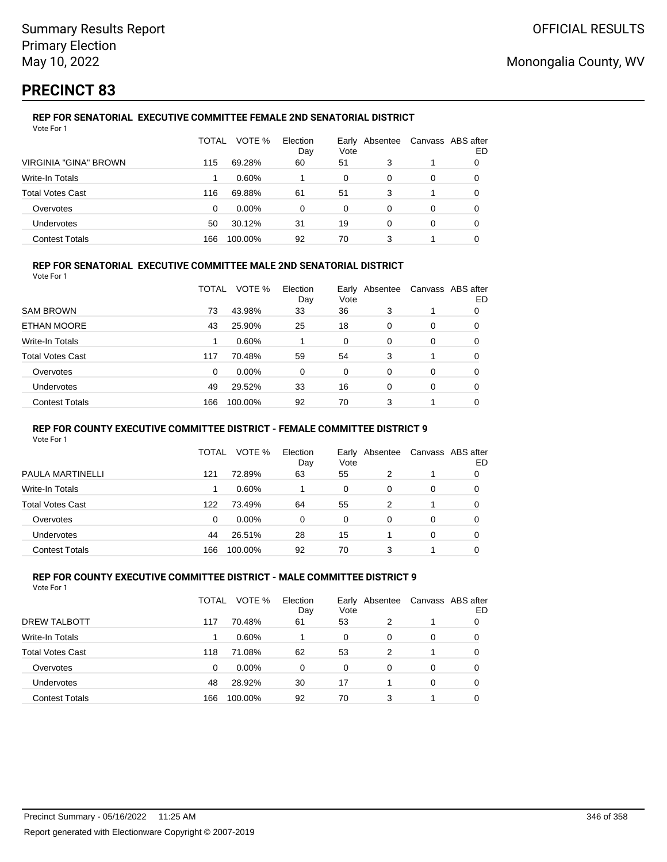## **PRECINCT 83**

#### **REP FOR SENATORIAL EXECUTIVE COMMITTEE FEMALE 2ND SENATORIAL DISTRICT** Vote For 1

|                              | TOTAL | VOTE %   | Election<br>Day | Vote | Early Absentee | Canvass ABS after | ED |
|------------------------------|-------|----------|-----------------|------|----------------|-------------------|----|
| <b>VIRGINIA "GINA" BROWN</b> | 115   | 69.28%   | 60              | 51   | 3              |                   |    |
| Write-In Totals              |       | 0.60%    |                 | 0    | 0              | 0                 |    |
| <b>Total Votes Cast</b>      | 116   | 69.88%   | 61              | 51   | 3              |                   |    |
| Overvotes                    | 0     | $0.00\%$ | 0               | 0    | 0              | 0                 |    |
| Undervotes                   | 50    | 30.12%   | 31              | 19   | 0              | 0                 | O  |
| <b>Contest Totals</b>        | 166   | 100.00%  | 92              | 70   | 3              |                   |    |

### **REP FOR SENATORIAL EXECUTIVE COMMITTEE MALE 2ND SENATORIAL DISTRICT**

Vote For 1

|                         | TOTAL | VOTE %  | Election<br>Day | Vote     | Early Absentee |          | Canvass ABS after<br>ED |
|-------------------------|-------|---------|-----------------|----------|----------------|----------|-------------------------|
| <b>SAM BROWN</b>        | 73    | 43.98%  | 33              | 36       | 3              |          | 0                       |
| ETHAN MOORE             | 43    | 25.90%  | 25              | 18       | $\Omega$       | $\Omega$ | 0                       |
| Write-In Totals         |       | 0.60%   |                 | $\Omega$ | $\Omega$       | $\Omega$ | 0                       |
| <b>Total Votes Cast</b> | 117   | 70.48%  | 59              | 54       | 3              |          | 0                       |
| Overvotes               | 0     | 0.00%   | 0               | 0        | $\Omega$       | $\Omega$ | 0                       |
| <b>Undervotes</b>       | 49    | 29.52%  | 33              | 16       | $\Omega$       | $\Omega$ | 0                       |
| <b>Contest Totals</b>   | 166   | 100.00% | 92              | 70       | 3              |          | 0                       |

#### **REP FOR COUNTY EXECUTIVE COMMITTEE DISTRICT - FEMALE COMMITTEE DISTRICT 9**

Vote For 1

|                         | TOTAL | VOTE %   | Election<br>Day | Vote     | Early Absentee | Canvass ABS after | ED |
|-------------------------|-------|----------|-----------------|----------|----------------|-------------------|----|
| PAULA MARTINELLI        | 121   | 72.89%   | 63              | 55       | 2              | 1                 | 0  |
| Write-In Totals         |       | 0.60%    |                 | $\Omega$ | 0              | 0                 | O  |
| <b>Total Votes Cast</b> | 122   | 73.49%   | 64              | 55       | 2              |                   | 0  |
| Overvotes               | 0     | $0.00\%$ | 0               | 0        | 0              | 0                 |    |
| <b>Undervotes</b>       | 44    | 26.51%   | 28              | 15       |                | 0                 |    |
| <b>Contest Totals</b>   | 166   | 100.00%  | 92              | 70       | 3              |                   |    |

#### **REP FOR COUNTY EXECUTIVE COMMITTEE DISTRICT - MALE COMMITTEE DISTRICT 9** Vote For 1

|                         | <b>TOTAL</b> | VOTE %   | Election<br>Day | Early<br>Vote | Absentee | Canvass ABS after | ED |
|-------------------------|--------------|----------|-----------------|---------------|----------|-------------------|----|
| DREW TALBOTT            | 117          | 70.48%   | 61              | 53            | 2        |                   | O  |
| Write-In Totals         |              | 0.60%    |                 | 0             | 0        | 0                 | 0  |
| <b>Total Votes Cast</b> | 118          | 71.08%   | 62              | 53            | 2        | 1                 | 0  |
| Overvotes               | 0            | $0.00\%$ | 0               | 0             | 0        | 0                 | 0  |
| Undervotes              | 48           | 28.92%   | 30              | 17            |          | 0                 | 0  |
| <b>Contest Totals</b>   | 166          | 100.00%  | 92              | 70            | 3        | 1                 |    |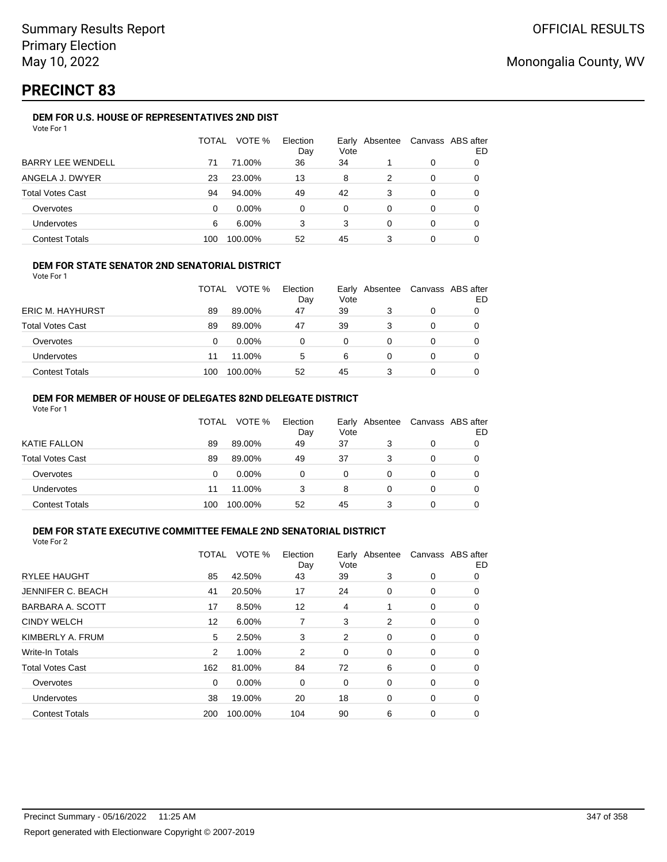## **PRECINCT 83**

### **DEM FOR U.S. HOUSE OF REPRESENTATIVES 2ND DIST**

|                          | TOTAL | VOTE %   | Election<br>Day | Vote | Early Absentee |   | Canvass ABS after<br>ED |
|--------------------------|-------|----------|-----------------|------|----------------|---|-------------------------|
| <b>BARRY LEE WENDELL</b> | 71    | 71.00%   | 36              | 34   |                | 0 |                         |
| ANGELA J. DWYER          | 23    | 23.00%   | 13              | 8    | 2              | 0 |                         |
| <b>Total Votes Cast</b>  | 94    | 94.00%   | 49              | 42   | 3              | 0 |                         |
| Overvotes                | 0     | $0.00\%$ | 0               | 0    | 0              | 0 |                         |
| Undervotes               | 6     | 6.00%    | 3               | 3    | 0              | 0 |                         |
| <b>Contest Totals</b>    | 100   | 100.00%  | 52              | 45   |                | 0 |                         |

### **DEM FOR STATE SENATOR 2ND SENATORIAL DISTRICT**

Vote For 1

|                         | TOTAL | VOTE %   | Election<br>Day | Vote | Early Absentee | Canvass ABS after<br>ED |
|-------------------------|-------|----------|-----------------|------|----------------|-------------------------|
| <b>ERIC M. HAYHURST</b> | 89    | 89.00%   | 47              | 39   |                |                         |
| <b>Total Votes Cast</b> | 89    | 89.00%   | 47              | 39   | 3              |                         |
| Overvotes               | 0     | $0.00\%$ |                 | 0    |                |                         |
| <b>Undervotes</b>       | 11    | 11.00%   | 5               | 6    |                |                         |
| <b>Contest Totals</b>   | 100   | 100.00%  | 52              | 45   |                |                         |

#### **DEM FOR MEMBER OF HOUSE OF DELEGATES 82ND DELEGATE DISTRICT** Vote For 1

|                         | TOTAL | VOTE %   | Election<br>Day | Vote | Early Absentee | Canvass ABS after | ED |
|-------------------------|-------|----------|-----------------|------|----------------|-------------------|----|
| <b>KATIE FALLON</b>     | 89    | 89.00%   | 49              | 37   | 3              | 0                 |    |
| <b>Total Votes Cast</b> | 89    | 89.00%   | 49              | 37   | 3              | 0                 |    |
| Overvotes               | 0     | $0.00\%$ | 0               | 0    | 0              | 0                 |    |
| <b>Undervotes</b>       | 11    | 11.00%   | 3               | 8    | 0              | $\Omega$          |    |
| <b>Contest Totals</b>   | 100   | 100.00%  | 52              | 45   |                | 0                 |    |

#### **DEM FOR STATE EXECUTIVE COMMITTEE FEMALE 2ND SENATORIAL DISTRICT** Vote For 2

|                          | TOTAL | VOTE %  | Election<br>Day | Vote | Early Absentee |   | Canvass ABS after<br>ED |
|--------------------------|-------|---------|-----------------|------|----------------|---|-------------------------|
| <b>RYLEE HAUGHT</b>      | 85    | 42.50%  | 43              | 39   | 3              | 0 | 0                       |
| <b>JENNIFER C. BEACH</b> | 41    | 20.50%  | 17              | 24   | 0              | 0 | 0                       |
| BARBARA A. SCOTT         | 17    | 8.50%   | 12              | 4    |                | 0 | 0                       |
| <b>CINDY WELCH</b>       | 12    | 6.00%   | 7               | 3    | 2              | 0 | $\Omega$                |
| KIMBERLY A. FRUM         | 5     | 2.50%   | 3               | 2    | $\Omega$       | 0 | 0                       |
| Write-In Totals          | 2     | 1.00%   | 2               | 0    | 0              | 0 | 0                       |
| <b>Total Votes Cast</b>  | 162   | 81.00%  | 84              | 72   | 6              | 0 | 0                       |
| Overvotes                | 0     | 0.00%   | 0               | 0    | $\Omega$       | 0 | 0                       |
| Undervotes               | 38    | 19.00%  | 20              | 18   | $\Omega$       | 0 | 0                       |
| <b>Contest Totals</b>    | 200   | 100.00% | 104             | 90   | 6              | 0 | 0                       |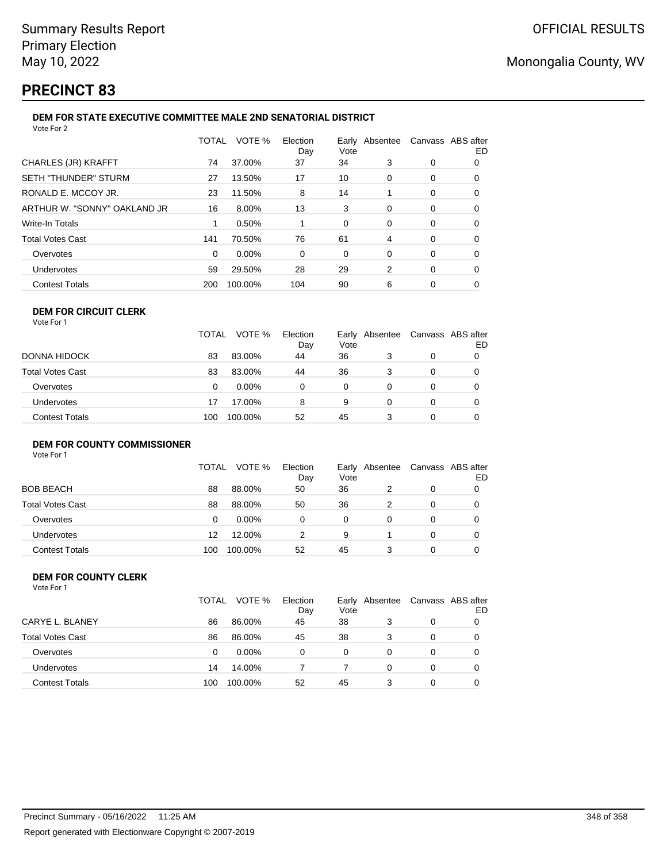## **PRECINCT 83**

#### **DEM FOR STATE EXECUTIVE COMMITTEE MALE 2ND SENATORIAL DISTRICT** Vote For 2

| 1 U U U L                    |          |         |                 |                        |   |                   |    |
|------------------------------|----------|---------|-----------------|------------------------|---|-------------------|----|
|                              | TOTAL    | VOTE %  | Election<br>Day | Early Absentee<br>Vote |   | Canvass ABS after | ED |
| CHARLES (JR) KRAFFT          | 74       | 37.00%  | 37              | 34                     | 3 | 0                 | 0  |
| SETH "THUNDER" STURM         | 27       | 13.50%  | 17              | 10                     | 0 | 0                 | 0  |
| RONALD E. MCCOY JR.          | 23       | 11.50%  | 8               | 14                     |   | 0                 | 0  |
| ARTHUR W. "SONNY" OAKLAND JR | 16       | 8.00%   | 13              | 3                      | 0 | 0                 | 0  |
| Write-In Totals              |          | 0.50%   |                 | 0                      | 0 | 0                 | 0  |
| Total Votes Cast             | 141      | 70.50%  | 76              | 61                     | 4 | 0                 | 0  |
| Overvotes                    | $\Omega$ | 0.00%   | 0               | 0                      | 0 | 0                 | 0  |
| Undervotes                   | 59       | 29.50%  | 28              | 29                     | 2 | 0                 | 0  |
| <b>Contest Totals</b>        | 200      | 100.00% | 104             | 90                     | 6 | 0                 | 0  |
|                              |          |         |                 |                        |   |                   |    |

#### **DEM FOR CIRCUIT CLERK** Vote For 1

|                   | <b>TOTAL</b> | VOTE %   | Election<br>Day | Vote | Early Absentee |   | Canvass ABS after<br>ED |
|-------------------|--------------|----------|-----------------|------|----------------|---|-------------------------|
| DONNA HIDOCK      | 83           | 83.00%   | 44              | 36   | 3              | 0 |                         |
| Total Votes Cast  | 83           | 83.00%   | 44              | 36   | 3              | 0 |                         |
| Overvotes         | 0            | $0.00\%$ |                 | 0    |                |   |                         |
| <b>Undervotes</b> | 17           | 17.00%   | 8               | 9    |                |   | 0                       |
| Contest Totals    | 100          | 100.00%  | 52              | 45   |                |   | 0                       |

## **DEM FOR COUNTY COMMISSIONER**

Vote For 1

|                       | TOTAL | VOTE %   | Election<br>Day | Vote | Early Absentee | Canvass ABS after | ED |
|-----------------------|-------|----------|-----------------|------|----------------|-------------------|----|
| BOB BEACH             | 88    | 88.00%   | 50              | 36   |                | 0                 |    |
| Total Votes Cast      | 88    | 88.00%   | 50              | 36   |                | 0                 |    |
| Overvotes             | 0     | $0.00\%$ |                 | 0    |                | 0                 |    |
| Undervotes            | 12    | 12.00%   | 2               | 9    |                | 0                 |    |
| <b>Contest Totals</b> | 100   | 100.00%  | 52              | 45   |                | 0                 |    |

#### **DEM FOR COUNTY CLERK** Vote For 1

|                         | TOTAL | VOTE %   | Election<br>Day | Vote | Early Absentee |          | Canvass ABS after<br>ED |
|-------------------------|-------|----------|-----------------|------|----------------|----------|-------------------------|
| CARYE L. BLANEY         | 86    | 86.00%   | 45              | 38   | 3              | 0        |                         |
| <b>Total Votes Cast</b> | 86    | 86.00%   | 45              | 38   | 3              | 0        |                         |
| Overvotes               | 0     | $0.00\%$ | 0               | 0    | 0              | 0        |                         |
| Undervotes              | 14    | 14.00%   |                 |      | 0              | $\Omega$ |                         |
| <b>Contest Totals</b>   | 100   | 100.00%  | 52              | 45   | 3              |          |                         |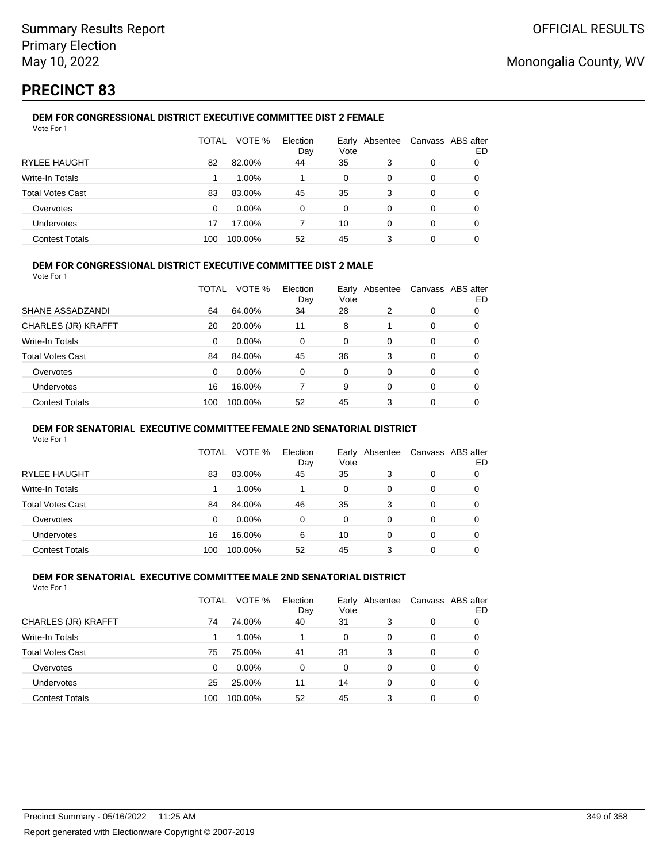## **PRECINCT 83**

#### **DEM FOR CONGRESSIONAL DISTRICT EXECUTIVE COMMITTEE DIST 2 FEMALE** Vote For 1

|                         | TOTAL | VOTE %   | Election<br>Day | Vote | Early Absentee |   | Canvass ABS after<br>ED |
|-------------------------|-------|----------|-----------------|------|----------------|---|-------------------------|
| <b>RYLEE HAUGHT</b>     | 82    | 82.00%   | 44              | 35   | 3              | 0 |                         |
| Write-In Totals         |       | 1.00%    |                 | 0    | $\Omega$       | 0 |                         |
| <b>Total Votes Cast</b> | 83    | 83.00%   | 45              | 35   | 3              | 0 |                         |
| Overvotes               | 0     | $0.00\%$ | $\Omega$        | 0    | 0              | 0 | O                       |
| Undervotes              | 17    | 17.00%   |                 | 10   | 0              | 0 | O                       |
| <b>Contest Totals</b>   | 100   | 100.00%  | 52              | 45   | 3              | 0 |                         |

### **DEM FOR CONGRESSIONAL DISTRICT EXECUTIVE COMMITTEE DIST 2 MALE**

Vote For 1

|                         | TOTAL | VOTE %   | Election<br>Day | Early<br>Vote | Absentee |          | Canvass ABS after<br>ED |
|-------------------------|-------|----------|-----------------|---------------|----------|----------|-------------------------|
| SHANE ASSADZANDI        | 64    | 64.00%   | 34              | 28            | 2        | 0        | 0                       |
| CHARLES (JR) KRAFFT     | 20    | 20.00%   | 11              | 8             |          | $\Omega$ | 0                       |
| Write-In Totals         | 0     | $0.00\%$ | 0               | $\Omega$      | $\Omega$ | $\Omega$ | 0                       |
| <b>Total Votes Cast</b> | 84    | 84.00%   | 45              | 36            | 3        | $\Omega$ | 0                       |
| Overvotes               | 0     | 0.00%    | 0               | $\Omega$      | 0        | $\Omega$ | 0                       |
| <b>Undervotes</b>       | 16    | 16.00%   |                 | 9             | $\Omega$ | $\Omega$ | 0                       |
| <b>Contest Totals</b>   | 100   | 100.00%  | 52              | 45            | 3        | $\Omega$ | 0                       |

#### **DEM FOR SENATORIAL EXECUTIVE COMMITTEE FEMALE 2ND SENATORIAL DISTRICT**

Vote For 1

|                         | TOTAL | VOTE %   | Election<br>Day | Vote | Early Absentee | Canvass ABS after | ED |
|-------------------------|-------|----------|-----------------|------|----------------|-------------------|----|
| RYLEE HAUGHT            | 83    | 83.00%   | 45              | 35   | 3              | 0                 |    |
| Write-In Totals         |       | $1.00\%$ |                 | 0    | 0              | 0                 |    |
| <b>Total Votes Cast</b> | 84    | 84.00%   | 46              | 35   | 3              | 0                 |    |
| Overvotes               | 0     | $0.00\%$ | 0               | 0    | 0              | 0                 |    |
| <b>Undervotes</b>       | 16    | 16.00%   | 6               | 10   | 0              | 0                 |    |
| <b>Contest Totals</b>   | 100   | 100.00%  | 52              | 45   | 3              | 0                 |    |

#### **DEM FOR SENATORIAL EXECUTIVE COMMITTEE MALE 2ND SENATORIAL DISTRICT** Vote For 1

| 1 J J J J J J           |       |          |                 |      |                |                   |    |
|-------------------------|-------|----------|-----------------|------|----------------|-------------------|----|
|                         | TOTAL | VOTE %   | Election<br>Day | Vote | Early Absentee | Canvass ABS after | ED |
| CHARLES (JR) KRAFFT     | 74    | 74.00%   | 40              | 31   | 3              | 0                 | O  |
| Write-In Totals         |       | 1.00%    |                 | 0    | 0              | 0                 | O  |
| <b>Total Votes Cast</b> | 75    | 75.00%   | 41              | 31   | 3              | 0                 | 0  |
| Overvotes               | 0     | $0.00\%$ | 0               | 0    | 0              | 0                 | 0  |
| <b>Undervotes</b>       | 25    | 25.00%   | 11              | 14   | 0              | 0                 | 0  |
| <b>Contest Totals</b>   | 100   | 100.00%  | 52              | 45   | 3              | 0                 |    |
|                         |       |          |                 |      |                |                   |    |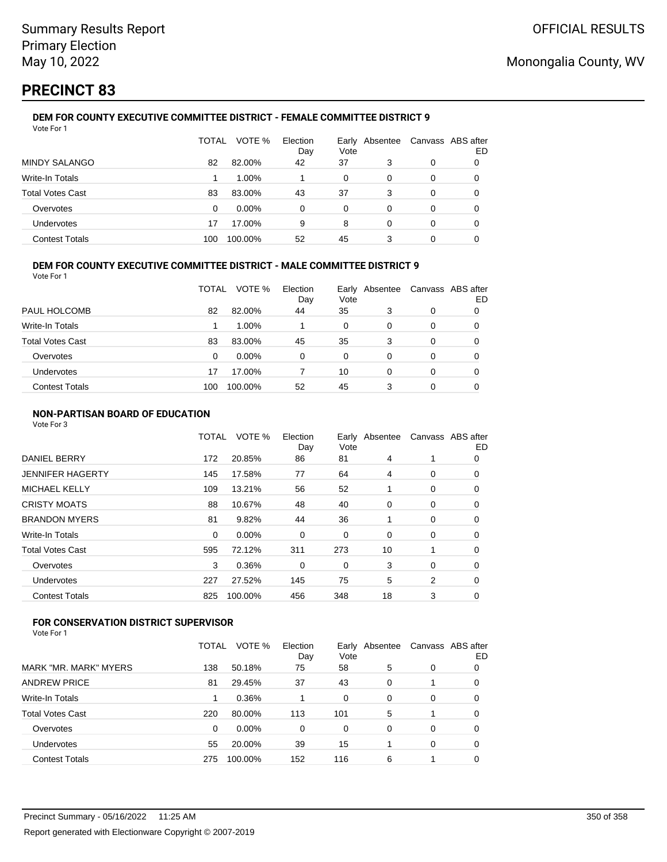## **PRECINCT 83**

#### **DEM FOR COUNTY EXECUTIVE COMMITTEE DISTRICT - FEMALE COMMITTEE DISTRICT 9** Vote For 1

|                         | TOTAL | VOTE %   | Election<br>Day | Vote | Early Absentee | Canvass ABS after | ED |
|-------------------------|-------|----------|-----------------|------|----------------|-------------------|----|
| <b>MINDY SALANGO</b>    | 82    | 82.00%   | 42              | 37   | 3              | 0                 |    |
| Write-In Totals         |       | 1.00%    |                 | 0    | 0              | 0                 |    |
| <b>Total Votes Cast</b> | 83    | 83.00%   | 43              | 37   | 3              | 0                 |    |
| Overvotes               | 0     | $0.00\%$ | $\Omega$        | 0    | 0              | 0                 |    |
| Undervotes              | 17    | 17.00%   | 9               | 8    | 0              | 0                 |    |
| <b>Contest Totals</b>   | 100   | 100.00%  | 52              | 45   |                | 0                 |    |

### **DEM FOR COUNTY EXECUTIVE COMMITTEE DISTRICT - MALE COMMITTEE DISTRICT 9**

Vote For 1

|                         | TOTAL | VOTE %   | Election<br>Day | Vote     | Early Absentee | Canvass ABS after | ED |
|-------------------------|-------|----------|-----------------|----------|----------------|-------------------|----|
| PAUL HOLCOMB            | 82    | 82.00%   | 44              | 35       | 3              | 0                 |    |
| Write-In Totals         |       | $1.00\%$ |                 | 0        | 0              | 0                 | O  |
| <b>Total Votes Cast</b> | 83    | 83.00%   | 45              | 35       | 3              | 0                 |    |
| Overvotes               | 0     | $0.00\%$ | 0               | $\Omega$ | 0              | 0                 |    |
| <b>Undervotes</b>       | 17    | 17.00%   |                 | 10       | 0              | 0                 | O  |
| <b>Contest Totals</b>   | 100   | 100.00%  | 52              | 45       | 3              | 0                 |    |

### **NON-PARTISAN BOARD OF EDUCATION**

Vote For 3

|                       | TOTAL    | VOTE %  | Election<br>Day | Vote | Early Absentee | Canvass ABS after | ED |
|-----------------------|----------|---------|-----------------|------|----------------|-------------------|----|
| <b>DANIEL BERRY</b>   | 172      | 20.85%  | 86              | 81   | 4              |                   | 0  |
| JENNIFER HAGERTY      | 145      | 17.58%  | 77              | 64   | 4              | 0                 | 0  |
| <b>MICHAEL KELLY</b>  | 109      | 13.21%  | 56              | 52   |                | 0                 | 0  |
| CRISTY MOATS          | 88       | 10.67%  | 48              | 40   | 0              | 0                 | 0  |
| <b>BRANDON MYERS</b>  | 81       | 9.82%   | 44              | 36   |                | 0                 | 0  |
| Write-In Totals       | $\Omega$ | 0.00%   | 0               | 0    | 0              | 0                 | 0  |
| Total Votes Cast      | 595      | 72.12%  | 311             | 273  | 10             | 1                 | 0  |
| Overvotes             | 3        | 0.36%   | 0               | 0    | 3              | 0                 | 0  |
| Undervotes            | 227      | 27.52%  | 145             | 75   | 5              | 2                 | 0  |
| <b>Contest Totals</b> | 825      | 100.00% | 456             | 348  | 18             | 3                 | 0  |
|                       |          |         |                 |      |                |                   |    |

## **FOR CONSERVATION DISTRICT SUPERVISOR**

|                         | TOTAL | VOTE %   | Election<br>Day | Vote | Early Absentee |   | Canvass ABS after<br>ED |
|-------------------------|-------|----------|-----------------|------|----------------|---|-------------------------|
| MARK "MR. MARK" MYERS   | 138   | 50.18%   | 75              | 58   | 5              | 0 | 0                       |
| <b>ANDREW PRICE</b>     | 81    | 29.45%   | 37              | 43   | 0              |   | 0                       |
| Write-In Totals         |       | 0.36%    |                 | 0    | 0              | 0 | 0                       |
| <b>Total Votes Cast</b> | 220   | 80.00%   | 113             | 101  | 5              |   | 0                       |
| Overvotes               | 0     | $0.00\%$ | 0               | 0    | 0              | 0 | 0                       |
| Undervotes              | 55    | 20.00%   | 39              | 15   |                | 0 | 0                       |
| <b>Contest Totals</b>   | 275   | 100.00%  | 152             | 116  | 6              |   | 0                       |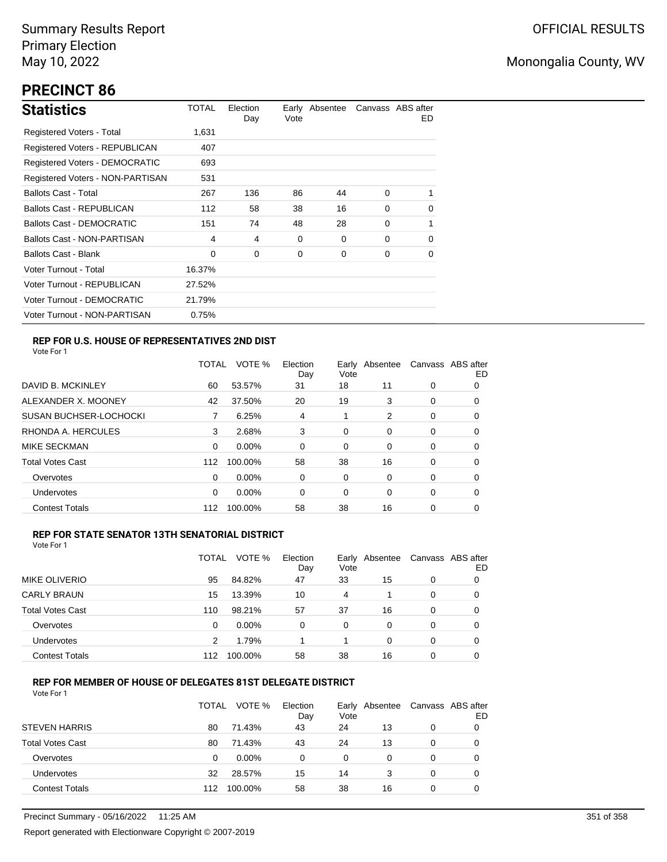## **PRECINCT 86**

| <b>Statistics</b>                | TOTAL  | Election<br>Day | Vote | Early Absentee |          | Canvass ABS after<br>ED. |
|----------------------------------|--------|-----------------|------|----------------|----------|--------------------------|
| Registered Voters - Total        | 1,631  |                 |      |                |          |                          |
| Registered Voters - REPUBLICAN   | 407    |                 |      |                |          |                          |
| Registered Voters - DEMOCRATIC   | 693    |                 |      |                |          |                          |
| Registered Voters - NON-PARTISAN | 531    |                 |      |                |          |                          |
| <b>Ballots Cast - Total</b>      | 267    | 136             | 86   | 44             | $\Omega$ | 1                        |
| <b>Ballots Cast - REPUBLICAN</b> | 112    | 58              | 38   | 16             | $\Omega$ | 0                        |
| Ballots Cast - DEMOCRATIC        | 151    | 74              | 48   | 28             | $\Omega$ | 1                        |
| Ballots Cast - NON-PARTISAN      | 4      | 4               | 0    | $\Omega$       | $\Omega$ | 0                        |
| Ballots Cast - Blank             | 0      | 0               | 0    | 0              | 0        | 0                        |
| Voter Turnout - Total            | 16.37% |                 |      |                |          |                          |
| Voter Turnout - REPUBLICAN       | 27.52% |                 |      |                |          |                          |
| Voter Turnout - DEMOCRATIC       | 21.79% |                 |      |                |          |                          |
| Voter Turnout - NON-PARTISAN     | 0.75%  |                 |      |                |          |                          |

## **REP FOR U.S. HOUSE OF REPRESENTATIVES 2ND DIST**

Vote For 1

|                               | TOTAL | VOTE %   | Election<br>Day | Earlv<br>Vote | Absentee |   | Canvass ABS after<br>ED |
|-------------------------------|-------|----------|-----------------|---------------|----------|---|-------------------------|
| DAVID B. MCKINLEY             | 60    | 53.57%   | 31              | 18            | 11       | 0 | O                       |
| ALEXANDER X. MOONEY           | 42    | 37.50%   | 20              | 19            | 3        | 0 | 0                       |
| <b>SUSAN BUCHSER-LOCHOCKI</b> |       | 6.25%    | 4               | 1             | 2        | 0 | 0                       |
| RHONDA A. HERCULES            | 3     | 2.68%    | 3               | 0             | 0        | 0 | 0                       |
| MIKE SECKMAN                  | 0     | $0.00\%$ | $\Omega$        | 0             | 0        | 0 | 0                       |
| <b>Total Votes Cast</b>       | 112   | 100.00%  | 58              | 38            | 16       | 0 | 0                       |
| Overvotes                     | 0     | $0.00\%$ | 0               | 0             | 0        | 0 | 0                       |
| <b>Undervotes</b>             | 0     | $0.00\%$ | 0               | 0             | 0        | 0 | 0                       |
| <b>Contest Totals</b>         | 112   | 100.00%  | 58              | 38            | 16       | 0 | 0                       |

### **REP FOR STATE SENATOR 13TH SENATORIAL DISTRICT**

| Vote For 1 |  |
|------------|--|
|            |  |

|                         | TOTAL | VOTE %   | Election<br>Day | Vote | Early Absentee |   | Canvass ABS after<br>ED |
|-------------------------|-------|----------|-----------------|------|----------------|---|-------------------------|
| MIKE OLIVERIO           | 95    | 84.82%   | 47              | 33   | 15             | 0 | 0                       |
| <b>CARLY BRAUN</b>      | 15    | 13.39%   | 10              | 4    |                | 0 | O                       |
| <b>Total Votes Cast</b> | 110   | 98.21%   | 57              | 37   | 16             | 0 |                         |
| Overvotes               | 0     | $0.00\%$ | 0               | 0    | 0              | 0 |                         |
| Undervotes              | 2     | 1.79%    |                 |      | 0              | 0 | O                       |
| <b>Contest Totals</b>   | 112   | 100.00%  | 58              | 38   | 16             | 0 |                         |

### **REP FOR MEMBER OF HOUSE OF DELEGATES 81ST DELEGATE DISTRICT**

|                         | <b>TOTAL</b> | VOTE %  | Election<br>Day | Vote | Early Absentee | Canvass ABS after | ED |
|-------------------------|--------------|---------|-----------------|------|----------------|-------------------|----|
| <b>STEVEN HARRIS</b>    | 80           | 71.43%  | 43              | 24   | 13             | 0                 |    |
| <b>Total Votes Cast</b> | 80           | 71.43%  | 43              | 24   | 13             | 0                 |    |
| Overvotes               | 0            | 0.00%   | 0               | 0    | 0              | 0                 |    |
| Undervotes              | 32           | 28.57%  | 15              | 14   | 3              | 0                 |    |
| <b>Contest Totals</b>   | 112          | 100.00% | 58              | 38   | 16             | 0                 |    |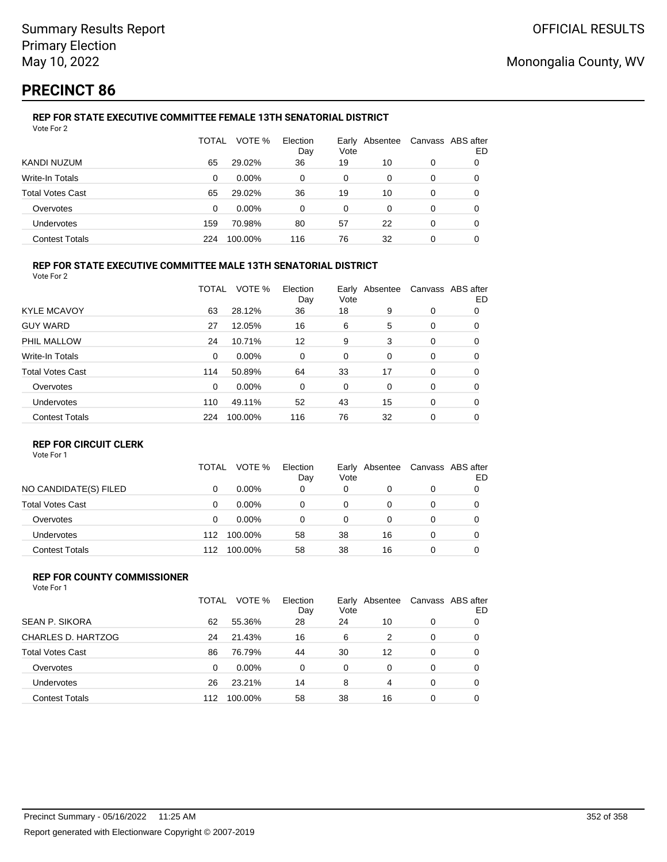## **PRECINCT 86**

#### **REP FOR STATE EXECUTIVE COMMITTEE FEMALE 13TH SENATORIAL DISTRICT** Vote For 2

|                         | TOTAL | VOTE %   | Election<br>Day | Vote | Early Absentee |   | Canvass ABS after<br>ED |
|-------------------------|-------|----------|-----------------|------|----------------|---|-------------------------|
| KANDI NUZUM             | 65    | 29.02%   | 36              | 19   | 10             | 0 |                         |
| Write-In Totals         | 0     | $0.00\%$ | 0               | 0    | 0              | 0 | O                       |
| <b>Total Votes Cast</b> | 65    | 29.02%   | 36              | 19   | 10             | 0 |                         |
| Overvotes               | 0     | $0.00\%$ | 0               | 0    | 0              | 0 |                         |
| Undervotes              | 159   | 70.98%   | 80              | 57   | 22             | 0 | O                       |
| <b>Contest Totals</b>   | 224   | 100.00%  | 116             | 76   | 32             | 0 |                         |

### **REP FOR STATE EXECUTIVE COMMITTEE MALE 13TH SENATORIAL DISTRICT**

Vote For 2

|                         | TOTAL    | VOTE %   | Election<br>Day | Vote | Early Absentee |   | Canvass ABS after<br>ED |
|-------------------------|----------|----------|-----------------|------|----------------|---|-------------------------|
| <b>KYLE MCAVOY</b>      | 63       | 28.12%   | 36              | 18   | 9              | 0 | 0                       |
| <b>GUY WARD</b>         | 27       | 12.05%   | 16              | 6    | 5              | 0 | 0                       |
| PHIL MALLOW             | 24       | 10.71%   | 12              | 9    | 3              | 0 | 0                       |
| <b>Write-In Totals</b>  | $\Omega$ | $0.00\%$ | 0               | 0    | 0              | 0 | 0                       |
| <b>Total Votes Cast</b> | 114      | 50.89%   | 64              | 33   | 17             | 0 | 0                       |
| Overvotes               | 0        | $0.00\%$ | 0               | 0    | 0              | 0 | 0                       |
| Undervotes              | 110      | 49.11%   | 52              | 43   | 15             | 0 | 0                       |
| <b>Contest Totals</b>   | 224      | 100.00%  | 116             | 76   | 32             | 0 | 0                       |

### **REP FOR CIRCUIT CLERK**

Vote For 1

|                         | TOTAL | VOTE %   | Election<br>Day | Vote | Early Absentee | Canvass ABS after | ED |
|-------------------------|-------|----------|-----------------|------|----------------|-------------------|----|
| NO CANDIDATE(S) FILED   |       | $0.00\%$ | 0               | 0    |                | 0                 |    |
| <b>Total Votes Cast</b> | 0     | $0.00\%$ | 0               | 0    | Ω              | 0                 |    |
| Overvotes               | 0     | $0.00\%$ | 0               | 0    | Ω              | 0                 |    |
| <b>Undervotes</b>       | 112   | 100.00%  | 58              | 38   | 16             | 0                 |    |
| <b>Contest Totals</b>   | 112   | 100.00%  | 58              | 38   | 16             | 0                 |    |

#### **REP FOR COUNTY COMMISSIONER** Vote For 1

|                         | TOTAL | VOTE %   | Election<br>Day | Vote     | Early Absentee |          | Canvass ABS after<br>ED |
|-------------------------|-------|----------|-----------------|----------|----------------|----------|-------------------------|
| <b>SEAN P. SIKORA</b>   | 62    | 55.36%   | 28              | 24       | 10             | 0        |                         |
| CHARLES D. HARTZOG      | 24    | 21.43%   | 16              | 6        | 2              | 0        | 0                       |
| <b>Total Votes Cast</b> | 86    | 76.79%   | 44              | 30       | 12             | 0        | 0                       |
| Overvotes               | 0     | $0.00\%$ | 0               | $\Omega$ | 0              | $\Omega$ | 0                       |
| <b>Undervotes</b>       | 26    | 23.21%   | 14              | 8        | 4              | $\Omega$ | 0                       |
| <b>Contest Totals</b>   | 112   | 100.00%  | 58              | 38       | 16             | $\Omega$ | 0                       |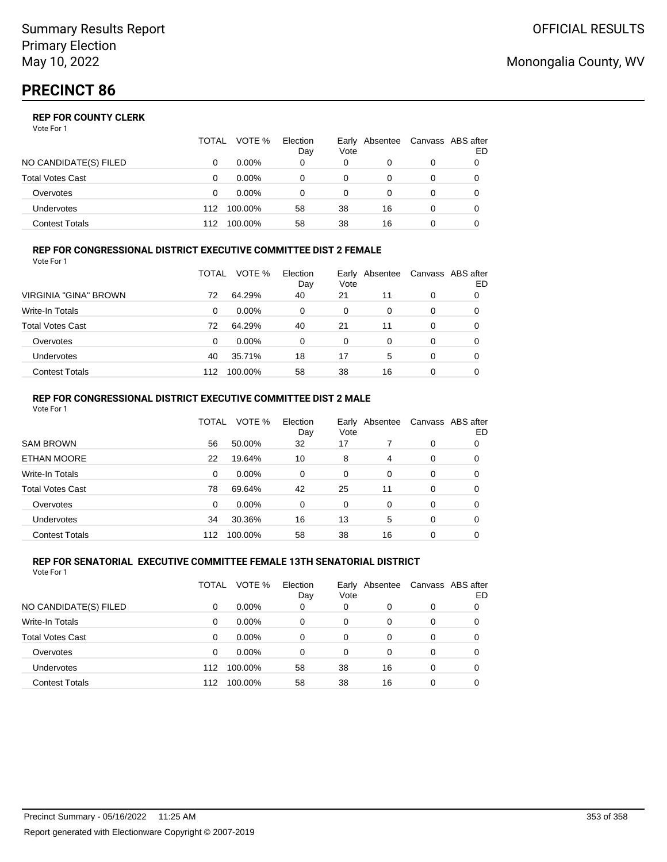# **PRECINCT 86**

## **REP FOR COUNTY CLERK**

Vote For 1

|                         | TOTAL | VOTE %   | Election<br>Day | Vote | Early Absentee | Canvass ABS after | ED |
|-------------------------|-------|----------|-----------------|------|----------------|-------------------|----|
| NO CANDIDATE(S) FILED   |       | $0.00\%$ | 0               | 0    |                | 0                 |    |
| <b>Total Votes Cast</b> |       | $0.00\%$ |                 | 0    |                | 0                 |    |
| Overvotes               |       | $0.00\%$ | 0               | 0    |                | 0                 |    |
| Undervotes              | 112   | 100.00%  | 58              | 38   | 16             | 0                 |    |
| <b>Contest Totals</b>   | 112   | 100.00%  | 58              | 38   | 16             |                   |    |

#### **REP FOR CONGRESSIONAL DISTRICT EXECUTIVE COMMITTEE DIST 2 FEMALE** Vote For 1

|                         | TOTAL | VOTE %   | Election<br>Day | Early<br>Vote | Absentee | Canvass ABS after | ED |
|-------------------------|-------|----------|-----------------|---------------|----------|-------------------|----|
| VIRGINIA "GINA" BROWN   | 72    | 64.29%   | 40              | 21            | 11       | 0                 | 0  |
| <b>Write-In Totals</b>  | 0     | $0.00\%$ | 0               | 0             | 0        | 0                 | O  |
| <b>Total Votes Cast</b> | 72    | 64.29%   | 40              | 21            | 11       | 0                 | O  |
| Overvotes               | 0     | $0.00\%$ | 0               | $\Omega$      | 0        | 0                 |    |
| <b>Undervotes</b>       | 40    | 35.71%   | 18              | 17            | 5        | 0                 |    |
| <b>Contest Totals</b>   | 112   | 100.00%  | 58              | 38            | 16       | 0                 |    |

#### **REP FOR CONGRESSIONAL DISTRICT EXECUTIVE COMMITTEE DIST 2 MALE** Vote For 1

|                         | TOTAL | VOTE %  | Election<br>Day | Vote     | Early Absentee |          | Canvass ABS after<br>ED |
|-------------------------|-------|---------|-----------------|----------|----------------|----------|-------------------------|
| <b>SAM BROWN</b>        | 56    | 50.00%  | 32              | 17       |                | $\Omega$ | 0                       |
| <b>ETHAN MOORE</b>      | 22    | 19.64%  | 10              | 8        | 4              | $\Omega$ | 0                       |
| Write-In Totals         | 0     | 0.00%   | $\Omega$        | 0        | $\Omega$       | $\Omega$ | 0                       |
| <b>Total Votes Cast</b> | 78    | 69.64%  | 42              | 25       | 11             | $\Omega$ | 0                       |
| Overvotes               | 0     | 0.00%   | 0               | $\Omega$ | $\Omega$       | $\Omega$ | 0                       |
| <b>Undervotes</b>       | 34    | 30.36%  | 16              | 13       | 5              | $\Omega$ | 0                       |
| <b>Contest Totals</b>   | 112   | 100.00% | 58              | 38       | 16             | $\Omega$ | 0                       |

#### **REP FOR SENATORIAL EXECUTIVE COMMITTEE FEMALE 13TH SENATORIAL DISTRICT** Vote For 1

|                         | TOTAL | VOTE %   | Election<br>Day | Vote     | Early Absentee |          | Canvass ABS after<br>ED |
|-------------------------|-------|----------|-----------------|----------|----------------|----------|-------------------------|
| NO CANDIDATE(S) FILED   | 0     | $0.00\%$ | 0               | 0        | 0              | 0        |                         |
| <b>Write-In Totals</b>  | 0     | $0.00\%$ | 0               | $\Omega$ | 0              | 0        |                         |
| <b>Total Votes Cast</b> | 0     | $0.00\%$ | 0               | 0        | 0              | 0        |                         |
| Overvotes               | 0     | $0.00\%$ | 0               | $\Omega$ | 0              | 0        |                         |
| Undervotes              | 112   | 100.00%  | 58              | 38       | 16             | $\Omega$ |                         |
| <b>Contest Totals</b>   | 112   | 100.00%  | 58              | 38       | 16             | 0        |                         |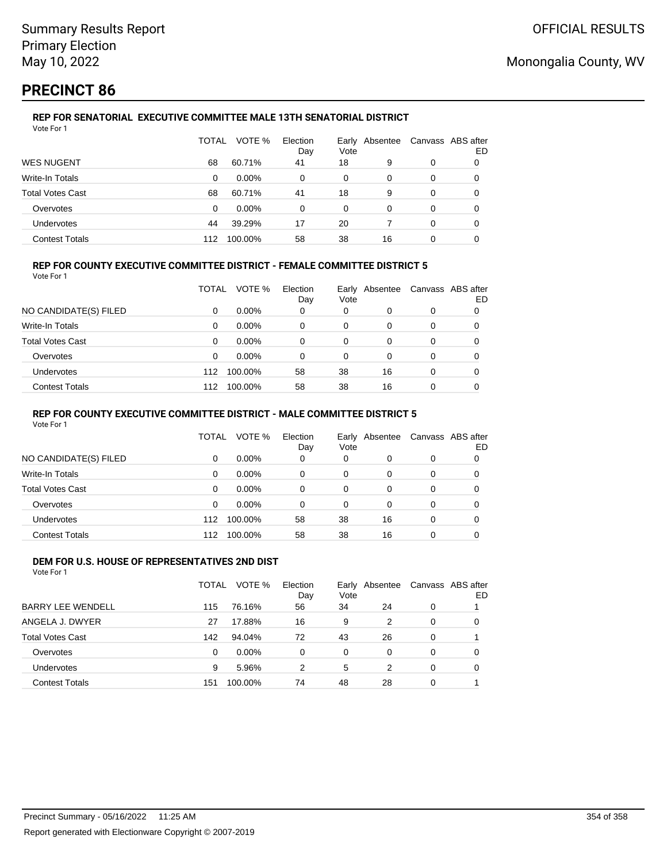## **PRECINCT 86**

#### **REP FOR SENATORIAL EXECUTIVE COMMITTEE MALE 13TH SENATORIAL DISTRICT** Vote For 1

|                         | TOTAL | VOTE %   | Election<br>Day | Vote | Early Absentee | Canvass ABS after | ED |
|-------------------------|-------|----------|-----------------|------|----------------|-------------------|----|
| <b>WES NUGENT</b>       | 68    | 60.71%   | 41              | 18   | 9              | 0                 | O  |
| Write-In Totals         | 0     | $0.00\%$ | 0               | 0    | 0              | 0                 |    |
| <b>Total Votes Cast</b> | 68    | 60.71%   | 41              | 18   | 9              | 0                 | 0  |
| Overvotes               | 0     | $0.00\%$ | 0               | 0    | 0              | 0                 |    |
| Undervotes              | 44    | 39.29%   | 17              | 20   |                | $\Omega$          | 0  |
| <b>Contest Totals</b>   | 112   | 100.00%  | 58              | 38   | 16             | 0                 |    |

### **REP FOR COUNTY EXECUTIVE COMMITTEE DISTRICT - FEMALE COMMITTEE DISTRICT 5**

Vote For 1

|                       | TOTAL | VOTE %   | Election<br>Day | Vote | Early Absentee | Canvass ABS after | ED |
|-----------------------|-------|----------|-----------------|------|----------------|-------------------|----|
| NO CANDIDATE(S) FILED | 0     | $0.00\%$ | 0               | 0    | 0              | 0                 |    |
| Write-In Totals       | 0     | $0.00\%$ | 0               | 0    | 0              | 0                 |    |
| Total Votes Cast      | 0     | $0.00\%$ | 0               | 0    | 0              | 0                 |    |
| Overvotes             | 0     | $0.00\%$ | 0               | 0    | 0              | 0                 |    |
| Undervotes            | 112   | 100.00%  | 58              | 38   | 16             | 0                 |    |
| <b>Contest Totals</b> | 112   | 100.00%  | 58              | 38   | 16             | 0                 |    |

### **REP FOR COUNTY EXECUTIVE COMMITTEE DISTRICT - MALE COMMITTEE DISTRICT 5**

Vote For 1

|                       | TOTAL    | VOTE %   | Election<br>Day | Vote | Early Absentee |          | Canvass ABS after<br>ED |
|-----------------------|----------|----------|-----------------|------|----------------|----------|-------------------------|
| NO CANDIDATE(S) FILED | 0        | $0.00\%$ | 0               | 0    | 0              | 0        | 0                       |
| Write-In Totals       | $\Omega$ | $0.00\%$ | 0               | 0    | 0              | 0        | 0                       |
| Total Votes Cast      | 0        | $0.00\%$ | 0               | 0    | 0              | 0        | 0                       |
| Overvotes             | $\Omega$ | $0.00\%$ | 0               | 0    | 0              | 0        | 0                       |
| <b>Undervotes</b>     | 112      | 100.00%  | 58              | 38   | 16             | $\Omega$ | 0                       |
| <b>Contest Totals</b> | 112      | 100.00%  | 58              | 38   | 16             | 0        |                         |

#### **DEM FOR U.S. HOUSE OF REPRESENTATIVES 2ND DIST** Vote For 1

|                          | TOTAL    | VOTE %   | Election<br>Day | Vote     | Early Absentee |          | Canvass ABS after<br>ED |
|--------------------------|----------|----------|-----------------|----------|----------------|----------|-------------------------|
| <b>BARRY LEE WENDELL</b> | 115      | 76.16%   | 56              | 34       | 24             | 0        |                         |
| ANGELA J. DWYER          | 27       | 17.88%   | 16              | 9        | 2              | $\Omega$ | 0                       |
| <b>Total Votes Cast</b>  | 142      | 94.04%   | 72              | 43       | 26             | $\Omega$ |                         |
| Overvotes                | $\Omega$ | $0.00\%$ | 0               | $\Omega$ | 0              | $\Omega$ | 0                       |
| Undervotes               | 9        | 5.96%    | 2               | 5        | $\mathcal{P}$  | $\Omega$ | 0                       |
| <b>Contest Totals</b>    | 151      | 100.00%  | 74              | 48       | 28             | 0        |                         |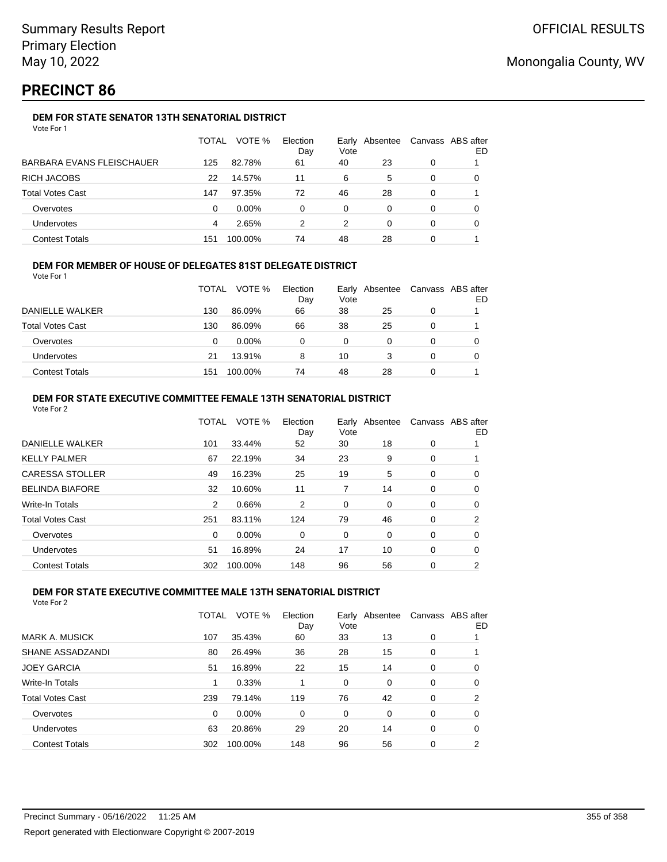## **PRECINCT 86**

## **DEM FOR STATE SENATOR 13TH SENATORIAL DISTRICT**

|                           | TOTAL | VOTE %   | Election<br>Day | Vote | Early Absentee |   | Canvass ABS after<br>ED |
|---------------------------|-------|----------|-----------------|------|----------------|---|-------------------------|
| BARBARA EVANS FLEISCHAUER | 125   | 82.78%   | 61              | 40   | 23             | 0 |                         |
| RICH JACOBS               | 22    | 14.57%   | 11              | 6    | 5              | 0 |                         |
| Total Votes Cast          | 147   | 97.35%   | 72              | 46   | 28             | 0 |                         |
| Overvotes                 | 0     | $0.00\%$ | 0               | 0    | 0              | 0 |                         |
| Undervotes                | 4     | 2.65%    | 2               | 2    | 0              | 0 | 0                       |
| <b>Contest Totals</b>     | 151   | 100.00%  | 74              | 48   | 28             | 0 |                         |

### **DEM FOR MEMBER OF HOUSE OF DELEGATES 81ST DELEGATE DISTRICT**

Vote For 1

|                         | <b>TOTAL</b> | VOTE %   | Election<br>Day | Vote | Early Absentee | Canvass ABS after<br>ED |
|-------------------------|--------------|----------|-----------------|------|----------------|-------------------------|
| DANIELLE WALKER         | 130          | 86.09%   | 66              | 38   | 25             |                         |
| <b>Total Votes Cast</b> | 130          | 86.09%   | 66              | 38   | 25             |                         |
| Overvotes               | 0            | $0.00\%$ |                 | 0    |                |                         |
| <b>Undervotes</b>       | 21           | 13.91%   | 8               | 10   | 3              |                         |
| <b>Contest Totals</b>   | 151          | 100.00%  | 74              | 48   | 28             |                         |

#### **DEM FOR STATE EXECUTIVE COMMITTEE FEMALE 13TH SENATORIAL DISTRICT** Vote For 2

| <b>VULE FUL Z</b>       |          |         |                 |      |                |   |                         |
|-------------------------|----------|---------|-----------------|------|----------------|---|-------------------------|
|                         | TOTAL    | VOTE %  | Election<br>Day | Vote | Early Absentee |   | Canvass ABS after<br>ED |
| DANIELLE WALKER         | 101      | 33.44%  | 52              | 30   | 18             | 0 |                         |
| <b>KELLY PALMER</b>     | 67       | 22.19%  | 34              | 23   | 9              | 0 |                         |
| <b>CARESSA STOLLER</b>  | 49       | 16.23%  | 25              | 19   | 5              | 0 | 0                       |
| <b>BELINDA BIAFORE</b>  | 32       | 10.60%  | 11              | 7    | 14             | 0 | 0                       |
| Write-In Totals         | 2        | 0.66%   | 2               | 0    | 0              | 0 | 0                       |
| <b>Total Votes Cast</b> | 251      | 83.11%  | 124             | 79   | 46             | 0 | 2                       |
| Overvotes               | $\Omega$ | 0.00%   | 0               | 0    | 0              | 0 | 0                       |
| <b>Undervotes</b>       | 51       | 16.89%  | 24              | 17   | 10             | 0 | 0                       |
| <b>Contest Totals</b>   | 302      | 100.00% | 148             | 96   | 56             | 0 | 2                       |
|                         |          |         |                 |      |                |   |                         |

### **DEM FOR STATE EXECUTIVE COMMITTEE MALE 13TH SENATORIAL DISTRICT**

|                         | TOTAL | VOTE %   | Election<br>Day | Vote | Early Absentee |          | Canvass ABS after<br>ED |
|-------------------------|-------|----------|-----------------|------|----------------|----------|-------------------------|
| MARK A. MUSICK          | 107   | 35.43%   | 60              | 33   | 13             | 0        |                         |
| SHANE ASSADZANDI        | 80    | 26.49%   | 36              | 28   | 15             | 0        |                         |
| <b>JOEY GARCIA</b>      | 51    | 16.89%   | 22              | 15   | 14             | 0        | 0                       |
| Write-In Totals         |       | 0.33%    |                 | 0    | $\Omega$       | 0        | 0                       |
| <b>Total Votes Cast</b> | 239   | 79.14%   | 119             | 76   | 42             | $\Omega$ | 2                       |
| Overvotes               | 0     | $0.00\%$ | $\Omega$        | 0    | $\Omega$       | $\Omega$ | 0                       |
| Undervotes              | 63    | 20.86%   | 29              | 20   | 14             | $\Omega$ | 0                       |
| <b>Contest Totals</b>   | 302   | 100.00%  | 148             | 96   | 56             | 0        | 2                       |
|                         |       |          |                 |      |                |          |                         |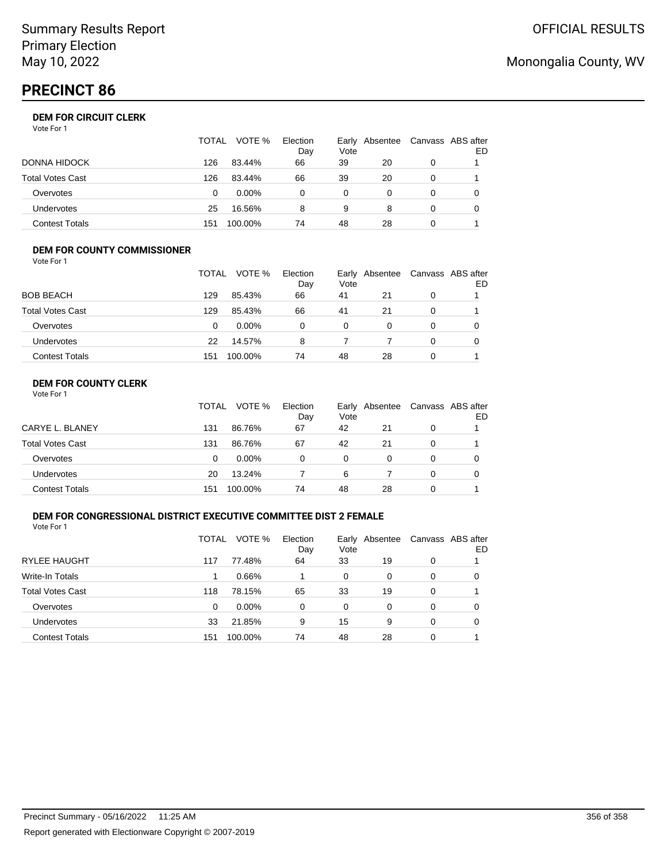## **PRECINCT 86**

## **DEM FOR CIRCUIT CLERK**

| Vote For 1 |  |
|------------|--|
|------------|--|

|                       | <b>TOTAL</b> | VOTE %   | Election<br>Day | Vote | Early Absentee | Canvass ABS after | ED |
|-----------------------|--------------|----------|-----------------|------|----------------|-------------------|----|
| DONNA HIDOCK          | 126          | 83.44%   | 66              | 39   | 20             | 0                 |    |
| Total Votes Cast      | 126          | 83.44%   | 66              | 39   | 20             |                   |    |
| Overvotes             | 0            | $0.00\%$ | 0               | 0    |                |                   |    |
| <b>Undervotes</b>     | 25           | 16.56%   | 8               | 9    | 8              |                   |    |
| <b>Contest Totals</b> | 151          | 100.00%  | 74              | 48   | 28             |                   |    |

#### **DEM FOR COUNTY COMMISSIONER** Vote For 1

|                         | TOTAL | VOTE %  | Election<br>Day | Vote | Early Absentee | Canvass ABS after | ED |
|-------------------------|-------|---------|-----------------|------|----------------|-------------------|----|
| <b>BOB BEACH</b>        | 129   | 85.43%  | 66              | 41   | 21             | $\Omega$          |    |
| <b>Total Votes Cast</b> | 129   | 85.43%  | 66              | 41   | 21             | 0                 |    |
| Overvotes               | 0     | 0.00%   | 0               | 0    | 0              | 0                 |    |
| <b>Undervotes</b>       | 22    | 14.57%  | 8               |      |                | $\Omega$          |    |
| <b>Contest Totals</b>   | 151   | 100.00% | 74              | 48   | 28             | 0                 |    |

## **DEM FOR COUNTY CLERK**

|                         | TOTAL | VOTE %   | Election<br>Day | Vote | Early Absentee | Canvass ABS after | ED |
|-------------------------|-------|----------|-----------------|------|----------------|-------------------|----|
| CARYE L. BLANEY         | 131   | 86.76%   | 67              | 42   | 21             | 0                 |    |
| <b>Total Votes Cast</b> | 131   | 86.76%   | 67              | 42   | 21             | 0                 |    |
| Overvotes               | 0     | $0.00\%$ | 0               | 0    | 0              | 0                 |    |
| Undervotes              | 20    | 13.24%   |                 | 6    |                | 0                 |    |
| <b>Contest Totals</b>   | 151   | 100.00%  | 74              | 48   | 28             | 0                 |    |

### **DEM FOR CONGRESSIONAL DISTRICT EXECUTIVE COMMITTEE DIST 2 FEMALE**

Vote For 1

|                         | TOTAL | VOTE %   | Election<br>Day | Early<br>Vote | Absentee | Canvass ABS after | ED |
|-------------------------|-------|----------|-----------------|---------------|----------|-------------------|----|
| <b>RYLEE HAUGHT</b>     | 117   | 77.48%   | 64              | 33            | 19       | 0                 |    |
| Write-In Totals         |       | 0.66%    |                 | 0             | 0        | 0                 | O  |
| <b>Total Votes Cast</b> | 118   | 78.15%   | 65              | 33            | 19       | 0                 |    |
| Overvotes               | 0     | $0.00\%$ | $\Omega$        | 0             | 0        | 0                 | 0  |
| Undervotes              | 33    | 21.85%   | 9               | 15            | 9        | 0                 | 0  |
| <b>Contest Totals</b>   | 151   | 100.00%  | 74              | 48            | 28       | 0                 |    |

## Monongalia County, WV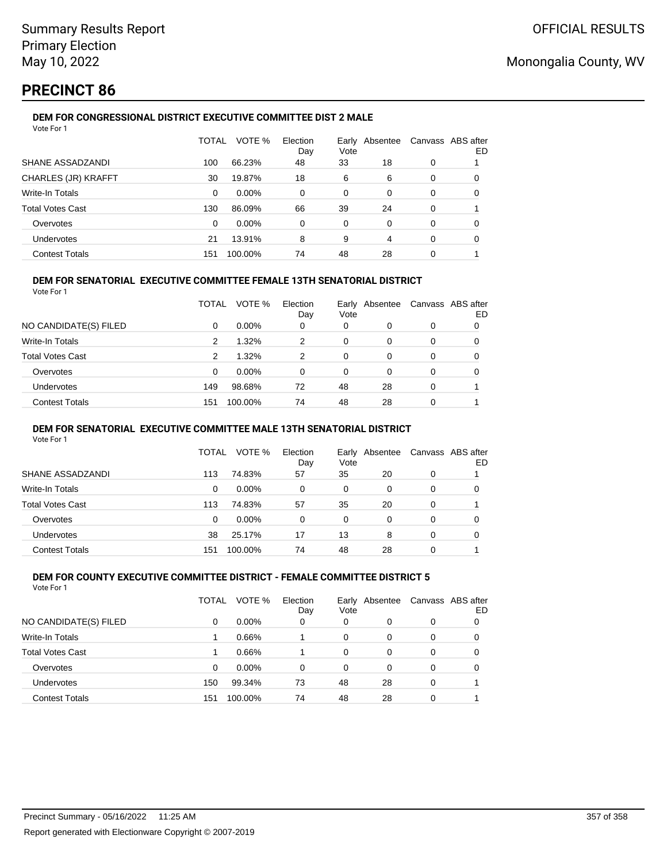## **PRECINCT 86**

#### **DEM FOR CONGRESSIONAL DISTRICT EXECUTIVE COMMITTEE DIST 2 MALE** Vote For 1

|                         | TOTAL | VOTE %  | Election<br>Day | Vote     | Early Absentee |          | Canvass ABS after<br>ED |
|-------------------------|-------|---------|-----------------|----------|----------------|----------|-------------------------|
| SHANE ASSADZANDI        | 100   | 66.23%  | 48              | 33       | 18             | 0        |                         |
| CHARLES (JR) KRAFFT     | 30    | 19.87%  | 18              | 6        | 6              | $\Omega$ | $\Omega$                |
| Write-In Totals         | 0     | 0.00%   | 0               | 0        | $\Omega$       | $\Omega$ | 0                       |
| <b>Total Votes Cast</b> | 130   | 86.09%  | 66              | 39       | 24             | 0        |                         |
| Overvotes               | 0     | 0.00%   | 0               | $\Omega$ | $\Omega$       | $\Omega$ | 0                       |
| <b>Undervotes</b>       | 21    | 13.91%  | 8               | 9        | 4              | $\Omega$ | 0                       |
| <b>Contest Totals</b>   | 151   | 100.00% | 74              | 48       | 28             | $\Omega$ |                         |

### **DEM FOR SENATORIAL EXECUTIVE COMMITTEE FEMALE 13TH SENATORIAL DISTRICT**

Vote For 1

|                         | TOTAL | VOTE %   | Election<br>Day | Vote | Early Absentee |          | Canvass ABS after<br>ED |
|-------------------------|-------|----------|-----------------|------|----------------|----------|-------------------------|
| NO CANDIDATE(S) FILED   | 0     | $0.00\%$ | 0               | 0    | 0              | 0        |                         |
| <b>Write-In Totals</b>  | 2     | 1.32%    | 2               | 0    | 0              |          | 0                       |
| <b>Total Votes Cast</b> | 2     | 1.32%    | 2               | 0    | 0              | 0        | 0                       |
| Overvotes               | 0     | $0.00\%$ | 0               | 0    | 0              | 0        |                         |
| Undervotes              | 149   | 98.68%   | 72              | 48   | 28             | $\Omega$ |                         |
| <b>Contest Totals</b>   | 151   | 100.00%  | 74              | 48   | 28             | 0        |                         |

#### **DEM FOR SENATORIAL EXECUTIVE COMMITTEE MALE 13TH SENATORIAL DISTRICT**

Vote For 1

|                         | TOTAL | VOTE %   | Election<br>Day | Vote | Early Absentee |   | Canvass ABS after<br>ED |
|-------------------------|-------|----------|-----------------|------|----------------|---|-------------------------|
| SHANE ASSADZANDI        | 113   | 74.83%   | 57              | 35   | 20             | 0 |                         |
| <b>Write-In Totals</b>  | 0     | $0.00\%$ | 0               | 0    | 0              | 0 |                         |
| <b>Total Votes Cast</b> | 113   | 74.83%   | 57              | 35   | 20             | 0 |                         |
| Overvotes               | 0     | $0.00\%$ | 0               | 0    | 0              | 0 |                         |
| Undervotes              | 38    | 25.17%   | 17              | 13   | 8              | 0 |                         |
| <b>Contest Totals</b>   | 151   | 100.00%  | 74              | 48   | 28             | 0 |                         |

#### **DEM FOR COUNTY EXECUTIVE COMMITTEE DISTRICT - FEMALE COMMITTEE DISTRICT 5** Vote For 1

|                         | TOTAL | VOTE %   | Election<br>Day | Earlv<br>Vote | Absentee | Canvass ABS after | ED |
|-------------------------|-------|----------|-----------------|---------------|----------|-------------------|----|
| NO CANDIDATE(S) FILED   | 0     | $0.00\%$ | 0               | 0             | 0        | 0                 |    |
| Write-In Totals         |       | 0.66%    |                 | 0             | 0        | 0                 |    |
| <b>Total Votes Cast</b> |       | 0.66%    |                 | 0             | 0        | 0                 |    |
| Overvotes               | 0     | $0.00\%$ | $\Omega$        | 0             | 0        | 0                 |    |
| Undervotes              | 150   | 99.34%   | 73              | 48            | 28       | 0                 |    |
| <b>Contest Totals</b>   | 151   | 100.00%  | 74              | 48            | 28       | 0                 |    |